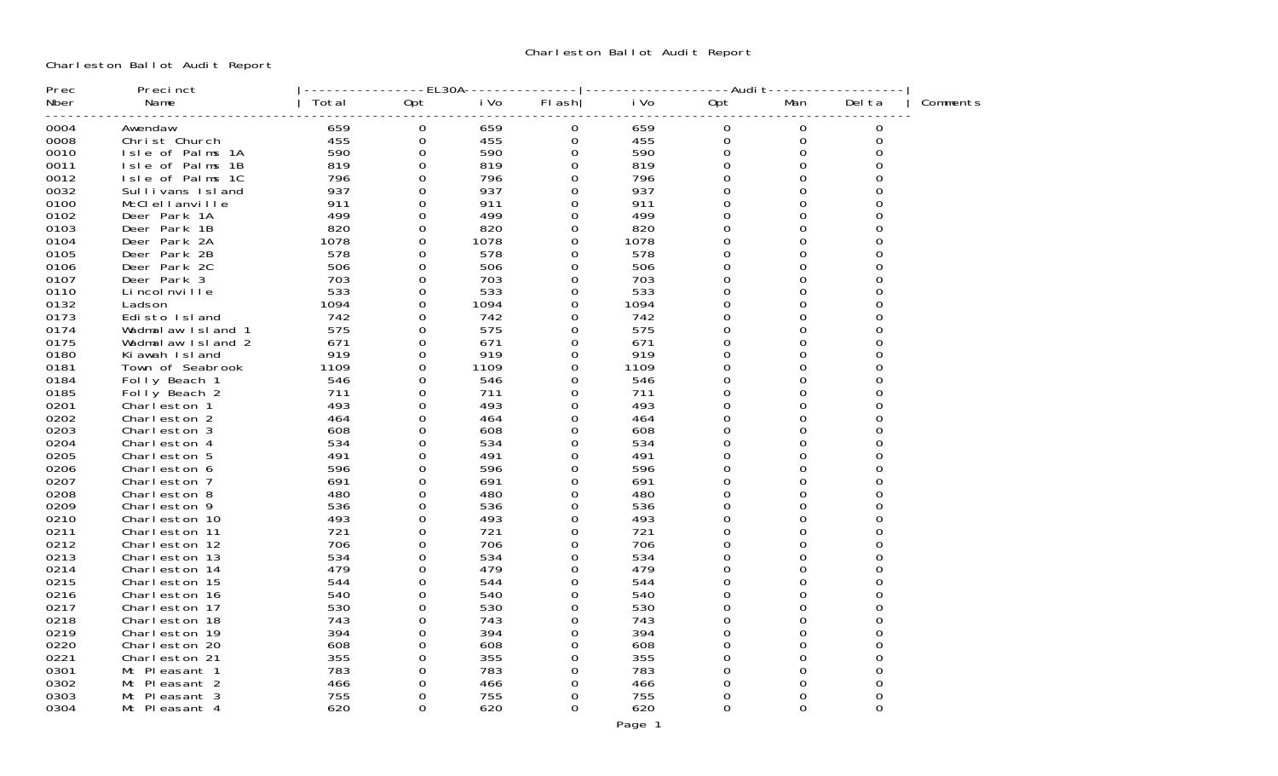Charleston Ballot Audit Report

| Prec | Precinct          |       | EL30A       |      |          |      | -Audi t |              |          |          |
|------|-------------------|-------|-------------|------|----------|------|---------|--------------|----------|----------|
| Nber | Name              | Total | Opt         | i Vo | FI ash   | i Vo | 0pt     | Man          | Del ta   | Comments |
| 0004 | Awendaw           | 659   | $\mathbf 0$ | 659  | 0        | 659  | 0       | 0            | 0        |          |
| 0008 | Christ Church     | 455   | 0           | 455  | 0        | 455  | 0       | 0            | 0        |          |
| 0010 | Isle of Palms 1A  | 590   | $\Omega$    | 590  | 0        | 590  | 0       | $\Omega$     |          |          |
| 0011 | Isle of Palms 1B  | 819   | $\Omega$    | 819  | 0        | 819  | 0       | 0            |          |          |
| 0012 | Isle of Palms 1C  | 796   | $\Omega$    | 796  | 0        | 796  | 0       | $\Omega$     |          |          |
| 0032 | Sullivans Island  | 937   | 0           | 937  | 0        | 937  | 0       | 0            |          |          |
| 0100 | McClellanville    | 911   | 0           | 911  | 0        | 911  | O       | 0            |          |          |
| 0102 | Deer Park 1A      | 499   | 0           | 499  | 0        | 499  | 0       | 0            |          |          |
| 0103 | Deer Park 1B      | 820   | 0           | 820  | 0        | 820  | 0       | 0            |          |          |
| 0104 | Deer Park 2A      | 1078  | 0           | 1078 | 0        | 1078 | 0       | 0            |          |          |
| 0105 | Deer Park 2B      | 578   | 0           | 578  | 0        | 578  | 0       | 0            |          |          |
| 0106 | Deer Park 2C      | 506   | $\Omega$    | 506  | 0        | 506  | 0       | $\Omega$     | 0        |          |
| 0107 | Deer Park 3       | 703   | $\Omega$    | 703  | 0        | 703  | 0       | $\Omega$     | 0        |          |
| 0110 | Li ncol nville    | 533   | 0           | 533  | 0        | 533  | 0       | 0            | 0        |          |
| 0132 | Ladson            | 1094  | $\Omega$    | 1094 | 0        | 1094 | O       | 0            | ∩        |          |
| 0173 | Edisto Island     | 742   | 0           | 742  | $\Omega$ | 742  | U       | $\Omega$     |          |          |
| 0174 | Wadmalaw Island 1 | 575   | 0           | 575  | 0        | 575  | 0       | 0            | 0        |          |
| 0175 | Wadmalaw Island 2 | 671   | 0           | 671  | 0        | 671  | U       | 0            |          |          |
| 0180 | Ki awah Island    | 919   | $\Omega$    | 919  | 0        | 919  | 0       | 0            | U        |          |
| 0181 | Town of Seabrook  | 1109  | 0           | 1109 | 0        | 1109 | 0       | $\Omega$     |          |          |
| 0184 | Folly Beach 1     | 546   | 0           | 546  | 0        | 546  | 0       | $\Omega$     | ∩        |          |
| 0185 | Folly Beach 2     | 711   | 0           | 711  | 0        | 711  | 0       | $\Omega$     |          |          |
| 0201 | Charleston 1      | 493   | $\Omega$    | 493  | 0        | 493  | 0       | 0            | U        |          |
| 0202 | Charleston 2      | 464   | 0           | 464  | 0        | 464  |         | $\Omega$     |          |          |
| 0203 | Charleston 3      | 608   | 0           | 608  | 0        | 608  | 0       | $\Omega$     | U        |          |
| 0204 | Charleston 4      | 534   | 0           | 534  | 0        | 534  | U       | <sup>0</sup> |          |          |
| 0205 | Charleston 5      | 491   | 0           | 491  | 0        | 491  | O       | 0            |          |          |
| 0206 | Charleston 6      | 596   | 0           | 596  | 0        | 596  | U       | $\Omega$     |          |          |
| 0207 | Charleston 7      | 691   | 0           | 691  | 0        | 691  | 0       | $\Omega$     |          |          |
| 0208 | Charleston 8      | 480   | 0           | 480  | 0        | 480  |         | $\Omega$     |          |          |
| 0209 | Charleston 9      | 536   | 0           | 536  | 0        | 536  | 0       | 0            | U        |          |
| 0210 | Charleston 10     | 493   | $\Omega$    | 493  | 0        | 493  | O       | $\Omega$     |          |          |
| 0211 | Charleston 11     | 721   | 0           | 721  | 0        | 721  | 0       | $\Omega$     |          |          |
| 0212 | Charleston 12     | 706   | $\Omega$    | 706  | 0        | 706  | 0       | $\Omega$     |          |          |
| 0213 | Charleston 13     | 534   | 0           | 534  | 0        | 534  | 0       | 0            | U        |          |
| 0214 | Charleston 14     | 479   | $\Omega$    | 479  | 0        | 479  | O       | $\Omega$     |          |          |
| 0215 | Charleston 15     | 544   | $\Omega$    | 544  | 0        | 544  | 0       | $\Omega$     | 0        |          |
| 0216 | Charleston 16     | 540   | $\Omega$    | 540  | 0        | 540  | 0       | 0            |          |          |
| 0217 | Charleston 17     | 530   | 0           | 530  | 0        | 530  | 0       | 0            |          |          |
| 0218 | Charleston 18     | 743   | $\Omega$    | 743  | 0        | 743  | 0       | $\Omega$     |          |          |
| 0219 | Charleston 19     | 394   | $\Omega$    | 394  | 0        | 394  | 0       | $\Omega$     |          |          |
| 0220 | Charleston 20     | 608   | 0           | 608  | 0        | 608  | 0       | 0            |          |          |
| 0221 | Charleston 21     | 355   | 0           | 355  | 0        | 355  | 0       | 0            |          |          |
| 0301 | Mt Pleasant 1     | 783   | 0           | 783  | 0        | 783  | O       | O            |          |          |
| 0302 | Mt Pleasant 2     | 466   | 0           | 466  | 0        | 466  | 0       | 0            |          |          |
| 0303 | Mt Pleasant 3     | 755   | 0           | 755  | 0        | 755  | 0       | 0            | 0        |          |
| 0304 | Mt Pleasant 4     | 620   | 0           | 620  | 0        | 620  | 0       | 0            | $\Omega$ |          |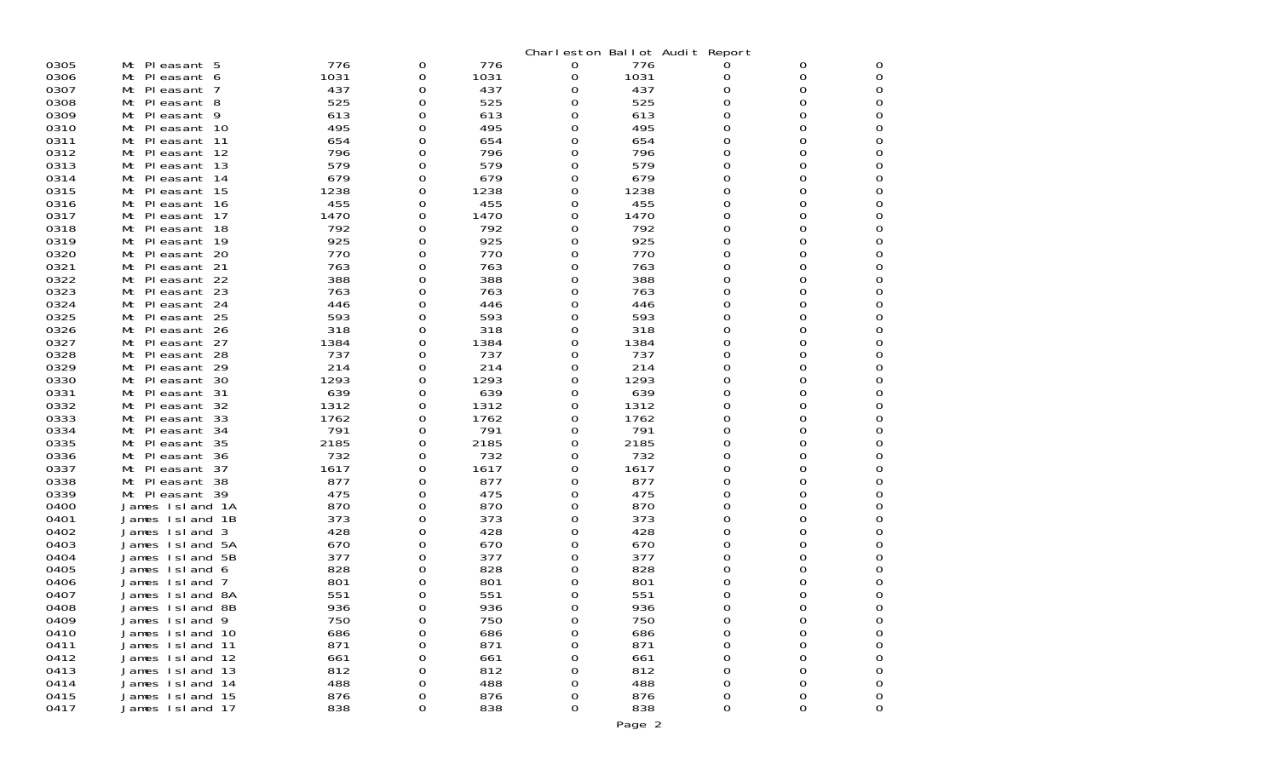| Charleston Ballot Audit Report<br>Mt Pleasant 5<br>776<br>0305<br>0<br>776<br>776<br>0<br>0<br>0<br>O<br>1031<br>1031<br>1031<br>0306<br>Mt Pleasant 6<br>0<br>0<br>0<br>0<br>0<br>437<br>0307<br>Mt Pleasant 7<br>437<br>437<br>0<br>0<br>0<br>0<br>0<br>525<br>525<br>0308<br>525<br>0<br>0<br>Mt Pleasant 8<br>0<br>0<br>0<br>0309<br>Mt Pleasant 9<br>613<br>613<br>0<br>0<br>613<br>0<br>0<br>0<br>0310<br>495<br>495<br>495<br>0<br>0<br>Mt Pleasant 10<br>0<br>0<br>0<br>0311<br>654<br>654<br>Mt Pleasant 11<br>654<br>0<br>0<br>0<br>0<br>0<br>0312<br>796<br>Mt Pleasant 12<br>796<br>0<br>796<br>0<br>0<br>0<br>0<br>0313<br>579<br>0<br>Mt Pleasant 13<br>579<br>0<br>579<br>0<br>0<br>0<br>679<br>0314<br>679<br>679<br>Mt Pleasant 14<br>0<br>0<br>0<br>0<br>0<br>0315<br>1238<br>1238<br>1238<br>0<br>Mt Pleasant 15<br>0<br>0<br>0<br>0<br>455<br>455<br>0<br>0316<br>455<br>0<br>Mt Pleasant 16<br>0<br>0<br>0<br>0317<br>1470<br>1470<br>1470<br>0<br>Mt Pleasant 17<br>0<br>0<br>0<br>0<br>0318<br>792<br>792<br>792<br>0<br>Mt Pleasant 18<br>0<br>0<br>0<br>0<br>925<br>925<br>925<br>0319<br>0<br>0<br>Mt Pleasant 19<br>0<br>0<br>0<br>0320<br>770<br>770<br>770<br>0<br>Mt Pleasant 20<br>0<br>0<br>0<br>0<br>763<br>763<br>0321<br>0<br>763<br>0<br>0<br>Mt Pleasant 21<br>0<br>0<br>0322<br>388<br>388<br>388<br>Mt Pleasant 22<br>0<br>0<br>0<br>0<br>0<br>0323<br>763<br>763<br>763<br>0<br>Mt Pleasant 23<br>0<br>0<br>0<br>0<br>0324<br>Mt Pleasant 24<br>446<br>446<br>446<br>0<br>0<br>0<br>0<br>0<br>0325<br>593<br>593<br>593<br>0<br>Mt Pleasant 25<br>0<br>0<br>0<br>0<br>0326<br>318<br>318<br>318<br>0<br>Mt Pleasant 26<br>0<br>0<br>0<br>0<br>0327<br>1384<br>0<br>Mt Pleasant 27<br>1384<br>0<br>1384<br>0<br>0<br>0<br>0328<br>737<br>737<br>0<br>Mt Pleasant 28<br>737<br>0<br>0<br>0<br>0<br>0329<br>214<br>214<br>214<br>0<br>0<br>Mt Pleasant 29<br>0<br>0<br>0<br>0330<br>1293<br>1293<br>1293<br>0<br>Mt Pleasant 30<br>0<br>0<br>0<br>0<br>0331<br>639<br>639<br>639<br>0<br>0<br>Mt Pleasant 31<br>0<br>0<br>0<br>0332<br>1312<br>1312<br>1312<br>0<br>Mt Pleasant 32<br>0<br>0<br>0<br>0<br>0333<br>1762<br>1762<br>1762<br>0<br>0<br>Mt Pleasant 33<br>0<br>0<br>0<br>791<br>0334<br>791<br>791<br>0<br>Mt Pleasant 34<br>0<br>0<br>0<br>0<br>0335<br>2185<br>2185<br>2185<br>0<br>0<br>Mt Pleasant 35<br>0<br>0<br>0<br>0336<br>732<br>732<br>732<br>Mt Pleasant 36<br>0<br>0<br>0<br>0<br>0<br>1617<br>1617<br>1617<br>0<br>0337<br>0<br>0<br>Mt Pleasant 37<br>0<br>0<br>0338<br>877<br>877<br>877<br>0<br>0<br>Mt Pleasant 38<br>0<br>0<br>0<br>475<br>0339<br>475<br>475<br>Mt Pleasant 39<br>0<br>0<br>0<br>0<br>0<br>870<br>870<br>0400<br>870<br>0<br>0<br>James Island 1A<br>0<br>0<br>0<br>373<br>373<br>373<br>0<br>0<br>0401<br>James Island 1B<br>0<br>0<br>0<br>0402<br>428<br>428<br>428<br>0<br>0<br>James Island<br>3<br>0<br>0<br>0<br>670<br>670<br>0<br>0403<br>James Island 5A<br>670<br>0<br>0<br>0<br>0<br>377<br>377<br>377<br>0<br>0404<br>0<br>James Island<br>-5B<br>0<br>0<br>0<br>828<br>828<br>828<br>0405<br>0<br>0<br>James Island 6<br>0<br>O<br>O<br>801<br>0406<br>801<br>801<br>0<br>James Island<br>7<br>0<br>0<br>0<br>0<br>551<br>551<br>551<br>0<br>0407<br>James Island 8A<br>0<br>0<br>0<br>0<br>936<br>936<br><sup>0</sup><br>0408<br>James Island 8B<br>936<br>O<br>0<br>0<br>O<br>750<br>750<br>0<br>0409<br>James Island 9<br>750<br>0<br>0<br>0<br>0<br>0410<br>686<br>686<br>686<br>0<br>0<br>James Island 10<br>0<br>0<br>0<br>0411<br>871<br>871<br>871<br>0<br>0<br>James Island 11<br>0<br>0<br>O<br>0412<br>661<br>661<br>0<br>James Island 12<br>0<br>661<br>0<br>0<br>0<br>0413<br>812<br>812<br>812<br>0<br>0<br>James Island 13<br>0<br>O<br>0<br>0414<br>488<br>488<br>488<br>0<br>James Island 14<br>0<br>0<br>0<br>O<br>0415<br>876<br>876<br>876<br>0<br>James Island 15<br>0<br>0<br>0<br>0<br>0417<br>838<br>838<br>838<br>James Island 17<br>0<br>0<br>0<br>0<br>0 |  |  |  |  |  |
|----------------------------------------------------------------------------------------------------------------------------------------------------------------------------------------------------------------------------------------------------------------------------------------------------------------------------------------------------------------------------------------------------------------------------------------------------------------------------------------------------------------------------------------------------------------------------------------------------------------------------------------------------------------------------------------------------------------------------------------------------------------------------------------------------------------------------------------------------------------------------------------------------------------------------------------------------------------------------------------------------------------------------------------------------------------------------------------------------------------------------------------------------------------------------------------------------------------------------------------------------------------------------------------------------------------------------------------------------------------------------------------------------------------------------------------------------------------------------------------------------------------------------------------------------------------------------------------------------------------------------------------------------------------------------------------------------------------------------------------------------------------------------------------------------------------------------------------------------------------------------------------------------------------------------------------------------------------------------------------------------------------------------------------------------------------------------------------------------------------------------------------------------------------------------------------------------------------------------------------------------------------------------------------------------------------------------------------------------------------------------------------------------------------------------------------------------------------------------------------------------------------------------------------------------------------------------------------------------------------------------------------------------------------------------------------------------------------------------------------------------------------------------------------------------------------------------------------------------------------------------------------------------------------------------------------------------------------------------------------------------------------------------------------------------------------------------------------------------------------------------------------------------------------------------------------------------------------------------------------------------------------------------------------------------------------------------------------------------------------------------------------------------------------------------------------------------------------------------------------------------------------------------------------------------------------------------------------------------------------------------------------------------------------------------------------------------------------------------------------------------------------------------------------------------------------------------------------------------------------------------------------------------------------------------------------------------------------------------------------|--|--|--|--|--|
|                                                                                                                                                                                                                                                                                                                                                                                                                                                                                                                                                                                                                                                                                                                                                                                                                                                                                                                                                                                                                                                                                                                                                                                                                                                                                                                                                                                                                                                                                                                                                                                                                                                                                                                                                                                                                                                                                                                                                                                                                                                                                                                                                                                                                                                                                                                                                                                                                                                                                                                                                                                                                                                                                                                                                                                                                                                                                                                                                                                                                                                                                                                                                                                                                                                                                                                                                                                                                                                                                                                                                                                                                                                                                                                                                                                                                                                                                                                                                                                        |  |  |  |  |  |
|                                                                                                                                                                                                                                                                                                                                                                                                                                                                                                                                                                                                                                                                                                                                                                                                                                                                                                                                                                                                                                                                                                                                                                                                                                                                                                                                                                                                                                                                                                                                                                                                                                                                                                                                                                                                                                                                                                                                                                                                                                                                                                                                                                                                                                                                                                                                                                                                                                                                                                                                                                                                                                                                                                                                                                                                                                                                                                                                                                                                                                                                                                                                                                                                                                                                                                                                                                                                                                                                                                                                                                                                                                                                                                                                                                                                                                                                                                                                                                                        |  |  |  |  |  |
|                                                                                                                                                                                                                                                                                                                                                                                                                                                                                                                                                                                                                                                                                                                                                                                                                                                                                                                                                                                                                                                                                                                                                                                                                                                                                                                                                                                                                                                                                                                                                                                                                                                                                                                                                                                                                                                                                                                                                                                                                                                                                                                                                                                                                                                                                                                                                                                                                                                                                                                                                                                                                                                                                                                                                                                                                                                                                                                                                                                                                                                                                                                                                                                                                                                                                                                                                                                                                                                                                                                                                                                                                                                                                                                                                                                                                                                                                                                                                                                        |  |  |  |  |  |
|                                                                                                                                                                                                                                                                                                                                                                                                                                                                                                                                                                                                                                                                                                                                                                                                                                                                                                                                                                                                                                                                                                                                                                                                                                                                                                                                                                                                                                                                                                                                                                                                                                                                                                                                                                                                                                                                                                                                                                                                                                                                                                                                                                                                                                                                                                                                                                                                                                                                                                                                                                                                                                                                                                                                                                                                                                                                                                                                                                                                                                                                                                                                                                                                                                                                                                                                                                                                                                                                                                                                                                                                                                                                                                                                                                                                                                                                                                                                                                                        |  |  |  |  |  |
|                                                                                                                                                                                                                                                                                                                                                                                                                                                                                                                                                                                                                                                                                                                                                                                                                                                                                                                                                                                                                                                                                                                                                                                                                                                                                                                                                                                                                                                                                                                                                                                                                                                                                                                                                                                                                                                                                                                                                                                                                                                                                                                                                                                                                                                                                                                                                                                                                                                                                                                                                                                                                                                                                                                                                                                                                                                                                                                                                                                                                                                                                                                                                                                                                                                                                                                                                                                                                                                                                                                                                                                                                                                                                                                                                                                                                                                                                                                                                                                        |  |  |  |  |  |
|                                                                                                                                                                                                                                                                                                                                                                                                                                                                                                                                                                                                                                                                                                                                                                                                                                                                                                                                                                                                                                                                                                                                                                                                                                                                                                                                                                                                                                                                                                                                                                                                                                                                                                                                                                                                                                                                                                                                                                                                                                                                                                                                                                                                                                                                                                                                                                                                                                                                                                                                                                                                                                                                                                                                                                                                                                                                                                                                                                                                                                                                                                                                                                                                                                                                                                                                                                                                                                                                                                                                                                                                                                                                                                                                                                                                                                                                                                                                                                                        |  |  |  |  |  |
|                                                                                                                                                                                                                                                                                                                                                                                                                                                                                                                                                                                                                                                                                                                                                                                                                                                                                                                                                                                                                                                                                                                                                                                                                                                                                                                                                                                                                                                                                                                                                                                                                                                                                                                                                                                                                                                                                                                                                                                                                                                                                                                                                                                                                                                                                                                                                                                                                                                                                                                                                                                                                                                                                                                                                                                                                                                                                                                                                                                                                                                                                                                                                                                                                                                                                                                                                                                                                                                                                                                                                                                                                                                                                                                                                                                                                                                                                                                                                                                        |  |  |  |  |  |
|                                                                                                                                                                                                                                                                                                                                                                                                                                                                                                                                                                                                                                                                                                                                                                                                                                                                                                                                                                                                                                                                                                                                                                                                                                                                                                                                                                                                                                                                                                                                                                                                                                                                                                                                                                                                                                                                                                                                                                                                                                                                                                                                                                                                                                                                                                                                                                                                                                                                                                                                                                                                                                                                                                                                                                                                                                                                                                                                                                                                                                                                                                                                                                                                                                                                                                                                                                                                                                                                                                                                                                                                                                                                                                                                                                                                                                                                                                                                                                                        |  |  |  |  |  |
|                                                                                                                                                                                                                                                                                                                                                                                                                                                                                                                                                                                                                                                                                                                                                                                                                                                                                                                                                                                                                                                                                                                                                                                                                                                                                                                                                                                                                                                                                                                                                                                                                                                                                                                                                                                                                                                                                                                                                                                                                                                                                                                                                                                                                                                                                                                                                                                                                                                                                                                                                                                                                                                                                                                                                                                                                                                                                                                                                                                                                                                                                                                                                                                                                                                                                                                                                                                                                                                                                                                                                                                                                                                                                                                                                                                                                                                                                                                                                                                        |  |  |  |  |  |
|                                                                                                                                                                                                                                                                                                                                                                                                                                                                                                                                                                                                                                                                                                                                                                                                                                                                                                                                                                                                                                                                                                                                                                                                                                                                                                                                                                                                                                                                                                                                                                                                                                                                                                                                                                                                                                                                                                                                                                                                                                                                                                                                                                                                                                                                                                                                                                                                                                                                                                                                                                                                                                                                                                                                                                                                                                                                                                                                                                                                                                                                                                                                                                                                                                                                                                                                                                                                                                                                                                                                                                                                                                                                                                                                                                                                                                                                                                                                                                                        |  |  |  |  |  |
|                                                                                                                                                                                                                                                                                                                                                                                                                                                                                                                                                                                                                                                                                                                                                                                                                                                                                                                                                                                                                                                                                                                                                                                                                                                                                                                                                                                                                                                                                                                                                                                                                                                                                                                                                                                                                                                                                                                                                                                                                                                                                                                                                                                                                                                                                                                                                                                                                                                                                                                                                                                                                                                                                                                                                                                                                                                                                                                                                                                                                                                                                                                                                                                                                                                                                                                                                                                                                                                                                                                                                                                                                                                                                                                                                                                                                                                                                                                                                                                        |  |  |  |  |  |
|                                                                                                                                                                                                                                                                                                                                                                                                                                                                                                                                                                                                                                                                                                                                                                                                                                                                                                                                                                                                                                                                                                                                                                                                                                                                                                                                                                                                                                                                                                                                                                                                                                                                                                                                                                                                                                                                                                                                                                                                                                                                                                                                                                                                                                                                                                                                                                                                                                                                                                                                                                                                                                                                                                                                                                                                                                                                                                                                                                                                                                                                                                                                                                                                                                                                                                                                                                                                                                                                                                                                                                                                                                                                                                                                                                                                                                                                                                                                                                                        |  |  |  |  |  |
|                                                                                                                                                                                                                                                                                                                                                                                                                                                                                                                                                                                                                                                                                                                                                                                                                                                                                                                                                                                                                                                                                                                                                                                                                                                                                                                                                                                                                                                                                                                                                                                                                                                                                                                                                                                                                                                                                                                                                                                                                                                                                                                                                                                                                                                                                                                                                                                                                                                                                                                                                                                                                                                                                                                                                                                                                                                                                                                                                                                                                                                                                                                                                                                                                                                                                                                                                                                                                                                                                                                                                                                                                                                                                                                                                                                                                                                                                                                                                                                        |  |  |  |  |  |
|                                                                                                                                                                                                                                                                                                                                                                                                                                                                                                                                                                                                                                                                                                                                                                                                                                                                                                                                                                                                                                                                                                                                                                                                                                                                                                                                                                                                                                                                                                                                                                                                                                                                                                                                                                                                                                                                                                                                                                                                                                                                                                                                                                                                                                                                                                                                                                                                                                                                                                                                                                                                                                                                                                                                                                                                                                                                                                                                                                                                                                                                                                                                                                                                                                                                                                                                                                                                                                                                                                                                                                                                                                                                                                                                                                                                                                                                                                                                                                                        |  |  |  |  |  |
|                                                                                                                                                                                                                                                                                                                                                                                                                                                                                                                                                                                                                                                                                                                                                                                                                                                                                                                                                                                                                                                                                                                                                                                                                                                                                                                                                                                                                                                                                                                                                                                                                                                                                                                                                                                                                                                                                                                                                                                                                                                                                                                                                                                                                                                                                                                                                                                                                                                                                                                                                                                                                                                                                                                                                                                                                                                                                                                                                                                                                                                                                                                                                                                                                                                                                                                                                                                                                                                                                                                                                                                                                                                                                                                                                                                                                                                                                                                                                                                        |  |  |  |  |  |
|                                                                                                                                                                                                                                                                                                                                                                                                                                                                                                                                                                                                                                                                                                                                                                                                                                                                                                                                                                                                                                                                                                                                                                                                                                                                                                                                                                                                                                                                                                                                                                                                                                                                                                                                                                                                                                                                                                                                                                                                                                                                                                                                                                                                                                                                                                                                                                                                                                                                                                                                                                                                                                                                                                                                                                                                                                                                                                                                                                                                                                                                                                                                                                                                                                                                                                                                                                                                                                                                                                                                                                                                                                                                                                                                                                                                                                                                                                                                                                                        |  |  |  |  |  |
|                                                                                                                                                                                                                                                                                                                                                                                                                                                                                                                                                                                                                                                                                                                                                                                                                                                                                                                                                                                                                                                                                                                                                                                                                                                                                                                                                                                                                                                                                                                                                                                                                                                                                                                                                                                                                                                                                                                                                                                                                                                                                                                                                                                                                                                                                                                                                                                                                                                                                                                                                                                                                                                                                                                                                                                                                                                                                                                                                                                                                                                                                                                                                                                                                                                                                                                                                                                                                                                                                                                                                                                                                                                                                                                                                                                                                                                                                                                                                                                        |  |  |  |  |  |
|                                                                                                                                                                                                                                                                                                                                                                                                                                                                                                                                                                                                                                                                                                                                                                                                                                                                                                                                                                                                                                                                                                                                                                                                                                                                                                                                                                                                                                                                                                                                                                                                                                                                                                                                                                                                                                                                                                                                                                                                                                                                                                                                                                                                                                                                                                                                                                                                                                                                                                                                                                                                                                                                                                                                                                                                                                                                                                                                                                                                                                                                                                                                                                                                                                                                                                                                                                                                                                                                                                                                                                                                                                                                                                                                                                                                                                                                                                                                                                                        |  |  |  |  |  |
|                                                                                                                                                                                                                                                                                                                                                                                                                                                                                                                                                                                                                                                                                                                                                                                                                                                                                                                                                                                                                                                                                                                                                                                                                                                                                                                                                                                                                                                                                                                                                                                                                                                                                                                                                                                                                                                                                                                                                                                                                                                                                                                                                                                                                                                                                                                                                                                                                                                                                                                                                                                                                                                                                                                                                                                                                                                                                                                                                                                                                                                                                                                                                                                                                                                                                                                                                                                                                                                                                                                                                                                                                                                                                                                                                                                                                                                                                                                                                                                        |  |  |  |  |  |
|                                                                                                                                                                                                                                                                                                                                                                                                                                                                                                                                                                                                                                                                                                                                                                                                                                                                                                                                                                                                                                                                                                                                                                                                                                                                                                                                                                                                                                                                                                                                                                                                                                                                                                                                                                                                                                                                                                                                                                                                                                                                                                                                                                                                                                                                                                                                                                                                                                                                                                                                                                                                                                                                                                                                                                                                                                                                                                                                                                                                                                                                                                                                                                                                                                                                                                                                                                                                                                                                                                                                                                                                                                                                                                                                                                                                                                                                                                                                                                                        |  |  |  |  |  |
|                                                                                                                                                                                                                                                                                                                                                                                                                                                                                                                                                                                                                                                                                                                                                                                                                                                                                                                                                                                                                                                                                                                                                                                                                                                                                                                                                                                                                                                                                                                                                                                                                                                                                                                                                                                                                                                                                                                                                                                                                                                                                                                                                                                                                                                                                                                                                                                                                                                                                                                                                                                                                                                                                                                                                                                                                                                                                                                                                                                                                                                                                                                                                                                                                                                                                                                                                                                                                                                                                                                                                                                                                                                                                                                                                                                                                                                                                                                                                                                        |  |  |  |  |  |
|                                                                                                                                                                                                                                                                                                                                                                                                                                                                                                                                                                                                                                                                                                                                                                                                                                                                                                                                                                                                                                                                                                                                                                                                                                                                                                                                                                                                                                                                                                                                                                                                                                                                                                                                                                                                                                                                                                                                                                                                                                                                                                                                                                                                                                                                                                                                                                                                                                                                                                                                                                                                                                                                                                                                                                                                                                                                                                                                                                                                                                                                                                                                                                                                                                                                                                                                                                                                                                                                                                                                                                                                                                                                                                                                                                                                                                                                                                                                                                                        |  |  |  |  |  |
|                                                                                                                                                                                                                                                                                                                                                                                                                                                                                                                                                                                                                                                                                                                                                                                                                                                                                                                                                                                                                                                                                                                                                                                                                                                                                                                                                                                                                                                                                                                                                                                                                                                                                                                                                                                                                                                                                                                                                                                                                                                                                                                                                                                                                                                                                                                                                                                                                                                                                                                                                                                                                                                                                                                                                                                                                                                                                                                                                                                                                                                                                                                                                                                                                                                                                                                                                                                                                                                                                                                                                                                                                                                                                                                                                                                                                                                                                                                                                                                        |  |  |  |  |  |
|                                                                                                                                                                                                                                                                                                                                                                                                                                                                                                                                                                                                                                                                                                                                                                                                                                                                                                                                                                                                                                                                                                                                                                                                                                                                                                                                                                                                                                                                                                                                                                                                                                                                                                                                                                                                                                                                                                                                                                                                                                                                                                                                                                                                                                                                                                                                                                                                                                                                                                                                                                                                                                                                                                                                                                                                                                                                                                                                                                                                                                                                                                                                                                                                                                                                                                                                                                                                                                                                                                                                                                                                                                                                                                                                                                                                                                                                                                                                                                                        |  |  |  |  |  |
|                                                                                                                                                                                                                                                                                                                                                                                                                                                                                                                                                                                                                                                                                                                                                                                                                                                                                                                                                                                                                                                                                                                                                                                                                                                                                                                                                                                                                                                                                                                                                                                                                                                                                                                                                                                                                                                                                                                                                                                                                                                                                                                                                                                                                                                                                                                                                                                                                                                                                                                                                                                                                                                                                                                                                                                                                                                                                                                                                                                                                                                                                                                                                                                                                                                                                                                                                                                                                                                                                                                                                                                                                                                                                                                                                                                                                                                                                                                                                                                        |  |  |  |  |  |
|                                                                                                                                                                                                                                                                                                                                                                                                                                                                                                                                                                                                                                                                                                                                                                                                                                                                                                                                                                                                                                                                                                                                                                                                                                                                                                                                                                                                                                                                                                                                                                                                                                                                                                                                                                                                                                                                                                                                                                                                                                                                                                                                                                                                                                                                                                                                                                                                                                                                                                                                                                                                                                                                                                                                                                                                                                                                                                                                                                                                                                                                                                                                                                                                                                                                                                                                                                                                                                                                                                                                                                                                                                                                                                                                                                                                                                                                                                                                                                                        |  |  |  |  |  |
|                                                                                                                                                                                                                                                                                                                                                                                                                                                                                                                                                                                                                                                                                                                                                                                                                                                                                                                                                                                                                                                                                                                                                                                                                                                                                                                                                                                                                                                                                                                                                                                                                                                                                                                                                                                                                                                                                                                                                                                                                                                                                                                                                                                                                                                                                                                                                                                                                                                                                                                                                                                                                                                                                                                                                                                                                                                                                                                                                                                                                                                                                                                                                                                                                                                                                                                                                                                                                                                                                                                                                                                                                                                                                                                                                                                                                                                                                                                                                                                        |  |  |  |  |  |
|                                                                                                                                                                                                                                                                                                                                                                                                                                                                                                                                                                                                                                                                                                                                                                                                                                                                                                                                                                                                                                                                                                                                                                                                                                                                                                                                                                                                                                                                                                                                                                                                                                                                                                                                                                                                                                                                                                                                                                                                                                                                                                                                                                                                                                                                                                                                                                                                                                                                                                                                                                                                                                                                                                                                                                                                                                                                                                                                                                                                                                                                                                                                                                                                                                                                                                                                                                                                                                                                                                                                                                                                                                                                                                                                                                                                                                                                                                                                                                                        |  |  |  |  |  |
|                                                                                                                                                                                                                                                                                                                                                                                                                                                                                                                                                                                                                                                                                                                                                                                                                                                                                                                                                                                                                                                                                                                                                                                                                                                                                                                                                                                                                                                                                                                                                                                                                                                                                                                                                                                                                                                                                                                                                                                                                                                                                                                                                                                                                                                                                                                                                                                                                                                                                                                                                                                                                                                                                                                                                                                                                                                                                                                                                                                                                                                                                                                                                                                                                                                                                                                                                                                                                                                                                                                                                                                                                                                                                                                                                                                                                                                                                                                                                                                        |  |  |  |  |  |
|                                                                                                                                                                                                                                                                                                                                                                                                                                                                                                                                                                                                                                                                                                                                                                                                                                                                                                                                                                                                                                                                                                                                                                                                                                                                                                                                                                                                                                                                                                                                                                                                                                                                                                                                                                                                                                                                                                                                                                                                                                                                                                                                                                                                                                                                                                                                                                                                                                                                                                                                                                                                                                                                                                                                                                                                                                                                                                                                                                                                                                                                                                                                                                                                                                                                                                                                                                                                                                                                                                                                                                                                                                                                                                                                                                                                                                                                                                                                                                                        |  |  |  |  |  |
|                                                                                                                                                                                                                                                                                                                                                                                                                                                                                                                                                                                                                                                                                                                                                                                                                                                                                                                                                                                                                                                                                                                                                                                                                                                                                                                                                                                                                                                                                                                                                                                                                                                                                                                                                                                                                                                                                                                                                                                                                                                                                                                                                                                                                                                                                                                                                                                                                                                                                                                                                                                                                                                                                                                                                                                                                                                                                                                                                                                                                                                                                                                                                                                                                                                                                                                                                                                                                                                                                                                                                                                                                                                                                                                                                                                                                                                                                                                                                                                        |  |  |  |  |  |
|                                                                                                                                                                                                                                                                                                                                                                                                                                                                                                                                                                                                                                                                                                                                                                                                                                                                                                                                                                                                                                                                                                                                                                                                                                                                                                                                                                                                                                                                                                                                                                                                                                                                                                                                                                                                                                                                                                                                                                                                                                                                                                                                                                                                                                                                                                                                                                                                                                                                                                                                                                                                                                                                                                                                                                                                                                                                                                                                                                                                                                                                                                                                                                                                                                                                                                                                                                                                                                                                                                                                                                                                                                                                                                                                                                                                                                                                                                                                                                                        |  |  |  |  |  |
|                                                                                                                                                                                                                                                                                                                                                                                                                                                                                                                                                                                                                                                                                                                                                                                                                                                                                                                                                                                                                                                                                                                                                                                                                                                                                                                                                                                                                                                                                                                                                                                                                                                                                                                                                                                                                                                                                                                                                                                                                                                                                                                                                                                                                                                                                                                                                                                                                                                                                                                                                                                                                                                                                                                                                                                                                                                                                                                                                                                                                                                                                                                                                                                                                                                                                                                                                                                                                                                                                                                                                                                                                                                                                                                                                                                                                                                                                                                                                                                        |  |  |  |  |  |
|                                                                                                                                                                                                                                                                                                                                                                                                                                                                                                                                                                                                                                                                                                                                                                                                                                                                                                                                                                                                                                                                                                                                                                                                                                                                                                                                                                                                                                                                                                                                                                                                                                                                                                                                                                                                                                                                                                                                                                                                                                                                                                                                                                                                                                                                                                                                                                                                                                                                                                                                                                                                                                                                                                                                                                                                                                                                                                                                                                                                                                                                                                                                                                                                                                                                                                                                                                                                                                                                                                                                                                                                                                                                                                                                                                                                                                                                                                                                                                                        |  |  |  |  |  |
|                                                                                                                                                                                                                                                                                                                                                                                                                                                                                                                                                                                                                                                                                                                                                                                                                                                                                                                                                                                                                                                                                                                                                                                                                                                                                                                                                                                                                                                                                                                                                                                                                                                                                                                                                                                                                                                                                                                                                                                                                                                                                                                                                                                                                                                                                                                                                                                                                                                                                                                                                                                                                                                                                                                                                                                                                                                                                                                                                                                                                                                                                                                                                                                                                                                                                                                                                                                                                                                                                                                                                                                                                                                                                                                                                                                                                                                                                                                                                                                        |  |  |  |  |  |
|                                                                                                                                                                                                                                                                                                                                                                                                                                                                                                                                                                                                                                                                                                                                                                                                                                                                                                                                                                                                                                                                                                                                                                                                                                                                                                                                                                                                                                                                                                                                                                                                                                                                                                                                                                                                                                                                                                                                                                                                                                                                                                                                                                                                                                                                                                                                                                                                                                                                                                                                                                                                                                                                                                                                                                                                                                                                                                                                                                                                                                                                                                                                                                                                                                                                                                                                                                                                                                                                                                                                                                                                                                                                                                                                                                                                                                                                                                                                                                                        |  |  |  |  |  |
|                                                                                                                                                                                                                                                                                                                                                                                                                                                                                                                                                                                                                                                                                                                                                                                                                                                                                                                                                                                                                                                                                                                                                                                                                                                                                                                                                                                                                                                                                                                                                                                                                                                                                                                                                                                                                                                                                                                                                                                                                                                                                                                                                                                                                                                                                                                                                                                                                                                                                                                                                                                                                                                                                                                                                                                                                                                                                                                                                                                                                                                                                                                                                                                                                                                                                                                                                                                                                                                                                                                                                                                                                                                                                                                                                                                                                                                                                                                                                                                        |  |  |  |  |  |
|                                                                                                                                                                                                                                                                                                                                                                                                                                                                                                                                                                                                                                                                                                                                                                                                                                                                                                                                                                                                                                                                                                                                                                                                                                                                                                                                                                                                                                                                                                                                                                                                                                                                                                                                                                                                                                                                                                                                                                                                                                                                                                                                                                                                                                                                                                                                                                                                                                                                                                                                                                                                                                                                                                                                                                                                                                                                                                                                                                                                                                                                                                                                                                                                                                                                                                                                                                                                                                                                                                                                                                                                                                                                                                                                                                                                                                                                                                                                                                                        |  |  |  |  |  |
|                                                                                                                                                                                                                                                                                                                                                                                                                                                                                                                                                                                                                                                                                                                                                                                                                                                                                                                                                                                                                                                                                                                                                                                                                                                                                                                                                                                                                                                                                                                                                                                                                                                                                                                                                                                                                                                                                                                                                                                                                                                                                                                                                                                                                                                                                                                                                                                                                                                                                                                                                                                                                                                                                                                                                                                                                                                                                                                                                                                                                                                                                                                                                                                                                                                                                                                                                                                                                                                                                                                                                                                                                                                                                                                                                                                                                                                                                                                                                                                        |  |  |  |  |  |
|                                                                                                                                                                                                                                                                                                                                                                                                                                                                                                                                                                                                                                                                                                                                                                                                                                                                                                                                                                                                                                                                                                                                                                                                                                                                                                                                                                                                                                                                                                                                                                                                                                                                                                                                                                                                                                                                                                                                                                                                                                                                                                                                                                                                                                                                                                                                                                                                                                                                                                                                                                                                                                                                                                                                                                                                                                                                                                                                                                                                                                                                                                                                                                                                                                                                                                                                                                                                                                                                                                                                                                                                                                                                                                                                                                                                                                                                                                                                                                                        |  |  |  |  |  |
|                                                                                                                                                                                                                                                                                                                                                                                                                                                                                                                                                                                                                                                                                                                                                                                                                                                                                                                                                                                                                                                                                                                                                                                                                                                                                                                                                                                                                                                                                                                                                                                                                                                                                                                                                                                                                                                                                                                                                                                                                                                                                                                                                                                                                                                                                                                                                                                                                                                                                                                                                                                                                                                                                                                                                                                                                                                                                                                                                                                                                                                                                                                                                                                                                                                                                                                                                                                                                                                                                                                                                                                                                                                                                                                                                                                                                                                                                                                                                                                        |  |  |  |  |  |
|                                                                                                                                                                                                                                                                                                                                                                                                                                                                                                                                                                                                                                                                                                                                                                                                                                                                                                                                                                                                                                                                                                                                                                                                                                                                                                                                                                                                                                                                                                                                                                                                                                                                                                                                                                                                                                                                                                                                                                                                                                                                                                                                                                                                                                                                                                                                                                                                                                                                                                                                                                                                                                                                                                                                                                                                                                                                                                                                                                                                                                                                                                                                                                                                                                                                                                                                                                                                                                                                                                                                                                                                                                                                                                                                                                                                                                                                                                                                                                                        |  |  |  |  |  |
|                                                                                                                                                                                                                                                                                                                                                                                                                                                                                                                                                                                                                                                                                                                                                                                                                                                                                                                                                                                                                                                                                                                                                                                                                                                                                                                                                                                                                                                                                                                                                                                                                                                                                                                                                                                                                                                                                                                                                                                                                                                                                                                                                                                                                                                                                                                                                                                                                                                                                                                                                                                                                                                                                                                                                                                                                                                                                                                                                                                                                                                                                                                                                                                                                                                                                                                                                                                                                                                                                                                                                                                                                                                                                                                                                                                                                                                                                                                                                                                        |  |  |  |  |  |
|                                                                                                                                                                                                                                                                                                                                                                                                                                                                                                                                                                                                                                                                                                                                                                                                                                                                                                                                                                                                                                                                                                                                                                                                                                                                                                                                                                                                                                                                                                                                                                                                                                                                                                                                                                                                                                                                                                                                                                                                                                                                                                                                                                                                                                                                                                                                                                                                                                                                                                                                                                                                                                                                                                                                                                                                                                                                                                                                                                                                                                                                                                                                                                                                                                                                                                                                                                                                                                                                                                                                                                                                                                                                                                                                                                                                                                                                                                                                                                                        |  |  |  |  |  |
|                                                                                                                                                                                                                                                                                                                                                                                                                                                                                                                                                                                                                                                                                                                                                                                                                                                                                                                                                                                                                                                                                                                                                                                                                                                                                                                                                                                                                                                                                                                                                                                                                                                                                                                                                                                                                                                                                                                                                                                                                                                                                                                                                                                                                                                                                                                                                                                                                                                                                                                                                                                                                                                                                                                                                                                                                                                                                                                                                                                                                                                                                                                                                                                                                                                                                                                                                                                                                                                                                                                                                                                                                                                                                                                                                                                                                                                                                                                                                                                        |  |  |  |  |  |
|                                                                                                                                                                                                                                                                                                                                                                                                                                                                                                                                                                                                                                                                                                                                                                                                                                                                                                                                                                                                                                                                                                                                                                                                                                                                                                                                                                                                                                                                                                                                                                                                                                                                                                                                                                                                                                                                                                                                                                                                                                                                                                                                                                                                                                                                                                                                                                                                                                                                                                                                                                                                                                                                                                                                                                                                                                                                                                                                                                                                                                                                                                                                                                                                                                                                                                                                                                                                                                                                                                                                                                                                                                                                                                                                                                                                                                                                                                                                                                                        |  |  |  |  |  |
|                                                                                                                                                                                                                                                                                                                                                                                                                                                                                                                                                                                                                                                                                                                                                                                                                                                                                                                                                                                                                                                                                                                                                                                                                                                                                                                                                                                                                                                                                                                                                                                                                                                                                                                                                                                                                                                                                                                                                                                                                                                                                                                                                                                                                                                                                                                                                                                                                                                                                                                                                                                                                                                                                                                                                                                                                                                                                                                                                                                                                                                                                                                                                                                                                                                                                                                                                                                                                                                                                                                                                                                                                                                                                                                                                                                                                                                                                                                                                                                        |  |  |  |  |  |
|                                                                                                                                                                                                                                                                                                                                                                                                                                                                                                                                                                                                                                                                                                                                                                                                                                                                                                                                                                                                                                                                                                                                                                                                                                                                                                                                                                                                                                                                                                                                                                                                                                                                                                                                                                                                                                                                                                                                                                                                                                                                                                                                                                                                                                                                                                                                                                                                                                                                                                                                                                                                                                                                                                                                                                                                                                                                                                                                                                                                                                                                                                                                                                                                                                                                                                                                                                                                                                                                                                                                                                                                                                                                                                                                                                                                                                                                                                                                                                                        |  |  |  |  |  |
|                                                                                                                                                                                                                                                                                                                                                                                                                                                                                                                                                                                                                                                                                                                                                                                                                                                                                                                                                                                                                                                                                                                                                                                                                                                                                                                                                                                                                                                                                                                                                                                                                                                                                                                                                                                                                                                                                                                                                                                                                                                                                                                                                                                                                                                                                                                                                                                                                                                                                                                                                                                                                                                                                                                                                                                                                                                                                                                                                                                                                                                                                                                                                                                                                                                                                                                                                                                                                                                                                                                                                                                                                                                                                                                                                                                                                                                                                                                                                                                        |  |  |  |  |  |
|                                                                                                                                                                                                                                                                                                                                                                                                                                                                                                                                                                                                                                                                                                                                                                                                                                                                                                                                                                                                                                                                                                                                                                                                                                                                                                                                                                                                                                                                                                                                                                                                                                                                                                                                                                                                                                                                                                                                                                                                                                                                                                                                                                                                                                                                                                                                                                                                                                                                                                                                                                                                                                                                                                                                                                                                                                                                                                                                                                                                                                                                                                                                                                                                                                                                                                                                                                                                                                                                                                                                                                                                                                                                                                                                                                                                                                                                                                                                                                                        |  |  |  |  |  |
|                                                                                                                                                                                                                                                                                                                                                                                                                                                                                                                                                                                                                                                                                                                                                                                                                                                                                                                                                                                                                                                                                                                                                                                                                                                                                                                                                                                                                                                                                                                                                                                                                                                                                                                                                                                                                                                                                                                                                                                                                                                                                                                                                                                                                                                                                                                                                                                                                                                                                                                                                                                                                                                                                                                                                                                                                                                                                                                                                                                                                                                                                                                                                                                                                                                                                                                                                                                                                                                                                                                                                                                                                                                                                                                                                                                                                                                                                                                                                                                        |  |  |  |  |  |
|                                                                                                                                                                                                                                                                                                                                                                                                                                                                                                                                                                                                                                                                                                                                                                                                                                                                                                                                                                                                                                                                                                                                                                                                                                                                                                                                                                                                                                                                                                                                                                                                                                                                                                                                                                                                                                                                                                                                                                                                                                                                                                                                                                                                                                                                                                                                                                                                                                                                                                                                                                                                                                                                                                                                                                                                                                                                                                                                                                                                                                                                                                                                                                                                                                                                                                                                                                                                                                                                                                                                                                                                                                                                                                                                                                                                                                                                                                                                                                                        |  |  |  |  |  |
|                                                                                                                                                                                                                                                                                                                                                                                                                                                                                                                                                                                                                                                                                                                                                                                                                                                                                                                                                                                                                                                                                                                                                                                                                                                                                                                                                                                                                                                                                                                                                                                                                                                                                                                                                                                                                                                                                                                                                                                                                                                                                                                                                                                                                                                                                                                                                                                                                                                                                                                                                                                                                                                                                                                                                                                                                                                                                                                                                                                                                                                                                                                                                                                                                                                                                                                                                                                                                                                                                                                                                                                                                                                                                                                                                                                                                                                                                                                                                                                        |  |  |  |  |  |
|                                                                                                                                                                                                                                                                                                                                                                                                                                                                                                                                                                                                                                                                                                                                                                                                                                                                                                                                                                                                                                                                                                                                                                                                                                                                                                                                                                                                                                                                                                                                                                                                                                                                                                                                                                                                                                                                                                                                                                                                                                                                                                                                                                                                                                                                                                                                                                                                                                                                                                                                                                                                                                                                                                                                                                                                                                                                                                                                                                                                                                                                                                                                                                                                                                                                                                                                                                                                                                                                                                                                                                                                                                                                                                                                                                                                                                                                                                                                                                                        |  |  |  |  |  |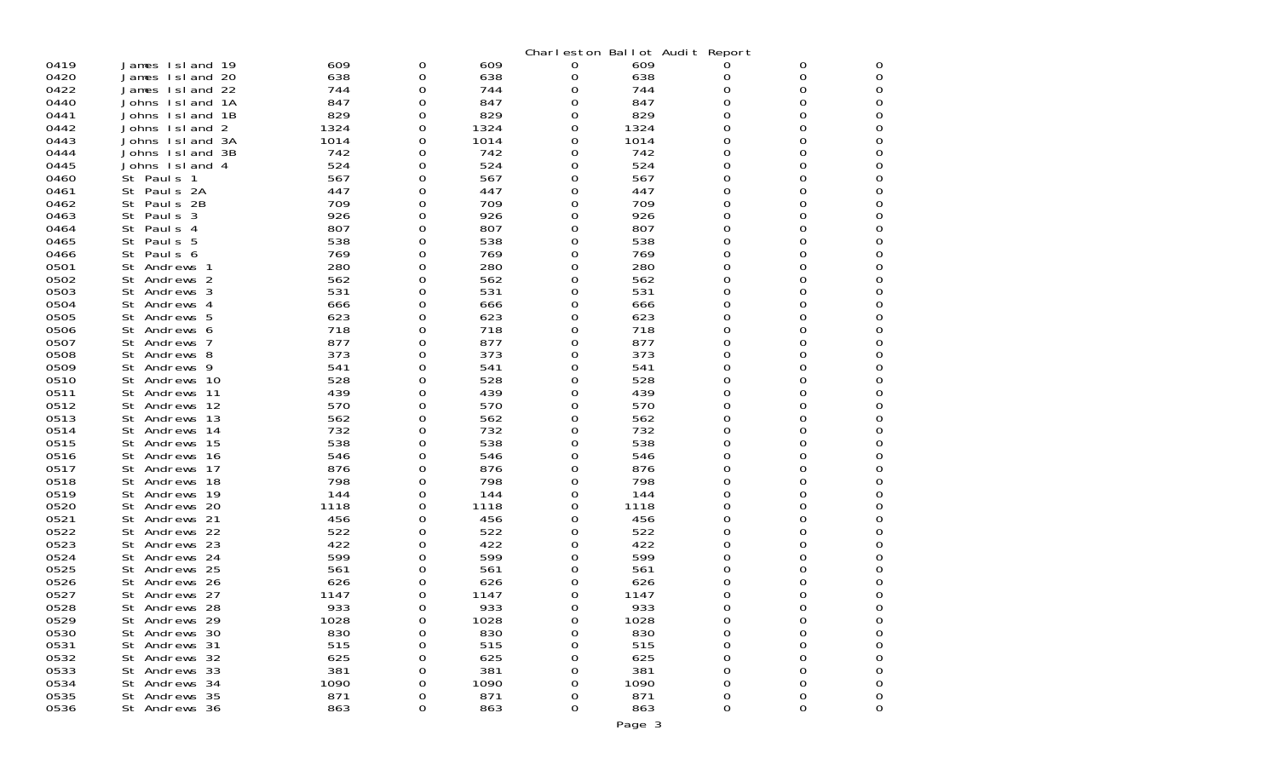|      |                     |      |   |      |   |      | Charleston Ballot Audit Report |   |   |
|------|---------------------|------|---|------|---|------|--------------------------------|---|---|
| 0419 | James Island 19     | 609  | 0 | 609  | 0 | 609  |                                | 0 | 0 |
| 0420 | James Island 20     | 638  | 0 | 638  | 0 | 638  | 0                              | 0 | 0 |
| 0422 | James Island 22     | 744  | 0 | 744  | 0 | 744  | 0                              | 0 | 0 |
| 0440 | Johns Island<br>1A  | 847  | 0 | 847  | 0 | 847  | 0                              | 0 | 0 |
| 0441 | 1B<br>Johns Island  | 829  | 0 | 829  | 0 | 829  | 0                              | O | 0 |
| 0442 | 2<br>Johns Island   | 1324 | 0 | 1324 | 0 | 1324 | 0                              | Ω | 0 |
| 0443 | Johns Island 3A     | 1014 | 0 | 1014 | 0 | 1014 | 0                              | O | 0 |
| 0444 | Johns Island<br>-3B | 742  | 0 | 742  | 0 | 742  | 0                              | Ω | 0 |
| 0445 | Johns Island 4      | 524  | 0 | 524  | 0 | 524  | 0                              | Ω | 0 |
| 0460 | St Pauls 1          | 567  | 0 | 567  | 0 | 567  | 0                              | O | 0 |
| 0461 | St Pauls 2A         | 447  | 0 | 447  | 0 | 447  | 0                              | O | 0 |
| 0462 | St Pauls 2B         | 709  | 0 | 709  | 0 | 709  | 0                              | Ω | 0 |
| 0463 | St<br>Paul s 3      | 926  | 0 | 926  | 0 | 926  | 0                              | O | 0 |
| 0464 | St Pauls 4          | 807  | 0 | 807  | 0 | 807  | 0                              | O | 0 |
| 0465 | St Pauls 5          | 538  | Ω | 538  | 0 | 538  | 0                              | O | 0 |
| 0466 | St<br>Paul s 6      | 769  | 0 | 769  | 0 | 769  | 0                              | O | 0 |
| 0501 | St Andrews 1        | 280  | 0 | 280  | 0 | 280  | 0                              | 0 | 0 |
| 0502 | St Andrews 2        | 562  | 0 | 562  | 0 | 562  | 0                              | Ω | 0 |
| 0503 | St Andrews 3        | 531  | 0 | 531  | 0 | 531  | 0                              | O | 0 |
| 0504 | St Andrews 4        | 666  | 0 | 666  | 0 | 666  | 0                              | Ω | 0 |
| 0505 | St Andrews 5        | 623  | 0 | 623  | 0 | 623  | 0                              | Ω | 0 |
| 0506 | Andrews 6<br>St     | 718  | 0 | 718  | 0 | 718  | 0                              | O | 0 |
| 0507 | St Andrews 7        | 877  | 0 | 877  | 0 | 877  | 0                              | Ω | 0 |
| 0508 | St Andrews 8        | 373  | 0 | 373  | 0 | 373  | 0                              | Ω | 0 |
| 0509 | Andrews 9<br>St     | 541  | 0 | 541  | 0 | 541  | 0                              | O | 0 |
| 0510 | St Andrews 10       | 528  | 0 | 528  | 0 | 528  | 0                              | Ω | 0 |
| 0511 | St Andrews 11       | 439  | 0 | 439  | 0 | 439  | 0                              | 0 | 0 |
| 0512 | St<br>Andrews 12    | 570  | 0 | 570  | 0 | 570  | 0                              | 0 | 0 |
| 0513 | St Andrews 13       | 562  | 0 | 562  | 0 | 562  | 0                              | Ω | 0 |
| 0514 | St Andrews 14       | 732  | 0 | 732  | 0 | 732  | 0                              | Ω | 0 |
| 0515 | St Andrews 15       | 538  | 0 | 538  | 0 | 538  | 0                              | O | 0 |
| 0516 | St Andrews 16       | 546  | 0 | 546  | 0 | 546  | 0                              | Ω | 0 |
| 0517 | St Andrews 17       | 876  | 0 | 876  | 0 | 876  | 0                              | O | 0 |
| 0518 | Andrews 18<br>St    | 798  | 0 | 798  | 0 | 798  | 0                              | O | 0 |
| 0519 | St Andrews 19       | 144  | 0 | 144  | 0 | 144  | 0                              | Ω | 0 |
| 0520 | St Andrews 20       | 1118 | 0 | 1118 | 0 | 1118 | 0                              | O | 0 |
| 0521 | St Andrews 21       | 456  | 0 | 456  | 0 | 456  | 0                              | O | 0 |
| 0522 | St Andrews 22       | 522  | O | 522  | 0 | 522  | 0                              | O | 0 |
| 0523 | Andrews 23<br>St    | 422  | 0 | 422  | 0 | 422  | 0                              | O | 0 |
| 0524 | St<br>Andrews 24    | 599  | 0 | 599  | 0 | 599  | 0                              | Ω | 0 |
| 0525 | St Andrews 25       | 561  | 0 | 561  | O | 561  | Ω                              | O | 0 |
| 0526 | Andrews 26<br>St    | 626  | 0 | 626  | 0 | 626  | 0                              | O | 0 |
| 0527 | St Andrews 27       | 1147 | 0 | 1147 | 0 | 1147 | 0                              | O | 0 |
| 0528 | St Andrews 28       | 933  | 0 | 933  | 0 | 933  | O                              | O | ი |
| 0529 | St Andrews 29       | 1028 | 0 | 1028 | 0 | 1028 | 0                              | 0 | 0 |
| 0530 | St Andrews 30       | 830  | 0 | 830  | 0 | 830  | 0                              | O | 0 |
| 0531 | St Andrews 31       | 515  | 0 | 515  | 0 | 515  | 0                              | 0 | 0 |
| 0532 | St Andrews 32       | 625  | 0 | 625  | 0 | 625  | 0                              | 0 | 0 |
| 0533 | St Andrews 33       | 381  | 0 | 381  | 0 | 381  | 0                              | 0 | 0 |
| 0534 | St Andrews 34       | 1090 | 0 | 1090 | 0 | 1090 | 0                              | 0 | 0 |
| 0535 | St Andrews 35       | 871  | 0 | 871  | 0 | 871  | 0                              | 0 | 0 |
| 0536 | St Andrews 36       | 863  | 0 | 863  | 0 | 863  | 0                              | 0 | 0 |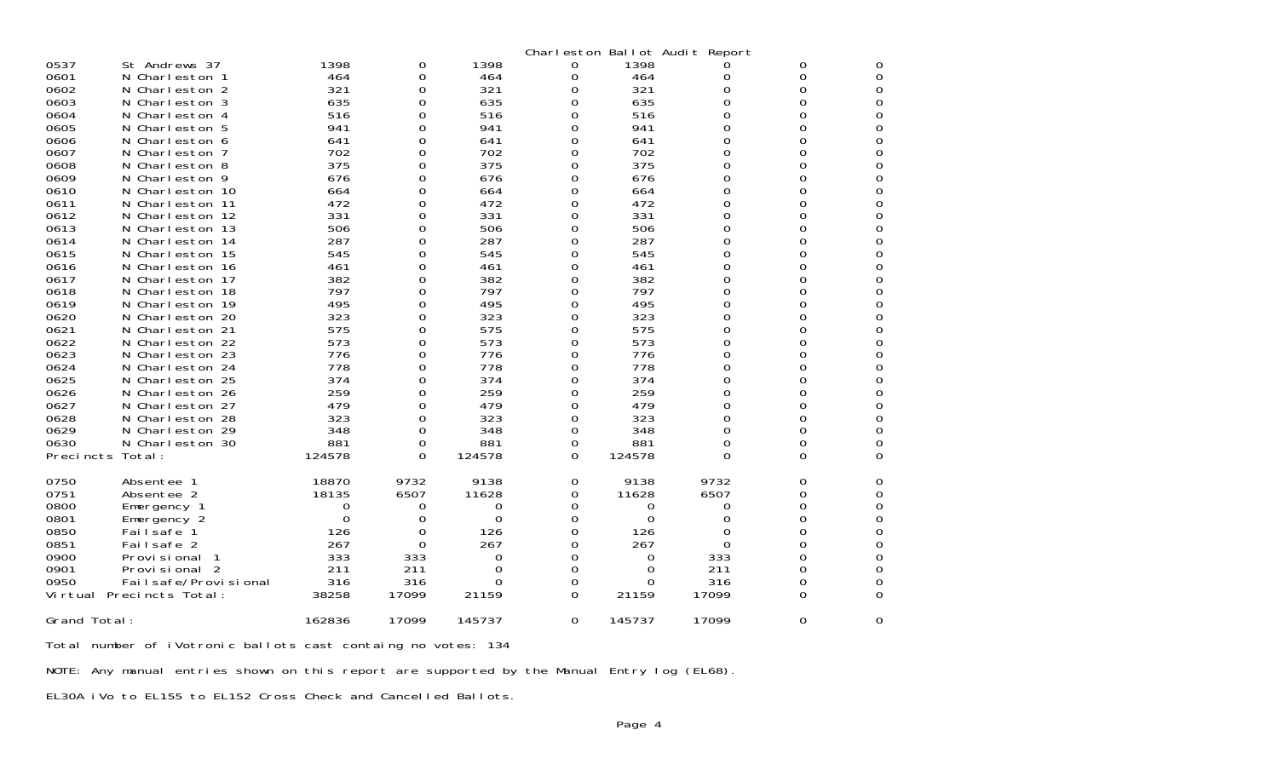| 0537<br>0601<br>0602<br>0603<br>0604<br>0605<br>0606<br>0607<br>0608<br>0609<br>0610<br>0611<br>0612<br>0613<br>0614<br>0615<br>0616<br>0617<br>0618<br>0619<br>0620<br>0621<br>0622 | St Andrews 37<br>N Charleston 1<br>Charleston 2<br>N.<br>N Charleston 3<br>N Charleston 4<br>N Charleston 5<br>N Charleston 6<br>N Charleston 7<br>N Charleston 8<br>N Charleston 9<br>N Charleston 10<br>Charleston 11<br>N.<br>N Charleston 12<br>N Charleston 13<br>N Charleston 14<br>N Charleston 15<br>Charleston 16<br>N.<br>N Charleston 17<br>Charleston 18<br>N.<br>N Charleston 19<br>Charleston 20<br>N.<br>N.<br>Charleston 21<br>N Charleston 22 | 1398<br>464<br>321<br>635<br>516<br>941<br>641<br>702<br>375<br>676<br>664<br>472<br>331<br>506<br>287<br>545<br>461<br>382<br>797<br>495<br>323<br>575<br>573 | 0<br>0<br>0<br>0<br>0<br>0<br>0<br>0<br>0<br>0<br>0<br>0<br>0<br>0<br>0<br>0<br>0<br>0<br>0<br>0<br>0<br>0<br>0 | 1398<br>464<br>321<br>635<br>516<br>941<br>641<br>702<br>375<br>676<br>664<br>472<br>331<br>506<br>287<br>545<br>461<br>382<br>797<br>495<br>323<br>575<br>573 | 0<br>0<br>0<br>0<br>0<br>0<br>0<br>0<br>0<br>0<br>0<br>0<br>0<br>0<br>0<br>0<br>0<br>0<br>0<br>0<br>0<br>0<br>0 | 1398<br>464<br>321<br>635<br>516<br>941<br>641<br>702<br>375<br>676<br>664<br>472<br>331<br>506<br>287<br>545<br>461<br>382<br>797<br>495<br>323<br>575<br>573 | Charleston Ballot Audit Report<br>0<br>0<br>$\Omega$<br>0<br>0<br>0<br>0<br>0<br>0<br>O<br>0<br>0<br>0<br>O<br>O<br>O<br>0<br>0<br>0<br>O<br>Ω<br>Ω<br>0 | 0<br>0<br>$\Omega$<br>0<br>0<br>0<br>0<br>0<br>0<br>0<br>0<br>0<br>0<br>0<br>0<br>0<br>0<br>0<br>0<br>0<br>0<br>0<br>0 | 0<br>0<br>0<br>0<br>0<br>0<br>0<br>Ω<br>0<br>0<br>0<br>0<br>Ω<br>0<br>0<br>0<br>0<br>Ω<br>0<br>0<br>0<br>0<br>Ω |
|--------------------------------------------------------------------------------------------------------------------------------------------------------------------------------------|----------------------------------------------------------------------------------------------------------------------------------------------------------------------------------------------------------------------------------------------------------------------------------------------------------------------------------------------------------------------------------------------------------------------------------------------------------------|----------------------------------------------------------------------------------------------------------------------------------------------------------------|-----------------------------------------------------------------------------------------------------------------|----------------------------------------------------------------------------------------------------------------------------------------------------------------|-----------------------------------------------------------------------------------------------------------------|----------------------------------------------------------------------------------------------------------------------------------------------------------------|----------------------------------------------------------------------------------------------------------------------------------------------------------|------------------------------------------------------------------------------------------------------------------------|-----------------------------------------------------------------------------------------------------------------|
| 0624<br>0625<br>0626<br>0627<br>0628<br>0629<br>0630<br>Precincts                                                                                                                    | N Charleston 24<br>N Charleston 25<br>N Charleston 26<br>N Charleston 27<br>N Charleston 28<br>Charleston 29<br>N.<br>N Charleston 30<br>Total:                                                                                                                                                                                                                                                                                                                | 778<br>374<br>259<br>479<br>323<br>348<br>881<br>124578                                                                                                        | 0<br>0<br>0<br>0<br>0<br>0<br>0<br>0                                                                            | 778<br>374<br>259<br>479<br>323<br>348<br>881<br>124578                                                                                                        | 0<br>0<br>0<br>0<br>0<br>0<br>0<br>0                                                                            | 778<br>374<br>259<br>479<br>323<br>348<br>881<br>124578                                                                                                        | $\Omega$<br>0<br>0<br>0<br>0<br>O<br>0<br>O                                                                                                              | 0<br>0<br>0<br>0<br>0<br>0<br>0<br>0                                                                                   | 0<br>0<br>0<br>Ω<br>0<br>0<br>0<br>0                                                                            |
| 0750<br>0751<br>0800<br>0801<br>0850<br>0851<br>0900                                                                                                                                 | Absentee<br>Absentee 2<br>Emergency 1<br>Emergency 2<br>Failsafe<br>Failsafe 2<br>Provi si onal                                                                                                                                                                                                                                                                                                                                                                | 18870<br>18135<br>0<br>$\mathbf 0$<br>126<br>267<br>333                                                                                                        | 9732<br>6507<br>0<br>0<br>0<br>0<br>333                                                                         | 9138<br>11628<br>0<br>$\Omega$<br>126<br>267<br>0                                                                                                              | 0<br>0<br>0<br>0<br>0<br>0<br>0                                                                                 | 9138<br>11628<br>0<br>0<br>126<br>267<br>0                                                                                                                     | 9732<br>6507<br>0<br>0<br>0<br>0<br>333                                                                                                                  | 0<br>0<br>0<br>0<br>0<br>0<br>0                                                                                        | O<br>0<br>0<br>0<br>0<br>Ω<br>0                                                                                 |
| 0901<br>0950<br>Vi rtual<br>Grand Total:                                                                                                                                             | Provisional 2<br>Fai I safe/Provi si onal<br>Precincts Total:                                                                                                                                                                                                                                                                                                                                                                                                  | 211<br>316<br>38258<br>162836                                                                                                                                  | 211<br>316<br>17099<br>17099                                                                                    | 0<br>0<br>21159<br>145737                                                                                                                                      | 0<br>0<br>0<br>0                                                                                                | 0<br>0<br>21159<br>145737                                                                                                                                      | 211<br>316<br>17099<br>17099                                                                                                                             | 0<br>0<br>0<br>0                                                                                                       | 0<br>0<br>0<br>0                                                                                                |

Total number of iVotronic ballots cast containg no votes: 134

NOTE: Any manual entries shown on this report are supported by the Manual Entry log (EL68).

EL30A iVo to EL155 to EL152 Cross Check and Cancelled Ballots.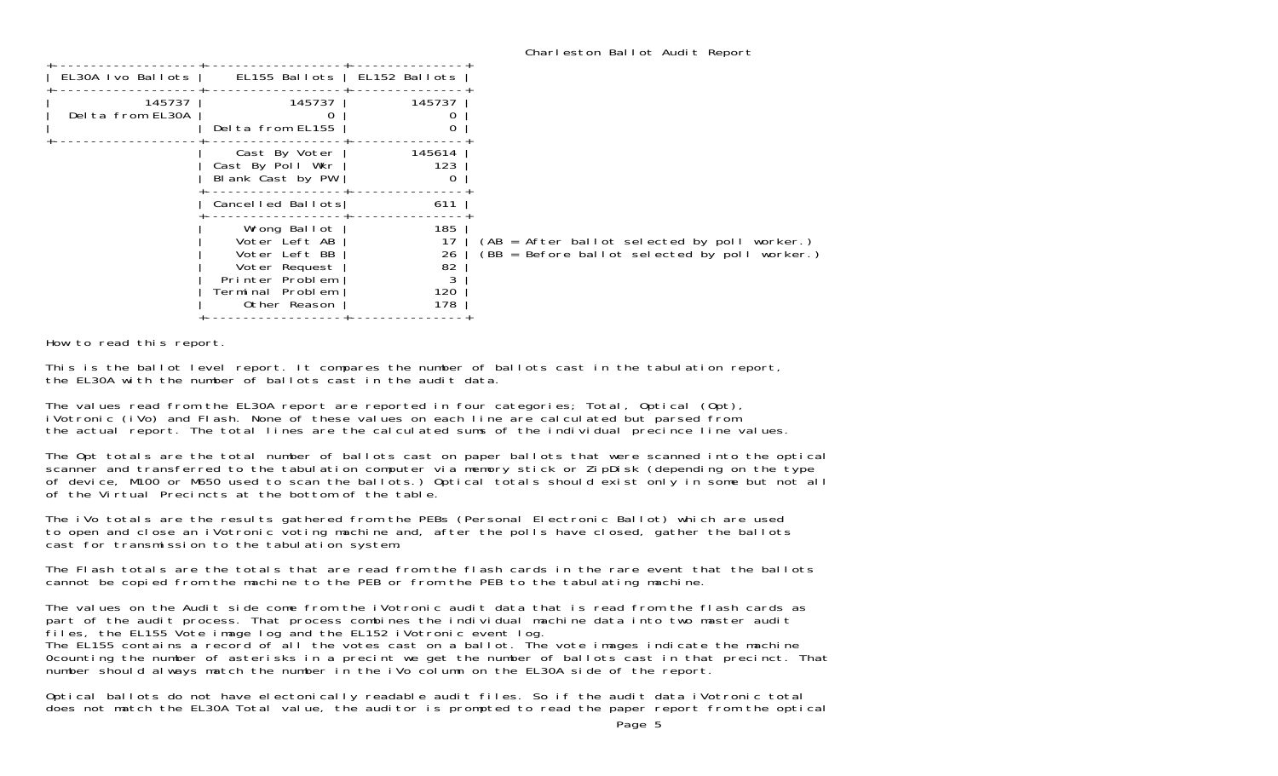How to read this report.

This is the ballot level report. It compares the number of ballots cast in the tabulation report, the EL30A with the number of ballots cast in the audit data.

The values read from the EL30A report are reported in four categories; Total, Optical (Opt), iVotronic (iVo) and Flash. None of these values on each line are calculated but parsed from the actual report. The total lines are the calculated sums of the individual precince line values.

The Opt totals are the total number of ballots cast on paper ballots that were scanned into the optical scanner and transferred to the tabulation computer via memory stick or ZipDisk (depending on the type of device, M100 or M650 used to scan the ballots.) Optical totals should exist only in some but not all of the Virtual Precincts at the bottom of the table.

The iVo totals are the results gathered from the PEBs (Personal Electronic Ballot) which are used to open and close an iVotronic voting machine and, after the polls have closed, gather the ballots cast for transmission to the tabulation system.

The Flash totals are the totals that are read from the flash cards in the rare event that the ballots cannot be copied from the machine to the PEB or from the PEB to the tabulating machine.

The values on the Audit side come from the iVotronic audit data that is read from the flash cards as part of the audit process. That process combines the individual machine data into two master audit files, the EL155 Vote image log and the EL152 iVotronic event log. The EL155 contains a record of all the votes cast on a ballot. The vote images indicate the machine 0counting the number of asterisks in a precint we get the number of ballots cast in that precinct. That number should always match the number in the iVo column on the EL30A side of the report.

Optical ballots do not have electonically readable audit files. So if the audit data iVotronic total does not match the EL30A Total value, the auditor is prompted to read the paper report from the optical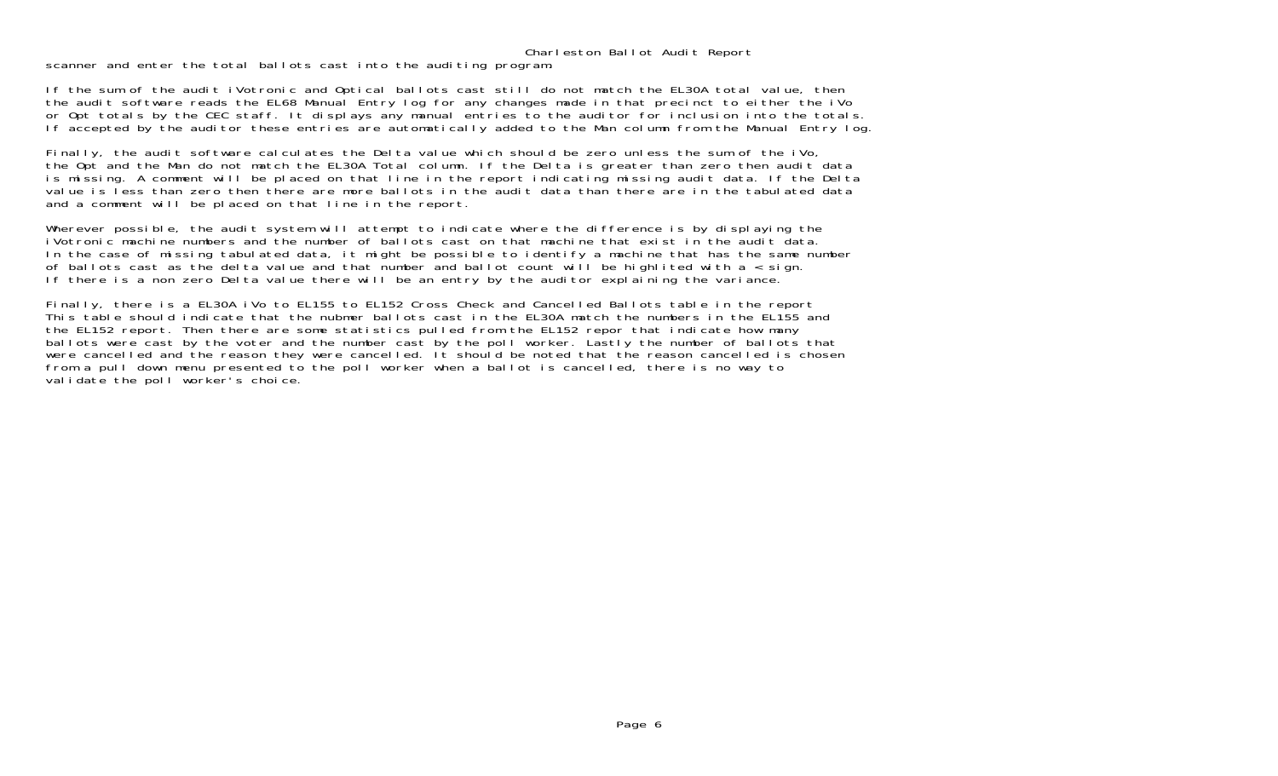## Charleston Ballot Audit Report

scanner and enter the total ballots cast into the auditing program.

If the sum of the audit iVotronic and Optical ballots cast still do not match the EL30A total value, then the audit software reads the EL68 Manual Entry log for any changes made in that precinct to either the iVo or Opt totals by the CEC staff. It displays any manual entries to the auditor for inclusion into the totals. If accepted by the auditor these entries are automatically added to the Man column from the Manual Entry log.

Finally, the audit software calculates the Delta value which should be zero unless the sum of the iVo, the Opt and the Man do not match the EL30A Total column. If the Delta is greater than zero then audit data is missing. A comment will be placed on that line in the report indicating missing audit data. If the Delta value is less than zero then there are more ballots in the audit data than there are in the tabulated data and a comment will be placed on that line in the report.

Wherever possible, the audit system will attempt to indicate where the difference is by displaying the iVotronic machine numbers and the number of ballots cast on that machine that exist in the audit data.In the case of missing tabulated data, it might be possible to identify a machine that has the same number of ballots cast as the delta value and that number and ballot count will be highlited with a < sign. If there is a non zero Delta value there will be an entry by the auditor explaining the variance.

Finally, there is a EL30A iVo to EL155 to EL152 Cross Check and Cancelled Ballots table in the report This table should indicate that the nubmer ballots cast in the EL30A match the numbers in the EL155 and the EL152 report. Then there are some statistics pulled from the EL152 repor that indicate how many ballots were cast by the voter and the number cast by the poll worker. Lastly the number of ballots that were cancelled and the reason they were cancelled. It should be noted that the reason cancelled is chosen from a pull down menu presented to the poll worker when a ballot is cancelled, there is no way to validate the poll worker's choice.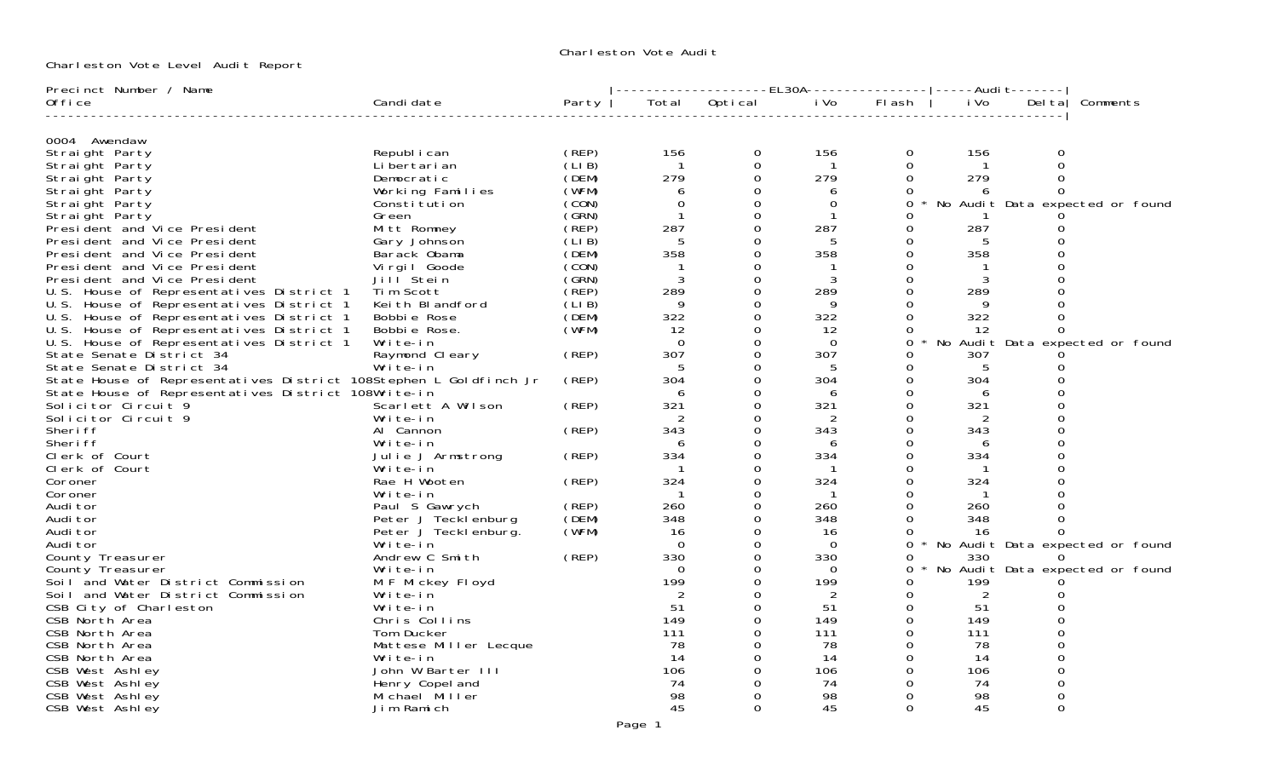Charleston Vote Audit

Charleston Vote Level Audit Report

| Precinct Number / Name                                                                                                                               |                       |             |                | -------------------EL30A----------------- -----Audit------- |                |                |      |          |                                   |
|------------------------------------------------------------------------------------------------------------------------------------------------------|-----------------------|-------------|----------------|-------------------------------------------------------------|----------------|----------------|------|----------|-----------------------------------|
| 0ffice                                                                                                                                               | Candi date            | Party       |                | Total Optical iVo                                           |                | Flash          | i Vo | Del tal  | Comments                          |
|                                                                                                                                                      |                       |             |                |                                                             |                |                |      |          |                                   |
| 0004 Awendaw<br>Straight Party                                                                                                                       | Republ i can          | (REP)       | 156            | 0                                                           | 156            | $\Omega$       | 156  | 0        |                                   |
| Straight Party                                                                                                                                       | Li bertari an         | (LIB)       | $\overline{1}$ | $\Omega$                                                    |                | $\Omega$       |      | $\Omega$ |                                   |
| Straight Party                                                                                                                                       | Democratic            | (DEM)       | 279            | $\Omega$                                                    | 279            | $\Omega$       | 279  | $\Omega$ |                                   |
| Straight Party                                                                                                                                       | Working Families      | (WFM)       | 6              |                                                             | 6              | $\Omega$       |      | $\Omega$ |                                   |
| Straight Party                                                                                                                                       | Constitution          | (CON)       | $\Omega$       | $\Omega$                                                    | $\Omega$       | $\Omega$       |      |          | * No Audit Data expected or found |
| Straight Party                                                                                                                                       | Green                 | (GRN)       |                | 0                                                           |                | 0              |      |          |                                   |
| President and Vice President                                                                                                                         | Mitt Romney           | (REP)       | 287            | $\Omega$                                                    | 287            | $\Omega$       | 287  |          |                                   |
| President and Vice President                                                                                                                         | Gary Johnson          | (LI B)      |                |                                                             |                | 0              |      |          |                                   |
|                                                                                                                                                      | Barack Obama          | (DEM)       | 358            | 0                                                           | 358            | $\Omega$       | 358  |          |                                   |
|                                                                                                                                                      | Virgil Goode          | (CON)       |                |                                                             |                | 0              |      |          |                                   |
|                                                                                                                                                      | Jill Stein            | (GRN)       | 3              | 0                                                           | 3              | $\Omega$       | 3    |          |                                   |
| President and Vice President<br>President and Vice President<br>U.S. House of Representatives District 1<br>U.S. House of Representatives District 1 | Tim Scott             | (REP)       | 289            |                                                             | 289            | $\overline{0}$ | 289  |          |                                   |
|                                                                                                                                                      | Keith Blandford       | (LIB)       | 9              | 0                                                           | 9              | 0              | 9    |          |                                   |
|                                                                                                                                                      | Bobbie Rose           | (DEM)       | 322            |                                                             | 322            | 0              | 322  |          |                                   |
| U.S. House of Representatives District 1<br>U.S. House of Representatives District 1                                                                 | Bobbie Rose.          | (WFM)       | 12             | 0                                                           | 12             | $\Omega$       | 12   | $\Omega$ |                                   |
| U.S. House of Representatives District 1                                                                                                             | Write-in              |             | $\Omega$       |                                                             | $\Omega$       | $\Omega$       |      |          | No Audit Data expected or found   |
| State Senate District 34                                                                                                                             | Raymond Cleary        | (REP)       | 307            |                                                             | 307            | 0              | 307  |          |                                   |
| State Senate District 34                                                                                                                             | Write-in              |             |                |                                                             |                | 0              | 5    |          |                                   |
| State House of Representatives District 108Stephen L Goldfinch Jr                                                                                    |                       | (REP)       | 304            | 0                                                           | 304            | 0              | 304  |          |                                   |
| State House of Representatives District 108Write-in                                                                                                  |                       |             | 6              |                                                             | 6              | 0              | 6    |          |                                   |
| Solicitor Circuit 9                                                                                                                                  | Scarlett A Wilson     | (REP)       | 321            |                                                             | 321            | 0              | 321  |          |                                   |
| Solicitor Circuit 9                                                                                                                                  | Write-in              |             | 2              |                                                             | 2              | $\Omega$       | 2    |          |                                   |
| Sheri ff                                                                                                                                             | Al Cannon             | $($ REP $)$ | 343            |                                                             | 343            | 0              | 343  |          |                                   |
| Sheri ff                                                                                                                                             | Write-in              |             | 6              |                                                             | 6              | $\Omega$       | 6    |          |                                   |
| Clerk of Court                                                                                                                                       | Julie J Armstrong     | $($ REP $)$ | 334            |                                                             | 334            | 0              | 334  |          |                                   |
| Clerk of Court                                                                                                                                       | Write-in              |             |                |                                                             |                | $\Omega$       |      |          |                                   |
| Coroner                                                                                                                                              | Rae H Wooten          | (REP)       | 324            | 0                                                           | 324            | $\mathbf 0$    | 324  |          |                                   |
| Coroner                                                                                                                                              | Write-in              |             | $\mathbf{1}$   | $\Omega$                                                    | $\overline{1}$ | $\Omega$       |      |          |                                   |
| Audi tor                                                                                                                                             | Paul S Gawrych        | (REP)       | 260            | 0                                                           | 260            | 0              | 260  |          |                                   |
| Audi tor                                                                                                                                             | Peter J Tecklenburg   | (DEM)       | 348            |                                                             | 348            | $\Omega$       | 348  |          |                                   |
| Audi tor                                                                                                                                             | Peter J Teckl enburg. | (WFM)       | - 16           | 0                                                           | -16            | 0              | 16   | ∩        |                                   |
| Audi tor                                                                                                                                             | Write-in              |             | $\Omega$       |                                                             | $\Omega$       | $\Omega$       |      |          | * No Audit Data expected or found |
| County Treasurer                                                                                                                                     | Andrew C Smith        | (REP)       | 330            |                                                             | 330            | 0              | 330  |          |                                   |
| County Treasurer                                                                                                                                     | Write-in              |             | $\Omega$       |                                                             | $\Omega$       | $\Omega$       |      |          | * No Audit Data expected or found |
| Soil and Water District Commission                                                                                                                   | M F Mickey Floyd      |             | 199            |                                                             | 199            | 0              | 199  |          |                                   |
| Soil and Water District Commission                                                                                                                   | Write-in              |             |                |                                                             | 2              | 0              | 2    |          |                                   |
| CSB City of Charleston                                                                                                                               | Write-in              |             | -51            |                                                             | 51             | 0              | 51   |          |                                   |
| CSB North Area                                                                                                                                       | Chris Collins         |             | 149            |                                                             | 149            | $\Omega$       | 149  |          |                                   |
| CSB North Area                                                                                                                                       | Tom Ducker            |             | 111            |                                                             | 111            | $\mathbf 0$    | 111  |          |                                   |
| CSB North Area                                                                                                                                       | Mattese Miller Lecque |             | - 78           |                                                             | 78             | $\Omega$       | 78   |          |                                   |
| CSB North Area                                                                                                                                       | Write-in              |             | 14             |                                                             | 14             | $\mathbf 0$    | 14   |          |                                   |
| CSB West Ashley                                                                                                                                      | John W Barter III     |             | 106            |                                                             | 106            | $\Omega$       | 106  |          |                                   |
| CSB West Ashley                                                                                                                                      | Henry Copel and       |             | 74             |                                                             | 74             | 0              | 74   |          |                                   |
| CSB West Ashley                                                                                                                                      | Michael Miller        |             | 98             |                                                             | 98             | $\Omega$       | 98   | 0        |                                   |
| CSB West Ashley                                                                                                                                      | Jim Ramich            |             | 45             | $\Omega$                                                    | 45             | $\Omega$       | 45   | O        |                                   |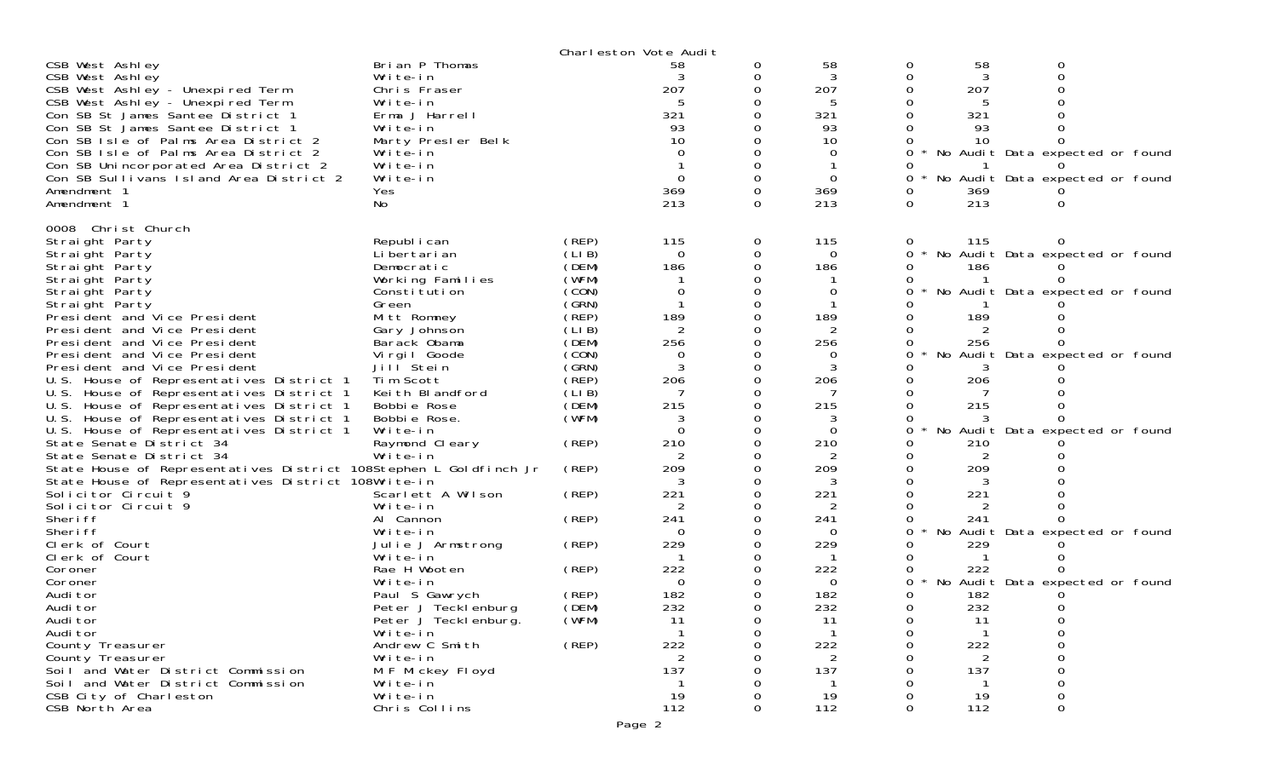|                                                                   |                      |        | Charleston Vote Audit |        |                |   |     |                                 |  |
|-------------------------------------------------------------------|----------------------|--------|-----------------------|--------|----------------|---|-----|---------------------------------|--|
| CSB West Ashley                                                   | Brian P Thomas       |        | 58                    | 0      | 58             | O | 58  |                                 |  |
| CSB West Ashley                                                   | Write-in             |        |                       |        | 3              |   | 3   |                                 |  |
| CSB West Ashley - Unexpired Term                                  | Chris Fraser         |        | 207                   |        | 207            |   | 207 |                                 |  |
| CSB West Ashley - Unexpired Term                                  | Write-in             |        | 5                     |        | 5              |   |     |                                 |  |
| Con SB St James Santee District 1                                 | Erma J Harrell       |        | 321                   |        | 321            |   | 321 |                                 |  |
| Con SB St James Santee District 1                                 | Write-in             |        | 93                    |        | 93             |   | 93  |                                 |  |
| Con SB Isle of Palms Area District 2                              | Marty Presler Belk   |        | 10                    |        | 10             |   | 10  |                                 |  |
| Con SB Isle of Palms Area District 2                              | Write-in             |        | $\Omega$              |        | 0              |   |     | No Audit Data expected or found |  |
| Con SB Unincorporated Area District 2                             | Write-in             |        |                       |        |                |   |     |                                 |  |
| Con SB Sullivans Island Area District 2                           | Write-in             |        | $\Omega$              | 0      | $\Omega$       | 0 |     | No Audit Data expected or found |  |
| Amendment 1                                                       | Yes                  |        | 369                   | 0      | 369            | 0 | 369 |                                 |  |
|                                                                   |                      |        | 213                   | 0      | 213            | 0 | 213 |                                 |  |
| Amendment 1                                                       | No                   |        |                       |        |                |   |     |                                 |  |
| 0008 Christ Church                                                |                      |        |                       |        |                |   |     |                                 |  |
| Straight Party                                                    | Republ i can         | (REP)  | 115                   | 0      | 115            | 0 | 115 |                                 |  |
|                                                                   | Li bertari an        | (LI B) | $\mathbf 0$           |        | $\Omega$       | 0 |     |                                 |  |
| Straight Party                                                    |                      |        | 186                   | 0<br>0 |                | 0 |     | No Audit Data expected or found |  |
| Straight Party                                                    | Democratic           | (DEM)  |                       |        | 186            |   | 186 |                                 |  |
| Straight Party                                                    | Working Families     | (WFM)  |                       |        |                |   |     |                                 |  |
| Straight Party                                                    | Constitution         | (CON)  | $\Omega$              |        | $\overline{0}$ |   |     | No Audit Data expected or found |  |
| Straight Party                                                    | Green                | (GRN)  |                       |        |                |   |     |                                 |  |
| President and Vice President                                      | Mitt Romney          | (REP)  | 189                   |        | 189            |   | 189 |                                 |  |
| President and Vice President                                      | Gary Johnson         | (LI B) | 2                     |        |                |   |     |                                 |  |
| President and Vice President                                      | Barack Obama         | (DEM)  | 256                   |        | 256            |   | 256 |                                 |  |
| President and Vice President                                      | Virgil Goode         | (CON)  | 0                     |        | 0              |   | No  | Audit Data expected or found    |  |
| President and Vice President                                      | Jill Stein           | (GRN)  | 3                     | 0      | 3              |   |     |                                 |  |
| U.S. House of Representatives District 1                          | Tim Scott            | (REP)  | 206                   |        | 206            |   | 206 |                                 |  |
| U.S. House of Representatives District 1                          | Keith Blandford      | (LI B) |                       |        |                |   |     |                                 |  |
| U.S. House of Representatives District 1                          | Bobbie Rose          | (DEM)  | 215                   | 0      | 215            |   | 215 |                                 |  |
| U.S. House of Representatives District 1                          | Bobbie Rose.         | (WFM)  |                       |        |                |   |     |                                 |  |
| U.S. House of Representatives District 1                          | Write-in             |        | $\Omega$              | 0      | $\Omega$       | 0 | No  | Audit Data expected or found    |  |
| State Senate District 34                                          | Raymond Cleary       | (REP)  | 210                   | 0      | 210            |   | 210 |                                 |  |
| State Senate District 34                                          | Write-in             |        |                       |        |                |   |     |                                 |  |
| State House of Representatives District 108Stephen L Goldfinch Jr |                      | (REP)  | 209                   | ∩      | 209            |   | 209 |                                 |  |
| State House of Representatives District 108Write-in               |                      |        | 3                     | 0      | 3              |   | 3   |                                 |  |
| Solicitor Circuit 9                                               | Scarlett A Wilson    | (REP)  | 221                   |        | 221            |   | 221 |                                 |  |
| Solicitor Circuit 9                                               | Write-in             |        | 2                     | O      | 2              |   |     |                                 |  |
| Sheri ff                                                          | Al Cannon            | (REP)  | 241                   |        | 241            |   | 241 |                                 |  |
| Sheri ff                                                          | Write-in             |        | 0                     |        | $\Omega$       |   |     | No Audit Data expected or found |  |
| Clerk of Court                                                    | Julie J Armstrong    | (REP)  | 229                   |        | 229            |   | 229 |                                 |  |
| Clerk of Court                                                    | Write-in             |        |                       |        |                |   |     |                                 |  |
|                                                                   |                      |        |                       |        |                |   |     |                                 |  |
| Coroner                                                           | Rae H Wooten         | (REP)  | 222                   |        | 222            |   | 222 |                                 |  |
| Coroner                                                           | Write-in             |        | $\Omega$              |        | 0              | 0 | No  | Audit Data expected or found    |  |
| Audi tor                                                          | Paul S Gawrych       | (REP)  | 182                   |        | 182            |   | 182 |                                 |  |
| Audi tor                                                          | Peter J Tecklenburg  | (DEM)  | 232                   |        | 232            | 0 | 232 | O                               |  |
| Audi tor                                                          | Peter J Tecklenburg. | (WFM)  | 11                    | 0      | TТ             | 0 | 11  | 0                               |  |
| Audi tor                                                          | Write-in             |        | $\mathbf 1$           | 0      |                | 0 |     |                                 |  |
| County Treasurer                                                  | Andrew C Smith       | (REP)  | 222                   | 0      | 222            |   | 222 |                                 |  |
| County Treasurer                                                  | Write-in             |        | 2                     |        | 2              |   | 2   |                                 |  |
| Soil and Water District Commission                                | M F Mickey Floyd     |        | 137                   |        | 137            |   | 137 |                                 |  |
| Soil and Water District Commission                                | Write-in             |        | -1                    |        |                |   |     |                                 |  |
| CSB City of Charleston                                            | Write-in             |        | 19                    | 0      | 19             |   | 19  |                                 |  |
| CSB North Area                                                    | Chris Collins        |        | 112                   | 0      | 112            | 0 | 112 | 0                               |  |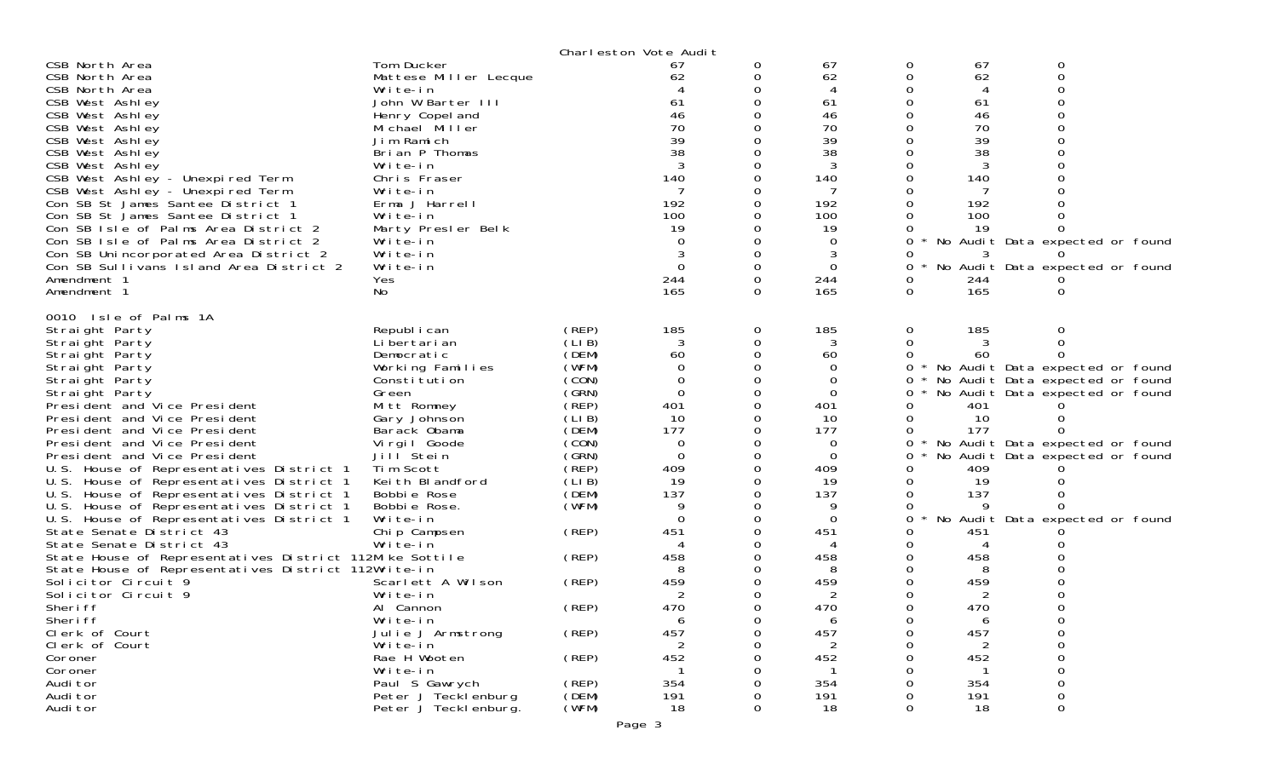|                                                         |                       |       | Charleston Vote Audit |   |             |              |                |                                 |  |
|---------------------------------------------------------|-----------------------|-------|-----------------------|---|-------------|--------------|----------------|---------------------------------|--|
| CSB North Area                                          | Tom Ducker            |       | 67                    | 0 | 67          | 0            | 67             | O                               |  |
| CSB North Area                                          | Mattese Miller Lecque |       | 62                    |   | 62          | 0            | 62             | $\Omega$                        |  |
| CSB North Area                                          | Write-in              |       |                       |   |             |              | $\overline{4}$ |                                 |  |
| CSB West Ashley                                         | John W Barter III     |       | 61                    |   | 61          |              | 61             |                                 |  |
| CSB West Ashley                                         | Henry Copel and       |       | 46                    |   | 46          |              | 46             |                                 |  |
| CSB West Ashley                                         | Michael Miller        |       | 70                    |   | 70          |              | 70             |                                 |  |
| CSB West Ashley                                         | Jim Ramich            |       | 39                    |   | 39          |              | 39             |                                 |  |
| CSB West Ashley                                         | Brian P Thomas        |       | 38                    |   | 38          |              | 38             |                                 |  |
| CSB West Ashley                                         | Write-in              |       |                       |   |             |              |                |                                 |  |
| CSB West Ashley - Unexpired Term                        | Chris Fraser          |       | 140                   |   | 140         |              | 140            |                                 |  |
| CSB West Ashley - Unexpired Term                        | Write-in              |       |                       |   |             |              |                |                                 |  |
| Con SB St James Santee District 1                       | Erma J Harrell        |       | 192                   |   | 192         |              | 192            |                                 |  |
| Con SB St James Santee District 1                       | Write-in              |       | 100                   |   | 100         |              | 100            |                                 |  |
| Con SB Isle of Palms Area District 2                    | Marty Presler Belk    |       | 19                    |   | 19          |              | 19             |                                 |  |
| Con SB Isle of Palms Area District 2                    | Write-in              |       | $\Omega$              |   | 0           |              |                | No Audit Data expected or found |  |
| Con SB Unincorporated Area District 2                   | Write-in              |       | 3                     |   | 3           |              |                |                                 |  |
| Con SB Sullivans Island Area District 2                 | Write-in              |       | $\Omega$              |   | $\Omega$    | 0            |                | No Audit Data expected or found |  |
| Amendment 1                                             |                       |       | 244                   |   | 244         |              | 244            |                                 |  |
|                                                         | Yes                   |       | 165                   |   | 165         |              | 165            |                                 |  |
| Amendment 1                                             | No                    |       |                       | 0 |             | 0            |                |                                 |  |
| 0010 Isle of Palms 1A                                   |                       |       |                       |   |             |              |                |                                 |  |
| Straight Party                                          | Republ i can          | (REP) | 185                   | 0 | 185         | 0            | 185            |                                 |  |
| Straight Party                                          | Li bertari an         | (LIB) | 3                     |   | 3           |              |                |                                 |  |
| Straight Party                                          | Democratic            | (DEM) | 60                    |   | 60          |              | 60             |                                 |  |
| Straight Party                                          | Working Families      | (WFM) | $\overline{0}$        |   | $\Omega$    | 0            |                | No Audit Data expected or found |  |
| Straight Party                                          | Constitution          | (CON) | $\Omega$              |   | 0           | <sup>o</sup> |                | No Audit Data expected or found |  |
| Straight Party                                          | Green                 | (GRN) | $\Omega$              |   | $\mathbf 0$ | 0            |                | No Audit Data expected or found |  |
| President and Vice President                            | Mitt Romney           | (REP) | 401                   |   | 401         |              | 401            |                                 |  |
| President and Vice President                            | Gary Johnson          | (LIB) | 10                    |   | 10          |              | 10             |                                 |  |
| President and Vice President                            | Barack Obama          | (DEM) | 177                   |   | 177         |              | 177            |                                 |  |
| President and Vice President                            | Virgil Goode          | (CON) | 0                     |   | $\Omega$    | 0            |                | No Audit Data expected or found |  |
| President and Vice President                            | Jill <sup>Stein</sup> | (GRN) | $\Omega$              |   | $\Omega$    | 0            |                | No Audit Data expected or found |  |
| U.S. House of Representatives District 1                | Tim Scott             | (REP) | 409                   |   | 409         |              | 409            |                                 |  |
| U.S. House of Representatives District 1                | Keith Blandford       | (LIB) | 19                    |   | 19          |              | 19             |                                 |  |
| U.S. House of Representatives District 1                | Bobbie Rose           | (DEM) | 137                   |   | 137         |              | 137            |                                 |  |
| U.S. House of Representatives District 1                | Bobbie Rose.          | (WFM) | 9                     |   | 9           |              | <b>Q</b>       |                                 |  |
| U.S. House of Representatives District 1                | Write-in              |       | $\Omega$              |   | $\Omega$    | 0            |                | No Audit Data expected or found |  |
| State Senate District 43                                | Chip Campsen          | (REP) | 451                   |   | 451         |              | 451            |                                 |  |
| State Senate District 43                                | Write-in              |       |                       |   |             |              |                |                                 |  |
| State House of Representatives District 112Mike Sottile |                       | (REP) | 458                   |   | 458         |              | 458            |                                 |  |
| State House of Representatives District 112Write-in     |                       |       |                       |   | 8           |              | 8              |                                 |  |
| Solicitor Circuit 9                                     | Scarlett A Wilson     | (REP) | 459                   |   | 459         |              | 459            |                                 |  |
| Solicitor Circuit 9                                     | Write-in              |       | 2                     |   | 2           |              | 2              |                                 |  |
| Sheri ff                                                | Al Cannon             | (REP) | 470                   |   | 470         |              | 470            |                                 |  |
| Sheri ff                                                | Write-in              |       | 6                     | 0 | 6           |              | 6              |                                 |  |
| Clerk of Court                                          | Julie J Armstrong     | (REP) | 457                   | 0 | 457         | 0            | 457            | 0                               |  |
| Clerk of Court                                          | Write-in              |       | 2                     |   | 2           |              | 2              | 0                               |  |
| Coroner                                                 | Rae H Wooten          | (REP) | 452                   |   | 452         |              | 452            |                                 |  |
| Coroner                                                 | Write-in              |       |                       |   |             |              |                |                                 |  |
| Audi tor                                                | Paul S Gawrych        | (REP) | 354                   |   | 354         |              | 354            |                                 |  |
| Audi tor                                                | Peter J Tecklenburg   | (DEM) | 191                   |   | 191         |              | 191            | 0                               |  |
| Audi tor                                                | Peter J Teckl enburg. | (WFM) | 18                    | 0 | 18          | 0            | 18             | 0                               |  |
|                                                         |                       |       |                       |   |             |              |                |                                 |  |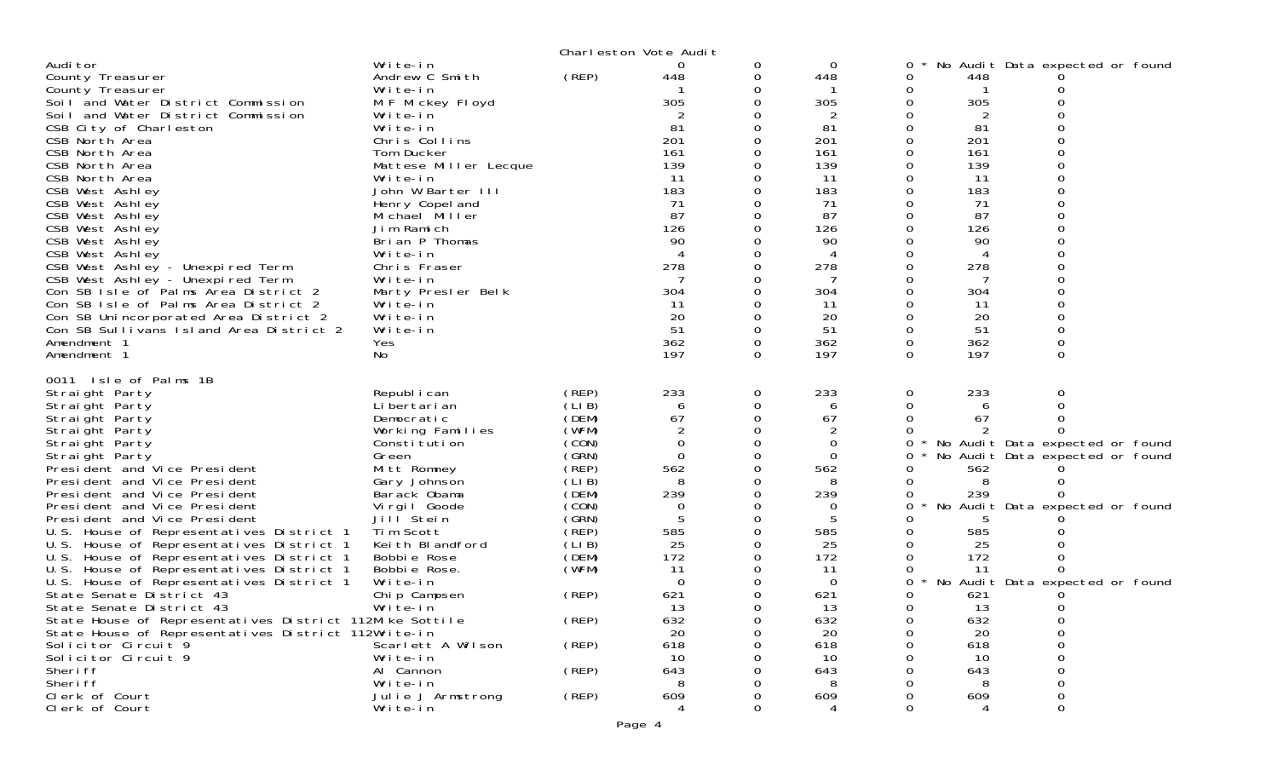|                                                                                                                                                                                                                                                                                                                                                                                                                                                                                                                                                                                                                                                                                                                                                                                                                      | Charleston Vote Audit                                                                                                                                                                                                                                                                                                                                                              |                                                                                                                                                                                  |                                                                                                                                                                                     |                                                                                              |                                                                                                                                                                                |                                                                                                                                           |                                                                                                                                 |                                                                                                                                                                                                   |  |
|----------------------------------------------------------------------------------------------------------------------------------------------------------------------------------------------------------------------------------------------------------------------------------------------------------------------------------------------------------------------------------------------------------------------------------------------------------------------------------------------------------------------------------------------------------------------------------------------------------------------------------------------------------------------------------------------------------------------------------------------------------------------------------------------------------------------|------------------------------------------------------------------------------------------------------------------------------------------------------------------------------------------------------------------------------------------------------------------------------------------------------------------------------------------------------------------------------------|----------------------------------------------------------------------------------------------------------------------------------------------------------------------------------|-------------------------------------------------------------------------------------------------------------------------------------------------------------------------------------|----------------------------------------------------------------------------------------------|--------------------------------------------------------------------------------------------------------------------------------------------------------------------------------|-------------------------------------------------------------------------------------------------------------------------------------------|---------------------------------------------------------------------------------------------------------------------------------|---------------------------------------------------------------------------------------------------------------------------------------------------------------------------------------------------|--|
| Audi tor<br>County Treasurer<br>County Treasurer<br>Soil and Water District Commission<br>Soil and Water District Commission<br>CSB City of Charleston<br>CSB North Area<br>CSB North Area<br>CSB North Area<br>CSB North Area<br>CSB West Ashley<br>CSB West Ashley<br>CSB West Ashley<br>CSB West Ashley<br>CSB West Ashley<br>CSB West Ashley<br>CSB West Ashley - Unexpired Term<br>CSB West Ashley - Unexpired Term<br>Con SB Isle of Palms Area District 2<br>Con SB Isle of Palms Area District 2<br>Con SB Unincorporated Area District 2<br>Con SB Sullivans Island Area District 2<br>Amendment 1<br>Amendment 1                                                                                                                                                                                           | Write-in<br>Andrew C Smith<br>Write-in<br>M F Mickey Floyd<br>Write-in<br>Write-in<br>Chris Collins<br>Tom Ducker<br>Mattese Miller Lecque<br>Write-in<br>John W Barter III<br>Henry Copel and<br>Michael Miller<br>Jim Ramich<br>Brian P Thomas<br>Write-in<br>Chris Fraser<br>Write-in<br>Marty Presler Belk<br>Write-in<br>Write-in<br>Write-in<br>Yes<br>No                    | (REP)                                                                                                                                                                            | 0<br>448<br>305<br>81<br>201<br>161<br>139<br>11<br>183<br>71<br>87<br>126<br>90<br>4<br>278<br>7<br>304<br>11<br>20<br>51<br>362<br>197                                            | 0<br>0<br>0<br>$\Omega$<br>Ω<br>Ω<br>$\Omega$<br>0<br>0<br>0<br>Ω<br>0<br>0<br>0<br>$\Omega$ | 0<br>448<br>305<br>2<br>81<br>201<br>161<br>139<br>11<br>183<br>71<br>87<br>126<br>90<br>4<br>278<br>304<br>11<br>20<br>51<br>362<br>197                                       | $\mathbf 0$<br>0<br>0<br>0<br>0<br>0<br>0<br>0<br>0<br>0<br>0<br>0<br>0<br>$\Omega$<br>0<br>$\Omega$<br>0<br>0<br>0<br>0<br>0<br>$\Omega$ | 448<br>305<br>81<br>201<br>161<br>139<br>11<br>183<br>71<br>87<br>126<br>90<br>4<br>278<br>304<br>-11<br>20<br>51<br>362<br>197 | No Audit Data expected or found<br>$\Omega$<br>0<br>$\Omega$<br>0<br>0<br>0<br>O<br>0<br>0<br>0<br>0<br>0                                                                                         |  |
| 0011 Isle of Palms 1B<br>Straight Party<br>Straight Party<br>Straight Party<br>Straight Party<br>Straight Party<br>Straight Party<br>President and Vice President<br>President and Vice President<br>President and Vice President<br>President and Vice President<br>President and Vice President<br>U.S. House of Representatives District 1<br>U.S. House of Representatives District 1<br>U.S. House of Representatives District 1<br>House of Representatives District 1<br>U.S.<br>U.S. House of Representatives District 1<br>State Senate District 43<br>State Senate District 43<br>State House of Representatives District 112Mike Sottile<br>State House of Representatives District 112Write-in<br>Solicitor Circuit 9<br>Solicitor Circuit 9<br>Sheri ff<br>Sheri ff<br>Clerk of Court<br>Clerk of Court | Republ i can<br>Li bertari an<br>Democratic<br>Working Families<br>Constitution<br>Green<br>Mitt Romney<br>Gary Johnson<br>Barack Obama<br>Virgil Goode<br>Jill <sup>Stein</sup><br>Tim Scott<br>Keith Blandford<br>Bobbie Rose<br>Bobbie Rose.<br>Write-in<br>Chip Campsen<br>Write-in<br>Scarlett A Wilson<br>Write-in<br>Al Cannon<br>Write-in<br>Julie J Armstrong<br>Write-in | (REP)<br>(LIB)<br>(DEM)<br>(WFM)<br>(CON)<br>(GRN)<br>(REP)<br>(LIB)<br>(DEM)<br>(CON)<br>(GRN)<br>(REP)<br>(LIB)<br>(DEM)<br>(WFM)<br>(REP)<br>(REP)<br>(REP)<br>(REP)<br>(REP) | 233<br>6<br>67<br>$\overline{2}$<br>0<br>$\Omega$<br>562<br>8<br>239<br>0<br>5<br>585<br>25<br>172<br>11<br>$\Omega$<br>621<br>13<br>632<br>20<br>618<br>10<br>643<br>8<br>609<br>4 | 0<br>0<br>$\Omega$<br>0<br>0<br>0<br>0<br>0<br>0<br>$\Omega$<br>0<br>0<br>0<br>O<br>0        | 233<br>6<br>67<br>2<br>0<br>$\Omega$<br>562<br>8<br>239<br>$\Omega$<br>585<br>25<br>172<br>11<br>$\overline{0}$<br>621<br>13<br>632<br>20<br>618<br>10<br>643<br>8<br>609<br>4 | 0<br>$\Omega$<br>$\Omega$<br>0<br>0<br>0<br>0<br>0<br>0<br>0<br>0<br>0<br>$\Omega$<br>0<br>0<br>$\Omega$<br>0<br>0<br>0<br>0              | 233<br>6<br>67<br>562<br>8<br>239<br>585<br>25<br>172<br>11<br>621<br>13<br>632<br>20<br>618<br>10<br>643<br>8<br>609<br>4      | 0<br>$\Omega$<br>0<br>∩<br>No Audit Data expected or found<br>No Audit Data expected or found<br>No Audit Data expected or found<br>No Audit Data expected or found<br>0<br>0<br>0<br>ი<br>0<br>0 |  |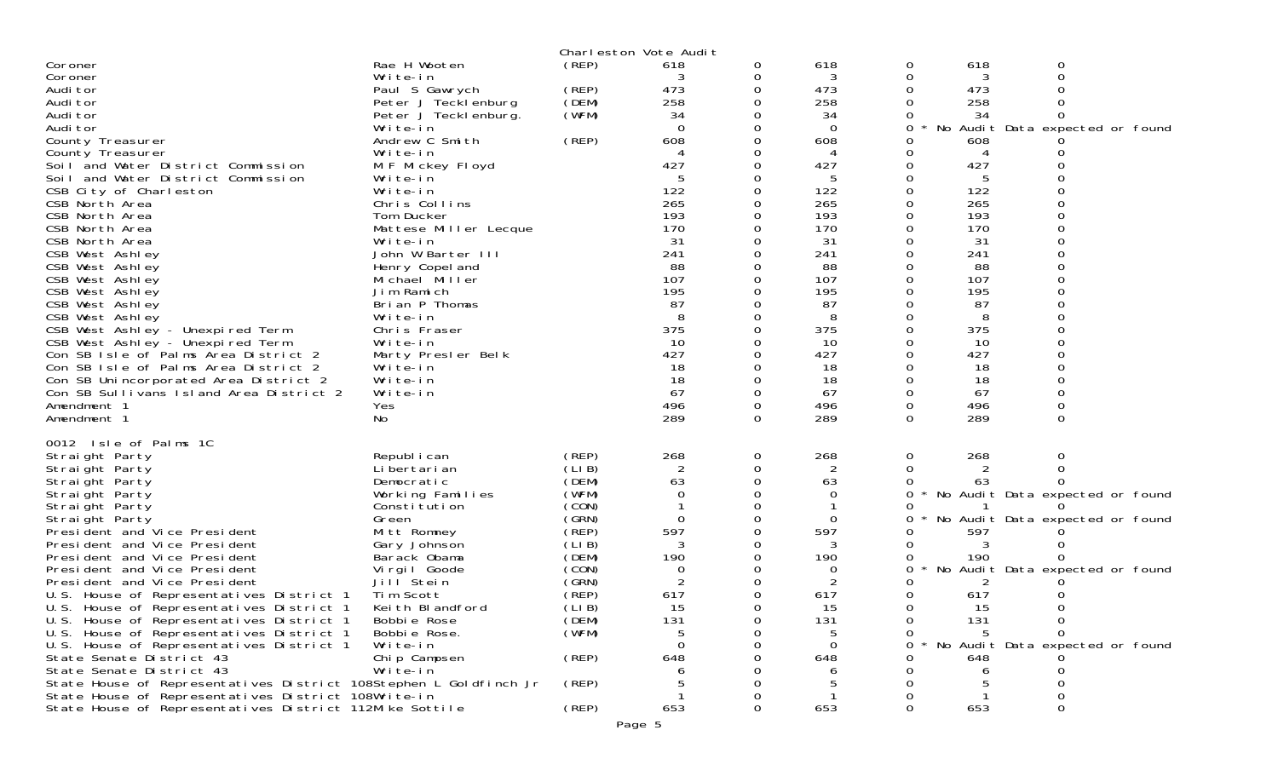|                                                                   |                       |        | Charleston Vote Audit |          |          |          |     |                                 |
|-------------------------------------------------------------------|-----------------------|--------|-----------------------|----------|----------|----------|-----|---------------------------------|
| Coroner                                                           | Rae H Wooten          | (REP)  | 618                   | 0        | 618      | 0        | 618 | 0                               |
| Coroner                                                           | Write-in              |        |                       | 0        | 3        | 0        | 3   | $\Omega$                        |
| Audi tor                                                          | Paul S Gawrych        | (REP)  | 473                   | $\Omega$ | 473      | 0        | 473 |                                 |
| Audi tor                                                          | Peter J Tecklenburg   | (DEM)  | 258                   | 0        | 258      | 0        | 258 |                                 |
| Audi tor                                                          | Peter J Tecklenburg.  | (WFM)  | 34                    |          | 34       |          | 34  | 0                               |
| Audi tor                                                          | Write-in              |        | $\Omega$              | 0        | $\Omega$ | 0        |     | No Audit Data expected or found |
|                                                                   |                       |        |                       |          |          |          |     |                                 |
| County Treasurer                                                  | Andrew C Smith        | (REP)  | 608                   | 0        | 608      | 0        | 608 |                                 |
| County Treasurer                                                  | Write-in              |        | 4                     |          | 4        | 0        | 4   |                                 |
| Soil and Water District Commission                                | M F Mickey Floyd      |        | 427                   | 0        | 427      | 0        | 427 |                                 |
| Soil and Water District Commission                                | Write-in              |        | 5                     | 0        | 5        | 0        | 5   |                                 |
| CSB City of Charleston                                            | Write-in              |        | 122                   |          | 122      | 0        | 122 |                                 |
| CSB North Area                                                    | Chris Collins         |        | 265                   | 0        | 265      | 0        | 265 | $\Omega$                        |
| CSB North Area                                                    | Tom Ducker            |        | 193                   | 0        | 193      | 0        | 193 |                                 |
| CSB North Area                                                    | Mattese Miller Lecque |        | 170                   |          | 170      |          | 170 |                                 |
| CSB North Area                                                    | Write-in              |        | 31                    | 0        | 31       | 0        | 31  | $\Omega$                        |
| CSB West Ashley                                                   | John W Barter III     |        | 241                   | 0        | 241      | 0        | 241 |                                 |
| CSB West Ashley                                                   | Henry Copel and       |        | 88                    |          | 88       |          | 88  |                                 |
| CSB West Ashley                                                   | Michael Miller        |        | 107                   | 0        | 107      | 0        | 107 | $\Omega$                        |
| CSB West Ashley                                                   | Jim Ramich            |        | 195                   | 0        | 195      | 0        | 195 |                                 |
| CSB West Ashley                                                   | Brian P Thomas        |        | 87                    |          | 87       |          | 87  |                                 |
| CSB West Ashley                                                   | Write-in              |        | 8                     | 0        | 8        |          | 8   |                                 |
|                                                                   |                       |        | 375                   | 0        | 375      |          | 375 |                                 |
| CSB West Ashley - Unexpired Term                                  | Chris Fraser          |        |                       |          |          | 0        |     |                                 |
| CSB West Ashley - Unexpired Term                                  | Write-in              |        | 10                    |          | 10       |          | 10  |                                 |
| Con SB Isle of Palms Area District 2                              | Marty Presler Belk    |        | 427                   | $\Omega$ | 427      | 0        | 427 |                                 |
| Con SB Isle of Palms Area District 2                              | Write-in              |        | 18                    | 0        | 18       | 0        | 18  |                                 |
| Con SB Unincorporated Area District 2                             | Write-in              |        | 18                    | 0        | 18       | $\Omega$ | 18  |                                 |
| Con SB Sullivans Island Area District 2                           | Write-in              |        | 67                    | $\Omega$ | 67       | 0        | 67  | $\Omega$                        |
| Amendment 1                                                       | Yes                   |        | 496                   | 0        | 496      | 0        | 496 | 0                               |
| Amendment 1                                                       | No                    |        | 289                   | 0        | 289      | $\Omega$ | 289 | $\Omega$                        |
|                                                                   |                       |        |                       |          |          |          |     |                                 |
| 0012 Isle of Palms 1C                                             |                       |        |                       |          |          |          |     |                                 |
| Straight Party                                                    | Republ i can          | (REP)  | 268                   | 0        | 268      | 0        | 268 | 0                               |
| Straight Party                                                    | Li bertari an         | (LI B) | 2                     | $\Omega$ |          | $\Omega$ |     | 0                               |
| Straight Party                                                    | Democratic            | (DEM)  | 63                    | 0        | 63       | 0        | 63  |                                 |
| Straight Party                                                    | Working Families      | (WFM)  | 0                     | 0        | 0        | 0        |     | No Audit Data expected or found |
| Straight Party                                                    | Constitution          | (CON)  | -1                    | 0        |          |          |     |                                 |
| Straight Party                                                    | Green                 | (GRN)  | $\Omega$              | 0        | 0        |          |     | No Audit Data expected or found |
| President and Vice President                                      | Mitt Romney           | (REP)  | 597                   | 0        | 597      | 0        | 597 |                                 |
| President and Vice President                                      | Gary Johnson          | (LIB)  | 3                     | 0        |          |          |     |                                 |
| President and Vice President                                      | Barack Obama          | (DEM)  | 190                   | 0        | 190      |          | 190 |                                 |
| President and Vice President                                      | Vi rgi I Goode        | (CON)  |                       |          |          | 0        |     |                                 |
|                                                                   |                       |        | 0                     |          | 0        |          |     | No Audit Data expected or found |
| President and Vice President                                      | Jill <sup>Stein</sup> | (GRN)  | 2                     | 0        | 2        |          | 2   |                                 |
| U.S. House of Representatives District 1                          | Tim Scott             | (REP)  | 617                   | 0        | 617      |          | 617 |                                 |
| U.S. House of Representatives District 1                          | Keith Blandford       | (LIB)  | 15                    | 0        | 15       | 0        | 15  | 0                               |
| U.S. House of Representatives District 1                          | Bobbie Rose           | (DEM)  | 131                   | 0        | 131      | 0        | 131 | 0                               |
| U.S. House of Representatives District 1                          | Bobbie Rose.          | (WFM)  | 5                     | 0        | 5        | 0        | 5   | $\Omega$                        |
| U.S. House of Representatives District 1                          | Write-in              |        | 0                     | 0        | 0        | 0        |     | No Audit Data expected or found |
| State Senate District 43                                          | Chip Campsen          | (REP)  | 648                   | 0        | 648      | $\Omega$ | 648 |                                 |
| State Senate District 43                                          | Write-in              |        | 6                     |          | 6        |          | 6   |                                 |
| State House of Representatives District 108Stephen L Goldfinch Jr |                       | (REP)  | 5                     |          | 5        |          | 5   |                                 |
| State House of Representatives District 108Write-in               |                       |        |                       | 0        |          |          |     |                                 |
| State House of Representatives District 112Mike Sottile           |                       | (REP)  | 653                   | 0        | 653      | 0        | 653 | 0                               |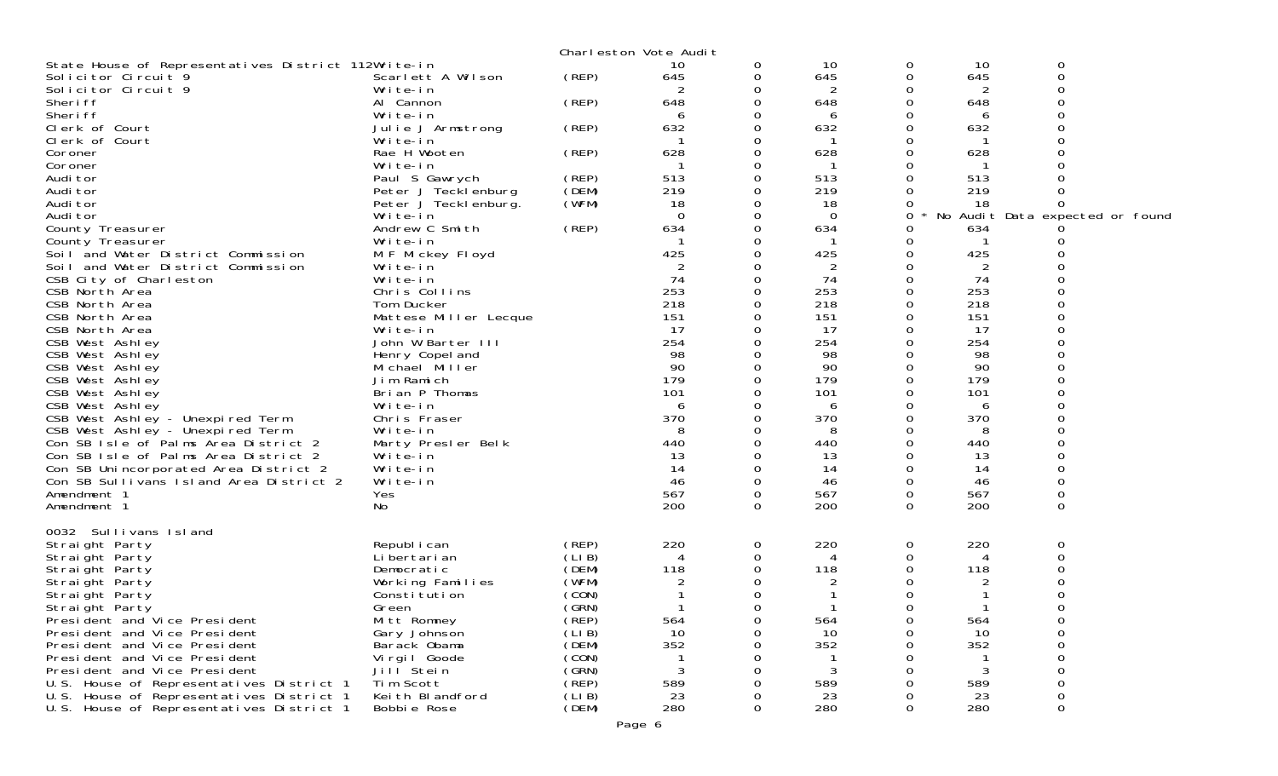|                                                     |                       |       | Charleston Vote Audit |          |     |          |                |                                 |
|-----------------------------------------------------|-----------------------|-------|-----------------------|----------|-----|----------|----------------|---------------------------------|
| State House of Representatives District 112Write-in |                       |       | 10                    | 0        | 10  | 0        | 10             | 0                               |
| Solicitor Circuit 9                                 | Scarlett A Wilson     | (REP) | 645                   | 0        | 645 | 0        | 645            | 0                               |
| Solicitor Circuit 9                                 | Write-in              |       |                       |          | 2   |          |                |                                 |
| Sheri ff                                            | Al Cannon             | (REP) | 648                   | 0        | 648 | O        | 648            |                                 |
| Sheri ff                                            | Write-in              |       | 6                     | O        | 6   |          | 6              |                                 |
| Clerk of Court                                      | Julie J Armstrong     | (REP) | 632                   | Ω        | 632 |          | 632            |                                 |
| Clerk of Court                                      | Write-in              |       |                       | Ω        |     | O        |                |                                 |
| Coroner                                             | Rae H Wooten          | (REP) | 628                   | 0        | 628 |          | 628            |                                 |
| Coroner                                             | Write-in              |       |                       |          |     |          |                |                                 |
| Audi tor                                            | Paul S Gawrych        | (REP) | 513                   | 0        | 513 |          | 513            |                                 |
| Audi tor                                            | Peter J Tecklenburg   | (DEM) | 219                   | 0        | 219 |          | 219            |                                 |
| Audi tor                                            | Peter J Teckl enburg. | (WFM) | 18                    |          | 18  |          | 18             | O                               |
| Audi tor                                            | Write-in              |       | $\Omega$              | O        | 0   | 0        |                | No Audit Data expected or found |
| County Treasurer                                    | Andrew C Smith        | (REP) | 634                   | 0        | 634 | O        | 634            |                                 |
| County Treasurer                                    | Write-in              |       |                       |          |     | Ω        |                |                                 |
| Soil and Water District Commission                  | M F Mickey Floyd      |       | 425                   | ∩        | 425 | O        | 425            |                                 |
| Soil and Water District Commission                  | Write-in              |       | 2                     |          | 2   | Ω        | $\overline{2}$ |                                 |
| CSB City of Charleston                              | Write-in              |       | 74                    |          | 74  |          | 74             |                                 |
| CSB North Area                                      | Chris Collins         |       | 253                   | ∩        | 253 | O        | 253            |                                 |
| CSB North Area                                      | Tom Ducker            |       | 218                   | 0        | 218 | 0        | 218            |                                 |
| CSB North Area                                      | Mattese Miller Lecque |       | 151                   |          | 151 |          | 151            |                                 |
| CSB North Area                                      | Write-in              |       | 17                    |          | 17  |          | 17             |                                 |
| CSB West Ashley                                     | John W Barter III     |       | 254                   |          | 254 |          | 254            |                                 |
| CSB West Ashley                                     | Henry Copel and       |       | 98                    |          | 98  |          | 98             |                                 |
| CSB West Ashley                                     | Michael Miller        |       | 90                    | 0        | 90  | O        | 90             |                                 |
| CSB West Ashley                                     | Jim Ramich            |       | 179                   | Ω        | 179 | 0        | 179            |                                 |
| CSB West Ashley                                     | Brian P Thomas        |       | 101                   |          | 101 |          | 101            |                                 |
| CSB West Ashley                                     | Write-in              |       | 6                     |          | 6   |          | 6              |                                 |
| CSB West Ashley - Unexpired Term                    | Chris Fraser          |       | 370                   |          | 370 |          | 370            |                                 |
| CSB West Ashley - Unexpired Term                    | Write-in              |       | 8                     |          | 8   |          | 8              |                                 |
| Con SB Isle of Palms Area District 2                | Marty Presler Belk    |       | 440                   |          | 440 |          | 440            |                                 |
| Con SB Isle of Palms Area District 2                | Write-in              |       | 13                    |          | 13  |          | 13             |                                 |
| Con SB Unincorporated Area District 2               | Write-in              |       | 14                    |          | 14  |          | 14             |                                 |
| Con SB Sullivans Island Area District 2             | Write-in              |       | 46                    | 0        | 46  | 0        | 46             | $\Omega$                        |
| Amendment 1                                         | Yes                   |       | 567                   | 0        | 567 | 0        | 567            | $\mathbf 0$                     |
| Amendment 1                                         | No                    |       | 200                   | $\Omega$ | 200 | $\Omega$ | 200            | $\Omega$                        |
|                                                     |                       |       |                       |          |     |          |                |                                 |
| 0032 Sullivans Island                               |                       |       |                       |          |     |          |                |                                 |
| Straight Party                                      | Republ i can          | (REP) | 220                   | 0        | 220 | 0        | 220            | 0                               |
| Straight Party                                      | Li bertari an         | (LIB) |                       | 0        |     | Ω        |                |                                 |
| Straight Party                                      | Democratic            | (DEM) | 118                   |          | 118 |          | 118            |                                 |
| Straight Party                                      | Working Families      | (WFM) | 2                     |          |     |          |                |                                 |
| Straight Party                                      | Constitution          | (CON) |                       | 0        |     | Ω        |                | 0                               |
| Straight Party                                      | Green                 | (GRN) |                       | 0        |     | 0        |                | 0                               |
| President and Vice President                        | Mitt Romney           | (REP) | 564                   | 0        | 564 | Ω        | 564            |                                 |
| President and Vice President                        | Gary Johnson          | (LIB) | 10                    |          | 10  |          | 10             |                                 |
| President and Vice President                        | Barack Obama          | (DEM) | 352                   |          | 352 |          | 352            |                                 |
| President and Vice President                        | Virgil Goode          | (CON) |                       |          |     |          |                |                                 |
| President and Vice President                        | Jill <sup>Stein</sup> | (GRN) | 3                     |          | 3   |          | 3              |                                 |
| U.S. House of Representatives District 1            | Tim Scott             | (REP) | 589                   |          | 589 |          | 589            |                                 |
| U.S. House of Representatives District 1            | Keith Blandford       | (LIB) | 23                    |          | 23  |          | 23             | 0                               |
| U.S. House of Representatives District 1            | Bobbie Rose           | (DEM) | 280                   | 0        | 280 | Ω        | 280            | 0                               |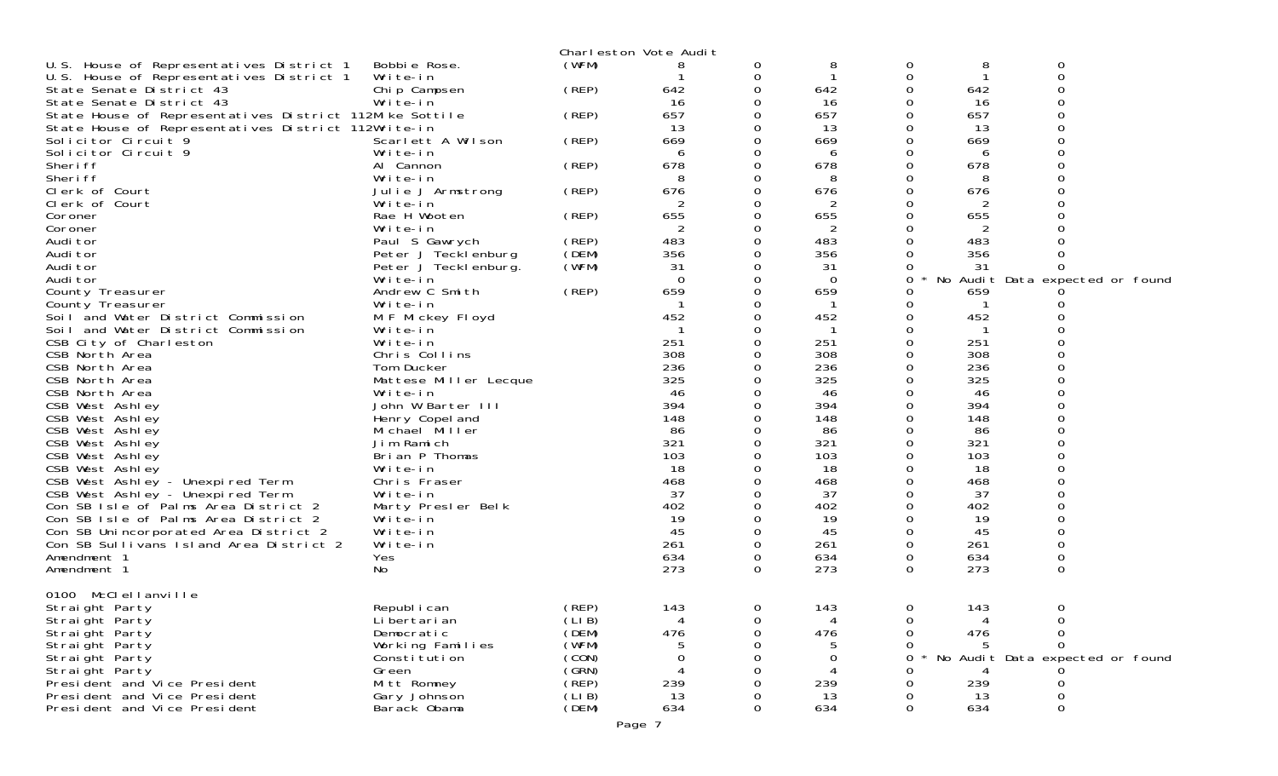|                                                         |                       |        | Charleston Vote Audit |          |          |             |     |                                 |  |
|---------------------------------------------------------|-----------------------|--------|-----------------------|----------|----------|-------------|-----|---------------------------------|--|
| U.S. House of Representatives District 1                | Bobbie Rose.          | (WFM)  | 8                     | 0        | 8        | 0           | 8   | 0                               |  |
| U.S. House of Representatives District 1                | Write-in              |        |                       | 0        |          | 0           |     | 0                               |  |
| State Senate District 43                                | Chip Campsen          | (REP)  | 642                   | 0        | 642      |             | 642 |                                 |  |
| State Senate District 43                                | Write-in              |        | 16                    | 0        | 16       |             | 16  |                                 |  |
| State House of Representatives District 112Mike Sottile |                       | (REP)  | 657                   | 0        | 657      |             | 657 |                                 |  |
| State House of Representatives District 112Write-in     |                       |        | 13                    |          | -13      |             | 13  |                                 |  |
| Solicitor Circuit 9                                     | Scarlett A Wilson     | (REP)  | 669                   |          | 669      |             | 669 |                                 |  |
| Solicitor Circuit 9                                     | Write-in              |        | 6                     | 0        | 6        |             | 6   |                                 |  |
| Sheri ff                                                | Al Cannon             | (REP)  | 678                   | 0        | 678      |             | 678 |                                 |  |
| Sheri ff                                                | Write-in              |        | 8                     |          | 8        |             |     |                                 |  |
| Clerk of Court                                          | Julie J Armstrong     | (REP)  | 676                   | 0        | 676      |             | 676 |                                 |  |
| Clerk of Court                                          | Write-in              |        | 2                     |          | 2        |             | 2   |                                 |  |
| Coroner                                                 | Rae H Wooten          | (REP)  | 655                   | 0        | 655      |             | 655 |                                 |  |
| Coroner                                                 | Write-in              |        | $\overline{2}$        | 0        | 2        |             | 2   |                                 |  |
| Audi tor                                                | Paul S Gawrych        | (REP)  | 483                   | 0        | 483      |             | 483 |                                 |  |
| Audi tor                                                | Peter J Tecklenburg   | (DEM)  | 356                   |          | 356      |             | 356 |                                 |  |
| Audi tor                                                | Peter J Tecklenburg.  | (WFM)  | 31                    | 0        | 31       |             | 31  | 0                               |  |
| Audi tor                                                | Write-in              |        | 0                     | 0        | $\Omega$ | 0           |     | No Audit Data expected or found |  |
| County Treasurer                                        | Andrew C Smith        | (REP)  | 659                   | O        | 659      |             | 659 |                                 |  |
| County Treasurer                                        | Write-in              |        | -1                    | 0        |          |             |     |                                 |  |
| Soil and Water District Commission                      | M F Mickey Floyd      |        | 452                   |          | 452      |             | 452 |                                 |  |
| Soil and Water District Commission                      | Write-in              |        |                       |          |          |             |     |                                 |  |
| CSB City of Charleston                                  | Write-in              |        | 251                   |          | 251      |             | 251 |                                 |  |
| CSB North Area                                          | Chris Collins         |        | 308                   |          | 308      |             | 308 |                                 |  |
| CSB North Area                                          | Tom Ducker            |        | 236                   |          | 236      |             | 236 |                                 |  |
| CSB North Area                                          | Mattese Miller Lecque |        | 325                   |          | 325      |             | 325 |                                 |  |
| CSB North Area                                          | Write-in              |        | 46                    |          | 46       |             | 46  |                                 |  |
| CSB West Ashley                                         | John W Barter III     |        | 394                   |          | 394      |             | 394 |                                 |  |
| CSB West Ashley                                         | Henry Copel and       |        | 148                   |          | 148      |             | 148 |                                 |  |
| CSB West Ashley                                         | Michael Miller        |        | -86                   |          | 86       |             | 86  |                                 |  |
| CSB West Ashley                                         | Jim Ramich            |        | 321                   | 0        | 321      |             | 321 |                                 |  |
| CSB West Ashley                                         | Brian P Thomas        |        | 103                   |          | 103      |             | 103 |                                 |  |
| CSB West Ashley                                         | Write-in              |        | 18                    | 0        | 18       |             | 18  |                                 |  |
| CSB West Ashley - Unexpired Term                        | Chris Fraser          |        | 468                   | Ω        | 468      |             | 468 |                                 |  |
| CSB West Ashley - Unexpired Term                        | Write-in              |        | 37                    |          | 37       |             | 37  |                                 |  |
| Con SB Isle of Palms Area District 2                    | Marty Presler Belk    |        | 402                   |          | 402      |             | 402 |                                 |  |
| Con SB Isle of Palms Area District 2                    | Write-in              |        | 19                    | 0        | 19       |             | 19  | 0                               |  |
| Con SB Unincorporated Area District 2                   | Write-in              |        | 45                    | 0        | 45       |             | 45  |                                 |  |
| Con SB Sullivans Island Area District 2                 | Write-in              |        | 261                   | 0        | 261      |             | 261 |                                 |  |
| Amendment 1                                             | Yes                   |        | 634                   | 0        | 634      | 0           | 634 | $\mathsf{O}\xspace$             |  |
| Amendment 1                                             | No                    |        | 273                   | $\Omega$ | 273      | 0           | 273 | $\Omega$                        |  |
|                                                         |                       |        |                       |          |          |             |     |                                 |  |
| McClellanville<br>0100                                  |                       |        |                       |          |          |             |     |                                 |  |
| Straight Party                                          | Republ i can          | (REP)  | 143                   | 0        | 143      | $\mathbf 0$ | 143 | 0                               |  |
| Straight Party                                          | Li bertari an         | (LI B) | 4                     | 0        |          | 0           |     |                                 |  |
| Straight Party                                          | Democratic            | (DEM)  | 476                   | O        | 476      |             | 476 |                                 |  |
| Straight Party                                          | Working Families      | (WFM)  |                       |          |          |             |     |                                 |  |
| Straight Party                                          | Constitution          | (CON)  |                       |          | 0        | $\Omega$    |     | No Audit Data expected or found |  |
| Straight Party                                          | Green                 | (GRN)  |                       | Ω        |          |             |     |                                 |  |
| President and Vice President                            | Mitt Romney           | (REP)  | 239                   |          | 239      |             | 239 |                                 |  |
| President and Vice President                            | Gary Johnson          | (LIB)  | 13                    |          | 13       |             | 13  |                                 |  |
| President and Vice President                            | Barack Obama          | (DEM)  | 634                   | 0        | 634      | 0           | 634 | $\Omega$                        |  |
|                                                         |                       |        |                       |          |          |             |     |                                 |  |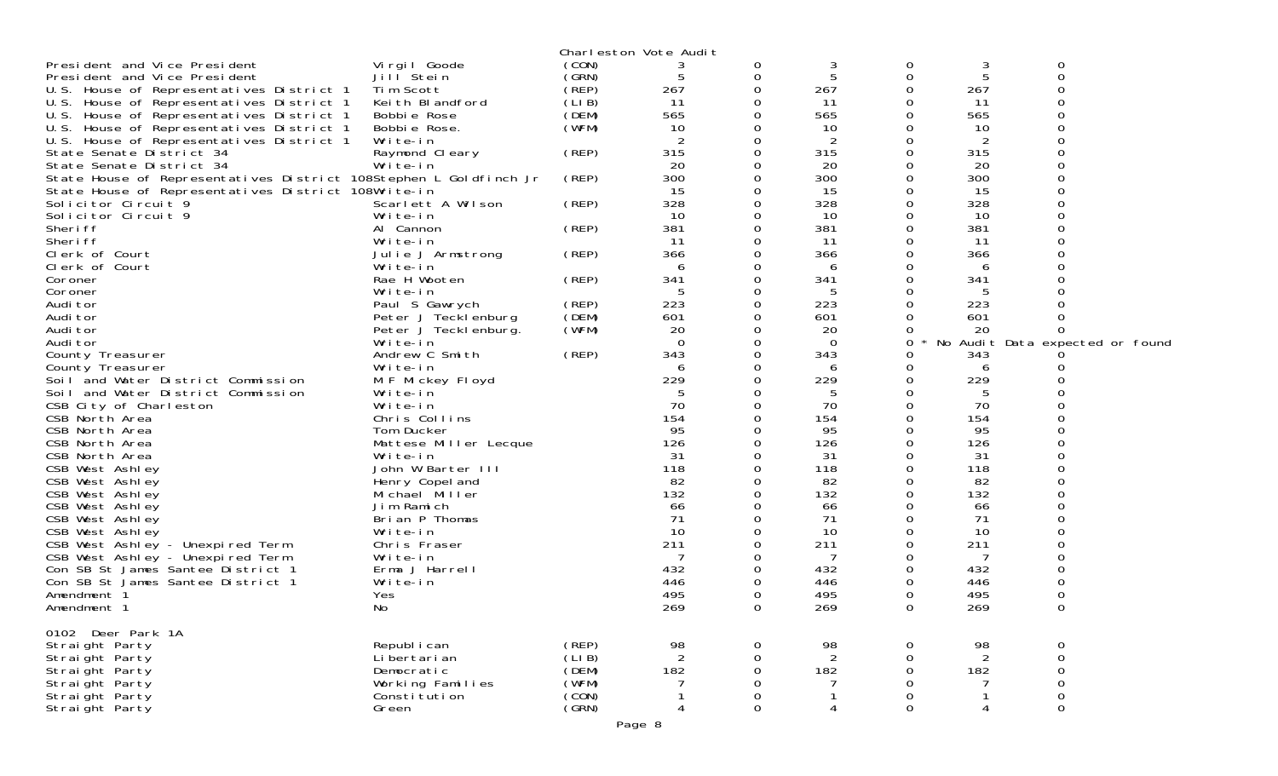|                                                                   |                              |       | Charleston Vote Audit |             |                |          |                |                                 |
|-------------------------------------------------------------------|------------------------------|-------|-----------------------|-------------|----------------|----------|----------------|---------------------------------|
| President and Vice President                                      | Vi rgi I Goode               | (CON) |                       | 0           | 3              | 0        | 3              | 0                               |
| President and Vice President                                      | Jill <sup>Stein</sup>        | (GRN) | 5                     | 0           | 5              | 0        | 5              | $\mathbf 0$                     |
| U.S. House of Representatives District 1                          | Tim Scott                    | (REP) | 267                   | 0           | 267            |          | 267            |                                 |
| U.S. House of Representatives District 1                          | Keith Blandford              | (LIB) | 11                    | 0           | 11             |          | 11             |                                 |
| U.S. House of Representatives District 1                          | Bobbie Rose                  | (DEM) | 565                   | 0           | 565            |          | 565            |                                 |
| U.S. House of Representatives District 1                          | Bobbie Rose.                 | (WFM) | 10                    | 0           | 10             |          | 10             |                                 |
| U.S. House of Representatives District 1                          | Write-in                     |       | 2                     | 0           | 2              |          | 2              |                                 |
| State Senate District 34                                          | Raymond Cleary               | (REP) | 315                   | 0           | 315            |          | 315            |                                 |
| State Senate District 34                                          | Write-in                     |       | 20                    | 0           | 20             |          | 20             |                                 |
| State House of Representatives District 108Stephen L Goldfinch Jr |                              | (REP) | 300                   | $\Omega$    | 300            | O        | 300            |                                 |
| State House of Representatives District 108Write-in               |                              |       | 15                    | 0           | 15             |          | 15             |                                 |
| Solicitor Circuit 9                                               | Scarlett A Wilson            | (REP) | 328                   |             | 328            |          | 328            |                                 |
| Solicitor Circuit 9                                               | Write-in                     |       | 10                    | 0           | 10             |          | 10             |                                 |
| Sheri ff                                                          | Al Cannon                    | (REP) | 381                   | 0           | 381            |          | 381            |                                 |
| Sheri ff                                                          | Write-in                     |       | 11                    |             | 11             |          | 11             |                                 |
| Clerk of Court                                                    | Julie J Armstrong            | (REP) | 366                   | 0           | 366            |          | 366            |                                 |
| Clerk of Court                                                    | Write-in                     |       | 6                     | 0           | 6              |          | 6              |                                 |
| Coroner                                                           | Rae H Wooten                 | (REP) | 341                   | 0           | 341            | ∩        | 341            |                                 |
| Coroner                                                           | Write-in                     |       | 5                     | 0           | 5              |          | 5              |                                 |
| Audi tor                                                          | Paul S Gawrych               | (REP) | 223                   | 0           | 223            |          | 223            |                                 |
| Audi tor                                                          | Peter J Tecklenburg          | (DEM) | 601                   |             | 601            |          | 601            |                                 |
| Audi tor                                                          | Peter J Tecklenburg.         | (WFM) | 20                    | 0           | 20             | Ω        | 20             | ∩                               |
| Audi tor                                                          | Write-in                     |       | $\Omega$              | 0           | $\overline{0}$ | 0        |                | No Audit Data expected or found |
| County Treasurer                                                  | Andrew C Smith               | (REP) | 343                   | $\Omega$    | 343            |          | 343            |                                 |
| County Treasurer                                                  | Write-in                     |       | 6                     | 0           | 6              | Ω        | 6              |                                 |
| Soil and Water District Commission                                | M F Mickey Floyd             |       | 229                   | 0           | 229            |          | 229            |                                 |
| Soil and Water District Commission                                | Write-in                     |       |                       |             | 5              | O        | 5              |                                 |
| CSB City of Charleston                                            | Write-in                     |       | 70                    | 0           | 70             |          | 70             |                                 |
| CSB North Area                                                    | Chris Collins                |       | 154                   |             | 154            |          | 154            |                                 |
| CSB North Area                                                    | Tom Ducker                   |       | 95                    |             | 95             |          | 95             |                                 |
| CSB North Area                                                    | Mattese Miller Lecque        |       | 126                   |             | 126            |          | 126            |                                 |
| CSB North Area                                                    | Write-in                     |       | 31                    |             | 31             | O        | 31             |                                 |
| CSB West Ashley                                                   | John W Barter III            |       | 118<br>82             |             | 118            |          | 118<br>82      |                                 |
| CSB West Ashley                                                   | Henry Copel and              |       |                       | 0           | 82             |          |                |                                 |
| CSB West Ashley                                                   | Michael Miller               |       | 132                   |             | 132            |          | 132            |                                 |
| CSB West Ashley                                                   | Jim Ramich<br>Brian P Thomas |       | 66<br>71              | 0           | 66<br>71       |          | 66<br>71       |                                 |
| CSB West Ashley<br>CSB West Ashley                                | Write-in                     |       | 10                    |             | 10             |          | 10             |                                 |
| CSB West Ashley - Unexpired Term                                  | Chris Fraser                 |       | 211                   | 0           | 211            | O        | 211            |                                 |
| CSB West Ashley - Unexpired Term                                  | Write-in                     |       | 7                     | 0           | 7              |          | 7              |                                 |
| Con SB St James Santee District 1                                 | Erma J Harrell               |       | 432                   |             | 432            |          | 432            |                                 |
| Con SB St James Santee District 1                                 | Write-in                     |       | 446                   | 0           | 446            |          | 446            |                                 |
| Amendment 1                                                       | Yes                          |       | 495                   | 0           | 495            | 0        | 495            |                                 |
| Amendment 1                                                       | No                           |       | 269                   | 0           | 269            | $\Omega$ | 269            | $\mathbf 0$                     |
|                                                                   |                              |       |                       |             |                |          |                |                                 |
| 0102 Deer Park 1A                                                 |                              |       |                       |             |                |          |                |                                 |
| Straight Party                                                    | Republ i can                 | (REP) | 98                    | 0           | 98             | 0        | 98             | $\mathbf 0$                     |
| Straight Party                                                    | Li bertari an                | (LIB) | $\overline{2}$        | $\Omega$    | $\overline{2}$ | 0        | $\overline{2}$ |                                 |
| Straight Party                                                    | Democratic                   | (DEM) | 182                   | $\mathbf 0$ | 182            | 0        | 182            | $_{\rm 0}^{\rm 0}$              |
| Straight Party                                                    | Working Families             | (WFM) |                       | 0           | 7              | 0        |                | $\mathbf 0$                     |
| Straight Party                                                    | Consti tuti on               | (CON) |                       | 0           |                | 0        |                | $\mathbf 0$                     |
| Strai ght Party                                                   | Green                        | (GRN) | 4                     | 0           | 4              | 0        | 4              | $\boldsymbol{0}$                |
|                                                                   |                              |       |                       |             |                |          |                |                                 |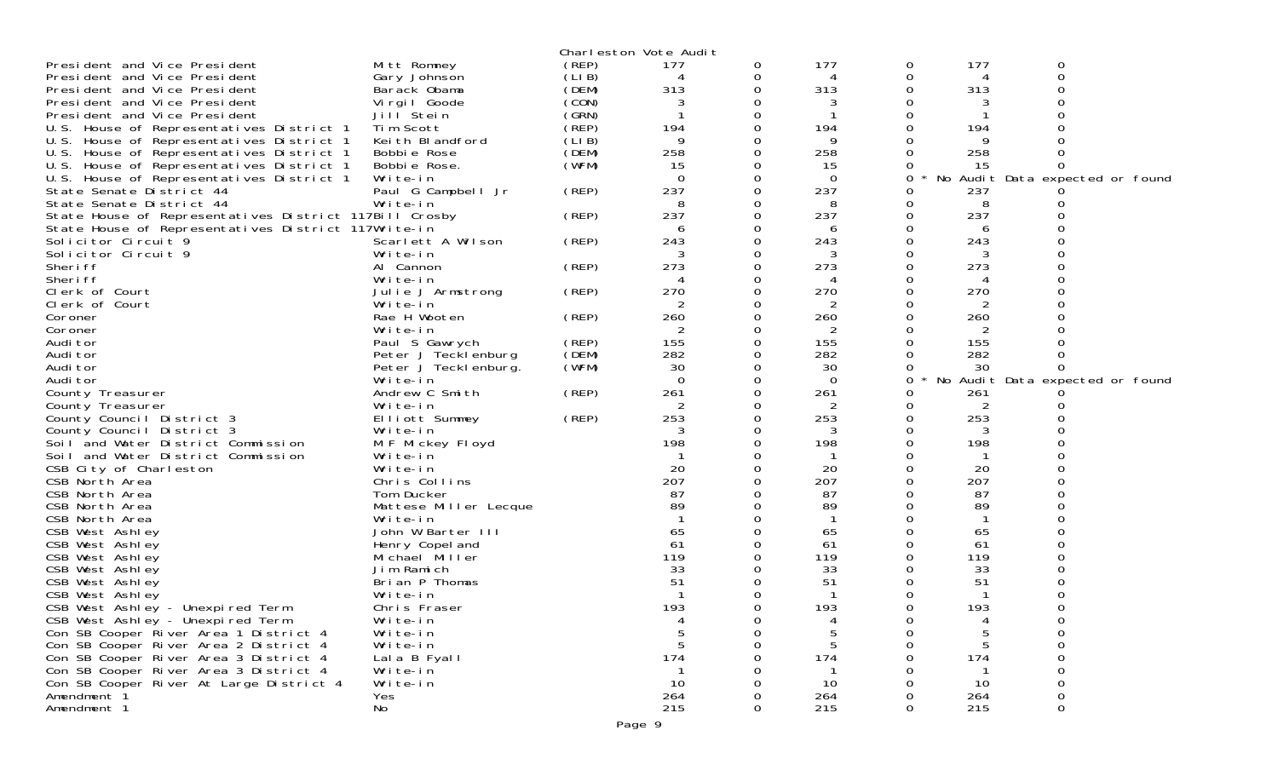|                                                        |                       |        | Charleston Vote Audit |               |          |   |        |                                 |  |
|--------------------------------------------------------|-----------------------|--------|-----------------------|---------------|----------|---|--------|---------------------------------|--|
| President and Vice President                           | Mitt Romney           | (REP)  | 177                   | 0             | 177      | 0 | 177    | 0                               |  |
| President and Vice President                           | Gary Johnson          | (LI B) | 4                     |               | 4        | 0 | 4      | $\Omega$                        |  |
| President and Vice President                           | Barack Obama          | (DEM)  | 313                   | 0             | 313      |   | 313    |                                 |  |
| President and Vice President                           | Virgil Goode          | (CON)  |                       |               |          |   |        |                                 |  |
| President and Vice President                           | Jill Stein            | (GRN)  |                       |               |          |   |        |                                 |  |
| U.S. House of Representatives District 1               | Tim Scott             | (REP)  | 194                   |               | 194      |   | 194    |                                 |  |
| U.S. House of Representatives District 1               | Keith Blandford       | (LIB)  | 9                     |               | 9        |   | 9      |                                 |  |
| U.S. House of Representatives District 1               | Bobbie Rose           | (DEM)  | 258                   |               | 258      |   | 258    |                                 |  |
| U.S. House of Representatives District 1               | Bobbie Rose.          | (WFM)  | 15                    |               | 15       |   | 15     |                                 |  |
| U.S. House of Representatives District 1               | Write-in              |        | $\Omega$              |               | $\Omega$ | 0 | No     | Audit Data expected or found    |  |
| State Senate District 44                               | Paul G Campbell Jr    | (REP)  | 237                   |               | 237      | 0 | 237    |                                 |  |
| State Senate District 44                               | Write-in              |        | -8                    |               | 8        |   | 8      |                                 |  |
|                                                        |                       | (REP)  | 237                   | 0             | 237      | 0 | 237    |                                 |  |
| State House of Representatives District 117Bill Crosby |                       |        |                       |               |          |   |        |                                 |  |
| State House of Representatives District 117Write-in    |                       |        | 6                     |               | 6        |   | 6      |                                 |  |
| Solicitor Circuit 9                                    | Scarlett A Wilson     | (REP)  | 243                   | 0             | 243      |   | 243    |                                 |  |
| Solicitor Circuit 9                                    | Write-in              |        |                       |               | 3        |   |        |                                 |  |
| Sheri ff                                               | Al Cannon             | (REP)  | 273                   |               | 273      |   | 273    |                                 |  |
| Sheri ff                                               | Write-in              |        | 4                     | 0             | 4        |   | 4      |                                 |  |
| Clerk of Court                                         | Julie J Armstrong     | (REP)  | 270                   |               | 270      |   | 270    |                                 |  |
| Clerk of Court                                         | Write-in              |        |                       |               | 2        |   | 2      |                                 |  |
| Coroner                                                | Rae H Wooten          | (REP)  | 260                   |               | 260      |   | 260    |                                 |  |
| Coroner                                                | Write-in              |        | 2                     |               | 2        |   | 2      |                                 |  |
| Audi tor                                               | Paul S Gawrych        | (REP)  | 155                   |               | 155      |   | 155    |                                 |  |
| Audi tor                                               | Peter J Tecklenburg   | (DEM)  | 282                   | 0             | 282      |   | 282    |                                 |  |
| Audi tor                                               | Peter J Tecklenburg.  | (WFM)  | 30                    |               | 30       | 0 | 30     |                                 |  |
| Audi tor                                               | Write-in              |        | $\mathbf 0$           |               | $\Omega$ | 0 |        | No Audit Data expected or found |  |
| County Treasurer                                       | Andrew C Smith        | (REP)  | 261                   | $\Omega$      | 261      |   | 261    |                                 |  |
| County Treasurer                                       | Write-in              |        | 2                     | 0             | 2        |   | 2      |                                 |  |
| County Council District 3                              | Elliott Summey        | (REP)  | 253                   |               | 253      | 0 | 253    |                                 |  |
| County Council District 3                              | Write-in              |        |                       | 0             |          |   |        |                                 |  |
| Soil and Water District Commission                     | M F Mickey Floyd      |        | 198                   |               | 198      |   | 198    |                                 |  |
| Soil and Water District Commission                     | Write-in              |        |                       |               |          |   |        |                                 |  |
| CSB City of Charleston                                 | Write-in              |        | 20                    |               | 20       | 0 | 20     |                                 |  |
| CSB North Area                                         | Chris Collins         |        | 207                   |               | 207      |   | 207    |                                 |  |
| CSB North Area                                         | Tom Ducker            |        | 87                    |               | 87       |   | 87     |                                 |  |
| CSB North Area                                         | Mattese Miller Lecque |        | 89                    |               | 89       |   | 89     |                                 |  |
| CSB North Area                                         | Write-in              |        |                       |               |          |   |        |                                 |  |
| CSB West Ashley                                        | John W Barter III     |        | 65                    |               | 65       |   | 65     |                                 |  |
| CSB West Ashley                                        | Henry Copel and       |        | 61                    |               | 61       |   | 61     |                                 |  |
| CSB West Ashley                                        | Michael Miller        |        | 119                   |               | 119      |   | 119    |                                 |  |
| CSB West Ashley                                        | Jim Ramich            |        | 33                    |               | 33       |   | 33     |                                 |  |
| CSB West Ashley                                        | Brian P Thomas        |        | 51                    |               | 51       |   | 51     |                                 |  |
| CSB West Ashley                                        | Write-in              |        |                       |               |          |   |        |                                 |  |
| CSB West Ashley - Unexpired Term                       |                       |        | 193                   | $\Omega$      | 193      | 0 | 193    |                                 |  |
|                                                        | Chris Fraser          |        |                       |               |          |   |        |                                 |  |
| CSB West Ashley - Unexpired Term                       | Write-in              |        | 4                     |               | 4<br>5   |   | 4<br>5 |                                 |  |
| Con SB Cooper River Area 1 District 4                  | Write-in              |        |                       | 0<br>$\Omega$ |          | 0 |        |                                 |  |
| Con SB Cooper River Area 2 District 4                  | Write-in              |        |                       |               |          |   |        |                                 |  |
| Con SB Cooper River Area 3 District 4                  | Lala B Fyall          |        | 174                   |               | 174      |   | 174    |                                 |  |
| Con SB Cooper River Area 3 District 4                  | Write-in              |        |                       |               |          |   | -1     |                                 |  |
| Con SB Cooper River At Large District 4                | Write-in              |        | 10                    |               | 10       |   | 10     |                                 |  |
| Amendment 1                                            | Yes                   |        | 264                   |               | 264      |   | 264    |                                 |  |
| Amendment 1                                            | No                    |        | 215                   | 0             | 215      | 0 | 215    | 0                               |  |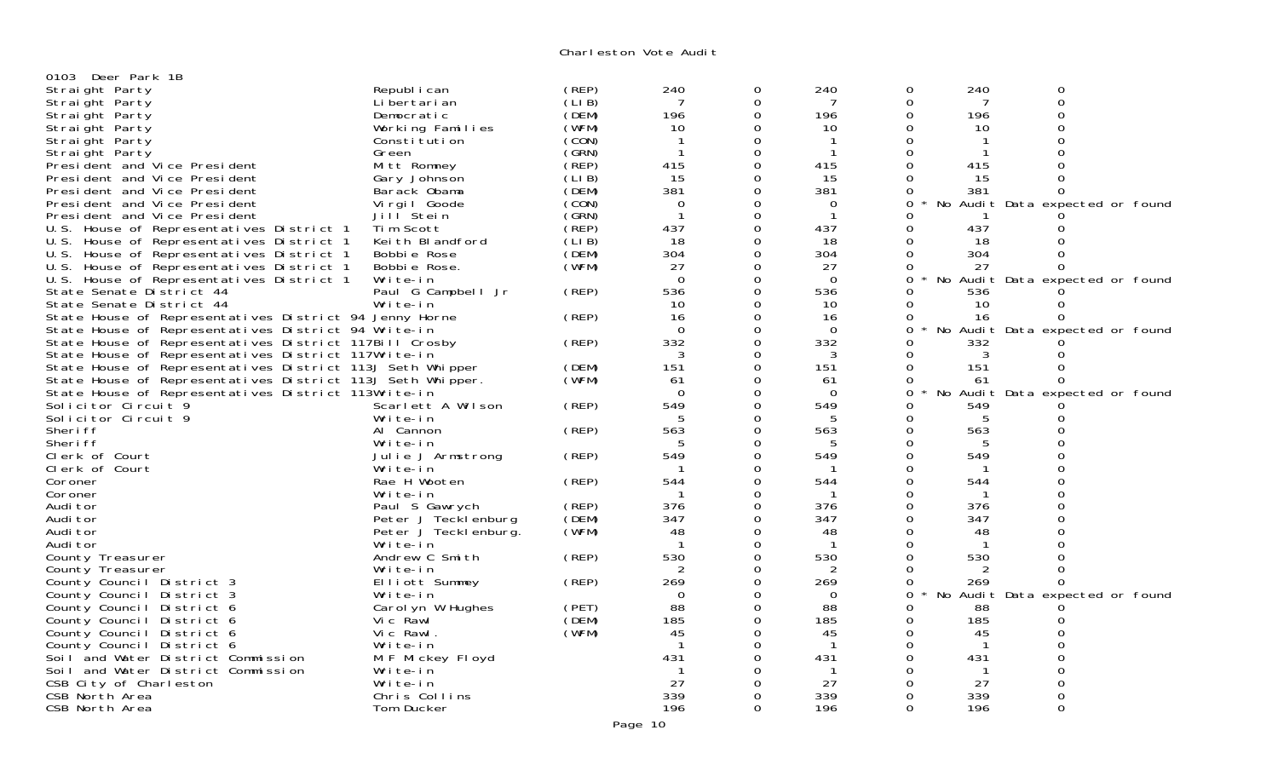| 0103 Deer Park 1B                                          |                       |                |                  |                  |             |                    |              |                                 |  |
|------------------------------------------------------------|-----------------------|----------------|------------------|------------------|-------------|--------------------|--------------|---------------------------------|--|
| Straight Party                                             | Republ i can          | (REP)          | 240              | 0                | 240         | 0                  | 240          | 0                               |  |
| Straight Party                                             | Li bertari an         | (LI B)         | 7                | $\mathbf 0$      | 7           | $\mathbf 0$        | 7            | $\mathbf 0$                     |  |
| Straight Party                                             | Democratic            | (DEM)          | 196              | $\mathbf 0$      | 196         | 0                  | 196          | $\overline{0}$                  |  |
| Straight Party                                             | Working Families      | (WFM)          | 10               | $\mathbf 0$      | 10          | 0                  | 10           | $\Omega$                        |  |
| Straight Party                                             | Constitution          | (CON)          |                  | $\Omega$         | -1          | $\Omega$           |              | $\Omega$                        |  |
| Straight Party                                             | Green                 | (GRN)          | $\mathbf 1$      | $\mathbf 0$      | -1          | $\overline{0}$     | -1           |                                 |  |
|                                                            |                       | (REP)          | 415              | $\overline{0}$   | 415         | $\mathbf 0$        | 415          | $\Omega$                        |  |
| President and Vice President                               | Mitt Romney           |                |                  | $\mathbf 0$      |             | $\mathbf 0$        |              | $\Omega$                        |  |
| President and Vice President                               | Gary Johnson          | (LIB)<br>(DEM) | 15<br>381        | $\Omega$         | 15<br>381   |                    | 15           | $\Omega$                        |  |
| President and Vice President                               | Barack Obama          |                |                  |                  |             | 0                  | 381          |                                 |  |
| President and Vice President                               | Vi rgi I Goode        | (CON)          | 0<br>$\mathbf 1$ | $\Omega$         | $\mathbf 0$ | 0<br>No            |              | Audit Data expected or found    |  |
| President and Vice President                               | Jill Stein            | (GRN)          |                  | $\mathbf 0$      | -1          | $\Omega$           |              |                                 |  |
| U.S. House of Representatives District 1                   | Tim Scott             | (REP)          | 437              | $\overline{0}$   | 437         | $\Omega$           | 437          | 0                               |  |
| U.S. House of Representatives District 1                   | Keith Blandford       | (LI B)         | 18               | $\mathbf 0$      | 18          | 0                  | 18           |                                 |  |
| U.S. House of Representatives District 1                   | Bobbie Rose           | (DEM)          | 304              | $\Omega$         | 304         | $\Omega$           | 304          |                                 |  |
| U.S. House of Representatives District 1                   | Bobbie Rose.          | (WFM)          | 27               | $\mathbf 0$      | 27          | 0                  | 27           | $\Omega$                        |  |
| U.S. House of Representatives District 1                   | Write-in              |                | $\Omega$         | $\overline{0}$   | $\Omega$    | $\mathbf 0$<br>No. |              | Audit Data expected or found    |  |
| State Senate District 44                                   | Paul G Campbell Jr    | (REP)          | 536              | $\overline{0}$   | 536         | $\Omega$           | 536          |                                 |  |
| State Senate District 44                                   | Write-in              |                | 10               | $\mathbf 0$      | 10          | $\Omega$           | 10           |                                 |  |
| State House of Representatives District 94 Jenny Horne     |                       | (REP)          | 16               | $\Omega$         | 16          | $\Omega$           | 16           | $\Omega$                        |  |
| State House of Representatives District 94 Write-in        |                       |                | $\Omega$         | $\boldsymbol{0}$ | $\mathbf 0$ | $\mathbf 0$<br>No  |              | Audit Data expected or found    |  |
| State House of Representatives District 117Bill Crosby     |                       | (REP)          | 332              | $\Omega$         | 332         | $\Omega$           | 332          |                                 |  |
| State House of Representatives District 117Write-in        |                       |                | 3                | $\mathbf 0$      | 3           | $\Omega$           | 3            |                                 |  |
| State House of Representatives District 113J Seth Whipper  |                       | (DEM)          | 151              | $\mathbf 0$      | 151         | 0                  | 151          |                                 |  |
| State House of Representatives District 113J Seth Whipper. |                       | (WFM)          | 61               | $\mathbf 0$      | -61         | $\mathbf 0$        | 61           | $\Omega$                        |  |
| State House of Representatives District 113Write-in        |                       |                | $\Omega$         | $\Omega$         | $\Omega$    | 0                  |              | No Audit Data expected or found |  |
| Solicitor Circuit 9                                        | Scarlett A Wilson     | (REP)          | 549              | $\overline{0}$   | 549         | $\Omega$           | 549          |                                 |  |
| Solicitor Circuit 9                                        | Write-in              |                | .5               | $\Omega$         | 5           | $\Omega$           | 5            | 0                               |  |
| Sheri ff                                                   | Al Cannon             | (REP)          | 563              | $\overline{0}$   | 563         | 0                  | 563          |                                 |  |
| Sheri ff                                                   | Write-in              |                | 5                | $\Omega$         | 5           | 0                  | 5            | $\Omega$                        |  |
| Clerk of Court                                             | Julie J Armstrong     | (REP)          | 549              | $\Omega$         | 549         | 0                  | 549          |                                 |  |
| Clerk of Court                                             | Write-in              |                |                  | $\mathbf 0$      |             | 0                  | -1           | $\Omega$                        |  |
| Coroner                                                    | Rae H Wooten          | (REP)          | 544              | $\mathbf 0$      | 544         | $\Omega$           | 544          | $\Omega$                        |  |
| Coroner                                                    | Write-in              |                |                  | $\mathbf 0$      |             | 0                  | -1           | $\Omega$                        |  |
| Audi tor                                                   | Paul S Gawrych        | (REP)          | 376              | $\Omega$         | 376         | 0                  | 376          | $\Omega$                        |  |
| Audi tor                                                   | Peter J Tecklenburg   | (DEM)          | 347              | $\mathbf 0$      | 347         | 0                  | 347          |                                 |  |
| Audi tor                                                   | Peter J Teckl enburg. | (WFM)          | 48               | $\mathbf 0$      | 48          | 0                  | 48           | $\overline{0}$                  |  |
| Audi tor                                                   | Write-in              |                | $\mathbf{1}$     | $\Omega$         | -1          | $\Omega$           | -1           |                                 |  |
| County Treasurer                                           | Andrew C Smith        | (REP)          | 530              | $\mathbf 0$      | 530         | 0                  | 530          |                                 |  |
| County Treasurer                                           | Write-in              |                | 2                | $\Omega$         | 2           | $\Omega$           |              |                                 |  |
| County Council District 3                                  | Elliott Summey        | (REP)          | 269              | $\boldsymbol{0}$ | 269         | $\mathbf 0$        | 269          | $\Omega$                        |  |
| County Council District 3                                  | Write-in              |                | $\Omega$         | $\mathbf 0$      | 0           | $\mathbf 0$        |              | No Audit Data expected or found |  |
| County Council District 6                                  | Carol yn W Hughes     | (PET)          | 88               | $\mathbf 0$      | 88          | 0                  | 88           |                                 |  |
| County Council District 6                                  | Vic Rawl              | (DEM)          | 185              | $\mathbf 0$      | 185         | 0                  | 185          | ∩                               |  |
| County Council District 6                                  | Vic Rawl.             | (WFM)          | 45               | $\Omega$         | 45          | 0                  | 45           | $\Omega$                        |  |
| County Council District 6                                  | Write-in              |                | $\mathbf{1}$     | $\Omega$         | $\mathbf 1$ | $\Omega$           | $\mathbf{1}$ | $\Omega$                        |  |
| Soil and Water District Commission                         | M F Mickey Floyd      |                | 431              | $\Omega$         | 431         | $\mathbf 0$        | 431          | $\Omega$                        |  |
| Soil and Water District Commission                         | Write-in              |                |                  | $\Omega$         | -1          | $\Omega$           | -1           | $\Omega$                        |  |
| CSB City of Charleston                                     | Write-in              |                | 27               | ∩                | 27          | 0                  | 27           | $\Omega$                        |  |
| CSB North Area                                             | Chris Collins         |                | 339              | $\Omega$         | 339         | $\Omega$           | 339          | $\mathbf 0$                     |  |
| CSB North Area                                             | Tom Ducker            |                | 196              | $\Omega$         | 196         | $\Omega$           | 196          | $\Omega$                        |  |
|                                                            |                       |                |                  |                  |             |                    |              |                                 |  |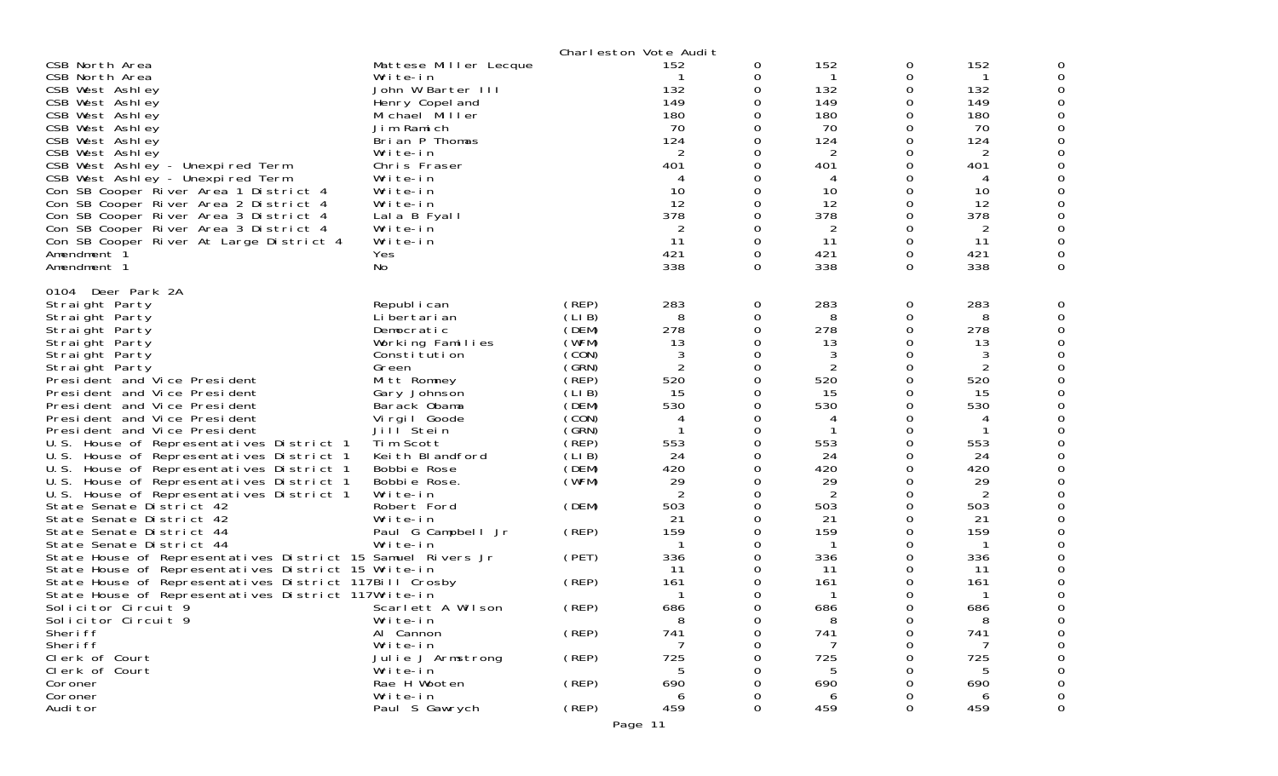|                                                                                                                                                                                                                                                                                                                                                                                                                                                                                                                                                                                                                                                                                                                                                                                                                                                                                  |                                                                                                                                                                                                                                                                                                                 |                                                                                                                                                                         | Charleston Vote Audit                                                                                                                         |                                                                                                                                    |                                                                                                                                                              |                                                                                                            |                                                                                                                                        |   |
|----------------------------------------------------------------------------------------------------------------------------------------------------------------------------------------------------------------------------------------------------------------------------------------------------------------------------------------------------------------------------------------------------------------------------------------------------------------------------------------------------------------------------------------------------------------------------------------------------------------------------------------------------------------------------------------------------------------------------------------------------------------------------------------------------------------------------------------------------------------------------------|-----------------------------------------------------------------------------------------------------------------------------------------------------------------------------------------------------------------------------------------------------------------------------------------------------------------|-------------------------------------------------------------------------------------------------------------------------------------------------------------------------|-----------------------------------------------------------------------------------------------------------------------------------------------|------------------------------------------------------------------------------------------------------------------------------------|--------------------------------------------------------------------------------------------------------------------------------------------------------------|------------------------------------------------------------------------------------------------------------|----------------------------------------------------------------------------------------------------------------------------------------|---|
| CSB North Area<br>CSB North Area<br>CSB West Ashley<br>CSB West Ashley<br>CSB West Ashley<br>CSB West Ashley<br>CSB West Ashley<br>CSB West Ashley<br>CSB West Ashley - Unexpired Term<br>CSB West Ashley - Unexpired Term<br>Con SB Cooper River Area 1 District 4<br>Con SB Cooper River Area 2 District 4<br>Con SB Cooper River Area 3 District 4<br>Con SB Cooper River Area 3 District 4<br>Con SB Cooper River At Large District 4<br>Amendment 1<br>Amendment 1                                                                                                                                                                                                                                                                                                                                                                                                          | Mattese Miller Lecque<br>Write-in<br>John W Barter III<br>Henry Copel and<br>Michael Miller<br>Jim Ramich<br>Brian P Thomas<br>Write-in<br>Chris Fraser<br>Write-in<br>Write-in<br>Write-in<br>Lala B Fyall<br>Write-in<br>Write-in<br><b>Yes</b><br>No                                                         |                                                                                                                                                                         | 152<br>132<br>149<br>180<br>70<br>124<br>2<br>401<br>4<br>10<br>12<br>378<br>2<br>11<br>421<br>338                                            | 0<br>0<br>0<br>0<br>$\Omega$<br>$\Omega$<br>0<br>0<br>$\Omega$<br>0<br>$\Omega$<br>$\Omega$<br>0<br>0<br>$\Omega$<br>$\Omega$<br>0 | 152<br>$\mathbf{1}$<br>132<br>149<br>180<br>70<br>124<br>2<br>401<br>4<br>10<br>12<br>378<br>$\overline{2}$<br>11<br>421<br>338                              | 0<br>0<br>0<br>0<br>0<br>0<br>0<br>0<br>0<br>0<br>0<br>0<br>0<br>0<br>0<br>0<br>0                          | 152<br>-1<br>132<br>149<br>180<br>70<br>124<br>2<br>401<br>4<br>10<br>12<br>378<br>2<br>11<br>421<br>338                               | 0 |
| 0104 Deer Park 2A<br>Straight Party<br>Straight Party<br>Straight Party<br>Straight Party<br>Straight Party<br>Straight Party<br>President and Vice President<br>President and Vice President<br>President and Vice President<br>President and Vice President<br>President and Vice President<br>U.S. House of Representatives District 1<br>U.S. House of Representatives District 1<br>U.S. House of Representatives District 1<br>U.S. House of Representatives District 1<br>U.S. House of Representatives District 1<br>State Senate District 42<br>State Senate District 42<br>State Senate District 44<br>State Senate District 44<br>State House of Representatives District 15 Samuel Rivers Jr<br>State House of Representatives District 15 Write-in<br>State House of Representatives District 117Bill Crosby<br>State House of Representatives District 117Write-in | Republ i can<br>Li bertari an<br>Democratic<br>Working Families<br>Consti tuti on<br>Green<br>Mitt Romney<br>Gary Johnson<br>Barack Obama<br>Virgil Goode<br>Jill Stein<br>Tim Scott<br>Keith Blandford<br>Bobbie Rose<br>Bobbie Rose.<br>Write-in<br>Robert Ford<br>Write-in<br>Paul G Campbell Jr<br>Write-in | (REP)<br>(LIB)<br>(DEM)<br>(WFM)<br>(CON)<br>(GRN)<br>(REP)<br>(LIB)<br>(DEM)<br>(CON)<br>(GRN)<br>(REP)<br>(LIB)<br>(DEM)<br>(WFM)<br>(DEM)<br>(REP)<br>(PET)<br>(REP) | 283<br>8<br>278<br>13<br>3<br>$\overline{2}$<br>520<br>15<br>530<br>4<br>553<br>24<br>420<br>29<br>2<br>503<br>21<br>159<br>336<br>-11<br>161 | 0<br>0<br>0<br>0<br>0<br>0<br>0<br>0<br>0<br>0<br>0<br>0<br>0<br>0<br>0<br>0<br>0<br>0<br>0<br>0<br>$\Omega$<br>0                  | 283<br>8<br>278<br>13<br>3<br>2<br>520<br>15<br>530<br>4<br>553<br>24<br>420<br>29<br>$\overline{2}$<br>503<br>21<br>159<br>$\mathbf{1}$<br>336<br>11<br>161 | 0<br>0<br>0<br>0<br>0<br>0<br>0<br>0<br>0<br>0<br>0<br>0<br>0<br>0<br>0<br>0<br>0<br>0<br>0<br>0<br>0<br>0 | 283<br>8<br>278<br>13<br>3<br>2<br>520<br>15<br>530<br>4<br>553<br>24<br>420<br>29<br>2<br>503<br>21<br>159<br>-1<br>336<br>-11<br>161 |   |
| Solicitor Circuit 9<br>Solicitor Circuit 9<br>Sheri ff<br>Sheri ff<br>Clerk of Court<br>Clerk of Court<br>Coroner                                                                                                                                                                                                                                                                                                                                                                                                                                                                                                                                                                                                                                                                                                                                                                | Scarlett A Wilson<br>Write-in<br>Al Cannon<br>Write-in<br>Julie J Armstrong<br>Write-in<br>Rae H Wooten                                                                                                                                                                                                         | (REP)<br>(REP)<br>(REP)<br>$($ REP $)$                                                                                                                                  | 686<br>8<br>741<br>725<br>690                                                                                                                 | 0<br>$\Omega$<br>0<br>0                                                                                                            | 686<br>8<br>741<br>725<br>690                                                                                                                                | 0                                                                                                          | 686<br>8<br>741<br>725<br>690                                                                                                          |   |
| Coroner<br>Audi tor                                                                                                                                                                                                                                                                                                                                                                                                                                                                                                                                                                                                                                                                                                                                                                                                                                                              | Write-in<br>Paul S Gawrych                                                                                                                                                                                                                                                                                      | (REP)                                                                                                                                                                   | 6<br>459                                                                                                                                      | 0<br>$\Omega$                                                                                                                      | 6<br>459                                                                                                                                                     | 0                                                                                                          | 6<br>459                                                                                                                               | 0 |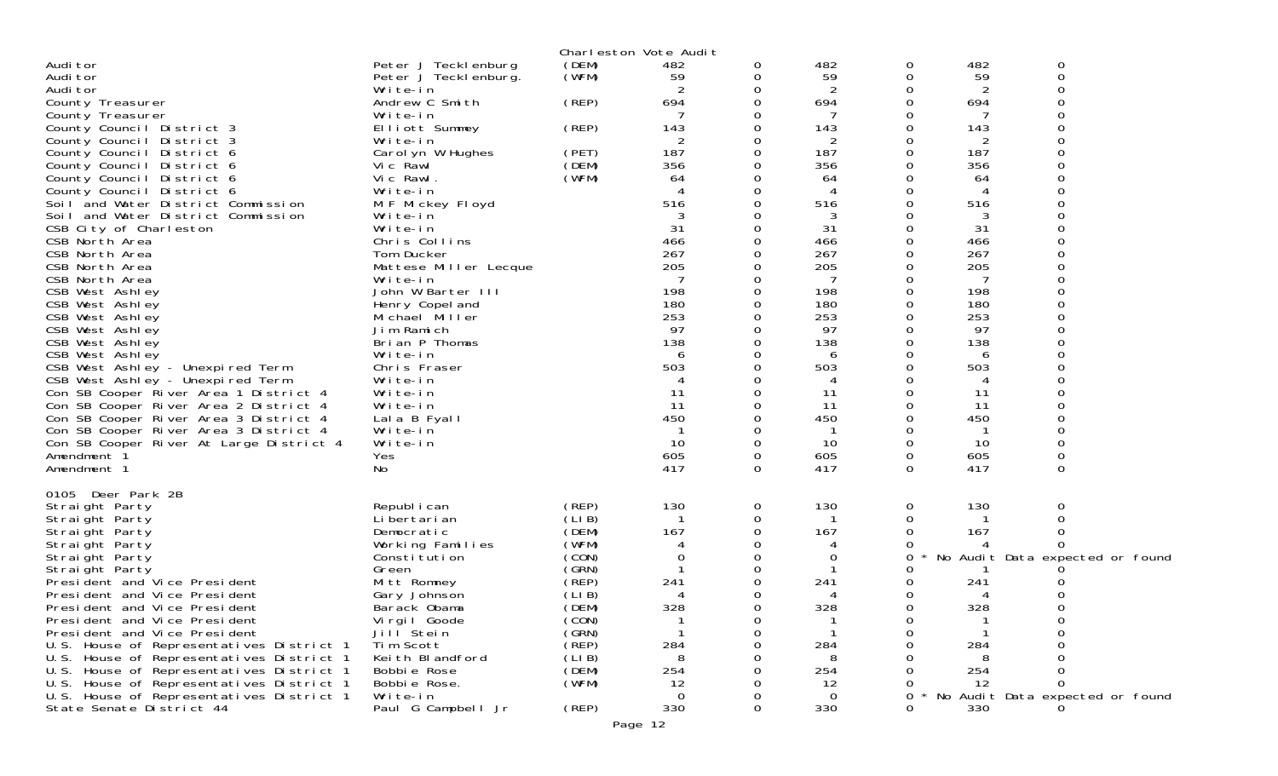|                                                                          |                                       |                | Charleston Vote Audit |          |            |        |            |                                 |  |
|--------------------------------------------------------------------------|---------------------------------------|----------------|-----------------------|----------|------------|--------|------------|---------------------------------|--|
| Audi tor                                                                 | Peter J Tecklenburg                   | (DEM)          | 482                   | 0        | 482        | 0      | 482        | 0                               |  |
| Audi tor                                                                 | Peter J Teckl enburg.                 | (WFM)          | 59                    |          | 59         | 0      | 59         | 0                               |  |
| Audi tor                                                                 | Write-in                              |                |                       |          | 2          | ი      | 2          |                                 |  |
| County Treasurer                                                         | Andrew C Smith                        | (REP)          | 694                   |          | 694        | 0      | 694        | ∩                               |  |
| County Treasurer                                                         | Write-in                              |                |                       |          | -7         | 0      |            | 0                               |  |
| County Council District 3                                                | Elliott Summey                        | (REP)          | 143                   |          | 143        | 0      | 143        |                                 |  |
| County Council District 3                                                | Write-in                              |                | 2                     |          | 2          | 0      |            | $\Omega$                        |  |
| District 6<br>County Council                                             | Carol yn W Hughes                     | (PET)          | 187                   |          | 187        | 0      | 187        |                                 |  |
| County Council District 6                                                | Vic Rawl                              | (DEM)          | 356                   |          | 356        | ი      | 356        |                                 |  |
| County Council<br>District 6                                             | Vic Rawl.                             | (WFM)          | 64                    |          | 64         | 0      | 64         |                                 |  |
| County Council District 6                                                | Write-in                              |                | 4                     |          | 4          | 0      | 4          |                                 |  |
| Soil and Water District Commission                                       | M F Mickey Floyd                      |                | 516                   |          | 516        | 0      | 516        |                                 |  |
| Soil and Water District Commission                                       | Write-in                              |                |                       |          | 3          | 0      | 3          | $\Omega$                        |  |
| CSB City of Charleston                                                   | Write-in                              |                | 31                    |          | 31         | 0      | 31         |                                 |  |
| CSB North Area                                                           | Chris Collins                         |                | 466                   |          | 466        | 0      | 466        |                                 |  |
| CSB North Area                                                           | Tom Ducker                            |                | 267                   |          | 267        | 0      | 267        |                                 |  |
| CSB North Area                                                           | Mattese Miller Lecque                 |                | 205                   |          | 205        | 0      | 205        |                                 |  |
| CSB North Area                                                           | Write-in                              |                |                       |          | 7          | 0      |            |                                 |  |
| CSB West Ashley                                                          | John W Barter III                     |                | 198<br>180            |          | 198<br>180 | 0      | 198<br>180 |                                 |  |
| CSB West Ashley<br>CSB West Ashley                                       | Henry Copel and<br>Michael Miller     |                | 253                   |          | 253        | 0<br>0 | 253        |                                 |  |
| CSB West Ashley                                                          | Jim Ramich                            |                | 97                    |          | 97         | 0      | 97         |                                 |  |
| CSB West Ashley                                                          | Brian P Thomas                        |                | 138                   |          | 138        | 0      | 138        |                                 |  |
| CSB West Ashley                                                          | Write-in                              |                | 6                     |          | 6          | ი      | 6          |                                 |  |
| CSB West Ashley - Unexpired Term                                         | Chris Fraser                          |                | 503                   |          | 503        | 0      | 503        |                                 |  |
| CSB West Ashley - Unexpired Term                                         | Write-in                              |                |                       |          |            | 0      | 4          |                                 |  |
| Con SB Cooper River Area 1 District 4                                    | Write-in                              |                | 11                    |          | 11         | 0      | 11         |                                 |  |
| Con SB Cooper River Area 2 District 4                                    | Write-in                              |                | 11                    |          | 11         | 0      | 11         |                                 |  |
| Con SB Cooper River Area 3 District 4                                    | Lala B Fyall                          |                | 450                   |          | 450        | 0      | 450        |                                 |  |
| Con SB Cooper River Area 3 District 4                                    | Write-in                              |                |                       |          |            |        |            |                                 |  |
| Con SB Cooper River At Large District 4                                  | Write-in                              |                | 10                    |          | 10         | 0      | 10         | 0                               |  |
| Amendment 1                                                              | Yes                                   |                | 605                   | 0        | 605        | 0      | 605        | 0                               |  |
| Amendment 1                                                              | No                                    |                | 417                   | $\Omega$ | 417        | 0      | 417        | 0                               |  |
|                                                                          |                                       |                |                       |          |            |        |            |                                 |  |
| 0105 Deer Park 2B                                                        |                                       |                |                       |          |            |        |            |                                 |  |
| Straight Party                                                           | Republ i can                          | (REP)          | 130                   | 0        | 130        | 0      | 130        | 0                               |  |
| Straight Party                                                           | Li bertari an                         | (LIB)          |                       | 0        |            | 0      |            |                                 |  |
| Straight Party                                                           | Democratic                            | (DEM)          | 167                   |          | 167        | 0      | 167        | Ω                               |  |
| Straight Party                                                           | Working Families                      | (WFM)          |                       |          |            |        |            |                                 |  |
| Straight Party                                                           | Constitution                          | (CON)          |                       |          | 0          | 0      |            | No Audit Data expected or found |  |
| Straight Party                                                           | Green                                 | (GRN)          |                       |          |            |        |            |                                 |  |
| President and Vice President                                             | Mitt Romney                           | (REP)          | 241                   |          | 241        | 0      | 241        |                                 |  |
| President and Vice President                                             | Gary Johnson                          | (LIB)          |                       |          |            | 0      |            |                                 |  |
| President and Vice President                                             | Barack Obama                          | (DEM)          | 328                   | ი        | 328        | 0      | 328        | 0                               |  |
| President and Vice President                                             | Virgil Goode<br>Jill <sup>Stein</sup> | (CON)<br>(GRN) |                       |          |            | 0      |            | O                               |  |
| President and Vice President<br>U.S. House of Representatives District 1 | Tim Scott                             | (REP)          | 284                   |          | 284        | 0      | 284        |                                 |  |
| U.S. House of Representatives District 1                                 | Keith Blandford                       | (LIB)          |                       |          | 8          |        |            |                                 |  |
| U.S. House of Representatives District 1                                 | Bobbie Rose                           | (DEM)          | 254                   |          | 254        |        | 254        |                                 |  |
| U.S. House of Representatives District 1                                 | Bobbie Rose.                          | (WFM)          | 12                    |          | 12         |        | -12        | O                               |  |
| U.S. House of Representatives District 1                                 | Write-in                              |                | $\Omega$              |          | $\Omega$   | 0      |            | No Audit Data expected or found |  |
| State Senate District 44                                                 | Paul G Campbell Jr                    | (REP)          | 330                   | 0        | 330        | ი      | 330        |                                 |  |
|                                                                          |                                       |                |                       |          |            |        |            |                                 |  |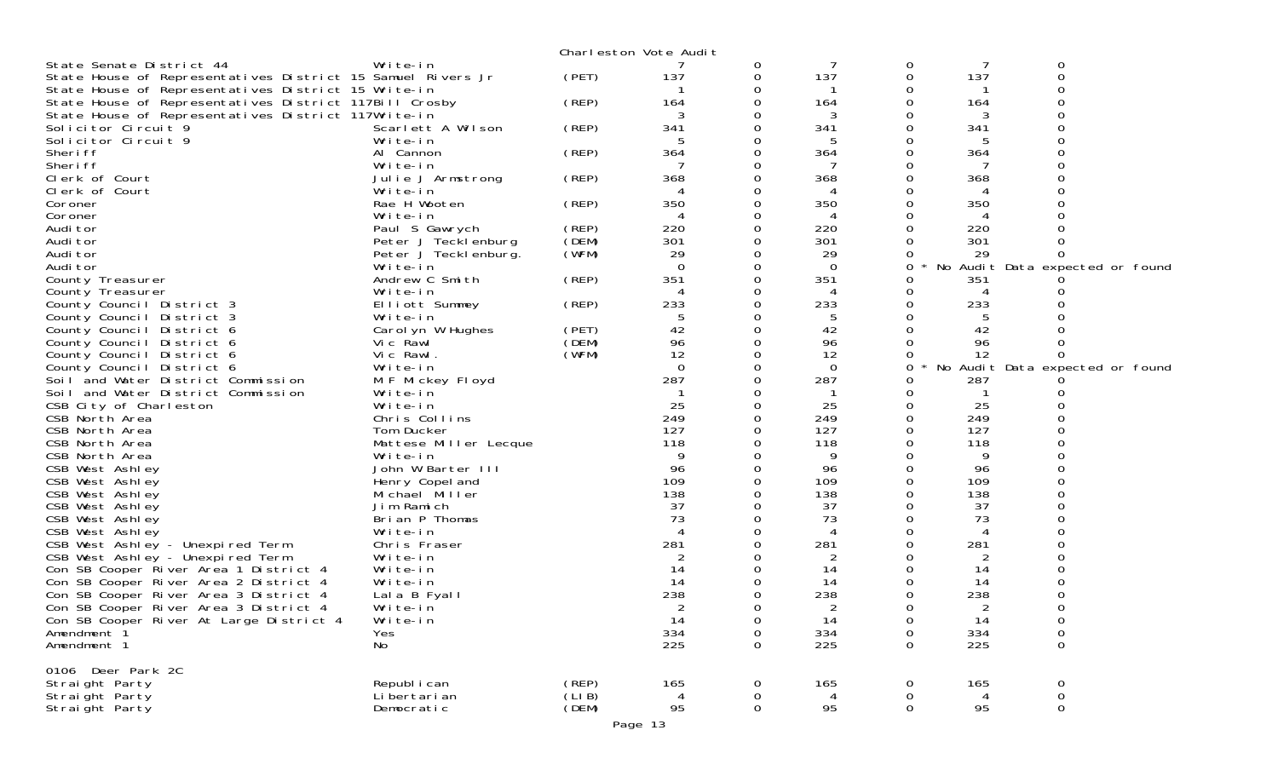|                                                             |                       |        | Charleston Vote Audit |   |                |             |     |                                 |  |
|-------------------------------------------------------------|-----------------------|--------|-----------------------|---|----------------|-------------|-----|---------------------------------|--|
| State Senate District 44                                    | Write-in              |        |                       | 0 |                | 0           |     | 0                               |  |
| State House of Representatives District 15 Samuel Rivers Jr |                       | (PET)  | 137                   | 0 | 137            | 0           | 137 | $\Omega$                        |  |
| State House of Representatives District 15 Write-in         |                       |        |                       |   |                |             |     |                                 |  |
| State House of Representatives District 117Bill Crosby      |                       | (REP)  | 164                   |   | 164            | 0           | 164 |                                 |  |
| State House of Representatives District 117Write-in         |                       |        |                       |   | 3              |             | 3   |                                 |  |
| Solicitor Circuit 9                                         | Scarlett A Wilson     | (REP)  | 341                   |   | 341            |             | 341 |                                 |  |
| Solicitor Circuit 9                                         | Write-in              |        |                       |   |                |             |     |                                 |  |
| Sheri ff                                                    | Al Cannon             | (REP)  | 364                   |   | 364            |             | 364 |                                 |  |
| Sheri ff                                                    | Write-in              |        |                       |   |                |             |     |                                 |  |
| Clerk of Court                                              | Julie J Armstrong     | (REP)  | 368                   |   | 368            |             | 368 |                                 |  |
| Clerk of Court                                              | Write-in              |        |                       |   |                |             | 4   |                                 |  |
| Coroner                                                     | Rae H Wooten          | (REP)  | 350                   |   | 350            |             | 350 |                                 |  |
| Coroner                                                     | Write-in              |        | 4                     | 0 | 4              |             | 4   |                                 |  |
| Audi tor                                                    | Paul S Gawrych        | (REP)  | 220                   |   | 220            |             | 220 |                                 |  |
| Audi tor                                                    | Peter J Tecklenburg   | (DEM)  | 301                   |   | 301            |             | 301 |                                 |  |
| Audi tor                                                    | Peter J Teckl enburg. | (WFM)  | 29                    |   | 29             |             | 29  |                                 |  |
| Audi tor                                                    | Write-in              |        | $\Omega$              |   | - 0            | 0           |     | No Audit Data expected or found |  |
| County Treasurer                                            | Andrew C Smith        | (REP)  | 351                   | 0 | 351            |             | 351 |                                 |  |
| County Treasurer                                            | Write-in              |        |                       |   | 4              | 0           | 4   |                                 |  |
| County Council District 3                                   | Elliott Summey        | (REP)  | 233                   |   | 233            |             | 233 |                                 |  |
| County Council District 3                                   | Write-in              |        |                       |   |                |             |     |                                 |  |
| County Council District 6                                   | Carol yn W Hughes     | (PET)  | 42                    | 0 | 42             |             | 42  |                                 |  |
| County Council District 6                                   | Vic Rawl              | (DEM)  | 96                    |   | 96             |             | 96  |                                 |  |
| County Council District 6                                   | Vic Rawl.             | (WFM)  | 12                    | 0 | 12             |             | 12  |                                 |  |
| County Council District 6                                   | Write-in              |        | $\Omega$              | 0 | $\overline{0}$ | 0           |     | No Audit Data expected or found |  |
| Soil and Water District Commission                          | M F Mickey Floyd      |        | 287                   |   | 287            |             | 287 |                                 |  |
| Soil and Water District Commission                          | Write-in              |        |                       |   |                |             |     |                                 |  |
| CSB City of Charleston                                      | Write-in              |        | 25                    |   | 25             |             | 25  |                                 |  |
| CSB North Area                                              | Chris Collins         |        | 249                   |   | 249            |             | 249 |                                 |  |
| CSB North Area                                              | Tom Ducker            |        | 127                   |   | 127            |             | 127 |                                 |  |
| CSB North Area                                              | Mattese Miller Lecque |        | 118                   |   | 118            |             | 118 |                                 |  |
| CSB North Area                                              | Write-in              |        | -9                    |   | 9              |             | 9   |                                 |  |
| CSB West Ashley                                             | John W Barter III     |        | 96                    |   | 96             |             | 96  |                                 |  |
| CSB West Ashley                                             | Henry Copel and       |        | 109                   |   | 109            |             | 109 |                                 |  |
| CSB West Ashley                                             | Michael Miller        |        | 138                   |   | 138            |             | 138 |                                 |  |
| CSB West Ashley                                             | Jim Ramich            |        | 37                    |   | 37             |             | 37  |                                 |  |
| CSB West Ashley                                             | Brian P Thomas        |        | 73                    |   | 73             |             | 73  |                                 |  |
| CSB West Ashley                                             | Write-in              |        |                       |   |                |             |     |                                 |  |
| CSB West Ashley - Unexpired Term                            | Chris Fraser          |        | 281                   |   | 281            |             | 281 |                                 |  |
| CSB West Ashley - Unexpired Term                            | Write-in              |        | 2                     |   | 2              |             | 2   |                                 |  |
| Con SB Cooper River Area 1 District 4                       | Write-in              |        | 14                    |   | 14             |             | 14  |                                 |  |
| Con SB Cooper River Area 2 District 4                       | Write-in              |        | 14                    |   | 14             |             | 14  |                                 |  |
| Con SB Cooper River Area 3 District 4                       | Lala B Fyall          |        | 238                   |   | 238            |             | 238 |                                 |  |
| Con SB Cooper River Area 3 District 4                       | Write-in              |        | $\overline{2}$        |   | 2              |             | 2   |                                 |  |
| Con SB Cooper River At Large District 4                     | Write-in              |        | 14                    | 0 | 14             | 0           | 14  | 0                               |  |
| Amendment 1                                                 | Yes                   |        | 334                   | 0 | 334            | 0           | 334 | 0                               |  |
| Amendment 1                                                 | No                    |        | 225                   | 0 | 225            | $\mathbf 0$ | 225 | $\mathbf 0$                     |  |
|                                                             |                       |        |                       |   |                |             |     |                                 |  |
| 0106 Deer Park 2C                                           |                       |        |                       |   |                |             |     |                                 |  |
| Straight Party                                              | Republ i can          | (REP)  | 165                   | 0 | 165            | 0           | 165 | 0                               |  |
| Straight Party                                              | Li bertari an         | (LI B) | 4                     | 0 |                | 0           |     | 0                               |  |
| Straight Party                                              | Democratic            | (DEM)  | 95                    | 0 | 95             | 0           | 95  | $\mathbf 0$                     |  |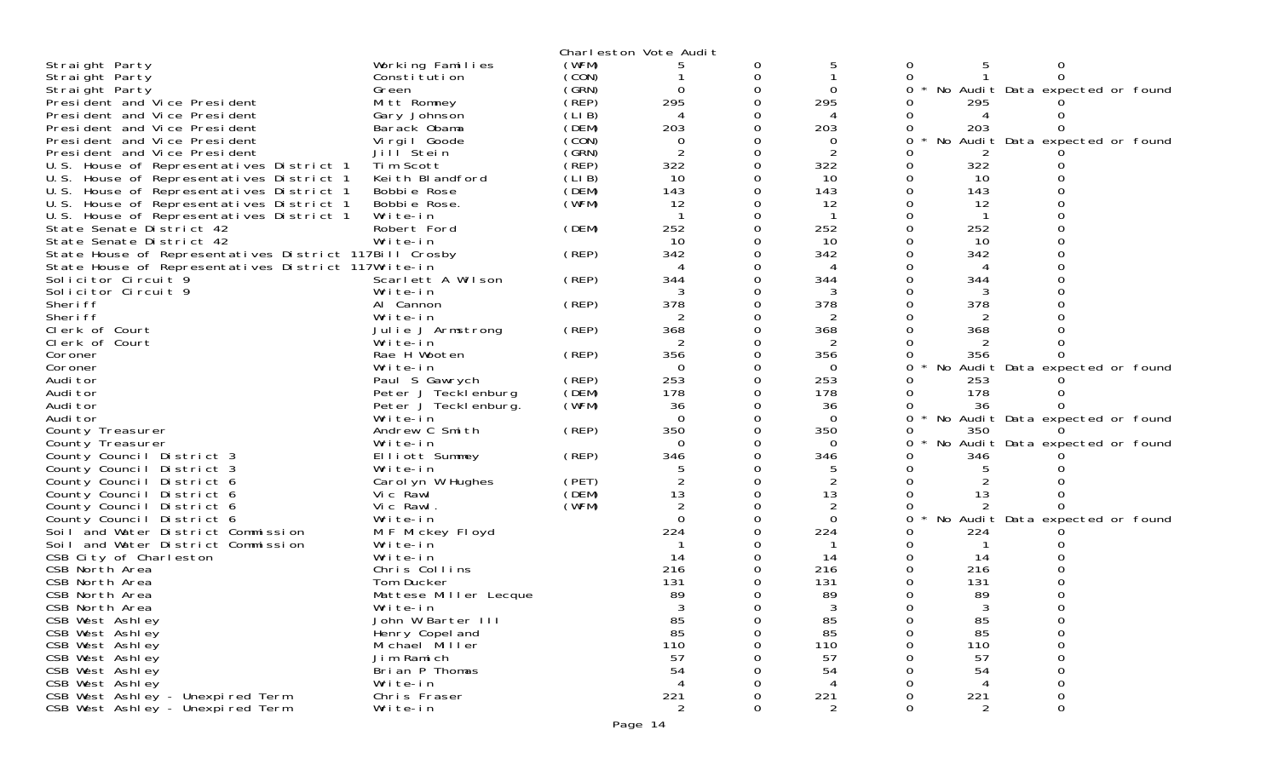|                                                        |                       |       | Charleston Vote Audit |          |                |   |     |                                 |  |
|--------------------------------------------------------|-----------------------|-------|-----------------------|----------|----------------|---|-----|---------------------------------|--|
| Straight Party                                         | Working Families      | (WFM) |                       | 0        |                | 0 |     | Ω                               |  |
| Straight Party                                         | Constitution          | (CON) |                       | 0        |                | 0 |     |                                 |  |
| Straight Party                                         | Green                 | (GRN) | $\Omega$              | $\Omega$ | $\Omega$       | 0 |     | No Audit Data expected or found |  |
| President and Vice President                           | Mitt Romney           | (REP) | 295                   | 0        | 295            |   | 295 |                                 |  |
| President and Vice President                           | Gary Johnson          | (LIB) | 4                     |          |                |   |     |                                 |  |
| President and Vice President                           | Barack Obama          | (DEM) | 203                   | 0        | 203            | O | 203 |                                 |  |
| President and Vice President                           | Virgil Goode          | (CON) | 0                     |          | $\Omega$       | 0 | No  | Audit Data expected or found    |  |
| President and Vice President                           | Jill Stein            | (GRN) | $\overline{2}$        | 0        | 2              |   |     |                                 |  |
| U.S. House of Representatives District 1               | Tim Scott             | (REP) | 322                   | 0        | 322            | 0 | 322 |                                 |  |
| U.S. House of Representatives District 1               | Keith Blandford       | (LIB) | 10                    | 0        | 10             | 0 | 10  |                                 |  |
| U.S. House of Representatives District 1               | Bobbie Rose           | (DEM) | 143                   | $\Omega$ | 143            |   | 143 |                                 |  |
| U.S. House of Representatives District 1               | Bobbie Rose.          | (WFM) | 12                    | 0        | 12             |   | -12 |                                 |  |
| U.S. House of Representatives District 1               | Write-in              |       |                       | 0        |                |   |     |                                 |  |
| State Senate District 42                               | Robert Ford           | (DEM) | 252                   |          | 252            |   | 252 |                                 |  |
| State Senate District 42                               | Write-in              |       | 10                    | 0        | 10             |   | 10  |                                 |  |
| State House of Representatives District 117Bill Crosby |                       | (REP) | 342                   | 0        | 342            |   | 342 |                                 |  |
| State House of Representatives District 117Write-in    |                       |       |                       |          | 4              |   |     |                                 |  |
| Solicitor Circuit 9                                    | Scarlett A Wilson     | (REP) | 344                   | 0        | 344            |   | 344 |                                 |  |
| Solicitor Circuit 9                                    | Write-in              |       | 3                     | 0        | 3              |   | 3   |                                 |  |
| Sheri ff                                               | Al Cannon             | (REP) | 378                   |          | 378            |   | 378 |                                 |  |
| Sheri ff                                               | Write-in              |       | 2                     | 0        |                |   |     |                                 |  |
| Clerk of Court                                         | Julie J Armstrong     | (REP) | 368                   | 0        | 368            |   | 368 |                                 |  |
| Clerk of Court                                         | Write-in              |       |                       |          |                |   |     |                                 |  |
| Coroner                                                | Rae H Wooten          | (REP) | 356                   | 0        | 356            |   | 356 |                                 |  |
| Coroner                                                | Write-in              |       | $\Omega$              | 0        | $\Omega$       | 0 |     | No Audit Data expected or found |  |
| Audi tor                                               | Paul S Gawrych        | (REP) | 253                   |          | 253            |   | 253 |                                 |  |
| Audi tor                                               | Peter J Tecklenburg   | (DEM) | 178                   | 0        | 178            |   | 178 |                                 |  |
| Audi tor                                               | Peter J Teckl enburg. | (WFM) | 36                    | 0        | 36             |   | 36  |                                 |  |
| Audi tor                                               | Write-in              |       | $\Omega$              |          | $\Omega$       | 0 |     | No Audit Data expected or found |  |
| County Treasurer                                       | Andrew C Smith        | (REP) | 350                   | ი        | 350            |   | 350 |                                 |  |
| County Treasurer                                       | Write-in              |       | $\Omega$              | 0        | $\Omega$       | 0 |     | No Audit Data expected or found |  |
| County Council District 3                              | Elliott Summey        | (REP) | 346                   |          | 346            |   | 346 |                                 |  |
| County Council District 3                              | Write-in              |       |                       | O        |                |   |     |                                 |  |
| County Council District 6                              | Carol yn W Hughes     | (PET) |                       | 0        | $\overline{c}$ |   |     |                                 |  |
| County Council District 6                              | Vic Rawl              | (DEM) | 13                    | 0        | 13             | 0 | 13  |                                 |  |
| County Council District 6                              | Vic Rawl.             | (WFM) | 2                     | 0        |                |   |     |                                 |  |
| County Council District 6                              | Write-in              |       | $\Omega$              |          | $\Omega$       |   |     | No Audit Data expected or found |  |
| Soil and Water District Commission                     | M F Mickey Floyd      |       | 224                   |          | 224            |   | 224 |                                 |  |
| Soil and Water District Commission                     | Write-in              |       |                       |          |                |   |     |                                 |  |
| CSB City of Charleston                                 | Write-in              |       | 14                    |          | 14             |   | 14  |                                 |  |
| CSB North Area                                         | Chris Collins         |       | 216                   |          | 216            |   | 216 |                                 |  |
| CSB North Area                                         | Tom Ducker            |       | 131                   |          | 131            |   | 131 |                                 |  |
| CSB North Area                                         | Mattese Miller Lecque |       | 89                    |          | 89             |   | 89  |                                 |  |
| CSB North Area                                         | Write-in              |       |                       |          |                |   |     |                                 |  |
| CSB West Ashley                                        | John W Barter III     |       | 85                    | 0        | 85             |   | 85  |                                 |  |
| CSB West Ashley                                        | Henry Copel and       |       | 85                    | 0        | 85             |   | 85  |                                 |  |
| CSB West Ashley                                        | Michael Miller        |       | 110                   |          | 110            |   | 110 |                                 |  |
| CSB West Ashley                                        | Jim Ramich            |       | 57                    |          | 57             |   | 57  |                                 |  |
| CSB West Ashley                                        | Brian P Thomas        |       | 54                    |          | 54             |   | 54  |                                 |  |
| CSB West Ashley                                        | Write-in              |       | $\overline{4}$        |          | 4              |   |     |                                 |  |
| CSB West Ashley - Unexpired Term                       | Chris Fraser          |       | 221                   |          | 221            |   | 221 |                                 |  |
| CSB West Ashley - Unexpired Term                       | Write-in              |       | $\overline{2}$        |          | $\overline{2}$ |   | 2   | $\Omega$                        |  |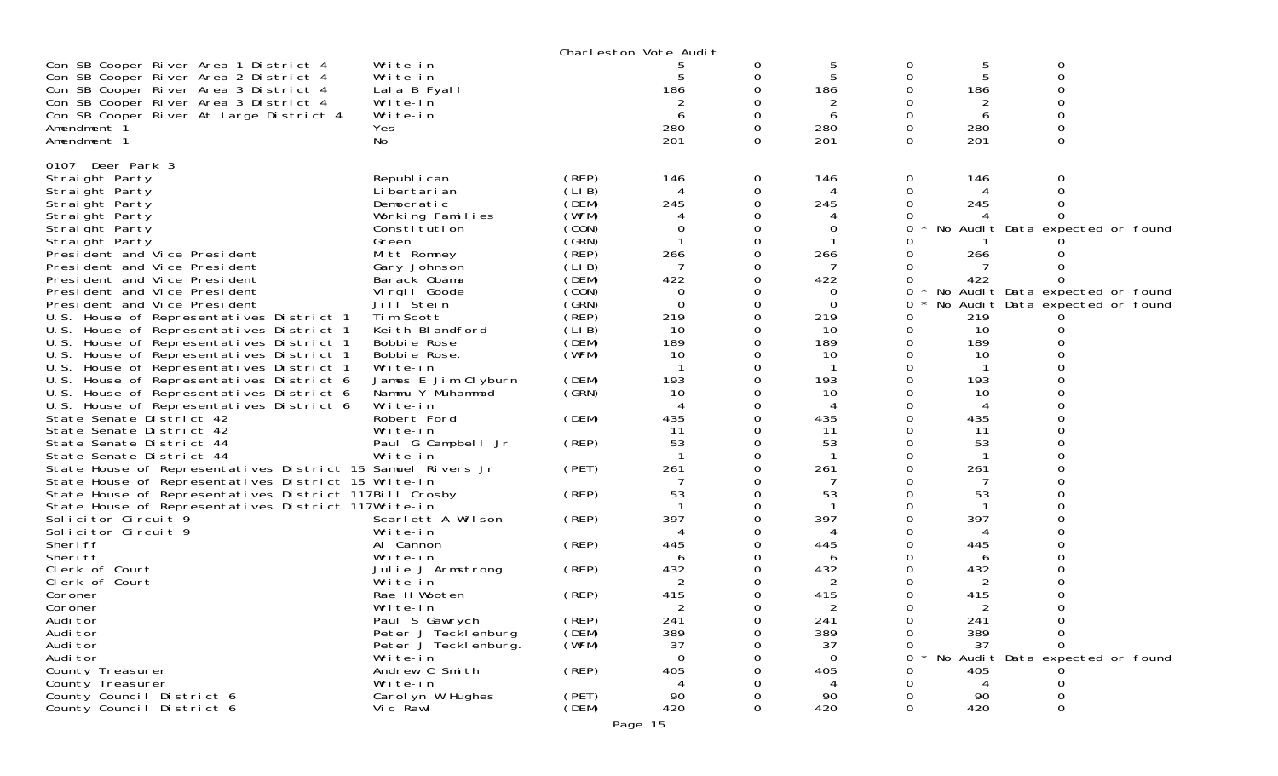|                                                             |                                |       | Charleston Vote Audit |          |                          |              |                |                                 |  |
|-------------------------------------------------------------|--------------------------------|-------|-----------------------|----------|--------------------------|--------------|----------------|---------------------------------|--|
| Con SB Cooper River Area 1 District 4                       | Write-in                       |       |                       | 0        |                          |              | 5              | 0                               |  |
| Con SB Cooper River Area 2 District 4                       | Write-in                       |       |                       | 0        |                          |              |                | $\Omega$                        |  |
| Con SB Cooper River Area 3 District 4                       | Lala B Fyall                   |       | 186                   | 0        | 186                      |              | 186            |                                 |  |
| Con SB Cooper River Area 3 District 4                       | Write-in                       |       |                       | 0        |                          |              |                |                                 |  |
| Con SB Cooper River At Large District 4                     | Write-in                       |       | 6                     | 0        | 6                        |              | 6              |                                 |  |
| Amendment 1                                                 | Yes                            |       | 280                   | 0        | 280                      | 0            | 280            |                                 |  |
| Amendment 1                                                 | No                             |       | 201                   | $\Omega$ | 201                      | 0            | 201            | 0                               |  |
| 0107 Deer Park 3                                            |                                |       |                       |          |                          |              |                |                                 |  |
| Straight Party                                              | Republ i can                   | (REP) | 146                   | 0        | 146                      | 0            | 146            |                                 |  |
| Straight Party                                              | Li bertari an                  | (LIB) | 4                     | 0        | 4                        |              |                |                                 |  |
| Straight Party                                              | Democratic                     | (DEM) | 245                   | 0        | 245                      |              | 245            |                                 |  |
| Straight Party                                              | Working Families               | (WFM) |                       | 0        |                          |              |                |                                 |  |
| Straight Party                                              | Constitution                   | (CON) | 0                     |          | 0                        |              |                | No Audit Data expected or found |  |
| Straight Party                                              | Green                          | (GRN) |                       | 0        |                          |              |                |                                 |  |
| President and Vice President                                | Mitt Romney                    | (REP) | 266                   | 0        | 266                      |              | 266            |                                 |  |
| President and Vice President                                | Gary Johnson                   | (LIB) | -7                    |          |                          |              |                |                                 |  |
| President and Vice President                                | Barack Obama                   | (DEM) | 422                   | 0        | 422                      |              | 422            |                                 |  |
| President and Vice President                                | Virgil Goode                   | (CON) | 0                     | 0        | 0                        | 0            |                | No Audit Data expected or found |  |
| President and Vice President                                | Jill Stein                     | (GRN) | $\Omega$              | 0        | $\Omega$                 | 0            |                | No Audit Data expected or found |  |
| U.S. House of Representatives District 1                    | Tim Scott                      | (REP) | 219                   | 0        | 219                      |              | 219            |                                 |  |
| U.S. House of Representatives District 1                    | Keith Blandford                | (LIB) | 10                    | 0        | 10                       | 0            | 10             |                                 |  |
| U.S. House of Representatives District 1                    | Bobbie Rose                    | (DEM) | 189                   |          | 189                      |              | 189            |                                 |  |
| U.S. House of Representatives District 1                    | Bobbie Rose.                   | (WFM) | 10                    | 0        | 10                       |              | 10             |                                 |  |
| U.S. House of Representatives District 1                    | Write-in                       |       |                       | 0        |                          |              |                |                                 |  |
| U.S. House of Representatives District 6                    | James E Jim Clyburn            | (DEM) | 193                   | $\Omega$ | 193                      |              | 193            |                                 |  |
| U.S. House of Representatives District 6                    | Nammu Y Muhammad               | (GRN) | 10                    | 0        | 10                       |              | 10             |                                 |  |
| U.S. House of Representatives District 6                    | Write-in                       |       |                       | 0        | $\boldsymbol{\varDelta}$ |              | 4              |                                 |  |
| State Senate District 42                                    | Robert Ford                    | (DEM) | 435                   | 0<br>0   | 435                      |              | 435            |                                 |  |
| State Senate District 42<br>State Senate District 44        | Write-in<br>Paul G Campbell Jr | (REP) | 11<br>53              | 0        | 11<br>53                 |              | 11<br>53       |                                 |  |
| State Senate District 44                                    | Write-in                       |       |                       |          |                          |              |                |                                 |  |
| State House of Representatives District 15 Samuel Rivers Jr |                                | (PET) | 261                   | 0        | 261                      |              | 261            |                                 |  |
| State House of Representatives District 15 Write-in         |                                |       |                       | 0        |                          |              |                |                                 |  |
| State House of Representatives District 117Bill Crosby      |                                | (REP) | 53                    |          | 53                       |              | 53             |                                 |  |
| State House of Representatives District 117Write-in         |                                |       |                       | 0        |                          |              |                |                                 |  |
| Solicitor Circuit 9                                         | Scarlett A Wilson              | (REP) | 397                   | 0        | 397                      |              | 397            |                                 |  |
| Solicitor Circuit 9                                         | Write-in                       |       |                       |          |                          |              |                |                                 |  |
| Sheri ff                                                    | Al Cannon                      | (REP) | 445                   | 0        | 445                      |              | 445            |                                 |  |
| Sheri ff                                                    | Write-in                       |       | 6                     |          | 6                        |              | 6              |                                 |  |
| Clerk of Court                                              | Julie J Armstrong              | (REP) | 432                   |          | 432                      |              | 432            |                                 |  |
| Clerk of Court                                              | Write-in                       |       | 2                     | 0        | 2                        |              | 2              |                                 |  |
| Coroner                                                     | Rae H Wooten                   | (REP) | 415                   |          | 415                      |              | 415            |                                 |  |
| Coroner                                                     | Write-in                       |       | 2                     | 0        | 2                        |              | $\overline{2}$ |                                 |  |
| Audi tor                                                    | Paul S Gawrych                 | (REP) | 241                   | 0        | 241                      | Ü            | 241            | 0                               |  |
| Audi tor                                                    | Peter J Tecklenburg            | (DEM) | 389                   | 0        | 389                      | 0            | 389            | 0                               |  |
| Audi tor                                                    | Peter J Teckl enburg.          | (WFM) | 37                    | 0        | 37                       | 0            | 37             |                                 |  |
| Audi tor                                                    | Write-in                       |       | $\Omega$              | 0        | $\Omega$                 | <sup>o</sup> |                | No Audit Data expected or found |  |
| County Treasurer                                            | Andrew C Smith                 | (REP) | 405                   |          | 405                      |              | 405            |                                 |  |
| County Treasurer                                            | Write-in                       |       | 4                     |          | 4                        |              | 4              |                                 |  |
| County Council District 6                                   | Carolyn W Hughes               | (PET) | 90                    | 0        | 90                       |              | 90             |                                 |  |
| County Council District 6                                   | Vic Rawl                       | (DEM) | 420                   | 0        | 420                      | 0            | 420            | 0                               |  |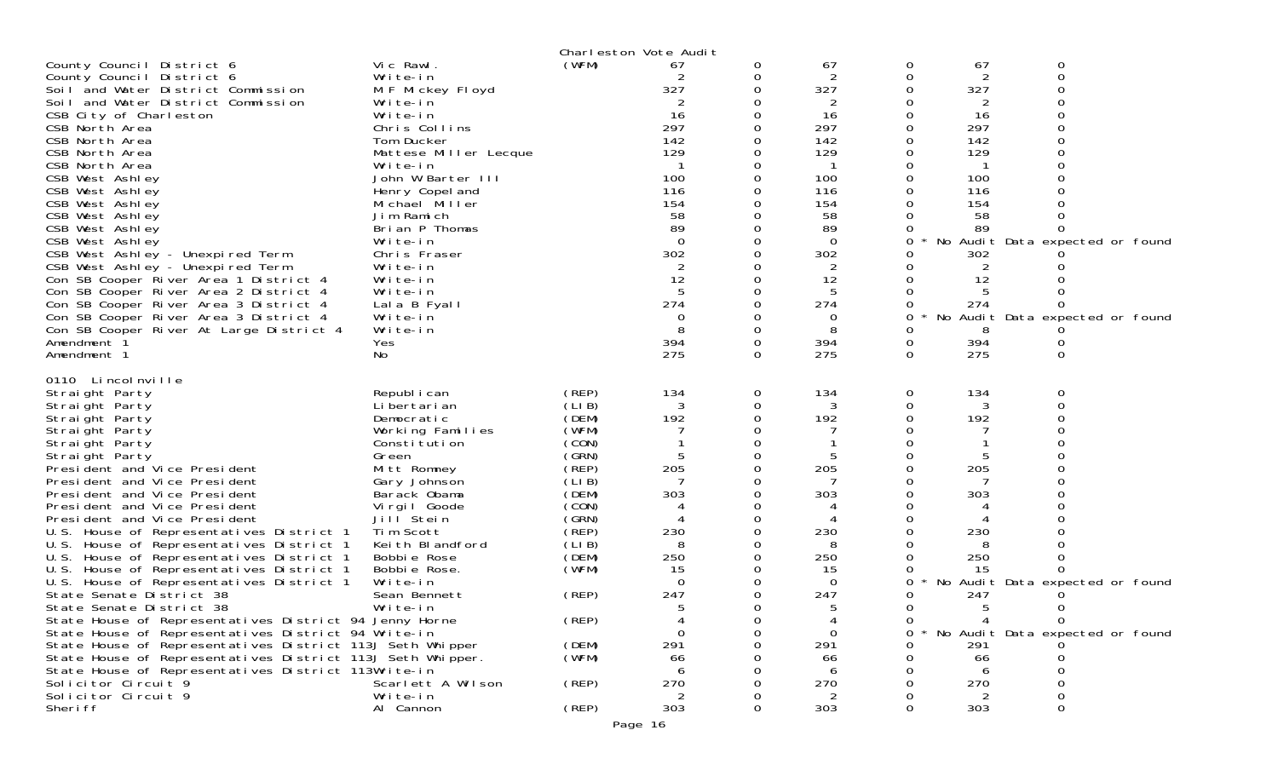| County Council District 6<br>County Council District 6<br>Soil and Water District Commission<br>Soil and Water District Commission<br>CSB City of Charleston<br>CSB North Area<br>CSB North Area<br>CSB North Area<br>CSB North Area<br>CSB West Ashley<br>CSB West Ashley<br>CSB West Ashley<br>CSB West Ashley<br>CSB West Ashley<br>CSB West Ashley<br>CSB West Ashley - Unexpired Term<br>CSB West Ashley - Unexpired Term<br>Con SB Cooper River Area 1 District 4<br>Con SB Cooper River Area 2 District 4<br>Con SB Cooper River Area 3 District 4<br>Con SB Cooper River Area 3 District 4<br>Con SB Cooper River At Large District 4<br>Amendment 1<br>Amendment 1                                                                                                                                                                                                                                                                    | Vic Rawl.<br>Write-in<br>M F Mickey Floyd<br>Write-in<br>Write-in<br>Chris Collins<br>Tom Ducker<br>Mattese Miller Lecque<br>Write-in<br>John W Barter III<br>Henry Copel and<br>Michael Miller<br>Jim Ramich<br>Brian P Thomas<br>Write-in<br>Chris Fraser<br>Write-in<br>Write-in<br>Write-in<br>Lala B Fyall<br>Write-in<br>Write-in<br>Yes<br>No | Charleston Vote Audit<br>(WFM)                                                                                                                                                            | 67<br>327<br>16<br>297<br>142<br>129<br>100<br>116<br>154<br>58<br>89<br>$\Omega$<br>302<br>2<br>12<br>5<br>274<br>0<br>8<br>394<br>275 | 0<br>0<br>0<br>0<br>$\Omega$    | 67<br>2<br>327<br>2<br>16<br>297<br>142<br>129<br>100<br>116<br>154<br>58<br>89<br>$\overline{0}$<br>302<br>2<br>12<br>5<br>274<br>0<br>8<br>394<br>275 | 0<br>0<br>0<br>0<br>0<br>$\Omega$<br>0<br>0<br>0<br>0<br>0<br><sup>o</sup><br>0<br>0<br>0<br>0<br>0<br>0<br>0<br>0<br>0<br>$\Omega$ | 67<br>2<br>327<br>2<br>16<br>297<br>142<br>129<br>100<br>116<br>154<br>58<br>89<br>302<br>2<br>12<br>5<br>274<br>8<br>394<br>275 | 0<br>0<br>O<br>ი<br>O<br>No Audit Data expected or found<br>0<br>No Audit Data expected or found<br>0<br>$\Omega$ |  |
|------------------------------------------------------------------------------------------------------------------------------------------------------------------------------------------------------------------------------------------------------------------------------------------------------------------------------------------------------------------------------------------------------------------------------------------------------------------------------------------------------------------------------------------------------------------------------------------------------------------------------------------------------------------------------------------------------------------------------------------------------------------------------------------------------------------------------------------------------------------------------------------------------------------------------------------------|------------------------------------------------------------------------------------------------------------------------------------------------------------------------------------------------------------------------------------------------------------------------------------------------------------------------------------------------------|-------------------------------------------------------------------------------------------------------------------------------------------------------------------------------------------|-----------------------------------------------------------------------------------------------------------------------------------------|---------------------------------|---------------------------------------------------------------------------------------------------------------------------------------------------------|-------------------------------------------------------------------------------------------------------------------------------------|----------------------------------------------------------------------------------------------------------------------------------|-------------------------------------------------------------------------------------------------------------------|--|
| 0110 Lincolnville<br>Straight Party<br>Straight Party<br>Straight Party<br>Straight Party<br>Straight Party<br>Straight Party<br>President and Vice President<br>President and Vice President<br>President and Vice President<br>President and Vice President<br>President and Vice President<br>U.S. House of Representatives District 1<br>U.S. House of Representatives District 1<br>U.S. House of Representatives District 1<br>U.S. House of Representatives District 1<br>U.S. House of Representatives District 1<br>State Senate District 38<br>State Senate District 38<br>State House of Representatives District 94 Jenny Horne<br>State House of Representatives District 94 Write-in<br>State House of Representatives District 113J Seth Whipper<br>State House of Representatives District 113J Seth Whipper.<br>State House of Representatives District 113Write-in<br>Solicitor Circuit 9<br>Solicitor Circuit 9<br>Sheri ff | Republ i can<br>Li bertari an<br>Democratic<br>Working Families<br>Constitution<br>Green<br>Mitt Romney<br>Gary Johnson<br>Barack Obama<br>Virgil Goode<br>Jill Stein<br>Tim Scott<br>Keith Blandford<br>Bobbie Rose<br>Bobbie Rose.<br>Write-in<br>Sean Bennett<br>Write-in<br>Scarlett A Wilson<br>Write-in<br>Al Cannon                           | (REP)<br>(LIB)<br>(DEM)<br>(WFM)<br>(CON)<br>(GRN)<br>(REP)<br>(LIB)<br>(DEM)<br>(CON)<br>(GRN)<br>(REP)<br>(LIB)<br>(DEM)<br>(WFM)<br>(REP)<br>(REP)<br>(DEM)<br>(WFM)<br>(REP)<br>(REP) | 134<br>3<br>192<br>5<br>205<br>7<br>303<br>230<br>8<br>250<br>15<br>$\Omega$<br>247<br>291<br>66<br>270<br>2<br>303                     | 0<br>0<br>0<br>0<br>0<br>0<br>0 | 134<br>3<br>192<br>205<br>303<br>230<br>8<br>250<br>15<br>$\Omega$<br>247<br>291<br>66<br>$\sqrt{2}$<br>270<br>2<br>303                                 | $\overline{O}$<br>0<br>0<br>0<br>0<br>0<br>0<br>0<br>O<br>0<br>0<br>0<br>0<br>0<br>0<br>0<br>0<br>0<br>0                            | 134<br>3<br>192<br>5<br>205<br>7<br>303<br>230<br>8<br>250<br>15<br>247<br>5<br>4<br>291<br>66<br>270<br>303                     | 0<br>0<br>No Audit Data expected or found<br>O<br>0<br>$\Omega$<br>No Audit Data expected or found                |  |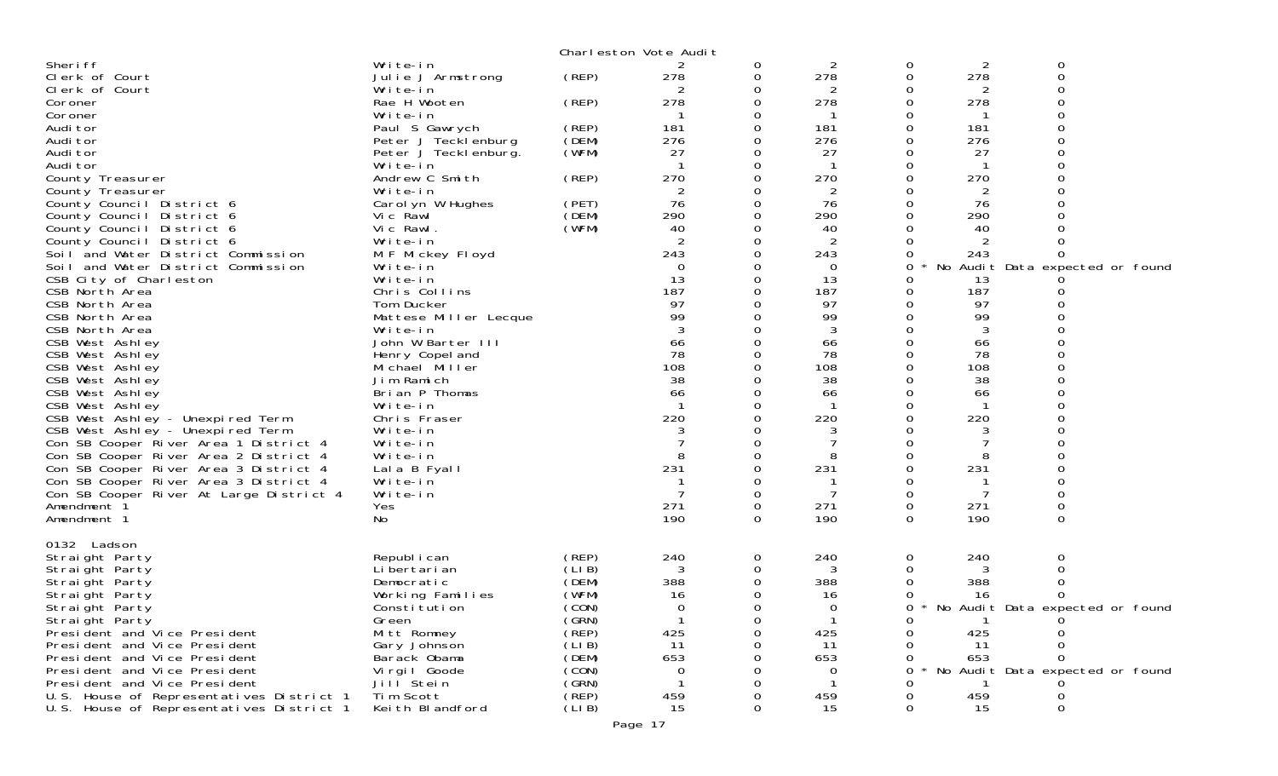|                                          |                               |       | Charleston Vote Audit |          |             |        |                       |                                 |  |
|------------------------------------------|-------------------------------|-------|-----------------------|----------|-------------|--------|-----------------------|---------------------------------|--|
| Sheri ff<br>Clerk of Court               | Write-in<br>Julie J Armstrong | (REP) | 278                   | 0<br>0   | 2<br>278    | 0<br>0 | $\overline{2}$<br>278 | 0<br>0                          |  |
| Clerk of Court                           | Write-in                      |       |                       | 0        | 2           | 0      | 2                     |                                 |  |
| Coroner                                  | Rae H Wooten                  | (REP) | 278                   | 0        | 278         | 0      | 278                   | $\Omega$                        |  |
| Coroner                                  | Write-in                      |       |                       |          |             |        |                       |                                 |  |
| Audi tor                                 | Paul S Gawrych                | (REP) | 181                   |          | 181         | 0      | 181                   |                                 |  |
| Audi tor                                 | Peter J Tecklenburg           | (DEM) | 276                   | 0        | 276         |        | 276                   |                                 |  |
| Audi tor                                 | Peter J Tecklenburg.          | (WFM) | 27                    |          | 27          |        | 27                    |                                 |  |
| Audi tor                                 | Write-in                      |       |                       |          |             |        |                       |                                 |  |
| County Treasurer                         | Andrew C Smith                | (REP) | 270                   | 0        | 270         | 0      | 270                   |                                 |  |
| County Treasurer                         | Write-in                      |       | 2                     |          | 2           |        | 2                     |                                 |  |
| County Council District 6                | Carol yn W Hughes             | (PET) | 76                    |          | 76          |        | 76                    |                                 |  |
| County Council District 6                | Vic Rawl                      | (DEM) | 290                   | 0        | 290         |        | 290                   |                                 |  |
| County Council District 6                | Vic Rawl.                     | (WFM) | 40                    |          | 40          |        | 40                    |                                 |  |
| County Council District 6                | Write-in                      |       |                       |          | 2           |        |                       |                                 |  |
| Soil and Water District Commission       | M F Mickey Floyd              |       | 243                   | 0        | 243         | 0      | 243                   |                                 |  |
| Soil and Water District Commission       | Write-in                      |       | $\Omega$              |          | $\mathbf 0$ | 0      |                       | No Audit Data expected or found |  |
| CSB City of Charleston                   | Write-in                      |       | 13                    |          | 13          |        | 13                    |                                 |  |
| CSB North Area                           | Chris Collins                 |       | 187                   |          | 187         | 0      | 187                   |                                 |  |
| CSB North Area                           | Tom Ducker                    |       | 97                    |          | 97          |        | 97                    |                                 |  |
| CSB North Area                           | Mattese Miller Lecque         |       | 99                    |          | 99          |        | 99                    |                                 |  |
| CSB North Area                           | Write-in                      |       | 3                     |          | 3           |        | 3                     |                                 |  |
| CSB West Ashley                          | John W Barter III             |       | 66                    |          | 66          |        | 66                    |                                 |  |
| CSB West Ashley                          | Henry Copel and               |       | 78                    |          | 78          |        | 78                    |                                 |  |
| CSB West Ashley                          | Michael Miller                |       | 108                   |          | 108         |        | 108                   |                                 |  |
| CSB West Ashley                          | Jim Ramich                    |       | 38                    |          | 38          |        | 38                    |                                 |  |
| CSB West Ashley                          | Brian P Thomas                |       | 66                    |          | 66          |        | 66                    |                                 |  |
| CSB West Ashley                          | Write-in                      |       |                       | 0        | $\mathbf 1$ |        |                       |                                 |  |
| CSB West Ashley - Unexpired Term         | Chris Fraser                  |       | 220                   |          | 220         |        | 220                   |                                 |  |
| CSB West Ashley - Unexpired Term         | Write-in                      |       |                       |          |             |        |                       |                                 |  |
| Con SB Cooper River Area 1 District 4    | Write-in                      |       |                       | 0        |             |        |                       |                                 |  |
| Con SB Cooper River Area 2 District 4    | Write-in                      |       |                       |          |             |        | 8                     |                                 |  |
| Con SB Cooper River Area 3 District 4    | Lala B Fyall                  |       | 231                   | $\Omega$ | 231         | 0      | 231                   |                                 |  |
| Con SB Cooper River Area 3 District 4    | Write-in                      |       |                       | 0        |             | 0      |                       |                                 |  |
| Con SB Cooper River At Large District 4  | Write-in                      |       |                       | 0        | 7           | 0      | 7                     |                                 |  |
| Amendment 1                              | Yes                           |       | 271                   | 0        | 271         | 0      | 271                   |                                 |  |
| Amendment 1                              | No                            |       | 190                   | 0        | 190         | 0      | 190                   | $\mathbf 0$                     |  |
| 0132 Ladson                              |                               |       |                       |          |             |        |                       |                                 |  |
| Straight Party                           | Republ i can                  | (REP) | 240                   | 0        | 240         | 0      | 240                   | 0                               |  |
| Straight Party                           | Li bertari an                 | (LIB) | 3                     | 0        | 3           |        |                       | 0                               |  |
| Straight Party                           | Democratic                    | (DEM) | 388                   | 0        | 388         |        | 388                   |                                 |  |
| Straight Party                           | Working Families              | (WFM) | 16                    | 0        | 16          |        | 16                    |                                 |  |
| Straight Party                           | Constitution                  | (CON) | 0                     | 0        | 0           | 0      |                       | No Audit Data expected or found |  |
| Straight Party                           | Green                         | (GRN) |                       |          |             | 0      |                       |                                 |  |
| President and Vice President             | Mitt Romney                   | (REP) | 425                   |          | 425         |        | 425                   |                                 |  |
| President and Vice President             | Gary Johnson                  | (LIB) | 11                    |          | 11          |        | 11                    |                                 |  |
| President and Vice President             | Barack Obama                  | (DEM) | 653                   |          | 653         |        | 653                   |                                 |  |
| President and Vice President             | Vi rgi I Goode                | (CON) | 0                     |          | 0           |        |                       | No Audit Data expected or found |  |
| President and Vice President             | Jill <sup>Stein</sup>         | (GRN) |                       |          | -1          |        |                       |                                 |  |
| U.S. House of Representatives District 1 | Tim Scott                     | (REP) | 459                   |          | 459         |        | 459                   |                                 |  |
| U.S. House of Representatives District 1 | Keith Blandford               | (LIB) | 15                    | 0        | 15          |        | 15                    | 0                               |  |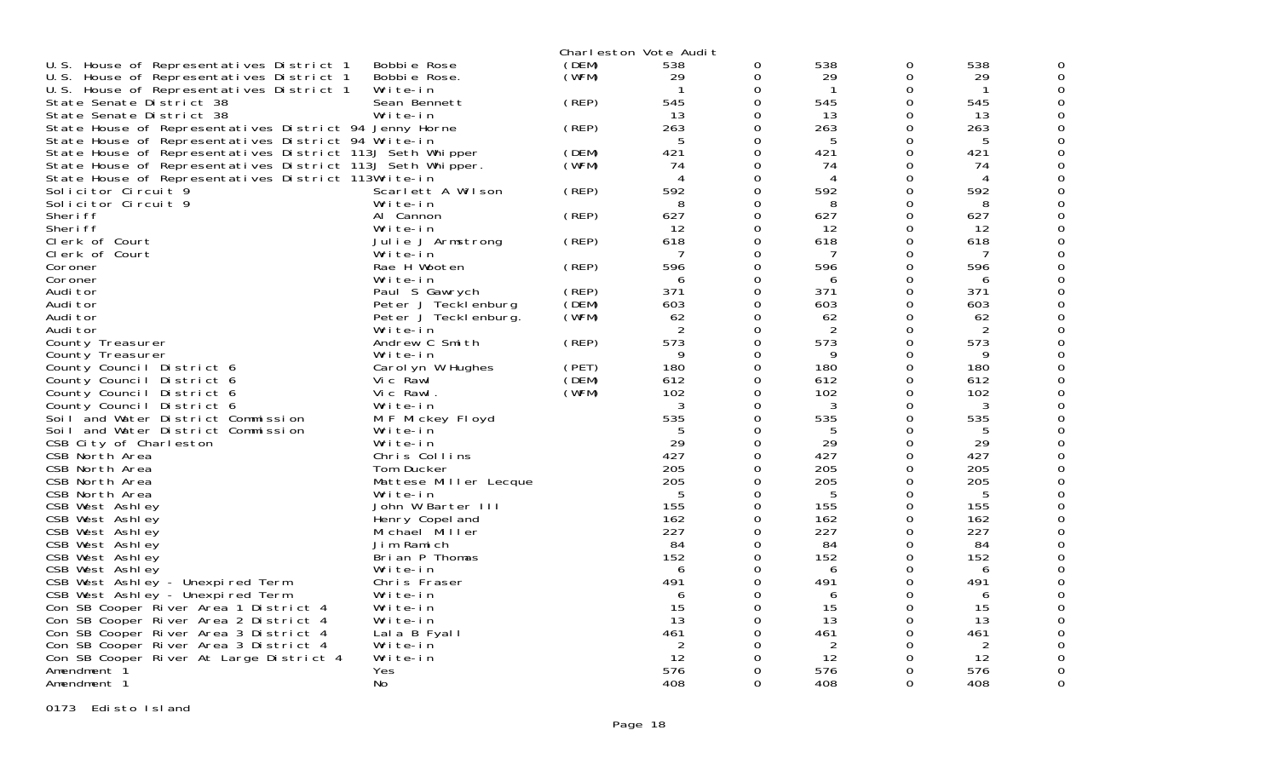|                                                                                |                       |       | Charleston Vote Audit |          |                |          |                |   |
|--------------------------------------------------------------------------------|-----------------------|-------|-----------------------|----------|----------------|----------|----------------|---|
| U.S. House of Representatives District 1                                       | Bobbie Rose           | (DEM) | 538                   | 0        | 538            | 0        | 538            |   |
| U.S. House of Representatives District 1                                       | Bobbie Rose.          | (WFM) | 29                    | $\Omega$ | 29             | $\Omega$ | 29             |   |
| U.S. House of Representatives District 1                                       | Write-in              |       |                       | 0        | -1             | 0        | -1             |   |
| State Senate District 38                                                       | Sean Bennett          | (REP) | 545                   | $\Omega$ | 545            | 0        | 545            |   |
| State Senate District 38                                                       | Write-in              |       | 13                    | $\Omega$ | 13             | 0        | 13             |   |
| State House of Representatives District 94 Jenny Horne                         |                       | (REP) | 263                   | 0        | 263            | $\Omega$ | 263            |   |
| State House of Representatives District 94 Write-in                            |                       |       | 5                     | 0        | 5              | 0        | 5              |   |
| State House of Representatives District 113J Seth Whipper                      |                       | (DEM) | 421                   | $\Omega$ | 421            | 0        | 421            |   |
| State House of Representatives District 113J Seth Whipper.                     |                       | (WFM) | 74                    | $\Omega$ | 74             | 0        | 74             |   |
| State House of Representatives District 113Write-in                            |                       |       | 4                     | $\Omega$ | $\overline{4}$ | 0        | 4              |   |
| Solicitor Circuit 9                                                            | Scarlett A Wilson     | (REP) | 592                   | 0        | 592            | 0        | 592            |   |
| Solicitor Circuit 9                                                            | Write-in              |       | 8                     | 0        | 8              | 0        | 8              |   |
| Sheri ff                                                                       | Al Cannon             | (REP) | 627                   | 0        | 627            | $\Omega$ | 627            |   |
| Sheri ff                                                                       | Write-in              |       | 12                    | $\Omega$ | 12             | 0        | 12             |   |
| Clerk of Court                                                                 | Julie J Armstrong     | (REP) | 618                   | $\Omega$ | 618            | 0        | 618            |   |
| Clerk of Court                                                                 | Write-in              |       | 7                     | 0        | 7              | 0        | 7              |   |
| Coroner                                                                        | Rae H Wooten          | (REP) | 596                   | 0        | 596            | 0        | 596            |   |
| Coroner                                                                        | Write-in              |       | 6                     | 0        | 6              | 0        | 6              |   |
| Audi tor                                                                       | Paul S Gawrych        | (REP) | 371                   | $\Omega$ | 371            | 0        | 371            |   |
| Audi tor                                                                       | Peter J Tecklenburg   | (DEM) | 603                   | $\Omega$ | 603            | 0        | 603            |   |
| Audi tor                                                                       | Peter J Teckl enburg. | (WFM) | 62                    | $\Omega$ | 62             | 0        | 62             |   |
| Audi tor                                                                       | Write-in              |       | 2                     | $\Omega$ | $\overline{2}$ | 0        | $\overline{2}$ |   |
| County Treasurer                                                               | Andrew C Smith        | (REP) | 573                   | 0        | 573            | 0        | 573            |   |
| County Treasurer                                                               | Write-in              |       | 9                     | 0        | 9              | 0        | 9              |   |
| County Council District 6                                                      | Carol yn W Hughes     | (PET) | 180                   | $\Omega$ | 180            | 0        | 180            |   |
| County Council District 6                                                      | Vic Rawl              | (DEM) | 612                   | $\Omega$ | 612            | 0        | 612            |   |
| County Council District 6                                                      | Vic Rawl.             | (WFM) | 102                   | 0        | 102            | 0        | 102            |   |
| County Council District 6                                                      | Write-in              |       | 3                     | 0        | 3              | $\Omega$ | 3              |   |
| Soil and Water District Commission                                             | M F Mickey Floyd      |       | 535                   | 0        | 535            | 0        | 535            |   |
| Soil and Water District Commission                                             | Write-in              |       | 5                     | $\Omega$ | 5              | 0        | 5              |   |
| CSB City of Charleston                                                         | Write-in              |       | 29                    | 0        | 29             | 0        | 29             |   |
| CSB North Area                                                                 | Chris Collins         |       | 427                   | $\Omega$ | 427            | $\Omega$ | 427            |   |
| CSB North Area                                                                 | Tom Ducker            |       | 205                   | $\Omega$ | 205            | $\Omega$ | 205            |   |
| CSB North Area                                                                 | Mattese Miller Lecque |       | 205                   | 0        | 205            | 0        | 205            |   |
| CSB North Area                                                                 | Write-in              |       | -5                    | $\Omega$ | 5              | $\Omega$ | 5              |   |
| CSB West Ashley                                                                | John W Barter III     |       | 155                   | $\Omega$ | 155            | $\Omega$ | 155            |   |
| CSB West Ashley                                                                | Henry Copel and       |       | 162                   | $\Omega$ | 162            | 0        | 162            |   |
| CSB West Ashley                                                                | Michael Miller        |       | 227                   | $\Omega$ | 227            | 0        | 227            |   |
| CSB West Ashley                                                                | Jim Ramich            |       | 84                    | 0        | 84             | $\Omega$ | 84             |   |
| CSB West Ashley                                                                | Brian P Thomas        |       | 152                   | 0        | 152            | 0        | 152            |   |
|                                                                                | Write-in              |       | 6                     | 0        | 6              | 0        | 6              |   |
| CSB West Ashley<br>CSB West Ashley - Unexpired Term                            | Chris Fraser          |       | 491                   | $\Omega$ | 491            | 0        | 491            |   |
| CSB West Ashley - Unexpired Term                                               | Write-in              |       | 6                     | 0        | 6              | 0        | 6              |   |
|                                                                                | Write-in              |       | 15                    | $\Omega$ | 15             | 0        | 15             |   |
| Con SB Cooper River Area 1 District 4<br>Con SB Cooper River Area 2 District 4 |                       |       | 13                    | 0        | 13             | $\Omega$ |                |   |
|                                                                                | Write-in              |       |                       |          |                |          | 13             |   |
| Con SB Cooper River Area 3 District 4                                          | Lala B Fyall          |       | 461                   | 0<br>0   | 461<br>2       | 0<br>0   | 461            |   |
| Con SB Cooper River Area 3 District 4                                          | Write-in              |       | 2<br>12               | 0        | 12             | 0        | 2<br>12        |   |
| Con SB Cooper River At Large District 4                                        | Write-in              |       |                       | $\Omega$ |                | 0        |                |   |
| Amendment <sup>2</sup>                                                         | Yes                   |       | 576                   | $\Omega$ | 576            | $\Omega$ | 576            |   |
| Amendment 1                                                                    | No                    |       | 408                   |          | 408            |          | 408            | 0 |

0173 Edisto Island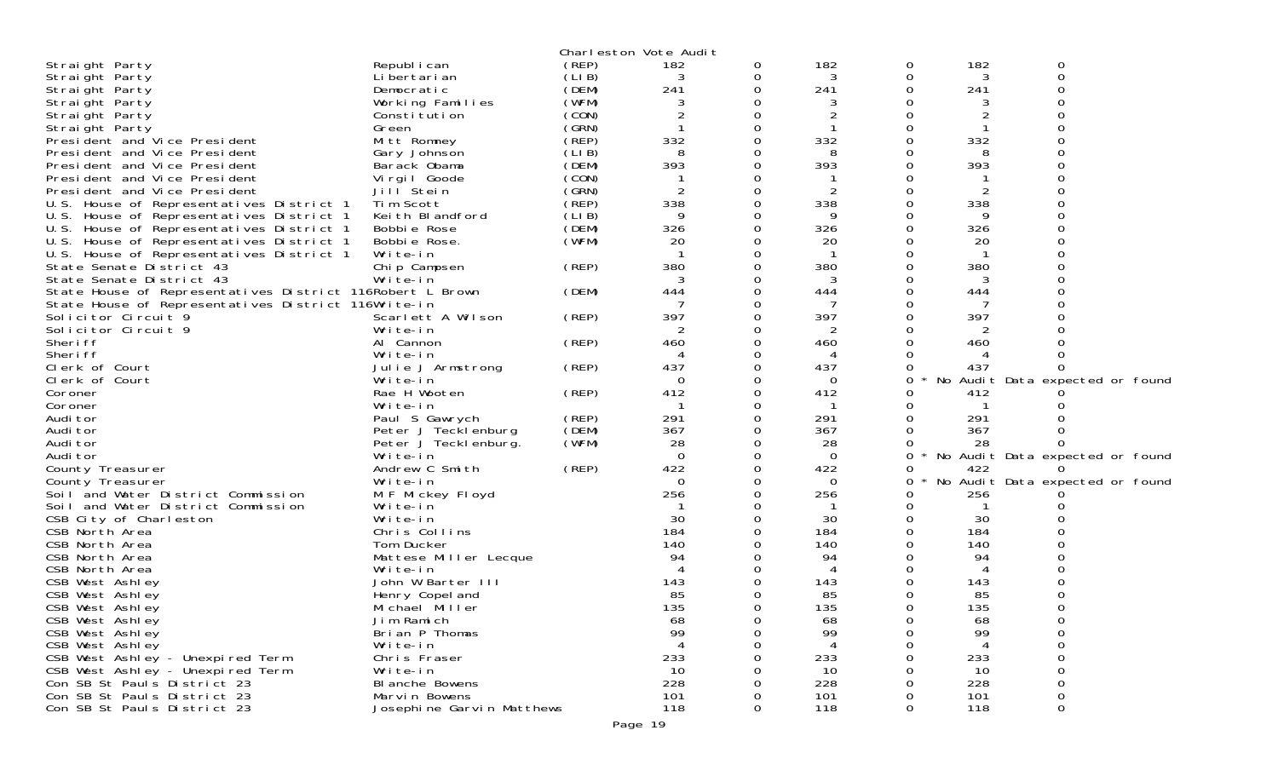|                                                           |                           |       | Charleston Vote Audit |   |                |   |         |                                 |  |
|-----------------------------------------------------------|---------------------------|-------|-----------------------|---|----------------|---|---------|---------------------------------|--|
| Straight Party                                            | Republ i can              | (REP) | 182                   | 0 | 182            | 0 | 182     | 0                               |  |
| Straight Party                                            | Li bertari an             | (LIB) | 3                     | 0 | 3              | 0 | 3       | 0                               |  |
| Straight Party                                            | Democratic                | (DEM) | 241                   |   | 241            |   | 241     |                                 |  |
| Straight Party                                            | Working Families          | (WFM) |                       |   |                |   |         |                                 |  |
| Straight Party                                            | Constitution              | (CON) | 2                     |   | 2              |   | 2       |                                 |  |
| Straight Party                                            | Green                     | (GRN) |                       |   |                |   |         |                                 |  |
| President and Vice President                              | Mitt Romney               | (REP) | 332                   |   | 332            |   | 332     |                                 |  |
| President and Vice President                              | Gary Johnson              | (LIB) | 8                     |   | 8              |   | 8       |                                 |  |
| President and Vice President                              | Barack Obama              | (DEM) | 393                   |   | 393            |   | 393     |                                 |  |
| President and Vice President                              | Virgil Goode              | (CON) |                       |   |                |   |         |                                 |  |
| President and Vice President                              | Jill <sup>Stein</sup>     | (GRN) | 2                     |   | $\overline{2}$ |   | 2       |                                 |  |
| U.S. House of Representatives District 1                  | Tim Scott                 | (REP) | 338                   |   | 338            |   | 338     |                                 |  |
| U.S. House of Representatives District 1                  | Keith Blandford           | (LIB) | 9                     |   | 9              |   | 9       |                                 |  |
| U.S. House of Representatives District 1                  | Bobbie Rose               | (DEM) | 326                   |   | 326            |   | 326     |                                 |  |
| U.S. House of Representatives District 1                  | Bobbie Rose.              | (WFM) | 20                    |   | 20             |   | 20      |                                 |  |
| U.S. House of Representatives District 1                  | Write-in                  |       |                       |   |                |   |         |                                 |  |
| State Senate District 43                                  | Chip Campsen              | (REP) | 380                   |   | 380            |   | 380     |                                 |  |
| State Senate District 43                                  | Write-in                  |       | 3                     |   | 3              |   | 3       |                                 |  |
| State House of Representatives District 116Robert L Brown |                           | (DEM) | 444                   |   | 444            |   | 444     |                                 |  |
| State House of Representatives District 116Write-in       |                           |       |                       |   |                |   |         |                                 |  |
| Solicitor Circuit 9                                       | Scarlett A Wilson         | (REP) | 397                   |   | 397            |   | 397     |                                 |  |
| Solicitor Circuit 9                                       | Write-in                  |       |                       |   | 2              |   |         |                                 |  |
| Sheri ff                                                  | Al Cannon                 | (REP) | 460                   |   | 460            |   | 460     |                                 |  |
| Sheri ff                                                  | Write-in                  |       |                       |   | 4              |   |         |                                 |  |
| Clerk of Court                                            | Julie J Armstrong         | (REP) | 437                   |   | 437            |   | 437     |                                 |  |
| Clerk of Court                                            | Write-in                  |       | $\Omega$              |   | $\Omega$       | 0 |         | No Audit Data expected or found |  |
| Coroner                                                   | Rae H Wooten              | (REP) | 412                   |   | 412            |   | 412     |                                 |  |
| Coroner                                                   | Write-in                  |       |                       |   |                |   |         |                                 |  |
| Audi tor                                                  | Paul S Gawrych            | (REP) | 291                   |   | 291            |   | 291     |                                 |  |
| Audi tor                                                  | Peter J Tecklenburg       | (DEM) | 367                   |   | 367            |   | 367     |                                 |  |
| Audi tor                                                  | Peter J Tecklenburg.      | (WFM) | 28                    |   | 28             |   | 28      |                                 |  |
| Audi tor                                                  | Write-in                  |       | $\Omega$              |   | $\Omega$       | 0 | $\star$ | No Audit Data expected or found |  |
| County Treasurer                                          | Andrew C Smith            | (REP) | 422                   |   | 422            |   | 422     |                                 |  |
| County Treasurer                                          | Write-in                  |       | $\Omega$              |   | $\Omega$       | 0 |         | No Audit Data expected or found |  |
| Soil and Water District Commission                        | M F Mickey Floyd          |       | 256                   |   | 256            |   | 256     |                                 |  |
| Soil and Water District Commission                        | Write-in                  |       |                       |   |                |   |         |                                 |  |
| CSB City of Charleston                                    | Write-in                  |       | 30                    |   | 30             |   | 30      |                                 |  |
| CSB North Area                                            | Chris Collins             |       | 184                   |   | 184            |   | 184     |                                 |  |
| CSB North Area                                            | Tom Ducker                |       | 140                   |   | 140            |   | 140     |                                 |  |
| CSB North Area                                            | Mattese Miller Lecque     |       | 94                    |   | 94             |   | 94      |                                 |  |
| CSB North Area                                            | Write-in                  |       |                       |   |                |   |         |                                 |  |
| CSB West Ashley                                           | John W Barter III         |       | 143                   |   | 143            |   | 143     |                                 |  |
| CSB West Ashley                                           | Henry Copel and           |       | 85                    |   | 85             |   | 85      |                                 |  |
| CSB West Ashley                                           | Michael Miller            |       | 135                   |   | 135            |   | 135     |                                 |  |
| CSB West Ashley                                           | Jim Ramich                |       | 68                    |   | 68             |   | 68      |                                 |  |
| CSB West Ashley                                           | Brian P Thomas            |       | 99                    |   | 99             |   | 99      |                                 |  |
| CSB West Ashley                                           | Write-in                  |       |                       |   |                |   |         |                                 |  |
| CSB West Ashley - Unexpired Term                          | Chris Fraser              |       | 233                   |   | 233            |   | 233     |                                 |  |
| CSB West Ashley - Unexpired Term                          | Write-in                  |       | 10                    |   | 10             |   | 10      |                                 |  |
| Con SB St Pauls District 23                               | BI anche Bowens           |       | 228                   |   | 228            |   | 228     |                                 |  |
| Con SB St Pauls District 23                               | Marvin Bowens             |       | 101                   |   | 101            |   | 101     | 0                               |  |
| Con SB St Pauls District 23                               | Josephine Garvin Matthews |       | 118                   | 0 | 118            | 0 | 118     | 0                               |  |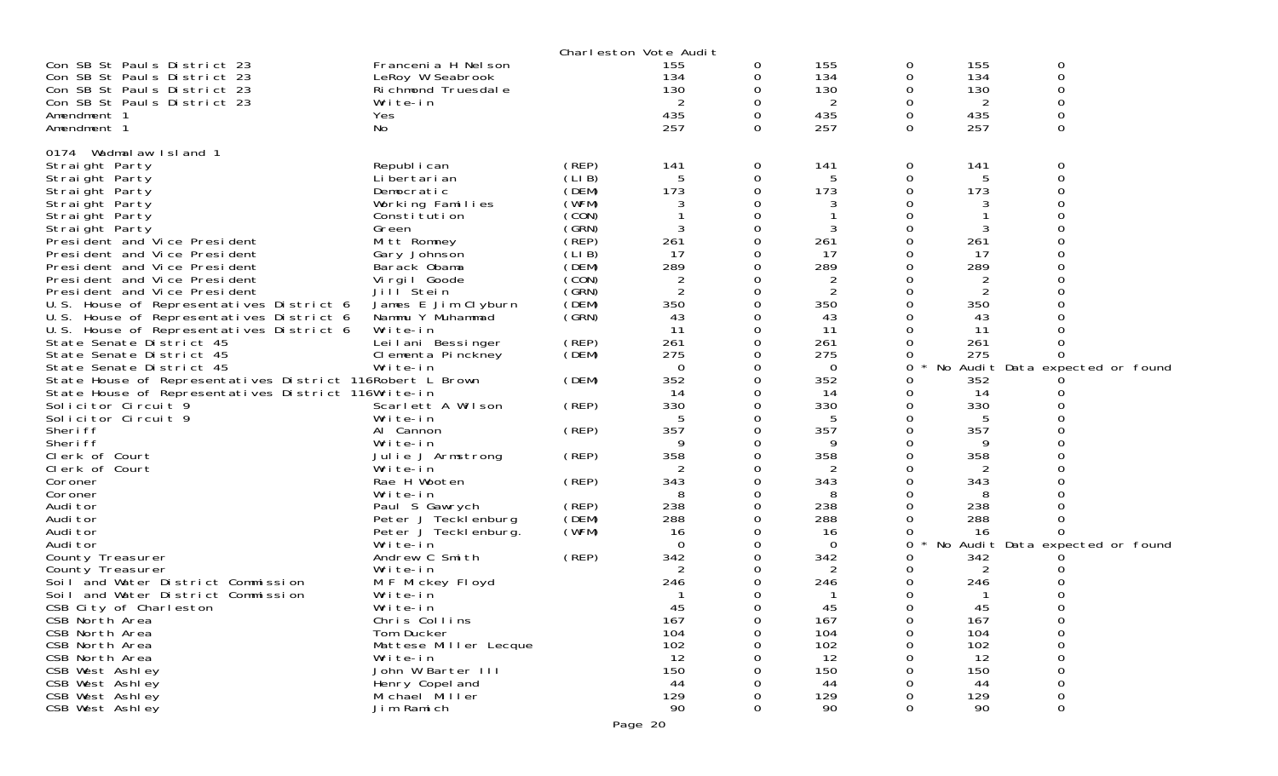|                                                           |                               |        | Charleston Vote Audit |          |          |             |          |                                 |  |
|-----------------------------------------------------------|-------------------------------|--------|-----------------------|----------|----------|-------------|----------|---------------------------------|--|
| Con SB St Pauls District 23                               | Francenia H Nel son           |        | 155                   | 0        | 155      | 0           | 155      | 0                               |  |
| Con SB St Pauls District 23                               | LeRoy W Seabrook              |        | 134                   | 0        | 134      | 0           | 134      | 0                               |  |
| Con SB St Pauls District 23                               | Richmond Truesdale            |        | 130                   |          | 130      | 0           | 130      | 0                               |  |
| Con SB St Pauls District 23                               | Write-in                      |        | 2                     |          | 2        | 0           | 2        | 0                               |  |
| Amendment 1                                               | Yes                           |        | 435                   |          | 435      | 0           | 435      | 0                               |  |
| Amendment 1                                               | No                            |        | 257                   | $\Omega$ | 257      | 0           | 257      | 0                               |  |
| Wadmalaw Island 1<br>0174                                 |                               |        |                       |          |          |             |          |                                 |  |
| Straight Party                                            | Republ i can                  | (REP)  | 141                   | 0        | 141      | 0           | 141      | 0                               |  |
| Straight Party                                            | Li bertari an                 | (LI B) |                       | 0        | 5        | $\mathbf 0$ | 5        | 0                               |  |
| Straight Party                                            | Democratic                    | (DEM)  | 173                   |          | 173      | 0           | 173      |                                 |  |
| Straight Party                                            | Working Families              | (WFM)  |                       |          | 3        |             | 3        |                                 |  |
| Straight Party                                            | Constitution                  | (CON)  |                       |          |          | 0           |          | ი                               |  |
| Straight Party                                            | Green                         | (GRN)  |                       |          | 3        | 0           | 3        |                                 |  |
| President and Vice President                              | Mitt Romney                   | (REP)  | 261                   | 0        | 261      | 0           | 261      |                                 |  |
| President and Vice President                              | Gary Johnson                  | (LIB)  | 17                    |          | 17       | 0           | 17       |                                 |  |
| President and Vice President                              | Barack Obama                  | (DEM)  | 289                   |          | 289      | 0           | 289      |                                 |  |
| President and Vice President                              | Virgil Goode                  | (CON)  | $\overline{2}$        |          | 2        | O           | 2        |                                 |  |
| President and Vice President                              | Jill Stein                    | (GRN)  | $\overline{2}$        |          | 2        | 0           | 2        |                                 |  |
| U.S. House of Representatives District 6                  | James E Jim Clyburn           | (DEM)  | 350                   |          | 350      | 0           | 350      |                                 |  |
| U.S. House of Representatives District 6                  | Nammu Y Muhammad              | (GRN)  | 43                    |          | 43       | 0           | 43       |                                 |  |
| U.S. House of Representatives District 6                  | Write-in                      |        | 11                    |          | 11       | 0           | 11       |                                 |  |
| State Senate District 45                                  | Leilani Bessinger             | (REP)  | 261                   |          | 261      | 0           | 261      |                                 |  |
| State Senate District 45                                  | Clementa Pinckney             | (DEM)  | 275                   |          | 275      | 0           | 275      | O                               |  |
| State Senate District 45                                  | Write-in                      |        | 0                     |          | 0        | 0           |          | No Audit Data expected or found |  |
| State House of Representatives District 116Robert L Brown |                               | (DEM)  | 352                   |          | 352      | 0           | 352      |                                 |  |
| State House of Representatives District 116Write-in       |                               |        | 14                    |          | 14       | 0           | 14       |                                 |  |
| Solicitor Circuit 9                                       | Scarlett A Wilson             | (REP)  | 330                   |          | 330      | 0           | 330      |                                 |  |
| Solicitor Circuit 9                                       | Write-in                      |        |                       |          | 5        | 0           | 5        |                                 |  |
| Sheri ff                                                  | Al Cannon                     | (REP)  | 357                   |          | 357<br>9 | 0           | 357<br>9 |                                 |  |
| Sheri ff                                                  | Write-in                      |        | 9<br>358              |          | 358      | 0<br>Ω      | 358      |                                 |  |
| Clerk of Court<br>Clerk of Court                          | Julie J Armstrong<br>Write-in | (REP)  |                       |          | 2        | 0           | 2        |                                 |  |
| Coroner                                                   | Rae H Wooten                  | (REP)  | 343                   |          | 343      | 0           | 343      |                                 |  |
| Coroner                                                   | Write-in                      |        |                       |          | 8        | Ω           | 8        |                                 |  |
| Audi tor                                                  | Paul S Gawrych                | (REP)  | 238                   | 0        | 238      | 0           | 238      |                                 |  |
| Audi tor                                                  | Peter J Tecklenburg           | (DEM)  | 288                   |          | 288      | 0           | 288      | 0                               |  |
| Audi tor                                                  | Peter J Tecklenburg.          | (WFM)  | 16                    |          | 16       | 0           | 16       | 0                               |  |
| Audi tor                                                  | Write-in                      |        | $\Omega$              |          | 0        | 0           |          | No Audit Data expected or found |  |
| County Treasurer                                          | Andrew C Smith                | (REP)  | 342                   |          | 342      | 0           | 342      |                                 |  |
| County Treasurer                                          | Write-in                      |        |                       |          | 2        | 0           | 2        |                                 |  |
| Soil and Water District Commission                        | M F Mickey Floyd              |        | 246                   |          | 246      | 0           | 246      |                                 |  |
| Soil and Water District Commission                        | Write-in                      |        |                       |          |          | 0           |          |                                 |  |
| CSB City of Charleston                                    | Write-in                      |        | 45                    |          | 45       | 0           | 45       | 0                               |  |
| CSB North Area                                            | Chris Collins                 |        | 167                   | 0        | 167      | $\sigma$    | 167      | 0                               |  |
| CSB North Area                                            | Tom Ducker                    |        | 104                   | 0        | 104      | 0           | 104      | 0                               |  |
| CSB North Area                                            | Mattese Miller Lecque         |        | 102                   |          | 102      | 0           | 102      | 0                               |  |
| CSB North Area                                            | Write-in                      |        | 12                    |          | 12       | 0           | 12       | 0                               |  |
| CSB West Ashley                                           | John W Barter III             |        | 150                   |          | 150      |             | 150      | 0                               |  |
| CSB West Ashley                                           | Henry Copel and               |        | 44                    |          | 44       |             | 44       | 0                               |  |
| CSB West Ashley                                           | Michael Miller                |        | 129                   |          | 129      | 0           | 129      | 0                               |  |
| CSB West Ashley                                           | Jim Ramich                    |        | 90                    |          | 90       | 0           | 90       | 0                               |  |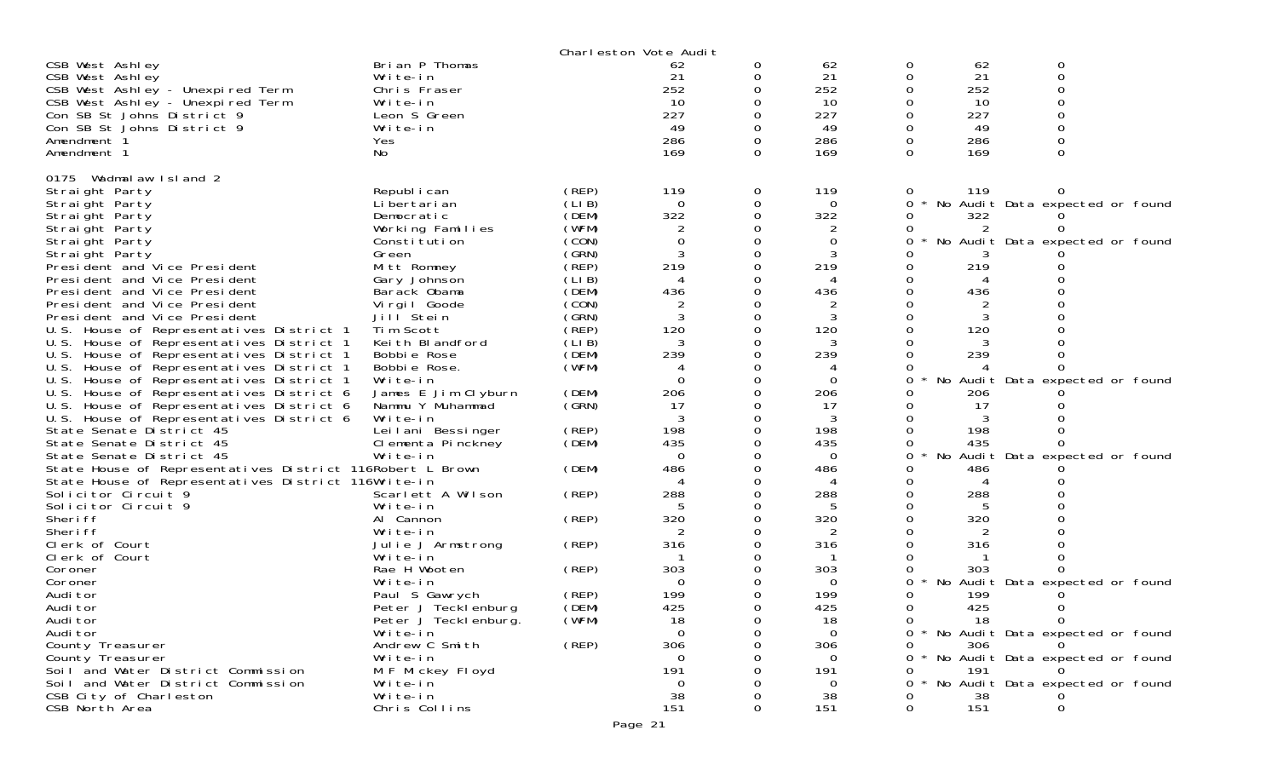|                                                           |                       |       | Charleston Vote Audit |   |          |   |     |                                     |
|-----------------------------------------------------------|-----------------------|-------|-----------------------|---|----------|---|-----|-------------------------------------|
| CSB West Ashley                                           | Brian P Thomas        |       | 62                    | O | 62       | 0 | 62  | 0                                   |
| CSB West Ashley                                           | Write-in              |       | 21                    |   | 21       |   | 21  | $\Omega$                            |
| CSB West Ashley - Unexpired Term                          | Chris Fraser          |       | 252                   |   | 252      |   | 252 |                                     |
| CSB West Ashley - Unexpired Term                          | Write-in              |       | 10                    |   | 10       |   | 10  |                                     |
| Con SB St Johns District 9                                | Leon S Green          |       | 227                   |   | 227      |   | 227 |                                     |
| Con SB St Johns District 9                                | Write-in              |       | 49                    |   | 49       |   | 49  |                                     |
| Amendment 1                                               | Yes                   |       | 286                   |   | 286      | 0 | 286 |                                     |
| Amendment 1                                               | No                    |       | 169                   | 0 | 169      | 0 | 169 |                                     |
| 0175 Wadmal aw Island 2                                   |                       |       |                       |   |          |   |     |                                     |
| Straight Party                                            | Republ i can          | (REP) | 119                   | 0 | 119      | 0 | 119 |                                     |
| Straight Party                                            | Li bertari an         | (LIB) | $\Omega$              | 0 | $\Omega$ | 0 |     | No Audit Data expected or found     |
| Straight Party                                            | Democratic            | (DEM) | 322                   | 0 | 322      | O | 322 |                                     |
| Straight Party                                            | Working Families      | (WFM) |                       |   | 2        |   |     |                                     |
| Straight Party                                            | Constitution          | (CON) | $\mathbf 0$           |   | $\Omega$ | 0 |     | No Audit Data expected or found     |
| Straight Party                                            | Green                 | (GRN) |                       |   | 3        |   |     |                                     |
| President and Vice President                              | Mitt Romney           | (REP) | 219                   |   | 219      |   | 219 |                                     |
| President and Vice President                              | Gary Johnson          | (LIB) | 4                     |   |          |   |     |                                     |
| President and Vice President                              | Barack Obama          | (DEM) | 436                   |   | 436      |   | 436 |                                     |
| President and Vice President                              | Virgil Goode          | (CON) |                       |   | 2        |   |     |                                     |
| President and Vice President                              | Jill <sup>Stein</sup> | (GRN) |                       |   | 3        |   |     |                                     |
| U.S. House of Representatives District 1                  | Tim Scott             | (REP) | 120                   |   | 120      |   | 120 |                                     |
| U.S. House of Representatives District 1                  | Keith Blandford       | (LIB) | 3                     |   | 3        |   |     |                                     |
| U.S. House of Representatives District 1                  | Bobbie Rose           | (DEM) | 239                   |   | 239      |   | 239 |                                     |
| U.S. House of Representatives District 1                  | Bobbie Rose.          | (WFM) | 4                     |   | 4        |   |     |                                     |
| U.S. House of Representatives District 1                  | Write-in              |       | $\Omega$              |   | $\Omega$ |   |     | No Audit Data expected or found     |
| U.S. House of Representatives District 6                  | James E Jim Clyburn   | (DEM) | 206                   |   | 206      |   | 206 |                                     |
| U.S.<br>House of Representatives District 6               | Nammu Y Muhammad      | (SRN) | 17                    |   | 17       |   | 17  |                                     |
| U.S. House of Representatives District 6                  | Write-in              |       |                       |   |          |   |     |                                     |
| State Senate District 45                                  | Leilani Bessinger     | (REP) | 198                   |   | 198      |   | 198 |                                     |
| State Senate District 45                                  | Clementa Pinckney     | (DEM) | 435                   |   | 435      |   | 435 |                                     |
| State Senate District 45                                  | Write-in              |       | $\Omega$              |   | $\Omega$ |   |     | No Audit Data expected or found     |
| State House of Representatives District 116Robert L Brown |                       | (DEM) | 486                   |   | 486      |   | 486 |                                     |
| State House of Representatives District 116Write-in       |                       |       | Δ                     |   | 4        |   | 4   |                                     |
| Solicitor Circuit 9                                       | Scarlett A Wilson     | (REP) | 288                   |   | 288      |   | 288 |                                     |
| Solicitor Circuit 9                                       | Write-in              |       |                       |   |          |   |     |                                     |
| Sheri ff                                                  | Al Cannon             | (REP) | 320                   |   | 320      |   | 320 |                                     |
| Sheri ff                                                  | Write-in              |       |                       |   | 2        |   |     |                                     |
| Clerk of Court                                            | Julie J Armstrong     | (REP) | 316                   |   | 316      |   | 316 |                                     |
| Clerk of Court                                            | Write-in              |       |                       |   |          |   |     |                                     |
| Coroner                                                   | Rae H Wooten          | (REP) | 303                   |   | 303      |   | 303 |                                     |
| Coroner                                                   | Write-in              |       | 0                     |   | 0        | 0 |     | No Audit Data expected or found     |
| Audi tor                                                  | Paul S Gawrych        | (REP) | 199                   |   | 199      |   | 199 |                                     |
| Audi tor                                                  | Peter J Teckl enburg  | (DEM) | 425                   | 0 | 425      | 0 | 425 | Ω                                   |
| Audi tor                                                  | Peter J Tecklenburg.  | (WFM) | 18                    | O | 18       |   | 18  | 0                                   |
| Audi tor                                                  | Write-in              |       | $\Omega$              | O | $\Omega$ |   |     | 0 * No Audit Data expected or found |
| County Treasurer                                          | Andrew C Smith        | (REP) | 306                   |   | 306      | 0 | 306 |                                     |
| County Treasurer                                          | Write-in              |       | 0                     |   | $\Omega$ | 0 |     | No Audit Data expected or found     |
| Soil and Water District Commission                        | M F Mickey Floyd      |       | 191                   |   | 191      | 0 | 191 |                                     |
| Soil and Water District Commission                        | Write-in              |       | $\Omega$              |   | 0        |   |     | No Audit Data expected or found     |
| CSB City of Charleston                                    | Write-in              |       | 38                    |   | 38       |   | 38  |                                     |
| CSB North Area                                            | Chris Collins         |       | 151                   | 0 | 151      | 0 | 151 |                                     |
|                                                           |                       |       |                       |   |          |   |     |                                     |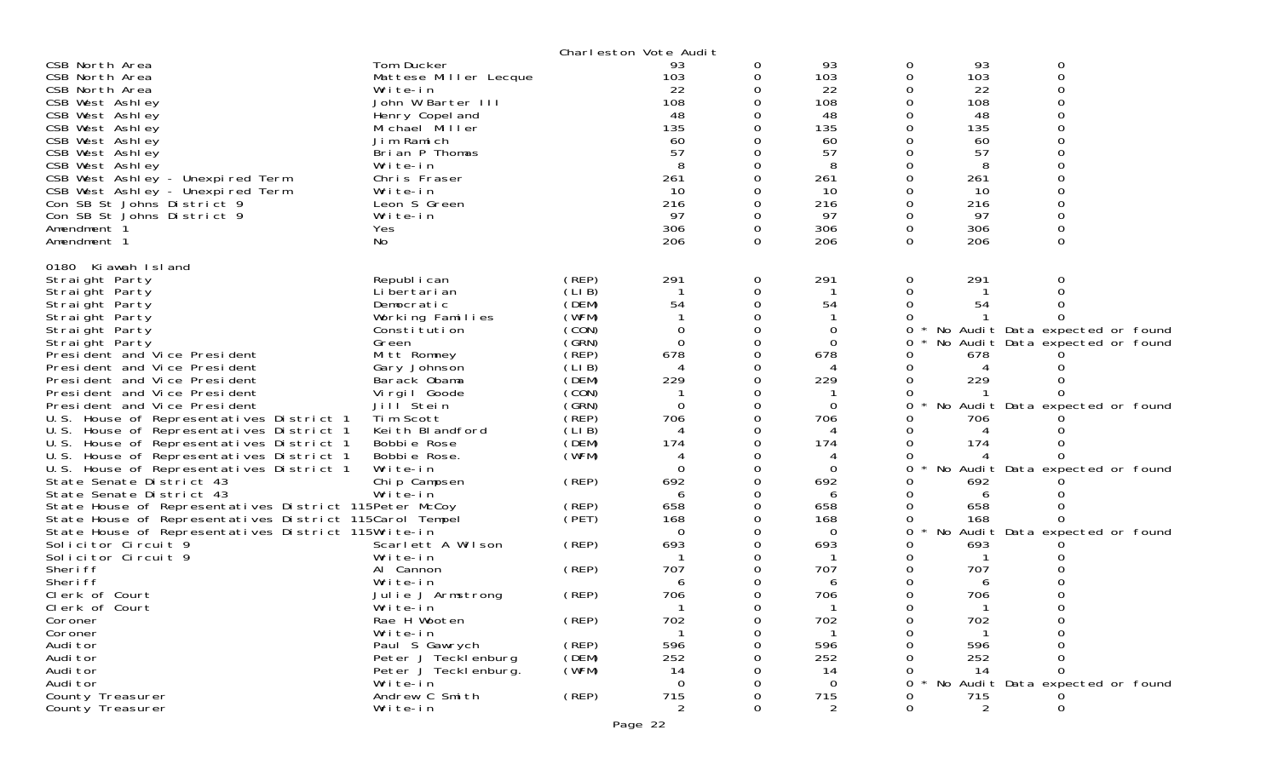|                                                                      |                              |                | Charleston Vote Audit |          |                |          |                |                                   |  |
|----------------------------------------------------------------------|------------------------------|----------------|-----------------------|----------|----------------|----------|----------------|-----------------------------------|--|
| CSB North Area                                                       | Tom Ducker                   |                | 93                    | 0        | 93             | 0        | 93             | 0                                 |  |
| CSB North Area                                                       | Mattese Miller Lecque        |                | 103                   | 0        | 103            | 0        | 103            | 0                                 |  |
| CSB North Area                                                       | Write-in                     |                | 22                    |          | 22             |          | 22             |                                   |  |
| CSB West Ashley                                                      | John W Barter III            |                | 108                   | 0        | 108            | 0        | 108            |                                   |  |
| CSB West Ashley                                                      | Henry Copel and              |                | 48                    |          | 48             |          | 48             |                                   |  |
| CSB West Ashley                                                      | Michael Miller               |                | 135                   |          | 135            |          | 135            |                                   |  |
| CSB West Ashley                                                      | Jim Ramich                   |                | 60                    |          | 60             |          | 60             |                                   |  |
| CSB West Ashley                                                      | Brian P Thomas               |                | 57                    |          | 57             |          | 57             |                                   |  |
| CSB West Ashley                                                      | Write-in                     |                |                       |          |                |          |                |                                   |  |
| CSB West Ashley - Unexpired Term<br>CSB West Ashley - Unexpired Term | Chris Fraser<br>Write-in     |                | 261<br>10             | 0        | 261<br>10      | $\Omega$ | 261<br>10      |                                   |  |
| Con SB St Johns District 9                                           | Leon S Green                 |                | 216                   | 0        | 216            |          | 216            |                                   |  |
| Con SB St Johns District 9                                           | Write-in                     |                | 97                    | $\Omega$ | 97             | 0        | 97             |                                   |  |
| Amendment 1                                                          | <b>Yes</b>                   |                | 306                   | 0        | 306            | 0        | 306            |                                   |  |
| Amendment 1                                                          | No.                          |                | 206                   | 0        | 206            | $\Omega$ | 206            | $\Omega$                          |  |
|                                                                      |                              |                |                       |          |                |          |                |                                   |  |
| 0180 Ki awah Island                                                  |                              |                |                       |          |                |          |                |                                   |  |
| Straight Party                                                       | Republ i can                 | (REP)          | 291                   | 0        | 291            | 0        | 291            | 0                                 |  |
| Straight Party                                                       | Li bertari an                | (LIB)          |                       | 0        |                | $\Omega$ |                |                                   |  |
| Straight Party                                                       | Democratic                   | (DEM)          | 54                    |          | 54             |          | 54             |                                   |  |
| Straight Party                                                       | Working Families             | (WFM)          |                       |          |                |          |                |                                   |  |
| Straight Party                                                       | Constitution                 | (CON)          | $\Omega$              | 0        | 0              | 0        |                | * No Audit Data expected or found |  |
| Straight Party                                                       | Green                        | (SRN)          | $\Omega$              |          | $\Omega$       |          |                | No Audit Data expected or found   |  |
| President and Vice President                                         | Mitt Romney                  | (REP)          | 678                   | 0        | 678            |          | 678            |                                   |  |
| President and Vice President<br>President and Vice President         | Gary Johnson<br>Barack Obama | (LIB)<br>(DEM) | 4<br>229              | 0        | 229            |          | 229            |                                   |  |
| President and Vice President                                         | Virgil Goode                 | (CON)          |                       | 0        |                |          |                |                                   |  |
| President and Vice President                                         | Jill <sup>Stein</sup>        | (GRN)          | $\Omega$              | 0        | $\Omega$       | 0        |                | No Audit Data expected or found   |  |
| U.S. House of Representatives District 1                             | Tim Scott                    | (REP)          | 706                   | 0        | 706            |          | 706            |                                   |  |
| U.S. House of Representatives District 1                             | Keith Blandford              | (LIB)          | 4                     |          |                |          |                |                                   |  |
| U.S. House of Representatives District 1                             | Bobbie Rose                  | (DEM)          | 174                   | 0        | 174            |          | 174            |                                   |  |
| U.S. House of Representatives District 1                             | Bobbie Rose.                 | (WFM)          | 4                     |          | 4              |          |                |                                   |  |
| U.S. House of Representatives District 1                             | Write-in                     |                | $\Omega$              | 0        | 0              | 0        |                | No Audit Data expected or found   |  |
| State Senate District 43                                             | Chip Campsen                 | (REP)          | 692                   | 0        | 692            |          | 692            |                                   |  |
| State Senate District 43                                             | Write-in                     |                | 6                     |          | 6              |          | 6              |                                   |  |
| State House of Representatives District 115Peter McCoy               |                              | (REP)          | 658                   | 0        | 658            |          | 658            |                                   |  |
| State House of Representatives District 115Carol Tempel              |                              | (PET)          | 168                   | 0        | 168            |          | 168            |                                   |  |
| State House of Representatives District 115Write-in                  |                              |                | $\Omega$              |          | 0              | 0        |                | No Audit Data expected or found   |  |
| Solicitor Circuit 9                                                  | Scarlett A Wilson            | (REP)          | 693                   | 0        | 693            |          | 693            |                                   |  |
| Solicitor Circuit 9<br>Sheri ff                                      | Write-in<br>Al Cannon        |                | 707                   | 0        | 707            |          | 707            |                                   |  |
| Sheri ff                                                             | Write-in                     | (REP)          | 6                     | 0        | 6              |          | 6              |                                   |  |
| Clerk of Court                                                       | Julie J Armstrong            | (REP)          | 706                   | 0        | 706            |          | 706            |                                   |  |
| Clerk of Court                                                       | Write-in                     |                |                       |          |                |          |                |                                   |  |
| Coroner                                                              | Rae H Wooten                 | (REP)          | 702                   | 0        | 702            |          | 702            |                                   |  |
| Coroner                                                              | Write-in                     |                |                       | 0        |                |          |                |                                   |  |
| Audi tor                                                             | Paul S Gawrych               | (REP)          | 596                   |          | 596            |          | 596            |                                   |  |
| Audi tor                                                             | Peter J Tecklenburg          | (DEM)          | 252                   |          | 252            |          | 252            |                                   |  |
| Audi tor                                                             | Peter J Teckl enburg.        | (WFM)          | 14                    |          | 14             |          | 14             |                                   |  |
| Audi tor                                                             | Write-in                     |                | $\Omega$              |          | $\Omega$       | ∩        |                | No Audit Data expected or found   |  |
| County Treasurer                                                     | Andrew C Smith               | (REP)          | 715                   |          | 715            |          | 715            |                                   |  |
| County Treasurer                                                     | Write-in                     |                | 2                     | 0        | $\overline{2}$ | 0        | $\overline{2}$ |                                   |  |
|                                                                      |                              |                | Page 22               |          |                |          |                |                                   |  |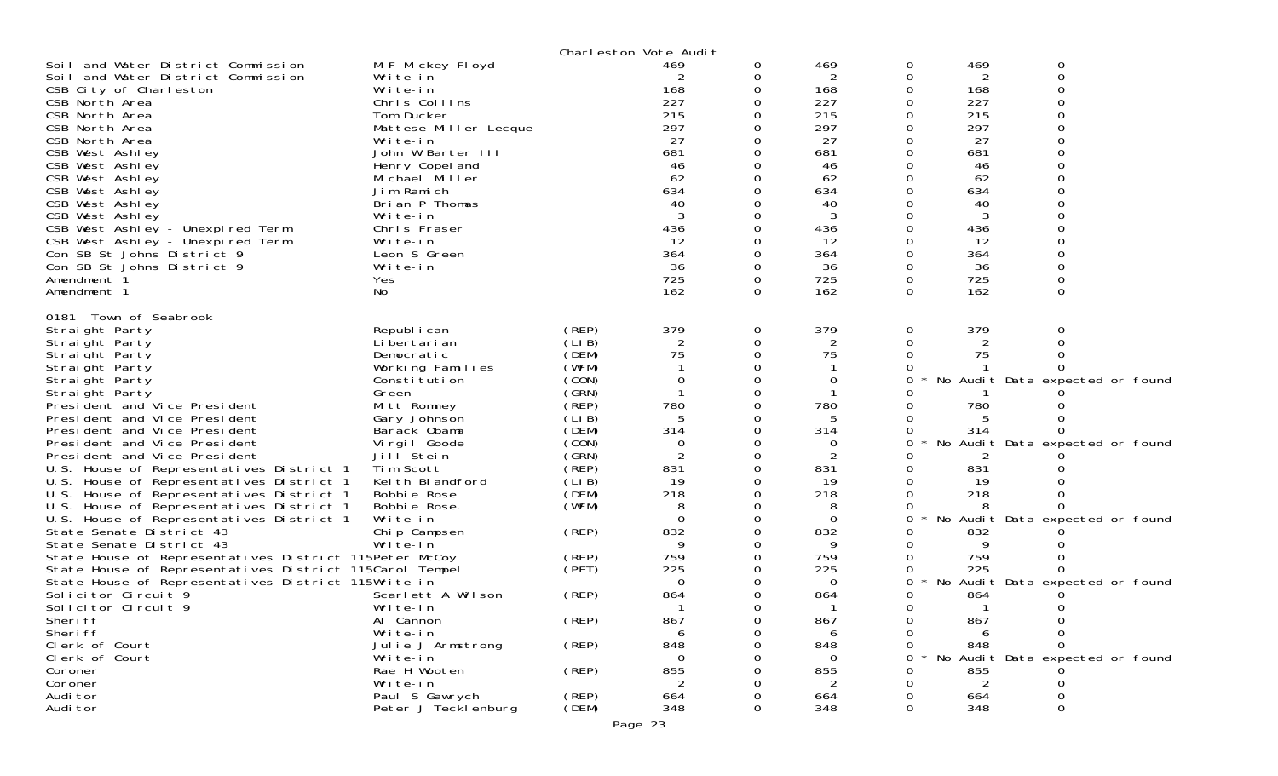|                                                                      |                            |       | Charleston Vote Audit |              |                |          |              |                                 |
|----------------------------------------------------------------------|----------------------------|-------|-----------------------|--------------|----------------|----------|--------------|---------------------------------|
| Soil and Water District Commission                                   | M F Mickey Floyd           |       | 469                   | 0            | 469            | 0        | 469          | 0                               |
| Soil and Water District Commission                                   | Write-in                   |       | 2                     | 0            | 2              | 0        | 2            | 0                               |
| CSB City of Charleston                                               | Write-in                   |       | 168                   | 0            | 168            |          | 168          |                                 |
| CSB North Area                                                       | Chris Collins              |       | 227                   | 0            | 227            |          | 227          |                                 |
| CSB North Area                                                       | Tom Ducker                 |       | 215                   | 0            | 215            |          | 215          |                                 |
| CSB North Area                                                       | Mattese Miller Lecque      |       | 297                   |              | 297            |          | 297          |                                 |
| CSB North Area                                                       | Write-in                   |       | 27                    | 0            | 27             |          | 27           |                                 |
| CSB West Ashley                                                      | John W Barter III          |       | 681                   |              | 681            |          | 681          |                                 |
| CSB West Ashley                                                      | Henry Copel and            |       | 46                    |              | 46             |          | 46           |                                 |
| CSB West Ashley                                                      | Michael Miller             |       | 62                    | <sup>0</sup> | 62             |          | 62           |                                 |
| CSB West Ashley                                                      | Jim Ramich                 |       | 634                   |              | 634            |          | 634          |                                 |
| CSB West Ashley<br>CSB West Ashley                                   | Brian P Thomas<br>Write-in |       | 40                    | 0            | 40<br>3        |          | 40<br>3      |                                 |
|                                                                      | Chris Fraser               |       | 436                   |              | 436            |          |              |                                 |
| CSB West Ashley - Unexpired Term<br>CSB West Ashley - Unexpired Term |                            |       | 12                    |              | 12             |          | 436<br>12    |                                 |
| Con SB St Johns District 9                                           | Write-in<br>Leon S Green   |       | 364                   | 0            | 364            | 0        | 364          |                                 |
| Con SB St Johns District 9                                           | Write-in                   |       | 36                    | 0            | 36             |          | 36           |                                 |
| Amendment 1                                                          | Yes                        |       | 725                   | 0            | 725            | 0        | 725          |                                 |
| Amendment 1                                                          | No                         |       | 162                   | $\Omega$     | 162            | $\Omega$ | 162          | $\Omega$                        |
|                                                                      |                            |       |                       |              |                |          |              |                                 |
| 0181 Town of Seabrook                                                |                            |       |                       |              |                |          |              |                                 |
| Straight Party                                                       | Republ i can               | (REP) | 379                   | 0            | 379            | 0        | 379          |                                 |
| Straight Party                                                       | Li bertari an              | (LIB) | 2                     | 0            | $\overline{2}$ |          | 2            |                                 |
| Straight Party                                                       | Democratic                 | (DEM) | 75                    | 0            | 75             |          | 75           |                                 |
| Straight Party                                                       | Working Families           | (WFM) |                       | 0            |                |          |              |                                 |
| Straight Party                                                       | Constitution               | (CON) | 0                     |              | 0              |          |              | No Audit Data expected or found |
| Straight Party                                                       | Green                      | (SRN) |                       | $\Omega$     |                |          |              |                                 |
| President and Vice President                                         | Mitt Romney                | (REP) | 780                   | 0            | 780            |          | 780          |                                 |
| President and Vice President                                         | Gary Johnson               | (LIB) | 5                     | 0            | 5              |          |              |                                 |
| President and Vice President                                         | Barack Obama               | (DEM) | 314                   | 0            | 314            |          | 314          |                                 |
| President and Vice President                                         | Virgil Goode               | (CON) | 0                     | 0            | 0              | 0        |              | No Audit Data expected or found |
| President and Vice President                                         | Jill <sup>Stein</sup>      | (GRN) | 2                     | 0            | $\overline{c}$ |          |              |                                 |
| U.S. House of Representatives District 1                             | Tim Scott                  | (REP) | 831                   | $\Omega$     | 831            |          | 831          |                                 |
| U.S. House of Representatives District 1                             | Keith Blandford            | (LIB) | 19                    | 0            | 19             |          | 19           |                                 |
| U.S. House of Representatives District 1                             | Bobbie Rose                | (DEM) | 218                   | 0<br>0       | 218            |          | 218          |                                 |
| U.S. House of Representatives District 1                             | Bobbie Rose.<br>Write-in   | (WFM) | 8<br>$\Omega$         | 0            | 8              | 0        |              |                                 |
| U.S. House of Representatives District 1<br>State Senate District 43 | Chip Campsen               | (REP) | 832                   | 0            | 0<br>832       |          | 832          | No Audit Data expected or found |
| State Senate District 43                                             | Write-in                   |       | 9                     | 0            | 9              |          | 9            |                                 |
| State House of Representatives District 115Peter McCoy               |                            | (REP) | 759                   | 0            | 759            |          | 759          |                                 |
| State House of Representatives District 115Carol Tempel              |                            | (PET) | 225                   | 0            | 225            |          | 225          |                                 |
| State House of Representatives District 115Write-in                  |                            |       | $\Omega$              | 0            | 0              | 0        |              | No Audit Data expected or found |
| Solicitor Circuit 9                                                  | Scarlett A Wilson          | (REP) | 864                   | 0            | 864            |          | 864          |                                 |
| Solicitor Circuit 9                                                  | Write-in                   |       |                       | 0            | -1             | 0        | $\mathbf{1}$ | 0                               |
| Sheri ff                                                             | Al Cannon                  | (REP) | 867                   | 0            | 867            | 0        | 867          |                                 |
| Sheri ff                                                             | Write-in                   |       | 6                     | Ω            | 6              | O        | 6            | $\Omega$                        |
| Clerk of Court                                                       | Julie J Armstrong          | (REP) | 848                   |              | 848            | O        | 848          | $\Omega$                        |
| Clerk of Court                                                       | Write-in                   |       | ∩                     |              | $\Omega$       | ∩        |              | No Audit Data expected or found |
| Coroner                                                              | Rae H Wooten               | (REP) | 855                   |              | 855            |          | 855          |                                 |
| Coroner                                                              | Write-in                   |       |                       |              | 2              |          | 2            |                                 |
| Audi tor                                                             | Paul S Gawrych             | (REP) | 664                   |              | 664            |          | 664          |                                 |
| Audi tor                                                             | Peter J Tecklenburg        | (DEM) | 348                   | 0            | 348            | Ω        | 348          | $\Omega$                        |
|                                                                      |                            |       |                       |              |                |          |              |                                 |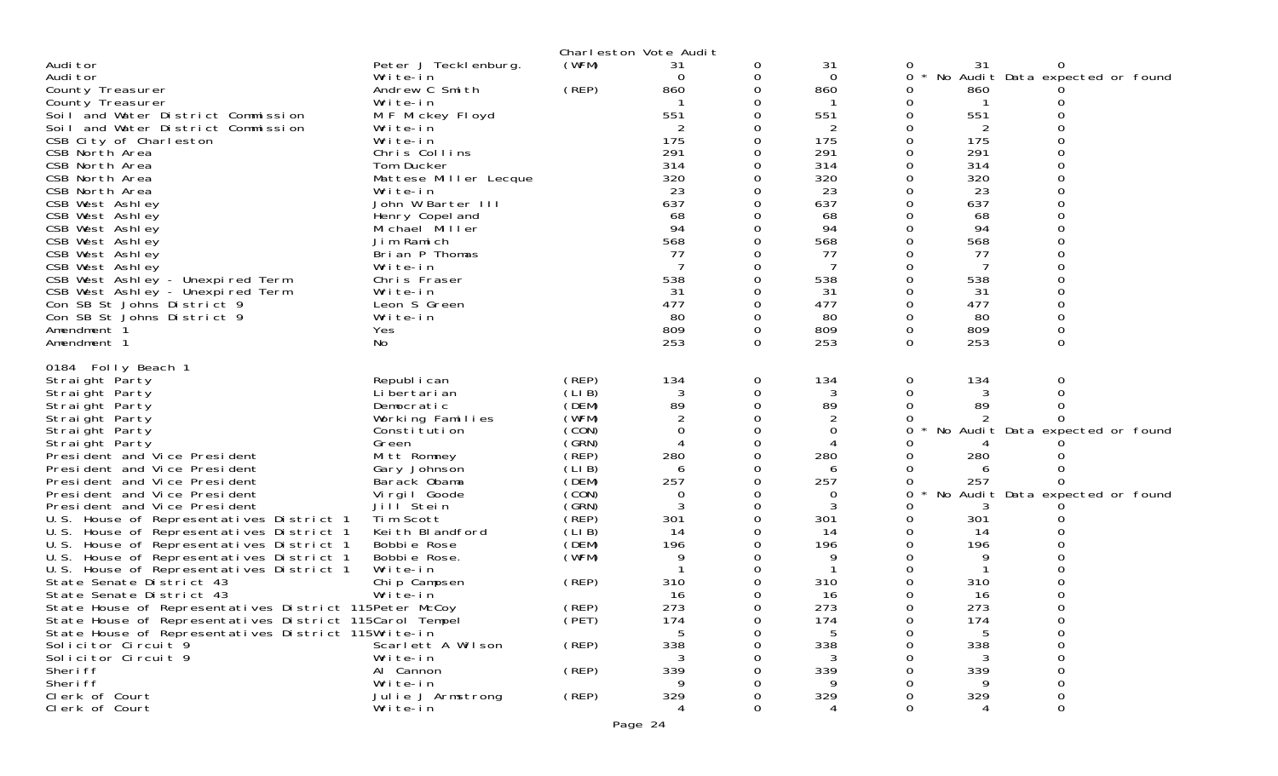|                                                                                      |                              |                | Charleston Vote Audit |          |             |   |           |                                 |  |
|--------------------------------------------------------------------------------------|------------------------------|----------------|-----------------------|----------|-------------|---|-----------|---------------------------------|--|
| Audi tor                                                                             | Peter J Tecklenburg.         | (WFM)          | 31                    | 0        | 31          |   | 31        |                                 |  |
| Audi tor                                                                             | Write-in                     |                | $\Omega$              | 0        | $\mathbf 0$ | 0 |           | No Audit Data expected or found |  |
| County Treasurer                                                                     | Andrew C Smith               | (REP)          | 860                   | $\Omega$ | 860         | 0 | 860       |                                 |  |
| County Treasurer                                                                     | Write-in                     |                |                       |          | -1          | 0 |           |                                 |  |
| Soil and Water District Commission                                                   | M F Mickey Floyd             |                | 551                   |          | 551         |   | 551       |                                 |  |
| Soil and Water District Commission                                                   | Write-in                     |                |                       |          | 2           |   | 2         |                                 |  |
| CSB City of Charleston                                                               | Write-in                     |                | 175                   |          | 175         | 0 | 175       |                                 |  |
| CSB North Area                                                                       | Chris Collins                |                | 291                   |          | 291         |   | 291       |                                 |  |
| CSB North Area                                                                       | Tom Ducker                   |                | 314                   |          | 314         |   | 314       |                                 |  |
| CSB North Area                                                                       | Mattese Miller Lecque        |                | 320                   |          | 320         |   | 320       |                                 |  |
| CSB North Area                                                                       | Write-in                     |                | 23                    |          | 23          |   | 23        |                                 |  |
| CSB West Ashley                                                                      | John W Barter III            |                | 637                   |          | 637         |   | 637       |                                 |  |
| CSB West Ashley                                                                      | Henry Copel and              |                | 68                    |          | 68          |   | 68        |                                 |  |
| CSB West Ashley                                                                      | Michael Miller               |                | 94                    |          | 94          |   | 94        |                                 |  |
| CSB West Ashley                                                                      | Jim Ramich                   |                | 568                   |          | 568         |   | 568       |                                 |  |
| CSB West Ashley                                                                      | Brian P Thomas               |                | 77                    |          | 77          |   | 77        |                                 |  |
| CSB West Ashley<br>CSB West Ashley - Unexpired Term                                  | Write-in<br>Chris Fraser     |                | 538                   |          | 538         |   | 538       |                                 |  |
| CSB West Ashley - Unexpired Term                                                     | Write-in                     |                | 31                    |          | 31          |   | 31        |                                 |  |
| Con SB St Johns District 9                                                           | Leon S Green                 |                | 477                   |          | 477         |   | 477       |                                 |  |
| Con SB St Johns District 9                                                           | Write-in                     |                | 80                    |          | 80          |   | 80        |                                 |  |
| Amendment 1                                                                          | Yes                          |                | 809                   | 0        | 809         | 0 | 809       | 0                               |  |
| Amendment 1                                                                          | No                           |                | 253                   | $\Omega$ | 253         | 0 | 253       | $\Omega$                        |  |
| 0184 Folly Beach 1<br>Straight Party                                                 | Republ i can                 | (REP)          | 134                   | 0        | 134         | 0 | 134       | 0                               |  |
| Straight Party                                                                       | Li bertari an                | (LIB)          | 3                     | 0        | 3           | 0 | 3         |                                 |  |
| Straight Party                                                                       | Democratic                   | (DEM)          | 89                    | 0        | 89          | 0 | 89        |                                 |  |
| Straight Party                                                                       | Working Families             | (WFM)          |                       |          | 2           |   |           |                                 |  |
| Straight Party                                                                       | Constitution                 | (CON)          | $\Omega$              | $\Omega$ | 0           | 0 |           | No Audit Data expected or found |  |
| Straight Party                                                                       | Green                        | (SRN)          | 4                     | 0        | 4           |   |           |                                 |  |
| President and Vice President                                                         | Mitt Romney                  | (REP)          | 280                   |          | 280         |   | 280       |                                 |  |
| President and Vice President                                                         | Gary Johnson                 | (LIB)          | 6                     | 0        | 6           |   | 6         |                                 |  |
| President and Vice President                                                         | Barack Obama                 | (DEM)          | 257                   |          | 257         |   | 257       |                                 |  |
| President and Vice President                                                         | Virgil Goode                 | (CON)          | 0                     |          | 0           | Ω |           | No Audit Data expected or found |  |
| President and Vice President                                                         | Jill Stein                   | (GRN)          | 3                     | $\Omega$ | 3           |   |           |                                 |  |
| U.S. House of Representatives District 1<br>U.S. House of Representatives District 1 | Tim Scott<br>Keith Blandford | (REP)<br>(LIB) | 301<br>14             |          | 301<br>14   |   | 301<br>14 |                                 |  |
| U.S. House of Representatives District 1                                             | Bobbie Rose                  | (DEM)          | 196                   |          | 196         |   | 196       |                                 |  |
| U.S. House of Representatives District 1                                             | Bobbie Rose.                 | (WFM)          | 9                     |          | 9           |   | 9         |                                 |  |
| U.S. House of Representatives District 1                                             | Write-in                     |                |                       |          |             |   |           |                                 |  |
| State Senate District 43                                                             | Chip Campsen                 | (REP)          | 310                   |          | 310         |   | 310       |                                 |  |
| State Senate District 43                                                             | Write-in                     |                | 16                    |          | 16          |   | 16        |                                 |  |
| State House of Representatives District 115Peter McCoy                               |                              | (REP)<br>(PET) | 273                   |          | 273         |   | 273       |                                 |  |
| State House of Representatives District 115Carol Tempel                              |                              |                | 174                   | 0        | 174         | 0 | 174       |                                 |  |
| State House of Representatives District 115Write-in                                  |                              |                |                       |          |             |   |           |                                 |  |
| Solicitor Circuit 9                                                                  | Scarlett A Wilson            | (REP)          | 338                   |          | 338         |   | 338       |                                 |  |
| Solicitor Circuit 9                                                                  | Write-in                     |                |                       |          | 3           |   |           |                                 |  |
| Sheri ff<br>Sheri ff                                                                 | Al Cannon<br>Write-in        | (REP)          | 339                   |          | 339         |   | 339       |                                 |  |
| Clerk of Court                                                                       | Julie J Armstrong            | (REP)          | 329                   |          | 329         |   | 329       |                                 |  |
| Clerk of Court                                                                       | Write-in                     |                |                       |          |             |   |           |                                 |  |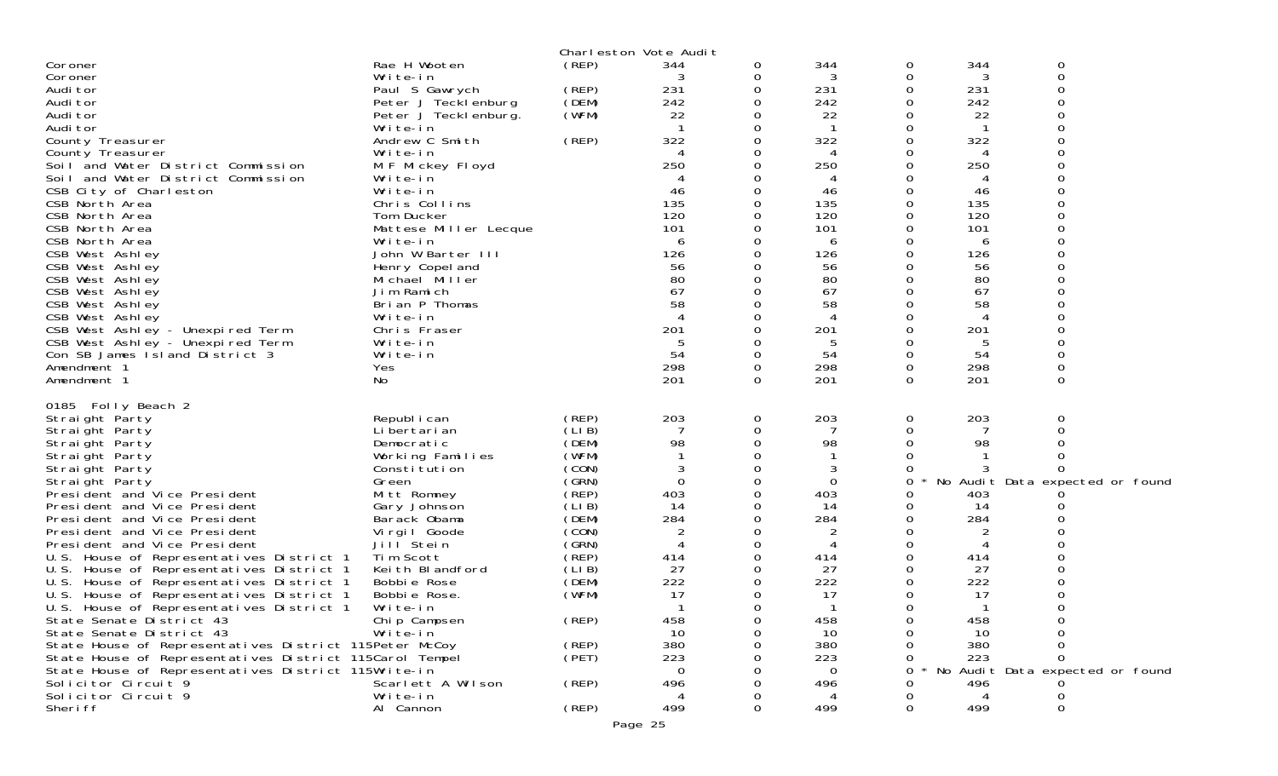|                                                                     |                       |       | Charleston Vote Audit |   |             |   |     |                                 |
|---------------------------------------------------------------------|-----------------------|-------|-----------------------|---|-------------|---|-----|---------------------------------|
| Coroner                                                             | Rae H Wooten          | (REP) | 344                   | 0 | 344         | 0 | 344 | 0                               |
| Coroner                                                             | Write-in              |       |                       |   | 3           | 0 | 3   | 0                               |
| Audi tor                                                            | Paul S Gawrych        | (REP) | 231                   |   | 231         | 0 | 231 | O                               |
| Audi tor                                                            | Peter J Tecklenburg   | (DEM) | 242                   |   | 242         | 0 | 242 |                                 |
| Audi tor                                                            | Peter J Teckl enburg. | (WFM) | 22                    |   | 22          | 0 | 22  |                                 |
| Audi tor                                                            | Write-in              |       |                       |   |             | 0 |     | ∩                               |
| County Treasurer                                                    | Andrew C Smith        | (REP) | 322                   |   | 322         | 0 | 322 |                                 |
| County Treasurer                                                    | Write-in              |       |                       |   | 4           | ი | 4   |                                 |
| Soil and Water District Commission                                  | M F Mickey Floyd      |       | 250                   |   | 250         | 0 | 250 |                                 |
| Soil and Water District Commission                                  | Write-in              |       |                       |   | 4           | ი | 4   |                                 |
| CSB City of Charleston                                              | Write-in              |       | 46                    |   | 46          |   | 46  |                                 |
| CSB North Area                                                      | Chris Collins         |       | 135                   |   | 135         | 0 | 135 |                                 |
| CSB North Area                                                      | Tom Ducker            |       | 120                   |   | 120         | 0 | 120 |                                 |
| CSB North Area                                                      | Mattese Miller Lecque |       | 101                   |   | 101         |   | 101 |                                 |
| CSB North Area                                                      | Write-in              |       | 6                     |   | 6           | 0 | 6   |                                 |
| CSB West Ashley                                                     | John W Barter III     |       | 126                   |   | 126         | 0 | 126 |                                 |
| CSB West Ashley                                                     | Henry Copel and       |       | 56                    |   | 56          |   | 56  |                                 |
| CSB West Ashley                                                     | Michael Miller        |       | 80                    |   | 80          | 0 | 80  |                                 |
| CSB West Ashley                                                     | Jim Ramich            |       | 67                    |   | 67          | 0 | 67  |                                 |
| CSB West Ashley                                                     | Brian P Thomas        |       | 58                    |   | 58          |   | 58  |                                 |
| CSB West Ashley                                                     | Write-in              |       |                       |   |             |   |     |                                 |
|                                                                     | Chris Fraser          |       | 201                   |   | 201         | 0 | 201 |                                 |
| CSB West Ashley - Unexpired Term                                    | Write-in              |       |                       |   | -5          |   | 5   |                                 |
| CSB West Ashley - Unexpired Term<br>Con SB James I sland District 3 | Write-in              |       | 54                    |   | 54          | 0 | 54  |                                 |
| Amendment 1                                                         |                       |       | 298                   | 0 | 298         | 0 | 298 | 0                               |
|                                                                     | Yes                   |       | 201                   | 0 | 201         | 0 | 201 |                                 |
| Amendment 1                                                         | No                    |       |                       |   |             |   |     | 0                               |
| 0185 Folly Beach 2                                                  |                       |       |                       |   |             |   |     |                                 |
| Straight Party                                                      | Republ i can          | (REP) | 203                   | 0 | 203         | 0 | 203 | 0                               |
| Straight Party                                                      | Li bertari an         | (LIB) |                       |   |             | 0 |     |                                 |
| Straight Party                                                      | Democratic            | (DEM) | 98                    |   | 98          |   | 98  |                                 |
| Straight Party                                                      | Working Families      | (WFM) |                       |   |             |   |     |                                 |
| Straight Party                                                      | Constitution          | (CON) |                       |   | 3           | 0 |     |                                 |
| Straight Party                                                      | Green                 | (GRN) | $\Omega$              |   | $\mathbf 0$ | 0 |     | No Audit Data expected or found |
| President and Vice President                                        | Mitt Romney           | (REP) | 403                   |   | 403         |   | 403 |                                 |
| President and Vice President                                        |                       | (LIB) | 14                    |   | 14          | 0 | 14  |                                 |
|                                                                     | Gary Johnson          | (DEM) | 284                   |   | 284         | 0 | 284 |                                 |
| President and Vice President                                        | Barack Obama          | (CON) |                       |   |             |   |     |                                 |
| President and Vice President                                        | Virgil Goode          |       | 2                     |   | 2           | 0 |     |                                 |
| President and Vice President                                        | Jill Stein            | (GRN) |                       |   |             |   |     |                                 |
| U.S. House of Representatives District 1                            | Tim Scott             | (REP) | 414                   |   | 414         | 0 | 414 |                                 |
| U.S. House of Representatives District 1                            | Keith Blandford       | (LIB) | 27                    |   | 27          | 0 | 27  |                                 |
| U.S. House of Representatives District 1                            | Bobbie Rose           | (DEM) | 222                   |   | 222         | 0 | 222 |                                 |
| U.S.<br>House of Representatives District 1                         | Bobbie Rose.          | (WFM) | 17                    |   | 17          | 0 | 17  |                                 |
| U.S. House of Representatives District 1                            | Write-in              |       |                       |   | -1          | 0 |     | 0                               |
| State Senate District 43                                            | Chip Campsen          | (REP) | 458                   | 0 | 458         | 0 | 458 |                                 |
| State Senate District 43                                            | Write-in              |       | 10                    |   | 10          | 0 | 10  |                                 |
| State House of Representatives District 115Peter McCoy              |                       | (REP) | 380                   |   | 380         |   | 380 |                                 |
| State House of Representatives District 115Carol Tempel             |                       | (PET) | 223                   |   | 223         | O | 223 | $\Omega$                        |
| State House of Representatives District 115Write-in                 |                       |       | $\Omega$              |   | $\Omega$    | ი |     | No Audit Data expected or found |
| Solicitor Circuit 9                                                 | Scarlett A Wilson     | (REP) | 496                   |   | 496         |   | 496 |                                 |
| Solicitor Circuit 9<br>Sheri ff                                     | Write-in<br>Al Cannon | (REP) | 4                     |   |             |   |     |                                 |
|                                                                     |                       |       | 499                   |   | 499         | 0 | 499 | $\Omega$                        |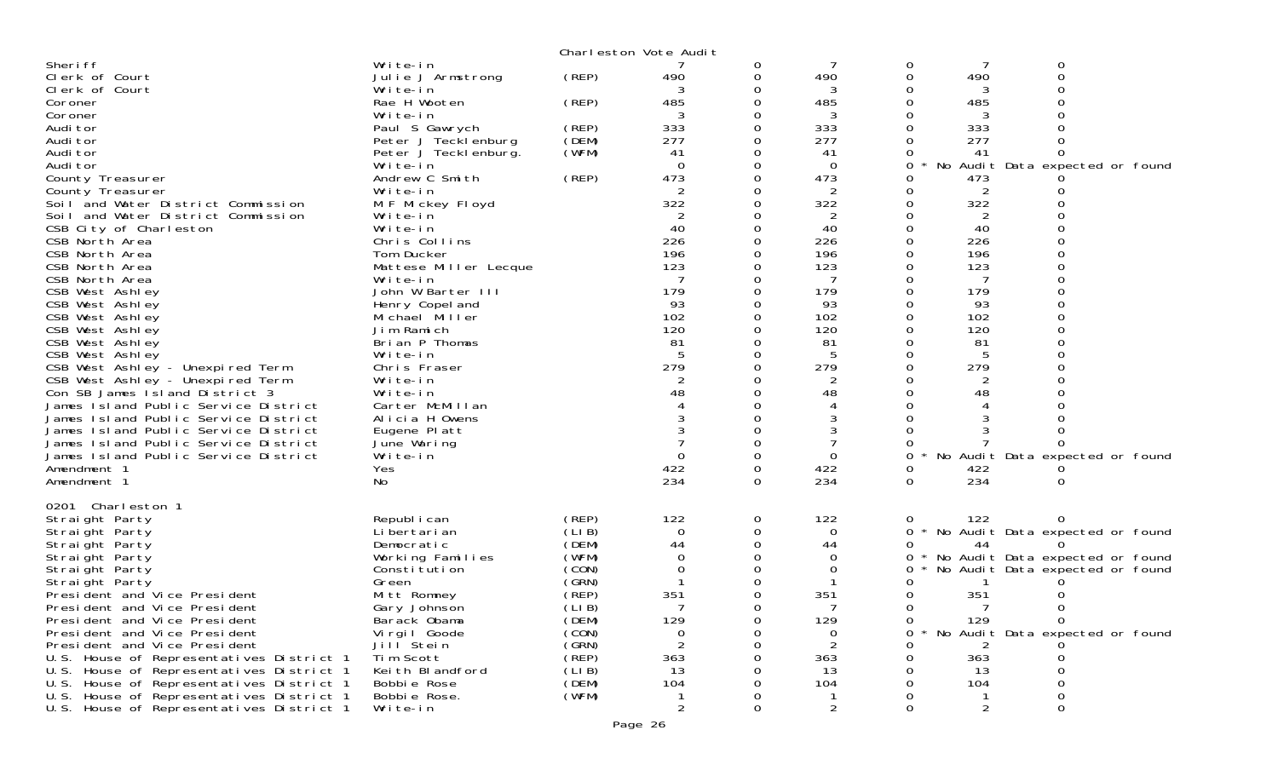|                                                                                      |                                   |        | Charleston Vote Audit |   |                |        |           |                                     |  |
|--------------------------------------------------------------------------------------|-----------------------------------|--------|-----------------------|---|----------------|--------|-----------|-------------------------------------|--|
| Sheri ff                                                                             | Write-in                          |        |                       | 0 |                | 0      |           | 0                                   |  |
| Clerk of Court                                                                       | Julie J Armstrong                 | (REP)  | 490                   | 0 | 490            | 0      | 490       | 0                                   |  |
| Clerk of Court                                                                       | Write-in                          |        |                       |   | 3              | 0      |           |                                     |  |
| Coroner                                                                              | Rae H Wooten                      | (REP)  | 485                   |   | 485            | 0      | 485       |                                     |  |
| Coroner                                                                              | Write-in                          |        |                       |   | 3              | 0      | 3         |                                     |  |
| Audi tor                                                                             | Paul S Gawrych                    | (REP)  | 333                   |   | 333            | 0      | 333       |                                     |  |
| Audi tor                                                                             | Peter J Tecklenburg               | (DEM)  | 277                   |   | 277            | 0      | 277       |                                     |  |
| Audi tor                                                                             | Peter J Tecklenburg.              | (WFM)  | 41                    |   | 41             | 0      | 41        | ∩                                   |  |
| Audi tor                                                                             | Write-in                          |        | $\Omega$              |   | $\Omega$       | 0      |           | No Audit Data expected or found     |  |
| County Treasurer                                                                     | Andrew C Smith                    | (REP)  | 473                   |   | 473            | 0      | 473       |                                     |  |
| County Treasurer                                                                     | Write-in                          |        |                       |   | 2              | 0      | 2         |                                     |  |
| Soil and Water District Commission                                                   | M F Mickey Floyd                  |        | 322                   |   | 322            | 0      | 322       |                                     |  |
| Soil and Water District Commission                                                   | Write-in                          |        | 2                     |   | 2              | 0      | 2         |                                     |  |
| CSB City of Charleston                                                               | Write-in                          |        | 40                    |   | 40             | 0      | 40        |                                     |  |
| CSB North Area                                                                       | Chris Collins                     |        | 226                   |   | 226            | 0      | 226       |                                     |  |
| CSB North Area                                                                       | Tom Ducker                        |        | 196                   |   | 196            | 0      | 196       |                                     |  |
| CSB North Area                                                                       | Mattese Miller Lecque             |        | 123                   |   | 123            | 0      | 123       |                                     |  |
| CSB North Area                                                                       | Write-in<br>John W Barter III     |        | 179                   |   | 179            | 0<br>0 | 179       |                                     |  |
| CSB West Ashley                                                                      |                                   |        | 93                    |   | 93             | 0      | 93        |                                     |  |
| CSB West Ashley<br>CSB West Ashley                                                   | Henry Copel and<br>Michael Miller |        | 102                   |   | 102            | 0      | 102       |                                     |  |
| CSB West Ashley                                                                      | Jim Ramich                        |        | 120                   |   | 120            | 0      | 120       |                                     |  |
| CSB West Ashley                                                                      | Brian P Thomas                    |        | 81                    |   | 81             | 0      | 81        |                                     |  |
| CSB West Ashley                                                                      | Write-in                          |        |                       |   | 5              | 0      | 5         |                                     |  |
| CSB West Ashley - Unexpired Term                                                     | Chris Fraser                      |        | 279                   |   | 279            | 0      | 279       |                                     |  |
| CSB West Ashley - Unexpired Term                                                     | Write-in                          |        |                       |   | 2              | 0      |           |                                     |  |
| Con SB James I sland District 3                                                      | Write-in                          |        | 48                    |   | 48             | 0      | 48        |                                     |  |
| James Island Public Service District                                                 | Carter McMillan                   |        |                       |   | 4              | 0      |           |                                     |  |
| James Island Public Service District                                                 | Alicia H Owens                    |        |                       |   | 3              |        |           |                                     |  |
| James Island Public Service District                                                 | Eugene Platt                      |        |                       |   |                | ∩      |           |                                     |  |
| James Island Public Service District                                                 | June Waring                       |        |                       |   |                | 0      |           |                                     |  |
| James Island Public Service District                                                 | Write-in                          |        |                       |   | $\Omega$       | 0      |           | No Audit Data expected or found     |  |
| Amendment 1                                                                          | Yes                               |        | 422                   | 0 | 422            | 0      | 422       |                                     |  |
| Amendment 1                                                                          | No                                |        | 234                   | 0 | 234            | 0      | 234       | 0                                   |  |
|                                                                                      |                                   |        |                       |   |                |        |           |                                     |  |
| 0201 Charleston 1                                                                    |                                   |        |                       |   |                |        |           |                                     |  |
| Straight Party                                                                       | Republ i can                      | (REP)  | 122                   | 0 | 122            | 0      | 122       | 0                                   |  |
| Straight Party                                                                       | Li bertari an                     | (LIB)  | $\Omega$              |   | $\Omega$       |        |           | 0 * No Audit Data expected or found |  |
| Straight Party                                                                       | Democratic                        | (DEM)  | 44                    |   | 44             | 0      | 44        |                                     |  |
| Straight Party                                                                       | Working Families                  | (WFM)  | 0                     |   | 0              | 0      |           | * No Audit Data expected or found   |  |
| Straight Party                                                                       | Constitution                      | (CON)  | 0                     |   | 0              | 0      |           | No Audit Data expected or found     |  |
| Straight Party                                                                       | Green                             | (GRN)  |                       |   |                | 0      |           |                                     |  |
| President and Vice President                                                         | Mitt Romney                       | (REP)  | 351                   |   | 351            | 0      | 351       |                                     |  |
| President and Vice President                                                         | Gary Johnson                      | (LIB)  |                       |   |                | 0      | 7         | 0                                   |  |
| President and Vice President                                                         | Barack Obama                      | (DEM)  | 129                   | 0 | 129            | Ü      | 129       | 0                                   |  |
| President and Vice President                                                         | Vi rgi I Goode                    | (CON)  | 0                     | 0 | 0              | 0      |           | * No Audit Data expected or found   |  |
| President and Vice President                                                         | Jill <sup>Stein</sup>             | (GRN)  | 2                     |   | 2              | ი      |           |                                     |  |
| U.S. House of Representatives District 1                                             | Tim Scott                         | (REP)  | 363                   |   | 363<br>13      | 0      | 363<br>13 | 0                                   |  |
| U.S. House of Representatives District 1                                             | Keith Blandford                   | (LI B) | 13                    |   |                |        |           | Ω                                   |  |
| U.S. House of Representatives District 1                                             | Bobbie Rose                       | (DEM)  | 104                   |   | 104            |        | 104       |                                     |  |
| U.S. House of Representatives District 1<br>U.S. House of Representatives District 1 | Bobbie Rose.<br>Write-in          | (WFM)  | $\overline{2}$        | 0 | $\overline{2}$ | 0      | 2         | 0                                   |  |
|                                                                                      |                                   |        |                       |   |                |        |           |                                     |  |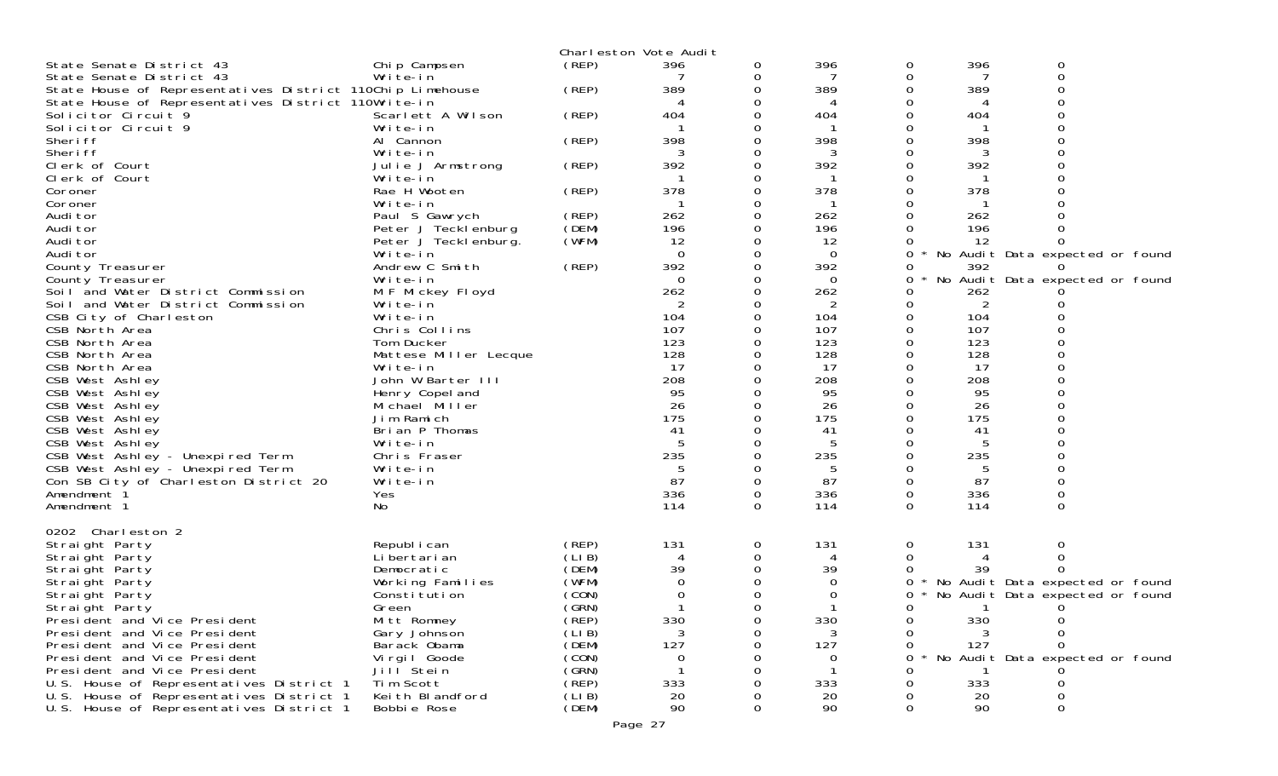|                                                           |                       |       | Charleston Vote Audit |          |             |   |     |                                 |  |
|-----------------------------------------------------------|-----------------------|-------|-----------------------|----------|-------------|---|-----|---------------------------------|--|
| State Senate District 43                                  | Chip Campsen          | (REP) | 396                   | 0        | 396         | 0 | 396 | 0                               |  |
| State Senate District 43                                  | Write-in              |       |                       | 0        |             | 0 |     | 0                               |  |
| State House of Representatives District 110Chip Limehouse |                       | (REP) | 389                   | 0        | 389         | 0 | 389 |                                 |  |
| State House of Representatives District 110Write-in       |                       |       |                       |          |             |   |     |                                 |  |
| Solicitor Circuit 9                                       | Scarlett A Wilson     | (REP) | 404                   |          | 404         |   | 404 |                                 |  |
| Solicitor Circuit 9                                       | Write-in              |       |                       |          |             |   |     |                                 |  |
| Sheri ff                                                  | Al Cannon             | (REP) | 398                   |          | 398         |   | 398 |                                 |  |
| Sheri ff                                                  | Write-in              |       |                       |          | 3           |   |     |                                 |  |
| Clerk of Court                                            | Julie J Armstrong     | (REP) | 392                   |          | 392         |   | 392 |                                 |  |
| Clerk of Court                                            | Write-in              |       |                       |          |             |   |     |                                 |  |
| Coroner                                                   | Rae H Wooten          | (REP) | 378                   |          | 378         |   | 378 |                                 |  |
| Coroner                                                   | Write-in              |       |                       |          |             |   |     |                                 |  |
| Audi tor                                                  | Paul S Gawrych        | (REP) | 262                   | 0        | 262         |   | 262 |                                 |  |
| Audi tor                                                  | Peter J Tecklenburg   | (DEM) | 196                   |          | 196         |   | 196 |                                 |  |
| Audi tor                                                  | Peter J Tecklenburg.  | (WFM) | 12                    |          | 12          |   | 12  |                                 |  |
| Audi tor                                                  | Write-in              |       | $\Omega$              | 0        | $\mathbf 0$ | 0 |     | No Audit Data expected or found |  |
| County Treasurer                                          | Andrew C Smith        | (REP) | 392                   |          | 392         | 0 | 392 |                                 |  |
| County Treasurer                                          | Write-in              |       | $\Omega$              |          | 0           | 0 |     | No Audit Data expected or found |  |
| Soil and Water District Commission                        | M F Mickey Floyd      |       | 262                   |          | 262         | 0 | 262 |                                 |  |
| Soil and Water District Commission                        | Write-in              |       | 2                     |          | 2           | Ω | 2   |                                 |  |
| CSB City of Charleston                                    | Write-in              |       | 104                   |          | 104         |   | 104 |                                 |  |
| CSB North Area                                            | Chris Collins         |       | 107                   |          | 107         |   | 107 |                                 |  |
| CSB North Area                                            | Tom Ducker            |       | 123                   |          | 123         |   | 123 |                                 |  |
| CSB North Area                                            | Mattese Miller Lecque |       | 128                   |          | 128         |   | 128 |                                 |  |
| CSB North Area                                            | Write-in              |       | 17                    |          | 17          |   | 17  |                                 |  |
| CSB West Ashley                                           | John W Barter III     |       | 208                   |          | 208         |   | 208 |                                 |  |
| CSB West Ashley                                           | Henry Copel and       |       | 95                    |          | 95          |   | 95  |                                 |  |
| CSB West Ashley                                           | Michael Miller        |       | 26                    |          | 26          |   | 26  |                                 |  |
| CSB West Ashley                                           | Jim Ramich            |       | 175                   |          | 175         |   | 175 |                                 |  |
| CSB West Ashley                                           | Brian P Thomas        |       | 41                    |          | 41          |   | 41  |                                 |  |
| CSB West Ashley                                           | Write-in              |       | -5                    |          | 5           |   | 5   |                                 |  |
| CSB West Ashley - Unexpired Term                          | Chris Fraser          |       | 235                   |          | 235         |   | 235 |                                 |  |
| CSB West Ashley - Unexpired Term                          | Write-in              |       |                       |          | 5           |   | 5   |                                 |  |
| Con SB City of Charleston District 20                     | Write-in              |       | 87                    | 0        | 87          | 0 | 87  |                                 |  |
| Amendment 1                                               | Yes                   |       | 336                   | 0        | 336         | 0 | 336 |                                 |  |
| Amendment 1                                               | No                    |       | 114                   | $\Omega$ | 114         | 0 | 114 | $\Omega$                        |  |
|                                                           |                       |       |                       |          |             |   |     |                                 |  |
| 0202 Charleston 2                                         |                       |       |                       |          |             |   |     |                                 |  |
| Straight Party                                            | Republ i can          | (REP) | 131                   | 0        | 131         | 0 | 131 | 0                               |  |
| Straight Party                                            | Li bertari an         | (LIB) | 4                     | 0        | 4           | 0 |     | 0                               |  |
| Straight Party                                            | Democratic            | (DEM) | 39                    |          | 39          |   | 39  |                                 |  |
| Straight Party                                            | Working Families      | (WFM) | $\Omega$              |          | $\Omega$    | 0 |     | No Audit Data expected or found |  |
| Straight Party                                            | Constitution          | (CON) |                       | 0        | 0           | 0 |     | No Audit Data expected or found |  |
| Straight Party                                            | Green                 | (GRN) |                       | $\Omega$ |             | 0 |     | 0                               |  |
| Presi dent and Vice Presi dent                            | Mitt Romney           | (REP) | 330                   |          | 330         | 0 | 330 |                                 |  |
| President and Vice President                              | Gary Johnson          | (LIB) | 3                     |          | 3           | 0 | 3   | Ω                               |  |
| President and Vice President                              | Barack Obama          | (DEM) | 127                   |          | 127         | 0 | 127 |                                 |  |
| President and Vice President                              | Vi rgi I Goode        | (CON) | 0                     |          | 0           | ∩ |     | No Audit Data expected or found |  |
| President and Vice President                              | Jill <sup>Stein</sup> | (GRN) |                       |          |             |   |     |                                 |  |
| U.S. House of Representatives District 1                  | Tim Scott             | (REP) | 333                   |          | 333         |   | 333 |                                 |  |
| U.S. House of Representatives District 1                  | Keith Blandford       | (LIB) | 20                    |          | 20          |   | 20  |                                 |  |
| U.S. House of Representatives District 1                  | Bobbie Rose           | (DEM) | 90                    | 0        | 90          | 0 | 90  | 0                               |  |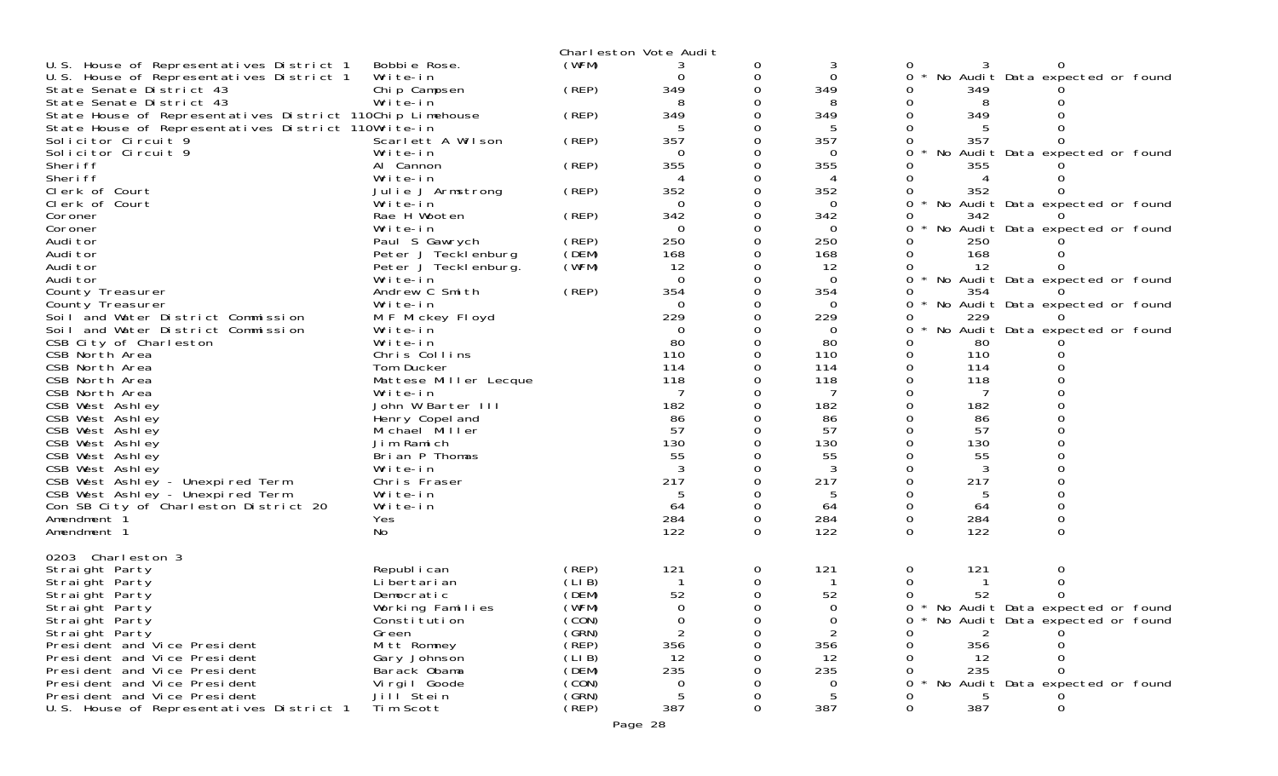|                                                           |                       |       | Charleston Vote Audit |          |          |                                        |  |
|-----------------------------------------------------------|-----------------------|-------|-----------------------|----------|----------|----------------------------------------|--|
| U.S. House of Representatives District 1                  | Bobbie Rose.          | (WFM) |                       | 0        | 3        |                                        |  |
| U.S. House of Representatives District 1                  | Write-in              |       | 0                     | 0        | $\Omega$ | No Audit Data expected or found<br>0   |  |
| State Senate District 43                                  | Chip Campsen          | (REP) | 349                   | $\Omega$ | 349      | 349                                    |  |
| State Senate District 43                                  | Write-in              |       | 8                     |          | 8        | 8                                      |  |
| State House of Representatives District 110Chip Limehouse |                       | (REP) | 349                   |          | 349      | 349                                    |  |
| State House of Representatives District 110Write-in       |                       |       |                       |          |          |                                        |  |
| Solicitor Circuit 9                                       | Scarlett A Wilson     | (REP) | 357                   |          | 357      | 357<br>0                               |  |
| Solicitor Circuit 9                                       | Write-in              |       | $\Omega$              |          | 0        | No Audit Data expected or found        |  |
| Sheri ff                                                  | Al Cannon             | (REP) | 355                   | 0        | 355      | 355                                    |  |
| Sheri ff                                                  | Write-in              |       | 4                     | 0        | 4        | 4                                      |  |
| Clerk of Court                                            | Julie J Armstrong     | (REP) | 352                   |          | 352      | 352                                    |  |
| Clerk of Court                                            | Write-in              |       | $\Omega$              |          | $\Omega$ | No Audit Data expected or found<br>0   |  |
| Coroner                                                   | Rae H Wooten          | (REP) | 342                   | 0        | 342      | 342                                    |  |
| Coroner                                                   | Write-in              |       | $\Omega$              |          | $\Omega$ | No Audit Data expected or found        |  |
| Audi tor                                                  | Paul S Gawrych        | (REP) | 250                   | 0        | 250      | 250                                    |  |
| Audi tor                                                  | Peter J Tecklenburg   | (DEM) | 168                   |          | 168      | 168                                    |  |
| Audi tor                                                  | Peter J Teckl enburg. | (WFM) | 12                    |          | 12       | 12                                     |  |
| Audi tor                                                  | Write-in              |       | $\Omega$              |          | $\Omega$ | No Audit Data expected or found<br>0   |  |
| County Treasurer                                          | Andrew C Smith        | (REP) | 354                   |          | 354      | 354                                    |  |
| County Treasurer                                          | Write-in              |       | $\Omega$              |          | 0        | No Audit Data expected or found        |  |
| Soil and Water District Commission                        | M F Mickey Floyd      |       | 229                   |          | 229      | 229                                    |  |
| Soil and Water District Commission                        | Write-in              |       | $\Omega$              |          | 0        | No Audit Data expected or found<br>0   |  |
| CSB City of Charleston                                    | Write-in              |       | 80                    |          | 80       | 80                                     |  |
| CSB North Area                                            | Chris Collins         |       | 110                   |          | 110      | 110<br>0                               |  |
| CSB North Area                                            | Tom Ducker            |       | 114                   |          | 114      | 114                                    |  |
| CSB North Area                                            | Mattese Miller Lecque |       | 118                   |          | 118      | 118                                    |  |
| CSB North Area                                            | Write-in              |       | 7                     |          | 7        | 7                                      |  |
| CSB West Ashley                                           | John W Barter III     |       | 182                   |          | 182      | 182                                    |  |
| CSB West Ashley                                           | Henry Copel and       |       | 86                    |          | 86       | 86                                     |  |
| CSB West Ashley                                           | Michael Miller        |       | 57                    |          | 57       | 57                                     |  |
| CSB West Ashley                                           | Jim Ramich            |       | 130                   |          | 130      | 130                                    |  |
| CSB West Ashley                                           | Brian P Thomas        |       | 55                    |          | 55       | 55                                     |  |
| CSB West Ashley                                           | Write-in              |       | 3                     |          | 3        | 3<br>0                                 |  |
| CSB West Ashley - Unexpired Term                          | Chris Fraser          |       | 217                   |          | 217      | 217<br>0                               |  |
| CSB West Ashley - Unexpired Term                          | Write-in              |       |                       |          |          |                                        |  |
| Con SB City of Charleston District 20                     | Write-in              |       | 64                    | $\Omega$ | 64       | 64<br>0                                |  |
| Amendment <sup>3</sup>                                    | Yes                   |       | 284                   | 0        | 284      | 284<br>0                               |  |
| Amendment 1                                               | No                    |       | 122                   | $\Omega$ | 122      | 122<br>$\Omega$<br>$\Omega$            |  |
|                                                           |                       |       |                       |          |          |                                        |  |
| 0203 Charleston 3                                         |                       |       |                       |          |          |                                        |  |
| Straight Party                                            | Republ i can          | (REP) | 121                   | 0        | 121      | 121<br>0<br>O                          |  |
| Straight Party                                            | Li bertari an         | (LIB) |                       | 0        |          |                                        |  |
| Straight Party                                            | Democratic            | (DEM) | 52                    |          | 52       | 52                                     |  |
| Straight Party                                            | Working Families      | (WFM) | $\Omega$              | ∩        | $\cap$   | 0 * No Audit Data expected or found    |  |
| Straight Party                                            | Constitution          | (CON) | 0                     |          | 0        | * No Audit Data expected or found<br>0 |  |
| Straight Party                                            | Green                 | (GRN) |                       |          |          |                                        |  |
| President and Vice President                              | Mitt Romney           | (REP) | 356                   |          | 356      | 356                                    |  |
| President and Vice President                              | Gary Johnson          | (LIB) | 12                    |          | 12       | 12                                     |  |
| President and Vice President                              | Barack Obama          | (DEM) | 235                   |          | 235      | 235                                    |  |
| President and Vice President                              | Virgil Goode          | (CON) | 0                     |          | $\Omega$ | No Audit Data expected or found        |  |
| President and Vice President                              | Jill Stein            | (GRN) |                       |          |          |                                        |  |
| U.S. House of Representatives District 1                  | Tim Scott             | (REP) | 387                   |          | 387      | 387                                    |  |
|                                                           |                       |       |                       |          |          |                                        |  |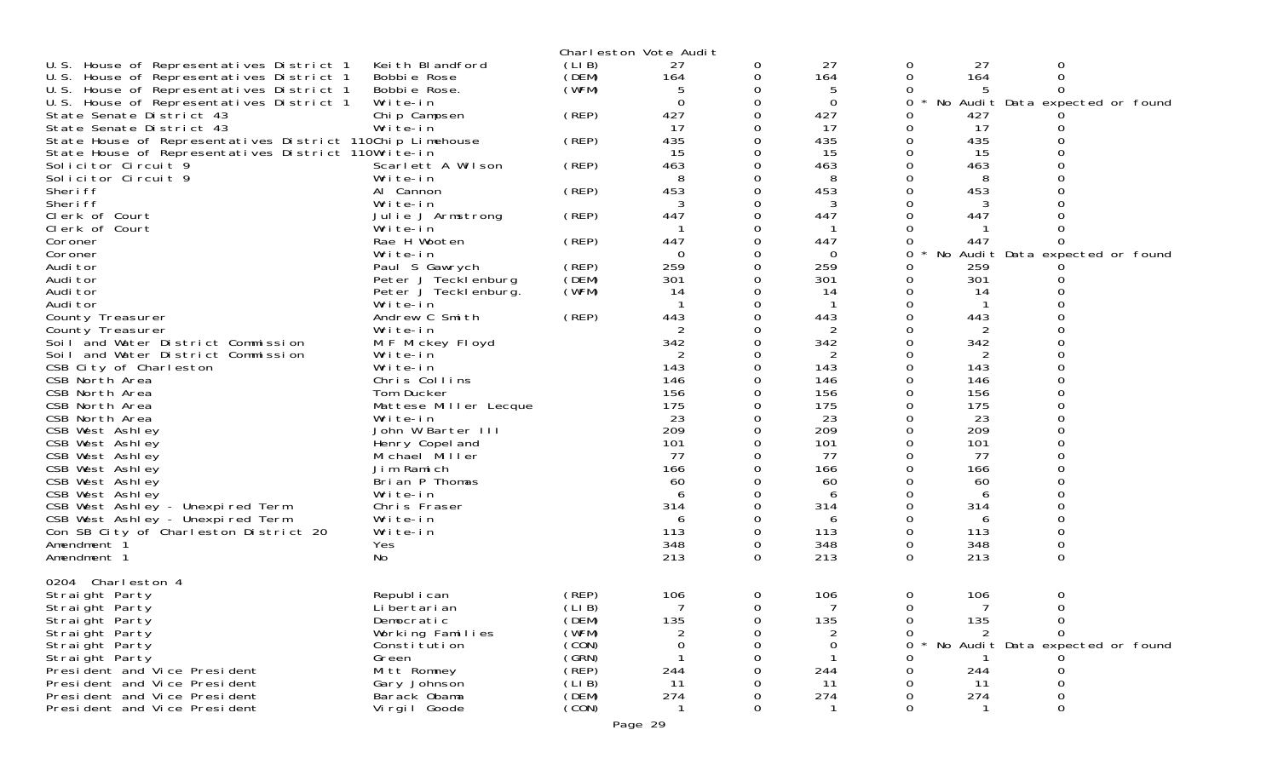|                                                           |                       |        | Charleston Vote Audit |          |                |          |     |                                 |  |
|-----------------------------------------------------------|-----------------------|--------|-----------------------|----------|----------------|----------|-----|---------------------------------|--|
| U.S. House of Representatives District 1                  | Keith Blandford       | (LIB)  | 27                    | 0        | 27             | 0        | 27  | 0                               |  |
| U.S. House of Representatives District 1                  | Bobbie Rose           | (DEM)  | 164                   | 0        | 164            | 0        | 164 | 0                               |  |
| U.S. House of Representatives District 1                  | Bobbie Rose.          | (WFM)  | 5                     | 0        | 5              |          |     |                                 |  |
| U.S. House of Representatives District 1                  | Write-in              |        | $\Omega$              | 0        | $\mathbf 0$    | 0        |     | No Audit Data expected or found |  |
| State Senate District 43                                  | Chip Campsen          | (REP)  | 427                   |          | 427            |          | 427 |                                 |  |
| State Senate District 43                                  | Write-in              |        | 17                    | $\Omega$ | 17             | 0        | 17  |                                 |  |
| State House of Representatives District 110Chip Limehouse |                       | (REP)  | 435                   | 0        | 435            | 0        | 435 |                                 |  |
| State House of Representatives District 110Write-in       |                       |        | 15                    |          | 15             | $\Omega$ | 15  |                                 |  |
| Solicitor Circuit 9                                       | Scarlett A Wilson     | (REP)  | 463                   | $\Omega$ | 463            | $\Omega$ | 463 |                                 |  |
| Solicitor Circuit 9                                       | Write-in              |        | 8                     | 0        | 8              |          | 8   |                                 |  |
| Sheri ff                                                  | Al Cannon             | (REP)  | 453                   |          | 453            |          | 453 |                                 |  |
| Sheri ff                                                  | Write-in              |        |                       | 0        | 3              |          |     |                                 |  |
| Clerk of Court                                            |                       | (REP)  | 447                   | 0        | 447            | $\Omega$ | 447 |                                 |  |
|                                                           | Julie J Armstrong     |        |                       |          |                |          |     |                                 |  |
| Clerk of Court                                            | Write-in              |        |                       |          |                |          |     |                                 |  |
| Coroner                                                   | Rae H Wooten          | (REP)  | 447                   | 0        | 447            | 0        | 447 |                                 |  |
| Coroner                                                   | Write-in              |        | 0                     | 0        | $\Omega$       | 0        | No  | Audit Data expected or found    |  |
| Audi tor                                                  | Paul S Gawrych        | (REP)  | 259                   |          | 259            | 0        | 259 |                                 |  |
| Audi tor                                                  | Peter J Tecklenburg   | (DEM)  | 301                   |          | 301            | 0        | 301 |                                 |  |
| Audi tor                                                  | Peter J Tecklenburg.  | (WFM)  | 14                    | 0        | 14             | $\Omega$ | 14  |                                 |  |
| Audi tor                                                  | Write-in              |        |                       |          |                |          |     |                                 |  |
| County Treasurer                                          | Andrew C Smith        | (REP)  | 443                   |          | 443            | $\Omega$ | 443 |                                 |  |
| County Treasurer                                          | Write-in              |        | 2                     | 0        | $\overline{2}$ |          | 2   |                                 |  |
| Soil and Water District Commission                        | M F Mickey Floyd      |        | 342                   |          | 342            |          | 342 |                                 |  |
| Soil and Water District Commission                        | Write-in              |        | 2                     | O        | 2              | 0        | 2   |                                 |  |
| CSB City of Charleston                                    | Write-in              |        | 143                   | 0        | 143            | 0        | 143 |                                 |  |
| CSB North Area                                            | Chris Collins         |        | 146                   |          | 146            |          | 146 |                                 |  |
| CSB North Area                                            | Tom Ducker            |        | 156                   |          | 156            |          | 156 |                                 |  |
| CSB North Area                                            | Mattese Miller Lecque |        | 175                   |          | 175            |          | 175 |                                 |  |
| CSB North Area                                            | Write-in              |        | 23                    |          | 23             |          | 23  |                                 |  |
| CSB West Ashley                                           | John W Barter III     |        | 209                   |          | 209            |          | 209 |                                 |  |
| CSB West Ashley                                           | Henry Copel and       |        | 101                   |          | 101            | 0        | 101 |                                 |  |
| CSB West Ashley                                           | Michael Miller        |        | 77                    |          | 77             |          | 77  |                                 |  |
| CSB West Ashley                                           | Jim Ramich            |        | 166                   |          | 166            |          | 166 |                                 |  |
| CSB West Ashley                                           | Brian P Thomas        |        | 60                    |          | 60             |          | 60  |                                 |  |
| CSB West Ashley                                           | Write-in              |        | 6                     |          | 6              |          | 6   |                                 |  |
| CSB West Ashley - Unexpired Term                          | Chris Fraser          |        | 314                   | O        | 314            | $\Omega$ | 314 | $\Omega$                        |  |
| CSB West Ashley - Unexpired Term                          | Write-in              |        | 6                     | 0        | 6              | 0        | 6   |                                 |  |
| Con SB City of Charleston District 20                     | Write-in              |        | 113                   | $\Omega$ | 113            | $\Omega$ | 113 |                                 |  |
|                                                           |                       |        | 348                   | 0        | 348            | 0        | 348 | $\mathbf 0$                     |  |
| Amendment 1                                               | Yes<br>No             |        | 213                   | $\Omega$ | 213            | $\Omega$ | 213 | $\Omega$                        |  |
| Amendment 1                                               |                       |        |                       |          |                |          |     |                                 |  |
|                                                           |                       |        |                       |          |                |          |     |                                 |  |
| 0204 Charleston 4                                         |                       |        |                       |          |                |          |     |                                 |  |
| Straight Party                                            | Republ i can          | (REP)  | 106                   | 0        | 106            | 0        | 106 | 0                               |  |
| Straight Party                                            | Li bertari an         | (LIB)  | 7                     | 0        | 7              | 0        | 7   | 0                               |  |
| Straight Party                                            | Democratic            | (DEM)  | 135                   | 0        | 135            | 0        | 135 | 0                               |  |
| Straight Party                                            | Working Families      | (WFM)  | 2                     | 0        | 2              | 0        |     | $\Omega$                        |  |
| Straight Party                                            | Constitution          | (CON)  | 0                     | 0        | 0              | $\Omega$ |     | No Audit Data expected or found |  |
| Straight Party                                            | Green                 | (GRN)  |                       |          |                |          |     |                                 |  |
| Presi dent and Vice Presi dent                            | Mitt Romney           | (REP)  | 244                   |          | 244            |          | 244 |                                 |  |
| President and Vice President                              | Gary Johnson          | (LI B) | 11                    |          | 11             |          | 11  |                                 |  |
| President and Vice President                              | Barack Obama          | (DEM)  | 274                   | Ω        | 274            |          | 274 |                                 |  |
| President and Vice President                              | Virgil Goode          | (CON)  | $\mathbf{1}$          | 0        | -1             | $\Omega$ |     |                                 |  |
|                                                           |                       |        |                       |          |                |          |     |                                 |  |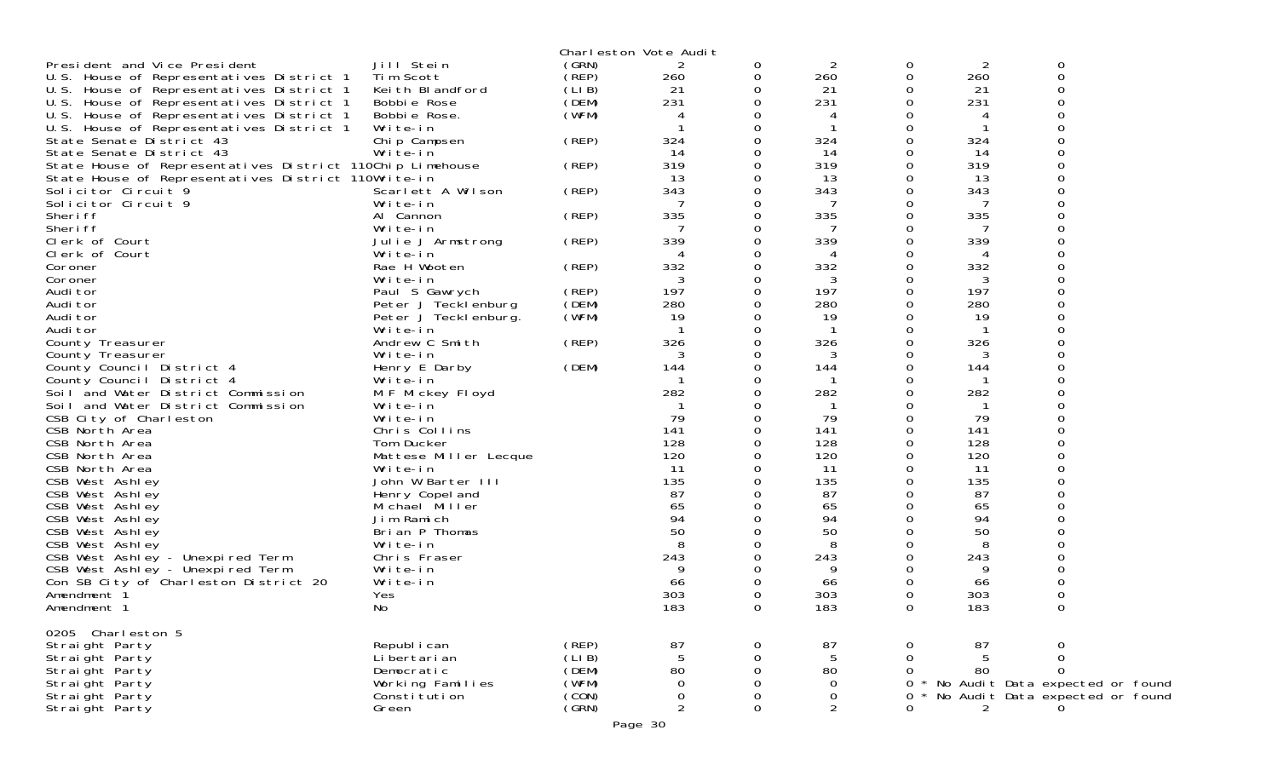|                                                           |                       |       | Charleston Vote Audit |          |                |   |     |                                 |  |
|-----------------------------------------------------------|-----------------------|-------|-----------------------|----------|----------------|---|-----|---------------------------------|--|
| President and Vice President                              | Jill Stein            | (GRN) | 2                     | 0        | 2              | 0 | 2   | 0                               |  |
| U.S. House of Representatives District 1                  | Tim Scott             | (REP) | 260                   | 0        | 260            | 0 | 260 | $\mathbf 0$                     |  |
| U.S. House of Representatives District 1                  | Keith Blandford       | (LIB) | 21                    | 0        | 21             | 0 | 21  | 0                               |  |
| U.S. House of Representatives District 1                  | Bobbie Rose           | (DEM) | 231                   | 0        | 231            | 0 | 231 | ∩                               |  |
| U.S. House of Representatives District 1                  | Bobbie Rose.          | (WFM) |                       |          | 4              |   | 4   |                                 |  |
| U.S. House of Representatives District 1                  | Write-in              |       |                       |          |                | ი |     |                                 |  |
| State Senate District 43                                  | Chip Campsen          | (REP) | 324                   |          | 324            | 0 | 324 |                                 |  |
| State Senate District 43                                  | Write-in              |       | 14                    |          | 14             | 0 | 14  |                                 |  |
| State House of Representatives District 110Chip Limehouse |                       | (REP) | 319                   |          | 319            | 0 | 319 |                                 |  |
| State House of Representatives District 110Write-in       |                       |       | 13                    |          | 13             | 0 | 13  |                                 |  |
| Solicitor Circuit 9                                       | Scarlett A Wilson     | (REP) | 343                   |          | 343            | 0 | 343 |                                 |  |
| Solicitor Circuit 9                                       | Write-in              |       | 7                     |          | 7              |   | 7   |                                 |  |
| Sheri ff                                                  | Al Cannon             | (REP) | 335                   |          | 335            | 0 | 335 |                                 |  |
| Sheri ff                                                  | Write-in              |       |                       |          | -7             | 0 | 7   |                                 |  |
|                                                           |                       |       |                       |          |                |   |     |                                 |  |
| Clerk of Court                                            | Julie J Armstrong     | (REP) | 339                   |          | 339            |   | 339 |                                 |  |
| Clerk of Court                                            | Write-in              |       |                       |          |                | 0 |     |                                 |  |
| Coroner                                                   | Rae H Wooten          | (REP) | 332                   |          | 332            | 0 | 332 |                                 |  |
| Coroner                                                   | Write-in              |       | 3                     |          | 3              |   | 3   |                                 |  |
| Audi tor                                                  | Paul S Gawrych        | (REP) | 197                   |          | 197            | 0 | 197 |                                 |  |
| Audi tor                                                  | Peter J Tecklenburg   | (DEM) | 280                   |          | 280            | 0 | 280 |                                 |  |
| Audi tor                                                  | Peter J Teckl enburg. | (WFM) | 19                    |          | 19             |   | 19  |                                 |  |
| Audi tor                                                  | Write-in              |       |                       |          | - 1            | 0 | -1  |                                 |  |
| County Treasurer                                          | Andrew C Smith        | (REP) | 326                   |          | 326            | 0 | 326 |                                 |  |
| County Treasurer                                          | Write-in              |       | 3                     |          | 3              | 0 | 3   |                                 |  |
| County Council District 4                                 | Henry E Darby         | (DEM) | 144                   |          | 144            | 0 | 144 |                                 |  |
| County Council District 4                                 | Write-in              |       |                       |          |                | 0 |     |                                 |  |
| Soil and Water District Commission                        | M F Mickey Floyd      |       | 282                   |          | 282            | 0 | 282 |                                 |  |
| Soil and Water District Commission                        | Write-in              |       |                       |          |                | 0 | -1  |                                 |  |
| CSB City of Charleston                                    | Write-in              |       | 79                    |          | 79             | 0 | 79  |                                 |  |
| CSB North Area                                            | Chris Collins         |       | 141                   |          | 141            | 0 | 141 |                                 |  |
| CSB North Area                                            | Tom Ducker            |       | 128                   |          | 128            | 0 | 128 |                                 |  |
| CSB North Area                                            | Mattese Miller Lecque |       | 120                   |          | 120            | 0 | 120 |                                 |  |
| CSB North Area                                            | Write-in              |       | 11                    |          | 11             | 0 | 11  |                                 |  |
| CSB West Ashley                                           | John W Barter III     |       | 135                   |          | 135            | 0 | 135 |                                 |  |
| CSB West Ashley                                           | Henry Copel and       |       | 87                    |          | 87             | 0 | 87  |                                 |  |
| CSB West Ashley                                           | Michael Miller        |       | 65                    |          | 65             | 0 | 65  | ∩                               |  |
| CSB West Ashley                                           | Jim Ramich            |       | 94                    |          | 94             | 0 | 94  |                                 |  |
| CSB West Ashley                                           | Brian P Thomas        |       | 50                    |          | 50             |   | 50  |                                 |  |
| CSB West Ashley                                           | Write-in              |       |                       |          | 8              | 0 | 8   |                                 |  |
| CSB West Ashley - Unexpired Term                          | Chris Fraser          |       | 243                   |          | 243            | 0 | 243 |                                 |  |
| CSB West Ashley - Unexpired Term                          | Write-in              |       |                       |          | 9              |   | 9   |                                 |  |
| Con SB City of Charleston District 20                     | Write-in              |       | 66                    |          | 66             | 0 | 66  |                                 |  |
|                                                           |                       |       | 303                   |          | 303            |   | 303 |                                 |  |
| Amendment <sup>1</sup>                                    | Yes                   |       |                       |          |                | 0 |     | 0                               |  |
| Amendment 1                                               | No                    |       | 183                   | $\Omega$ | 183            | 0 | 183 | 0                               |  |
|                                                           |                       |       |                       |          |                |   |     |                                 |  |
| 0205 Charleston 5                                         |                       |       |                       |          |                |   |     |                                 |  |
| Straight Party                                            | Republ i can          | (REP) | 87                    | 0        | 87             | 0 | 87  | 0                               |  |
| Straight Party                                            | Li bertari an         | (LIB) |                       |          | 5              | 0 |     | 0                               |  |
| Straight Party                                            | Democratic            | (DEM) | 80                    |          | 80             |   | 80  | $\Omega$                        |  |
| Straight Party                                            | Working Families      | (WFM) | $\Omega$              |          | $\mathbf 0$    | 0 |     | No Audit Data expected or found |  |
| Straight Party                                            | Constitution          | (CON) | 0                     |          | 0              | 0 |     | No Audit Data expected or found |  |
| Straight Party                                            | Green                 | (GRN) | $\overline{2}$        | 0        | $\overline{2}$ | ი | 2   |                                 |  |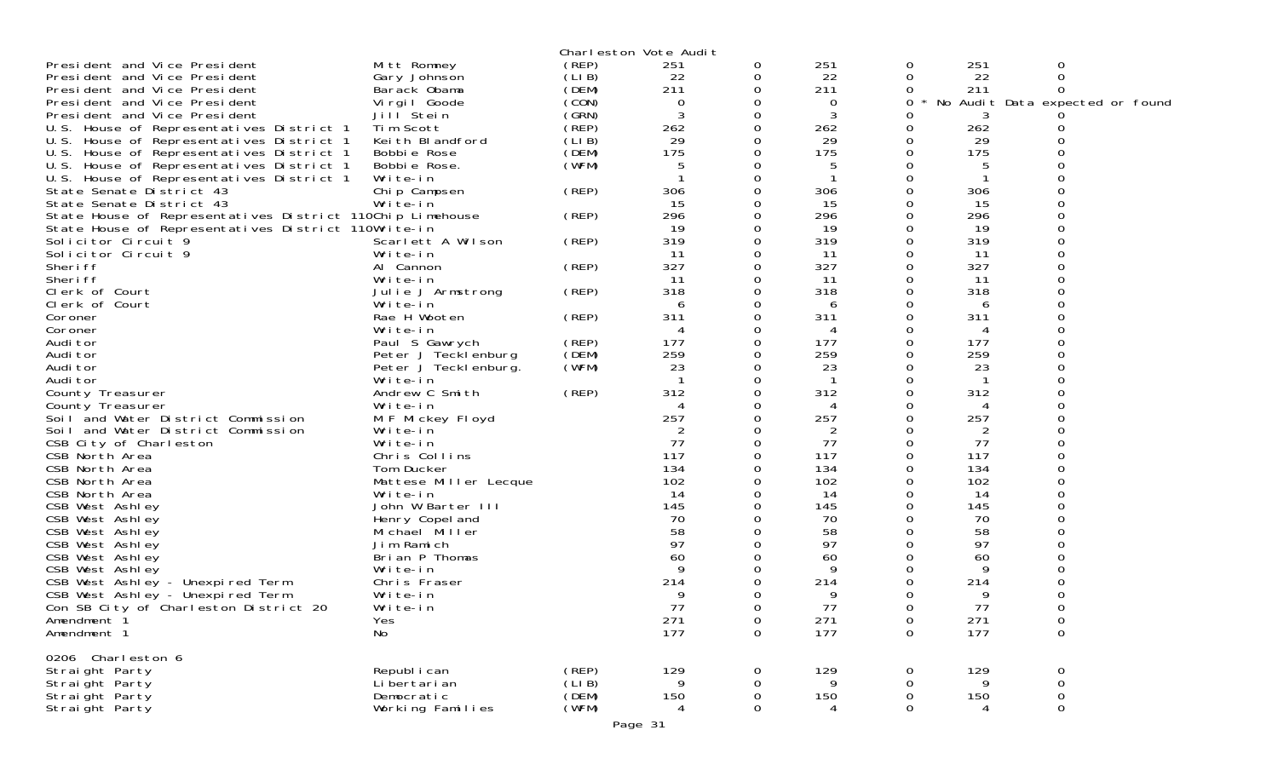| Mitt Romney<br>(REP)<br>251<br>251<br>President and Vice President<br>251<br>0<br>0<br>0<br>(LIB)<br>Gary Johnson<br>22<br>22<br>0<br>22<br>0<br>President and Vice President<br>0<br>(DEM)<br>211<br>$\Omega$<br>211<br>211<br>President and Vice President<br>Barack Obama<br>0<br>(CON)<br>President and Vice President<br>0<br>No Audit Data expected or found<br>Virgil Goode<br>0<br>0<br>0<br>(GRN)<br>3<br>President and Vice President<br>Jill Stein<br>0<br>3<br>Ω<br>(REP)<br>Tim Scott<br>262<br>$\Omega$<br>262<br>262<br>U.S. House of Representatives District 1<br>Ω<br>(LIB)<br>29<br>29<br>29<br>U.S. House of Representatives District 1<br>Keith Blandford<br>0<br>Ω<br>(DEM)<br>175<br>175<br>U.S. House of Representatives District 1<br>0<br>175<br>0<br>Bobbie Rose<br>(WFM)<br>Bobbie Rose.<br>5<br>U.S. House of Representatives District 1<br>0<br>5<br>∩<br>U.S. House of Representatives District 1<br>Write-in<br>0<br>Ω<br>(REP)<br>State Senate District 43<br>306<br>0<br>306<br>0<br>306<br>Chip Campsen<br>Write-in<br>15<br>15<br>15<br>State Senate District 43<br>0<br>Ω<br>296<br>296<br>State House of Representatives District 110Chip Limehouse<br>(REP)<br>296<br>0<br>0<br>State House of Representatives District 110Write-in<br>19<br>0<br>19<br>0<br>19<br>(REP)<br>319<br>319<br>319<br>Solicitor Circuit 9<br>Scarlett A Wilson<br>$\Omega$<br>0<br>Solicitor Circuit 9<br>Write-in<br>11<br>0<br>11<br>0<br>11<br>(REP)<br>327<br>327<br>Sheri ff<br>0<br>327<br>Al Cannon<br>0<br>Sheri ff<br>11<br>11<br>11<br>Write-in<br>0<br>Ω<br>318<br>318<br>318<br>Clerk of Court<br>(REP)<br>0<br>0<br>Julie J Armstrong<br>Clerk of Court<br>Write-in<br>0<br>6<br>Ω<br>6<br>6<br>311<br>311<br>311<br>Rae H Wooten<br>(REP)<br>$\Omega$<br>Coroner<br>O<br>Coroner<br>Write-in<br>0<br>0<br>4<br>4<br>Paul S Gawrych<br>(REP)<br>177<br>0<br>177<br>$\Omega$<br>177<br>Audi tor<br>259<br>(DEM)<br>259<br>259<br>Audi tor<br>Peter J Tecklenburg<br>0<br>Ω<br>(WFM)<br>Audi tor<br>23<br>0<br>23<br>23<br>Peter J Tecklenburg.<br>0<br>Audi tor<br>Write-in<br>0<br>O<br>(REP)<br>312<br>312<br>312<br>0<br>Andrew C Smith<br>Ω<br>County Treasurer<br>Write-in<br>County Treasurer<br>0<br>4<br>4<br>257<br>257<br>257<br>M F Mickey Floyd<br>Soil and Water District Commission<br>0<br>O<br>Soil and Water District Commission<br>2<br>2<br>2<br>Write-in<br>0<br>Ω<br>77<br>0<br>77<br>77<br>Write-in<br>0<br>CSB City of Charleston<br>117<br>CSB North Area<br>117<br>O<br>$\Omega$<br>117<br>Chris Collins<br>134<br>134<br>134<br>CSB North Area<br>Tom Ducker<br>0<br>0<br>102<br>102<br>0<br>102<br>CSB North Area<br>Mattese Miller Lecque<br>CSB North Area<br>14<br>14<br>Write-in<br>14<br>O<br>0<br>John W Barter III<br>145<br>145<br>0<br>145<br>CSB West Ashley<br>0<br>70<br>CSB West Ashley<br>70<br>0<br>70<br>Henry Copel and<br>58<br>58<br>CSB West Ashley<br>Michael Miller<br>58<br>∩<br>∩<br>97<br>97<br>97<br>CSB West Ashley<br>Jim Ramich<br>0<br>CSB West Ashley<br>60<br>60<br>60<br>Brian P Thomas<br>CSB West Ashley<br>Write-in<br>9<br>9<br>O<br>214<br>214<br>214<br>CSB West Ashley - Unexpired Term<br>Chris Fraser<br>0<br>0<br>CSB West Ashley - Unexpired Term<br>9<br>9<br>0<br>Ω<br>9<br>Write-in<br>77<br>77<br>Con SB City of Charleston District 20<br>77<br>$\Omega$<br>Write-in<br>∩<br>∩<br>271<br>271<br>$\boldsymbol{0}$<br>$\mathbf 0$<br>0<br>271<br>Amendment 1<br>Yes<br>177<br>177<br>177<br>$\mathbf 0$<br>No<br>0<br>$\Omega$<br>Amendment 1<br>0206 Charleston 6<br>(REP)<br>129<br>Straight Party<br>Republ i can<br>129<br>129<br>0<br>0<br>0<br>$\boldsymbol{0}$<br>Li bertari an<br>(LIB)<br>Straight Party<br>9<br>9<br>0<br>0<br>(DEM)<br>Straight Party<br>Democratic<br>150<br>$\boldsymbol{0}$<br>150<br>0<br>150<br>0<br>(WFM)<br>Working Families<br>0<br>Straight Party<br>0<br>$\Omega$<br>4 |  | Charleston Vote Audit |  |  |  |
|---------------------------------------------------------------------------------------------------------------------------------------------------------------------------------------------------------------------------------------------------------------------------------------------------------------------------------------------------------------------------------------------------------------------------------------------------------------------------------------------------------------------------------------------------------------------------------------------------------------------------------------------------------------------------------------------------------------------------------------------------------------------------------------------------------------------------------------------------------------------------------------------------------------------------------------------------------------------------------------------------------------------------------------------------------------------------------------------------------------------------------------------------------------------------------------------------------------------------------------------------------------------------------------------------------------------------------------------------------------------------------------------------------------------------------------------------------------------------------------------------------------------------------------------------------------------------------------------------------------------------------------------------------------------------------------------------------------------------------------------------------------------------------------------------------------------------------------------------------------------------------------------------------------------------------------------------------------------------------------------------------------------------------------------------------------------------------------------------------------------------------------------------------------------------------------------------------------------------------------------------------------------------------------------------------------------------------------------------------------------------------------------------------------------------------------------------------------------------------------------------------------------------------------------------------------------------------------------------------------------------------------------------------------------------------------------------------------------------------------------------------------------------------------------------------------------------------------------------------------------------------------------------------------------------------------------------------------------------------------------------------------------------------------------------------------------------------------------------------------------------------------------------------------------------------------------------------------------------------------------------------------------------------------------------------------------------------------------------------------------------------------------------------------------------------------------------------------------------------------------------------------------------------------------------------------------------------------------------------------------------------------------------------------------------------------------------------------------------------------------------------------------------------------------------------------------------------------------------------------------------------------------------------------------|--|-----------------------|--|--|--|
|                                                                                                                                                                                                                                                                                                                                                                                                                                                                                                                                                                                                                                                                                                                                                                                                                                                                                                                                                                                                                                                                                                                                                                                                                                                                                                                                                                                                                                                                                                                                                                                                                                                                                                                                                                                                                                                                                                                                                                                                                                                                                                                                                                                                                                                                                                                                                                                                                                                                                                                                                                                                                                                                                                                                                                                                                                                                                                                                                                                                                                                                                                                                                                                                                                                                                                                                                                                                                                                                                                                                                                                                                                                                                                                                                                                                                                                                                                                     |  |                       |  |  |  |
|                                                                                                                                                                                                                                                                                                                                                                                                                                                                                                                                                                                                                                                                                                                                                                                                                                                                                                                                                                                                                                                                                                                                                                                                                                                                                                                                                                                                                                                                                                                                                                                                                                                                                                                                                                                                                                                                                                                                                                                                                                                                                                                                                                                                                                                                                                                                                                                                                                                                                                                                                                                                                                                                                                                                                                                                                                                                                                                                                                                                                                                                                                                                                                                                                                                                                                                                                                                                                                                                                                                                                                                                                                                                                                                                                                                                                                                                                                                     |  |                       |  |  |  |
|                                                                                                                                                                                                                                                                                                                                                                                                                                                                                                                                                                                                                                                                                                                                                                                                                                                                                                                                                                                                                                                                                                                                                                                                                                                                                                                                                                                                                                                                                                                                                                                                                                                                                                                                                                                                                                                                                                                                                                                                                                                                                                                                                                                                                                                                                                                                                                                                                                                                                                                                                                                                                                                                                                                                                                                                                                                                                                                                                                                                                                                                                                                                                                                                                                                                                                                                                                                                                                                                                                                                                                                                                                                                                                                                                                                                                                                                                                                     |  |                       |  |  |  |
|                                                                                                                                                                                                                                                                                                                                                                                                                                                                                                                                                                                                                                                                                                                                                                                                                                                                                                                                                                                                                                                                                                                                                                                                                                                                                                                                                                                                                                                                                                                                                                                                                                                                                                                                                                                                                                                                                                                                                                                                                                                                                                                                                                                                                                                                                                                                                                                                                                                                                                                                                                                                                                                                                                                                                                                                                                                                                                                                                                                                                                                                                                                                                                                                                                                                                                                                                                                                                                                                                                                                                                                                                                                                                                                                                                                                                                                                                                                     |  |                       |  |  |  |
|                                                                                                                                                                                                                                                                                                                                                                                                                                                                                                                                                                                                                                                                                                                                                                                                                                                                                                                                                                                                                                                                                                                                                                                                                                                                                                                                                                                                                                                                                                                                                                                                                                                                                                                                                                                                                                                                                                                                                                                                                                                                                                                                                                                                                                                                                                                                                                                                                                                                                                                                                                                                                                                                                                                                                                                                                                                                                                                                                                                                                                                                                                                                                                                                                                                                                                                                                                                                                                                                                                                                                                                                                                                                                                                                                                                                                                                                                                                     |  |                       |  |  |  |
|                                                                                                                                                                                                                                                                                                                                                                                                                                                                                                                                                                                                                                                                                                                                                                                                                                                                                                                                                                                                                                                                                                                                                                                                                                                                                                                                                                                                                                                                                                                                                                                                                                                                                                                                                                                                                                                                                                                                                                                                                                                                                                                                                                                                                                                                                                                                                                                                                                                                                                                                                                                                                                                                                                                                                                                                                                                                                                                                                                                                                                                                                                                                                                                                                                                                                                                                                                                                                                                                                                                                                                                                                                                                                                                                                                                                                                                                                                                     |  |                       |  |  |  |
|                                                                                                                                                                                                                                                                                                                                                                                                                                                                                                                                                                                                                                                                                                                                                                                                                                                                                                                                                                                                                                                                                                                                                                                                                                                                                                                                                                                                                                                                                                                                                                                                                                                                                                                                                                                                                                                                                                                                                                                                                                                                                                                                                                                                                                                                                                                                                                                                                                                                                                                                                                                                                                                                                                                                                                                                                                                                                                                                                                                                                                                                                                                                                                                                                                                                                                                                                                                                                                                                                                                                                                                                                                                                                                                                                                                                                                                                                                                     |  |                       |  |  |  |
|                                                                                                                                                                                                                                                                                                                                                                                                                                                                                                                                                                                                                                                                                                                                                                                                                                                                                                                                                                                                                                                                                                                                                                                                                                                                                                                                                                                                                                                                                                                                                                                                                                                                                                                                                                                                                                                                                                                                                                                                                                                                                                                                                                                                                                                                                                                                                                                                                                                                                                                                                                                                                                                                                                                                                                                                                                                                                                                                                                                                                                                                                                                                                                                                                                                                                                                                                                                                                                                                                                                                                                                                                                                                                                                                                                                                                                                                                                                     |  |                       |  |  |  |
|                                                                                                                                                                                                                                                                                                                                                                                                                                                                                                                                                                                                                                                                                                                                                                                                                                                                                                                                                                                                                                                                                                                                                                                                                                                                                                                                                                                                                                                                                                                                                                                                                                                                                                                                                                                                                                                                                                                                                                                                                                                                                                                                                                                                                                                                                                                                                                                                                                                                                                                                                                                                                                                                                                                                                                                                                                                                                                                                                                                                                                                                                                                                                                                                                                                                                                                                                                                                                                                                                                                                                                                                                                                                                                                                                                                                                                                                                                                     |  |                       |  |  |  |
|                                                                                                                                                                                                                                                                                                                                                                                                                                                                                                                                                                                                                                                                                                                                                                                                                                                                                                                                                                                                                                                                                                                                                                                                                                                                                                                                                                                                                                                                                                                                                                                                                                                                                                                                                                                                                                                                                                                                                                                                                                                                                                                                                                                                                                                                                                                                                                                                                                                                                                                                                                                                                                                                                                                                                                                                                                                                                                                                                                                                                                                                                                                                                                                                                                                                                                                                                                                                                                                                                                                                                                                                                                                                                                                                                                                                                                                                                                                     |  |                       |  |  |  |
|                                                                                                                                                                                                                                                                                                                                                                                                                                                                                                                                                                                                                                                                                                                                                                                                                                                                                                                                                                                                                                                                                                                                                                                                                                                                                                                                                                                                                                                                                                                                                                                                                                                                                                                                                                                                                                                                                                                                                                                                                                                                                                                                                                                                                                                                                                                                                                                                                                                                                                                                                                                                                                                                                                                                                                                                                                                                                                                                                                                                                                                                                                                                                                                                                                                                                                                                                                                                                                                                                                                                                                                                                                                                                                                                                                                                                                                                                                                     |  |                       |  |  |  |
|                                                                                                                                                                                                                                                                                                                                                                                                                                                                                                                                                                                                                                                                                                                                                                                                                                                                                                                                                                                                                                                                                                                                                                                                                                                                                                                                                                                                                                                                                                                                                                                                                                                                                                                                                                                                                                                                                                                                                                                                                                                                                                                                                                                                                                                                                                                                                                                                                                                                                                                                                                                                                                                                                                                                                                                                                                                                                                                                                                                                                                                                                                                                                                                                                                                                                                                                                                                                                                                                                                                                                                                                                                                                                                                                                                                                                                                                                                                     |  |                       |  |  |  |
|                                                                                                                                                                                                                                                                                                                                                                                                                                                                                                                                                                                                                                                                                                                                                                                                                                                                                                                                                                                                                                                                                                                                                                                                                                                                                                                                                                                                                                                                                                                                                                                                                                                                                                                                                                                                                                                                                                                                                                                                                                                                                                                                                                                                                                                                                                                                                                                                                                                                                                                                                                                                                                                                                                                                                                                                                                                                                                                                                                                                                                                                                                                                                                                                                                                                                                                                                                                                                                                                                                                                                                                                                                                                                                                                                                                                                                                                                                                     |  |                       |  |  |  |
|                                                                                                                                                                                                                                                                                                                                                                                                                                                                                                                                                                                                                                                                                                                                                                                                                                                                                                                                                                                                                                                                                                                                                                                                                                                                                                                                                                                                                                                                                                                                                                                                                                                                                                                                                                                                                                                                                                                                                                                                                                                                                                                                                                                                                                                                                                                                                                                                                                                                                                                                                                                                                                                                                                                                                                                                                                                                                                                                                                                                                                                                                                                                                                                                                                                                                                                                                                                                                                                                                                                                                                                                                                                                                                                                                                                                                                                                                                                     |  |                       |  |  |  |
|                                                                                                                                                                                                                                                                                                                                                                                                                                                                                                                                                                                                                                                                                                                                                                                                                                                                                                                                                                                                                                                                                                                                                                                                                                                                                                                                                                                                                                                                                                                                                                                                                                                                                                                                                                                                                                                                                                                                                                                                                                                                                                                                                                                                                                                                                                                                                                                                                                                                                                                                                                                                                                                                                                                                                                                                                                                                                                                                                                                                                                                                                                                                                                                                                                                                                                                                                                                                                                                                                                                                                                                                                                                                                                                                                                                                                                                                                                                     |  |                       |  |  |  |
|                                                                                                                                                                                                                                                                                                                                                                                                                                                                                                                                                                                                                                                                                                                                                                                                                                                                                                                                                                                                                                                                                                                                                                                                                                                                                                                                                                                                                                                                                                                                                                                                                                                                                                                                                                                                                                                                                                                                                                                                                                                                                                                                                                                                                                                                                                                                                                                                                                                                                                                                                                                                                                                                                                                                                                                                                                                                                                                                                                                                                                                                                                                                                                                                                                                                                                                                                                                                                                                                                                                                                                                                                                                                                                                                                                                                                                                                                                                     |  |                       |  |  |  |
|                                                                                                                                                                                                                                                                                                                                                                                                                                                                                                                                                                                                                                                                                                                                                                                                                                                                                                                                                                                                                                                                                                                                                                                                                                                                                                                                                                                                                                                                                                                                                                                                                                                                                                                                                                                                                                                                                                                                                                                                                                                                                                                                                                                                                                                                                                                                                                                                                                                                                                                                                                                                                                                                                                                                                                                                                                                                                                                                                                                                                                                                                                                                                                                                                                                                                                                                                                                                                                                                                                                                                                                                                                                                                                                                                                                                                                                                                                                     |  |                       |  |  |  |
|                                                                                                                                                                                                                                                                                                                                                                                                                                                                                                                                                                                                                                                                                                                                                                                                                                                                                                                                                                                                                                                                                                                                                                                                                                                                                                                                                                                                                                                                                                                                                                                                                                                                                                                                                                                                                                                                                                                                                                                                                                                                                                                                                                                                                                                                                                                                                                                                                                                                                                                                                                                                                                                                                                                                                                                                                                                                                                                                                                                                                                                                                                                                                                                                                                                                                                                                                                                                                                                                                                                                                                                                                                                                                                                                                                                                                                                                                                                     |  |                       |  |  |  |
|                                                                                                                                                                                                                                                                                                                                                                                                                                                                                                                                                                                                                                                                                                                                                                                                                                                                                                                                                                                                                                                                                                                                                                                                                                                                                                                                                                                                                                                                                                                                                                                                                                                                                                                                                                                                                                                                                                                                                                                                                                                                                                                                                                                                                                                                                                                                                                                                                                                                                                                                                                                                                                                                                                                                                                                                                                                                                                                                                                                                                                                                                                                                                                                                                                                                                                                                                                                                                                                                                                                                                                                                                                                                                                                                                                                                                                                                                                                     |  |                       |  |  |  |
|                                                                                                                                                                                                                                                                                                                                                                                                                                                                                                                                                                                                                                                                                                                                                                                                                                                                                                                                                                                                                                                                                                                                                                                                                                                                                                                                                                                                                                                                                                                                                                                                                                                                                                                                                                                                                                                                                                                                                                                                                                                                                                                                                                                                                                                                                                                                                                                                                                                                                                                                                                                                                                                                                                                                                                                                                                                                                                                                                                                                                                                                                                                                                                                                                                                                                                                                                                                                                                                                                                                                                                                                                                                                                                                                                                                                                                                                                                                     |  |                       |  |  |  |
|                                                                                                                                                                                                                                                                                                                                                                                                                                                                                                                                                                                                                                                                                                                                                                                                                                                                                                                                                                                                                                                                                                                                                                                                                                                                                                                                                                                                                                                                                                                                                                                                                                                                                                                                                                                                                                                                                                                                                                                                                                                                                                                                                                                                                                                                                                                                                                                                                                                                                                                                                                                                                                                                                                                                                                                                                                                                                                                                                                                                                                                                                                                                                                                                                                                                                                                                                                                                                                                                                                                                                                                                                                                                                                                                                                                                                                                                                                                     |  |                       |  |  |  |
|                                                                                                                                                                                                                                                                                                                                                                                                                                                                                                                                                                                                                                                                                                                                                                                                                                                                                                                                                                                                                                                                                                                                                                                                                                                                                                                                                                                                                                                                                                                                                                                                                                                                                                                                                                                                                                                                                                                                                                                                                                                                                                                                                                                                                                                                                                                                                                                                                                                                                                                                                                                                                                                                                                                                                                                                                                                                                                                                                                                                                                                                                                                                                                                                                                                                                                                                                                                                                                                                                                                                                                                                                                                                                                                                                                                                                                                                                                                     |  |                       |  |  |  |
|                                                                                                                                                                                                                                                                                                                                                                                                                                                                                                                                                                                                                                                                                                                                                                                                                                                                                                                                                                                                                                                                                                                                                                                                                                                                                                                                                                                                                                                                                                                                                                                                                                                                                                                                                                                                                                                                                                                                                                                                                                                                                                                                                                                                                                                                                                                                                                                                                                                                                                                                                                                                                                                                                                                                                                                                                                                                                                                                                                                                                                                                                                                                                                                                                                                                                                                                                                                                                                                                                                                                                                                                                                                                                                                                                                                                                                                                                                                     |  |                       |  |  |  |
|                                                                                                                                                                                                                                                                                                                                                                                                                                                                                                                                                                                                                                                                                                                                                                                                                                                                                                                                                                                                                                                                                                                                                                                                                                                                                                                                                                                                                                                                                                                                                                                                                                                                                                                                                                                                                                                                                                                                                                                                                                                                                                                                                                                                                                                                                                                                                                                                                                                                                                                                                                                                                                                                                                                                                                                                                                                                                                                                                                                                                                                                                                                                                                                                                                                                                                                                                                                                                                                                                                                                                                                                                                                                                                                                                                                                                                                                                                                     |  |                       |  |  |  |
|                                                                                                                                                                                                                                                                                                                                                                                                                                                                                                                                                                                                                                                                                                                                                                                                                                                                                                                                                                                                                                                                                                                                                                                                                                                                                                                                                                                                                                                                                                                                                                                                                                                                                                                                                                                                                                                                                                                                                                                                                                                                                                                                                                                                                                                                                                                                                                                                                                                                                                                                                                                                                                                                                                                                                                                                                                                                                                                                                                                                                                                                                                                                                                                                                                                                                                                                                                                                                                                                                                                                                                                                                                                                                                                                                                                                                                                                                                                     |  |                       |  |  |  |
|                                                                                                                                                                                                                                                                                                                                                                                                                                                                                                                                                                                                                                                                                                                                                                                                                                                                                                                                                                                                                                                                                                                                                                                                                                                                                                                                                                                                                                                                                                                                                                                                                                                                                                                                                                                                                                                                                                                                                                                                                                                                                                                                                                                                                                                                                                                                                                                                                                                                                                                                                                                                                                                                                                                                                                                                                                                                                                                                                                                                                                                                                                                                                                                                                                                                                                                                                                                                                                                                                                                                                                                                                                                                                                                                                                                                                                                                                                                     |  |                       |  |  |  |
|                                                                                                                                                                                                                                                                                                                                                                                                                                                                                                                                                                                                                                                                                                                                                                                                                                                                                                                                                                                                                                                                                                                                                                                                                                                                                                                                                                                                                                                                                                                                                                                                                                                                                                                                                                                                                                                                                                                                                                                                                                                                                                                                                                                                                                                                                                                                                                                                                                                                                                                                                                                                                                                                                                                                                                                                                                                                                                                                                                                                                                                                                                                                                                                                                                                                                                                                                                                                                                                                                                                                                                                                                                                                                                                                                                                                                                                                                                                     |  |                       |  |  |  |
|                                                                                                                                                                                                                                                                                                                                                                                                                                                                                                                                                                                                                                                                                                                                                                                                                                                                                                                                                                                                                                                                                                                                                                                                                                                                                                                                                                                                                                                                                                                                                                                                                                                                                                                                                                                                                                                                                                                                                                                                                                                                                                                                                                                                                                                                                                                                                                                                                                                                                                                                                                                                                                                                                                                                                                                                                                                                                                                                                                                                                                                                                                                                                                                                                                                                                                                                                                                                                                                                                                                                                                                                                                                                                                                                                                                                                                                                                                                     |  |                       |  |  |  |
|                                                                                                                                                                                                                                                                                                                                                                                                                                                                                                                                                                                                                                                                                                                                                                                                                                                                                                                                                                                                                                                                                                                                                                                                                                                                                                                                                                                                                                                                                                                                                                                                                                                                                                                                                                                                                                                                                                                                                                                                                                                                                                                                                                                                                                                                                                                                                                                                                                                                                                                                                                                                                                                                                                                                                                                                                                                                                                                                                                                                                                                                                                                                                                                                                                                                                                                                                                                                                                                                                                                                                                                                                                                                                                                                                                                                                                                                                                                     |  |                       |  |  |  |
|                                                                                                                                                                                                                                                                                                                                                                                                                                                                                                                                                                                                                                                                                                                                                                                                                                                                                                                                                                                                                                                                                                                                                                                                                                                                                                                                                                                                                                                                                                                                                                                                                                                                                                                                                                                                                                                                                                                                                                                                                                                                                                                                                                                                                                                                                                                                                                                                                                                                                                                                                                                                                                                                                                                                                                                                                                                                                                                                                                                                                                                                                                                                                                                                                                                                                                                                                                                                                                                                                                                                                                                                                                                                                                                                                                                                                                                                                                                     |  |                       |  |  |  |
|                                                                                                                                                                                                                                                                                                                                                                                                                                                                                                                                                                                                                                                                                                                                                                                                                                                                                                                                                                                                                                                                                                                                                                                                                                                                                                                                                                                                                                                                                                                                                                                                                                                                                                                                                                                                                                                                                                                                                                                                                                                                                                                                                                                                                                                                                                                                                                                                                                                                                                                                                                                                                                                                                                                                                                                                                                                                                                                                                                                                                                                                                                                                                                                                                                                                                                                                                                                                                                                                                                                                                                                                                                                                                                                                                                                                                                                                                                                     |  |                       |  |  |  |
|                                                                                                                                                                                                                                                                                                                                                                                                                                                                                                                                                                                                                                                                                                                                                                                                                                                                                                                                                                                                                                                                                                                                                                                                                                                                                                                                                                                                                                                                                                                                                                                                                                                                                                                                                                                                                                                                                                                                                                                                                                                                                                                                                                                                                                                                                                                                                                                                                                                                                                                                                                                                                                                                                                                                                                                                                                                                                                                                                                                                                                                                                                                                                                                                                                                                                                                                                                                                                                                                                                                                                                                                                                                                                                                                                                                                                                                                                                                     |  |                       |  |  |  |
|                                                                                                                                                                                                                                                                                                                                                                                                                                                                                                                                                                                                                                                                                                                                                                                                                                                                                                                                                                                                                                                                                                                                                                                                                                                                                                                                                                                                                                                                                                                                                                                                                                                                                                                                                                                                                                                                                                                                                                                                                                                                                                                                                                                                                                                                                                                                                                                                                                                                                                                                                                                                                                                                                                                                                                                                                                                                                                                                                                                                                                                                                                                                                                                                                                                                                                                                                                                                                                                                                                                                                                                                                                                                                                                                                                                                                                                                                                                     |  |                       |  |  |  |
|                                                                                                                                                                                                                                                                                                                                                                                                                                                                                                                                                                                                                                                                                                                                                                                                                                                                                                                                                                                                                                                                                                                                                                                                                                                                                                                                                                                                                                                                                                                                                                                                                                                                                                                                                                                                                                                                                                                                                                                                                                                                                                                                                                                                                                                                                                                                                                                                                                                                                                                                                                                                                                                                                                                                                                                                                                                                                                                                                                                                                                                                                                                                                                                                                                                                                                                                                                                                                                                                                                                                                                                                                                                                                                                                                                                                                                                                                                                     |  |                       |  |  |  |
|                                                                                                                                                                                                                                                                                                                                                                                                                                                                                                                                                                                                                                                                                                                                                                                                                                                                                                                                                                                                                                                                                                                                                                                                                                                                                                                                                                                                                                                                                                                                                                                                                                                                                                                                                                                                                                                                                                                                                                                                                                                                                                                                                                                                                                                                                                                                                                                                                                                                                                                                                                                                                                                                                                                                                                                                                                                                                                                                                                                                                                                                                                                                                                                                                                                                                                                                                                                                                                                                                                                                                                                                                                                                                                                                                                                                                                                                                                                     |  |                       |  |  |  |
|                                                                                                                                                                                                                                                                                                                                                                                                                                                                                                                                                                                                                                                                                                                                                                                                                                                                                                                                                                                                                                                                                                                                                                                                                                                                                                                                                                                                                                                                                                                                                                                                                                                                                                                                                                                                                                                                                                                                                                                                                                                                                                                                                                                                                                                                                                                                                                                                                                                                                                                                                                                                                                                                                                                                                                                                                                                                                                                                                                                                                                                                                                                                                                                                                                                                                                                                                                                                                                                                                                                                                                                                                                                                                                                                                                                                                                                                                                                     |  |                       |  |  |  |
|                                                                                                                                                                                                                                                                                                                                                                                                                                                                                                                                                                                                                                                                                                                                                                                                                                                                                                                                                                                                                                                                                                                                                                                                                                                                                                                                                                                                                                                                                                                                                                                                                                                                                                                                                                                                                                                                                                                                                                                                                                                                                                                                                                                                                                                                                                                                                                                                                                                                                                                                                                                                                                                                                                                                                                                                                                                                                                                                                                                                                                                                                                                                                                                                                                                                                                                                                                                                                                                                                                                                                                                                                                                                                                                                                                                                                                                                                                                     |  |                       |  |  |  |
|                                                                                                                                                                                                                                                                                                                                                                                                                                                                                                                                                                                                                                                                                                                                                                                                                                                                                                                                                                                                                                                                                                                                                                                                                                                                                                                                                                                                                                                                                                                                                                                                                                                                                                                                                                                                                                                                                                                                                                                                                                                                                                                                                                                                                                                                                                                                                                                                                                                                                                                                                                                                                                                                                                                                                                                                                                                                                                                                                                                                                                                                                                                                                                                                                                                                                                                                                                                                                                                                                                                                                                                                                                                                                                                                                                                                                                                                                                                     |  |                       |  |  |  |
|                                                                                                                                                                                                                                                                                                                                                                                                                                                                                                                                                                                                                                                                                                                                                                                                                                                                                                                                                                                                                                                                                                                                                                                                                                                                                                                                                                                                                                                                                                                                                                                                                                                                                                                                                                                                                                                                                                                                                                                                                                                                                                                                                                                                                                                                                                                                                                                                                                                                                                                                                                                                                                                                                                                                                                                                                                                                                                                                                                                                                                                                                                                                                                                                                                                                                                                                                                                                                                                                                                                                                                                                                                                                                                                                                                                                                                                                                                                     |  |                       |  |  |  |
|                                                                                                                                                                                                                                                                                                                                                                                                                                                                                                                                                                                                                                                                                                                                                                                                                                                                                                                                                                                                                                                                                                                                                                                                                                                                                                                                                                                                                                                                                                                                                                                                                                                                                                                                                                                                                                                                                                                                                                                                                                                                                                                                                                                                                                                                                                                                                                                                                                                                                                                                                                                                                                                                                                                                                                                                                                                                                                                                                                                                                                                                                                                                                                                                                                                                                                                                                                                                                                                                                                                                                                                                                                                                                                                                                                                                                                                                                                                     |  |                       |  |  |  |
|                                                                                                                                                                                                                                                                                                                                                                                                                                                                                                                                                                                                                                                                                                                                                                                                                                                                                                                                                                                                                                                                                                                                                                                                                                                                                                                                                                                                                                                                                                                                                                                                                                                                                                                                                                                                                                                                                                                                                                                                                                                                                                                                                                                                                                                                                                                                                                                                                                                                                                                                                                                                                                                                                                                                                                                                                                                                                                                                                                                                                                                                                                                                                                                                                                                                                                                                                                                                                                                                                                                                                                                                                                                                                                                                                                                                                                                                                                                     |  |                       |  |  |  |
|                                                                                                                                                                                                                                                                                                                                                                                                                                                                                                                                                                                                                                                                                                                                                                                                                                                                                                                                                                                                                                                                                                                                                                                                                                                                                                                                                                                                                                                                                                                                                                                                                                                                                                                                                                                                                                                                                                                                                                                                                                                                                                                                                                                                                                                                                                                                                                                                                                                                                                                                                                                                                                                                                                                                                                                                                                                                                                                                                                                                                                                                                                                                                                                                                                                                                                                                                                                                                                                                                                                                                                                                                                                                                                                                                                                                                                                                                                                     |  |                       |  |  |  |
|                                                                                                                                                                                                                                                                                                                                                                                                                                                                                                                                                                                                                                                                                                                                                                                                                                                                                                                                                                                                                                                                                                                                                                                                                                                                                                                                                                                                                                                                                                                                                                                                                                                                                                                                                                                                                                                                                                                                                                                                                                                                                                                                                                                                                                                                                                                                                                                                                                                                                                                                                                                                                                                                                                                                                                                                                                                                                                                                                                                                                                                                                                                                                                                                                                                                                                                                                                                                                                                                                                                                                                                                                                                                                                                                                                                                                                                                                                                     |  |                       |  |  |  |
|                                                                                                                                                                                                                                                                                                                                                                                                                                                                                                                                                                                                                                                                                                                                                                                                                                                                                                                                                                                                                                                                                                                                                                                                                                                                                                                                                                                                                                                                                                                                                                                                                                                                                                                                                                                                                                                                                                                                                                                                                                                                                                                                                                                                                                                                                                                                                                                                                                                                                                                                                                                                                                                                                                                                                                                                                                                                                                                                                                                                                                                                                                                                                                                                                                                                                                                                                                                                                                                                                                                                                                                                                                                                                                                                                                                                                                                                                                                     |  |                       |  |  |  |
|                                                                                                                                                                                                                                                                                                                                                                                                                                                                                                                                                                                                                                                                                                                                                                                                                                                                                                                                                                                                                                                                                                                                                                                                                                                                                                                                                                                                                                                                                                                                                                                                                                                                                                                                                                                                                                                                                                                                                                                                                                                                                                                                                                                                                                                                                                                                                                                                                                                                                                                                                                                                                                                                                                                                                                                                                                                                                                                                                                                                                                                                                                                                                                                                                                                                                                                                                                                                                                                                                                                                                                                                                                                                                                                                                                                                                                                                                                                     |  |                       |  |  |  |
|                                                                                                                                                                                                                                                                                                                                                                                                                                                                                                                                                                                                                                                                                                                                                                                                                                                                                                                                                                                                                                                                                                                                                                                                                                                                                                                                                                                                                                                                                                                                                                                                                                                                                                                                                                                                                                                                                                                                                                                                                                                                                                                                                                                                                                                                                                                                                                                                                                                                                                                                                                                                                                                                                                                                                                                                                                                                                                                                                                                                                                                                                                                                                                                                                                                                                                                                                                                                                                                                                                                                                                                                                                                                                                                                                                                                                                                                                                                     |  |                       |  |  |  |
|                                                                                                                                                                                                                                                                                                                                                                                                                                                                                                                                                                                                                                                                                                                                                                                                                                                                                                                                                                                                                                                                                                                                                                                                                                                                                                                                                                                                                                                                                                                                                                                                                                                                                                                                                                                                                                                                                                                                                                                                                                                                                                                                                                                                                                                                                                                                                                                                                                                                                                                                                                                                                                                                                                                                                                                                                                                                                                                                                                                                                                                                                                                                                                                                                                                                                                                                                                                                                                                                                                                                                                                                                                                                                                                                                                                                                                                                                                                     |  |                       |  |  |  |
|                                                                                                                                                                                                                                                                                                                                                                                                                                                                                                                                                                                                                                                                                                                                                                                                                                                                                                                                                                                                                                                                                                                                                                                                                                                                                                                                                                                                                                                                                                                                                                                                                                                                                                                                                                                                                                                                                                                                                                                                                                                                                                                                                                                                                                                                                                                                                                                                                                                                                                                                                                                                                                                                                                                                                                                                                                                                                                                                                                                                                                                                                                                                                                                                                                                                                                                                                                                                                                                                                                                                                                                                                                                                                                                                                                                                                                                                                                                     |  |                       |  |  |  |
|                                                                                                                                                                                                                                                                                                                                                                                                                                                                                                                                                                                                                                                                                                                                                                                                                                                                                                                                                                                                                                                                                                                                                                                                                                                                                                                                                                                                                                                                                                                                                                                                                                                                                                                                                                                                                                                                                                                                                                                                                                                                                                                                                                                                                                                                                                                                                                                                                                                                                                                                                                                                                                                                                                                                                                                                                                                                                                                                                                                                                                                                                                                                                                                                                                                                                                                                                                                                                                                                                                                                                                                                                                                                                                                                                                                                                                                                                                                     |  |                       |  |  |  |
|                                                                                                                                                                                                                                                                                                                                                                                                                                                                                                                                                                                                                                                                                                                                                                                                                                                                                                                                                                                                                                                                                                                                                                                                                                                                                                                                                                                                                                                                                                                                                                                                                                                                                                                                                                                                                                                                                                                                                                                                                                                                                                                                                                                                                                                                                                                                                                                                                                                                                                                                                                                                                                                                                                                                                                                                                                                                                                                                                                                                                                                                                                                                                                                                                                                                                                                                                                                                                                                                                                                                                                                                                                                                                                                                                                                                                                                                                                                     |  |                       |  |  |  |
|                                                                                                                                                                                                                                                                                                                                                                                                                                                                                                                                                                                                                                                                                                                                                                                                                                                                                                                                                                                                                                                                                                                                                                                                                                                                                                                                                                                                                                                                                                                                                                                                                                                                                                                                                                                                                                                                                                                                                                                                                                                                                                                                                                                                                                                                                                                                                                                                                                                                                                                                                                                                                                                                                                                                                                                                                                                                                                                                                                                                                                                                                                                                                                                                                                                                                                                                                                                                                                                                                                                                                                                                                                                                                                                                                                                                                                                                                                                     |  |                       |  |  |  |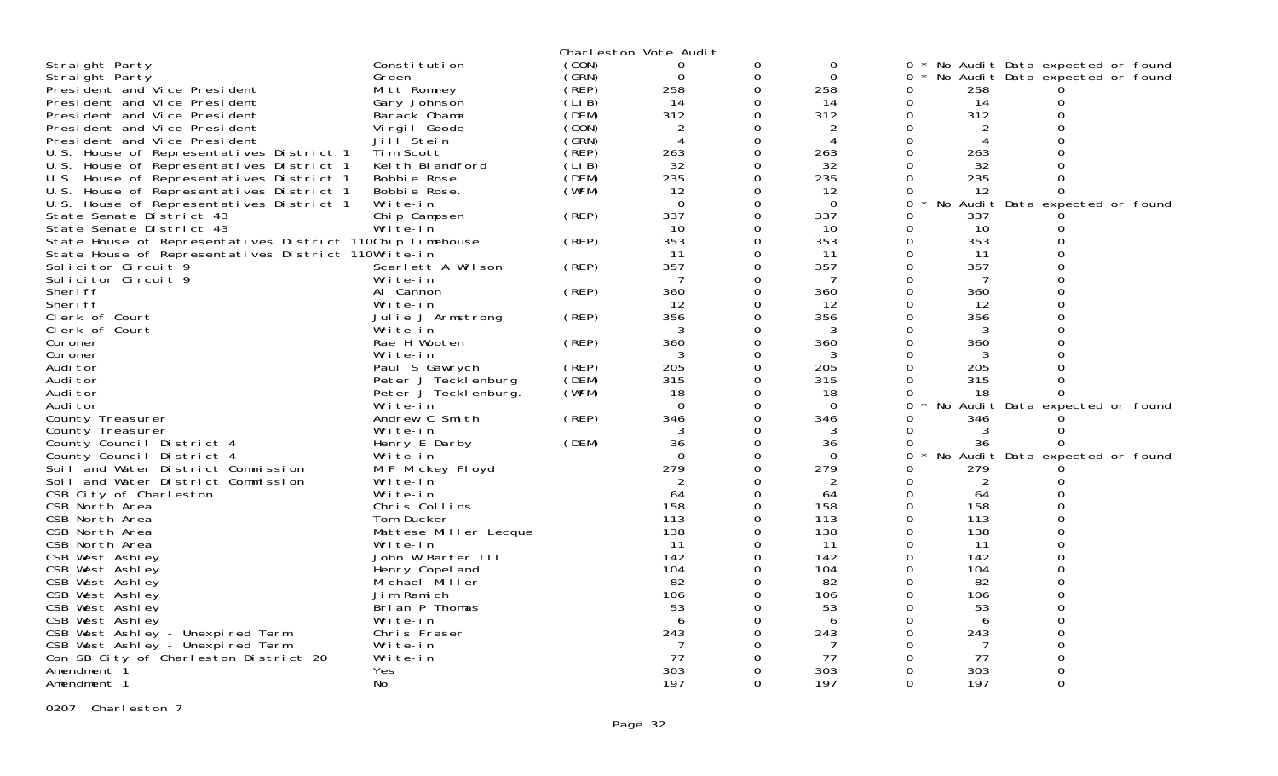|                                                           |                       |       | Charleston Vote Audit |                      |                |               |         |                                 |  |
|-----------------------------------------------------------|-----------------------|-------|-----------------------|----------------------|----------------|---------------|---------|---------------------------------|--|
| Straight Party                                            | Constitution          | (CON) | $\Omega$              | 0                    | $\Omega$       | ∩ *           |         | No Audit Data expected or found |  |
| Straight Party                                            | Green                 | (GRN) | 0                     | $\mathbf 0$          | $\mathbf 0$    | $\Omega$      |         | No Audit Data expected or found |  |
| President and Vice President                              | Mitt Romney           | (REP) | 258                   | $\Omega$             | 258            | 0             | 258     |                                 |  |
| President and Vice President                              | Gary Johnson          | (LIB) | 14                    | 0                    | 14             | 0             | 14      | 0                               |  |
| President and Vice President                              | Barack Obama          | (DEM) | 312                   | $\Omega$             | 312            | 0             | 312     | $\Omega$                        |  |
| President and Vice President                              | Virgil Goode          | (CON) | $\overline{c}$        | $\Omega$             | 2              | 0             | 2       | $\Omega$                        |  |
| President and Vice President                              | Jill <sup>Stein</sup> | (GRN) | $\overline{4}$        | $\Omega$             | $\overline{4}$ | $\Omega$      | 4       |                                 |  |
| U.S. House of Representatives District 1                  | Tim Scott             | (REP) | 263                   | 0                    | 263            | 0             | 263     |                                 |  |
| U.S. House of Representatives District 1                  | Keith Blandford       | (LIB) | 32                    | $\Omega$             | 32             | 0             | 32      |                                 |  |
| U.S. House of Representatives District 1                  | Bobbie Rose           | (DEM) | 235                   | $\Omega$             | 235            | $\Omega$      | 235     |                                 |  |
| U.S. House of Representatives District 1                  | Bobbie Rose.          | (WFM) | 12                    | $\Omega$             | 12             | 0             | -12     | 0                               |  |
| U.S. House of Representatives District 1                  | Write-in              |       | $\Omega$              | $\Omega$             | $\Omega$       | $\Omega$      | No      | Audit Data expected or found    |  |
| State Senate District 43                                  | Chip Campsen          | (REP) | 337                   | $\Omega$             | 337            | 0             | 337     |                                 |  |
| State Senate District 43                                  | Write-in              |       | 10                    | $\Omega$             | 10             | $\Omega$      | 10      | 0                               |  |
| State House of Representatives District 110Chip Limehouse |                       | (REP) | 353                   | $\mathbf 0$          | 353            | 0             | 353     | 0                               |  |
| State House of Representatives District 110Write-in       |                       |       | -11                   | $\Omega$             | -11            | 0             | -11     | $\Omega$                        |  |
| Solicitor Circuit 9                                       | Scarlett A Wilson     | (REP) | 357                   | 0                    | 357            | 0             | 357     | $\Omega$                        |  |
| Solicitor Circuit 9                                       | Write-in              |       | 7                     | $\Omega$             | 7              | 0             | 7       | $\Omega$                        |  |
| Sheri ff                                                  | Al Cannon             | (REP) | 360                   | 0                    | 360            | 0             | 360     | $\Omega$                        |  |
| Sheri ff                                                  | Write-in              |       | 12                    | $\Omega$             | -12            | 0             | 12      | $\Omega$                        |  |
| Clerk of Court                                            | Julie J Armstrong     | (REP) | 356                   | $\Omega$             | 356            | 0             | 356     |                                 |  |
| Clerk of Court                                            | Write-in              |       | 3                     | $\Omega$             | 3              | 0             | 3       |                                 |  |
| Coroner                                                   | Rae H Wooten          | (REP) | 360                   | $\Omega$             | 360            | $\Omega$      | 360     |                                 |  |
| Coroner                                                   | Write-in              |       | 3                     | $\Omega$             | 3              | 0             | 3       |                                 |  |
| Audi tor                                                  | Paul S Gawrych        | (REP) | 205                   | 0                    | 205            |               | 205     |                                 |  |
| Audi tor                                                  | Peter J Tecklenburg   | (DEM) | 315                   | 0                    | 315            | 0             | 315     | $\Omega$                        |  |
| Audi tor                                                  | Peter J Tecklenburg.  | (WFM) | 18                    | $\Omega$             | -18            | 0             | 18      | 0                               |  |
| Audi tor                                                  | Write-in              |       | $\Omega$              | $\Omega$             | $\Omega$       | 0             |         | No Audit Data expected or found |  |
| County Treasurer                                          | Andrew C Smith        | (REP) | 346                   | $\Omega$             | 346            | 0             | 346     |                                 |  |
| County Treasurer                                          | Write-in              |       | 3                     | 0                    | 3              | 0             | 3       | 0                               |  |
| County Council District 4                                 | Henry E Darby         | (DEM) | 36                    | $\Omega$             | 36             | 0             | 36      | 0                               |  |
| County Council District 4                                 | Write-in              |       | $\Omega$              | 0                    | $\Omega$       | $\Omega$      |         | No Audit Data expected or found |  |
| Soil and Water District Commission                        | M F Mickey Floyd      |       | 279                   | $\Omega$             | 279            | 0             | 279     |                                 |  |
| Soil and Water District Commission                        | Write-in              |       | 2                     | 0                    | 2              | 0             | 2       | $\Omega$                        |  |
| CSB City of Charleston                                    | Write-in              |       | 64                    | $\Omega$             | 64             | 0             | 64      |                                 |  |
| CSB North Area                                            | Chris Collins         |       | 158                   | $\Omega$             | 158            | 0             | 158     |                                 |  |
| CSB North Area                                            | Tom Ducker            |       | 113                   | $\Omega$             | 113            | 0             | 113     | $\Omega$                        |  |
| CSB North Area                                            | Mattese Miller Lecque |       | 138                   | $\Omega$             | 138            | $\Omega$      | 138     |                                 |  |
| CSB North Area                                            | Write-in              |       | $\overline{11}$       | $\Omega$             | 11             | 0             | -11     | $\Omega$                        |  |
| CSB West Ashley                                           | John W Barter III     |       | 142                   | $\Omega$             | 142            | $\Omega$      | 142     | $\Omega$                        |  |
| CSB West Ashley                                           | Henry Copel and       |       | 104                   | $\Omega$<br>$\Omega$ | 104            | $\Omega$      | 104     | $\Omega$<br>$\Omega$            |  |
| CSB West Ashley                                           | Michael Miller        |       | 82                    |                      | 82             | $\Omega$      | 82      |                                 |  |
| CSB West Ashley                                           | Jim Ramich            |       | 106                   | 0                    | 106            | 0             | 106     | 0                               |  |
| CSB West Ashley                                           | Brian P Thomas        |       | 53                    | $\Omega$             | 53             | 0             | 53      | $\Omega$                        |  |
| CSB West Ashley                                           | Write-in              |       | 6                     | $\Omega$             | 6              | 0             | 6       | $\Omega$<br>$\Omega$            |  |
| CSB West Ashley - Unexpired Term                          | Chris Fraser          |       | 243                   | $\Omega$             | 243            | 0             | 243     |                                 |  |
| CSB West Ashley - Unexpired Term                          | Write-in              |       | 7<br>77               | 0                    | 7              | 0             | 7<br>77 | 0                               |  |
| Con SB City of Charleston District 20                     | Write-in              |       | 303                   | 0<br>0               | 77             | 0             | 303     |                                 |  |
| Amendment 1                                               | Yes                   |       | 197                   | $\Omega$             | 303<br>197     | 0<br>$\Omega$ | 197     | $\Omega$                        |  |
| Amendment 1                                               | No                    |       |                       |                      |                |               |         |                                 |  |

0207 Charleston 7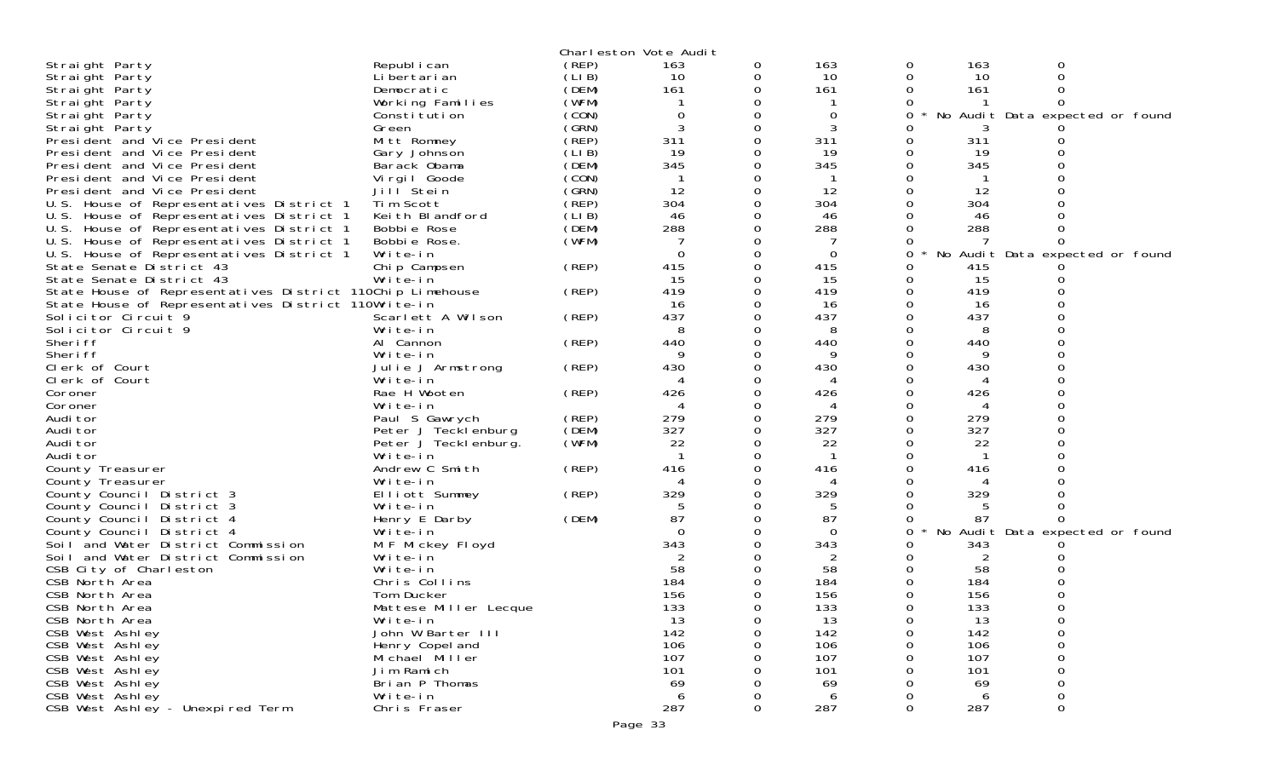|                                                           |                       |        | Charleston Vote Audit |          |          |          |     |                                 |  |
|-----------------------------------------------------------|-----------------------|--------|-----------------------|----------|----------|----------|-----|---------------------------------|--|
| Straight Party                                            | Republ i can          | (REP)  | 163                   | 0        | 163      | 0        | 163 | 0                               |  |
| Straight Party                                            | Li bertari an         | (LIB)  | 10                    | 0        | 10       | 0        | 10  | 0                               |  |
| Straight Party                                            | Democratic            | (DEM)  | 161                   | 0        | 161      | 0        | 161 |                                 |  |
| Straight Party                                            | Working Families      | (WFM)  |                       |          |          |          |     |                                 |  |
| Straight Party                                            | Constitution          | (CON)  | 0                     |          | 0        | 0        |     | No Audit Data expected or found |  |
| Straight Party                                            | Green                 | (GRN)  | 3                     |          | 3        |          |     |                                 |  |
| President and Vice President                              | Mitt Romney           | (REP)  | 311                   |          | 311      | 0        | 311 |                                 |  |
| President and Vice President                              | Gary Johnson          | (LIB)  | 19                    |          | 19       | 0        | 19  |                                 |  |
| President and Vice President                              | Barack Obama          | (DEM)  | 345                   |          | 345      |          | 345 |                                 |  |
| President and Vice President                              | Virgil Goode          | (CON)  |                       |          |          |          |     |                                 |  |
| President and Vice President                              | Jill Stein            | (GRN)  | 12                    |          | 12       |          | 12  |                                 |  |
| U.S. House of Representatives District 1                  | Tim Scott             | (REP)  | 304                   |          | 304      |          | 304 |                                 |  |
| U.S. House of Representatives District 1                  | Keith Blandford       | (LI B) | 46                    |          | 46       |          | 46  |                                 |  |
| U.S. House of Representatives District 1                  | Bobbie Rose           | (DEM)  | 288                   |          | 288      |          | 288 |                                 |  |
| U.S. House of Representatives District 1                  | Bobbie Rose.          | (WFM)  |                       |          |          |          |     |                                 |  |
|                                                           | Write-in              |        | $\Omega$              | 0        | $\Omega$ | 0        |     |                                 |  |
| U.S. House of Representatives District 1                  |                       |        | 415                   |          |          |          |     | No Audit Data expected or found |  |
| State Senate District 43                                  | Chip Campsen          | (REP)  |                       |          | 415      | 0        | 415 |                                 |  |
| State Senate District 43                                  | Write-in              |        | 15                    | 0        | -15      | 0        | 15  |                                 |  |
| State House of Representatives District 110Chip Limehouse |                       | (REP)  | 419                   |          | 419      | 0        | 419 |                                 |  |
| State House of Representatives District 110Write-in       |                       |        | -16                   |          | 16       |          | 16  |                                 |  |
| Solicitor Circuit 9                                       | Scarlett A Wilson     | (REP)  | 437                   |          | 437      |          | 437 |                                 |  |
| Solicitor Circuit 9                                       | Write-in              |        | 8                     |          | 8        |          | 8   |                                 |  |
| Sheri ff                                                  | Al Cannon             | (REP)  | 440                   |          | 440      |          | 440 |                                 |  |
| Sheri ff                                                  | Write-in              |        | 9                     | 0        | 9        |          | 9   |                                 |  |
| Clerk of Court                                            | Julie J Armstrong     | (REP)  | 430                   |          | 430      |          | 430 |                                 |  |
| Clerk of Court                                            | Write-in              |        | 4                     |          | 4        |          | 4   |                                 |  |
| Coroner                                                   | Rae H Wooten          | (REP)  | 426                   | $\Omega$ | 426      | 0        | 426 |                                 |  |
| Coroner                                                   | Write-in              |        | 4                     |          | 4        |          | 4   |                                 |  |
| Audi tor                                                  | Paul S Gawrych        | (REP)  | 279                   |          | 279      | 0        | 279 |                                 |  |
| Audi tor                                                  | Peter J Tecklenburg   | (DEM)  | 327                   | 0        | 327      | Ω        | 327 |                                 |  |
| Audi tor                                                  | Peter J Tecklenburg.  | (WFM)  | 22                    | 0        | 22       |          | 22  |                                 |  |
| Audi tor                                                  | Write-in              |        |                       |          |          |          |     |                                 |  |
| County Treasurer                                          | Andrew C Smith        | (REP)  | 416                   | $\Omega$ | 416      | $\Omega$ | 416 |                                 |  |
| County Treasurer                                          | Write-in              |        | Δ                     |          | 4        |          | 4   |                                 |  |
| County Council District 3                                 | Elliott Summey        | (REP)  | 329                   |          | 329      |          | 329 |                                 |  |
| County Council District 3                                 | Write-in              |        |                       |          |          |          |     |                                 |  |
| County Council District 4                                 | Henry E Darby         | (DEM)  | 87                    |          | 87       |          | 87  |                                 |  |
| County Council District 4                                 | Write-in              |        | $\Omega$              |          | 0        | 0        |     | No Audit Data expected or found |  |
| Soil and Water District Commission                        | M F Mickey Floyd      |        | 343                   |          | 343      |          | 343 |                                 |  |
| Soil and Water District Commission                        | Write-in              |        | 2                     |          | 2        | 0        | 2   |                                 |  |
| CSB City of Charleston                                    | Write-in              |        | 58                    |          | 58       |          | 58  |                                 |  |
| CSB North Area                                            | Chris Collins         |        | 184                   |          | 184      |          | 184 |                                 |  |
| CSB North Area                                            | Tom Ducker            |        | 156                   |          | 156      |          | 156 |                                 |  |
| CSB North Area                                            | Mattese Miller Lecque |        | 133                   | 0        | 133      | 0        | 133 |                                 |  |
| CSB North Area                                            | Write-in              |        | 13                    | 0        | 13       | 0        | 13  |                                 |  |
| CSB West Ashley                                           | John W Barter III     |        | 142                   | 0        | 142      | 0        | 142 | 0                               |  |
| CSB West Ashley                                           | Henry Copel and       |        | 106                   | 0        | 106      | Ω        | 106 | 0                               |  |
| CSB West Ashley                                           | Michael Miller        |        | 107                   |          | 107      |          | 107 | 0                               |  |
| CSB West Ashley                                           | Jim Ramich            |        | 101                   |          | 101      |          | 101 | 0                               |  |
| CSB West Ashley                                           | Brian P Thomas        |        | 69                    |          | 69       |          | 69  | 0                               |  |
| CSB West Ashley                                           | Write-in              |        | 6                     |          | 6        |          | 6   | 0                               |  |
| CSB West Ashley - Unexpired Term                          | Chris Fraser          |        | 287                   | 0        | 287      | 0        | 287 | $\mathbf 0$                     |  |
|                                                           |                       |        |                       |          |          |          |     |                                 |  |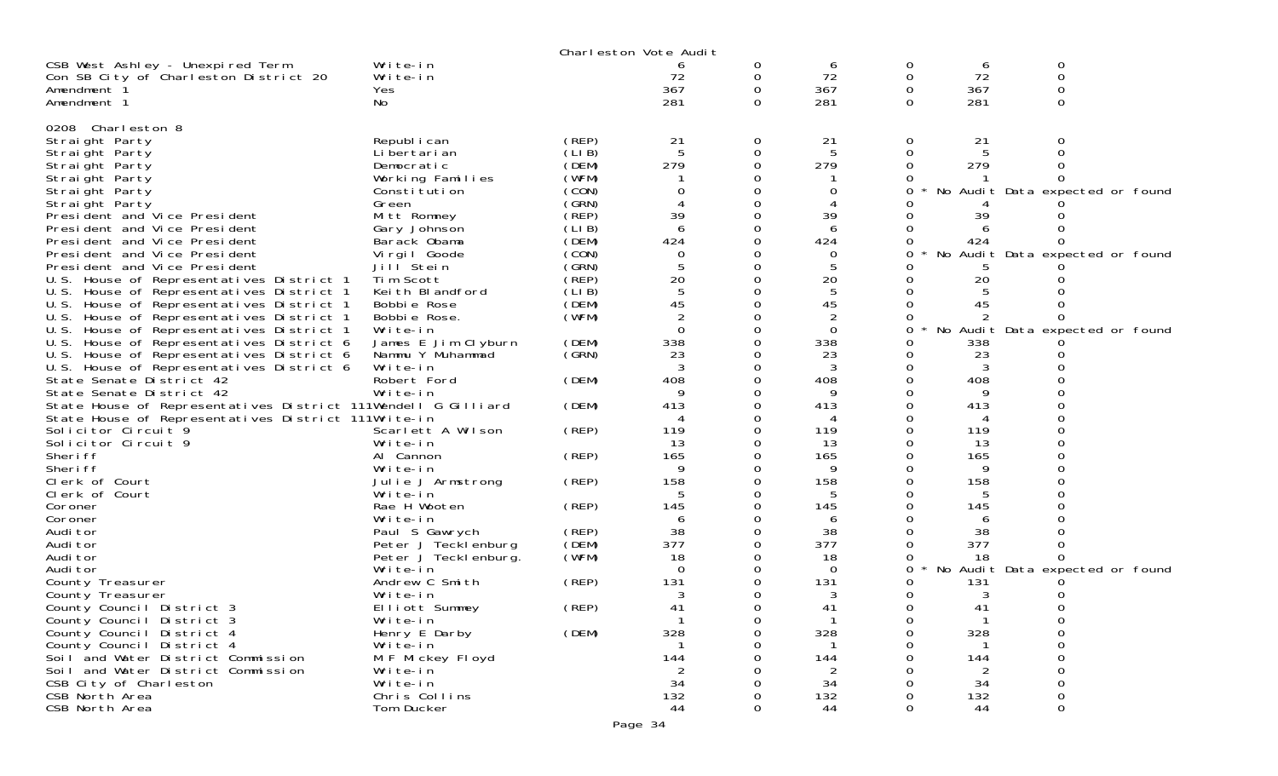|                                                               |                       |        | Charleston Vote Audit |              |          |          |     |                                 |  |
|---------------------------------------------------------------|-----------------------|--------|-----------------------|--------------|----------|----------|-----|---------------------------------|--|
| CSB West Ashley - Unexpired Term                              | Write-in              |        |                       | 0            | 6        | 0        | 6   | 0                               |  |
| Con SB City of Charleston District 20                         | Write-in              |        | 72                    | 0            | 72       | 0        | 72  | $\mathbf 0$                     |  |
| Amendment 1                                                   | Yes                   |        | 367                   | 0            | 367      | 0        | 367 |                                 |  |
| Amendment 1                                                   | No                    |        | 281                   | 0            | 281      | $\Omega$ | 281 | $\Omega$                        |  |
|                                                               |                       |        |                       |              |          |          |     |                                 |  |
| 0208 Charleston 8                                             |                       |        |                       |              |          |          |     |                                 |  |
| Straight Party                                                | Republ i can          | (REP)  | 21                    | 0            | 21       | 0        | 21  | O                               |  |
| Straight Party                                                | Li bertari an         | (LI B) | 5                     | 0            | -5       | 0        | -5  |                                 |  |
| Straight Party                                                | Democratic            | (DEM)  | 279                   | 0            | 279      | $\Omega$ | 279 |                                 |  |
| Straight Party                                                | Working Families      | (WFM)  |                       |              |          |          |     |                                 |  |
| Straight Party                                                | Constitution          | (CON)  | 0                     | 0            | 0        |          |     | No Audit Data expected or found |  |
| Straight Party                                                | Green                 | (GRN)  |                       |              |          |          |     |                                 |  |
| President and Vice President                                  | Mitt Romney           | (REP)  | 39                    | O            | 39       |          | 39  |                                 |  |
| President and Vice President                                  | Gary Johnson          | (LIB)  | 6                     | 0            | 6        | 0        |     |                                 |  |
| President and Vice President                                  | Barack Obama          | (DEM)  | 424                   | $\Omega$     | 424      | 0        | 424 |                                 |  |
| President and Vice President                                  | Vi rgi I Goode        | (CON)  | $\mathbf 0$           | O            | 0        | Ω        |     | No Audit Data expected or found |  |
| President and Vice President                                  | Jill <sup>Stein</sup> | (GRN)  | 5                     | 0            | 5        |          |     |                                 |  |
| U.S. House of Representatives District 1                      | Tim Scott             | (REP)  | 20                    | O            | 20       |          | 20  |                                 |  |
| U.S. House of Representatives District 1                      | Keith Blandford       | (LIB)  | 5                     | $\Omega$     | 5        |          |     |                                 |  |
| U.S. House of Representatives District 1                      | Bobbie Rose           | (DEM)  | 45                    | 0            | 45       | 0        | 45  |                                 |  |
| U.S. House of Representatives District 1                      | Bobbie Rose.          | (WFM)  |                       | 0            |          | 0        |     |                                 |  |
| U.S. House of Representatives District 1                      | Write-in              |        | $\overline{0}$        | 0            | $\Omega$ | 0        |     | No Audit Data expected or found |  |
| U.S. House of Representatives District 6                      | James E Jim Clyburn   | (DEM)  | 338                   | 0            | 338      | O        | 338 |                                 |  |
| U.S. House of Representatives District 6                      | Nammu Y Muhammad      | (GRN)  | 23                    |              | 23       | 0        | 23  |                                 |  |
| U.S. House of Representatives District 6                      | Write-in              |        | 3                     | 0            | 3        | 0        | 3   |                                 |  |
| State Senate District 42                                      | Robert Ford           | (DEM)  | 408                   | 0            | 408      |          | 408 |                                 |  |
| State Senate District 42                                      | Write-in              |        |                       |              | 9        |          |     |                                 |  |
| State House of Representatives District 111Wendell G Gilliard |                       | (DEM)  | 413                   | 0            | 413      |          | 413 |                                 |  |
| State House of Representatives District 111Write-in           |                       |        |                       |              | 4        |          |     |                                 |  |
| Solicitor Circuit 9                                           | Scarlett A Wilson     | (REP)  | 119                   | 0            | 119      |          | 119 |                                 |  |
| Solicitor Circuit 9                                           | Write-in              |        | 13                    | 0            | 13       | 0        | 13  |                                 |  |
| Sheri ff                                                      | Al Cannon             | (REP)  | 165                   |              | 165      |          | 165 |                                 |  |
| Sheri ff                                                      | Write-in              |        | 9                     | 0            | 9        |          |     |                                 |  |
| Clerk of Court                                                | Julie J Armstrong     | (REP)  | 158                   | 0            | 158      | 0        | 158 |                                 |  |
| Clerk of Court                                                | Write-in              |        | 5                     |              | 5        |          | 5   |                                 |  |
| Coroner                                                       | Rae H Wooten          | (REP)  | 145                   | 0            | 145      | 0        | 145 |                                 |  |
| Coroner                                                       | Write-in              |        | 6                     | 0            | 6        |          | 6   |                                 |  |
| Audi tor                                                      | Paul S Gawrych        | (REP)  | 38                    |              | 38       |          | 38  |                                 |  |
| Audi tor                                                      | Peter J Tecklenburg   | (DEM)  | 377                   | 0            | 377      |          | 377 |                                 |  |
| Audi tor                                                      | Peter J Teckl enburg. | (WFM)  | 18                    | 0            | 18       | O        | 18  |                                 |  |
| Audi tor                                                      | Write-in              |        | $\Omega$              | 0            | 0        | 0        |     | No Audit Data expected or found |  |
| County Treasurer                                              | Andrew C Smith        | (REP)  | 131                   | 0            | 131      |          | 131 |                                 |  |
| County Treasurer                                              | Write-in              |        | 3                     | 0            | 3        | 0        | 3   |                                 |  |
| County Council District 3                                     | Elliott Summey        | (REP)  | 41                    | $\Omega$     | 41       | 0        | 41  |                                 |  |
| County Council District 3                                     | Write-in              |        |                       | 0            |          | 0        |     | 0                               |  |
| County Council District 4                                     | Henry E Darby         | (DEM)  | 328                   | O            | 328      | 0        | 328 | 0                               |  |
| County Council District 4                                     | Write-in              |        |                       |              |          |          |     |                                 |  |
| Soil and Water District Commission                            | M F Mickey Floyd      |        | 144                   | O            | 144      |          | 144 |                                 |  |
| Soil and Water District Commission                            | Write-in              |        | 2                     |              | 2        |          | 2   |                                 |  |
| CSB City of Charleston                                        | Write-in              |        | 34                    |              | 34       |          | 34  |                                 |  |
| CSB North Area                                                | Chris Collins         |        | 132                   | 0            | 132      | 0        | 132 | 0                               |  |
| CSB North Area                                                | Tom Ducker            |        | 44                    | $\mathbf{O}$ | 44       | $\Omega$ | 44  | 0                               |  |
|                                                               |                       |        |                       |              |          |          |     |                                 |  |
|                                                               |                       |        | Page 34               |              |          |          |     |                                 |  |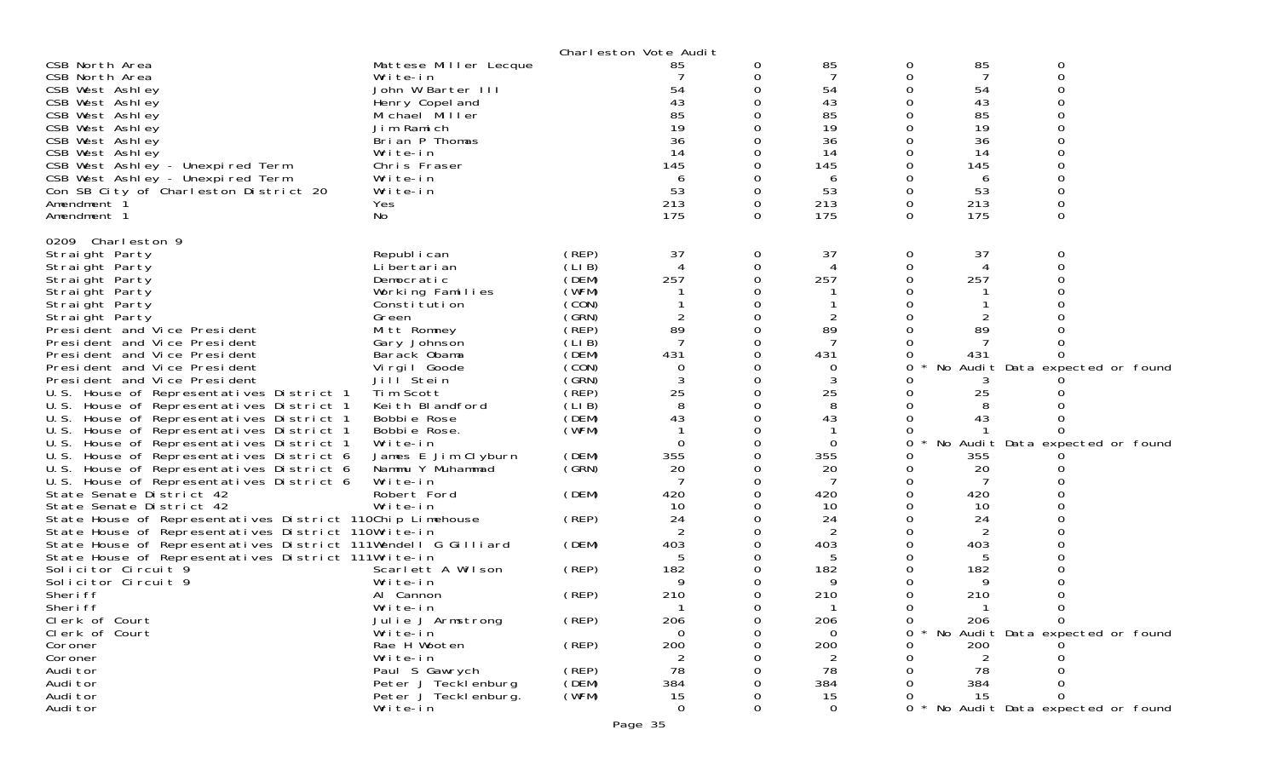|                                                                                      |                                         |                | Charleston Vote Audit |   |             |              |                |                                 |  |
|--------------------------------------------------------------------------------------|-----------------------------------------|----------------|-----------------------|---|-------------|--------------|----------------|---------------------------------|--|
| CSB North Area                                                                       | Mattese Miller Lecque                   |                | 85                    | 0 | 85          | 0            | 85             | 0                               |  |
| CSB North Area                                                                       | Write-in                                |                |                       |   | 7           | 0            | 7              | 0                               |  |
| CSB West Ashley                                                                      | John W Barter III                       |                | 54                    |   | 54          | 0            | 54             | 0                               |  |
| CSB West Ashley                                                                      | Henry Copel and                         |                | 43                    |   | 43          | 0            | 43             |                                 |  |
| CSB West Ashley                                                                      | Michael Miller                          |                | 85                    |   | 85          |              | 85             |                                 |  |
| CSB West Ashley                                                                      | Jim Ramich                              |                | 19                    |   | 19          |              | 19             |                                 |  |
| CSB West Ashley                                                                      | Brian P Thomas                          |                | 36                    |   | 36          | 0            | 36             |                                 |  |
| CSB West Ashley                                                                      | Write-in                                |                | 14                    |   | 14          | 0            | 14             |                                 |  |
| CSB West Ashley - Unexpired Term                                                     | Chris Fraser                            |                | 145                   |   | 145         |              | 145            |                                 |  |
| CSB West Ashley - Unexpired Term                                                     | Write-in                                |                | 6                     |   | 6           | 0            | 6              |                                 |  |
| Con SB City of Charleston District 20                                                | Write-in                                |                | 53                    |   | 53          | 0            | 53             |                                 |  |
| Amendment 1<br>Amendment 1                                                           | Yes                                     |                | 213<br>175            | 0 | 213<br>175  | 0<br>0       | 213<br>175     | 0                               |  |
|                                                                                      | No                                      |                |                       |   |             |              |                |                                 |  |
| 0209 Charleston 9                                                                    |                                         |                |                       |   |             |              |                |                                 |  |
| Straight Party                                                                       | Republ i can                            | (REP)          | 37                    | 0 | 37          | $\mathbf{0}$ | 37             | 0                               |  |
| Straight Party                                                                       | Li bertari an                           | (LIB)          | 4                     | 0 | 4           | 0            | 4              | 0                               |  |
| Straight Party                                                                       | Democratic                              | (DEM)          | 257                   |   | 257         | 0            | 257            |                                 |  |
| Straight Party                                                                       | Working Families                        | (WFM)          |                       |   |             |              |                |                                 |  |
| Straight Party                                                                       | Consti tuti on                          | (CON)          |                       |   |             |              |                |                                 |  |
| Straight Party                                                                       | Green                                   | (GRN)          |                       |   | 2           |              |                |                                 |  |
| President and Vice President                                                         | Mitt Romney                             | (̀REP)         | 89                    |   | 89          |              | 89             |                                 |  |
| President and Vice President                                                         | Gary Johnson                            | (LIB)          |                       |   |             |              |                |                                 |  |
| President and Vice President                                                         | Barack Obama                            | (DEM)          | 431                   |   | 431         | 0            | 431            | Ω                               |  |
| President and Vice President                                                         | Virgil Goode                            | (CON)          | $\Omega$              |   | 0           | 0            |                | No Audit Data expected or found |  |
| President and Vice President                                                         | Jill Stein                              | (GRN)          |                       |   | 3           |              | 3              |                                 |  |
| U.S. House of Representatives District 1                                             | Tim Scott                               | (REP)          | 25                    |   | 25          |              | 25             |                                 |  |
| U.S. House of Representatives District 1                                             | Keith Blandford                         | (LIB)          | 8                     |   | 8           |              | 8              |                                 |  |
| U.S. House of Representatives District 1                                             | Bobbie Rose                             | (DEM)          | 43                    |   | 43          |              | 43             |                                 |  |
| U.S. House of Representatives District 1                                             | Bobbie Rose.                            | (WFM)          | $\Omega$              |   | $\Omega$    |              |                |                                 |  |
| U.S. House of Representatives District 1                                             | Write-in                                |                |                       |   |             | 0            |                | No Audit Data expected or found |  |
| U.S. House of Representatives District 6                                             | James E Jim Clyburn<br>Nammu Y Muhammad | (DEM)<br>(GRN) | 355<br>20             |   | 355<br>20   | 0<br>0       | 355<br>20      |                                 |  |
| U.S. House of Representatives District 6<br>U.S. House of Representatives District 6 | Write-in                                |                |                       |   | 7           | 0            | 7              |                                 |  |
| State Senate District 42                                                             | Robert Ford                             | (DEM)          | 420                   |   | 420         | 0            | 420            |                                 |  |
| State Senate District 42                                                             | Write-in                                |                | 10                    |   | 10          | $\Omega$     | 10             |                                 |  |
| State House of Representatives District 110Chip Limehouse                            |                                         | (REP)          | 24                    |   | 24          | 0            | 24             |                                 |  |
| State House of Representatives District 110Write-in                                  |                                         |                |                       |   | 2           |              | 2              |                                 |  |
| State House of Representatives District 111Wendell G Gilliard                        |                                         | (DEM)          | 403                   |   | 403         | 0            | 403            |                                 |  |
| State House of Representatives District 111Write-in                                  |                                         |                | 5                     |   | 5           | 0            | 5              |                                 |  |
| Solicitor Circuit 9                                                                  | Scarlett A Wilson                       | (REP)          | 182                   |   | 182         |              | 182            |                                 |  |
| Solicitor Circuit 9                                                                  | Write-in                                |                | 9                     |   | 9           | 0            | 9              |                                 |  |
| Sheri ff                                                                             | Al Cannon                               | (REP)          | 210                   |   | 210         | 0            | 210            |                                 |  |
| Sheri ff                                                                             | Write-in                                |                |                       |   | -1          | 0            |                | 0                               |  |
| Clerk of Court                                                                       | Julie J Armstrong                       | (REP)          | 206                   |   | 206         | 0            | 206            | 0                               |  |
| Clerk of Court                                                                       | Write-in                                |                | $\Omega$              |   | $\Omega$    | 0            |                | No Audit Data expected or found |  |
| Coroner                                                                              | Rae H Wooten                            | (REP)          | 200                   |   | 200         |              | 200            |                                 |  |
| Coroner                                                                              | Write-in                                |                | 2                     |   | 2           |              | $\overline{2}$ |                                 |  |
| Audi tor                                                                             | Paul S Gawrych                          | (REP)          | 78                    |   | 78          |              | 78             |                                 |  |
| Audi tor                                                                             | Peter J Tecklenburg                     | (DEM)          | 384                   |   | 384         |              | 384            |                                 |  |
| Audi tor                                                                             | Peter J Teckl enburg.                   | (WFM)          | 15                    |   | 15          |              | 15             |                                 |  |
| Audi tor                                                                             | Write-in                                |                | $\overline{0}$        |   | $\mathbf 0$ | $\Omega$     |                | No Audit Data expected or found |  |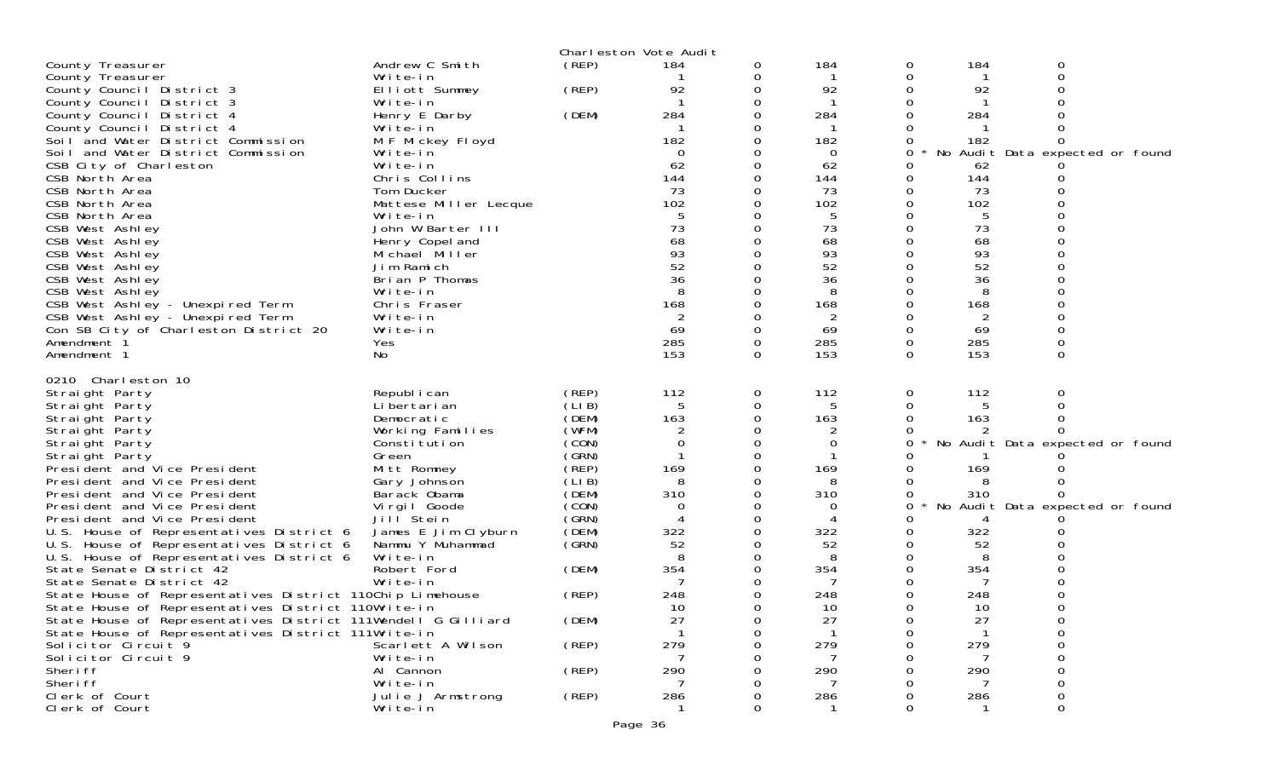|                                                                                                                                                                                                                                                                                                                                                                                                                                                                                                                                                                                                                                                                                                                                                                |                                                                                                                                                                                                                                                                                          |                                                                                                                                                       | Charleston Vote Audit                                                                                                 |                              |                                                                                                      |                                                                              |                                                                                                 |                                                                         |  |
|----------------------------------------------------------------------------------------------------------------------------------------------------------------------------------------------------------------------------------------------------------------------------------------------------------------------------------------------------------------------------------------------------------------------------------------------------------------------------------------------------------------------------------------------------------------------------------------------------------------------------------------------------------------------------------------------------------------------------------------------------------------|------------------------------------------------------------------------------------------------------------------------------------------------------------------------------------------------------------------------------------------------------------------------------------------|-------------------------------------------------------------------------------------------------------------------------------------------------------|-----------------------------------------------------------------------------------------------------------------------|------------------------------|------------------------------------------------------------------------------------------------------|------------------------------------------------------------------------------|-------------------------------------------------------------------------------------------------|-------------------------------------------------------------------------|--|
| County Treasurer                                                                                                                                                                                                                                                                                                                                                                                                                                                                                                                                                                                                                                                                                                                                               | Andrew C Smith                                                                                                                                                                                                                                                                           | (REP)                                                                                                                                                 | 184                                                                                                                   | 0                            | 184                                                                                                  | 0                                                                            | 184                                                                                             | 0                                                                       |  |
| County Treasurer                                                                                                                                                                                                                                                                                                                                                                                                                                                                                                                                                                                                                                                                                                                                               | Write-in                                                                                                                                                                                                                                                                                 |                                                                                                                                                       |                                                                                                                       | 0                            | -1                                                                                                   | 0                                                                            | -1                                                                                              | 0                                                                       |  |
| County Council District 3                                                                                                                                                                                                                                                                                                                                                                                                                                                                                                                                                                                                                                                                                                                                      | Elliott Summey                                                                                                                                                                                                                                                                           | (REP)                                                                                                                                                 | 92                                                                                                                    |                              | 92                                                                                                   | 0                                                                            | 92                                                                                              |                                                                         |  |
| County Council District 3                                                                                                                                                                                                                                                                                                                                                                                                                                                                                                                                                                                                                                                                                                                                      | Write-in                                                                                                                                                                                                                                                                                 |                                                                                                                                                       |                                                                                                                       | O                            | -1                                                                                                   | 0                                                                            | $\mathbf{1}$                                                                                    |                                                                         |  |
| County Council District 4                                                                                                                                                                                                                                                                                                                                                                                                                                                                                                                                                                                                                                                                                                                                      | Henry E Darby                                                                                                                                                                                                                                                                            | (DEM)                                                                                                                                                 | 284                                                                                                                   |                              | 284                                                                                                  |                                                                              | 284                                                                                             |                                                                         |  |
| County Council District 4                                                                                                                                                                                                                                                                                                                                                                                                                                                                                                                                                                                                                                                                                                                                      | Write-in                                                                                                                                                                                                                                                                                 |                                                                                                                                                       |                                                                                                                       |                              |                                                                                                      |                                                                              |                                                                                                 |                                                                         |  |
| Soil and Water District Commission                                                                                                                                                                                                                                                                                                                                                                                                                                                                                                                                                                                                                                                                                                                             | M F Mickey Floyd                                                                                                                                                                                                                                                                         |                                                                                                                                                       | 182                                                                                                                   |                              | 182                                                                                                  | 0                                                                            | 182                                                                                             |                                                                         |  |
| Soil and Water District Commission                                                                                                                                                                                                                                                                                                                                                                                                                                                                                                                                                                                                                                                                                                                             | Write-in                                                                                                                                                                                                                                                                                 |                                                                                                                                                       | 0                                                                                                                     |                              | $\Omega$                                                                                             | 0                                                                            |                                                                                                 | No Audit Data expected or found                                         |  |
| CSB City of Charleston                                                                                                                                                                                                                                                                                                                                                                                                                                                                                                                                                                                                                                                                                                                                         | Write-in                                                                                                                                                                                                                                                                                 |                                                                                                                                                       | 62                                                                                                                    |                              | 62                                                                                                   | O                                                                            | 62                                                                                              |                                                                         |  |
| CSB North Area                                                                                                                                                                                                                                                                                                                                                                                                                                                                                                                                                                                                                                                                                                                                                 | Chris Collins                                                                                                                                                                                                                                                                            |                                                                                                                                                       | 144                                                                                                                   |                              | 144                                                                                                  | 0                                                                            | 144                                                                                             |                                                                         |  |
| CSB North Area                                                                                                                                                                                                                                                                                                                                                                                                                                                                                                                                                                                                                                                                                                                                                 | Tom Ducker                                                                                                                                                                                                                                                                               |                                                                                                                                                       | 73                                                                                                                    |                              | 73                                                                                                   | 0                                                                            | 73                                                                                              |                                                                         |  |
| CSB North Area                                                                                                                                                                                                                                                                                                                                                                                                                                                                                                                                                                                                                                                                                                                                                 | Mattese Miller Lecque                                                                                                                                                                                                                                                                    |                                                                                                                                                       | 102                                                                                                                   |                              | 102                                                                                                  | 0                                                                            | 102                                                                                             |                                                                         |  |
| CSB North Area                                                                                                                                                                                                                                                                                                                                                                                                                                                                                                                                                                                                                                                                                                                                                 | Write-in                                                                                                                                                                                                                                                                                 |                                                                                                                                                       | 5                                                                                                                     |                              | 5                                                                                                    | 0                                                                            | 5                                                                                               |                                                                         |  |
| CSB West Ashley                                                                                                                                                                                                                                                                                                                                                                                                                                                                                                                                                                                                                                                                                                                                                | John W Barter III                                                                                                                                                                                                                                                                        |                                                                                                                                                       | 73                                                                                                                    |                              | 73                                                                                                   | 0                                                                            | 73                                                                                              |                                                                         |  |
| CSB West Ashley                                                                                                                                                                                                                                                                                                                                                                                                                                                                                                                                                                                                                                                                                                                                                | Henry Copel and                                                                                                                                                                                                                                                                          |                                                                                                                                                       | 68                                                                                                                    |                              | 68                                                                                                   | 0                                                                            | 68                                                                                              |                                                                         |  |
| CSB West Ashley                                                                                                                                                                                                                                                                                                                                                                                                                                                                                                                                                                                                                                                                                                                                                | Michael Miller<br>Jim Ramich                                                                                                                                                                                                                                                             |                                                                                                                                                       | 93<br>52                                                                                                              |                              | 93<br>52                                                                                             | 0<br>0                                                                       | 93<br>52                                                                                        |                                                                         |  |
| CSB West Ashley                                                                                                                                                                                                                                                                                                                                                                                                                                                                                                                                                                                                                                                                                                                                                | Brian P Thomas                                                                                                                                                                                                                                                                           |                                                                                                                                                       | 36                                                                                                                    |                              | 36                                                                                                   | 0                                                                            | 36                                                                                              |                                                                         |  |
| CSB West Ashley<br>CSB West Ashley                                                                                                                                                                                                                                                                                                                                                                                                                                                                                                                                                                                                                                                                                                                             | Write-in                                                                                                                                                                                                                                                                                 |                                                                                                                                                       | 8                                                                                                                     |                              | 8                                                                                                    | 0                                                                            | 8                                                                                               |                                                                         |  |
| CSB West Ashley - Unexpired Term                                                                                                                                                                                                                                                                                                                                                                                                                                                                                                                                                                                                                                                                                                                               | Chris Fraser                                                                                                                                                                                                                                                                             |                                                                                                                                                       | 168                                                                                                                   |                              | 168                                                                                                  | 0                                                                            | 168                                                                                             |                                                                         |  |
| CSB West Ashley - Unexpired Term                                                                                                                                                                                                                                                                                                                                                                                                                                                                                                                                                                                                                                                                                                                               | Write-in                                                                                                                                                                                                                                                                                 |                                                                                                                                                       |                                                                                                                       |                              | 2                                                                                                    | 0                                                                            |                                                                                                 |                                                                         |  |
| Con SB City of Charleston District 20                                                                                                                                                                                                                                                                                                                                                                                                                                                                                                                                                                                                                                                                                                                          | Write-in                                                                                                                                                                                                                                                                                 |                                                                                                                                                       | 69                                                                                                                    | 0                            | 69                                                                                                   | 0                                                                            | 69                                                                                              |                                                                         |  |
| Amendment 1                                                                                                                                                                                                                                                                                                                                                                                                                                                                                                                                                                                                                                                                                                                                                    | Yes                                                                                                                                                                                                                                                                                      |                                                                                                                                                       | 285                                                                                                                   |                              | 285                                                                                                  | 0                                                                            | 285                                                                                             |                                                                         |  |
| Amendment 1                                                                                                                                                                                                                                                                                                                                                                                                                                                                                                                                                                                                                                                                                                                                                    | No                                                                                                                                                                                                                                                                                       |                                                                                                                                                       | 153                                                                                                                   | $\Omega$                     | 153                                                                                                  | $\Omega$                                                                     | 153                                                                                             | $\Omega$                                                                |  |
| Straight Party<br>Straight Party<br>Straight Party<br>Straight Party<br>Straight Party<br>Straight Party<br>President and Vice President<br>President and Vice President<br>President and Vice President<br>President and Vice President<br>President and Vice President<br>U.S. House of Representatives District 6<br>U.S. House of Representatives District 6<br>U.S. House of Representatives District 6<br>State Senate District 42<br>State Senate District 42<br>State House of Representatives District 110Chip Limehouse<br>State House of Representatives District 110Write-in<br>State House of Representatives District 111Wendell G Gilliard<br>State House of Representatives District 111Write-in<br>Solicitor Circuit 9<br>Solicitor Circuit 9 | Republ i can<br>Li bertari an<br>Democratic<br>Working Families<br>Constitution<br>Green<br>Mitt Romney<br>Gary Johnson<br>Barack Obama<br>Virgil Goode<br>Jill Stein<br>James E Jim Clyburn<br>Nammu Y Muhammad<br>Write-in<br>Robert Ford<br>Write-in<br>Scarlett A Wilson<br>Write-in | (REP)<br>(LIB)<br>(DEM)<br>(WFM)<br>(CON)<br>(GRN)<br>(REP)<br>(LIB)<br>(DEM)<br>(CON)<br>(GRN)<br>(DEM)<br>(GRN)<br>(DEM)<br>(REP)<br>(DEM)<br>(REP) | 112<br>5<br>163<br>$\mathbf 0$<br>169<br>8<br>310<br>$\Omega$<br>4<br>322<br>52<br>8<br>354<br>248<br>10<br>27<br>279 | 0<br>0<br>Ω<br>$\Omega$<br>Ω | 112<br>5<br>163<br>0<br>169<br>8<br>310<br>0<br>322<br>52<br>8<br>354<br>7<br>248<br>10<br>27<br>279 | 0<br>0<br>0<br>0<br>0<br>0<br>0<br>0<br>0<br>0<br>0<br>0<br>O<br>0<br>0<br>0 | 112<br>5<br>163<br>169<br>8<br>310<br>4<br>322<br>52<br>8<br>354<br>7<br>248<br>10<br>27<br>279 | 0<br>No Audit Data expected or found<br>No Audit Data expected or found |  |
| Sheri ff                                                                                                                                                                                                                                                                                                                                                                                                                                                                                                                                                                                                                                                                                                                                                       | Al Cannon                                                                                                                                                                                                                                                                                | (REP)                                                                                                                                                 | 290                                                                                                                   |                              | 290                                                                                                  |                                                                              | 290                                                                                             |                                                                         |  |
| Sheri ff                                                                                                                                                                                                                                                                                                                                                                                                                                                                                                                                                                                                                                                                                                                                                       | Write-in                                                                                                                                                                                                                                                                                 |                                                                                                                                                       |                                                                                                                       |                              |                                                                                                      |                                                                              |                                                                                                 |                                                                         |  |
| Clerk of Court<br>Clerk of Court                                                                                                                                                                                                                                                                                                                                                                                                                                                                                                                                                                                                                                                                                                                               | Julie J Armstrong                                                                                                                                                                                                                                                                        | (REP)                                                                                                                                                 | 286                                                                                                                   |                              | 286                                                                                                  |                                                                              | 286                                                                                             |                                                                         |  |
|                                                                                                                                                                                                                                                                                                                                                                                                                                                                                                                                                                                                                                                                                                                                                                | Write-in                                                                                                                                                                                                                                                                                 |                                                                                                                                                       |                                                                                                                       |                              |                                                                                                      |                                                                              |                                                                                                 |                                                                         |  |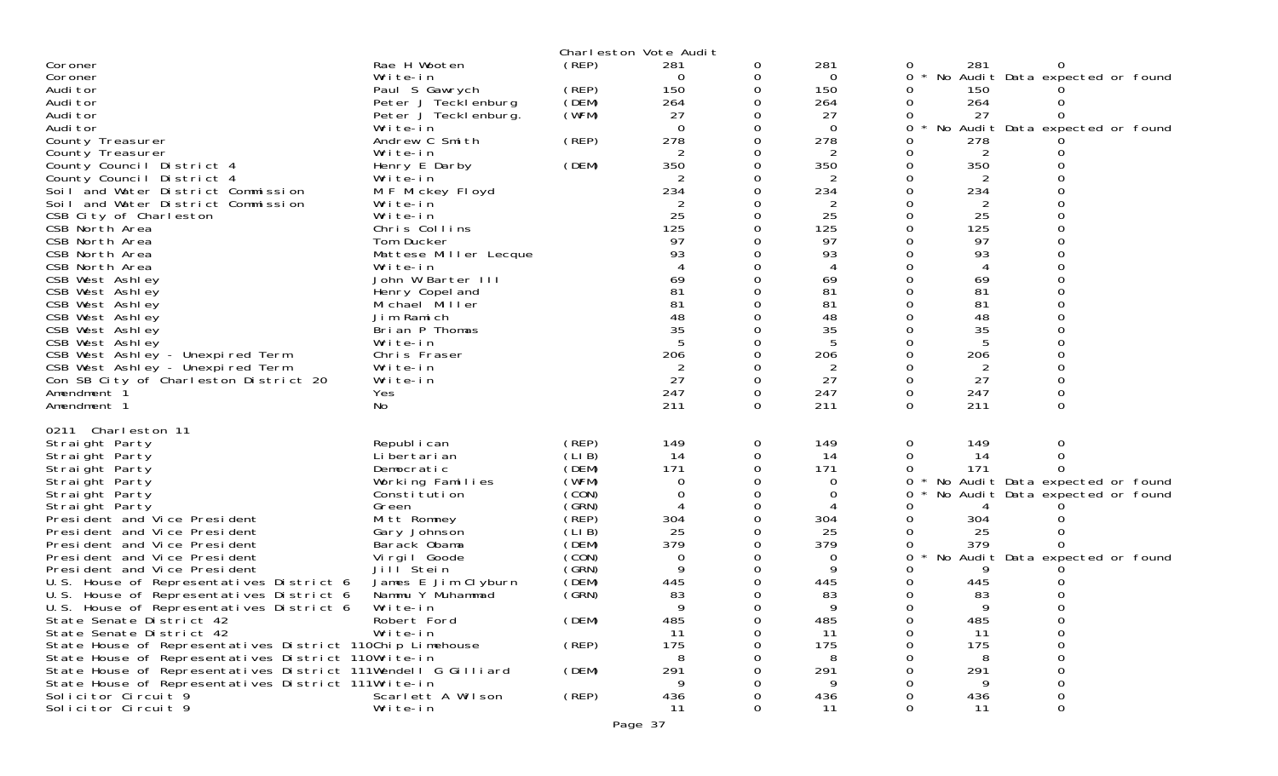|                                                                                                                      |                              |        | Charleston Vote Audit |               |                |          |          |                                 |  |
|----------------------------------------------------------------------------------------------------------------------|------------------------------|--------|-----------------------|---------------|----------------|----------|----------|---------------------------------|--|
| Coroner                                                                                                              | Rae H Wooten                 | (REP)  | 281                   | 0             | 281            | 0        | 281      |                                 |  |
| Coroner                                                                                                              | Write-in                     |        | $\Omega$              | 0             | $\Omega$       | 0        |          | No Audit Data expected or found |  |
| Audi tor                                                                                                             | Paul S Gawrych               | (REP)  | 150                   | 0             | 150            | 0        | 150      |                                 |  |
| Audi tor                                                                                                             | Peter J Tecklenburg          | (DEM)  | 264                   | 0             | 264            | 0        | 264      |                                 |  |
| Audi tor                                                                                                             | Peter J Tecklenburg.         | (WFM)  | 27                    |               | 27             | 0        | 27       |                                 |  |
| Audi tor                                                                                                             | Write-in                     |        | $\Omega$              | 0             | $\Omega$       | 0        |          | No Audit Data expected or found |  |
| County Treasurer                                                                                                     | Andrew C Smith               | (REP)  | 278                   | 0             | 278            |          | 278      |                                 |  |
| County Treasurer                                                                                                     | Write-in                     |        | 2                     | 0             | 2              | 0        | 2        |                                 |  |
| County Council District 4                                                                                            | Henry E Darby                | (DEM)  | 350                   | 0             | 350            | 0        | 350      |                                 |  |
| County Council District 4<br>Soil and Water District Commission                                                      | Write-in                     |        | 234                   | 0<br>$\Omega$ | 234            |          | 234      |                                 |  |
| Soil and Water District Commission                                                                                   | M F Mickey Floyd<br>Write-in |        | 2                     | 0             | $\overline{2}$ |          | 2        |                                 |  |
| CSB City of Charleston                                                                                               | Write-in                     |        | 25                    | 0             | 25             |          | 25       |                                 |  |
| CSB North Area                                                                                                       | Chris Collins                |        | 125                   |               | 125            |          | 125      |                                 |  |
| CSB North Area                                                                                                       | Tom Ducker                   |        | 97                    | 0             | 97             |          | 97       |                                 |  |
| CSB North Area                                                                                                       | Mattese Miller Lecque        |        | 93                    |               | 93             |          | 93       |                                 |  |
| CSB North Area                                                                                                       | Write-in                     |        |                       | 0             |                |          |          |                                 |  |
| CSB West Ashley                                                                                                      | John W Barter III            |        | 69                    | 0             | 69             | 0        | 69       |                                 |  |
| CSB West Ashley                                                                                                      | Henry Copel and              |        | 81                    |               | 81             |          | 81       |                                 |  |
| CSB West Ashley                                                                                                      | Michael Miller               |        | 81                    | $\Omega$      | 81             |          | 81       |                                 |  |
| CSB West Ashley                                                                                                      | Jim Ramich                   |        | 48                    | 0             | 48             |          | 48       |                                 |  |
| CSB West Ashley                                                                                                      | Brian P Thomas               |        | 35                    |               | 35             |          | 35       |                                 |  |
| CSB West Ashley                                                                                                      | Write-in                     |        |                       | 0             |                |          |          |                                 |  |
| CSB West Ashley - Unexpired Term                                                                                     | Chris Fraser                 |        | 206                   | 0             | 206            | 0        | 206      |                                 |  |
| CSB West Ashley - Unexpired Term                                                                                     | Write-in                     |        | 2                     |               | 2              |          | 2        |                                 |  |
| Con SB City of Charleston District 20                                                                                | Write-in                     |        | 27                    | 0             | 27             | 0        | 27       |                                 |  |
| Amendment 1                                                                                                          | Yes                          |        | 247                   | 0             | 247            | $\Omega$ | 247      |                                 |  |
| Amendment 1                                                                                                          | No                           |        | 211                   | 0             | 211            | $\Omega$ | 211      | 0                               |  |
| 0211 Charleston 11                                                                                                   |                              |        |                       |               |                |          |          |                                 |  |
| Straight Party                                                                                                       | Republ i can                 | (REP)  | 149                   | 0             | 149            | 0        | 149      | 0                               |  |
| Straight Party                                                                                                       | Li bertari an                | (LIB)  | 14                    | 0             | 14             | 0        | 14       |                                 |  |
| Straight Party                                                                                                       | Democratic                   | (DEM)  | 171                   | 0             | 171            | 0        | 171      |                                 |  |
| Straight Party                                                                                                       | Working Families             | (WFM)  | $\Omega$              | 0             | 0              | 0        |          | No Audit Data expected or found |  |
| Straight Party                                                                                                       | Constitution                 | (CON)  | $\Omega$              | 0             | 0              | 0        |          | No Audit Data expected or found |  |
| Straight Party                                                                                                       | Green                        | (GRN)  | $\overline{4}$        | 0             | 4              |          |          |                                 |  |
| President and Vice President                                                                                         | Mitt Romney                  | (REP)  | 304                   |               | 304            |          | 304      |                                 |  |
| President and Vice President                                                                                         | Gary Johnson                 | (LI B) | 25                    | 0             | 25             |          | 25       |                                 |  |
| President and Vice President                                                                                         | Barack Obama                 | (DEM)  | 379                   | 0             | 379            |          | 379      |                                 |  |
| President and Vice President                                                                                         | Virgil Goode                 | (CON)  | 0                     |               | 0              | 0        |          | No Audit Data expected or found |  |
| President and Vice President                                                                                         | Jill Stein                   | (GRN)  | q                     | 0             | 9              |          |          |                                 |  |
| U.S. House of Representatives District 6                                                                             | James E Jim Clyburn          | (DEM)  | 445                   | 0             | 445            |          | 445      |                                 |  |
| U.S. House of Representatives District 6                                                                             | Nammu Y Muhammad             | (GRN)  | 83                    |               | 83             |          | 83       |                                 |  |
| U.S. House of Representatives District 6                                                                             | Write-in                     |        | $\mathbf Q$           | $\Omega$      | $\mathsf Q$    | $\Omega$ |          |                                 |  |
| State Senate District 42                                                                                             | Robert Ford                  | (DEM)  | 485                   | 0             | 485            | 0        | 485      | Ω                               |  |
| State Senate District 42                                                                                             | Write-in                     |        | 11                    | 0             | 11             | ∩        | 11       | 0                               |  |
| State House of Representatives District 110Chip Limehouse                                                            |                              | (REP)  | 175                   |               | 175            |          | 175      |                                 |  |
| State House of Representatives District 110Write-in<br>State House of Representatives District 111Wendell G Gilliard |                              | (DEM)  | 8<br>291              |               | 8<br>291       |          | 8<br>291 |                                 |  |
| State House of Representatives District 111Write-in                                                                  |                              |        | 9                     |               | 9              |          | 9        |                                 |  |
| Solicitor Circuit 9                                                                                                  | Scarlett A Wilson            | (REP)  | 436                   | 0             | 436            |          | 436      |                                 |  |
| Solicitor Circuit 9                                                                                                  | Write-in                     |        | 11                    | 0             | 11             | $\Omega$ | 11       | 0                               |  |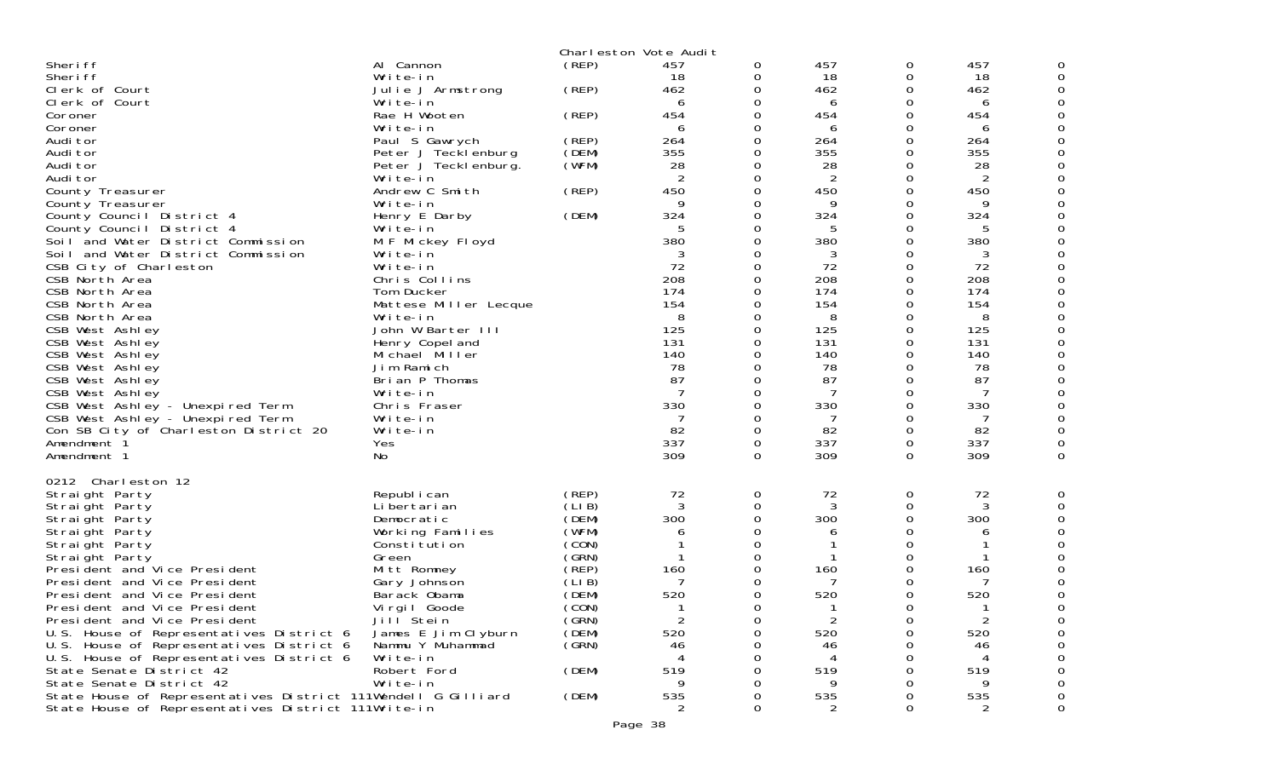|                                                               |                                         |                 | Charleston Vote Audit |          |                |              |                |          |
|---------------------------------------------------------------|-----------------------------------------|-----------------|-----------------------|----------|----------------|--------------|----------------|----------|
| Sheri ff                                                      | Al Cannon                               | (REP)           | 457                   | 0        | 457            | 0            | 457            |          |
| Sheri ff                                                      | Write-in                                |                 | 18                    | 0        | 18             | 0            | 18             |          |
| Clerk of Court                                                | Julie J Armstrong                       | (REP)           | 462                   | 0        | 462            | 0            | 462            |          |
| Clerk of Court                                                | Write-in                                |                 | 6                     | 0        | 6              | 0            | 6              |          |
| Coroner                                                       | Rae H Wooten                            | (REP)           | 454                   |          | 454            | 0            | 454            |          |
| Coroner                                                       | Write-in                                |                 | 6                     | 0        | 6              | 0            | 6              |          |
| Audi tor                                                      | Paul S Gawrych                          | (REP)           | 264                   | 0        | 264            | 0            | 264            |          |
| Audi tor                                                      | Peter J Tecklenburg                     | (DEM)           | 355                   | 0        | 355            | 0            | 355            |          |
| Audi tor                                                      | Peter J Teckl enburg.                   | (WFM)           | 28                    | $\Omega$ | 28             | 0            | 28             |          |
| Audi tor                                                      | Write-in                                |                 | $\overline{2}$        | $\Omega$ | 2              | 0            | 2              |          |
| County Treasurer                                              | Andrew C Smith                          | (REP)           | 450                   | 0        | 450            | 0            | 450            |          |
| County Treasurer                                              | Write-in                                |                 | 9                     | 0        | 9              | 0            | 9              |          |
| County Council District 4                                     | Henry E Darby                           | (DEM)           | 324                   | 0        | 324            | 0            | 324            |          |
| County Council District 4                                     | Write-in                                |                 | 5                     | 0        | 5              | 0            | 5              |          |
| Soil and Water District Commission                            | M F Mickey Floyd                        |                 | 380                   | $\Omega$ | 380            | 0            | 380            |          |
| Soil and Water District Commission                            | Write-in                                |                 | 3                     | $\Omega$ | 3              | 0            | 3              |          |
| CSB City of Charleston                                        | Write-in                                |                 | 72                    | 0<br>0   | 72             | 0            | 72             |          |
| CSB North Area<br>CSB North Area                              | Chris Collins                           |                 | 208<br>174            | 0        | 208<br>174     | 0<br>0       | 208<br>174     |          |
| CSB North Area                                                | Tom Ducker<br>Mattese Miller Lecque     |                 | 154                   | 0        | 154            | 0            | 154            |          |
| CSB North Area                                                | Write-in                                |                 | 8                     | 0        | 8              | 0            | 8              |          |
| CSB West Ashley                                               | John W Barter III                       |                 | 125                   | 0        | 125            | 0            | 125            |          |
| CSB West Ashley                                               | Henry Copel and                         |                 | 131                   | 0        | 131            | 0            | 131            |          |
| CSB West Ashley                                               | Michael Miller                          |                 | 140                   | 0        | 140            | 0            | 140            |          |
| CSB West Ashley                                               | Jim Ramich                              |                 | 78                    | 0        | 78             | 0            | 78             |          |
| CSB West Ashley                                               | Brian P Thomas                          |                 | 87                    | 0        | 87             | 0            | 87             |          |
| CSB West Ashley                                               | Write-in                                |                 | 7                     | 0        | 7              | 0            | -7             |          |
| CSB West Ashley - Unexpired Term                              | Chris Fraser                            |                 | 330                   | 0        | 330            | 0            | 330            |          |
| CSB West Ashley - Unexpired Term                              | Write-in                                |                 | -7                    | 0        |                | 0            | 7              |          |
| Con SB City of Charleston District 20                         | Write-in                                |                 | 82                    | $\Omega$ | 82             | 0            | 82             |          |
| Amendment <sup>2</sup>                                        | Yes                                     |                 | 337                   | 0        | 337            | 0            | 337            |          |
| Amendment 1                                                   | No.                                     |                 | 309                   | $\Omega$ | 309            | 0            | 309            | $\Omega$ |
| 0212 Charleston 12                                            |                                         |                 |                       |          |                |              |                |          |
| Straight Party                                                | Republ i can                            | (REP)           | 72                    | 0        | 72             | 0            | 72             |          |
| Straight Party                                                | Li bertari an                           | (LI B)          | 3                     | $\Omega$ | 3              | 0            | 3              |          |
| Straight Party                                                | Democratic                              | (DEM)           | 300                   | 0        | 300            | 0            | 300            |          |
| Straight Party                                                | Working Families                        | (WFM)           | 6                     | 0        | 6              | 0            | 6              |          |
| Straight Party                                                | Constitution                            | (CON)           |                       | 0        |                | 0            |                |          |
| Straight Party                                                | Green                                   | (GRN)           | -1                    |          |                | 0            |                |          |
| President and Vice President                                  | Mitt Romney                             | (REP)<br>(LI B) | 160<br>7              |          | 160            | 0            | 160            |          |
| President and Vice President<br>President and Vice President  | Gary Johnson<br>Barack Obama            | (DEM)           | 520                   |          | 520            | 0            | 520            |          |
| President and Vice President                                  |                                         | (CON)           | $\mathbf{1}$          | 0        |                | <sup>n</sup> |                |          |
| President and Vice President                                  | Vi rgi I Goode<br>Jill <sup>Stein</sup> | (GRN)           | 2                     | 0        | $\overline{2}$ | 0            | $\overline{c}$ |          |
| U.S. House of Representatives District 6                      | James E Jim Clyburn                     | (DEM)           | 520                   |          | 520            |              | 520            |          |
| U.S. House of Representatives District 6                      | Nammu Y Muhammad                        | (GRN)           | 46                    | 0        | 46             |              | 46             |          |
| U.S. House of Representatives District 6                      | Write-in                                |                 |                       |          |                |              |                |          |
| State Senate District 42                                      | Robert Ford                             | (DEM)           | 519                   |          | 519            |              | 519            |          |
| State Senate District 42                                      | Write-in                                |                 |                       | O        | 9              |              |                |          |
| State House of Representatives District 111Wendell G Gilliard |                                         | (DEM)           | 535                   | 0        | 535            |              | 535            |          |
| State House of Representatives District 111Write-in           |                                         |                 |                       | 0        |                | 0            |                | 0        |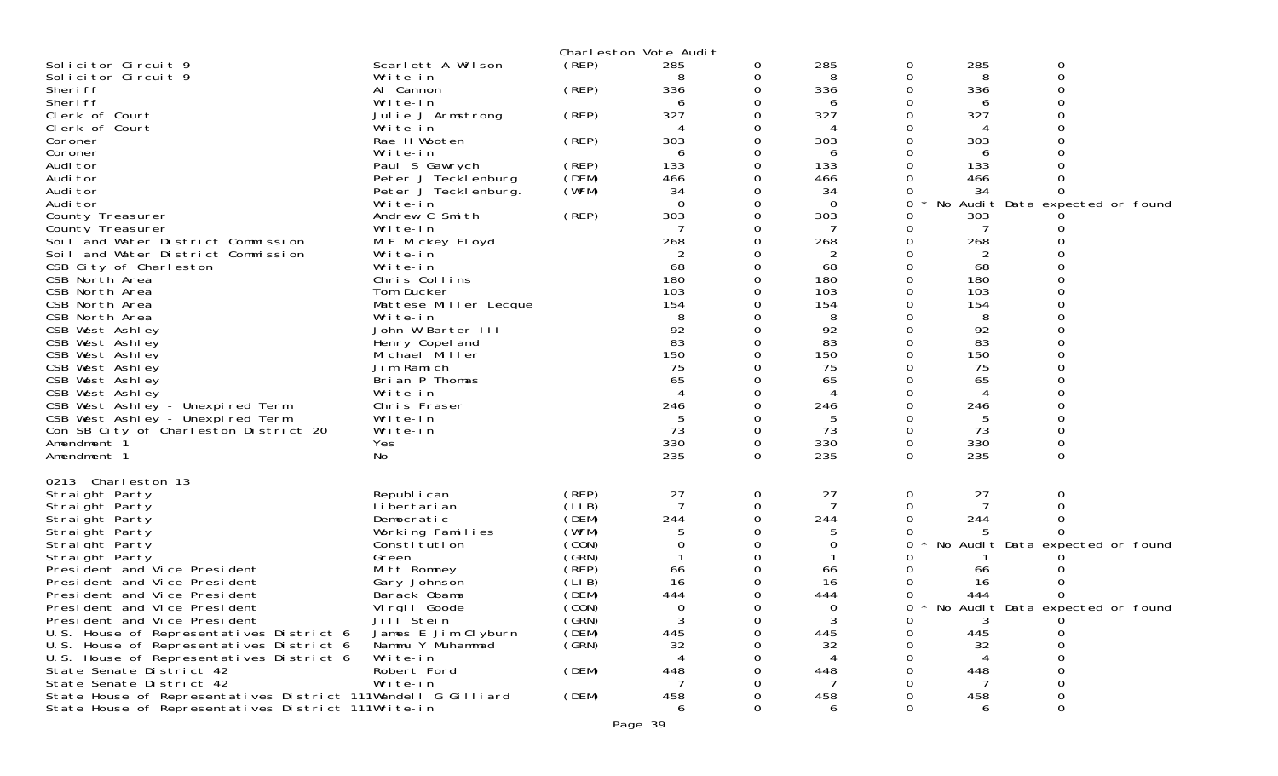|                                                                                      |                                             |                   | Charleston Vote Audit |   |           |          |                |                                     |  |
|--------------------------------------------------------------------------------------|---------------------------------------------|-------------------|-----------------------|---|-----------|----------|----------------|-------------------------------------|--|
| Solicitor Circuit 9                                                                  | Scarlett A Wilson                           | (REP)             | 285                   | 0 | 285       | 0        | 285            | 0                                   |  |
| Solicitor Circuit 9                                                                  | Write-in                                    |                   | 8                     | 0 | 8         | 0        | 8              | 0                                   |  |
| Sheri ff<br>Sheri ff                                                                 | Al Cannon<br>Write-in                       | (REP)             | 336<br>6              |   | 336<br>6  |          | 336<br>6       |                                     |  |
| Clerk of Court                                                                       | Julie J Armstrong                           | (REP)             | 327                   |   | 327       |          | 327            |                                     |  |
| Clerk of Court                                                                       | Write-in                                    |                   |                       |   |           |          |                |                                     |  |
| Coroner                                                                              | Rae H Wooten                                | (REP)             | 303                   |   | 303       |          | 303            |                                     |  |
| Coroner                                                                              | Write-in                                    |                   | 6                     |   | 6         |          | 6              |                                     |  |
| Audi tor                                                                             | Paul S Gawrych                              | (REP)<br>(DEM)    | 133<br>466            |   | 133       |          | 133<br>466     |                                     |  |
| Audi tor<br>Audi tor                                                                 | Peter J Tecklenburg<br>Peter J Tecklenburg. | (WFM)             | 34                    |   | 466<br>34 |          | 34             |                                     |  |
| Audi tor                                                                             | Write-in                                    |                   | $\Omega$              |   | $\Omega$  | 0        |                | No Audit Data expected or found     |  |
| County Treasurer                                                                     | Andrew C Smith                              | (REP)             | 303                   |   | 303       |          | 303            |                                     |  |
| County Treasurer                                                                     | Write-in                                    |                   |                       |   |           |          |                |                                     |  |
| Soil and Water District Commission                                                   | M F Mickey Floyd                            |                   | 268                   |   | 268       |          | 268            |                                     |  |
| Soil and Water District Commission<br>CSB City of Charleston                         | Write-in<br>Write-in                        |                   | 2<br>68               |   | 2<br>68   |          | 2<br>68        |                                     |  |
| CSB North Area                                                                       | Chris Collins                               |                   | 180                   |   | 180       |          | 180            |                                     |  |
| CSB North Area                                                                       | Tom Ducker                                  |                   | 103                   |   | 103       |          | 103            |                                     |  |
| CSB North Area                                                                       | Mattese Miller Lecque                       |                   | 154                   |   | 154       |          | 154            |                                     |  |
| CSB North Area                                                                       | Write-in                                    |                   |                       |   | 8         |          | 8              |                                     |  |
| CSB West Ashley                                                                      | John W Barter III                           |                   | 92<br>83              |   | 92<br>83  |          | 92<br>83       |                                     |  |
| CSB West Ashley<br>CSB West Ashley                                                   | Henry Copel and<br>Michael Miller           |                   | 150                   |   | 150       |          | 150            |                                     |  |
| CSB West Ashley                                                                      | Jim Ramich                                  |                   | 75                    |   | 75        |          | 75             |                                     |  |
| CSB West Ashley                                                                      | Brian P Thomas                              |                   | 65                    |   | 65        |          | 65             |                                     |  |
| CSB West Ashley                                                                      | Write-in                                    |                   | Δ                     |   | 4         |          | $\overline{A}$ |                                     |  |
| CSB West Ashley - Unexpired Term<br>CSB West Ashley - Unexpired Term                 | Chris Fraser                                |                   | 246                   |   | 246       |          | 246            |                                     |  |
| Con SB City of Charleston District 20                                                | Write-in<br>Write-in                        |                   | 73                    | 0 | 73        | 0        | 73             |                                     |  |
| Amendment <sup>3</sup>                                                               | Yes                                         |                   | 330                   | 0 | 330       | 0        | 330            | 0                                   |  |
| Amendment 1                                                                          | No                                          |                   | 235                   | 0 | 235       | $\Omega$ | 235            | $\Omega$                            |  |
|                                                                                      |                                             |                   |                       |   |           |          |                |                                     |  |
| 0213 Charleston 13<br>Straight Party                                                 | Republ i can                                | (REP)             | 27                    | 0 | 27        | 0        | 27             | 0                                   |  |
| Straight Party                                                                       | Li bertari an                               | (LIB)             | $\overline{7}$        | 0 |           |          |                |                                     |  |
| Straight Party                                                                       | Democratic                                  | (DEM)             | 244                   |   | 244       |          | 244            |                                     |  |
| Straight Party                                                                       | Working Families                            | (WFM)             |                       |   |           |          |                |                                     |  |
| Straight Party                                                                       | Constitution                                | (CON)             |                       |   | $\Omega$  | 0        |                | No Audit Data expected or found     |  |
| Straight Party<br>President and Vice President                                       | Green<br>Mitt Romney                        | (GRN)<br>$($ REP) | 66                    |   | 66        |          | 66             |                                     |  |
| President and Vice President                                                         | Gary Johnson                                | (LI B)            | 16                    |   | 16        |          | 16             |                                     |  |
| President and Vice President                                                         | Barack Obama                                | (DEM)             | 444                   |   | 444       |          | 444            |                                     |  |
| President and Vice President                                                         | Virgil Goode                                | (CON)             | ∩                     |   | ∩         |          |                | 0 * No Audit Data expected or found |  |
| President and Vice President                                                         | Jill Stein                                  | (GRN)             | 3                     |   | 3         | 0        | 3              |                                     |  |
| U.S. House of Representatives District 6<br>U.S. House of Representatives District 6 | James E Jim Clyburn<br>Nammu Y Muhammad     | (DEM)<br>(GRN)    | 445<br>32             |   | 445<br>32 |          | 445<br>32      |                                     |  |
| U.S. House of Representatives District 6                                             | Write-in                                    |                   |                       |   |           |          |                |                                     |  |
| State Senate District 42                                                             | Robert Ford                                 | (DEM)             | 448                   |   | 448       |          | 448            |                                     |  |
| State Senate District 42                                                             | Write-in                                    |                   |                       |   |           |          |                |                                     |  |
| State House of Representatives District 111Wendell G Gilliard                        |                                             | (DEM)             | 458                   |   | 458       |          | 458            |                                     |  |
| State House of Representatives District 111Write-in                                  |                                             |                   | 6                     |   | 6         |          | 6              |                                     |  |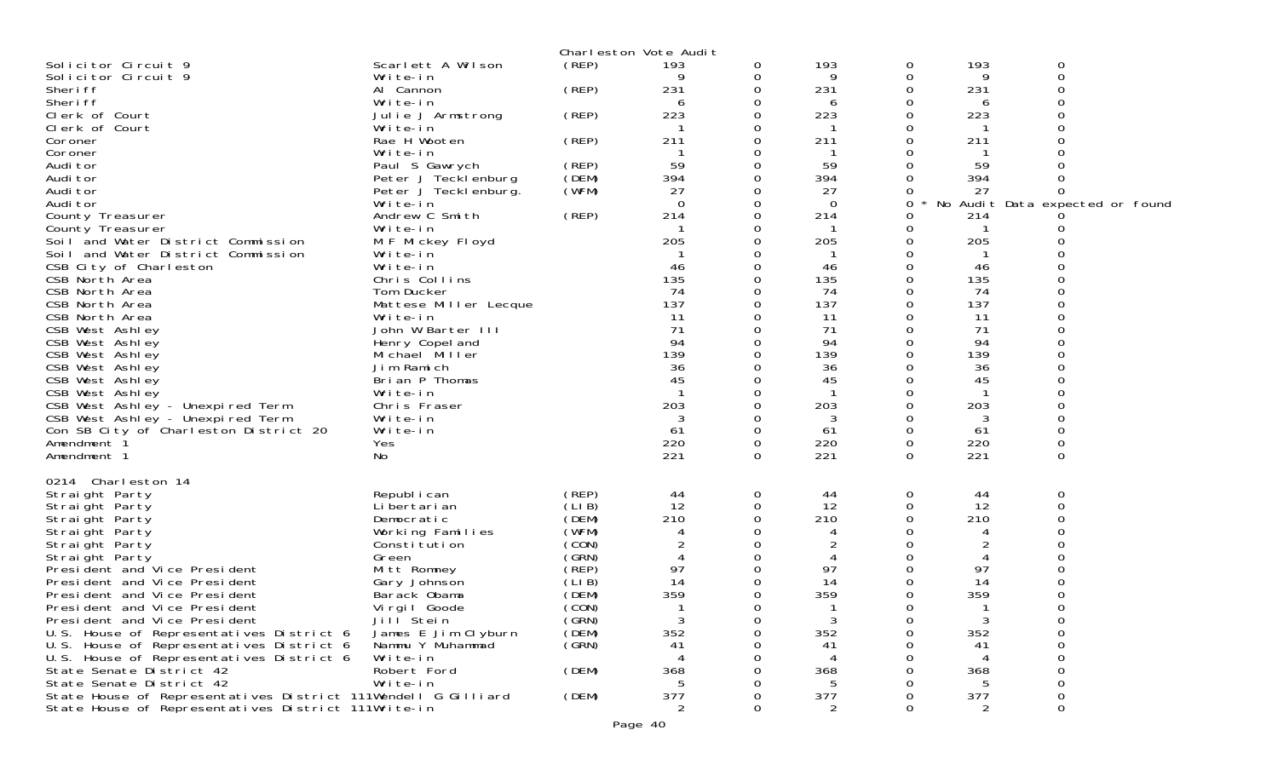|                                                               |                       |       | Charleston Vote Audit |          |          |          |         |                                 |
|---------------------------------------------------------------|-----------------------|-------|-----------------------|----------|----------|----------|---------|---------------------------------|
| Solicitor Circuit 9                                           | Scarlett A Wilson     | (REP) | 193                   | 0        | 193      | 0        | 193     | 0                               |
| Solicitor Circuit 9                                           | Write-in              |       |                       | 0        | 9        | 0        | 9       | $\Omega$                        |
| Sheri ff                                                      | Al Cannon             | (REP) | 231                   | 0        | 231      | 0        | 231     |                                 |
| Sheri ff                                                      | Write-in              |       | 6                     | 0        | 6        | 0        | 6       |                                 |
| Clerk of Court                                                | Julie J Armstrong     | (REP) | 223                   | 0        | 223      | 0        | 223     |                                 |
| Clerk of Court                                                | Write-in              |       |                       | 0        |          | 0        |         |                                 |
| Coroner                                                       | Rae H Wooten          | (REP) | 211                   | 0        | 211      | 0        | 211     |                                 |
| Coroner                                                       | Write-in              |       |                       | 0        | -1       | 0        |         |                                 |
| Audi tor                                                      | Paul S Gawrych        | (REP) | 59                    | $\Omega$ | 59       | $\Omega$ | 59      |                                 |
| Audi tor                                                      | Peter J Tecklenburg   | (DEM) | 394                   | 0        | 394      | 0        | 394     |                                 |
| Audi tor                                                      | Peter J Tecklenburg.  | (WFM) | 27                    | 0        | 27       | 0        | 27      |                                 |
| Audi tor                                                      | Write-in              |       | $\Omega$              | 0        | $\Omega$ | 0        |         | No Audit Data expected or found |
| County Treasurer                                              | Andrew C Smith        | (REP) | 214                   | 0        | 214      | 0        | 214     |                                 |
| County Treasurer                                              | Write-in              |       |                       | 0        |          | 0        |         |                                 |
| Soil and Water District Commission                            | M F Mickey Floyd      |       | 205                   | 0        | 205      | 0        | 205     |                                 |
| Soil and Water District Commission                            | Write-in              |       |                       | 0        | -1       | 0        |         |                                 |
| CSB City of Charleston                                        | Write-in              |       | 46                    | 0        | 46       | 0        | 46      |                                 |
| CSB North Area                                                | Chris Collins         |       | 135                   | 0        | 135      | 0        | 135     |                                 |
| CSB North Area                                                | Tom Ducker            |       | 74                    | 0        | 74       | 0        | 74      |                                 |
| CSB North Area                                                | Mattese Miller Lecque |       | 137                   | 0        | 137      | 0        | 137     |                                 |
| CSB North Area                                                | Write-in              |       | 11                    | 0        | 11       | 0        | 11      |                                 |
| CSB West Ashley                                               | John W Barter III     |       | 71                    | 0        | 71       | 0        | 71      |                                 |
| CSB West Ashley                                               | Henry Copel and       |       | 94                    |          | 94       | 0        | 94      |                                 |
| CSB West Ashley                                               | Michael Miller        |       | 139                   | 0        | 139      | $\Omega$ | 139     |                                 |
| CSB West Ashley                                               | Jim Ramich            |       | 36                    | 0        | 36       | 0        | 36      |                                 |
| CSB West Ashley                                               | Brian P Thomas        |       | 45                    | 0        | 45       | 0<br>0   | 45      |                                 |
| CSB West Ashley                                               | Write-in              |       |                       |          |          |          |         |                                 |
| CSB West Ashley - Unexpired Term                              | Chris Fraser          |       | 203                   | 0<br>0   | 203<br>3 | 0<br>0   | 203     |                                 |
| CSB West Ashley - Unexpired Term                              | Write-in              |       | 3<br>61               | $\Omega$ | 61       | 0        | 3<br>61 |                                 |
| Con SB City of Charleston District 20<br>Amendment 1          | Write-in<br>Yes       |       | 220                   | 0        | 220      | 0        | 220     | 0                               |
|                                                               | No                    |       | 221                   | $\Omega$ | 221      | $\Omega$ | 221     | 0                               |
| Amendment 1                                                   |                       |       |                       |          |          |          |         |                                 |
| 0214 Charleston 14                                            |                       |       |                       |          |          |          |         |                                 |
| Straight Party                                                | Republ i can          | (REP) | 44                    | 0        | 44       | 0        | 44      | 0                               |
| Straight Party                                                | Li bertari an         | (LIB) | 12                    | $\Omega$ | 12       | 0        | 12      | ∩                               |
| Straight Party                                                | Democratic            | (DEM) | 210                   | 0        | 210      | 0        | 210     |                                 |
| Straight Party                                                | Working Families      | (WFM) | 4                     | 0        | 4        |          | 4       |                                 |
| Straight Party                                                | Constitution          | (CON) | 2                     | 0        |          | O        | 2       |                                 |
| Straight Party                                                | Green                 | (GRN) | 4                     | 0        | 4        | 0        | 4       |                                 |
| President and Vice President                                  | Mitt Romney           | (REP) | 97                    | 0        | 97       | Ω        | 97      |                                 |
| President and Vice President                                  | Gary Johnson          | (LIB) | 14                    | 0        | 14       | 0        | 14      |                                 |
| President and Vice President                                  | Barack Obama          | (DEM) | 359                   | 0        | 359      | 0        | 359     |                                 |
| President and Vice President                                  | Virgil Goode          | (CON) |                       | 0        | 1        | Ω        |         | 0                               |
| President and Vice President                                  | Jill <sup>Stein</sup> | (GRN) |                       | 0        | 3        | 0        |         |                                 |
| U.S. House of Representatives District 6                      | James E Jim Clyburn   | (DEM) | 352                   | 0        | 352      | 0        | 352     | $\Omega$                        |
| U.S. House of Representatives District 6                      | Nammu Y Muhammad      | (SRN) | 41                    | ი        | 41       |          | 41      | ∩                               |
| U.S. House of Representatives District 6                      | Write-in              |       |                       |          | 4        |          |         |                                 |
| State Senate District 42                                      | Robert Ford           | (DEM) | 368                   |          | 368      |          | 368     |                                 |
| State Senate District 42                                      | Write-in              |       | 5                     |          | 5        |          |         |                                 |
| State House of Representatives District 111Wendell G Gilliard |                       | (DEM) | 377                   | 0        | 377      |          | 377     |                                 |
| State House of Representatives District 111Write-in           |                       |       | 2                     | 0        | 2        | Ω        | 2       | 0                               |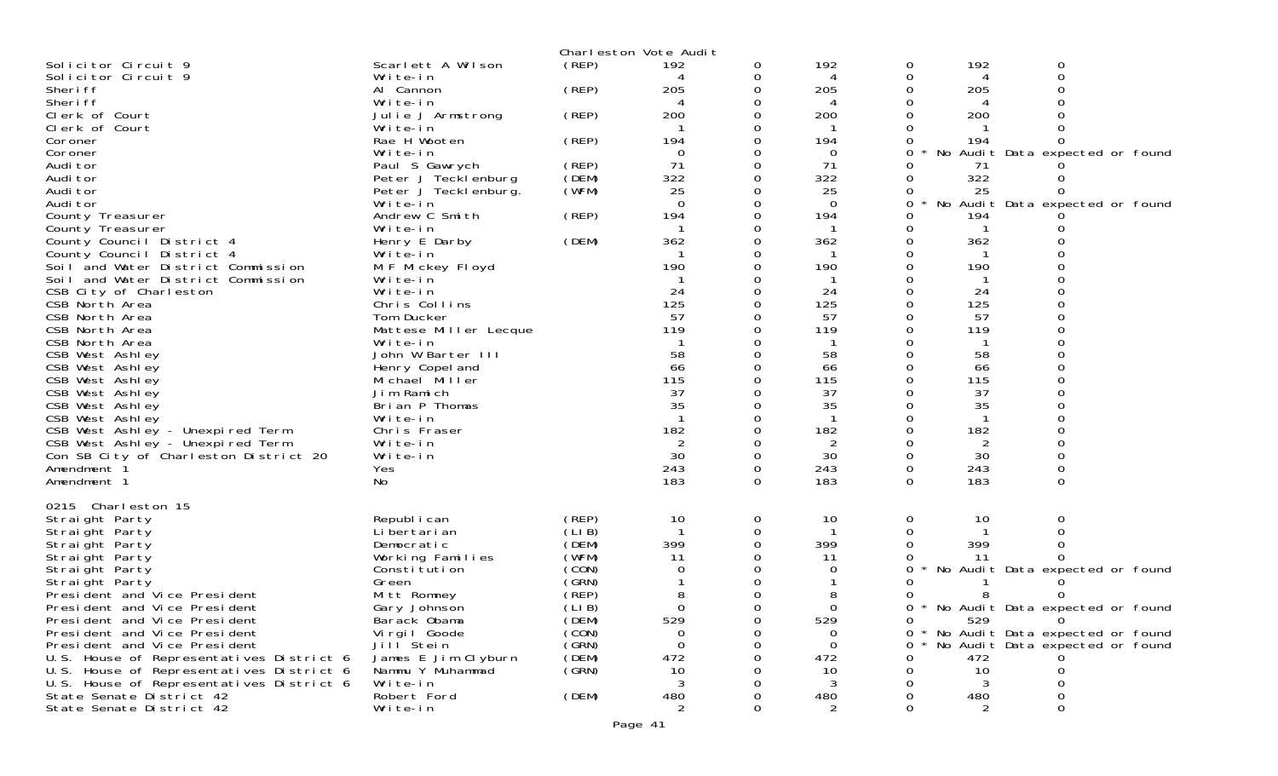|                                          |                                      |                | Charleston Vote Audit |          |                 |          |           |                                   |  |
|------------------------------------------|--------------------------------------|----------------|-----------------------|----------|-----------------|----------|-----------|-----------------------------------|--|
| Solicitor Circuit 9                      | Scarlett A Wilson                    | (REP)          | 192                   | 0        | 192             | 0        | 192       | 0                                 |  |
| Solicitor Circuit 9                      | Write-in                             |                |                       | 0        | 4               | 0        | 4         | $\mathbf 0$                       |  |
| Sheri ff                                 | Al Cannon                            | (REP)          | 205                   | 0        | 205             | 0        | 205       |                                   |  |
| Sheri ff                                 | Write-in                             |                | 4                     |          | 4               |          | 4         |                                   |  |
| Clerk of Court                           | Julie J Armstrong                    | (REP)          | 200                   |          | 200             |          | 200       |                                   |  |
| Clerk of Court                           | Write-in                             |                | 194                   | 0        |                 |          |           |                                   |  |
| Coroner<br>Coroner                       | Rae H Wooten<br>Write-in             | (REP)          | $\Omega$              | 0        | 194<br>$\Omega$ | 0<br>0   | 194       | No Audit Data expected or found   |  |
| Audi tor                                 | Paul S Gawrych                       | (REP)          | 71                    | 0        | 71              |          | 71        |                                   |  |
| Audi tor                                 | Peter J Tecklenburg                  | (DEM)          | 322                   | 0        | 322             |          | 322       |                                   |  |
| Audi tor                                 | Peter J Teckl enburg.                | (WFM)          | 25                    |          | 25              |          | 25        |                                   |  |
| Audi tor                                 | Write-in                             |                | $\Omega$              | 0        | $\Omega$        | 0        |           | No Audit Data expected or found   |  |
| County Treasurer                         | Andrew C Smith                       | (REP)          | 194                   | 0        | 194             | 0        | 194       |                                   |  |
| County Treasurer                         | Write-in                             |                |                       |          |                 | 0        |           |                                   |  |
| County Council District 4                | Henry E Darby                        | (DEM)          | 362                   | $\Omega$ | 362             | $\Omega$ | 362       |                                   |  |
| County Council District 4                | Write-in                             |                |                       |          |                 | 0        | -1        |                                   |  |
| Soil and Water District Commission       | M F Mickey Floyd                     |                | 190                   |          | 190             |          | 190       |                                   |  |
| Soil and Water District Commission       | Write-in                             |                |                       |          |                 |          |           |                                   |  |
| CSB City of Charleston                   | Write-in                             |                | 24                    | 0        | 24              | 0        | 24        |                                   |  |
| CSB North Area                           | Chris Collins                        |                | 125                   |          | 125             |          | 125       |                                   |  |
| CSB North Area                           | Tom Ducker                           |                | 57                    |          | 57              |          | 57        |                                   |  |
| CSB North Area                           | Mattese Miller Lecque                |                | 119                   |          | 119             | 0        | 119       |                                   |  |
| CSB North Area                           | Write-in                             |                | 58                    |          | 58              |          | -1<br>58  |                                   |  |
| CSB West Ashley<br>CSB West Ashley       | John W Barter III<br>Henry Copel and |                | 66                    |          | 66              | 0        | 66        |                                   |  |
| CSB West Ashley                          | Michael Miller                       |                | 115                   |          | 115             |          | 115       |                                   |  |
| CSB West Ashley                          | Jim Ramich                           |                | 37                    |          | 37              |          | 37        |                                   |  |
| CSB West Ashley                          | Brian P Thomas                       |                | 35                    |          | 35              |          | 35        |                                   |  |
| CSB West Ashley                          | Write-in                             |                |                       |          |                 |          |           |                                   |  |
| CSB West Ashley - Unexpired Term         | Chris Fraser                         |                | 182                   |          | 182             |          | 182       |                                   |  |
| CSB West Ashley - Unexpired Term         | Write-in                             |                | $\overline{2}$        |          | 2               | 0        | 2         |                                   |  |
| Con SB City of Charleston District 20    | Write-in                             |                | 30                    | 0        | 30              | 0        | 30        |                                   |  |
| Amendment 1                              | Yes                                  |                | 243                   | $\Omega$ | 243             | 0        | 243       | $\mathbf 0$                       |  |
| Amendment 1                              | No                                   |                | 183                   | $\Omega$ | 183             | 0        | 183       | $\Omega$                          |  |
|                                          |                                      |                |                       |          |                 |          |           |                                   |  |
| 0215 Charleston 15                       |                                      |                |                       |          |                 |          |           |                                   |  |
| Straight Party                           | Republ i can                         | (REP)          | 10                    | 0        | 10              | 0        | 10        | 0                                 |  |
| Straight Party                           | Li bertari an                        | (LI B)         |                       | 0        |                 |          |           |                                   |  |
| Straight Party                           | Democratic                           | (DEM)<br>(WFM) | 399                   | $\Omega$ | 399<br>11       |          | 399<br>11 |                                   |  |
| Straight Party<br>Straight Party         | Working Families<br>Constitution     | (CON)          | 11<br>0               |          |                 |          |           | No Audit Data expected or found   |  |
| Straight Party                           | Green                                | (GRN)          |                       | 0        |                 |          |           |                                   |  |
| President and Vice President             | Mitt Romney                          | (REP)          |                       |          |                 |          |           |                                   |  |
| President and Vice President             | Gary Johnson                         | (LIB)          | $\Omega$              | 0        | 0               | 0        |           | * No Audit Data expected or found |  |
| President and Vice President             | Barack Obama                         | (DEM)          | 529                   | 0        | 529             |          | 529       | 0                                 |  |
| President and Vice President             | Vi rgi I Goode                       | (CON)          | 0                     | 0        | 0               | 0        |           | * No Audit Data expected or found |  |
| President and Vice President             | Jill <sup>Stein</sup>                | (GRN)          | $\Omega$              |          | $\Omega$        | 0        |           | No Audit Data expected or found   |  |
| U.S. House of Representatives District 6 | James E Jim Clyburn                  | (DEM)          | 472                   |          | 472             | O        | 472       |                                   |  |
| U.S. House of Representatives District 6 | Nammu Y Muhammad                     | (GRN)          | 10                    |          | 10              | 0        | 10        | 0                                 |  |
| U.S. House of Representatives District 6 | Write-in                             |                | 3                     |          | 3               |          | 3         |                                   |  |
| State Senate District 42                 | Robert Ford                          | (DEM)          | 480                   |          | 480             |          | 480       |                                   |  |
| State Senate District 42                 | Write-in                             |                | $\overline{2}$        |          | 2               |          | 2         |                                   |  |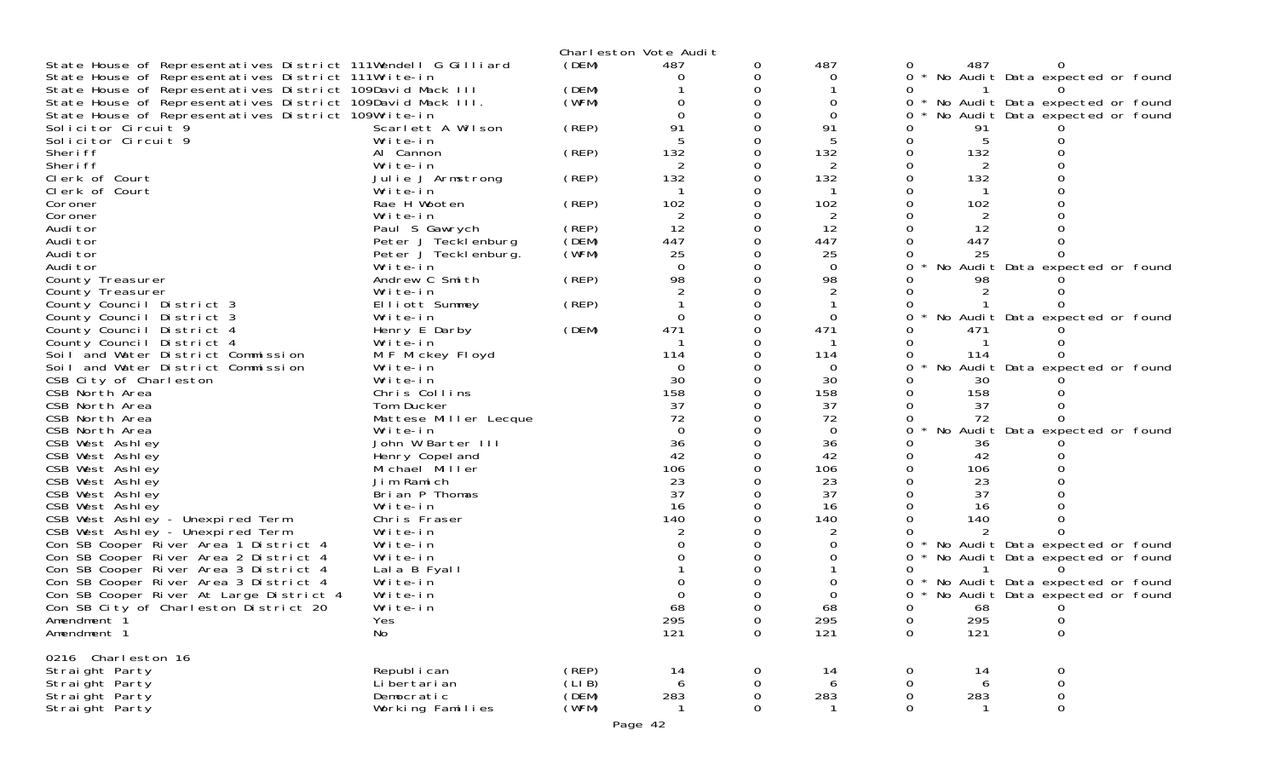|                                                                                  |                               |        | Charleston Vote Audit |             |                |             |         |                                                                      |
|----------------------------------------------------------------------------------|-------------------------------|--------|-----------------------|-------------|----------------|-------------|---------|----------------------------------------------------------------------|
| State House of Representatives District 111Wendell G Gilliard                    |                               | (DEM)  | 487                   | 0           | 487            | 0           | 487     |                                                                      |
| State House of Representatives District 111Write-in                              |                               |        | $\Omega$              | 0           | $\Omega$       |             |         | * No Audit Data expected or found                                    |
| State House of Representatives District 109David Mack III                        |                               | (DEM)  |                       |             |                |             |         |                                                                      |
| State House of Representatives District 109David Mack III.                       |                               | (WFM)  |                       |             | 0              | 0           |         | No Audit Data expected or found                                      |
| State House of Representatives District 109Write-in<br>Solicitor Circuit 9       | Scarlett A Wilson             | (REP)  | 91                    |             | 0<br>91        |             |         | No Audit Data expected or found                                      |
| Solicitor Circuit 9                                                              | Write-in                      |        |                       |             |                |             | 91<br>5 |                                                                      |
| Sheri ff                                                                         | Al Cannon                     | (REP)  | 132                   |             | 132            |             | 132     |                                                                      |
| Sheri ff                                                                         | Write-in                      |        |                       |             | 2              |             | 2       |                                                                      |
| Clerk of Court                                                                   | Julie J Armstrong             | (REP)  | 132                   |             | 132            |             | 132     |                                                                      |
| Clerk of Court                                                                   | Write-in                      |        |                       |             |                |             |         |                                                                      |
| Coroner                                                                          | Rae H Wooten                  | (REP)  | 102                   |             | 102            |             | 102     |                                                                      |
| Coroner                                                                          | Write-in                      |        | 2                     |             | 2              |             | 2       |                                                                      |
| Audi tor                                                                         | Paul S Gawrych                | (REP)  | 12                    |             | 12             |             | 12      |                                                                      |
| Audi tor                                                                         | Peter J Tecklenburg           | (DEM)  | 447                   |             | 447            |             | 447     |                                                                      |
| Audi tor                                                                         | Peter J Tecklenburg.          | (WFM)  | 25                    |             | 25             |             | 25      |                                                                      |
| Audi tor                                                                         | Write-in                      |        | $\Omega$<br>98        |             | 0<br>98        |             |         | No Audit Data expected or found                                      |
| County Treasurer<br>County Treasurer                                             | Andrew C Smith<br>Write-in    | (REP)  |                       |             |                |             |         |                                                                      |
| County Council District 3                                                        | Elliott Summey                | (REP)  |                       |             |                |             |         |                                                                      |
| County Council District 3                                                        | Write-in                      |        | $\Omega$              |             | $\Omega$       |             |         | No Audit Data expected or found                                      |
| County Council District 4                                                        | Henry E Darby                 | (DEM)  | 471                   |             | 471            |             | 471     |                                                                      |
| County Council District 4                                                        | Write-in                      |        |                       |             |                |             |         |                                                                      |
| Soil and Water District Commission                                               | M F Mickey Floyd              |        | 114                   |             | 114            |             | 114     |                                                                      |
| Soil and Water District Commission                                               | Write-in                      |        | 0                     |             | $\Omega$       |             |         | No Audit Data expected or found                                      |
| CSB City of Charleston                                                           | Write-in                      |        | 30                    |             | 30             |             | 30      |                                                                      |
| CSB North Area                                                                   | Chris Collins                 |        | 158                   |             | 158            |             | 158     |                                                                      |
| CSB North Area                                                                   | Tom Ducker                    |        | 37                    |             | 37             |             | 37      |                                                                      |
| CSB North Area                                                                   | Mattese Miller Lecque         |        | 72                    |             | 72             |             | 72      |                                                                      |
| CSB North Area<br>CSB West Ashley                                                | Write-in<br>John W Barter III |        | $\Omega$<br>36        |             | $\Omega$<br>36 |             | 36      | No Audit Data expected or found                                      |
| CSB West Ashley                                                                  | Henry Copel and               |        | 42                    |             | 42             |             | 42      |                                                                      |
| CSB West Ashley                                                                  | Michael Miller                |        | 106                   |             | 106            |             | 106     |                                                                      |
| CSB West Ashley                                                                  | Jim Ramich                    |        | 23                    |             | 23             |             | 23      |                                                                      |
| CSB West Ashley                                                                  | Brian P Thomas                |        | 37                    |             | 37             |             | 37      |                                                                      |
| CSB West Ashley                                                                  | Write-in                      |        | 16                    |             | 16             |             | 16      |                                                                      |
| CSB West Ashley - Unexpired Term                                                 | Chris Fraser                  |        | 140                   |             | 140            |             | 140     |                                                                      |
| CSB West Ashley - Unexpired Term                                                 | Write-in                      |        |                       |             |                |             |         |                                                                      |
| Con SB Cooper River Area 1 District 4                                            | Write-in                      |        |                       |             |                |             |         | * No Audit Data expected or found                                    |
| Con SB Cooper River Area 2 District 4                                            | Write-in                      |        |                       |             |                | 0           |         | * No Audit Data expected or found                                    |
| Con SB Cooper River Area 3 District 4                                            | Lala B Fyall<br>Write-in      |        |                       |             |                |             |         |                                                                      |
| Con SB Cooper River Area 3 District 4<br>Con SB Cooper River At Large District 4 | Write-in                      |        |                       |             |                | 0           |         | * No Audit Data expected or found<br>No Audit Data expected or found |
| Con SB City of Charleston District 20                                            | Write-in                      |        | 68                    |             | 68             |             | 68      |                                                                      |
| Amendment 1                                                                      | Yes                           |        | 295                   | 0           | 295            | $\mathbf 0$ | 295     | 0                                                                    |
| Amendment 1                                                                      | No                            |        | 121                   | $\mathbf 0$ | 121            | $\mathbf 0$ | 121     | $\mathsf{O}\xspace$                                                  |
|                                                                                  |                               |        |                       |             |                |             |         |                                                                      |
| 0216 Charleston 16                                                               |                               |        |                       |             |                |             |         |                                                                      |
| Straight Party                                                                   | Republ i can                  | (REP)  | 14                    | 0           | 14             | 0           | 14      | 0                                                                    |
| Straight Party                                                                   | Li bertari an                 | (LI B) | 6                     | 0           | 6              | 0           | 6       | 0                                                                    |
| Straight Party                                                                   | Democratic                    | (DEM)  | 283                   | 0           | 283            | 0           | 283     | $\mathsf{O}\xspace$                                                  |
| Straight Party                                                                   | Working Families              | (WFM)  |                       | $\Omega$    |                | $\Omega$    |         | $\mathbf 0$                                                          |
|                                                                                  |                               |        | Page 42               |             |                |             |         |                                                                      |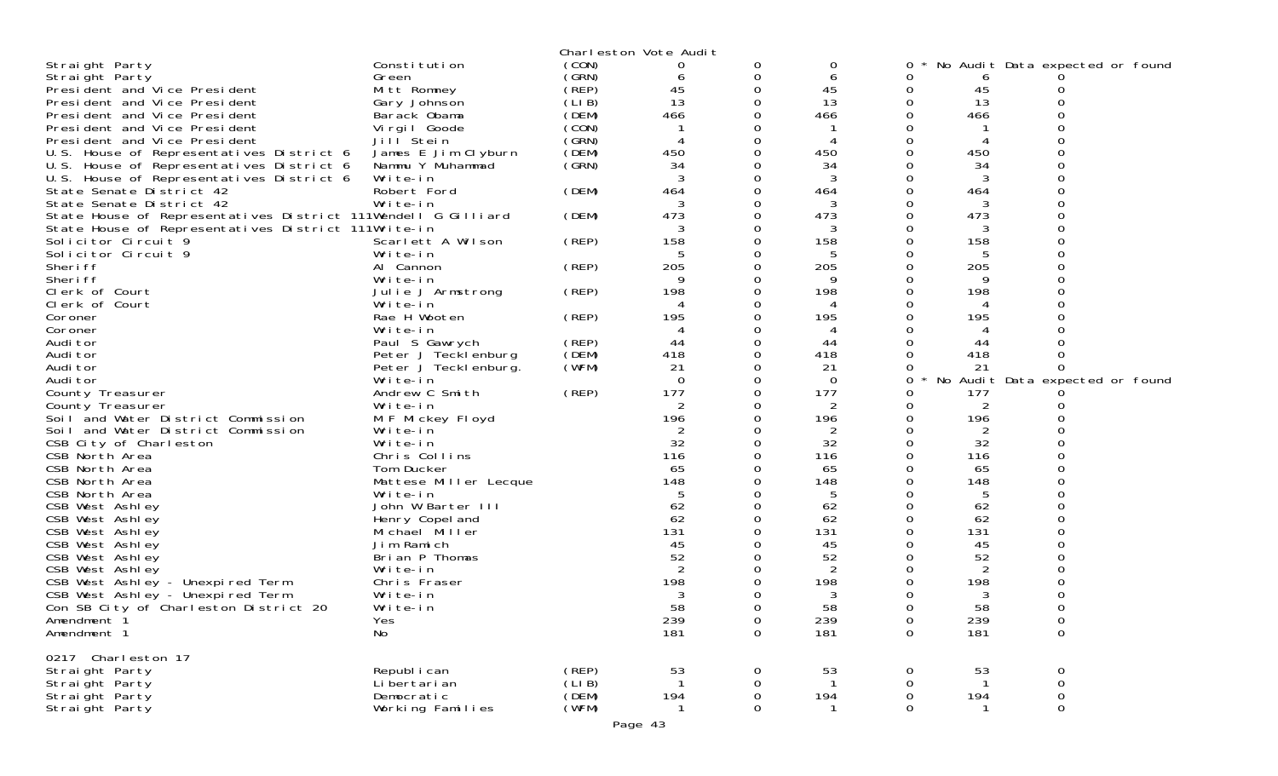|                                                               |                               |        | Charleston Vote Audit |          |                |             |                |                                 |  |
|---------------------------------------------------------------|-------------------------------|--------|-----------------------|----------|----------------|-------------|----------------|---------------------------------|--|
| Straight Party                                                | Constitution                  | (CON)  | 0                     | 0        | 0              |             |                | No Audit Data expected or found |  |
| Straight Party                                                | Green                         | (GRN)  | 6                     | 0        | 6              |             | 6              |                                 |  |
| President and Vice President                                  | Mitt Romney                   | (REP)  | 45                    | 0        | 45             | 0           | 45             |                                 |  |
| President and Vice President                                  | Gary Johnson                  | (LIB)  | 13                    |          | 13             | 0           | 13             |                                 |  |
| President and Vice President                                  | Barack Obama                  | (DEM)  | 466                   |          | 466            |             | 466            |                                 |  |
| President and Vice President                                  | Virgil Goode                  | (CON)  |                       |          |                |             |                |                                 |  |
| President and Vice President                                  | Jill Stein                    | (SRN)  |                       |          |                |             | 4              |                                 |  |
| U.S. House of Representatives District 6                      | James E Jim Clyburn           | (DEM)  | 450                   |          | 450            |             | 450            |                                 |  |
| U.S. House of Representatives District 6                      | Nammu Y Muhammad              | (GRN)  | 34                    |          | 34             |             | 34             |                                 |  |
| U.S. House of Representatives District 6                      | Write-in                      |        |                       |          | 3              |             | 3              |                                 |  |
| State Senate District 42                                      | Robert Ford                   | (DEM)  | 464                   | 0        | 464            |             | 464            |                                 |  |
| State Senate District 42                                      | Write-in                      |        |                       |          | 3              |             | 3              |                                 |  |
| State House of Representatives District 111Wendell G Gilliard |                               | (DEM)  | 473                   |          | 473            |             | 473            |                                 |  |
| State House of Representatives District 111Write-in           |                               |        | 3                     |          | 3              |             | 3              |                                 |  |
| Solicitor Circuit 9                                           | Scarlett A Wilson             | (REP)  | 158                   |          | 158            |             | 158            |                                 |  |
| Solicitor Circuit 9                                           | Write-in                      |        |                       |          | 5              |             | 5              |                                 |  |
| Sheri ff                                                      | Al Cannon                     | (REP)  | 205<br>9              | 0        | 205            |             | 205            |                                 |  |
| Sheri ff                                                      | Write-in                      |        |                       |          | 9              |             | 9              |                                 |  |
| Clerk of Court<br>Clerk of Court                              | Julie J Armstrong<br>Write-in | (REP)  | 198                   |          | 198<br>4       |             | 198<br>4       |                                 |  |
| Coroner                                                       | Rae H Wooten                  | (REP)  | 195                   |          | 195            |             | 195            |                                 |  |
| Coroner                                                       | Write-in                      |        |                       |          |                |             |                |                                 |  |
| Audi tor                                                      | Paul S Gawrych                | (REP)  | 44                    |          | 44             |             | 44             |                                 |  |
| Audi tor                                                      | Peter J Tecklenburg           | (DEM)  | 418                   |          | 418            |             | 418            |                                 |  |
| Audi tor                                                      | Peter J Tecklenburg.          | (WFM)  | 21                    |          | 21             |             | 21             |                                 |  |
| Audi tor                                                      | Write-in                      |        | $\Omega$              | O        | $\Omega$       | 0           |                | No Audit Data expected or found |  |
| County Treasurer                                              | Andrew C Smith                | (REP)  | 177                   |          | 177            |             | 177            |                                 |  |
| County Treasurer                                              | Write-in                      |        | 2                     |          | 2              | 0           | 2              |                                 |  |
| Soil and Water District Commission                            | M F Mickey Floyd              |        | 196                   |          | 196            | 0           | 196            |                                 |  |
| Soil and Water District Commission                            | Write-in                      |        | 2                     |          | $\overline{2}$ |             | 2              |                                 |  |
| CSB City of Charleston                                        | Write-in                      |        | 32                    |          | 32             |             | 32             |                                 |  |
| CSB North Area                                                | Chris Collins                 |        | 116                   |          | 116            |             | 116            |                                 |  |
| CSB North Area                                                | Tom Ducker                    |        | 65                    |          | 65             |             | 65             |                                 |  |
| CSB North Area                                                | Mattese Miller Lecque         |        | 148                   |          | 148            |             | 148            |                                 |  |
| CSB North Area                                                | Write-in                      |        |                       |          |                |             | 5              |                                 |  |
| CSB West Ashley                                               | John W Barter III             |        | 62                    |          | 62             |             | 62             |                                 |  |
| CSB West Ashley                                               | Henry Copel and               |        | 62                    |          | 62             |             | 62             |                                 |  |
| CSB West Ashley                                               | Michael Miller                |        | 131                   |          | 131            |             | 131            |                                 |  |
| CSB West Ashley                                               | Jim Ramich                    |        | 45                    |          | 45             |             | 45             |                                 |  |
| CSB West Ashley                                               | Brian P Thomas                |        | 52                    |          | 52             |             | 52             |                                 |  |
| CSB West Ashley                                               | Write-in                      |        | 2                     |          | $\overline{2}$ |             | $\overline{2}$ |                                 |  |
| CSB West Ashley - Unexpired Term                              | Chris Fraser                  |        | 198                   |          | 198<br>3       |             | 198            |                                 |  |
| CSB West Ashley - Unexpired Term                              | Write-in                      |        | 58                    |          | 58             |             | 3<br>58        |                                 |  |
| Con SB City of Charleston District 20<br>Amendment 1          | Write-in<br>Yes               |        | 239                   | 0        | 239            | $\mathbf 0$ | 239            | 0                               |  |
| Amendment 1                                                   | No                            |        | 181                   | 0        | 181            | $\mathbf 0$ | 181            | $\mathbf 0$                     |  |
|                                                               |                               |        |                       |          |                |             |                |                                 |  |
| 0217 Charleston 17                                            |                               |        |                       |          |                |             |                |                                 |  |
| Straight Party                                                | Republ i can                  | (REP)  | 53                    | 0        | 53             | 0           | 53             | 0                               |  |
| Straight Party                                                | Li bertari an                 | (LI B) |                       | 0        |                | 0           | -1             | 0                               |  |
| Straight Party                                                | Democratic                    | (DEM)  | 194                   | 0        | 194            | $\mathbf 0$ | 194            | $\mathsf{O}\xspace$             |  |
| Straight Party                                                | Working Families              | (WFM)  |                       | $\Omega$ |                | $\Omega$    |                | $\mathbf{O}$                    |  |
|                                                               |                               |        | Page 43               |          |                |             |                |                                 |  |
|                                                               |                               |        |                       |          |                |             |                |                                 |  |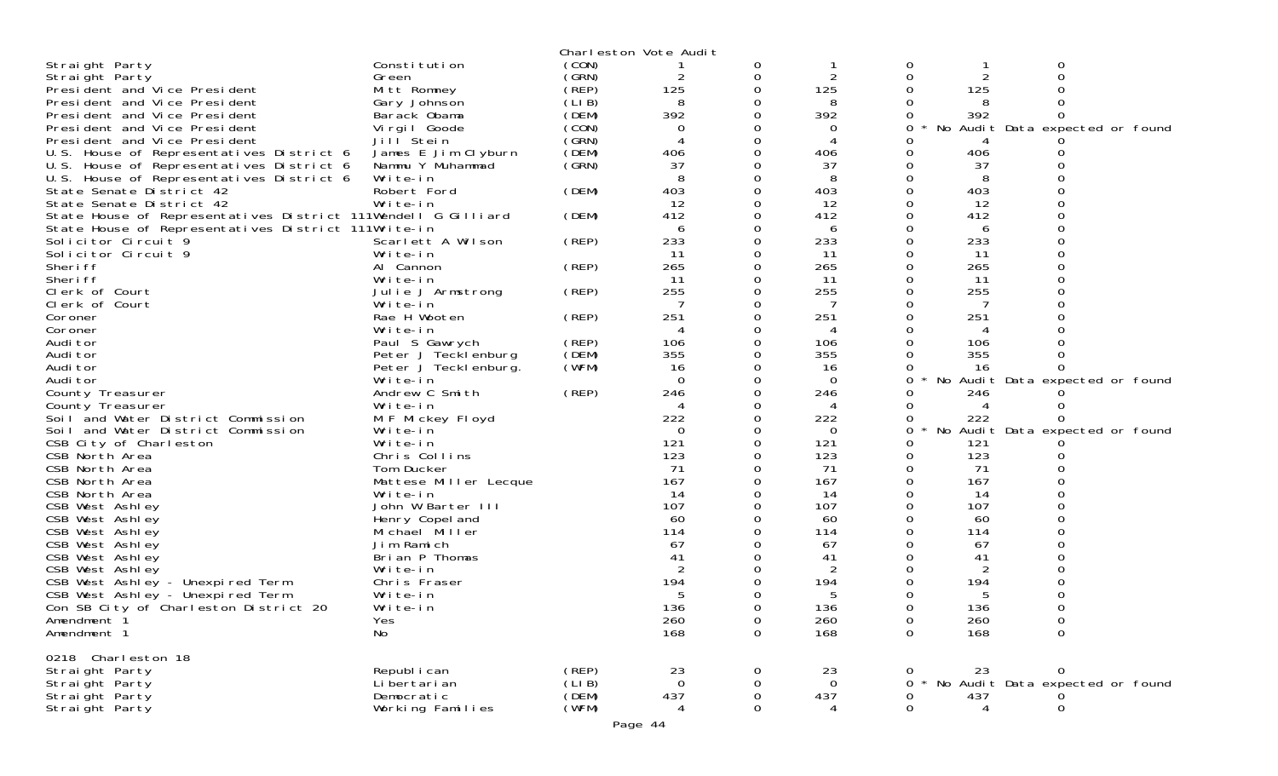|                                                               |                       |        | Charleston Vote Audit |          |             |   |                |                                 |  |
|---------------------------------------------------------------|-----------------------|--------|-----------------------|----------|-------------|---|----------------|---------------------------------|--|
| Straight Party                                                | Constitution          | (CON)  |                       | 0        |             | 0 |                | 0                               |  |
| Straight Party                                                | Green                 | (GRN)  | 2                     | 0        | 2           |   | $\overline{c}$ |                                 |  |
| President and Vice President                                  | Mitt Romney           | (REP)  | 125                   | 0        | 125         |   | 125            |                                 |  |
| President and Vice President                                  | Gary Johnson          | (LIB)  | 8                     |          | 8           |   |                |                                 |  |
| President and Vice President                                  | Barack Obama          | (DEM)  | 392                   |          | 392         |   | 392            |                                 |  |
| President and Vice President                                  | Virgil Goode          | (CON)  | 0                     |          | 0           |   |                | No Audit Data expected or found |  |
| President and Vice President                                  | Jill Stein            | (GRN)  |                       |          | 4           |   |                |                                 |  |
| U.S. House of Representatives District 6                      | James E Jim Clyburn   | (DEM)  | 406                   |          | 406         |   | 406            |                                 |  |
| U.S. House of Representatives District 6                      | Nammu Y Muhammad      | (GRN)  | 37                    |          | 37          |   | 37             |                                 |  |
| U.S. House of Representatives District 6                      | Write-in              |        |                       |          | 8           |   | 8              |                                 |  |
| State Senate District 42                                      | Robert Ford           | (DEM)  | 403                   |          | 403         |   | 403            |                                 |  |
| State Senate District 42                                      | Write-in              |        | 12                    |          | 12          |   | 12             |                                 |  |
| State House of Representatives District 111Wendell G Gilliard |                       | (DEM)  | 412                   |          | 412         |   | 412            |                                 |  |
| State House of Representatives District 111Write-in           |                       |        | 6                     |          | 6           |   | 6              |                                 |  |
| Solicitor Circuit 9                                           | Scarlett A Wilson     | (REP)  | 233                   |          | 233         |   | 233            |                                 |  |
| Solicitor Circuit 9                                           | Write-in              |        | 11                    |          | 11          |   | 11             |                                 |  |
| Sheri ff                                                      | Al Cannon             | (REP)  | 265                   |          | 265         |   | 265            |                                 |  |
| Sheri ff                                                      | Write-in              |        | 11                    |          | 11          |   | -11            |                                 |  |
| Clerk of Court                                                | Julie J Armstrong     | (REP)  | 255                   |          | 255         |   | 255            |                                 |  |
| Clerk of Court                                                | Write-in              |        |                       |          |             |   |                |                                 |  |
| Coroner                                                       | Rae H Wooten          | (REP)  | 251                   |          | 251         |   | 251            |                                 |  |
| Coroner                                                       | Write-in              |        | 4                     |          | 4           |   | 4              |                                 |  |
| Audi tor                                                      | Paul S Gawrych        | (REP)  | 106                   |          | 106         |   | 106            |                                 |  |
| Audi tor                                                      | Peter J Tecklenburg   | (DEM)  | 355                   |          | 355         |   | 355            |                                 |  |
| Audi tor                                                      | Peter J Tecklenburg.  | (WFM)  | 16                    |          | 16          |   | 16             |                                 |  |
| Audi tor                                                      | Write-in              |        | $\Omega$              |          | $\mathbf 0$ | 0 |                | No Audit Data expected or found |  |
| County Treasurer                                              | Andrew C Smith        | (REP)  | 246                   | ∩        | 246         |   | 246            |                                 |  |
| County Treasurer                                              | Write-in              |        | 4                     |          | 4           |   |                |                                 |  |
| Soil and Water District Commission                            | M F Mickey Floyd      |        | 222                   |          | 222         |   | 222            |                                 |  |
| Soil and Water District Commission                            | Write-in              |        | $\Omega$              |          | 0           | 0 |                | No Audit Data expected or found |  |
| CSB City of Charleston                                        | Write-in              |        | 121                   |          | 121         |   | 121            |                                 |  |
| CSB North Area                                                | Chris Collins         |        | 123                   |          | 123         |   | 123            |                                 |  |
| CSB North Area                                                | Tom Ducker            |        | 71                    |          | 71          | 0 | 71             |                                 |  |
| CSB North Area                                                | Mattese Miller Lecque |        | 167                   |          | 167         |   | 167            |                                 |  |
| CSB North Area                                                | Write-in              |        | 14                    |          | 14          |   | 14             |                                 |  |
| CSB West Ashley                                               | John W Barter III     |        | 107                   |          | 107         |   | 107            |                                 |  |
| CSB West Ashley                                               | Henry Copel and       |        | 60                    |          | 60          |   | 60             |                                 |  |
| CSB West Ashley                                               | Michael Miller        |        | 114                   |          | 114         |   | 114            |                                 |  |
| CSB West Ashley                                               | Jim Ramich            |        | 67                    |          | 67          |   | 67             |                                 |  |
| CSB West Ashley                                               | Brian P Thomas        |        | 41                    |          | 41          |   | 41             |                                 |  |
| CSB West Ashley                                               | Write-in              |        |                       |          | 2           |   | 2              |                                 |  |
| CSB West Ashley - Unexpired Term                              | Chris Fraser          |        | 194                   |          | 194         |   | 194            |                                 |  |
| CSB West Ashley - Unexpired Term                              | Write-in              |        | 5                     |          | 5           |   | 5              |                                 |  |
| Con SB City of Charleston District 20                         | Write-in              |        | 136                   | 0        | 136         | O | 136            |                                 |  |
| Amendment 1                                                   | Yes                   |        | 260                   | 0        | 260         | 0 | 260<br>168     | 0                               |  |
| Amendment 1                                                   | No                    |        | 168                   | 0        | 168         | 0 |                | 0                               |  |
| 0218 Charleston 18                                            |                       |        |                       |          |             |   |                |                                 |  |
| Straight Party                                                | Republ i can          | (REP)  | 23                    | 0        | 23          |   | 23             | 0                               |  |
| Straight Party                                                | Li bertari an         | (LI B) | $\Omega$              | 0        | $\mathbf 0$ | 0 |                | No Audit Data expected or found |  |
| Straight Party                                                | Democratic            | (DEM)  | 437                   | 0        | 437         | 0 | 437            |                                 |  |
| Straight Party                                                | Working Families      | (WFM)  | 4                     | $\Omega$ | 4           | 0 | $\overline{4}$ | 0                               |  |
|                                                               |                       |        |                       |          |             |   |                |                                 |  |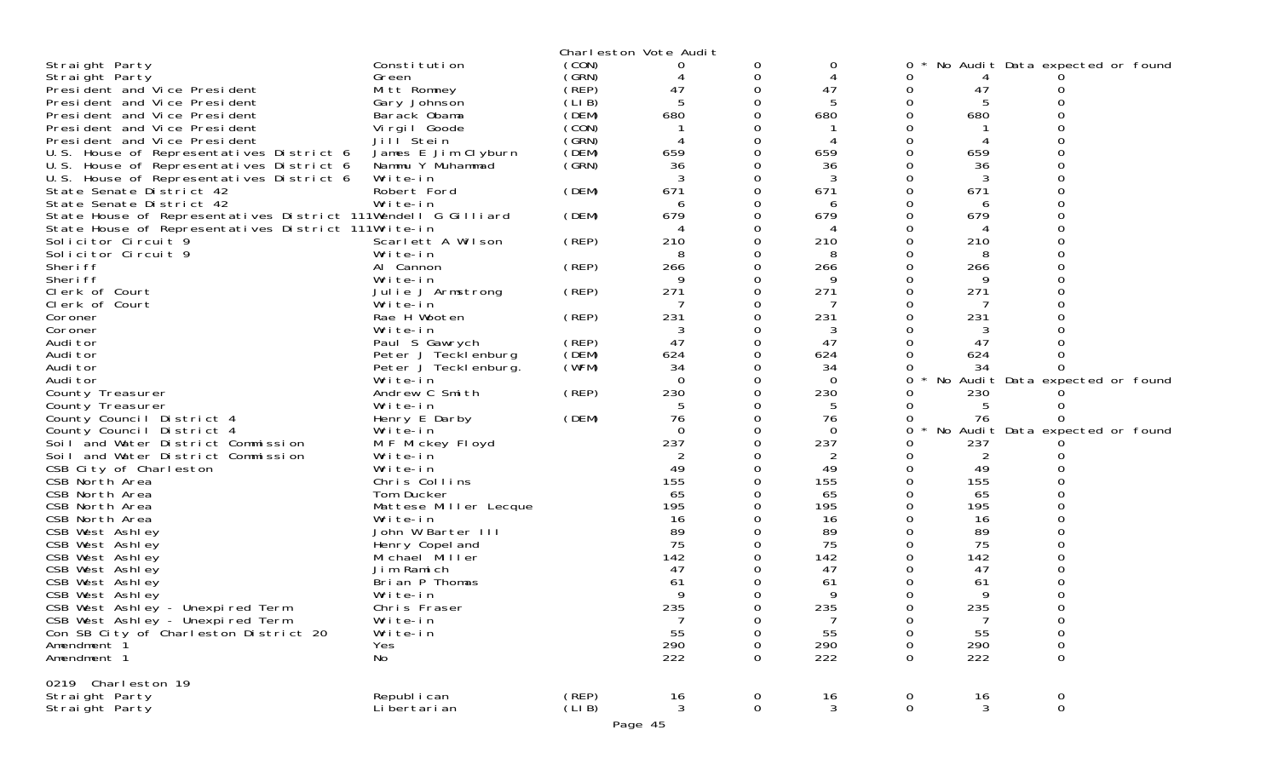|                                                               |                       |       | Charleston Vote Audit    |                |          |             |     |                                 |  |
|---------------------------------------------------------------|-----------------------|-------|--------------------------|----------------|----------|-------------|-----|---------------------------------|--|
| Straight Party                                                | Constitution          | (CON) |                          | 0              | 0        | 0           |     | No Audit Data expected or found |  |
| Straight Party                                                | Green                 | (GRN) | 4                        | 0              | 4        | 0           |     |                                 |  |
| President and Vice President                                  | Mitt Romney           | (REP) | 47                       | 0              | 47       | 0           | 47  |                                 |  |
| President and Vice President                                  | Gary Johnson          | (LIB) | 5                        | 0              | 5        | 0           | 5   |                                 |  |
| President and Vice President                                  | Barack Obama          | (DEM) | 680                      |                | 680      |             | 680 |                                 |  |
| President and Vice President                                  | Virgil Goode          | (CON) |                          |                |          |             |     |                                 |  |
| President and Vice President                                  | Jill Stein            | (GRN) |                          | 0              |          | 0           |     |                                 |  |
| U.S. House of Representatives District 6                      | James E Jim Clyburn   | (DEM) | 659                      |                | 659      |             | 659 |                                 |  |
| U.S. House of Representatives District 6                      | Nammu Y Muhammad      | (GRN) | 36                       |                | 36       |             | 36  |                                 |  |
| U.S. House of Representatives District 6                      | Write-in              |       | 3                        | 0              | 3        | 0           | 3   |                                 |  |
| State Senate District 42                                      | Robert Ford           | (DEM) | 671                      | 0              | 671      |             | 671 |                                 |  |
| State Senate District 42                                      | Write-in              |       | 6                        | 0              | 6        |             |     |                                 |  |
| State House of Representatives District 111Wendell G Gilliard |                       | (DEM) | 679                      | 0              | 679      | 0           | 679 |                                 |  |
| State House of Representatives District 111Write-in           |                       |       | $\boldsymbol{\varDelta}$ |                | 4        |             |     |                                 |  |
| Solicitor Circuit 9                                           | Scarlett A Wilson     | (REP) | 210                      | 0              | 210      |             | 210 |                                 |  |
| Solicitor Circuit 9                                           | Write-in              |       | 8                        | 0              | 8        | 0           | 8   |                                 |  |
| Sheri ff                                                      | Al Cannon             | (REP) | 266                      | 0              | 266      |             | 266 |                                 |  |
| Sheri ff                                                      | Write-in              |       | Q                        | 0              | 9        |             |     |                                 |  |
| Clerk of Court                                                | Julie J Armstrong     | (REP) | 271                      | 0              | 271      | 0           | 271 |                                 |  |
| Clerk of Court                                                | Write-in              |       |                          |                |          |             |     |                                 |  |
| Coroner                                                       | Rae H Wooten          | (REP) | 231                      | 0              | 231      |             | 231 |                                 |  |
| Coroner                                                       | Write-in              |       | 3                        | 0              | 3        | 0           | 3   |                                 |  |
| Audi tor                                                      | Paul S Gawrych        | (REP) | 47                       |                | 47       |             | 47  |                                 |  |
| Audi tor                                                      | Peter J Tecklenburg   | (DEM) | 624                      | 0              | 624      | $\Omega$    | 624 |                                 |  |
| Audi tor                                                      | Peter J Teckl enburg. | (WFM) | 34                       | 0              | 34       | 0           | 34  |                                 |  |
| Audi tor                                                      | Write-in              |       | $\Omega$                 | 0              | $\Omega$ | 0           |     | No Audit Data expected or found |  |
| County Treasurer                                              | Andrew C Smith        | (REP) | 230                      | 0              | 230      |             | 230 |                                 |  |
| County Treasurer                                              | Write-in              |       | 5                        | 0              | 5        | 0           | 5   |                                 |  |
| County Council District 4                                     | Henry E Darby         | (DEM) | 76                       | 0              | 76       | $\Omega$    | 76  |                                 |  |
| County Council District 4                                     | Write-in              |       | $\Omega$                 | 0              | $\Omega$ | 0           |     | No Audit Data expected or found |  |
| Soil and Water District Commission                            | M F Mickey Floyd      |       | 237                      | 0              | 237      |             | 237 |                                 |  |
| Soil and Water District Commission                            | Write-in              |       |                          |                |          |             | 2   |                                 |  |
| CSB City of Charleston                                        | Write-in              |       | 49                       | 0              | 49       | 0           | 49  |                                 |  |
| CSB North Area                                                | Chris Collins         |       | 155                      |                | 155      |             | 155 |                                 |  |
| CSB North Area                                                | Tom Ducker            |       | 65                       |                | 65       |             | 65  |                                 |  |
| CSB North Area                                                | Mattese Miller Lecque |       | 195                      |                | 195      | 0           | 195 |                                 |  |
| CSB North Area                                                | Write-in              |       | 16                       |                | 16       |             | 16  |                                 |  |
| CSB West Ashley                                               | John W Barter III     |       | 89                       |                | 89       |             | 89  |                                 |  |
| CSB West Ashley                                               | Henry Copel and       |       | 75                       | 0              | 75       |             | 75  |                                 |  |
| CSB West Ashley                                               | Michael Miller        |       | 142                      |                | 142      |             | 142 |                                 |  |
| CSB West Ashley                                               | Jim Ramich            |       | 47                       |                | 47       |             | 47  |                                 |  |
| CSB West Ashley                                               | Brian P Thomas        |       | 61                       |                | 61       |             | 61  |                                 |  |
| CSB West Ashley                                               | Write-in              |       | 9                        |                | 9        |             | 9   |                                 |  |
| CSB West Ashley - Unexpired Term                              | Chris Fraser          |       | 235                      | <sup>n</sup>   | 235      | 0           | 235 |                                 |  |
| CSB West Ashley - Unexpired Term                              | Write-in              |       | 7                        | 0              |          | 0           | 7   | $\mathbf 0$                     |  |
| Con SB City of Charleston District 20                         | Write-in              |       | 55                       | 0              | 55       | 0           | 55  | 0                               |  |
| Amendment 1                                                   | Yes                   |       | 290                      | 0              | 290      | 0           | 290 | 0                               |  |
| Amendment 1                                                   | No                    |       | 222                      | $\Omega$       | 222      | 0           | 222 | 0                               |  |
| 0219 Charleston 19                                            |                       |       |                          |                |          |             |     |                                 |  |
| Straight Party                                                | Republ i can          | (REP) | 16                       | 0              | 16       | 0           | 16  | $\mathbf 0$                     |  |
| Straight Party                                                | Li bertari an         | (LIB) | 3                        | $\overline{0}$ | 3        | $\mathbf 0$ | 3   | $\overline{0}$                  |  |
|                                                               |                       |       |                          |                |          |             |     |                                 |  |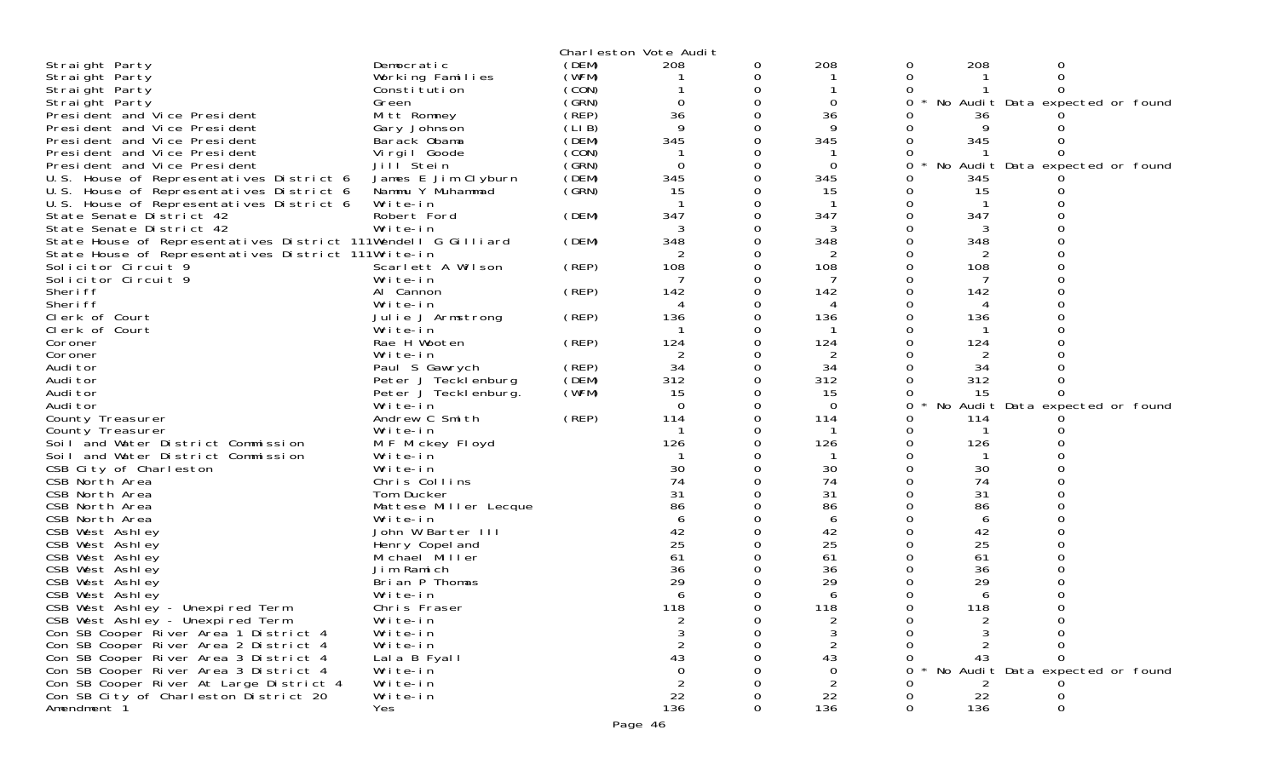|                                                                                |                       |        | Charleston Vote Audit |          |                 |   |     |                                 |  |
|--------------------------------------------------------------------------------|-----------------------|--------|-----------------------|----------|-----------------|---|-----|---------------------------------|--|
| Straight Party                                                                 | Democratic            | (DEM)  | 208                   | 0        | 208             | 0 | 208 |                                 |  |
| Straight Party                                                                 | Working Families      | (WFM)  |                       | 0        |                 | 0 |     |                                 |  |
| Straight Party                                                                 | Constitution          | (CON)  |                       | $\Omega$ |                 | 0 |     |                                 |  |
| Straight Party                                                                 | Green                 | (GRN)  | 0                     | 0        | 0               |   |     | No Audit Data expected or found |  |
| President and Vice President                                                   | Mitt Romney           | (REP)  | 36                    |          | 36              |   | 36  |                                 |  |
| President and Vice President                                                   | Gary Johnson          | (LI B) | 9                     | O        | Q               |   |     |                                 |  |
| President and Vice President                                                   | Barack Obama          | (DEM)  | 345                   | 0        | 345             |   | 345 |                                 |  |
| President and Vice President                                                   | Virgil Goode          | (CON)  |                       |          |                 |   |     |                                 |  |
| President and Vice President                                                   | Jill <sup>Stein</sup> | (GRN)  | $\Omega$              | 0        | $\Omega$        | 0 | No  | Audit Data expected or found    |  |
| U.S. House of Representatives District 6                                       | James E Jim Clyburn   | (DEM)  | 345                   | 0        | 345             |   | 345 |                                 |  |
| U.S. House of Representatives District 6                                       | Nammu Y Muhammad      | (SRN)  | 15                    |          | 15              |   | 15  |                                 |  |
| U.S. House of Representatives District 6                                       | Write-in              |        |                       | 0        |                 |   |     |                                 |  |
| State Senate District 42                                                       | Robert Ford           | (DEM)  | 347                   | 0        | 347             |   | 347 |                                 |  |
| State Senate District 42                                                       | Write-in              |        |                       |          |                 |   |     |                                 |  |
|                                                                                |                       |        | 348                   | 0        |                 |   |     |                                 |  |
| State House of Representatives District 111Wendell G Gilliard                  |                       | (DEM)  |                       |          | 348             |   | 348 |                                 |  |
| State House of Representatives District 111Write-in                            |                       |        | 2                     | 0        | 2               |   | 2   |                                 |  |
| Solicitor Circuit 9                                                            | Scarlett A Wilson     | (REP)  | 108                   |          | 108             |   | 108 |                                 |  |
| Solicitor Circuit 9                                                            | Write-in              |        |                       | 0        |                 |   |     |                                 |  |
| Sheri ff                                                                       | Al Cannon             | (REP)  | 142                   |          | 142             |   | 142 |                                 |  |
| Sheri ff                                                                       | Write-in              |        | 4                     |          |                 |   | 4   |                                 |  |
| Clerk of Court                                                                 | Julie J Armstrong     | (REP)  | 136                   | ი        | 136             |   | 136 |                                 |  |
| Clerk of Court                                                                 | Write-in              |        |                       | 0        |                 |   |     |                                 |  |
| Coroner                                                                        | Rae H Wooten          | (REP)  | 124                   |          | 124             |   | 124 |                                 |  |
| Coroner                                                                        | Write-in              |        | $\overline{2}$        | 0        | 2               |   |     |                                 |  |
| Audi tor                                                                       | Paul S Gawrych        | (REP)  | 34                    | 0        | 34              |   | 34  |                                 |  |
| Audi tor                                                                       | Peter J Tecklenburg   | (DEM)  | 312                   |          | 312             |   | 312 |                                 |  |
| Audi tor                                                                       | Peter J Tecklenburg.  | (WFM)  | 15                    | 0        | 15              |   | 15  |                                 |  |
| Audi tor                                                                       | Write-in              |        | $\Omega$              | 0        | $\Omega$        | 0 |     | No Audit Data expected or found |  |
| County Treasurer                                                               | Andrew C Smith        | (REP)  | 114                   |          | 114             |   | 114 |                                 |  |
| County Treasurer                                                               | Write-in              |        |                       | O        |                 |   |     |                                 |  |
| Soil and Water District Commission                                             | M F Mickey Floyd      |        | 126                   |          | 126             |   | 126 |                                 |  |
| Soil and Water District Commission                                             | Write-in              |        |                       |          |                 |   |     |                                 |  |
| CSB City of Charleston                                                         | Write-in              |        | 30                    | O        | 30              |   | 30  |                                 |  |
| CSB North Area                                                                 | Chris Collins         |        | 74                    |          | 74              |   | 74  |                                 |  |
| CSB North Area                                                                 | Tom Ducker            |        | 31                    |          | 31              |   | 31  |                                 |  |
| CSB North Area                                                                 | Mattese Miller Lecque |        | 86                    |          | 86              |   | 86  |                                 |  |
| CSB North Area                                                                 | Write-in              |        | 6                     |          | 6               |   | 6   |                                 |  |
| CSB West Ashley                                                                | John W Barter III     |        | 42                    |          | 42              |   | 42  |                                 |  |
| CSB West Ashley                                                                | Henry Copel and       |        | 25                    |          | 25              |   | 25  |                                 |  |
| CSB West Ashley                                                                | Michael Miller        |        | 61                    |          | 61              |   | 61  |                                 |  |
| CSB West Ashley                                                                | Jim Ramich            |        | 36                    |          | 36              |   | 36  |                                 |  |
| CSB West Ashley                                                                | Brian P Thomas        |        | 29                    |          | 29              |   | 29  |                                 |  |
| CSB West Ashley                                                                | Write-in              |        | 6                     |          | 6               |   |     |                                 |  |
| CSB West Ashley - Unexpired Term                                               | Chris Fraser          |        | 118                   | $\Omega$ | 118             |   | 118 |                                 |  |
|                                                                                | Write-in              |        |                       |          |                 |   |     |                                 |  |
| CSB West Ashley - Unexpired Term                                               | Write-in              |        |                       | 0        | 2<br>$\sqrt{3}$ |   | 2   |                                 |  |
| Con SB Cooper River Area 1 District 4<br>Con SB Cooper River Area 2 District 4 | Write-in              |        |                       | 0        | $\overline{c}$  |   |     |                                 |  |
|                                                                                |                       |        |                       |          |                 |   |     |                                 |  |
| Con SB Cooper River Area 3 District 4                                          | Lala B Fyall          |        | 43<br>$\Omega$        |          | 43              |   | 43  |                                 |  |
| Con SB Cooper River Area 3 District 4                                          | Write-in              |        |                       |          | $\overline{0}$  |   |     | No Audit Data expected or found |  |
| Con SB Cooper River At Large District 4                                        | Write-in              |        | $\overline{2}$        |          | 2               |   | 2   |                                 |  |
| Con SB City of Charleston District 20                                          | Write-in              |        | 22                    |          | 22              |   | 22  |                                 |  |
| Amendment 1                                                                    | Yes                   |        | 136                   | 0        | 136             |   | 136 | $\Omega$                        |  |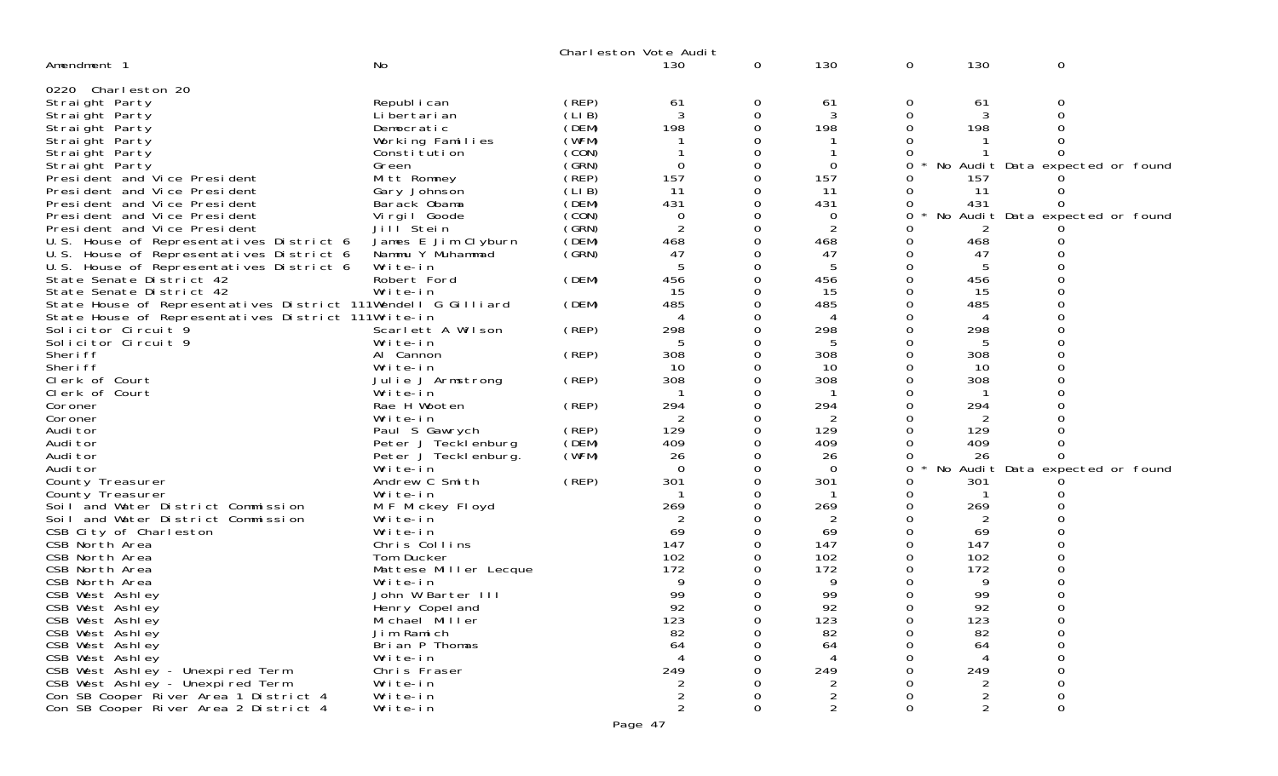|                                                               |                       |       | Charleston Vote Audit   |          |                |             |     |                                 |  |
|---------------------------------------------------------------|-----------------------|-------|-------------------------|----------|----------------|-------------|-----|---------------------------------|--|
| Amendment 1                                                   | <b>No</b>             |       | 130                     | 0        | 130            | $\mathbf 0$ | 130 | $\mathbf 0$                     |  |
|                                                               |                       |       |                         |          |                |             |     |                                 |  |
| 0220 Charleston 20                                            |                       |       |                         |          |                |             |     |                                 |  |
| Straight Party                                                | Republ i can          | (REP) | 61                      | 0        | 61             | 0           | 61  | 0                               |  |
| Straight Party                                                | Li bertari an         | (LIB) | 3                       | 0        | 3              | 0           | 3   | 0                               |  |
| Straight Party                                                | Democratic            | (DEM) | 198                     |          | 198            | 0           | 198 |                                 |  |
| Straight Party                                                | Working Families      | (WFM) |                         |          |                | 0           |     |                                 |  |
| Straight Party                                                | Constitution          | (CON) |                         |          |                |             |     |                                 |  |
| Straight Party                                                | Green                 | (SRN) | $\Omega$                |          | 0              | 0           |     | No Audit Data expected or found |  |
| President and Vice President                                  | Mitt Romney           | (REP) | 157                     | 0        | 157            | 0           | 157 |                                 |  |
| President and Vice President                                  | Gary Johnson          | (LIB) | 11                      |          | 11             | 0           | 11  | Ω                               |  |
| President and Vice President                                  | Barack Obama          | (DEM) | 431                     |          | 431            | 0           | 431 | O                               |  |
| President and Vice President                                  | Virgil Goode          | (CON) | 0                       |          | 0              | 0           |     | No Audit Data expected or found |  |
| President and Vice President                                  | Jill Stein            | (SRN) |                         |          | $\overline{2}$ | 0           | 2   |                                 |  |
| U.S. House of Representatives District 6                      | James E Jim Clyburn   | (DEM) | 468                     | $\Omega$ | 468            | 0           | 468 |                                 |  |
| U.S. House of Representatives District 6                      | Nammu Y Muhammad      | (GRN) | 47                      |          | 47             | 0           | 47  | O                               |  |
| U.S. House of Representatives District 6                      | Write-in              |       |                         | 0        | 5              | 0           | 5   |                                 |  |
| State Senate District 42                                      | Robert Ford           | (DEM) | 456                     | 0        | 456            | $\Omega$    | 456 |                                 |  |
| State Senate District 42                                      | Write-in              |       | 15                      | 0        | 15             | 0           | 15  |                                 |  |
| State House of Representatives District 111Wendell G Gilliard |                       | (DEM) | 485                     |          | 485            | 0           | 485 |                                 |  |
| State House of Representatives District 111Write-in           |                       |       |                         |          | 4              |             |     |                                 |  |
| Solicitor Circuit 9                                           | Scarlett A Wilson     | (REP) | 298                     | 0        | 298            | 0           | 298 | 0                               |  |
| Solicitor Circuit 9                                           | Write-in              |       |                         |          | 5              | 0           | 5   |                                 |  |
| Sheri ff                                                      | Al Cannon             | (REP) | 308                     | 0        | 308            | $\Omega$    | 308 | ∩                               |  |
| Sheri ff                                                      | Write-in              |       | 10                      | 0        | 10             | 0           | 10  |                                 |  |
| Clerk of Court                                                | Julie J Armstrong     | (REP) | 308                     |          | 308            | 0           | 308 |                                 |  |
| Clerk of Court                                                | Write-in              |       |                         |          |                | 0           |     |                                 |  |
| Coroner                                                       | Rae H Wooten          | (REP) | 294                     | 0        | 294            | 0           | 294 |                                 |  |
| Coroner                                                       | Write-in              |       | 2                       |          | $\overline{2}$ | 0           | 2   |                                 |  |
| Audi tor                                                      | Paul S Gawrych        | (REP) | 129                     | 0        | 129            | $\Omega$    | 129 |                                 |  |
| Audi tor                                                      | Peter J Tecklenburg   | (DEM) | 409                     |          | 409            | 0           | 409 | 0                               |  |
| Audi tor                                                      | Peter J Tecklenburg.  | (WFM) | 26                      |          | 26             | 0           | 26  |                                 |  |
| Audi tor                                                      | Write-in              |       | $\Omega$                | 0        | $\Omega$       | 0           |     | No Audit Data expected or found |  |
| County Treasurer                                              | Andrew C Smith        | (REP) | 301                     | 0        | 301            | 0           | 301 |                                 |  |
| County Treasurer                                              | Write-in              |       |                         |          |                | 0           |     |                                 |  |
| Soil and Water District Commission                            | M F Mickey Floyd      |       | 269                     |          | 269            | 0           | 269 |                                 |  |
| Soil and Water District Commission                            | Write-in              |       | 2                       |          | $\overline{2}$ | 0           | 2   |                                 |  |
| CSB City of Charleston                                        | Write-in              |       | 69                      |          | 69             | 0           | 69  |                                 |  |
| CSB North Area                                                | Chris Collins         |       | 147                     |          | 147            | 0           | 147 |                                 |  |
| CSB North Area                                                | Tom Ducker            |       | 102                     |          | 102            | 0           | 102 |                                 |  |
| CSB North Area                                                | Mattese Miller Lecque |       | 172                     |          | 172            | 0           | 172 |                                 |  |
| CSB North Area                                                | Write-in              |       |                         |          | 9              | 0           | 9   | 0                               |  |
| CSB West Ashley                                               | John W Barter III     |       | 99                      |          | 99             | 0           | 99  | 0                               |  |
| CSB West Ashley                                               | Henry Copel and       |       | 92                      | 0        | 92             | $\Omega$    | 92  | 0                               |  |
| CSB West Ashley                                               | Michael Miller        |       | 123                     | 0        | 123            | 0           | 123 | 0                               |  |
| CSB West Ashley                                               | Jim Ramich            |       | 82                      | $\Omega$ | 82             | 0           | 82  | 0                               |  |
| CSB West Ashley                                               | Brian P Thomas        |       | 64                      |          | 64             |             | 64  | 0                               |  |
| CSB West Ashley                                               | Write-in              |       |                         |          |                |             |     | O                               |  |
| CSB West Ashley - Unexpired Term                              | Chris Fraser          |       | 249                     |          | 249            |             | 249 |                                 |  |
| CSB West Ashley - Unexpired Term                              | Write-in              |       | 2                       |          | 2              |             | 2   | 0                               |  |
| Con SB Cooper River Area 1 District 4                         | Write-in              |       | $\overline{\mathbf{c}}$ |          |                | 0           | 2   | 0                               |  |
| Con SB Cooper River Area 2 District 4                         | Write-in              |       | $\overline{2}$          | 0        | $\frac{2}{2}$  | 0           | 2   | 0                               |  |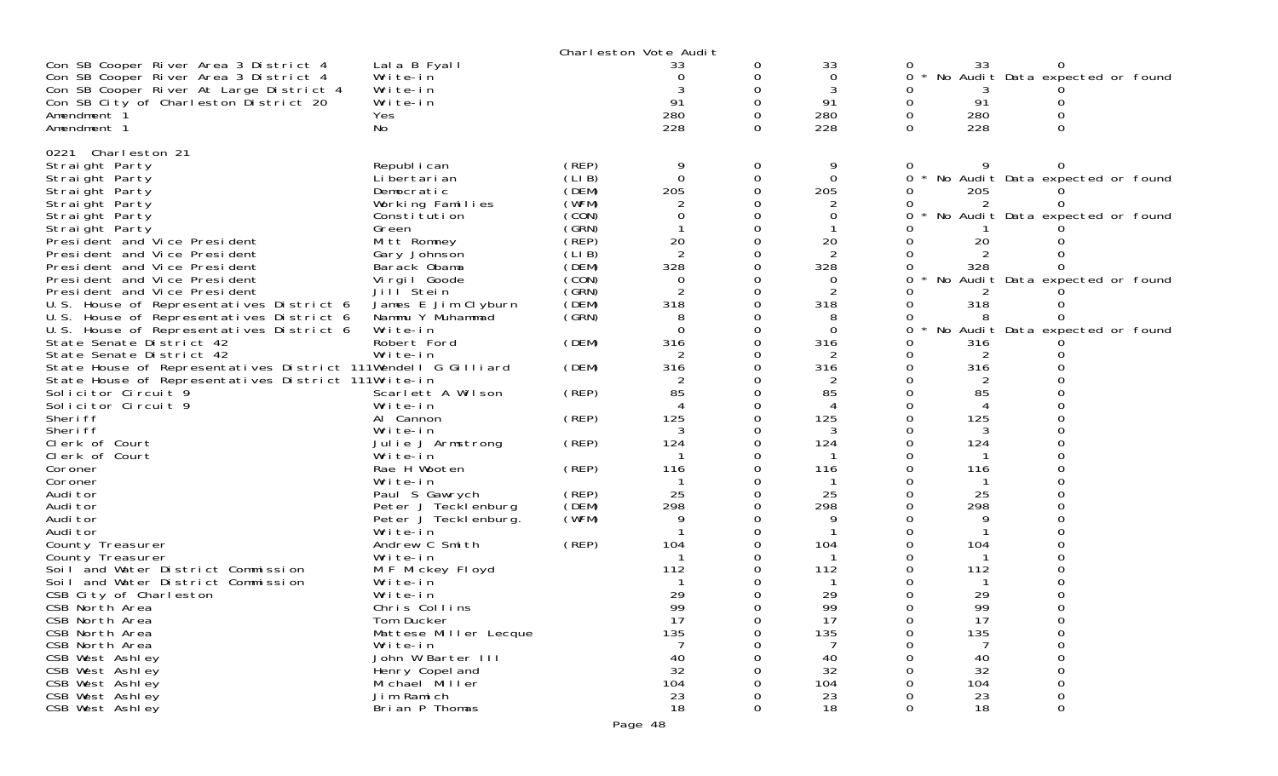|                                                                                                                                                                                                  |                                                                                                         | Charleston Vote Audit                                       |                                |                            |                                  |                    |                        |                                                                    |
|--------------------------------------------------------------------------------------------------------------------------------------------------------------------------------------------------|---------------------------------------------------------------------------------------------------------|-------------------------------------------------------------|--------------------------------|----------------------------|----------------------------------|--------------------|------------------------|--------------------------------------------------------------------|
| Con SB Cooper River Area 3 District 4<br>Con SB Cooper River Area 3 District 4<br>Con SB Cooper River At Large District 4<br>Con SB City of Charleston District 20<br>Amendment 1<br>Amendment 1 | Lala B Fyall<br>Write-in<br>Write-in<br>Write-in<br>Yes<br>No                                           |                                                             | 33<br>0<br>91<br>280<br>228    | 0<br>0<br>0<br>0<br>0<br>0 | 33<br>0<br>3<br>91<br>280<br>228 | 0<br>0<br>$\Omega$ | 33<br>91<br>280<br>228 | No Audit Data expected or found                                    |
|                                                                                                                                                                                                  |                                                                                                         |                                                             |                                |                            |                                  |                    |                        |                                                                    |
| 0221 Charleston 21<br>Straight Party<br>Straight Party<br>Straight Party<br>Straight Party<br>Straight Party<br>Straight Party<br>President and Vice President                                   | Republ i can<br>Li bertari an<br>Democratic<br>Working Families<br>Constitution<br>Green<br>Mitt Romney | (REP)<br>(LIB)<br>(DEM)<br>(WFM)<br>(CON)<br>(GRN)<br>(REP) | 9<br>$\Omega$<br>205<br>20     | 0<br>0<br>$\Omega$         | $\Omega$<br>205<br>20            | 0<br>0             | 205<br>20              | No Audit Data expected or found<br>No Audit Data expected or found |
| President and Vice President                                                                                                                                                                     | Gary Johnson                                                                                            | (LIB)                                                       | 2                              |                            | 2                                |                    |                        |                                                                    |
| President and Vice President<br>President and Vice President                                                                                                                                     | Barack Obama<br>Virgil Goode                                                                            | (DEM)<br>(CON)                                              | 328<br>$\Omega$                |                            | 328                              |                    | 328                    | No Audit Data expected or found                                    |
| President and Vice President                                                                                                                                                                     | Jill Stein                                                                                              | (GRN)                                                       |                                | 0                          | 2                                |                    |                        |                                                                    |
| U.S. House of Representatives District 6                                                                                                                                                         | James E Jim Clyburn                                                                                     | (DEM)                                                       | 318                            |                            | 318                              |                    | 318                    |                                                                    |
| U.S. House of Representatives District 6                                                                                                                                                         | Nammu Y Muhammad                                                                                        | (GRN)                                                       | 8                              |                            |                                  |                    |                        |                                                                    |
| U.S. House of Representatives District 6<br>State Senate District 42                                                                                                                             | Write-in<br>Robert Ford                                                                                 | (DEM)                                                       | $\Omega$<br>316                | 0                          | $\Omega$<br>316                  | 0                  | 316                    | No Audit Data expected or found                                    |
| State Senate District 42                                                                                                                                                                         | Write-in                                                                                                |                                                             |                                |                            |                                  |                    |                        |                                                                    |
| State House of Representatives District 111Wendell G Gilliard                                                                                                                                    |                                                                                                         | (DEM)                                                       | 316                            | 0                          | 316                              | 0                  | 316                    |                                                                    |
| State House of Representatives District 111Write-in                                                                                                                                              |                                                                                                         |                                                             |                                |                            |                                  |                    |                        |                                                                    |
| Solicitor Circuit 9                                                                                                                                                                              | Scarlett A Wilson                                                                                       | (REP)                                                       | 85<br>$\boldsymbol{\varDelta}$ |                            | 85                               |                    | 85                     |                                                                    |
| Solicitor Circuit 9<br>Sheri ff                                                                                                                                                                  | Write-in<br>Al Cannon                                                                                   | (REP)                                                       | 125                            |                            | 4<br>125                         |                    | $\overline{4}$<br>125  |                                                                    |
| Sheri ff                                                                                                                                                                                         | Write-in                                                                                                |                                                             |                                |                            |                                  |                    | 3                      |                                                                    |
| Clerk of Court                                                                                                                                                                                   | Julie J Armstrong                                                                                       | (REP)                                                       | 124                            | 0                          | 124                              |                    | 124                    |                                                                    |
| Clerk of Court                                                                                                                                                                                   | Write-in                                                                                                |                                                             |                                |                            |                                  |                    |                        |                                                                    |
| Coroner                                                                                                                                                                                          | Rae H Wooten                                                                                            | (REP)                                                       | 116                            |                            | 116                              |                    | 116                    |                                                                    |
| Coroner<br>Audi tor                                                                                                                                                                              | Write-in<br>Paul S Gawrych                                                                              | (REP)                                                       | 25                             |                            | 25                               |                    | 25                     |                                                                    |
| Audi tor                                                                                                                                                                                         | Peter J Tecklenburg                                                                                     | (DEM)                                                       | 298                            | 0                          | 298                              |                    | 298                    |                                                                    |
| Audi tor                                                                                                                                                                                         | Peter J Teckl enburg.                                                                                   | (WFM)                                                       | 9                              |                            | 9                                |                    | 9                      |                                                                    |
| Audi tor                                                                                                                                                                                         | Write-in                                                                                                |                                                             |                                |                            |                                  |                    |                        |                                                                    |
| County Treasurer<br>County Treasurer                                                                                                                                                             | Andrew C Smith<br>Write-in                                                                              | (REP)                                                       | 104                            |                            | 104                              |                    | 104                    |                                                                    |
| Soil and Water District Commission                                                                                                                                                               | M F Mickey Floyd                                                                                        |                                                             | 112                            |                            | 112                              |                    | 112                    |                                                                    |
| Soil and Water District Commission                                                                                                                                                               | Write-in                                                                                                |                                                             |                                |                            |                                  |                    |                        |                                                                    |
| CSB City of Charleston                                                                                                                                                                           | Write-in                                                                                                |                                                             | 29                             |                            | 29                               |                    | 29                     |                                                                    |
| CSB North Area                                                                                                                                                                                   | Chris Collins                                                                                           |                                                             | QQ<br>,,,<br>17                |                            | 99<br>17                         |                    | QQ<br>,,,<br>17        |                                                                    |
| CSB North Area<br>CSB North Area                                                                                                                                                                 | Tom Ducker<br>Mattese Miller Lecque                                                                     |                                                             | 135                            | 0                          | 135                              | 0                  | 135                    |                                                                    |
| CSB North Area                                                                                                                                                                                   | Write-in                                                                                                |                                                             |                                |                            |                                  |                    |                        |                                                                    |
| CSB West Ashley                                                                                                                                                                                  | John W Barter III                                                                                       |                                                             | 40                             |                            | 40                               |                    | 40                     |                                                                    |
| CSB West Ashley                                                                                                                                                                                  | Henry Copel and                                                                                         |                                                             | 32                             |                            | 32                               |                    | 32                     |                                                                    |
| CSB West Ashley<br>CSB West Ashley                                                                                                                                                               | Michael Miller<br>Jim Ramich                                                                            |                                                             | 104<br>23                      |                            | 104                              |                    | 104<br>23              |                                                                    |
| CSB West Ashley                                                                                                                                                                                  | Brian P Thomas                                                                                          |                                                             | 18                             | 0                          | 23<br>18                         | $\Omega$           | 18                     | 0                                                                  |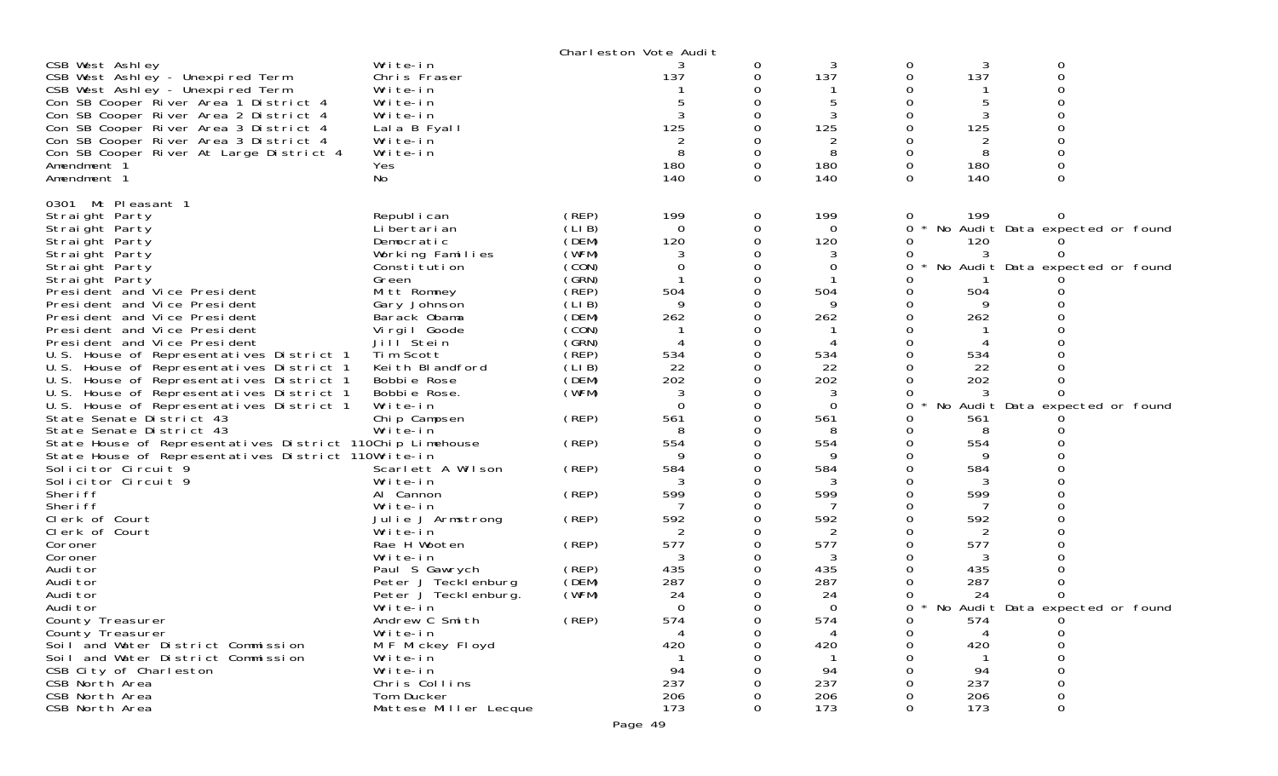|                                                                                                                                  |                                                  |                | Charleston Vote Audit |               |               |          |               |                                   |  |
|----------------------------------------------------------------------------------------------------------------------------------|--------------------------------------------------|----------------|-----------------------|---------------|---------------|----------|---------------|-----------------------------------|--|
| CSB West Ashley<br>CSB West Ashley - Unexpired Term<br>CSB West Ashley - Unexpired Term<br>Con SB Cooper River Area 1 District 4 | Write-in<br>Chris Fraser<br>Write-in<br>Write-in |                | 137                   | 0<br>0        | 3<br>137<br>5 | 0<br>0   | 3<br>137      | 0<br>$\Omega$                     |  |
| Con SB Cooper River Area 2 District 4<br>Con SB Cooper River Area 3 District 4<br>Con SB Cooper River Area 3 District 4          | Write-in<br>Lala B Fyall<br>Write-in             |                | 3<br>125              |               | 3<br>125<br>2 |          | 3<br>125<br>2 |                                   |  |
| Con SB Cooper River At Large District 4<br>Amendment 1                                                                           | Write-in<br>Yes                                  |                | 8<br>180              | 0<br>$\Omega$ | 8<br>180      | 0        | 8<br>180      |                                   |  |
| Amendment 1                                                                                                                      | No                                               |                | 140                   | $\Omega$      | 140           | $\Omega$ | 140           | $\Omega$                          |  |
| 0301<br>Mt Pleasant 1                                                                                                            |                                                  | (REP)          | 199                   |               | 199           |          | 199           |                                   |  |
| Straight Party<br>Straight Party                                                                                                 | Republ i can<br>Li bertari an                    | (LIB)          | $\Omega$              | 0<br>0        | $\Omega$      | 0<br>0   |               | * No Audit Data expected or found |  |
| Straight Party                                                                                                                   | Democratic                                       | (DEM)          | 120                   |               | 120           |          | 120           |                                   |  |
| Straight Party                                                                                                                   | Working Families                                 | (WFM)          |                       |               |               |          |               |                                   |  |
| Straight Party                                                                                                                   | Constitution                                     | (CON)          | 0                     |               | 0             |          |               | No Audit Data expected or found   |  |
| Straight Party                                                                                                                   | Green                                            | (GRN)          |                       |               |               |          |               |                                   |  |
| President and Vice President                                                                                                     | Mitt Romney                                      | (REP)          | 504                   |               | 504           |          | 504           |                                   |  |
| President and Vice President                                                                                                     | Gary Johnson                                     | (LIB)          | 9                     |               | 9             |          | 9             |                                   |  |
| President and Vice President                                                                                                     | Barack Obama                                     | (DEM)          | 262                   |               | 262           |          | 262           |                                   |  |
| President and Vice President                                                                                                     | Virgil Goode                                     | (CON)          |                       |               |               |          |               |                                   |  |
| President and Vice President                                                                                                     | Jill Stein                                       | (SRN)<br>(REP) |                       |               | 4             |          |               |                                   |  |
| U.S. House of Representatives District 1                                                                                         | Tim Scott<br>Keith Blandford                     | (LIB)          | 534<br>22             |               | 534<br>22     |          | 534<br>22     |                                   |  |
| U.S. House of Representatives District 1<br>U.S. House of Representatives District 1                                             | Bobbie Rose                                      | (DEM)          | 202                   |               | 202           |          | 202           |                                   |  |
| U.S. House of Representatives District 1                                                                                         | Bobbie Rose.                                     | (WFM)          | 3                     |               | 3             |          |               |                                   |  |
| U.S. House of Representatives District 1                                                                                         | Write-in                                         |                | $\Omega$              |               | $\Omega$      | 0        |               | No Audit Data expected or found   |  |
| State Senate District 43                                                                                                         | Chip Campsen                                     | (REP)          | 561                   |               | 561           |          | 561           |                                   |  |
| State Senate District 43                                                                                                         | Write-in                                         |                |                       |               | 8             |          | 8             |                                   |  |
| State House of Representatives District 110Chip Limehouse                                                                        |                                                  | (REP)          | 554                   |               | 554           |          | 554           |                                   |  |
| State House of Representatives District 110Write-in                                                                              |                                                  |                |                       |               | 9             |          | 9             |                                   |  |
| Solicitor Circuit 9                                                                                                              | Scarlett A Wilson                                | (REP)          | 584                   |               | 584           |          | 584           |                                   |  |
| Solicitor Circuit 9                                                                                                              | Write-in                                         |                |                       |               | 3             |          |               |                                   |  |
| Sheri ff                                                                                                                         | Al Cannon                                        | (REP)          | 599                   |               | 599           |          | 599           |                                   |  |
| Sheri ff                                                                                                                         | Write-in                                         |                |                       |               |               |          |               |                                   |  |
| Clerk of Court                                                                                                                   | Julie J Armstrong                                | (REP)          | 592                   |               | 592           |          | 592           |                                   |  |
| Clerk of Court<br>Coroner                                                                                                        | Write-in<br>Rae H Wooten                         | (REP)          | 2<br>577              |               | 2<br>577      |          | 2<br>577      |                                   |  |
| Coroner                                                                                                                          | Write-in                                         |                | 3                     |               | 3             |          | 3             |                                   |  |
| Audi tor                                                                                                                         | Paul S Gawrych                                   | (REP)          | 435                   |               | 435           |          | 435           |                                   |  |
| Audi tor                                                                                                                         | Peter J Tecklenburg                              | (DEM)          | 287                   |               | 287           |          | 287           |                                   |  |
| Audi tor                                                                                                                         | Peter J Tecklenburg.                             | (WFM)          | 24                    |               | 24            |          | 24            |                                   |  |
| Audi tor                                                                                                                         | Write-in                                         |                | $\Omega$              | 0             | $\Omega$      | 0        |               | No Audit Data expected or found   |  |
| County Treasurer                                                                                                                 | Andrew C Smith                                   | (REP)          | 574                   | 0             | 574           | 0        | 574           | 0                                 |  |
| County Treasurer                                                                                                                 | Write-in                                         |                | 4                     |               | 4             |          |               | 0                                 |  |
| Soil and Water District Commission                                                                                               | M F Mickey Floyd                                 |                | 420                   |               | 420           |          | 420           |                                   |  |
| Soil and Water District Commission                                                                                               | Write-in                                         |                |                       |               |               |          |               |                                   |  |
| CSB City of Charleston                                                                                                           | Write-in                                         |                | 94                    |               | 94            |          | 94            |                                   |  |
| CSB North Area                                                                                                                   | Chris Collins                                    |                | 237                   |               | 237           |          | 237           |                                   |  |
| CSB North Area                                                                                                                   | Tom Ducker<br>Mattese Miller Lecque              |                | 206<br>173            |               | 206<br>173    |          | 206<br>173    |                                   |  |
| CSB North Area                                                                                                                   |                                                  |                |                       | 0             |               | 0        |               | 0                                 |  |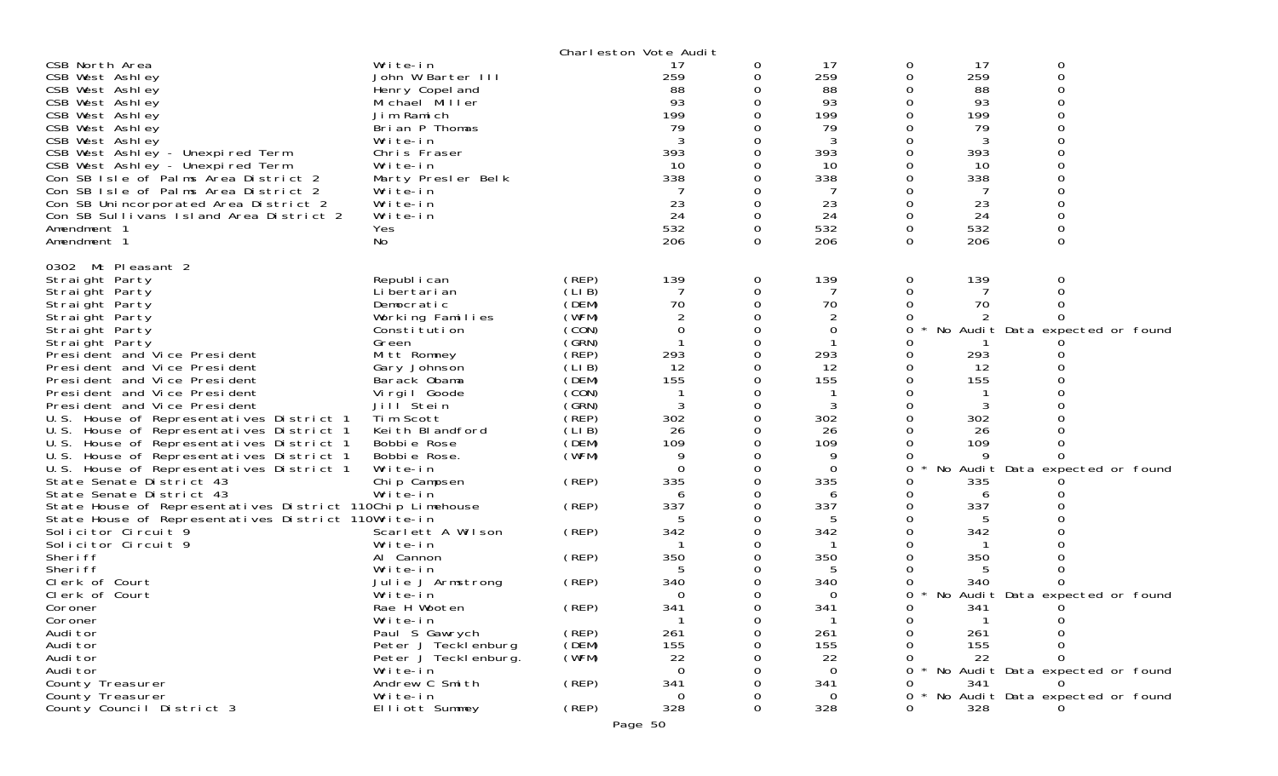|                                                                          |                                    |                | Charleston Vote Audit |          |          |          |          |                                 |
|--------------------------------------------------------------------------|------------------------------------|----------------|-----------------------|----------|----------|----------|----------|---------------------------------|
| CSB North Area                                                           | Write-in                           |                | 17                    | 0        | 17       | 0        | 17       | 0                               |
| CSB West Ashley                                                          | John W Barter III                  |                | 259                   | 0        | 259      | 0        | 259      | 0                               |
| CSB West Ashley                                                          | Henry Copel and                    |                | 88                    |          | 88       |          | 88       |                                 |
| CSB West Ashley                                                          | Michael Miller                     |                | 93                    | 0        | 93       |          | 93       |                                 |
| CSB West Ashley                                                          | Jim Ramich                         |                | 199<br>79             |          | 199      |          | 199      |                                 |
| CSB West Ashley<br>CSB West Ashley                                       | Brian P Thomas<br>Write-in         |                | 3                     |          | 79<br>3  |          | 79<br>3  |                                 |
| CSB West Ashley - Unexpired Term                                         | Chris Fraser                       |                | 393                   |          | 393      |          | 393      |                                 |
| CSB West Ashley - Unexpired Term                                         | Write-in                           |                | 10                    |          | 10       |          | 10       |                                 |
| Con SB Isle of Palms Area District 2                                     | Marty Presler Belk                 |                | 338                   | 0        | 338      |          | 338      |                                 |
| Con SB Isle of Palms Area District 2                                     | Write-in                           |                |                       |          | 7        |          |          |                                 |
| Con SB Unincorporated Area District 2                                    | Write-in                           |                | 23                    |          | 23       |          | 23       |                                 |
| Con SB Sullivans Island Area District 2                                  | Write-in                           |                | 24                    | $\Omega$ | 24       | $\Omega$ | 24       |                                 |
| Amendment 1                                                              | Yes                                |                | 532                   | 0        | 532      | 0        | 532      | $\mathbf 0$                     |
| Amendment 1                                                              | No                                 |                | 206                   | 0        | 206      | $\Omega$ | 206      | $\Omega$                        |
| 0302 Mt Pleasant 2                                                       |                                    |                |                       |          |          |          |          |                                 |
| Straight Party                                                           | Republ i can                       | (REP)          | 139                   | 0        | 139      | 0        | 139      | 0                               |
| Straight Party                                                           | Li bertari an                      | (LIB)          | 7                     | 0        | 7        | 0        |          |                                 |
| Straight Party                                                           | Democratic                         | (DEM)          | 70                    | 0        | 70       | 0        | 70       |                                 |
| Straight Party                                                           | Working Families                   | (WFM)          |                       |          |          |          |          |                                 |
| Straight Party                                                           | Constitution                       | (CON)          | 0                     | 0        | 0        | 0        |          | No Audit Data expected or found |
| Straight Party                                                           | Green                              | (GRN)          |                       |          |          |          |          |                                 |
| Presi dent and Vice Presi dent                                           | Mitt Romney                        | (REP)          | 293                   | 0        | 293      |          | 293      |                                 |
| President and Vice President                                             | Gary Johnson                       | (LIB)          | 12                    | 0        | 12       | 0        | 12       |                                 |
| President and Vice President                                             | Barack Obama                       | (DEM)          | 155                   |          | 155      |          | 155      |                                 |
| President and Vice President                                             | Virgil Goode                       | (CON)          |                       | 0        |          |          |          |                                 |
| President and Vice President<br>U.S. House of Representatives District 1 | Jill <sup>Stein</sup><br>Tim Scott | (GRN)<br>(REP) | 3<br>302              | 0        | 3<br>302 |          | 3<br>302 |                                 |
| U.S. House of Representatives District 1                                 | Keith Blandford                    | (LIB)          | 26                    | 0        | 26       |          | 26       |                                 |
| U.S. House of Representatives District 1                                 | Bobbie Rose                        | (DEM)          | 109                   |          | 109      |          | 109      |                                 |
| U.S. House of Representatives District 1                                 | Bobbie Rose.                       | (WFM)          | 9                     |          | 9        |          |          |                                 |
| U.S. House of Representatives District 1                                 | Write-in                           |                | $\Omega$              | 0        | 0        | 0        |          | No Audit Data expected or found |
| State Senate District 43                                                 | Chip Campsen                       | (REP)          | 335                   | 0        | 335      |          | 335      |                                 |
| State Senate District 43                                                 | Write-in                           |                | 6                     |          | 6        |          | 6        |                                 |
| State House of Representatives District 110Chip Limehouse                |                                    | (REP)          | 337                   | 0        | 337      | 0        | 337      |                                 |
| State House of Representatives District 110Write-in                      |                                    |                | 5                     | 0        | 5        |          | 5        |                                 |
| Solicitor Circuit 9                                                      | Scarlett A Wilson                  | (REP)          | 342                   |          | 342      |          | 342      |                                 |
| Solicitor Circuit 9                                                      | Write-in                           |                |                       | 0        |          |          |          |                                 |
| Sheri ff<br>Sheri ff                                                     | Al Cannon<br>Write-in              | (REP)          | 350                   | 0        | 350      |          | 350      |                                 |
| Clerk of Court                                                           | Julie J Armstrong                  | (REP)          | 340                   |          | 340      |          | 340      |                                 |
| Clerk of Court                                                           | Write-in                           |                | $\Omega$              | 0        | 0        | 0        |          | No Audit Data expected or found |
| Coroner                                                                  | Rae H Wooten                       | (REP)          | 341                   | $\Omega$ | 341      | 0        | 341      | $\Omega$                        |
| Coroner                                                                  | Write-in                           |                |                       | 0        |          |          |          |                                 |
| Audi tor                                                                 | Paul S Gawrych                     | (REP)          | 261                   | 0        | 261      |          | 261      |                                 |
| Audi tor                                                                 | Peter J Tecklenburg                | (DEM)          | 155                   |          | 155      |          | 155      |                                 |
| Audi tor                                                                 | Peter J Teckl enburg.              | (WFM)          | 22                    |          | 22       |          | 22       |                                 |
| Audi tor                                                                 | Write-in                           |                | $\Omega$              |          | $\Omega$ | 0        |          | No Audit Data expected or found |
| County Treasurer                                                         | Andrew C Smith                     | (REP)          | 341                   |          | 341      | $\Omega$ | 341      |                                 |
| County Treasurer                                                         | Write-in                           |                | 0                     |          | $\Omega$ |          |          | No Audit Data expected or found |
| County Council District 3                                                | Elliott Summey                     | (REP)          | 328                   | 0        | 328      | 0        | 328      |                                 |
|                                                                          |                                    |                | Page 50               |          |          |          |          |                                 |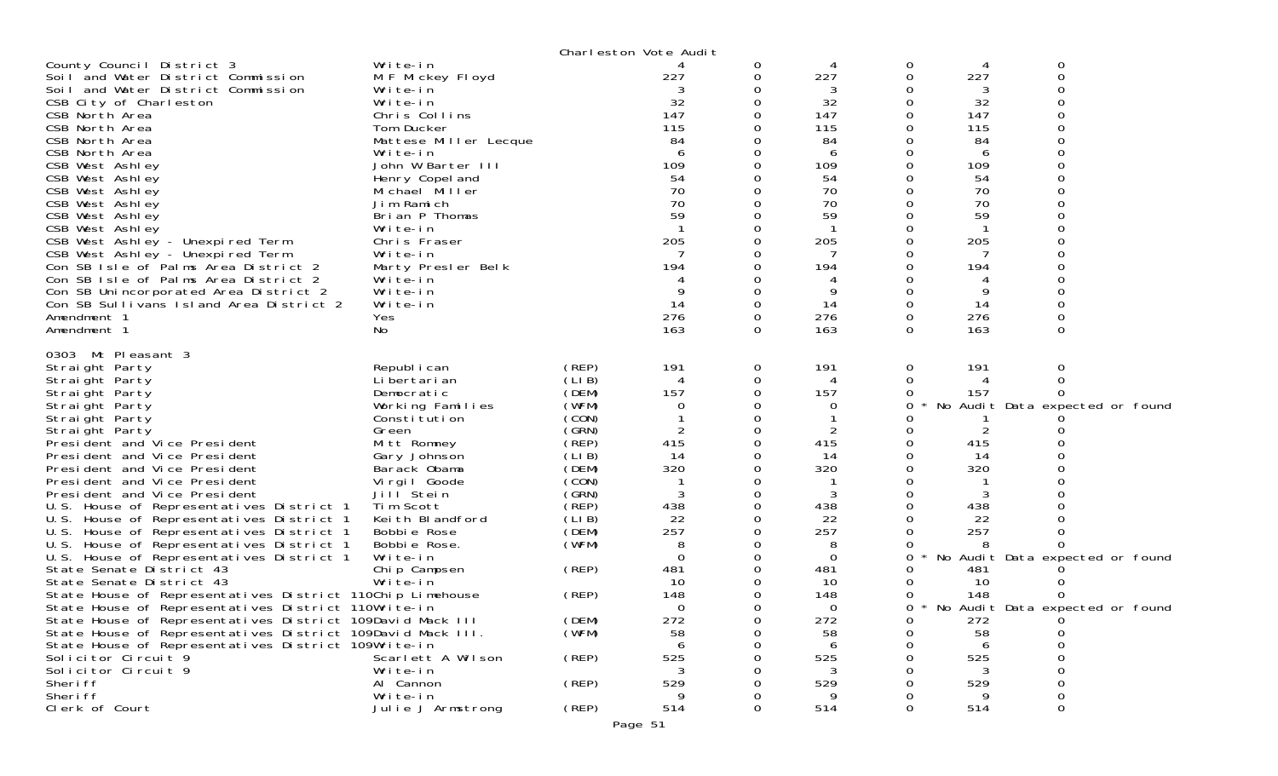|                                                                      |                                   |       | Charleston Vote Audit |                |                  |   |           |                                   |
|----------------------------------------------------------------------|-----------------------------------|-------|-----------------------|----------------|------------------|---|-----------|-----------------------------------|
| County Council District 3                                            | Write-in                          |       |                       | 0              | 4                | 0 |           | 0                                 |
| Soil and Water District Commission                                   | M F Mickey Floyd                  |       | 227                   | 0              | 227              | 0 | 227       | $\Omega$                          |
| Soil and Water District Commission                                   | Write-in                          |       |                       | 0              | 3                |   | 3         |                                   |
| CSB City of Charleston                                               | Write-in                          |       | 32                    | $\Omega$       | 32               | 0 | 32        |                                   |
| CSB North Area                                                       | Chris Collins                     |       | 147                   | 0              | 147              |   | 147       |                                   |
| CSB North Area                                                       | Tom Ducker                        |       | 115                   |                | 115              | Ω | 115       |                                   |
| CSB North Area                                                       | Mattese Miller Lecque             |       | 84                    | 0              | 84               |   | 84        |                                   |
| CSB North Area                                                       | Write-in<br>John W Barter III     |       | 6                     | 0              | 6                |   | 6         |                                   |
| CSB West Ashley<br>CSB West Ashley                                   |                                   |       | 109<br>54             | 0              | 109<br>54        |   | 109<br>54 |                                   |
| CSB West Ashley                                                      | Henry Copel and<br>Michael Miller |       | 70                    | 0              | 70               |   | 70        |                                   |
| CSB West Ashley                                                      | Jim Ramich                        |       | 70                    |                | 70               |   | 70        |                                   |
| CSB West Ashley                                                      | Brian P Thomas                    |       | 59                    | 0              | 59               |   | 59        |                                   |
| CSB West Ashley                                                      | Write-in                          |       |                       |                | -1               |   |           |                                   |
| CSB West Ashley - Unexpired Term                                     | Chris Fraser                      |       | 205                   | 0              | 205              |   | 205       |                                   |
| CSB West Ashley - Unexpired Term                                     | Write-in                          |       |                       | 0              | 7                |   | 7         |                                   |
| Con SB Isle of Palms Area District 2                                 | Marty Presler Belk                |       | 194                   | 0              | 194              |   | 194       |                                   |
| Con SB Isle of Palms Area District 2                                 | Write-in                          |       |                       |                |                  |   |           |                                   |
| Con SB Unincorporated Area District 2                                | Write-in                          |       | 9                     | $\Omega$       | 9                |   | 9         |                                   |
| Con SB Sullivans Island Area District 2                              | Write-in                          |       | 14                    | 0              | 14               |   | 14        |                                   |
| Amendment 1                                                          | Yes                               |       | 276                   | 0              | 276              | 0 | 276       |                                   |
| Amendment 1                                                          | No                                |       | 163                   | $\Omega$       | 163              | 0 | 163       | $\Omega$                          |
| 0303 Mt Pleasant 3                                                   |                                   |       |                       |                |                  |   |           |                                   |
| Straight Party                                                       | Republ i can                      | (REP) | 191                   | $\overline{O}$ | 191              | 0 | 191       | 0                                 |
| Straight Party                                                       | Li bertari an                     | (LIB) | 4                     | 0              | 4                | 0 |           | 0                                 |
| Straight Party                                                       | Democratic                        | (DEM) | 157                   | 0              | 157              | 0 | 157       |                                   |
| Straight Party                                                       | Working Families                  | (WFM) | 0                     | 0              | 0                | 0 |           | No Audit Data expected or found   |
| Straight Party                                                       | Constitution                      | (CON) |                       | 0              |                  |   |           |                                   |
| Straight Party                                                       | Green                             | (SRN) | 2                     | 0              | 2                |   |           |                                   |
| President and Vice President                                         | Mitt Romney                       | (REP) | 415                   | 0              | 415              |   | 415       |                                   |
| President and Vice President                                         | Gary Johnson                      | (LIB) | 14                    | 0              | 14               |   | 14        |                                   |
| President and Vice President                                         | Barack Obama                      | (DEM) | 320                   | $\Omega$       | 320              |   | 320       |                                   |
| President and Vice President                                         | Virgil Goode                      | (CON) |                       | 0              |                  |   |           |                                   |
| President and Vice President                                         | Jill Stein                        | (GRN) | 3                     | 0              | 3                |   | 3         |                                   |
| U.S. House of Representatives District 1                             | Tim Scott                         | (REP) | 438                   | $\Omega$       | 438              | O | 438       |                                   |
| U.S. House of Representatives District 1                             | Keith Blandford                   | (LIB) | 22                    | 0              | 22               |   | 22        |                                   |
| U.S. House of Representatives District 1                             | Bobbie Rose                       | (DEM) | 257                   | 0              | 257              |   | 257       |                                   |
| U.S. House of Representatives District 1                             | Bobbie Rose.                      | (WFM) | 8<br>$\Omega$         | 0<br>0         | 8<br>$\mathbf 0$ |   |           |                                   |
| U.S. House of Representatives District 1<br>State Senate District 43 | Write-in<br>Chip Campsen          | (REP) | 481                   | 0              | 481              | 0 | 481       | No Audit Data expected or found   |
| State Senate District 43                                             | Write-in                          |       | 10                    | $\Omega$       | 10               |   | 10        |                                   |
| State House of Representatives District 110Chip Limehouse            |                                   | (REP) | 148                   | 0              | 148              | 0 | 148       |                                   |
| State House of Representatives District 110Write-in                  |                                   |       | $\Omega$              | 0              | $\Omega$         | 0 |           | * No Audit Data expected or found |
| State House of Representatives District 109David Mack III            |                                   | (DEM) | 272                   | 0              | 272              | 0 | 272       |                                   |
| State House of Representatives District 109David Mack III.           |                                   | (WFM) | 58                    | 0              | 58               | O | 58        | 0                                 |
| State House of Representatives District 109Write-in                  |                                   |       | 6                     |                | 6                |   | 6         | $\Omega$                          |
| Solicitor Circuit 9                                                  | Scarlett A Wilson                 | (REP) | 525                   |                | 525              |   | 525       | $\Omega$                          |
| Solicitor Circuit 9                                                  | Write-in                          |       | 3                     |                | 3                |   | 3         | 0                                 |
| Sheri ff                                                             | Al Cannon                         | (REP) | 529                   |                | 529              |   | 529       | 0                                 |
| Sheri ff                                                             | Write-in                          |       | 9                     |                | 9                |   | 9         | $\mathbf 0$                       |
| Clerk of Court                                                       | Julie J Armstrong                 | (REP) | 514                   | $\Omega$       | 514              | 0 | 514       | 0                                 |
|                                                                      |                                   |       | Page 51               |                |                  |   |           |                                   |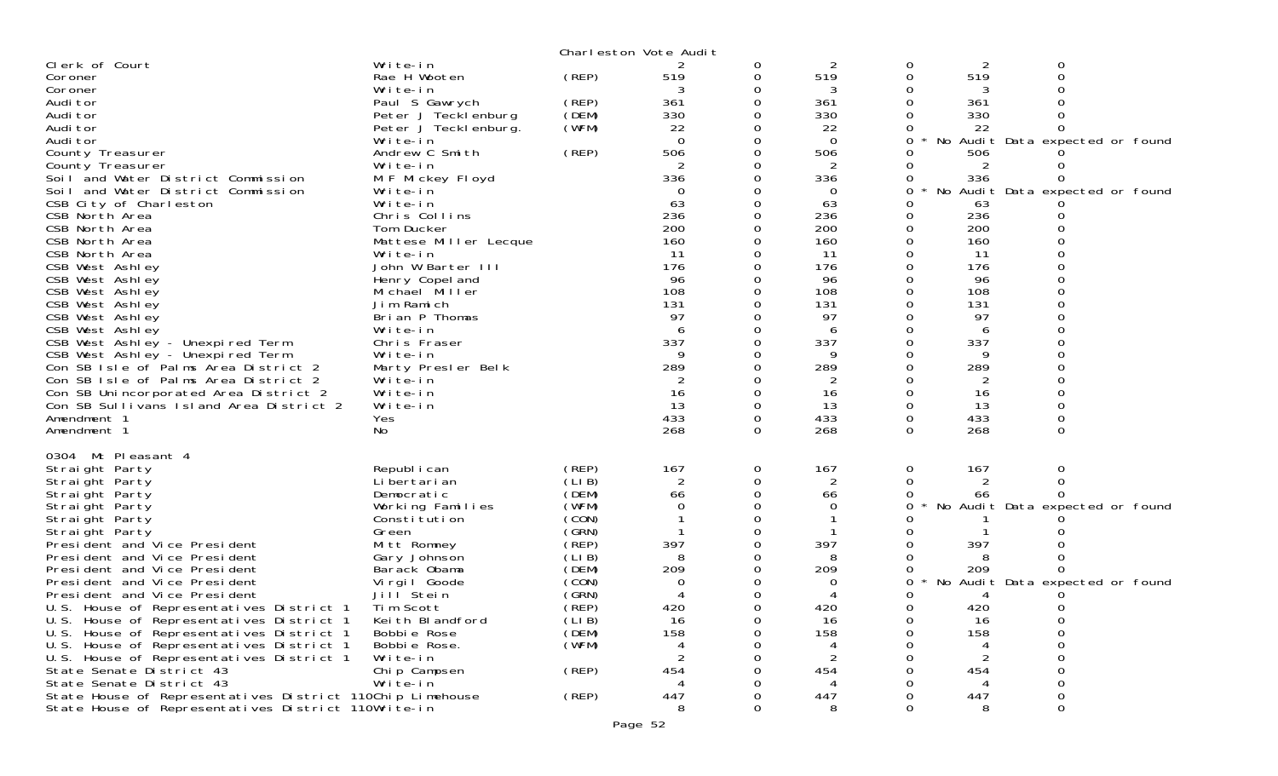|                                                                      |                                              |                | Charleston Vote Audit |               |            |               |            |                                 |  |
|----------------------------------------------------------------------|----------------------------------------------|----------------|-----------------------|---------------|------------|---------------|------------|---------------------------------|--|
| Clerk of Court                                                       | Write-in                                     |                |                       | 0             | 2          | 0             | 2          | 0                               |  |
| Coroner                                                              | Rae H Wooten                                 | (REP)          | 519                   | 0             | 519        | 0             | 519        |                                 |  |
| Coroner                                                              | Write-in                                     |                |                       | 0             | 3          |               | 3          |                                 |  |
| Audi tor                                                             | Paul S Gawrych                               | (REP)<br>(DEM) | 361<br>330            | 0             | 361        |               | 361<br>330 |                                 |  |
| Audi tor<br>Audi tor                                                 | Peter J Tecklenburg<br>Peter J Teckl enburg. | (WFM)          | 22                    |               | 330<br>22  |               | 22         |                                 |  |
| Audi tor                                                             | Write-in                                     |                | $\mathbf 0$           |               | $\Omega$   | 0             |            | No Audit Data expected or found |  |
| County Treasurer                                                     | Andrew C Smith                               | (REP)          | 506                   |               | 506        |               | 506        |                                 |  |
| County Treasurer                                                     | Write-in                                     |                |                       |               | 2          |               | 2          |                                 |  |
| Soil and Water District Commission                                   | M F Mickey Floyd                             |                | 336                   |               | 336        | 0             | 336        |                                 |  |
| Soil and Water District Commission                                   | Write-in                                     |                | 0                     |               | 0          | 0             |            | No Audit Data expected or found |  |
| CSB City of Charleston                                               | Write-in                                     |                | 63                    | 0             | 63         |               | 63         |                                 |  |
| CSB North Area                                                       | Chris Collins                                |                | 236                   | 0             | 236        | 0             | 236        |                                 |  |
| CSB North Area                                                       | Tom Ducker                                   |                | 200                   |               | 200        |               | 200        |                                 |  |
| CSB North Area                                                       | Mattese Miller Lecque                        |                | 160                   |               | 160        | $\Omega$      | 160        |                                 |  |
| CSB North Area                                                       | Write-in<br>John W Barter III                |                | 11<br>176             | 0             | 11<br>176  | 0             | 11<br>176  |                                 |  |
| CSB West Ashley<br>CSB West Ashley                                   | Henry Copel and                              |                | 96                    |               | 96         |               | 96         |                                 |  |
| CSB West Ashley                                                      | Michael Miller                               |                | 108                   |               | 108        | 0             | 108        |                                 |  |
| CSB West Ashley                                                      | Jim Ramich                                   |                | 131                   |               | 131        |               | 131        |                                 |  |
| CSB West Ashley                                                      | Brian P Thomas                               |                | 97                    |               | 97         |               | 97         |                                 |  |
| CSB West Ashley                                                      | Write-in                                     |                | 6                     |               | 6          | 0             | 6          |                                 |  |
| CSB West Ashley - Unexpired Term                                     | Chris Fraser                                 |                | 337                   |               | 337        |               | 337        |                                 |  |
| CSB West Ashley - Unexpired Term                                     | Write-in                                     |                | 9                     |               |            |               | Q          |                                 |  |
| Con SB Isle of Palms Area District 2                                 | Marty Presler Belk                           |                | 289                   |               | 289        |               | 289        |                                 |  |
| Con SB Isle of Palms Area District 2                                 | Write-in                                     |                |                       |               | 2          |               | 2          |                                 |  |
| Con SB Unincorporated Area District 2                                | Write-in                                     |                | 16                    | $\Omega$      | 16         | $\Omega$      | 16         |                                 |  |
| Con SB Sullivans Island Area District 2                              | Write-in                                     |                | 13                    | 0             | 13         | 0             | 13         |                                 |  |
| Amendment 1<br>Amendment 1                                           | Yes<br>No                                    |                | 433<br>268            | 0<br>$\Omega$ | 433<br>268 | 0<br>$\Omega$ | 433<br>268 | $\Omega$                        |  |
|                                                                      |                                              |                |                       |               |            |               |            |                                 |  |
| 0304 Mt Pleasant 4                                                   |                                              |                |                       |               |            |               |            |                                 |  |
| Straight Party                                                       | Republ i can                                 | (REP)          | 167                   | 0             | 167        | 0             | 167        | 0                               |  |
| Straight Party                                                       | Li bertari an                                | (LIB)          | $\overline{2}$        | 0             | 2          | 0             | 2          | 0                               |  |
| Straight Party                                                       | Democratic                                   | (DEM)          | 66                    |               | 66         | 0             | 66         |                                 |  |
| Straight Party                                                       | Working Families                             | (WFM)<br>(CON) | $\Omega$              |               | 0          | 0             |            | No Audit Data expected or found |  |
| Straight Party<br>Straight Party                                     | Constitution<br>Green                        | (GRN)          |                       |               |            |               |            |                                 |  |
| President and Vice President                                         | Mitt Romney                                  | (REP)          | 397                   |               | 397        |               | 397        |                                 |  |
| President and Vice President                                         | Gary Johnson                                 | (LIB)          | 8                     |               |            |               |            |                                 |  |
| President and Vice President                                         | Barack Obama                                 | (DEM)          | 209                   |               | 209        |               | 209        |                                 |  |
| President and Vice President                                         | Virgil Goode                                 | (CON)          | $\Omega$              |               | 0          | 0             |            | No Audit Data expected or found |  |
| President and Vice President                                         | Jill Stein                                   | (GRN)          |                       |               |            | 0             | 4          |                                 |  |
| U.S. House of Representatives District 1 Tim Scott                   |                                              | (REP)          | 420                   | $\Omega$      | 420        | $\Omega$      | 420        | $\Omega$                        |  |
| U.S. House of Representatives District 1                             | Keith Blandford                              | (LIB)          | 16                    | Ω             | 16         |               | 16         |                                 |  |
| U.S. House of Representatives District 1                             | Bobbie Rose                                  | (DEM)          | 158                   |               | 158        |               | 158        |                                 |  |
| U.S. House of Representatives District 1                             | Bobbie Rose.                                 | (WFM)          | 4                     |               |            |               |            |                                 |  |
| U.S. House of Representatives District 1<br>State Senate District 43 | Write-in<br>Chip Campsen                     | (REP)          | 454                   |               | 454        |               | 454        |                                 |  |
| State Senate District 43                                             | Write-in                                     |                |                       |               |            |               |            |                                 |  |
| State House of Representatives District 110Chip Limehouse            |                                              | (REP)          | 447                   |               | 447        |               | 447        | 0                               |  |
| State House of Representatives District 110Write-in                  |                                              |                | 8                     |               | 8          |               | 8          | $\Omega$                        |  |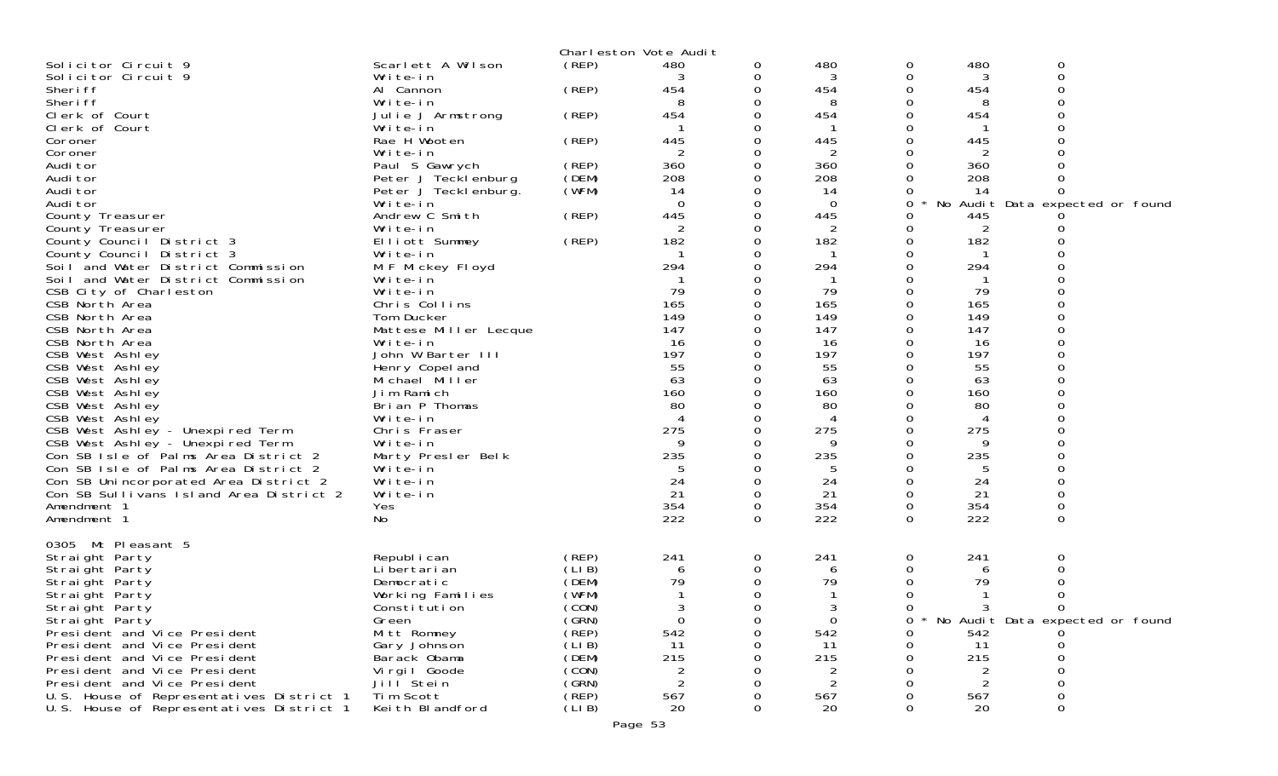|                                                        |                          |        | Charleston Vote Audit |   |                       |          |                |                                   |
|--------------------------------------------------------|--------------------------|--------|-----------------------|---|-----------------------|----------|----------------|-----------------------------------|
| Solicitor Circuit 9                                    | Scarlett A Wilson        | (REP)  | 480                   | 0 | 480                   | 0        | 480            | 0                                 |
| Solicitor Circuit 9                                    | Write-in                 |        |                       | 0 | 3                     | 0        | 3              | 0                                 |
| Sheri ff                                               | Al Cannon                | (REP)  | 454                   | 0 | 454                   | $\Omega$ | 454            | $\Omega$                          |
| Sheri ff                                               | Write-in                 |        | 8                     | O | 8                     | 0        | 8              | 0                                 |
| Clerk of Court                                         | Julie J Armstrong        | (REP)  | 454                   |   | 454                   | 0        | 454            | 0                                 |
| Clerk of Court                                         | Write-in                 |        |                       | Ω |                       | 0        |                |                                   |
| Coroner<br>Coroner                                     | Rae H Wooten<br>Write-in | (REP)  | 445<br>2              | 0 | 445<br>$\overline{2}$ | 0<br>0   | 445<br>2       |                                   |
| Audi tor                                               | Paul S Gawrych           | (REP)  | 360                   | 0 | 360                   | 0        | 360            |                                   |
| Audi tor                                               | Peter J Tecklenburg      | (DEM)  | 208                   | 0 | 208                   | 0        | 208            |                                   |
| Audi tor                                               | Peter J Tecklenburg.     | (WFM)  | 14                    |   | 14                    | Ω        | 14             | 0                                 |
| Audi tor                                               | Write-in                 |        | $\Omega$              | 0 | $\Omega$              | 0        |                | No Audit Data expected or found   |
| County Treasurer                                       | Andrew C Smith           | (REP)  | 445                   | 0 | 445                   | 0        | 445            |                                   |
| County Treasurer                                       | Write-in                 |        | 2                     |   | $\overline{2}$        | 0        | $\overline{2}$ |                                   |
| County Council District 3                              | Elliott Summey           | (REP)  | 182                   | 0 | 182                   | 0        | 182            |                                   |
| County Council District 3                              | Write-in                 |        |                       |   | -1                    | 0        |                |                                   |
| Soil and Water District Commission                     | M F Mickey Floyd         |        | 294                   |   | 294                   | 0        | 294            |                                   |
| Soil and Water District Commission                     | Write-in                 |        |                       |   |                       | 0        |                |                                   |
| CSB City of Charleston                                 | Write-in                 |        | 79                    |   | 79                    | 0        | 79             |                                   |
| CSB North Area                                         | Chris Collins            |        | 165                   |   | 165                   | 0        | 165            |                                   |
| CSB North Area                                         | Tom Ducker               |        | 149                   |   | 149                   | 0        | 149            |                                   |
| CSB North Area                                         | Mattese Miller Lecque    |        | 147                   |   | 147                   | 0        | 147            | 0                                 |
| CSB North Area                                         | Write-in                 |        | 16                    |   | 16                    | 0        | 16             |                                   |
| CSB West Ashley                                        | John W Barter III        |        | 197                   |   | 197                   | 0        | 197            | $\Omega$                          |
| CSB West Ashley                                        | Henry Copel and          |        | 55                    |   | 55                    | 0        | 55             |                                   |
| CSB West Ashley                                        | Michael Miller           |        | 63                    |   | 63                    | 0        | 63             |                                   |
| CSB West Ashley                                        | Jim Ramich               |        | 160                   | ∩ | 160                   | 0        | 160            |                                   |
| CSB West Ashley                                        | Brian P Thomas           |        | 80                    |   | 80                    | 0        | 80             |                                   |
| CSB West Ashley                                        | Write-in                 |        |                       |   | 4                     | 0        | 4              |                                   |
| CSB West Ashley - Unexpired Term                       | Chris Fraser             |        | 275                   |   | 275                   | 0        | 275            |                                   |
| CSB West Ashley - Unexpired Term                       | Write-in                 |        | 9                     | 0 | 9                     | 0        | 9              | ი                                 |
| Con SB Isle of Palms Area District 2                   | Marty Presler Belk       |        | 235                   | O | 235                   | 0        | 235            | O                                 |
| Con SB Isle of Palms Area District 2                   | Write-in                 |        | 24                    | 0 | 5<br>24               | 0        | 5<br>24        |                                   |
| Con SB Unincorporated Area District 2                  | Write-in                 |        | 21                    | 0 | 21                    | 0<br>0   | 21             | 0<br>0                            |
| Con SB Sullivans Island Area District 2<br>Amendment 1 | Write-in<br>Yes          |        | 354                   | 0 | 354                   | 0        | 354            | 0                                 |
| Amendment 1                                            | No                       |        | 222                   | 0 | 222                   | 0        | 222            | 0                                 |
|                                                        |                          |        |                       |   |                       |          |                |                                   |
| 0305 Mt Pleasant 5                                     |                          |        |                       |   |                       |          |                |                                   |
| Straight Party                                         | Republ i can             | (REP)  | 241                   | 0 | 241                   | 0        | 241            | 0                                 |
| Straight Party                                         | Li bertari an            | (LIB)  | 6                     | 0 | 6                     | 0        | 6              | 0                                 |
| Straight Party                                         | Democratic               | (DEM)  | 79                    | 0 | 79                    | 0        | 79             | 0                                 |
| Straight Party                                         | Working Families         | (WFM)  |                       |   |                       | 0        |                | 0                                 |
| Straight Party                                         | Constitution             | (CON)  | 3                     | 0 | 3                     | 0        | 3              | 0                                 |
| Straight Party                                         | Green                    | (GRN)  | 0                     | 0 | $\mathbf 0$           | 0        |                | * No Audit Data expected or found |
| President and Vice President                           | Mitt Romney              | (REP)  | 542                   | 0 | 542                   | 0        | 542            |                                   |
| President and Vice President                           | Gary Johnson             | (LIB)  | 11                    |   | 11                    | 0        | 11             |                                   |
| President and Vice President                           | Barack Obama             | (DEM)  | 215                   |   | 215                   | 0        | 215            | 0                                 |
| President and Vice President                           | Virgil Goode             | (CON)  | $\overline{c}$        |   | 2                     | ი        | 2              | 0                                 |
| President and Vice President                           | Jill <sup>Stein</sup>    | (GRN)  | $\overline{2}$        |   | 2                     |          | 2              |                                   |
| U.S. House of Representatives District 1               | Tim Scott                | (REP)  | 567                   |   | 567                   | Ω        | 567            | 0                                 |
| U.S. House of Representatives District 1               | Keith Blandford          | (LI B) | 20                    | 0 | 20                    | 0        | 20             | 0                                 |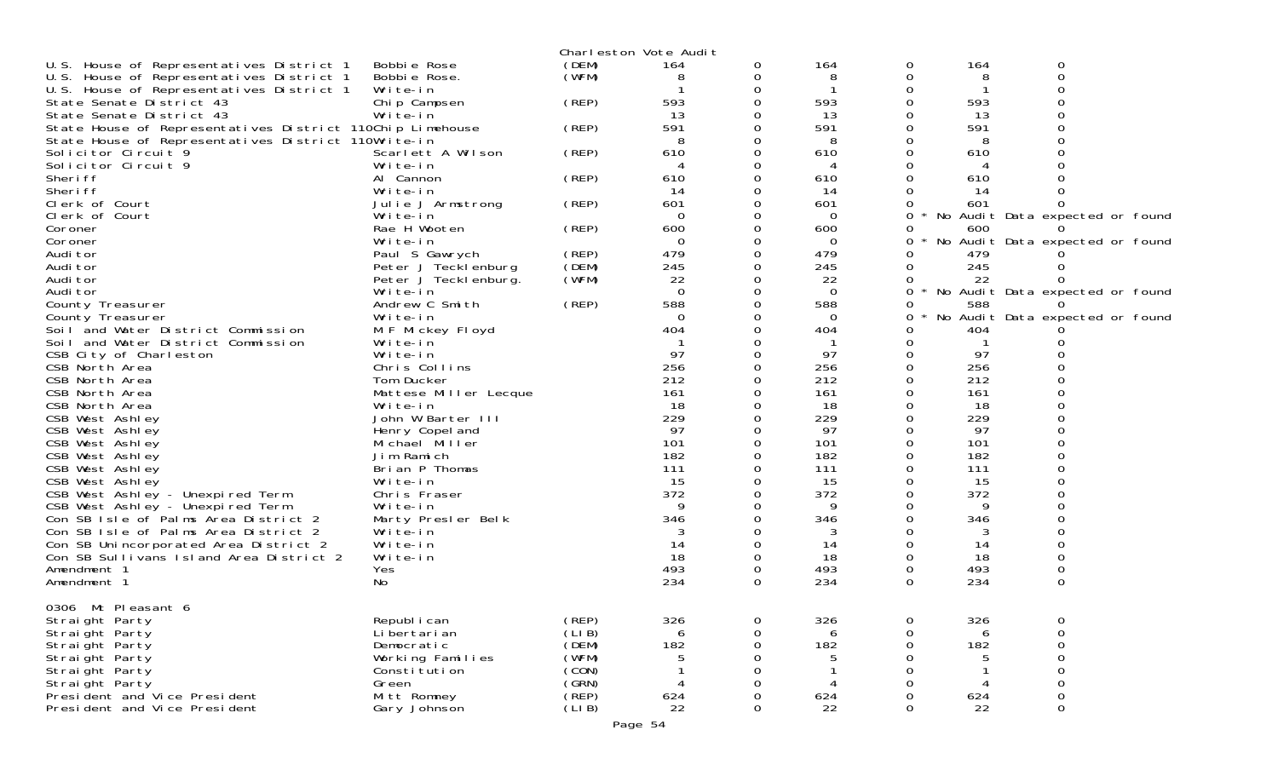|                                                              |                              |                 | Charleston Vote Audit |          |                 |          |          |                                 |
|--------------------------------------------------------------|------------------------------|-----------------|-----------------------|----------|-----------------|----------|----------|---------------------------------|
| U.S. House of Representatives District 1                     | Bobbi e Rose                 | (DEM)           | 164                   | 0        | 164             | 0        | 164      | $\mathbf 0$                     |
| U.S. House of Representatives District 1                     | Bobbie Rose.                 | (WFM)           | 8                     | 0        | 8               | O        | 8        | $\Omega$                        |
| U.S. House of Representatives District 1                     | Write-in                     |                 |                       | 0        |                 |          |          |                                 |
| State Senate District 43                                     | Chip Campsen                 | (REP)           | 593                   | 0        | 593             |          | 593      |                                 |
| State Senate District 43                                     | Write-in                     |                 | 13                    |          | 13              |          | 13       |                                 |
| State House of Representatives District 110Chip Limehouse    |                              | (REP)           | 591                   | 0        | 591             | Ω        | 591      |                                 |
| State House of Representatives District 110Write-in          |                              |                 | 8                     | 0        | 8               |          | 8        |                                 |
| Solicitor Circuit 9                                          | Scarlett A Wilson            | (REP)           | 610                   | 0        | 610             |          | 610      |                                 |
| Solicitor Circuit 9                                          | Write-in                     |                 | 4                     | 0        | 4               |          |          |                                 |
| Sheri ff                                                     | Al Cannon                    | (REP)           | 610                   | 0        | 610             |          | 610      |                                 |
| Sheri ff                                                     | Write-in                     |                 | 14                    | 0        | 14              |          | 14       |                                 |
| Clerk of Court                                               | Julie J Armstrong            | (REP)           | 601                   | 0        | 601             |          | 601      |                                 |
| Clerk of Court                                               | Write-in                     |                 | $\Omega$              | 0        | $\Omega$        | 0        |          | No Audit Data expected or found |
| Coroner                                                      | Rae H Wooten                 | (REP)           | 600                   | 0        | 600             | O        | 600      |                                 |
| Coroner                                                      | Write-in                     |                 | 0                     | 0        | $\Omega$        | 0        |          | No Audit Data expected or found |
| Audi tor                                                     | Paul S Gawrych               | (REP)           | 479                   | 0        | 479             |          | 479      |                                 |
| Audi tor                                                     | Peter J Tecklenburg          | (DEM)           | 245                   | 0        | 245             | O        | 245      |                                 |
| Audi tor                                                     | Peter J Tecklenburg.         | (WFM)           | 22                    | 0        | 22              |          | 22       |                                 |
| Audi tor                                                     | Write-in                     |                 | $\Omega$              | 0        | $\Omega$        | 0        |          | No Audit Data expected or found |
| County Treasurer                                             | Andrew C Smith               | (REP)           | 588                   | 0        | 588             |          | 588      |                                 |
| County Treasurer<br>Soil and Water District Commission       | Write-in                     |                 | $\Omega$<br>404       | 0        | $\Omega$<br>404 | 0        | 404      | No Audit Data expected or found |
|                                                              | M F Mickey Floyd<br>Write-in |                 |                       |          |                 |          |          |                                 |
| Soil and Water District Commission<br>CSB City of Charleston | Write-in                     |                 | 97                    | 0        | 97              | 0        | 97       |                                 |
| CSB North Area                                               | Chris Collins                |                 | 256                   |          | 256             |          | 256      |                                 |
| CSB North Area                                               | Tom Ducker                   |                 | 212                   | 0        | 212             | ∩        | 212      |                                 |
| CSB North Area                                               | Mattese Miller Lecque        |                 | 161                   | 0        | 161             |          | 161      |                                 |
| CSB North Area                                               | Write-in                     |                 | 18                    |          | 18              |          | 18       |                                 |
| CSB West Ashley                                              | John W Barter III            |                 | 229                   | $\Omega$ | 229             |          | 229      |                                 |
| CSB West Ashley                                              | Henry Copel and              |                 | 97                    | 0        | 97              |          | 97       |                                 |
| CSB West Ashley                                              | Michael Miller               |                 | 101                   |          | 101             |          | 101      |                                 |
| CSB West Ashley                                              | Jim Ramich                   |                 | 182                   | $\Omega$ | 182             |          | 182      |                                 |
| CSB West Ashley                                              | Brian P Thomas               |                 | 111                   | 0        | 111             |          | 111      |                                 |
| CSB West Ashley                                              | Write-in                     |                 | 15                    |          | 15              |          | 15       |                                 |
| CSB West Ashley - Unexpired Term                             | Chris Fraser                 |                 | 372                   | 0        | 372             |          | 372      |                                 |
| CSB West Ashley - Unexpired Term                             | Write-in                     |                 | 9                     | 0        | 9               | Ω        | 9        |                                 |
| Con SB Isle of Palms Area District 2                         | Marty Presler Belk           |                 | 346                   |          | 346             |          | 346      |                                 |
| Con SB Isle of Palms Area District 2                         | Write-in                     |                 |                       |          | 3               |          | 3        |                                 |
| Con SB Unincorporated Area District 2                        | Write-in                     |                 | 14                    | 0        | 14              | 0        | 14       |                                 |
| Con SB Sullivans Island Area District 2                      | Write-in                     |                 | 18                    |          | 18              |          | 18       |                                 |
| Amendment 1                                                  | Yes                          |                 | 493                   | 0        | 493             | 0        | 493      | $\mathbf 0$                     |
| Amendment 1                                                  | No                           |                 | 234                   | $\Omega$ | 234             | $\Omega$ | 234      | $\Omega$                        |
|                                                              |                              |                 |                       |          |                 |          |          |                                 |
| 0306 Mt Pleasant 6                                           | Republ i can                 |                 | 326                   |          | 326             |          | 326      |                                 |
| Straight Party<br>Straight Party                             | Li bertari an                | (REP)<br>(LI B) |                       | 0        |                 | 0<br>0   |          | 0<br>$\mathbf 0$                |
| Straight Party                                               | Democratic                   | (DEM)           | 6<br>182              | 0<br>0   | 6<br>182        | O        | 6<br>182 | $\Omega$                        |
| Straight Party                                               | Working Families             | (WFM)           |                       |          | 5               |          | 5        | 0                               |
| Straight Party                                               | Consti tution                | (CON)           |                       | 0        |                 |          |          | $\mathbf 0$                     |
| Straight Party                                               | Green                        | (GRN)           |                       | 0        | 4               | ∩        |          | $\mathbf 0$                     |
| President and Vice President                                 | Mitt Romney                  | (REP)           | 624                   | 0        | 624             | 0        | 624      | $\mathbf 0$                     |
| President and Vice President                                 | Gary Johnson                 | (LI B)          | 22                    | 0        | 22              | 0        | 22       | $\mathbf 0$                     |
|                                                              |                              |                 | Page 54               |          |                 |          |          |                                 |
|                                                              |                              |                 |                       |          |                 |          |          |                                 |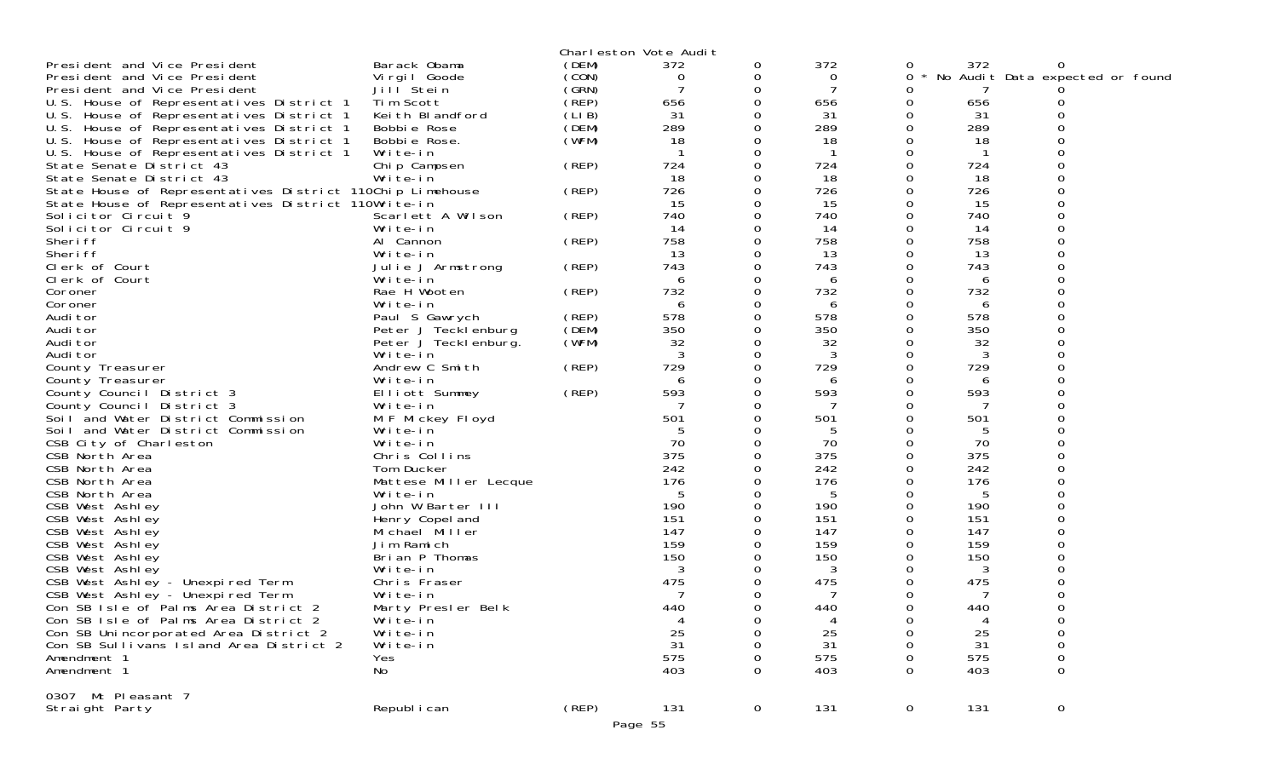|                                                           |                                   |             | Charleston Vote Audit |             |          |             |          |                                 |
|-----------------------------------------------------------|-----------------------------------|-------------|-----------------------|-------------|----------|-------------|----------|---------------------------------|
| President and Vice President                              | Barack Obama                      | (DEM)       | 372                   | 0           | 372      | 0           | 372      |                                 |
| President and Vice President                              | Virgil Goode                      | (CON)       | 0                     | 0           | 0        | 0           |          | No Audit Data expected or found |
| President and Vice President                              | Jill <sup>Stein</sup>             | (SRN)       | 7                     | 0           | 7        |             |          |                                 |
| U.S. House of Representatives District 1                  | Tim Scott                         | $($ REP $)$ | 656                   | 0           | 656      | Ω           | 656      |                                 |
| U.S. House of Representatives District 1                  | Keith Blandford                   | (LIB)       | 31                    | 0           | 31       |             | 31       |                                 |
| U.S. House of Representatives District 1                  | Bobbie Rose                       | (DEM)       | 289                   | $\Omega$    | 289      | 0           | 289      |                                 |
| U.S. House of Representatives District 1                  | Bobbie Rose.                      | (WFM)       | 18                    | 0           | 18       |             | 18       |                                 |
| U.S. House of Representatives District 1                  | Write-in                          |             |                       | 0           | -1       | O           |          |                                 |
| State Senate District 43                                  | Chip Campsen                      | (REP)       | 724                   | $\Omega$    | 724      | O           | 724      |                                 |
| State Senate District 43                                  | Write-in                          |             | 18                    | 0           | 18       |             | 18       |                                 |
| State House of Representatives District 110Chip Limehouse |                                   | (REP)       | 726                   | 0           | 726      |             | 726      |                                 |
| State House of Representatives District 110Write-in       |                                   |             | 15                    | 0           | 15       | 0           | 15       |                                 |
| Solicitor Circuit 9                                       | Scarlett A Wilson                 | (REP)       | 740                   | 0           | 740      | 0           | 740      |                                 |
| Solicitor Circuit 9                                       | Write-in                          |             | 14                    | 0           | 14       |             | 14       |                                 |
| Sheri ff                                                  | Al Cannon                         | (REP)       | 758                   | $\Omega$    | 758      | O           | 758      |                                 |
| Sheri ff                                                  | Write-in                          |             | 13                    | 0           | 13       |             | 13       |                                 |
| Clerk of Court                                            | Julie J Armstrong                 | (REP)       | 743                   | 0           | 743      |             | 743      |                                 |
| Clerk of Court                                            | Write-in                          |             | 6                     | $\Omega$    | 6        |             | 6        |                                 |
| Coroner                                                   | Rae H Wooten                      | (REP)       | 732                   | 0           | 732      | Ω           | 732      |                                 |
| Coroner                                                   | Write-in                          |             | 6                     | 0           | 6        |             | 6        |                                 |
| Audi tor                                                  | Paul S Gawrych                    | (REP)       | 578                   | $\Omega$    | 578      | 0           | 578      |                                 |
| Audi tor                                                  | Peter J Tecklenburg               | (DEM)       | 350                   | 0           | 350      | Ω           | 350      |                                 |
| Audi tor                                                  | Peter J Teckl enburg.             | (WFM)       | 32                    | 0           | 32       |             | 32       |                                 |
| Audi tor                                                  | Write-in                          |             | 3                     | $\Omega$    | 3        | O           | 3        |                                 |
| County Treasurer                                          | Andrew C Smith                    | (REP)       | 729                   | 0           | 729      | Ω           | 729      |                                 |
| County Treasurer                                          | Write-in                          |             | 6                     | 0           | 6        |             | 6        |                                 |
| County Council District 3                                 | Elliott Summey                    | (REP)       | 593                   | $\Omega$    | 593      | O           | 593      |                                 |
| County Council District 3                                 | Write-in                          |             | 7                     | 0           | 7        | Ω           | 7        |                                 |
| Soil and Water District Commission                        | M F Mickey Floyd                  |             | 501                   | $\Omega$    | 501      |             | 501      |                                 |
| Soil and Water District Commission                        | Write-in                          |             |                       | 0           | 5        |             | 5        |                                 |
| CSB City of Charleston                                    | Write-in                          |             | 70                    | 0           | 70       |             | 70       |                                 |
| CSB North Area                                            | Chris Collins                     |             | 375                   |             | 375      |             | 375      |                                 |
| CSB North Area                                            | Tom Ducker                        |             | 242                   | $\Omega$    | 242      | Ω           | 242      |                                 |
| CSB North Area                                            | Mattese Miller Lecque             |             | 176                   | 0           | 176      |             | 176      |                                 |
| CSB North Area                                            | Write-in                          |             | 5<br>190              | $\Omega$    | 5<br>190 | Ω           | 5<br>190 |                                 |
| CSB West Ashley<br>CSB West Ashley                        | John W Barter III                 |             | 151                   |             | 151      |             | 151      |                                 |
| CSB West Ashley                                           | Henry Copel and<br>Michael Miller |             | 147                   |             | 147      |             | 147      |                                 |
| CSB West Ashley                                           | Jim Ramich                        |             | 159                   | 0           | 159      |             | 159      |                                 |
| CSB West Ashley                                           | Brian P Thomas                    |             | 150                   |             | 150      |             | 150      |                                 |
| CSB West Ashley                                           | Write-in                          |             | 3                     |             | 3        |             | 3        |                                 |
| CSB West Ashley - Unexpired Term                          | Chris Fraser                      |             | 475                   | 0           | 475      |             | 475      |                                 |
| CSB West Ashley - Unexpired Term                          | Write-in                          |             |                       | 0           | 7        |             | 7        |                                 |
| Con SB Isle of Palms Area District 2                      | Marty Presler Belk                |             | 440                   | 0           | 440      | ∩           | 440      | ∩                               |
| Con SB Isle of Palms Area District 2                      | Write-in                          |             | 4                     | 0           | 4        | 0           | 4        | 0                               |
| Con SB Unincorporated Area District 2                     | Write-in                          |             | 25                    | 0           | 25       | Ω           | 25       | $\mathbf 0$                     |
| Con SB Sullivans Island Area District 2                   | Write-in                          |             | 31                    | 0           | -31      |             | 31       | 0                               |
| Amendment 1                                               | Yes                               |             | 575                   |             | 575      |             | 575      | 0                               |
| Amendment 1                                               | No                                |             | 403                   | $\Omega$    | 403      | O           | 403      | $\Omega$                        |
| 0307 Mt Pleasant 7                                        |                                   |             |                       |             |          |             |          |                                 |
| Straight Party                                            | Republ i can                      | (REP)       | 131                   | $\mathbf 0$ | 131      | $\mathbf 0$ | 131      | $\overline{0}$                  |
|                                                           |                                   |             | Page 55               |             |          |             |          |                                 |
|                                                           |                                   |             |                       |             |          |             |          |                                 |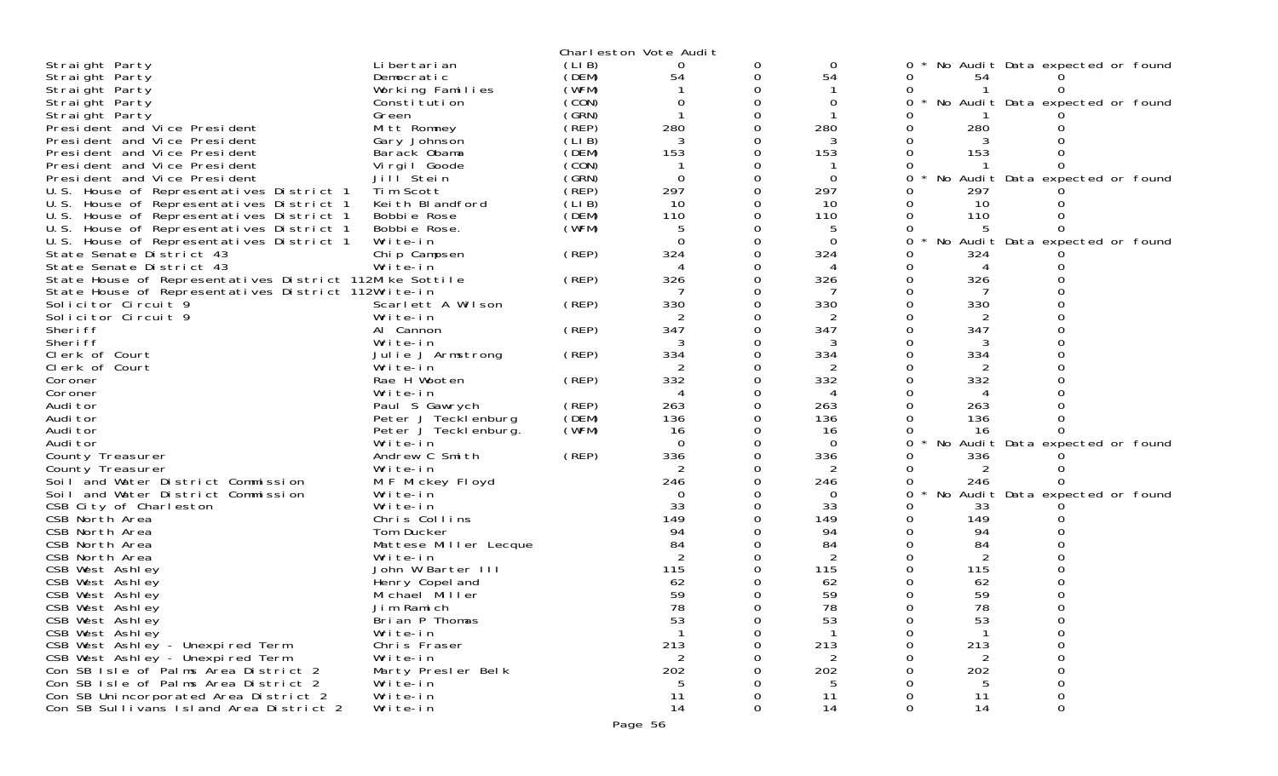|                                                                                       |                       |       | Charleston Vote Audit |   |          |   |                |                                 |  |
|---------------------------------------------------------------------------------------|-----------------------|-------|-----------------------|---|----------|---|----------------|---------------------------------|--|
| Straight Party                                                                        | Li bertari an         | (LIB) |                       | 0 | 0        | 0 |                | No Audit Data expected or found |  |
| Straight Party                                                                        | Democratic            | (DEM) | 54                    | 0 | 54       | 0 | 54             |                                 |  |
| Straight Party                                                                        | Working Families      | (WFM) |                       |   |          |   |                |                                 |  |
| Straight Party                                                                        | Constitution          | (CON) | $\Omega$              |   | $\Omega$ | 0 |                | No Audit Data expected or found |  |
| Straight Party                                                                        | Green                 | (GRN) |                       |   |          |   |                |                                 |  |
| President and Vice President                                                          | Mitt Romney           | (REP) | 280                   |   | 280      |   | 280            |                                 |  |
| President and Vice President                                                          | Gary Johnson          | (LIB) | 3                     |   |          |   |                |                                 |  |
| President and Vice President                                                          | Barack Obama          | (DEM) | 153                   |   | 153      |   | 153            |                                 |  |
| President and Vice President                                                          | Virgil Goode          | (CON) |                       |   |          |   |                |                                 |  |
| President and Vice President                                                          | Jill Stein            | (GRN) | $\Omega$              |   | $\Omega$ | 0 |                | No Audit Data expected or found |  |
| U.S. House of Representatives District 1                                              | Tim Scott             | (REP) | 297                   |   | 297      |   | 297            |                                 |  |
| U.S. House of Representatives District 1                                              | Keith Blandford       | (LIB) | 10                    |   | 10       |   | 10             |                                 |  |
| U.S. House of Representatives District 1                                              | Bobbie Rose           | (DEM) | 110                   |   | 110      |   | 110            |                                 |  |
| U.S. House of Representatives District 1                                              | Bobbie Rose.          | (WFM) |                       |   |          |   |                |                                 |  |
| U.S. House of Representatives District 1                                              | Write-in              |       | $\Omega$              |   | $\Omega$ | 0 |                | No Audit Data expected or found |  |
| State Senate District 43                                                              | Chip Campsen          | (REP) | 324                   |   | 324      |   | 324            |                                 |  |
| State Senate District 43                                                              | Write-in              |       |                       |   |          |   |                |                                 |  |
|                                                                                       |                       |       |                       |   |          |   | 326            |                                 |  |
| State House of Representatives District 112Mike Sottile                               |                       | (REP) | 326                   |   | 326      |   |                |                                 |  |
| State House of Representatives District 112Write-in<br>Solicitor Circuit <sup>9</sup> |                       |       |                       |   |          |   |                |                                 |  |
|                                                                                       | Scarlett A Wilson     | (REP) | 330                   |   | 330      |   | 330            |                                 |  |
| Solicitor Circuit 9                                                                   | Write-in              |       |                       |   |          |   |                |                                 |  |
| Sheri ff                                                                              | Al Cannon             | (REP) | 347                   |   | 347      |   | 347            |                                 |  |
| Sheri ff                                                                              | Write-in              |       |                       |   |          |   |                |                                 |  |
| Clerk of Court                                                                        | Julie J Armstrong     | (REP) | 334                   |   | 334      |   | 334            |                                 |  |
| Clerk of Court                                                                        | Write-in              |       | 2                     |   | 2        |   | $\overline{2}$ |                                 |  |
| Coroner                                                                               | Rae H Wooten          | (REP) | 332                   |   | 332      |   | 332            |                                 |  |
| Coroner                                                                               | Write-in              |       |                       |   |          |   |                |                                 |  |
| Audi tor                                                                              | Paul S Gawrych        | (REP) | 263                   |   | 263      |   | 263            |                                 |  |
| Audi tor                                                                              | Peter J Tecklenburg   | (DEM) | 136                   |   | 136      |   | 136            |                                 |  |
| Audi tor                                                                              | Peter J Tecklenburg.  | (WFM) | 16                    |   | 16       |   | 16             |                                 |  |
| Audi tor                                                                              | Write-in              |       | $\Omega$              |   | $\Omega$ |   |                | No Audit Data expected or found |  |
| County Treasurer                                                                      | Andrew C Smith        | (REP) | 336                   |   | 336      |   | 336            |                                 |  |
| County Treasurer                                                                      | Write-in              |       | 2                     |   | 2        |   | 2              |                                 |  |
| Soil and Water District Commission                                                    | M F Mickey Floyd      |       | 246                   |   | 246      |   | 246            |                                 |  |
| Soil and Water District Commission                                                    | Write-in              |       | $\Omega$              |   | $\Omega$ |   |                | No Audit Data expected or found |  |
| CSB City of Charleston                                                                | Write-in              |       | 33                    |   | 33       |   | 33             |                                 |  |
| CSB North Area                                                                        | Chris Collins         |       | 149                   |   | 149      |   | 149            |                                 |  |
| CSB North Area                                                                        | Tom Ducker            |       | 94                    |   | 94       |   | 94             |                                 |  |
| CSB North Area                                                                        | Mattese Miller Lecque |       | 84                    |   | 84       |   | 84             |                                 |  |
| CSB North Area                                                                        | Write-in              |       |                       |   | 2        |   | $\overline{2}$ |                                 |  |
| CSB West Ashley                                                                       | John W Barter III     |       | 115                   |   | 115      |   | 115            |                                 |  |
| CSB West Ashley                                                                       | Henry Copel and       |       | 62                    |   | 62       |   | 62             |                                 |  |
| CSB West Ashley                                                                       | Michael Miller        |       | 59                    |   | 59       |   | 59             |                                 |  |
| CSB West Ashley                                                                       | Jim Ramich            |       | 78                    |   | 78       |   | 78             |                                 |  |
| CSB West Ashley                                                                       | Brian P Thomas        |       | 53                    |   | 53       | 0 | 53             |                                 |  |
| CSB West Ashley                                                                       | Write-in              |       |                       |   |          |   |                |                                 |  |
| CSB West Ashley - Unexpired Term                                                      | Chris Fraser          |       | 213                   |   | 213      |   | 213            |                                 |  |
| CSB West Ashley - Unexpired Term                                                      | Write-in              |       | $\overline{2}$        |   | 2        |   | 2              |                                 |  |
| Con SB Isle of Palms Area District 2                                                  | Marty Presler Belk    |       | 202                   |   | 202      |   | 202            |                                 |  |
| Con SB Isle of Palms Area District 2                                                  | Write-in              |       |                       |   |          |   |                |                                 |  |
| Con SB Unincorporated Area District 2                                                 | Write-in              |       | 11                    |   | 11       |   | 11             |                                 |  |
| Con SB Sullivans Island Area District 2                                               | Write-in              |       | 14                    | 0 | 14       |   | 14             |                                 |  |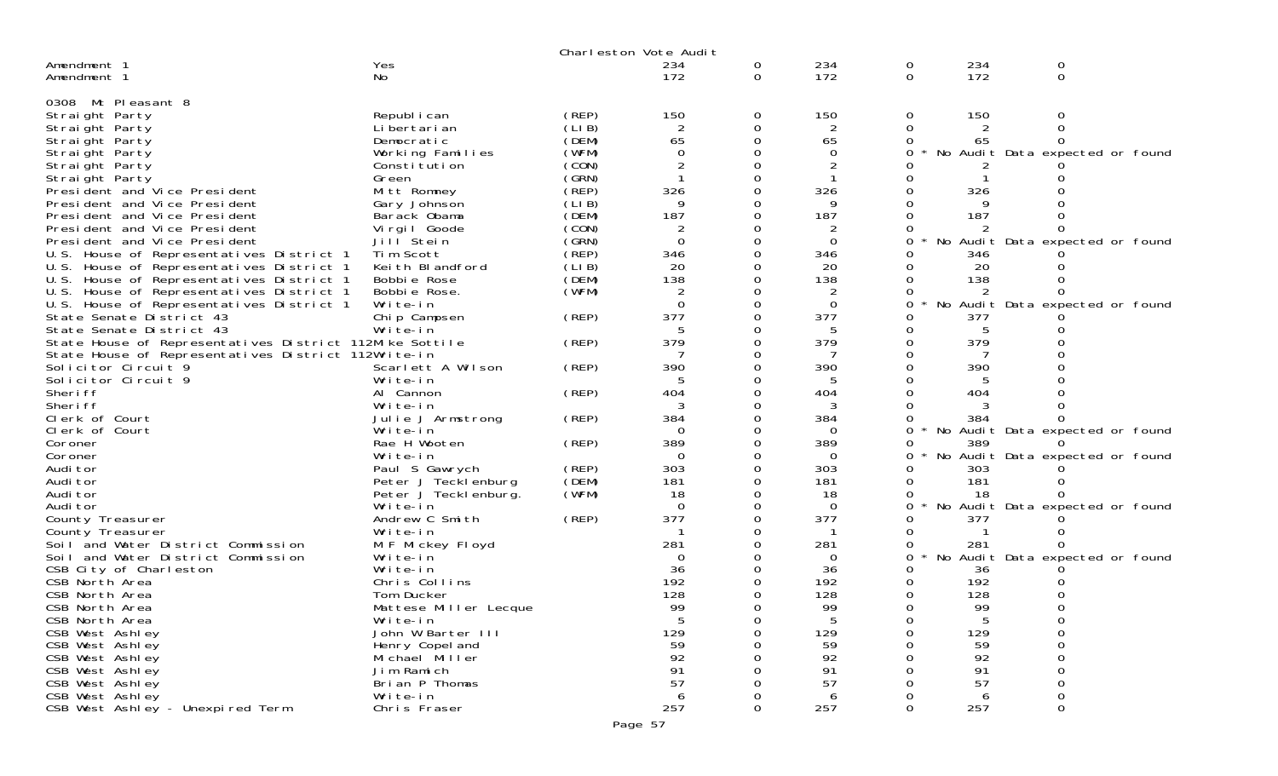|                                                         |                       |       | Charleston Vote Audit |        |             |        |            |                                 |  |
|---------------------------------------------------------|-----------------------|-------|-----------------------|--------|-------------|--------|------------|---------------------------------|--|
| Amendment 1<br>Amendment 1                              | Yes<br>No             |       | 234<br>172            | 0<br>0 | 234<br>172  | 0<br>0 | 234<br>172 | 0<br>0                          |  |
| 0308 Mt Pleasant 8                                      |                       |       |                       |        |             |        |            |                                 |  |
| Straight Party                                          | Republ i can          | (REP) | 150                   | 0      | 150         | 0      | 150        | 0                               |  |
| Straight Party                                          | Li bertari an         | (LIB) |                       | 0      | 2           | 0      |            |                                 |  |
| Straight Party                                          | Democratic            | (DEM) | 65                    |        | 65          |        | 65         |                                 |  |
| Straight Party                                          | Working Families      | (WFM) | $\Omega$              |        | $\Omega$    |        |            | No Audit Data expected or found |  |
| Straight Party                                          | Constitution          | (CON) |                       |        |             |        |            |                                 |  |
| Straight Party                                          | Green                 | (GRN) |                       |        |             |        |            |                                 |  |
| President and Vice President                            | Mitt Romney           | (REP) | 326                   |        | 326         |        | 326        |                                 |  |
| President and Vice President                            | Gary Johnson          | (LIB) | q                     |        |             |        |            |                                 |  |
| President and Vice President                            | Barack Obama          | (DEM) | 187                   |        | 187         |        | 187        |                                 |  |
| President and Vice President                            | Vi rgi I Goode        | (CON) | 2                     |        | 2           |        |            |                                 |  |
| President and Vice President                            | Jill <sup>Stein</sup> | (GRN) | $\Omega$              |        | $\Omega$    |        |            | No Audit Data expected or found |  |
| U.S. House of Representatives District 1                | Tim Scott             | (REP) | 346                   |        | 346         |        | 346        |                                 |  |
| U.S. House of Representatives District 1                | Keith Blandford       | (LIB) | 20                    |        | 20          |        | 20         |                                 |  |
| U.S. House of Representatives District 1                | Bobbie Rose           | (DEM) | 138                   |        | 138         |        | 138        |                                 |  |
| U.S. House of Representatives District 1                | Bobbie Rose.          | (WFM) | 2                     |        | 2           |        |            |                                 |  |
| U.S. House of Representatives District 1                | Write-in              |       | $\Omega$              |        | $\mathbf 0$ |        |            | No Audit Data expected or found |  |
| State Senate District 43                                | Chip Campsen          | (REP) | 377                   |        | 377         |        | 377        |                                 |  |
| State Senate District 43                                | Write-in              |       |                       |        |             |        |            |                                 |  |
| State House of Representatives District 112Mike Sottile |                       | (REP) | 379                   |        | 379         |        | 379        |                                 |  |
| State House of Representatives District 112Write-in     |                       |       |                       |        |             |        |            |                                 |  |
| Solicitor Circuit 9                                     | Scarlett A Wilson     | (REP) | 390                   |        | 390         |        | 390        |                                 |  |
| Solicitor Circuit 9                                     | Write-in              |       |                       |        |             |        |            |                                 |  |
| Sheri ff                                                | Al Cannon             | (REP) | 404                   |        | 404         |        | 404        |                                 |  |
| Sheri ff                                                | Write-in              |       |                       |        |             |        |            |                                 |  |
| Clerk of Court                                          | Julie J Armstrong     | (REP) | 384                   |        | 384         |        | 384        |                                 |  |
| Clerk of Court                                          | Write-in              |       | - 0                   |        | $\Omega$    |        |            | No Audit Data expected or found |  |
| Coroner                                                 | Rae H Wooten          | (REP) | 389                   |        | 389         |        | 389        |                                 |  |
| Coroner                                                 | Write-in              |       | $\Omega$              |        | $\Omega$    |        |            | No Audit Data expected or found |  |
| Audi tor                                                | Paul S Gawrych        | (REP) | 303                   |        | 303         |        | 303        |                                 |  |
| Audi tor                                                | Peter J Tecklenburg   | (DEM) | 181                   |        | 181         |        | 181        |                                 |  |
| Audi tor                                                | Peter J Tecklenburg.  | (WFM) | 18                    |        | 18          |        | 18         |                                 |  |
| Audi tor                                                | Write-in              |       | 0                     |        | $\Omega$    | Ω      |            | No Audit Data expected or found |  |
| County Treasurer                                        | Andrew C Smith        | (REP) | 377                   |        | 377         |        | 377        |                                 |  |
| County Treasurer                                        | Write-in              |       |                       |        |             |        |            |                                 |  |
| Soil and Water District Commission                      | M F Mickey Floyd      |       | 281                   |        | 281         |        | 281        |                                 |  |
| Soil and Water District Commission                      | Write-in              |       | $\Omega$              |        | 0           | 0      |            | No Audit Data expected or found |  |
| CSB City of Charleston                                  | Write-in              |       | 36                    |        | 36          |        | 36         |                                 |  |
| CSB North Area                                          | Chris Collins         |       | 192                   |        | 192         |        | 192        |                                 |  |
| CSB North Area                                          | Tom Ducker            |       | 128                   |        | 128         |        | 128        |                                 |  |
| CSB North Area                                          | Mattese Miller Lecque |       | 99                    |        | 99          |        | 99         |                                 |  |
| CSB North Area                                          | Write-in              |       | 5                     | 0      | b.          |        | b          |                                 |  |
| CSB West Ashley                                         | John W Barter III     |       | 129                   |        | 129         |        | 129        | 0                               |  |
| CSB West Ashley                                         | Henry Copel and       |       | 59                    |        | 59          |        | 59         |                                 |  |
| CSB West Ashley                                         | Michael Miller        |       | 92                    |        | 92          |        | 92         |                                 |  |
| CSB West Ashley                                         | Jim Ramich            |       | 91                    |        | 91          |        | 91         |                                 |  |
| CSB West Ashley                                         | Brian P Thomas        |       | 57                    |        | 57          |        | 57         |                                 |  |
| CSB West Ashley                                         | Write-in              |       | 6                     |        | 6           |        | 6          |                                 |  |
| CSB West Ashley - Unexpired Term                        | Chris Fraser          |       | 257                   | 0      | 257         | 0      | 257        | 0                               |  |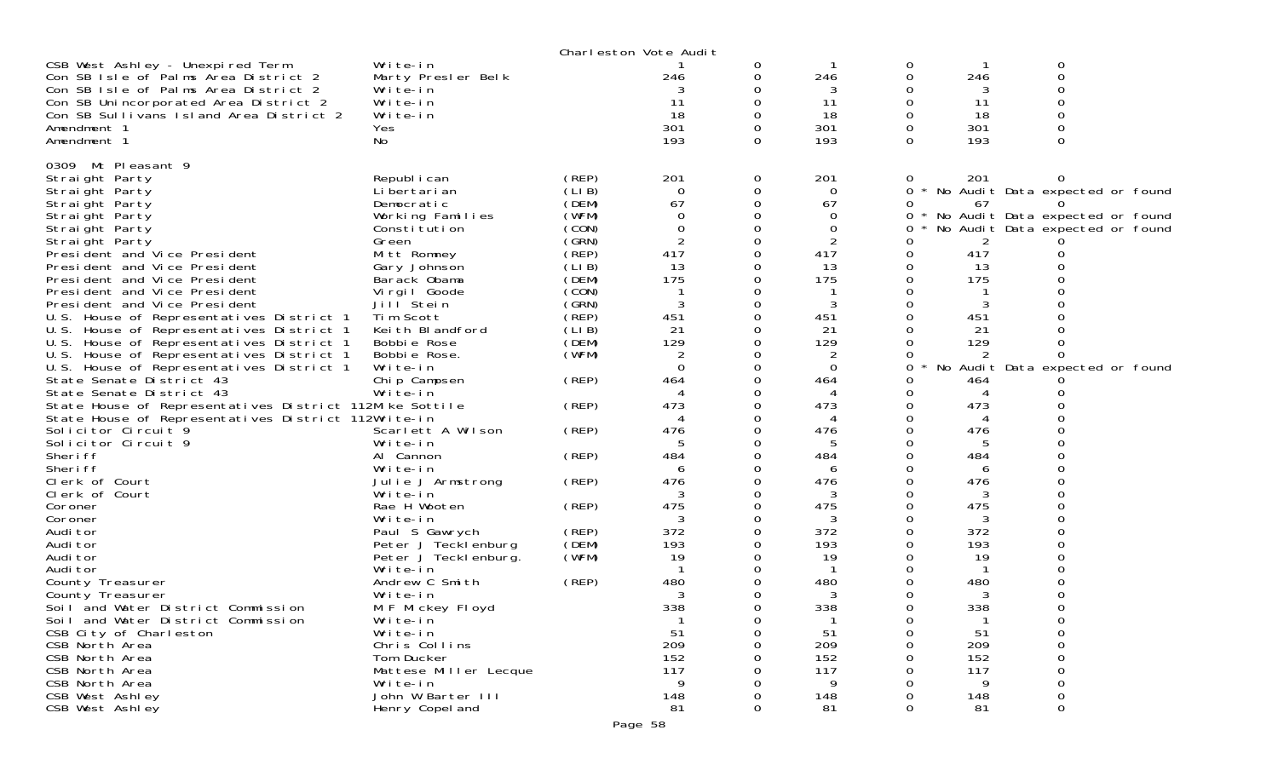|                                                                                                                |                                   |       | Charleston Vote Audit |   |             |          |            |                                 |  |
|----------------------------------------------------------------------------------------------------------------|-----------------------------------|-------|-----------------------|---|-------------|----------|------------|---------------------------------|--|
| CSB West Ashley - Unexpired Term                                                                               | Write-in                          |       |                       | 0 |             | 0        |            | 0                               |  |
| Con SB Isle of Palms Area District 2                                                                           | Marty Presler Belk                |       | 246                   |   | 246         | 0        | 246        | 0                               |  |
| Con SB Isle of Palms Area District 2                                                                           | Write-in                          |       |                       |   | 3           |          | 3          |                                 |  |
| Con SB Unincorporated Area District 2                                                                          | Write-in                          |       |                       |   | 11          | 0        | 11         | ∩                               |  |
| Con SB Sullivans Island Area District 2                                                                        | Write-in                          |       | 18                    |   | 18          | 0        | 18         |                                 |  |
| Amendment 1                                                                                                    | <b>Yes</b>                        |       | 301                   |   | 301         | 0        | 301        |                                 |  |
| Amendment 1                                                                                                    | No                                |       | 193                   | 0 | 193         | $\Omega$ | 193        | 0                               |  |
| 0309 Mt Pleasant 9                                                                                             |                                   |       |                       |   |             |          |            |                                 |  |
| Straight Party                                                                                                 | Republ i can                      | (REP) | 201                   | 0 | 201         | 0        | 201        |                                 |  |
| Straight Party                                                                                                 | Li bertari an                     | (LIB) | $\Omega$              |   | 0           | 0        |            | No Audit Data expected or found |  |
| Straight Party                                                                                                 | Democratic                        | (DEM) | 67                    |   | 67          | 0        | 67         |                                 |  |
| Straight Party                                                                                                 | Working Families                  | (WFM) | $\Omega$              |   | 0           | 0        |            | No Audit Data expected or found |  |
| Straight Party                                                                                                 | Constitution                      | (CON) | 0                     |   | 0           | 0        |            | No Audit Data expected or found |  |
| Straight Party                                                                                                 | Green                             | (GRN) |                       |   | 2           |          |            |                                 |  |
| President and Vice President                                                                                   | Mitt Romney                       | (REP) | 417                   |   | 417         | 0        | 417        |                                 |  |
| President and Vice President                                                                                   | Gary Johnson                      | (LIB) | 13                    |   | 13          | 0        | 13         |                                 |  |
| President and Vice President                                                                                   | Barack Obama                      | (DEM) | 175                   |   | 175         | $\Omega$ | 175        |                                 |  |
| President and Vice President                                                                                   | Virgil Goode                      | (CON) |                       |   |             | 0        |            |                                 |  |
| President and Vice President                                                                                   | Jill <sup>Stein</sup>             | (GRN) |                       |   | 3           | 0        |            |                                 |  |
| U.S. House of Representatives District 1                                                                       | Tim Scott                         | (REP) | 451                   |   | 451         | 0        | 451        |                                 |  |
| U.S. House of Representatives District 1                                                                       | Keith Blandford                   | (LIB) | 21                    |   | 21          | 0        | 21         |                                 |  |
| U.S. House of Representatives District 1                                                                       | Bobbie Rose                       | (DEM) | 129                   |   | 129         |          | 129        |                                 |  |
| U.S. House of Representatives District 1                                                                       | Bobbie Rose.                      | (WFM) |                       |   | 2           |          |            |                                 |  |
| U.S. House of Representatives District 1                                                                       | Write-in                          |       | $\Omega$              |   | $\mathbf 0$ | 0        |            | No Audit Data expected or found |  |
| State Senate District 43                                                                                       | Chip Campsen                      | (REP) | 464                   |   | 464         | 0        | 464        |                                 |  |
| State Senate District 43                                                                                       | Write-in                          |       | 473                   |   | 473         | O        | 473        |                                 |  |
| State House of Representatives District 112Mike Sottile<br>State House of Representatives District 112Write-in |                                   | (REP) |                       |   | 4           | 0        |            |                                 |  |
| Solicitor Circuit 9                                                                                            | Scarlett A Wilson                 | (REP) | 476                   |   | 476         | 0        | 476        |                                 |  |
| Solicitor Circuit 9                                                                                            | Write-in                          |       | 5                     |   | 5           | 0        | 5          |                                 |  |
| Sheri ff                                                                                                       | Al Cannon                         | (REP) | 484                   |   | 484         |          | 484        |                                 |  |
| Sheri ff                                                                                                       | Write-in                          |       | 6                     |   | 6           | 0        | 6          |                                 |  |
| Clerk of Court                                                                                                 | Julie J Armstrong                 | (REP) | 476                   |   | 476         | 0        | 476        |                                 |  |
| Clerk of Court                                                                                                 | Write-in                          |       |                       |   | 3           | 0        | 3          |                                 |  |
| Coroner                                                                                                        | Rae H Wooten                      | (REP) | 475                   |   | 475         | $\Omega$ | 475        |                                 |  |
| Coroner                                                                                                        | Write-in                          |       | 3                     |   | 3           | 0        | 3          |                                 |  |
| Audi tor                                                                                                       | Paul S Gawrych                    | (REP) | 372                   |   | 372         |          | 372        |                                 |  |
| Audi tor                                                                                                       | Peter J Tecklenburg               | (DEM) | 193                   |   | 193         |          | 193        |                                 |  |
| Audi tor                                                                                                       | Peter J Tecklenburg.              | (WFM) | 19                    |   | 19          | 0        | 19         |                                 |  |
| Audi tor                                                                                                       | Write-in                          |       |                       |   |             |          |            |                                 |  |
| County Treasurer                                                                                               | Andrew C Smith                    | (REP) | 480                   |   | 480         |          | 480        |                                 |  |
| County Treasurer                                                                                               | Write-in                          |       |                       |   | 3           | 0        | 3          |                                 |  |
| Soil and Water District Commission                                                                             | M F Mickey Floyd                  |       | 338                   |   | 338         | 0        | 338        | 0                               |  |
| Soil and Water District Commission                                                                             | Write-in                          |       |                       |   |             | 0        |            | 0                               |  |
| CSB City of Charleston                                                                                         | Write-in                          |       | 51                    |   | 51          | 0        | 51         | 0                               |  |
| CSB North Area                                                                                                 | Chris Collins                     |       | 209                   |   | 209         |          | 209        | 0                               |  |
| CSB North Area<br>CSB North Area                                                                               | Tom Ducker                        |       | 152<br>117            |   | 152<br>117  |          | 152<br>117 | 0<br>0                          |  |
| CSB North Area                                                                                                 | Mattese Miller Lecque<br>Write-in |       | 9                     |   | 9           |          | 9          | 0                               |  |
| CSB West Ashley                                                                                                | John W Barter III                 |       | 148                   |   | 148         | 0        | 148        | 0                               |  |
| CSB West Ashley                                                                                                | Henry Copel and                   |       | 81                    |   | 81          | 0        | 81         | 0                               |  |
|                                                                                                                |                                   |       |                       |   |             |          |            |                                 |  |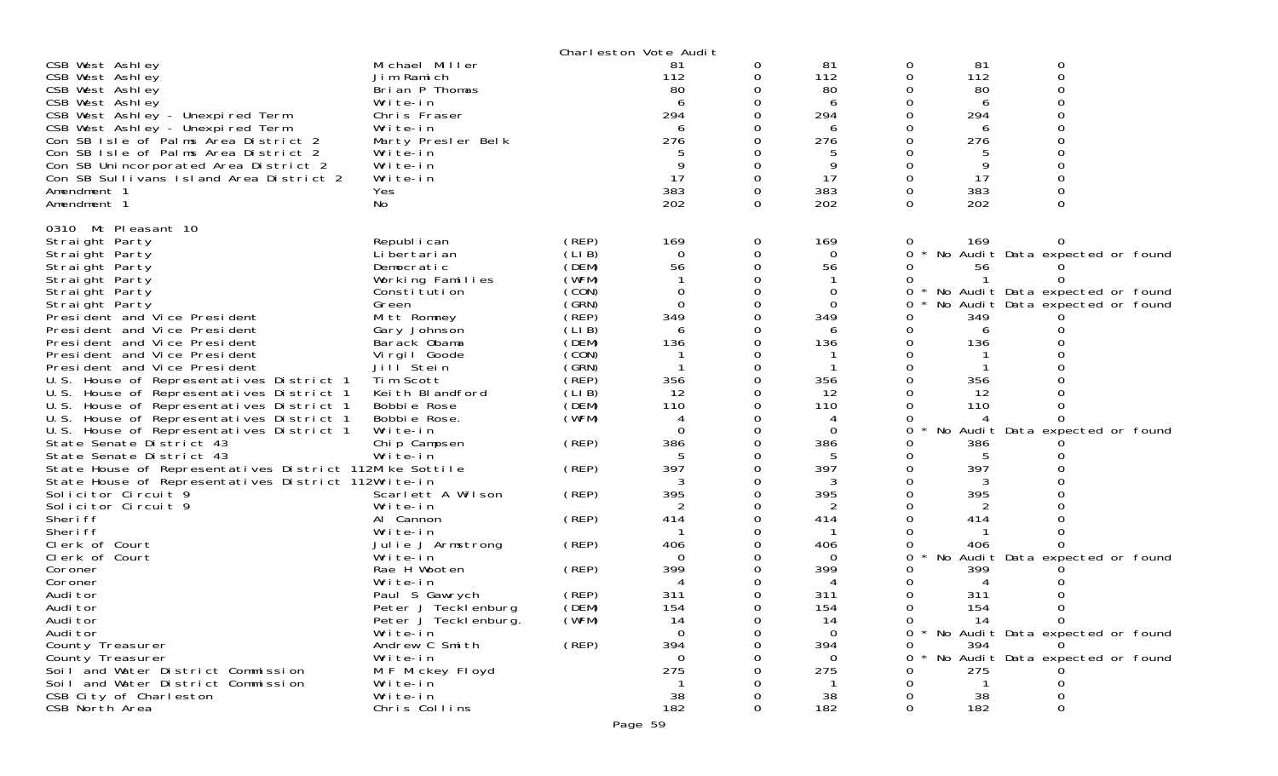|                                                         |                              |        | Charleston Vote Audit |          |          |   |     |                                     |  |
|---------------------------------------------------------|------------------------------|--------|-----------------------|----------|----------|---|-----|-------------------------------------|--|
| CSB West Ashley                                         | Michael Miller               |        | 81                    | 0        | 81       | 0 | 81  | 0                                   |  |
| CSB West Ashley                                         | Jim Ramich                   |        | 112                   | 0        | 112      | 0 | 112 | $\Omega$                            |  |
| CSB West Ashley                                         | Brian P Thomas               |        | 80                    |          | 80       |   | 80  |                                     |  |
| CSB West Ashley                                         | Write-in                     |        | 6                     |          | 6        |   | 6   |                                     |  |
| CSB West Ashley - Unexpired Term                        | Chris Fraser                 |        | 294                   |          | 294      |   | 294 |                                     |  |
| CSB West Ashley - Unexpired Term                        | Write-in                     |        | 6                     |          | 6        |   | 6   |                                     |  |
| Con SB Isle of Palms Area District 2                    | Marty Presler Belk           |        | 276                   |          | 276      |   | 276 |                                     |  |
| Con SB Isle of Palms Area District 2                    | Write-in                     |        |                       |          |          |   |     |                                     |  |
| Con SB Unincorporated Area District 2                   | Write-in                     |        | 9                     |          |          |   | 9   |                                     |  |
| Con SB Sullivans Island Area District 2                 | Write-in                     |        | 17                    | $\Omega$ | 17       | 0 | 17  |                                     |  |
| Amendment 1                                             | Yes                          |        | 383                   | 0        | 383      | 0 | 383 |                                     |  |
| Amendment 1                                             | No                           |        | 202                   | $\Omega$ | 202      | 0 | 202 | $\Omega$                            |  |
|                                                         |                              |        |                       |          |          |   |     |                                     |  |
| 0310 Mt Pleasant 10                                     |                              |        |                       |          |          |   |     |                                     |  |
| Straight Party                                          | Republ i can                 | (REP)  | 169                   | 0        | 169      | 0 | 169 |                                     |  |
| Straight Party                                          | Li bertari an                | (LIB)  | $\Omega$              | 0        | $\Omega$ | 0 |     | No Audit Data expected or found     |  |
| Straight Party                                          | Democratic                   | (DEM)  | 56                    |          | 56       |   | 56  |                                     |  |
| Straight Party                                          | Working Families             | (WFM)  |                       |          |          |   |     |                                     |  |
| Straight Party                                          | Constitution                 | (CON)  | $\Omega$              |          | 0        | 0 |     | No Audit Data expected or found     |  |
| Straight Party                                          | Green                        | (GRN)  | $\Omega$              |          | 0        | 0 |     | No Audit Data expected or found     |  |
| President and Vice President                            | Mitt Romney                  | (REP)  | 349                   |          | 349      |   | 349 |                                     |  |
| President and Vice President                            | Gary Johnson                 | (LI B) | 6                     |          | 6        |   | 6   |                                     |  |
| President and Vice President                            |                              | (DEM)  | 136                   |          | 136      |   | 136 |                                     |  |
| President and Vice President                            | Barack Obama<br>Virgil Goode | (CON)  |                       |          |          |   |     |                                     |  |
|                                                         |                              | (GRN)  |                       |          |          |   |     |                                     |  |
| President and Vice President                            | Jill Stein                   | (REP)  | 356                   | 0        |          |   |     |                                     |  |
| U.S. House of Representatives District 1                | Tim Scott<br>Keith Blandford |        |                       |          | 356      |   | 356 |                                     |  |
| U.S. House of Representatives District 1                |                              | (LI B) | 12                    |          | 12       |   | 12  |                                     |  |
| U.S. House of Representatives District 1                | Bobbie Rose                  | (DEM)  | 110                   |          | 110      |   | 110 |                                     |  |
| U.S. House of Representatives District 1                | Bobbie Rose.                 | (WFM)  | 4                     |          |          |   |     |                                     |  |
| U.S. House of Representatives District 1                | Write-in                     |        | $\Omega$              | $\Omega$ | 0        | 0 |     | No Audit Data expected or found     |  |
| State Senate District 43                                | Chip Campsen                 | (REP)  | 386                   |          | 386      |   | 386 |                                     |  |
| State Senate District 43                                | Write-in                     |        |                       |          |          |   |     |                                     |  |
| State House of Representatives District 112Mike Sottile |                              | (REP)  | 397                   | 0        | 397      | 0 | 397 |                                     |  |
| State House of Representatives District 112Write-in     |                              |        | 3                     |          | 3        |   | 3   |                                     |  |
| Solicitor Circuit 9                                     | Scarlett A Wilson            | (REP)  | 395                   |          | 395      |   | 395 |                                     |  |
| Solicitor Circuit 9                                     | Write-in                     |        |                       |          |          |   |     |                                     |  |
| Sheri ff                                                | Al Cannon                    | (REP)  | 414                   |          | 414      |   | 414 |                                     |  |
| Sheri ff                                                | Write-in                     |        |                       |          |          |   |     |                                     |  |
| Clerk of Court                                          | Julie J Armstrong            | (REP)  | 406                   |          | 406      |   | 406 |                                     |  |
| Clerk of Court                                          | Write-in                     |        | $\Omega$              |          | $\Omega$ | 0 |     | No Audit Data expected or found     |  |
| Coroner                                                 | Rae H Wooten                 | (REP)  | 399                   |          | 399      |   | 399 |                                     |  |
| Coroner                                                 | Write-in                     |        | 4                     |          |          |   | 4   |                                     |  |
| Audi tor                                                | Paul S Gawrych               | (REP)  | 311                   |          | 311      |   | 311 |                                     |  |
| Audi tor                                                | Peter J Tecklenburg          | (DEM)  | 154                   | $\Omega$ | 154      | 0 | 154 |                                     |  |
| Audi tor                                                | Peter J Tecklenburg.         | (WFM)  | 14                    |          | 14       | 0 | 14  | 0                                   |  |
| Audi tor                                                | Write-in                     |        | $\Omega$              | 0        | $\Omega$ |   |     | 0 * No Audit Data expected or found |  |
| County Treasurer                                        | Andrew C Smith               | (REP)  | 394                   | 0        | 394      | 0 | 394 |                                     |  |
| County Treasurer                                        | Write-in                     |        | $\Omega$              |          | 0        | 0 |     | No Audit Data expected or found     |  |
| Soil and Water District Commission                      | M F Mickey Floyd             |        | 275                   |          | 275      |   | 275 |                                     |  |
| Soil and Water District Commission                      | Write-in                     |        |                       |          |          |   | -1  |                                     |  |
| CSB City of Charleston                                  | Write-in                     |        | 38                    |          | 38       |   | 38  |                                     |  |
| CSB North Area                                          | Chris Collins                |        | 182                   | 0        | 182      | 0 | 182 |                                     |  |
|                                                         |                              |        |                       |          |          |   |     |                                     |  |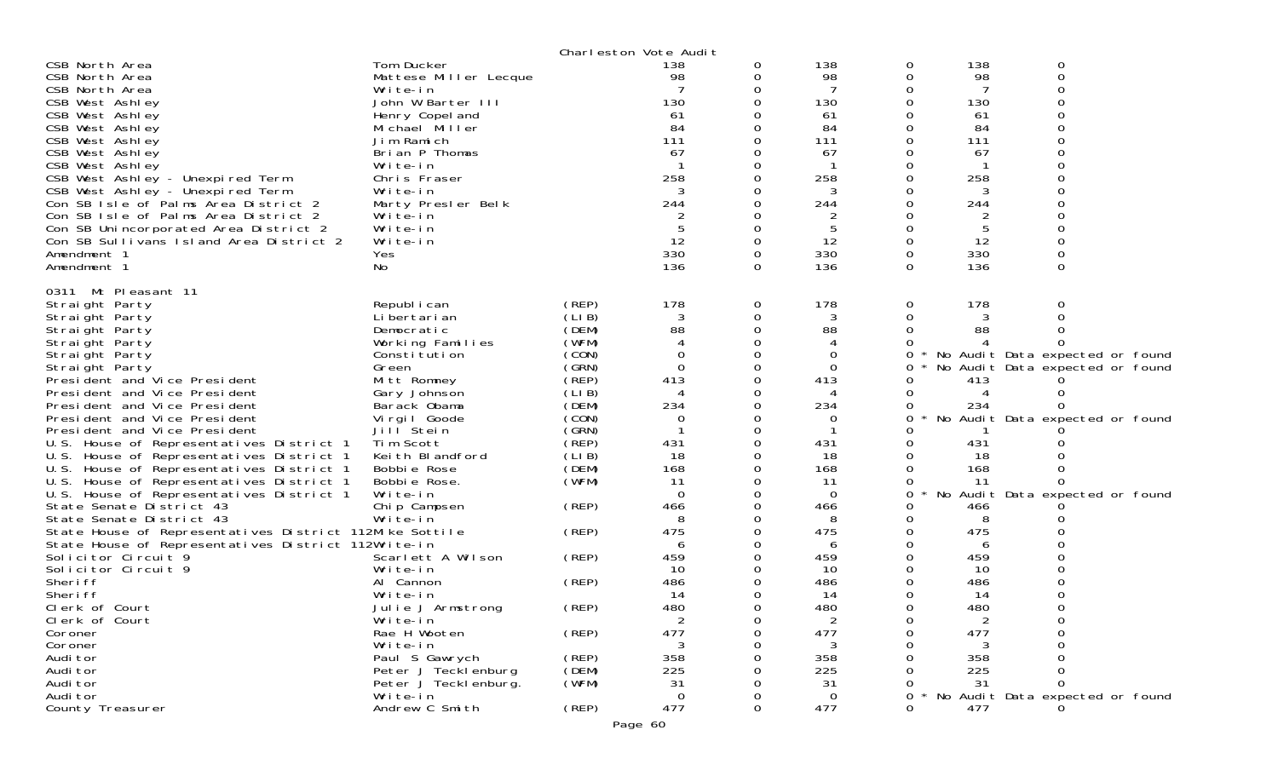|                                                         |                       | Charleston Vote Audit |          |          |                |             |     |                                 |  |
|---------------------------------------------------------|-----------------------|-----------------------|----------|----------|----------------|-------------|-----|---------------------------------|--|
| CSB North Area                                          | Tom Ducker            |                       | 138      | 0        | 138            | 0           | 138 | 0                               |  |
| CSB North Area                                          | Mattese Miller Lecque |                       | 98       | 0        | 98             | 0           | 98  | 0                               |  |
| CSB North Area                                          | Write-in              |                       |          |          |                | 0           | 7   | ი                               |  |
| CSB West Ashley                                         | John W Barter III     |                       | 130      |          | 130            | $\Omega$    | 130 |                                 |  |
| CSB West Ashley                                         | Henry Copel and       |                       | 61       |          | 61             | 0           | 61  |                                 |  |
| CSB West Ashley                                         | Michael Miller        |                       | 84       |          | 84             | Ω           | 84  |                                 |  |
| CSB West Ashley                                         | Jim Ramich            |                       | 111      |          | 111            | $\Omega$    | 111 |                                 |  |
| CSB West Ashley                                         | Brian P Thomas        |                       | 67       |          | 67             | 0           | 67  |                                 |  |
| CSB West Ashley                                         | Write-in              |                       |          |          |                |             |     |                                 |  |
| CSB West Ashley - Unexpired Term                        | Chris Fraser          |                       | 258      |          | 258            | 0           | 258 |                                 |  |
| CSB West Ashley - Unexpired Term                        | Write-in              |                       | 3        |          | 3              | 0           | 3   |                                 |  |
| Con SB Isle of Palms Area District 2                    | Marty Presler Belk    |                       | 244      |          | 244            | 0           | 244 |                                 |  |
| Con SB Isle of Palms Area District 2                    | Write-in              |                       |          | 0        | $\overline{2}$ | 0           | 2   | ი                               |  |
|                                                         | Write-in              |                       |          | 0        |                | 0           |     |                                 |  |
| Con SB Unincorporated Area District 2                   |                       |                       |          |          | 5              |             | 5   |                                 |  |
| Con SB Sullivans Island Area District 2                 | Write-in              |                       | 12       |          | 12             | $\mathbf 0$ | 12  |                                 |  |
| Amendment 1                                             | Yes                   |                       | 330      | 0        | 330            | $\Omega$    | 330 | 0                               |  |
| Amendment 1                                             | No                    |                       | 136      | $\Omega$ | 136            | $\Omega$    | 136 | 0                               |  |
| 0311 Mt Pleasant 11                                     |                       |                       |          |          |                |             |     |                                 |  |
| Straight Party                                          | Republ i can          | (REP)                 | 178      | 0        | 178            | 0           | 178 | Ω                               |  |
| Straight Party                                          | Li bertari an         | (LIB)                 | 3        | 0        | 3              | 0           | 3   |                                 |  |
| Straight Party                                          | Democratic            | (DEM)                 | 88       | 0        | 88             | 0           | 88  |                                 |  |
|                                                         |                       | (WFM)                 |          |          | 4              |             |     |                                 |  |
| Straight Party                                          | Working Families      | (CON)                 | $\Omega$ | 0        |                |             |     |                                 |  |
| Straight Party                                          | Constitution          |                       |          |          | 0              | 0           |     | No Audit Data expected or found |  |
| Straight Party                                          | Green                 | (GRN)                 | $\Omega$ | 0        | $\mathbf 0$    | 0           |     | No Audit Data expected or found |  |
| President and Vice President                            | Mitt Romney           | (REF)                 | 413      | 0        | 413            | Ω           | 413 |                                 |  |
| President and Vice President                            | Gary Johnson          | (LIB)                 |          |          |                | 0           | 4   | 0                               |  |
| President and Vice President                            | Barack Obama          | (DEM)                 | 234      | 0        | 234            | 0           | 234 |                                 |  |
| President and Vice President                            | Virgil Goode          | (CON)                 | 0        |          | 0              | 0           |     | No Audit Data expected or found |  |
| President and Vice President                            | Jill <sup>Stein</sup> | (GRN)                 |          |          |                |             |     |                                 |  |
| U.S. House of Representatives District 1                | Tim Scott             | (REP)                 | 431      |          | 431            | 0           | 431 |                                 |  |
| U.S. House of Representatives District 1                | Keith Blandford       | (LIB)                 | 18       |          | 18             | 0           | 18  |                                 |  |
| U.S. House of Representatives District 1                | Bobbie Rose           | (DEM)                 | 168      | ∩        | 168            | $\Omega$    | 168 |                                 |  |
| U.S. House of Representatives District 1                | Bobbie Rose.          | (WFM)                 | 11       |          | 11             | 0           | 11  |                                 |  |
| U.S. House of Representatives District 1                | Write-in              |                       | $\Omega$ |          | 0              | 0           |     | No Audit Data expected or found |  |
| State Senate District 43                                | Chip Campsen          | (REP)                 | 466      | 0        | 466            | 0           | 466 |                                 |  |
| State Senate District 43                                | Write-in              |                       | 8        | 0        | 8              | 0           | 8   |                                 |  |
| State House of Representatives District 112Mike Sottile |                       | (REP)                 | 475      | 0        | 475            | 0           | 475 |                                 |  |
| State House of Representatives District 112Write-in     |                       |                       |          |          | 6              | 0           | 6   |                                 |  |
| Solicitor Circuit 9                                     | Scarlett A Wilson     | (REP)                 | 459      |          | 459            | 0           | 459 |                                 |  |
| Solicitor Circuit 9                                     | Write-in              |                       | 10       |          | 10             |             | 10  |                                 |  |
| Sheri ff                                                | Al Cannon             | (REP)                 | 486      |          | 486            | 0           | 486 |                                 |  |
| Sheri ff                                                | Write-in              |                       | 14       |          | 14             | 0           | -14 |                                 |  |
| Clerk of Court                                          | Julie J Armstrong     | (REP)                 | 480      | $\Omega$ | 480            | 0           | 480 | 0                               |  |
| Clerk of Court                                          | Write-in              |                       | 2        |          | 2              | 0           |     | O                               |  |
| Coroner                                                 | Rae H Wooten          | (REP)                 | 477      | 0        | 477            | 0           | 477 |                                 |  |
| Coroner                                                 | Write-in              |                       |          |          |                | Ω           |     |                                 |  |
| Audi tor                                                | Paul S Gawrych        | (REP)                 | 358      |          | 358            |             | 358 |                                 |  |
| Audi tor                                                | Peter J Tecklenburg   | (DEM)                 | 225      |          | 225            |             | 225 |                                 |  |
| Audi tor                                                | Peter J Teckl enburg. | (WFM)                 | 31       |          | 31             | 0           | 31  | 0                               |  |
| Audi tor                                                | Write-in              |                       | 0        |          | 0              | 0           |     | No Audit Data expected or found |  |
| County Treasurer                                        | Andrew C Smith        | (REP)                 | 477      | $\Omega$ | 477            | 0           | 477 |                                 |  |
|                                                         |                       |                       |          |          |                |             |     |                                 |  |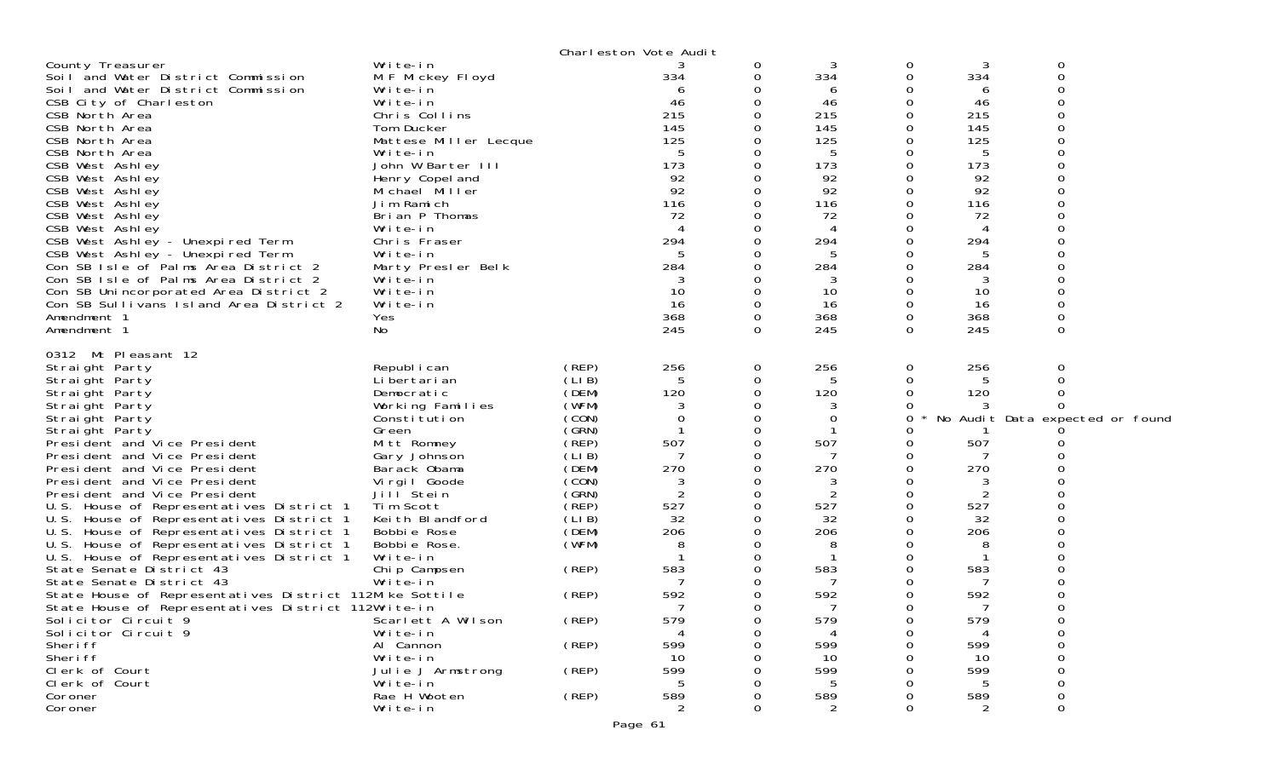|                                                         |                       |       | Charleston Vote Audit |          |                |          |     |                                 |  |
|---------------------------------------------------------|-----------------------|-------|-----------------------|----------|----------------|----------|-----|---------------------------------|--|
| County Treasurer                                        | Write-in              |       |                       | 0        | 3              | 0        | 3   | 0                               |  |
| Soil and Water District Commission                      | M F Mickey Floyd      |       | 334                   | 0        | 334            | 0        | 334 | 0                               |  |
| Soil and Water District Commission                      | Write-in              |       | 6                     | 0        | 6              |          | 6   |                                 |  |
| CSB City of Charleston                                  | Write-in              |       | 46                    | $\Omega$ | 46             | 0        | 46  |                                 |  |
| CSB North Area                                          | Chris Collins         |       | 215                   |          | 215            |          | 215 |                                 |  |
| CSB North Area                                          | Tom Ducker            |       | 145                   | 0        | 145            | Ω        | 145 |                                 |  |
| CSB North Area                                          | Mattese Miller Lecque |       | 125                   | 0        | 125            | Ω        | 125 |                                 |  |
| CSB North Area                                          | Write-in              |       | 5                     | 0        | 5              | 0        | 5   |                                 |  |
| CSB West Ashley                                         | John W Barter III     |       | 173                   | 0        | 173            | 0        | 173 |                                 |  |
| CSB West Ashley                                         | Henry Copel and       |       | 92                    | 0        | 92             | Ω        | 92  |                                 |  |
| CSB West Ashley                                         | Michael Miller        |       | 92                    | 0        | 92             | 0        | 92  |                                 |  |
| CSB West Ashley                                         | Jim Ramich            |       | 116                   | 0        | 116            |          | 116 |                                 |  |
| CSB West Ashley                                         | Brian P Thomas        |       | 72                    | 0        | 72             | Ω        | 72  |                                 |  |
| CSB West Ashley                                         | Write-in              |       |                       | 0        | 4              |          | 4   |                                 |  |
| CSB West Ashley - Unexpired Term                        | Chris Fraser          |       | 294                   | 0        | 294            | O        | 294 |                                 |  |
| CSB West Ashley - Unexpired Term                        | Write-in              |       | 5                     | 0        | 5              | Ω        | 5   |                                 |  |
| Con SB Isle of Palms Area District 2                    | Marty Presler Belk    |       | 284                   | 0        | 284            | 0        | 284 |                                 |  |
| Con SB Isle of Palms Area District 2                    | Write-in              |       |                       |          | 3              |          | 3   |                                 |  |
| Con SB Unincorporated Area District 2                   | Write-in              |       | 10                    | $\Omega$ | 10             | 0        | 10  |                                 |  |
| Con SB Sullivans Island Area District 2                 | Write-in              |       | 16                    | 0        | 16             | 0        | 16  |                                 |  |
| Amendment 1                                             | Yes                   |       | 368                   | 0        | 368            | 0        | 368 |                                 |  |
| Amendment 1                                             | No                    |       | 245                   | $\Omega$ | 245            | $\Omega$ | 245 | $\Omega$                        |  |
| 0312 Mt Pleasant 12                                     |                       |       |                       |          |                |          |     |                                 |  |
|                                                         | Republ i can          | (REP) | 256                   | 0        | 256            | 0        | 256 | 0                               |  |
| Straight Party<br>Straight Party                        | Li bertari an         | (LIB) | 5                     | 0        | 5              |          | 5   |                                 |  |
| Straight Party                                          | Democratic            | (DEM) | 120                   | 0        | 120            | O        | 120 |                                 |  |
| Straight Party                                          | Working Families      | (WFM) | 3                     | 0        | 3              |          |     |                                 |  |
| Straight Party                                          | Constitution          | (CON) | 0                     | 0        | 0              | 0        |     | No Audit Data expected or found |  |
| Straight Party                                          | Green                 | (SRN) |                       | 0        |                |          |     |                                 |  |
| President and Vice President                            | Mitt Romney           | (REP) | 507                   | 0        | 507            | 0        | 507 |                                 |  |
| President and Vice President                            | Gary Johnson          | (LIB) |                       | 0        |                |          |     |                                 |  |
| President and Vice President                            | Barack Obama          | (DEM) | 270                   | 0        | 270            | O        | 270 |                                 |  |
| President and Vice President                            | Virgil Goode          | (CON) | 3                     | 0        | 3              | 0        | 3   |                                 |  |
| President and Vice President                            | Jill <sup>Stein</sup> | (GRN) | 2                     | 0        | $\overline{2}$ |          | 2   |                                 |  |
| U.S. House of Representatives District 1                | Tim Scott             | (REP) | 527                   | $\Omega$ | 527            | 0        | 527 |                                 |  |
| U.S. House of Representatives District 1                | Keith Blandford       | (LIB) | 32                    | 0        | 32             | 0        | 32  |                                 |  |
| U.S. House of Representatives District 1                | Bobbie Rose           | (DEM) | 206                   | 0        | 206            |          | 206 |                                 |  |
| U.S. House of Representatives District 1                | Bobbie Rose.          | (WFM) | 8                     | 0        | 8              |          |     |                                 |  |
| U.S. House of Representatives District 1                | Write-in              |       |                       | 0        |                | Ω        |     |                                 |  |
| State Senate District 43                                | Chip Campsen          | (REP) | 583                   | 0        | 583            |          | 583 |                                 |  |
| State Senate District 43                                | Write-in              |       |                       | 0        |                | Ω        | 7   |                                 |  |
| State House of Representatives District 112Mike Sottile |                       | (REP) | 592                   | 0        | 592            | 0        | 592 |                                 |  |
| State House of Representatives District 112Write-in     |                       |       |                       | 0        | 7              | $\Omega$ | 7   | 0                               |  |
| Solicitor Circuit 9                                     | Scarlett A Wilson     | (REP) | 579                   | 0        | 579            | 0        | 579 |                                 |  |
| Solicitor Circuit 9                                     | Write-in              |       |                       | 0        |                | Ω        |     | 0                               |  |
| Sheri ff                                                | Al Cannon             | (REP) | 599                   | 0        | 599            |          | 599 | Ω                               |  |
| Sheri ff                                                | Write-in              |       | 10                    |          | 10             |          | 10  |                                 |  |
| Clerk of Court                                          | Julie J Armstrong     | (REP) | 599                   |          | 599            |          | 599 |                                 |  |
| Clerk of Court                                          | Write-in              |       |                       | ი        | 5              |          | 5   | 0                               |  |
| Coroner                                                 | Rae H Wooten          | (REP) | 589                   | O        | 589            |          | 589 | $\Omega$                        |  |
| Coroner                                                 | Write-in              |       | 2                     | 0        | 2              | 0        | 2   | 0                               |  |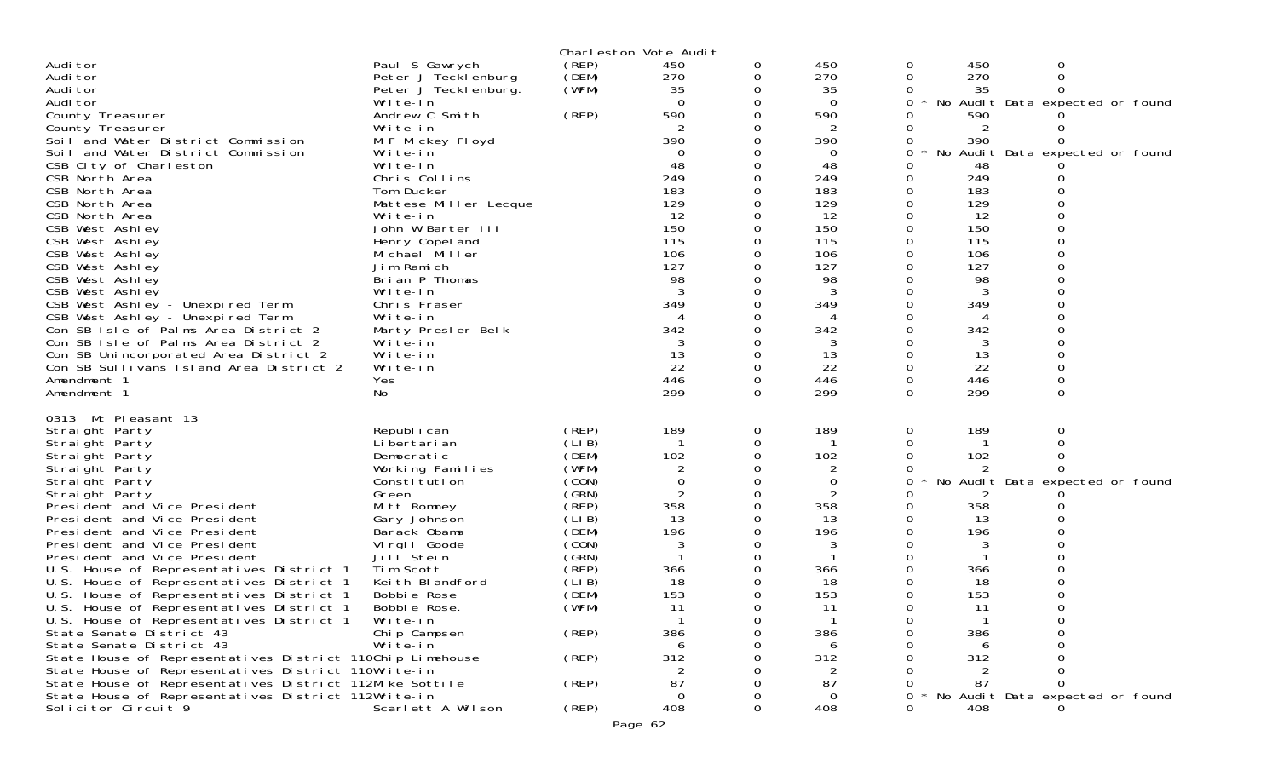| Charleston Vote Audit                                                |                                   |        |                   |          |                |                                      |  |  |  |  |  |
|----------------------------------------------------------------------|-----------------------------------|--------|-------------------|----------|----------------|--------------------------------------|--|--|--|--|--|
| Audi tor                                                             | Paul S Gawrych                    | (REP)  | 450               | 0        | 450            | 450<br>0<br>0                        |  |  |  |  |  |
| Audi tor                                                             | Peter J Tecklenburg               | (DEM)  | 270               | 0        | 270            | 0<br>270<br>0                        |  |  |  |  |  |
| Audi tor                                                             | Peter J Tecklenburg.              | (WFM)  | 35                | 0        | 35             | 35                                   |  |  |  |  |  |
| Audi tor                                                             | Write-in                          |        | $\Omega$          | 0        | $\overline{0}$ | No Audit Data expected or found<br>0 |  |  |  |  |  |
| County Treasurer                                                     | Andrew C Smith                    | (REP)  | 590               |          | 590            | 590                                  |  |  |  |  |  |
| County Treasurer                                                     | Write-in                          |        | $\mathcal{P}$     | 0        |                |                                      |  |  |  |  |  |
| Soil and Water District Commission                                   | M F Mickey Floyd                  |        | 390               |          | 390            | 390                                  |  |  |  |  |  |
| Soil and Water District Commission                                   | Write-in                          |        | $\Omega$          |          | 0              | No Audit Data expected or found<br>0 |  |  |  |  |  |
| CSB City of Charleston                                               | Write-in                          |        | 48                | 0        | 48             | 48                                   |  |  |  |  |  |
| CSB North Area                                                       | Chris Collins                     |        | 249               |          | 249            | 249                                  |  |  |  |  |  |
| CSB North Area<br>CSB North Area                                     | Tom Ducker                        |        | 183               |          | 183            | 183                                  |  |  |  |  |  |
|                                                                      | Mattese Miller Lecque<br>Write-in |        | 129<br>12         | 0        | 129<br>12      | 129<br>0<br>12                       |  |  |  |  |  |
| CSB North Area<br>CSB West Ashley                                    | John W Barter III                 |        | 150               |          | 150            | 150                                  |  |  |  |  |  |
| CSB West Ashley                                                      | Henry Copel and                   |        | 115               | 0        | 115            | 115                                  |  |  |  |  |  |
| CSB West Ashley                                                      | Michael Miller                    |        | 106               |          | 106            | 106                                  |  |  |  |  |  |
| CSB West Ashley                                                      | Jim Ramich                        |        | 127               | 0        | 127            | 127                                  |  |  |  |  |  |
| CSB West Ashley                                                      | Brian P Thomas                    |        | 98                | 0        | 98             | 98                                   |  |  |  |  |  |
| CSB West Ashley                                                      | Write-in                          |        | 3                 |          |                |                                      |  |  |  |  |  |
| CSB West Ashley - Unexpired Term                                     | Chris Fraser                      |        | 349               | $\Omega$ | 349            | 349                                  |  |  |  |  |  |
| CSB West Ashley - Unexpired Term                                     | Write-in                          |        | 4                 | 0        | 4              | 4                                    |  |  |  |  |  |
| Con SB Isle of Palms Area District 2                                 | Marty Presler Belk                |        | 342               |          | 342            | 342                                  |  |  |  |  |  |
| Con SB Isle of Palms Area District 2                                 | Write-in                          |        |                   | 0        |                |                                      |  |  |  |  |  |
| Con SB Unincorporated Area District 2                                | Write-in                          |        | 13                | 0        | 13             | 13<br>0                              |  |  |  |  |  |
| Con SB Sullivans Island Area District 2                              | Write-in                          |        | 22                | 0        | 22             | 22                                   |  |  |  |  |  |
| Amendment 1                                                          | Yes                               |        | 446               | 0        | 446            | 446<br>0                             |  |  |  |  |  |
| Amendment 1                                                          | No                                |        | 299               | $\Omega$ | 299            | 299<br>0<br>$\Omega$                 |  |  |  |  |  |
| 0313 Mt Pleasant 13                                                  |                                   |        |                   |          |                |                                      |  |  |  |  |  |
| Straight Party                                                       | Republ i can                      | (REP)  | 189               | 0        | 189            | 189<br>0<br>0                        |  |  |  |  |  |
| Straight Party                                                       | Li bertari an                     | (LI B) | -1                | 0        |                | 0                                    |  |  |  |  |  |
| Straight Party                                                       | Democratic                        | (DEM)  | 102               | 0        | 102            | 102<br>0                             |  |  |  |  |  |
| Straight Party                                                       | Working Families                  | (WFM)  | 2                 | 0        | 2              | 2<br>O                               |  |  |  |  |  |
| Straight Party                                                       | Constitution                      | (CON)  | 0                 | 0        | 0              | No Audit Data expected or found<br>0 |  |  |  |  |  |
| Straight Party                                                       | Green                             | (GRN)  |                   | 0        |                |                                      |  |  |  |  |  |
| President and Vice President                                         | Mitt Romney                       | (REP)  | 358               | 0        | 358            | 358<br>0                             |  |  |  |  |  |
| President and Vice President                                         | Gary Johnson                      | (LIB)  | 13                |          | 13             | 13                                   |  |  |  |  |  |
| President and Vice President                                         | Barack Obama                      | (DEM)  | 196               | 0        | 196            | 196                                  |  |  |  |  |  |
| President and Vice President                                         | Vi rgi I Goode                    | (CON)  | 3                 | 0        | 3              | 3                                    |  |  |  |  |  |
| President and Vice President                                         | Jill Stein                        | (GRN)  |                   |          |                |                                      |  |  |  |  |  |
| U.S. House of Representatives District 1                             | Tim Scott                         | (REP)  | 366               |          | 366            | 366                                  |  |  |  |  |  |
| U.S. House of Representatives District 1                             | Keith Blandford                   | (LI B) | 18                |          | 18             | 18                                   |  |  |  |  |  |
| U.S.<br>House of Representatives District 1                          | Bobbie Rose                       | (DEM)  | 153               |          | 153            | 153                                  |  |  |  |  |  |
| U.S.<br>House of Representatives District 1                          | Bobbie Rose.<br>Write-in          | (WFM)  | 11<br>$\mathbf 1$ | 0        | 11             | 11                                   |  |  |  |  |  |
| U.S. House of Representatives District 1<br>State Senate District 43 | Chip Campsen                      |        | 386               | 0        | 386            | O<br>386                             |  |  |  |  |  |
| State Senate District 43                                             | Write-in                          | (REP)  | 6                 |          | 6              | 6                                    |  |  |  |  |  |
| State House of Representatives District 110Chip Limehouse            |                                   | (REP)  | 312               |          | 312            | 312                                  |  |  |  |  |  |
| State House of Representatives District 110Write-in                  |                                   |        |                   |          |                |                                      |  |  |  |  |  |
| State House of Representatives District 112Mike Sottile              |                                   | (REP)  | 87                |          | 87             | 87                                   |  |  |  |  |  |
| State House of Representatives District 112Write-in                  |                                   |        | $\Omega$          |          | $\Omega$       | No Audit Data expected or found<br>0 |  |  |  |  |  |
| Solicitor Circuit <sup>9</sup>                                       | Scarlett A Wilson                 | (REP)  | 408               | 0        | 408            | 408<br>0                             |  |  |  |  |  |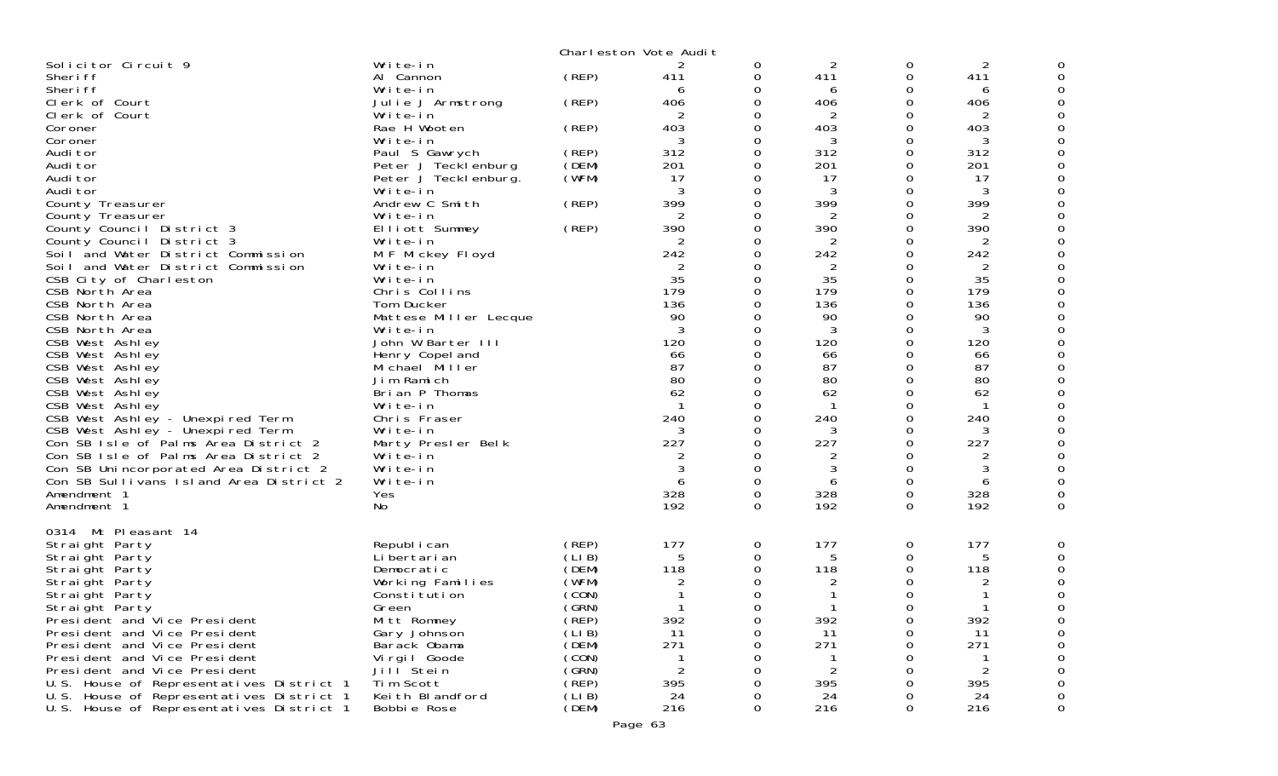| Solicitor Circuit 9<br>Write-in<br>$\overline{2}$<br>$\overline{2}$<br>0<br>0<br>(REP)<br>0<br>Al Cannon<br>0<br>411<br>411<br>Sheri ff<br>411<br>Sheri ff<br>Write-in<br>0<br>0<br>6<br>6<br>6<br>Clerk of Court<br>(REP)<br>406<br>406<br>406<br>Julie J Armstrong<br>0<br>0<br>Clerk of Court<br>2<br>2<br>Write-in<br>0<br>2<br>0<br>403<br>403<br>Rae H Wooten<br>(REP)<br>0<br>403<br>0<br>Coroner<br>3<br>3<br>0<br>3<br>Coroner<br>Write-in<br>0<br>(REP)<br>312<br>312<br>312<br>Paul S Gawrych<br>0<br>0<br>Audi tor<br>(DEM)<br>201<br>201<br>201<br>Audi tor<br>Peter J Tecklenburg<br>0<br>0<br>17<br>17<br>Audi tor<br>(WFM)<br>0<br>0<br>17<br>Peter J Tecklenburg.<br>3<br>0<br>3<br>0<br>3<br>Audi tor<br>Write-in<br>399<br>399<br>399<br>County Treasurer<br>Andrew C Smith<br>(REP)<br>0<br>0<br>2<br>$\overline{2}$<br>0<br>2<br>Write-in<br>0<br>County Treasurer<br>390<br>390<br>390<br>Elliott Summey<br>(REP)<br>0<br>0<br>County Council District 3<br>County Council District 3<br>0<br>2<br>Write-in<br>2<br>0<br>242<br>242<br>242<br>Soil and Water District Commission<br>M F Mickey Floyd<br>0<br>0<br>Soil and Water District Commission<br>2<br>0<br>0<br>Write-in<br>2<br>2<br>35<br>35<br>35<br>Write-in<br>0<br>0<br>CSB City of Charleston<br>179<br>179<br>0<br>179<br>Chris Collins<br>0<br>CSB North Area<br>136<br>CSB North Area<br>Tom Ducker<br>136<br>0<br>0<br>136<br>90<br>90<br>0<br>0<br>90<br>CSB North Area<br>Mattese Miller Lecque<br>3<br>3<br>3<br>CSB North Area<br>0<br>0<br>Write-in<br>120<br>120<br>CSB West Ashley<br>John W Barter III<br>0<br>0<br>120<br>0<br>CSB West Ashley<br>Henry Copel and<br>66<br>0<br>66<br>66<br>87<br>87<br>87<br>CSB West Ashley<br>Michael Miller<br>0<br>0<br>Jim Ramich<br>80<br>80<br>80<br>CSB West Ashley<br>0<br>0<br>62<br>62<br>0<br>0<br>CSB West Ashley<br>Brian P Thomas<br>62<br>CSB West Ashley<br>0<br>Write-in<br>-1<br>0<br>CSB West Ashley - Unexpired Term<br>240<br>240<br>0<br>240<br>Chris Fraser<br>0<br>3<br>0<br>3<br>0<br>3<br>CSB West Ashley - Unexpired Term<br>Write-in<br>227<br>Con SB Isle of Palms Area District 2<br>227<br>0<br>0<br>227<br>Marty Presler Belk<br>Con SB Isle of Palms Area District 2<br>Write-in<br>0<br>0<br>2<br>3<br>$\Omega$<br>3<br>3<br>0<br>Con SB Unincorporated Area District 2<br>Write-in<br>Con SB Sullivans Island Area District 2<br>Write-in<br>0<br>0<br>6<br>6<br>6<br>328<br>328<br>328<br>0<br>0<br>Amendment 1<br>Yes<br>192<br>192<br>192<br>No<br>$\Omega$<br>0<br>Amendment 1<br>0314 Mt Pleasant 14<br>(REP)<br>177<br>177<br>177<br>Republ i can<br>0<br>0<br>Straight Party<br>(LIB)<br>5<br>5<br>5<br>Straight Party<br>Li bertari an<br>0<br>0<br>(DEM)<br>118<br>118<br>118<br>Straight Party<br>Democratic<br>0<br>0<br>(WFM)<br>2<br>0<br>2<br>Working Families<br>Straight Party<br>(CON)<br>-1<br>0<br>Straight Party<br>Constitution<br>(GRN)<br>$\mathbf 1$<br>$\cap$<br>Straight Party<br>Green<br>0<br>(REP)<br>392<br>392<br>392<br>Mitt Romney<br>President and Vice President<br>0<br>0<br>President and Vice President<br>Gary Johnson<br>(LIB)<br>11<br>11<br>11<br>0<br>(DEM)<br>271<br>271<br>271<br>President and Vice President<br>Barack Obama<br>0<br>0<br>(CON)<br>President and Vice President<br>Vi rgi I Goode<br>0<br>$\overline{2}$<br>(GRN)<br>President and Vice President<br>Jill Stein<br>0<br>2<br>Tim Scott<br>395<br>U.S. House of Representatives District 1<br>(REP)<br>395<br>395<br>0<br>O<br>(LIB)<br>U.S. House of Representatives District 1<br>Keith Blandford<br>24<br>24<br>24<br>0<br>O<br>216<br>216<br>(DEM)<br>0<br>216<br>U.S. House of Representatives District 1<br>Bobbie Rose<br>0 |  | Charleston Vote Audit |  |  |   |
|------------------------------------------------------------------------------------------------------------------------------------------------------------------------------------------------------------------------------------------------------------------------------------------------------------------------------------------------------------------------------------------------------------------------------------------------------------------------------------------------------------------------------------------------------------------------------------------------------------------------------------------------------------------------------------------------------------------------------------------------------------------------------------------------------------------------------------------------------------------------------------------------------------------------------------------------------------------------------------------------------------------------------------------------------------------------------------------------------------------------------------------------------------------------------------------------------------------------------------------------------------------------------------------------------------------------------------------------------------------------------------------------------------------------------------------------------------------------------------------------------------------------------------------------------------------------------------------------------------------------------------------------------------------------------------------------------------------------------------------------------------------------------------------------------------------------------------------------------------------------------------------------------------------------------------------------------------------------------------------------------------------------------------------------------------------------------------------------------------------------------------------------------------------------------------------------------------------------------------------------------------------------------------------------------------------------------------------------------------------------------------------------------------------------------------------------------------------------------------------------------------------------------------------------------------------------------------------------------------------------------------------------------------------------------------------------------------------------------------------------------------------------------------------------------------------------------------------------------------------------------------------------------------------------------------------------------------------------------------------------------------------------------------------------------------------------------------------------------------------------------------------------------------------------------------------------------------------------------------------------------------------------------------------------------------------------------------------------------------------------------------------------------------------------------------------------------------------------------------------------------------------------------------------------------------------------------------------------------------------------------------------------------------------------------------------------------------------------|--|-----------------------|--|--|---|
|                                                                                                                                                                                                                                                                                                                                                                                                                                                                                                                                                                                                                                                                                                                                                                                                                                                                                                                                                                                                                                                                                                                                                                                                                                                                                                                                                                                                                                                                                                                                                                                                                                                                                                                                                                                                                                                                                                                                                                                                                                                                                                                                                                                                                                                                                                                                                                                                                                                                                                                                                                                                                                                                                                                                                                                                                                                                                                                                                                                                                                                                                                                                                                                                                                                                                                                                                                                                                                                                                                                                                                                                                                                                                                                        |  |                       |  |  |   |
|                                                                                                                                                                                                                                                                                                                                                                                                                                                                                                                                                                                                                                                                                                                                                                                                                                                                                                                                                                                                                                                                                                                                                                                                                                                                                                                                                                                                                                                                                                                                                                                                                                                                                                                                                                                                                                                                                                                                                                                                                                                                                                                                                                                                                                                                                                                                                                                                                                                                                                                                                                                                                                                                                                                                                                                                                                                                                                                                                                                                                                                                                                                                                                                                                                                                                                                                                                                                                                                                                                                                                                                                                                                                                                                        |  |                       |  |  |   |
|                                                                                                                                                                                                                                                                                                                                                                                                                                                                                                                                                                                                                                                                                                                                                                                                                                                                                                                                                                                                                                                                                                                                                                                                                                                                                                                                                                                                                                                                                                                                                                                                                                                                                                                                                                                                                                                                                                                                                                                                                                                                                                                                                                                                                                                                                                                                                                                                                                                                                                                                                                                                                                                                                                                                                                                                                                                                                                                                                                                                                                                                                                                                                                                                                                                                                                                                                                                                                                                                                                                                                                                                                                                                                                                        |  |                       |  |  |   |
|                                                                                                                                                                                                                                                                                                                                                                                                                                                                                                                                                                                                                                                                                                                                                                                                                                                                                                                                                                                                                                                                                                                                                                                                                                                                                                                                                                                                                                                                                                                                                                                                                                                                                                                                                                                                                                                                                                                                                                                                                                                                                                                                                                                                                                                                                                                                                                                                                                                                                                                                                                                                                                                                                                                                                                                                                                                                                                                                                                                                                                                                                                                                                                                                                                                                                                                                                                                                                                                                                                                                                                                                                                                                                                                        |  |                       |  |  |   |
|                                                                                                                                                                                                                                                                                                                                                                                                                                                                                                                                                                                                                                                                                                                                                                                                                                                                                                                                                                                                                                                                                                                                                                                                                                                                                                                                                                                                                                                                                                                                                                                                                                                                                                                                                                                                                                                                                                                                                                                                                                                                                                                                                                                                                                                                                                                                                                                                                                                                                                                                                                                                                                                                                                                                                                                                                                                                                                                                                                                                                                                                                                                                                                                                                                                                                                                                                                                                                                                                                                                                                                                                                                                                                                                        |  |                       |  |  |   |
|                                                                                                                                                                                                                                                                                                                                                                                                                                                                                                                                                                                                                                                                                                                                                                                                                                                                                                                                                                                                                                                                                                                                                                                                                                                                                                                                                                                                                                                                                                                                                                                                                                                                                                                                                                                                                                                                                                                                                                                                                                                                                                                                                                                                                                                                                                                                                                                                                                                                                                                                                                                                                                                                                                                                                                                                                                                                                                                                                                                                                                                                                                                                                                                                                                                                                                                                                                                                                                                                                                                                                                                                                                                                                                                        |  |                       |  |  |   |
|                                                                                                                                                                                                                                                                                                                                                                                                                                                                                                                                                                                                                                                                                                                                                                                                                                                                                                                                                                                                                                                                                                                                                                                                                                                                                                                                                                                                                                                                                                                                                                                                                                                                                                                                                                                                                                                                                                                                                                                                                                                                                                                                                                                                                                                                                                                                                                                                                                                                                                                                                                                                                                                                                                                                                                                                                                                                                                                                                                                                                                                                                                                                                                                                                                                                                                                                                                                                                                                                                                                                                                                                                                                                                                                        |  |                       |  |  |   |
|                                                                                                                                                                                                                                                                                                                                                                                                                                                                                                                                                                                                                                                                                                                                                                                                                                                                                                                                                                                                                                                                                                                                                                                                                                                                                                                                                                                                                                                                                                                                                                                                                                                                                                                                                                                                                                                                                                                                                                                                                                                                                                                                                                                                                                                                                                                                                                                                                                                                                                                                                                                                                                                                                                                                                                                                                                                                                                                                                                                                                                                                                                                                                                                                                                                                                                                                                                                                                                                                                                                                                                                                                                                                                                                        |  |                       |  |  |   |
|                                                                                                                                                                                                                                                                                                                                                                                                                                                                                                                                                                                                                                                                                                                                                                                                                                                                                                                                                                                                                                                                                                                                                                                                                                                                                                                                                                                                                                                                                                                                                                                                                                                                                                                                                                                                                                                                                                                                                                                                                                                                                                                                                                                                                                                                                                                                                                                                                                                                                                                                                                                                                                                                                                                                                                                                                                                                                                                                                                                                                                                                                                                                                                                                                                                                                                                                                                                                                                                                                                                                                                                                                                                                                                                        |  |                       |  |  |   |
|                                                                                                                                                                                                                                                                                                                                                                                                                                                                                                                                                                                                                                                                                                                                                                                                                                                                                                                                                                                                                                                                                                                                                                                                                                                                                                                                                                                                                                                                                                                                                                                                                                                                                                                                                                                                                                                                                                                                                                                                                                                                                                                                                                                                                                                                                                                                                                                                                                                                                                                                                                                                                                                                                                                                                                                                                                                                                                                                                                                                                                                                                                                                                                                                                                                                                                                                                                                                                                                                                                                                                                                                                                                                                                                        |  |                       |  |  |   |
|                                                                                                                                                                                                                                                                                                                                                                                                                                                                                                                                                                                                                                                                                                                                                                                                                                                                                                                                                                                                                                                                                                                                                                                                                                                                                                                                                                                                                                                                                                                                                                                                                                                                                                                                                                                                                                                                                                                                                                                                                                                                                                                                                                                                                                                                                                                                                                                                                                                                                                                                                                                                                                                                                                                                                                                                                                                                                                                                                                                                                                                                                                                                                                                                                                                                                                                                                                                                                                                                                                                                                                                                                                                                                                                        |  |                       |  |  |   |
|                                                                                                                                                                                                                                                                                                                                                                                                                                                                                                                                                                                                                                                                                                                                                                                                                                                                                                                                                                                                                                                                                                                                                                                                                                                                                                                                                                                                                                                                                                                                                                                                                                                                                                                                                                                                                                                                                                                                                                                                                                                                                                                                                                                                                                                                                                                                                                                                                                                                                                                                                                                                                                                                                                                                                                                                                                                                                                                                                                                                                                                                                                                                                                                                                                                                                                                                                                                                                                                                                                                                                                                                                                                                                                                        |  |                       |  |  |   |
|                                                                                                                                                                                                                                                                                                                                                                                                                                                                                                                                                                                                                                                                                                                                                                                                                                                                                                                                                                                                                                                                                                                                                                                                                                                                                                                                                                                                                                                                                                                                                                                                                                                                                                                                                                                                                                                                                                                                                                                                                                                                                                                                                                                                                                                                                                                                                                                                                                                                                                                                                                                                                                                                                                                                                                                                                                                                                                                                                                                                                                                                                                                                                                                                                                                                                                                                                                                                                                                                                                                                                                                                                                                                                                                        |  |                       |  |  |   |
|                                                                                                                                                                                                                                                                                                                                                                                                                                                                                                                                                                                                                                                                                                                                                                                                                                                                                                                                                                                                                                                                                                                                                                                                                                                                                                                                                                                                                                                                                                                                                                                                                                                                                                                                                                                                                                                                                                                                                                                                                                                                                                                                                                                                                                                                                                                                                                                                                                                                                                                                                                                                                                                                                                                                                                                                                                                                                                                                                                                                                                                                                                                                                                                                                                                                                                                                                                                                                                                                                                                                                                                                                                                                                                                        |  |                       |  |  |   |
|                                                                                                                                                                                                                                                                                                                                                                                                                                                                                                                                                                                                                                                                                                                                                                                                                                                                                                                                                                                                                                                                                                                                                                                                                                                                                                                                                                                                                                                                                                                                                                                                                                                                                                                                                                                                                                                                                                                                                                                                                                                                                                                                                                                                                                                                                                                                                                                                                                                                                                                                                                                                                                                                                                                                                                                                                                                                                                                                                                                                                                                                                                                                                                                                                                                                                                                                                                                                                                                                                                                                                                                                                                                                                                                        |  |                       |  |  |   |
|                                                                                                                                                                                                                                                                                                                                                                                                                                                                                                                                                                                                                                                                                                                                                                                                                                                                                                                                                                                                                                                                                                                                                                                                                                                                                                                                                                                                                                                                                                                                                                                                                                                                                                                                                                                                                                                                                                                                                                                                                                                                                                                                                                                                                                                                                                                                                                                                                                                                                                                                                                                                                                                                                                                                                                                                                                                                                                                                                                                                                                                                                                                                                                                                                                                                                                                                                                                                                                                                                                                                                                                                                                                                                                                        |  |                       |  |  |   |
|                                                                                                                                                                                                                                                                                                                                                                                                                                                                                                                                                                                                                                                                                                                                                                                                                                                                                                                                                                                                                                                                                                                                                                                                                                                                                                                                                                                                                                                                                                                                                                                                                                                                                                                                                                                                                                                                                                                                                                                                                                                                                                                                                                                                                                                                                                                                                                                                                                                                                                                                                                                                                                                                                                                                                                                                                                                                                                                                                                                                                                                                                                                                                                                                                                                                                                                                                                                                                                                                                                                                                                                                                                                                                                                        |  |                       |  |  |   |
|                                                                                                                                                                                                                                                                                                                                                                                                                                                                                                                                                                                                                                                                                                                                                                                                                                                                                                                                                                                                                                                                                                                                                                                                                                                                                                                                                                                                                                                                                                                                                                                                                                                                                                                                                                                                                                                                                                                                                                                                                                                                                                                                                                                                                                                                                                                                                                                                                                                                                                                                                                                                                                                                                                                                                                                                                                                                                                                                                                                                                                                                                                                                                                                                                                                                                                                                                                                                                                                                                                                                                                                                                                                                                                                        |  |                       |  |  |   |
|                                                                                                                                                                                                                                                                                                                                                                                                                                                                                                                                                                                                                                                                                                                                                                                                                                                                                                                                                                                                                                                                                                                                                                                                                                                                                                                                                                                                                                                                                                                                                                                                                                                                                                                                                                                                                                                                                                                                                                                                                                                                                                                                                                                                                                                                                                                                                                                                                                                                                                                                                                                                                                                                                                                                                                                                                                                                                                                                                                                                                                                                                                                                                                                                                                                                                                                                                                                                                                                                                                                                                                                                                                                                                                                        |  |                       |  |  |   |
|                                                                                                                                                                                                                                                                                                                                                                                                                                                                                                                                                                                                                                                                                                                                                                                                                                                                                                                                                                                                                                                                                                                                                                                                                                                                                                                                                                                                                                                                                                                                                                                                                                                                                                                                                                                                                                                                                                                                                                                                                                                                                                                                                                                                                                                                                                                                                                                                                                                                                                                                                                                                                                                                                                                                                                                                                                                                                                                                                                                                                                                                                                                                                                                                                                                                                                                                                                                                                                                                                                                                                                                                                                                                                                                        |  |                       |  |  |   |
|                                                                                                                                                                                                                                                                                                                                                                                                                                                                                                                                                                                                                                                                                                                                                                                                                                                                                                                                                                                                                                                                                                                                                                                                                                                                                                                                                                                                                                                                                                                                                                                                                                                                                                                                                                                                                                                                                                                                                                                                                                                                                                                                                                                                                                                                                                                                                                                                                                                                                                                                                                                                                                                                                                                                                                                                                                                                                                                                                                                                                                                                                                                                                                                                                                                                                                                                                                                                                                                                                                                                                                                                                                                                                                                        |  |                       |  |  |   |
|                                                                                                                                                                                                                                                                                                                                                                                                                                                                                                                                                                                                                                                                                                                                                                                                                                                                                                                                                                                                                                                                                                                                                                                                                                                                                                                                                                                                                                                                                                                                                                                                                                                                                                                                                                                                                                                                                                                                                                                                                                                                                                                                                                                                                                                                                                                                                                                                                                                                                                                                                                                                                                                                                                                                                                                                                                                                                                                                                                                                                                                                                                                                                                                                                                                                                                                                                                                                                                                                                                                                                                                                                                                                                                                        |  |                       |  |  |   |
|                                                                                                                                                                                                                                                                                                                                                                                                                                                                                                                                                                                                                                                                                                                                                                                                                                                                                                                                                                                                                                                                                                                                                                                                                                                                                                                                                                                                                                                                                                                                                                                                                                                                                                                                                                                                                                                                                                                                                                                                                                                                                                                                                                                                                                                                                                                                                                                                                                                                                                                                                                                                                                                                                                                                                                                                                                                                                                                                                                                                                                                                                                                                                                                                                                                                                                                                                                                                                                                                                                                                                                                                                                                                                                                        |  |                       |  |  |   |
|                                                                                                                                                                                                                                                                                                                                                                                                                                                                                                                                                                                                                                                                                                                                                                                                                                                                                                                                                                                                                                                                                                                                                                                                                                                                                                                                                                                                                                                                                                                                                                                                                                                                                                                                                                                                                                                                                                                                                                                                                                                                                                                                                                                                                                                                                                                                                                                                                                                                                                                                                                                                                                                                                                                                                                                                                                                                                                                                                                                                                                                                                                                                                                                                                                                                                                                                                                                                                                                                                                                                                                                                                                                                                                                        |  |                       |  |  |   |
|                                                                                                                                                                                                                                                                                                                                                                                                                                                                                                                                                                                                                                                                                                                                                                                                                                                                                                                                                                                                                                                                                                                                                                                                                                                                                                                                                                                                                                                                                                                                                                                                                                                                                                                                                                                                                                                                                                                                                                                                                                                                                                                                                                                                                                                                                                                                                                                                                                                                                                                                                                                                                                                                                                                                                                                                                                                                                                                                                                                                                                                                                                                                                                                                                                                                                                                                                                                                                                                                                                                                                                                                                                                                                                                        |  |                       |  |  |   |
|                                                                                                                                                                                                                                                                                                                                                                                                                                                                                                                                                                                                                                                                                                                                                                                                                                                                                                                                                                                                                                                                                                                                                                                                                                                                                                                                                                                                                                                                                                                                                                                                                                                                                                                                                                                                                                                                                                                                                                                                                                                                                                                                                                                                                                                                                                                                                                                                                                                                                                                                                                                                                                                                                                                                                                                                                                                                                                                                                                                                                                                                                                                                                                                                                                                                                                                                                                                                                                                                                                                                                                                                                                                                                                                        |  |                       |  |  |   |
|                                                                                                                                                                                                                                                                                                                                                                                                                                                                                                                                                                                                                                                                                                                                                                                                                                                                                                                                                                                                                                                                                                                                                                                                                                                                                                                                                                                                                                                                                                                                                                                                                                                                                                                                                                                                                                                                                                                                                                                                                                                                                                                                                                                                                                                                                                                                                                                                                                                                                                                                                                                                                                                                                                                                                                                                                                                                                                                                                                                                                                                                                                                                                                                                                                                                                                                                                                                                                                                                                                                                                                                                                                                                                                                        |  |                       |  |  |   |
|                                                                                                                                                                                                                                                                                                                                                                                                                                                                                                                                                                                                                                                                                                                                                                                                                                                                                                                                                                                                                                                                                                                                                                                                                                                                                                                                                                                                                                                                                                                                                                                                                                                                                                                                                                                                                                                                                                                                                                                                                                                                                                                                                                                                                                                                                                                                                                                                                                                                                                                                                                                                                                                                                                                                                                                                                                                                                                                                                                                                                                                                                                                                                                                                                                                                                                                                                                                                                                                                                                                                                                                                                                                                                                                        |  |                       |  |  |   |
|                                                                                                                                                                                                                                                                                                                                                                                                                                                                                                                                                                                                                                                                                                                                                                                                                                                                                                                                                                                                                                                                                                                                                                                                                                                                                                                                                                                                                                                                                                                                                                                                                                                                                                                                                                                                                                                                                                                                                                                                                                                                                                                                                                                                                                                                                                                                                                                                                                                                                                                                                                                                                                                                                                                                                                                                                                                                                                                                                                                                                                                                                                                                                                                                                                                                                                                                                                                                                                                                                                                                                                                                                                                                                                                        |  |                       |  |  |   |
|                                                                                                                                                                                                                                                                                                                                                                                                                                                                                                                                                                                                                                                                                                                                                                                                                                                                                                                                                                                                                                                                                                                                                                                                                                                                                                                                                                                                                                                                                                                                                                                                                                                                                                                                                                                                                                                                                                                                                                                                                                                                                                                                                                                                                                                                                                                                                                                                                                                                                                                                                                                                                                                                                                                                                                                                                                                                                                                                                                                                                                                                                                                                                                                                                                                                                                                                                                                                                                                                                                                                                                                                                                                                                                                        |  |                       |  |  |   |
|                                                                                                                                                                                                                                                                                                                                                                                                                                                                                                                                                                                                                                                                                                                                                                                                                                                                                                                                                                                                                                                                                                                                                                                                                                                                                                                                                                                                                                                                                                                                                                                                                                                                                                                                                                                                                                                                                                                                                                                                                                                                                                                                                                                                                                                                                                                                                                                                                                                                                                                                                                                                                                                                                                                                                                                                                                                                                                                                                                                                                                                                                                                                                                                                                                                                                                                                                                                                                                                                                                                                                                                                                                                                                                                        |  |                       |  |  |   |
|                                                                                                                                                                                                                                                                                                                                                                                                                                                                                                                                                                                                                                                                                                                                                                                                                                                                                                                                                                                                                                                                                                                                                                                                                                                                                                                                                                                                                                                                                                                                                                                                                                                                                                                                                                                                                                                                                                                                                                                                                                                                                                                                                                                                                                                                                                                                                                                                                                                                                                                                                                                                                                                                                                                                                                                                                                                                                                                                                                                                                                                                                                                                                                                                                                                                                                                                                                                                                                                                                                                                                                                                                                                                                                                        |  |                       |  |  |   |
|                                                                                                                                                                                                                                                                                                                                                                                                                                                                                                                                                                                                                                                                                                                                                                                                                                                                                                                                                                                                                                                                                                                                                                                                                                                                                                                                                                                                                                                                                                                                                                                                                                                                                                                                                                                                                                                                                                                                                                                                                                                                                                                                                                                                                                                                                                                                                                                                                                                                                                                                                                                                                                                                                                                                                                                                                                                                                                                                                                                                                                                                                                                                                                                                                                                                                                                                                                                                                                                                                                                                                                                                                                                                                                                        |  |                       |  |  |   |
|                                                                                                                                                                                                                                                                                                                                                                                                                                                                                                                                                                                                                                                                                                                                                                                                                                                                                                                                                                                                                                                                                                                                                                                                                                                                                                                                                                                                                                                                                                                                                                                                                                                                                                                                                                                                                                                                                                                                                                                                                                                                                                                                                                                                                                                                                                                                                                                                                                                                                                                                                                                                                                                                                                                                                                                                                                                                                                                                                                                                                                                                                                                                                                                                                                                                                                                                                                                                                                                                                                                                                                                                                                                                                                                        |  |                       |  |  | 0 |
|                                                                                                                                                                                                                                                                                                                                                                                                                                                                                                                                                                                                                                                                                                                                                                                                                                                                                                                                                                                                                                                                                                                                                                                                                                                                                                                                                                                                                                                                                                                                                                                                                                                                                                                                                                                                                                                                                                                                                                                                                                                                                                                                                                                                                                                                                                                                                                                                                                                                                                                                                                                                                                                                                                                                                                                                                                                                                                                                                                                                                                                                                                                                                                                                                                                                                                                                                                                                                                                                                                                                                                                                                                                                                                                        |  |                       |  |  |   |
|                                                                                                                                                                                                                                                                                                                                                                                                                                                                                                                                                                                                                                                                                                                                                                                                                                                                                                                                                                                                                                                                                                                                                                                                                                                                                                                                                                                                                                                                                                                                                                                                                                                                                                                                                                                                                                                                                                                                                                                                                                                                                                                                                                                                                                                                                                                                                                                                                                                                                                                                                                                                                                                                                                                                                                                                                                                                                                                                                                                                                                                                                                                                                                                                                                                                                                                                                                                                                                                                                                                                                                                                                                                                                                                        |  |                       |  |  |   |
|                                                                                                                                                                                                                                                                                                                                                                                                                                                                                                                                                                                                                                                                                                                                                                                                                                                                                                                                                                                                                                                                                                                                                                                                                                                                                                                                                                                                                                                                                                                                                                                                                                                                                                                                                                                                                                                                                                                                                                                                                                                                                                                                                                                                                                                                                                                                                                                                                                                                                                                                                                                                                                                                                                                                                                                                                                                                                                                                                                                                                                                                                                                                                                                                                                                                                                                                                                                                                                                                                                                                                                                                                                                                                                                        |  |                       |  |  |   |
|                                                                                                                                                                                                                                                                                                                                                                                                                                                                                                                                                                                                                                                                                                                                                                                                                                                                                                                                                                                                                                                                                                                                                                                                                                                                                                                                                                                                                                                                                                                                                                                                                                                                                                                                                                                                                                                                                                                                                                                                                                                                                                                                                                                                                                                                                                                                                                                                                                                                                                                                                                                                                                                                                                                                                                                                                                                                                                                                                                                                                                                                                                                                                                                                                                                                                                                                                                                                                                                                                                                                                                                                                                                                                                                        |  |                       |  |  |   |
|                                                                                                                                                                                                                                                                                                                                                                                                                                                                                                                                                                                                                                                                                                                                                                                                                                                                                                                                                                                                                                                                                                                                                                                                                                                                                                                                                                                                                                                                                                                                                                                                                                                                                                                                                                                                                                                                                                                                                                                                                                                                                                                                                                                                                                                                                                                                                                                                                                                                                                                                                                                                                                                                                                                                                                                                                                                                                                                                                                                                                                                                                                                                                                                                                                                                                                                                                                                                                                                                                                                                                                                                                                                                                                                        |  |                       |  |  |   |
|                                                                                                                                                                                                                                                                                                                                                                                                                                                                                                                                                                                                                                                                                                                                                                                                                                                                                                                                                                                                                                                                                                                                                                                                                                                                                                                                                                                                                                                                                                                                                                                                                                                                                                                                                                                                                                                                                                                                                                                                                                                                                                                                                                                                                                                                                                                                                                                                                                                                                                                                                                                                                                                                                                                                                                                                                                                                                                                                                                                                                                                                                                                                                                                                                                                                                                                                                                                                                                                                                                                                                                                                                                                                                                                        |  |                       |  |  |   |
|                                                                                                                                                                                                                                                                                                                                                                                                                                                                                                                                                                                                                                                                                                                                                                                                                                                                                                                                                                                                                                                                                                                                                                                                                                                                                                                                                                                                                                                                                                                                                                                                                                                                                                                                                                                                                                                                                                                                                                                                                                                                                                                                                                                                                                                                                                                                                                                                                                                                                                                                                                                                                                                                                                                                                                                                                                                                                                                                                                                                                                                                                                                                                                                                                                                                                                                                                                                                                                                                                                                                                                                                                                                                                                                        |  |                       |  |  |   |
|                                                                                                                                                                                                                                                                                                                                                                                                                                                                                                                                                                                                                                                                                                                                                                                                                                                                                                                                                                                                                                                                                                                                                                                                                                                                                                                                                                                                                                                                                                                                                                                                                                                                                                                                                                                                                                                                                                                                                                                                                                                                                                                                                                                                                                                                                                                                                                                                                                                                                                                                                                                                                                                                                                                                                                                                                                                                                                                                                                                                                                                                                                                                                                                                                                                                                                                                                                                                                                                                                                                                                                                                                                                                                                                        |  |                       |  |  |   |
|                                                                                                                                                                                                                                                                                                                                                                                                                                                                                                                                                                                                                                                                                                                                                                                                                                                                                                                                                                                                                                                                                                                                                                                                                                                                                                                                                                                                                                                                                                                                                                                                                                                                                                                                                                                                                                                                                                                                                                                                                                                                                                                                                                                                                                                                                                                                                                                                                                                                                                                                                                                                                                                                                                                                                                                                                                                                                                                                                                                                                                                                                                                                                                                                                                                                                                                                                                                                                                                                                                                                                                                                                                                                                                                        |  |                       |  |  |   |
|                                                                                                                                                                                                                                                                                                                                                                                                                                                                                                                                                                                                                                                                                                                                                                                                                                                                                                                                                                                                                                                                                                                                                                                                                                                                                                                                                                                                                                                                                                                                                                                                                                                                                                                                                                                                                                                                                                                                                                                                                                                                                                                                                                                                                                                                                                                                                                                                                                                                                                                                                                                                                                                                                                                                                                                                                                                                                                                                                                                                                                                                                                                                                                                                                                                                                                                                                                                                                                                                                                                                                                                                                                                                                                                        |  |                       |  |  |   |
|                                                                                                                                                                                                                                                                                                                                                                                                                                                                                                                                                                                                                                                                                                                                                                                                                                                                                                                                                                                                                                                                                                                                                                                                                                                                                                                                                                                                                                                                                                                                                                                                                                                                                                                                                                                                                                                                                                                                                                                                                                                                                                                                                                                                                                                                                                                                                                                                                                                                                                                                                                                                                                                                                                                                                                                                                                                                                                                                                                                                                                                                                                                                                                                                                                                                                                                                                                                                                                                                                                                                                                                                                                                                                                                        |  |                       |  |  |   |
|                                                                                                                                                                                                                                                                                                                                                                                                                                                                                                                                                                                                                                                                                                                                                                                                                                                                                                                                                                                                                                                                                                                                                                                                                                                                                                                                                                                                                                                                                                                                                                                                                                                                                                                                                                                                                                                                                                                                                                                                                                                                                                                                                                                                                                                                                                                                                                                                                                                                                                                                                                                                                                                                                                                                                                                                                                                                                                                                                                                                                                                                                                                                                                                                                                                                                                                                                                                                                                                                                                                                                                                                                                                                                                                        |  |                       |  |  |   |
|                                                                                                                                                                                                                                                                                                                                                                                                                                                                                                                                                                                                                                                                                                                                                                                                                                                                                                                                                                                                                                                                                                                                                                                                                                                                                                                                                                                                                                                                                                                                                                                                                                                                                                                                                                                                                                                                                                                                                                                                                                                                                                                                                                                                                                                                                                                                                                                                                                                                                                                                                                                                                                                                                                                                                                                                                                                                                                                                                                                                                                                                                                                                                                                                                                                                                                                                                                                                                                                                                                                                                                                                                                                                                                                        |  |                       |  |  |   |
|                                                                                                                                                                                                                                                                                                                                                                                                                                                                                                                                                                                                                                                                                                                                                                                                                                                                                                                                                                                                                                                                                                                                                                                                                                                                                                                                                                                                                                                                                                                                                                                                                                                                                                                                                                                                                                                                                                                                                                                                                                                                                                                                                                                                                                                                                                                                                                                                                                                                                                                                                                                                                                                                                                                                                                                                                                                                                                                                                                                                                                                                                                                                                                                                                                                                                                                                                                                                                                                                                                                                                                                                                                                                                                                        |  |                       |  |  |   |
|                                                                                                                                                                                                                                                                                                                                                                                                                                                                                                                                                                                                                                                                                                                                                                                                                                                                                                                                                                                                                                                                                                                                                                                                                                                                                                                                                                                                                                                                                                                                                                                                                                                                                                                                                                                                                                                                                                                                                                                                                                                                                                                                                                                                                                                                                                                                                                                                                                                                                                                                                                                                                                                                                                                                                                                                                                                                                                                                                                                                                                                                                                                                                                                                                                                                                                                                                                                                                                                                                                                                                                                                                                                                                                                        |  |                       |  |  | 0 |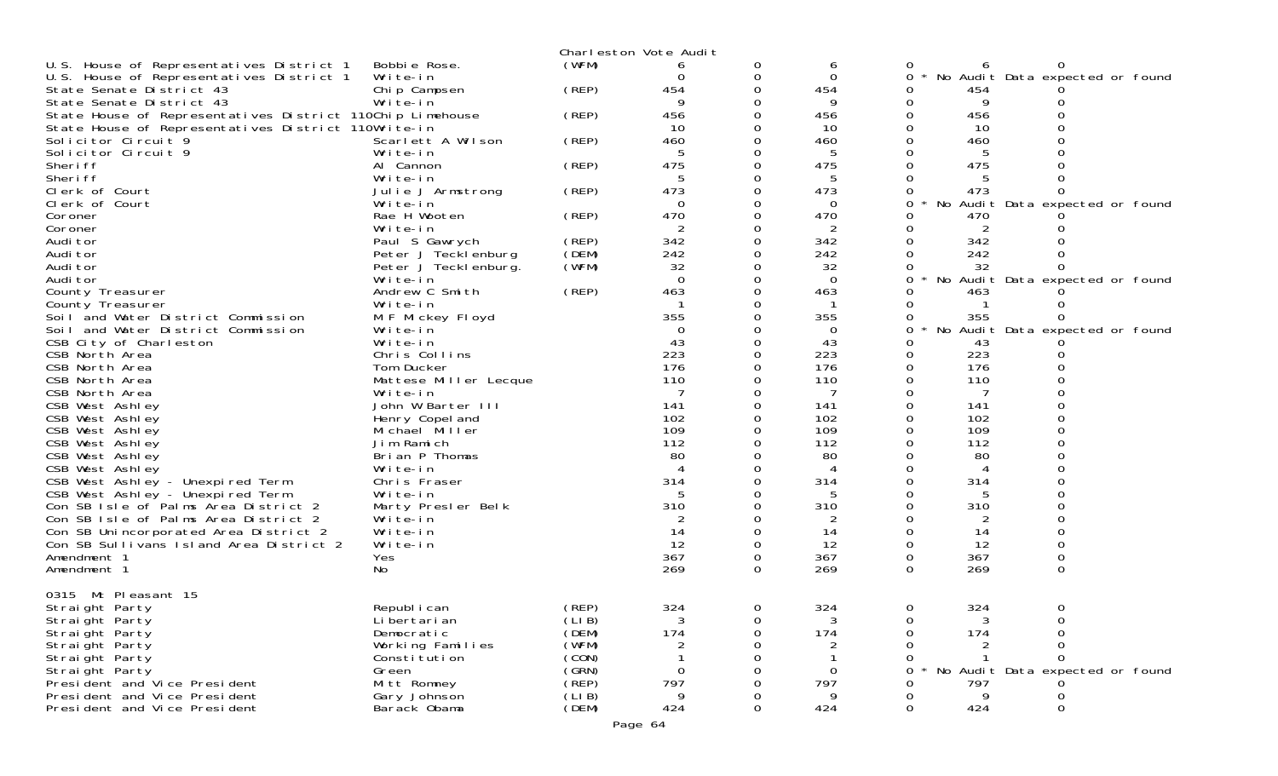|                                                           |                       |        | Charleston Vote Audit |          |                |   |     |                                 |  |
|-----------------------------------------------------------|-----------------------|--------|-----------------------|----------|----------------|---|-----|---------------------------------|--|
| U.S. House of Representatives District 1                  | Bobbie Rose.          | (WFM)  | 6                     | 0        | 6              |   |     |                                 |  |
| U.S. House of Representatives District 1                  | Write-in              |        |                       | 0        | 0              | 0 |     | No Audit Data expected or found |  |
| State Senate District 43                                  | Chip Campsen          | (REP)  | 454                   | 0        | 454            | 0 | 454 |                                 |  |
| State Senate District 43                                  | Write-in              |        | 9                     |          | 9              |   | 9   |                                 |  |
| State House of Representatives District 110Chip Limehouse |                       | (REP)  | 456                   |          | 456            |   | 456 |                                 |  |
| State House of Representatives District 110Write-in       |                       |        | -10                   | O        | 10             |   | 10  |                                 |  |
| Solicitor Circuit 9                                       | Scarlett A Wilson     | (REP)  | 460                   |          | 460            |   | 460 |                                 |  |
| Solicitor Circuit 9                                       | Write-in              |        | 5                     |          | 5              |   |     |                                 |  |
| Sheri ff                                                  | Al Cannon             | (REP)  | 475                   | $\Omega$ | 475            |   | 475 |                                 |  |
| Sheri ff                                                  |                       |        | 5                     | 0        | 5              |   |     |                                 |  |
|                                                           | Write-in              |        |                       |          |                |   |     |                                 |  |
| Clerk of Court                                            | Julie J Armstrong     | (REP)  | 473                   |          | 473            |   | 473 |                                 |  |
| Clerk of Court                                            | Write-in              |        | 0                     | 0        | 0              | 0 |     | No Audit Data expected or found |  |
| Coroner                                                   | Rae H Wooten          | (REP)  | 470                   |          | 470            |   | 470 |                                 |  |
| Coroner                                                   | Write-in              |        |                       |          | 2              |   | 2   |                                 |  |
| Audi tor                                                  | Paul S Gawrych        | (REP)  | 342                   | 0        | 342            |   | 342 |                                 |  |
| Audi tor                                                  | Peter J Tecklenburg   | (DEM)  | 242                   | 0        | 242            |   | 242 |                                 |  |
| Audi tor                                                  | Peter J Teckl enburg. | (WFM)  | 32                    |          | 32             |   | 32  |                                 |  |
| Audi tor                                                  | Write-in              |        | $\Omega$              | 0        | 0              | 0 |     | No Audit Data expected or found |  |
| County Treasurer                                          | Andrew C Smith        | (REP)  | 463                   | 0        | 463            |   | 463 |                                 |  |
| County Treasurer                                          | Write-in              |        |                       |          |                |   |     |                                 |  |
| Soil and Water District Commission                        | M F Mickey Floyd      |        | 355                   |          | 355            | O | 355 |                                 |  |
| Soil and Water District Commission                        | Write-in              |        | $\Omega$              |          | $\Omega$       | 0 |     | No Audit Data expected or found |  |
| CSB City of Charleston                                    | Write-in              |        | 43                    |          | 43             |   | 43  |                                 |  |
| CSB North Area                                            | Chris Collins         |        | 223                   |          | 223            |   | 223 |                                 |  |
| CSB North Area                                            | Tom Ducker            |        | 176                   |          | 176            |   | 176 |                                 |  |
| CSB North Area                                            | Mattese Miller Lecque |        | 110                   |          | 110            |   | 110 |                                 |  |
| CSB North Area                                            | Write-in              |        |                       |          |                |   |     |                                 |  |
| CSB West Ashley                                           | John W Barter III     |        | 141                   |          | 141            |   | 141 |                                 |  |
| CSB West Ashley                                           | Henry Copel and       |        | 102                   |          | 102            |   | 102 |                                 |  |
| CSB West Ashley                                           | Michael Miller        |        | 109                   |          | 109            |   | 109 |                                 |  |
|                                                           | Jim Ramich            |        | 112                   |          | 112            |   | 112 |                                 |  |
| CSB West Ashley                                           |                       |        |                       |          |                |   |     |                                 |  |
| CSB West Ashley                                           | Brian P Thomas        |        | 80                    |          | 80             |   | 80  |                                 |  |
| CSB West Ashley                                           | Write-in              |        | 4                     |          |                |   |     |                                 |  |
| CSB West Ashley - Unexpired Term                          | Chris Fraser          |        | 314                   | 0        | 314            |   | 314 |                                 |  |
| CSB West Ashley - Unexpired Term                          | Write-in              |        | 5                     |          |                |   |     |                                 |  |
| Con SB Isle of Palms Area District 2                      | Marty Presler Belk    |        | 310                   |          | 310            |   | 310 |                                 |  |
| Con SB Isle of Palms Area District 2                      | Write-in              |        | 2                     |          | 2              |   | 2   |                                 |  |
| Con SB Unincorporated Area District 2                     | Write-in              |        | 14                    |          | 14             |   | 14  |                                 |  |
| Con SB Sullivans Island Area District 2                   | Write-in              |        | 12                    | 0        | 12             |   | 12  |                                 |  |
| Amendment 1                                               | Yes                   |        | 367                   | 0        | 367            | 0 | 367 | 0                               |  |
| Amendment 1                                               | No                    |        | 269                   | 0        | 269            | 0 | 269 | $\Omega$                        |  |
|                                                           |                       |        |                       |          |                |   |     |                                 |  |
| Mt Pleasant 15<br>0315                                    |                       |        |                       |          |                |   |     |                                 |  |
| Straight Party                                            | Republ i can          | (REP)  | 324                   | 0        | 324            | 0 | 324 | 0                               |  |
| Straight Party                                            | Li bertari an         | (LIB)  | 3                     |          |                |   |     |                                 |  |
| Straight Party                                            | Democratic            | (DEM)  | 174                   | 0        | 174            |   | 174 |                                 |  |
| Straight Party                                            | Working Families      | (WFM)  |                       |          |                |   |     |                                 |  |
| Straight Party                                            | Constitution          | (CON)  |                       |          |                |   |     |                                 |  |
| Straight Party                                            | Green                 | (GRN)  | $\Omega$              |          | $\overline{0}$ |   |     | No Audit Data expected or found |  |
| President and Vice President                              | Mitt Romney           | (REP)  | 797                   |          | 797            |   | 797 |                                 |  |
| President and Vice President                              | Gary Johnson          | (LI B) | 9                     |          | 9              |   | 9   |                                 |  |
| President and Vice President                              | Barack Obama          | (DEM)  | 424                   | 0        | 424            | 0 | 424 | 0                               |  |
|                                                           |                       |        |                       |          |                |   |     |                                 |  |
|                                                           |                       |        | Page 64               |          |                |   |     |                                 |  |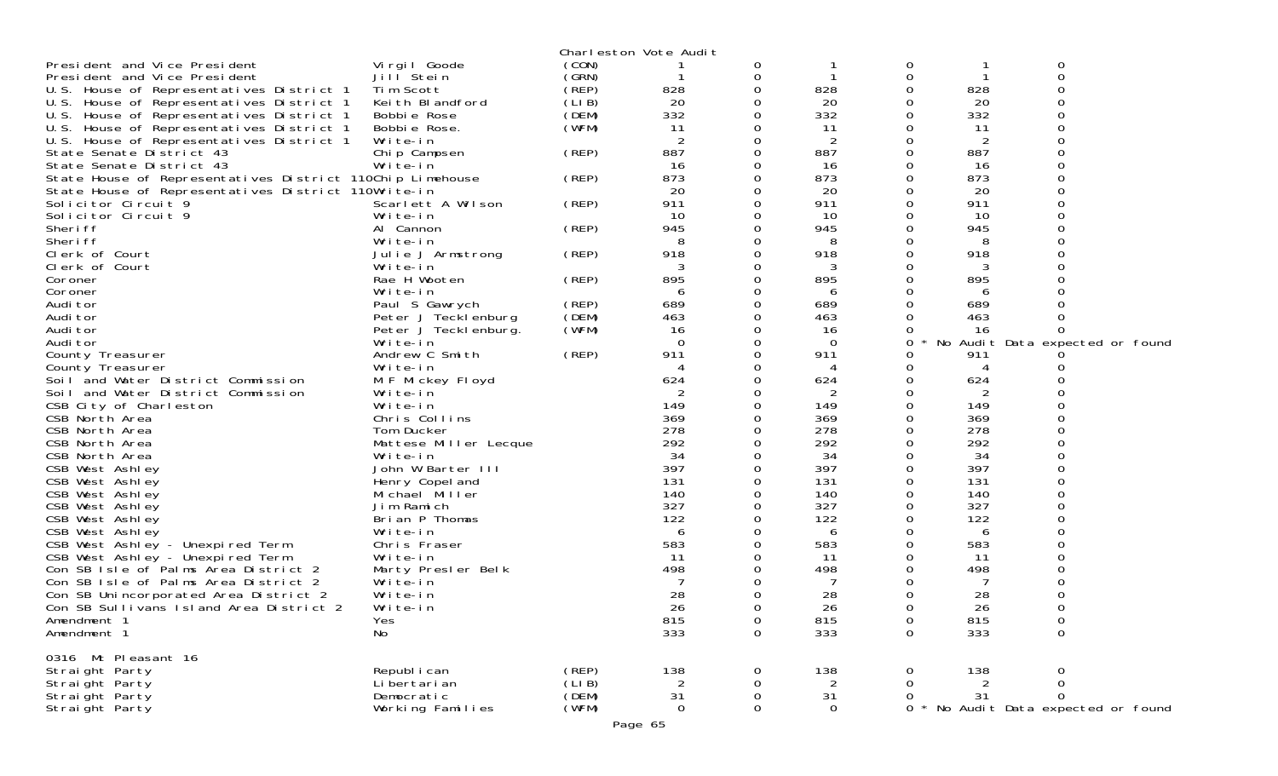|                                                                          |                                |       | Charleston Vote Audit |             |             |             |           |                                 |  |
|--------------------------------------------------------------------------|--------------------------------|-------|-----------------------|-------------|-------------|-------------|-----------|---------------------------------|--|
| President and Vice President                                             | Vi rgi I Goode                 | (CON) |                       | 0           |             | 0           |           | 0                               |  |
| President and Vice President                                             | Jill Stein                     | (GRN) |                       | 0           |             | 0           |           | 0                               |  |
| U.S. House of Representatives District 1                                 | Tim Scott                      | (REP) | 828                   | 0           | 828         | 0           | 828       | ი                               |  |
| U.S. House of Representatives District 1                                 | Keith Blandford                | (LIB) | 20                    | 0           | 20          | 0           | 20        | O                               |  |
| U.S. House of Representatives District 1                                 | Bobbie Rose                    | (DEM) | 332                   | 0           | 332         | 0           | 332       | 0                               |  |
| U.S. House of Representatives District 1                                 | Bobbie Rose.                   | (WFM) | 11                    |             | 11          | 0           | -11       | 0                               |  |
| U.S. House of Representatives District 1                                 | Write-in                       |       | 2                     | 0           | 2           | 0           | 2         |                                 |  |
| State Senate District 43                                                 | Chip Campsen                   | (REP) | 887                   | 0           | 887         | 0           | 887       |                                 |  |
| State Senate District 43                                                 | Write-in                       |       | 16                    |             | 16          | 0           | 16        |                                 |  |
| State House of Representatives District 110Chip Limehouse                |                                | (REP) | 873                   | 0           | 873         | 0           | 873       |                                 |  |
| State House of Representatives District 110Write-in                      |                                |       | 20                    |             | 20          | 0           | 20        |                                 |  |
| Solicitor Circuit 9                                                      | Scarlett A Wilson              | (REP) | 911                   |             | 911         | 0           | 911       |                                 |  |
| Solicitor Circuit 9                                                      | Write-in                       |       | 10                    | 0           | 10          | 0           | 10        |                                 |  |
| Sheri ff                                                                 | Al Cannon                      | (REP) | 945                   | 0           | 945         | 0           | 945       |                                 |  |
| Sheri ff                                                                 | Write-in                       |       |                       |             | 8           | 0           | 8         |                                 |  |
| Clerk of Court                                                           | Julie J Armstrong              | (REP) | 918                   | 0           | 918         | $\Omega$    | 918       |                                 |  |
| Clerk of Court                                                           | Write-in                       |       |                       |             | 3           | 0           | 3         |                                 |  |
| Coroner                                                                  | Rae H Wooten                   | (REP) | 895                   |             | 895         | 0           | 895       |                                 |  |
| Coroner                                                                  | Write-in                       |       | 6                     | 0           | 6           | 0           | 6         |                                 |  |
| Audi tor                                                                 | Paul S Gawrych                 | (REP) | 689                   | 0           | 689         | 0           | 689       |                                 |  |
| Audi tor                                                                 | Peter J Tecklenburg            | (DEM) | 463                   |             | 463         | 0           | 463       |                                 |  |
| Audi tor                                                                 | Peter J Tecklenburg.           | (WFM) | 16                    | 0           | 16          | 0           | 16        | 0                               |  |
| Audi tor                                                                 | Write-in                       |       | $\Omega$              |             | 0           | 0           |           | No Audit Data expected or found |  |
| County Treasurer                                                         | Andrew C Smith                 | (REP) | 911                   | 0           | 911         | O           | 911       |                                 |  |
| County Treasurer                                                         | Write-in                       |       | 4                     | 0           | 4           | 0           | 4         |                                 |  |
| Soil and Water District Commission                                       | M F Mickey Floyd               |       | 624                   |             | 624         | 0           | 624       |                                 |  |
| Soil and Water District Commission                                       | Write-in                       |       |                       |             | 2           | 0           | 2         |                                 |  |
| CSB City of Charleston                                                   | Write-in                       |       | 149                   |             | 149         | 0           | 149       |                                 |  |
| CSB North Area                                                           | Chris Collins                  |       | 369                   |             | 369         | 0           | 369       |                                 |  |
| CSB North Area                                                           | Tom Ducker                     |       | 278                   |             | 278         | $\Omega$    | 278       |                                 |  |
| CSB North Area                                                           | Mattese Miller Lecque          |       | 292                   |             | 292         | 0           | 292       |                                 |  |
| CSB North Area                                                           | Write-in                       |       | 34                    |             | 34          | 0           | 34        |                                 |  |
| CSB West Ashley                                                          | John W Barter III              |       | 397                   |             | 397         | $\Omega$    | 397       | ი                               |  |
| CSB West Ashley                                                          | Henry Copel and                |       | 131                   |             | 131         | 0           | 131       |                                 |  |
| CSB West Ashley                                                          | Michael Miller                 |       | 140                   |             | 140         | 0           | 140       | ∩                               |  |
| CSB West Ashley                                                          | Jim Ramich                     |       | 327                   | 0           | 327         | $\Omega$    | 327       |                                 |  |
| CSB West Ashley                                                          | Brian P Thomas<br>Write-in     |       | 122                   |             | 122         | 0<br>Ω      | 122       |                                 |  |
| CSB West Ashley                                                          |                                |       | 6                     |             | 6           | 0           | 6         |                                 |  |
| CSB West Ashley - Unexpired Term                                         | Chris Fraser                   |       | 583<br>-11            |             | 583<br>11   | 0           | 583<br>11 |                                 |  |
| CSB West Ashley - Unexpired Term<br>Con SB Isle of Palms Area District 2 | Write-in                       |       | 498                   |             | 498         | 0           | 498       |                                 |  |
| Con SB Isle of Palms Area District 2                                     | Marty Presler Belk<br>Write-in |       |                       |             |             | 0           |           | ი                               |  |
| Con SB Unincorporated Area District 2                                    | Write-in                       |       | 28                    |             | 28          | 0           | 28        |                                 |  |
| Con SB Sullivans Island Area District 2                                  | Write-in                       |       | 26                    | $\Omega$    | 26          | 0           | 26        | 0                               |  |
| Amendment 1                                                              | Yes                            |       | 815                   | 0           | 815         | 0           | 815       | 0                               |  |
| Amendment 1                                                              | No                             |       | 333                   | $\mathbf 0$ | 333         | $\mathbf 0$ | 333       | 0                               |  |
|                                                                          |                                |       |                       |             |             |             |           |                                 |  |
| 0316 Mt Pleasant 16                                                      |                                |       |                       |             |             |             |           |                                 |  |
| Straight Party                                                           | Republ i can                   | (REP) | 138                   | 0           | 138         | 0           | 138       | 0                               |  |
| Straight Party                                                           | Li bertari an                  | (LIB) |                       | 0           | 2           | 0           | 2         | 0                               |  |
| Straight Party                                                           | Democratic                     | (DEM) | 31                    | 0           | 31          | 0           | 31        | 0                               |  |
| Strai ght Party                                                          | Working Families               | (WFM) | 0                     | 0           | $\mathbf 0$ | 0           |           | No Audit Data expected or found |  |
|                                                                          |                                |       |                       |             |             |             |           |                                 |  |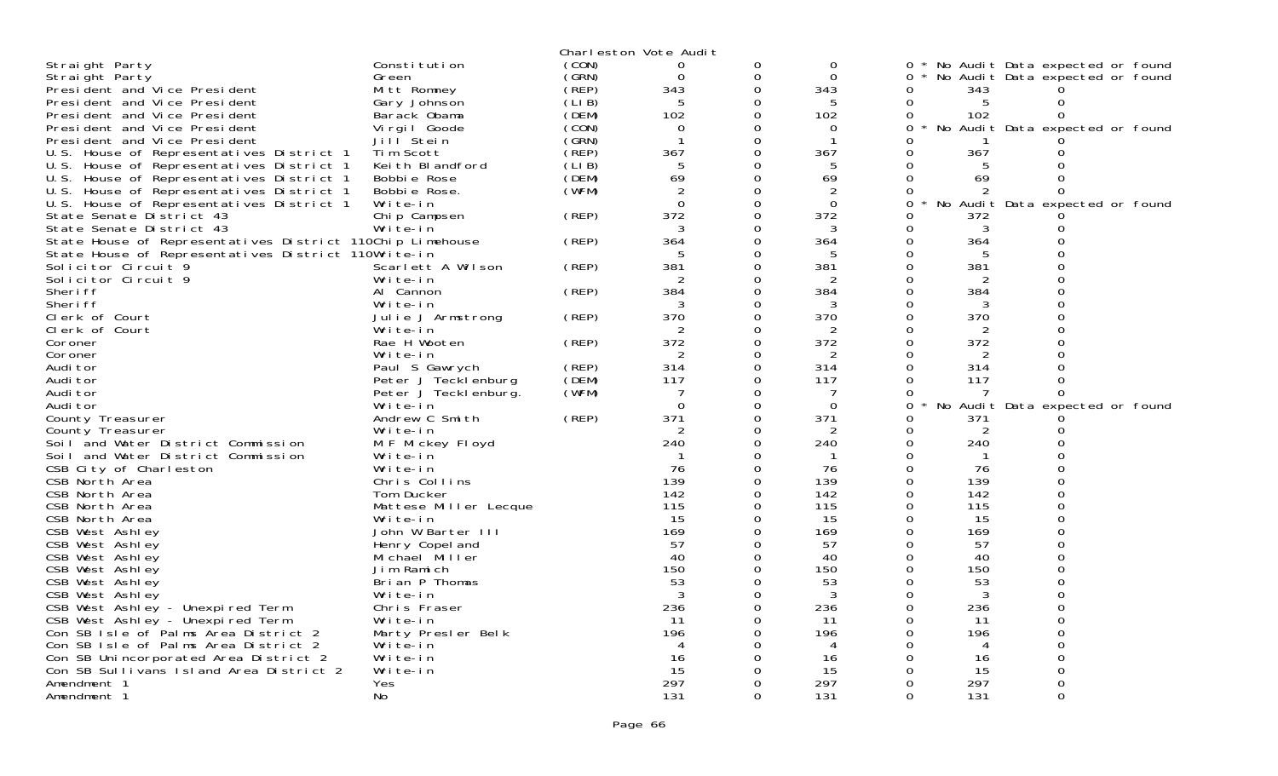|                                                           |                       |        | Charleston Vote Audit |          |                |          |                |                                 |  |
|-----------------------------------------------------------|-----------------------|--------|-----------------------|----------|----------------|----------|----------------|---------------------------------|--|
| Straight Party                                            | Constitution          | (CON)  | 0                     | 0        | $\Omega$       | 0        |                | No Audit Data expected or found |  |
|                                                           | Green                 | (GRN)  | $\Omega$              | 0        | $\Omega$       | 0        |                | No Audit Data expected or found |  |
| Straight Party<br>President and Vice President            | Mitt Romney           | (REP)  | 343                   | $\Omega$ | 343            | 0        | 343            |                                 |  |
|                                                           | Gary Johnson          | (LIB)  | 5                     | 0        | 5              | 0        | 5              | 0                               |  |
| President and Vice President                              |                       |        |                       | $\Omega$ |                |          |                |                                 |  |
| President and Vice President                              | Barack Obama          | (DEM)  | 102                   |          | 102            | 0        | 102            | 0                               |  |
| President and Vice President                              | Vi rgi I Goode        | (CON)  | $\Omega$              | 0        | $\Omega$       | 0        |                | No Audit Data expected or found |  |
| President and Vice President                              | Jill <sup>Stein</sup> | (GRN)  | $\mathbf 1$           | $\Omega$ | -1             | Ω        |                |                                 |  |
| U.S. House of Representatives District 1                  | Tim Scott             | (̀REP) | 367                   | 0        | 367            | 0        | 367            | 0                               |  |
| U.S. House of Representatives District 1                  | Keith Blandford       | (LIB)  | 5                     | 0        | 5              | 0        | 5              | 0                               |  |
| U.S. House of Representatives District 1                  | Bobbie Rose           | (DEM)  | 69                    | 0        | 69             | 0        | 69             | $\Omega$                        |  |
| U.S. House of Representatives District 1                  | Bobbie Rose.          | (WFM)  | $\overline{2}$        | $\Omega$ | 2              | 0        | 2              | 0                               |  |
| U.S. House of Representatives District 1                  | Write-in              |        | $\Omega$              | $\Omega$ | $\Omega$       | $\Omega$ | No             | Audit Data expected or found    |  |
| State Senate District 43                                  | Chip Campsen          | (REP)  | 372                   | 0        | 372            | 0        | 372            |                                 |  |
| State Senate District 43                                  | Write-in              |        | 3                     | $\Omega$ | 3              | 0        | 3              | 0                               |  |
| State House of Representatives District 110Chip Limehouse |                       | (REP)  | 364                   | $\Omega$ | 364            |          | 364            |                                 |  |
| State House of Representatives District 110Write-in       |                       |        | 5                     | $\Omega$ | -5             | 0        | 5              | $\Omega$                        |  |
| Solicitor Circuit 9                                       | Scarlett A Wilson     | (REP)  | 381                   | $\Omega$ | 381            | $\Omega$ | 381            | 0                               |  |
| Solicitor Circuit 9                                       | Write-in              |        | $\overline{2}$        | 0        | $\overline{2}$ | 0        | $\overline{2}$ | $\Omega$                        |  |
| Sheri ff                                                  | Al Cannon             | (REP)  | 384                   | $\Omega$ | 384            | 0        | 384            | $\Omega$                        |  |
| Sheri ff                                                  | Write-in              |        | 3                     | $\Omega$ | 3              | Ω        | 3              |                                 |  |
| Clerk of Court                                            | Julie J Armstrong     | (REP)  | 370                   | $\Omega$ | 370            | 0        | 370            | $\Omega$                        |  |
| Clerk of Court                                            | Write-in              |        | $\mathcal{P}$         | $\Omega$ | 2              | O        | 2              |                                 |  |
| Coroner                                                   | Rae H Wooten          | (REP)  | 372                   | 0        | 372            | 0        | 372            | 0                               |  |
| Coroner                                                   | Write-in              |        | 2                     | $\Omega$ | 2              | 0        | 2              | $\Omega$                        |  |
| Audi tor                                                  | Paul S Gawrych        | (REP)  | 314                   | $\Omega$ | 314            | 0        | 314            | $\Omega$                        |  |
| Audi tor                                                  | Peter J Tecklenburg   | (DEM)  | 117                   | $\Omega$ | 117            | 0        | 117            | $\Omega$                        |  |
| Audi tor                                                  | Peter J Teckl enburg. | (WFM)  | 7                     | 0        | 7              | 0        | 7              | 0                               |  |
| Audi tor                                                  | Write-in              |        | $\Omega$              | 0        | $\Omega$       | 0        | No             | Audit Data expected or found    |  |
| County Treasurer                                          | Andrew C Smith        | (REP)  | 371                   | 0        | 371            | 0        | 371            |                                 |  |
| County Treasurer                                          | Write-in              |        | $\overline{2}$        | $\Omega$ | $\overline{2}$ | 0        | $\overline{2}$ | 0                               |  |
| Soil and Water District Commission                        | M F Mickey Floyd      |        | 240                   | $\Omega$ | 240            | $\Omega$ | 240            | U                               |  |
|                                                           | Write-in              |        | -1                    | 0        | $\mathbf{1}$   | 0        | -1             |                                 |  |
| Soil and Water District Commission                        |                       |        | 76                    | 0        | 76             | 0        | 76             | $\Omega$                        |  |
| CSB City of Charleston                                    | Write-in              |        | 139                   | $\Omega$ | 139            | $\Omega$ | 139            |                                 |  |
| CSB North Area                                            | Chris Collins         |        |                       |          |                |          |                | $\Omega$                        |  |
| CSB North Area                                            | Tom Ducker            |        | 142<br>115            | $\Omega$ | 142            | 0        | 142            | $\Omega$                        |  |
| CSB North Area                                            | Mattese Miller Lecque |        |                       | $\Omega$ | 115            | $\Omega$ | 115            |                                 |  |
| CSB North Area                                            | Write-in              |        | 15                    | $\Omega$ | 15             | 0        | 15             | $\Omega$                        |  |
| CSB West Ashley                                           | John W Barter III     |        | 169                   | $\Omega$ | 169            | 0        | 169            | $\Omega$                        |  |
| CSB West Ashley                                           | Henry Copel and       |        | 57                    | $\Omega$ | 57             | $\Omega$ | 57             |                                 |  |
| CSB West Ashley                                           | Michael Miller        |        | 40                    | $\Omega$ | 40             | 0        | 40             | $\Omega$                        |  |
| CSB West Ashley                                           | Jim Ramich            |        | 150                   | 0        | 150            | 0        | 150            |                                 |  |
| CSB West Ashley                                           | Brian P Thomas        |        | 53                    | 0        | 53             | 0        | 53             | 0                               |  |
| CSB West Ashley                                           | Write-in              |        | 3                     | $\Omega$ | 3              | 0        | 3              | $\Omega$                        |  |
| CSB West Ashley - Unexpired Term                          | Chris Fraser          |        | 236                   | 0        | 236            | 0        | 236            | O                               |  |
| CSB West Ashley - Unexpired Term                          | Write-in              |        | -11                   | 0        | 11             | 0        | -11            | $\Omega$                        |  |
| Con SB Isle of Palms Area District 2                      | Marty Presler Belk    |        | 196                   | $\Omega$ | 196            | O        | 196            |                                 |  |
| Con SB Isle of Palms Area District 2                      | Write-in              |        | $\overline{A}$        | $\Omega$ | 4              | 0        | 4              | 0                               |  |
| Con SB Unincorporated Area District 2                     | Write-in              |        | 16                    | O        | 16             |          | 16             |                                 |  |
| Con SB Sullivans Island Area District 2                   | Write-in              |        | 15                    | $\Omega$ | 15             | 0        | 15             | 0                               |  |
| Amendment 1                                               | Yes                   |        | 297                   | 0        | 297            | 0        | 297            | 0                               |  |
| Amendment 1                                               | No.                   |        | 131                   | $\Omega$ | 131            | $\Omega$ | 131            | $\Omega$                        |  |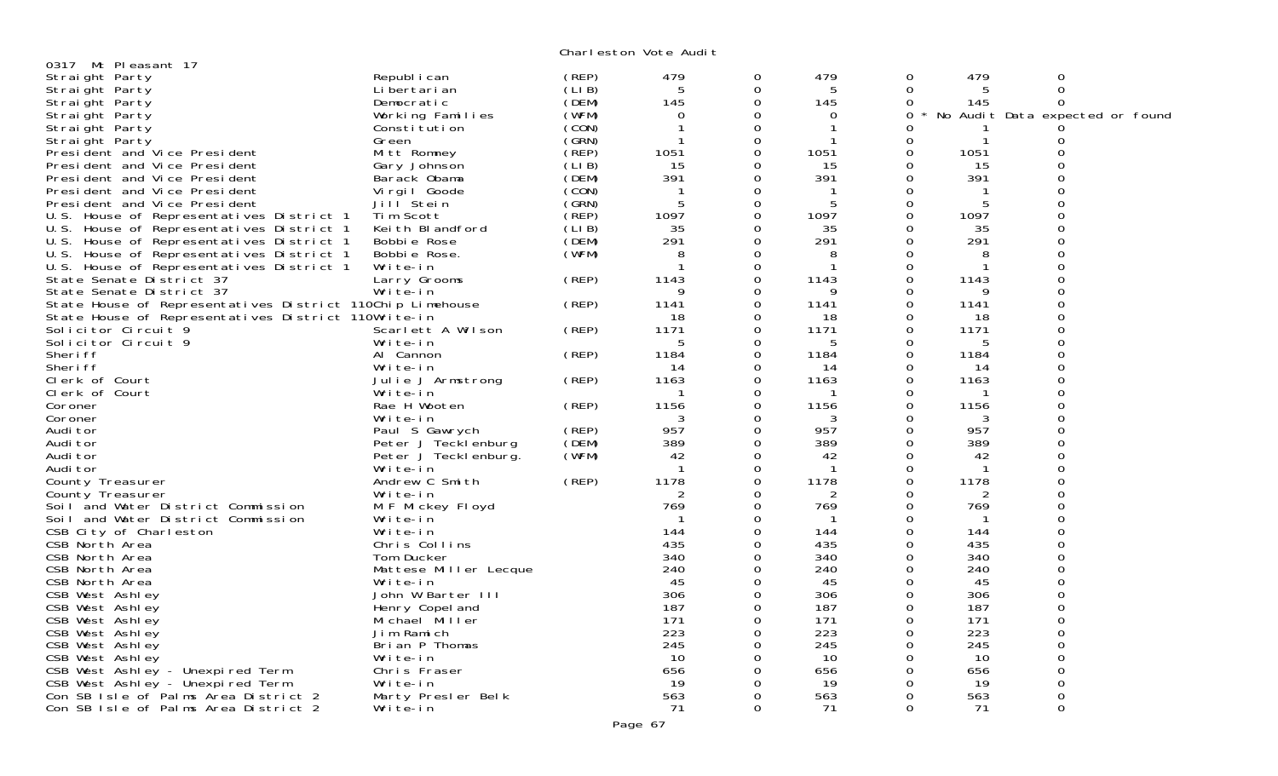Charleston Vote Audit

|                                                           |                                   |                 | onar restorr vote naar t |               |              |               |                |                                 |
|-----------------------------------------------------------|-----------------------------------|-----------------|--------------------------|---------------|--------------|---------------|----------------|---------------------------------|
| 0317 Mt Pleasant 17                                       |                                   |                 |                          |               | 479          | 0             |                |                                 |
| Straight Party                                            | Republ i can<br>Li bertari an     | (REP)<br>(LI B) | 479<br>5                 | 0<br>$\Omega$ | 5            | 0             | 479<br>5       | 0<br>$\mathbf 0$                |
| Straight Party<br>Straight Party                          | Democratic                        | (DEM)           | 145                      | $\Omega$      | 145          | 0             | 145            | 0                               |
| Straight Party                                            | Working Families                  | (WFM)           | $\mathbf 0$              | 0             | $\Omega$     | $\Omega$      |                | No Audit Data expected or found |
| Straight Party                                            | Constitution                      | (CON)           |                          | 0             | 1            | O             |                |                                 |
| Straight Party                                            | Green                             | (SRN)           |                          | $\mathbf 0$   | -1           | 0             | $\mathbf 1$    | Ω                               |
| President and Vice President                              | Mitt Romney                       | (REP)           | 1051                     | $\mathbf 0$   | 1051         | 0             | 1051           | $\mathbf 0$                     |
| President and Vice President                              | Gary Johnson                      | (LIB)           | 15                       | 0             | 15           | $\Omega$      | 15             | $\Omega$                        |
| President and Vice President                              | Barack Obama                      | (DEM)           | 391                      | 0             | 391          | 0             | 391            |                                 |
| President and Vice President                              | Virgil Goode                      | (CON)           |                          | $\Omega$      |              | $\Omega$      |                | ∩                               |
| President and Vice President                              | Jill Stein                        | (SRN)           | 5                        | $\Omega$      | 5            | 0             | 5              | ∩                               |
| U.S. House of Representatives District 1                  | Tim Scott                         | (REP)           | 1097                     | 0             | 1097         | 0             | 1097           | $\Omega$                        |
| U.S. House of Representatives District 1                  | Keith Blandford                   | (LIB)           | 35                       | 0             | 35           | $\Omega$      | 35             |                                 |
| U.S. House of Representatives District 1                  | Bobbie Rose                       | (DEM)           | 291                      | 0             | 291          | $\Omega$      | 291            | 0                               |
| U.S. House of Representatives District 1                  | Bobbie Rose.                      | (WFM)           | 8                        | 0             | 8            | O             | 8              |                                 |
| U.S. House of Representatives District 1                  | Write-in                          |                 |                          | 0             | $\mathbf 1$  | 0             | $\mathbf{1}$   | $\Omega$                        |
| State Senate District 37                                  | Larry Grooms                      | (REP)           | 1143                     | 0             | 1143         | $\Omega$      | 1143           | $\Omega$                        |
| State Senate District 37                                  | Write-in                          |                 | 9                        | 0             | 9            | 0             | 9              | $\Omega$                        |
| State House of Representatives District 110Chip Limehouse |                                   | (REP)           | 1141                     | 0             | 1141         | 0             | 1141           | $\Omega$                        |
| State House of Representatives District 110Write-in       |                                   |                 | 18                       | 0             | 18           | $\Omega$      | 18             |                                 |
| Solicitor Circuit 9                                       | Scarlett A Wilson                 | (REP)           | 1171                     | 0             | 1171         | 0             | 1171           | $\Omega$                        |
| Solicitor Circuit 9                                       | Write-in                          |                 | .5                       | 0             | 5            | 0             | 5              | $\Omega$                        |
| Sheri ff                                                  | Al Cannon                         | (REP)           | 1184                     | 0             | 1184         | $\Omega$      | 1184           | $\Omega$                        |
| Sheri ff                                                  | Write-in                          |                 | 14                       | 0             | 14           | 0             | 14             | $\Omega$                        |
| Clerk of Court                                            | Julie J Armstrong                 | (REP)           | 1163                     | 0             | 1163         | 0             | 1163           | $\Omega$                        |
| Clerk of Court                                            | Write-in                          |                 | ่า                       | 0             | -1           | 0             | -1             | $\overline{0}$                  |
| Coroner                                                   | Rae H Wooten                      | (REP)           | 1156                     | $\Omega$      | 1156         | $\Omega$      | 1156           | $\Omega$                        |
| Coroner                                                   | Write-in                          |                 | 3                        | 0             | 3            | 0             | 3              | $\mathbf 0$                     |
| Audi tor                                                  | Paul S Gawrych                    | (REP)           | 957                      | 0             | 957          | 0             | 957            | $\Omega$                        |
| Audi tor                                                  | Peter J Tecklenburg               | (DEM)           | 389                      | $\Omega$      | 389          | 0             | 389            | ∩                               |
| Audi tor                                                  | Peter J Teckl enburg.             | (WFM)           | 42                       | $\Omega$      | 42           | $\Omega$      | 42             | $\Omega$                        |
| Audi tor                                                  | Write-in                          |                 | $\mathbf{1}$             | 0             | $\mathbf{1}$ | 0             | $\overline{1}$ | $\Omega$                        |
| County Treasurer                                          | Andrew C Smith                    | (REP)           | 1178                     | 0             | 1178         | 0             | 1178           | $\Omega$                        |
| County Treasurer                                          | Write-in                          |                 | 2                        | 0             | 2            | $\Omega$      | 2              |                                 |
| Soil and Water District Commission                        | M F Mickey Floyd                  |                 | 769                      | 0             | 769          | 0             | 769            | $\Omega$                        |
| Soil and Water District Commission                        | Write-in                          |                 |                          | $\Omega$      | $\mathbf 1$  | 0             |                | $\Omega$                        |
| CSB City of Charleston                                    | Write-in                          |                 | 144                      | $\Omega$      | 144          | $\Omega$      | 144            | ∩                               |
| CSB North Area                                            | Chris Collins                     |                 | 435                      | $\Omega$      | 435          | 0             | 435            | $\Omega$<br>$\Omega$            |
| CSB North Area                                            | Tom Ducker                        |                 | 340                      | 0             | 340<br>240   | 0             | 340<br>240     | $\Omega$                        |
| CSB North Area                                            | Mattese Miller Lecque<br>Write-in |                 | 240<br>-45               | 0<br>$\Omega$ | 45           | 0<br>$\Omega$ | 45             | $\Omega$                        |
| CSB North Area                                            | John W Barter III                 |                 | 306                      | 0             | 306          | 0             | 306            | 0                               |
| CSB West Ashley<br>CSB West Ashley                        | Henry Copel and                   |                 | 187                      | $\Omega$      | 187          | $\Omega$      | 187            | $\Omega$                        |
| CSB West Ashley                                           | Michael Miller                    |                 | 171                      | 0             | 171          | $\Omega$      | 171            | $\Omega$                        |
| CSB West Ashley                                           | Jim Ramich                        |                 | 223                      | 0             | 223          | 0             | 223            | $\Omega$                        |
| CSB West Ashley                                           | Brian P Thomas                    |                 | 245                      | 0             | 245          | 0             | 245            | $\Omega$                        |
| CSB West Ashley                                           | Write-in                          |                 | 10                       | 0             | 10           | 0             | 10             | $\Omega$                        |
| CSB West Ashley - Unexpired Term                          | Chris Fraser                      |                 | 656                      | $\Omega$      | 656          | $\Omega$      | 656            | $\Omega$                        |
| CSB West Ashley - Unexpired Term                          | Write-in                          |                 | 19                       | 0             | 19           | 0             | 19             | 0                               |
| Con SB Isle of Palms Area District 2                      | Marty Presler Belk                |                 | 563                      | $\Omega$      | 563          | 0             | 563            | 0                               |
| Con SB Isle of Palms Area District 2                      | Write-in                          |                 | 71                       | $\Omega$      | 71           | $\Omega$      | 71             | $\Omega$                        |
|                                                           |                                   |                 |                          |               |              |               |                |                                 |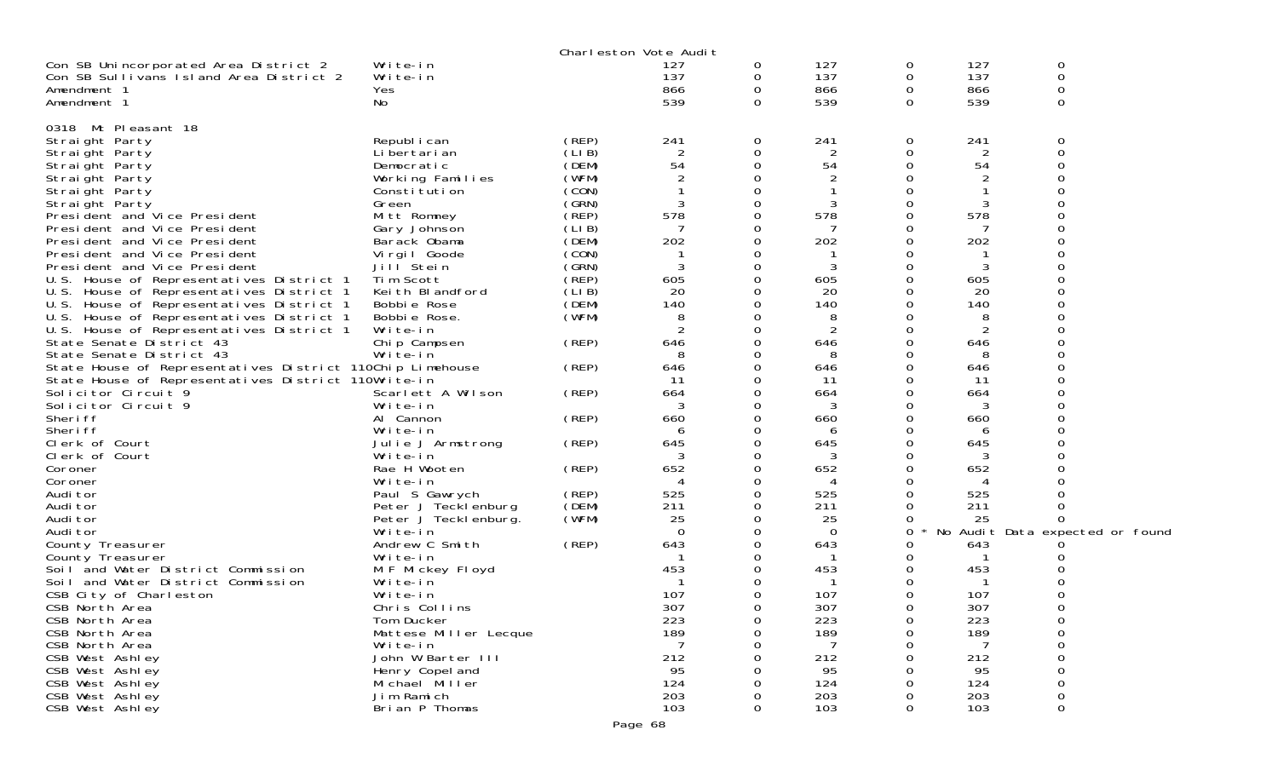|                                                           |                       | Charleston Vote Audit |          |          |                |          |                |                                 |  |
|-----------------------------------------------------------|-----------------------|-----------------------|----------|----------|----------------|----------|----------------|---------------------------------|--|
| Con SB Unincorporated Area District 2                     | Write-in              |                       | 127      | 0        | 127            | 0        | 127            | 0                               |  |
| Con SB Sullivans Island Area District 2                   | Write-in              |                       | 137      | 0        | 137            | 0        | 137            | $\mathbf 0$                     |  |
| Amendment 1                                               | Yes                   |                       | 866      | 0        | 866            | 0        | 866            | $\mathbf 0$                     |  |
| Amendment 1                                               | No                    |                       | 539      | 0        | 539            | $\Omega$ | 539            | 0                               |  |
|                                                           |                       |                       |          |          |                |          |                |                                 |  |
| 0318 Mt Pleasant 18                                       |                       |                       |          |          |                |          |                |                                 |  |
| Straight Party                                            | Republ i can          | (REP)                 | 241      | 0        | 241            | 0        | 241            | 0                               |  |
| Straight Party                                            | Li bertari an         | (LI B)                | 2        | 0        | 2              | 0        | 2              | 0                               |  |
| Straight Party                                            | Democratic            | (DEM)                 | 54       |          | 54             | 0        | 54             |                                 |  |
| Straight Party                                            | Working Families      | (WFM)                 |          |          |                | 0        |                |                                 |  |
| Straight Party                                            | Constitution          | (CON)                 |          |          |                | 0        |                |                                 |  |
| Straight Party                                            | Green                 | (GRN)                 |          |          |                | 0        | 3              |                                 |  |
| President and Vice President                              | Mitt Romney           | (REP)                 | 578      |          | 578            | 0        | 578            | ∩                               |  |
| President and Vice President                              | Gary Johnson          | (LIB)                 |          |          |                | 0        |                |                                 |  |
| President and Vice President                              | Barack Obama          | (DEM)                 | 202      |          | 202            |          | 202            |                                 |  |
| President and Vice President                              | Virgil Goode          | (CON)                 |          |          |                | Ω        |                |                                 |  |
| President and Vice President                              | Jill Stein            | (GRN)                 | 3        |          | 3              | 0        | 3              |                                 |  |
| U.S. House of Representatives District 1                  | Tim Scott             | (REP)                 | 605      |          | 605            |          | 605            |                                 |  |
| U.S. House of Representatives District 1                  | Keith Blandford       | (LIB)                 | 20       |          | 20             | 0        | 20             |                                 |  |
| U.S. House of Representatives District 1                  | Bobbie Rose           | (DEM)                 | 140      |          | 140            | 0        | 140            |                                 |  |
| U.S. House of Representatives District 1                  | Bobbie Rose.          | (WFM)                 | 8        |          | 8              |          | 8              |                                 |  |
| U.S. House of Representatives District 1                  | Write-in              |                       |          |          | $\overline{2}$ | 0        | $\overline{2}$ |                                 |  |
| State Senate District 43                                  | Chip Campsen          | (REP)                 | 646      |          | 646            | 0        | 646            |                                 |  |
| State Senate District 43                                  | Write-in              |                       | 8        |          | 8              |          | 8              |                                 |  |
| State House of Representatives District 110Chip Limehouse |                       | (REP)                 | 646      |          | 646            | 0        | 646            |                                 |  |
| State House of Representatives District 110Write-in       |                       |                       | 11       |          | 11             | 0        | 11             |                                 |  |
| Solicitor Circuit 9                                       | Scarlett A Wilson     | (REP)                 | 664      |          | 664<br>3       |          | 664            |                                 |  |
| Solicitor Circuit 9<br>Sheri ff                           | Write-in<br>Al Cannon | (REP)                 | 660      |          | 660            | 0        | 660            |                                 |  |
| Sheri ff                                                  | Write-in              |                       | h        |          | 6              |          |                |                                 |  |
| Clerk of Court                                            | Julie J Armstrong     | (REP)                 | 645      |          | 645            | 0        | 6<br>645       |                                 |  |
| Clerk of Court                                            | Write-in              |                       |          |          | 3              |          | 3              |                                 |  |
| Coroner                                                   | Rae H Wooten          | (REP)                 | 652      |          | 652            |          | 652            |                                 |  |
| Coroner                                                   | Write-in              |                       |          |          |                | 0        |                |                                 |  |
| Audi tor                                                  | Paul S Gawrych        | (REP)                 | 525      |          | 525            | 0        | 525            |                                 |  |
| Audi tor                                                  | Peter J Tecklenburg   | (DEM)                 | 211      |          | 211            |          | 211            |                                 |  |
| Audi tor                                                  | Peter J Teckl enburg. | (WFM)                 | 25       |          | 25             | 0        | 25             |                                 |  |
| Audi tor                                                  | Write-in              |                       | $\Omega$ |          | $\Omega$       | 0        |                | No Audit Data expected or found |  |
| County Treasurer                                          | Andrew C Smith        | (REP)                 | 643      |          | 643            | 0        | 643            |                                 |  |
| County Treasurer                                          | Write-in              |                       |          |          |                | 0        |                |                                 |  |
| Soil and Water District Commission                        | M F Mickey Floyd      |                       | 453      |          | 453            | 0        | 453            |                                 |  |
| Soil and Water District Commission                        | Write-in              |                       |          |          |                | 0        |                |                                 |  |
| CSB City of Charleston                                    | Write-in              |                       | 107      |          | 107            | 0        | 107            |                                 |  |
| CSB North Area                                            | Chris Collins         |                       | 307      | $\Omega$ | 307            | 0        | 307            | 0                               |  |
| CSB North Area                                            | Tom Ducker            |                       | 223      | 0        | 223            | 0        | 223            | 0                               |  |
| CSB North Area                                            | Mattese Miller Lecque |                       | 189      |          | 189            | 0        | 189            | 0                               |  |
| CSB North Area                                            | Write-in              |                       |          |          |                | Ω        |                | 0                               |  |
| CSB West Ashley                                           | John W Barter III     |                       | 212      |          | 212            | 0        | 212            | 0                               |  |
| CSB West Ashley                                           | Henry Copel and       |                       | 95       |          | 95             |          | 95             | 0                               |  |
| CSB West Ashley                                           | Michael Miller        |                       | 124      |          | 124            |          | 124            | 0                               |  |
| CSB West Ashley                                           | Jim Ramich            |                       | 203      |          | 203            |          | 203            | 0                               |  |
| CSB West Ashley                                           | Brian P Thomas        |                       | 103      | 0        | 103            | 0        | 103            | 0                               |  |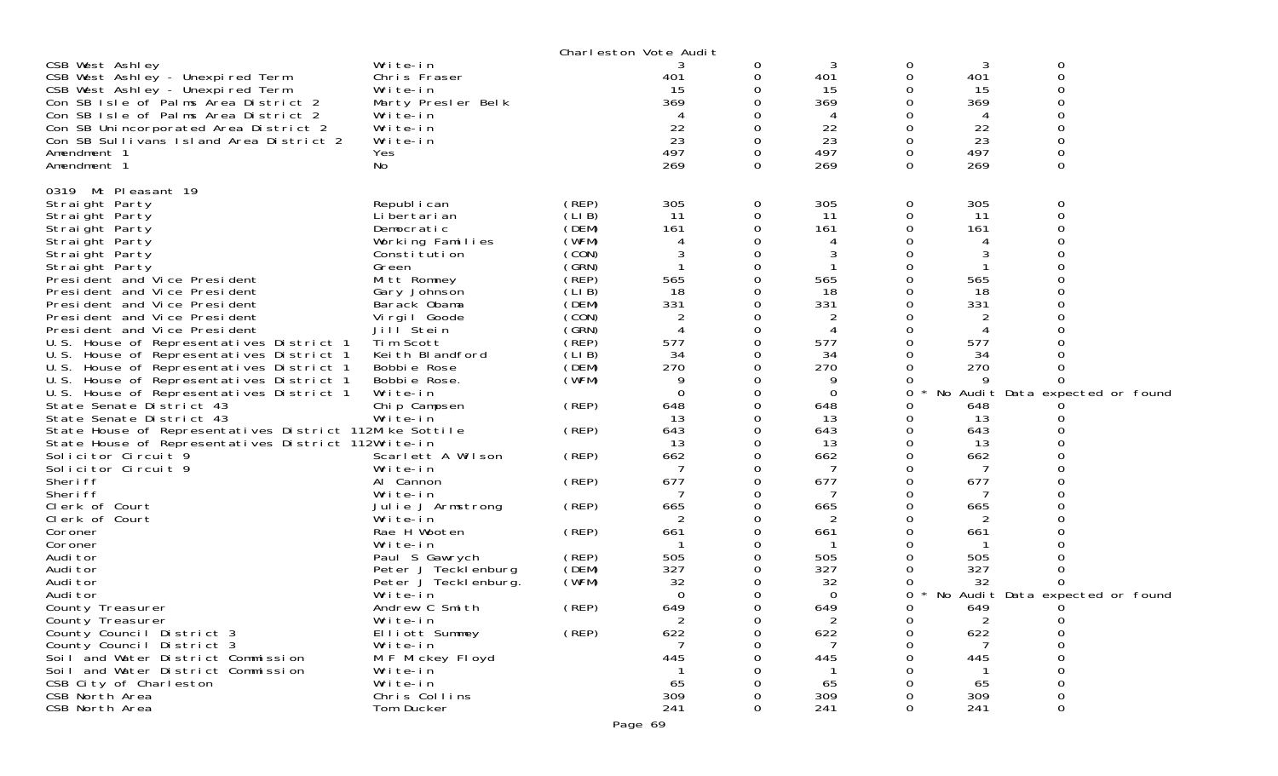|                                                                                                                                                                                                                                                                                                 |                                                                                                                                                                                  |                                                                                                 | Charleston Vote Audit                      |                                                     |                                                      |                                   |                                                      |                                 |
|-------------------------------------------------------------------------------------------------------------------------------------------------------------------------------------------------------------------------------------------------------------------------------------------------|----------------------------------------------------------------------------------------------------------------------------------------------------------------------------------|-------------------------------------------------------------------------------------------------|--------------------------------------------|-----------------------------------------------------|------------------------------------------------------|-----------------------------------|------------------------------------------------------|---------------------------------|
| CSB West Ashley<br>CSB West Ashley - Unexpired Term<br>CSB West Ashley - Unexpired Term<br>Con SB Isle of Palms Area District 2<br>Con SB Isle of Palms Area District 2<br>Con SB Unincorporated Area District 2<br>Con SB Sullivans Island Area District 2<br>Amendment 1<br>Amendment 1       | Write-in<br>Chris Fraser<br>Write-in<br>Marty Presler Belk<br>Write-in<br>Write-in<br>Write-in<br>Yes<br>No                                                                      |                                                                                                 | 401<br>15<br>369<br>22<br>23<br>497<br>269 | 0<br>0<br>0<br>0<br>0<br>0<br>0<br>0                | 3<br>401<br>15<br>369<br>4<br>22<br>23<br>497<br>269 | 0<br>0<br>O<br>0<br>0<br>$\Omega$ | 3<br>401<br>15<br>369<br>4<br>22<br>23<br>497<br>269 | 0<br>$\Omega$<br>$\Omega$<br>0  |
|                                                                                                                                                                                                                                                                                                 |                                                                                                                                                                                  |                                                                                                 |                                            |                                                     |                                                      |                                   |                                                      |                                 |
| 0319 Mt Pleasant 19<br>Straight Party<br>Straight Party<br>Straight Party<br>Straight Party<br>Straight Party<br>Straight Party<br>President and Vice President<br>President and Vice President<br>President and Vice President<br>President and Vice President<br>President and Vice President | Republ i can<br>Li bertari an<br>Democratic<br>Working Families<br>Constitution<br>Green<br>Mitt Romney<br>Gary Johnson<br>Barack Obama<br>Virgil Goode<br>Jill <sup>Stein</sup> | (REP)<br>(LIB)<br>(DEM)<br>(WFM)<br>(CON)<br>(GRN)<br>(REP)<br>(LIB)<br>(DEM)<br>(CON)<br>(GRN) | 305<br>11<br>161<br>565<br>18<br>331<br>2  | 0<br>0<br>0<br>0<br>0<br>0<br>0<br>0<br>0<br>0<br>0 | 305<br>11<br>161<br>4<br>565<br>18<br>331<br>2<br>4  | 0<br>0<br>0<br>Ω                  | 305<br>11<br>161<br>565<br>18<br>331                 | 0<br>$\Omega$                   |
| U.S. House of Representatives District 1                                                                                                                                                                                                                                                        | Tim Scott                                                                                                                                                                        | (REP)                                                                                           | 577                                        | 0                                                   | 577                                                  |                                   | 577                                                  |                                 |
| U.S. House of Representatives District 1<br>U.S. House of Representatives District 1                                                                                                                                                                                                            | Keith Blandford<br>Bobbie Rose                                                                                                                                                   | (LIB)<br>(DEM)                                                                                  | 34<br>270                                  | 0<br>0                                              | 34<br>270                                            |                                   | 34<br>270                                            |                                 |
| U.S. House of Representatives District 1                                                                                                                                                                                                                                                        | Bobbie Rose.                                                                                                                                                                     | (WFM)                                                                                           | 9                                          | 0                                                   | 9                                                    |                                   | 9                                                    |                                 |
| U.S. House of Representatives District 1<br>State Senate District 43                                                                                                                                                                                                                            | Write-in<br>Chip Campsen                                                                                                                                                         | (REP)                                                                                           | 0<br>648                                   | 0<br>0                                              | 0<br>648                                             | 0<br>Ω                            | 648                                                  | No Audit Data expected or found |
| State Senate District 43                                                                                                                                                                                                                                                                        | Write-in                                                                                                                                                                         |                                                                                                 | 13                                         | 0                                                   | 13                                                   |                                   | 13                                                   |                                 |
| State House of Representatives District 112Mike Sottile                                                                                                                                                                                                                                         |                                                                                                                                                                                  | (REP)                                                                                           | 643                                        | 0                                                   | 643                                                  | Ω                                 | 643                                                  |                                 |
| State House of Representatives District 112Write-in<br>Solicitor Circuit 9                                                                                                                                                                                                                      | Scarlett A Wilson                                                                                                                                                                | (REP)                                                                                           | 13<br>662                                  | 0<br>0                                              | 13<br>662                                            | Ω                                 | 13<br>662                                            |                                 |
| Solicitor Circuit 9                                                                                                                                                                                                                                                                             | Write-in                                                                                                                                                                         |                                                                                                 |                                            | 0                                                   |                                                      |                                   |                                                      |                                 |
| Sheri ff                                                                                                                                                                                                                                                                                        | Al Cannon                                                                                                                                                                        | (REP)                                                                                           | 677                                        | 0                                                   | 677                                                  | 0                                 | 677                                                  |                                 |
| Sheri ff                                                                                                                                                                                                                                                                                        | Write-in                                                                                                                                                                         |                                                                                                 |                                            | 0                                                   | 7                                                    |                                   |                                                      |                                 |
| Clerk of Court<br>Clerk of Court                                                                                                                                                                                                                                                                | Julie J Armstrong<br>Write-in                                                                                                                                                    | (REP)                                                                                           | 665<br>2                                   | 0<br>0                                              | 665<br>2                                             | O<br>Ω                            | 665<br>2                                             |                                 |
| Coroner                                                                                                                                                                                                                                                                                         | Rae H Wooten                                                                                                                                                                     | (REP)                                                                                           | 661                                        | 0                                                   | 661                                                  |                                   | 661                                                  |                                 |
| Coroner                                                                                                                                                                                                                                                                                         | Write-in                                                                                                                                                                         |                                                                                                 |                                            | 0                                                   |                                                      |                                   |                                                      |                                 |
| Audi tor                                                                                                                                                                                                                                                                                        | Paul S Gawrych                                                                                                                                                                   | (REP)                                                                                           | 505                                        | 0                                                   | 505                                                  |                                   | 505                                                  |                                 |
| Audi tor<br>Audi tor                                                                                                                                                                                                                                                                            | Peter J Tecklenburg                                                                                                                                                              | (DEM)<br>(WFM)                                                                                  | 327<br>32                                  | 0<br>0                                              | 327                                                  | Ω                                 | 327<br>32                                            |                                 |
| Audi tor                                                                                                                                                                                                                                                                                        | Peter J Teckl enburg.<br>Write-in                                                                                                                                                |                                                                                                 | $\overline{0}$                             | 0                                                   | 32<br>0                                              | 0                                 |                                                      | No Audit Data expected or found |
| County Treasurer                                                                                                                                                                                                                                                                                | Andrew C Smith                                                                                                                                                                   | (REP)                                                                                           | 649                                        | 0                                                   | 649                                                  | 0                                 | 649                                                  |                                 |
| County Treasurer                                                                                                                                                                                                                                                                                | Write-in                                                                                                                                                                         |                                                                                                 | 2                                          | $\sigma$                                            | 2                                                    | 0                                 | 2                                                    | 0                               |
| County Council District 3                                                                                                                                                                                                                                                                       | Elliott Summey                                                                                                                                                                   | (REP)                                                                                           | 622                                        | 0                                                   | 622                                                  | 0                                 | 622                                                  | 0                               |
| County Council District 3<br>Soil and Water District Commission                                                                                                                                                                                                                                 | Write-in<br>M F Mickey Floyd                                                                                                                                                     |                                                                                                 | 445                                        | Ω<br>U                                              | 445                                                  |                                   | -7<br>445                                            | $\Omega$<br>$\Omega$            |
| Soil and Water District Commission                                                                                                                                                                                                                                                              | Write-in                                                                                                                                                                         |                                                                                                 |                                            |                                                     | -1                                                   |                                   | $\mathbf{1}$                                         | 0                               |
| CSB City of Charleston                                                                                                                                                                                                                                                                          | Write-in                                                                                                                                                                         |                                                                                                 | 65                                         |                                                     | 65                                                   |                                   | 65                                                   | 0                               |
| CSB North Area                                                                                                                                                                                                                                                                                  | Chris Collins                                                                                                                                                                    |                                                                                                 | 309                                        |                                                     | 309                                                  |                                   | 309                                                  | 0                               |
| CSB North Area                                                                                                                                                                                                                                                                                  | Tom Ducker                                                                                                                                                                       |                                                                                                 | 241                                        | 0                                                   | 241                                                  | 0                                 | 241                                                  | 0                               |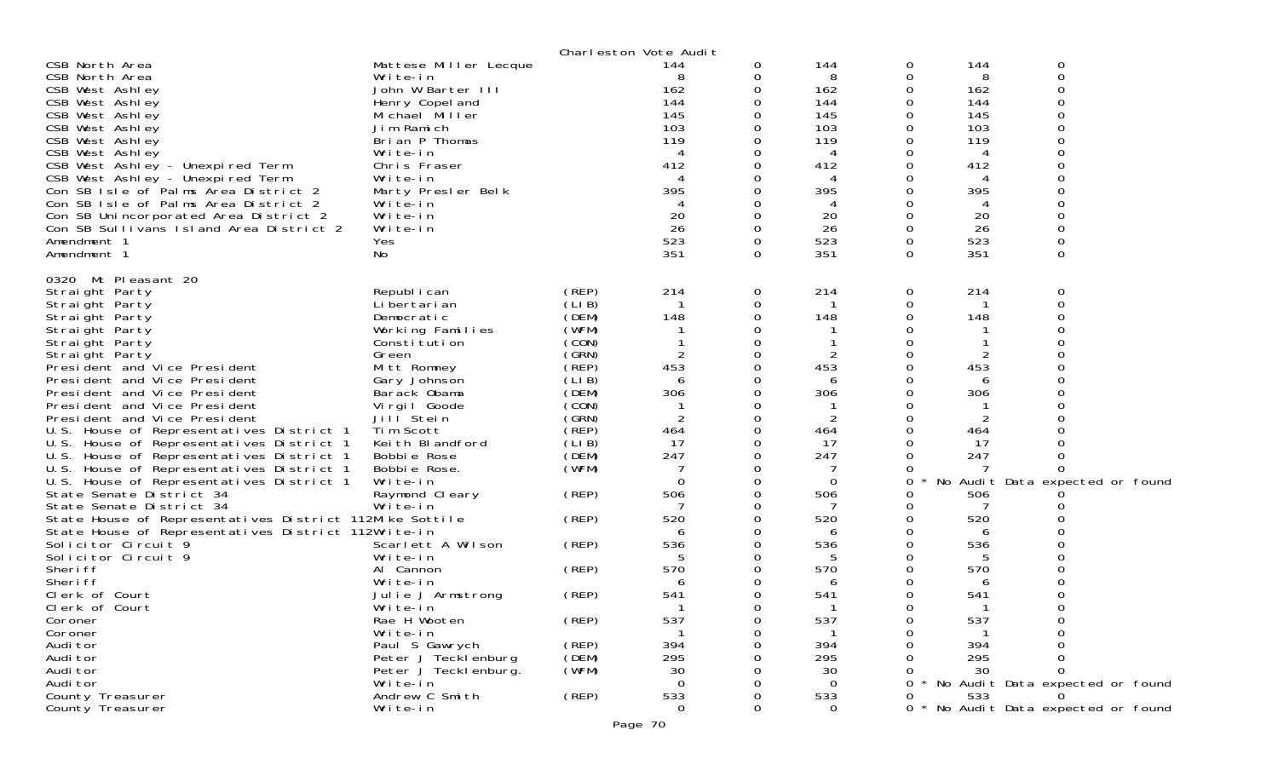|                                                                          |                                       |                | Charleston Vote Audit |          |             |        |           |                                   |
|--------------------------------------------------------------------------|---------------------------------------|----------------|-----------------------|----------|-------------|--------|-----------|-----------------------------------|
| CSB North Area                                                           | Mattese Miller Lecque                 |                | 144                   | 0        | 144         | 0      | 144       | 0                                 |
| CSB North Area                                                           | Write-in                              |                | 8                     |          | 8           | 0      | 8         | 0                                 |
| CSB West Ashley                                                          | John W Barter III                     |                | 162                   |          | 162         | 0      | 162       |                                   |
| CSB West Ashley                                                          | Henry Copel and                       |                | 144                   |          | 144         | 0      | 144       |                                   |
| CSB West Ashley                                                          | Michael Miller                        |                | 145                   |          | 145         | 0      | 145       |                                   |
| CSB West Ashley                                                          | Jim Ramich                            |                | 103                   |          | 103         |        | 103       |                                   |
| CSB West Ashley                                                          | Brian P Thomas                        |                | 119                   |          | 119         |        | 119       |                                   |
| CSB West Ashley                                                          | Write-in                              |                |                       |          | 4           |        | 4         |                                   |
| CSB West Ashley - Unexpired Term                                         | Chris Fraser                          |                | 412                   |          | 412         |        | 412       |                                   |
| CSB West Ashley - Unexpired Term                                         | Write-in                              |                |                       |          |             |        |           |                                   |
| Con SB Isle of Palms Area District 2                                     | Marty Presler Belk                    |                | 395                   |          | 395         | 0      | 395       |                                   |
| Con SB Isle of Palms Area District 2                                     | Write-in                              |                |                       |          | 4           |        | 4         |                                   |
| Con SB Unincorporated Area District 2                                    | Write-in                              |                | 20                    |          | 20          | 0      | 20        |                                   |
| Con SB Sullivans Island Area District 2                                  | Write-in                              |                | 26<br>523             |          | 26          | 0<br>0 | 26<br>523 |                                   |
| Amendment 1                                                              | Yes                                   |                | 351                   | $\Omega$ | 523<br>351  | 0      | 351       | $\Omega$                          |
| Amendment 1                                                              | No                                    |                |                       |          |             |        |           |                                   |
| 0320 Mt Pleasant 20                                                      |                                       |                |                       |          |             |        |           |                                   |
| Straight Party                                                           | Republ i can                          | (REP)          | 214                   | 0        | 214         | 0      | 214       | 0                                 |
| Straight Party                                                           | Li bertari an                         | (LIB)          |                       |          |             | 0      |           | $\Omega$                          |
| Straight Party                                                           | Democratic                            | (DEM)          | 148                   |          | 148         | O      | 148       |                                   |
| Straight Party                                                           | Working Families                      | (WFM)          |                       |          |             |        |           |                                   |
| Straight Party                                                           | Constitution                          | (CON)          |                       |          |             |        |           |                                   |
| Straight Party                                                           | Green                                 | (SRN)          | 2                     | O        | 2           | 0      |           |                                   |
| President and Vice President                                             | Mitt Romney                           | (REP)          | 453                   |          | 453         | 0      | 453       |                                   |
| President and Vice President                                             | Gary Johnson                          | (LIB)          | 6                     |          | 6           |        | 6         |                                   |
| President and Vice President                                             | Barack Obama                          | (DEM)          | 306                   |          | 306         | ∩      | 306       |                                   |
| President and Vice President                                             | Virgil Goode<br>Jill <sup>Stein</sup> | (CON)<br>(GRN) | $\overline{2}$        |          |             | 0<br>0 |           |                                   |
| President and Vice President<br>U.S. House of Representatives District 1 | Tim Scott                             | $($ REP)       | 464                   |          | 2<br>464    | O      | 2<br>464  |                                   |
| U.S. House of Representatives District 1                                 | Keith Blandford                       | (LIB)          | 17                    |          | 17          |        | 17        |                                   |
| U.S. House of Representatives District 1                                 | Bobbie Rose                           | (DEM)          | 247                   |          | 247         |        | 247       |                                   |
| U.S. House of Representatives District 1                                 | Bobbie Rose.                          | (WFM)          |                       |          |             | O      |           |                                   |
| U.S. House of Representatives District 1                                 | Write-in                              |                | $\Omega$              |          | $\mathbf 0$ | 0      |           | No Audit Data expected or found   |
| State Senate District 34                                                 | Raymond Cleary                        | (REP)          | 506                   |          | 506         |        | 506       |                                   |
| State Senate District 34                                                 | Write-in                              |                |                       |          |             | Ω      |           |                                   |
| State House of Representatives District 112Mike Sottile                  |                                       | (REP)          | 520                   |          | 520         | Ω      | 520       |                                   |
| State House of Representatives District 112Write-in                      |                                       |                |                       |          | 6           |        | 6         |                                   |
| Solicitor Circuit 9                                                      | Scarlett A Wilson                     | (REP)          | 536                   |          | 536         | 0      | 536       |                                   |
| Solicitor Circuit 9                                                      | Write-in                              |                |                       |          | 5           | 0      | 5         |                                   |
| Sheri ff                                                                 | Al Cannon                             | (REP)          | 570                   |          | 570         |        | 570       |                                   |
| Sheri ff                                                                 | Write-in                              |                | 6                     |          | 6           | O      | 6         |                                   |
| Clerk of Court                                                           | Julie J Armstrong                     | (REP)          | 541                   |          | 541         | 0      | 541       |                                   |
| Clerk of Court                                                           | Write-in                              |                |                       |          |             | 0      |           | 0                                 |
| Coroner                                                                  | Rae H Wooten                          | (REP)          | 537                   | 0        | 537         | 0      | 537       |                                   |
| Coroner                                                                  | Write-in                              |                |                       |          |             | Ω      |           |                                   |
| Audi tor                                                                 | Paul S Gawrych                        | (REP)          | 394                   |          | 394         |        | 394       |                                   |
| Audi tor                                                                 | Peter J Tecklenburg                   | (DEM)          | 295                   |          | 295         |        | 295       |                                   |
| Audi tor                                                                 | Peter J Teckl enburg.                 | (WFM)          | 30                    |          | 30          |        | 30        | ∩                                 |
| Audi tor                                                                 | Write-in                              |                | $\Omega$              |          | $\Omega$    | 0      |           | * No Audit Data expected or found |
| County Treasurer                                                         | Andrew C Smith                        | (REP)          | 533                   |          | 533         |        | 533       |                                   |
| County Treasurer                                                         | Write-in                              |                | $\mathbf 0$           |          | $\mathbf 0$ | 0      |           | * No Audit Data expected or found |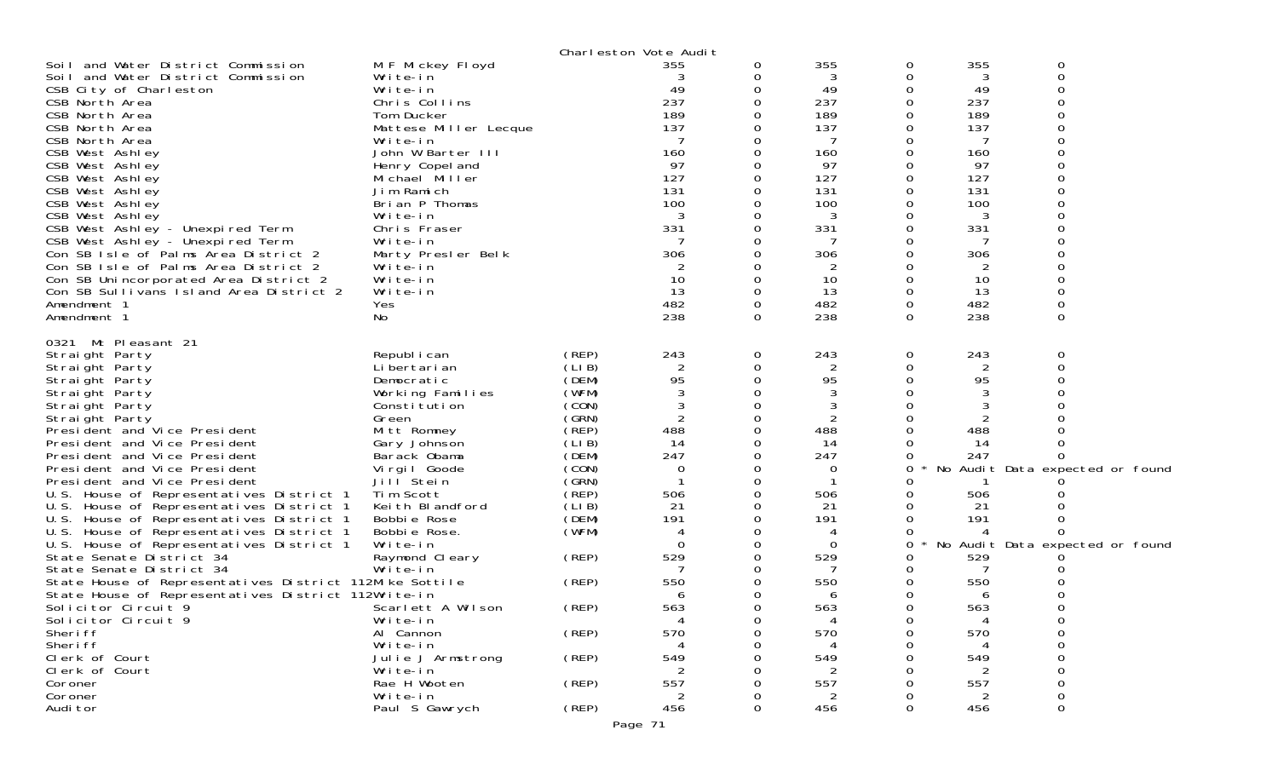|                                                         |                               |                | Charleston Vote Audit |          |                |        |          |                                 |  |
|---------------------------------------------------------|-------------------------------|----------------|-----------------------|----------|----------------|--------|----------|---------------------------------|--|
| Soil and Water District Commission                      | M F Mickey Floyd              |                | 355                   | 0        | 355            | 0      | 355      | 0                               |  |
| Soil and Water District Commission                      | Write-in                      |                |                       |          | 3              | 0      | 3        | 0                               |  |
| CSB City of Charleston                                  | Write-in                      |                | 49                    |          | 49             | 0      | 49       |                                 |  |
| CSB North Area                                          | Chris Collins                 |                | 237                   |          | 237            | 0      | 237      |                                 |  |
| CSB North Area                                          | Tom Ducker                    |                | 189                   |          | 189            | 0      | 189      |                                 |  |
| CSB North Area                                          | Mattese Miller Lecque         |                | 137                   |          | 137            | Ω      | 137      |                                 |  |
| CSB North Area<br>CSB West Ashley                       | Write-in<br>John W Barter III |                | 160                   |          | 7<br>160       |        | 7<br>160 |                                 |  |
| CSB West Ashley                                         | Henry Copel and               |                | 97                    |          | 97             |        | 97       |                                 |  |
| CSB West Ashley                                         | Michael Miller                |                | 127                   |          | 127            | 0      | 127      |                                 |  |
| CSB West Ashley                                         | Jim Ramich                    |                | 131                   |          | 131            | 0      | 131      |                                 |  |
| CSB West Ashley                                         | Brian P Thomas                |                | 100                   |          | 100            |        | 100      |                                 |  |
| CSB West Ashley                                         | Write-in                      |                | 3                     |          | 3              |        | 3        |                                 |  |
| CSB West Ashley - Unexpired Term                        | Chris Fraser                  |                | 331                   |          | 331            |        | 331      |                                 |  |
| CSB West Ashley - Unexpired Term                        | Write-in                      |                |                       |          |                |        |          |                                 |  |
| Con SB Isle of Palms Area District 2                    | Marty Presler Belk            |                | 306                   |          | 306            | 0      | 306      |                                 |  |
| Con SB Isle of Palms Area District 2                    | Write-in                      |                | 2                     |          | 2              |        | 2        |                                 |  |
| Con SB Unincorporated Area District 2                   | Write-in                      |                | 10                    |          | 10             | 0      | 10       |                                 |  |
| Con SB Sullivans Island Area District 2                 | Write-in                      |                | 13                    |          | 13             | 0      | 13       |                                 |  |
| Amendment 1                                             | Yes                           |                | 482                   | 0        | 482            | 0      | 482      | 0                               |  |
| Amendment 1                                             | No.                           |                | 238                   | $\Omega$ | 238            | 0      | 238      | 0                               |  |
| 0321 Mt Pleasant 21                                     |                               |                |                       |          |                |        |          |                                 |  |
| Straight Party                                          | Republ i can                  | (REP)          | 243                   | 0        | 243            | 0      | 243      | 0                               |  |
| Straight Party                                          | Li bertari an                 | (LIB)          | 2                     | 0        | 2              | 0      | 2        |                                 |  |
| Straight Party                                          | Democratic                    | (DEM)          | 95                    |          | 95             |        | 95       |                                 |  |
| Straight Party                                          | Working Families              | (WFM)<br>(CON) | 3                     | 0        | 3              | 0      |          |                                 |  |
| Straight Party<br>Straight Party                        | Constitution<br>Green         | (SRN)          | $\overline{2}$        |          | $\overline{2}$ |        | 3<br>2   |                                 |  |
| President and Vice President                            | Mitt Romney                   | (REP)          | 488                   |          | 488            |        | 488      |                                 |  |
| President and Vice President                            | Gary Johnson                  | (LIB)          | 14                    |          | 14             | 0      | 14       |                                 |  |
| President and Vice President                            | Barack Obama                  | (DEM)          | 247                   |          | 247            |        | 247      |                                 |  |
| President and Vice President                            | Virgil Goode                  | (CON)          | 0                     |          | 0              | 0      |          | No Audit Data expected or found |  |
| President and Vice President                            | Jill Stein                    | (GRN)          |                       |          |                |        |          |                                 |  |
| U.S. House of Representatives District 1                | Tim Scott                     | (REP)          | 506                   |          | 506            |        | 506      |                                 |  |
| U.S. House of Representatives District 1                | Keith Blandford               | (LIB)          | 21                    |          | 21             |        | 21       |                                 |  |
| U.S. House of Representatives District 1                | Bobbie Rose                   | (DEM)          | 191                   |          | 191            | 0      | 191      |                                 |  |
| U.S. House of Representatives District 1                | Bobbie Rose.                  | (WFM)          | 4                     |          | 4              | Ω      |          |                                 |  |
| U.S. House of Representatives District 1                | Write-in                      |                |                       |          | $\Omega$       | 0      |          | No Audit Data expected or found |  |
| State Senate District 34<br>State Senate District 34    | Raymond Cleary<br>Write-in    | (REP)          | 529                   |          | 529<br>7       | Ω<br>Ω | 529      |                                 |  |
| State House of Representatives District 112Mike Sottile |                               | (REP)          | 550                   |          | 550            | Ω      | 550      |                                 |  |
| State House of Representatives District 112Write-in     |                               |                | 6                     |          | 6              | 0      | 6        |                                 |  |
| Solicitor Circuit 9                                     | Scarlett A Wilson             | (REP)          | 563                   | 0        | 563            | 0      | 563      | 0                               |  |
| Solicitor Circuit 9                                     | Write-in                      |                |                       | 0        | 4              | 0      |          |                                 |  |
| Sheri ff                                                | Al Cannon                     | (REP)          | 570                   |          | 570            | 0      | 570      | 0                               |  |
| Sheri ff                                                | Write-in                      |                |                       |          |                |        |          | 0                               |  |
| Clerk of Court                                          | Julie J Armstrong             | (REP)          | 549                   |          | 549            |        | 549      | 0                               |  |
| Clerk of Court                                          | Write-in                      |                |                       |          | 2              |        |          | 0                               |  |
| Coroner                                                 | Rae H Wooten                  | (REP)          | 557                   |          | 557            |        | 557      | 0                               |  |
| Coroner                                                 | Write-in                      |                |                       |          | $\overline{2}$ |        | 2        | 0                               |  |
| Audi tor                                                | Paul S Gawrych                | (REP)          | 456                   | 0        | 456            | 0      | 456      | 0                               |  |
|                                                         |                               |                | Page 71               |          |                |        |          |                                 |  |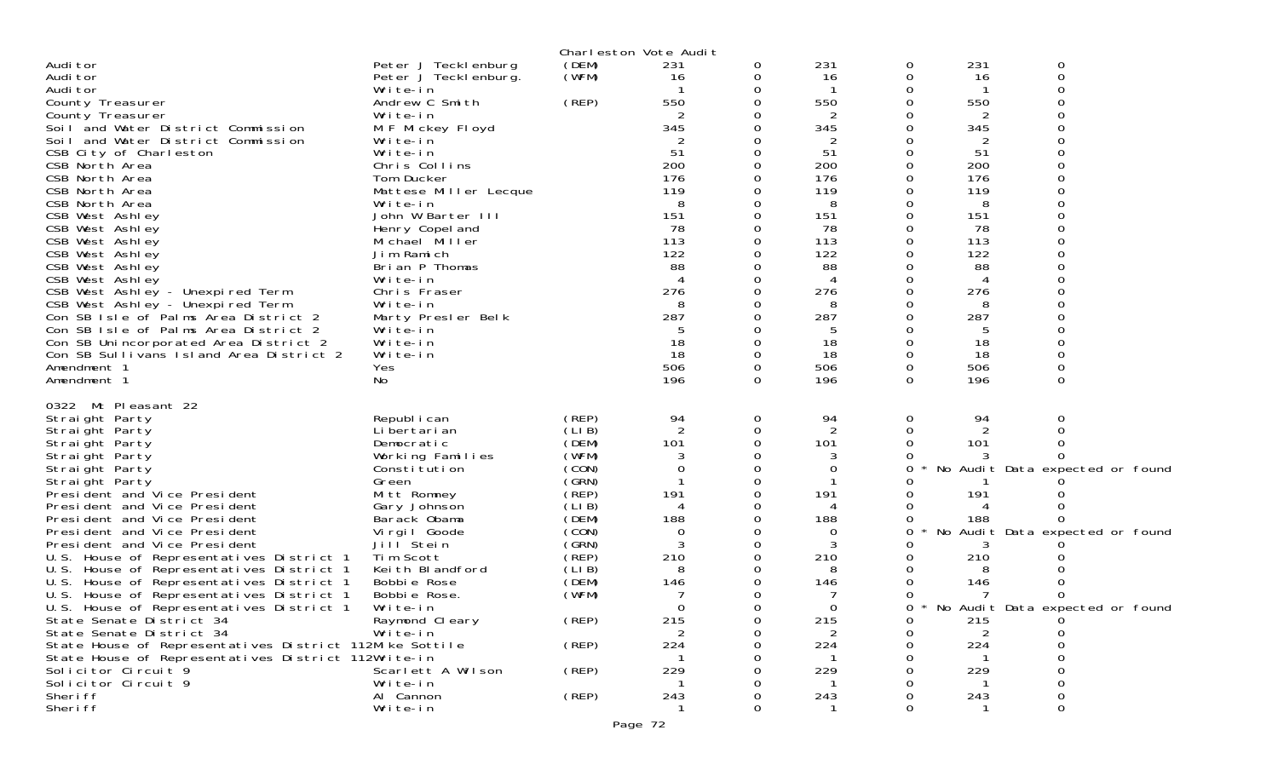|                                                         |                       |          | Charleston Vote Audit |   |             |   |                |                                   |
|---------------------------------------------------------|-----------------------|----------|-----------------------|---|-------------|---|----------------|-----------------------------------|
| Audi tor                                                | Peter J Tecklenburg   | (DEM)    | 231                   | 0 | 231         | 0 | 231            | 0                                 |
| Audi tor                                                | Peter J Tecklenburg.  | (WFM)    | 16                    |   | 16          | 0 | 16             | 0                                 |
| Audi tor                                                | Write-in              |          |                       |   |             |   |                |                                   |
| County Treasurer                                        | Andrew C Smith        | (REP)    | 550                   |   | 550         |   | 550            |                                   |
| County Treasurer                                        | Write-in              |          |                       |   | 2           |   | 2              |                                   |
| Soil and Water District Commission                      | M F Mickey Floyd      |          | 345                   |   | 345         |   | 345            |                                   |
| Soil and Water District Commission                      | Write-in              |          |                       |   | 2           | Ω | 2              |                                   |
| CSB City of Charleston                                  | Write-in              |          | 51                    |   | 51          |   | 51             |                                   |
| CSB North Area                                          | Chris Collins         |          | 200                   |   | 200         | 0 | 200            |                                   |
| CSB North Area                                          | Tom Ducker            |          | 176                   |   | 176         | 0 | 176            |                                   |
| CSB North Area                                          | Mattese Miller Lecque |          | 119                   |   | 119         |   | 119            |                                   |
| CSB North Area                                          | Write-in              |          | 8                     |   | 8           |   | 8              |                                   |
| CSB West Ashley                                         | John W Barter III     |          | 151                   |   | 151         | 0 | 151            |                                   |
| CSB West Ashley                                         | Henry Copel and       |          | 78                    |   | 78          |   | 78             |                                   |
| CSB West Ashley                                         | Michael Miller        |          | 113                   |   | 113         | 0 | 113            |                                   |
| CSB West Ashley                                         | Jim Ramich            |          | 122                   |   | 122         |   | 122            |                                   |
| CSB West Ashley                                         | Brian P Thomas        |          | 88                    |   | 88          |   | 88             |                                   |
| CSB West Ashley                                         | Write-in              |          |                       |   | 4           |   | 4              |                                   |
| CSB West Ashley - Unexpired Term                        | Chris Fraser          |          | 276                   |   | 276         | 0 | 276            |                                   |
| CSB West Ashley - Unexpired Term                        | Write-in              |          |                       |   | 8           |   | 8              |                                   |
| Con SB Isle of Palms Area District 2                    | Marty Presler Belk    |          | 287                   |   | 287         |   | 287            |                                   |
| Con SB Isle of Palms Area District 2                    | Write-in              |          |                       |   | 5           |   | 5              |                                   |
| Con SB Unincorporated Area District 2                   | Write-in              |          | 18                    |   | 18          |   | 18             |                                   |
| Con SB Sullivans Island Area District 2                 | Write-in              |          | 18                    |   | 18          | 0 | 18             |                                   |
| Amendment 1                                             | Yes                   |          | 506                   | 0 | 506         | 0 | 506            | 0                                 |
| Amendment 1                                             | No                    |          | 196                   | 0 | 196         | 0 | 196            | 0                                 |
| 0322 Mt Pleasant 22                                     |                       |          |                       |   |             |   |                |                                   |
| Straight Party                                          | Republ i can          | (REP)    | 94                    | 0 | 94          | 0 | 94             | 0                                 |
| Straight Party                                          | Li bertari an         | (LIB)    |                       | 0 |             |   |                |                                   |
| Straight Party                                          | Democratic            | (DEM)    | 101                   |   | 101         | 0 | 101            |                                   |
| Straight Party                                          | Working Families      | (WFM)    |                       |   |             |   |                |                                   |
| Straight Party                                          | Constitution          | (CON)    |                       |   | $\mathbf 0$ | 0 |                | No Audit Data expected or found   |
| Straight Party                                          | Green                 | (SRN)    |                       |   |             |   |                |                                   |
| President and Vice President                            | Mitt Romney           | $($ REP) | 191                   |   | 191         |   | 191            |                                   |
| President and Vice President                            | Gary Johnson          | (LIB)    |                       |   | 4           |   |                |                                   |
| President and Vice President                            | Barack Obama          | (DEM)    | 188                   |   | 188         | 0 | 188            |                                   |
| President and Vice President                            | Virgil Goode          | (CON)    | 0                     |   | 0           | 0 |                | No Audit Data expected or found   |
| President and Vice President                            | Jill Stein            | (GRN)    |                       |   | 3           |   |                |                                   |
| U.S. House of Representatives District 1                | Tim Scott             | (REP)    | 210                   |   | 210         |   | 210            |                                   |
| U.S. House of Representatives District 1                | Keith Blandford       | (LIB)    | 8                     |   | 8           |   | 8              |                                   |
| U.S. House of Representatives District 1                | Bobbie Rose           | (DEM)    | 146                   |   | 146         |   | 146            |                                   |
| U.S. House of Representatives District 1                | Bobbie Rose.          | (WFM)    |                       |   |             |   |                |                                   |
| U.S. House of Representatives District 1                | Write-in              |          | 0                     |   | 0           | 0 |                | * No Audit Data expected or found |
| State Senate District 34                                | Raymond Cleary        | (REP)    | 215                   |   | 215         | 0 | 215            |                                   |
| State Senate District 34                                | Write-in              |          | 2                     |   | 2           | Ω | $\overline{2}$ |                                   |
| State House of Representatives District 112Mike Sottile |                       | (REP)    | 224                   |   | 224         |   | 224            |                                   |
| State House of Representatives District 112Write-in     |                       |          |                       |   |             |   |                |                                   |
| Solicitor Circuit 9                                     | Scarlett A Wilson     | (REP)    | 229                   |   | 229         |   | 229            |                                   |
| Solicitor Circuit 9                                     | Write-in              |          |                       |   |             |   |                | 0                                 |
| Sheri ff                                                | Al Cannon             | (REP)    | 243                   |   | 243         |   | 243            |                                   |
| Sheri ff                                                | Write-in              |          |                       |   |             |   |                | 0                                 |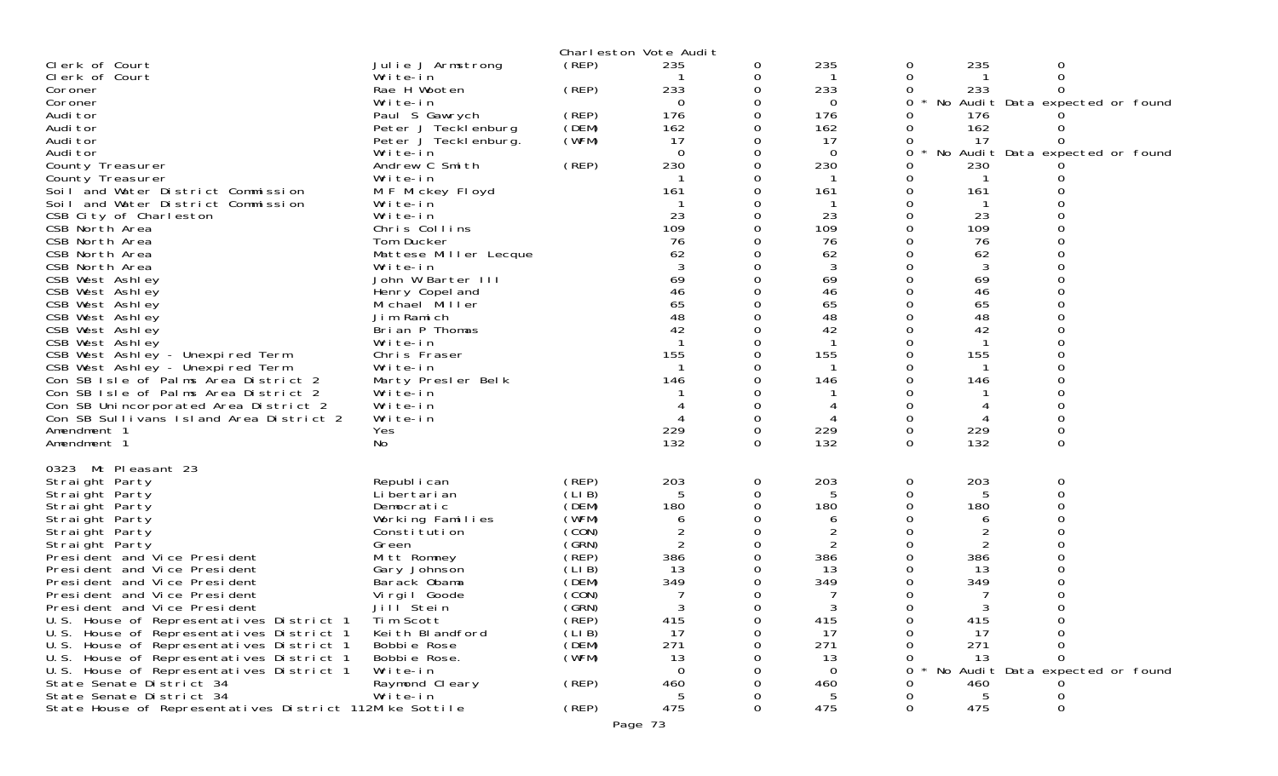|                                                         |                                   |                | Charleston Vote Audit |               |                     |          |          |                                 |  |
|---------------------------------------------------------|-----------------------------------|----------------|-----------------------|---------------|---------------------|----------|----------|---------------------------------|--|
| Clerk of Court                                          | Julie J Armstrong                 | (REP)          | 235                   | 0             | 235                 | 0        | 235      | 0                               |  |
| Clerk of Court                                          | Write-in                          |                |                       | 0             |                     | 0        |          | 0                               |  |
| Coroner                                                 | Rae H Wooten                      | (REP)          | 233                   | 0             | 233                 | 0        | 233      | $\Omega$                        |  |
| Coroner                                                 | Write-in                          |                | 0                     | 0             | $\Omega$            | 0        |          | No Audit Data expected or found |  |
| Audi tor                                                | Paul S Gawrych                    | (REP)          | 176                   | $\Omega$      | 176                 | 0        | 176      |                                 |  |
| Audi tor                                                | Peter J Tecklenburg               | (DEM)          | 162                   | 0             | 162                 | 0        | 162      |                                 |  |
| Audi tor<br>Audi tor                                    | Peter J Teckl enburg.<br>Write-in | (WFM)          | 17<br>$\Omega$        | 0<br>$\Omega$ | 17<br>$\Omega$      | 0<br>0   | 17       | No Audit Data expected or found |  |
| County Treasurer                                        | Andrew C Smith                    | (REP)          | 230                   | $\Omega$      | 230                 | 0        | 230      |                                 |  |
| County Treasurer                                        | Write-in                          |                |                       | 0             | $\mathbf{1}$        | 0        | -1       |                                 |  |
| Soil and Water District Commission                      | M F Mickey Floyd                  |                | 161                   | $\Omega$      | 161                 | 0        | 161      | ∩                               |  |
| Soil and Water District Commission                      | Write-in                          |                |                       | 0             |                     | 0        |          |                                 |  |
| CSB City of Charleston                                  | Write-in                          |                | 23                    | 0             | 23                  | 0        | 23       |                                 |  |
| CSB North Area                                          | Chris Collins                     |                | 109                   | $\Omega$      | 109                 | O        | 109      |                                 |  |
| CSB North Area                                          | Tom Ducker                        |                | 76                    | 0             | 76                  | 0        | 76       | 0                               |  |
| CSB North Area                                          | Mattese Miller Lecque             |                | 62                    |               | 62                  |          | 62       |                                 |  |
| CSB North Area                                          | Write-in                          |                |                       | $\Omega$      | 3                   | 0        |          | $\Omega$                        |  |
| CSB West Ashley                                         | John W Barter III                 |                | 69                    | $\Omega$      | 69                  | 0        | 69       | 0                               |  |
| CSB West Ashley                                         | Henry Copel and                   |                | 46                    | 0             | 46                  | 0        | 46       |                                 |  |
| CSB West Ashley                                         | Michael Miller                    |                | 65                    | $\Omega$      | 65                  | 0        | 65       | $\Omega$                        |  |
| CSB West Ashley                                         | Jim Ramich                        |                | 48                    | $\Omega$      | 48                  | 0<br>O   | 48       | 0                               |  |
| CSB West Ashley                                         | Brian P Thomas                    |                | 42                    | $\Omega$<br>0 | 42                  | 0        | 42       | $\Omega$                        |  |
| CSB West Ashley<br>CSB West Ashley - Unexpired Term     | Write-in<br>Chris Fraser          |                | 155                   | 0             | 155                 | 0        | 155      | 0                               |  |
| CSB West Ashley - Unexpired Term                        | Write-in                          |                |                       |               | -1                  |          | -1       |                                 |  |
| Con SB Isle of Palms Area District 2                    | Marty Presler Belk                |                | 146                   | ∩             | 146                 | O        | 146      | O                               |  |
| Con SB Isle of Palms Area District 2                    | Write-in                          |                |                       | 0             |                     | 0        |          | 0                               |  |
| Con SB Unincorporated Area District 2                   | Write-in                          |                |                       | 0             | 4                   | 0        |          |                                 |  |
| Con SB Sullivans Island Area District 2                 | Write-in                          |                |                       | $\Omega$      |                     | 0        | 4        | $\Omega$                        |  |
| Amendment 1                                             | Yes                               |                | 229                   | 0             | 229                 | 0        | 229      | $\mathbf 0$                     |  |
| Amendment 1                                             | No                                |                | 132                   | $\Omega$      | 132                 | 0        | 132      | 0                               |  |
|                                                         |                                   |                |                       |               |                     |          |          |                                 |  |
| Mt Pleasant 23<br>0323                                  |                                   |                |                       |               |                     |          |          |                                 |  |
| Straight Party                                          | Republ i can                      | (REP)          | 203                   | 0             | 203                 | 0        | 203      | 0                               |  |
| Straight Party                                          | Li bertari an                     | (LIB)          | 5                     | $\Omega$      |                     | 0        |          | $\Omega$                        |  |
| Straight Party                                          | Democratic                        | (DEM)<br>(WFM) | 180                   | 0<br>0        | 180                 | 0        | 180      | 0                               |  |
| Straight Party<br>Straight Party                        | Working Families<br>Constitution  | (CON)          | 6<br>$\overline{2}$   | $\Omega$      | 6<br>$\overline{2}$ | 0        | 6        |                                 |  |
| Straight Party                                          | Green                             | (GRN)          | $\overline{2}$        | 0             | 2                   | 0        | 2        |                                 |  |
| President and Vice President                            | Mitt Romney                       | (REP)          | 386                   | $\Omega$      | 386                 |          | 386      |                                 |  |
| President and Vice President                            | Gary Johnson                      | (LIB)          | 13                    | 0             | 13                  |          | 13       |                                 |  |
| President and Vice President                            | Barack Obama                      | (DEM)          | 349                   | 0             | 349                 |          | 349      |                                 |  |
| President and Vice President                            | Virgil Goode                      | (CON)          |                       |               |                     |          |          |                                 |  |
| President and Vice President                            | Jill Stein                        | (GRN)          | 3                     | $\Omega$      |                     | $\Omega$ |          | $\Omega$                        |  |
| U.S. House of Representatives District 1                | Tim Scott                         | (̀REP)         | 415                   | 0             | 415                 | 0        | 415      | 0                               |  |
| U.S. House of Representatives District 1                | Keith Blandford                   | (LI B)         | 17                    | O             | 17                  | O        | 17       | 0                               |  |
| U.S. House of Representatives District 1                | Bobbie Rose                       | (DEM)          | 271                   | Ω             | 271                 |          | 271      | 0                               |  |
| U.S. House of Representatives District 1                | Bobbie Rose.                      | (WFM)          | 13                    |               | 13                  | Ω        | 13       | 0                               |  |
| U.S. House of Representatives District 1                | Write-in                          |                | 0                     |               | $\Omega$            | 0        | No       | Audit Data expected or found    |  |
| State Senate District 34<br>State Senate District 34    | Raymond Cleary<br>Write-in        | (REP)          | 460                   | 0             | 460                 | O        | 460      |                                 |  |
| State House of Representatives District 112Mike Sottile |                                   | (REP)          | 5<br>475              | 0<br>$\Omega$ | 5<br>475            | 0<br>0   | 5<br>475 | 0<br>0                          |  |
|                                                         |                                   |                |                       |               |                     |          |          |                                 |  |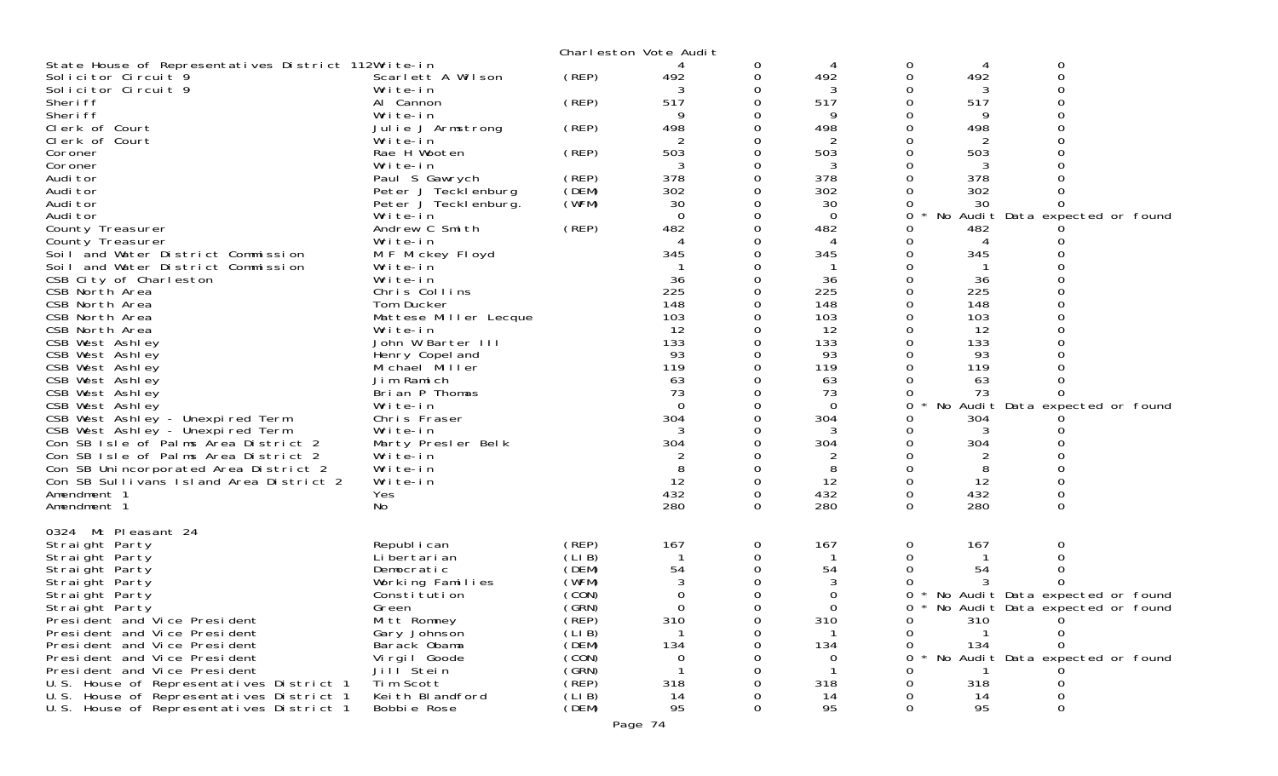|                                                     |                       |       | Charleston Vote Audit |          |          |          |     |                                   |
|-----------------------------------------------------|-----------------------|-------|-----------------------|----------|----------|----------|-----|-----------------------------------|
| State House of Representatives District 112Write-in |                       |       |                       | 0        | 4        | 0        | 4   | 0                                 |
| Solicitor Circuit 9                                 | Scarlett A Wilson     | (REP) | 492                   | 0        | 492      | 0        | 492 | 0                                 |
| Solicitor Circuit 9                                 | Write-in              |       |                       |          | 3        |          | 3   |                                   |
| Sheri ff                                            | Al Cannon             | (REP) | 517                   | 0        | 517      | 0        | 517 |                                   |
| Sheri ff                                            | Write-in              |       | 9                     |          | Q        |          | 9   |                                   |
| Clerk of Court                                      | Julie J Armstrong     | (REP) | 498                   |          | 498      |          | 498 |                                   |
| Clerk of Court                                      | Write-in              |       | 2                     |          | 2        |          | 2   |                                   |
| Coroner                                             | Rae H Wooten          | (REP) | 503                   | 0        | 503      |          | 503 |                                   |
| Coroner                                             | Write-in              |       |                       |          | 3        |          |     |                                   |
| Audi tor                                            | Paul S Gawrych        | (REP) | 378                   | $\Omega$ | 378      |          | 378 |                                   |
| Audi tor                                            | Peter J Tecklenburg   | (DEM) | 302                   | 0        | 302      |          | 302 |                                   |
| Audi tor                                            | Peter J Teckl enburg. | (WFM) | 30                    |          | 30       |          | 30  |                                   |
| Audi tor                                            | Write-in              |       | $\Omega$              | 0        | $\Omega$ | 0        |     | No Audit Data expected or found   |
| County Treasurer                                    | Andrew C Smith        | (REP) | 482                   |          | 482      |          | 482 |                                   |
| County Treasurer                                    | Write-in              |       |                       |          |          |          | 4   |                                   |
| Soil and Water District Commission                  | M F Mickey Floyd      |       | 345                   |          | 345      |          | 345 |                                   |
| Soil and Water District Commission                  | Write-in              |       |                       |          |          |          |     |                                   |
| CSB City of Charleston                              | Write-in              |       | 36                    |          | 36       |          | 36  |                                   |
| CSB North Area                                      | Chris Collins         |       | 225                   |          | 225      |          | 225 |                                   |
| CSB North Area                                      | Tom Ducker            |       | 148                   |          | 148      |          | 148 |                                   |
| CSB North Area                                      | Mattese Miller Lecque |       | 103                   |          | 103      |          | 103 |                                   |
| CSB North Area                                      | Write-in              |       | 12                    |          | 12       |          | 12  |                                   |
| CSB West Ashley                                     | John W Barter III     |       | 133                   |          | 133      |          | 133 |                                   |
| CSB West Ashley                                     | Henry Copel and       |       | 93                    |          | 93       |          | 93  |                                   |
| CSB West Ashley                                     | Michael Miller        |       | 119                   |          | 119      |          | 119 |                                   |
| CSB West Ashley                                     | Jim Ramich            |       | 63                    |          | 63       |          | 63  |                                   |
| CSB West Ashley                                     | Brian P Thomas        |       | 73                    |          | 73       |          | 73  |                                   |
| CSB West Ashley                                     | Write-in              |       | $\Omega$              |          | $\Omega$ | 0        |     | No Audit Data expected or found   |
| CSB West Ashley - Unexpired Term                    | Chris Fraser          |       | 304                   |          | 304      | 0        | 304 |                                   |
| CSB West Ashley - Unexpired Term                    | Write-in              |       |                       |          | 3        |          | 3   |                                   |
| Con SB Isle of Palms Area District 2                | Marty Presler Belk    |       | 304                   |          | 304      |          | 304 |                                   |
| Con SB Isle of Palms Area District 2                | Write-in              |       |                       |          | 2        |          | 2   |                                   |
| Con SB Unincorporated Area District 2               | Write-in              |       |                       |          | 8        |          | 8   |                                   |
| Con SB Sullivans Island Area District 2             | Write-in              |       | 12                    | 0        | 12       | 0        | 12  |                                   |
| Amendment 1                                         | Yes                   |       | 432                   | 0        | 432      | 0        | 432 | 0                                 |
| Amendment 1                                         | No.                   |       | 280                   | $\Omega$ | 280      | $\Omega$ | 280 | $\Omega$                          |
|                                                     |                       |       |                       |          |          |          |     |                                   |
| 0324 Mt Pleasant 24                                 |                       |       |                       |          |          |          |     |                                   |
| Straight Party                                      | Republ i can          | (REP) | 167                   | 0        | 167      | 0        | 167 | 0                                 |
| Straight Party                                      | Li bertari an         | (LIB) |                       | 0        |          |          |     |                                   |
| Straight Party                                      | Democratic            | (DEM) | 54                    |          | 54       |          | 54  |                                   |
| Straight Party                                      | Working Families      | (WFM) |                       |          | 3        |          |     |                                   |
| Straight Party                                      | Constitution          | (CON) | 0                     | 0        | 0        | 0        |     | No Audit Data expected or found   |
| Straight Party                                      | Green                 | (GRN) | $\Omega$              | 0        | 0        | 0        |     | * No Audit Data expected or found |
| President and Vice President                        | Mitt Romney           | (REP) | 310                   | 0        | 310      | 0        | 310 |                                   |
| President and Vice President                        | Gary Johnson          | (LIB) | $\mathbf 1$           |          |          | $\Omega$ |     |                                   |
| President and Vice President                        | Barack Obama          | (DEM) | 134                   |          | 134      |          | 134 |                                   |
| President and Vice President                        | Virgil Goode          | (CON) | 0                     |          | O        |          |     | No Audit Data expected or found   |
| President and Vice President                        | Jill <sup>Stein</sup> | (GRN) |                       |          |          |          |     |                                   |
| U.S. House of Representatives District 1            | Tim Scott             | (REP) | 318                   |          | 318      |          | 318 |                                   |
| U.S. House of Representatives District 1            | Keith Blandford       | (LIB) | 14                    |          | 14       |          | 14  |                                   |
| U.S. House of Representatives District 1            | Bobbie Rose           | (DEM) | 95                    | 0        | 95       | 0        | 95  | 0                                 |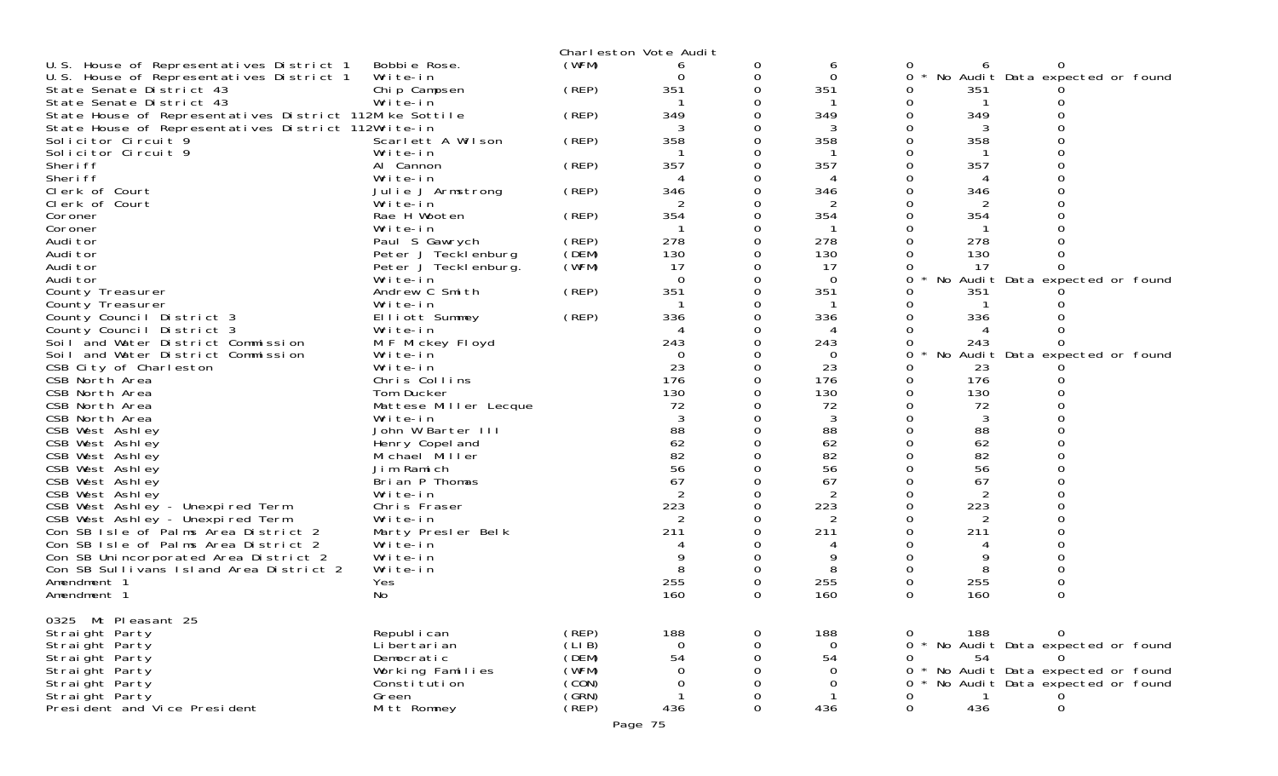|                                                         |                       |                | Charleston Vote Audit |   |                   |          |                |                                   |  |
|---------------------------------------------------------|-----------------------|----------------|-----------------------|---|-------------------|----------|----------------|-----------------------------------|--|
| U.S. House of Representatives District 1                | Bobbie Rose.          | (WFM)          |                       | 0 | 6                 | 0        | h              | 0                                 |  |
| U.S. House of Representatives District 1                | Write-in              |                |                       | 0 | 0                 | 0        |                | No Audit Data expected or found   |  |
| State Senate District 43                                | Chip Campsen          | (REP)          | 351                   |   | 351               | 0        | 351            |                                   |  |
| State Senate District 43                                | Write-in              |                |                       |   |                   | 0        |                |                                   |  |
| State House of Representatives District 112Mike Sottile |                       | (REP)          | 349                   |   | 349               |          | 349            |                                   |  |
| State House of Representatives District 112Write-in     |                       |                | 3                     |   | 3                 |          | 3              |                                   |  |
| Solicitor Circuit 9                                     | Scarlett A Wilson     | (REP)          | 358                   |   | 358               | 0        | 358            |                                   |  |
| Solicitor Circuit 9                                     | Write-in              |                |                       |   |                   |          |                |                                   |  |
| Sheri ff                                                | Al Cannon             | (REP)          | 357                   |   | 357               |          | 357            |                                   |  |
| Sheri ff                                                | Write-in              |                |                       |   | 4                 | Ω        |                |                                   |  |
| Clerk of Court                                          | Julie J Armstrong     | (REP)          | 346                   |   | 346               |          | 346            |                                   |  |
| Clerk of Court                                          | Write-in              |                | 2                     |   | 2                 |          |                |                                   |  |
| Coroner                                                 | Rae H Wooten          | (REP)          | 354                   |   | 354               | 0        | 354            |                                   |  |
| Coroner                                                 | Write-in              |                |                       |   | -1                |          |                |                                   |  |
| Audi tor                                                | Paul S Gawrych        | (REP)          | 278                   |   | 278               |          | 278            |                                   |  |
| Audi tor                                                | Peter J Tecklenburg   | (DEM)          | 130                   |   | 130               |          | 130            |                                   |  |
| Audi tor                                                | Peter J Teckl enburg. | (WFM)          | 17                    |   | 17                |          | 17             | 0                                 |  |
| Audi tor                                                | Write-in              |                | $\Omega$              |   | $\Omega$          | 0        |                | No Audit Data expected or found   |  |
| County Treasurer                                        | Andrew C Smith        | (REP)          | 351                   |   | 351               | 0        | 351            |                                   |  |
| County Treasurer                                        | Write-in              |                |                       |   |                   | 0        |                |                                   |  |
| County Council District 3                               | Elliott Summey        | (REP)          | 336                   |   | 336               | 0        | 336            |                                   |  |
| County Council District 3                               | Write-in              |                |                       |   | 4                 | 0        | $\overline{4}$ |                                   |  |
| Soil and Water District Commission                      | M F Mickey Floyd      |                | 243                   |   | 243               | 0        | 243            | 0                                 |  |
| Soil and Water District Commission                      | Write-in              |                | $\Omega$              |   | $\Omega$          | 0        |                | No Audit Data expected or found   |  |
| CSB City of Charleston                                  | Write-in              |                | 23                    |   | 23                | 0        | 23             |                                   |  |
| CSB North Area                                          | Chris Collins         |                | 176                   |   | 176               | 0        | 176            |                                   |  |
| CSB North Area                                          | Tom Ducker            |                | 130                   |   | 130               | 0        | 130            |                                   |  |
| CSB North Area                                          | Mattese Miller Lecque |                | 72                    |   | 72                | 0        | 72             |                                   |  |
| CSB North Area                                          | Write-in              |                |                       |   | 3                 |          | 3              |                                   |  |
| CSB West Ashley                                         | John W Barter III     |                | 88                    |   | 88                |          | 88             |                                   |  |
| CSB West Ashley                                         | Henry Copel and       |                | 62                    |   | 62                | 0        | 62             |                                   |  |
| CSB West Ashley                                         | Michael Miller        |                | 82                    |   | 82                |          | 82             |                                   |  |
| CSB West Ashley                                         | Jim Ramich            |                | 56                    |   | 56                |          | 56             |                                   |  |
| CSB West Ashley                                         | Brian P Thomas        |                | 67                    |   | 67                | 0        | 67             |                                   |  |
| CSB West Ashley                                         | Write-in              |                |                       |   | 2                 |          | 2              |                                   |  |
| CSB West Ashley - Unexpired Term                        | Chris Fraser          |                | 223                   |   | 223               | 0        | 223            |                                   |  |
| CSB West Ashley - Unexpired Term                        | Write-in              |                | 2                     |   | 2                 | 0        | 2              |                                   |  |
| Con SB Isle of Palms Area District 2                    | Marty Presler Belk    |                | 211                   |   | 211               |          | 211            |                                   |  |
| Con SB Isle of Palms Area District 2                    | Write-in              |                |                       |   |                   |          |                |                                   |  |
| Con SB Unincorporated Area District 2                   | Write-in              |                | 9                     |   | 9                 | 0        | 9              | 0                                 |  |
| Con SB Sullivans Island Area District 2                 | Write-in              |                |                       |   | 8                 |          | 8              |                                   |  |
| Amendment 1                                             | Yes                   |                | 255                   | 0 | 255               | 0        | 255            | 0                                 |  |
| Amendment 1                                             | No                    |                | 160                   | 0 | 160               | $\Omega$ | 160            | $\mathbf 0$                       |  |
|                                                         |                       |                |                       |   |                   |          |                |                                   |  |
| 0325 Mt Pleasant 25                                     |                       |                |                       |   |                   |          |                |                                   |  |
| Straight Party                                          | Republ i can          | (REP)          | 188                   |   | 188               | 0        | 188            | $\Omega$                          |  |
| Straight Party                                          | Li bertari an         | (LI B)         | $\Omega$              |   | $\Omega$          | 0        |                | * No Audit Data expected or found |  |
| Straight Party                                          | Democratic            | (DEM)<br>(WFM) | 54                    |   | 54                | 0        | 54             |                                   |  |
| Straight Party                                          | Working Families      |                | 0                     |   | 0                 | 0        |                | * No Audit Data expected or found |  |
| Straight Party                                          | Constitution          | (CON)<br>(GRN) | 0                     |   | 0<br>$\mathbf{1}$ | 0        |                | No Audit Data expected or found   |  |
| Straight Party<br>President and Vice President          | Green<br>Mitt Romney  | (REP)          | 436                   | 0 | 436               | 0<br>0   | 436            | $\mathbf 0$                       |  |
|                                                         |                       |                |                       |   |                   |          |                |                                   |  |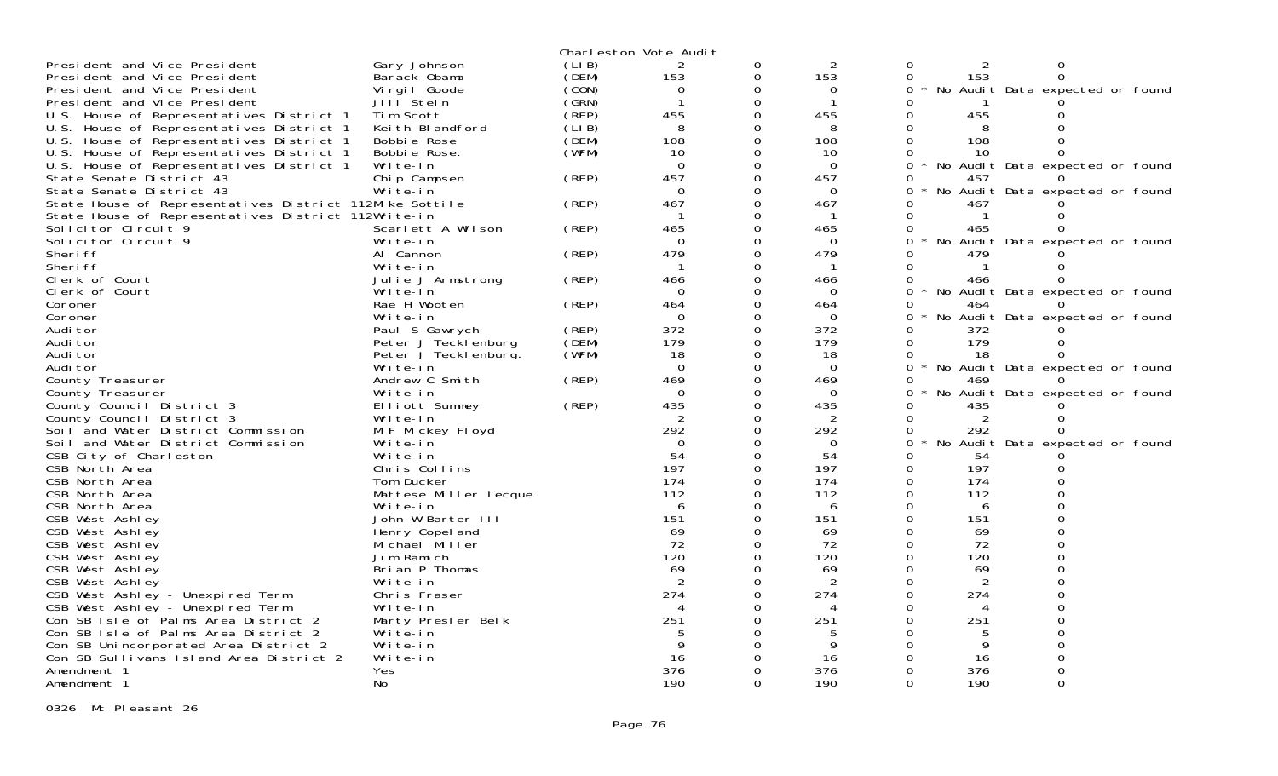|                                                                                                                |                          |       | Charleston Vote Audit |               |              |          |                |                                 |  |
|----------------------------------------------------------------------------------------------------------------|--------------------------|-------|-----------------------|---------------|--------------|----------|----------------|---------------------------------|--|
| President and Vice President                                                                                   | Gary Johnson             | (LIB) | 2                     | 0             | 2            | 0        | 2              | 0                               |  |
| President and Vice President                                                                                   | Barack Obama             | (DEM) | 153                   | 0             | 153          | 0        | 153            | $\Omega$                        |  |
| President and Vice President                                                                                   | Vi rgi I Goode           | (CON) | 0                     | 0             | 0            | 0        |                | No Audit Data expected or found |  |
| President and Vice President                                                                                   | Jill Stein               | (GRN) | -1                    | 0             | $\mathbf 1$  |          |                |                                 |  |
| U.S. House of Representatives District 1                                                                       | Tim Scott                | (REP) | 455                   |               | 455          |          | 455            |                                 |  |
| U.S. House of Representatives District 1                                                                       | Keith Blandford          | CLIBÍ | 8                     | $\Omega$      | 8            |          | 8              |                                 |  |
| U.S. House of Representatives District 1                                                                       | Bobbie Rose              | (DEM) | 108                   | $\Omega$      | 108          | 0        | 108            |                                 |  |
| U.S. House of Representatives District 1                                                                       | Bobbie Rose.             | (WFM) | 10                    | 0             | 10           | 0        | 10             |                                 |  |
| U.S. House of Representatives District 1                                                                       | Write-in                 |       | $\Omega$              | $\Omega$      | $\Omega$     | $\Omega$ |                | No Audit Data expected or found |  |
|                                                                                                                |                          | (REP) | 457                   |               | 457          | 0        |                |                                 |  |
| State Senate District 43<br>State Senate District 43                                                           | Chip Campsen<br>Write-in |       | $\Omega$              | 0<br>$\Omega$ | $\Omega$     | 0        | 457            |                                 |  |
|                                                                                                                |                          |       | 467                   | $\Omega$      |              | 0        | 467            | No Audit Data expected or found |  |
| State House of Representatives District 112Mike Sottile<br>State House of Representatives District 112Write-in |                          | (REP) | -1                    | $\Omega$      | 467<br>-1    | 0        |                |                                 |  |
|                                                                                                                |                          |       |                       |               |              | $\Omega$ |                |                                 |  |
| Solicitor Circuit 9                                                                                            | Scarlett A Wilson        | (REP) | 465                   |               | 465          |          | 465            |                                 |  |
| Solicitor Circuit 9                                                                                            | Write-in                 |       | $\Omega$              | 0             | $\Omega$     | 0        |                | No Audit Data expected or found |  |
| Sheri ff                                                                                                       | Al Cannon                | (REP) | 479                   |               | 479          |          | 479            |                                 |  |
| Sheri ff                                                                                                       | Write-in                 |       | -1                    | 0             | $\mathbf{1}$ | 0        |                |                                 |  |
| Clerk of Court                                                                                                 | Julie J Armstrong        | (REP) | 466                   | $\mathbf 0$   | 466          | 0        | 466            |                                 |  |
| Clerk of Court                                                                                                 | Write-in                 |       | $\Omega$              | $\mathbf 0$   | $\Omega$     | 0        |                | No Audit Data expected or found |  |
| Coroner                                                                                                        | Rae H Wooten             | (REP) | 464                   | $\Omega$      | 464          | 0        | 464            |                                 |  |
| Coroner                                                                                                        | Write-in                 |       | $\Omega$              | 0             | $\Omega$     | $\Omega$ |                | No Audit Data expected or found |  |
| Audi tor                                                                                                       | Paul S Gawrych           | (REP) | 372                   | $\Omega$      | 372          |          | 372            |                                 |  |
| Audi tor                                                                                                       | Peter J Tecklenburg      | (DEM) | 179                   | $\Omega$      | 179          | $\Omega$ | 179            |                                 |  |
| Audi tor                                                                                                       | Peter J Teckl enburg.    | (WFM) | 18                    | $\Omega$      | 18           | 0        | 18             |                                 |  |
| Audi tor                                                                                                       | Write-in                 |       | $\Omega$              | $\Omega$      | $\Omega$     | $\Omega$ |                | No Audit Data expected or found |  |
| County Treasurer                                                                                               | Andrew C Smith           | (REP) | 469                   | 0             | 469          | 0        | 469            |                                 |  |
| County Treasurer                                                                                               | Write-in                 |       | $\Omega$              | $\Omega$      | $\Omega$     |          |                | No Audit Data expected or found |  |
| County Council District 3                                                                                      | Elliott Summey           | (REP) | 435                   | 0             | 435          | 0        | 435            |                                 |  |
| County Council District 3                                                                                      | Write-in                 |       |                       | $\Omega$      | 2            | 0        | 2              |                                 |  |
| Soil and Water District Commission                                                                             | M F Mickey Floyd         |       | 292                   | 0             | 292          | 0        | 292            |                                 |  |
| Soil and Water District Commission                                                                             | Write-in                 |       | $\Omega$              | 0             | 0            | 0        |                | No Audit Data expected or found |  |
| CSB City of Charleston                                                                                         | Write-in                 |       | 54                    | 0             | 54           | 0        | 54             |                                 |  |
| CSB North Area                                                                                                 | Chris Collins            |       | 197                   | $\Omega$      | 197          | $\Omega$ | 197            |                                 |  |
| CSB North Area                                                                                                 | Tom Ducker               |       | 174                   |               | 174          | $\Omega$ | 174            |                                 |  |
| CSB North Area                                                                                                 | Mattese Miller Lecque    |       | 112                   | 0             | 112          | $\Omega$ | 112            |                                 |  |
| CSB North Area                                                                                                 | Write-in                 |       | 6                     |               | 6            | 0        | 6              |                                 |  |
| CSB West Ashley                                                                                                | John W Barter III        |       | 151                   | $\Omega$      | 151          | 0        | 151            |                                 |  |
| CSB West Ashley                                                                                                | Henry Copel and          |       | 69                    |               | 69           |          | 69             |                                 |  |
| CSB West Ashley                                                                                                | Michael Miller           |       | 72                    | $\Omega$      | 72           | 0        | 72             |                                 |  |
| CSB West Ashley                                                                                                | Jim Ramich               |       | 120                   |               | 120          | $\Omega$ | 120            |                                 |  |
| CSB West Ashley                                                                                                | Brian P Thomas           |       | 69                    | 0             | 69           | 0        | 69             |                                 |  |
| CSB West Ashley                                                                                                | Write-in                 |       | $\overline{2}$        | 0             | 2            | $\Omega$ | $\overline{2}$ |                                 |  |
| CSB West Ashley - Unexpired Term                                                                               | Chris Fraser             |       | 274                   |               | 274          | 0        | 274            |                                 |  |
| CSB West Ashley - Unexpired Term                                                                               | Write-in                 |       |                       |               |              | 0        |                |                                 |  |
| Con SB Isle of Palms Area District 2                                                                           | Marty Presler Belk       |       | 251                   | $\Omega$      | 251          | 0        | 251            |                                 |  |
| Con SB Isle of Palms Area District 2                                                                           | Write-in                 |       |                       | ∩             |              |          | 5              |                                 |  |
| Con SB Unincorporated Area District 2                                                                          | Write-in                 |       | 9                     |               | 9            |          | 9              |                                 |  |
| Con SB Sullivans Island Area District 2                                                                        | Write-in                 |       | 16                    | $\Omega$      | 16           |          | 16             |                                 |  |
| Amendment 1                                                                                                    | Yes                      |       | 376                   |               | 376          |          | 376            |                                 |  |
| Amendment 1                                                                                                    | No.                      |       | 190                   | $\Omega$      | 190          | $\Omega$ | 190            | $\Omega$                        |  |

0326 Mt Pleasant 26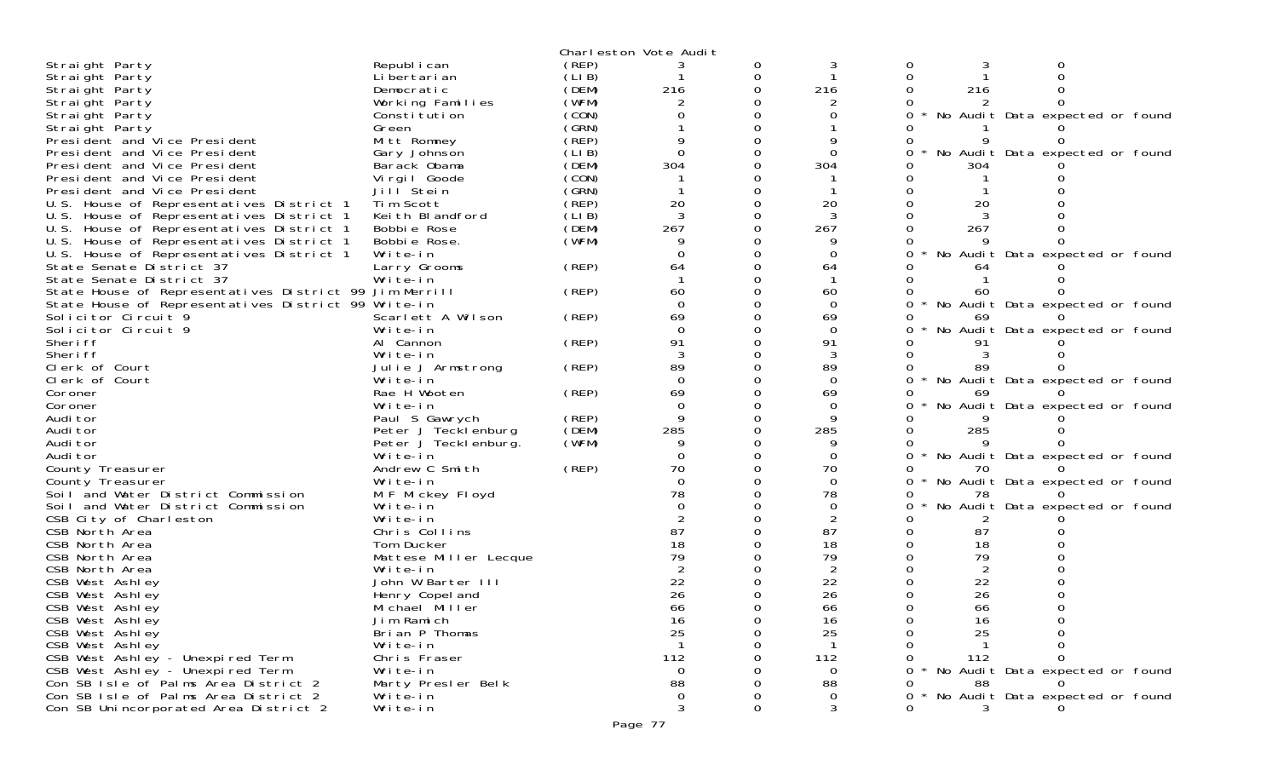| 3<br>Straight Party<br>0<br>(LIB)<br>Straight Party<br>Li bertari an<br>216<br>(DEM)<br>216<br>216<br>Straight Party<br>Democratic<br>(WFM)<br>Working Families<br>Straight Party<br>(CON)<br>No Audit Data expected or found<br>Straight Party<br>Constitution<br>(GRN)<br>Green<br>Straight Party<br>(REP)<br>Mitt Romney<br>President and Vice President<br>(LIB)<br>$\Omega$<br>No Audit Data expected or found<br>President and Vice President<br>Gary Johnson<br>304<br>304<br>(DEM)<br>President and Vice President<br>Barack Obama<br>304<br>(CON)<br>President and Vice President<br>Vi rgi I Goode<br>(GRN)<br>Jill Stein<br>President and Vice President<br>Tim Scott<br>(REP)<br>20<br>U.S. House of Representatives District 1<br>20<br>20<br>(LIB)<br>3<br>U.S. House of Representatives District 1<br>Keith Blandford<br>267<br>(DEM)<br>267<br>U.S. House of Representatives District 1<br>Bobbie Rose<br>267<br>(WFM)<br>U.S. House of Representatives District 1<br>Bobbie Rose.<br>Write-in<br>U.S. House of Representatives District 1<br>No Audit Data expected or found<br>0<br>(REP)<br>State Senate District 37<br>64<br>64<br>Larry Grooms<br>64<br>State Senate District 37<br>Write-in<br>State House of Representatives District 99 Jim Merrill<br>(REP)<br>60<br>60<br>60<br>State House of Representatives District 99 Write-in<br>$\Omega$<br>$\star$<br>No Audit Data expected or found<br>$\Omega$<br>69<br>Solicitor Circuit 9<br>Scarlett A Wilson<br>(REP)<br>69<br>69<br>$\Omega$<br>Solicitor Circuit 9<br>$\Omega$<br>Write-in<br>No Audit Data expected or found<br>91<br>91<br>Al Cannon<br>(REP)<br>Sheri ff<br>Sheri ff<br>Write-in<br>89<br>(REP)<br>89<br>Clerk of Court<br>Julie J Armstrong<br>89<br>$\Omega$<br>$\Omega$<br>$\star$<br>No Audit Data expected or found<br>Clerk of Court<br>Write-in<br>69<br>Rae H Wooten<br>(REP)<br>69<br>Coroner<br>$\Omega$<br>$\Omega$<br>No Audit Data expected or found<br>Coroner<br>Write-in<br>9<br>Audi tor<br>Paul S Gawrych<br>(REP)<br>9<br>(DEM)<br>285<br>Audi tor<br>Peter J Tecklenburg<br>285<br>285<br>(WFM)<br>9<br>Audi tor<br>Peter J Tecklenburg.<br>Audi tor<br>No Audit Data expected or found<br>Write-in<br>$\Omega$<br>0<br>(REP)<br>70<br>70<br>County Treasurer<br>Andrew C Smith<br>$\Omega$<br>Write-in<br>$\Omega$<br>County Treasurer<br>* No Audit Data expected or found<br>0<br>78<br>78<br>Soil and Water District Commission<br>M F Mickey Floyd<br>78<br>No Audit Data expected or found<br>$\Omega$<br>Soil and Water District Commission<br>Write-in<br>$\overline{2}$<br>CSB City of Charleston<br>Write-in<br>87<br>87<br>87<br>CSB North Area<br>Chris Collins<br>18<br>18<br>18<br>CSB North Area<br>Tom Ducker<br>79<br>79<br>79<br>CSB North Area<br>Mattese Miller Lecque<br>CSB North Area<br>Write-in<br>22<br>22<br>22<br>CSB West Ashley<br>John W Barter III<br>26<br>26<br>26<br>CSB West Ashley<br>Henry Copel and<br>66<br>66<br>66<br>CSB West Ashley<br>Michael Miller<br>CSB West Ashley<br>Jim Ramich<br>16<br>16<br>16<br>25<br>25<br>25<br>CSB West Ashley<br>Brian P Thomas<br>CSB West Ashley<br>Write-in<br>CSB West Ashley - Unexpired Term<br>112<br>112<br>112<br>Chris Fraser<br>CSB West Ashley - Unexpired Term<br>Write-in<br>0<br>* No Audit Data expected or found<br>0<br>0<br>Con SB Isle of Palms Area District 2<br>88<br>Marty Presler Belk<br>88<br>88<br>0<br>Con SB Isle of Palms Area District 2<br>* No Audit Data expected or found<br>Write-in<br>0<br>0<br>0<br>3<br>3<br>Con SB Unincorporated Area District 2<br>Write-in<br>Ω |              |       | Charleston Vote Audit |  |  |  |
|------------------------------------------------------------------------------------------------------------------------------------------------------------------------------------------------------------------------------------------------------------------------------------------------------------------------------------------------------------------------------------------------------------------------------------------------------------------------------------------------------------------------------------------------------------------------------------------------------------------------------------------------------------------------------------------------------------------------------------------------------------------------------------------------------------------------------------------------------------------------------------------------------------------------------------------------------------------------------------------------------------------------------------------------------------------------------------------------------------------------------------------------------------------------------------------------------------------------------------------------------------------------------------------------------------------------------------------------------------------------------------------------------------------------------------------------------------------------------------------------------------------------------------------------------------------------------------------------------------------------------------------------------------------------------------------------------------------------------------------------------------------------------------------------------------------------------------------------------------------------------------------------------------------------------------------------------------------------------------------------------------------------------------------------------------------------------------------------------------------------------------------------------------------------------------------------------------------------------------------------------------------------------------------------------------------------------------------------------------------------------------------------------------------------------------------------------------------------------------------------------------------------------------------------------------------------------------------------------------------------------------------------------------------------------------------------------------------------------------------------------------------------------------------------------------------------------------------------------------------------------------------------------------------------------------------------------------------------------------------------------------------------------------------------------------------------------------------------------------------------------------------------------------------------------------------------------------------------------------------------------------------------------------------------------------------------------------------------------------------------------------------------------------------------------------------------------------------------------------------------------------------------------------------------------------------------------------------------------------|--------------|-------|-----------------------|--|--|--|
|                                                                                                                                                                                                                                                                                                                                                                                                                                                                                                                                                                                                                                                                                                                                                                                                                                                                                                                                                                                                                                                                                                                                                                                                                                                                                                                                                                                                                                                                                                                                                                                                                                                                                                                                                                                                                                                                                                                                                                                                                                                                                                                                                                                                                                                                                                                                                                                                                                                                                                                                                                                                                                                                                                                                                                                                                                                                                                                                                                                                                                                                                                                                                                                                                                                                                                                                                                                                                                                                                                                                                                                                            | Republ i can | (REP) |                       |  |  |  |
|                                                                                                                                                                                                                                                                                                                                                                                                                                                                                                                                                                                                                                                                                                                                                                                                                                                                                                                                                                                                                                                                                                                                                                                                                                                                                                                                                                                                                                                                                                                                                                                                                                                                                                                                                                                                                                                                                                                                                                                                                                                                                                                                                                                                                                                                                                                                                                                                                                                                                                                                                                                                                                                                                                                                                                                                                                                                                                                                                                                                                                                                                                                                                                                                                                                                                                                                                                                                                                                                                                                                                                                                            |              |       |                       |  |  |  |
|                                                                                                                                                                                                                                                                                                                                                                                                                                                                                                                                                                                                                                                                                                                                                                                                                                                                                                                                                                                                                                                                                                                                                                                                                                                                                                                                                                                                                                                                                                                                                                                                                                                                                                                                                                                                                                                                                                                                                                                                                                                                                                                                                                                                                                                                                                                                                                                                                                                                                                                                                                                                                                                                                                                                                                                                                                                                                                                                                                                                                                                                                                                                                                                                                                                                                                                                                                                                                                                                                                                                                                                                            |              |       |                       |  |  |  |
|                                                                                                                                                                                                                                                                                                                                                                                                                                                                                                                                                                                                                                                                                                                                                                                                                                                                                                                                                                                                                                                                                                                                                                                                                                                                                                                                                                                                                                                                                                                                                                                                                                                                                                                                                                                                                                                                                                                                                                                                                                                                                                                                                                                                                                                                                                                                                                                                                                                                                                                                                                                                                                                                                                                                                                                                                                                                                                                                                                                                                                                                                                                                                                                                                                                                                                                                                                                                                                                                                                                                                                                                            |              |       |                       |  |  |  |
|                                                                                                                                                                                                                                                                                                                                                                                                                                                                                                                                                                                                                                                                                                                                                                                                                                                                                                                                                                                                                                                                                                                                                                                                                                                                                                                                                                                                                                                                                                                                                                                                                                                                                                                                                                                                                                                                                                                                                                                                                                                                                                                                                                                                                                                                                                                                                                                                                                                                                                                                                                                                                                                                                                                                                                                                                                                                                                                                                                                                                                                                                                                                                                                                                                                                                                                                                                                                                                                                                                                                                                                                            |              |       |                       |  |  |  |
|                                                                                                                                                                                                                                                                                                                                                                                                                                                                                                                                                                                                                                                                                                                                                                                                                                                                                                                                                                                                                                                                                                                                                                                                                                                                                                                                                                                                                                                                                                                                                                                                                                                                                                                                                                                                                                                                                                                                                                                                                                                                                                                                                                                                                                                                                                                                                                                                                                                                                                                                                                                                                                                                                                                                                                                                                                                                                                                                                                                                                                                                                                                                                                                                                                                                                                                                                                                                                                                                                                                                                                                                            |              |       |                       |  |  |  |
|                                                                                                                                                                                                                                                                                                                                                                                                                                                                                                                                                                                                                                                                                                                                                                                                                                                                                                                                                                                                                                                                                                                                                                                                                                                                                                                                                                                                                                                                                                                                                                                                                                                                                                                                                                                                                                                                                                                                                                                                                                                                                                                                                                                                                                                                                                                                                                                                                                                                                                                                                                                                                                                                                                                                                                                                                                                                                                                                                                                                                                                                                                                                                                                                                                                                                                                                                                                                                                                                                                                                                                                                            |              |       |                       |  |  |  |
|                                                                                                                                                                                                                                                                                                                                                                                                                                                                                                                                                                                                                                                                                                                                                                                                                                                                                                                                                                                                                                                                                                                                                                                                                                                                                                                                                                                                                                                                                                                                                                                                                                                                                                                                                                                                                                                                                                                                                                                                                                                                                                                                                                                                                                                                                                                                                                                                                                                                                                                                                                                                                                                                                                                                                                                                                                                                                                                                                                                                                                                                                                                                                                                                                                                                                                                                                                                                                                                                                                                                                                                                            |              |       |                       |  |  |  |
|                                                                                                                                                                                                                                                                                                                                                                                                                                                                                                                                                                                                                                                                                                                                                                                                                                                                                                                                                                                                                                                                                                                                                                                                                                                                                                                                                                                                                                                                                                                                                                                                                                                                                                                                                                                                                                                                                                                                                                                                                                                                                                                                                                                                                                                                                                                                                                                                                                                                                                                                                                                                                                                                                                                                                                                                                                                                                                                                                                                                                                                                                                                                                                                                                                                                                                                                                                                                                                                                                                                                                                                                            |              |       |                       |  |  |  |
|                                                                                                                                                                                                                                                                                                                                                                                                                                                                                                                                                                                                                                                                                                                                                                                                                                                                                                                                                                                                                                                                                                                                                                                                                                                                                                                                                                                                                                                                                                                                                                                                                                                                                                                                                                                                                                                                                                                                                                                                                                                                                                                                                                                                                                                                                                                                                                                                                                                                                                                                                                                                                                                                                                                                                                                                                                                                                                                                                                                                                                                                                                                                                                                                                                                                                                                                                                                                                                                                                                                                                                                                            |              |       |                       |  |  |  |
|                                                                                                                                                                                                                                                                                                                                                                                                                                                                                                                                                                                                                                                                                                                                                                                                                                                                                                                                                                                                                                                                                                                                                                                                                                                                                                                                                                                                                                                                                                                                                                                                                                                                                                                                                                                                                                                                                                                                                                                                                                                                                                                                                                                                                                                                                                                                                                                                                                                                                                                                                                                                                                                                                                                                                                                                                                                                                                                                                                                                                                                                                                                                                                                                                                                                                                                                                                                                                                                                                                                                                                                                            |              |       |                       |  |  |  |
|                                                                                                                                                                                                                                                                                                                                                                                                                                                                                                                                                                                                                                                                                                                                                                                                                                                                                                                                                                                                                                                                                                                                                                                                                                                                                                                                                                                                                                                                                                                                                                                                                                                                                                                                                                                                                                                                                                                                                                                                                                                                                                                                                                                                                                                                                                                                                                                                                                                                                                                                                                                                                                                                                                                                                                                                                                                                                                                                                                                                                                                                                                                                                                                                                                                                                                                                                                                                                                                                                                                                                                                                            |              |       |                       |  |  |  |
|                                                                                                                                                                                                                                                                                                                                                                                                                                                                                                                                                                                                                                                                                                                                                                                                                                                                                                                                                                                                                                                                                                                                                                                                                                                                                                                                                                                                                                                                                                                                                                                                                                                                                                                                                                                                                                                                                                                                                                                                                                                                                                                                                                                                                                                                                                                                                                                                                                                                                                                                                                                                                                                                                                                                                                                                                                                                                                                                                                                                                                                                                                                                                                                                                                                                                                                                                                                                                                                                                                                                                                                                            |              |       |                       |  |  |  |
|                                                                                                                                                                                                                                                                                                                                                                                                                                                                                                                                                                                                                                                                                                                                                                                                                                                                                                                                                                                                                                                                                                                                                                                                                                                                                                                                                                                                                                                                                                                                                                                                                                                                                                                                                                                                                                                                                                                                                                                                                                                                                                                                                                                                                                                                                                                                                                                                                                                                                                                                                                                                                                                                                                                                                                                                                                                                                                                                                                                                                                                                                                                                                                                                                                                                                                                                                                                                                                                                                                                                                                                                            |              |       |                       |  |  |  |
|                                                                                                                                                                                                                                                                                                                                                                                                                                                                                                                                                                                                                                                                                                                                                                                                                                                                                                                                                                                                                                                                                                                                                                                                                                                                                                                                                                                                                                                                                                                                                                                                                                                                                                                                                                                                                                                                                                                                                                                                                                                                                                                                                                                                                                                                                                                                                                                                                                                                                                                                                                                                                                                                                                                                                                                                                                                                                                                                                                                                                                                                                                                                                                                                                                                                                                                                                                                                                                                                                                                                                                                                            |              |       |                       |  |  |  |
|                                                                                                                                                                                                                                                                                                                                                                                                                                                                                                                                                                                                                                                                                                                                                                                                                                                                                                                                                                                                                                                                                                                                                                                                                                                                                                                                                                                                                                                                                                                                                                                                                                                                                                                                                                                                                                                                                                                                                                                                                                                                                                                                                                                                                                                                                                                                                                                                                                                                                                                                                                                                                                                                                                                                                                                                                                                                                                                                                                                                                                                                                                                                                                                                                                                                                                                                                                                                                                                                                                                                                                                                            |              |       |                       |  |  |  |
|                                                                                                                                                                                                                                                                                                                                                                                                                                                                                                                                                                                                                                                                                                                                                                                                                                                                                                                                                                                                                                                                                                                                                                                                                                                                                                                                                                                                                                                                                                                                                                                                                                                                                                                                                                                                                                                                                                                                                                                                                                                                                                                                                                                                                                                                                                                                                                                                                                                                                                                                                                                                                                                                                                                                                                                                                                                                                                                                                                                                                                                                                                                                                                                                                                                                                                                                                                                                                                                                                                                                                                                                            |              |       |                       |  |  |  |
|                                                                                                                                                                                                                                                                                                                                                                                                                                                                                                                                                                                                                                                                                                                                                                                                                                                                                                                                                                                                                                                                                                                                                                                                                                                                                                                                                                                                                                                                                                                                                                                                                                                                                                                                                                                                                                                                                                                                                                                                                                                                                                                                                                                                                                                                                                                                                                                                                                                                                                                                                                                                                                                                                                                                                                                                                                                                                                                                                                                                                                                                                                                                                                                                                                                                                                                                                                                                                                                                                                                                                                                                            |              |       |                       |  |  |  |
|                                                                                                                                                                                                                                                                                                                                                                                                                                                                                                                                                                                                                                                                                                                                                                                                                                                                                                                                                                                                                                                                                                                                                                                                                                                                                                                                                                                                                                                                                                                                                                                                                                                                                                                                                                                                                                                                                                                                                                                                                                                                                                                                                                                                                                                                                                                                                                                                                                                                                                                                                                                                                                                                                                                                                                                                                                                                                                                                                                                                                                                                                                                                                                                                                                                                                                                                                                                                                                                                                                                                                                                                            |              |       |                       |  |  |  |
|                                                                                                                                                                                                                                                                                                                                                                                                                                                                                                                                                                                                                                                                                                                                                                                                                                                                                                                                                                                                                                                                                                                                                                                                                                                                                                                                                                                                                                                                                                                                                                                                                                                                                                                                                                                                                                                                                                                                                                                                                                                                                                                                                                                                                                                                                                                                                                                                                                                                                                                                                                                                                                                                                                                                                                                                                                                                                                                                                                                                                                                                                                                                                                                                                                                                                                                                                                                                                                                                                                                                                                                                            |              |       |                       |  |  |  |
|                                                                                                                                                                                                                                                                                                                                                                                                                                                                                                                                                                                                                                                                                                                                                                                                                                                                                                                                                                                                                                                                                                                                                                                                                                                                                                                                                                                                                                                                                                                                                                                                                                                                                                                                                                                                                                                                                                                                                                                                                                                                                                                                                                                                                                                                                                                                                                                                                                                                                                                                                                                                                                                                                                                                                                                                                                                                                                                                                                                                                                                                                                                                                                                                                                                                                                                                                                                                                                                                                                                                                                                                            |              |       |                       |  |  |  |
|                                                                                                                                                                                                                                                                                                                                                                                                                                                                                                                                                                                                                                                                                                                                                                                                                                                                                                                                                                                                                                                                                                                                                                                                                                                                                                                                                                                                                                                                                                                                                                                                                                                                                                                                                                                                                                                                                                                                                                                                                                                                                                                                                                                                                                                                                                                                                                                                                                                                                                                                                                                                                                                                                                                                                                                                                                                                                                                                                                                                                                                                                                                                                                                                                                                                                                                                                                                                                                                                                                                                                                                                            |              |       |                       |  |  |  |
|                                                                                                                                                                                                                                                                                                                                                                                                                                                                                                                                                                                                                                                                                                                                                                                                                                                                                                                                                                                                                                                                                                                                                                                                                                                                                                                                                                                                                                                                                                                                                                                                                                                                                                                                                                                                                                                                                                                                                                                                                                                                                                                                                                                                                                                                                                                                                                                                                                                                                                                                                                                                                                                                                                                                                                                                                                                                                                                                                                                                                                                                                                                                                                                                                                                                                                                                                                                                                                                                                                                                                                                                            |              |       |                       |  |  |  |
|                                                                                                                                                                                                                                                                                                                                                                                                                                                                                                                                                                                                                                                                                                                                                                                                                                                                                                                                                                                                                                                                                                                                                                                                                                                                                                                                                                                                                                                                                                                                                                                                                                                                                                                                                                                                                                                                                                                                                                                                                                                                                                                                                                                                                                                                                                                                                                                                                                                                                                                                                                                                                                                                                                                                                                                                                                                                                                                                                                                                                                                                                                                                                                                                                                                                                                                                                                                                                                                                                                                                                                                                            |              |       |                       |  |  |  |
|                                                                                                                                                                                                                                                                                                                                                                                                                                                                                                                                                                                                                                                                                                                                                                                                                                                                                                                                                                                                                                                                                                                                                                                                                                                                                                                                                                                                                                                                                                                                                                                                                                                                                                                                                                                                                                                                                                                                                                                                                                                                                                                                                                                                                                                                                                                                                                                                                                                                                                                                                                                                                                                                                                                                                                                                                                                                                                                                                                                                                                                                                                                                                                                                                                                                                                                                                                                                                                                                                                                                                                                                            |              |       |                       |  |  |  |
|                                                                                                                                                                                                                                                                                                                                                                                                                                                                                                                                                                                                                                                                                                                                                                                                                                                                                                                                                                                                                                                                                                                                                                                                                                                                                                                                                                                                                                                                                                                                                                                                                                                                                                                                                                                                                                                                                                                                                                                                                                                                                                                                                                                                                                                                                                                                                                                                                                                                                                                                                                                                                                                                                                                                                                                                                                                                                                                                                                                                                                                                                                                                                                                                                                                                                                                                                                                                                                                                                                                                                                                                            |              |       |                       |  |  |  |
|                                                                                                                                                                                                                                                                                                                                                                                                                                                                                                                                                                                                                                                                                                                                                                                                                                                                                                                                                                                                                                                                                                                                                                                                                                                                                                                                                                                                                                                                                                                                                                                                                                                                                                                                                                                                                                                                                                                                                                                                                                                                                                                                                                                                                                                                                                                                                                                                                                                                                                                                                                                                                                                                                                                                                                                                                                                                                                                                                                                                                                                                                                                                                                                                                                                                                                                                                                                                                                                                                                                                                                                                            |              |       |                       |  |  |  |
|                                                                                                                                                                                                                                                                                                                                                                                                                                                                                                                                                                                                                                                                                                                                                                                                                                                                                                                                                                                                                                                                                                                                                                                                                                                                                                                                                                                                                                                                                                                                                                                                                                                                                                                                                                                                                                                                                                                                                                                                                                                                                                                                                                                                                                                                                                                                                                                                                                                                                                                                                                                                                                                                                                                                                                                                                                                                                                                                                                                                                                                                                                                                                                                                                                                                                                                                                                                                                                                                                                                                                                                                            |              |       |                       |  |  |  |
|                                                                                                                                                                                                                                                                                                                                                                                                                                                                                                                                                                                                                                                                                                                                                                                                                                                                                                                                                                                                                                                                                                                                                                                                                                                                                                                                                                                                                                                                                                                                                                                                                                                                                                                                                                                                                                                                                                                                                                                                                                                                                                                                                                                                                                                                                                                                                                                                                                                                                                                                                                                                                                                                                                                                                                                                                                                                                                                                                                                                                                                                                                                                                                                                                                                                                                                                                                                                                                                                                                                                                                                                            |              |       |                       |  |  |  |
|                                                                                                                                                                                                                                                                                                                                                                                                                                                                                                                                                                                                                                                                                                                                                                                                                                                                                                                                                                                                                                                                                                                                                                                                                                                                                                                                                                                                                                                                                                                                                                                                                                                                                                                                                                                                                                                                                                                                                                                                                                                                                                                                                                                                                                                                                                                                                                                                                                                                                                                                                                                                                                                                                                                                                                                                                                                                                                                                                                                                                                                                                                                                                                                                                                                                                                                                                                                                                                                                                                                                                                                                            |              |       |                       |  |  |  |
|                                                                                                                                                                                                                                                                                                                                                                                                                                                                                                                                                                                                                                                                                                                                                                                                                                                                                                                                                                                                                                                                                                                                                                                                                                                                                                                                                                                                                                                                                                                                                                                                                                                                                                                                                                                                                                                                                                                                                                                                                                                                                                                                                                                                                                                                                                                                                                                                                                                                                                                                                                                                                                                                                                                                                                                                                                                                                                                                                                                                                                                                                                                                                                                                                                                                                                                                                                                                                                                                                                                                                                                                            |              |       |                       |  |  |  |
|                                                                                                                                                                                                                                                                                                                                                                                                                                                                                                                                                                                                                                                                                                                                                                                                                                                                                                                                                                                                                                                                                                                                                                                                                                                                                                                                                                                                                                                                                                                                                                                                                                                                                                                                                                                                                                                                                                                                                                                                                                                                                                                                                                                                                                                                                                                                                                                                                                                                                                                                                                                                                                                                                                                                                                                                                                                                                                                                                                                                                                                                                                                                                                                                                                                                                                                                                                                                                                                                                                                                                                                                            |              |       |                       |  |  |  |
|                                                                                                                                                                                                                                                                                                                                                                                                                                                                                                                                                                                                                                                                                                                                                                                                                                                                                                                                                                                                                                                                                                                                                                                                                                                                                                                                                                                                                                                                                                                                                                                                                                                                                                                                                                                                                                                                                                                                                                                                                                                                                                                                                                                                                                                                                                                                                                                                                                                                                                                                                                                                                                                                                                                                                                                                                                                                                                                                                                                                                                                                                                                                                                                                                                                                                                                                                                                                                                                                                                                                                                                                            |              |       |                       |  |  |  |
|                                                                                                                                                                                                                                                                                                                                                                                                                                                                                                                                                                                                                                                                                                                                                                                                                                                                                                                                                                                                                                                                                                                                                                                                                                                                                                                                                                                                                                                                                                                                                                                                                                                                                                                                                                                                                                                                                                                                                                                                                                                                                                                                                                                                                                                                                                                                                                                                                                                                                                                                                                                                                                                                                                                                                                                                                                                                                                                                                                                                                                                                                                                                                                                                                                                                                                                                                                                                                                                                                                                                                                                                            |              |       |                       |  |  |  |
|                                                                                                                                                                                                                                                                                                                                                                                                                                                                                                                                                                                                                                                                                                                                                                                                                                                                                                                                                                                                                                                                                                                                                                                                                                                                                                                                                                                                                                                                                                                                                                                                                                                                                                                                                                                                                                                                                                                                                                                                                                                                                                                                                                                                                                                                                                                                                                                                                                                                                                                                                                                                                                                                                                                                                                                                                                                                                                                                                                                                                                                                                                                                                                                                                                                                                                                                                                                                                                                                                                                                                                                                            |              |       |                       |  |  |  |
|                                                                                                                                                                                                                                                                                                                                                                                                                                                                                                                                                                                                                                                                                                                                                                                                                                                                                                                                                                                                                                                                                                                                                                                                                                                                                                                                                                                                                                                                                                                                                                                                                                                                                                                                                                                                                                                                                                                                                                                                                                                                                                                                                                                                                                                                                                                                                                                                                                                                                                                                                                                                                                                                                                                                                                                                                                                                                                                                                                                                                                                                                                                                                                                                                                                                                                                                                                                                                                                                                                                                                                                                            |              |       |                       |  |  |  |
|                                                                                                                                                                                                                                                                                                                                                                                                                                                                                                                                                                                                                                                                                                                                                                                                                                                                                                                                                                                                                                                                                                                                                                                                                                                                                                                                                                                                                                                                                                                                                                                                                                                                                                                                                                                                                                                                                                                                                                                                                                                                                                                                                                                                                                                                                                                                                                                                                                                                                                                                                                                                                                                                                                                                                                                                                                                                                                                                                                                                                                                                                                                                                                                                                                                                                                                                                                                                                                                                                                                                                                                                            |              |       |                       |  |  |  |
|                                                                                                                                                                                                                                                                                                                                                                                                                                                                                                                                                                                                                                                                                                                                                                                                                                                                                                                                                                                                                                                                                                                                                                                                                                                                                                                                                                                                                                                                                                                                                                                                                                                                                                                                                                                                                                                                                                                                                                                                                                                                                                                                                                                                                                                                                                                                                                                                                                                                                                                                                                                                                                                                                                                                                                                                                                                                                                                                                                                                                                                                                                                                                                                                                                                                                                                                                                                                                                                                                                                                                                                                            |              |       |                       |  |  |  |
|                                                                                                                                                                                                                                                                                                                                                                                                                                                                                                                                                                                                                                                                                                                                                                                                                                                                                                                                                                                                                                                                                                                                                                                                                                                                                                                                                                                                                                                                                                                                                                                                                                                                                                                                                                                                                                                                                                                                                                                                                                                                                                                                                                                                                                                                                                                                                                                                                                                                                                                                                                                                                                                                                                                                                                                                                                                                                                                                                                                                                                                                                                                                                                                                                                                                                                                                                                                                                                                                                                                                                                                                            |              |       |                       |  |  |  |
|                                                                                                                                                                                                                                                                                                                                                                                                                                                                                                                                                                                                                                                                                                                                                                                                                                                                                                                                                                                                                                                                                                                                                                                                                                                                                                                                                                                                                                                                                                                                                                                                                                                                                                                                                                                                                                                                                                                                                                                                                                                                                                                                                                                                                                                                                                                                                                                                                                                                                                                                                                                                                                                                                                                                                                                                                                                                                                                                                                                                                                                                                                                                                                                                                                                                                                                                                                                                                                                                                                                                                                                                            |              |       |                       |  |  |  |
|                                                                                                                                                                                                                                                                                                                                                                                                                                                                                                                                                                                                                                                                                                                                                                                                                                                                                                                                                                                                                                                                                                                                                                                                                                                                                                                                                                                                                                                                                                                                                                                                                                                                                                                                                                                                                                                                                                                                                                                                                                                                                                                                                                                                                                                                                                                                                                                                                                                                                                                                                                                                                                                                                                                                                                                                                                                                                                                                                                                                                                                                                                                                                                                                                                                                                                                                                                                                                                                                                                                                                                                                            |              |       |                       |  |  |  |
|                                                                                                                                                                                                                                                                                                                                                                                                                                                                                                                                                                                                                                                                                                                                                                                                                                                                                                                                                                                                                                                                                                                                                                                                                                                                                                                                                                                                                                                                                                                                                                                                                                                                                                                                                                                                                                                                                                                                                                                                                                                                                                                                                                                                                                                                                                                                                                                                                                                                                                                                                                                                                                                                                                                                                                                                                                                                                                                                                                                                                                                                                                                                                                                                                                                                                                                                                                                                                                                                                                                                                                                                            |              |       |                       |  |  |  |
|                                                                                                                                                                                                                                                                                                                                                                                                                                                                                                                                                                                                                                                                                                                                                                                                                                                                                                                                                                                                                                                                                                                                                                                                                                                                                                                                                                                                                                                                                                                                                                                                                                                                                                                                                                                                                                                                                                                                                                                                                                                                                                                                                                                                                                                                                                                                                                                                                                                                                                                                                                                                                                                                                                                                                                                                                                                                                                                                                                                                                                                                                                                                                                                                                                                                                                                                                                                                                                                                                                                                                                                                            |              |       |                       |  |  |  |
|                                                                                                                                                                                                                                                                                                                                                                                                                                                                                                                                                                                                                                                                                                                                                                                                                                                                                                                                                                                                                                                                                                                                                                                                                                                                                                                                                                                                                                                                                                                                                                                                                                                                                                                                                                                                                                                                                                                                                                                                                                                                                                                                                                                                                                                                                                                                                                                                                                                                                                                                                                                                                                                                                                                                                                                                                                                                                                                                                                                                                                                                                                                                                                                                                                                                                                                                                                                                                                                                                                                                                                                                            |              |       |                       |  |  |  |
|                                                                                                                                                                                                                                                                                                                                                                                                                                                                                                                                                                                                                                                                                                                                                                                                                                                                                                                                                                                                                                                                                                                                                                                                                                                                                                                                                                                                                                                                                                                                                                                                                                                                                                                                                                                                                                                                                                                                                                                                                                                                                                                                                                                                                                                                                                                                                                                                                                                                                                                                                                                                                                                                                                                                                                                                                                                                                                                                                                                                                                                                                                                                                                                                                                                                                                                                                                                                                                                                                                                                                                                                            |              |       |                       |  |  |  |
|                                                                                                                                                                                                                                                                                                                                                                                                                                                                                                                                                                                                                                                                                                                                                                                                                                                                                                                                                                                                                                                                                                                                                                                                                                                                                                                                                                                                                                                                                                                                                                                                                                                                                                                                                                                                                                                                                                                                                                                                                                                                                                                                                                                                                                                                                                                                                                                                                                                                                                                                                                                                                                                                                                                                                                                                                                                                                                                                                                                                                                                                                                                                                                                                                                                                                                                                                                                                                                                                                                                                                                                                            |              |       |                       |  |  |  |
|                                                                                                                                                                                                                                                                                                                                                                                                                                                                                                                                                                                                                                                                                                                                                                                                                                                                                                                                                                                                                                                                                                                                                                                                                                                                                                                                                                                                                                                                                                                                                                                                                                                                                                                                                                                                                                                                                                                                                                                                                                                                                                                                                                                                                                                                                                                                                                                                                                                                                                                                                                                                                                                                                                                                                                                                                                                                                                                                                                                                                                                                                                                                                                                                                                                                                                                                                                                                                                                                                                                                                                                                            |              |       |                       |  |  |  |
|                                                                                                                                                                                                                                                                                                                                                                                                                                                                                                                                                                                                                                                                                                                                                                                                                                                                                                                                                                                                                                                                                                                                                                                                                                                                                                                                                                                                                                                                                                                                                                                                                                                                                                                                                                                                                                                                                                                                                                                                                                                                                                                                                                                                                                                                                                                                                                                                                                                                                                                                                                                                                                                                                                                                                                                                                                                                                                                                                                                                                                                                                                                                                                                                                                                                                                                                                                                                                                                                                                                                                                                                            |              |       |                       |  |  |  |
|                                                                                                                                                                                                                                                                                                                                                                                                                                                                                                                                                                                                                                                                                                                                                                                                                                                                                                                                                                                                                                                                                                                                                                                                                                                                                                                                                                                                                                                                                                                                                                                                                                                                                                                                                                                                                                                                                                                                                                                                                                                                                                                                                                                                                                                                                                                                                                                                                                                                                                                                                                                                                                                                                                                                                                                                                                                                                                                                                                                                                                                                                                                                                                                                                                                                                                                                                                                                                                                                                                                                                                                                            |              |       |                       |  |  |  |
|                                                                                                                                                                                                                                                                                                                                                                                                                                                                                                                                                                                                                                                                                                                                                                                                                                                                                                                                                                                                                                                                                                                                                                                                                                                                                                                                                                                                                                                                                                                                                                                                                                                                                                                                                                                                                                                                                                                                                                                                                                                                                                                                                                                                                                                                                                                                                                                                                                                                                                                                                                                                                                                                                                                                                                                                                                                                                                                                                                                                                                                                                                                                                                                                                                                                                                                                                                                                                                                                                                                                                                                                            |              |       |                       |  |  |  |
|                                                                                                                                                                                                                                                                                                                                                                                                                                                                                                                                                                                                                                                                                                                                                                                                                                                                                                                                                                                                                                                                                                                                                                                                                                                                                                                                                                                                                                                                                                                                                                                                                                                                                                                                                                                                                                                                                                                                                                                                                                                                                                                                                                                                                                                                                                                                                                                                                                                                                                                                                                                                                                                                                                                                                                                                                                                                                                                                                                                                                                                                                                                                                                                                                                                                                                                                                                                                                                                                                                                                                                                                            |              |       |                       |  |  |  |
|                                                                                                                                                                                                                                                                                                                                                                                                                                                                                                                                                                                                                                                                                                                                                                                                                                                                                                                                                                                                                                                                                                                                                                                                                                                                                                                                                                                                                                                                                                                                                                                                                                                                                                                                                                                                                                                                                                                                                                                                                                                                                                                                                                                                                                                                                                                                                                                                                                                                                                                                                                                                                                                                                                                                                                                                                                                                                                                                                                                                                                                                                                                                                                                                                                                                                                                                                                                                                                                                                                                                                                                                            |              |       |                       |  |  |  |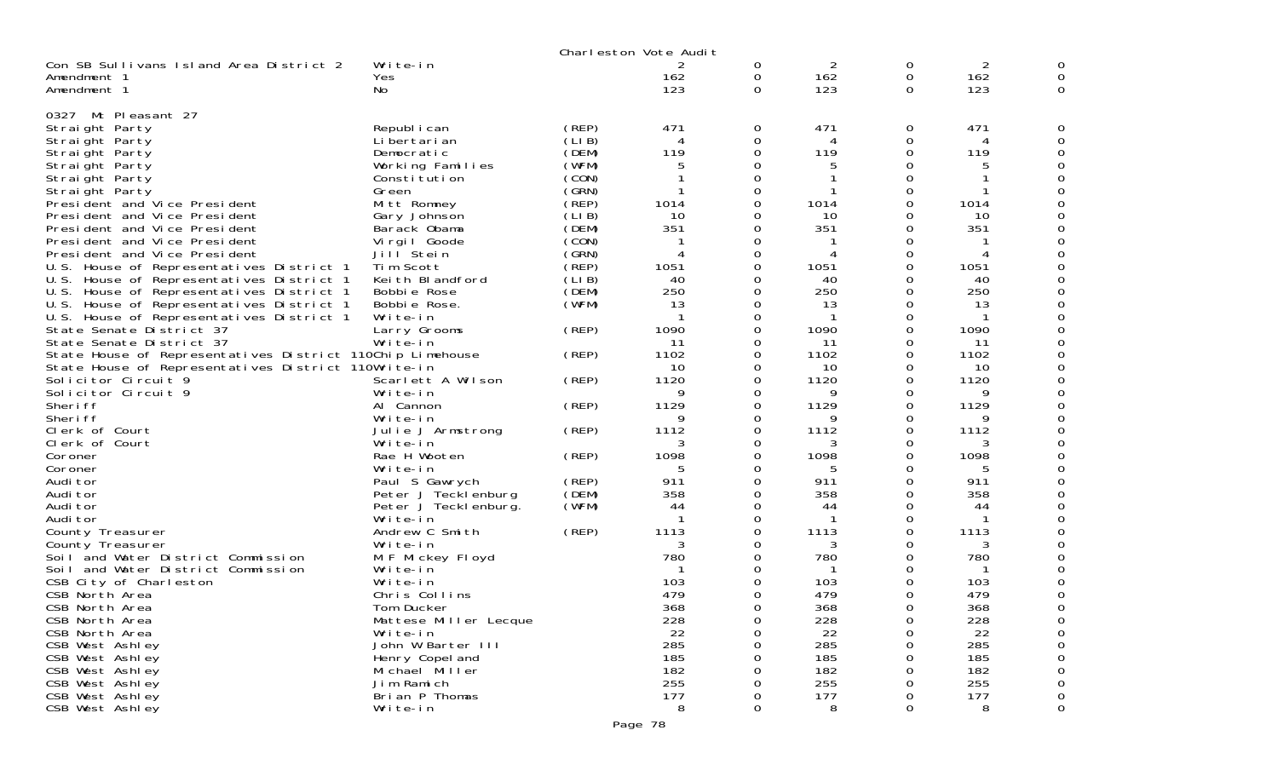|                                                                                                                  |                               |        | Charleston Vote Audit |             |                 |                    |                 |                    |
|------------------------------------------------------------------------------------------------------------------|-------------------------------|--------|-----------------------|-------------|-----------------|--------------------|-----------------|--------------------|
| Con SB Sullivans Island Area District 2<br>Amendment 1<br>Amendment 1                                            | Write-in<br>Yes<br>No.        |        | 2<br>162<br>123       | 0<br>0<br>0 | 2<br>162<br>123 | 0<br>0<br>$\Omega$ | 2<br>162<br>123 | 0<br>0<br>$\Omega$ |
| Mt Pleasant 27<br>0327                                                                                           |                               |        |                       |             |                 |                    |                 |                    |
| Straight Party                                                                                                   | Republ i can                  | (REP)  | 471                   | 0           | 471             | 0                  | 471             | 0                  |
| Straight Party                                                                                                   | Li bertari an                 | (LIB)  | 4                     | $\Omega$    | 4               | 0                  |                 |                    |
| Straight Party                                                                                                   | Democratic                    | (DEM)  | 119                   | 0           | 119             | 0                  | 119             |                    |
| Straight Party                                                                                                   | Working Families              | (WFM)  | 5                     | 0           |                 | 0                  | 5               | 0                  |
| Straight Party                                                                                                   | Constitution                  | (CON)  |                       | $\Omega$    |                 | $\Omega$           |                 |                    |
| Straight Party                                                                                                   | Green                         | (GRN)  |                       | O           |                 | 0                  |                 |                    |
| President and Vice President                                                                                     | Mitt Romney                   | (REP)  | 1014                  | O           | 1014            | O                  | 1014            | 0                  |
| President and Vice President                                                                                     | Gary Johnson                  | (LI B) | 10                    | O           | 10              | 0                  | 10              |                    |
| President and Vice President                                                                                     | Barack Obama                  | (DEM)  | 351                   | 0           | 351             | 0                  | 351             |                    |
| President and Vice President                                                                                     | Virgil Goode                  | (CON)  |                       | 0           |                 | 0                  |                 | O                  |
| President and Vice President                                                                                     | Jill Stein                    | (GRN)  | 4                     | O           |                 | 0                  |                 |                    |
| U.S. House of Representatives District 1                                                                         | Tim Scott                     | (REP)  | 1051                  | 0           | 1051            | 0                  | 1051            |                    |
| U.S. House of Representatives District 1                                                                         | Keith Blandford               | (LIB)  | 40                    | O           | 40              | 0                  | 40              | O                  |
| U.S. House of Representatives District 1                                                                         | Bobbie Rose                   | (DEM)  | 250                   | O           | 250             | 0                  | 250             |                    |
| U.S. House of Representatives District 1                                                                         | Bobbie Rose.                  | (WFM)  | 13                    | 0           | 13              | 0                  | 13              |                    |
| U.S. House of Representatives District 1                                                                         | Write-in                      |        |                       | O           |                 | 0                  |                 |                    |
| State Senate District 37                                                                                         | Larry Grooms                  | (REP)  | 1090                  | 0           | 1090            | 0                  | 1090            |                    |
| State Senate District 37                                                                                         | Write-in                      |        | 11<br>1102            | 0<br>O      | 11<br>1102      | 0<br>0             | 11<br>1102      | O                  |
| State House of Representatives District 110Chip Limehouse<br>State House of Representatives District 110Write-in |                               | (REP)  | 10                    | 0           | 10              | 0                  | 10              | 0                  |
| Solicitor Circuit 9                                                                                              | Scarlett A Wilson             | (REP)  | 1120                  | 0           | 1120            | 0                  | 1120            |                    |
| Solicitor Circuit 9                                                                                              | Write-in                      |        | 9                     | 0           | 9               | 0                  | 9               |                    |
| Sheri ff                                                                                                         | Al Cannon                     | (REP)  | 1129                  | 0           | 1129            | 0                  | 1129            |                    |
| Sheri ff                                                                                                         | Write-in                      |        | 9                     | O           | 9               | 0                  | 9               | O                  |
| Clerk of Court                                                                                                   | Julie J Armstrong             | (REP)  | 1112                  | $\Omega$    | 1112            | 0                  | 1112            | 0                  |
| Clerk of Court                                                                                                   | Write-in                      |        | 3                     | 0           | 3               | 0                  | 3               |                    |
| Coroner                                                                                                          | Rae H Wooten                  | (REP)  | 1098                  | O           | 1098            | 0                  | 1098            |                    |
| Coroner                                                                                                          | Write-in                      |        | 5                     | 0           | 5               | 0                  | 5               |                    |
| Audi tor                                                                                                         | Paul S Gawrych                | (REP)  | 911                   | 0           | 911             | 0                  | 911             |                    |
| Audi tor                                                                                                         | Peter J Tecklenburg           | (DEM)  | 358                   | 0           | 358             | 0                  | 358             |                    |
| Audi tor                                                                                                         | Peter J Teckl enburg.         | (WFM)  | 44                    | 0           | 44              | 0                  | 44              |                    |
| Audi tor                                                                                                         | Write-in                      |        | $\mathbf 1$           | 0           |                 | 0                  |                 |                    |
| County Treasurer                                                                                                 | Andrew C Smith                | (REP)  | 1113                  | O           | 1113            | 0                  | 1113            |                    |
| County Treasurer                                                                                                 | Write-in                      |        | 3                     | $\Omega$    |                 | 0                  | 3               |                    |
| Soil and Water District Commission                                                                               | M F Mickey Floyd              |        | 780                   | 0           | 780             | 0                  | 780             |                    |
| Soil and Water District Commission                                                                               | Write-in                      |        |                       | O           | -1              | O                  |                 |                    |
| CSB City of Charleston                                                                                           | Write-in                      |        | 103                   | 0           | 103             | 0                  | 103             |                    |
| CSB North Area                                                                                                   | Chris Collins                 |        | 479                   | 0           | 479             | 0                  | 479             |                    |
| CSB North Area                                                                                                   | Tom Ducker                    |        | 368                   | 0           | 368             | $\Omega$           | 368             | 0                  |
| CSB North Area                                                                                                   | Mattese Miller Lecque         |        | 228                   | 0           | 228             | 0                  | 228             |                    |
| CSB North Area<br>CSB West Ashley                                                                                | Write-in<br>John W Barter III |        | 22<br>285             | 0<br>0      | 22<br>285       | 0<br>0             | 22<br>285       | 0<br>$\Omega$      |
| CSB West Ashley                                                                                                  | Henry Copel and               |        | 185                   | 0           | 185             | 0                  | 185             |                    |
| CSB West Ashley                                                                                                  | Michael Miller                |        | 182                   | 0           | 182             | 0                  | 182             | 0                  |
| CSB West Ashley                                                                                                  | Jim Ramich                    |        | 255                   | 0           | 255             | 0                  | 255             | 0                  |
| CSB West Ashley                                                                                                  | Brian P Thomas                |        | 177                   | 0           | 177             | 0                  | 177             | 0                  |
| CSB West Ashley                                                                                                  | Write-in                      |        | 8                     | 0           | 8               | $\Omega$           | 8               | 0                  |
|                                                                                                                  |                               |        |                       |             |                 |                    |                 |                    |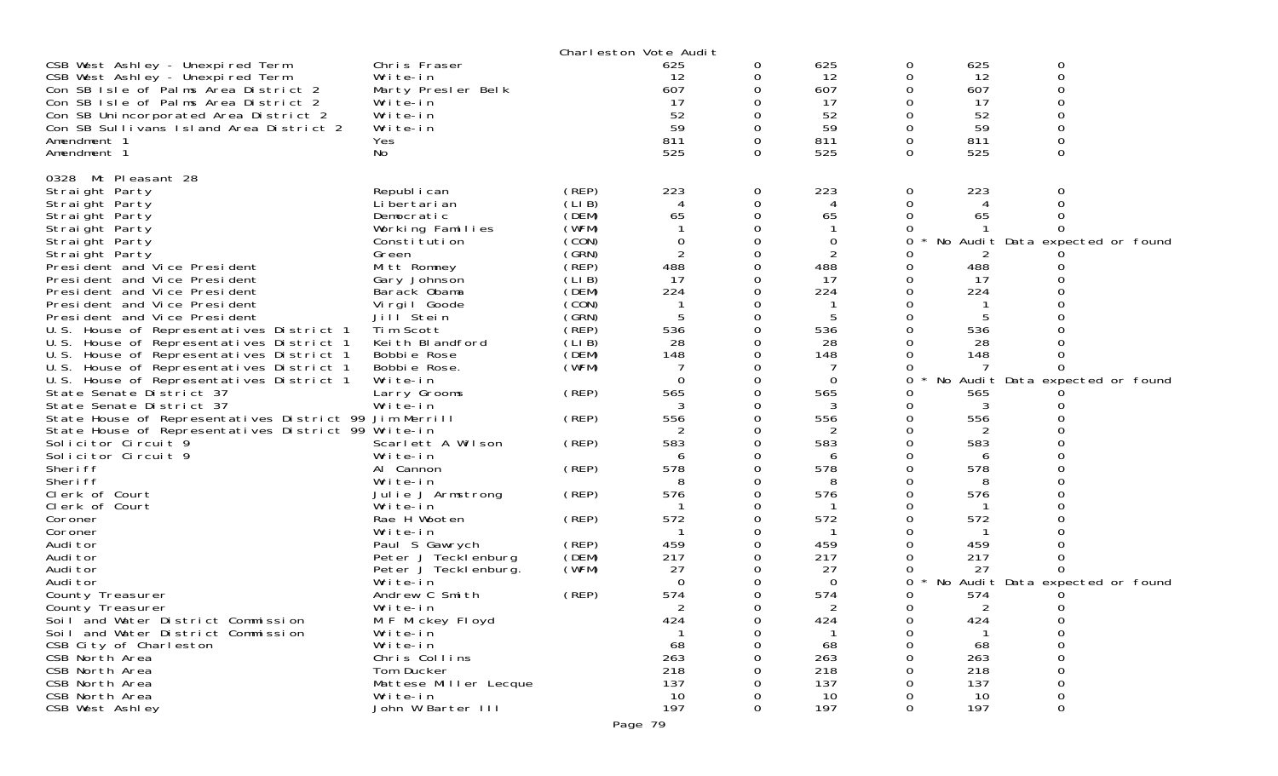|                                                        |                       |        | Charleston Vote Audit |   |          |          |     |                                 |  |
|--------------------------------------------------------|-----------------------|--------|-----------------------|---|----------|----------|-----|---------------------------------|--|
| CSB West Ashley - Unexpired Term                       | Chris Fraser          |        | 625                   | 0 | 625      | 0        | 625 | 0                               |  |
| CSB West Ashley - Unexpired Term                       | Write-in              |        | 12                    |   | 12       | 0        | 12  | 0                               |  |
| Con SB Isle of Palms Area District 2                   | Marty Presler Belk    |        | 607                   |   | 607      | 0        | 607 | 0                               |  |
| Con SB Isle of Palms Area District 2                   | Write-in              |        | 17                    |   | 17       | 0        | 17  | ∩                               |  |
| Con SB Unincorporated Area District 2                  | Write-in              |        | 52                    |   | 52       | 0        | 52  |                                 |  |
| Con SB Sullivans Island Area District 2                | Write-in              |        | 59                    |   | 59       | 0        | 59  | ∩                               |  |
| Amendment 1                                            | Yes                   |        | 811                   | 0 | 811      | 0        | 811 | $\Omega$                        |  |
| Amendment 1                                            | No                    |        | 525                   | 0 | 525      | $\Omega$ | 525 | 0                               |  |
| 0328 Mt Pleasant 28                                    |                       |        |                       |   |          |          |     |                                 |  |
| Straight Party                                         | Republ i can          | (REP)  | 223                   | 0 | 223      | 0        | 223 | Ω                               |  |
| Straight Party                                         | Li bertari an         | (LIB)  |                       |   | 4        | 0        |     |                                 |  |
| Straight Party                                         | Democratic            | (DEM)  | 65                    |   | 65       | 0        | 65  |                                 |  |
| Straight Party                                         | Working Families      | (WFM)  |                       |   |          |          |     |                                 |  |
| Straight Party                                         | Constitution          | (CON)  | $\mathbf 0$           |   | 0        | 0        |     | No Audit Data expected or found |  |
| Straight Party                                         | Green                 | (GRN)  | $\overline{2}$        |   | 2        | 0        |     |                                 |  |
| President and Vice President                           | Mitt Romney           | (REP)  | 488                   |   | 488      | 0        | 488 |                                 |  |
| President and Vice President                           | Gary Johnson          | (LIB)  | 17                    |   | 17       | 0        | 17  |                                 |  |
| President and Vice President                           | Barack Obama          | (DEM)  | 224                   |   | 224      | 0        | 224 |                                 |  |
| President and Vice President                           | Virgil Goode          | (CON)  |                       |   |          |          |     |                                 |  |
| President and Vice President                           | Jill Stein            | (GRN)  |                       |   | 5        |          | 5   |                                 |  |
| U.S. House of Representatives District 1               | Tim Scott             | (̀REP) | 536                   |   | 536      | 0        | 536 |                                 |  |
| U.S. House of Representatives District 1               | Keith Blandford       | (LIB)  | 28                    |   | 28       |          | 28  |                                 |  |
| U.S. House of Representatives District 1               | Bobbie Rose           | (DEM)  | 148                   |   | 148      |          | 148 |                                 |  |
| U.S. House of Representatives District 1               | Bobbie Rose.          | (WFM)  |                       |   |          | 0        |     |                                 |  |
| U.S. House of Representatives District 1               | Write-in              |        | $\Omega$              |   | $\Omega$ | 0        |     | No Audit Data expected or found |  |
| State Senate District 37                               | Larry Grooms          | (REP)  | 565                   |   | 565      |          | 565 |                                 |  |
| State Senate District 37                               | Write-in              |        | 3                     |   | 3        | O        | 3   |                                 |  |
| State House of Representatives District 99 Jim Merrill |                       | (REP)  | 556                   |   | 556      | 0        | 556 |                                 |  |
| State House of Representatives District 99 Write-in    |                       |        |                       |   | 2        | 0        |     |                                 |  |
| Solicitor Circuit <sup>9</sup>                         | Scarlett A Wilson     | (REP)  | 583                   |   | 583      | 0        | 583 |                                 |  |
| Solicitor Circuit 9                                    | Write-in              |        |                       |   | 6        |          | 6   |                                 |  |
| Sheri ff                                               | Al Cannon             | (REP)  | 578                   |   | 578      | $\Omega$ | 578 |                                 |  |
| Sheri ff                                               | Write-in              |        | 8                     |   | 8        | 0        | 8   |                                 |  |
| Clerk of Court                                         | Julie J Armstrong     | (REP)  | 576                   |   | 576      | 0        | 576 |                                 |  |
| Clerk of Court                                         | Write-in              |        |                       |   |          | 0        |     |                                 |  |
| Coroner                                                | Rae H Wooten          | (REP)  | 572                   |   | 572      | 0        | 572 |                                 |  |
| Coroner                                                | Write-in              |        |                       |   |          |          |     |                                 |  |
| Audi tor                                               | Paul S Gawrych        | (REP)  | 459                   |   | 459      |          | 459 |                                 |  |
| Audi tor                                               | Peter J Tecklenburg   | (DEM)  | 217                   |   | 217      |          | 217 |                                 |  |
| Audi tor                                               | Peter J Teckl enburg. | (WFM)  | 27                    |   | 27       | 0        | 27  | 0                               |  |
| Audi tor                                               | Write-in              |        | $\Omega$              |   | $\Omega$ | $\Omega$ |     | No Audit Data expected or found |  |
| County Treasurer                                       | Andrew C Smith        | (REP)  | 574                   |   | 574      | 0        | 574 |                                 |  |
| County Treasurer                                       | Write-in              |        | 2                     |   | 2        | 0        | 2   | 0                               |  |
| Soil and Water District Commission                     | M F Mickey Floyd      |        | 424                   | 0 | 424      | $\Omega$ | 424 | 0                               |  |
| Soil and Water District Commission                     | Write-in              |        |                       |   |          | 0        |     | 0                               |  |
| CSB City of Charleston                                 | Write-in              |        | 68                    |   | 68       | 0        | 68  | 0                               |  |
| CSB North Area                                         | Chris Collins         |        | 263                   |   | 263      |          | 263 | O                               |  |
| CSB North Area                                         | Tom Ducker            |        | 218                   |   | 218      |          | 218 | 0                               |  |
| CSB North Area                                         | Mattese Miller Lecque |        | 137                   |   | 137      |          | 137 | 0                               |  |
| CSB North Area                                         | Write-in              |        | 10                    |   | 10       | $\Omega$ | 10  | 0                               |  |
| CSB West Ashley                                        | John W Barter III     |        | 197                   | 0 | 197      | 0        | 197 | 0                               |  |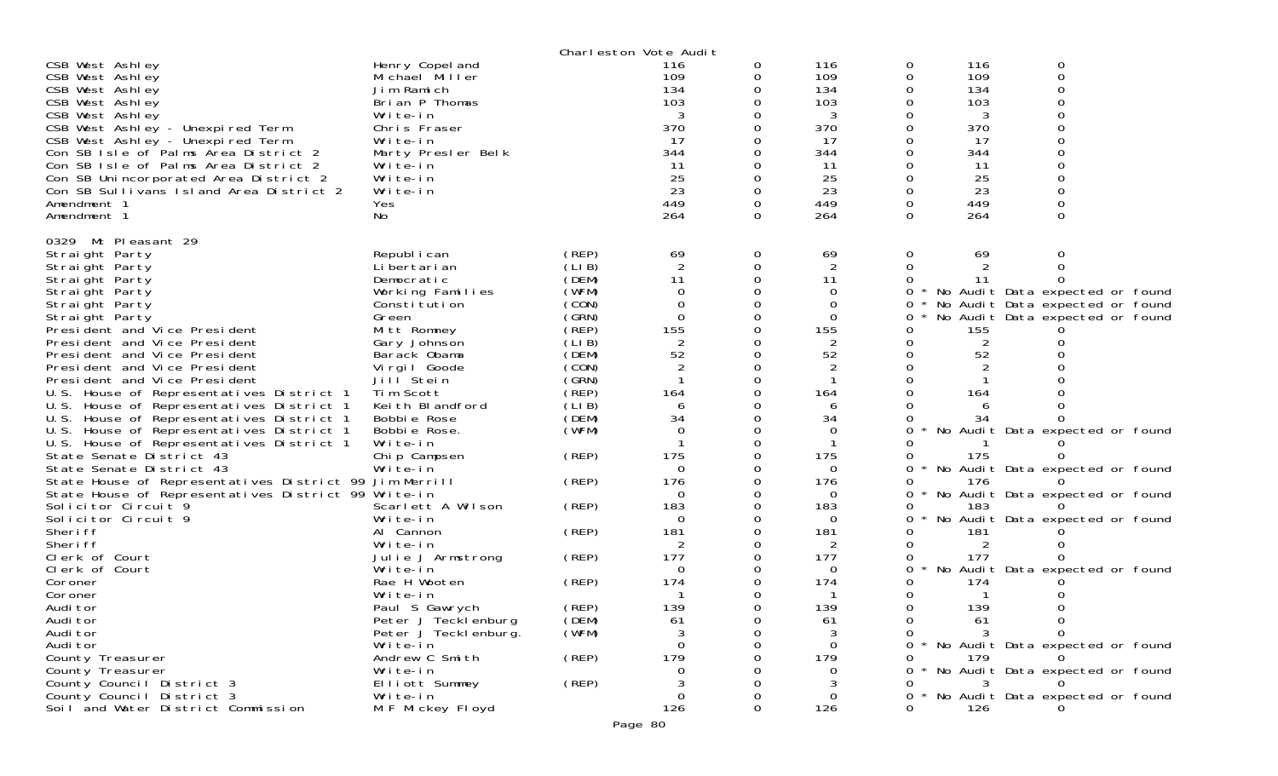|                                                                                      |                                                 |                | Charleston Vote Audit |               |                   |              |                       |                                 |  |
|--------------------------------------------------------------------------------------|-------------------------------------------------|----------------|-----------------------|---------------|-------------------|--------------|-----------------------|---------------------------------|--|
| CSB West Ashley<br>CSB West Ashley<br>CSB West Ashley                                | Henry Copel and<br>Michael Miller<br>Jim Ramich |                | 116<br>109<br>134     | 0<br>0<br>0   | 116<br>109<br>134 | 0<br>0<br>0  | 116<br>109<br>134     | 0<br>0<br>$\Omega$<br>$\Omega$  |  |
| CSB West Ashley<br>CSB West Ashley                                                   | Brian P Thomas<br>Write-in                      |                | 103<br>3              | 0<br>0        | 103<br>3          | 0<br>0       | 103<br>3              | 0                               |  |
| CSB West Ashley - Unexpired Term                                                     | Chris Fraser                                    |                | 370                   | 0             | 370               | 0            | 370                   | $\Omega$                        |  |
| CSB West Ashley - Unexpired Term                                                     | Write-in                                        |                | -17                   | 0             | 17                | 0            | 17                    | $\Omega$                        |  |
| Con SB Isle of Palms Area District 2                                                 | Marty Presler Belk                              |                | 344                   | 0             | 344               | 0            | 344                   | $\Omega$                        |  |
| Con SB Isle of Palms Area District 2                                                 | Write-in                                        |                | 11                    |               | 11                |              | 11                    | $\Omega$                        |  |
| Con SB Unincorporated Area District 2<br>Con SB Sullivans Island Area District 2     | Write-in<br>Write-in                            |                | 25<br>23              | $\Omega$<br>0 | 25<br>23          | 0<br>0       | 25<br>23              | 0                               |  |
| Amendment 1                                                                          | Yes                                             |                | 449                   | $\Omega$      | 449               | 0            | 449                   |                                 |  |
| Amendment 1                                                                          | No                                              |                | 264                   | $\Omega$      | 264               | 0            | 264                   | 0                               |  |
|                                                                                      |                                                 |                |                       |               |                   |              |                       |                                 |  |
| 0329 Mt Pleasant 29<br>Straight Party                                                | Republ i can                                    | (REP)          | 69                    | 0             | 69                | 0            | 69                    | 0                               |  |
| Straight Party                                                                       | Li bertari an                                   | (LIB)          | $\sqrt{2}$            | 0             | $\overline{c}$    | 0            |                       | 0                               |  |
| Straight Party                                                                       | Democratic                                      | (DEM)          | 11                    | 0             | 11                | 0            | 11                    | $\Omega$                        |  |
| Straight Party                                                                       | Working Families                                | (WFM)          | $\Omega$              | $\Omega$      | $\Omega$          | 0            |                       | No Audit Data expected or found |  |
| Straight Party                                                                       | Constitution                                    | (CON)          | 0                     | 0             | 0                 | 0            |                       | No Audit Data expected or found |  |
| Straight Party                                                                       | Green                                           | (GRN)          | $\mathbf 0$           | 0             | $\Omega$          | 0            |                       | No Audit Data expected or found |  |
| President and Vice President<br>President and Vice President                         | Mitt Romney<br>Gary Johnson                     | (REP)<br>(LIB) | 155<br>$\sqrt{2}$     | 0             | 155<br>2          | 0<br>0       | 155<br>$\overline{2}$ |                                 |  |
| President and Vice President                                                         | Barack Obama                                    | (DEM)          | 52                    | 0             | 52                | 0            | 52                    |                                 |  |
| President and Vice President                                                         | Virgil Goode                                    | (CON)          | $\overline{2}$        | $\Omega$      | $\overline{c}$    | 0            |                       |                                 |  |
| President and Vice President                                                         | Jill Stein                                      | (GRN)          |                       | $\mathbf 0$   | -1                | 0            |                       |                                 |  |
| U.S. House of Representatives District 1                                             | Tim Scott                                       | (REP)          | 164                   | $\Omega$      | 164               | 0            | 164                   |                                 |  |
| U.S. House of Representatives District 1                                             | Keith Blandford                                 | (LIB)          | 6                     | 0             | 6                 | 0            | 6                     |                                 |  |
| U.S. House of Representatives District 1                                             | Bobbie Rose                                     | (DEM)          | 34<br>$\Omega$        | 0<br>$\Omega$ | 34                | 0            | 34                    |                                 |  |
| U.S. House of Representatives District 1<br>U.S. House of Representatives District 1 | Bobbie Rose.<br>Write-in                        | (WFM)          |                       | 0             | 0<br>$\mathbf{1}$ | 0<br>0       |                       | No Audit Data expected or found |  |
| State Senate District 43                                                             | Chip Campsen                                    | (REP)          | 175                   |               | 175               | 0            | 175                   |                                 |  |
| State Senate District 43                                                             | Write-in                                        |                | $\Omega$              | 0             | $\Omega$          | 0            |                       | No Audit Data expected or found |  |
| State House of Representatives District 99 Jim Merrill                               |                                                 | (REP)          | 176                   | 0             | 176               | 0            | 176                   |                                 |  |
| State House of Representatives District 99 Write-in                                  |                                                 |                | $\mathbf 0$           | $\mathbf 0$   | 0                 | 0            |                       | No Audit Data expected or found |  |
| Solicitor Circuit 9                                                                  | Scarlett A Wilson                               | (REP)          | 183                   | $\Omega$      | 183               | 0            | 183                   |                                 |  |
| Solicitor Circuit 9<br>Sheri ff                                                      | Write-in<br>Al Cannon                           | (REP)          | 0<br>181              | 0<br>0        | $\Omega$<br>181   | 0            | 181                   | No Audit Data expected or found |  |
| Sheri ff                                                                             | Write-in                                        |                | 2                     | 0             | 2                 | 0            | 2                     |                                 |  |
| Clerk of Court                                                                       | Julie J Armstrong                               | (REP)          | 177                   | 0             | 177               | 0            | 177                   |                                 |  |
| Clerk of Court                                                                       | Write-in                                        |                | $\Omega$              | $\Omega$      | $\Omega$          | 0            |                       | No Audit Data expected or found |  |
| Coroner                                                                              | Rae H Wooten                                    | (REP)          | 174                   | 0             | 174               | 0            | 174                   |                                 |  |
| Coroner                                                                              | Write-in                                        |                | -1                    | 0             | $\mathbf 1$       | 0            |                       |                                 |  |
| Audi tor                                                                             | Paul S Gawrych                                  | (REP)          | 139                   | 0             | 139               | 0            | 139                   |                                 |  |
| Audi tor<br>Audi tor                                                                 | Peter J Tecklenburg<br>Peter J Tecklenburg.     | (DEM)<br>(WFM) | 61<br>3               | O<br>Ω        | 61<br>3           | 0<br>0       | 61                    | 0                               |  |
| Audi tor                                                                             | Write-in                                        |                | $\Omega$              |               | $\Omega$          | $\star$<br>0 |                       | No Audit Data expected or found |  |
| County Treasurer                                                                     | Andrew C Smith                                  | (REP)          | 179                   |               | 179               |              | 179                   |                                 |  |
| County Treasurer                                                                     | Write-in                                        |                | 0                     |               | $\Omega$          | 0            |                       | No Audit Data expected or found |  |
| County Council District 3                                                            | Elliott Summey                                  | (REP)          | 3                     |               |                   | 0            |                       |                                 |  |
| County Council District 3                                                            | Write-in                                        |                | 0                     |               | 0                 | 0            |                       | No Audit Data expected or found |  |
| Soil and Water District Commission                                                   | M F Mickey Floyd                                |                | 126                   | 0             | 126               | 0            | 126                   |                                 |  |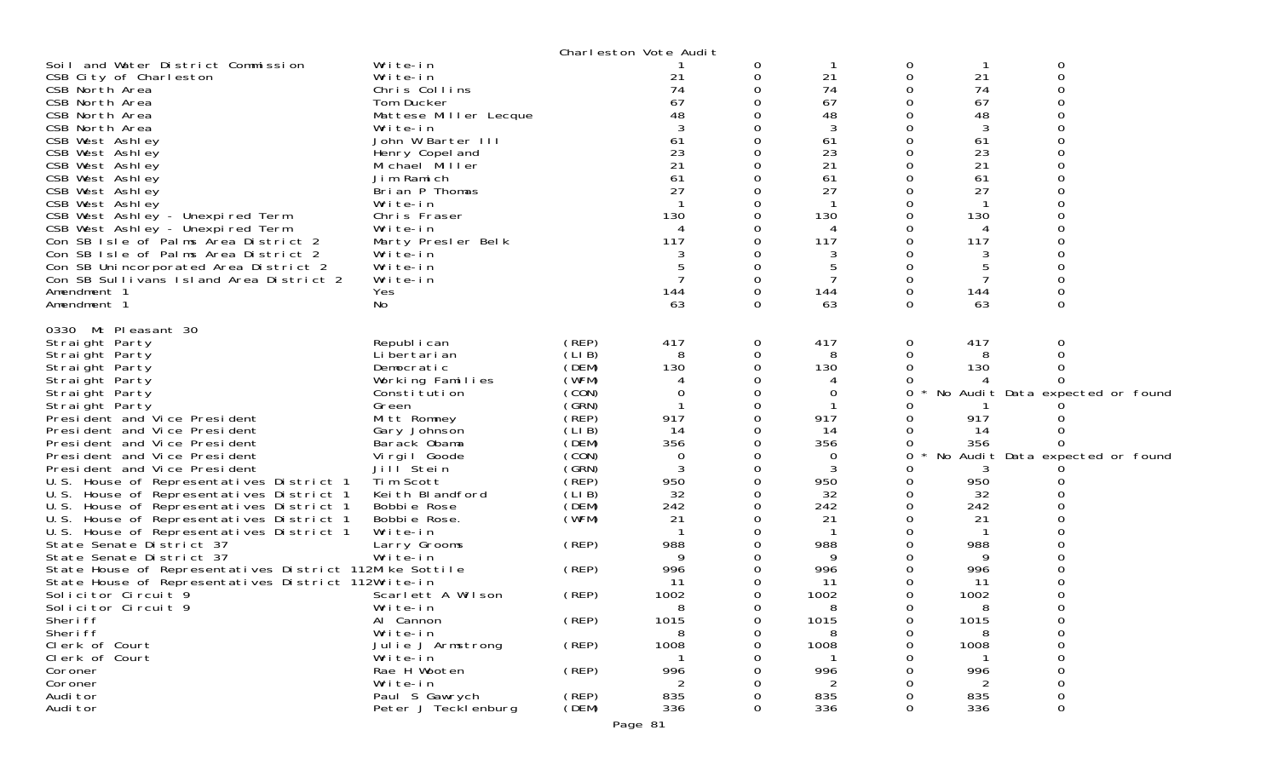|                                                                      |                              |                | Charleston Vote Audit |             |           |   |           |                                 |
|----------------------------------------------------------------------|------------------------------|----------------|-----------------------|-------------|-----------|---|-----------|---------------------------------|
| Soil and Water District Commission                                   | Write-in                     |                |                       | 0           |           | 0 |           | 0                               |
| CSB City of Charleston                                               | Write-in                     |                | 21                    | 0           | 21        | 0 | 21        | $\Omega$                        |
| CSB North Area                                                       | Chris Collins                |                | 74                    | 0           | 74        |   | 74        |                                 |
| CSB North Area                                                       | Tom Ducker                   |                | 67                    |             | 67        |   | 67        |                                 |
| CSB North Area                                                       | Mattese Miller Lecque        |                | 48                    |             | 48        |   | 48        |                                 |
| CSB North Area                                                       | Write-in                     |                |                       |             | 3         |   | 3         |                                 |
| CSB West Ashley                                                      | John W Barter III            |                | 61                    | $\Omega$    | 61        |   | 61        |                                 |
| CSB West Ashley                                                      | Henry Copel and              |                | 23                    |             | 23        |   | 23        |                                 |
| CSB West Ashley                                                      | Michael Miller               |                | 21                    |             | 21        |   | 21        |                                 |
| CSB West Ashley                                                      | Jim Ramich                   |                | 61                    | 0           | 61        |   | 61        |                                 |
| CSB West Ashley                                                      | Brian P Thomas               |                | 27                    |             | 27        |   | 27        |                                 |
| CSB West Ashley                                                      | Write-in<br>Chris Fraser     |                | 130                   | 0           | 130       |   | 130       |                                 |
| CSB West Ashley - Unexpired Term<br>CSB West Ashley - Unexpired Term | Write-in                     |                | 4                     |             | 4         |   | 4         |                                 |
| Con SB Isle of Palms Area District 2                                 | Marty Presler Belk           |                | 117                   |             | 117       |   | 117       |                                 |
| Con SB Isle of Palms Area District 2                                 | Write-in                     |                |                       | 0           |           |   |           |                                 |
| Con SB Unincorporated Area District 2                                | Write-in                     |                |                       | 0           | 5         |   | 5         |                                 |
| Con SB Sullivans Island Area District 2                              | Write-in                     |                |                       |             |           |   |           |                                 |
| Amendment 1                                                          | Yes                          |                | 144                   | $\Omega$    | 144       | 0 | 144       |                                 |
| Amendment 1                                                          | No                           |                | 63                    | $\Omega$    | 63        | 0 | 63        | 0                               |
|                                                                      |                              |                |                       |             |           |   |           |                                 |
| 0330 Mt Pleasant 30                                                  |                              |                |                       |             |           |   |           |                                 |
| Straight Party                                                       | Republ i can                 | (REP)          | 417                   | $\mathbf 0$ | 417       | 0 | 417       | 0                               |
| Straight Party                                                       | Li bertari an                | (LIB)          | 8                     | 0           | 8         | 0 | 8         |                                 |
| Straight Party                                                       | Democratic                   | (DEM)          | 130                   | 0           | 130       |   | 130       |                                 |
| Straight Party                                                       | Working Families             | (WFM)          | 4                     | 0           | 4         |   |           |                                 |
| Straight Party                                                       | Constitution                 | (CON)          | 0                     | $\Omega$    | 0         | O |           | No Audit Data expected or found |
| Straight Party                                                       | Green                        | (GRN)          |                       | 0           |           |   |           |                                 |
| President and Vice President                                         | Mitt Romney                  | (REP)<br>(LIB) | 917                   | 0           | 917       |   | 917       |                                 |
| President and Vice President<br>President and Vice President         | Gary Johnson<br>Barack Obama | (DEM)          | 14<br>356             | 0<br>0      | 14<br>356 | 0 | 14<br>356 |                                 |
| President and Vice President                                         | Virgil Goode                 | (CON)          | 0                     | 0           | 0         | 0 |           | No Audit Data expected or found |
| President and Vice President                                         | Jill <sup>Stein</sup>        | (SRN)          |                       | $\Omega$    | 3         |   | 3         |                                 |
| U.S. House of Representatives District 1                             | Tim Scott                    | (REP)          | 950                   | 0           | 950       | 0 | 950       |                                 |
| U.S. House of Representatives District 1                             | Keith Blandford              | (LIB)          | 32                    | 0           | 32        |   | 32        |                                 |
| U.S. House of Representatives District 1                             | Bobbie Rose                  | (DEM)          | 242                   | $\Omega$    | 242       | 0 | 242       |                                 |
| U.S. House of Representatives District 1                             | Bobbie Rose.                 | (WFM)          | 21                    | 0           | 21        |   | 21        |                                 |
| U.S. House of Representatives District 1                             | Write-in                     |                |                       | 0           | -1        |   |           |                                 |
| State Senate District 37                                             | Larry Grooms                 | (REP)          | 988                   | $\Omega$    | 988       |   | 988       |                                 |
| State Senate District 37                                             | Write-in                     |                | 9                     | 0           | 9         |   | 9         |                                 |
| State House of Representatives District 112Mike Sottile              |                              | (REP)          | 996                   | 0           | 996       |   | 996       |                                 |
| State House of Representatives District 112Write-in                  |                              |                | 11                    | $\Omega$    | -11       |   | 11        |                                 |
| Solicitor Circuit 9                                                  | Scarlett A Wilson            | (REP)          | 1002                  | 0           | 1002      | 0 | 1002      |                                 |
| Solicitor Circuit 9                                                  | Write-in                     |                | 8                     | 0           | 8         | 0 | 8         | $\Omega$                        |
| Sheri ff                                                             | Al Cannon                    | (REP)          | 1015                  | 0           | 1015      | 0 | 1015      |                                 |
| Sheri ff                                                             | Write-in                     |                | 8                     | 0           | 8         | Ω | 8         | 0                               |
| Clerk of Court                                                       | Julie J Armstrong            | (REP)          | 1008                  | 0           | 1008      |   | 1008      | 0                               |
| Clerk of Court                                                       | Write-in                     |                |                       |             |           |   |           | ∩                               |
| Coroner                                                              | Rae H Wooten                 | (REP)          | 996                   | Ω           | 996       |   | 996       | 0                               |
| Coroner                                                              | Write-in                     |                |                       | Ω           | 2         |   | 2         | 0                               |
| Audi tor                                                             | Paul S Gawrych               | (REP)          | 835                   | 0           | 835       |   | 835       | $\mathbf 0$                     |
| Audi tor                                                             | Peter J Tecklenburg          | (DEM)          | 336                   | 0           | 336       | 0 | 336       | 0                               |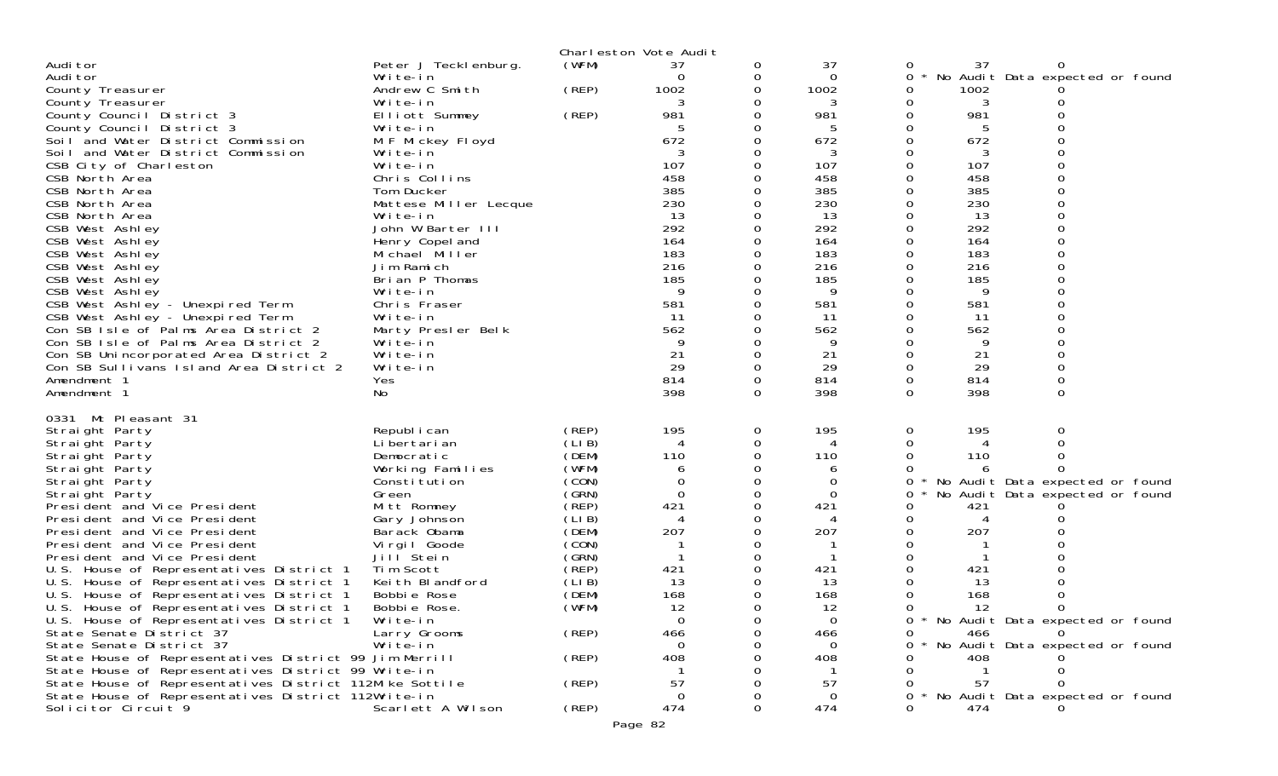|                                                                                                                |                                |                | Charleston Vote Audit       |          |            |          |            |                                   |  |
|----------------------------------------------------------------------------------------------------------------|--------------------------------|----------------|-----------------------------|----------|------------|----------|------------|-----------------------------------|--|
| Audi tor                                                                                                       | Peter J Teckl enburg.          | (WFM)          | 37                          | 0        | 37         |          | 37         |                                   |  |
| Audi tor<br>County Treasurer                                                                                   | Write-in<br>Andrew C Smith     | (REP)          | 0<br>1002                   | 0<br>0   | 0<br>1002  | 0<br>0   | 1002       | No Audit Data expected or found   |  |
| County Treasurer                                                                                               | Write-in                       |                | 3                           | 0        | 3          | 0        | 3          |                                   |  |
| County Council District 3                                                                                      | Elliott Summey                 | (REP)          | 981                         |          | 981        | 0        | 981        |                                   |  |
| County Council District 3                                                                                      | Write-in                       |                |                             |          |            | 0        |            |                                   |  |
| Soil and Water District Commission                                                                             | M F Mickey Floyd               |                | 672                         |          | 672        | 0        | 672        |                                   |  |
| Soil and Water District Commission                                                                             | Write-in                       |                |                             |          | 3          |          | 3          |                                   |  |
| CSB City of Charleston                                                                                         | Write-in                       |                | 107                         |          | 107        | $\Omega$ | 107        |                                   |  |
| CSB North Area<br>CSB North Area                                                                               | Chris Collins<br>Tom Ducker    |                | 458<br>385                  |          | 458<br>385 | 0        | 458<br>385 |                                   |  |
| CSB North Area                                                                                                 | Mattese Miller Lecque          |                | 230                         |          | 230        |          | 230        |                                   |  |
| CSB North Area                                                                                                 | Write-in                       |                | 13                          |          | 13         | 0        | 13         |                                   |  |
| CSB West Ashley                                                                                                | John W Barter III              |                | 292                         |          | 292        |          | 292        |                                   |  |
| CSB West Ashley                                                                                                | Henry Copel and                |                | 164                         | 0        | 164        | 0        | 164        | $\Omega$                          |  |
| CSB West Ashley                                                                                                | Michael Miller                 |                | 183                         |          | 183        | 0        | 183        |                                   |  |
| CSB West Ashley                                                                                                | Jim Ramich                     |                | 216                         |          | 216        |          | 216        | $\Omega$                          |  |
| CSB West Ashley<br>CSB West Ashley                                                                             | Brian P Thomas<br>Write-in     |                | 185<br>9                    |          | 185<br>9   | 0        | 185<br>9   |                                   |  |
| CSB West Ashley - Unexpired Term                                                                               | Chris Fraser                   |                | 581                         |          | 581        |          | 581        |                                   |  |
| CSB West Ashley - Unexpired Term                                                                               | Write-in                       |                | -11                         |          | 11         | 0        | 11         |                                   |  |
| Con SB Isle of Palms Area District 2                                                                           | Marty Presler Belk             |                | 562                         |          | 562        | 0        | 562        |                                   |  |
| Con SB Isle of Palms Area District 2                                                                           | Write-in                       |                | -9                          |          | 9          |          | 9          |                                   |  |
| Con SB Unincorporated Area District 2                                                                          | Write-in                       |                | 21                          | 0        | 21         | 0        | 21         |                                   |  |
| Con SB Sullivans Island Area District 2<br>Amendment 1                                                         | Write-in<br>Yes                |                | 29<br>814                   | 0<br>0   | 29<br>814  | 0<br>0   | 29<br>814  |                                   |  |
| Amendment 1                                                                                                    | No                             |                | 398                         | $\Omega$ | 398        | 0        | 398        | $\Omega$                          |  |
|                                                                                                                |                                |                |                             |          |            |          |            |                                   |  |
| 0331 Mt Pleasant 31<br>Straight Party                                                                          | Republ i can                   | (REP)          | 195                         | 0        | 195        | 0        | 195        | 0                                 |  |
| Straight Party                                                                                                 | Li bertari an                  | (LIB)          | 4                           | 0        | 4          |          | 4          |                                   |  |
| Straight Party                                                                                                 | Democratic                     | (DEM)          | 110                         | $\Omega$ | 110        |          | 110        |                                   |  |
| Straight Party                                                                                                 | Working Families               | (WFM)          | 6                           | 0        | 6          |          | 6          |                                   |  |
| Straight Party                                                                                                 | Constitution                   | (CON)          | 0                           |          | 0          | 0        |            | No Audit Data expected or found   |  |
| Straight Party<br>President and Vice President                                                                 | Green<br>Mitt Romney           | (GRN)<br>(REP) | $\Omega$<br>421             | 0<br>0   | 0<br>421   | 0<br>0   | 421        | No Audit Data expected or found   |  |
| President and Vice President                                                                                   | Gary Johnson                   | (LIB)          | $\boldsymbol{\vartriangle}$ |          |            | 0        | 4          |                                   |  |
| President and Vice President                                                                                   | Barack Obama                   | (DEM)          | 207                         | 0        | 207        | 0        | 207        |                                   |  |
| President and Vice President                                                                                   | Virgil Goode                   | (CON)          |                             | 0        |            | 0        |            |                                   |  |
| President and Vice President                                                                                   | Jill Stein                     | (GRN)          |                             |          |            | 0        |            |                                   |  |
| U.S. House of Representatives District 1                                                                       | Tim Scott                      | (REP)          | 421                         |          | 421        |          | 421        |                                   |  |
| U.S. House of Representatives District 1                                                                       | Keith Blandford<br>Bobbie Rose | (LIB)<br>(DEM) | 13<br>168                   | 0        | 13<br>168  |          | 13<br>168  |                                   |  |
| U.S. House of Representatives District 1<br>U.S. House of Representatives District 1                           | Bobbie Rose.                   | (WFM)          | 12                          | 0        | 12         |          | 12         |                                   |  |
| U.S. House of Representatives District 1                                                                       | Write-in                       |                | $\Omega$                    |          | $\Omega$   | 0        |            | * No Audit Data expected or found |  |
| State Senate District 37                                                                                       | Larry Grooms                   | (REP)          | 466                         |          | 466        | 0        | 466        |                                   |  |
| State Senate District 37                                                                                       | Write-in                       |                | 0                           |          | 0          |          |            | No Audit Data expected or found   |  |
| State House of Representatives District 99 Jim Merrill                                                         |                                | (REP)          | 408                         |          | 408        |          | 408        |                                   |  |
| State House of Representatives District 99 Write-in                                                            |                                |                |                             |          |            |          | -57        |                                   |  |
| State House of Representatives District 112Mike Sottile<br>State House of Representatives District 112Write-in |                                | (REP)          | 57<br>0                     |          | 57<br>0    | 0        |            | * No Audit Data expected or found |  |
| Solicitor Circuit 9                                                                                            | Scarlett A Wilson              | (REP)          | 474                         |          | 474        |          | 474        |                                   |  |
|                                                                                                                |                                |                |                             |          |            |          |            |                                   |  |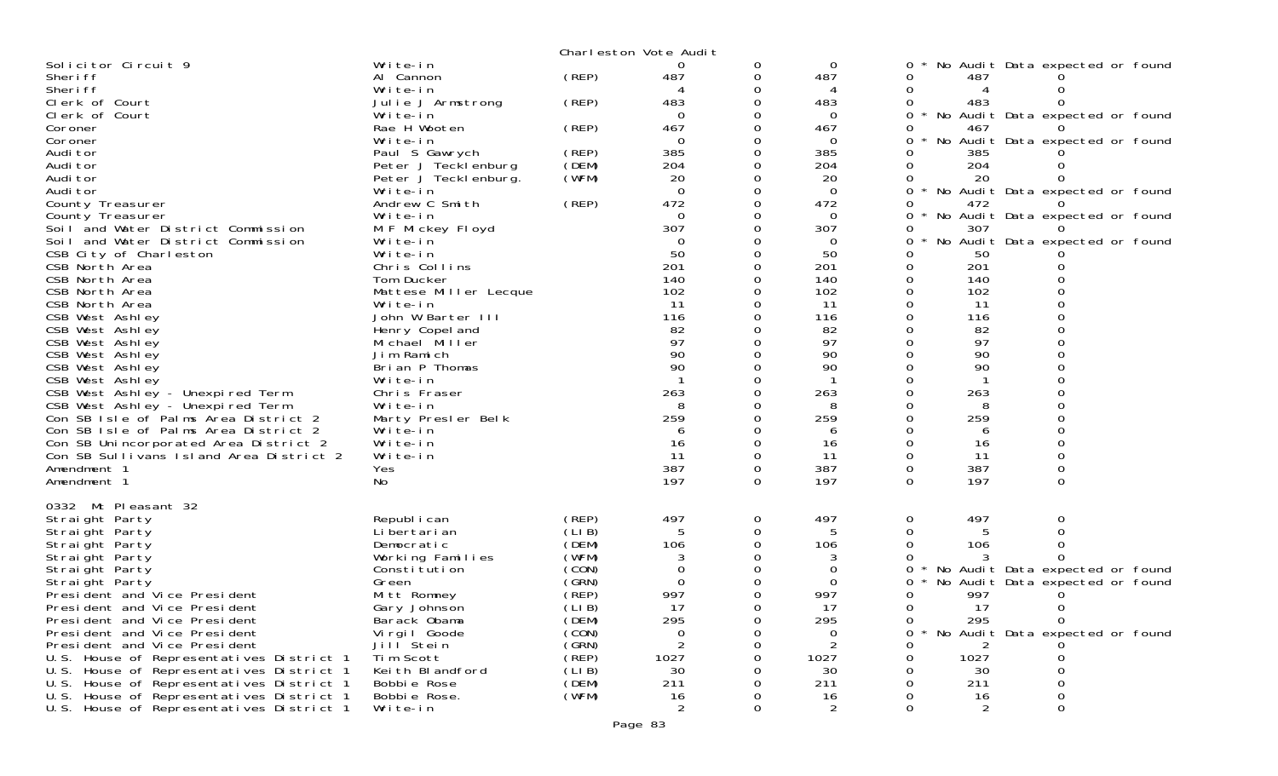|                                                              |                                   |                | Charleston Vote Audit |          |           |                                                 |
|--------------------------------------------------------------|-----------------------------------|----------------|-----------------------|----------|-----------|-------------------------------------------------|
| Solicitor Circuit 9                                          | Write-in                          |                | 0                     | 0        | 0         | No Audit Data expected or found                 |
| Sheri ff                                                     | Al Cannon                         | (REP)          | 487                   | 0        | 487       | 487<br>Ω                                        |
| Sheri ff                                                     | Write-in                          |                |                       |          |           | 0                                               |
| Clerk of Court                                               | Julie J Armstrong                 | (REP)          | 483                   |          | 483       | 483                                             |
| Clerk of Court                                               | Write-in                          |                | $\Omega$              |          | 0         | 0<br>$\star$<br>No Audit Data expected or found |
| Coroner                                                      | Rae H Wooten                      | (REP)          | 467                   |          | 467       | 467                                             |
| Coroner                                                      | Write-in                          |                | $\Omega$              |          | $\Omega$  | No Audit Data expected or found                 |
| Audi tor                                                     | Paul S Gawrych                    | (REP)          | 385                   |          | 385       | 385                                             |
| Audi tor                                                     | Peter J Tecklenburg               | (DEM)          | 204                   |          | 204       | 204                                             |
| Audi tor                                                     | Peter J Teckl enburg.             | (WFM)          | 20                    |          | 20        | 20                                              |
| Audi tor                                                     | Write-in                          |                | $\Omega$              |          | 0         | * No Audit Data expected or found<br>0          |
| County Treasurer                                             | Andrew C Smith                    | (REP)          | 472                   |          | 472       | 472                                             |
| County Treasurer                                             | Write-in                          |                | $\Omega$              |          | $\Omega$  | 0<br>No Audit Data expected or found            |
| Soil and Water District Commission                           | M F Mickey Floyd                  |                | 307                   |          | 307       | 307<br>0                                        |
| Soil and Water District Commission                           | Write-in                          |                | $\Omega$              |          | 0         | No Audit Data expected or found<br>0            |
| CSB City of Charleston                                       | Write-in                          |                | 50                    |          | 50        | 50                                              |
| CSB North Area                                               | Chris Collins                     |                | 201                   |          | 201       | 201<br>0                                        |
| CSB North Area                                               | Tom Ducker                        |                | 140                   |          | 140       | 140                                             |
| CSB North Area<br>CSB North Area                             | Mattese Miller Lecque<br>Write-in |                | 102<br>11             |          | 102<br>11 | 102<br>0<br>-11                                 |
| CSB West Ashley                                              | John W Barter III                 |                | 116                   |          | 116       | 116                                             |
| CSB West Ashley                                              | Henry Copel and                   |                | 82                    |          | 82        | 82                                              |
| CSB West Ashley                                              | Michael Miller                    |                | 97                    |          | 97        | 97                                              |
| CSB West Ashley                                              | Jim Ramich                        |                | 90                    |          | 90        | 90                                              |
| CSB West Ashley                                              | Brian P Thomas                    |                | 90                    |          | 90        | 90                                              |
| CSB West Ashley                                              | Write-in                          |                |                       |          |           |                                                 |
| CSB West Ashley - Unexpired Term                             | Chris Fraser                      |                | 263                   |          | 263       | 263                                             |
| CSB West Ashley - Unexpired Term                             | Write-in                          |                |                       |          |           | 8                                               |
| Con SB Isle of Palms Area District 2                         | Marty Presler Belk                |                | 259                   |          | 259       | 259                                             |
| Con SB Isle of Palms Area District 2                         | Write-in                          |                | 6                     |          | 6         | 6                                               |
| Con SB Unincorporated Area District 2                        | Write-in                          |                | 16                    |          | 16        | 16                                              |
| Con SB Sullivans Island Area District 2                      | Write-in                          |                | 11                    | 0        | 11        | 11                                              |
| Amendment 1                                                  | Yes                               |                | 387                   | 0        | 387       | 387<br>0<br>0                                   |
| Amendment 1                                                  | No                                |                | 197                   | $\Omega$ | 197       | 197<br>$\Omega$<br>$\Omega$                     |
|                                                              |                                   |                |                       |          |           |                                                 |
| 0332 Mt Pleasant 32                                          |                                   |                |                       |          |           |                                                 |
| Straight Party                                               | Republ i can                      | (REP)          | 497                   | 0        | 497       | 497<br>0<br>0                                   |
| Straight Party                                               | Li bertari an                     | (LIB)          |                       | 0        |           |                                                 |
| Straight Party                                               | Democratic                        | (DEM)          | 106                   |          | 106       | 106                                             |
| Straight Party                                               | Working Families                  | (WFM)          |                       |          |           |                                                 |
| Straight Party                                               | Constitution                      | (CON)          | 0                     |          | 0         | No Audit Data expected or found<br>0            |
| Straight Party                                               | Green                             | (GRN)          | $\Omega$              |          | 0         | No Audit Data expected or found                 |
| President and Vice President                                 | Mitt Romney                       | (REP)          | 997                   |          | 997       | 997<br>$\Omega$                                 |
| President and Vice President<br>President and Vice President | Gary Johnson<br>Barack Obama      | (LIB)<br>(DEM) | 17<br>295             |          | 17<br>295 | 17<br>0<br>$\Omega$<br>295<br>0                 |
| President and Vice President                                 | Vi rgi I Goode                    | (CON)          | 0                     |          | 0         | No Audit Data expected or found<br>Ω            |
| President and Vice President                                 | Jill <sup>Stein</sup>             | (GRN)          |                       |          | 2         |                                                 |
| U.S. House of Representatives District 1                     | Tim Scott                         | (REP)          | 1027                  |          | 1027      | 1027                                            |
| U.S. House of Representatives District 1                     | Keith Blandford                   | (LIB)          | 30                    |          | 30        | 30                                              |
| U.S. House of Representatives District 1                     | Bobbie Rose                       | (DEM)          | 211                   |          | 211       | 211                                             |
| U.S. House of Representatives District 1                     | Bobbie Rose.                      | (WFM)          | 16                    |          | 16        | 16                                              |
| U.S. House of Representatives District 1                     | Write-in                          |                | 2                     | $\Omega$ | 2         | 0<br>O<br>2                                     |
|                                                              |                                   |                |                       |          |           |                                                 |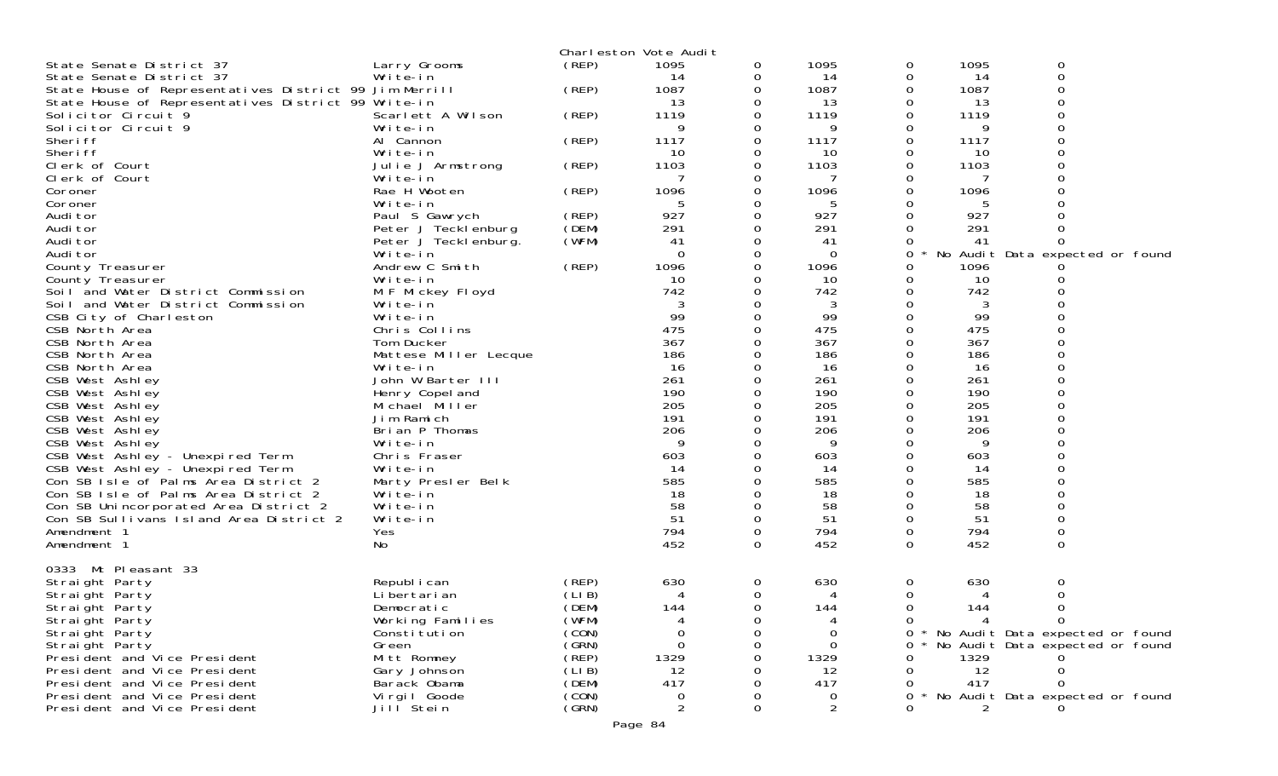|                                                        |                               |        | Charleston Vote Audit |               |                |          |           |                                 |  |
|--------------------------------------------------------|-------------------------------|--------|-----------------------|---------------|----------------|----------|-----------|---------------------------------|--|
| State Senate District 37                               | Larry Grooms                  | (REP)  | 1095                  | 0             | 1095           | 0        | 1095      | 0                               |  |
| State Senate District 37                               | Write-in                      |        | 14                    | 0             | 14             | 0        | 14        | $\mathbf 0$                     |  |
| State House of Representatives District 99 Jim Merrill |                               | (REP)  | 1087                  | 0             | 1087           | 0        | 1087      | $\Omega$                        |  |
| State House of Representatives District 99 Write-in    |                               |        | 13                    | 0             | 13             | 0        | 13        | 0                               |  |
| Solicitor Circuit 9                                    | Scarlett A Wilson             | (REP)  | 1119                  | 0             | 1119           | 0        | 1119      | 0                               |  |
| Solicitor Circuit 9                                    | Write-in                      |        | 9                     | $\Omega$      | 9              | 0        | 9         | $\Omega$                        |  |
| Sheri ff                                               | Al Cannon                     | (REP)  | 1117                  | $\Omega$      | 1117           | 0        | 1117      | $\Omega$                        |  |
| Sheri ff                                               | Write-in                      |        | 10                    | 0             | 10             | 0        | 10        | 0                               |  |
| Clerk of Court                                         | Julie J Armstrong             | (REP)  | 1103                  | $\Omega$      | 1103           | 0        | 1103      |                                 |  |
| Clerk of Court                                         | Write-in                      |        |                       | 0             |                | Ω        |           | O                               |  |
| Coroner                                                | Rae H Wooten                  | (REP)  | 1096                  | 0             | 1096           | 0        | 1096      | 0                               |  |
| Coroner                                                | Write-in                      |        | 5                     | 0             | 5              |          | 5         |                                 |  |
| Audi tor                                               | Paul S Gawrych                | (REP)  | 927                   | $\Omega$      | 927            | 0        | 927       |                                 |  |
| Audi tor                                               | Peter J Tecklenburg           | (DEM)  | 291                   | 0             | 291            | 0        | 291       | 0                               |  |
| Audi tor                                               | Peter J Tecklenburg.          | (WFM)  | 41                    | $\Omega$      | 41             | 0        | 41        | 0                               |  |
| Audi tor                                               | Write-in                      |        | $\Omega$              | $\Omega$      | $\Omega$       | 0        | No        | Audit Data expected or found    |  |
| County Treasurer                                       | Andrew C Smith                | (REP)  | 1096                  | 0             | 1096           | 0        | 1096      |                                 |  |
| County Treasurer                                       | Write-in                      |        | 10                    | 0             | 10             | 0        | 10        | 0                               |  |
| Soil and Water District Commission                     | M F Mickey Floyd              |        | 742                   | $\Omega$      | 742            | 0        | 742       |                                 |  |
| Soil and Water District Commission                     | Write-in                      |        | 3                     | 0             | 3              | 0        | 3         | 0                               |  |
| CSB City of Charleston                                 | Write-in                      |        | 99<br>475             | 0<br>$\Omega$ | 99<br>475      | 0        | 99<br>475 | $\Omega$                        |  |
| CSB North Area<br>CSB North Area                       | Chris Collins                 |        | 367                   |               | 367            | 0        | 367       |                                 |  |
|                                                        | Tom Ducker                    |        | 186                   | 0<br>0        | 186            | 0<br>O   | 186       | 0<br>$\Omega$                   |  |
| CSB North Area<br>CSB North Area                       | Mattese Miller Lecque         |        | 16                    | $\Omega$      | 16             | 0        | 16        | $\Omega$                        |  |
| CSB West Ashley                                        | Write-in<br>John W Barter III |        | 261                   | 0             | 261            | 0        | 261       | 0                               |  |
| CSB West Ashley                                        | Henry Copel and               |        | 190                   | $\Omega$      | 190            | 0        | 190       | $\Omega$                        |  |
| CSB West Ashley                                        | Michael Miller                |        | 205                   | $\Omega$      | 205            | 0        | 205       | $\Omega$                        |  |
| CSB West Ashley                                        | Jim Ramich                    |        | 191                   | 0             | 191            | 0        | 191       | 0                               |  |
| CSB West Ashley                                        | Brian P Thomas                |        | 206                   | $\Omega$      | 206            | Ω        | 206       | $\Omega$                        |  |
| CSB West Ashley                                        | Write-in                      |        | 9                     | $\Omega$      | 9              | 0        | 9         | $\Omega$                        |  |
| CSB West Ashley - Unexpired Term                       | Chris Fraser                  |        | 603                   | 0             | 603            | 0        | 603       | 0                               |  |
| CSB West Ashley - Unexpired Term                       | Write-in                      |        | 14                    | $\Omega$      | -14            | 0        | 14        | $\Omega$                        |  |
| Con SB Isle of Palms Area District 2                   | Marty Presler Belk            |        | 585                   | $\Omega$      | 585            | 0        | 585       | $\Omega$                        |  |
| Con SB Isle of Palms Area District 2                   | Write-in                      |        | 18                    | 0             | 18             |          | 18        | 0                               |  |
| Con SB Unincorporated Area District 2                  | Write-in                      |        | 58                    | $\Omega$      | 58             | 0        | 58        | $\Omega$                        |  |
| Con SB Sullivans Island Area District 2                | Write-in                      |        | 51                    | 0             | 51             | 0        | 51        | 0                               |  |
| Amendment 1                                            | Yes                           |        | 794                   | 0             | 794            | 0        | 794       | 0                               |  |
| Amendment 1                                            | No                            |        | 452                   | $\Omega$      | 452            | 0        | 452       | 0                               |  |
|                                                        |                               |        |                       |               |                |          |           |                                 |  |
| 0333 Mt Pleasant 33                                    |                               |        |                       |               |                |          |           |                                 |  |
| Straight Party                                         | Republ i can                  | (REP)  | 630                   | 0             | 630            | 0        | 630       | 0                               |  |
| Straight Party                                         | Li bertari an                 | (LIB)  | 4                     | 0             | 4              | 0        | 4         | 0                               |  |
| Straight Party                                         | Democratic                    | (DEM)  | 144                   | $\Omega$      | 144            | $\Omega$ | 144       | 0                               |  |
| Straight Party                                         | Working Families              | (WFM)  |                       |               |                | 0        | 4         | 0                               |  |
| Straight Party                                         | Constitution                  | (CON)  | 0                     | 0             | 0              | 0        |           | No Audit Data expected or found |  |
| Straight Party                                         | Green                         | (GRN)  | $\Omega$              | 0             | $\Omega$       | 0        |           | No Audit Data expected or found |  |
| Presi dent and Vice Presi dent                         | Mitt Romney                   | (REP)  | 1329                  | 0             | 1329           | Ω        | 1329      |                                 |  |
| President and Vice President                           | Gary Johnson                  | (LI B) | 12                    |               | 12             | 0        | 12        |                                 |  |
| President and Vice President                           | Barack Obama                  | (DEM)  | 417                   | 0             | 417            | 0        | 417       |                                 |  |
| President and Vice President                           | Virgil Goode                  | (CON)  | 0                     |               | 0              | 0        |           | No Audit Data expected or found |  |
| President and Vice President                           | Jill <sup>Stein</sup>         | (GRN)  | $\overline{2}$        | $\Omega$      | $\overline{2}$ | 0        | 2         |                                 |  |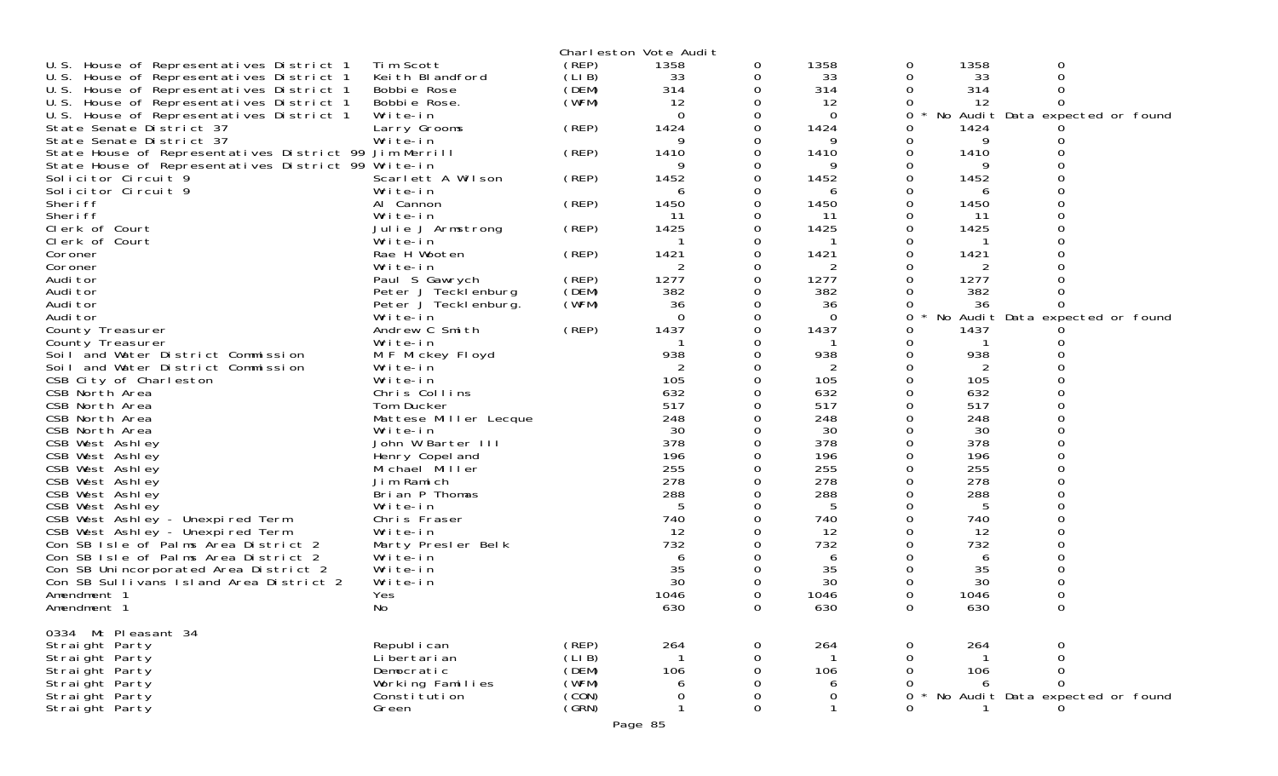|                                                                      |                       |        | Charleston Vote Audit |          |      |          |      |                                 |  |
|----------------------------------------------------------------------|-----------------------|--------|-----------------------|----------|------|----------|------|---------------------------------|--|
| U.S. House of Representatives District 1                             | Tim Scott             | (REP)  | 1358                  | 0        | 1358 | 0        | 1358 | 0                               |  |
| U.S. House of Representatives District 1                             | Keith Blandford       | (LIB)  | 33                    | 0        | 33   | 0        | 33   | 0                               |  |
| U.S. House of Representatives District 1                             | Bobbie Rose           | (DEM)  | 314                   | 0        | 314  | 0        | 314  | 0                               |  |
| U.S. House of Representatives District 1                             | Bobbie Rose.          | (WFM)  | 12                    | 0        | 12   | 0        | -12  | $\Omega$                        |  |
| U.S. House of Representatives District 1                             | Write-in              |        | $\Omega$              | 0        | 0    | 0        |      | No Audit Data expected or found |  |
| State Senate District 37                                             | Larry Grooms          | (REP)  | 1424                  | 0        | 1424 | 0        | 1424 |                                 |  |
| State Senate District 37                                             | Write-in              |        | 9                     | 0        | 9    | 0        | 9    |                                 |  |
| State House of Representatives District 99 Jim Merrill               |                       | (REP)  | 1410                  | 0        | 1410 | 0        | 1410 |                                 |  |
| State House of Representatives District 99 Write-in                  |                       |        | Q                     | 0        | 9    |          |      |                                 |  |
| Solicitor Circuit 9                                                  | Scarlett A Wilson     | (REP)  | 1452                  | 0        | 1452 | 0        | 1452 |                                 |  |
| Solicitor Circuit 9                                                  | Write-in              |        | 6                     | 0        | 6    | 0        | 6    |                                 |  |
| Sheri ff                                                             | Al Cannon             | (REP)  | 1450                  | 0        | 1450 | 0        | 1450 |                                 |  |
| Sheri ff                                                             | Write-in              |        | -11                   | 0        | 11   | 0        | 11   |                                 |  |
| Clerk of Court                                                       |                       | (REP)  | 1425                  | 0        | 1425 |          | 1425 |                                 |  |
| Clerk of Court                                                       | Julie J Armstrong     |        |                       | 0        |      | 0        |      |                                 |  |
|                                                                      | Write-in              |        |                       |          |      |          |      |                                 |  |
| Coroner                                                              | Rae H Wooten          | (REP)  | 1421                  | 0        | 1421 | 0        | 1421 |                                 |  |
| Coroner                                                              | Write-in              |        | 2                     | 0        | 2    | 0        | 2    |                                 |  |
| Audi tor                                                             | Paul S Gawrych        | (REP)  | 1277                  | 0        | 1277 | 0        | 1277 |                                 |  |
| Audi tor                                                             | Peter J Tecklenburg   | (DEM)  | 382                   | 0        | 382  | 0        | 382  | 0                               |  |
| Audi tor                                                             | Peter J Tecklenburg.  | (WFM)  | 36                    | 0        | 36   | 0        | 36   | 0                               |  |
| Audi tor                                                             | Write-in              |        | $\Omega$              | 0        | 0    | 0        |      | No Audit Data expected or found |  |
| County Treasurer                                                     | Andrew C Smith        | (REP)  | 1437                  | 0        | 1437 | 0        | 1437 |                                 |  |
| County Treasurer                                                     | Write-in              |        |                       |          |      | 0        | -1   |                                 |  |
| Soil and Water District Commission                                   | M F Mickey Floyd      |        | 938                   | 0        | 938  | 0        | 938  |                                 |  |
| Soil and Water District Commission                                   | Write-in              |        | 2                     | 0        | 2    | 0        | 2    |                                 |  |
| CSB City of Charleston                                               | Write-in              |        | 105                   |          | 105  |          | 105  |                                 |  |
| CSB North Area                                                       | Chris Collins         |        | 632                   | 0        | 632  | 0        | 632  | $\Omega$                        |  |
| CSB North Area                                                       | Tom Ducker            |        | 517                   | 0        | 517  | 0        | 517  |                                 |  |
| CSB North Area                                                       | Mattese Miller Lecque |        | 248                   |          | 248  | 0        | 248  |                                 |  |
| CSB North Area                                                       | Write-in              |        | 30                    | 0        | 30   | 0        | 30   | $\Omega$                        |  |
| CSB West Ashley                                                      | John W Barter III     |        | 378                   | 0        | 378  | 0        | 378  |                                 |  |
| CSB West Ashley                                                      | Henry Copel and       |        | 196                   |          | 196  |          | 196  |                                 |  |
| CSB West Ashley                                                      | Michael Miller        |        | 255                   | 0        | 255  | 0        | 255  | ∩                               |  |
| CSB West Ashley                                                      | Jim Ramich            |        | 278                   | 0        | 278  | 0        | 278  |                                 |  |
| CSB West Ashley                                                      | Brian P Thomas        |        | 288                   |          | 288  |          | 288  |                                 |  |
| CSB West Ashley                                                      | Write-in              |        | 5                     | 0        | 5    | 0        | 5    |                                 |  |
|                                                                      | Chris Fraser          |        | 740                   | 0        | 740  | 0        | 740  |                                 |  |
| CSB West Ashley - Unexpired Term<br>CSB West Ashley - Unexpired Term | Write-in              |        | 12                    |          | 12   |          | 12   |                                 |  |
| Con SB Isle of Palms Area District 2                                 | Marty Presler Belk    |        | 732                   | $\Omega$ | 732  |          | 732  |                                 |  |
| Con SB Isle of Palms Area District 2                                 | Write-in              |        | 6                     | 0        | 6    | 0        | 6    |                                 |  |
| Con SB Unincorporated Area District 2                                | Write-in              |        | 35                    |          | 35   | 0        | 35   |                                 |  |
| Con SB Sullivans Island Area District 2                              | Write-in              |        | 30                    | 0        | 30   | $\Omega$ | 30   |                                 |  |
| Amendment 1                                                          | Yes                   |        | 1046                  | 0        | 1046 | 0        | 1046 |                                 |  |
|                                                                      |                       |        |                       |          |      |          |      |                                 |  |
| Amendment 1                                                          | No                    |        | 630                   | 0        | 630  | 0        | 630  | 0                               |  |
|                                                                      |                       |        |                       |          |      |          |      |                                 |  |
| 0334 Mt Pleasant 34                                                  |                       |        |                       |          |      |          |      |                                 |  |
| Straight Party                                                       | Republ i can          | (REP)  | 264                   | 0        | 264  | 0        | 264  | 0                               |  |
| Straight Party                                                       | Li bertari an         | (LI B) |                       | $\Omega$ |      | $\Omega$ |      | 0                               |  |
| Straight Party                                                       | Democratic            | (DEM)  | 106                   | 0        | 106  | $\Omega$ | 106  | 0                               |  |
| Straight Party                                                       | Working Families      | (WFM)  | 6                     | 0        | 6    | 0        |      | 0                               |  |
| Straight Party                                                       | Constitution          | (CON)  | $\Omega$              | $\Omega$ | 0    | 0        |      | No Audit Data expected or found |  |
| Straight Party                                                       | Green                 | (GRN)  |                       | 0        |      | $\Omega$ |      |                                 |  |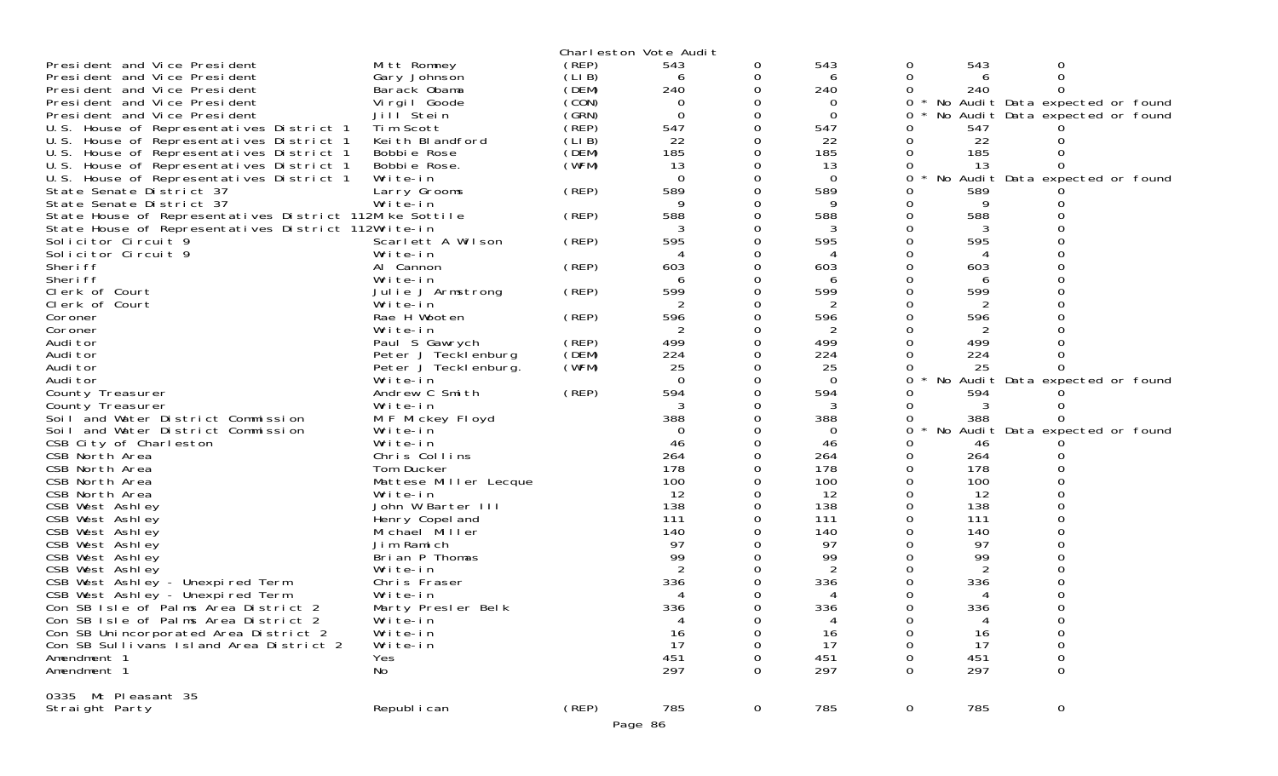| President and Vice President                            | Mitt Romney           | (REP) | Charleston Vote Audit<br>543 | 0           | 543         | 0           | 543 | 0                               |  |
|---------------------------------------------------------|-----------------------|-------|------------------------------|-------------|-------------|-------------|-----|---------------------------------|--|
| President and Vice President                            | Gary Johnson          | (LIB) | 6                            | 0           | 6           | 0           | 6   | 0                               |  |
| President and Vice President                            | Barack Obama          | (DEM) | 240                          |             | 240         | 0           | 240 |                                 |  |
| President and Vice President                            | Virgil Goode          | (CON) | $\Omega$                     |             | 0           | 0           |     | No Audit Data expected or found |  |
| President and Vice President                            | Jill Stein            | (GRN) | $\Omega$                     |             | $\Omega$    | 0           |     | No Audit Data expected or found |  |
| U.S. House of Representatives District 1                | Tim Scott             | (REP) | 547                          |             | 547         |             | 547 |                                 |  |
| U.S. House of Representatives District 1                | Keith Blandford       | (LIB) | 22                           |             | 22          | 0           | 22  |                                 |  |
| U.S. House of Representatives District 1                | Bobbie Rose           | (DEM) | 185                          |             | 185         | 0           | 185 |                                 |  |
| U.S. House of Representatives District 1                | Bobbie Rose.          | (WFM) | 13                           |             | 13          | 0           | 13  |                                 |  |
| U.S. House of Representatives District 1                | Write-in              |       | $\Omega$                     |             | $\mathbf 0$ | 0           |     | No Audit Data expected or found |  |
| State Senate District 37                                | Larry Grooms          | (REP) | 589                          |             | 589         |             | 589 |                                 |  |
| State Senate District 37                                | Write-in              |       |                              |             |             |             |     |                                 |  |
| State House of Representatives District 112Mike Sottile |                       | (REP) | 588                          |             | 588         | 0           | 588 |                                 |  |
| State House of Representatives District 112Write-in     |                       |       |                              |             | 3           |             | 3   |                                 |  |
| Solicitor Circuit 9                                     | Scarlett A Wilson     | (REP) | 595                          |             | 595         | 0           | 595 |                                 |  |
| Solicitor Circuit 9                                     | Write-in              |       |                              |             | 4           |             |     |                                 |  |
| Sheri ff                                                | Al Cannon             | (REP) | 603                          |             | 603         |             | 603 |                                 |  |
| Sheri ff                                                | Write-in              |       |                              |             | 6           |             | 6   |                                 |  |
| Clerk of Court                                          | Julie J Armstrong     | (REP) | 599                          |             | 599         | 0           | 599 |                                 |  |
| Clerk of Court                                          | Write-in              |       |                              |             | 2           |             | 2   |                                 |  |
| Coroner                                                 | Rae H Wooten          | (REP) | 596                          |             | 596         | 0           | 596 |                                 |  |
| Coroner                                                 | Write-in              |       | 2                            |             | 2           | 0           | 2   |                                 |  |
| Audi tor                                                | Paul S Gawrych        | (REP) | 499                          |             | 499         |             | 499 |                                 |  |
| Audi tor                                                | Peter J Tecklenburg   | (DEM) | 224                          |             | 224         |             | 224 |                                 |  |
| Audi tor                                                | Peter J Tecklenburg.  | (WFM) | 25                           |             | 25          | 0           | 25  |                                 |  |
| Audi tor                                                | Write-in              |       | $\Omega$                     |             | $\Omega$    | 0           |     | No Audit Data expected or found |  |
| County Treasurer                                        | Andrew C Smith        | (REP) | 594                          |             | 594         |             | 594 |                                 |  |
| County Treasurer                                        | Write-in              |       | 3                            |             | 3           | O           | 3   |                                 |  |
| Soil and Water District Commission                      | M F Mickey Floyd      |       | 388                          |             | 388         | 0           | 388 |                                 |  |
| Soil and Water District Commission                      | Write-in              |       | $\Omega$                     |             | $\Omega$    | $\Omega$    |     | No Audit Data expected or found |  |
| CSB City of Charleston                                  | Write-in              |       | 46                           |             | 46          | 0           | 46  |                                 |  |
| CSB North Area                                          | Chris Collins         |       | 264                          |             | 264         | 0           | 264 |                                 |  |
| CSB North Area                                          | Tom Ducker            |       | 178                          |             | 178         | $\Omega$    | 178 |                                 |  |
| CSB North Area                                          | Mattese Miller Lecque |       | 100                          |             | 100         | 0           | 100 |                                 |  |
| CSB North Area                                          | Write-in              |       | 12                           |             | 12          | 0           | 12  |                                 |  |
| CSB West Ashley                                         | John W Barter III     |       | 138                          |             | 138         | $\Omega$    | 138 |                                 |  |
| CSB West Ashley                                         | Henry Copel and       |       | 111                          |             | 111         |             | 111 |                                 |  |
| CSB West Ashley                                         | Michael Miller        |       | 140                          |             | 140         |             | 140 |                                 |  |
| CSB West Ashley                                         | Jim Ramich            |       | 97                           |             | 97          |             | 97  |                                 |  |
| CSB West Ashley                                         | Brian P Thomas        |       | 99                           |             | 99          |             | 99  |                                 |  |
| CSB West Ashley                                         | Write-in              |       |                              |             | 2           |             |     |                                 |  |
| CSB West Ashley - Unexpired Term                        | Chris Fraser          |       | 336                          |             | 336         |             | 336 |                                 |  |
| CSB West Ashley - Unexpired Term                        | Write-in              |       |                              |             |             |             |     |                                 |  |
| Con SB Isle of Palms Area District 2                    | Marty Presler Belk    |       | 336                          |             | 336         |             | 336 |                                 |  |
| Con SB Isle of Palms Area District 2                    | Write-in              |       |                              |             | 4           | 0           | 4   | 0                               |  |
| Con SB Unincorporated Area District 2                   | Write-in              |       | 16                           |             | 16          | Ω           | 16  | 0                               |  |
| Con SB Sullivans Island Area District 2                 | Write-in              |       | 17                           |             | 17          |             | 17  | 0                               |  |
| Amendment 1                                             | Yes                   |       | 451                          |             | 451         |             | 451 | 0                               |  |
| Amendment 1                                             | No                    |       | 297                          |             | 297         |             | 297 | $\Omega$                        |  |
| 0335 Mt Pleasant 35                                     |                       |       |                              |             |             |             |     |                                 |  |
| Straight Party                                          | Republ i can          | (REP) | 785                          | $\mathbf 0$ | 785         | $\mathbf 0$ | 785 | $\mathbf 0$                     |  |
|                                                         |                       |       | Page 86                      |             |             |             |     |                                 |  |
|                                                         |                       |       |                              |             |             |             |     |                                 |  |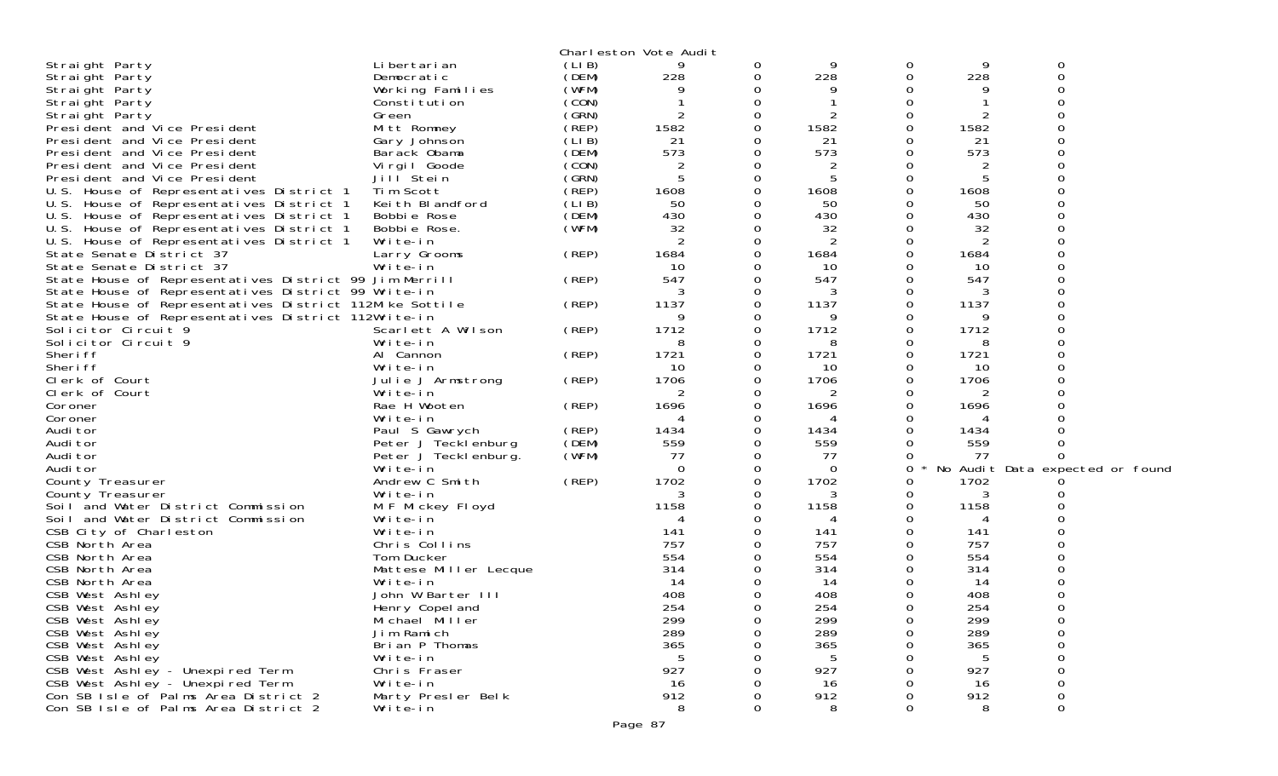|                                                         |                       |       | Charleston Vote Audit |          |          |   |      |                                 |
|---------------------------------------------------------|-----------------------|-------|-----------------------|----------|----------|---|------|---------------------------------|
| Straight Party                                          | Li bertari an         | (LIB) | 9                     | 0        | 9        | 0 | 9    | 0                               |
| Straight Party                                          | Democratic            | (DEM) | 228                   | 0        | 228      | 0 | 228  | 0                               |
| Straight Party                                          | Working Families      | (WFM) |                       | 0        | 9        |   | 9    |                                 |
| Straight Party                                          | Constitution          | (CON) |                       | $\Omega$ |          |   |      |                                 |
| Straight Party                                          | Green                 | (GRN) | 2                     | 0        | 2        |   |      |                                 |
| President and Vice President                            | Mitt Romney           | (REP) | 1582                  | 0        | 1582     |   | 1582 |                                 |
| President and Vice President                            | Gary Johnson          | (LIB) | 21                    | $\Omega$ | 21       |   | 21   |                                 |
| President and Vice President                            | Barack Obama          | (DEM) | 573                   | 0        | 573      |   | 573  |                                 |
| President and Vice President                            | Virgil Goode          | (CON) | 2                     | 0        | 2        |   |      |                                 |
| President and Vice President                            | Jill Stein            | (GRN) | 5                     | $\Omega$ | 5        | ∩ | 5    |                                 |
| U.S. House of Representatives District 1                | Tim Scott             | (REP) | 1608                  | 0        | 1608     | Ω | 1608 |                                 |
| U.S. House of Representatives District 1                | Keith Blandford       | (LIB) | 50                    | 0        | 50       |   | 50   |                                 |
| U.S. House of Representatives District 1                | Bobbie Rose           | (DEM) | 430                   | $\Omega$ | 430      | O | 430  |                                 |
| U.S. House of Representatives District 1                | Bobbie Rose.          | (WFM) | 32                    | 0        | 32       |   | 32   |                                 |
| U.S. House of Representatives District 1                | Write-in              |       | 2                     | 0        | 2        | Ω | 2    |                                 |
| State Senate District 37                                | Larry Grooms          | (REP) | 1684                  | $\Omega$ | 1684     | O | 1684 |                                 |
| State Senate District 37                                | Write-in              |       | 10                    | 0        | 10       |   | 10   |                                 |
|                                                         |                       | (REP) | 547                   | 0        | 547      |   | 547  |                                 |
| State House of Representatives District 99 Jim Merrill  |                       |       | 3                     |          |          |   |      |                                 |
| State House of Representatives District 99 Write-in     |                       |       |                       | $\Omega$ | 3        | Ω | 3    |                                 |
| State House of Representatives District 112Mike Sottile |                       | (REP) | 1137                  | 0        | 1137     |   | 1137 |                                 |
| State House of Representatives District 112Write-in     |                       |       | 9                     | 0        | 9        |   | 9    |                                 |
| Solicitor Circuit 9                                     | Scarlett A Wilson     | (REP) | 1712                  | $\Omega$ | 1712     | Ω | 1712 |                                 |
| Solicitor Circuit 9                                     | Write-in              |       | 8                     | 0        | 8        |   | 8    |                                 |
| Sheri ff                                                | Al Cannon             | (REP) | 1721                  | 0        | 1721     | O | 1721 |                                 |
| Sheri ff                                                | Write-in              |       | 10                    | 0        | 10       | Ω | 10   |                                 |
| Clerk of Court                                          | Julie J Armstrong     | (REP) | 1706                  | 0        | 1706     |   | 1706 |                                 |
| Clerk of Court                                          | Write-in              |       | 2                     | 0        | 2        |   |      |                                 |
| Coroner                                                 | Rae H Wooten          | (REP) | 1696                  | $\Omega$ | 1696     | Ω | 1696 |                                 |
| Coroner                                                 | Write-in              |       | 4                     | 0        | 4        |   |      |                                 |
| Audi tor                                                | Paul S Gawrych        | (REP) | 1434                  | 0        | 1434     |   | 1434 |                                 |
| Audi tor                                                | Peter J Tecklenburg   | (DEM) | 559                   | 0        | 559      |   | 559  |                                 |
| Audi tor                                                | Peter J Tecklenburg.  | (WFM) | 77                    | 0        | -77      |   | 77   |                                 |
| Audi tor                                                | Write-in              |       | $\Omega$              | 0        | $\Omega$ | 0 |      | No Audit Data expected or found |
| County Treasurer                                        | Andrew C Smith        | (REP) | 1702                  | 0        | 1702     | Ω | 1702 |                                 |
| County Treasurer                                        | Write-in              |       | 3                     | 0        | 3        |   | 3    |                                 |
| Soil and Water District Commission                      | M F Mickey Floyd      |       | 1158                  | 0        | 1158     | Ω | 1158 |                                 |
| Soil and Water District Commission                      | Write-in              |       | 4                     | 0        | 4        | 0 | 4    |                                 |
| CSB City of Charleston                                  | Write-in              |       | 141                   | 0        | 141      |   | 141  |                                 |
| CSB North Area                                          | Chris Collins         |       | 757                   | 0        | 757      |   | 757  |                                 |
| CSB North Area                                          | Tom Ducker            |       | 554                   | 0        | 554      |   | 554  |                                 |
| CSB North Area                                          | Mattese Miller Lecque |       | 314                   |          | 314      |   | 314  |                                 |
| CSB North Area                                          | Write-in              |       | 14                    | $\Omega$ | 14       |   | 14   |                                 |
| CSB West Ashley                                         | John W Barter III     |       | 408                   | 0        | 408      |   | 408  |                                 |
| CSB West Ashley                                         | Henry Copel and       |       | 254                   | 0        | 254      | 0 | 254  | $\Omega$                        |
| CSB West Ashley                                         | Michael Miller        |       | 299                   | 0        | 299      | 0 | 299  |                                 |
| CSB West Ashley                                         | Jim Ramich            |       | 289                   | 0        | 289      | O | 289  | $\mathbf 0$                     |
| CSB West Ashley                                         | Brian P Thomas        |       | 365                   |          | 365      |   | 365  | $\Omega$                        |
| CSB West Ashley                                         | Write-in              |       |                       |          | 5        |   | 5    | $\Omega$                        |
| CSB West Ashley - Unexpired Term                        | Chris Fraser          |       | 927                   |          | 927      |   | 927  | $\mathbf 0$                     |
| CSB West Ashley - Unexpired Term                        | Write-in              |       | 16                    |          | 16       |   | 16   | 0                               |
| Con SB Isle of Palms Area District 2                    | Marty Presler Belk    |       | 912                   |          | 912      |   | 912  | $\boldsymbol{0}$                |
| Con SB Isle of Palms Area District 2                    | Write-in              |       | 8                     | $\Omega$ | 8        | O | 8    | $\Omega$                        |
|                                                         |                       |       |                       |          |          |   |      |                                 |
|                                                         |                       |       | Page 87               |          |          |   |      |                                 |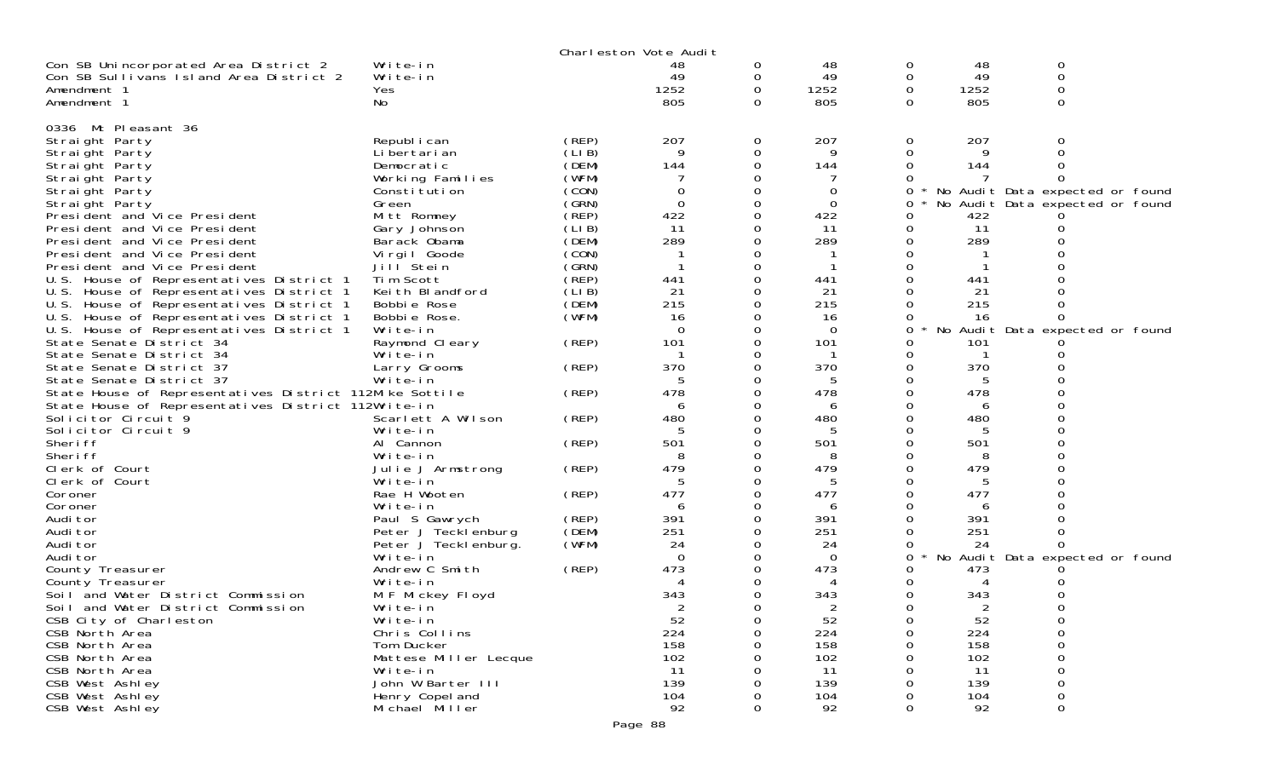|                                                         |                            |                | Charleston Vote Audit |              |               |   |          |          |                                 |
|---------------------------------------------------------|----------------------------|----------------|-----------------------|--------------|---------------|---|----------|----------|---------------------------------|
| Con SB Unincorporated Area District 2                   | Write-in                   |                | 48                    | 0            | 48            | 0 | 48       | 0        |                                 |
| Con SB Sullivans Island Area District 2                 | Write-in                   |                | 49                    | 0            | 49            | 0 | 49       | 0        |                                 |
| Amendment 1                                             | Yes                        |                | 1252                  | 0            | 1252          | 0 | 1252     | 0        |                                 |
| Amendment 1                                             | No                         |                | 805                   | $\Omega$     | 805           | 0 | 805      | $\Omega$ |                                 |
|                                                         |                            |                |                       |              |               |   |          |          |                                 |
| 0336 Mt Pleasant 36                                     |                            |                |                       |              |               |   |          |          |                                 |
| Straight Party                                          | Republ i can               | (REP)          | 207                   | 0            | 207           | 0 | 207      | O        |                                 |
| Straight Party                                          | Li bertari an              | (LIB)          | 9                     | 0            | 9             | 0 | 9        |          |                                 |
| Straight Party                                          | Democratic                 | (DEM)          | 144                   | 0            | 144           | 0 | 144      |          |                                 |
| Straight Party                                          | Working Families           | (WFM)<br>(CON) | 0                     | 0<br>0       |               | 0 |          |          |                                 |
| Straight Party                                          | Constitution<br>Green      | (GRN)          | $\overline{0}$        | 0            | 0<br>$\Omega$ | 0 |          |          | No Audit Data expected or found |
| Straight Party<br>President and Vice President          | Mitt Romney                | (REP)          | 422                   | 0            | 422           | 0 | 422      |          | No Audit Data expected or found |
| President and Vice President                            | Gary Johnson               | (LIB)          | 11                    | 0            | 11            | 0 | 11       |          |                                 |
| President and Vice President                            | Barack Obama               | (DEM)          | 289                   | 0            | 289           |   | 289      |          |                                 |
| President and Vice President                            | Virgil Goode               | (CON)          |                       | 0            |               |   |          |          |                                 |
| President and Vice President                            | Jill <sup>Stein</sup>      | (GRN)          | -1                    | 0            |               |   |          |          |                                 |
| U.S. House of Representatives District 1                | Tim Scott                  | (REP)          | 441                   | 0            | 441           |   | 441      |          |                                 |
| U.S. House of Representatives District 1                | Keith Blandford            | (LIB)          | 21                    | 0            | 21            |   | 21       |          |                                 |
| U.S. House of Representatives District 1                | Bobbie Rose                | (DEM)          | 215                   | 0            | 215           |   | 215      |          |                                 |
| U.S. House of Representatives District 1                | Bobbie Rose.               | (WFM)          | 16                    | 0            | 16            |   | 16       |          |                                 |
| U.S. House of Representatives District 1                | Write-in                   |                | $\Omega$              | 0            | $\Omega$      | 0 | No       |          | Audit Data expected or found    |
| State Senate District 34                                | Raymond Cleary             | (REP)          | 101                   | 0            | 101           |   | 101      |          |                                 |
| State Senate District 34                                | Write-in                   |                |                       | 0            |               | 0 |          |          |                                 |
| State Senate District 37                                | Larry Grooms               | (REP)          | 370                   | 0            | 370           |   | 370      |          |                                 |
| State Senate District 37                                | Write-in                   |                | 5                     | 0            | 5             |   |          |          |                                 |
| State House of Representatives District 112Mike Sottile |                            | (REP)          | 478                   | 0            | 478           | 0 | 478      |          |                                 |
| State House of Representatives District 112Write-in     |                            |                | 6                     | 0            | 6             |   | 6        |          |                                 |
| Solicitor Circuit 9                                     | Scarlett A Wilson          | (REP)          | 480                   | 0            | 480           |   | 480      |          |                                 |
| Solicitor Circuit 9                                     | Write-in                   |                | 5                     | 0            | 5             |   |          |          |                                 |
| Sheri ff                                                | Al Cannon                  | (REP)          | 501                   | 0            | 501           |   | 501      |          |                                 |
| Sheri ff                                                | Write-in                   |                | 8                     | 0            | 8             |   |          |          |                                 |
| Clerk of Court                                          | Julie J Armstrong          | (REP)          | 479                   | 0            | 479           | 0 | 479      |          |                                 |
| Clerk of Court                                          | Write-in                   |                | 5                     | 0            | 5             |   | 5        |          |                                 |
| Coroner                                                 | Rae H Wooten               | (REP)          | 477                   | 0<br>0       | 477           |   | 477      |          |                                 |
| Coroner<br>Audi tor                                     | Write-in<br>Paul S Gawrych | (REP)          | 6<br>391              | 0            | 6<br>391      |   | 6<br>391 |          |                                 |
| Audi tor                                                | Peter J Tecklenburg        | (DEM)          | 251                   | 0            | 251           |   | 251      |          |                                 |
| Audi tor                                                | Peter J Tecklenburg.       | (WFM)          | 24                    | 0            | 24            |   | 24       |          |                                 |
| Audi tor                                                | Write-in                   |                | $\Omega$              | 0            | $\Omega$      | 0 |          |          | No Audit Data expected or found |
| County Treasurer                                        | Andrew C Smith             | (REP)          | 473                   | 0            | 473           | 0 | 473      |          |                                 |
| County Treasurer                                        | Write-in                   |                |                       | 0            | 4             |   |          |          |                                 |
| Soil and Water District Commission                      | M F Mickey Floyd           |                | 343                   | 0            | 343           | 0 | 343      |          |                                 |
| Soil and Water District Commission                      | Write-in                   |                | 2                     | 0            | 2             | 0 | 2        |          |                                 |
| CSB City of Charleston                                  | Write-in                   |                | 52                    | 0            | 52            | 0 | 52       | 0        |                                 |
| CSB North Area                                          | Chris Collins              |                | 224                   | $\mathbf{O}$ | 224           | 0 | 224      | 0        |                                 |
| CSB North Area                                          | Tom Ducker                 |                | 158                   | $\Omega$     | 158           | 0 | 158      | 0        |                                 |
| CSB North Area                                          | Mattese Miller Lecque      |                | 102                   | 0            | 102           |   | 102      |          |                                 |
| CSB North Area                                          | Write-in                   |                | 11                    | 0            | 11            |   | 11       |          |                                 |
| CSB West Ashley                                         | John W Barter III          |                | 139                   | 0            | 139           |   | 139      |          |                                 |
| CSB West Ashley                                         | Henry Copel and            |                | 104                   | 0            | 104           |   | 104      | 0        |                                 |
| CSB West Ashley                                         | Michael Miller             |                | 92                    | 0            | 92            | 0 | 92       | 0        |                                 |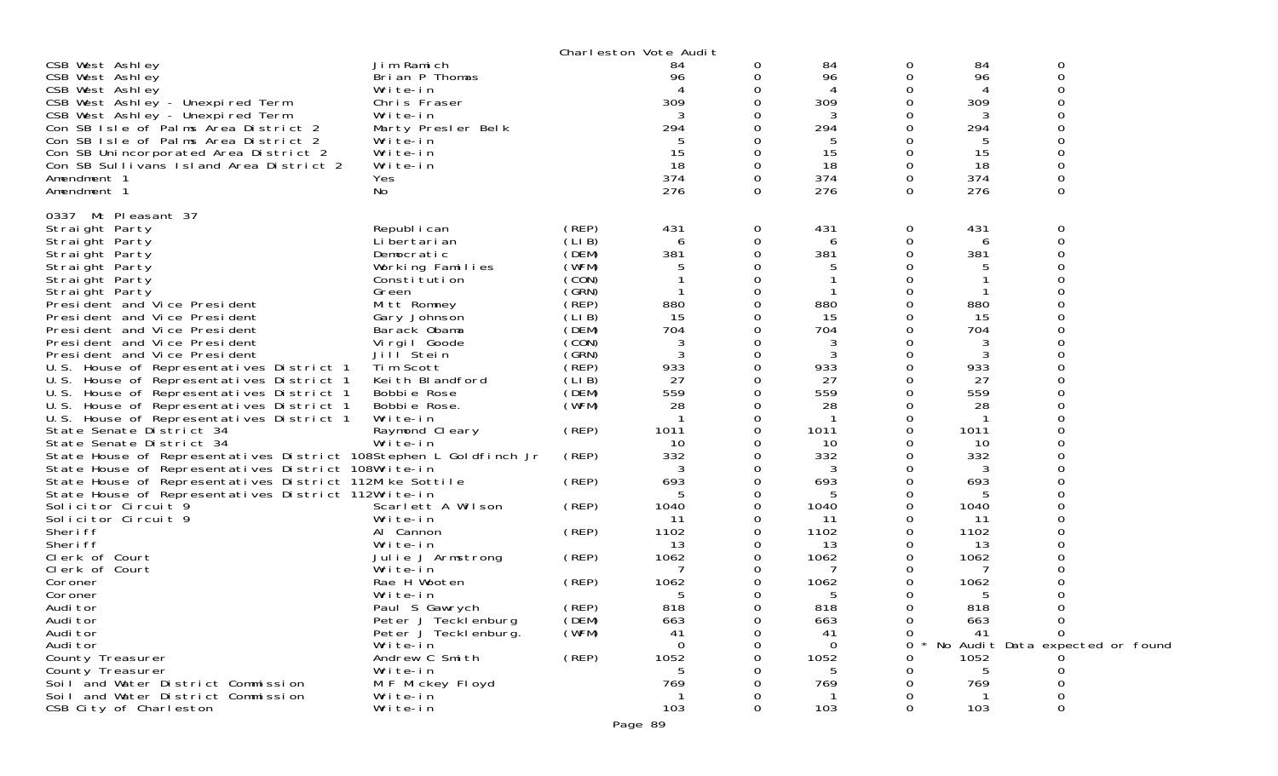|                                                                   |                                       |       | Charleston Vote Audit |          |           |          |           |                                 |
|-------------------------------------------------------------------|---------------------------------------|-------|-----------------------|----------|-----------|----------|-----------|---------------------------------|
| CSB West Ashley                                                   | Jim Ramich                            |       | 84                    | 0        | 84        | 0        | 84        | 0                               |
| CSB West Ashley                                                   | Brian P Thomas                        |       | 96                    | 0        | 96        | 0        | 96        | $\mathbf 0$                     |
| CSB West Ashley                                                   | Write-in                              |       |                       |          | 4         |          |           |                                 |
| CSB West Ashley - Unexpired Term                                  | Chris Fraser                          |       | 309                   | 0        | 309       | 0        | 309       |                                 |
| CSB West Ashley - Unexpired Term                                  | Write-in                              |       | 3                     | 0        | 3         |          | 3         |                                 |
| Con SB Isle of Palms Area District 2                              | Marty Presler Belk                    |       | 294                   |          | 294       | 0        | 294       |                                 |
| Con SB Isle of Palms Area District 2                              | Write-in                              |       | 5                     |          | 5         |          | 5         |                                 |
| Con SB Unincorporated Area District 2                             | Write-in                              |       | 15                    | 0        | 15        | 0        | 15        |                                 |
| Con SB Sullivans Island Area District 2                           | Write-in                              |       | 18                    | 0        | 18        | 0        | 18        |                                 |
| Amendment 1                                                       | Yes                                   |       | 374                   | 0        | 374       | 0        | 374       | $\mathbf 0$                     |
| Amendment 1                                                       | No                                    |       | 276                   | $\Omega$ | 276       | $\Omega$ | 276       | $\Omega$                        |
| 0337<br>Mt Pleasant 37                                            |                                       |       |                       |          |           |          |           |                                 |
| Straight Party                                                    | Republ i can                          | (REP) | 431                   | 0        | 431       | 0        | 431       | 0                               |
| Straight Party                                                    | Li bertari an                         | (LIB) | 6                     | 0        | 6         | 0        | 6         | $\Omega$                        |
| Straight Party                                                    | Democratic                            | (DEM) | 381                   | 0        | 381       | O        | 381       |                                 |
| Straight Party                                                    | Working Families                      | (WFM) | 5                     | 0        | 5         |          | 5         |                                 |
| Straight Party                                                    | Constitution                          | (CON) |                       | 0        |           |          |           |                                 |
| Straight Party                                                    | Green                                 | (GRN) |                       | 0        |           |          |           |                                 |
| President and Vice President                                      | Mitt Romney                           | (REP) | 880                   | 0        | 880       |          | 880       |                                 |
| President and Vice President                                      | Gary Johnson                          | (LIB) | 15                    | 0        | 15        |          | 15        |                                 |
| President and Vice President                                      | Barack Obama                          | (DEM) | 704                   | 0        | 704       | O        | 704       |                                 |
| President and Vice President                                      | Virgil Goode                          | (CON) | 3                     | 0        | 3         |          | 3         |                                 |
| President and Vice President                                      | Jill Stein                            | (GRN) | 3                     | 0        | 3         | 0        | 3         |                                 |
| U.S. House of Representatives District 1                          | Tim Scott                             | (REP) | 933                   | 0        | 933       | 0        | 933       |                                 |
| U.S. House of Representatives District 1                          | Keith Blandford                       | (LIB) | 27                    | 0        | 27        | 0        | 27        |                                 |
| U.S. House of Representatives District 1                          | Bobbie Rose                           | (DEM) | 559                   | 0        | 559       |          | 559       |                                 |
| U.S. House of Representatives District 1                          | Bobbie Rose.                          | (WFM) | 28                    | 0        | 28        |          | 28        |                                 |
| U.S. House of Representatives District 1                          | Write-in                              |       |                       | 0        |           |          |           |                                 |
| State Senate District 34                                          | Raymond Cleary                        | (REP) | 1011                  | 0        | 1011      |          | 1011      |                                 |
| State Senate District 34                                          | Write-in                              |       | 10                    | 0        | 10        |          | 10        |                                 |
| State House of Representatives District 108Stephen L Goldfinch Jr |                                       | (REP) | 332                   |          | 332       |          | 332       |                                 |
| State House of Representatives District 108Write-in               |                                       |       | 3                     | 0        | 3         |          | 3         |                                 |
| State House of Representatives District 112Mike Sottile           |                                       | (REP) | 693                   | 0        | 693       | Ω        | 693       |                                 |
| State House of Representatives District 112Write-in               |                                       |       | 5                     | 0        | 5         |          | 5         |                                 |
| Solicitor Circuit 9                                               | Scarlett A Wilson                     | (REP) | 1040                  | 0        | 1040      | O        | 1040      |                                 |
| Solicitor Circuit 9                                               | Write-in                              |       | 11                    | 0        | 11        | Ω        | 11        |                                 |
| Sheri ff                                                          | Al Cannon                             | (REP) | 1102                  | 0        | 1102      |          | 1102      |                                 |
| Sheri ff<br>Clerk of Court                                        | Write-in                              |       | 13                    | 0        | 13        |          | 13        |                                 |
|                                                                   | Julie J Armstrong                     | (REP) | 1062                  | 0        | 1062<br>7 | 0        | 1062<br>7 |                                 |
| Clerk of Court<br>Coroner                                         | Write-in<br>Rae H Wooten              | (REP) | 1062                  | 0<br>0   | 1062      | Ω        | 1062      |                                 |
| Coroner                                                           | Write-in                              |       | 5                     | 0        | 5         | Ω        | 5         |                                 |
| Audi tor                                                          |                                       | (REP) | 818                   | $\Omega$ | 818       | 0        | 818       | $\mathbf 0$                     |
| Audi tor                                                          | Paul S Gawrych<br>Peter J Tecklenburg | (DEM) | 663                   | 0        | 663       | 0        | 663       | 0                               |
| Audi tor                                                          | Peter J Teckl enburg.                 | (WFM) | 41                    | 0        | 41        | O        | 41        | $\Omega$                        |
| Audi tor                                                          | Write-in                              |       | $\Omega$              |          | $\Omega$  | 0        |           | No Audit Data expected or found |
| County Treasurer                                                  | Andrew C Smith                        | (REP) | 1052                  |          | 1052      |          | 1052      |                                 |
| County Treasurer                                                  | Write-in                              |       | 5                     |          | 5         |          | 5         |                                 |
| Soil and Water District Commission                                | M F Mickey Floyd                      |       | 769                   |          | 769       |          | 769       |                                 |
| Soil and Water District Commission                                | Write-in                              |       |                       |          |           |          |           |                                 |
| CSB City of Charleston                                            | Write-in                              |       | 103                   | 0        | 103       | Ω        | 103       | 0                               |
|                                                                   |                                       |       |                       |          |           |          |           |                                 |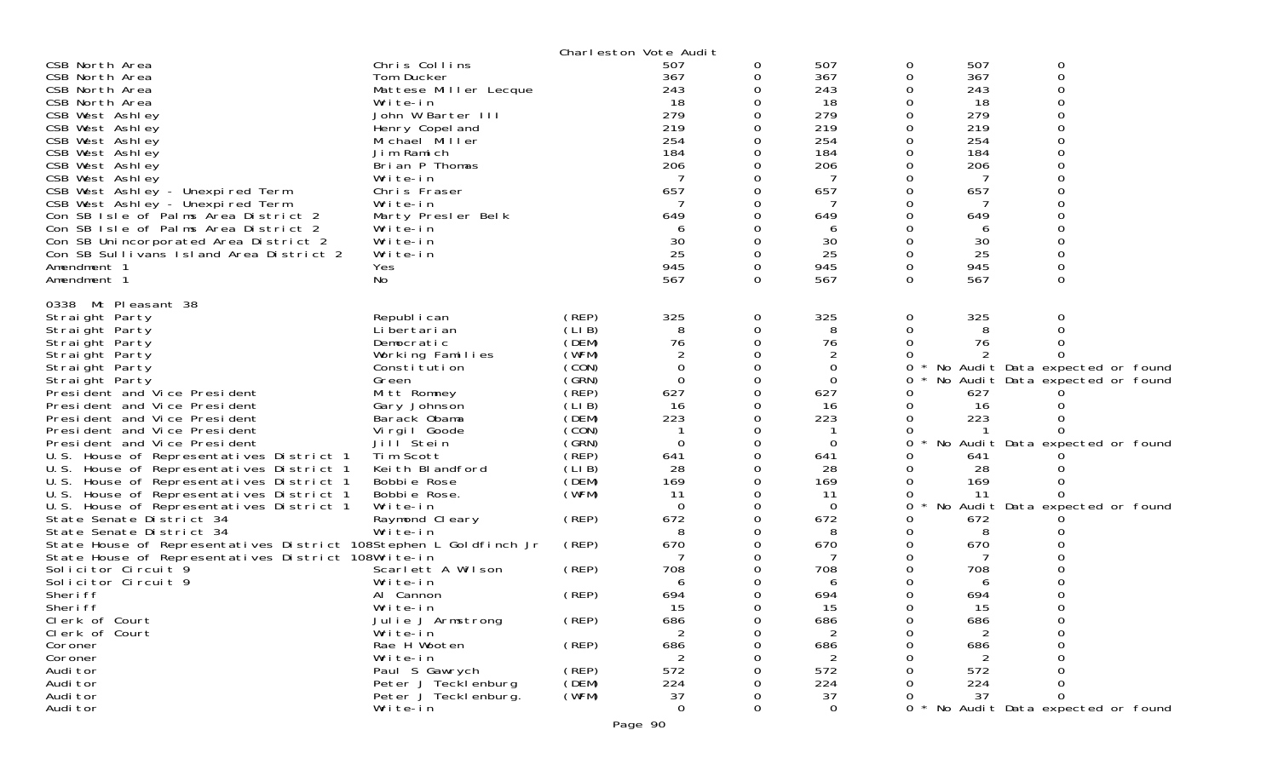|                                                                                      |                         |                | Charleston Vote Audit |          |                |          |           |                                     |
|--------------------------------------------------------------------------------------|-------------------------|----------------|-----------------------|----------|----------------|----------|-----------|-------------------------------------|
| CSB North Area                                                                       | Chris Collins           |                | 507                   | 0        | 507            | 0        | 507       | 0                                   |
| CSB North Area                                                                       | Tom Ducker              |                | 367                   | 0        | 367            | 0        | 367       | 0                                   |
| CSB North Area                                                                       | Mattese Miller Lecque   |                | 243                   |          | 243            |          | 243       |                                     |
| CSB North Area                                                                       | Write-in                |                | 18                    |          | 18             |          | 18        |                                     |
| CSB West Ashley                                                                      | John W Barter III       |                | 279                   |          | 279            |          | 279       |                                     |
| CSB West Ashley                                                                      | Henry Copel and         |                | 219                   |          | 219            |          | 219       |                                     |
| CSB West Ashley                                                                      | Michael Miller          |                | 254                   |          | 254            |          | 254       |                                     |
| CSB West Ashley                                                                      | Jim Ramich              |                | 184                   |          | 184            |          | 184       |                                     |
| CSB West Ashley                                                                      | Brian P Thomas          |                | 206                   |          | 206            |          | 206       |                                     |
| CSB West Ashley                                                                      | Write-in                |                |                       |          | 7              |          |           |                                     |
| CSB West Ashley - Unexpired Term                                                     | Chris Fraser            |                | 657                   |          | 657            |          | 657       |                                     |
| CSB West Ashley - Unexpired Term                                                     | Write-in                |                | 649                   |          | 7              |          |           |                                     |
| Con SB Isle of Palms Area District 2                                                 | Marty Presler Belk      |                |                       |          | 649            |          | 649       |                                     |
| Con SB Isle of Palms Area District 2                                                 | Write-in                |                | 6                     |          | 6              |          | 6         |                                     |
| Con SB Unincorporated Area District 2                                                | Write-in                |                | 30<br>25              | 0        | 30             |          | 30<br>25  |                                     |
| Con SB Sullivans Island Area District 2<br>Amendment 1                               | Write-in                |                | 945                   | 0        | 25<br>945      | 0        | 945       | 0                                   |
| Amendment 1                                                                          | Yes<br>No               |                | 567                   | $\Omega$ | 567            | $\Omega$ | 567       | $\Omega$                            |
|                                                                                      |                         |                |                       |          |                |          |           |                                     |
| 0338 Mt Pleasant 38                                                                  |                         |                |                       |          |                |          |           |                                     |
| Straight Party                                                                       | Republ i can            | (REP)          | 325                   | 0        | 325            | 0        | 325       |                                     |
| Straight Party                                                                       | Li bertari an           | (LIB)          | 8                     | 0        | 8              |          | 8         |                                     |
| Straight Party                                                                       | Democratic              | (DEM)          | 76                    |          | 76             |          | 76        |                                     |
| Straight Party                                                                       | Working Families        | (WFM)          | $\overline{2}$        |          |                |          |           |                                     |
| Straight Party                                                                       | Constitution            | (CON)          | $\Omega$              | 0        | 0              | 0        |           | No Audit Data expected or found     |
| Straight Party                                                                       | Green                   | (SRN)          | 0                     |          | 0              | 0        |           | No Audit Data expected or found     |
| President and Vice President                                                         | Mitt Romney             | (REP)          | 627                   | $\Omega$ | 627            |          | 627       |                                     |
| President and Vice President                                                         | Gary Johnson            | (LIB)          | 16                    | Ω        | 16             |          | 16        |                                     |
| President and Vice President                                                         | Barack Obama            | (DEM)          | 223                   |          | 223            |          | 223       |                                     |
| President and Vice President                                                         | Vi rgi I Goode          | (CON)<br>(GRN) | $\Omega$              | 0        |                |          |           |                                     |
| President and Vice President                                                         | Jill Stein<br>Tim Scott | (REP)          |                       |          | $\mathbf 0$    | 0        |           | No Audit Data expected or found     |
| U.S. House of Representatives District 1<br>U.S. House of Representatives District 1 | Keith Blandford         | (LIB)          | 641<br>28             | Ω        | 641<br>28      |          | 641<br>28 |                                     |
| U.S. House of Representatives District 1                                             | Bobbie Rose             | (DEM)          | 169                   | 0        | 169            |          | 169       |                                     |
| U.S. House of Representatives District 1                                             | Bobbie Rose.            | (WFM)          | 11                    |          | 11             |          | -11       |                                     |
| U.S. House of Representatives District 1                                             | Write-in                |                | $\Omega$              |          | 0              | 0        |           | No Audit Data expected or found     |
| State Senate District 34                                                             | Raymond Cleary          | (REP)          | 672                   | 0        | 672            |          | 672       |                                     |
| State Senate District 34                                                             | Write-in                |                | 8                     |          | 8              |          | 8         |                                     |
| State House of Representatives District 108Stephen L Goldfinch Jr                    |                         | (REP)          | 670                   |          | 670            |          | 670       |                                     |
| State House of Representatives District 108Write-in                                  |                         |                |                       |          | 7              |          |           |                                     |
| Solicitor Circuit 9                                                                  | Scarlett A Wilson       | (REP)          | 708                   |          | 708            |          | 708       |                                     |
| Solicitor Circuit 9                                                                  | Write-in                |                | 6                     |          | 6              |          | 6         |                                     |
| Sheri ff                                                                             | Al Cannon               | (REP)          | 694                   |          | 694            |          | 694       |                                     |
| Sheri ff                                                                             | Write-in                |                | 15                    | 0        | 15             | O        | 15        | 0                                   |
| Clerk of Court                                                                       | Julie J Armstrong       | (REP)          | 686                   | U        | 686            | 0        | 686       |                                     |
| Clerk of Court                                                                       | Write-in                |                | 2                     | O        | $\overline{2}$ | O        | 2         |                                     |
| Coroner                                                                              | Rae H Wooten            | (REP)          | 686                   |          | 686            |          | 686       |                                     |
| Coroner                                                                              | Write-in                |                |                       |          |                |          |           |                                     |
| Audi tor                                                                             | Paul S Gawrych          | (REP)          | 572                   |          | 572            |          | 572       |                                     |
| Audi tor                                                                             | Peter J Tecklenburg     | (DEM)          | 224                   |          | 224            |          | 224       |                                     |
| Audi tor                                                                             | Peter J Teckl enburg.   | (WFM)          | 37                    |          | 37             |          | 37        |                                     |
| Audi tor                                                                             | Write-in                |                | $\mathbf 0$           | 0        | $\mathbf 0$    |          |           | 0 * No Audit Data expected or found |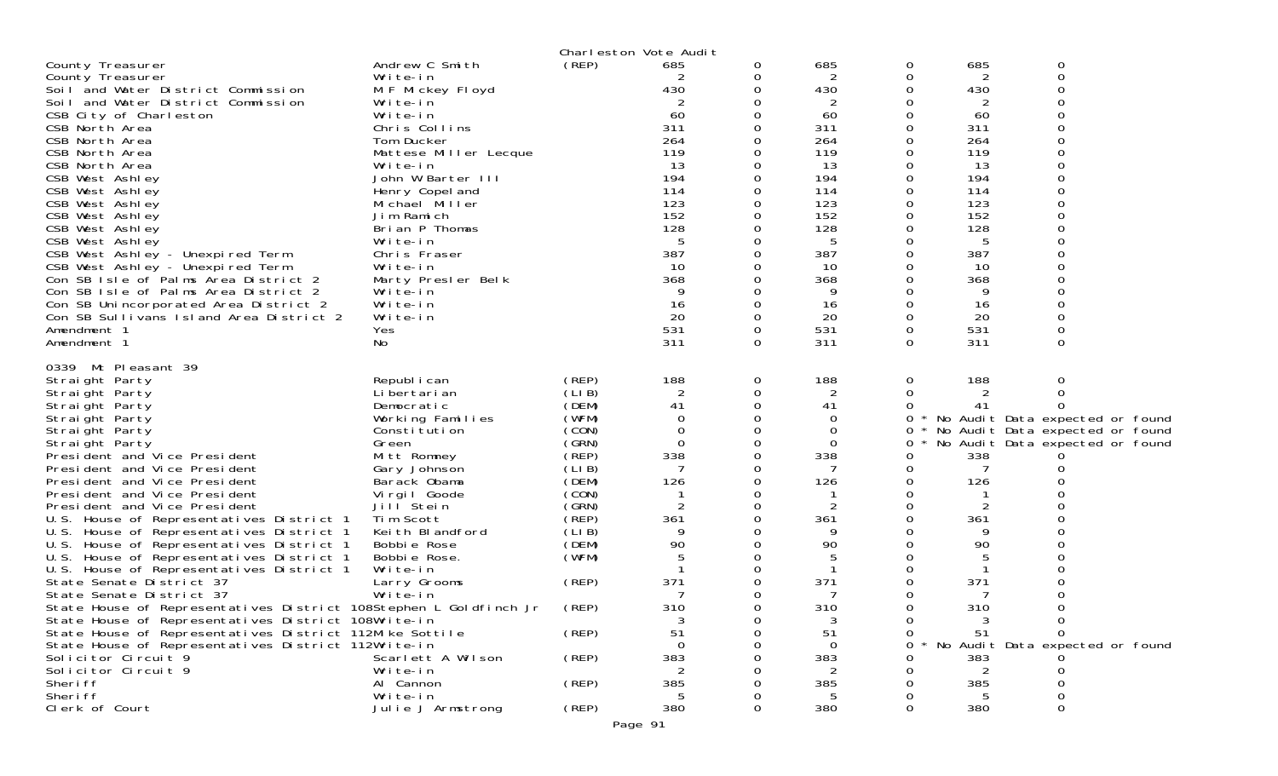|                                                                                      |                              | Charleston Vote Audit |           |              |                |          |           |                                   |  |
|--------------------------------------------------------------------------------------|------------------------------|-----------------------|-----------|--------------|----------------|----------|-----------|-----------------------------------|--|
| County Treasurer                                                                     | Andrew C Smith               | (REP)                 | 685       | 0            | 685            | 0        | 685       | 0                                 |  |
| County Treasurer                                                                     | Write-in                     |                       | 2         | 0            | 2              | 0        | 2         | 0                                 |  |
| Soil and Water District Commission                                                   | M F Mickey Floyd             |                       | 430       | 0            | 430            | O        | 430       |                                   |  |
| Soil and Water District Commission                                                   | Write-in                     |                       | 2         |              | 2              |          | 2         |                                   |  |
| CSB City of Charleston                                                               | Write-in                     |                       | 60        |              | 60             |          | 60        |                                   |  |
| CSB North Area                                                                       | Chris Collins                |                       | 311       | $\Omega$     | 311            | $\Omega$ | 311       |                                   |  |
| CSB North Area                                                                       | Tom Ducker                   |                       | 264       | 0            | 264            |          | 264       |                                   |  |
| CSB North Area                                                                       | Mattese Miller Lecque        |                       | 119       |              | 119            |          | 119       |                                   |  |
| CSB North Area                                                                       | Write-in                     |                       | 13        |              | 13             |          | 13        |                                   |  |
| CSB West Ashley                                                                      | John W Barter III            |                       | 194       | 0            | 194            |          | 194       |                                   |  |
| CSB West Ashley                                                                      | Henry Copel and              |                       | 114       |              | 114            |          | 114       |                                   |  |
| CSB West Ashley                                                                      | Michael Miller               |                       | 123       |              | 123            |          | 123       |                                   |  |
| CSB West Ashley                                                                      | Jim Ramich                   |                       | 152       | 0            | 152            |          | 152       |                                   |  |
| CSB West Ashley                                                                      | Brian P Thomas               |                       | 128       |              | 128            |          | 128       |                                   |  |
| CSB West Ashley                                                                      | Write-in                     |                       | -5        |              | 5              |          | 5         |                                   |  |
| CSB West Ashley - Unexpired Term                                                     | Chris Fraser                 |                       | 387       | 0            | 387            |          | 387       |                                   |  |
| CSB West Ashley - Unexpired Term                                                     | Write-in                     |                       | 10        |              | 10             |          | 10        |                                   |  |
| Con SB Isle of Palms Area District 2                                                 | Marty Presler Belk           |                       | 368       |              | 368            |          | 368       |                                   |  |
| Con SB Isle of Palms Area District 2                                                 | Write-in                     |                       | 9         |              | 9              |          | 9         |                                   |  |
| Con SB Unincorporated Area District 2                                                | Write-in                     |                       | 16        |              | 16             |          | 16        |                                   |  |
| Con SB Sullivans Island Area District 2<br>Amendment 1                               | Write-in<br>Yes              |                       | 20<br>531 | 0<br>0       | 20<br>531      | 0        | 20<br>531 |                                   |  |
| Amendment 1                                                                          | No                           |                       | 311       | 0            | 311            | $\Omega$ | 311       | $\Omega$                          |  |
|                                                                                      |                              |                       |           |              |                |          |           |                                   |  |
| 0339 Mt Pleasant 39                                                                  |                              |                       |           |              |                |          |           |                                   |  |
| Straight Party                                                                       | Republ i can                 | (REP)                 | 188       | 0            | 188            | 0        | 188       | 0                                 |  |
| Straight Party                                                                       | Li bertari an                | (LIB)                 | 2         | 0            | 2              | 0        |           |                                   |  |
| Straight Party                                                                       | Democratic                   | (DEM)                 | 41        | 0            | 41             | 0        | 41        |                                   |  |
| Straight Party                                                                       | Working Families             | (WFM)                 | 0         | 0            | 0              | 0        |           | * No Audit Data expected or found |  |
| Straight Party                                                                       | Constitution                 | (CON)                 | 0         | 0            | 0              | 0        |           | No Audit Data expected or found   |  |
| Straight Party                                                                       | Green                        | (GRN)                 | $\Omega$  | 0            | 0              | 0        |           | No Audit Data expected or found   |  |
| President and Vice President                                                         | Mitt Romney                  | (REP)                 | 338       | 0            | 338            | Ω        | 338       |                                   |  |
| President and Vice President                                                         | Gary Johnson                 | (LIB)                 | 7         | 0            | -7             | O        | 7         |                                   |  |
| President and Vice President                                                         | Barack Obama                 | (DEM)                 | 126       | 0            | 126            | 0        | 126       |                                   |  |
| President and Vice President                                                         | Virgil Goode                 | (CON)                 |           |              | -1             |          |           |                                   |  |
| President and Vice President                                                         | Jill Stein                   | (GRN)<br>(REP)        | 2         | 0            | $\overline{2}$ |          | 2         |                                   |  |
| U.S. House of Representatives District 1<br>U.S. House of Representatives District 1 | Tim Scott<br>Keith Blandford | (LIB)                 | 361<br>9  | 0            | 361<br>9       |          | 361<br>9  |                                   |  |
| U.S. House of Representatives District 1                                             | Bobbie Rose                  | (DEM)                 | 90        | 0            | 90             |          | 90        |                                   |  |
| U.S. House of Representatives District 1                                             | Bobbie Rose.                 | (WFM)                 | 5         |              | 5              |          | 5         |                                   |  |
| U.S. House of Representatives District 1                                             | Write-in                     |                       |           |              |                |          |           |                                   |  |
| State Senate District 37                                                             | Larry Grooms                 | (REP)                 | 371       | 0            | 371            | Ω        | 371       |                                   |  |
| State Senate District 37                                                             | Write-in                     |                       |           | 0            | 7              |          |           |                                   |  |
| State House of Representatives District 108Stephen L Goldfinch Jr                    |                              | (REP)                 | 310       | <sup>0</sup> | 310            |          | 310       | ∩                                 |  |
| State House of Representatives District 108Write-in                                  |                              |                       |           | 0            | 3              | 0        | 3         |                                   |  |
| State House of Representatives District 112Mike Sottile                              |                              | (REP)                 | 51        |              | 51             |          | 51        |                                   |  |
| State House of Representatives District 112Write-in                                  |                              |                       |           |              | 0              | Ω        |           | No Audit Data expected or found   |  |
| Solicitor Circuit 9                                                                  | Scarlett A Wilson            | (REP)                 | 383       |              | 383            |          | 383       |                                   |  |
| Solicitor Circuit 9                                                                  | Write-in                     |                       |           |              |                |          |           |                                   |  |
| Sheri ff                                                                             | Al Cannon                    | (REP)                 | 385       |              | 385            |          | 385       |                                   |  |
| Sheri ff                                                                             | Write-in                     |                       |           |              | 5              |          |           |                                   |  |
| Clerk of Court                                                                       | Julie J Armstrong            | (REP)                 | 380       |              | 380            |          | 380       |                                   |  |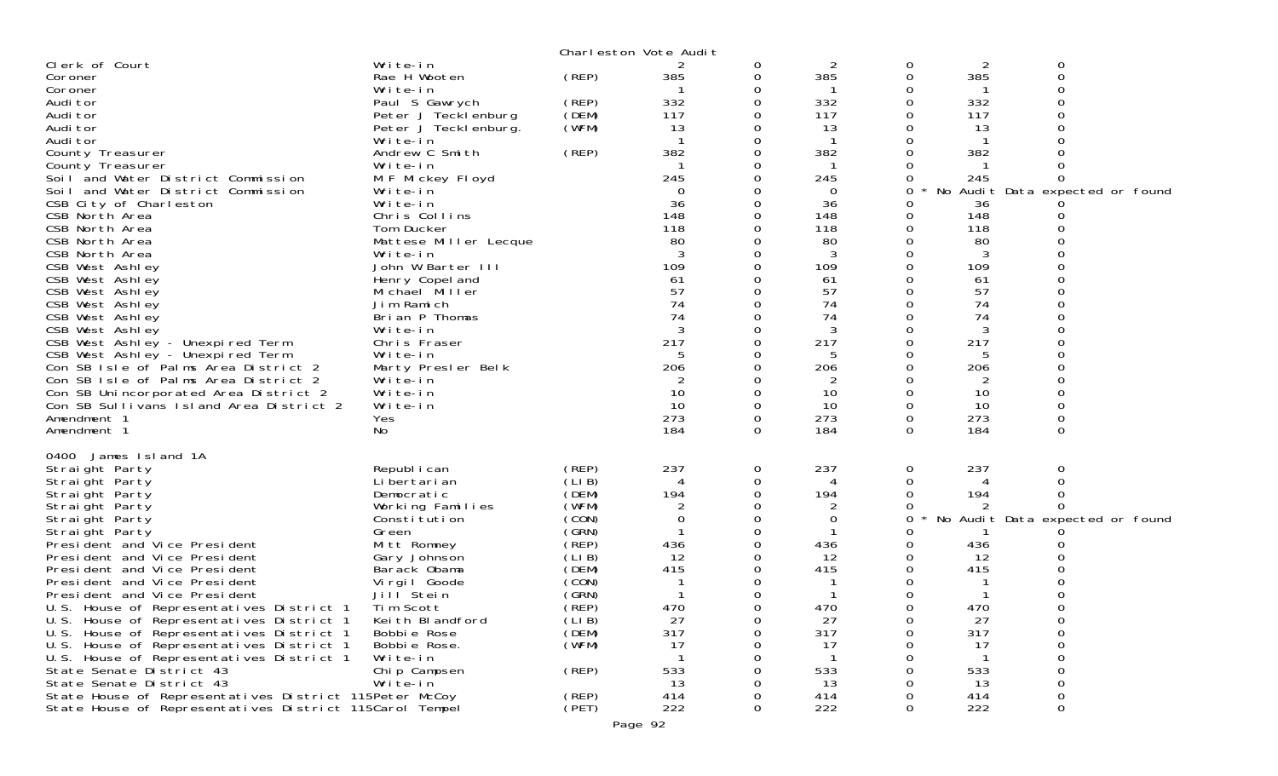|                                                                                                                                                                                                                                                                                                                                                                                                                                                                                                                                                                                                                                                                                                           |                                                                                                                                                                                                                                                                                                                                                                                                                                                                           |                                                                                                                                                                   | Charleston Vote Audit                                                                                                                                        |                                                         |                                                                                                                                                                                         |                                                                                                                                                                           |                                                                                                                                                                               |                                                                                                      |  |
|-----------------------------------------------------------------------------------------------------------------------------------------------------------------------------------------------------------------------------------------------------------------------------------------------------------------------------------------------------------------------------------------------------------------------------------------------------------------------------------------------------------------------------------------------------------------------------------------------------------------------------------------------------------------------------------------------------------|---------------------------------------------------------------------------------------------------------------------------------------------------------------------------------------------------------------------------------------------------------------------------------------------------------------------------------------------------------------------------------------------------------------------------------------------------------------------------|-------------------------------------------------------------------------------------------------------------------------------------------------------------------|--------------------------------------------------------------------------------------------------------------------------------------------------------------|---------------------------------------------------------|-----------------------------------------------------------------------------------------------------------------------------------------------------------------------------------------|---------------------------------------------------------------------------------------------------------------------------------------------------------------------------|-------------------------------------------------------------------------------------------------------------------------------------------------------------------------------|------------------------------------------------------------------------------------------------------|--|
| Clerk of Court<br>Coroner<br>Coroner<br>Audi tor<br>Audi tor<br>Audi tor<br>Audi tor<br>County Treasurer<br>County Treasurer<br>Soil and Water District Commission<br>Soil and Water District Commission<br>CSB City of Charleston<br>CSB North Area<br>CSB North Area<br>CSB North Area<br>CSB North Area<br>CSB West Ashley<br>CSB West Ashley<br>CSB West Ashley<br>CSB West Ashley<br>CSB West Ashley<br>CSB West Ashley<br>CSB West Ashley - Unexpired Term<br>CSB West Ashley - Unexpired Term<br>Con SB Isle of Palms Area District 2<br>Con SB Isle of Palms Area District 2<br>Con SB Unincorporated Area District 2<br>Con SB Sullivans Island Area District 2<br>Amendment 1<br>Amendment 1    | Write-in<br>Rae H Wooten<br>Write-in<br>Paul S Gawrych<br>Peter J Tecklenburg<br>Peter J Teckl enburg.<br>Write-in<br>Andrew C Smith<br>Write-in<br>M F Mickey Floyd<br>Write-in<br>Write-in<br>Chris Collins<br>Tom Ducker<br>Mattese Miller Lecque<br>Write-in<br>John W Barter III<br>Henry Copel and<br>Michael Miller<br>Jim Ramich<br>Brian P Thomas<br>Write-in<br>Chris Fraser<br>Write-in<br>Marty Presler Belk<br>Write-in<br>Write-in<br>Write-in<br>Yes<br>No | (REP)<br>(REP)<br>(DEM)<br>(WFM)<br>(REP)                                                                                                                         | 2<br>385<br>332<br>117<br>13<br>382<br>245<br>$\Omega$<br>36<br>148<br>118<br>80<br>109<br>61<br>57<br>74<br>74<br>217<br>5<br>206<br>10<br>10<br>273<br>184 | 0<br>0<br>0<br>0<br>0<br>$\Omega$<br>0<br>0<br>$\Omega$ | $\overline{2}$<br>385<br>332<br>117<br>13<br>-1<br>382<br>245<br>0<br>36<br>148<br>118<br>80<br>3<br>109<br>61<br>57<br>74<br>74<br>3<br>217<br>5<br>206<br>2<br>10<br>10<br>273<br>184 | 0<br>0<br>0<br>0<br>0<br>0<br>0<br>$\Omega$<br>0<br>0<br>0<br>0<br>0<br>$\Omega$<br>0<br>0<br>0<br>0<br>0<br>0<br>0<br>0<br>0<br>$\Omega$<br>$\mathbf 0$<br>0<br>$\Omega$ | $\overline{2}$<br>385<br>332<br>117<br>13<br>-1<br>382<br>245<br>36<br>148<br>118<br>80<br>3<br>109<br>61<br>57<br>74<br>74<br>3<br>217<br>5<br>206<br>10<br>10<br>273<br>184 | 0<br>0<br>$\Omega$<br>0<br>No Audit Data expected or found<br>O<br>0<br>0<br>0<br>$\Omega$           |  |
| 0400 James Island 1A<br>Straight Party<br>Straight Party<br>Straight Party<br>Straight Party<br>Straight Party<br>Straight Party<br>President and Vice President<br>President and Vice President<br>President and Vice President<br>President and Vice President<br>President and Vice President<br>U.S. House of Representatives District 1<br>U.S. House of Representatives District 1<br>U.S. House of Representatives District 1<br>U.S. House of Representatives District 1<br>U.S. House of Representatives District 1<br>State Senate District 43<br>State Senate District 43<br>State House of Representatives District 115Peter McCoy<br>State House of Representatives District 115Carol Tempel | Republ i can<br>Li bertari an<br>Democratic<br>Working Families<br>Constitution<br>Green<br>Mitt Romney<br>Gary Johnson<br>Barack Obama<br>Virgil Goode<br>Jill Stein<br>Tim Scott<br>Keith Blandford<br>Bobbie Rose<br>Bobbie Rose.<br>Write-in<br>Chip Campsen<br>Write-in                                                                                                                                                                                              | (REP)<br>(LIB)<br>(DEM)<br>(WFM)<br>(CON)<br>(GRN)<br>(REP)<br>(LIB)<br>(DEM)<br>(CON)<br>(GRN)<br>$($ REP)<br>(LIB)<br>(DEM)<br>(WFM)<br>(REP)<br>(REP)<br>(PET) | 237<br>4<br>194<br>2<br>436<br>12<br>415<br>470<br>27<br>317<br>-17<br>533<br>13<br>414<br>222                                                               | 0<br>0<br>0<br>0                                        | 237<br>4<br>194<br>2<br>0<br>436<br>12<br>415<br>470<br>27<br>317<br>17<br>533<br>13<br>414<br>222                                                                                      | 0<br>0<br>0<br>0<br>0<br>0<br>0<br>0<br>0<br>0<br>0<br>0<br>0<br>$\Omega$                                                                                                 | 237<br>4<br>194<br>436<br>12<br>415<br>470<br>27<br>317<br>17<br>533<br>13<br>414<br>222                                                                                      | 0<br>$\Omega$<br>0<br>No Audit Data expected or found<br>$\Omega$<br>0<br>0<br>Ω<br>0<br>0<br>0<br>0 |  |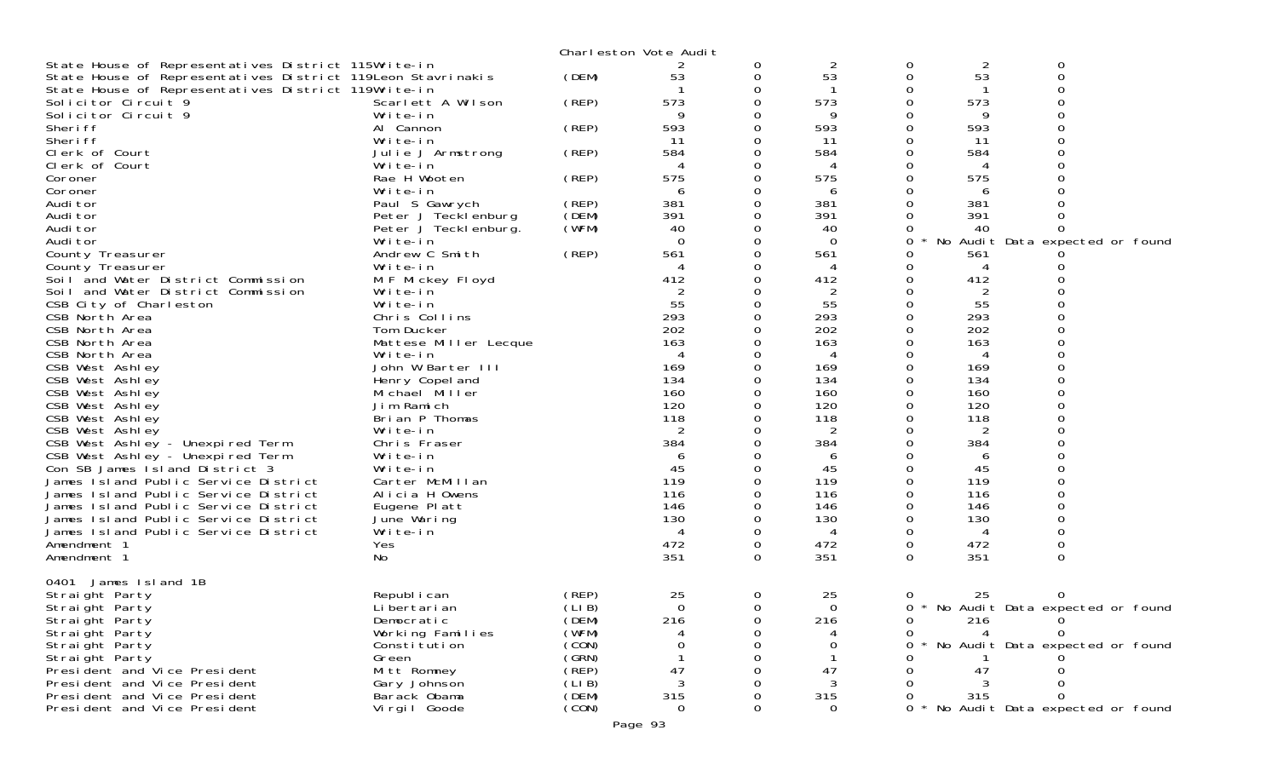|                                                                            |                            |       | Charleston Vote Audit |          |             |   |          |                                 |  |
|----------------------------------------------------------------------------|----------------------------|-------|-----------------------|----------|-------------|---|----------|---------------------------------|--|
| State House of Representatives District 115Write-in                        |                            |       |                       | 0        | 2           | 0 | 2        | 0                               |  |
| State House of Representatives District 119Leon Stavrinakis                |                            | (DEM) | 53                    | 0        | 53          | 0 | 53       | $\Omega$                        |  |
| State House of Representatives District 119Write-in<br>Solicitor Circuit 9 | Scarlett A Wilson          | (REP) | 573                   | 0<br>0   | 573         |   | 573      |                                 |  |
| Solicitor Circuit 9                                                        | Write-in                   |       | 9                     | 0        | 9           |   | 9        |                                 |  |
| Sheri ff                                                                   | Al Cannon                  | (REP) | 593                   |          | 593         |   | 593      |                                 |  |
| Sheri ff                                                                   | Write-in                   |       | 11                    | 0        | -11         |   | 11       |                                 |  |
| Clerk of Court                                                             | Julie J Armstrong          | (REP) | 584                   | 0        | 584         |   | 584      |                                 |  |
| Clerk of Court                                                             | Write-in                   |       | 4                     |          | 4           |   |          |                                 |  |
| Coroner                                                                    | Rae H Wooten               | (REP) | 575                   | 0        | 575         |   | 575      |                                 |  |
| Coroner                                                                    | Write-in                   |       | 6                     | 0        | 6           |   | 6        |                                 |  |
| Audi tor                                                                   | Paul S Gawrych             | (REP) | 381                   |          | 381         |   | 381      |                                 |  |
| Audi tor                                                                   | Peter J Tecklenburg        | (DEM) | 391                   | 0        | 391         |   | 391      |                                 |  |
| Audi tor                                                                   | Peter J Tecklenburg.       | (WFM) | 40                    | 0        | 40          |   | 40       |                                 |  |
| Audi tor                                                                   | Write-in                   |       | $\Omega$              |          | $\Omega$    | 0 |          | No Audit Data expected or found |  |
| County Treasurer                                                           | Andrew C Smith<br>Write-in | (REP) | 561<br>4              | 0<br>0   | 561<br>4    |   | 561<br>4 |                                 |  |
| County Treasurer<br>Soil and Water District Commission                     | M F Mickey Floyd           |       | 412                   |          | 412         |   | 412      |                                 |  |
| Soil and Water District Commission                                         | Write-in                   |       | 2                     | O        | 2           |   | 2        |                                 |  |
| CSB City of Charleston                                                     | Write-in                   |       | 55                    | 0        | 55          |   | 55       |                                 |  |
| CSB North Area                                                             | Chris Collins              |       | 293                   |          | 293         |   | 293      |                                 |  |
| CSB North Area                                                             | Tom Ducker                 |       | 202                   | O        | 202         |   | 202      |                                 |  |
| CSB North Area                                                             | Mattese Miller Lecque      |       | 163                   |          | 163         |   | 163      |                                 |  |
| CSB North Area                                                             | Write-in                   |       | 4                     |          | 4           |   | 4        |                                 |  |
| CSB West Ashley                                                            | John W Barter III          |       | 169                   | 0        | 169         |   | 169      |                                 |  |
| CSB West Ashley                                                            | Henry Copel and            |       | 134                   |          | 134         |   | 134      |                                 |  |
| CSB West Ashley                                                            | Michael Miller             |       | 160                   |          | 160         |   | 160      |                                 |  |
| CSB West Ashley                                                            | Jim Ramich                 |       | 120                   |          | 120         |   | 120      |                                 |  |
| CSB West Ashley                                                            | Brian P Thomas             |       | 118                   |          | 118         |   | 118      |                                 |  |
| CSB West Ashley                                                            | Write-in<br>Chris Fraser   |       | $\overline{2}$<br>384 |          | 2<br>384    |   | 2<br>384 |                                 |  |
| CSB West Ashley - Unexpired Term<br>CSB West Ashley - Unexpired Term       | Write-in                   |       | 6                     |          | 6           |   | 6        |                                 |  |
| Con SB James Island District 3                                             | Write-in                   |       | 45                    | $\Omega$ | 45          |   | 45       |                                 |  |
| James Island Public Service District                                       | Carter McMillan            |       | 119                   | 0        | 119         |   | 119      |                                 |  |
| James Island Public Service District                                       | Alicia H Owens             |       | 116                   |          | 116         |   | 116      |                                 |  |
| James Island Public Service District                                       | Eugene Platt               |       | 146                   | 0        | 146         |   | 146      |                                 |  |
| James Island Public Service District                                       | June Waring                |       | 130                   | 0        | 130         |   | 130      |                                 |  |
| James Island Public Service District                                       | Write-in                   |       | 4                     | 0        | 4           |   | 4        |                                 |  |
| Amendment 1                                                                | Yes                        |       | 472                   | 0        | 472         | 0 | 472      | 0                               |  |
| Amendment 1                                                                | No                         |       | 351                   | 0        | 351         | 0 | 351      | $\Omega$                        |  |
|                                                                            |                            |       |                       |          |             |   |          |                                 |  |
| James Island 1B<br>0401<br>Straight Party                                  | Republ i can               | (REP) | 25                    | 0        | 25          | 0 | 25       |                                 |  |
| Straight Party                                                             | Li bertari an              | (LIB) | 0                     | 0        | $\mathbf 0$ | 0 |          | No Audit Data expected or found |  |
| Straight Party                                                             | Democratic                 | (DEM) | 216                   |          | 216         |   | 216      | 0                               |  |
| Straight Party                                                             | Working Families           | (WFM) |                       |          |             |   |          |                                 |  |
| Straight Party                                                             | Constitution               | (CON) |                       |          | $\Omega$    |   |          | No Audit Data expected or found |  |
| Straight Party                                                             | Green                      | (GRN) |                       |          |             |   |          |                                 |  |
| Presi dent and Vice Presi dent                                             | Mitt Romney                | (REP) | 47                    |          | 47          |   | 47       |                                 |  |
| President and Vice President                                               | Gary Johnson               | (LIB) |                       |          | 3           |   |          |                                 |  |
| President and Vice President                                               | Barack Obama               | (DEM) | 315                   |          | 315         |   | 315      |                                 |  |
| President and Vice President                                               | Virgil Goode               | (CON) | $\Omega$              | 0        | $\Omega$    | 0 |          | No Audit Data expected or found |  |
|                                                                            |                            |       | Page 93               |          |             |   |          |                                 |  |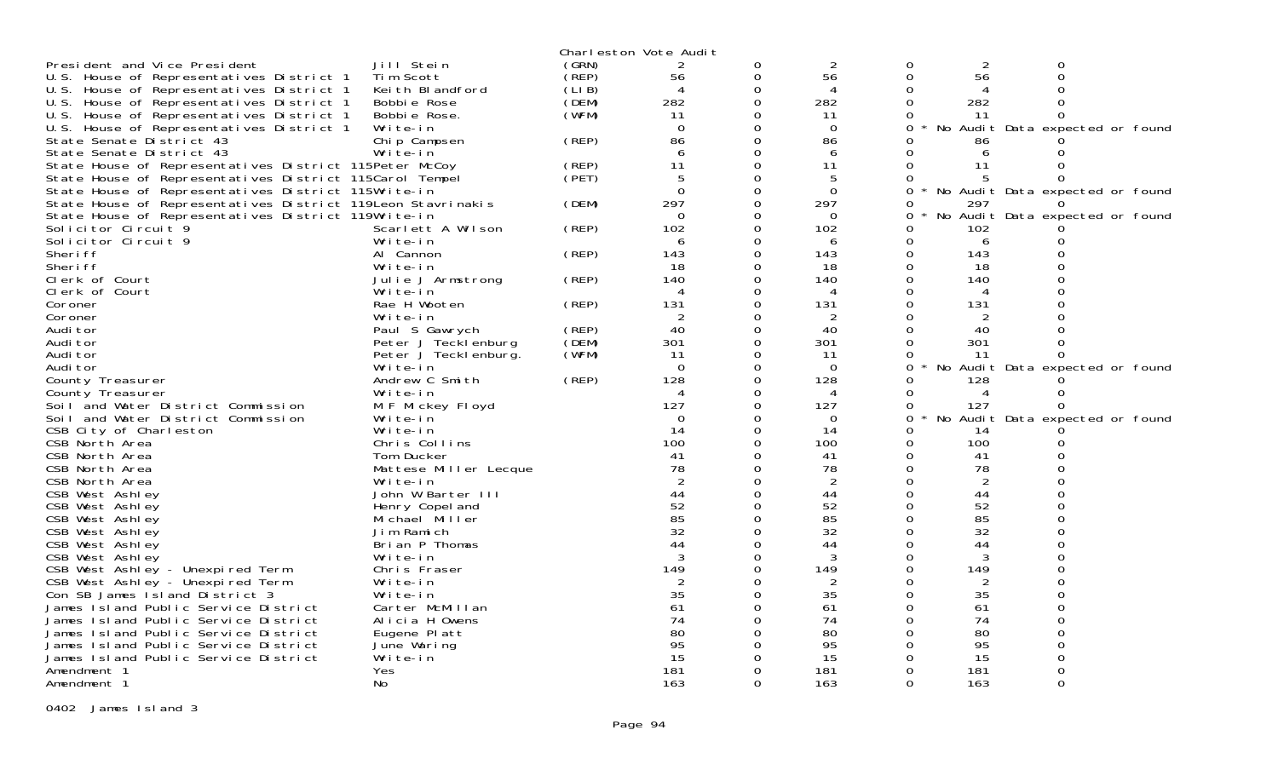|                                                             |                                   |        | Charleston Vote Audit |          |                |          |                |                                 |  |
|-------------------------------------------------------------|-----------------------------------|--------|-----------------------|----------|----------------|----------|----------------|---------------------------------|--|
| President and Vice President                                | Jill Stein                        | (GRN)  | 2                     | 0        | $\overline{2}$ | 0        | $\overline{2}$ | Ω                               |  |
| U.S. House of Representatives District 1                    | Tim Scott                         | (̀REP) | 56                    | 0        | 56             | 0        | 56             | $\Omega$                        |  |
| U.S. House of Representatives District 1                    | Keith Blandford                   | (LIB)  | 4                     | 0        | 4              |          |                |                                 |  |
| U.S. House of Representatives District 1                    | Bobbie Rose                       | (DEM)  | 282                   | 0        | 282            | 0        | 282            |                                 |  |
| U.S. House of Representatives District 1                    | Bobbie Rose.                      | (WFM)  | 11                    |          | 11             | 0        | 11             | $\Omega$                        |  |
| U.S. House of Representatives District 1                    | Write-in                          |        | $\overline{0}$        | 0        | $\mathbf 0$    | 0        |                | No Audit Data expected or found |  |
| State Senate District 43                                    | Chip Campsen                      | (REP)  | 86                    | 0        | 86             |          | 86             |                                 |  |
| State Senate District 43                                    | Write-in                          |        | 6                     | 0        | 6              |          | 6              |                                 |  |
| State House of Representatives District 115Peter McCoy      |                                   | (REP)  | 11                    | O        | 11             | 0        | 11             |                                 |  |
| State House of Representatives District 115Carol Tempel     |                                   | (PET)  | 5                     | ი        | 5              | 0        |                |                                 |  |
| State House of Representatives District 115Write-in         |                                   |        | $\Omega$              | $\Omega$ | $\Omega$       | 0        |                | No Audit Data expected or found |  |
| State House of Representatives District 119Leon Stavrinakis |                                   | (DEM)  | 297                   |          | 297            | 0        | 297            |                                 |  |
| State House of Representatives District 119Write-in         |                                   |        | $\Omega$              | 0        | $\Omega$       | 0        |                | No Audit Data expected or found |  |
| Solicitor Circuit 9                                         | Scarlett A Wilson                 | (REP)  | 102                   |          | 102            | 0        | 102            |                                 |  |
| Solicitor Circuit 9                                         | Write-in                          |        | 6                     | 0        | 6              | 0        | 6              |                                 |  |
| Sheri ff                                                    | Al Cannon                         | (REP)  | 143                   |          | 143            |          | 143            |                                 |  |
| Sheri ff                                                    | Write-in                          |        | 18                    | 0        | 18             | 0        | 18             |                                 |  |
| Clerk of Court                                              | Julie J Armstrong                 | (REP)  | 140                   | $\Omega$ | 140            | $\Omega$ | 140            |                                 |  |
| Clerk of Court                                              | Write-in                          |        | 4                     | 0        | 4              | 0        | 4              |                                 |  |
| Coroner                                                     | Rae H Wooten                      | (REP)  | 131                   | ი        | 131            | $\Omega$ | 131            |                                 |  |
| Coroner                                                     | Write-in                          |        | $\overline{2}$        | 0        | $\overline{2}$ |          | 2              |                                 |  |
| Audi tor                                                    | Paul S Gawrych                    | (REP)  | 40                    | 0        | 40             | 0        | 40             |                                 |  |
| Audi tor                                                    | Peter J Tecklenburg               | (DEM)  | 301                   |          | 301            |          | 301            |                                 |  |
| Audi tor                                                    | Peter J Tecklenburg.              | (WFM)  | 11                    | 0        | 11             | 0        | -11            |                                 |  |
| Audi tor                                                    | Write-in                          |        | $\Omega$              | ი        | $\Omega$       | 0        |                | No Audit Data expected or found |  |
| County Treasurer                                            | Andrew C Smith                    | (REP)  | 128                   | 0        | 128            | 0        | 128            |                                 |  |
| County Treasurer                                            | Write-in                          |        | 4                     | 0        | 4              | 0        | 4              | 0                               |  |
| Soil and Water District Commission                          | M F Mickey Floyd                  |        | 127                   | $\Omega$ | 127            | 0        | 127            | <sup>o</sup>                    |  |
| Soil and Water District Commission                          | Write-in                          |        | $\Omega$              | ∩        | $\Omega$       | $\Omega$ |                | No Audit Data expected or found |  |
| CSB City of Charleston                                      | Write-in                          |        | 14                    | $\Omega$ | 14             | 0        | 14             |                                 |  |
| CSB North Area                                              | Chris Collins                     |        | 100                   | ი        | 100            | 0        | 100            |                                 |  |
| CSB North Area                                              | Tom Ducker                        |        | 41                    |          | 41             | 0        | 41             |                                 |  |
| CSB North Area                                              | Mattese Miller Lecque             |        | 78                    | $\Omega$ | 78             | 0        | 78             |                                 |  |
| CSB North Area                                              | Write-in                          |        | $\overline{2}$        |          | 2              |          | 2              |                                 |  |
| CSB West Ashley                                             | John W Barter III                 |        | 44                    | $\Omega$ | 44             | 0        | 44             |                                 |  |
| CSB West Ashley                                             | Henry Copel and                   |        | 52                    |          | 52             | $\Omega$ | 52             |                                 |  |
| CSB West Ashley                                             | Michael Miller                    |        | 85                    | 0        | 85             | 0        | 85             |                                 |  |
| CSB West Ashley                                             | Jim Ramich                        |        | 32                    |          | 32             | $\Omega$ | 32             |                                 |  |
| CSB West Ashley                                             | Brian P Thomas                    |        | 44                    | 0        | 44             | 0        | 44             |                                 |  |
| CSB West Ashley                                             | Write-in                          |        | 3                     | ი        | 3              | 0        | 3              |                                 |  |
| CSB West Ashley - Unexpired Term                            | Chris Fraser                      |        | 149                   | ∩<br>ი   | 149            | $\Omega$ | 149            |                                 |  |
| CSB West Ashley - Unexpired Term                            | Write-in                          |        | 2<br>35               |          | 2              | 0        | 2              |                                 |  |
| Con SB James Island District 3                              | Write-in                          |        |                       |          | 35             |          | 35             |                                 |  |
| James Island Public Service District                        | Carter McMillan<br>Alicia H Owens |        | 61<br>74              | $\Omega$ | 61<br>74       | 0<br>0   | 61             |                                 |  |
| James Island Public Service District                        |                                   |        | 80                    | ი        | 80             | 0        | 74<br>80       |                                 |  |
| James Island Public Service District                        | Eugene Platt                      |        | 95                    |          | 95             |          | 95             |                                 |  |
| James Island Public Service District                        | June Waring<br>Write-in           |        | 15                    | 0        | 15             | 0        | 15             |                                 |  |
| James Island Public Service District<br>Amendment 1         | Yes                               |        | 181                   | 0        | 181            | 0        | 181            |                                 |  |
| Amendment 1                                                 | No                                |        | 163                   | 0        | 163            | 0        | 163            | 0                               |  |
|                                                             |                                   |        |                       |          |                |          |                |                                 |  |

0402 James Island 3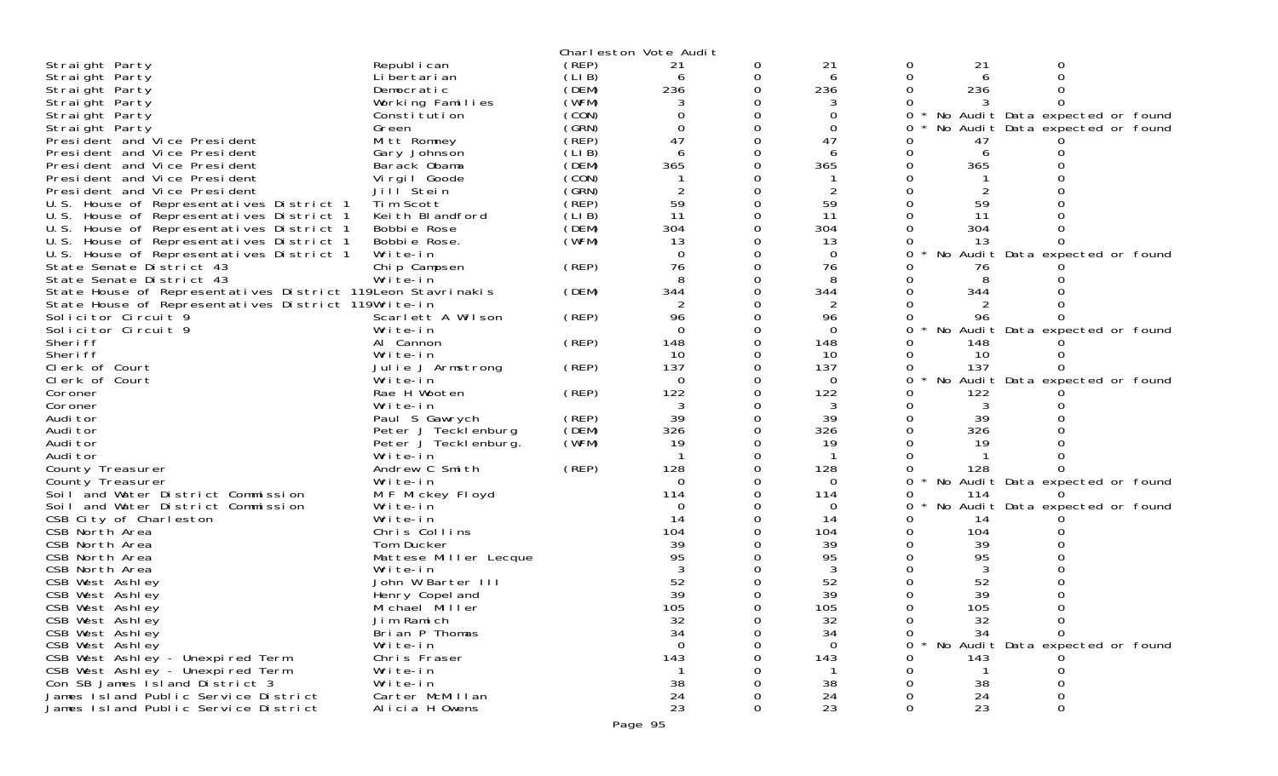|                                                             |                       |        | Charleston Vote Audit |          |                 |          |              |                                 |
|-------------------------------------------------------------|-----------------------|--------|-----------------------|----------|-----------------|----------|--------------|---------------------------------|
| Straight Party                                              | Republ i can          | (REP)  | 21                    | 0        | 21              | 0        | 21           |                                 |
| Straight Party                                              | Li bertari an         | (LI B) | 6                     | 0        | 6               | 0        | 6            |                                 |
| Straight Party                                              | Democratic            | (DEM)  | 236                   | 0        | 236             |          | 236          |                                 |
| Straight Party                                              | Working Families      | (WFM)  |                       |          |                 |          |              |                                 |
| Straight Party                                              | Constitution          | (CON)  |                       |          | 0               | 0        |              | No Audit Data expected or found |
| Straight Party                                              | Green                 | (GRN)  | $\Omega$              | 0        | $\Omega$        |          |              | No Audit Data expected or found |
| President and Vice President                                | Mitt Romney           | (REP)  | 47                    | 0        | 47              |          | 47           |                                 |
| President and Vice President                                | Gary Johnson          | (LI B) | 6                     |          | 6               |          | 6            |                                 |
| President and Vice President                                | Barack Obama          | (DEM)  | 365                   |          | 365             |          | 365          |                                 |
| President and Vice President                                |                       | (CON)  |                       |          |                 |          |              |                                 |
|                                                             | Virgil Goode          | (GRN)  |                       |          |                 |          |              |                                 |
| President and Vice President                                | Jill <sup>Stein</sup> |        |                       |          |                 |          |              |                                 |
| U.S. House of Representatives District 1                    | Tim Scott             | (REP)  | 59                    |          | 59              |          | 59           |                                 |
| U.S. House of Representatives District 1                    | Keith Blandford       | (LIB)  | 11                    | 0        | 11              |          | 11           |                                 |
| U.S. House of Representatives District 1                    | Bobbie Rose           | (DEM)  | 304                   |          | 304             |          | 304          |                                 |
| U.S. House of Representatives District 1                    | Bobbie Rose.          | (WFM)  | 13                    |          | 13              |          | 13           |                                 |
| U.S. House of Representatives District 1                    | Write-in              |        | $\Omega$              | 0        | $\Omega$        | 0        |              | No Audit Data expected or found |
| State Senate District 43                                    | Chip Campsen          | (REP)  | 76                    | 0        | 76              |          | 76           |                                 |
| State Senate District 43                                    | Write-in              |        | 8                     | 0        | 8               |          |              |                                 |
| State House of Representatives District 119Leon Stavrinakis |                       | (DEM)  | 344                   | 0        | 344             |          | 344          |                                 |
| State House of Representatives District 119Write-in         |                       |        |                       |          | 2               |          |              |                                 |
| Solicitor Circuit 9                                         | Scarlett A Wilson     | (REP)  | 96                    |          | 96              | 0        | 96           |                                 |
| Solicitor Circuit 9                                         | Write-in              |        | $\Omega$              |          | $\overline{0}$  | 0        |              | No Audit Data expected or found |
| Sheri ff                                                    | Al Cannon             | (REP)  | 148                   |          | 148             |          | 148          |                                 |
| Sheri ff                                                    | Write-in              |        | 10                    | 0        | 10              |          | 10           |                                 |
|                                                             |                       |        | 137                   |          | 137             |          |              |                                 |
| Clerk of Court                                              | Julie J Armstrong     | (REP)  |                       | 0        |                 | 0        | 137          |                                 |
| Clerk of Court                                              | Write-in              |        | $\Omega$              |          | $\Omega$        |          |              | No Audit Data expected or found |
| Coroner                                                     | Rae H Wooten          | (REP)  | 122                   | $\Omega$ | 122             |          | 122          |                                 |
| Coroner                                                     | Write-in              |        | 3                     | 0        | 3               | 0        | 3            |                                 |
| Audi tor                                                    | Paul S Gawrych        | (REP)  | 39                    | 0        | 39              |          | 39           |                                 |
| Audi tor                                                    | Peter J Tecklenburg   | (DEM)  | 326                   | 0        | 326             |          | 326          |                                 |
| Audi tor                                                    | Peter J Teckl enburg. | (WFM)  | 19                    | 0        | 19              |          | 19           |                                 |
| Audi tor                                                    | Write-in              |        |                       |          |                 |          |              |                                 |
| County Treasurer                                            | Andrew C Smith        | (REP)  | 128                   | O        | 128             |          | 128          |                                 |
| County Treasurer                                            | Write-in              |        | $\Omega$              |          | $\Omega$        | 0        |              | No Audit Data expected or found |
| Soil and Water District Commission                          | M F Mickey Floyd      |        | 114                   |          | 114             | 0        | 114          |                                 |
| Soil and Water District Commission                          | Write-in              |        | 0                     |          | 0               |          |              | No Audit Data expected or found |
| CSB City of Charleston                                      | Write-in              |        | 14                    |          | 14              | 0        | 14           |                                 |
| CSB North Area                                              | Chris Collins         |        | 104                   |          | 104             |          | 104          |                                 |
| CSB North Area                                              | Tom Ducker            |        | 39                    |          | 39              |          | 39           |                                 |
| CSB North Area                                              | Mattese Miller Lecque |        | 95                    |          | 95              |          | 95           |                                 |
|                                                             |                       |        |                       |          |                 |          |              |                                 |
| CSB North Area                                              | Write-in              |        |                       |          |                 |          |              |                                 |
| CSB West Ashley                                             | John W Barter III     |        | 52                    |          | 52              |          | 52           |                                 |
| CSB West Ashley                                             | Henry Copel and       |        | 39                    |          | 39              |          | 39           |                                 |
| CSB West Ashley                                             | Michael Miller        |        | 105                   | $\Omega$ | 105             | $\Omega$ | 105          | $\Omega$                        |
| CSB West Ashley                                             | Jim Ramich            |        | 32                    |          | 32              | 0        | 32           | 0                               |
| CSB West Ashley                                             | Brian P Thomas        |        | 34                    |          | 34              | 0        | 34           |                                 |
| CSB West Ashley                                             | Write-in              |        | $\Omega$              |          | $\Omega$        | 0        |              | No Audit Data expected or found |
| CSB West Ashley - Unexpired Term                            | Chris Fraser          |        | 143                   |          | 143             |          | 143          |                                 |
| CSB West Ashley - Unexpired Term                            | Write-in              |        | $\mathbf{1}$          |          |                 |          | $\mathbf{1}$ |                                 |
| Con SB James I sland District 3                             | Write-in              |        | 38                    |          | 38              |          | 38           |                                 |
| James Island Public Service District                        | Carter McMillan       |        | 24                    |          | 24              |          | 24           |                                 |
| James Island Public Service District                        | Alicia H Owens        |        | 23                    | 0        | $\overline{2}3$ | 0        | 23           | 0                               |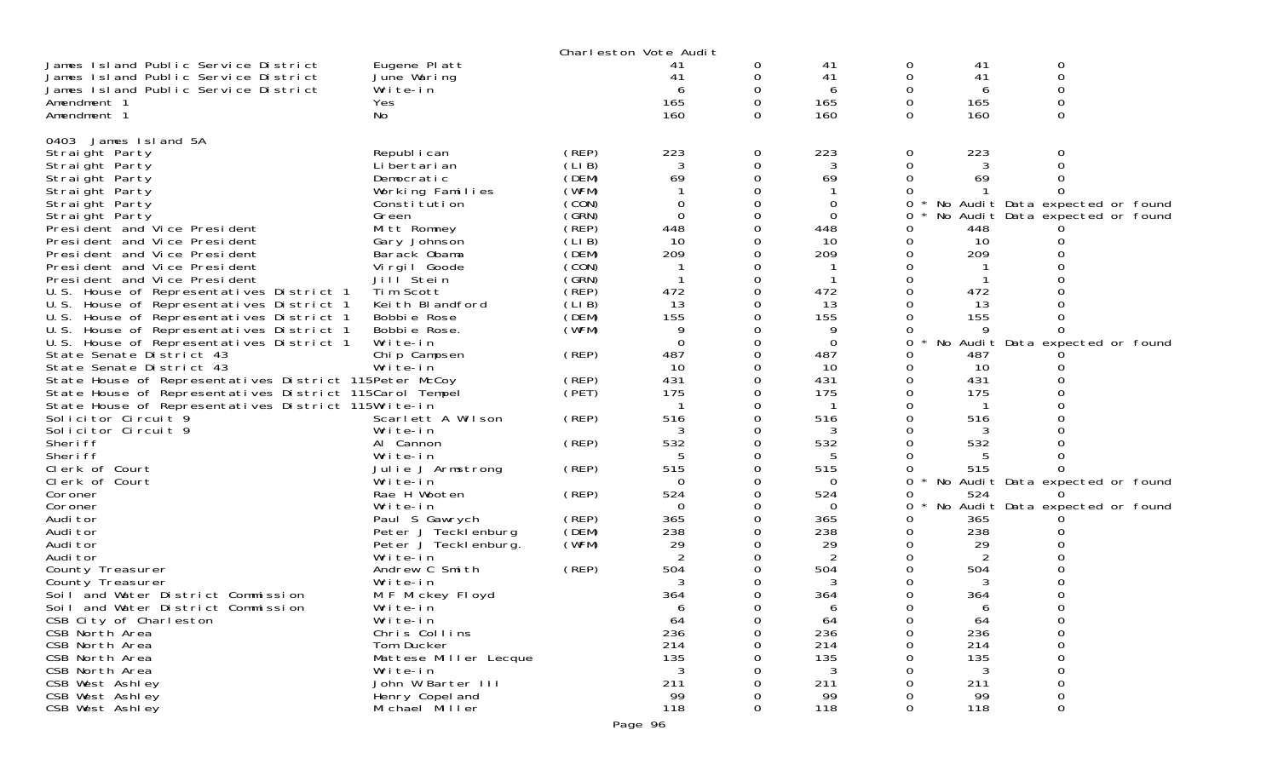|                                                                                                                |                       |       | Charleston Vote Audit |             |            |          |            |                                 |  |
|----------------------------------------------------------------------------------------------------------------|-----------------------|-------|-----------------------|-------------|------------|----------|------------|---------------------------------|--|
| James Island Public Service District                                                                           | Eugene Platt          |       | 41                    | 0           | 41         | 0        | 41         | 0                               |  |
| James Island Public Service District                                                                           | June Waring           |       | 41                    | 0           | 41         | 0        | 41         | 0                               |  |
| James Island Public Service District                                                                           | Write-in              |       |                       | 0           | 6          | 0        | b          |                                 |  |
| Amendment 1                                                                                                    | Yes                   |       | 165                   | $\Omega$    | 165        | $\Omega$ | 165        |                                 |  |
| Amendment 1                                                                                                    | No                    |       | 160                   | 0           | 160        | 0        | 160        | 0                               |  |
|                                                                                                                |                       |       |                       |             |            |          |            |                                 |  |
| 0403 James Island 5A                                                                                           |                       |       |                       |             |            |          |            |                                 |  |
| Straight Party                                                                                                 | Republ i can          | (REP) | 223                   | 0           | 223        | 0        | 223        |                                 |  |
| Straight Party                                                                                                 | Li bertari an         | (LIB) | 3                     | 0           | 3          | 0        |            |                                 |  |
| Straight Party                                                                                                 | Democratic            | (DEM) | 69                    | $\Omega$    | 69         | 0        | 69         |                                 |  |
| Straight Party                                                                                                 | Working Families      | (WFM) |                       |             |            | 0        |            |                                 |  |
| Straight Party                                                                                                 | Constitution          | (CON) | 0                     |             | 0          | 0        |            | No Audit Data expected or found |  |
| Straight Party                                                                                                 | Green                 | (GRN) | $\Omega$              | $\Omega$    | $\Omega$   | 0        |            | No Audit Data expected or found |  |
| President and Vice President                                                                                   | Mitt Romney           | (REP) | 448                   | 0           | 448        |          | 448        |                                 |  |
| President and Vice President                                                                                   | Gary Johnson          | (LIB) | 10                    | 0           | 10         | 0        | 10         |                                 |  |
| President and Vice President                                                                                   | Barack Obama          | (DEM) | 209                   | $\Omega$    | 209        | 0        | 209        |                                 |  |
| President and Vice President                                                                                   | Vi rgi I Goode        | (CON) |                       | 0           |            |          |            |                                 |  |
| President and Vice President                                                                                   | Jill Stein            | (GRN) |                       | $\Omega$    |            | 0        |            |                                 |  |
| U.S. House of Representatives District 1                                                                       | Tim Scott             | (REP) | 472                   | 0           | 472        | 0        | 472        |                                 |  |
| U.S. House of Representatives District 1                                                                       | Keith Blandford       | (LIB) | 13                    | 0           | 13         |          | 13         |                                 |  |
| U.S. House of Representatives District 1                                                                       | Bobbie Rose           | (DEM) | 155                   | 0           | 155        |          | 155        |                                 |  |
| U.S. House of Representatives District 1                                                                       | Bobbie Rose.          | (WFM) | 9                     | 0           | 9          | 0        |            |                                 |  |
| U.S. House of Representatives District 1                                                                       | Write-in              |       | $\Omega$              | 0           | $\Omega$   | 0        |            | No Audit Data expected or found |  |
| State Senate District 43<br>State Senate District 43                                                           | Chip Campsen          | (REP) | 487                   | $\Omega$    | 487        |          | 487        |                                 |  |
|                                                                                                                | Write-in              |       | 10                    | 0           | 10         | 0        | 10         |                                 |  |
| State House of Representatives District 115Peter McCoy                                                         |                       | (REP) | 431<br>175            | 0<br>0      | 431<br>175 |          | 431<br>175 |                                 |  |
| State House of Representatives District 115Carol Tempel<br>State House of Representatives District 115Write-in |                       | (PET) |                       | 0           | -1         |          |            |                                 |  |
| Solicitor Circuit 9                                                                                            | Scarlett A Wilson     | (REP) | 516                   | 0           | 516        |          | 516        |                                 |  |
| Solicitor Circuit 9                                                                                            | Write-in              |       |                       | 0           | 3          | 0        |            |                                 |  |
| Sheri ff                                                                                                       | Al Cannon             | (REP) | 532                   | 0           | 532        | 0        | 532        |                                 |  |
| Sheri ff                                                                                                       | Write-in              |       | 5                     | 0           | 5          | 0        |            |                                 |  |
| Clerk of Court                                                                                                 | Julie J Armstrong     | (REP) | 515                   | 0           | 515        | 0        | 515        |                                 |  |
| Clerk of Court                                                                                                 | Write-in              |       | $\Omega$              | 0           | $\Omega$   | 0        |            | No Audit Data expected or found |  |
| Coroner                                                                                                        | Rae H Wooten          | (REP) | 524                   | 0           | 524        | 0        | 524        |                                 |  |
| Coroner                                                                                                        | Write-in              |       | $\Omega$              | 0           | 0          | 0        |            | No Audit Data expected or found |  |
| Audi tor                                                                                                       | Paul S Gawrych        | (REP) | 365                   | 0           | 365        | 0        | 365        |                                 |  |
| Audi tor                                                                                                       | Peter J Tecklenburg   | (DEM) | 238                   | 0           | 238        |          | 238        |                                 |  |
| Audi tor                                                                                                       | Peter J Teckl enburg. | (WFM) | 29                    | 0           | 29         |          | 29         |                                 |  |
| Audi tor                                                                                                       | Write-in              |       | 2                     | 0           | 2          | 0        | 2          |                                 |  |
| County Treasurer                                                                                               | Andrew C Smith        | (REP) | 504                   | 0           | 504        |          | 504        |                                 |  |
| County Treasurer                                                                                               | Write-in              |       | 3                     | 0           | 3          |          |            |                                 |  |
| Soil and Water District Commission                                                                             | M F Mickey Floyd      |       | 364                   | 0           | 364        |          | 364        |                                 |  |
| Soil and Water District Commission                                                                             | Write-in              |       | 6                     | 0           | 6          | 0        | 6          | 0                               |  |
| CSB City of Charleston                                                                                         | Write-in              |       | 64                    | 0           | 64         | 0        | 64         | 0                               |  |
| CSB North Area                                                                                                 | Chris Collins         |       | 236                   | $\Omega$    | 236        | 0        | 236        | 0                               |  |
| CSB North Area                                                                                                 | Tom Ducker            |       | 214                   | 0           | 214        | 0        | 214        | 0                               |  |
| CSB North Area                                                                                                 | Mattese Miller Lecque |       | 135                   | 0           | 135        |          | 135        |                                 |  |
| CSB North Area                                                                                                 | Write-in              |       | 3                     | 0           | 3          |          | 3          |                                 |  |
| CSB West Ashley                                                                                                | John W Barter III     |       | 211                   | 0           | 211        |          | 211        |                                 |  |
| CSB West Ashley                                                                                                | Henry Copel and       |       | 99                    | 0           | 99         |          | 99         | 0                               |  |
| CSB West Ashley                                                                                                | Michael Miller        |       | 118                   | $\mathbf 0$ | 118        | 0        | 118        | $\mathbf 0$                     |  |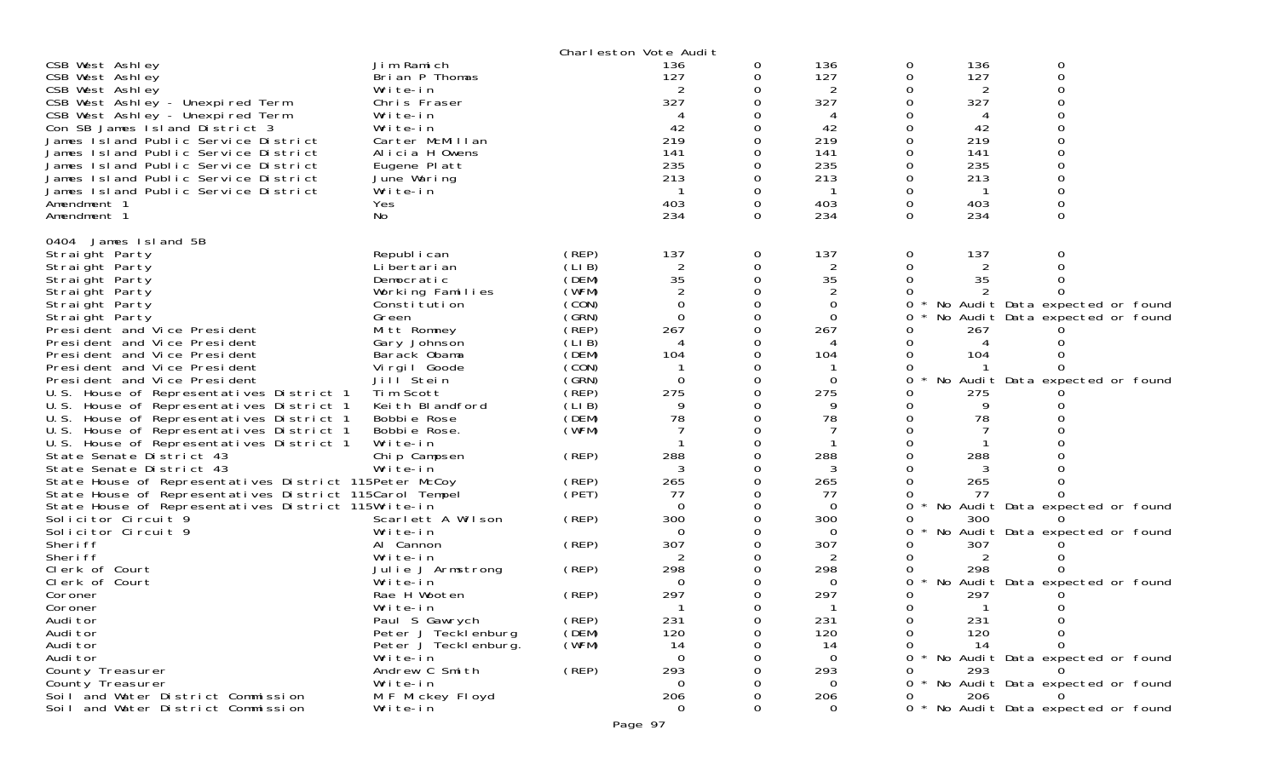|                                                         |                                              |                 | Charleston Vote Audit       |          |                |              |              |                                 |  |
|---------------------------------------------------------|----------------------------------------------|-----------------|-----------------------------|----------|----------------|--------------|--------------|---------------------------------|--|
| CSB West Ashley                                         | Jim Ramich                                   |                 | 136                         | 0        | 136            | 0            | 136          | 0                               |  |
| CSB West Ashley                                         | Brian P Thomas                               |                 | 127                         | 0        | 127            | 0            | 127          | 0                               |  |
| CSB West Ashley                                         | Write-in                                     |                 |                             |          |                | 0            | 2            | $\Omega$                        |  |
| CSB West Ashley - Unexpired Term                        | Chris Fraser                                 |                 | 327                         | 0        | 327            | 0            | 327          |                                 |  |
| CSB West Ashley - Unexpired Term                        | Write-in                                     |                 |                             |          | 4              |              |              |                                 |  |
| Con SB James I sland District 3                         | Write-in                                     |                 | 42                          | 0        | 42             | 0            | 42           |                                 |  |
| James Island Public Service District                    | Carter McMillan                              |                 | 219                         | 0        | 219            | 0            | 219          |                                 |  |
| James Island Public Service District                    | Alicia H Owens                               |                 | 141                         | 0        | 141            | 0            | 141          |                                 |  |
| James Island Public Service District                    | Eugene Platt                                 |                 | 235                         | 0        | 235            | 0            | 235          |                                 |  |
| James Island Public Service District                    | June Waring                                  |                 | 213                         | 0        | 213            | 0            | 213          |                                 |  |
| James Island Public Service District                    | Write-in                                     |                 | - 1                         | 0        | -1             | 0            |              |                                 |  |
| Amendment 1                                             | Yes                                          |                 | 403                         | 0        | 403            | 0            | 403          |                                 |  |
| Amendment 1                                             | No                                           |                 | 234                         | $\Omega$ | 234            | $\Omega$     | 234          | 0                               |  |
| 0404 James Island 5B                                    |                                              |                 |                             |          |                |              |              |                                 |  |
|                                                         |                                              |                 | 137                         |          | 137            |              | 137          | 0                               |  |
| Straight Party<br>Straight Party                        | Republ i can<br>Li bertari an                | (REP)<br>(LI B) | $\overline{2}$              | 0<br>0   | $\overline{2}$ | 0<br>0       | 2            |                                 |  |
| Straight Party                                          | Democratic                                   | (DEM)           | 35                          | 0        | 35             | $\Omega$     | 35           |                                 |  |
| Straight Party                                          | Working Families                             | (WFM)           | $\overline{2}$              | 0        |                | 0            |              |                                 |  |
| Straight Party                                          | Constitution                                 | (CON)           | $\Omega$                    | 0        | 0              | $\Omega$     |              | No Audit Data expected or found |  |
| Straight Party                                          | Green                                        | (GRN)           | $\Omega$                    | 0        | 0              | 0            |              | No Audit Data expected or found |  |
| President and Vice President                            | Mitt Romney                                  | (REP)           | 267                         | 0        | 267            | 0            | 267          |                                 |  |
| President and Vice President                            | Gary Johnson                                 | (LIB)           | $\boldsymbol{\vartriangle}$ |          | 4              |              | 4            |                                 |  |
| President and Vice President                            | Barack Obama                                 | (DEM)           | 104                         | 0        | 104            | $\Omega$     | 104          |                                 |  |
| President and Vice President                            | Vi rgi I Goode                               | (CON)           | -1                          | 0        |                | 0            |              |                                 |  |
| President and Vice President                            | Jill <sup>Stein</sup>                        | (GRN)           | $\Omega$                    | 0        | $\Omega$       | $\Omega$     |              | No Audit Data expected or found |  |
| U.S. House of Representatives District 1                | Tim Scott                                    | (REP)           | 275                         | $\Omega$ | 275            |              | 275          |                                 |  |
| U.S. House of Representatives District 1                | Keith Blandford                              | (LI B)          | 9                           | 0        | 9              | 0            | 9            |                                 |  |
| U.S. House of Representatives District 1                | Bobbie Rose                                  | (DEM)           | 78                          | 0        | 78             | 0            | 78           |                                 |  |
| U.S. House of Representatives District 1                | Bobbie Rose.                                 | (WFM)           |                             | 0        |                |              |              |                                 |  |
| U.S. House of Representatives District 1                | Write-in                                     |                 |                             | 0        |                | 0            |              |                                 |  |
| State Senate District 43                                | Chip Campsen                                 | (REP)           | 288                         |          | 288            |              | 288          |                                 |  |
| State Senate District 43                                | Write-in                                     |                 |                             | 0        |                | 0            |              |                                 |  |
| State House of Representatives District 115Peter McCoy  |                                              | (REP)           | 265                         | 0        | 265            | 0            | 265          |                                 |  |
| State House of Representatives District 115Carol Tempel |                                              | (PET)           | 77                          | 0        | 77             | 0            | 77           |                                 |  |
| State House of Representatives District 115Write-in     |                                              |                 | $\Omega$                    | 0        | 0              | 0            |              | No Audit Data expected or found |  |
| Solicitor Circuit 9                                     | Scarlett A Wilson                            | (REP)           | 300                         | 0        | 300            | 0            | 300          |                                 |  |
| Solicitor Circuit 9                                     | Write-in                                     |                 | $\Omega$                    |          | 0              | 0            |              | No Audit Data expected or found |  |
| Sheri ff                                                | Al Cannon                                    | (REP)           | 307                         | 0        | 307            |              | 307          |                                 |  |
| Sheri ff                                                | Write-in                                     |                 | 2                           | 0        | 2              | 0            | 2            |                                 |  |
| Clerk of Court                                          | Julie J Armstrong                            | (REP)           | 298                         | 0        | 298            | 0            | 298          |                                 |  |
| Clerk of Court                                          | Write-in                                     |                 | $\Omega$                    | 0        | 0              | 0            |              | No Audit Data expected or found |  |
| Coroner                                                 | Rae H Wooten                                 | (REP)           | 297                         | 0        | 297            | 0            | 297          |                                 |  |
| Coroner                                                 | Write-in                                     | (REP)           | 231                         | 0        |                | 0            | $\mathbf{1}$ | 0                               |  |
| Audi tor                                                | Paul S Gawrych                               | (DEM)           | 120                         | 0        | 231<br>120     | 0            | 231<br>120   |                                 |  |
| Audi tor<br>Audi tor                                    | Peter J Tecklenburg<br>Peter J Teckl enburg. | (WFM)           | 14                          | 0<br>0   | 14             | 0<br>0       | 14           |                                 |  |
| Audi tor                                                |                                              |                 | $\Omega$                    | 0        | $\Omega$       | <sup>0</sup> |              | No Audit Data expected or found |  |
| County Treasurer                                        | Write-in<br>Andrew C Smith                   | (REP)           | 293                         |          | 293            | 0            | 293          |                                 |  |
| County Treasurer                                        | Write-in                                     |                 | 0                           |          | $\Omega$       | 0            |              | No Audit Data expected or found |  |
| Soil and Water District Commission                      | M F Mickey Floyd                             |                 | 206                         | 0        | 206            | 0            | 206          |                                 |  |
| Soil and Water District Commission                      | Write-in                                     |                 | $\mathbf{O}$                | 0        | 0              | O            |              | No Audit Data expected or found |  |
|                                                         |                                              |                 |                             |          |                |              |              |                                 |  |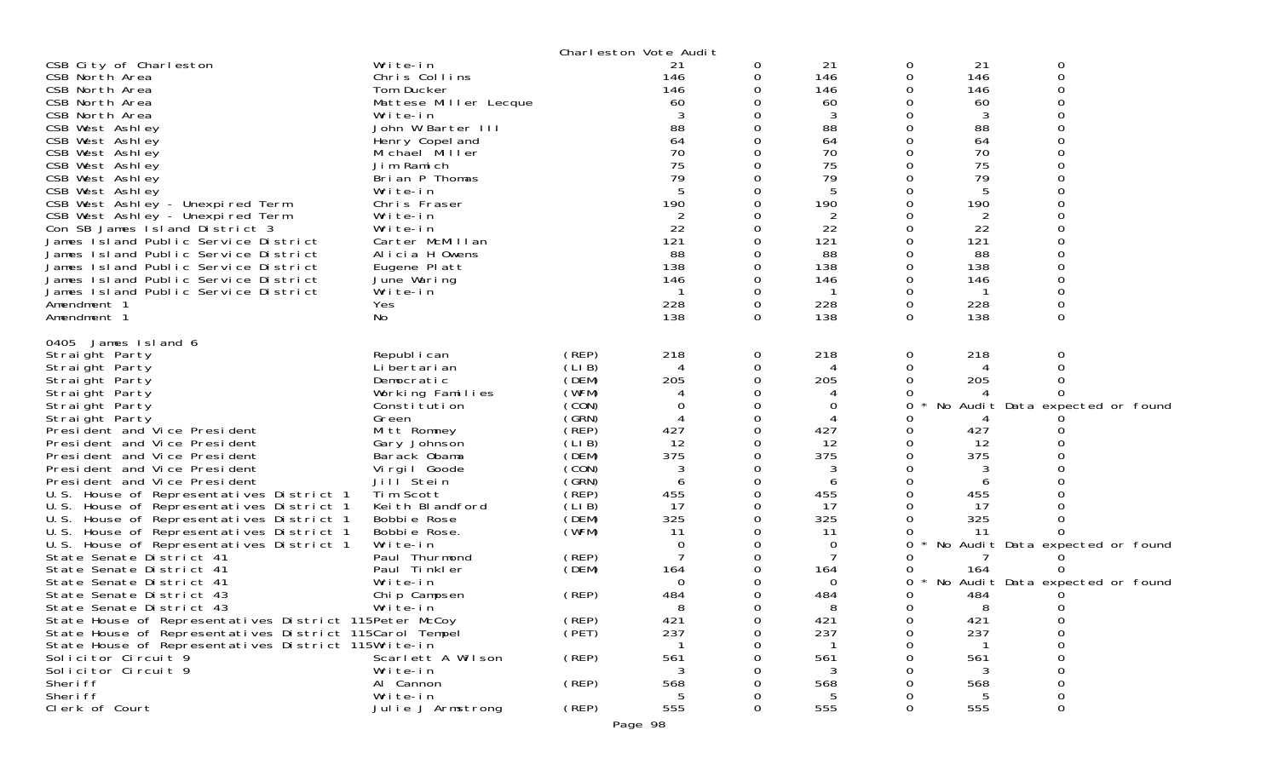|                                                                            |                                   |                | Charleston Vote Audit    |   |                |               |            |                                 |  |
|----------------------------------------------------------------------------|-----------------------------------|----------------|--------------------------|---|----------------|---------------|------------|---------------------------------|--|
| CSB City of Charleston                                                     | Write-in                          |                | 21                       | 0 | 21             | 0             | 21         | 0                               |  |
| CSB North Area                                                             | Chris Collins                     |                | 146                      | 0 | 146            | 0             | 146        | 0                               |  |
| CSB North Area<br>CSB North Area                                           | Tom Ducker                        |                | 146<br>60                |   | 146<br>60      | 0<br>0        | 146<br>60  |                                 |  |
| CSB North Area                                                             | Mattese Miller Lecque<br>Write-in |                |                          |   | 3              |               | 3          |                                 |  |
| CSB West Ashley                                                            | John W Barter III                 |                | 88                       |   | 88             | 0             | 88         |                                 |  |
| CSB West Ashley                                                            | Henry Copel and                   |                | 64                       |   | 64             | 0             | 64         |                                 |  |
| CSB West Ashley                                                            | Michael Miller                    |                | 70                       |   | 70             |               | 70         |                                 |  |
| CSB West Ashley                                                            | Jim Ramich                        |                | 75                       |   | 75             |               | 75         |                                 |  |
| CSB West Ashley                                                            | Brian P Thomas                    |                | 79                       |   | 79             |               | 79         |                                 |  |
| CSB West Ashley                                                            | Write-in                          |                |                          |   | 5              |               | 5          |                                 |  |
| CSB West Ashley - Unexpired Term                                           | Chris Fraser                      |                | 190                      |   | 190            | 0             | 190        |                                 |  |
| CSB West Ashley - Unexpired Term                                           | Write-in                          |                | 2                        |   | $\overline{2}$ |               | 2          |                                 |  |
| Con SB James Island District 3                                             | Write-in                          |                | 22                       |   | 22             |               | 22         |                                 |  |
| James Island Public Service District                                       | Carter McMillan                   |                | 121                      |   | 121            | 0             | 121        |                                 |  |
| James Island Public Service District                                       | Alicia H Owens                    |                | 88                       |   | 88             |               | 88         |                                 |  |
| James Island Public Service District                                       | Eugene Platt                      |                | 138                      |   | 138            | 0             | 138        |                                 |  |
| James Island Public Service District                                       | June Waring                       |                | 146                      |   | 146            | 0             | 146        |                                 |  |
| James Island Public Service District                                       | Write-in                          |                |                          |   |                | 0             |            | 0                               |  |
| Amendment 1<br>Amendment 1                                                 | <b>Yes</b><br>No                  |                | 228<br>138               | 0 | 228<br>138     | 0<br>$\Omega$ | 228<br>138 | $\Omega$                        |  |
|                                                                            |                                   |                |                          |   |                |               |            |                                 |  |
| 0405 James Island 6                                                        |                                   |                |                          |   |                |               |            |                                 |  |
| Straight Party                                                             | Republ i can                      | (REP)          | 218                      | 0 | 218            | 0             | 218        | 0                               |  |
| Straight Party                                                             | Li bertari an                     | (LIB)          | $\boldsymbol{\varDelta}$ | 0 | 4              | 0             | 4          |                                 |  |
| Straight Party                                                             | Democratic                        | (DEM)          | 205                      |   | 205            | 0             | 205        |                                 |  |
| Straight Party                                                             | Working Families                  | (WFM)          |                          |   |                | 0             | $\Lambda$  |                                 |  |
| Straight Party                                                             | Constitution                      | (CON)          |                          |   | 0              | 0             |            | No Audit Data expected or found |  |
| Straight Party                                                             | Green                             | (GRN)          |                          |   |                |               |            |                                 |  |
| President and Vice President                                               | Mitt Romney                       | (REP)          | 427<br>12                |   | 427            | 0<br>ი        | 427        |                                 |  |
| President and Vice President<br>President and Vice President               | Gary Johnson<br>Barack Obama      | (LIB)<br>(DEM) | 375                      |   | 12<br>375      | 0             | 12<br>375  |                                 |  |
| President and Vice President                                               | Virgil Goode                      | (CON)          | 3                        |   | 3              | 0             | 3          |                                 |  |
| President and Vice President                                               | Jill Stein                        | (GRN)          |                          |   | 6              |               | 6          |                                 |  |
| U.S. House of Representatives District 1                                   | Tim Scott                         | (REP)          | 455                      |   | 455            | 0             | 455        |                                 |  |
| U.S. House of Representatives District 1                                   | Keith Blandford                   | (LIB)          | 17                       |   | 17             | 0             | 17         |                                 |  |
| U.S. House of Representatives District 1                                   | Bobbie Rose                       | (DEM)          | 325                      |   | 325            | 0             | 325        |                                 |  |
| U.S. House of Representatives District 1                                   | Bobbie Rose.                      | (WFM)          | 11                       |   | 11             | 0             | -11        |                                 |  |
| U.S. House of Representatives District 1                                   | Write-in                          |                | $\Omega$                 |   | 0              | 0             |            | No Audit Data expected or found |  |
| State Senate District 41                                                   | Paul Thurmond                     | (REP)          |                          |   |                | Ω             |            |                                 |  |
| State Senate District 41                                                   | Paul Tinkler                      | (DEM)          | 164                      |   | 164            | 0             | 164        |                                 |  |
| State Senate District 41                                                   | Write-in                          |                | $\Omega$                 |   | $\Omega$       | 0             |            | No Audit Data expected or found |  |
| State Senate District 43                                                   | Chip Campsen                      | (REP)          | 484                      |   | 484            | 0             | 484        |                                 |  |
| State Senate District 43                                                   | Write-in                          |                |                          |   | 8              | 0             | 8          | O                               |  |
| State House of Representatives District 115Peter McCoy                     |                                   | (REP)          | 421                      | 0 | 421            | 0             | 421        | 0                               |  |
| State House of Representatives District 115Carol Tempel                    |                                   | (PET)          | 237                      |   | 237            | ი             | 237        | 0                               |  |
| State House of Representatives District 115Write-in<br>Solicitor Circuit 9 |                                   |                |                          |   |                |               |            | 0                               |  |
| Solicitor Circuit 9                                                        | Scarlett A Wilson<br>Write-in     | (REP)          | 561                      |   | 561<br>3       |               | 561<br>3   | 0<br>0                          |  |
| Sheri ff                                                                   | Al Cannon                         | (REP)          | 568                      |   | 568            |               | 568        | 0                               |  |
| Sheri ff                                                                   | Write-in                          |                |                          |   | 5              |               | 5          | 0                               |  |
| Clerk of Court                                                             | Julie J Armstrong                 | (REP)          | 555                      | 0 | 555            | 0             | 555        | 0                               |  |
|                                                                            |                                   |                |                          |   |                |               |            |                                 |  |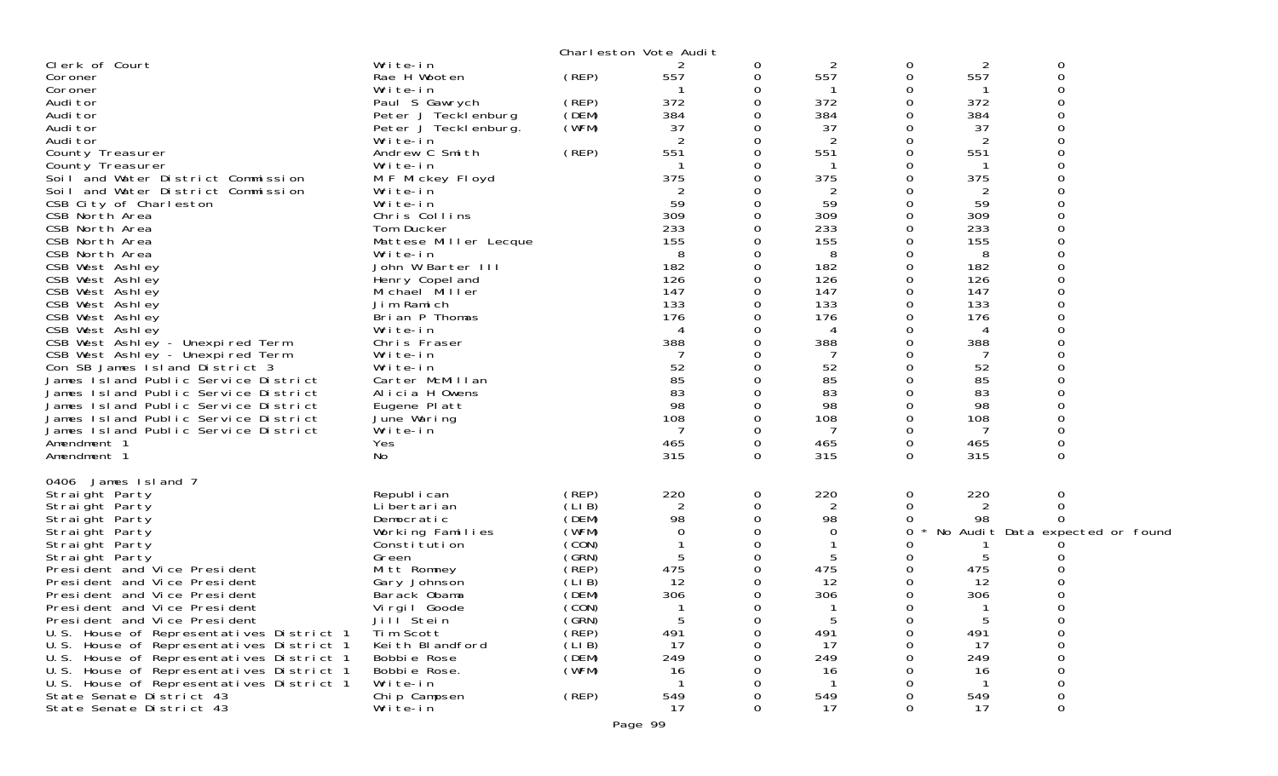| Write-in<br>2<br>0<br>2<br>0<br>0<br>(REP)<br>557<br>557<br>0<br>557<br>$\mathbf 0$<br>Rae H Wooten<br>Coroner<br>0<br>Write-in<br>0<br>0<br>Coroner<br>372<br>372<br>372<br>Paul S Gawrych<br>(REP)<br>0<br>Audi tor<br>0<br>(DEM)<br>384<br>384<br>384<br>Audi tor<br>Peter J Tecklenburg<br>0<br>(WFM)<br>37<br>37<br>37<br>Audi tor<br>Peter J Tecklenburg.<br>0<br>O<br>2<br>2<br>0<br>0<br>2<br>Audi tor<br>Write-in<br>(REP)<br>551<br>0<br>551<br>551<br>Andrew C Smith<br>0<br>County Treasurer<br>Write-in<br>0<br>County Treasurer<br>375<br>375<br>375<br>M F Mickey Floyd<br>Soil and Water District Commission<br>0<br>Ω<br>$\overline{2}$<br>$\overline{2}$<br>Soil and Water District Commission<br>Write-in<br>2<br>0<br>59<br>59<br>CSB City of Charleston<br>Write-in<br>59<br>0<br>O<br>309<br>309<br>309<br>Chris Collins<br>CSB North Area<br>0<br>233<br>233<br>233<br>0<br>CSB North Area<br>Tom Ducker<br>155<br>155<br>155<br>$\Omega$<br>O<br>CSB North Area<br>Mattese Miller Lecque<br>8<br>8<br>8<br>CSB North Area<br>Write-in<br>0<br>John W Barter III<br>182<br>182<br>0<br>182<br>CSB West Ashley<br>126<br>126<br>O<br>126<br>CSB West Ashley<br>Henry Copel and<br>$\Omega$<br>147<br>147<br>147<br>0<br>CSB West Ashley<br>Michael Miller<br>133<br>133<br>133<br>CSB West Ashley<br>0<br>0<br>Jim Ramich<br>176<br>CSB West Ashley<br>Brian P Thomas<br>176<br>O<br>176<br>0<br>CSB West Ashley<br>Write-in<br>4<br>0<br>4<br>4<br>CSB West Ashley - Unexpired Term<br>388<br>388<br>388<br>Chris Fraser<br>CSB West Ashley - Unexpired Term<br>Write-in<br>O<br>0<br>52<br>52<br>52<br>Con SB James Island District 3<br>0<br>Write-in<br>85<br>85<br>85<br>James Island Public Service District<br>Carter McMillan<br>83<br>83<br>83<br>Alicia H Owens<br>$\Omega$<br>0<br>James Island Public Service District<br>98<br>98<br>98<br>James Island Public Service District<br>Eugene Platt<br>0<br>108<br>James Island Public Service District<br>June Waring<br>0<br>108<br>108<br>James Island Public Service District<br>Write-in<br>$\Omega$<br>7<br>0<br>7<br>Yes<br>465<br>0<br>465<br>0<br>Amendment 1<br>465<br>No<br>315<br>315<br>$\Omega$<br>315<br>$\Omega$<br>0<br>Amendment 1<br>0406 James Island 7<br>220<br>220<br>220<br>(REP)<br>$\mathbf 0$<br>0<br>Straight Party<br>Republ i can<br>0<br>(LIB)<br>$\overline{2}$<br>2<br>0<br>Straight Party<br>Li bertari an<br>0<br>2<br>0<br>(DEM)<br>98<br>$\mathbf 0$<br>98<br>98<br>Straight Party<br>Democratic<br>0<br>(WFM)<br>0<br>0<br>0<br>No Audit Data expected or found<br>Straight Party<br>Working Families<br>0<br>(CON)<br>$\Omega$<br>Straight Party<br>Constitution<br>(GRN)<br>5<br>0<br>5<br>5<br>Straight Party<br>Green<br>Ω<br>475<br>(REP)<br>0<br>475<br>475<br>President and Vice President<br>Mitt Romney<br>(LIB)<br>12<br>12<br>$\Omega$<br>12<br>President and Vice President<br>Gary Johnson<br>Ω<br>306<br>306<br>306<br>(DEM)<br>0<br>0<br>President and Vice President<br>Barack Obama<br>(CON)<br>0<br>0<br>0<br>President and Vice President<br>Virgil Goode<br>-1<br>-1<br>-1<br>(GRN)<br>5<br>5<br>President and Vice President<br>Jill Stein<br>$\sigma$<br>0<br>b<br>(REP)<br>491<br>491<br>491<br>U.S. House of Representatives District 1<br>Tim Scott<br>0<br>0<br>0<br>(LIB)<br>U.S. House of Representatives District 1<br>Keith Blandford<br>17<br>-17<br>17<br>Ω<br>(DEM)<br>249<br>249<br>249<br>U.S. House of Representatives District 1<br>Bobbie Rose<br>(WFM)<br>U.S. House of Representatives District 1<br>Bobbie Rose.<br>16<br>16<br>16<br>Write-in<br>U.S. House of Representatives District 1<br>-1<br>-1<br>549<br>(REP)<br>549<br>549<br>State Senate District 43<br>Chip Campsen<br>0<br>State Senate District 43<br>Write-in<br>17<br>17<br>17<br>$\Omega$<br>0<br>Ω |                |  | Charleston Vote Audit |   |  |  |
|-------------------------------------------------------------------------------------------------------------------------------------------------------------------------------------------------------------------------------------------------------------------------------------------------------------------------------------------------------------------------------------------------------------------------------------------------------------------------------------------------------------------------------------------------------------------------------------------------------------------------------------------------------------------------------------------------------------------------------------------------------------------------------------------------------------------------------------------------------------------------------------------------------------------------------------------------------------------------------------------------------------------------------------------------------------------------------------------------------------------------------------------------------------------------------------------------------------------------------------------------------------------------------------------------------------------------------------------------------------------------------------------------------------------------------------------------------------------------------------------------------------------------------------------------------------------------------------------------------------------------------------------------------------------------------------------------------------------------------------------------------------------------------------------------------------------------------------------------------------------------------------------------------------------------------------------------------------------------------------------------------------------------------------------------------------------------------------------------------------------------------------------------------------------------------------------------------------------------------------------------------------------------------------------------------------------------------------------------------------------------------------------------------------------------------------------------------------------------------------------------------------------------------------------------------------------------------------------------------------------------------------------------------------------------------------------------------------------------------------------------------------------------------------------------------------------------------------------------------------------------------------------------------------------------------------------------------------------------------------------------------------------------------------------------------------------------------------------------------------------------------------------------------------------------------------------------------------------------------------------------------------------------------------------------------------------------------------------------------------------------------------------------------------------------------------------------------------------------------------------------------------------------------------------------------------------------------------------------------------------------------------------------------------------------------------------------------------------------------------------------------------------------------------------------------------------------------------|----------------|--|-----------------------|---|--|--|
|                                                                                                                                                                                                                                                                                                                                                                                                                                                                                                                                                                                                                                                                                                                                                                                                                                                                                                                                                                                                                                                                                                                                                                                                                                                                                                                                                                                                                                                                                                                                                                                                                                                                                                                                                                                                                                                                                                                                                                                                                                                                                                                                                                                                                                                                                                                                                                                                                                                                                                                                                                                                                                                                                                                                                                                                                                                                                                                                                                                                                                                                                                                                                                                                                                                                                                                                                                                                                                                                                                                                                                                                                                                                                                                                                                                                                                     | Clerk of Court |  |                       | 2 |  |  |
|                                                                                                                                                                                                                                                                                                                                                                                                                                                                                                                                                                                                                                                                                                                                                                                                                                                                                                                                                                                                                                                                                                                                                                                                                                                                                                                                                                                                                                                                                                                                                                                                                                                                                                                                                                                                                                                                                                                                                                                                                                                                                                                                                                                                                                                                                                                                                                                                                                                                                                                                                                                                                                                                                                                                                                                                                                                                                                                                                                                                                                                                                                                                                                                                                                                                                                                                                                                                                                                                                                                                                                                                                                                                                                                                                                                                                                     |                |  |                       |   |  |  |
|                                                                                                                                                                                                                                                                                                                                                                                                                                                                                                                                                                                                                                                                                                                                                                                                                                                                                                                                                                                                                                                                                                                                                                                                                                                                                                                                                                                                                                                                                                                                                                                                                                                                                                                                                                                                                                                                                                                                                                                                                                                                                                                                                                                                                                                                                                                                                                                                                                                                                                                                                                                                                                                                                                                                                                                                                                                                                                                                                                                                                                                                                                                                                                                                                                                                                                                                                                                                                                                                                                                                                                                                                                                                                                                                                                                                                                     |                |  |                       |   |  |  |
|                                                                                                                                                                                                                                                                                                                                                                                                                                                                                                                                                                                                                                                                                                                                                                                                                                                                                                                                                                                                                                                                                                                                                                                                                                                                                                                                                                                                                                                                                                                                                                                                                                                                                                                                                                                                                                                                                                                                                                                                                                                                                                                                                                                                                                                                                                                                                                                                                                                                                                                                                                                                                                                                                                                                                                                                                                                                                                                                                                                                                                                                                                                                                                                                                                                                                                                                                                                                                                                                                                                                                                                                                                                                                                                                                                                                                                     |                |  |                       |   |  |  |
|                                                                                                                                                                                                                                                                                                                                                                                                                                                                                                                                                                                                                                                                                                                                                                                                                                                                                                                                                                                                                                                                                                                                                                                                                                                                                                                                                                                                                                                                                                                                                                                                                                                                                                                                                                                                                                                                                                                                                                                                                                                                                                                                                                                                                                                                                                                                                                                                                                                                                                                                                                                                                                                                                                                                                                                                                                                                                                                                                                                                                                                                                                                                                                                                                                                                                                                                                                                                                                                                                                                                                                                                                                                                                                                                                                                                                                     |                |  |                       |   |  |  |
|                                                                                                                                                                                                                                                                                                                                                                                                                                                                                                                                                                                                                                                                                                                                                                                                                                                                                                                                                                                                                                                                                                                                                                                                                                                                                                                                                                                                                                                                                                                                                                                                                                                                                                                                                                                                                                                                                                                                                                                                                                                                                                                                                                                                                                                                                                                                                                                                                                                                                                                                                                                                                                                                                                                                                                                                                                                                                                                                                                                                                                                                                                                                                                                                                                                                                                                                                                                                                                                                                                                                                                                                                                                                                                                                                                                                                                     |                |  |                       |   |  |  |
|                                                                                                                                                                                                                                                                                                                                                                                                                                                                                                                                                                                                                                                                                                                                                                                                                                                                                                                                                                                                                                                                                                                                                                                                                                                                                                                                                                                                                                                                                                                                                                                                                                                                                                                                                                                                                                                                                                                                                                                                                                                                                                                                                                                                                                                                                                                                                                                                                                                                                                                                                                                                                                                                                                                                                                                                                                                                                                                                                                                                                                                                                                                                                                                                                                                                                                                                                                                                                                                                                                                                                                                                                                                                                                                                                                                                                                     |                |  |                       |   |  |  |
|                                                                                                                                                                                                                                                                                                                                                                                                                                                                                                                                                                                                                                                                                                                                                                                                                                                                                                                                                                                                                                                                                                                                                                                                                                                                                                                                                                                                                                                                                                                                                                                                                                                                                                                                                                                                                                                                                                                                                                                                                                                                                                                                                                                                                                                                                                                                                                                                                                                                                                                                                                                                                                                                                                                                                                                                                                                                                                                                                                                                                                                                                                                                                                                                                                                                                                                                                                                                                                                                                                                                                                                                                                                                                                                                                                                                                                     |                |  |                       |   |  |  |
|                                                                                                                                                                                                                                                                                                                                                                                                                                                                                                                                                                                                                                                                                                                                                                                                                                                                                                                                                                                                                                                                                                                                                                                                                                                                                                                                                                                                                                                                                                                                                                                                                                                                                                                                                                                                                                                                                                                                                                                                                                                                                                                                                                                                                                                                                                                                                                                                                                                                                                                                                                                                                                                                                                                                                                                                                                                                                                                                                                                                                                                                                                                                                                                                                                                                                                                                                                                                                                                                                                                                                                                                                                                                                                                                                                                                                                     |                |  |                       |   |  |  |
|                                                                                                                                                                                                                                                                                                                                                                                                                                                                                                                                                                                                                                                                                                                                                                                                                                                                                                                                                                                                                                                                                                                                                                                                                                                                                                                                                                                                                                                                                                                                                                                                                                                                                                                                                                                                                                                                                                                                                                                                                                                                                                                                                                                                                                                                                                                                                                                                                                                                                                                                                                                                                                                                                                                                                                                                                                                                                                                                                                                                                                                                                                                                                                                                                                                                                                                                                                                                                                                                                                                                                                                                                                                                                                                                                                                                                                     |                |  |                       |   |  |  |
|                                                                                                                                                                                                                                                                                                                                                                                                                                                                                                                                                                                                                                                                                                                                                                                                                                                                                                                                                                                                                                                                                                                                                                                                                                                                                                                                                                                                                                                                                                                                                                                                                                                                                                                                                                                                                                                                                                                                                                                                                                                                                                                                                                                                                                                                                                                                                                                                                                                                                                                                                                                                                                                                                                                                                                                                                                                                                                                                                                                                                                                                                                                                                                                                                                                                                                                                                                                                                                                                                                                                                                                                                                                                                                                                                                                                                                     |                |  |                       |   |  |  |
|                                                                                                                                                                                                                                                                                                                                                                                                                                                                                                                                                                                                                                                                                                                                                                                                                                                                                                                                                                                                                                                                                                                                                                                                                                                                                                                                                                                                                                                                                                                                                                                                                                                                                                                                                                                                                                                                                                                                                                                                                                                                                                                                                                                                                                                                                                                                                                                                                                                                                                                                                                                                                                                                                                                                                                                                                                                                                                                                                                                                                                                                                                                                                                                                                                                                                                                                                                                                                                                                                                                                                                                                                                                                                                                                                                                                                                     |                |  |                       |   |  |  |
|                                                                                                                                                                                                                                                                                                                                                                                                                                                                                                                                                                                                                                                                                                                                                                                                                                                                                                                                                                                                                                                                                                                                                                                                                                                                                                                                                                                                                                                                                                                                                                                                                                                                                                                                                                                                                                                                                                                                                                                                                                                                                                                                                                                                                                                                                                                                                                                                                                                                                                                                                                                                                                                                                                                                                                                                                                                                                                                                                                                                                                                                                                                                                                                                                                                                                                                                                                                                                                                                                                                                                                                                                                                                                                                                                                                                                                     |                |  |                       |   |  |  |
|                                                                                                                                                                                                                                                                                                                                                                                                                                                                                                                                                                                                                                                                                                                                                                                                                                                                                                                                                                                                                                                                                                                                                                                                                                                                                                                                                                                                                                                                                                                                                                                                                                                                                                                                                                                                                                                                                                                                                                                                                                                                                                                                                                                                                                                                                                                                                                                                                                                                                                                                                                                                                                                                                                                                                                                                                                                                                                                                                                                                                                                                                                                                                                                                                                                                                                                                                                                                                                                                                                                                                                                                                                                                                                                                                                                                                                     |                |  |                       |   |  |  |
|                                                                                                                                                                                                                                                                                                                                                                                                                                                                                                                                                                                                                                                                                                                                                                                                                                                                                                                                                                                                                                                                                                                                                                                                                                                                                                                                                                                                                                                                                                                                                                                                                                                                                                                                                                                                                                                                                                                                                                                                                                                                                                                                                                                                                                                                                                                                                                                                                                                                                                                                                                                                                                                                                                                                                                                                                                                                                                                                                                                                                                                                                                                                                                                                                                                                                                                                                                                                                                                                                                                                                                                                                                                                                                                                                                                                                                     |                |  |                       |   |  |  |
|                                                                                                                                                                                                                                                                                                                                                                                                                                                                                                                                                                                                                                                                                                                                                                                                                                                                                                                                                                                                                                                                                                                                                                                                                                                                                                                                                                                                                                                                                                                                                                                                                                                                                                                                                                                                                                                                                                                                                                                                                                                                                                                                                                                                                                                                                                                                                                                                                                                                                                                                                                                                                                                                                                                                                                                                                                                                                                                                                                                                                                                                                                                                                                                                                                                                                                                                                                                                                                                                                                                                                                                                                                                                                                                                                                                                                                     |                |  |                       |   |  |  |
|                                                                                                                                                                                                                                                                                                                                                                                                                                                                                                                                                                                                                                                                                                                                                                                                                                                                                                                                                                                                                                                                                                                                                                                                                                                                                                                                                                                                                                                                                                                                                                                                                                                                                                                                                                                                                                                                                                                                                                                                                                                                                                                                                                                                                                                                                                                                                                                                                                                                                                                                                                                                                                                                                                                                                                                                                                                                                                                                                                                                                                                                                                                                                                                                                                                                                                                                                                                                                                                                                                                                                                                                                                                                                                                                                                                                                                     |                |  |                       |   |  |  |
|                                                                                                                                                                                                                                                                                                                                                                                                                                                                                                                                                                                                                                                                                                                                                                                                                                                                                                                                                                                                                                                                                                                                                                                                                                                                                                                                                                                                                                                                                                                                                                                                                                                                                                                                                                                                                                                                                                                                                                                                                                                                                                                                                                                                                                                                                                                                                                                                                                                                                                                                                                                                                                                                                                                                                                                                                                                                                                                                                                                                                                                                                                                                                                                                                                                                                                                                                                                                                                                                                                                                                                                                                                                                                                                                                                                                                                     |                |  |                       |   |  |  |
|                                                                                                                                                                                                                                                                                                                                                                                                                                                                                                                                                                                                                                                                                                                                                                                                                                                                                                                                                                                                                                                                                                                                                                                                                                                                                                                                                                                                                                                                                                                                                                                                                                                                                                                                                                                                                                                                                                                                                                                                                                                                                                                                                                                                                                                                                                                                                                                                                                                                                                                                                                                                                                                                                                                                                                                                                                                                                                                                                                                                                                                                                                                                                                                                                                                                                                                                                                                                                                                                                                                                                                                                                                                                                                                                                                                                                                     |                |  |                       |   |  |  |
|                                                                                                                                                                                                                                                                                                                                                                                                                                                                                                                                                                                                                                                                                                                                                                                                                                                                                                                                                                                                                                                                                                                                                                                                                                                                                                                                                                                                                                                                                                                                                                                                                                                                                                                                                                                                                                                                                                                                                                                                                                                                                                                                                                                                                                                                                                                                                                                                                                                                                                                                                                                                                                                                                                                                                                                                                                                                                                                                                                                                                                                                                                                                                                                                                                                                                                                                                                                                                                                                                                                                                                                                                                                                                                                                                                                                                                     |                |  |                       |   |  |  |
|                                                                                                                                                                                                                                                                                                                                                                                                                                                                                                                                                                                                                                                                                                                                                                                                                                                                                                                                                                                                                                                                                                                                                                                                                                                                                                                                                                                                                                                                                                                                                                                                                                                                                                                                                                                                                                                                                                                                                                                                                                                                                                                                                                                                                                                                                                                                                                                                                                                                                                                                                                                                                                                                                                                                                                                                                                                                                                                                                                                                                                                                                                                                                                                                                                                                                                                                                                                                                                                                                                                                                                                                                                                                                                                                                                                                                                     |                |  |                       |   |  |  |
|                                                                                                                                                                                                                                                                                                                                                                                                                                                                                                                                                                                                                                                                                                                                                                                                                                                                                                                                                                                                                                                                                                                                                                                                                                                                                                                                                                                                                                                                                                                                                                                                                                                                                                                                                                                                                                                                                                                                                                                                                                                                                                                                                                                                                                                                                                                                                                                                                                                                                                                                                                                                                                                                                                                                                                                                                                                                                                                                                                                                                                                                                                                                                                                                                                                                                                                                                                                                                                                                                                                                                                                                                                                                                                                                                                                                                                     |                |  |                       |   |  |  |
|                                                                                                                                                                                                                                                                                                                                                                                                                                                                                                                                                                                                                                                                                                                                                                                                                                                                                                                                                                                                                                                                                                                                                                                                                                                                                                                                                                                                                                                                                                                                                                                                                                                                                                                                                                                                                                                                                                                                                                                                                                                                                                                                                                                                                                                                                                                                                                                                                                                                                                                                                                                                                                                                                                                                                                                                                                                                                                                                                                                                                                                                                                                                                                                                                                                                                                                                                                                                                                                                                                                                                                                                                                                                                                                                                                                                                                     |                |  |                       |   |  |  |
|                                                                                                                                                                                                                                                                                                                                                                                                                                                                                                                                                                                                                                                                                                                                                                                                                                                                                                                                                                                                                                                                                                                                                                                                                                                                                                                                                                                                                                                                                                                                                                                                                                                                                                                                                                                                                                                                                                                                                                                                                                                                                                                                                                                                                                                                                                                                                                                                                                                                                                                                                                                                                                                                                                                                                                                                                                                                                                                                                                                                                                                                                                                                                                                                                                                                                                                                                                                                                                                                                                                                                                                                                                                                                                                                                                                                                                     |                |  |                       |   |  |  |
|                                                                                                                                                                                                                                                                                                                                                                                                                                                                                                                                                                                                                                                                                                                                                                                                                                                                                                                                                                                                                                                                                                                                                                                                                                                                                                                                                                                                                                                                                                                                                                                                                                                                                                                                                                                                                                                                                                                                                                                                                                                                                                                                                                                                                                                                                                                                                                                                                                                                                                                                                                                                                                                                                                                                                                                                                                                                                                                                                                                                                                                                                                                                                                                                                                                                                                                                                                                                                                                                                                                                                                                                                                                                                                                                                                                                                                     |                |  |                       |   |  |  |
|                                                                                                                                                                                                                                                                                                                                                                                                                                                                                                                                                                                                                                                                                                                                                                                                                                                                                                                                                                                                                                                                                                                                                                                                                                                                                                                                                                                                                                                                                                                                                                                                                                                                                                                                                                                                                                                                                                                                                                                                                                                                                                                                                                                                                                                                                                                                                                                                                                                                                                                                                                                                                                                                                                                                                                                                                                                                                                                                                                                                                                                                                                                                                                                                                                                                                                                                                                                                                                                                                                                                                                                                                                                                                                                                                                                                                                     |                |  |                       |   |  |  |
|                                                                                                                                                                                                                                                                                                                                                                                                                                                                                                                                                                                                                                                                                                                                                                                                                                                                                                                                                                                                                                                                                                                                                                                                                                                                                                                                                                                                                                                                                                                                                                                                                                                                                                                                                                                                                                                                                                                                                                                                                                                                                                                                                                                                                                                                                                                                                                                                                                                                                                                                                                                                                                                                                                                                                                                                                                                                                                                                                                                                                                                                                                                                                                                                                                                                                                                                                                                                                                                                                                                                                                                                                                                                                                                                                                                                                                     |                |  |                       |   |  |  |
|                                                                                                                                                                                                                                                                                                                                                                                                                                                                                                                                                                                                                                                                                                                                                                                                                                                                                                                                                                                                                                                                                                                                                                                                                                                                                                                                                                                                                                                                                                                                                                                                                                                                                                                                                                                                                                                                                                                                                                                                                                                                                                                                                                                                                                                                                                                                                                                                                                                                                                                                                                                                                                                                                                                                                                                                                                                                                                                                                                                                                                                                                                                                                                                                                                                                                                                                                                                                                                                                                                                                                                                                                                                                                                                                                                                                                                     |                |  |                       |   |  |  |
|                                                                                                                                                                                                                                                                                                                                                                                                                                                                                                                                                                                                                                                                                                                                                                                                                                                                                                                                                                                                                                                                                                                                                                                                                                                                                                                                                                                                                                                                                                                                                                                                                                                                                                                                                                                                                                                                                                                                                                                                                                                                                                                                                                                                                                                                                                                                                                                                                                                                                                                                                                                                                                                                                                                                                                                                                                                                                                                                                                                                                                                                                                                                                                                                                                                                                                                                                                                                                                                                                                                                                                                                                                                                                                                                                                                                                                     |                |  |                       |   |  |  |
|                                                                                                                                                                                                                                                                                                                                                                                                                                                                                                                                                                                                                                                                                                                                                                                                                                                                                                                                                                                                                                                                                                                                                                                                                                                                                                                                                                                                                                                                                                                                                                                                                                                                                                                                                                                                                                                                                                                                                                                                                                                                                                                                                                                                                                                                                                                                                                                                                                                                                                                                                                                                                                                                                                                                                                                                                                                                                                                                                                                                                                                                                                                                                                                                                                                                                                                                                                                                                                                                                                                                                                                                                                                                                                                                                                                                                                     |                |  |                       |   |  |  |
|                                                                                                                                                                                                                                                                                                                                                                                                                                                                                                                                                                                                                                                                                                                                                                                                                                                                                                                                                                                                                                                                                                                                                                                                                                                                                                                                                                                                                                                                                                                                                                                                                                                                                                                                                                                                                                                                                                                                                                                                                                                                                                                                                                                                                                                                                                                                                                                                                                                                                                                                                                                                                                                                                                                                                                                                                                                                                                                                                                                                                                                                                                                                                                                                                                                                                                                                                                                                                                                                                                                                                                                                                                                                                                                                                                                                                                     |                |  |                       |   |  |  |
|                                                                                                                                                                                                                                                                                                                                                                                                                                                                                                                                                                                                                                                                                                                                                                                                                                                                                                                                                                                                                                                                                                                                                                                                                                                                                                                                                                                                                                                                                                                                                                                                                                                                                                                                                                                                                                                                                                                                                                                                                                                                                                                                                                                                                                                                                                                                                                                                                                                                                                                                                                                                                                                                                                                                                                                                                                                                                                                                                                                                                                                                                                                                                                                                                                                                                                                                                                                                                                                                                                                                                                                                                                                                                                                                                                                                                                     |                |  |                       |   |  |  |
|                                                                                                                                                                                                                                                                                                                                                                                                                                                                                                                                                                                                                                                                                                                                                                                                                                                                                                                                                                                                                                                                                                                                                                                                                                                                                                                                                                                                                                                                                                                                                                                                                                                                                                                                                                                                                                                                                                                                                                                                                                                                                                                                                                                                                                                                                                                                                                                                                                                                                                                                                                                                                                                                                                                                                                                                                                                                                                                                                                                                                                                                                                                                                                                                                                                                                                                                                                                                                                                                                                                                                                                                                                                                                                                                                                                                                                     |                |  |                       |   |  |  |
|                                                                                                                                                                                                                                                                                                                                                                                                                                                                                                                                                                                                                                                                                                                                                                                                                                                                                                                                                                                                                                                                                                                                                                                                                                                                                                                                                                                                                                                                                                                                                                                                                                                                                                                                                                                                                                                                                                                                                                                                                                                                                                                                                                                                                                                                                                                                                                                                                                                                                                                                                                                                                                                                                                                                                                                                                                                                                                                                                                                                                                                                                                                                                                                                                                                                                                                                                                                                                                                                                                                                                                                                                                                                                                                                                                                                                                     |                |  |                       |   |  |  |
|                                                                                                                                                                                                                                                                                                                                                                                                                                                                                                                                                                                                                                                                                                                                                                                                                                                                                                                                                                                                                                                                                                                                                                                                                                                                                                                                                                                                                                                                                                                                                                                                                                                                                                                                                                                                                                                                                                                                                                                                                                                                                                                                                                                                                                                                                                                                                                                                                                                                                                                                                                                                                                                                                                                                                                                                                                                                                                                                                                                                                                                                                                                                                                                                                                                                                                                                                                                                                                                                                                                                                                                                                                                                                                                                                                                                                                     |                |  |                       |   |  |  |
|                                                                                                                                                                                                                                                                                                                                                                                                                                                                                                                                                                                                                                                                                                                                                                                                                                                                                                                                                                                                                                                                                                                                                                                                                                                                                                                                                                                                                                                                                                                                                                                                                                                                                                                                                                                                                                                                                                                                                                                                                                                                                                                                                                                                                                                                                                                                                                                                                                                                                                                                                                                                                                                                                                                                                                                                                                                                                                                                                                                                                                                                                                                                                                                                                                                                                                                                                                                                                                                                                                                                                                                                                                                                                                                                                                                                                                     |                |  |                       |   |  |  |
|                                                                                                                                                                                                                                                                                                                                                                                                                                                                                                                                                                                                                                                                                                                                                                                                                                                                                                                                                                                                                                                                                                                                                                                                                                                                                                                                                                                                                                                                                                                                                                                                                                                                                                                                                                                                                                                                                                                                                                                                                                                                                                                                                                                                                                                                                                                                                                                                                                                                                                                                                                                                                                                                                                                                                                                                                                                                                                                                                                                                                                                                                                                                                                                                                                                                                                                                                                                                                                                                                                                                                                                                                                                                                                                                                                                                                                     |                |  |                       |   |  |  |
|                                                                                                                                                                                                                                                                                                                                                                                                                                                                                                                                                                                                                                                                                                                                                                                                                                                                                                                                                                                                                                                                                                                                                                                                                                                                                                                                                                                                                                                                                                                                                                                                                                                                                                                                                                                                                                                                                                                                                                                                                                                                                                                                                                                                                                                                                                                                                                                                                                                                                                                                                                                                                                                                                                                                                                                                                                                                                                                                                                                                                                                                                                                                                                                                                                                                                                                                                                                                                                                                                                                                                                                                                                                                                                                                                                                                                                     |                |  |                       |   |  |  |
|                                                                                                                                                                                                                                                                                                                                                                                                                                                                                                                                                                                                                                                                                                                                                                                                                                                                                                                                                                                                                                                                                                                                                                                                                                                                                                                                                                                                                                                                                                                                                                                                                                                                                                                                                                                                                                                                                                                                                                                                                                                                                                                                                                                                                                                                                                                                                                                                                                                                                                                                                                                                                                                                                                                                                                                                                                                                                                                                                                                                                                                                                                                                                                                                                                                                                                                                                                                                                                                                                                                                                                                                                                                                                                                                                                                                                                     |                |  |                       |   |  |  |
|                                                                                                                                                                                                                                                                                                                                                                                                                                                                                                                                                                                                                                                                                                                                                                                                                                                                                                                                                                                                                                                                                                                                                                                                                                                                                                                                                                                                                                                                                                                                                                                                                                                                                                                                                                                                                                                                                                                                                                                                                                                                                                                                                                                                                                                                                                                                                                                                                                                                                                                                                                                                                                                                                                                                                                                                                                                                                                                                                                                                                                                                                                                                                                                                                                                                                                                                                                                                                                                                                                                                                                                                                                                                                                                                                                                                                                     |                |  |                       |   |  |  |
|                                                                                                                                                                                                                                                                                                                                                                                                                                                                                                                                                                                                                                                                                                                                                                                                                                                                                                                                                                                                                                                                                                                                                                                                                                                                                                                                                                                                                                                                                                                                                                                                                                                                                                                                                                                                                                                                                                                                                                                                                                                                                                                                                                                                                                                                                                                                                                                                                                                                                                                                                                                                                                                                                                                                                                                                                                                                                                                                                                                                                                                                                                                                                                                                                                                                                                                                                                                                                                                                                                                                                                                                                                                                                                                                                                                                                                     |                |  |                       |   |  |  |
|                                                                                                                                                                                                                                                                                                                                                                                                                                                                                                                                                                                                                                                                                                                                                                                                                                                                                                                                                                                                                                                                                                                                                                                                                                                                                                                                                                                                                                                                                                                                                                                                                                                                                                                                                                                                                                                                                                                                                                                                                                                                                                                                                                                                                                                                                                                                                                                                                                                                                                                                                                                                                                                                                                                                                                                                                                                                                                                                                                                                                                                                                                                                                                                                                                                                                                                                                                                                                                                                                                                                                                                                                                                                                                                                                                                                                                     |                |  |                       |   |  |  |
|                                                                                                                                                                                                                                                                                                                                                                                                                                                                                                                                                                                                                                                                                                                                                                                                                                                                                                                                                                                                                                                                                                                                                                                                                                                                                                                                                                                                                                                                                                                                                                                                                                                                                                                                                                                                                                                                                                                                                                                                                                                                                                                                                                                                                                                                                                                                                                                                                                                                                                                                                                                                                                                                                                                                                                                                                                                                                                                                                                                                                                                                                                                                                                                                                                                                                                                                                                                                                                                                                                                                                                                                                                                                                                                                                                                                                                     |                |  |                       |   |  |  |
|                                                                                                                                                                                                                                                                                                                                                                                                                                                                                                                                                                                                                                                                                                                                                                                                                                                                                                                                                                                                                                                                                                                                                                                                                                                                                                                                                                                                                                                                                                                                                                                                                                                                                                                                                                                                                                                                                                                                                                                                                                                                                                                                                                                                                                                                                                                                                                                                                                                                                                                                                                                                                                                                                                                                                                                                                                                                                                                                                                                                                                                                                                                                                                                                                                                                                                                                                                                                                                                                                                                                                                                                                                                                                                                                                                                                                                     |                |  |                       |   |  |  |
|                                                                                                                                                                                                                                                                                                                                                                                                                                                                                                                                                                                                                                                                                                                                                                                                                                                                                                                                                                                                                                                                                                                                                                                                                                                                                                                                                                                                                                                                                                                                                                                                                                                                                                                                                                                                                                                                                                                                                                                                                                                                                                                                                                                                                                                                                                                                                                                                                                                                                                                                                                                                                                                                                                                                                                                                                                                                                                                                                                                                                                                                                                                                                                                                                                                                                                                                                                                                                                                                                                                                                                                                                                                                                                                                                                                                                                     |                |  |                       |   |  |  |
|                                                                                                                                                                                                                                                                                                                                                                                                                                                                                                                                                                                                                                                                                                                                                                                                                                                                                                                                                                                                                                                                                                                                                                                                                                                                                                                                                                                                                                                                                                                                                                                                                                                                                                                                                                                                                                                                                                                                                                                                                                                                                                                                                                                                                                                                                                                                                                                                                                                                                                                                                                                                                                                                                                                                                                                                                                                                                                                                                                                                                                                                                                                                                                                                                                                                                                                                                                                                                                                                                                                                                                                                                                                                                                                                                                                                                                     |                |  |                       |   |  |  |
|                                                                                                                                                                                                                                                                                                                                                                                                                                                                                                                                                                                                                                                                                                                                                                                                                                                                                                                                                                                                                                                                                                                                                                                                                                                                                                                                                                                                                                                                                                                                                                                                                                                                                                                                                                                                                                                                                                                                                                                                                                                                                                                                                                                                                                                                                                                                                                                                                                                                                                                                                                                                                                                                                                                                                                                                                                                                                                                                                                                                                                                                                                                                                                                                                                                                                                                                                                                                                                                                                                                                                                                                                                                                                                                                                                                                                                     |                |  |                       |   |  |  |
|                                                                                                                                                                                                                                                                                                                                                                                                                                                                                                                                                                                                                                                                                                                                                                                                                                                                                                                                                                                                                                                                                                                                                                                                                                                                                                                                                                                                                                                                                                                                                                                                                                                                                                                                                                                                                                                                                                                                                                                                                                                                                                                                                                                                                                                                                                                                                                                                                                                                                                                                                                                                                                                                                                                                                                                                                                                                                                                                                                                                                                                                                                                                                                                                                                                                                                                                                                                                                                                                                                                                                                                                                                                                                                                                                                                                                                     |                |  |                       |   |  |  |
|                                                                                                                                                                                                                                                                                                                                                                                                                                                                                                                                                                                                                                                                                                                                                                                                                                                                                                                                                                                                                                                                                                                                                                                                                                                                                                                                                                                                                                                                                                                                                                                                                                                                                                                                                                                                                                                                                                                                                                                                                                                                                                                                                                                                                                                                                                                                                                                                                                                                                                                                                                                                                                                                                                                                                                                                                                                                                                                                                                                                                                                                                                                                                                                                                                                                                                                                                                                                                                                                                                                                                                                                                                                                                                                                                                                                                                     |                |  |                       |   |  |  |
|                                                                                                                                                                                                                                                                                                                                                                                                                                                                                                                                                                                                                                                                                                                                                                                                                                                                                                                                                                                                                                                                                                                                                                                                                                                                                                                                                                                                                                                                                                                                                                                                                                                                                                                                                                                                                                                                                                                                                                                                                                                                                                                                                                                                                                                                                                                                                                                                                                                                                                                                                                                                                                                                                                                                                                                                                                                                                                                                                                                                                                                                                                                                                                                                                                                                                                                                                                                                                                                                                                                                                                                                                                                                                                                                                                                                                                     |                |  |                       |   |  |  |
|                                                                                                                                                                                                                                                                                                                                                                                                                                                                                                                                                                                                                                                                                                                                                                                                                                                                                                                                                                                                                                                                                                                                                                                                                                                                                                                                                                                                                                                                                                                                                                                                                                                                                                                                                                                                                                                                                                                                                                                                                                                                                                                                                                                                                                                                                                                                                                                                                                                                                                                                                                                                                                                                                                                                                                                                                                                                                                                                                                                                                                                                                                                                                                                                                                                                                                                                                                                                                                                                                                                                                                                                                                                                                                                                                                                                                                     |                |  |                       |   |  |  |
|                                                                                                                                                                                                                                                                                                                                                                                                                                                                                                                                                                                                                                                                                                                                                                                                                                                                                                                                                                                                                                                                                                                                                                                                                                                                                                                                                                                                                                                                                                                                                                                                                                                                                                                                                                                                                                                                                                                                                                                                                                                                                                                                                                                                                                                                                                                                                                                                                                                                                                                                                                                                                                                                                                                                                                                                                                                                                                                                                                                                                                                                                                                                                                                                                                                                                                                                                                                                                                                                                                                                                                                                                                                                                                                                                                                                                                     |                |  |                       |   |  |  |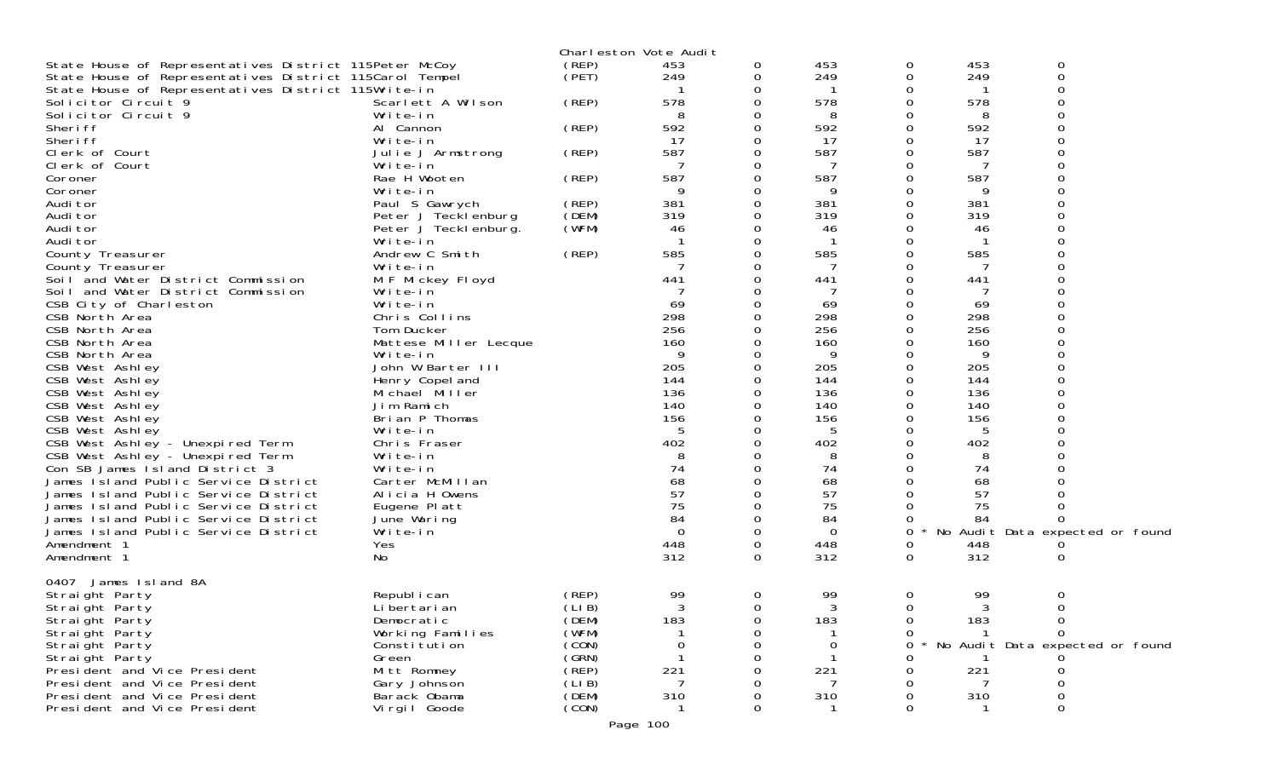|                                                         |                              |        | Charleston Vote Audit |          |             |   |     |                                 |  |
|---------------------------------------------------------|------------------------------|--------|-----------------------|----------|-------------|---|-----|---------------------------------|--|
| State House of Representatives District 115Peter McCoy  |                              | (REP)  | 453                   | 0        | 453         | 0 | 453 | 0                               |  |
| State House of Representatives District 115Carol Tempel |                              | (PET)  | 249                   | 0        | 249         | 0 | 249 | 0                               |  |
| State House of Representatives District 115Write-in     |                              |        |                       |          |             | Ω |     |                                 |  |
| Solicitor Circuit 9                                     | Scarlett A Wilson            | (REP)  | 578                   |          | 578         | 0 | 578 |                                 |  |
| Solicitor Circuit 9                                     | Write-in                     |        | 8                     |          | 8           | 0 | 8   | 0                               |  |
| Sheri ff                                                | Al Cannon                    | (REP)  | 592                   |          | 592         | 0 | 592 |                                 |  |
| Sheri ff                                                | Write-in                     |        | 17                    | Ω        | 17          | 0 | 17  | $\Omega$                        |  |
| Clerk of Court                                          | Julie J Armstrong            | (REP)  | 587                   |          | 587         | 0 | 587 |                                 |  |
| Clerk of Court                                          | Write-in                     |        |                       |          | 7           |   | 7   |                                 |  |
| Coroner                                                 | Rae H Wooten                 | (REP)  | 587                   |          | 587         | 0 | 587 |                                 |  |
| Coroner                                                 | Write-in                     |        | 9                     |          | 9           | Ω | 9   |                                 |  |
| Audi tor                                                | Paul S Gawrych               | (REP)  | 381                   |          | 381         |   | 381 |                                 |  |
| Audi tor                                                | Peter J Tecklenburg          | (DEM)  | 319                   |          | 319         | ∩ | 319 |                                 |  |
| Audi tor                                                | Peter J Tecklenburg.         | (WFM)  | 46                    |          | 46          |   | 46  |                                 |  |
| Audi tor                                                | Write-in                     | (REP)  | 585                   |          | 585         | O | 585 |                                 |  |
| County Treasurer<br>County Treasurer                    | Andrew C Smith<br>Write-in   |        |                       |          | -7          | Ω | 7   |                                 |  |
| Soil and Water District Commission                      |                              |        | 441                   |          | 441         |   | 441 |                                 |  |
| Soil and Water District Commission                      | M F Mickey Floyd<br>Write-in |        |                       |          | -7          |   |     |                                 |  |
| CSB City of Charleston                                  | Write-in                     |        | 69                    |          | 69          | 0 | 69  |                                 |  |
| CSB North Area                                          | Chris Collins                |        | 298                   |          | 298         |   | 298 |                                 |  |
| CSB North Area                                          | Tom Ducker                   |        | 256                   |          | 256         | O | 256 |                                 |  |
| CSB North Area                                          | Mattese Miller Lecque        |        | 160                   |          | 160         | 0 | 160 |                                 |  |
| CSB North Area                                          | Write-in                     |        | 9                     |          | 9           |   | 9   |                                 |  |
| CSB West Ashley                                         | John W Barter III            |        | 205                   |          | 205         | O | 205 |                                 |  |
| CSB West Ashley                                         | Henry Copel and              |        | 144                   |          | 144         | 0 | 144 |                                 |  |
| CSB West Ashley                                         | Michael Miller               |        | 136                   |          | 136         |   | 136 |                                 |  |
| CSB West Ashley                                         | Jim Ramich                   |        | 140                   |          | 140         | O | 140 |                                 |  |
| CSB West Ashley                                         | Brian P Thomas               |        | 156                   |          | 156         | 0 | 156 |                                 |  |
| CSB West Ashley                                         | Write-in                     |        | 5                     |          | 5           |   | 5   |                                 |  |
| CSB West Ashley - Unexpired Term                        | Chris Fraser                 |        | 402                   |          | 402         | O | 402 |                                 |  |
| CSB West Ashley - Unexpired Term                        | Write-in                     |        |                       |          | 8           |   | 8   |                                 |  |
| Con SB James Island District 3                          | Write-in                     |        | 74                    |          | 74          | O | 74  |                                 |  |
| James Island Public Service District                    | Carter McMillan              |        | 68                    |          | 68          | Ω | 68  |                                 |  |
| James Island Public Service District                    | Alicia H Owens               |        | 57                    |          | 57          |   | 57  |                                 |  |
| James Island Public Service District                    | Eugene Platt                 |        | 75                    |          | 75          |   | 75  |                                 |  |
| James Island Public Service District                    | June Waring                  |        | 84                    |          | 84          | 0 | 84  |                                 |  |
| James Island Public Service District                    | Write-in                     |        | $\Omega$              |          | $\mathbf 0$ | 0 |     | No Audit Data expected or found |  |
| Amendment 1                                             | Yes                          |        | 448                   | 0        | 448         | 0 | 448 |                                 |  |
| Amendment 1                                             | No                           |        | 312                   | $\Omega$ | 312         | 0 | 312 | 0                               |  |
| James Island 8A<br>0407                                 |                              |        |                       |          |             |   |     |                                 |  |
| Straight Party                                          | Republ i can                 | (REP)  | 99                    | 0        | 99          | 0 | 99  | 0                               |  |
| Straight Party                                          | Li bertari an                | (LIB)  | 3                     | 0        | 3           | 0 | 3   | 0                               |  |
| Straight Party                                          | Democratic                   | (DEM)  | 183                   |          | 183         | O | 183 | 0                               |  |
| Straight Party                                          | Working Families             | (WFM)  |                       |          |             |   |     |                                 |  |
| Straight Party                                          | Constitution                 | (CON)  | 0                     |          | $\mathbf 0$ | O |     | No Audit Data expected or found |  |
| Straight Party                                          | Green                        | (GRN)  |                       |          |             |   |     |                                 |  |
| President and Vice President                            | Mitt Romney                  | (̀REP) | 221                   |          | 221         |   | 221 |                                 |  |
| President and Vice President                            | Gary Johnson                 | (LIB)  |                       |          | 7           |   |     |                                 |  |
| President and Vice President                            | Barack Obama                 | (DEM)  | 310                   |          | 310         |   | 310 | 0                               |  |
| President and Vice President                            | Vi rgi I Goode               | (CON)  |                       |          | ำ           | O |     | 0                               |  |
|                                                         |                              |        | 100                   |          |             |   |     |                                 |  |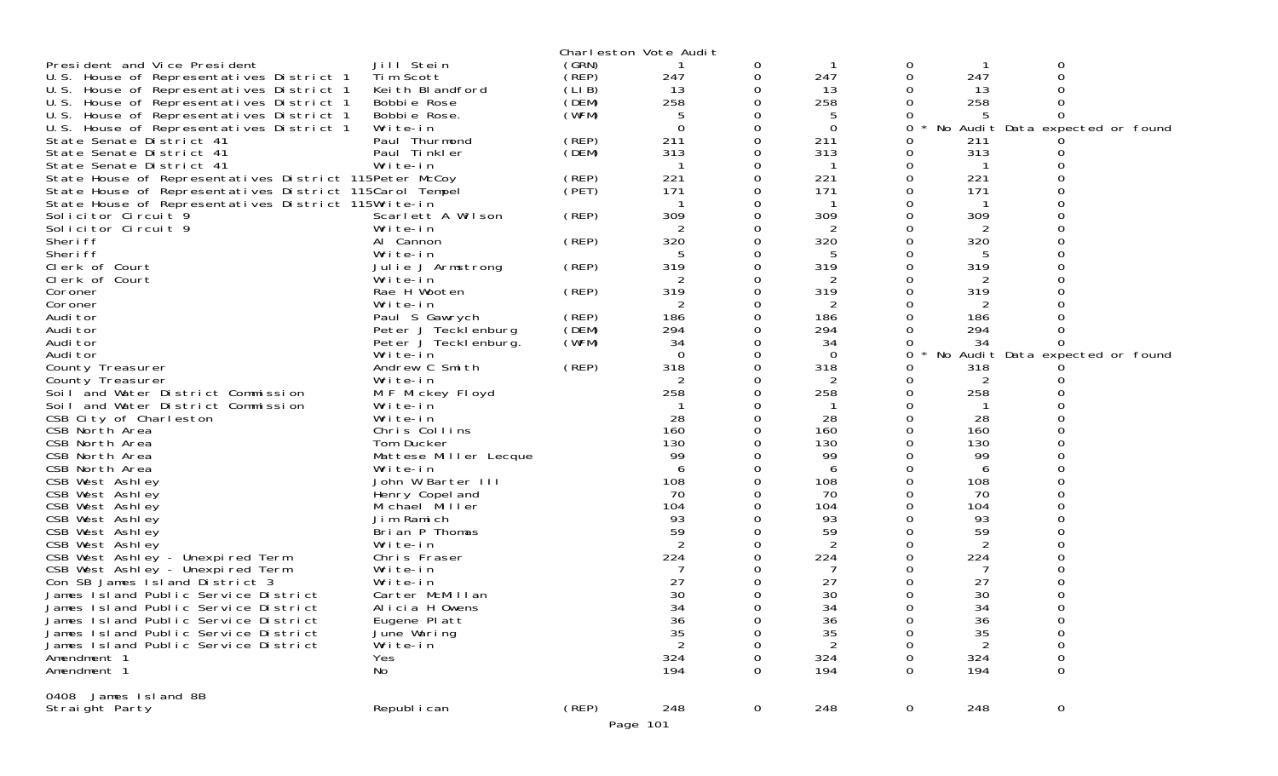|                                                         |                               |       | Charleston Vote Audit |             |                |                     |                |                                 |  |
|---------------------------------------------------------|-------------------------------|-------|-----------------------|-------------|----------------|---------------------|----------------|---------------------------------|--|
| President and Vice President                            | Jill Stein                    | (GRN) |                       | 0           |                | 0                   |                | 0                               |  |
| U.S. House of Representatives District 1                | Tim Scott                     | (REP) | 247                   | 0           | 247            | 0                   | 247            |                                 |  |
| U.S. House of Representatives District 1                | Keith Blandford               | (LIB) | 13                    | 0           | 13             |                     | 13             |                                 |  |
| U.S. House of Representatives District 1                | Bobbie Rose                   | (DEM) | 258                   | 0           | 258            |                     | 258            |                                 |  |
| U.S. House of Representatives District 1                | Bobbie Rose.                  | (WFM) | 5                     |             | 5              |                     |                |                                 |  |
| U.S. House of Representatives District 1                | Write-in                      |       | $\Omega$              | 0           | $\Omega$       | 0                   |                | No Audit Data expected or found |  |
| State Senate District 41                                | Paul Thurmond                 | (REP) | 211                   | 0           | 211            | O                   | 211            |                                 |  |
| State Senate District 41                                | Paul Tinkler                  | (DEM) | 313                   | 0           | 313            |                     | 313            |                                 |  |
| State Senate District 41                                | Write-in                      |       |                       | 0           |                |                     |                |                                 |  |
| State House of Representatives District 115Peter McCoy  |                               | (REP) | 221                   | 0           | 221            |                     | 221            |                                 |  |
| State House of Representatives District 115Carol Tempel |                               | (PET) | 171                   | O           | 171            |                     | 171            |                                 |  |
| State House of Representatives District 115Write-in     |                               |       | 309                   |             | 309            |                     | 309            |                                 |  |
| Solicitor Circuit 9<br>Solicitor Circuit 9              | Scarlett A Wilson<br>Write-in | (REP) | 2                     | 0           |                |                     | 2              |                                 |  |
| Sheri ff                                                | Al Cannon                     | (REP) | 320                   | 0           | 2<br>320       |                     | 320            |                                 |  |
| Sheri ff                                                | Write-in                      |       | 5                     | 0           | 5              |                     | 5              |                                 |  |
| Clerk of Court                                          | Julie J Armstrong             | (REP) | 319                   |             | 319            |                     | 319            |                                 |  |
| Clerk of Court                                          | Write-in                      |       |                       | 0           | 2              |                     |                |                                 |  |
| Coroner                                                 | Rae H Wooten                  | (REP) | 319                   | 0           | 319            |                     | 319            |                                 |  |
| Coroner                                                 | Write-in                      |       | 2                     |             | 2              |                     |                |                                 |  |
| Audi tor                                                | Paul S Gawrych                | (REP) | 186                   | 0           | 186            |                     | 186            |                                 |  |
| Audi tor                                                | Peter J Tecklenburg           | (DEM) | 294                   | 0           | 294            |                     | 294            |                                 |  |
| Audi tor                                                | Peter J Teckl enburg.         | (WFM) | 34                    |             | 34             |                     | 34             |                                 |  |
| Audi tor                                                | Write-in                      |       | $\Omega$              | $\Omega$    | $\Omega$       | 0                   |                | No Audit Data expected or found |  |
| County Treasurer                                        | Andrew C Smith                | (REP) | 318                   | 0           | 318            | Ω                   | 318            |                                 |  |
| County Treasurer                                        | Write-in                      |       | 2                     |             | 2              |                     | 2              |                                 |  |
| Soil and Water District Commission                      | M F Mickey Floyd              |       | 258                   | 0           | 258            |                     | 258            |                                 |  |
| Soil and Water District Commission                      | Write-in                      |       |                       | 0           |                | Ω                   |                |                                 |  |
| CSB City of Charleston                                  | Write-in                      |       | 28                    |             | 28             |                     | 28             |                                 |  |
| CSB North Area                                          | Chris Collins                 |       | 160                   |             | 160            |                     | 160            |                                 |  |
| CSB North Area                                          | Tom Ducker                    |       | 130                   |             | 130            |                     | 130            |                                 |  |
| CSB North Area                                          | Mattese Miller Lecque         |       | 99                    |             | 99             |                     | 99             |                                 |  |
| CSB North Area                                          | Write-in                      |       | 6                     | 0           | 6              |                     | 6              |                                 |  |
| CSB West Ashley                                         | John W Barter III             |       | 108                   | 0           | 108            |                     | 108            |                                 |  |
| CSB West Ashley                                         | Henry Copel and               |       | 70<br>104             | 0           | 70<br>104      |                     | 70<br>104      |                                 |  |
| CSB West Ashley<br>CSB West Ashley                      | Michael Miller<br>Jim Ramich  |       | 93                    |             | 93             |                     | 93             |                                 |  |
| CSB West Ashley                                         | Brian P Thomas                |       | 59                    |             | 59             |                     | 59             |                                 |  |
| CSB West Ashley                                         | Write-in                      |       | 2                     | 0           | $\overline{2}$ |                     | $\overline{2}$ |                                 |  |
| CSB West Ashley - Unexpired Term                        | Chris Fraser                  |       | 224                   |             | 224            |                     | 224            |                                 |  |
| CSB West Ashley - Unexpired Term                        | Write-in                      |       |                       |             | -7             |                     |                |                                 |  |
| Con SB James I sland District 3                         | Write-in                      |       | 27                    |             | 27             |                     | 27             |                                 |  |
| James Island Public Service District                    | Carter McMillan               |       | 30                    |             | 30             |                     | 30             |                                 |  |
| James Island Public Service District                    | Alicia H Owens                |       | 34                    |             | 34             |                     | 34             |                                 |  |
| James Island Public Service District                    | Eugene Platt                  |       | 36                    | 0           | 36             | 0                   | 36             | 0                               |  |
| James Island Public Service District                    | June Waring                   |       | 35                    | 0           | 35             |                     | 35             | $\mathbf 0$                     |  |
| James Island Public Service District                    | Write-in                      |       | 2                     |             | 2              |                     |                | 0                               |  |
| Amendment 1                                             | Yes                           |       | 324                   |             | 324            |                     | 324            | $\mathbf 0$                     |  |
| Amendment 1                                             | No                            |       | 194                   | 0           | 194            | O                   | 194            | $\Omega$                        |  |
|                                                         |                               |       |                       |             |                |                     |                |                                 |  |
| 0408 James Island 8B<br>Straight Party                  | Republ i can                  | (REP) | 248                   | $\mathbf 0$ | 248            | $\mathsf{O}\xspace$ | 248            | $\overline{0}$                  |  |
|                                                         |                               |       | Page 101              |             |                |                     |                |                                 |  |
|                                                         |                               |       |                       |             |                |                     |                |                                 |  |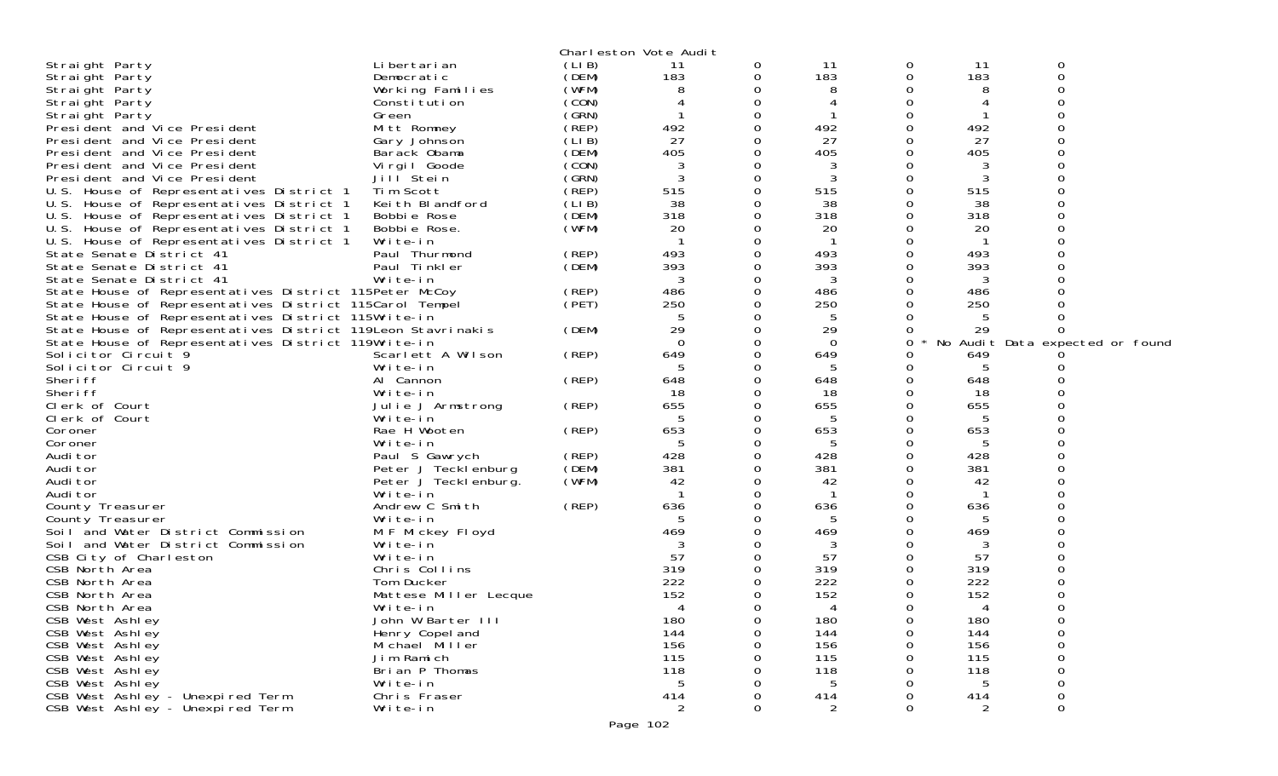|                                                             |                       |       | Charleston Vote Audit |          |              |          |     |                                 |
|-------------------------------------------------------------|-----------------------|-------|-----------------------|----------|--------------|----------|-----|---------------------------------|
| Straight Party                                              | Li bertari an         | (LIB) | 11                    | 0        | 11           | 0        | 11  | 0                               |
| Straight Party                                              | Democratic            | (DEM) | 183                   | 0        | 183          | 0        | 183 | $\Omega$                        |
| Straight Party                                              | Working Families      | (WFM) | 8                     | 0        | 8            | Ω        | 8   |                                 |
| Straight Party                                              | Constitution          | (CON) |                       | 0        |              | O        |     |                                 |
| Straight Party                                              | Green                 | (SRN) |                       | 0        |              |          |     |                                 |
| President and Vice President                                | Mitt Romney           | (REP) | 492                   | 0        | 492          | 0        | 492 |                                 |
| President and Vice President                                | Gary Johnson          | (LIB) | 27                    | 0        | 27           | 0        | 27  |                                 |
| President and Vice President                                | Barack Obama          | (DEM) | 405                   | 0        | 405          | 0        | 405 |                                 |
| President and Vice President                                |                       | (CON) |                       | 0        |              | O        |     |                                 |
|                                                             | Virgil Goode          |       | 3                     |          | 3            |          | 3   |                                 |
| President and Vice President                                | Jill Stein            | (GRN) | 3                     | 0        | 3            | 0        | 3   |                                 |
| U.S. House of Representatives District 1                    | Tim Scott             | (REP) | 515                   | 0        | 515          | 0        | 515 |                                 |
| U.S. House of Representatives District 1                    | Keith Blandford       | (LIB) | 38                    | 0        | 38           | Ω        | 38  |                                 |
| U.S. House of Representatives District 1                    | Bobbie Rose           | (DEM) | 318                   | 0        | 318          | 0        | 318 |                                 |
| U.S. House of Representatives District 1                    | Bobbie Rose.          | (WFM) | 20                    | 0        | 20           | 0        | 20  |                                 |
| U.S. House of Representatives District 1                    | Write-in              |       |                       | 0        |              | 0        |     |                                 |
| State Senate District 41                                    | Paul Thurmond         | (REP) | 493                   | 0        | 493          | 0        | 493 |                                 |
| State Senate District 41                                    | Paul Tinkler          | (DEM) | 393                   | 0        | 393          | 0        | 393 |                                 |
| State Senate District 41                                    | Write-in              |       | 3                     | 0        | 3            | 0        | 3   |                                 |
| State House of Representatives District 115Peter McCoy      |                       | (REP) | 486                   | $\Omega$ | 486          | 0        | 486 |                                 |
| State House of Representatives District 115Carol Tempel     |                       | (PET) | 250                   | 0        | 250          | 0        | 250 |                                 |
| State House of Representatives District 115Write-in         |                       |       | 5                     | 0        | 5            |          | 5   |                                 |
| State House of Representatives District 119Leon Stavrinakis |                       | (DEM) | 29                    | 0        | 29           | 0        | 29  |                                 |
| State House of Representatives District 119Write-in         |                       |       | $\Omega$              | 0        | $\Omega$     | 0        |     | No Audit Data expected or found |
| Solicitor Circuit 9                                         | Scarlett A Wilson     | (REP) | 649                   | 0        | 649          |          | 649 |                                 |
| Solicitor Circuit 9                                         | Write-in              |       | 5                     | 0        | 5            | 0        | 5   |                                 |
| Sheri ff                                                    | Al Cannon             | (REP) | 648                   | 0        | 648          | 0        | 648 |                                 |
| Sheri ff                                                    | Write-in              |       | 18                    | 0        | 18           | 0        | 18  |                                 |
| Clerk of Court                                              | Julie J Armstrong     | (REP) | 655                   | 0        | 655          | 0        | 655 |                                 |
| Clerk of Court                                              | Write-in              |       | 5                     | 0        | 5            | O        | 5   |                                 |
| Coroner                                                     | Rae H Wooten          | (REP) | 653                   | 0        | 653          | $\Omega$ | 653 |                                 |
| Coroner                                                     | Write-in              |       | 5                     | 0        | 5            | 0        | 5   |                                 |
| Audi tor                                                    | Paul S Gawrych        | (REP) | 428                   | 0        | 428          | 0        | 428 |                                 |
| Audi tor                                                    | Peter J Tecklenburg   | (DEM) | 381                   | 0        | 381          | $\Omega$ | 381 |                                 |
|                                                             |                       | (WFM) | 42                    | 0        | 42           | 0        | 42  |                                 |
| Audi tor                                                    | Peter J Tecklenburg.  |       |                       |          |              |          |     |                                 |
| Audi tor                                                    | Write-in              |       |                       | 0        | $\mathbf{1}$ | 0        |     |                                 |
| County Treasurer                                            | Andrew C Smith        | (REP) | 636                   | 0        | 636          | $\Omega$ | 636 |                                 |
| County Treasurer                                            | Write-in              |       | 5                     | 0        | 5            | 0        | 5   |                                 |
| Soil and Water District Commission                          | M F Mickey Floyd      |       | 469                   | 0        | 469          |          | 469 |                                 |
| Soil and Water District Commission                          | Write-in              |       |                       | 0        | 3            | Ω        | 3   |                                 |
| CSB City of Charleston                                      | Write-in              |       | 57                    | 0        | 57           | 0        | 57  |                                 |
| CSB North Area                                              | Chris Collins         |       | 319                   | 0        | 319          | 0        | 319 |                                 |
| CSB North Area                                              | Tom Ducker            |       | 222                   | 0        | 222          | 0        | 222 |                                 |
| CSB North Area                                              | Mattese Miller Lecque |       | 152                   | 0        | 152          | 0        | 152 |                                 |
| CSB North Area                                              | Write-in              |       | 4                     | 0        | 4            | 0        | 4   | $\Omega$                        |
| CSB West Ashley                                             | John W Barter III     |       | 180                   | 0        | 180          | 0        | 180 | 0                               |
| CSB West Ashley                                             | Henry Copel and       |       | 144                   | 0        | 144          | 0        | 144 | $\mathbf 0$                     |
| CSB West Ashley                                             | Michael Miller        |       | 156                   | 0        | 156          | 0        | 156 | 0                               |
| CSB West Ashley                                             | Jim Ramich            |       | 115                   | 0        | 115          | 0        | 115 | 0                               |
| CSB West Ashley                                             | Brian P Thomas        |       | 118                   |          | 118          | Ω        | 118 | 0                               |
| CSB West Ashley                                             | Write-in              |       | 5                     |          | 5            | Ω        | 5   | 0                               |
| CSB West Ashley - Unexpired Term                            | Chris Fraser          |       | 414                   | 0        | 414          | 0        | 414 | $\boldsymbol{0}$                |
| CSB West Ashley - Unexpired Term                            | Write-in              |       | 2                     | 0        | 2            | 0        | 2   | 0                               |
|                                                             |                       |       | Page 102              |          |              |          |     |                                 |
|                                                             |                       |       |                       |          |              |          |     |                                 |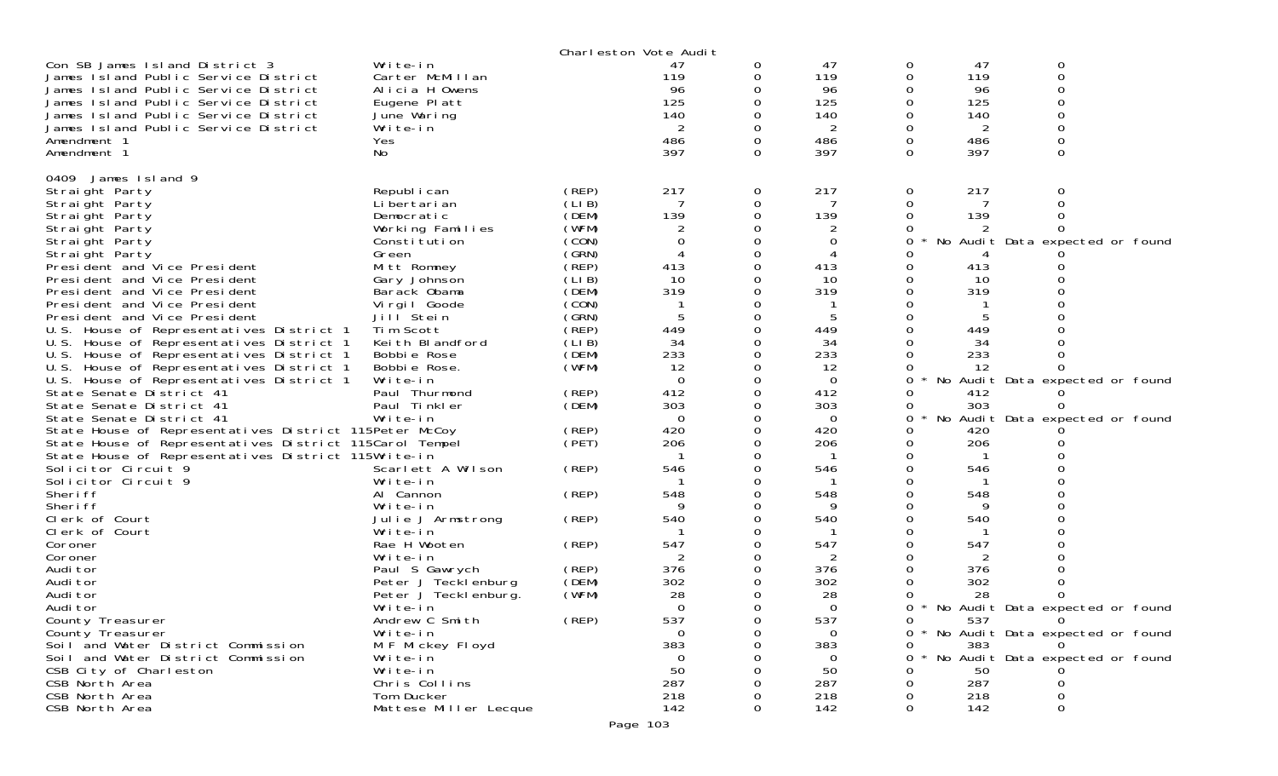|                                                                            |                            |                | Charleston Vote Audit |          |            |               |            |                                   |  |
|----------------------------------------------------------------------------|----------------------------|----------------|-----------------------|----------|------------|---------------|------------|-----------------------------------|--|
| Con SB James Island District 3                                             | Write-in                   |                | 47                    | 0        | 47         | 0             | 47         | 0                                 |  |
| James Island Public Service District                                       | Carter McMillan            |                | 119                   | 0        | 119        | $\mathbf 0$   | 119        | 0                                 |  |
| James Island Public Service District                                       | Alicia H Owens             |                | 96                    |          | 96         | 0             | 96         | 0                                 |  |
| James Island Public Service District                                       | Eugene Platt               |                | 125                   |          | 125        | 0             | 125        | ∩                                 |  |
| James Island Public Service District                                       | June Waring                |                | 140                   |          | 140        | 0             | 140        | ი                                 |  |
| James Island Public Service District                                       | Write-in                   |                | 2                     |          | 2          | 0             | 2          | ი                                 |  |
| Amendment 1                                                                | <b>Yes</b>                 |                | 486                   | 0        | 486        | $\mathbf 0$   | 486        | $\Omega$                          |  |
| Amendment 1                                                                | No                         |                | 397                   | $\Omega$ | 397        | $\Omega$      | 397        | 0                                 |  |
| 0409 James Island 9                                                        |                            |                |                       |          |            |               |            |                                   |  |
| Straight Party                                                             | Republ i can               | (REP)          | 217                   | 0        | 217        | $\mathbf 0$   | 217        | 0                                 |  |
| Straight Party                                                             | Li bertari an              | (LIB)          |                       | 0        |            | 0             |            |                                   |  |
| Straight Party                                                             | Democratic                 | (DEM)          | 139                   | 0        | 139        | 0             | 139        |                                   |  |
| Straight Party                                                             | Working Families           | (WFM)          |                       |          |            |               |            |                                   |  |
| Straight Party                                                             | Constitution               | (CON)          | 0                     | $\Omega$ | 0          | 0             |            | No Audit Data expected or found   |  |
| Straight Party                                                             | Green                      | (GRN)          | 4                     | 0        | 4          | Ω             |            |                                   |  |
| President and Vice President                                               | Mitt Romney                | (REP)          | 413                   |          | 413        | 0             | 413        |                                   |  |
| President and Vice President                                               |                            | (LIB)          | 10                    | 0        | 10         | 0             | 10         |                                   |  |
| President and Vice President                                               | Gary Johnson               | (DEM)          | 319                   |          | 319        | 0             | 319        |                                   |  |
|                                                                            | Barack Obama               | (CON)          |                       |          |            | 0             |            |                                   |  |
| President and Vice President<br>President and Vice President               | Virgil Goode<br>Jill Stein | (GRN)          |                       | $\Omega$ | 5          | $\Omega$      | 5          |                                   |  |
|                                                                            | Tim Scott                  | (REP)          | 449                   | 0        | 449        | $\mathbf 0$   | 449        |                                   |  |
| U.S. House of Representatives District 1                                   |                            |                | 34                    |          | 34         | 0             |            |                                   |  |
| U.S. House of Representatives District 1                                   | Keith Blandford            | (LIB)<br>(DEM) |                       | $\Omega$ |            | $\Omega$      | 34         |                                   |  |
| U.S. House of Representatives District 1                                   | Bobbie Rose                |                | 233                   |          | 233        |               | 233        |                                   |  |
| U.S. House of Representatives District 1                                   | Bobbie Rose.               | (WFM)          | 12                    | 0        | 12         | 0             | 12         |                                   |  |
| U.S. House of Representatives District 1                                   | Write-in                   |                | $\Omega$              | 0        | $\Omega$   | 0             |            | No Audit Data expected or found   |  |
| State Senate District 41                                                   | Paul Thurmond              | (REP)          | 412                   | $\Omega$ | 412        | 0             | 412        |                                   |  |
| State Senate District 41                                                   | Paul Tinkler               | (DEM)          | 303                   | 0        | 303        | 0             | 303        |                                   |  |
| State Senate District 41                                                   | Write-in                   |                | $\Omega$              |          | 0          | 0             |            | No Audit Data expected or found   |  |
| State House of Representatives District 115Peter McCoy                     |                            | (REP)<br>(PET) | 420                   | 0        | 420<br>206 | 0             | 420<br>206 |                                   |  |
| State House of Representatives District 115Carol Tempel                    |                            |                | 206                   |          |            | 0             |            |                                   |  |
| State House of Representatives District 115Write-in<br>Solicitor Circuit 9 |                            |                |                       |          |            | 0<br>$\Omega$ |            |                                   |  |
|                                                                            | Scarlett A Wilson          | (REP)          | 546                   |          | 546        |               | 546        |                                   |  |
| Solicitor Circuit 9                                                        | Write-in                   |                |                       |          |            | 0             |            |                                   |  |
| Sheri ff                                                                   | Al Cannon                  | (REP)          | 548<br>q              |          | 548        | 0             | 548        |                                   |  |
| Sheri ff                                                                   | Write-in                   |                |                       | 0        | -9         | 0             | 9          |                                   |  |
| Clerk of Court                                                             | Julie J Armstrong          | (REP)          | 540                   |          | 540        | 0             | 540        |                                   |  |
| Clerk of Court                                                             | Write-in                   |                |                       |          |            | 0             |            |                                   |  |
| Coroner                                                                    | Rae H Wooten               | (REP)          | 547                   |          | 547        | $\Omega$      | 547        |                                   |  |
| Coroner                                                                    | Write-in                   |                | 2                     |          | 2          | 0             | 2          |                                   |  |
| Audi tor                                                                   | Paul S Gawrych             | (REP)          | 376                   |          | 376        |               | 376        |                                   |  |
| Audi tor                                                                   | Peter J Tecklenburg        | (DEM)          | 302                   |          | 302        | 0             | 302        |                                   |  |
| Audi tor                                                                   | Peter J Teckl enburg.      | (WFM)          | 28                    |          | 28         |               | 28         |                                   |  |
| Audi tor                                                                   | Write-in                   |                | 0                     |          | 0          | 0<br>$\star$  |            | No Audit Data expected or found   |  |
| County Treasurer                                                           | Andrew C Smith             | (REP)          | 537                   |          | 537        | 0             | 537        | 0                                 |  |
| County Treasurer                                                           | Write-in                   |                | $\Omega$              |          | $\Omega$   | $\Omega$      |            | * No Audit Data expected or found |  |
| Soil and Water District Commission                                         | M F Mickey Floyd           |                | 383                   |          | 383        | O<br>$\star$  | 383        |                                   |  |
| Soil and Water District Commission                                         | Write-in                   |                | 0                     |          | $\Omega$   | 0             |            | No Audit Data expected or found   |  |
| CSB City of Charleston                                                     | Write-in                   |                | 50                    |          | 50         |               | 50         |                                   |  |
| CSB North Area                                                             | Chris Collins              |                | 287                   |          | 287        |               | 287        |                                   |  |
| CSB North Area                                                             | Tom Ducker                 |                | 218                   |          | 218        | O             | 218        |                                   |  |
| CSB North Area                                                             | Mattese Miller Lecque      |                | 142                   | 0        | 142        | $\Omega$      | 142        | 0                                 |  |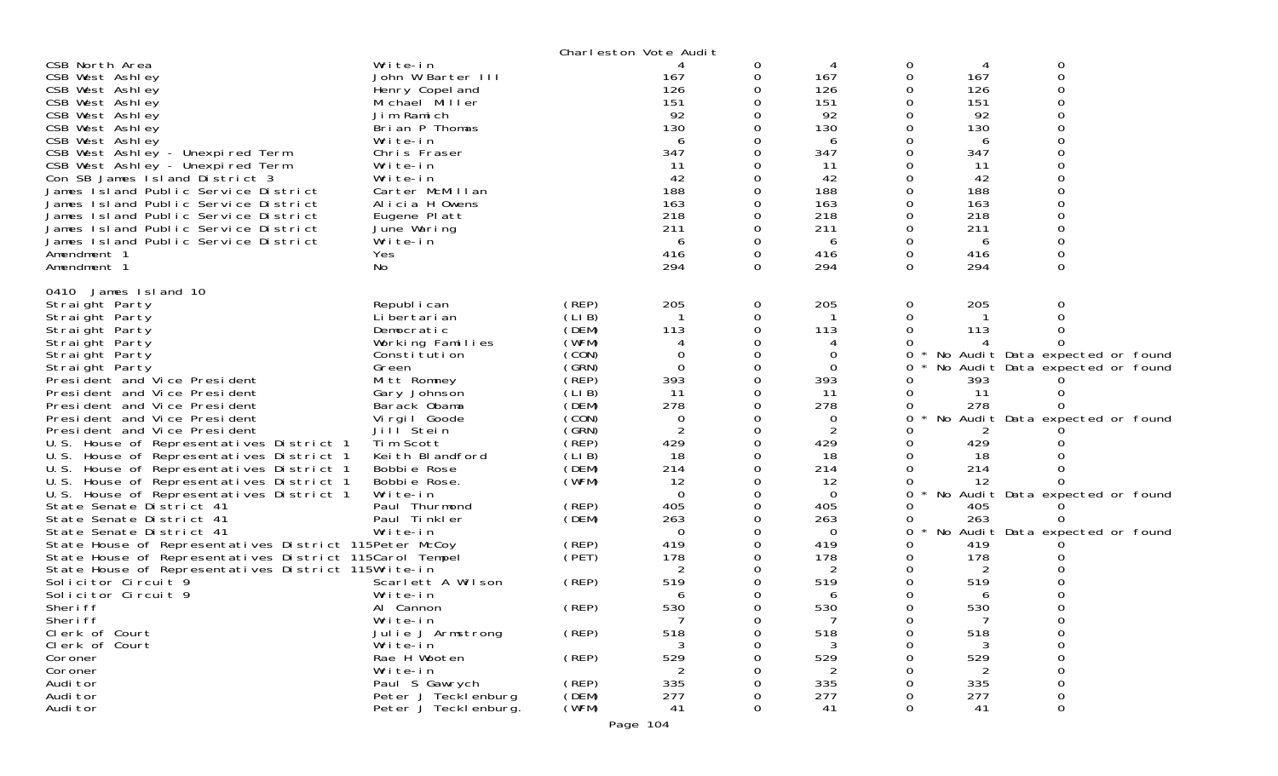|                                                         |                       |       | Charleston Vote Audit |   |                |              |     |                                 |  |
|---------------------------------------------------------|-----------------------|-------|-----------------------|---|----------------|--------------|-----|---------------------------------|--|
| CSB North Area                                          | Write-in              |       |                       | 0 | 4              | 0            | 4   | 0                               |  |
| CSB West Ashley                                         | John W Barter III     |       | 167                   | 0 | 167            | 0            | 167 | 0                               |  |
| CSB West Ashley                                         | Henry Copel and       |       | 126                   |   | 126            | 0            | 126 |                                 |  |
| CSB West Ashley                                         | Michael Miller        |       | 151                   |   | 151            | 0            | 151 | O                               |  |
| CSB West Ashley                                         | Jim Ramich            |       | 92                    |   | 92             | 0            | 92  |                                 |  |
| CSB West Ashley                                         | Brian P Thomas        |       | 130                   |   | 130            | 0            | 130 |                                 |  |
| CSB West Ashley                                         | Write-in              |       | 6                     |   | 6              | 0            | 6   |                                 |  |
| CSB West Ashley - Unexpired Term                        | Chris Fraser          |       | 347                   |   | 347            | 0            | 347 |                                 |  |
| CSB West Ashley - Unexpired Term                        | Write-in              |       | 11                    |   | 11             | Ω            | 11  |                                 |  |
| Con SB James Island District 3                          | Write-in              |       | 42                    |   | 42             | 0            | 42  |                                 |  |
| James Island Public Service District                    | Carter McMillan       |       | 188                   |   | 188            | 0            | 188 |                                 |  |
| James Island Public Service District                    | Alicia H Owens        |       | 163                   |   | 163            | Ω            | 163 |                                 |  |
| James Island Public Service District                    | Eugene Platt          |       | 218                   |   | 218            | 0            | 218 |                                 |  |
| James Island Public Service District                    |                       |       | 211                   |   | 211            | 0            | 211 |                                 |  |
|                                                         | June Waring           |       |                       |   |                |              |     |                                 |  |
| James Island Public Service District                    | Write-in              |       | 6                     |   | 6              | 0            | 6   |                                 |  |
| Amendment 1                                             | Yes                   |       | 416                   | 0 | 416            | 0            | 416 | 0                               |  |
| Amendment 1                                             | No                    |       | 294                   | 0 | 294            | 0            | 294 | 0                               |  |
| 0410 James Island 10                                    |                       |       |                       |   |                |              |     |                                 |  |
| Straight Party                                          | Republ i can          | (REP) | 205                   | 0 | 205            | 0            | 205 |                                 |  |
| Straight Party                                          | Li bertari an         | (LIB) |                       | Ω |                | 0            |     |                                 |  |
| Straight Party                                          | Democratic            | (DEM) | 113                   |   | 113            | 0            | 113 |                                 |  |
| Straight Party                                          | Working Families      | (WFM) |                       |   |                | Ω            |     |                                 |  |
| Straight Party                                          | Constitution          | (CON) | 0                     |   | 0              | 0            |     | No Audit Data expected or found |  |
| Straight Party                                          | Green                 | (SRN) | $\Omega$              |   | $\mathbf 0$    | 0            |     | No Audit Data expected or found |  |
| President and Vice President                            | Mitt Romney           | (REP) | 393                   |   | 393            | 0            | 393 |                                 |  |
| President and Vice President                            |                       | (LIB) | 11                    |   | -11            | 0            | -11 |                                 |  |
|                                                         | Gary Johnson          | (DEM) | 278                   |   | 278            |              |     |                                 |  |
| President and Vice President                            | Barack Obama          |       |                       |   |                | 0            | 278 |                                 |  |
| President and Vice President                            | Virgil Goode          | (CON) | 0                     |   | 0              | 0            |     | No Audit Data expected or found |  |
| President and Vice President                            | Jill <sup>Stein</sup> | (GRN) | 2                     |   | $\overline{2}$ | O            | 2   |                                 |  |
| U.S. House of Representatives District 1                | Tim Scott             | (REP) | 429                   |   | 429            | 0            | 429 |                                 |  |
| U.S. House of Representatives District 1                | Keith Blandford       | (LIB) | 18                    |   | 18             | 0            | 18  |                                 |  |
| U.S. House of Representatives District 1                | Bobbie Rose           | (DEM) | 214                   |   | 214            | 0            | 214 |                                 |  |
| U.S. House of Representatives District 1                | Bobbie Rose.          | (WFM) | 12                    |   | 12             | 0            | 12  |                                 |  |
| U.S. House of Representatives District 1                | Write-in              |       | $\Omega$              |   | $\overline{0}$ | 0            |     | No Audit Data expected or found |  |
| State Senate District 41                                | Paul Thurmond         | (REP) | 405                   |   | 405            | 0            | 405 |                                 |  |
| State Senate District 41                                | Paul Tinkler          | (DEM) | 263                   |   | 263            | 0            | 263 |                                 |  |
| State Senate District 41                                | Write-in              |       | 0                     |   | $\Omega$       | 0<br>$\star$ |     | No Audit Data expected or found |  |
| State House of Representatives District 115Peter McCoy  |                       | (REP) | 419                   |   | 419            | 0            | 419 |                                 |  |
| State House of Representatives District 115Carol Tempel |                       | (PET) | 178                   |   | 178            | 0            | 178 |                                 |  |
| State House of Representatives District 115Write-in     |                       |       | 2                     |   | 2              | 0            | 2   |                                 |  |
| Solicitor Circuit 9                                     | Scarlett A Wilson     | (REP) | 519                   |   | 519            | 0            | 519 |                                 |  |
| Solicitor Circuit 9                                     | Write-in              |       | 6                     |   | 6              | 0            | 6   |                                 |  |
| Sheri ff                                                | Al Cannon             | (REP) | 530                   |   | 530            | 0            | 530 | 0                               |  |
| Sheri ff                                                | Write-in              |       |                       | 0 |                | 0            |     | 0                               |  |
| Clerk of Court                                          | Julie J Armstrong     | (REP) | 518                   | 0 | 518            | 0            | 518 | 0                               |  |
| Clerk of Court                                          | Write-in              |       |                       |   |                | 0            |     | 0                               |  |
| Coroner                                                 | Rae H Wooten          | (REP) | 529                   |   | 529            | 0            | 529 | 0                               |  |
| Coroner                                                 | Write-in              |       | 2                     |   | 2              | ი            | 2   | 0                               |  |
| Audi tor                                                | Paul S Gawrych        | (REP) | 335                   |   | 335            | 0            | 335 | 0                               |  |
| Audi tor                                                | Peter J Tecklenburg   | (DEM) | 277                   |   | 277            | 0            | 277 | 0                               |  |
|                                                         |                       |       | 41                    | 0 | 41             | 0            |     |                                 |  |
| Audi tor                                                | Peter J Teckl enburg. | (WFM) |                       |   |                |              | 41  | 0                               |  |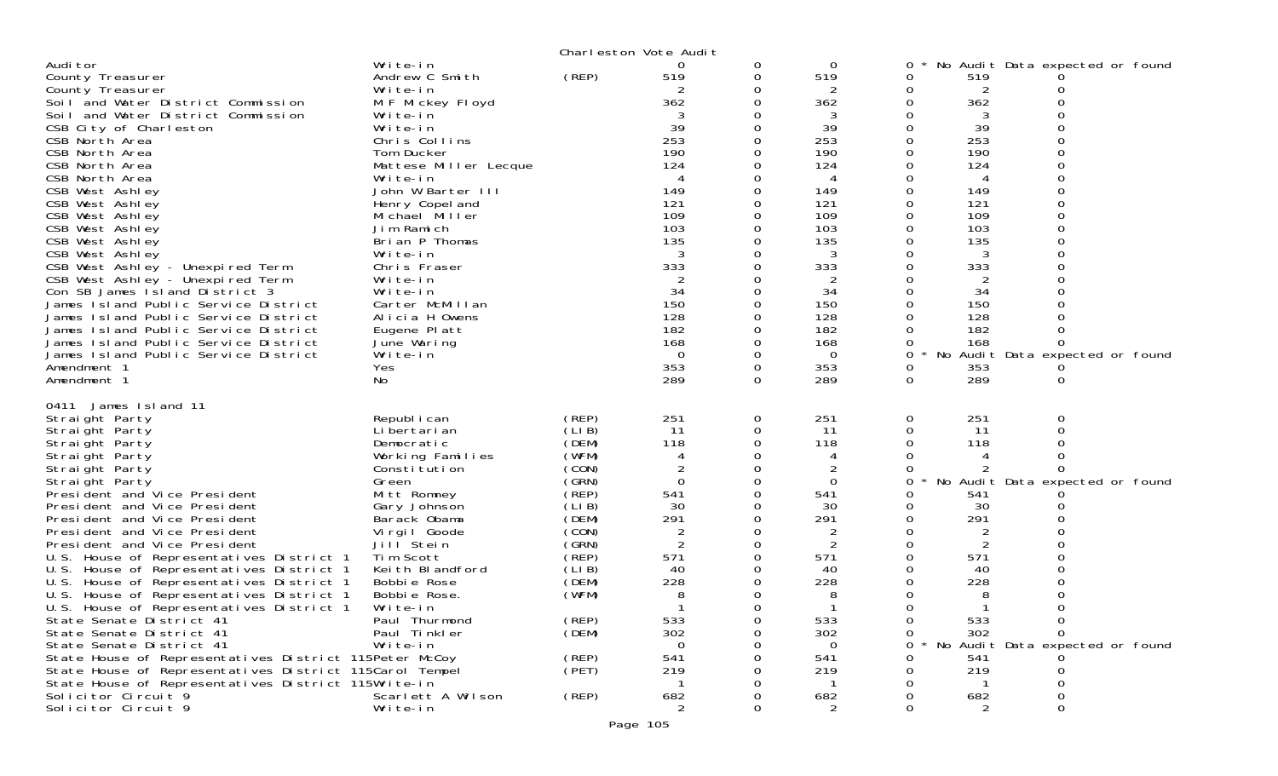|                                                                                                                                                                                                                                                                                                                                                                                                                                                                                                                                                                                                                                                                                                                                             |                                                                                                                                                                                                                                                                                                                                                                                                   |                                                                                                                                                                          | Charleston Vote Audit                                                                                                                                           |                                                                                |                                                                                                                                                                           |                                                 |                                                                                                                                                |                                                                                     |  |
|---------------------------------------------------------------------------------------------------------------------------------------------------------------------------------------------------------------------------------------------------------------------------------------------------------------------------------------------------------------------------------------------------------------------------------------------------------------------------------------------------------------------------------------------------------------------------------------------------------------------------------------------------------------------------------------------------------------------------------------------|---------------------------------------------------------------------------------------------------------------------------------------------------------------------------------------------------------------------------------------------------------------------------------------------------------------------------------------------------------------------------------------------------|--------------------------------------------------------------------------------------------------------------------------------------------------------------------------|-----------------------------------------------------------------------------------------------------------------------------------------------------------------|--------------------------------------------------------------------------------|---------------------------------------------------------------------------------------------------------------------------------------------------------------------------|-------------------------------------------------|------------------------------------------------------------------------------------------------------------------------------------------------|-------------------------------------------------------------------------------------|--|
| Audi tor<br>County Treasurer<br>County Treasurer<br>Soil and Water District Commission<br>Soil and Water District Commission<br>CSB City of Charleston<br>CSB North Area<br>CSB North Area<br>CSB North Area<br>CSB North Area<br>CSB West Ashley<br>CSB West Ashley<br>CSB West Ashley<br>CSB West Ashley<br>CSB West Ashley<br>CSB West Ashley<br>CSB West Ashley - Unexpired Term<br>CSB West Ashley - Unexpired Term<br>Con SB James Island District 3<br>James Island Public Service District<br>James Island Public Service District<br>James Island Public Service District<br>James Island Public Service District<br>James Island Public Service District<br>Amendment 1<br>Amendment 1                                            | Write-in<br>Andrew C Smith<br>Write-in<br>M F Mickey Floyd<br>Write-in<br>Write-in<br>Chris Collins<br>Tom Ducker<br>Mattese Miller Lecque<br>Write-in<br>John W Barter III<br>Henry Copel and<br>Michael Miller<br>Jim Ramich<br>Brian P Thomas<br>Write-in<br>Chris Fraser<br>Write-in<br>Write-in<br>Carter McMillan<br>Alicia H Owens<br>Eugene Platt<br>June Waring<br>Write-in<br>Yes<br>No | (REP)                                                                                                                                                                    | 0<br>519<br>2<br>362<br>39<br>253<br>190<br>124<br>4<br>149<br>121<br>109<br>103<br>135<br>3<br>333<br>34<br>150<br>128<br>182<br>168<br>$\Omega$<br>353<br>289 | 0<br>0<br>0<br>0<br>0<br>0<br>0<br>0<br>0<br>0<br>0<br>$\mathbf 0$<br>$\Omega$ | 0<br>519<br>2<br>362<br>3<br>39<br>253<br>190<br>124<br>4<br>149<br>121<br>109<br>103<br>135<br>3<br>333<br>2<br>34<br>150<br>128<br>182<br>168<br>$\Omega$<br>353<br>289 | 0<br>0<br>0<br>0<br>0<br>0<br>0                 | 519<br>2<br>362<br>3<br>39<br>253<br>190<br>124<br>149<br>121<br>109<br>103<br>135<br>3<br>333<br>34<br>150<br>128<br>182<br>168<br>353<br>289 | No Audit Data expected or found<br>No Audit Data expected or found<br>0             |  |
| 0411 James Island 11<br>Straight Party<br>Straight Party<br>Straight Party<br>Straight Party<br>Straight Party<br>Straight Party<br>President and Vice President<br>President and Vice President<br>President and Vice President<br>President and Vice President<br>President and Vice President<br>U.S. House of Representatives District 1<br>U.S. House of Representatives District 1<br>U.S.<br>House of Representatives District 1<br>U.S. House of Representatives District 1<br>U.S.<br>House of Representatives District 1<br>State Senate District 41<br>State Senate District 41<br>State Senate District 41<br>State House of Representatives District 115Peter McCoy<br>State House of Representatives District 115Carol Tempel | Republ i can<br>Li bertari an<br>Democratic<br>Working Families<br>Constitution<br>Green<br>Mitt Romney<br>Gary Johnson<br>Barack Obama<br>Virgil Goode<br>Jill <sup>Stein</sup><br>Tim Scott<br>Keith Blandford<br>Bobbie Rose<br>Bobbie Rose.<br>Write-in<br>Paul Thurmond<br>Paul Tinkler<br>Write-in                                                                                          | (REP)<br>(LIB)<br>(DEM)<br>(WFM)<br>(CON)<br>(GRN)<br>(REP)<br>(LI B)<br>(DEM)<br>(CON)<br>(GRN)<br>(REP)<br>(LIB)<br>(DEM)<br>(WFM)<br>(REP)<br>(DEM)<br>(REP)<br>(PET) | 251<br>11<br>118<br>4<br>$\Omega$<br>541<br>30<br>291<br>2<br>2<br>571<br>40<br>228<br>8<br>533<br>302<br>$\Omega$<br>541<br>219                                | 0<br>0<br>0<br>0<br>0<br>0<br>$\mathbf 0$<br>0<br>$\Omega$<br>0<br>Ω           | 251<br>11<br>118<br>2<br>$\Omega$<br>541<br>30<br>291<br>2<br>571<br>40<br>228<br>8<br>533<br>302<br>0<br>541<br>219                                                      | 0<br>0<br>$\Omega$<br>0<br>$\Omega$<br>$\Omega$ | 251<br>11<br>118<br>541<br>30<br>291<br>2<br>571<br>40<br>228<br>533<br>302<br>541<br>219                                                      | No Audit Data expected or found<br>0<br>$\Omega$<br>No Audit Data expected or found |  |
| State House of Representatives District 115Write-in<br>Solicitor Circuit 9<br>Solicitor Circuit 9                                                                                                                                                                                                                                                                                                                                                                                                                                                                                                                                                                                                                                           | Scarlett A Wilson<br>Write-in                                                                                                                                                                                                                                                                                                                                                                     | (REP)                                                                                                                                                                    | 682<br>$\overline{2}$                                                                                                                                           | 0                                                                              | 682<br>$\overline{2}$                                                                                                                                                     | $\Omega$                                        | 682<br>2                                                                                                                                       | $\Omega$                                                                            |  |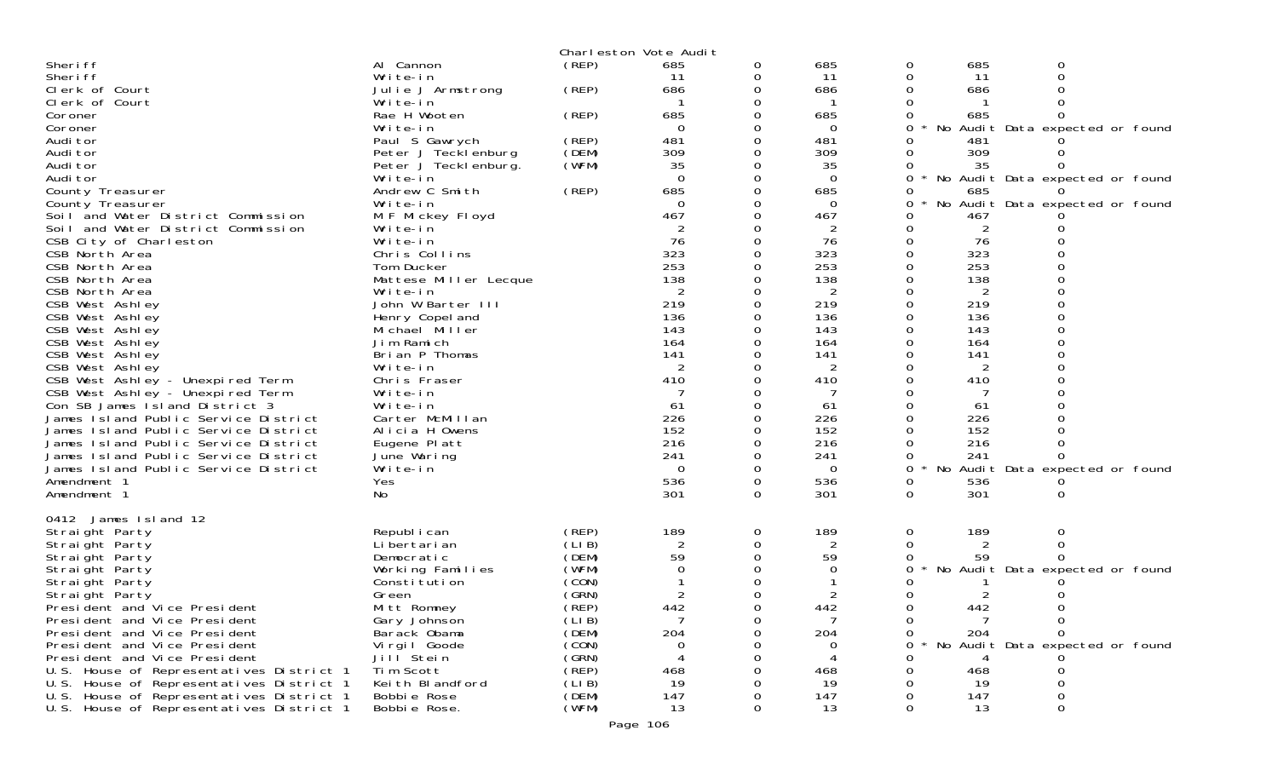| (REP)<br>Sheri ff<br>685<br>685<br>685<br>Al Cannon<br>0<br>0<br>0                                                |  |
|-------------------------------------------------------------------------------------------------------------------|--|
| $\Omega$<br>Sheri ff<br>11<br>11<br>11<br>Write-in<br>0<br>0                                                      |  |
| Clerk of Court<br>(REP)<br>686<br>Julie J Armstrong<br>0<br>686<br>686                                            |  |
| Clerk of Court<br>Write-in                                                                                        |  |
| Rae H Wooten<br>(REP)<br>685<br>685<br>685<br>Coroner                                                             |  |
| Write-in<br>No Audit Data expected or found<br>Coroner<br>$\Omega$<br>0<br>0                                      |  |
| 481<br>481<br>Audi tor<br>(REP)<br>Paul S Gawrych<br>0<br>481                                                     |  |
| 309<br>(DEM)<br>309<br>309<br>Audi tor<br>Peter J Tecklenburg                                                     |  |
| Peter J Teckl enburg.<br>(WFM)<br>Audi tor<br>35<br>35<br>35                                                      |  |
| $\Omega$<br>Audi tor<br>0<br>$\Omega$<br>No Audit Data expected or found<br>Write-in<br>0                         |  |
| (REP)<br>685<br>Andrew C Smith<br>685<br>County Treasurer<br>0<br>685                                             |  |
| Write-in<br>No Audit Data expected or found<br>County Treasurer<br>0<br>0                                         |  |
| Soil and Water District Commission<br>467<br>467<br>467<br>M F Mickey Floyd                                       |  |
| Soil and Water District Commission<br>Write-in<br>$\overline{2}$<br>2                                             |  |
| 76<br>76<br>76<br>CSB City of Charleston<br>Write-in<br>0<br>0                                                    |  |
| 323<br>323<br>323<br>Chris Collins<br>0                                                                           |  |
| CSB North Area<br>253<br>253<br>253<br>CSB North Area<br>Tom Ducker                                               |  |
|                                                                                                                   |  |
| 138<br>138<br>138<br>CSB North Area<br>Mattese Miller Lecque                                                      |  |
| $\overline{2}$<br>Write-in<br>2<br>2<br>CSB North Area                                                            |  |
| 219<br>219<br>219<br>CSB West Ashley<br>John W Barter III                                                         |  |
| Henry Copel and<br>136<br>136<br>136<br>CSB West Ashley                                                           |  |
| 143<br>143<br>CSB West Ashley<br>143<br>Michael Miller                                                            |  |
| Jim Ramich<br>164<br>164<br>CSB West Ashley<br>164                                                                |  |
| 141<br>Brian P Thomas<br>141<br>141<br>CSB West Ashley                                                            |  |
| 2<br>$\overline{2}$<br>CSB West Ashley<br>Write-in<br>2                                                           |  |
| CSB West Ashley - Unexpired Term<br>410<br>410<br>410<br>Chris Fraser                                             |  |
| CSB West Ashley - Unexpired Term<br>Write-in                                                                      |  |
| Con SB James Island District 3<br>Write-in<br>61<br>61<br>61                                                      |  |
| James Island Public Service District<br>226<br>226<br>226<br>Carter McMillan                                      |  |
| 152<br>James Island Public Service District<br>Alicia H Owens<br>152<br>152                                       |  |
| 216<br>216<br>216<br>Eugene Platt<br>James Island Public Service District                                         |  |
| 241<br>241<br>James Island Public Service District<br>June Waring<br>241<br>0                                     |  |
| Write-in<br>$\Omega$<br>No<br>Audit Data expected or found<br>James Island Public Service District<br>0<br>0<br>0 |  |
| 536<br>536<br>536<br>Yes<br>0<br>Amendment 1<br>0                                                                 |  |
| 301<br>301<br>301<br>No<br>0<br>0<br>Amendment 1<br>0                                                             |  |
|                                                                                                                   |  |
| 0412 James Island 12                                                                                              |  |
| Republ i can<br>189<br>189<br>189<br>Straight Party<br>(REP)<br>0<br>0<br>0                                       |  |
| (LIB)<br>$\overline{c}$<br>Li bertari an<br>0<br>Straight Party<br>0                                              |  |
| (DEM)<br>59<br>0<br>59<br>59<br>Straight Party<br>Democratic                                                      |  |
| (WFM)<br>No Audit Data expected or found<br>Straight Party<br>Working Families<br>0<br>0                          |  |
| (CON)<br>Straight Party<br>Constitution                                                                           |  |
| (GRN)                                                                                                             |  |
| $\overline{2}$<br>2<br>2<br>Straight Party<br>Green<br>O                                                          |  |
| 442<br>(REP)<br>442<br>442<br>President and Vice President<br>Mitt Romney<br>0                                    |  |
| President and Vice President<br>Gary Johnson<br>(LIB)<br>0<br>0                                                   |  |
| 204<br>204<br>President and Vice President<br>Barack Obama<br>(DEM)<br>204<br>0<br>0                              |  |
| President and Vice President<br>No Audit Data expected or found<br>Vi rgi I Goode<br>(CON)<br>0<br>O              |  |
| (GRN)<br>President and Vice President<br>Jill Stein<br>4                                                          |  |
| (REP)<br>U.S. House of Representatives District 1<br>Tim Scott<br>468<br>468<br>468                               |  |
| (LIB)<br>U.S. House of Representatives District 1<br>Keith Blandford<br>19<br>19<br>19                            |  |
|                                                                                                                   |  |
| (DEM)<br>147<br>147<br>U.S. House of Representatives District 1<br>Bobbie Rose<br>147                             |  |
| (WFM)<br>U.S. House of Representatives District 1<br>Bobbie Rose.<br>13<br>13<br>13                               |  |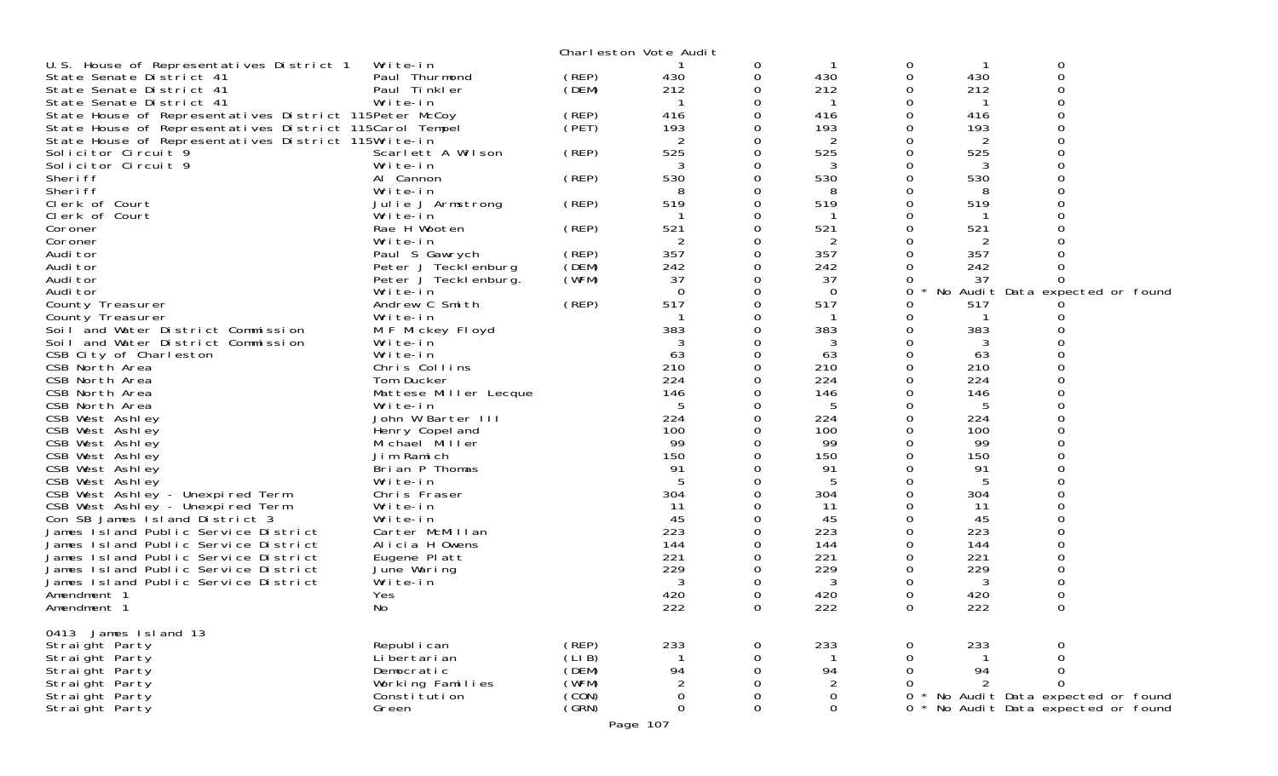|                                                         |                                  |                | Charleston Vote Audit |             |             |          |     |                                                                    |  |
|---------------------------------------------------------|----------------------------------|----------------|-----------------------|-------------|-------------|----------|-----|--------------------------------------------------------------------|--|
| U.S. House of Representatives District 1                | Write-in                         |                |                       | 0           |             | 0        |     | 0                                                                  |  |
| State Senate District 41                                | Paul Thurmond                    | (REP)          | 430                   | 0           | 430         | 0        | 430 | 0                                                                  |  |
| State Senate District 41                                | Paul Tinkler                     | (DEM)          | 212                   | 0           | 212         | 0        | 212 | ∩                                                                  |  |
| State Senate District 41                                | Write-in                         |                |                       | $\Omega$    |             | 0        |     | $\Omega$                                                           |  |
| State House of Representatives District 115Peter McCoy  |                                  | (REP)          | 416                   | 0           | 416         | 0        | 416 | 0                                                                  |  |
| State House of Representatives District 115Carol Tempel |                                  | (PET)          | 193                   | 0           | 193         | 0        | 193 | 0                                                                  |  |
| State House of Representatives District 115Write-in     |                                  |                | 2                     | $\Omega$    | 2           | 0        | 2   | $\Omega$                                                           |  |
| Solicitor Circuit 9                                     | Scarlett A Wilson                | (REP)          | 525                   | 0           | 525         | 0        | 525 | 0                                                                  |  |
| Solicitor Circuit 9                                     | Write-in                         |                |                       | 0           | 3           | 0        | 3   |                                                                    |  |
| Sheri ff                                                | Al Cannon                        | (REP)          | 530                   | $\Omega$    | 530         | 0        | 530 | $\Omega$                                                           |  |
| Sheri ff                                                | Write-in                         |                | 8                     | 0           | 8           | 0        | 8   | 0                                                                  |  |
| Clerk of Court                                          | Julie J Armstrong                | (REP)          | 519                   | $\Omega$    | 519         | 0        | 519 |                                                                    |  |
| Clerk of Court                                          | Write-in                         |                |                       | $\Omega$    | -1          | 0        | -1  | $\Omega$                                                           |  |
| Coroner                                                 | Rae H Wooten                     | (REP)          | 521                   | 0           | 521         | 0        | 521 |                                                                    |  |
| Coroner                                                 | Write-in                         |                | 2                     | 0           | 2           | 0        | 2   |                                                                    |  |
| Audi tor                                                | Paul S Gawrych                   | (REP)          | 357                   | $\Omega$    | 357         | $\Omega$ | 357 |                                                                    |  |
| Audi tor                                                | Peter J Tecklenburg              | (DEM)          | 242                   | 0           | 242         | 0        | 242 |                                                                    |  |
| Audi tor                                                |                                  | (WFM)          | 37                    | 0           | 37          | 0        | 37  | 0                                                                  |  |
|                                                         | Peter J Tecklenburg.             |                | $\Omega$              | $\Omega$    | $\Omega$    |          |     |                                                                    |  |
| Audi tor                                                | Write-in                         |                | 517                   |             |             | 0        | No  | Audit Data expected or found                                       |  |
| County Treasurer                                        | Andrew C Smith                   | (REP)          |                       | 0           | 517         | 0        | 517 |                                                                    |  |
| County Treasurer                                        | Write-in                         |                |                       | 0           |             | 0        |     | O                                                                  |  |
| Soil and Water District Commission                      | M F Mickey Floyd                 |                | 383                   | $\Omega$    | 383         | 0        | 383 |                                                                    |  |
| Soil and Water District Commission                      | Write-in                         |                | 3                     | 0           | 3           | 0        |     |                                                                    |  |
| CSB City of Charleston                                  | Write-in                         |                | 63                    | $\Omega$    | 63          | 0        | 63  | $\Omega$                                                           |  |
| CSB North Area                                          | Chris Collins                    |                | 210                   | $\Omega$    | 210         | $\Omega$ | 210 | $\Omega$                                                           |  |
| CSB North Area                                          | Tom Ducker                       |                | 224                   | 0           | 224         | 0        | 224 |                                                                    |  |
| CSB North Area                                          | Mattese Miller Lecque            |                | 146                   | $\Omega$    | 146         | 0        | 146 | $\Omega$                                                           |  |
| CSB North Area                                          | Write-in                         |                | 5                     | $\Omega$    | 5           | 0        | 5   | $\Omega$                                                           |  |
| CSB West Ashley                                         | John W Barter III                |                | 224                   | 0           | 224         | 0        | 224 |                                                                    |  |
| CSB West Ashley                                         | Henry Copel and                  |                | 100                   | $\Omega$    | 100         | 0        | 100 | $\Omega$                                                           |  |
| CSB West Ashley                                         | Michael Miller                   |                | 99                    | $\Omega$    | 99          | 0        | 99  | $\Omega$                                                           |  |
| CSB West Ashley                                         | Jim Ramich                       |                | 150                   | 0           | 150         | 0        | 150 |                                                                    |  |
| CSB West Ashley                                         | Brian P Thomas                   |                | 91                    | $\Omega$    | 91          | 0        | 91  | $\Omega$                                                           |  |
| CSB West Ashley                                         | Write-in                         |                | 5                     | $\Omega$    | 5           | $\Omega$ | 5   | $\Omega$                                                           |  |
| CSB West Ashley - Unexpired Term                        | Chris Fraser                     |                | 304                   | 0           | 304         | 0        | 304 |                                                                    |  |
| CSB West Ashley - Unexpired Term                        | Write-in                         |                | -11                   | $\Omega$    | -11         | 0        | 11  | $\Omega$                                                           |  |
| Con SB James Island District 3                          | Write-in                         |                | 45                    | 0           | 45          | $\Omega$ | 45  | 0                                                                  |  |
| James Island Public Service District                    | Carter McMillan                  |                | 223                   | $\Omega$    | 223         | 0        | 223 |                                                                    |  |
| James Island Public Service District                    | Alicia H Owens                   |                | 144                   | $\Omega$    | 144         | 0        | 144 | $\Omega$                                                           |  |
| James Island Public Service District                    | Eugene Platt                     |                | 221                   | 0           | 221         | 0        | 221 | 0                                                                  |  |
| James Island Public Service District                    | June Waring                      |                | 229                   | $\Omega$    | 229         |          | 229 |                                                                    |  |
| James Island Public Service District                    | Write-in                         |                | 3                     | $\Omega$    | 3           | 0        | 3   | $\Omega$                                                           |  |
| Amendment 1                                             | Yes                              |                | 420                   | 0           | 420         | 0        | 420 | 0                                                                  |  |
| Amendment 1                                             | No                               |                | 222                   | $\Omega$    | 222         | 0        | 222 | 0                                                                  |  |
| 0413 James Island 13                                    |                                  |                |                       |             |             |          |     |                                                                    |  |
| Straight Party                                          | Republ i can                     | (REP)          | 233                   | 0           | 233         | 0        | 233 | 0                                                                  |  |
| Straight Party                                          | Li bertari an                    | (LIB)          |                       | 0           |             | 0        |     | 0                                                                  |  |
| Straight Party                                          | Democratic                       | (DEM)          | 94                    | $\mathbf 0$ | 94          | $\Omega$ | 94  | $\overline{0}$                                                     |  |
|                                                         |                                  | (WFM)          | $\overline{2}$        | $\Omega$    |             | $\Omega$ |     | $\Omega$                                                           |  |
| Straight Party                                          | Working Families<br>Constitution |                | $\Omega$              |             | 2           |          |     |                                                                    |  |
| Straight Party                                          | Green                            | (CON)<br>(GRN) |                       | 0           | 0           | 0        |     | No Audit Data expected or found<br>No Audit Data expected or found |  |
| Straight Party                                          |                                  |                | $\mathbf 0$           | $\mathbf 0$ | $\mathbf 0$ | 0        |     |                                                                    |  |
|                                                         |                                  |                | Page 107              |             |             |          |     |                                                                    |  |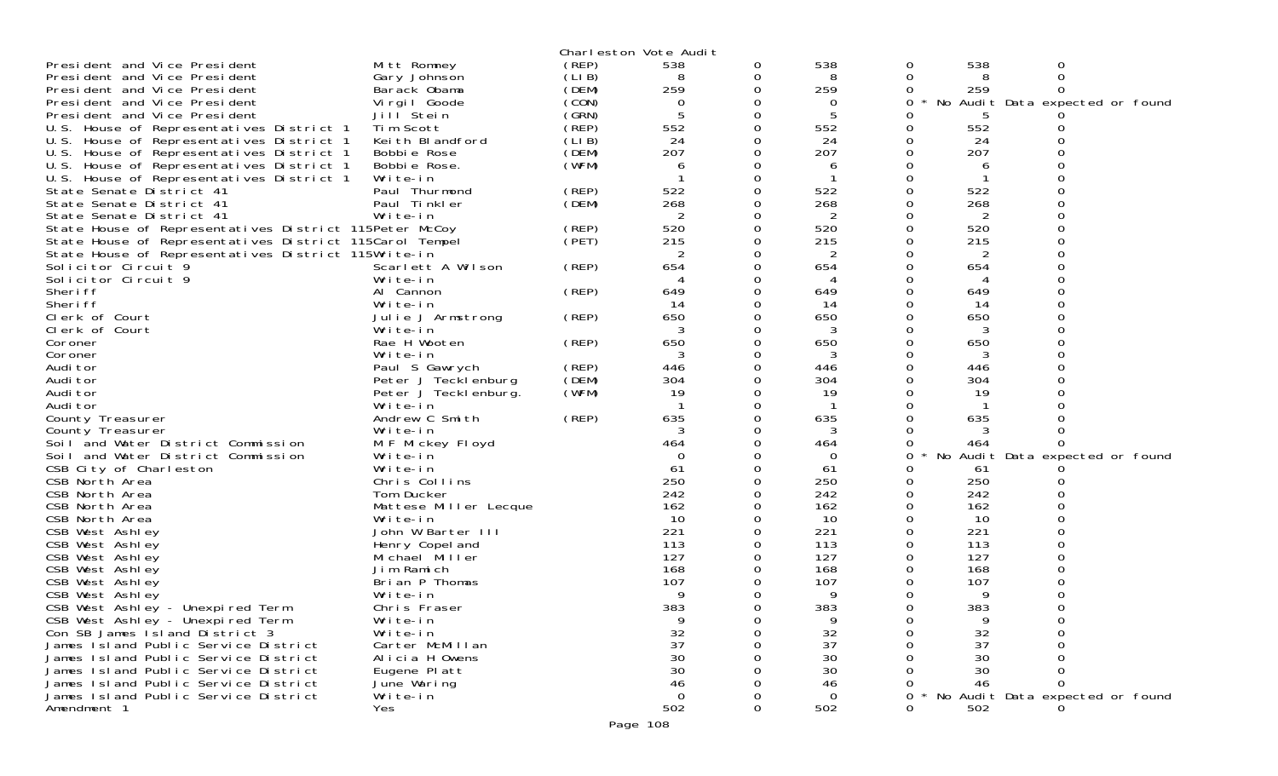|                                                         |                       |        | Charleston Vote Audit |   |          |              |     |                                 |  |
|---------------------------------------------------------|-----------------------|--------|-----------------------|---|----------|--------------|-----|---------------------------------|--|
| President and Vice President                            | Mitt Romney           | (REP)  | 538                   | 0 | 538      | 0            | 538 | 0                               |  |
| President and Vice President                            | Gary Johnson          | (LI B) | 8                     | 0 | 8        | 0            |     |                                 |  |
| President and Vice President                            | Barack Obama          | (DEM)  | 259                   | 0 | 259      | O            | 259 |                                 |  |
| President and Vice President                            | Virgil Goode          | (CON)  | 0                     | 0 | 0        | 0            | No  | Audit Data expected or found    |  |
| President and Vice President                            | Jill Stein            | (GRN)  |                       |   |          |              |     |                                 |  |
| U.S. House of Representatives District 1                | Tim Scott             | (REP)  | 552                   | 0 | 552      |              | 552 |                                 |  |
| U.S. House of Representatives District 1                | Keith Blandford       | (LIB)  | 24                    | 0 | 24       |              | 24  |                                 |  |
| U.S. House of Representatives District 1                | Bobbie Rose           | (DEM)  | 207                   |   | 207      |              | 207 |                                 |  |
| U.S. House of Representatives District 1                | Bobbie Rose.          | (WFM)  | 6                     |   | 6        |              | 6   |                                 |  |
| U.S. House of Representatives District 1                | Write-in              |        |                       | 0 |          |              |     |                                 |  |
| State Senate District 41                                | Paul Thurmond         | (REP)  | 522                   |   | 522      |              | 522 |                                 |  |
| State Senate District 41                                | Paul Tinkler          | (DEM)  | 268                   |   | 268      |              | 268 |                                 |  |
| State Senate District 41                                | Write-in              |        | 2                     |   | 2        |              | 2   |                                 |  |
| State House of Representatives District 115Peter McCoy  |                       | (REP)  | 520                   |   | 520      |              | 520 |                                 |  |
| State House of Representatives District 115Carol Tempel |                       | (PET)  | 215                   | 0 | 215      |              | 215 |                                 |  |
| State House of Representatives District 115Write-in     |                       |        | 2                     |   | 2        |              | 2   |                                 |  |
| Solicitor Circuit 9                                     | Scarlett A Wilson     | (REP)  | 654                   | 0 | 654      |              | 654 |                                 |  |
| Solicitor Circuit 9                                     | Write-in              |        |                       | O |          |              |     |                                 |  |
| Sheri ff                                                | Al Cannon             | (REP)  | 649                   | 0 | 649      |              | 649 |                                 |  |
| Sheri ff                                                | Write-in              |        | -14                   | 0 | 14       |              | 14  |                                 |  |
| Clerk of Court                                          | Julie J Armstrong     | (REP)  | 650                   |   | 650      |              | 650 |                                 |  |
| Clerk of Court                                          | Write-in              |        | 3                     |   | 3        |              | 3   |                                 |  |
| Coroner                                                 | Rae H Wooten          | (REP)  | 650                   |   | 650      |              | 650 |                                 |  |
| Coroner                                                 | Write-in              |        |                       | 0 | 3        |              | 3   |                                 |  |
| Audi tor                                                | Paul S Gawrych        | (REP)  | 446                   |   | 446      |              | 446 |                                 |  |
| Audi tor                                                | Peter J Tecklenburg   | (DEM)  | 304                   |   | 304      |              | 304 |                                 |  |
| Audi tor                                                | Peter J Tecklenburg.  | (WFM)  | 19                    |   | 19       |              | 19  |                                 |  |
| Audi tor                                                | Write-in              |        |                       |   |          |              |     |                                 |  |
| County Treasurer                                        | Andrew C Smith        | (REP)  | 635                   | 0 | 635      |              | 635 |                                 |  |
| County Treasurer                                        | Write-in              |        | 3                     |   | 3        |              |     |                                 |  |
| Soil and Water District Commission                      | M F Mickey Floyd      |        | 464                   |   | 464      |              | 464 |                                 |  |
| Soil and Water District Commission                      | Write-in              |        | $\Omega$              |   | 0        | 0            | No  | Audit Data expected or found    |  |
| CSB City of Charleston                                  | Write-in              |        | 61                    | 0 | 61       |              | -61 |                                 |  |
| CSB North Area                                          | Chris Collins         |        | 250                   |   | 250      |              | 250 |                                 |  |
| CSB North Area                                          | Tom Ducker            |        | 242                   |   | 242      |              | 242 |                                 |  |
| CSB North Area                                          | Mattese Miller Lecque |        | 162                   |   | 162      |              | 162 |                                 |  |
| CSB North Area                                          | Write-in              |        | 10                    |   | 10       |              | 10  |                                 |  |
| CSB West Ashley                                         | John W Barter III     |        | 221                   |   | 221      |              | 221 |                                 |  |
| CSB West Ashley                                         | Henry Copel and       |        | 113                   |   | 113      |              | 113 |                                 |  |
| CSB West Ashley                                         | Michael Miller        |        | 127                   |   | 127      |              | 127 |                                 |  |
| CSB West Ashley                                         | Jim Ramich            |        | 168                   |   | 168      |              | 168 |                                 |  |
| CSB West Ashley                                         | Brian P Thomas        |        | 107                   |   | 107      |              | 107 |                                 |  |
| CSB West Ashley                                         | Write-in              |        | Q                     |   | 9        |              | g   |                                 |  |
| CSB West Ashley - Unexpired Term                        | Chris Fraser          |        | 383                   |   | 383      |              | 383 |                                 |  |
| CSB West Ashley - Unexpired Term                        | Write-in              |        | 9                     | 0 | 9        |              | 9   |                                 |  |
| Con SB James Island District 3                          | Write-in              |        | 32                    |   | 32       |              | 32  |                                 |  |
| James Island Public Service District                    | Carter McMillan       |        | 37                    |   | 37       |              | 37  |                                 |  |
| James Island Public Service District                    | Alicia H Owens        |        | 30                    |   | 30       |              | 30  |                                 |  |
| James Island Public Service District                    | Eugene Platt          |        | 30                    |   | 30       |              | 30  |                                 |  |
| James Island Public Service District                    | June Waring           |        | 46                    |   | 46       |              | 46  |                                 |  |
| James Island Public Service District                    | Write-in              |        | $\Omega$              |   | $\Omega$ |              |     | No Audit Data expected or found |  |
| Amendment 1                                             | Yes                   |        | 502                   |   | 502      | <sup>n</sup> | 502 |                                 |  |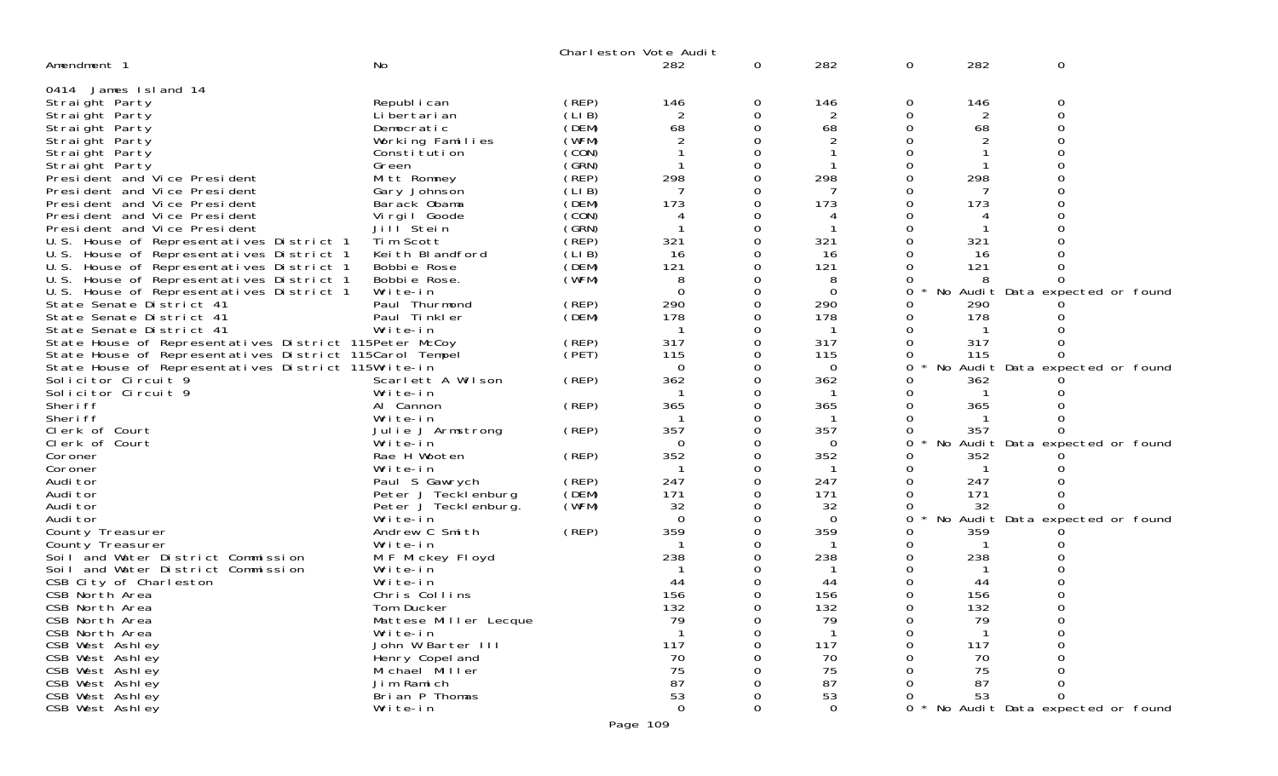|                                                                            |                                   |                | Charleston Vote Audit |          |              |          |              |                                 |
|----------------------------------------------------------------------------|-----------------------------------|----------------|-----------------------|----------|--------------|----------|--------------|---------------------------------|
| Amendment 1                                                                | <b>No</b>                         |                | 282                   | 0        | 282          | 0        | 282          | 0                               |
| 0414 James Island 14                                                       |                                   |                |                       |          |              |          |              |                                 |
| Straight Party                                                             | Republ i can                      | (REP)          | 146                   | 0        | 146          | 0        | 146          | 0                               |
| Straight Party                                                             | Li bertari an                     | (LIB)          | 2                     | 0        |              | 0        |              | $\Omega$                        |
| Straight Party                                                             | Democratic                        | (DEM)          | 68                    | 0        | 68           | 0        | 68           | $\Omega$                        |
| Straight Party                                                             | Working Families                  | (WFM)          |                       | 0        |              | 0        |              |                                 |
| Straight Party                                                             | Constitution                      | (CON)          |                       | $\Omega$ |              | Ω        |              |                                 |
| Straight Party                                                             | Green                             | (GRN)          |                       | $\Omega$ |              | 0        |              |                                 |
| President and Vice President                                               | Mitt Romney                       | (REP)          | 298                   | 0        | 298          | 0        | 298          |                                 |
| President and Vice President                                               | Gary Johnson                      | (LI B)         |                       | 0        |              |          |              |                                 |
| President and Vice President                                               | Barack Obama                      | (DEM)          | 173                   | $\Omega$ | 173          | $\Omega$ | 173          |                                 |
| President and Vice President                                               | Vi rgi I Goode                    | (CON)          | 4                     | 0        | 4            | 0        | 4            |                                 |
| President and Vice President                                               | Jill Stein                        | (GRN)          |                       | 0        |              | 0        |              |                                 |
| U.S. House of Representatives District 1                                   | Tim Scott                         | (REP)          | 321                   | $\Omega$ | 321          | 0        | 321          |                                 |
| U.S. House of Representatives District 1                                   | Keith Blandford                   | (LIB)          | 16                    | 0        | 16           | 0        | 16           |                                 |
| U.S. House of Representatives District 1                                   | Bobbie Rose                       | (DEM)          | 121                   | $\Omega$ | 121          | 0        | 121          |                                 |
| U.S. House of Representatives District 1                                   | Bobbie Rose.                      | (WFM)          | 8                     | $\Omega$ | 8            | 0        | 8            |                                 |
| U.S. House of Representatives District 1                                   | Write-in                          |                | $\Omega$              | 0        | $\mathbf 0$  | 0        |              | No Audit Data expected or found |
| State Senate District 41                                                   | Paul Thurmond                     | (REP)          | 290                   | 0        | 290          | 0        | 290          |                                 |
| State Senate District 41                                                   | Paul Tinkler                      | (DEM)          | 178                   | $\Omega$ | 178          | 0        | 178          |                                 |
| State Senate District 41                                                   | Write-in                          |                |                       | 0        | $\mathbf{1}$ | 0        |              |                                 |
| State House of Representatives District 115Peter McCoy                     |                                   | (REP)<br>(PET) | 317<br>115            | 0        | 317<br>115   | 0<br>0   | 317<br>115   |                                 |
| State House of Representatives District 115Carol Tempel                    |                                   |                | $\Omega$              | 0        | $\mathbf 0$  | 0        |              | No Audit Data expected or found |
| State House of Representatives District 115Write-in<br>Solicitor Circuit 9 | Scarlett A Wilson                 | (REP)          | 362                   | 0        | 362          | 0        | 362          |                                 |
| Solicitor Circuit 9                                                        | Write-in                          |                | -1                    | $\Omega$ | -1           | 0        | -1           |                                 |
| Sheri ff                                                                   | Al Cannon                         | (REP)          | 365                   | 0        | 365          | 0        | 365          |                                 |
| Sheri ff                                                                   | Write-in                          |                |                       | 0        |              | 0        |              |                                 |
| Clerk of Court                                                             | Julie J Armstrong                 | (REP)          | 357                   | 0        | 357          | 0        | 357          |                                 |
| Clerk of Court                                                             | Write-in                          |                | $\Omega$              | 0        | $\Omega$     | 0        |              | No Audit Data expected or found |
| Coroner                                                                    | Rae H Wooten                      | (REP)          | 352                   | $\Omega$ | 352          | 0        | 352          |                                 |
| Coroner                                                                    | Write-in                          |                | -1                    | 0        | $\mathbf{1}$ | 0        | $\mathbf{1}$ |                                 |
| Audi tor                                                                   | Paul S Gawrych                    | (REP)          | 247                   | 0        | 247          | 0        | 247          |                                 |
| Audi tor                                                                   | Peter J Tecklenburg               | (DEM)          | 171                   | $\Omega$ | 171          | 0        | 171          |                                 |
| Audi tor                                                                   | Peter J Tecklenburg.              | (WFM)          | 32                    | 0        | 32           | 0        | 32           |                                 |
| Audi tor                                                                   | Write-in                          |                | $\Omega$              | 0        | $\Omega$     | 0        |              | No Audit Data expected or found |
| County Treasurer                                                           | Andrew C Smith                    | (REP)          | 359                   | $\Omega$ | 359          | 0        | 359          |                                 |
| County Treasurer                                                           | Write-in                          |                | -1                    | 0        | $\mathbf{1}$ | 0        | $\mathbf{1}$ |                                 |
| Soil and Water District Commission                                         | M F Mickey Floyd                  |                | 238                   |          | 238          | 0        | 238          |                                 |
| Soil and Water District Commission                                         | Write-in                          |                |                       |          |              |          |              |                                 |
| CSB City of Charleston                                                     | Write-in                          |                | 44                    |          | 44           |          | 44           |                                 |
| CSB North Area                                                             | Chris Collins                     |                | 156                   |          | 156          |          | 156          |                                 |
| CSB North Area                                                             | Tom Ducker                        |                | 132                   |          | 132          |          | 132          |                                 |
| CSB North Area                                                             | Mattese Miller Lecque             |                | 79                    | 0        | 79           | 0        | 79           |                                 |
| CSB North Area                                                             | Write-in                          |                |                       |          |              | 0        |              |                                 |
| CSB West Ashley                                                            | John W Barter III                 |                | 117                   |          | 117          |          | 117          |                                 |
| CSB West Ashley<br>CSB West Ashley                                         | Henry Copel and<br>Michael Miller |                | 70<br>75              |          | 70<br>75     |          | 70<br>75     |                                 |
| CSB West Ashley                                                            | Jim Ramich                        |                | 87                    |          | 87           |          | 87           |                                 |
| CSB West Ashley                                                            | Brian P Thomas                    |                | 53                    |          | 53           |          | 53           | $\Omega$                        |
| CSB West Ashley                                                            | Write-in                          |                | $\Omega$              | 0        | $\Omega$     |          |              | No Audit Data expected or found |
|                                                                            |                                   |                |                       |          |              |          |              |                                 |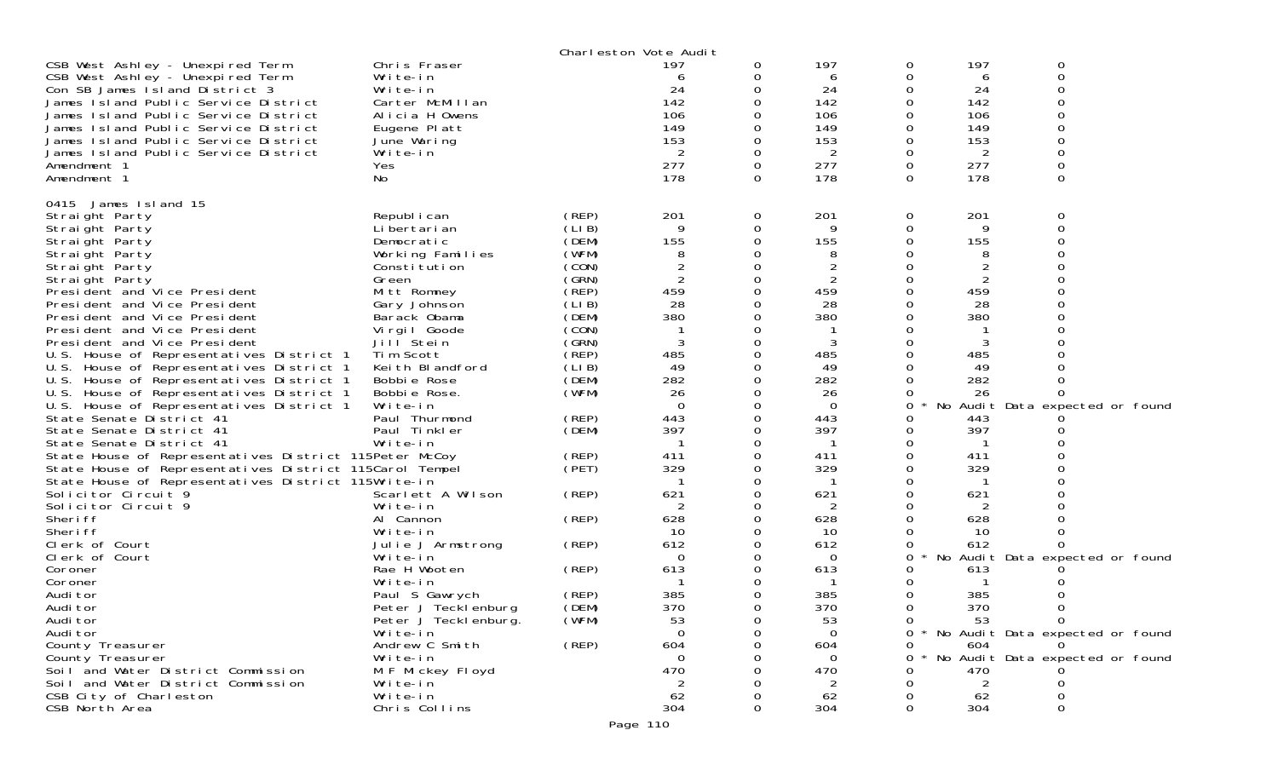|                                                                                                                                                                                                                                                                                                                                                                                                                                                                                                                                                                                                                                                                                                                                                                                                 |                                                                                                                                                                                                                                                                                               |                                                                                                                                                                         | Charleston Vote Audit                                                                                                                               |                  |                                                                                                                                 |                                                                                                            |                                                                                                                |                                                                             |
|-------------------------------------------------------------------------------------------------------------------------------------------------------------------------------------------------------------------------------------------------------------------------------------------------------------------------------------------------------------------------------------------------------------------------------------------------------------------------------------------------------------------------------------------------------------------------------------------------------------------------------------------------------------------------------------------------------------------------------------------------------------------------------------------------|-----------------------------------------------------------------------------------------------------------------------------------------------------------------------------------------------------------------------------------------------------------------------------------------------|-------------------------------------------------------------------------------------------------------------------------------------------------------------------------|-----------------------------------------------------------------------------------------------------------------------------------------------------|------------------|---------------------------------------------------------------------------------------------------------------------------------|------------------------------------------------------------------------------------------------------------|----------------------------------------------------------------------------------------------------------------|-----------------------------------------------------------------------------|
| CSB West Ashley - Unexpired Term<br>CSB West Ashley - Unexpired Term<br>Con SB James Island District 3<br>James Island Public Service District<br>James Island Public Service District<br>James Island Public Service District<br>James Island Public Service District                                                                                                                                                                                                                                                                                                                                                                                                                                                                                                                          | Chris Fraser<br>Write-in<br>Write-in<br>Carter McMillan<br>Alicia H Owens<br>Eugene Platt<br>June Waring                                                                                                                                                                                      |                                                                                                                                                                         | 197<br>6<br>24<br>142<br>106<br>149<br>153                                                                                                          | 0                | 197<br>6<br>24<br>142<br>106<br>149<br>153                                                                                      | 0<br>0<br>0<br>0<br>0<br>0<br>0                                                                            | 197<br>6<br>24<br>142<br>106<br>149<br>153                                                                     | 0<br>0<br>0<br>O<br>0<br>ი<br>O                                             |
| James Island Public Service District<br>Amendment 1<br>Amendment 1                                                                                                                                                                                                                                                                                                                                                                                                                                                                                                                                                                                                                                                                                                                              | Write-in<br>Yes<br>No                                                                                                                                                                                                                                                                         |                                                                                                                                                                         | 2<br>277<br>178                                                                                                                                     | $\Omega$         | 2<br>277<br>178                                                                                                                 | 0<br>0<br>0                                                                                                | 2<br>277<br>178                                                                                                | 0<br>0<br>$\Omega$                                                          |
| 0415<br>James Island 15<br>Straight Party<br>Straight Party<br>Straight Party<br>Straight Party<br>Straight Party<br>Straight Party<br>President and Vice President<br>President and Vice President<br>President and Vice President<br>President and Vice President<br>President and Vice President<br>U.S. House of Representatives District 1<br>U.S. House of Representatives District 1<br>U.S. House of Representatives District 1<br>U.S. House of Representatives District 1<br>U.S. House of Representatives District 1<br>State Senate District 41<br>State Senate District 41<br>State Senate District 41<br>State House of Representatives District 115Peter McCoy<br>State House of Representatives District 115Carol Tempel<br>State House of Representatives District 115Write-in | Republ i can<br>Li bertari an<br>Democratic<br>Working Families<br>Constitution<br>Green<br>Mitt Romney<br>Gary Johnson<br>Barack Obama<br>Virgil Goode<br>Jill Stein<br>Tim Scott<br>Keith Blandford<br>Bobbie Rose<br>Bobbie Rose.<br>Write-in<br>Paul Thurmond<br>Paul Tinkler<br>Write-in | (REP)<br>(LIB)<br>(DEM)<br>(WFM)<br>(CON)<br>(SRN)<br>(REP)<br>(LIB)<br>(DEM)<br>(CON)<br>(GRN)<br>(REP)<br>(LIB)<br>(DEM)<br>(WFM)<br>(REP)<br>(DEM)<br>(REP)<br>(PET) | 201<br>9<br>155<br>8<br>$\overline{2}$<br>$\overline{2}$<br>459<br>28<br>380<br>3<br>485<br>49<br>282<br>26<br>$\Omega$<br>443<br>397<br>411<br>329 | 0<br>0<br>0<br>∩ | 201<br>9<br>155<br>8<br>2<br>2<br>459<br>28<br>380<br>3<br>485<br>49<br>282<br>26<br>$\overline{0}$<br>443<br>397<br>411<br>329 | 0<br>0<br>0<br>Ω<br>0<br>Ω<br>0<br>0<br>O<br>0<br>0<br>0<br>0<br>0<br>0<br>0<br>0<br>0<br>0<br>0<br>0<br>0 | 201<br>9<br>155<br>8<br>2<br>459<br>28<br>380<br>3<br>485<br>49<br>282<br>26<br>443<br>397<br>-1<br>411<br>329 | 0<br>0<br>∩<br>No Audit Data expected or found                              |
| Solicitor Circuit 9<br>Solicitor Circuit 9<br>Sheri ff                                                                                                                                                                                                                                                                                                                                                                                                                                                                                                                                                                                                                                                                                                                                          | Scarlett A Wilson<br>Write-in<br>Al Cannon                                                                                                                                                                                                                                                    | (REP)<br>(REP)                                                                                                                                                          | 621<br>2<br>628                                                                                                                                     | 0                | 621<br>2<br>628                                                                                                                 | 0<br>0<br>0                                                                                                | 621<br>2<br>628                                                                                                |                                                                             |
| Sheri ff<br>Clerk of Court<br>Clerk of Court                                                                                                                                                                                                                                                                                                                                                                                                                                                                                                                                                                                                                                                                                                                                                    | Write-in<br>Julie J Armstrong<br>Write-in                                                                                                                                                                                                                                                     | (REP)                                                                                                                                                                   | 10<br>612<br>$\Omega$                                                                                                                               |                  | 10<br>612<br>$\Omega$                                                                                                           | 0<br>0<br>0                                                                                                | -10<br>612                                                                                                     | 0<br>No Audit Data expected or found                                        |
| Coroner<br>Coroner<br>Audi tor<br>Audi tor<br>Audi tor                                                                                                                                                                                                                                                                                                                                                                                                                                                                                                                                                                                                                                                                                                                                          | Rae H Wooten<br>Write-in<br>Paul S Gawrych<br>Peter J Tecklenburg<br>Peter J Tecklenburg.                                                                                                                                                                                                     | (REP)<br>(REP)<br>(DEM)<br>(WFM)                                                                                                                                        | 613<br>385<br>370<br>53<br>$\Omega$                                                                                                                 | 0                | 613<br>385<br>370<br>53                                                                                                         | 0<br>0<br>0<br>0<br><sup>O</sup>                                                                           | 613<br>385<br>370<br>53.                                                                                       | 0<br>$\overline{0}$                                                         |
| Audi tor<br>County Treasurer<br>County Treasurer<br>Soil and Water District Commission<br>Soil and Water District Commission                                                                                                                                                                                                                                                                                                                                                                                                                                                                                                                                                                                                                                                                    | Write-in<br>Andrew C Smith<br>Write-in<br>M F Mickey Floyd<br>Write-in                                                                                                                                                                                                                        | (REP)                                                                                                                                                                   | 604<br>$\Omega$<br>470<br>2                                                                                                                         |                  | $\mathbf 0$<br>604<br>$\Omega$<br>470<br>2                                                                                      | 0<br>0<br>Ω<br>O                                                                                           | 604<br>470<br>2                                                                                                | 0 * No Audit Data expected or found<br>No Audit Data expected or found<br>0 |
| CSB City of Charleston<br>CSB North Area                                                                                                                                                                                                                                                                                                                                                                                                                                                                                                                                                                                                                                                                                                                                                        | Write-in<br>Chris Collins                                                                                                                                                                                                                                                                     |                                                                                                                                                                         | 62<br>304<br>Page 110                                                                                                                               |                  | 62<br>304                                                                                                                       | Ω<br>0                                                                                                     | 62<br>304                                                                                                      | Ω<br>0                                                                      |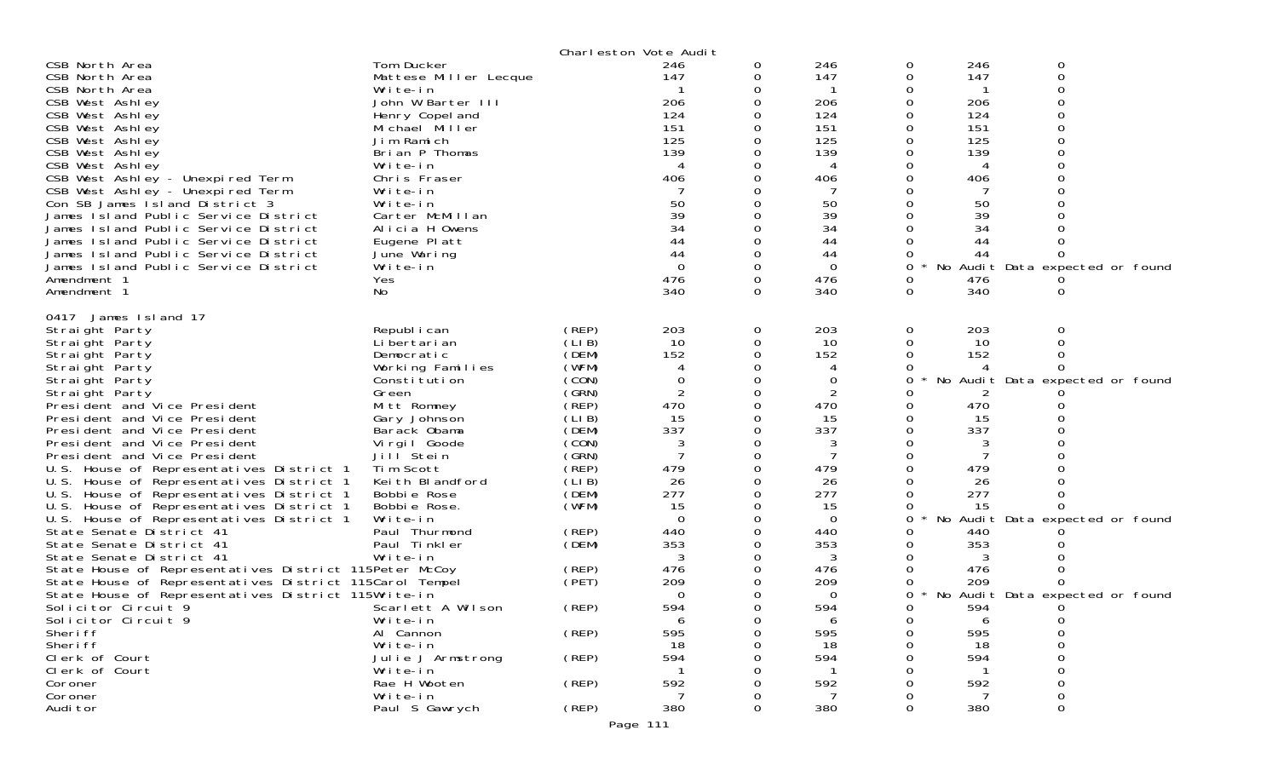|                                                                              |                          |                | Charleston Vote Audit |          |                |          |          |                                 |  |
|------------------------------------------------------------------------------|--------------------------|----------------|-----------------------|----------|----------------|----------|----------|---------------------------------|--|
| CSB North Area                                                               | Tom Ducker               |                | 246                   | 0        | 246            | 0        | 246      | 0                               |  |
| CSB North Area                                                               | Mattese Miller Lecque    |                | 147                   | 0        | 147            | 0        | 147      | 0                               |  |
| CSB North Area                                                               | Write-in                 |                |                       |          |                | 0        |          |                                 |  |
| CSB West Ashley                                                              | John W Barter III        |                | 206                   | 0        | 206            | 0        | 206      |                                 |  |
| CSB West Ashley                                                              | Henry Copel and          |                | 124                   |          | 124            |          | 124      |                                 |  |
| CSB West Ashley                                                              | Michael Miller           |                | 151                   |          | 151            |          | 151      |                                 |  |
| CSB West Ashley                                                              | Jim Ramich               |                | 125                   |          | 125            |          | 125      |                                 |  |
| CSB West Ashley                                                              | Brian P Thomas           |                | 139                   |          | 139            |          | 139      |                                 |  |
| CSB West Ashley                                                              | Write-in                 |                | 4                     |          | 4              |          |          |                                 |  |
| CSB West Ashley - Unexpired Term                                             | Chris Fraser             |                | 406                   |          | 406            |          | 406      |                                 |  |
| CSB West Ashley - Unexpired Term                                             | Write-in                 |                |                       |          |                |          |          |                                 |  |
| Con SB James Island District 3                                               | Write-in                 |                | 50<br>39              |          | 50             |          | 50       |                                 |  |
| James Island Public Service District                                         | Carter McMillan          |                | 34                    | 0        | 39<br>34       |          | 39       |                                 |  |
| James Island Public Service District                                         | Alicia H Owens           |                | 44                    |          |                |          | 34<br>44 |                                 |  |
| James Island Public Service District<br>James Island Public Service District | Eugene Platt             |                | 44                    | 0        | 44<br>44       |          | 44       |                                 |  |
| James Island Public Service District                                         | June Waring<br>Write-in  |                | $\Omega$              | 0        | $\overline{O}$ | O<br>0   |          | No Audit Data expected or found |  |
| Amendment 1                                                                  | Yes                      |                | 476                   | $\Omega$ | 476            | 0        | 476      |                                 |  |
| Amendment 1                                                                  | No                       |                | 340                   | $\Omega$ | 340            | $\Omega$ | 340      |                                 |  |
|                                                                              |                          |                |                       |          |                |          |          | 0                               |  |
| 0417<br>James Island 17                                                      |                          |                |                       |          |                |          |          |                                 |  |
| Straight Party                                                               | Republ i can             | (REP)          | 203                   | 0        | 203            | 0        | 203      | 0                               |  |
| Straight Party                                                               | Li bertari an            | (LIB)          | 10                    | 0        | 10             | 0        | 10       | $\Omega$                        |  |
| Straight Party                                                               | Democratic               | (DEM)          | 152                   | $\Omega$ | 152            | 0        | 152      |                                 |  |
| Straight Party                                                               | Working Families         | (WFM)          | 4                     | 0        | 4              |          |          |                                 |  |
| Straight Party                                                               | Constitution             | (CON)          | 0                     |          | 0              | O        |          | No Audit Data expected or found |  |
| Straight Party                                                               | Green                    | (GRN)          | $\overline{2}$        | $\Omega$ |                |          | 2        |                                 |  |
| President and Vice President                                                 | Mitt Romney              | (REP)          | 470                   | 0        | 470            | 0        | 470      |                                 |  |
| President and Vice President                                                 | Gary Johnson             | (LIB)          | 15                    | 0        | -15            |          | 15       |                                 |  |
| President and Vice President                                                 | Barack Obama             | (DEM)          | 337                   | 0        | 337            |          | 337      |                                 |  |
| President and Vice President                                                 | Virgil Goode             | (CON)          | 3                     | 0        | 3              |          | 3        |                                 |  |
| President and Vice President                                                 | Jill <sup>Stein</sup>    | (GRN)          |                       |          |                |          |          |                                 |  |
| U.S. House of Representatives District 1                                     | Tim Scott                | (REP)          | 479                   | $\Omega$ | 479            |          | 479      |                                 |  |
| U.S. House of Representatives District 1                                     | Keith Blandford          | (LIB)          | 26                    | 0        | 26             |          | 26       |                                 |  |
| U.S. House of Representatives District 1                                     | Bobbie Rose              | (DEM)          | 277                   |          | 277            |          | 277      |                                 |  |
| U.S. House of Representatives District 1                                     | Bobbie Rose.             | (WFM)          | 15                    | Ω        | 15             |          | 15       |                                 |  |
| U.S. House of Representatives District 1                                     | Write-in                 |                | $\overline{0}$        | 0        | $\overline{0}$ | 0        | No       | Audit Data expected or found    |  |
| State Senate District 41                                                     | Paul Thurmond            | (REP)          | 440                   |          | 440            | 0        | 440      |                                 |  |
| State Senate District 41                                                     | Paul Tinkler<br>Write-in | (DEM)          | 353                   |          | 353            |          | 353      |                                 |  |
| State Senate District 41                                                     |                          |                | 3<br>476              | 0        | 3<br>476       |          | 3        |                                 |  |
| State House of Representatives District 115Peter McCoy                       |                          | (REP)<br>(PET) | 209                   |          | 209            | 0<br>0   | 476      |                                 |  |
| State House of Representatives District 115Carol Tempel                      |                          |                | $\Omega$              | 0        | 0              | 0        | 209      | No Audit Data expected or found |  |
| State House of Representatives District 115Write-in<br>Solicitor Circuit 9   | Scarlett A Wilson        | (REP)          | 594                   | 0        | 594            | $\Omega$ | 594      | O                               |  |
| Solicitor Circuit 9                                                          | Write-in                 |                | 6                     | 0        | 6              | 0        |          |                                 |  |
| Sheri ff                                                                     | Al Cannon                | (REP)          | 595                   | O        | 595            |          | 6<br>595 | 0                               |  |
| Sheri ff                                                                     | Write-in                 |                | 18                    |          | 18             |          | 18       | Ω                               |  |
| Clerk of Court                                                               | Julie J Armstrong        | (REP)          | 594                   |          | 594            |          | 594      |                                 |  |
| Clerk of Court                                                               | Write-in                 |                |                       |          |                |          | -1       |                                 |  |
| Coroner                                                                      | Rae H Wooten             | (REP)          | 592                   |          | 592            |          | 592      |                                 |  |
| Coroner                                                                      | Write-in                 |                |                       |          |                |          |          | 0                               |  |
| Audi tor                                                                     | Paul S Gawrych           | $($ REP $)$    | 380                   | 0        | 380            | 0        | 380      | 0                               |  |
|                                                                              |                          |                | Page 111              |          |                |          |          |                                 |  |
|                                                                              |                          |                |                       |          |                |          |          |                                 |  |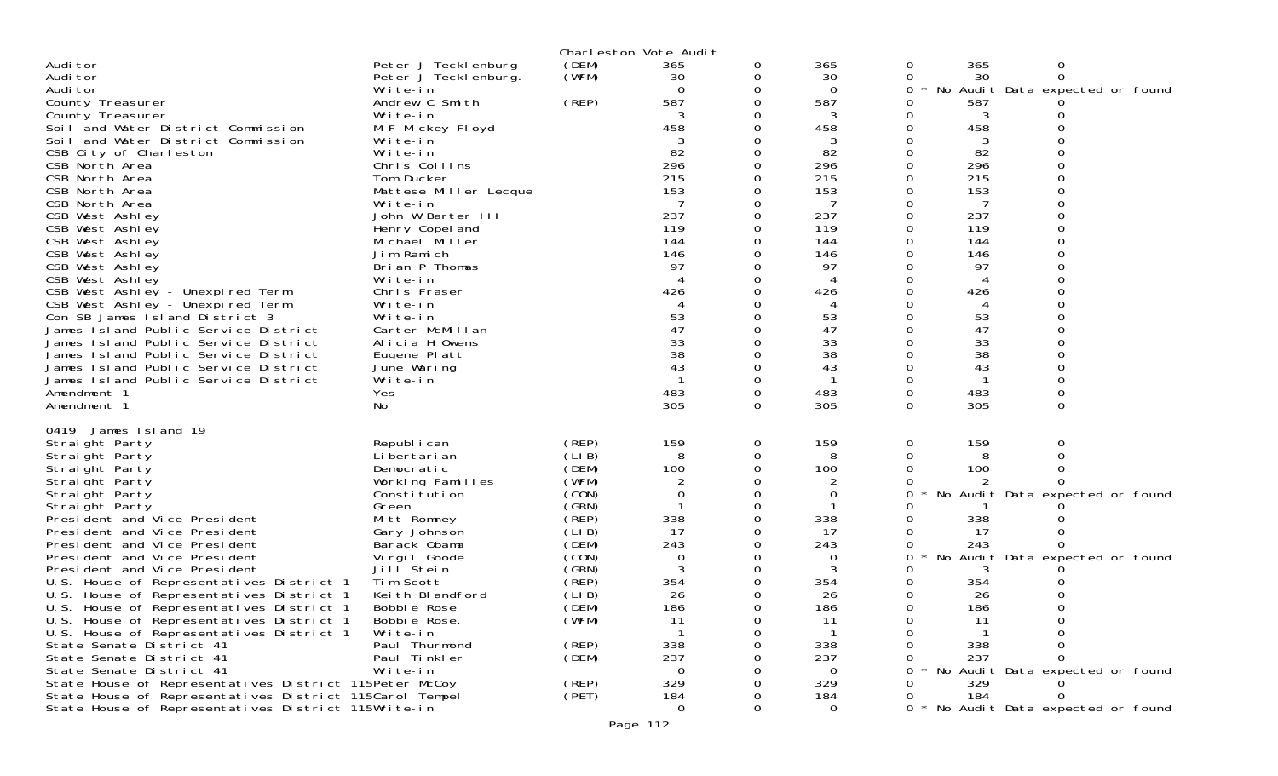|                                                                                    |                              |                | Charleston Vote Audit |          |           |                     |                                        |  |
|------------------------------------------------------------------------------------|------------------------------|----------------|-----------------------|----------|-----------|---------------------|----------------------------------------|--|
| Audi tor                                                                           | Peter J Teckl enburg         | (DEM)          | 365                   | 0        | 365       | 0                   | 365<br>0                               |  |
| Audi tor                                                                           | Peter J Teckl enburg.        | (WFM)          | 30                    | 0        | 30        | 0                   | 30<br>$\Omega$                         |  |
| Audi tor                                                                           | Write-in                     |                | $\Omega$              | 0        | $\Omega$  | 0                   | No Audit Data expected or found        |  |
| County Treasurer                                                                   | Andrew C Smith               | (REP)          | 587                   |          | 587       |                     | 587                                    |  |
| County Treasurer                                                                   | Write-in                     |                |                       |          | 3         |                     | 3                                      |  |
| Soil and Water District Commission<br>Soil and Water District Commission           | M F Mickey Floyd<br>Write-in |                | 458                   |          | 458<br>3  |                     | 458<br>3                               |  |
| CSB City of Charleston                                                             | Write-in                     |                | 82                    |          | 82        | 0                   | 82                                     |  |
| CSB North Area                                                                     | Chris Collins                |                | 296                   |          | 296       |                     | 296                                    |  |
| CSB North Area                                                                     | Tom Ducker                   |                | 215                   |          | 215       |                     | 215                                    |  |
| CSB North Area                                                                     | Mattese Miller Lecque        |                | 153                   |          | 153       |                     | 153                                    |  |
| CSB North Area                                                                     | Write-in                     |                |                       |          |           |                     | 7                                      |  |
| CSB West Ashley                                                                    | John W Barter III            |                | 237                   |          | 237       |                     | 237                                    |  |
| CSB West Ashley                                                                    | Henry Copel and              |                | 119                   |          | 119       |                     | 119                                    |  |
| CSB West Ashley                                                                    | Michael Miller               |                | 144                   |          | 144       |                     | 144                                    |  |
| CSB West Ashley                                                                    | Jim Ramich                   |                | 146                   |          | 146       |                     | 146                                    |  |
| CSB West Ashley                                                                    | Brian P Thomas               |                | 97                    |          | 97        |                     | 97                                     |  |
| CSB West Ashley                                                                    | Write-in                     |                | $\overline{4}$<br>426 |          | 4         |                     | 4                                      |  |
| CSB West Ashley - Unexpired Term<br>CSB West Ashley - Unexpired Term               | Chris Fraser<br>Write-in     |                |                       |          | 426<br>4  |                     | 426<br>4                               |  |
| Con SB James Island District 3                                                     | Write-in                     |                | 53                    |          | 53        |                     | 53                                     |  |
| James Island Public Service District                                               | Carter McMillan              |                | 47                    |          | 47        |                     | 47                                     |  |
| James Island Public Service District                                               | Alicia H Owens               |                | 33                    |          | 33        |                     | 33                                     |  |
| James Island Public Service District                                               | Eugene Platt                 |                | 38                    |          | 38        |                     | 38                                     |  |
| James Island Public Service District                                               | June Waring                  |                | 43                    |          | 43        |                     | 43                                     |  |
| James Island Public Service District                                               | Write-in                     |                |                       |          |           |                     |                                        |  |
| Amendment 1                                                                        | Yes                          |                | 483                   | $\Omega$ | 483       | 0                   | $\mathbf 0$<br>483                     |  |
| Amendment 1                                                                        | No                           |                | 305                   | 0        | 305       | 0                   | 305<br>0                               |  |
| 0419 James Island 19                                                               |                              |                |                       |          |           |                     |                                        |  |
| Straight Party                                                                     | Republ i can                 | (REP)          | 159                   | 0        | 159       | 0                   | 159<br>0                               |  |
| Straight Party                                                                     | Li bertari an                | (LIB)          | 8                     | 0        | 8         |                     | 8                                      |  |
| Straight Party                                                                     | Democratic                   | (DEM)          | 100                   |          | 100       |                     | 100                                    |  |
| Straight Party                                                                     | Working Families             | (WFM)          |                       |          | 2         |                     |                                        |  |
| Straight Party                                                                     | Constitution                 | (CON)          | $\Omega$              |          | 0         | 0                   | No Audit Data expected or found        |  |
| Straight Party                                                                     | Green                        | (GRN)          |                       |          |           |                     |                                        |  |
| President and Vice President<br>President and Vice President                       | Mitt Romney                  | (REP)<br>(LIB) | 338<br>17             |          | 338<br>17 |                     | 338<br>17                              |  |
| President and Vice President                                                       | Gary Johnson<br>Barack Obama | (DEM)          | 243                   |          | 243       |                     | 243                                    |  |
| President and Vice President                                                       | Virgil Goode                 | (CON)          | 0                     |          | 0         |                     | No Audit Data expected or found        |  |
| President and Vice President                                                       | Jill Stein                   | (GRN)          |                       |          | 3         |                     |                                        |  |
| U.S. House of Representatives District 1                                           | Tim Scott                    | (REP)          | 354                   |          | 354       |                     | 354                                    |  |
| U.S. House of Representatives District 1                                           | Keith Blandford              | (LIB)          | 26                    |          | 26        |                     | 26                                     |  |
| U.S. House of Representatives District 1                                           | Bobbie Rose                  | (DEM)          | 186                   |          | 186       |                     | 186                                    |  |
| U.S. House of Representatives District 1                                           | Bobbie Rose.                 | (WFM)          | 11                    |          | 11        |                     | 11                                     |  |
| U.S. House of Representatives District 1                                           | Write-in                     |                |                       |          |           |                     |                                        |  |
| State Senate District 41                                                           | Paul Thurmond                | (REP)          | 338                   |          | 338       |                     | 338                                    |  |
| State Senate District 41                                                           | Paul Tinkler                 | (DEM)          | 237                   |          | 237       |                     | 237                                    |  |
| State Senate District 41<br>State House of Representatives District 115Peter McCoy | Write-in                     | (REP)          | $\Omega$<br>329       |          | 0<br>329  |                     | No Audit Data expected or found<br>329 |  |
| State House of Representatives District 115Carol Tempel                            |                              | (PET)          | 184                   |          | 184       |                     | 184<br>$\Omega$                        |  |
| State House of Representatives District 115Write-in                                |                              |                | $\Omega$              |          | 0         | $\Omega$<br>$\star$ | No Audit Data expected or found        |  |
|                                                                                    |                              |                | Page 112              |          |           |                     |                                        |  |
|                                                                                    |                              |                |                       |          |           |                     |                                        |  |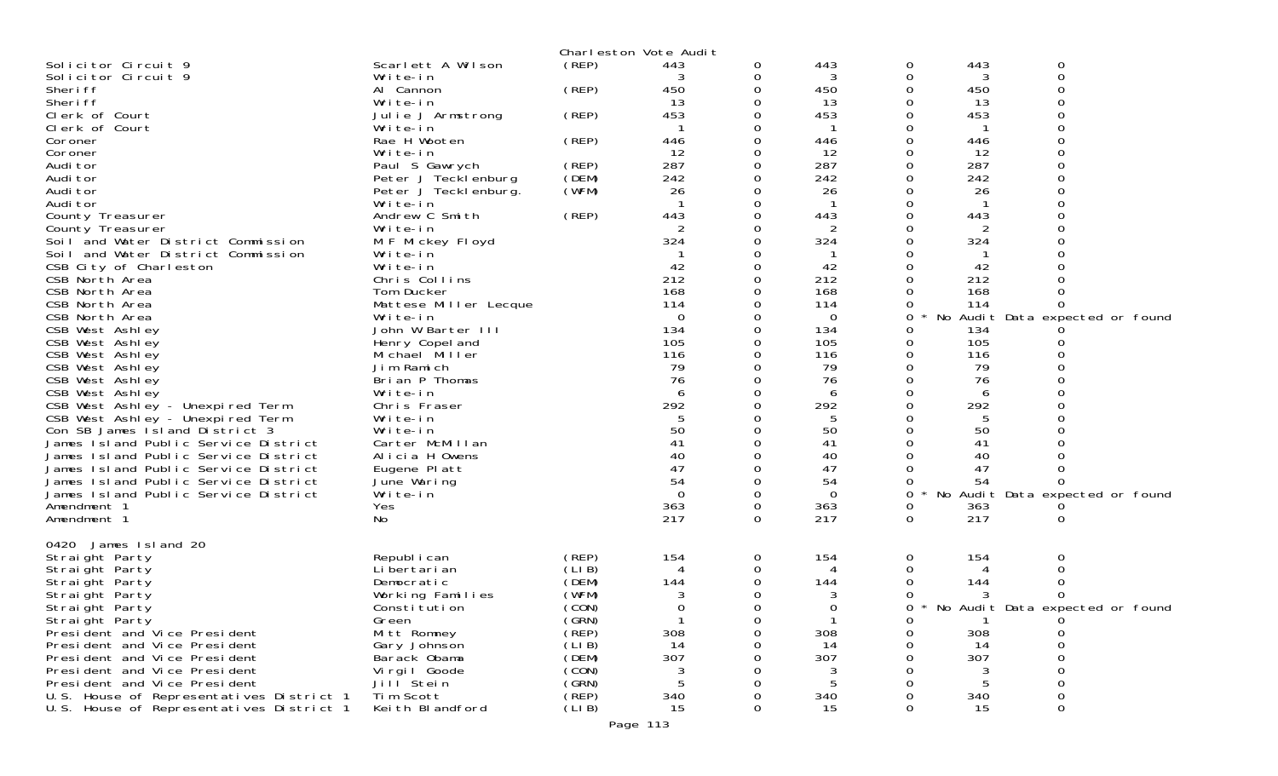|                                          |                       |        | Charleston Vote Audit |   |          |              |     |                                 |  |
|------------------------------------------|-----------------------|--------|-----------------------|---|----------|--------------|-----|---------------------------------|--|
| Solicitor Circuit 9                      | Scarlett A Wilson     | (REP)  | 443                   | 0 | 443      | 0            | 443 | 0                               |  |
| Solicitor Circuit 9                      | Write-in              |        |                       | 0 | 3        | 0            | 3   | $\mathbf 0$                     |  |
| Sheri ff                                 | Al Cannon             | (REP)  | 450                   | 0 | 450      | 0            | 450 |                                 |  |
| Sheri ff                                 | Write-in              |        | 13                    |   | 13       | 0            | 13  | $\Omega$                        |  |
| Clerk of Court                           | Julie J Armstrong     | (REP)  | 453                   |   | 453      | 0            | 453 |                                 |  |
| Clerk of Court                           | Write-in              |        |                       | 0 |          |              |     | $\Omega$                        |  |
| Coroner                                  | Rae H Wooten          | (REP)  | 446                   |   | 446      | 0            | 446 | 0                               |  |
| Coroner                                  | Write-in              |        | 12                    |   | 12       |              | 12  |                                 |  |
| Audi tor                                 | Paul S Gawrych        | (REP)  | 287                   | 0 | 287      | 0            | 287 | $\Omega$                        |  |
| Audi tor                                 | Peter J Tecklenburg   | (DEM)  | 242                   |   | 242      |              | 242 |                                 |  |
| Audi tor                                 | Peter J Tecklenburg.  | (WFM)  | 26                    |   | 26       |              | 26  |                                 |  |
| Audi tor                                 | Write-in              |        |                       |   |          |              |     |                                 |  |
| County Treasurer                         | Andrew C Smith        | (REP)  | 443                   |   | 443      |              | 443 |                                 |  |
| County Treasurer                         | Write-in              |        |                       |   | 2        |              | 2   |                                 |  |
| Soil and Water District Commission       | M F Mickey Floyd      |        | 324                   | 0 | 324      | 0            | 324 |                                 |  |
| Soil and Water District Commission       | Write-in              |        |                       |   |          |              |     |                                 |  |
| CSB City of Charleston                   | Write-in              |        | 42                    |   | 42       |              | 42  |                                 |  |
| CSB North Area                           | Chris Collins         |        | 212                   |   | 212      |              | 212 |                                 |  |
| CSB North Area                           | Tom Ducker            |        | 168                   |   | 168      |              | 168 | 0                               |  |
| CSB North Area                           | Mattese Miller Lecque |        | 114                   |   | 114      |              | 114 |                                 |  |
| CSB North Area                           | Write-in              |        | $\Omega$              |   | $\Omega$ | 0            |     | No Audit Data expected or found |  |
| CSB West Ashley                          | John W Barter III     |        | 134                   |   | 134      | 0            | 134 |                                 |  |
| CSB West Ashley                          | Henry Copel and       |        | 105                   |   | 105      | 0            | 105 |                                 |  |
| CSB West Ashley                          | Michael Miller        |        | 116                   |   | 116      | 0            | 116 |                                 |  |
| CSB West Ashley                          | Jim Ramich            |        | 79                    |   | 79       |              | 79  |                                 |  |
| CSB West Ashley                          | Brian P Thomas        |        | 76                    |   | 76       |              | 76  |                                 |  |
| CSB West Ashley                          | Write-in              |        | 6                     |   | 6        | 0            | 6   | $\Omega$                        |  |
| CSB West Ashley - Unexpired Term         | Chris Fraser          |        | 292                   |   | 292      | 0            | 292 |                                 |  |
| CSB West Ashley - Unexpired Term         | Write-in              |        |                       |   | 5        |              | 5   |                                 |  |
| Con SB James Island District 3           | Write-in              |        | 50                    |   | 50       | $\Omega$     | 50  |                                 |  |
| James Island Public Service District     | Carter McMillan       |        | 41                    |   | 41       | 0            | 41  |                                 |  |
| James Island Public Service District     | Alicia H Owens        |        | 40                    |   | 40       |              | 40  |                                 |  |
| James Island Public Service District     | Eugene Platt          |        | 47                    |   | 47       |              | 47  |                                 |  |
| James Island Public Service District     | June Waring           |        | 54                    |   | 54       |              | 54  |                                 |  |
| James Island Public Service District     | Write-in              |        | $\Omega$              |   | $\Omega$ | 0            |     | No Audit Data expected or found |  |
| Amendment 1                              | Yes                   |        | 363                   | 0 | 363      | 0            | 363 |                                 |  |
| Amendment 1                              | No                    |        | 217                   | 0 | 217      | $\Omega$     | 217 | 0                               |  |
|                                          |                       |        |                       |   |          |              |     |                                 |  |
| 0420 James Island 20                     |                       |        |                       |   |          |              |     |                                 |  |
| Straight Party                           | Republ i can          | (REP)  | 154                   | 0 | 154      | 0            | 154 | 0                               |  |
| Straight Party                           | Li bertari an         | (LIB)  | 4                     | 0 |          |              | 4   | 0                               |  |
| Straight Party                           | Democratic            | (DEM)  | 144                   | 0 | 144      |              | 144 |                                 |  |
| Straight Party                           | Working Families      | (WFM)  | 3                     |   | 3        |              |     |                                 |  |
| Straight Party                           | Constitution          | (CON)  | 0                     | 0 | 0        | 0<br>$\star$ |     | No Audit Data expected or found |  |
| Straight Party                           | Green                 | (GRN)  |                       | 0 |          |              |     |                                 |  |
| President and Vice President             | Mitt Romney           | (REP)  | 308                   |   | 308      | 0            | 308 | 0                               |  |
| President and Vice President             | Gary Johnson          | (LIB)  | 14                    |   | 14       |              | 14  | 0                               |  |
| President and Vice President             | Barack Obama          | (DEM)  | 307                   |   | 307      |              | 307 | 0                               |  |
| President and Vice President             | Virgil Goode          | (CON)  | 3                     |   | 3        |              | 3   | 0                               |  |
| President and Vice President             | Jill <sup>Stein</sup> | (GRN)  | 5                     |   | 5        |              | 5   |                                 |  |
| U.S. House of Representatives District 1 | Tim Scott             | (REP)  | 340                   |   | 340      |              | 340 | 0                               |  |
| U.S. House of Representatives District 1 | Keith Blandford       | (LI B) | 15                    | 0 | 15       | 0            | 15  | 0                               |  |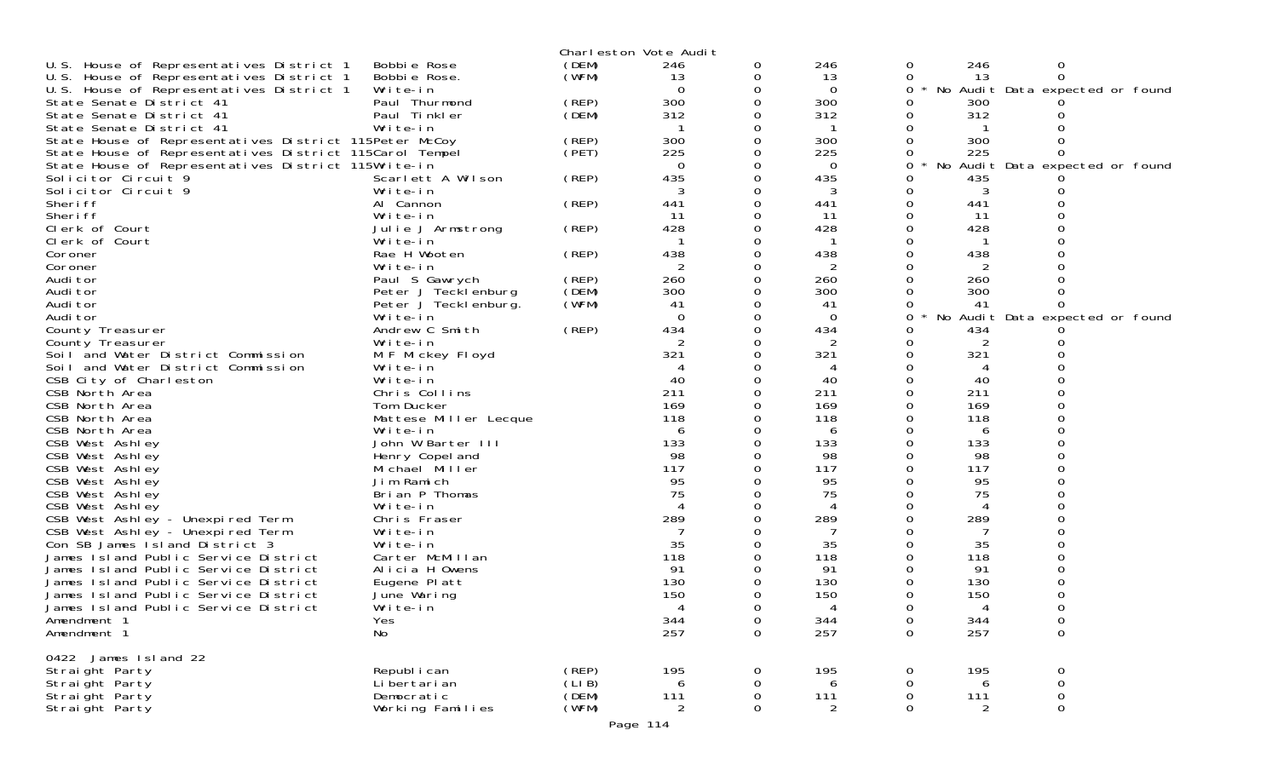|                                                         |                                       |        | Charleston Vote Audit |              |          |   |           |                                 |  |
|---------------------------------------------------------|---------------------------------------|--------|-----------------------|--------------|----------|---|-----------|---------------------------------|--|
| U.S. House of Representatives District 1                | Bobbie Rose                           | (DEM)  | 246                   | 0            | 246      | 0 | 246       | 0                               |  |
| U.S. House of Representatives District 1                | Bobbie Rose.                          | (WFM)  | 13                    | 0            | 13       | 0 | 13        | $\Omega$                        |  |
| U.S. House of Representatives District 1                | Write-in                              |        | $\Omega$              |              | 0        | 0 |           | No Audit Data expected or found |  |
| State Senate District 41                                | Paul Thurmond                         | (REP)  | 300                   |              | 300      | 0 | 300       |                                 |  |
| State Senate District 41                                | Paul Tinkler                          | (DEM)  | 312                   |              | 312      |   | 312       |                                 |  |
| State Senate District 41                                | Write-in                              |        |                       |              |          |   |           |                                 |  |
| State House of Representatives District 115Peter McCoy  |                                       | (REP)  | 300                   |              | 300      |   | 300       |                                 |  |
| State House of Representatives District 115Carol Tempel |                                       | (PET)  | 225                   |              | 225      |   | 225       |                                 |  |
| State House of Representatives District 115Write-in     |                                       |        | $\Omega$              |              | 0        | 0 | No        | Audit Data expected or found    |  |
| Solicitor Circuit 9                                     | Scarlett A Wilson                     | (REP)  | 435                   |              | 435      |   | 435       |                                 |  |
| Solicitor Circuit 9                                     | Write-in                              |        |                       |              |          |   | 3         |                                 |  |
| Sheri ff                                                | Al Cannon                             | (REP)  | 441                   | $\Omega$     | 441      | 0 | 441       |                                 |  |
| Sheri ff                                                | Write-in                              |        | 11                    | 0            | 11       |   | 11        |                                 |  |
| Clerk of Court                                          | Julie J Armstrong                     | (REP)  | 428                   |              | 428      |   | 428       |                                 |  |
| Clerk of Court                                          | Write-in                              |        |                       |              |          |   |           |                                 |  |
| Coroner                                                 | Rae H Wooten<br>Write-in              | (REP)  | 438                   |              | 438      |   | 438       |                                 |  |
| Coroner<br>Audi tor                                     |                                       | (REP)  | 260                   | $\Omega$     | 2<br>260 |   | 260       |                                 |  |
| Audi tor                                                | Paul S Gawrych<br>Peter J Tecklenburg | (DEM)  | 300                   |              | 300      |   | 300       |                                 |  |
| Audi tor                                                | Peter J Teckl enburg.                 | (WFM)  | 41                    |              | 41       |   | 41        |                                 |  |
| Audi tor                                                | Write-in                              |        | $\Omega$              |              | $\Omega$ | 0 | No        | Audit Data expected or found    |  |
| County Treasurer                                        | Andrew C Smith                        | (REP)  | 434                   |              | 434      |   | 434       |                                 |  |
| County Treasurer                                        | Write-in                              |        |                       |              | 2        |   |           |                                 |  |
| Soil and Water District Commission                      | M F Mickey Floyd                      |        | 321                   |              | 321      |   | 321       |                                 |  |
| Soil and Water District Commission                      | Write-in                              |        |                       |              |          |   | 4         |                                 |  |
| CSB City of Charleston                                  | Write-in                              |        | 40                    |              | 40       |   | 40        |                                 |  |
| CSB North Area                                          | Chris Collins                         |        | 211                   |              | 211      |   | 211       |                                 |  |
| CSB North Area                                          | Tom Ducker                            |        | 169                   |              | 169      |   | 169       |                                 |  |
| CSB North Area                                          | Mattese Miller Lecque                 |        | 118                   |              | 118      |   | 118       |                                 |  |
| CSB North Area                                          | Write-in                              |        | 6                     |              | 6        |   | 6         |                                 |  |
| CSB West Ashley                                         | John W Barter III                     |        | 133                   |              | 133      |   | 133       |                                 |  |
| CSB West Ashley                                         | Henry Copel and                       |        | 98                    |              | 98       |   | 98        |                                 |  |
| CSB West Ashley                                         | Michael Miller                        |        | 117<br>95             |              | 117      | 0 | 117<br>95 |                                 |  |
| CSB West Ashley<br>CSB West Ashley                      | Jim Ramich<br>Brian P Thomas          |        | 75                    |              | 95<br>75 |   | 75        |                                 |  |
| CSB West Ashley                                         | Write-in                              |        |                       |              |          |   |           |                                 |  |
| CSB West Ashley - Unexpired Term                        | Chris Fraser                          |        | 289                   |              | 289      |   | 289       |                                 |  |
| CSB West Ashley - Unexpired Term                        | Write-in                              |        |                       |              |          |   |           |                                 |  |
| Con SB James Island District 3                          | Write-in                              |        | 35                    |              | 35       |   | 35        |                                 |  |
| James Island Public Service District                    | Carter McMillan                       |        | 118                   |              | 118      |   | 118       |                                 |  |
| James Island Public Service District                    | Alicia H Owens                        |        | 91                    |              | 91       |   | 91        |                                 |  |
| James Island Public Service District                    | Eugene Platt                          |        | 130                   |              | 130      |   | 130       |                                 |  |
| James Island Public Service District                    | June Waring                           |        | 150                   |              | 150      |   | 150       |                                 |  |
| James Island Public Service District                    | Write-in                              |        | Δ                     | <sup>n</sup> |          |   |           |                                 |  |
| Amendment 1                                             | Yes                                   |        | 344                   | $\mathbf 0$  | 344      | 0 | 344       | $\mathbf 0$                     |  |
| Amendment 1                                             | No                                    |        | 257                   | 0            | 257      | 0 | 257       | $\mathbf 0$                     |  |
| 0422 James Island 22                                    |                                       |        |                       |              |          |   |           |                                 |  |
| Straight Party                                          | Republ i can                          | (REP)  | 195                   | 0            | 195      | 0 | 195       | 0                               |  |
| Straight Party                                          | Li bertari an                         | (LI B) | 6                     | 0            | 6        | 0 | 6         | 0                               |  |
| Straight Party                                          | Democratic                            | (DEM)  | 111                   | 0            | 111      | 0 | 111       | 0                               |  |
| Straight Party                                          | Working Families                      | (WFM)  | $\overline{2}$        | 0            | 2        | 0 | 2         | $\Omega$                        |  |
|                                                         |                                       |        |                       |              |          |   |           |                                 |  |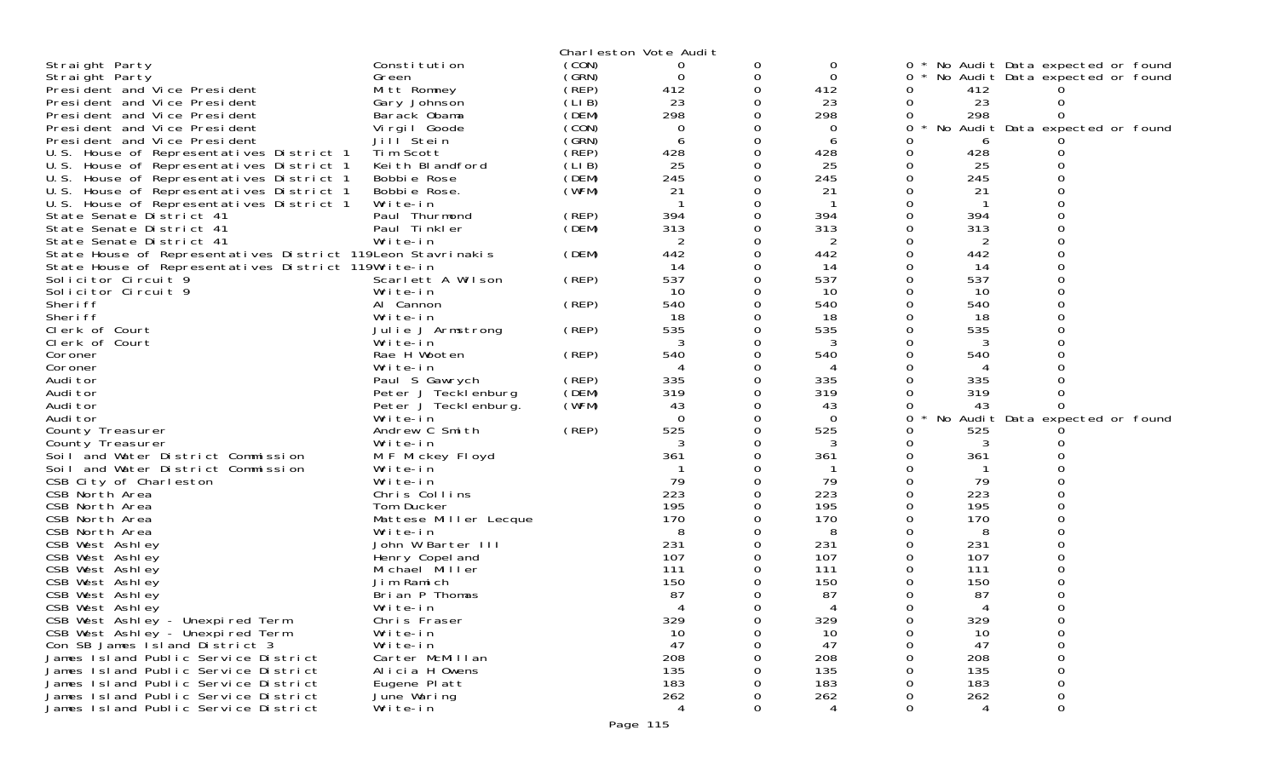| Charleston Vote Audit<br>(CON)<br>Constitution<br>0<br>Straight Party<br>* No Audit Data expected or found<br>0<br>0<br>0<br>(GRN)<br>0<br>0<br>Straight Party<br>Green<br>$\Omega$<br>0<br>No Audit Data expected or found<br>Mitt Romney<br>(REP)<br>412<br>0<br>412<br>President and Vice President<br>412<br>(LIB)<br>23<br>23<br>23<br>President and Vice President<br>Gary Johnson<br>0<br>0<br>(DEM)<br>298<br>298<br>298<br>Barack Obama<br>President and Vice President<br>0<br>(CON)<br>Virgil Goode<br>No Audit Data expected or found<br>President and Vice President<br>0<br>0<br>0<br>(GRN)<br>Jill Stein<br>President and Vice President<br>6<br>6<br>6<br>(REP)<br>428<br>U.S. House of Representatives District 1<br>Tim Scott<br>428<br>428<br>25<br>(LIB)<br>25<br>25<br>U.S. House of Representatives District 1<br>Keith Blandford<br>245<br>(DEM)<br>245<br>245<br>U.S. House of Representatives District 1<br>Bobbie Rose<br>(WFM)<br>21<br>U.S. House of Representatives District 1<br>Bobbie Rose.<br>21<br>21<br>Write-in<br>U.S. House of Representatives District 1<br>394<br>394<br>394<br>Paul Thurmond<br>(REP)<br>State Senate District 41<br>(DEM)<br>313<br>313<br>313<br>State Senate District 41<br>Paul Tinkler<br>Write-in<br>2<br>2<br>State Senate District 41<br>2<br>0<br>442<br>442<br>442<br>State House of Representatives District 119Leon Stavrinakis<br>(DEM)<br>State House of Representatives District 119Write-in<br>14<br>14<br>-14 |
|-----------------------------------------------------------------------------------------------------------------------------------------------------------------------------------------------------------------------------------------------------------------------------------------------------------------------------------------------------------------------------------------------------------------------------------------------------------------------------------------------------------------------------------------------------------------------------------------------------------------------------------------------------------------------------------------------------------------------------------------------------------------------------------------------------------------------------------------------------------------------------------------------------------------------------------------------------------------------------------------------------------------------------------------------------------------------------------------------------------------------------------------------------------------------------------------------------------------------------------------------------------------------------------------------------------------------------------------------------------------------------------------------------------------------------------------------------------------------------------------|
|                                                                                                                                                                                                                                                                                                                                                                                                                                                                                                                                                                                                                                                                                                                                                                                                                                                                                                                                                                                                                                                                                                                                                                                                                                                                                                                                                                                                                                                                                         |
|                                                                                                                                                                                                                                                                                                                                                                                                                                                                                                                                                                                                                                                                                                                                                                                                                                                                                                                                                                                                                                                                                                                                                                                                                                                                                                                                                                                                                                                                                         |
|                                                                                                                                                                                                                                                                                                                                                                                                                                                                                                                                                                                                                                                                                                                                                                                                                                                                                                                                                                                                                                                                                                                                                                                                                                                                                                                                                                                                                                                                                         |
|                                                                                                                                                                                                                                                                                                                                                                                                                                                                                                                                                                                                                                                                                                                                                                                                                                                                                                                                                                                                                                                                                                                                                                                                                                                                                                                                                                                                                                                                                         |
|                                                                                                                                                                                                                                                                                                                                                                                                                                                                                                                                                                                                                                                                                                                                                                                                                                                                                                                                                                                                                                                                                                                                                                                                                                                                                                                                                                                                                                                                                         |
|                                                                                                                                                                                                                                                                                                                                                                                                                                                                                                                                                                                                                                                                                                                                                                                                                                                                                                                                                                                                                                                                                                                                                                                                                                                                                                                                                                                                                                                                                         |
|                                                                                                                                                                                                                                                                                                                                                                                                                                                                                                                                                                                                                                                                                                                                                                                                                                                                                                                                                                                                                                                                                                                                                                                                                                                                                                                                                                                                                                                                                         |
|                                                                                                                                                                                                                                                                                                                                                                                                                                                                                                                                                                                                                                                                                                                                                                                                                                                                                                                                                                                                                                                                                                                                                                                                                                                                                                                                                                                                                                                                                         |
|                                                                                                                                                                                                                                                                                                                                                                                                                                                                                                                                                                                                                                                                                                                                                                                                                                                                                                                                                                                                                                                                                                                                                                                                                                                                                                                                                                                                                                                                                         |
|                                                                                                                                                                                                                                                                                                                                                                                                                                                                                                                                                                                                                                                                                                                                                                                                                                                                                                                                                                                                                                                                                                                                                                                                                                                                                                                                                                                                                                                                                         |
|                                                                                                                                                                                                                                                                                                                                                                                                                                                                                                                                                                                                                                                                                                                                                                                                                                                                                                                                                                                                                                                                                                                                                                                                                                                                                                                                                                                                                                                                                         |
|                                                                                                                                                                                                                                                                                                                                                                                                                                                                                                                                                                                                                                                                                                                                                                                                                                                                                                                                                                                                                                                                                                                                                                                                                                                                                                                                                                                                                                                                                         |
|                                                                                                                                                                                                                                                                                                                                                                                                                                                                                                                                                                                                                                                                                                                                                                                                                                                                                                                                                                                                                                                                                                                                                                                                                                                                                                                                                                                                                                                                                         |
|                                                                                                                                                                                                                                                                                                                                                                                                                                                                                                                                                                                                                                                                                                                                                                                                                                                                                                                                                                                                                                                                                                                                                                                                                                                                                                                                                                                                                                                                                         |
|                                                                                                                                                                                                                                                                                                                                                                                                                                                                                                                                                                                                                                                                                                                                                                                                                                                                                                                                                                                                                                                                                                                                                                                                                                                                                                                                                                                                                                                                                         |
|                                                                                                                                                                                                                                                                                                                                                                                                                                                                                                                                                                                                                                                                                                                                                                                                                                                                                                                                                                                                                                                                                                                                                                                                                                                                                                                                                                                                                                                                                         |
|                                                                                                                                                                                                                                                                                                                                                                                                                                                                                                                                                                                                                                                                                                                                                                                                                                                                                                                                                                                                                                                                                                                                                                                                                                                                                                                                                                                                                                                                                         |
| 537<br>537<br>537<br>Solicitor Circuit 9<br>(REP)<br>Scarlett A Wilson<br>0<br>0                                                                                                                                                                                                                                                                                                                                                                                                                                                                                                                                                                                                                                                                                                                                                                                                                                                                                                                                                                                                                                                                                                                                                                                                                                                                                                                                                                                                        |
| 10<br>10<br>10<br>Solicitor Circuit 9<br>Write-in                                                                                                                                                                                                                                                                                                                                                                                                                                                                                                                                                                                                                                                                                                                                                                                                                                                                                                                                                                                                                                                                                                                                                                                                                                                                                                                                                                                                                                       |
| 540<br>540<br>540<br>Sheri ff<br>Al Cannon<br>(REP)                                                                                                                                                                                                                                                                                                                                                                                                                                                                                                                                                                                                                                                                                                                                                                                                                                                                                                                                                                                                                                                                                                                                                                                                                                                                                                                                                                                                                                     |
| Sheri ff<br>18<br>18<br>18<br>Write-in                                                                                                                                                                                                                                                                                                                                                                                                                                                                                                                                                                                                                                                                                                                                                                                                                                                                                                                                                                                                                                                                                                                                                                                                                                                                                                                                                                                                                                                  |
| 535<br>535<br>535<br>Clerk of Court<br>(REP)<br>Julie J Armstrong                                                                                                                                                                                                                                                                                                                                                                                                                                                                                                                                                                                                                                                                                                                                                                                                                                                                                                                                                                                                                                                                                                                                                                                                                                                                                                                                                                                                                       |
| Clerk of Court<br>Write-in<br>3<br>3<br>3                                                                                                                                                                                                                                                                                                                                                                                                                                                                                                                                                                                                                                                                                                                                                                                                                                                                                                                                                                                                                                                                                                                                                                                                                                                                                                                                                                                                                                               |
| 540<br>540<br>540<br>Rae H Wooten<br>(REP)<br>0<br>Coroner                                                                                                                                                                                                                                                                                                                                                                                                                                                                                                                                                                                                                                                                                                                                                                                                                                                                                                                                                                                                                                                                                                                                                                                                                                                                                                                                                                                                                              |
| Write-in<br>Coroner<br>4                                                                                                                                                                                                                                                                                                                                                                                                                                                                                                                                                                                                                                                                                                                                                                                                                                                                                                                                                                                                                                                                                                                                                                                                                                                                                                                                                                                                                                                                |
| (REP)<br>335<br>335<br>Audi tor<br>Paul S Gawrych<br>335                                                                                                                                                                                                                                                                                                                                                                                                                                                                                                                                                                                                                                                                                                                                                                                                                                                                                                                                                                                                                                                                                                                                                                                                                                                                                                                                                                                                                                |
| (DEM)<br>319<br>319<br>319<br>Audi tor<br>Peter J Tecklenburg                                                                                                                                                                                                                                                                                                                                                                                                                                                                                                                                                                                                                                                                                                                                                                                                                                                                                                                                                                                                                                                                                                                                                                                                                                                                                                                                                                                                                           |
| (WFM)<br>Audi tor<br>Peter J Teckl enburg.<br>43<br>43<br>43                                                                                                                                                                                                                                                                                                                                                                                                                                                                                                                                                                                                                                                                                                                                                                                                                                                                                                                                                                                                                                                                                                                                                                                                                                                                                                                                                                                                                            |
| Audi tor<br>$\Omega$<br>No Audit Data expected or found<br>Write-in<br>0<br>0                                                                                                                                                                                                                                                                                                                                                                                                                                                                                                                                                                                                                                                                                                                                                                                                                                                                                                                                                                                                                                                                                                                                                                                                                                                                                                                                                                                                           |
| (REP)<br>525<br>525<br>Andrew C Smith<br>525<br>County Treasurer                                                                                                                                                                                                                                                                                                                                                                                                                                                                                                                                                                                                                                                                                                                                                                                                                                                                                                                                                                                                                                                                                                                                                                                                                                                                                                                                                                                                                        |
| 3<br>3<br>County Treasurer<br>Write-in                                                                                                                                                                                                                                                                                                                                                                                                                                                                                                                                                                                                                                                                                                                                                                                                                                                                                                                                                                                                                                                                                                                                                                                                                                                                                                                                                                                                                                                  |
| 361<br>361<br>Soil and Water District Commission<br>361<br>M F Mickey Floyd                                                                                                                                                                                                                                                                                                                                                                                                                                                                                                                                                                                                                                                                                                                                                                                                                                                                                                                                                                                                                                                                                                                                                                                                                                                                                                                                                                                                             |
| Soil and Water District Commission<br>Write-in                                                                                                                                                                                                                                                                                                                                                                                                                                                                                                                                                                                                                                                                                                                                                                                                                                                                                                                                                                                                                                                                                                                                                                                                                                                                                                                                                                                                                                          |
| 79<br>79<br>79<br>CSB City of Charleston<br>Write-in                                                                                                                                                                                                                                                                                                                                                                                                                                                                                                                                                                                                                                                                                                                                                                                                                                                                                                                                                                                                                                                                                                                                                                                                                                                                                                                                                                                                                                    |
| 223<br>223<br>223<br>CSB North Area<br>Chris Collins<br>0                                                                                                                                                                                                                                                                                                                                                                                                                                                                                                                                                                                                                                                                                                                                                                                                                                                                                                                                                                                                                                                                                                                                                                                                                                                                                                                                                                                                                               |
| 195<br>195<br>195<br>CSB North Area<br>Tom Ducker<br>170<br>170<br>170                                                                                                                                                                                                                                                                                                                                                                                                                                                                                                                                                                                                                                                                                                                                                                                                                                                                                                                                                                                                                                                                                                                                                                                                                                                                                                                                                                                                                  |
| CSB North Area<br>Mattese Miller Lecque<br>Write-in<br>8<br>8<br>8<br>CSB North Area                                                                                                                                                                                                                                                                                                                                                                                                                                                                                                                                                                                                                                                                                                                                                                                                                                                                                                                                                                                                                                                                                                                                                                                                                                                                                                                                                                                                    |
| 231<br>231<br>John W Barter III<br>231<br>CSB West Ashley                                                                                                                                                                                                                                                                                                                                                                                                                                                                                                                                                                                                                                                                                                                                                                                                                                                                                                                                                                                                                                                                                                                                                                                                                                                                                                                                                                                                                               |
| 107<br>107<br>CSB West Ashley<br>107<br>Henry Copel and                                                                                                                                                                                                                                                                                                                                                                                                                                                                                                                                                                                                                                                                                                                                                                                                                                                                                                                                                                                                                                                                                                                                                                                                                                                                                                                                                                                                                                 |
| Michael Miller<br>111<br>111<br>111<br>CSB West Ashley                                                                                                                                                                                                                                                                                                                                                                                                                                                                                                                                                                                                                                                                                                                                                                                                                                                                                                                                                                                                                                                                                                                                                                                                                                                                                                                                                                                                                                  |
| 150<br>150<br>150<br>CSB West Ashley<br>Jim Ramich                                                                                                                                                                                                                                                                                                                                                                                                                                                                                                                                                                                                                                                                                                                                                                                                                                                                                                                                                                                                                                                                                                                                                                                                                                                                                                                                                                                                                                      |
| 87<br>87<br>87<br>CSB West Ashley<br>Brian P Thomas                                                                                                                                                                                                                                                                                                                                                                                                                                                                                                                                                                                                                                                                                                                                                                                                                                                                                                                                                                                                                                                                                                                                                                                                                                                                                                                                                                                                                                     |
| CSB West Ashley<br>Write-in<br>$\boldsymbol{\vartriangle}$<br>Δ                                                                                                                                                                                                                                                                                                                                                                                                                                                                                                                                                                                                                                                                                                                                                                                                                                                                                                                                                                                                                                                                                                                                                                                                                                                                                                                                                                                                                         |
| 329<br>329<br>329<br>CSB West Ashley - Unexpired Term<br>Chris Fraser<br>0                                                                                                                                                                                                                                                                                                                                                                                                                                                                                                                                                                                                                                                                                                                                                                                                                                                                                                                                                                                                                                                                                                                                                                                                                                                                                                                                                                                                              |
| CSB West Ashley - Unexpired Term<br>Write-in<br>10<br>10<br>10                                                                                                                                                                                                                                                                                                                                                                                                                                                                                                                                                                                                                                                                                                                                                                                                                                                                                                                                                                                                                                                                                                                                                                                                                                                                                                                                                                                                                          |
| Con SB James I sland District 3<br>Write-in<br>47<br>47<br>47                                                                                                                                                                                                                                                                                                                                                                                                                                                                                                                                                                                                                                                                                                                                                                                                                                                                                                                                                                                                                                                                                                                                                                                                                                                                                                                                                                                                                           |
| James Island Public Service District<br>208<br>208<br>208<br>Carter McMillan                                                                                                                                                                                                                                                                                                                                                                                                                                                                                                                                                                                                                                                                                                                                                                                                                                                                                                                                                                                                                                                                                                                                                                                                                                                                                                                                                                                                            |
| 135<br>135<br>135<br>James Island Public Service District<br>Alicia H Owens                                                                                                                                                                                                                                                                                                                                                                                                                                                                                                                                                                                                                                                                                                                                                                                                                                                                                                                                                                                                                                                                                                                                                                                                                                                                                                                                                                                                             |
| James Island Public Service District<br>Eugene Platt<br>183<br>183<br>183                                                                                                                                                                                                                                                                                                                                                                                                                                                                                                                                                                                                                                                                                                                                                                                                                                                                                                                                                                                                                                                                                                                                                                                                                                                                                                                                                                                                               |
| June Waring<br>James Island Public Service District<br>262<br>262<br>262                                                                                                                                                                                                                                                                                                                                                                                                                                                                                                                                                                                                                                                                                                                                                                                                                                                                                                                                                                                                                                                                                                                                                                                                                                                                                                                                                                                                                |
| James Island Public Service District<br>Write-in<br>0<br>4<br>O<br>4<br>4                                                                                                                                                                                                                                                                                                                                                                                                                                                                                                                                                                                                                                                                                                                                                                                                                                                                                                                                                                                                                                                                                                                                                                                                                                                                                                                                                                                                               |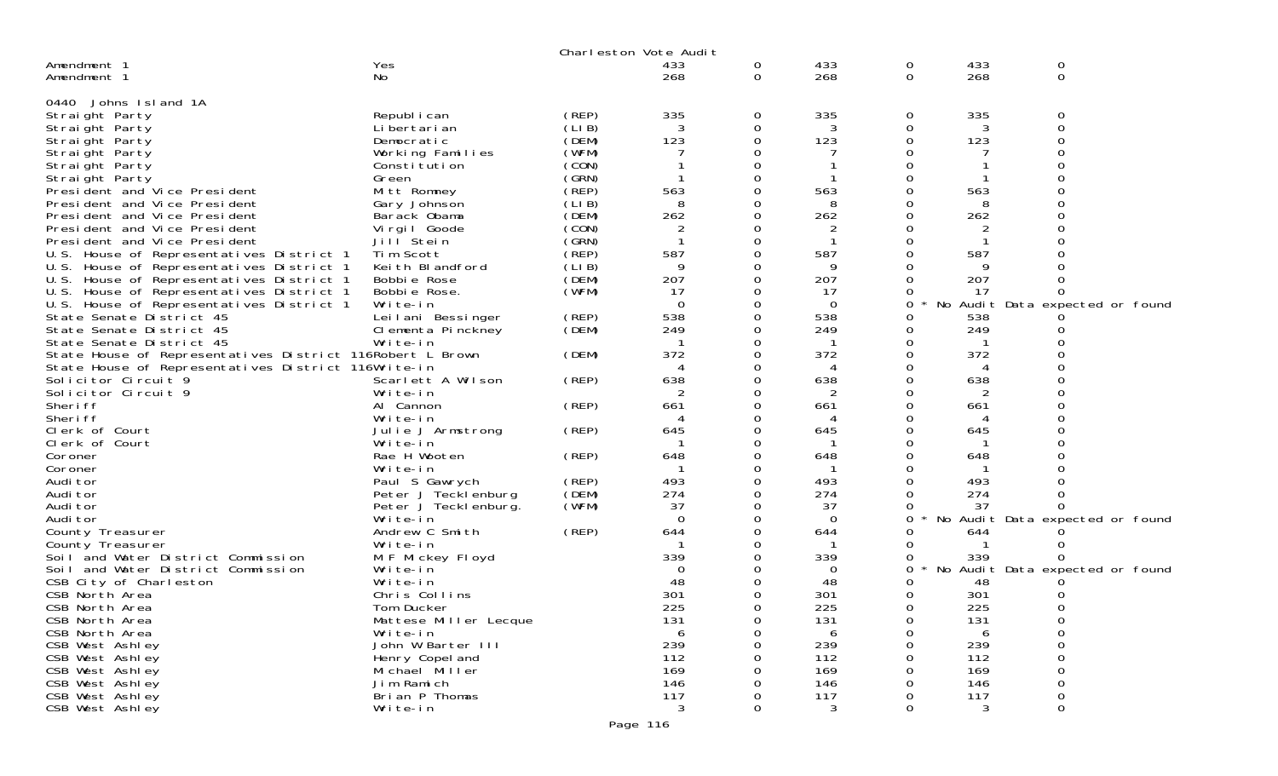|                                                              |                             |                | Charleston Vote Audit |               |                |                      |                |                                 |  |
|--------------------------------------------------------------|-----------------------------|----------------|-----------------------|---------------|----------------|----------------------|----------------|---------------------------------|--|
| Amendment 1<br>Amendment 1                                   | Yes<br>No                   |                | 433<br>268            | 0<br>0        | 433<br>268     | $\overline{O}$<br>0  | 433<br>268     | 0<br>$\mathbf 0$                |  |
|                                                              |                             |                |                       |               |                |                      |                |                                 |  |
| 0440 Johns Island 1A                                         |                             |                |                       |               |                |                      |                |                                 |  |
| Straight Party                                               | Republ i can                | (REP)          | 335                   | 0             | 335            | 0                    | 335            | 0                               |  |
| Straight Party                                               | Li bertari an               | (LIB)          | 3                     | 0             | 3              | 0                    | 3              | 0                               |  |
| Straight Party                                               | Democratic                  | (DEM)          | 123                   | ∩             | 123            | 0                    | 123            | $\Omega$                        |  |
| Straight Party                                               | Working Families            | (WFM)          |                       | $\Omega$      |                | $\Omega$             |                | O                               |  |
| Straight Party                                               | Constitution                | (CON)          |                       | 0<br>$\Omega$ |                | $\Omega$<br>$\Omega$ |                | $\Omega$                        |  |
| Straight Party                                               | Green                       | (GRN)<br>(REP) | 563                   | 0             | 563            | 0                    | 563            |                                 |  |
| President and Vice President<br>President and Vice President | Mitt Romney<br>Gary Johnson | (LIB)          | 8                     | 0             | 8              | 0                    | 8              |                                 |  |
| President and Vice President                                 | Barack Obama                | (DEM)          | 262                   | $\Omega$      | 262            | 0                    | 262            | $\Omega$                        |  |
| President and Vice President                                 | Virgil Goode                | (CON)          | $\overline{c}$        | 0             | $\overline{2}$ | 0                    | $\overline{2}$ |                                 |  |
| President and Vice President                                 | Jill Stein                  | (GRN)          |                       | 0             |                | 0                    |                |                                 |  |
| U.S. House of Representatives District 1                     | Tim Scott                   | (REP)          | 587                   | $\Omega$      | 587            | 0                    | 587            |                                 |  |
| U.S. House of Representatives District 1                     | Keith Blandford             | (LIB)          | 9                     | 0             | 9              | 0                    | 9              |                                 |  |
| U.S. House of Representatives District 1                     | Bobbie Rose                 | (DEM)          | 207                   | 0             | 207            | 0                    | 207            |                                 |  |
| U.S.<br>House of Representatives District 1                  | Bobbie Rose.                | (WFM)          | 17                    | $\Omega$      | 17             | 0                    | 17             |                                 |  |
| U.S. House of Representatives District 1                     | Write-in                    |                | $\mathbf 0$           | 0             | 0              | 0                    |                | No Audit Data expected or found |  |
| State Senate District 45                                     | Leilani Bessinger           | (REP)          | 538                   | 0             | 538            | 0                    | 538            |                                 |  |
| State Senate District 45                                     | Clementa Pinckney           | (DEM)          | 249                   | $\Omega$      | 249            | 0                    | 249            |                                 |  |
| State Senate District 45                                     | Write-in                    |                |                       | C             |                | 0                    |                |                                 |  |
| State House of Representatives District 116Robert L Brown    |                             | (DEM)          | 372                   | $\Omega$      | 372            | 0                    | 372            |                                 |  |
| State House of Representatives District 116Write-in          |                             |                | 4                     | $\Omega$      | 4              | 0                    | 4              |                                 |  |
| Solicitor Circuit 9                                          | Scarlett A Wilson           | (REP)          | 638                   | C             | 638            | 0                    | 638            |                                 |  |
| Solicitor Circuit 9                                          | Write-in                    |                |                       |               |                | $\Omega$             |                |                                 |  |
| Sheri ff                                                     | Al Cannon                   | (REP)          | 661                   | 0             | 661            | 0                    | 661            |                                 |  |
| Sheri ff                                                     | Write-in                    |                |                       | C             | $\overline{A}$ | 0                    | $\Delta$       |                                 |  |
| Clerk of Court                                               | Julie J Armstrong           | (REP)          | 645                   | $\Omega$      | 645            | 0                    | 645            |                                 |  |
| Clerk of Court                                               | Write-in<br>Rae H Wooten    |                | 648                   | 0<br>$\Omega$ | 648            | 0<br>0               | 648            |                                 |  |
| Coroner<br>Coroner                                           | Write-in                    | (REP)          |                       | $\Omega$      |                | $\Omega$             |                |                                 |  |
| Audi tor                                                     | Paul S Gawrych              | (REP)          | 493                   | 0             | 493            | 0                    | 493            |                                 |  |
| Audi tor                                                     | Peter J Tecklenburg         | (DEM)          | 274                   | 0             | 274            | $\mathbf 0$          | 274            |                                 |  |
| Audi tor                                                     | Peter J Tecklenburg.        | (WFM)          | 37                    | $\Omega$      | 37             | 0                    | 37             |                                 |  |
| Audi tor                                                     | Write-in                    |                | $\Omega$              | 0             | 0              | 0                    | No             | Audit Data expected or found    |  |
| County Treasurer                                             | Andrew C Smith              | (REP)          | 644                   | ∩             | 644            | 0                    | 644            |                                 |  |
| County Treasurer                                             | Write-in                    |                |                       |               |                | O                    |                |                                 |  |
| Soil and Water District Commission                           | M F Mickey Floyd            |                | 339                   | 0             | 339            | 0                    | 339            |                                 |  |
| Soil and Water District Commission                           | Write-in                    |                | $\Omega$              |               | 0              | 0                    |                | No Audit Data expected or found |  |
| CSB City of Charleston                                       | Write-in                    |                | 48                    |               | 48             |                      | 48             |                                 |  |
| CSB North Area                                               | Chris Collins               |                | 301                   |               | 301            | 0                    | 301            |                                 |  |
| CSB North Area                                               | Tom Ducker                  |                | 225                   | ∩             | 225            | $\Omega$             | 225            |                                 |  |
| CSB North Area                                               | Mattese Miller Lecque       |                | 131                   | 0             | 131            | 0                    | 131            |                                 |  |
| CSB North Area                                               | Write-in                    |                | 6                     | $\Omega$      | 6              | 0                    | 6              | 0                               |  |
| CSB West Ashley                                              | John W Barter III           |                | 239                   | $\Omega$      | 239            | 0                    | 239            | $\Omega$                        |  |
| CSB West Ashley                                              | Henry Copel and             |                | 112                   | ∩             | 112            | ∩                    | 112            | $\Omega$                        |  |
| CSB West Ashley                                              | Michael Miller              |                | 169                   | ∩             | 169            | 0                    | 169            | 0                               |  |
| CSB West Ashley                                              | Jim Ramich                  |                | 146                   |               | 146            | $\Omega$             | 146            |                                 |  |
| CSB West Ashley                                              | Brian P Thomas              |                | 117<br>3              |               | 117<br>3       | O                    | 117<br>3       | 0                               |  |
| CSB West Ashley                                              | Write-in                    |                |                       | 0             |                | 0                    |                | 0                               |  |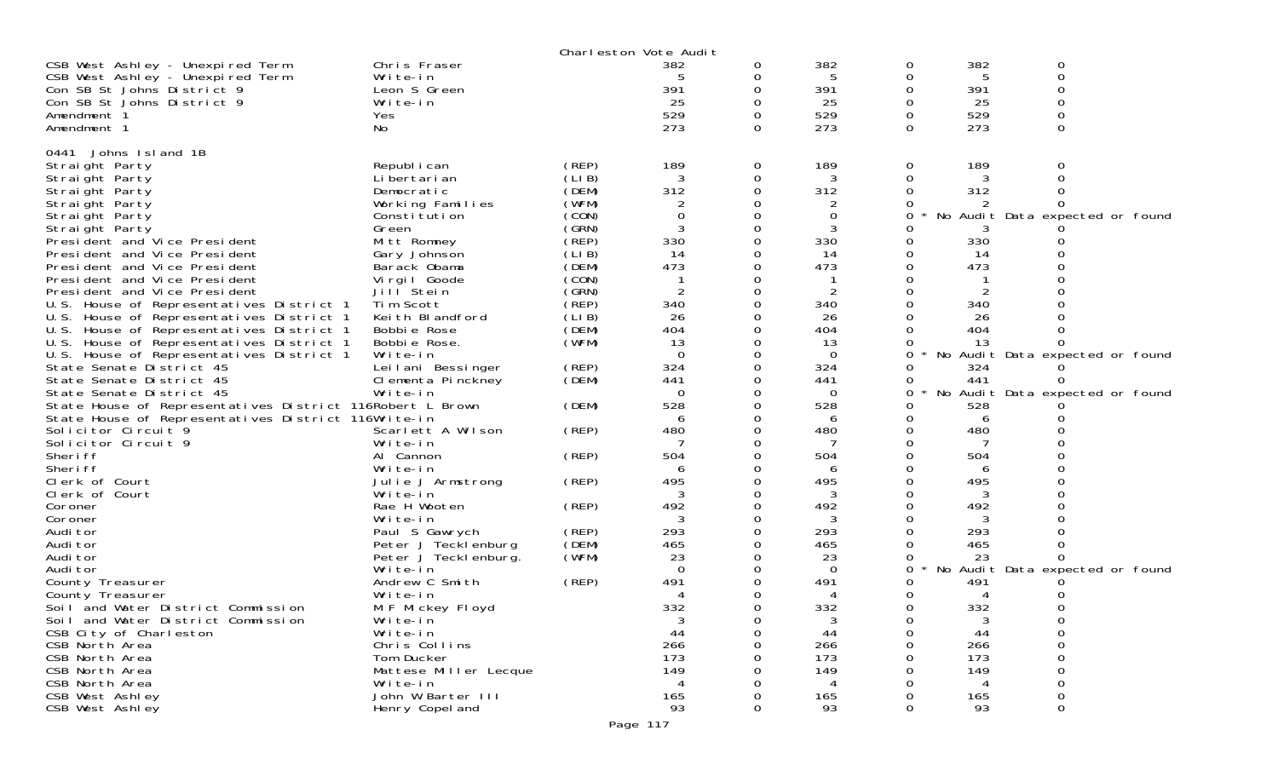|                                                           |                       |       | Charleston Vote Audit |          |     |   |     |                                 |  |
|-----------------------------------------------------------|-----------------------|-------|-----------------------|----------|-----|---|-----|---------------------------------|--|
| CSB West Ashley - Unexpired Term                          | Chris Fraser          |       | 382                   | O        | 382 | 0 | 382 | 0                               |  |
| CSB West Ashley - Unexpired Term                          | Write-in              |       |                       |          | 5   | 0 | 5   | 0                               |  |
| Con SB St Johns District 9                                | Leon S Green          |       | 391                   |          | 391 |   | 391 |                                 |  |
| Con SB St Johns District 9                                | Write-in              |       | 25                    |          | 25  |   | 25  |                                 |  |
| Amendment 1                                               | Yes                   |       | 529                   |          | 529 |   | 529 |                                 |  |
| Amendment 1                                               | No.                   |       | 273                   | $\Omega$ | 273 | 0 | 273 | 0                               |  |
|                                                           |                       |       |                       |          |     |   |     |                                 |  |
| Johns Island 1B<br>0441                                   |                       |       |                       |          |     |   |     |                                 |  |
| Straight Party                                            | Republ i can          | (REP) | 189                   | 0        | 189 | 0 | 189 |                                 |  |
| Straight Party                                            | Li bertari an         | (LIB) | 3                     | 0        | 3   | 0 |     |                                 |  |
| Straight Party                                            | Democratic            | (DEM) | 312                   |          | 312 |   | 312 |                                 |  |
| Straight Party                                            | Working Families      | (WFM) |                       |          | 2   |   |     |                                 |  |
| Straight Party                                            | Constitution          | (CON) | $\Omega$              |          | 0   | 0 | No  | Audit Data expected or found    |  |
| Straight Party                                            | Green                 | (GRN) |                       |          |     |   |     |                                 |  |
| Presi dent and Vice Presi dent                            | Mitt Romney           | (REP) | 330                   | O        | 330 |   | 330 |                                 |  |
|                                                           |                       |       |                       |          |     |   |     |                                 |  |
| President and Vice President                              | Gary Johnson          | (LIB) | 14                    |          | 14  |   | 14  |                                 |  |
| President and Vice President                              | Barack Obama          | (DEM) | 473                   |          | 473 |   | 473 |                                 |  |
| President and Vice President                              | Virgil Goode          | (CON) |                       |          |     |   |     |                                 |  |
| President and Vice President                              | Jill Stein            | (GRN) | $\overline{2}$        | 0        | 2   |   |     |                                 |  |
| U.S. House of Representatives District 1                  | Tim Scott             | (REP) | 340                   |          | 340 |   | 340 |                                 |  |
| U.S. House of Representatives District 1                  | Keith Blandford       | (LIB) | 26                    |          | 26  |   | -26 |                                 |  |
| U.S.<br>House of Representatives District 1               | Bobbie Rose           | (DEM) | 404                   |          | 404 |   | 404 |                                 |  |
| U.S. House of Representatives District 1                  | Bobbie Rose.          | (WFM) | 13                    |          | 13  |   | 13  |                                 |  |
| U.S. House of Representatives District 1                  | Write-in              |       | $\Omega$              |          | 0   | 0 |     | No Audit Data expected or found |  |
| State Senate District 45                                  | Leilani Bessinger     | (REP) | 324                   |          | 324 |   | 324 |                                 |  |
| State Senate District 45                                  | Clementa Pinckney     | (DEM) | 441                   |          | 441 |   | 441 |                                 |  |
| State Senate District 45                                  | Write-in              |       | 0                     |          | 0   | 0 |     | No Audit Data expected or found |  |
| State House of Representatives District 116Robert L Brown |                       | (DEM) | 528                   |          | 528 |   | 528 |                                 |  |
| State House of Representatives District 116Write-in       |                       |       | 6                     |          | 6   |   | 6   |                                 |  |
| Solicitor Circuit 9                                       | Scarlett A Wilson     | (REP) | 480                   |          | 480 |   | 480 |                                 |  |
| Solicitor Circuit 9                                       | Write-in              |       | 7                     | Ω        | 7   |   | 7   |                                 |  |
| Sheri ff                                                  | Al Cannon             | (REP) | 504                   |          | 504 |   | 504 |                                 |  |
| Sheri ff                                                  | Write-in              |       | 6                     |          | 6   |   |     |                                 |  |
| Clerk of Court                                            | Julie J Armstrong     | (REP) | 495                   | 0        | 495 |   | 495 |                                 |  |
| Clerk of Court                                            | Write-in              |       |                       |          |     |   |     |                                 |  |
| Coroner                                                   | Rae H Wooten          | (REP) | 492                   |          | 492 |   | 492 |                                 |  |
| Coroner                                                   | Write-in              |       | 3                     |          | 3   |   | 3   |                                 |  |
| Audi tor                                                  | Paul S Gawrych        | (REP) | 293                   |          | 293 |   | 293 |                                 |  |
| Audi tor                                                  | Peter J Tecklenburg   | (DEM) | 465                   |          | 465 |   | 465 |                                 |  |
| Audi tor                                                  | Peter J Tecklenburg.  | (WFM) | 23                    |          | 23  |   | 23  |                                 |  |
| Audi tor                                                  | Write-in              |       | $\Omega$              |          | 0   | 0 |     | No Audit Data expected or found |  |
| County Treasurer                                          | Andrew C Smith        | (REP) | 491                   |          | 491 |   | 491 |                                 |  |
| County Treasurer                                          | Write-in              |       |                       |          |     |   |     |                                 |  |
|                                                           |                       |       |                       |          |     |   |     |                                 |  |
| Soil and Water District Commission                        | M F Mickey Floyd      |       | 332                   |          | 332 | 0 | 332 |                                 |  |
| Soil and Water District Commission                        | Write-in              |       | 3                     | 0        | 3   | 0 | 3   |                                 |  |
| CSB City of Charleston                                    | Write-in              |       | 44                    | 0        | 44  |   | 44  |                                 |  |
| CSB North Area                                            | Chris Collins         |       | 266                   | 0        | 266 |   | 266 |                                 |  |
| CSB North Area                                            | Tom Ducker            |       | 173                   |          | 173 |   | 173 |                                 |  |
| CSB North Area                                            | Mattese Miller Lecque |       | 149                   |          | 149 |   | 149 |                                 |  |
| CSB North Area                                            | Write-in              |       | 4                     |          | 4   |   | 4   |                                 |  |
| CSB West Ashley                                           | John W Barter III     |       | 165                   |          | 165 |   | 165 |                                 |  |
| CSB West Ashley                                           | Henry Copel and       |       | 93                    |          | 93  |   | 93  | 0                               |  |
|                                                           |                       |       | Page 117              |          |     |   |     |                                 |  |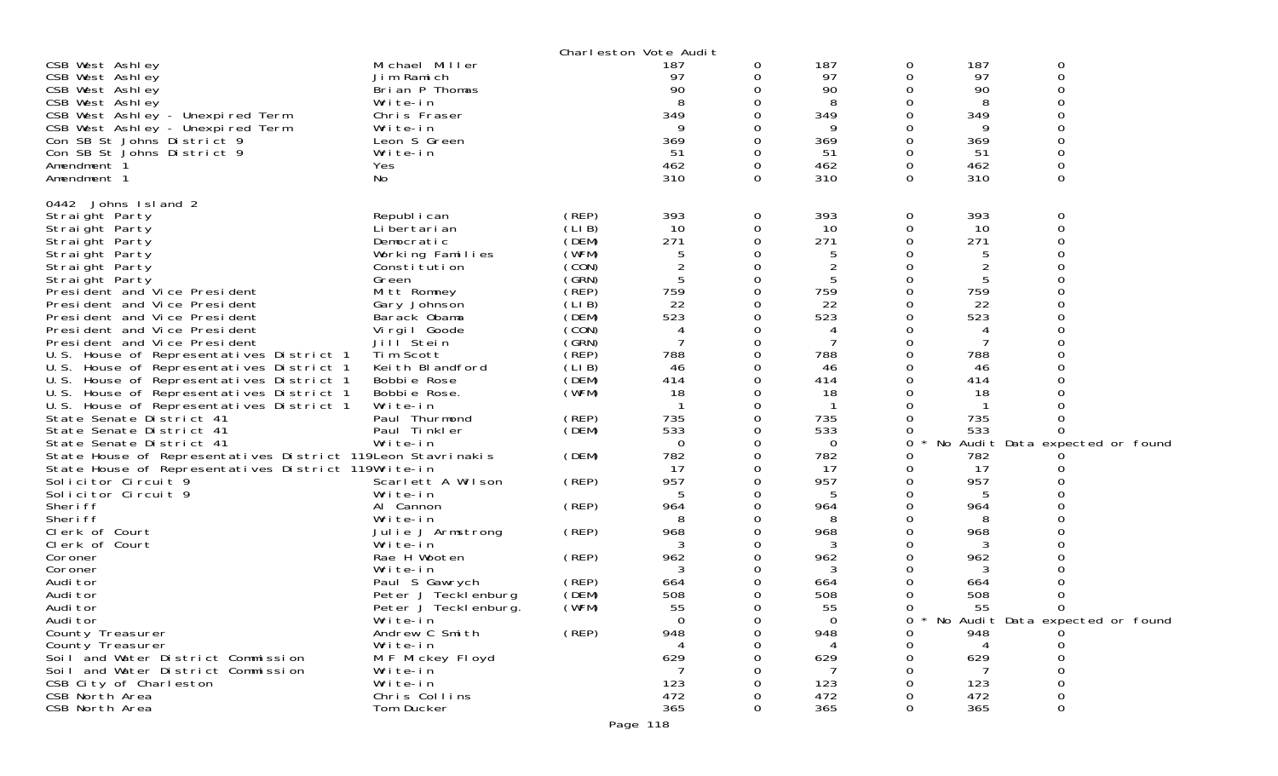|                                                                                      |                               |                | Charleston Vote Audit |   |            |        |            |                                 |  |
|--------------------------------------------------------------------------------------|-------------------------------|----------------|-----------------------|---|------------|--------|------------|---------------------------------|--|
| CSB West Ashley                                                                      | Michael Miller                |                | 187                   | 0 | 187        | 0      | 187        | 0                               |  |
| CSB West Ashley                                                                      | Jim Ramich                    |                | 97<br>90              |   | 97<br>90   | 0      | 97<br>90   | 0<br>0                          |  |
| CSB West Ashley<br>CSB West Ashley                                                   | Brian P Thomas<br>Write-in    |                | 8                     |   | 8          | 0<br>0 | 8          | O                               |  |
| CSB West Ashley - Unexpired Term                                                     | Chris Fraser                  |                | 349                   |   | 349        | 0      | 349        |                                 |  |
| CSB West Ashley - Unexpired Term                                                     | Write-in                      |                |                       |   | 9          | 0      | 9          | ი                               |  |
| Con SB St Johns District 9                                                           | Leon S Green                  |                | 369                   |   | 369        | 0      | 369        | $\Omega$                        |  |
| Con SB St Johns District 9                                                           | Write-in                      |                | 51                    |   | 51         | 0      | 51         | 0                               |  |
| Amendment 1                                                                          | Yes                           |                | 462                   |   | 462        | 0      | 462        | 0                               |  |
| Amendment 1                                                                          | No                            |                | 310                   | 0 | 310        | 0      | 310        | $\Omega$                        |  |
| 0442 Johns Island 2                                                                  |                               |                |                       |   |            |        |            |                                 |  |
| Straight Party                                                                       | Republ i can                  | (REP)          | 393                   | 0 | 393        | 0      | 393        | 0                               |  |
| Straight Party                                                                       | Li bertari an                 | (LIB)          | 10                    | 0 | 10         | 0      | 10         | 0                               |  |
| Straight Party                                                                       | Democratic                    | (DEM)          | 271                   | 0 | 271        | 0      | 271        | O                               |  |
| Straight Party                                                                       | Working Families              | (WFM)          | 5                     |   | 5          | 0      | 5          | 0                               |  |
| Straight Party                                                                       | Constitution                  | (CON)          | $\overline{2}$        |   | 2          | 0      | 2          |                                 |  |
| Straight Party                                                                       | Green                         | (SRN)          | 5                     | 0 | 5          | 0      | 5          |                                 |  |
| President and Vice President                                                         | Mitt Romney                   | (REP)          | 759                   |   | 759        | 0      | 759        |                                 |  |
| President and Vice President                                                         | Gary Johnson                  | (LIB)          | 22                    |   | 22         | 0      | 22         |                                 |  |
| President and Vice President                                                         | Barack Obama                  | (DEM)          | 523                   |   | 523        | 0      | 523        |                                 |  |
| President and Vice President                                                         | Virgil Goode                  | (CON)          | 4                     |   | 4          | 0      | 4          |                                 |  |
| President and Vice President                                                         | Jill Stein                    | (GRN)          |                       |   | 7          | 0<br>0 | 7          |                                 |  |
| U.S. House of Representatives District 1                                             | Tim Scott<br>Keith Blandford  | (REP)<br>(LIB) | 788<br>46             | 0 | 788<br>46  | 0      | 788<br>46  |                                 |  |
| U.S. House of Representatives District 1<br>U.S. House of Representatives District 1 | Bobbie Rose                   | (DEM)          | 414                   |   | 414        | 0      | 414        |                                 |  |
| U.S. House of Representatives District 1                                             | Bobbie Rose.                  | (WFM)          | 18                    |   | 18         | 0      | 18         |                                 |  |
| U.S. House of Representatives District 1                                             | Write-in                      |                |                       |   |            | 0      |            |                                 |  |
| State Senate District 41                                                             | Paul Thurmond                 | (REP)          | 735                   |   | 735        | 0      | 735        |                                 |  |
| State Senate District 41                                                             | Paul Tinkler                  | (DEM)          | 533                   |   | 533        | 0      | 533        | O                               |  |
| State Senate District 41                                                             | Write-in                      |                | $\Omega$              |   | $\Omega$   | 0      |            | No Audit Data expected or found |  |
| State House of Representatives District 119 Leon Stavrinakis                         |                               | (DEM)          | 782                   |   | 782        | 0      | 782        |                                 |  |
| State House of Representatives District 119Write-in                                  |                               |                | 17                    |   | 17         | 0      | 17         |                                 |  |
| Solicitor Circuit 9                                                                  | Scarlett A Wilson             | (REP)          | 957                   | 0 | 957        | 0      | 957        |                                 |  |
| Solicitor Circuit 9                                                                  | Write-in                      |                |                       |   | 5          | 0      | 5          |                                 |  |
| Sheri ff                                                                             | Al Cannon                     | (REP)          | 964                   |   | 964        | 0      | 964        |                                 |  |
| Sheri ff<br>Clerk of Court                                                           | Write-in<br>Julie J Armstrong | (REP)          | 8<br>968              |   | 8<br>968   | 0<br>0 | 8<br>968   |                                 |  |
| Clerk of Court                                                                       | Write-in                      |                |                       |   | 3          | 0      | 3          |                                 |  |
| Coroner                                                                              | Rae H Wooten                  | (REP)          | 962                   |   | 962        | 0      | 962        |                                 |  |
| Coroner                                                                              | Write-in                      |                |                       |   | 3          | 0      | 3          |                                 |  |
| Audi tor                                                                             | Paul S Gawrych                | (REP)          | 664                   |   | 664        | 0      | 664        |                                 |  |
| Audi tor                                                                             | Peter J Tecklenburg           | (DEM)          | 508                   |   | 508        | 0      | 508        |                                 |  |
| Audi tor                                                                             | Peter J Tecklenburg.          | (WFM)          | 55                    | 0 | 55         | 0      | 55         | 0                               |  |
| Audi tor                                                                             | Write-in                      |                | 0                     |   | 0          | 0      |            | No Audit Data expected or found |  |
| County Treasurer                                                                     | Andrew C Smith                | (REP)          | 948                   |   | 948        | 0      | 948        |                                 |  |
| County Treasurer                                                                     | Write-in                      |                |                       |   |            | 0      |            |                                 |  |
| Soil and Water District Commission                                                   | M F Mickey Floyd              |                | 629                   |   | 629        | 0      | 629        |                                 |  |
| Soil and Water District Commission                                                   | Write-in<br>Write-in          |                |                       |   |            |        |            |                                 |  |
| CSB City of Charleston<br>CSB North Area                                             | Chris Collins                 |                | 123<br>472            |   | 123<br>472 |        | 123<br>472 | O                               |  |
| CSB North Area                                                                       | Tom Ducker                    |                | 365                   |   | 365        | 0      | 365        | 0                               |  |
|                                                                                      |                               |                | Page 118              |   |            |        |            |                                 |  |
|                                                                                      |                               |                |                       |   |            |        |            |                                 |  |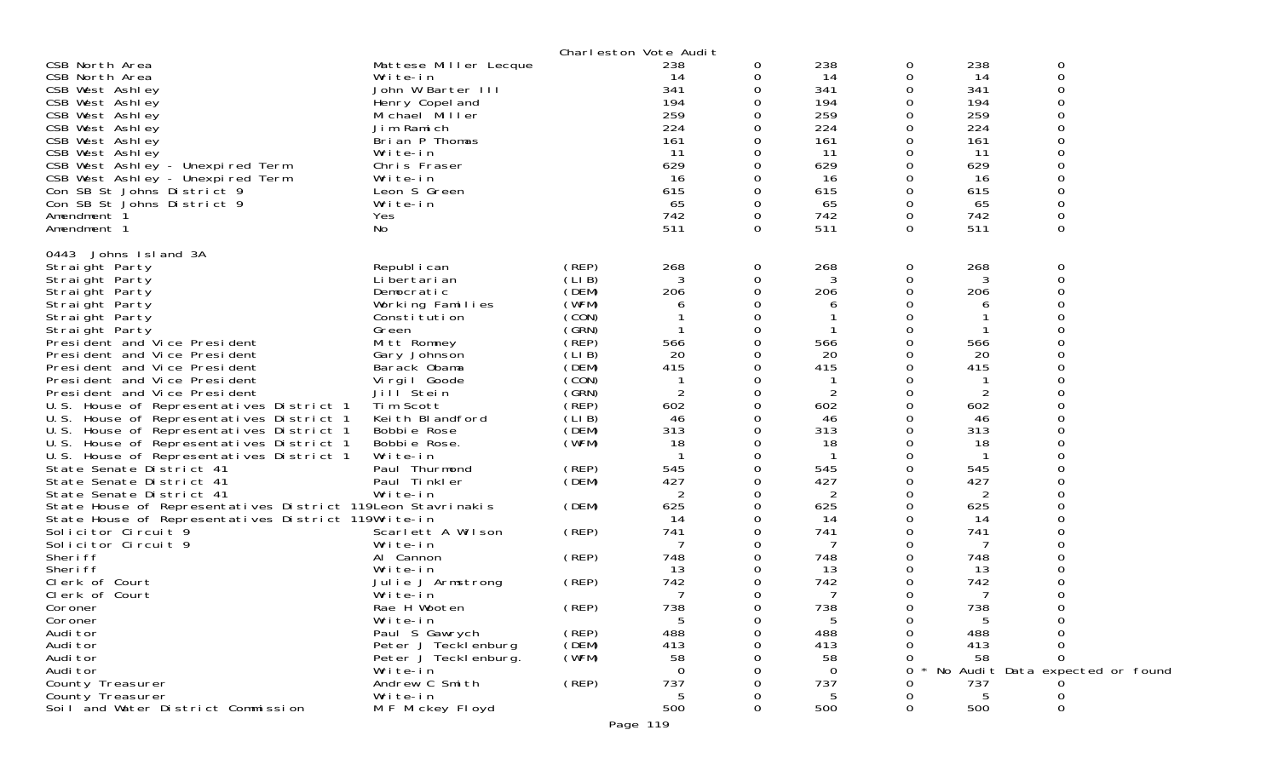|                                                              |                            |                | Charleston Vote Audit |   |           |               |           |                                 |  |
|--------------------------------------------------------------|----------------------------|----------------|-----------------------|---|-----------|---------------|-----------|---------------------------------|--|
| CSB North Area                                               | Mattese Miller Lecque      |                | 238                   | 0 | 238       | 0             | 238       | 0                               |  |
| CSB North Area                                               | Write-in                   |                | 14                    |   | 14        | 0             | 14        | 0                               |  |
| CSB West Ashley                                              | John W Barter III          |                | 341                   |   | 341       | 0             | 341       | 0                               |  |
| CSB West Ashley                                              | Henry Copel and            |                | 194                   |   | 194       | 0             | 194       | 0                               |  |
| CSB West Ashley                                              | Michael Miller             |                | 259                   |   | 259       | 0             | 259       | 0                               |  |
| CSB West Ashley                                              | Jim Ramich                 |                | 224                   |   | 224       | 0             | 224       | 0                               |  |
| CSB West Ashley                                              | Brian P Thomas             |                | 161                   |   | 161       | 0             | 161       | 0                               |  |
| CSB West Ashley                                              | Write-in                   |                | 11                    |   | 11        | 0             | 11        | O                               |  |
| CSB West Ashley - Unexpired Term                             | Chris Fraser               |                | 629                   |   | 629       | Ω             | 629       | ი                               |  |
| CSB West Ashley - Unexpired Term                             | Write-in                   |                | 16                    |   | 16        | 0             | 16        | O                               |  |
| Con SB St Johns District 9                                   | Leon S Green               |                | 615                   |   | 615       | 0             | 615       | 0                               |  |
| Con SB St Johns District 9<br>Amendment 1                    | Write-in<br>Yes            |                | 65<br>742             | 0 | 65<br>742 | 0<br>0        | 65<br>742 | 0<br>0                          |  |
| Amendment 1                                                  | No                         |                | 511                   | 0 | 511       | 0             | 511       | 0                               |  |
|                                                              |                            |                |                       |   |           |               |           |                                 |  |
| 0443 Johns Island 3A                                         |                            |                |                       |   |           |               |           |                                 |  |
| Straight Party                                               | Republ i can               | (REP)          | 268                   | 0 | 268       | 0             | 268       | 0                               |  |
| Straight Party                                               | Li bertari an              | (LIB)          | 3                     | 0 | 3         | 0             | 3         | 0                               |  |
| Straight Party                                               | Democratic                 | (DEM)          | 206                   |   | 206       | 0             | 206       | O                               |  |
| Straight Party                                               | Working Families           | (WFM)          | 6                     |   | 6         |               | 6         |                                 |  |
| Straight Party                                               | Constitution               | (CON)          |                       |   |           |               |           | ი                               |  |
| Straight Party                                               | Green                      | (GRN)          |                       |   |           | 0             |           | 0                               |  |
| President and Vice President                                 | Mitt Romney                | (REP)          | 566                   |   | 566       |               | 566       | ∩                               |  |
| President and Vice President                                 | Gary Johnson               | (LI B)         | 20                    |   | 20        | 0             | 20        |                                 |  |
| President and Vice President                                 | Barack Obama               | (DEM)<br>(CON) | 415                   |   | 415       | 0<br>0        | 415       |                                 |  |
| President and Vice President<br>President and Vice President | Virgil Goode<br>Jill Stein | (GRN)          | $\overline{2}$        | 0 | 2         | 0             | 2         | ∩                               |  |
| U.S. House of Representatives District 1                     | Tim Scott                  | (REP)          | 602                   | 0 | 602       | 0             | 602       | 0                               |  |
| U.S. House of Representatives District 1                     | Keith Blandford            | (LI B)         | 46                    |   | 46        | 0             | 46        | 0                               |  |
| U.S. House of Representatives District 1                     | Bobbie Rose                | (DEM)          | 313                   |   | 313       | O             | 313       | ი                               |  |
| U.S. House of Representatives District 1                     | Bobbie Rose.               | (WFM)          | 18                    |   | 18        | 0             | 18        | 0                               |  |
| U.S. House of Representatives District 1                     | Write-in                   |                |                       |   |           |               |           |                                 |  |
| State Senate District 41                                     | Paul Thurmond              | (REP)          | 545                   |   | 545       | $\Omega$      | 545       | ∩                               |  |
| State Senate District 41                                     | Paul Tinkler               | (DEM)          | 427                   |   | 427       | 0             | 427       | 0                               |  |
| State Senate District 41                                     | Write-in                   |                | 2                     |   | 2         | 0             | 2         |                                 |  |
| State House of Representatives District 119Leon Stavrinakis  |                            | (DEM)          | 625                   | 0 | 625       | 0             | 625       | ∩                               |  |
| State House of Representatives District 119Write-in          |                            |                | 14                    |   | 14        | 0             | 14        | 0                               |  |
| Solicitor Circuit 9                                          | Scarlett A Wilson          | (REP)          | 741                   |   | 741       | 0             | 741       |                                 |  |
| Solicitor Circuit 9                                          | Write-in                   |                |                       |   |           | Ω             |           | O                               |  |
| Sheri ff                                                     | Al Cannon                  | (REP)          | 748                   |   | 748       | 0             | 748       | 0                               |  |
| Sheri ff                                                     | Write-in                   |                | -13                   |   | 13        | 0             | 13        | 0                               |  |
| Clerk of Court                                               | Julie J Armstrong          | (REP)          | 742                   |   | 742       | 0             | 742       | 0                               |  |
| Clerk of Court                                               | Write-in                   |                | 7<br>738              | 0 | 7<br>738  | 0<br>$\Omega$ | 7<br>738  | 0                               |  |
| Coroner                                                      | Rae H Wooten<br>Write-in   | (REP)          | 5                     |   |           | 0             |           | 0<br>O                          |  |
| Coroner<br>Audi tor                                          | Paul S Gawrych             | (REP)          | 488                   |   | b.<br>488 | 0             | b<br>488  |                                 |  |
| Audi tor                                                     | Peter J Tecklenburg        | (DEM)          | 413                   |   | 413       |               | 413       |                                 |  |
| Audi tor                                                     | Peter J Teckl enburg.      | (WFM)          | 58                    |   | 58        | O             | 58        | O                               |  |
| Audi tor                                                     | Write-in                   |                | $\Omega$              |   | $\Omega$  | 0             |           | No Audit Data expected or found |  |
| County Treasurer                                             | Andrew C Smith             | (REP)          | 737                   |   | 737       |               | 737       |                                 |  |
| County Treasurer                                             | Write-in                   |                | 5                     |   | 5         |               | 5         |                                 |  |
| Soil and Water District Commission                           | M F Mickey Floyd           |                | 500                   | 0 | 500       | 0             | 500       | $\Omega$                        |  |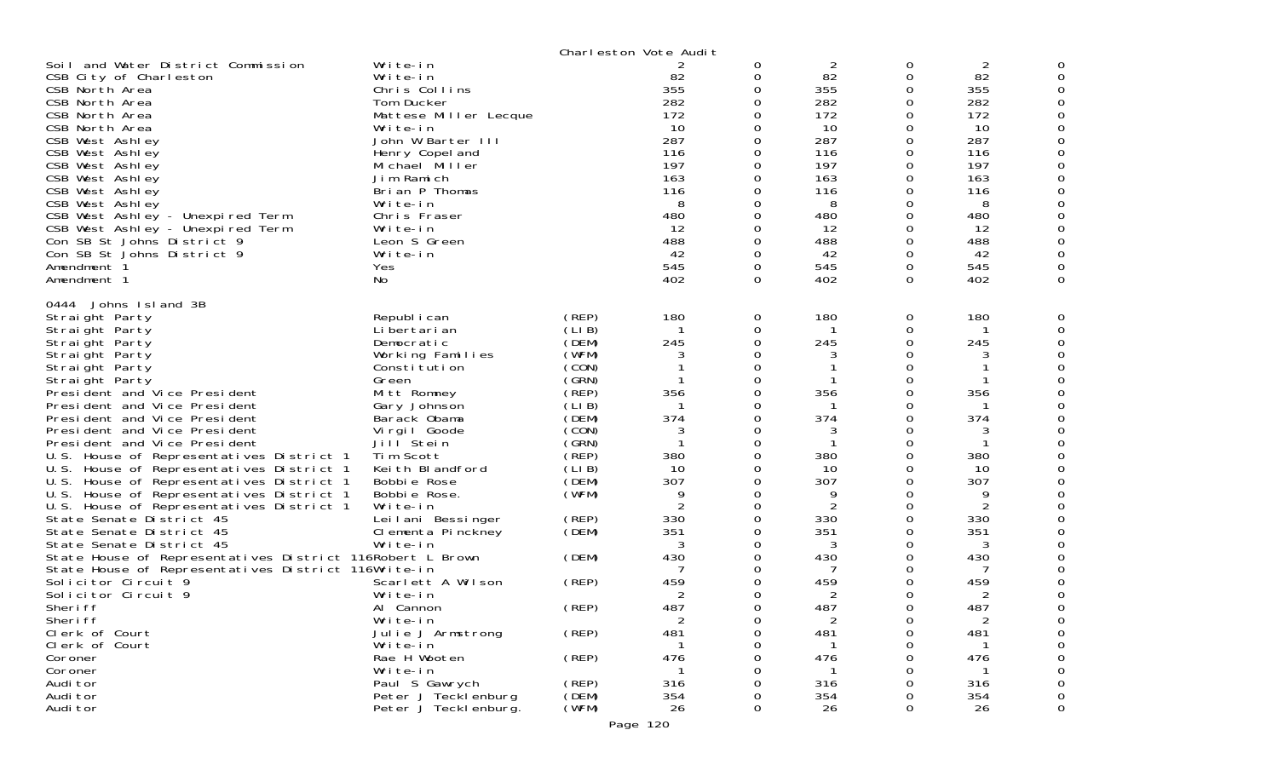|                                                                                                                                                                                                                                                                                                                                                                                                                          |                                                                                                                                                                                                                                                                     |                 | Charleston Vote Audit                                                                                              |                                                                                                                                         |                                                                                                                    |                                                                                               |                                                                                                                    |   |
|--------------------------------------------------------------------------------------------------------------------------------------------------------------------------------------------------------------------------------------------------------------------------------------------------------------------------------------------------------------------------------------------------------------------------|---------------------------------------------------------------------------------------------------------------------------------------------------------------------------------------------------------------------------------------------------------------------|-----------------|--------------------------------------------------------------------------------------------------------------------|-----------------------------------------------------------------------------------------------------------------------------------------|--------------------------------------------------------------------------------------------------------------------|-----------------------------------------------------------------------------------------------|--------------------------------------------------------------------------------------------------------------------|---|
| Soil and Water District Commission<br>CSB City of Charleston<br>CSB North Area<br>CSB North Area<br>CSB North Area<br>CSB North Area<br>CSB West Ashley<br>CSB West Ashley<br>CSB West Ashley<br>CSB West Ashley<br>CSB West Ashley<br>CSB West Ashley<br>CSB West Ashley - Unexpired Term<br>CSB West Ashley - Unexpired Term<br>Con SB St Johns District 9<br>Con SB St Johns District 9<br>Amendment 1<br>Amendment 1 | Write-in<br>Write-in<br>Chris Collins<br>Tom Ducker<br>Mattese Miller Lecque<br>Write-in<br>John W Barter III<br>Henry Copel and<br>Michael Miller<br>Jim Ramich<br>Brian P Thomas<br>Write-in<br>Chris Fraser<br>Write-in<br>Leon S Green<br>Write-in<br>Yes<br>No |                 | 2<br>82<br>355<br>282<br>172<br>10<br>287<br>116<br>197<br>163<br>116<br>8<br>480<br>12<br>488<br>42<br>545<br>402 | 0<br>0<br>$\Omega$<br>0<br>0<br>$\Omega$<br>$\Omega$<br>0<br>$\Omega$<br>0<br>0<br>0<br>0<br>$\Omega$<br>$\Omega$<br>0<br>0<br>$\Omega$ | 2<br>82<br>355<br>282<br>172<br>10<br>287<br>116<br>197<br>163<br>116<br>8<br>480<br>12<br>488<br>42<br>545<br>402 | 0<br>0<br>0<br>0<br>0<br>0<br>0<br>0<br>0<br>0<br>0<br>0<br>0<br>0<br>0<br>0<br>0<br>$\Omega$ | 2<br>82<br>355<br>282<br>172<br>10<br>287<br>116<br>197<br>163<br>116<br>8<br>480<br>12<br>488<br>42<br>545<br>402 |   |
| 0444 Johns Island 3B<br>Straight Party<br>Straight Party                                                                                                                                                                                                                                                                                                                                                                 | Republ i can<br>Li bertari an                                                                                                                                                                                                                                       | (REP)<br>(LI B) | 180<br>-1                                                                                                          | 0<br>0                                                                                                                                  | 180                                                                                                                | 0<br>0                                                                                        | 180                                                                                                                |   |
| Straight Party                                                                                                                                                                                                                                                                                                                                                                                                           | Democratic                                                                                                                                                                                                                                                          | (DEM)           | 245                                                                                                                | 0                                                                                                                                       | 245                                                                                                                | 0                                                                                             | 245                                                                                                                |   |
| Straight Party                                                                                                                                                                                                                                                                                                                                                                                                           | Working Families                                                                                                                                                                                                                                                    | (WFM)           | 3                                                                                                                  | 0                                                                                                                                       |                                                                                                                    | 0                                                                                             | 3                                                                                                                  |   |
| Straight Party                                                                                                                                                                                                                                                                                                                                                                                                           | Constitution                                                                                                                                                                                                                                                        | (CON)           |                                                                                                                    | 0                                                                                                                                       |                                                                                                                    | 0                                                                                             |                                                                                                                    |   |
| Straight Party                                                                                                                                                                                                                                                                                                                                                                                                           | Green                                                                                                                                                                                                                                                               | (GRN)           |                                                                                                                    |                                                                                                                                         |                                                                                                                    | 0                                                                                             |                                                                                                                    |   |
| President and Vice President                                                                                                                                                                                                                                                                                                                                                                                             | Mitt Romney                                                                                                                                                                                                                                                         | (REP)           | 356                                                                                                                | $\Omega$                                                                                                                                | 356                                                                                                                | 0                                                                                             | 356                                                                                                                |   |
| President and Vice President                                                                                                                                                                                                                                                                                                                                                                                             | Gary Johnson                                                                                                                                                                                                                                                        | (LIB)           | -1                                                                                                                 | 0                                                                                                                                       |                                                                                                                    | 0                                                                                             |                                                                                                                    |   |
| President and Vice President                                                                                                                                                                                                                                                                                                                                                                                             | Barack Obama                                                                                                                                                                                                                                                        | (DEM)           | 374                                                                                                                | 0                                                                                                                                       | 374                                                                                                                | 0                                                                                             | 374                                                                                                                |   |
| President and Vice President                                                                                                                                                                                                                                                                                                                                                                                             | Virgil Goode                                                                                                                                                                                                                                                        | (CON)           | 3                                                                                                                  | $\Omega$                                                                                                                                |                                                                                                                    | 0                                                                                             | 3                                                                                                                  |   |
| President and Vice President                                                                                                                                                                                                                                                                                                                                                                                             | Jill Stein                                                                                                                                                                                                                                                          | (GRN)           | -1                                                                                                                 | 0                                                                                                                                       |                                                                                                                    | 0                                                                                             |                                                                                                                    |   |
| U.S. House of Representatives District 1                                                                                                                                                                                                                                                                                                                                                                                 | Tim Scott                                                                                                                                                                                                                                                           | (REP)           | 380                                                                                                                | 0                                                                                                                                       | 380                                                                                                                | 0                                                                                             | 380                                                                                                                |   |
| U.S. House of Representatives District 1                                                                                                                                                                                                                                                                                                                                                                                 | Keith Blandford<br>Bobbie Rose                                                                                                                                                                                                                                      | (LI B)<br>(DEM) | 10<br>307                                                                                                          | 0<br>0                                                                                                                                  | 10<br>307                                                                                                          | 0                                                                                             | 10<br>307                                                                                                          |   |
| U.S. House of Representatives District 1<br>U.S. House of Representatives District 1                                                                                                                                                                                                                                                                                                                                     | Bobbie Rose.                                                                                                                                                                                                                                                        | (WFM)           | 9                                                                                                                  | 0                                                                                                                                       | -9                                                                                                                 | 0<br>0                                                                                        | 9                                                                                                                  |   |
| U.S. House of Representatives District 1                                                                                                                                                                                                                                                                                                                                                                                 | Write-in                                                                                                                                                                                                                                                            |                 | $\overline{2}$                                                                                                     | $\Omega$                                                                                                                                | $\overline{2}$                                                                                                     | 0                                                                                             | 2                                                                                                                  |   |
| State Senate District 45                                                                                                                                                                                                                                                                                                                                                                                                 | Leilani Bessinger                                                                                                                                                                                                                                                   | (REP)           | 330                                                                                                                | 0                                                                                                                                       | 330                                                                                                                | 0                                                                                             | 330                                                                                                                |   |
| State Senate District 45                                                                                                                                                                                                                                                                                                                                                                                                 | Clementa Pinckney                                                                                                                                                                                                                                                   | (DEM)           | 351                                                                                                                | $\Omega$                                                                                                                                | 351                                                                                                                | 0                                                                                             | 351                                                                                                                |   |
| State Senate District 45                                                                                                                                                                                                                                                                                                                                                                                                 | Write-in                                                                                                                                                                                                                                                            |                 | 3                                                                                                                  | 0                                                                                                                                       | 3                                                                                                                  | 0                                                                                             | 3                                                                                                                  |   |
| State House of Representatives District 116Robert L Brown                                                                                                                                                                                                                                                                                                                                                                |                                                                                                                                                                                                                                                                     | (DEM)           | 430                                                                                                                | 0                                                                                                                                       | 430                                                                                                                | 0                                                                                             | 430                                                                                                                |   |
| State House of Representatives District 116Write-in                                                                                                                                                                                                                                                                                                                                                                      |                                                                                                                                                                                                                                                                     |                 |                                                                                                                    | 0                                                                                                                                       |                                                                                                                    | 0                                                                                             |                                                                                                                    |   |
| Solicitor Circuit 9                                                                                                                                                                                                                                                                                                                                                                                                      | Scarlett A Wilson                                                                                                                                                                                                                                                   | (REP)           | 459                                                                                                                | 0                                                                                                                                       | 459                                                                                                                | 0                                                                                             | 459                                                                                                                |   |
| Solicitor Circuit 9                                                                                                                                                                                                                                                                                                                                                                                                      | Write-in                                                                                                                                                                                                                                                            |                 | 2                                                                                                                  |                                                                                                                                         |                                                                                                                    |                                                                                               | 2                                                                                                                  |   |
| Sheri ff                                                                                                                                                                                                                                                                                                                                                                                                                 | Al Cannon                                                                                                                                                                                                                                                           | (REP)           | 487                                                                                                                | 0                                                                                                                                       | 487                                                                                                                | 0                                                                                             | 487                                                                                                                | 0 |
| Sheri ff                                                                                                                                                                                                                                                                                                                                                                                                                 | Write-in                                                                                                                                                                                                                                                            |                 | ∠                                                                                                                  | O                                                                                                                                       |                                                                                                                    | O                                                                                             | $\angle$                                                                                                           |   |
| Clerk of Court<br>Clerk of Court                                                                                                                                                                                                                                                                                                                                                                                         | Julie J Armstrong<br>Write-in                                                                                                                                                                                                                                       | (REP)           | 481                                                                                                                | 0                                                                                                                                       | 481                                                                                                                | 0                                                                                             | 481                                                                                                                |   |
| Coroner                                                                                                                                                                                                                                                                                                                                                                                                                  | Rae H Wooten                                                                                                                                                                                                                                                        | (REP)           | 476                                                                                                                | 0<br>0                                                                                                                                  | 476                                                                                                                | 0<br>0                                                                                        | 476                                                                                                                |   |
| Coroner                                                                                                                                                                                                                                                                                                                                                                                                                  | Write-in                                                                                                                                                                                                                                                            |                 |                                                                                                                    | 0                                                                                                                                       |                                                                                                                    | 0                                                                                             |                                                                                                                    |   |
| Audi tor                                                                                                                                                                                                                                                                                                                                                                                                                 | Paul S Gawrych                                                                                                                                                                                                                                                      | (REP)           | 316                                                                                                                | 0                                                                                                                                       | 316                                                                                                                | 0                                                                                             | 316                                                                                                                |   |
| Audi tor                                                                                                                                                                                                                                                                                                                                                                                                                 | Peter J Tecklenburg                                                                                                                                                                                                                                                 | (DEM)           | 354                                                                                                                | 0                                                                                                                                       | 354                                                                                                                | 0                                                                                             | 354                                                                                                                |   |
| Audi tor                                                                                                                                                                                                                                                                                                                                                                                                                 | Peter J Teckl enburg.                                                                                                                                                                                                                                               | (WFM)           | 26                                                                                                                 | $\mathbf 0$                                                                                                                             | 26                                                                                                                 | 0                                                                                             | 26                                                                                                                 | 0 |
|                                                                                                                                                                                                                                                                                                                                                                                                                          |                                                                                                                                                                                                                                                                     |                 |                                                                                                                    |                                                                                                                                         |                                                                                                                    |                                                                                               |                                                                                                                    |   |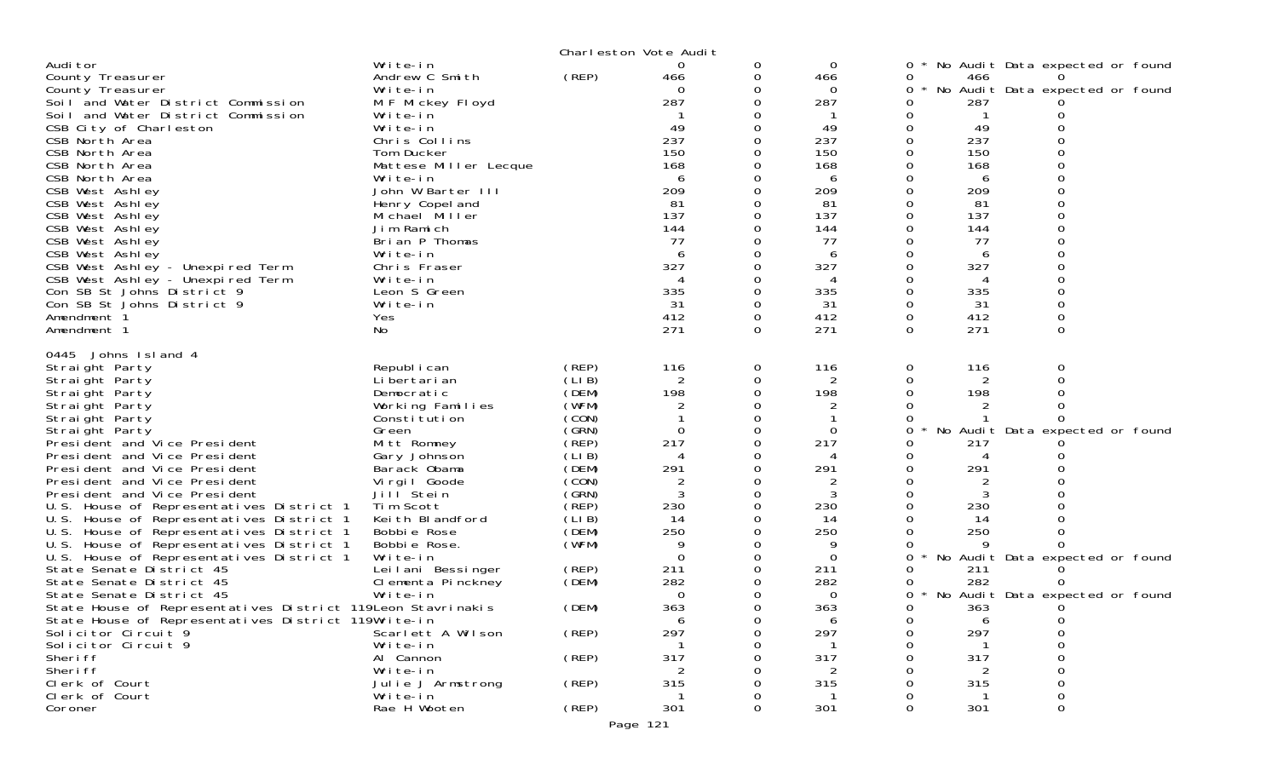|                                                                                                                                                                                                                                                                                                                                                                                                                                                                                                                                                                                                                                                                                                                                                                                                                                                             |                                                                                                                                                                                                                                                                                                                                                                                                                   | Charleston Vote Audit                                                                                                                                                                                          |                                                                                                                                              |                             |                                                                                                                                                                 |                                                                                                                               |                                                                                                                                  |                                                                                                                 |
|-------------------------------------------------------------------------------------------------------------------------------------------------------------------------------------------------------------------------------------------------------------------------------------------------------------------------------------------------------------------------------------------------------------------------------------------------------------------------------------------------------------------------------------------------------------------------------------------------------------------------------------------------------------------------------------------------------------------------------------------------------------------------------------------------------------------------------------------------------------|-------------------------------------------------------------------------------------------------------------------------------------------------------------------------------------------------------------------------------------------------------------------------------------------------------------------------------------------------------------------------------------------------------------------|----------------------------------------------------------------------------------------------------------------------------------------------------------------------------------------------------------------|----------------------------------------------------------------------------------------------------------------------------------------------|-----------------------------|-----------------------------------------------------------------------------------------------------------------------------------------------------------------|-------------------------------------------------------------------------------------------------------------------------------|----------------------------------------------------------------------------------------------------------------------------------|-----------------------------------------------------------------------------------------------------------------|
| Audi tor<br>County Treasurer<br>County Treasurer<br>Soil and Water District Commission<br>Soil and Water District Commission<br>CSB City of Charleston<br>CSB North Area<br>CSB North Area<br>CSB North Area<br>CSB North Area<br>CSB West Ashley<br>CSB West Ashley<br>CSB West Ashley<br>CSB West Ashley<br>CSB West Ashley<br>CSB West Ashley<br>CSB West Ashley - Unexpired Term<br>CSB West Ashley - Unexpired Term<br>Con SB St Johns District 9<br>Con SB St Johns District 9<br>Amendment 1<br>Amendment 1                                                                                                                                                                                                                                                                                                                                          | Write-in<br>Andrew C Smith<br>Write-in<br>M F Mickey Floyd<br>Write-in<br>Write-in<br>Chris Collins<br>Tom Ducker<br>Mattese Miller Lecque<br>Write-in<br>John W Barter III<br>Henry Copel and<br>Michael Miller<br>Jim Ramich<br>Brian P Thomas<br>Write-in<br>Chris Fraser<br>Write-in<br>Leon S Green<br>Write-in<br>Yes<br>No                                                                                 | (REP)                                                                                                                                                                                                          | 0<br>466<br>$\Omega$<br>287<br>49<br>237<br>150<br>168<br>6<br>209<br>81<br>137<br>144<br>77<br>6<br>327<br>4<br>335<br>31<br>412<br>271     | 0<br>0<br>0<br>0<br>0<br>0  | 0<br>466<br>$\Omega$<br>287<br>49<br>237<br>150<br>168<br>6<br>209<br>81<br>137<br>144<br>77<br>6<br>327<br>4<br>335<br>31<br>412<br>271                        | 0<br>0<br>0<br>0<br>0<br>0<br>0<br>0<br>0<br>0<br>0<br>$\mathbf 0$<br>0<br>$\Omega$<br>0<br>$\mathbf 0$<br>0<br>0<br>$\Omega$ | 466<br>287<br>49<br>237<br>150<br>168<br>6<br>209<br>81<br>137<br>144<br>77<br>6<br>327<br>4<br>335<br>31<br>412<br>271          | No Audit Data expected or found<br>No Audit Data expected or found<br>0<br>0                                    |
| 0445 Johns Island 4<br>Straight Party<br>Straight Party<br>Straight Party<br>Straight Party<br>Straight Party<br>Straight Party<br>President and Vice President<br>President and Vice President<br>President and Vice President<br>President and Vice President<br>President and Vice President<br>U.S. House of Representatives District 1<br>U.S. House of Representatives District 1<br>U.S. House of Representatives District 1<br>U.S. House of Representatives District 1<br>U.S. House of Representatives District 1<br>State Senate District 45<br>State Senate District 45<br>State Senate District 45<br>State House of Representatives District 119 Leon Stavrinakis<br>State House of Representatives District 119Write-in<br>Solicitor Circuit 9<br>Solicitor Circuit 9<br>Sheri ff<br>Sheri ff<br>Clerk of Court<br>Clerk of Court<br>Coroner | Republ i can<br>Li bertari an<br>Democratic<br>Working Families<br>Constitution<br>Green<br>Mitt Romney<br>Gary Johnson<br>Barack Obama<br>Virgil Goode<br>Jill Stein<br>Tim Scott<br>Keith Blandford<br>Bobbie Rose<br>Bobbie Rose.<br>Write-in<br>Leilani Bessinger<br>Clementa Pinckney<br>Write-in<br>Scarlett A Wilson<br>Write-in<br>Al Cannon<br>Write-in<br>Julie J Armstrong<br>Write-in<br>Rae H Wooten | (REP)<br>(LIB)<br>(DEM)<br>(WFM)<br>(CON)<br>(GRN)<br>(REP)<br>(LIB)<br>(DEM)<br>(CON)<br>(SRN)<br>(REP)<br>(LIB)<br>(DEM)<br>(WFM)<br>(REP)<br>(DEM)<br>(DEM)<br>(REP)<br>(REP)<br>(REP)<br>(REP)<br>Page 121 | 116<br>2<br>198<br>2<br>$\Omega$<br>217<br>291<br>2<br>230<br>14<br>250<br>9<br>0<br>211<br>282<br>0<br>363<br>6<br>297<br>317<br>315<br>301 | 0<br>0<br>0<br><sup>0</sup> | 116<br>2<br>198<br>2<br>$\Omega$<br>217<br>291<br>2<br>230<br>14<br>250<br>9<br>$\Omega$<br>211<br>282<br>$\Omega$<br>363<br>6<br>297<br>317<br>2<br>315<br>301 | 0<br>0<br>0<br>0<br>0<br>0<br>0<br>$\star$<br>0<br>0<br>0<br>0<br>0                                                           | 116<br>2<br>198<br>2<br>217<br>4<br>291<br>2<br>230<br>14<br>250<br>9<br>211<br>282<br>363<br>6<br>297<br>317<br>2<br>315<br>301 | 0<br>No Audit Data expected or found<br>No Audit Data expected or found<br>No Audit Data expected or found<br>0 |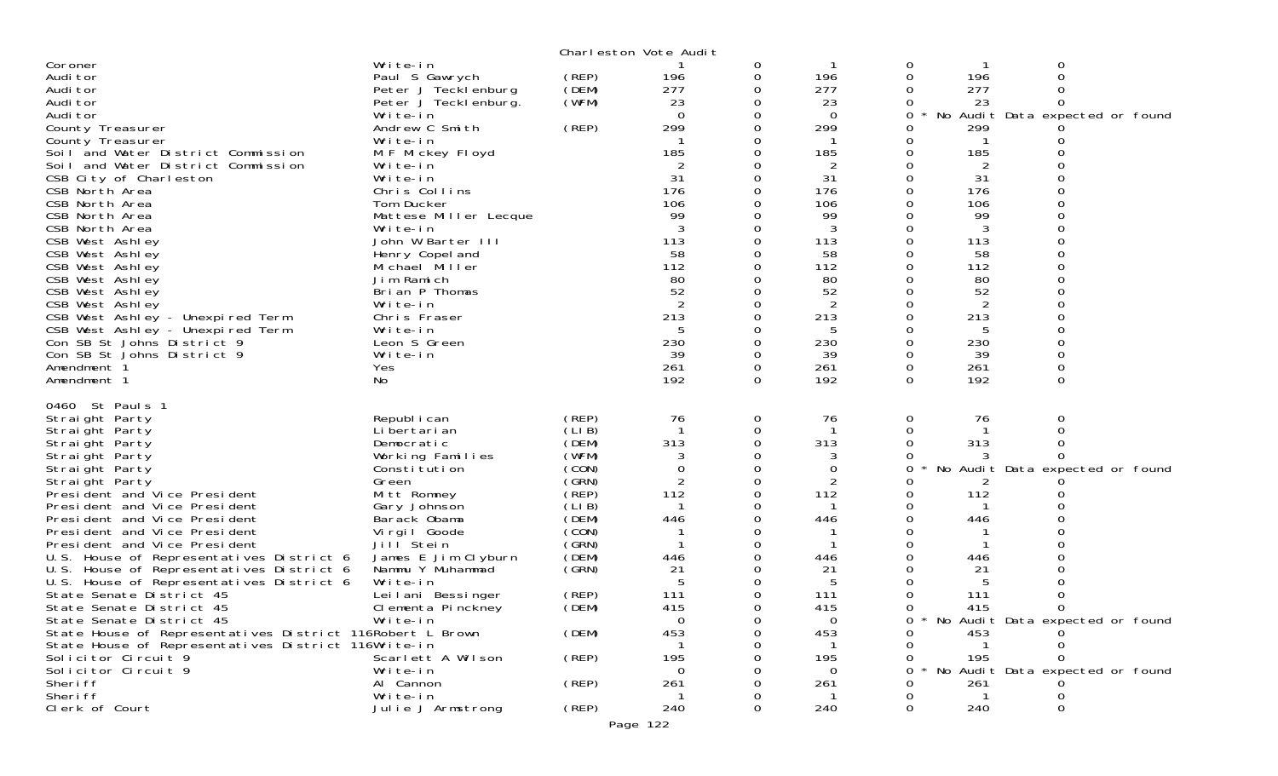|                                                           |                       |        | Charleston Vote Audit |   |          |   |                                 |  |
|-----------------------------------------------------------|-----------------------|--------|-----------------------|---|----------|---|---------------------------------|--|
| Coroner                                                   | Write-in              |        |                       | 0 |          | 0 | 0                               |  |
| Audi tor                                                  | Paul S Gawrych        | (REP)  | 196                   | 0 | 196      | 0 | $\Omega$<br>196                 |  |
| Audi tor                                                  | Peter J Tecklenburg   | (DEM)  | 277                   | 0 | 277      |   | 277                             |  |
| Audi tor                                                  | Peter J Teckl enburg. | (WFM)  | 23                    | 0 | 23       |   | 23<br>0                         |  |
| Audi tor                                                  | Write-in              |        | $\Omega$              | 0 | -0       | 0 | No Audit Data expected or found |  |
| County Treasurer                                          | Andrew C Smith        | (REP)  | 299                   | 0 | 299      |   | 299                             |  |
| County Treasurer                                          | Write-in              |        | -1                    | 0 | -1       |   |                                 |  |
| Soil and Water District Commission                        | M F Mickey Floyd      |        | 185                   |   | 185      |   | 185                             |  |
| Soil and Water District Commission                        | Write-in              |        |                       |   | 2        |   | 2                               |  |
| CSB City of Charleston                                    | Write-in              |        | 31                    | 0 | 31       | 0 | 31                              |  |
| CSB North Area                                            | Chris Collins         |        | 176                   |   | 176      |   | 176                             |  |
| CSB North Area                                            |                       |        | 106                   |   | 106      |   | 106                             |  |
|                                                           | Tom Ducker            |        | 99                    |   | 99       |   | 99                              |  |
| CSB North Area                                            | Mattese Miller Lecque |        |                       |   |          |   |                                 |  |
| CSB North Area                                            | Write-in              |        |                       |   | 3        |   |                                 |  |
| CSB West Ashley                                           | John W Barter III     |        | 113                   | 0 | 113      | 0 | 113                             |  |
| CSB West Ashley                                           | Henry Copel and       |        | 58                    | 0 | 58       |   | 58                              |  |
| CSB West Ashley                                           | Michael Miller        |        | 112                   |   | 112      |   | 112                             |  |
| CSB West Ashley                                           | Jim Ramich            |        | 80                    |   | 80       |   | 80                              |  |
| CSB West Ashley                                           | Brian P Thomas        |        | 52                    | 0 | 52       |   | 52                              |  |
| CSB West Ashley                                           | Write-in              |        | 2                     |   | 2        |   | 2                               |  |
| CSB West Ashley - Unexpired Term                          | Chris Fraser          |        | 213                   | 0 | 213      |   | 213                             |  |
| CSB West Ashley - Unexpired Term                          | Write-in              |        | 5                     | 0 | 5        |   | 5                               |  |
| Con SB St Johns District 9                                | Leon S Green          |        | 230                   |   | 230      |   | 230                             |  |
| Con SB St Johns District 9                                | Write-in              |        | 39                    | 0 | 39       |   | 39                              |  |
| Amendment 1                                               | Yes                   |        | 261                   | 0 | 261      | 0 | 261                             |  |
| Amendment 1                                               | No                    |        | 192                   | 0 | 192      | 0 | 192<br>0                        |  |
|                                                           |                       |        |                       |   |          |   |                                 |  |
| 0460 St Pauls 1                                           |                       |        |                       |   |          |   |                                 |  |
| Straight Party                                            | Republ i can          | (REP)  | 76                    | 0 | 76       | 0 | 76<br>0                         |  |
| Straight Party                                            | Li bertari an         | (LIB)  |                       | 0 |          | 0 |                                 |  |
| Straight Party                                            | Democratic            | (DEM)  | 313                   | 0 | 313      | 0 | 313                             |  |
| Straight Party                                            | Working Families      | (WFM)  |                       |   |          |   |                                 |  |
| Straight Party                                            | Constitution          | (CON)  | $\Omega$              | 0 | 0        | 0 | No Audit Data expected or found |  |
| Straight Party                                            | Green                 | (GRN)  | 2                     | 0 | 2        |   |                                 |  |
| President and Vice President                              | Mitt Romney           | (REP)  | 112                   | 0 | 112      |   | 112                             |  |
| President and Vice President                              | Gary Johnson          | (LI B) |                       | 0 |          |   |                                 |  |
| President and Vice President                              | Barack Obama          | (DEM)  | 446                   | 0 | 446      |   | 446                             |  |
| President and Vice President                              | Virgil Goode          | (CON)  |                       |   |          |   |                                 |  |
| President and Vice President                              | Jill Stein            | (GRN)  |                       | O |          |   |                                 |  |
| U.S. House of Representatives District 6                  | James E Jim Clyburn   | (DEM)  | 446                   | 0 | 446      |   | 446                             |  |
| U.S. House of Representatives District 6                  | Nammu Y Muhammad      | (GRN)  | 21                    |   | 21       |   | 21                              |  |
| U.S. House of Representatives District 6                  | Write-in              |        | -5                    | 0 | 5        |   |                                 |  |
|                                                           |                       |        | 111                   | 0 | 111      |   | 111                             |  |
| State Senate District 45                                  | Leilani Bessinger     | (REP)  |                       |   |          |   |                                 |  |
| State Senate District 45                                  | Clementa Pinckney     | (DEM)  | 415                   | 0 | 415      | 0 | 415<br>0                        |  |
| State Senate District 45                                  | Write-in              |        | 0                     |   | 0        |   | No Audit Data expected or found |  |
| State House of Representatives District 116Robert L Brown |                       | (DEM)  | 453                   |   | 453      |   | 453                             |  |
| State House of Representatives District 116Write-in       |                       |        |                       |   |          |   |                                 |  |
| Solicitor Circuit 9                                       | Scarlett A Wilson     | (REP)  | 195                   |   | 195      |   | 195                             |  |
| Solicitor Circuit 9                                       | Write-in              |        | 0                     |   | $\Omega$ |   | No Audit Data expected or found |  |
|                                                           |                       |        |                       |   |          |   |                                 |  |
| Sheri ff                                                  | Al Cannon             | (REP)  | 261                   |   | 261      |   | 261                             |  |
| Sheri ff                                                  | Write-in              |        | -1                    |   |          |   |                                 |  |
| Clerk of Court                                            | Julie J Armstrong     | (REP)  | 240                   | 0 | 240      |   | 240                             |  |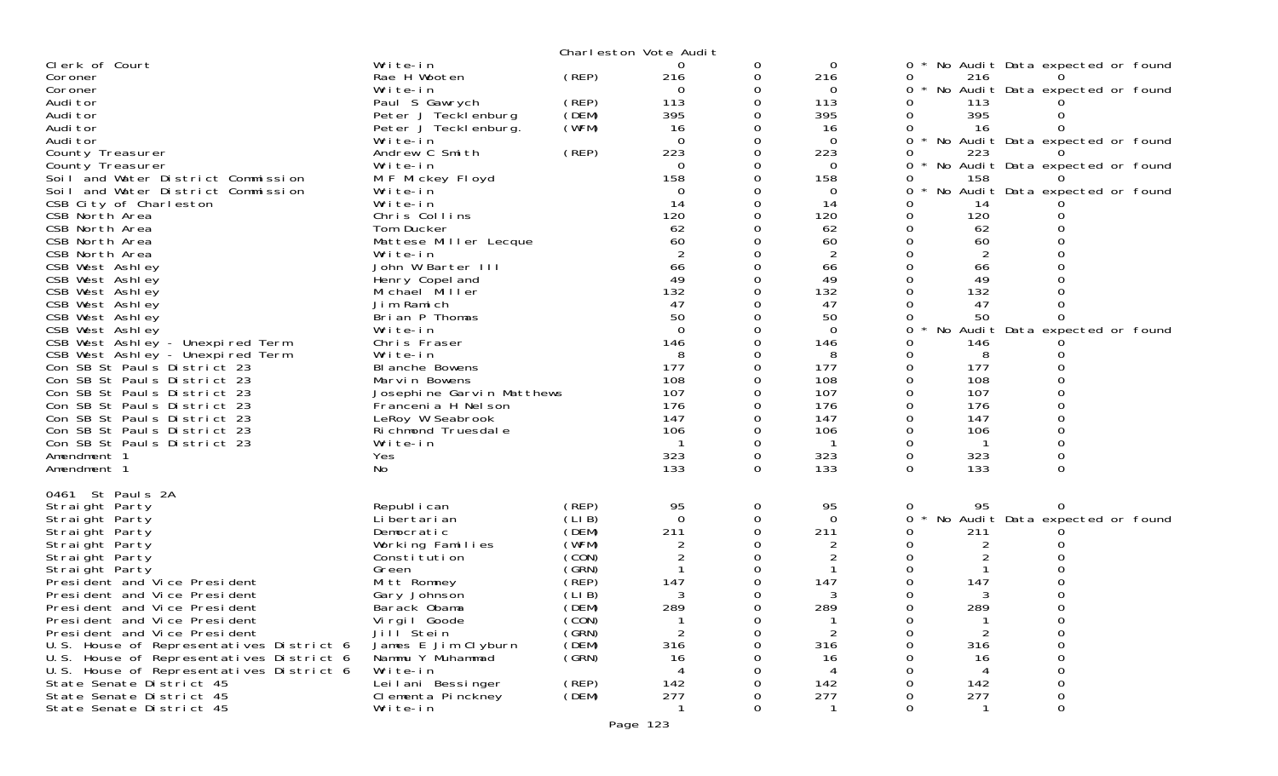|                                                            |                                        |                | Charleston Vote Audit |          |                 |                                             |
|------------------------------------------------------------|----------------------------------------|----------------|-----------------------|----------|-----------------|---------------------------------------------|
| Clerk of Court                                             | Write-in                               |                | 0                     | 0        | 0               | No Audit Data expected or found             |
| Coroner                                                    | Rae H Wooten                           | (REP)          | 216                   | 0        | 216             | 0<br>216                                    |
| Coroner                                                    | Write-in                               |                | $\Omega$              | 0        | $\Omega$        | No Audit Data expected or found<br>0        |
| Audi tor                                                   | Paul S Gawrych                         | (REP)          | 113                   |          | 113             | 113                                         |
| Audi tor                                                   | Peter J Tecklenburg                    | (DEM)          | 395                   |          | 395             | 395<br>0                                    |
| Audi tor                                                   | Peter J Teckl enburg.                  | (WFM)          | 16                    |          | 16              | 16                                          |
| Audi tor                                                   | Write-in                               |                | $\Omega$              |          | $\overline{0}$  | 0<br>No Audit Data expected or found        |
| County Treasurer                                           | Andrew C Smith<br>Write-in             | (REP)          | 223<br>$\Omega$       | 0        | 223             | 223<br>0                                    |
| County Treasurer<br>Soil and Water District Commission     |                                        |                | 158                   |          | $\Omega$<br>158 | No Audit Data expected or found<br>0<br>158 |
| Soil and Water District Commission                         | M F Mickey Floyd<br>Write-in           |                | $\Omega$              |          | 0               | No Audit Data expected or found<br>0        |
| CSB City of Charleston                                     | Write-in                               |                | 14                    |          | 14              | 14                                          |
| CSB North Area                                             | Chris Collins                          |                | 120                   |          | 120             | 120<br>0                                    |
| CSB North Area                                             | Tom Ducker                             |                | 62                    |          | 62              | 62                                          |
| CSB North Area                                             | Mattese Miller Lecque                  |                | 60                    |          | 60              | 60                                          |
| CSB North Area                                             | Write-in                               |                |                       |          | $\overline{2}$  | $\overline{2}$                              |
| CSB West Ashley                                            | John W Barter III                      |                | 66                    |          | 66              | 66                                          |
| CSB West Ashley                                            | Henry Copel and                        |                | 49                    |          | 49              | 49                                          |
| CSB West Ashley                                            | Michael Miller                         |                | 132                   |          | 132             | 132                                         |
| CSB West Ashley                                            | Jim Ramich                             |                | 47                    |          | 47              | 47                                          |
| CSB West Ashley                                            | Brian P Thomas                         |                | 50                    |          | 50              | 50                                          |
| CSB West Ashley                                            | Write-in                               |                | $\Omega$              |          | $\Omega$        | No Audit Data expected or found<br>0        |
| CSB West Ashley - Unexpired Term                           | Chris Fraser                           |                | 146                   |          | 146             | 146                                         |
| CSB West Ashley - Unexpired Term                           | Write-in                               |                | 8                     |          | 8               | 8                                           |
| Con SB St Pauls District 23                                | BI anche Bowens                        |                | 177                   |          | 177             | 177                                         |
| Con SB St Pauls District 23                                | Marvin Bowens                          |                | 108                   |          | 108             | 108                                         |
| Con SB St Pauls District 23                                | Josephine Garvin Matthews              |                | 107                   |          | 107             | 107                                         |
| Con SB St Pauls District 23<br>Con SB St Pauls District 23 | Francenia H Nel son                    |                | 176<br>147            |          | 176<br>147      | 176<br>147<br>0                             |
| Con SB St Pauls District 23                                | LeRoy W Seabrook<br>Richmond Truesdale |                | 106                   |          | 106             | 106                                         |
| Con SB St Pauls District 23                                | Write-in                               |                |                       |          |                 |                                             |
| Amendment 1                                                | Yes                                    |                | 323                   | 0        | 323             | 0<br>323                                    |
| Amendment 1                                                | No                                     |                | 133                   | $\Omega$ | 133             | $\Omega$<br>133<br>$\Omega$                 |
|                                                            |                                        |                |                       |          |                 |                                             |
| 0461 St Pauls 2A                                           |                                        |                |                       |          |                 |                                             |
| Straight Party                                             | Republ i can<br>Li bertari an          | (REP)<br>(LIB) | 95<br>$\Omega$        | 0<br>0   | 95<br>$\Omega$  | 95<br>0<br>0                                |
| Straight Party<br>Straight Party                           | Democratic                             | (DEM)          | 211                   | $\Omega$ | 211             | No Audit Data expected or found<br>211      |
| Straight Party                                             | Working Families                       | (WFM)          | 2                     |          | 2               | 2                                           |
| Straight Party                                             | Constitution                           | (CON)          |                       |          |                 |                                             |
| Straight Party                                             | Green                                  | (GRN)          |                       |          |                 |                                             |
| President and Vice President                               | Mitt Romney                            | (REP)          | 147                   |          | 147             | 147                                         |
| President and Vice President                               | Gary Johnson                           | (LIB)          | 3                     |          |                 | 3                                           |
| President and Vice President                               | Barack Obama                           | (DEM)          | 289                   |          | 289             | 289                                         |
| President and Vice President                               | Vi rgi I Goode                         | (CON)          | 1                     | 0        |                 | $\mathbf 0$<br>0                            |
| President and Vice President                               | Jill <sup>Stein</sup>                  | (GRN)          | $\overline{c}$        | 0        | 2               | $\overline{2}$<br>0<br>0                    |
| U.S. House of Representatives District 6                   | James E Jim Clyburn                    | (DEM)          | 316                   |          | 316             | 316<br>0                                    |
| U.S. House of Representatives District 6                   | Nammu Y Muhammad                       | (GRN)          | 16                    |          | 16              | 16<br>0                                     |
| U.S. House of Representatives District 6                   | Write-in                               |                |                       |          |                 | 4                                           |
| State Senate District 45                                   | Leilani Bessinger                      | (REP)          | 142                   |          | 142             | 142<br>$\Omega$                             |
| State Senate District 45                                   | Clementa Pinckney                      | (DEM)          | 277                   |          | 277             | 277<br>0<br>0                               |
| State Senate District 45                                   | Write-in                               |                |                       | $\Omega$ |                 | $\mathbf{O}$<br>$\Omega$<br>-1              |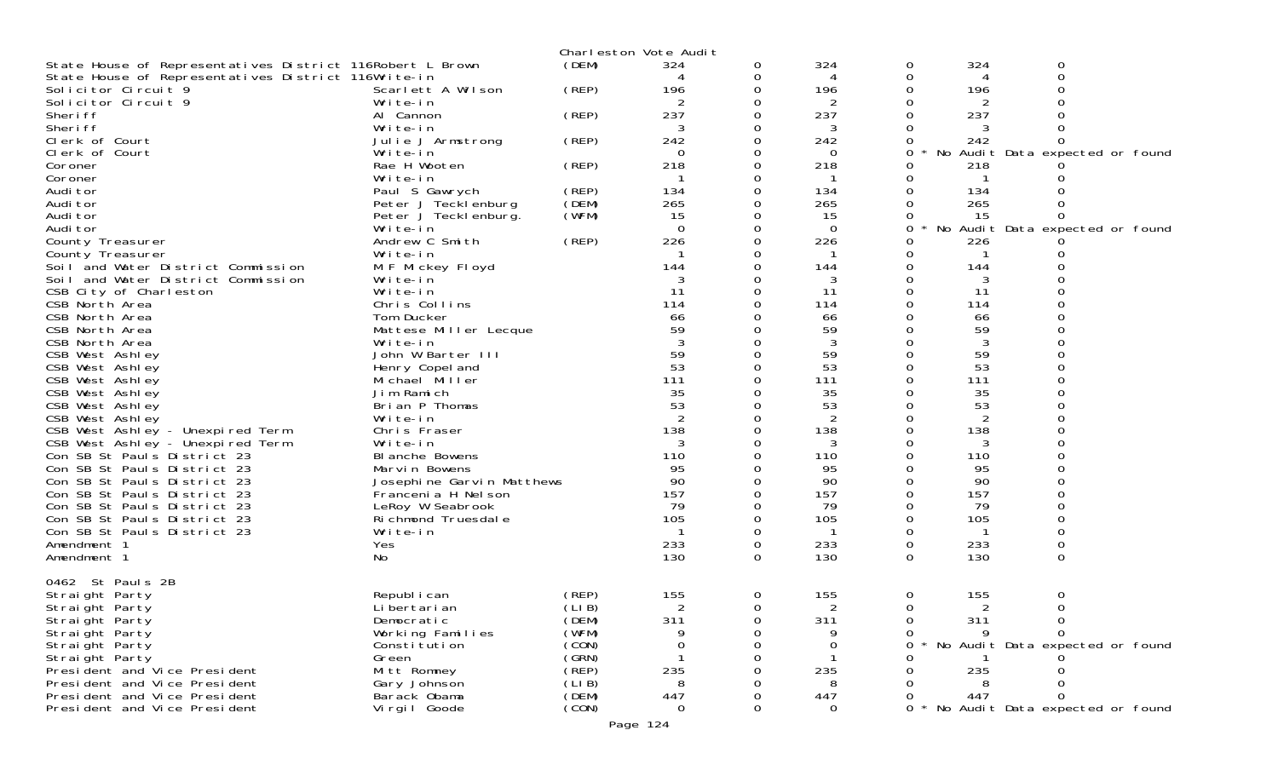|                                                           |                           |       | Charleston Vote Audit |          |                |   |                |                                 |  |
|-----------------------------------------------------------|---------------------------|-------|-----------------------|----------|----------------|---|----------------|---------------------------------|--|
| State House of Representatives District 116Robert L Brown |                           | (DEM) | 324                   | 0        | 324            | 0 | 324            | 0                               |  |
| State House of Representatives District 116Write-in       |                           |       | 4                     | 0        | 4              | 0 |                | $\Omega$                        |  |
| Solicitor Circuit 9                                       | Scarlett A Wilson         | (REP) | 196                   | 0        | 196            |   | 196            |                                 |  |
| Solicitor Circuit 9                                       | Write-in                  |       |                       | 0        |                |   |                |                                 |  |
| Sheri ff                                                  | Al Cannon                 | (REP) | 237                   | 0        | 237            |   | 237            |                                 |  |
| Sheri ff                                                  | Write-in                  |       | 3                     |          | 3              |   |                |                                 |  |
| Clerk of Court                                            | Julie J Armstrong         | (REP) | 242                   | 0        | 242            |   | 242            |                                 |  |
| Clerk of Court                                            | Write-in                  |       | $\overline{0}$        | 0        | $\Omega$       | 0 | No             | Audit Data expected or found    |  |
| Coroner                                                   | Rae H Wooten              | (REP) | 218                   | $\Omega$ | 218            |   | 218            |                                 |  |
| Coroner                                                   | Write-in                  |       |                       | 0        |                |   |                |                                 |  |
| Audi tor                                                  | Paul S Gawrych            | (REP) | 134                   | 0        | 134            |   | 134            |                                 |  |
| Audi tor                                                  | Peter J Tecklenburg       | (DEM) | 265                   |          | 265            |   | 265            |                                 |  |
| Audi tor                                                  | Peter J Tecklenburg.      | (WFM) | 15                    | 0        | 15             |   | 15             |                                 |  |
| Audi tor                                                  | Write-in                  |       | $\Omega$              | 0        | $\overline{O}$ | 0 | No             | Audit Data expected or found    |  |
| County Treasurer                                          | Andrew C Smith            | (REP) | 226                   |          | 226            |   | 226            |                                 |  |
|                                                           | Write-in                  |       |                       |          |                |   |                |                                 |  |
| County Treasurer                                          |                           |       | 144                   | 0        |                | 0 |                |                                 |  |
| Soil and Water District Commission                        | M F Mickey Floyd          |       |                       |          | 144            |   | 144            |                                 |  |
| Soil and Water District Commission                        | Write-in                  |       | 3                     |          | 3              |   | 3              |                                 |  |
| CSB City of Charleston                                    | Write-in                  |       | -11                   | $\Omega$ | 11             | 0 | 11             |                                 |  |
| CSB North Area                                            | Chris Collins             |       | 114                   | 0        | 114            |   | 114            |                                 |  |
| CSB North Area                                            | Tom Ducker                |       | 66                    |          | 66             |   | 66             |                                 |  |
| CSB North Area                                            | Mattese Miller Lecque     |       | 59                    |          | 59             |   | 59             |                                 |  |
| CSB North Area                                            | Write-in                  |       |                       | 0        | 3              |   | 3              |                                 |  |
| CSB West Ashley                                           | John W Barter III         |       | 59                    |          | 59             |   | 59             |                                 |  |
| CSB West Ashley                                           | Henry Copel and           |       | 53                    | 0        | 53             |   | 53             |                                 |  |
| CSB West Ashley                                           | Michael Miller            |       | 111                   | 0        | 111            |   | 111            |                                 |  |
| CSB West Ashley                                           | Jim Ramich                |       | 35                    |          | 35             |   | 35             |                                 |  |
| CSB West Ashley                                           | Brian P Thomas            |       | 53                    |          | 53             |   | 53             |                                 |  |
| CSB West Ashley                                           | Write-in                  |       | 2                     | 0        | 2              |   | $\overline{2}$ |                                 |  |
| CSB West Ashley - Unexpired Term                          | Chris Fraser              |       | 138                   |          | 138            |   | 138            |                                 |  |
| CSB West Ashley - Unexpired Term                          | Write-in                  |       | 3                     | 0        | 3              |   | 3              |                                 |  |
| Con SB St Pauls District 23                               | BI anche Bowens           |       | 110                   |          | 110            |   | 110            |                                 |  |
| Con SB St Pauls District 23                               | Marvin Bowens             |       | 95                    |          | 95             |   | 95             |                                 |  |
| Con SB St Pauls District 23                               | Josephine Garvin Matthews |       | 90                    | 0        | 90             |   | 90             |                                 |  |
| Con SB St Pauls District 23                               | Francenia H Nelson        |       | 157                   | 0        | 157            |   | 157            |                                 |  |
| Con SB St Pauls District 23                               | LeRoy W Seabrook          |       | 79                    |          | 79             |   | 79             |                                 |  |
| Con SB St Pauls District 23                               | Ri chmond Truesdal e      |       | 105                   | 0        | 105            |   | 105            |                                 |  |
| Con SB St Pauls District 23                               | Write-in                  |       | -1                    | 0        |                |   | -1             |                                 |  |
| Amendment 1                                               | Yes                       |       | 233                   | 0        | 233            | 0 | 233            | $\mathbf 0$                     |  |
| Amendment 1                                               | No                        |       | 130                   | 0        | 130            | 0 | 130            | $\Omega$                        |  |
|                                                           |                           |       |                       |          |                |   |                |                                 |  |
| 0462 St Pauls 2B                                          |                           |       |                       |          |                |   |                |                                 |  |
| Straight Party                                            | Republ i can              | (REP) | 155                   | 0        | 155            | 0 | 155            | 0                               |  |
| Straight Party                                            | Li bertari an             | (LIB) | 2                     | 0        | 2              | 0 | 2              | 0                               |  |
| Straight Party                                            | Democratic                | (DEM) | 311                   | O        | 311            | O | 311            | 0                               |  |
| Straight Party                                            | Working Families          | (WFM) | Q                     |          | 9              |   |                |                                 |  |
| Straight Party                                            | Constitution              | (CON) |                       |          | 0              |   |                | No Audit Data expected or found |  |
| Straight Party                                            | Green                     | (GRN) |                       |          |                |   |                |                                 |  |
| President and Vice President                              | Mitt Romney               | (REP) | 235                   |          | 235            |   | 235            |                                 |  |
| President and Vice President                              |                           | (LIB) | 8                     |          | 8              |   |                |                                 |  |
| President and Vice President                              | Gary Johnson              |       |                       |          |                |   |                |                                 |  |
| President and Vice President                              | Barack Obama              | (DEM) | 447                   |          | 447            |   | 447            |                                 |  |
|                                                           | Virgil Goode              | (CON) | $\Omega$              | 0        | $\Omega$       | 0 |                | No Audit Data expected or found |  |
|                                                           |                           |       | Page 124              |          |                |   |                |                                 |  |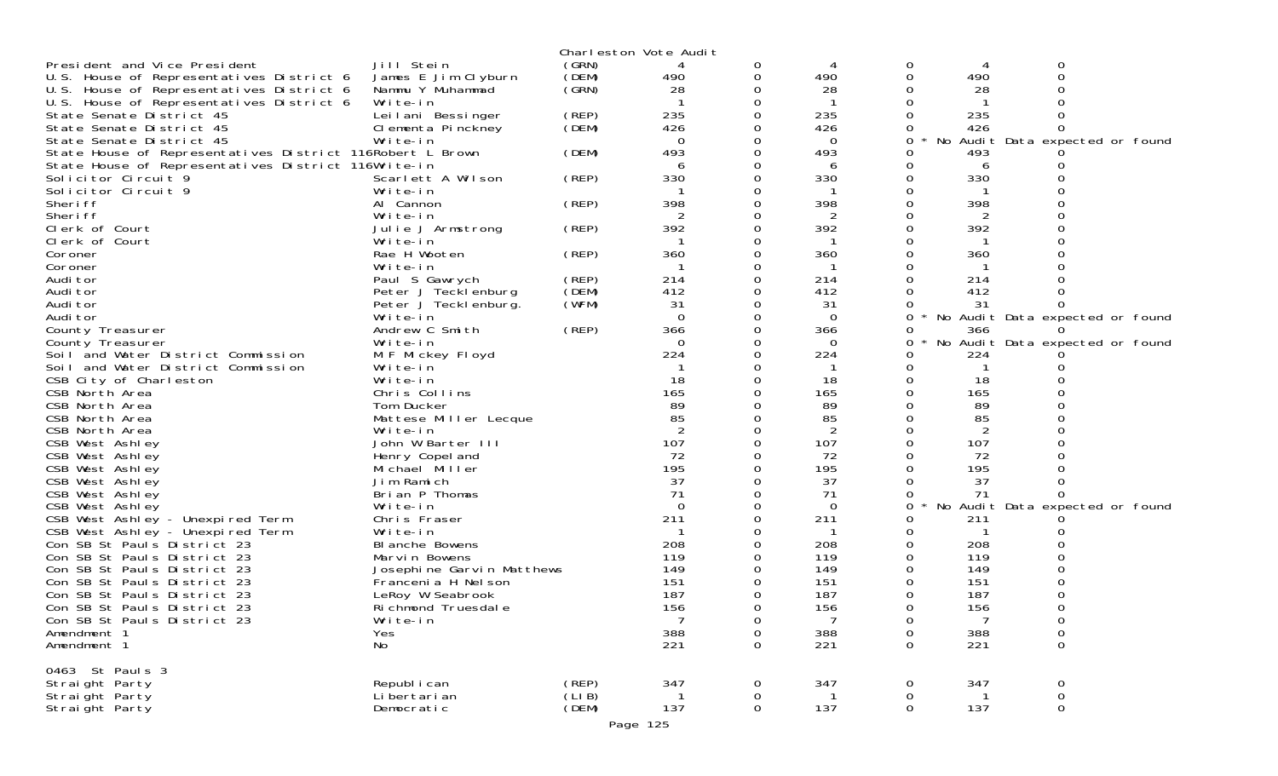|                                                           |                             |                | Charleston Vote Audit |   |          |              |     |                                 |  |
|-----------------------------------------------------------|-----------------------------|----------------|-----------------------|---|----------|--------------|-----|---------------------------------|--|
| President and Vice President                              | Jill Stein                  | (GRN)          |                       | 0 |          | 0            | 4   | 0                               |  |
| U.S. House of Representatives District 6                  | James E Jim Clyburn         | (DEM)          | 490                   | 0 | 490      |              | 490 |                                 |  |
| U.S. House of Representatives District 6                  | Nammu Y Muhammad            | (GRN)          | 28                    |   | 28       |              | 28  |                                 |  |
| U.S. House of Representatives District 6                  | Write-in                    |                |                       |   |          |              |     |                                 |  |
| State Senate District 45                                  | Leilani Bessinger           | (REP)          | 235                   |   | 235      |              | 235 |                                 |  |
| State Senate District 45                                  | Clementa Pinckney           | (DEM)          | 426                   |   | 426      |              | 426 |                                 |  |
| State Senate District 45                                  | Write-in                    |                | $\Omega$              |   | $\Omega$ | 0            | No  | Audit Data expected or found    |  |
| State House of Representatives District 116Robert L Brown |                             | (DEM)          | 493                   |   | 493      |              | 493 |                                 |  |
| State House of Representatives District 116Write-in       |                             |                |                       |   | 6        |              | 6   |                                 |  |
| Solicitor Circuit 9                                       | Scarlett A Wilson           | (REP)          | 330                   |   | 330      |              | 330 |                                 |  |
| Solicitor Circuit 9                                       | Write-in                    |                |                       |   |          |              |     |                                 |  |
| Sheri ff                                                  | Al Cannon                   | (REP)          | 398                   |   | 398      |              | 398 |                                 |  |
| Sheri ff                                                  | Write-in                    |                | 2                     |   | 2        |              | 2   |                                 |  |
| Clerk of Court                                            | Julie J Armstrong           | (REP)          | 392                   |   | 392      |              | 392 |                                 |  |
| Clerk of Court                                            | Write-in                    |                |                       |   |          |              |     |                                 |  |
| Coroner                                                   | Rae H Wooten                | (REP)          | 360                   |   | 360      |              | 360 |                                 |  |
| Coroner                                                   | Write-in                    |                |                       |   |          |              |     |                                 |  |
| Audi tor                                                  | Paul S Gawrych              | (REP)          | 214                   |   | 214      |              | 214 |                                 |  |
| Audi tor                                                  | Peter J Tecklenburg         | (DEM)          | 412                   |   | 412      |              | 412 |                                 |  |
| Audi tor                                                  | Peter J Tecklenburg.        | (WFM)          | 31                    |   | 31       |              | -31 |                                 |  |
| Audi tor                                                  | Write-in                    |                | $\Omega$              |   | $\Omega$ | 0<br>$\star$ |     | No Audit Data expected or found |  |
| County Treasurer                                          | Andrew C Smith              | (REP)          | 366                   |   | 366      |              | 366 |                                 |  |
| County Treasurer                                          | Write-in                    |                | $\Omega$              |   | $\Omega$ | Ω            |     | No Audit Data expected or found |  |
| Soil and Water District Commission                        | M F Mickey Floyd            |                | 224                   |   | 224      |              | 224 |                                 |  |
| Soil and Water District Commission                        | Write-in                    |                |                       |   |          |              |     |                                 |  |
| CSB City of Charleston                                    | Write-in                    |                | 18                    |   | 18       |              | 18  |                                 |  |
| CSB North Area                                            | Chris Collins               |                | 165                   |   | 165      |              | 165 |                                 |  |
| CSB North Area                                            | Tom Ducker                  |                | 89                    |   | 89       |              | 89  |                                 |  |
| CSB North Area                                            | Mattese Miller Lecque       |                | 85                    |   | 85       |              | 85  |                                 |  |
| CSB North Area                                            | Write-in                    |                |                       |   | 2        |              |     |                                 |  |
| CSB West Ashley                                           | John W Barter III           |                | 107                   |   | 107      |              | 107 |                                 |  |
| CSB West Ashley                                           | Henry Copel and             |                | 72                    |   | 72       |              | 72  |                                 |  |
| CSB West Ashley                                           | Michael Miller              |                | 195                   |   | 195      |              | 195 |                                 |  |
| CSB West Ashley                                           | Jim Ramich                  |                | 37                    |   | 37       |              | 37  |                                 |  |
| CSB West Ashley                                           | Brian P Thomas              |                | 71                    |   | 71       |              | 71  |                                 |  |
| CSB West Ashley                                           | Write-in                    |                | $\Omega$              |   | 0        | 0            |     | No Audit Data expected or found |  |
| CSB West Ashley - Unexpired Term                          | Chris Fraser                |                | 211                   |   | 211      |              | 211 |                                 |  |
| CSB West Ashley - Unexpired Term                          | Write-in                    |                |                       |   |          |              |     |                                 |  |
| Con SB St Pauls District 23                               | BI anche Bowens             |                | 208                   |   | 208      |              | 208 |                                 |  |
| Con SB St Pauls District 23                               | Marvin Bowens               |                | 119                   |   | 119      |              | 119 |                                 |  |
| Con SB St Pauls District 23                               | Josephine Garvin Matthews   |                | 149                   |   | 149      |              | 149 |                                 |  |
| Con SB St Pauls District 23                               | Francenia H Nel son         |                | 151                   |   | 151      |              | 151 |                                 |  |
| Con SB St Pauls District 23                               | LeRoy W Seabrook            |                | 187                   |   | 187      |              | 187 |                                 |  |
| Con SB St Pauls District 23                               | Ri chmond Truesdal e        |                | 156                   | 0 | 156      | $\Omega$     | 156 |                                 |  |
| Con SB St Pauls District 23                               | Write-in                    |                |                       | 0 |          | 0            |     | 0                               |  |
| Amendment 1                                               | Yes                         |                | 388                   | 0 | 388      | 0            | 388 | 0                               |  |
| Amendment 1                                               | No                          |                | 221                   | 0 | 221      | $\mathbf 0$  | 221 | $\mathsf{O}\xspace$             |  |
|                                                           |                             |                |                       |   |          |              |     |                                 |  |
| 0463 St Pauls 3                                           | Republ i can                |                |                       |   |          |              |     |                                 |  |
| Straight Party                                            |                             | (REP)<br>(LIB) | 347                   | 0 | 347      | 0            | 347 | 0                               |  |
| Straight Party                                            | Li bertari an<br>Democratic |                | 137                   | 0 | 137      | 0<br>0       | 137 | 0<br>$\mathbf 0$                |  |
| Straight Party                                            |                             | (DEM)          |                       | 0 |          |              |     |                                 |  |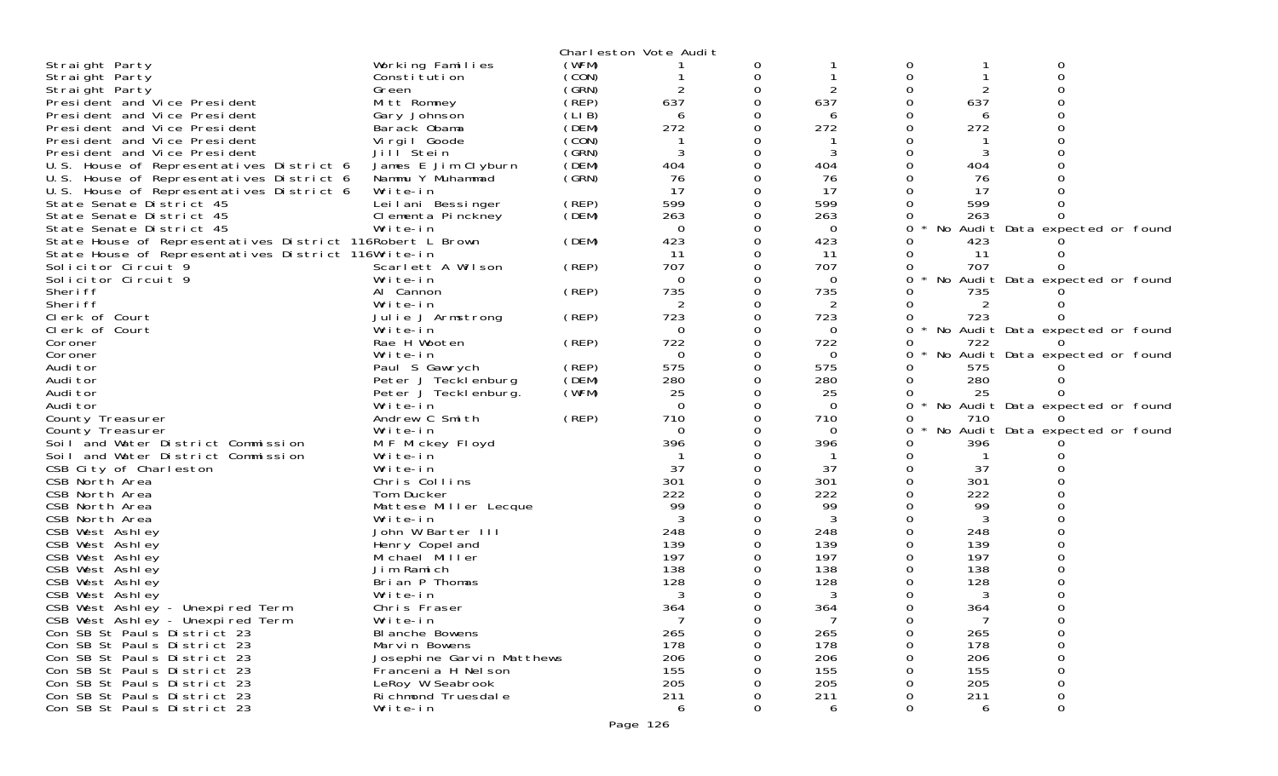|                                                           |                           |       | Charleston Vote Audit |          |          |          |     |                                 |  |
|-----------------------------------------------------------|---------------------------|-------|-----------------------|----------|----------|----------|-----|---------------------------------|--|
| Straight Party                                            | Working Families          | (WFM) |                       | 0        |          |          |     |                                 |  |
| Straight Party                                            | Constitution              | (CON) |                       | 0        |          | $\Omega$ |     |                                 |  |
| Straight Party                                            | Green                     | (GRN) |                       |          |          |          |     |                                 |  |
| President and Vice President                              | Mitt Romney               | (REP) | 637                   | $\Omega$ | 637      |          | 637 |                                 |  |
| President and Vice President                              | Gary Johnson              | (LIB) | 6                     |          | 6        |          | 6   |                                 |  |
| President and Vice President                              | Barack Obama              | (DEM) | 272                   |          | 272      |          | 272 |                                 |  |
| President and Vice President                              | Virgil Goode              | (CON) |                       |          |          |          |     |                                 |  |
| President and Vice President                              | Jill Stein                | (GRN) | 3                     |          | 3        |          |     |                                 |  |
| U.S. House of Representatives District 6                  | James E Jim Clyburn       | (DEM) | 404                   |          | 404      |          | 404 |                                 |  |
| U.S. House of Representatives District 6                  | Nammu Y Muhammad          | (GRN) | 76                    |          | 76       |          | 76  |                                 |  |
| U.S. House of Representatives District 6                  | Write-in                  |       | 17                    |          | 17       |          | 17  |                                 |  |
| State Senate District 45                                  | Leilani Bessinger         | (REP) | 599                   |          | 599      |          | 599 |                                 |  |
| State Senate District 45                                  | Clementa Pinckney         | (DEM) | 263                   |          | 263      |          | 263 |                                 |  |
| State Senate District 45                                  | Write-in                  |       | $\Omega$              |          | $\Omega$ | 0        |     | No Audit Data expected or found |  |
|                                                           |                           | (DEM) | 423                   |          | 423      |          | 423 |                                 |  |
| State House of Representatives District 116Robert L Brown |                           |       |                       |          |          |          |     |                                 |  |
| State House of Representatives District 116Write-in       |                           |       | 11                    |          | 11       |          | 11  |                                 |  |
| Solicitor Circuit 9                                       | Scarlett A Wilson         | (REP) | 707                   |          | 707      |          | 707 |                                 |  |
| Solicitor Circuit 9                                       | Write-in                  |       | $\Omega$              |          | $\Omega$ |          |     | No Audit Data expected or found |  |
| Sheri ff                                                  | Al Cannon                 | (REP) | 735                   |          | 735      |          | 735 |                                 |  |
| Sheri ff                                                  | Write-in                  |       |                       |          | 2        | 0        | 2   |                                 |  |
| Clerk of Court                                            | Julie J Armstrong         | (REP) | 723                   |          | 723      | 0        | 723 |                                 |  |
| Clerk of Court                                            | Write-in                  |       | $\Omega$              | 0        | $\Omega$ | 0        |     | No Audit Data expected or found |  |
| Coroner                                                   | Rae H Wooten              | (REP) | 722                   |          | 722      |          | 722 |                                 |  |
| Coroner                                                   | Write-in                  |       | $\Omega$              | 0        | 0        |          |     | No Audit Data expected or found |  |
| Audi tor                                                  | Paul S Gawrych            | (REP) | 575                   | 0        | 575      | 0        | 575 |                                 |  |
| Audi tor                                                  | Peter J Tecklenburg       | (DEM) | 280                   |          | 280      | 0        | 280 |                                 |  |
| Audi tor                                                  | Peter J Teckl enburg.     | (WFM) | 25                    | 0        | 25       |          | 25  |                                 |  |
| Audi tor                                                  | Write-in                  |       | $\Omega$              | 0        | $\Omega$ | 0        |     | No Audit Data expected or found |  |
| County Treasurer                                          | Andrew C Smith            | (REP) | 710                   |          | 710      | 0        | 710 |                                 |  |
| County Treasurer                                          | Write-in                  |       | $\Omega$              |          | 0        |          |     | No Audit Data expected or found |  |
| Soil and Water District Commission                        | M F Mickey Floyd          |       | 396                   |          | 396      |          | 396 |                                 |  |
| Soil and Water District Commission                        | Write-in                  |       |                       |          |          |          |     |                                 |  |
| CSB City of Charleston                                    | Write-in                  |       | 37                    |          | 37       |          | 37  |                                 |  |
| CSB North Area                                            | Chris Collins             |       | 301                   |          | 301      |          | 301 |                                 |  |
| CSB North Area                                            | Tom Ducker                |       | 222                   |          | 222      |          | 222 |                                 |  |
| CSB North Area                                            | Mattese Miller Lecque     |       | 99                    |          | 99       |          | 99  |                                 |  |
| CSB North Area                                            | Write-in                  |       | 3                     |          | 3        |          | 3   |                                 |  |
| CSB West Ashley                                           | John W Barter III         |       | 248                   |          | 248      |          | 248 |                                 |  |
| CSB West Ashley                                           | Henry Copel and           |       | 139                   |          | 139      |          | 139 |                                 |  |
| CSB West Ashley                                           | Michael Miller            |       | 197                   | 0        | 197      |          | 197 |                                 |  |
| CSB West Ashley                                           | Jim Ramich                |       | 138                   |          | 138      |          | 138 |                                 |  |
| CSB West Ashley                                           | Brian P Thomas            |       | 128                   |          | 128      |          | 128 |                                 |  |
| CSB West Ashley                                           | Write-in                  |       | 3                     | 0        | 3        |          | 3   |                                 |  |
| CSB West Ashley - Unexpired Term                          | Chris Fraser              |       | 364                   | $\Omega$ | 364      | $\Omega$ | 364 |                                 |  |
| CSB West Ashley - Unexpired Term                          | Write-in                  |       |                       | 0        |          |          |     |                                 |  |
| Con SB St Pauls District 23                               | BI anche Bowens           |       | 265                   | 0        | 265      |          | 265 |                                 |  |
| Con SB St Pauls District 23                               | Marvin Bowens             |       | 178                   |          | 178      |          | 178 |                                 |  |
| Con SB St Pauls District 23                               | Josephine Garvin Matthews |       | 206                   |          | 206      |          | 206 |                                 |  |
| Con SB St Pauls District 23                               | Francenia H Nel son       |       | 155                   |          | 155      |          | 155 |                                 |  |
| Con SB St Pauls District 23                               | LeRoy W Seabrook          |       | 205                   |          | 205      |          | 205 |                                 |  |
| Con SB St Pauls District 23                               | Ri chmond Truesdal e      |       | 211                   |          |          |          | 211 |                                 |  |
| Con SB St Pauls District 23                               | Write-in                  |       |                       | $\Omega$ | 211      | 0        |     | 0                               |  |
|                                                           |                           |       | 6                     |          | 6        |          | 6   |                                 |  |
|                                                           |                           |       | Page 126              |          |          |          |     |                                 |  |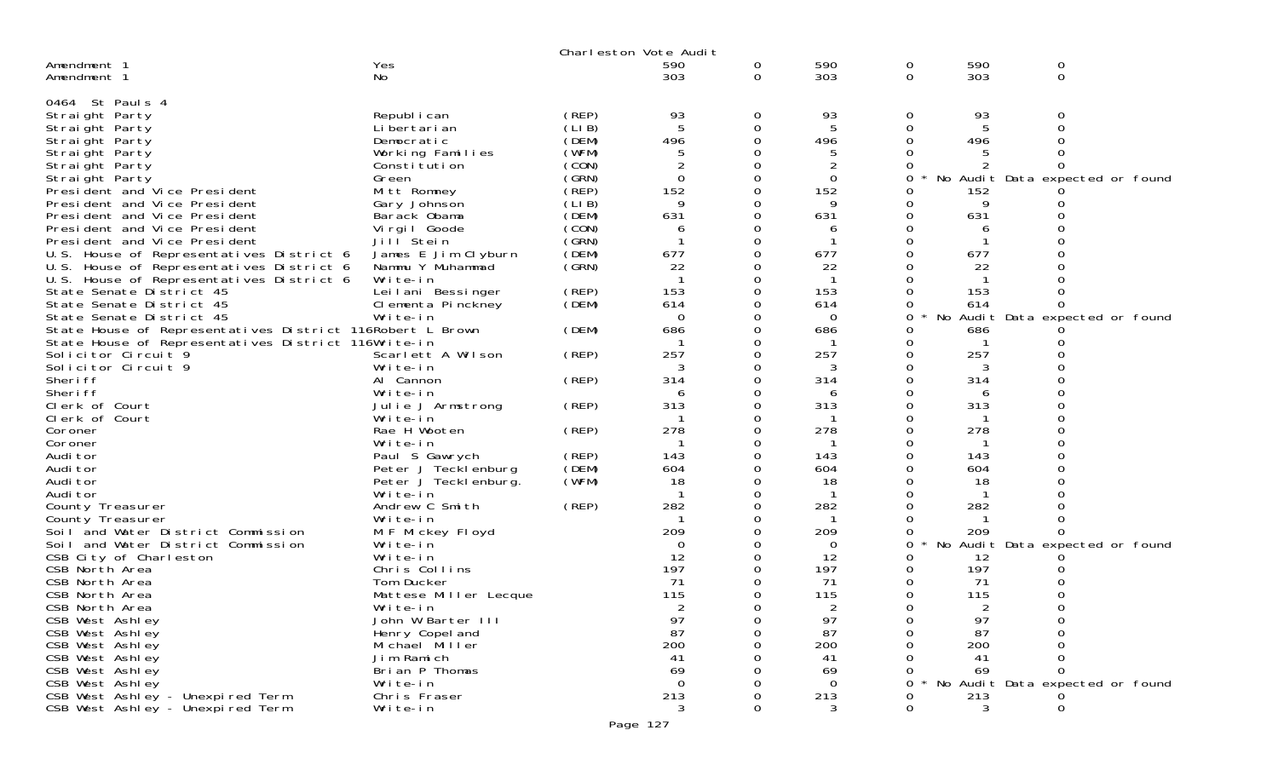|                                                              |                              |        | Charleston Vote Audit |   |          |   |     |                                 |  |
|--------------------------------------------------------------|------------------------------|--------|-----------------------|---|----------|---|-----|---------------------------------|--|
| Amendment 1                                                  | Yes                          |        | 590                   | 0 | 590      | 0 | 590 | 0                               |  |
| Amendment 1                                                  | No                           |        | 303                   | 0 | 303      | 0 | 303 | 0                               |  |
| 0464 St Pauls 4                                              |                              |        |                       |   |          |   |     |                                 |  |
| Straight Party                                               | Republ i can                 | (REP)  | 93                    | 0 | 93       | 0 | 93  | 0                               |  |
| Straight Party                                               | Li bertari an                | (LI B) | -5                    | 0 | 5        | 0 |     |                                 |  |
| Straight Party                                               | Democratic                   | (DEM)  | 496                   | 0 | 496      |   | 496 |                                 |  |
| Straight Party                                               | Working Families             | (WFM)  | 5                     |   | 5        |   |     |                                 |  |
| Straight Party                                               | Constitution                 | (CON)  |                       |   |          |   |     |                                 |  |
| Straight Party                                               | Green                        | (GRN)  | $\mathbf 0$           | 0 | $\Omega$ | 0 |     | No Audit Data expected or found |  |
| President and Vice President                                 | Mitt Romney                  | (REP)  | 152                   | 0 | 152      |   | 152 |                                 |  |
| President and Vice President                                 | Gary Johnson                 | (LIB)  | 9                     |   | 9        |   | 9   |                                 |  |
| President and Vice President                                 | Barack Obama                 | (DEM)  | 631                   | O | 631      |   | 631 |                                 |  |
| President and Vice President                                 | Vi rgi I Goode               | (CON)  | 6                     | Ω | 6        |   | 6   |                                 |  |
| President and Vice President                                 | Jill <sup>Stein</sup>        | (GRN)  |                       |   |          |   |     |                                 |  |
| U.S. House of Representatives District 6                     | James E Jim Clyburn          | (DEM)  | 677                   | 0 | 677      |   | 677 |                                 |  |
| U.S. House of Representatives District 6                     | Nammu Y Muhammad             | (GRN)  | 22                    | 0 | 22       |   | 22  |                                 |  |
| U.S. House of Representatives District 6                     | Write-in                     |        |                       |   |          |   |     |                                 |  |
| State Senate District 45                                     | Leilani Bessinger            | (REP)  | 153                   | 0 | 153      |   | 153 |                                 |  |
| State Senate District 45                                     | Clementa Pinckney            | (DEM)  | 614                   | 0 | 614      |   | 614 |                                 |  |
| State Senate District 45                                     | Write-in                     |        | 0                     |   | 0        | 0 |     | No Audit Data expected or found |  |
| State House of Representatives District 116Robert L Brown    |                              | (DEM)  | 686                   | O | 686      |   | 686 |                                 |  |
| State House of Representatives District 116Write-in          |                              |        |                       |   |          |   |     |                                 |  |
| Solicitor Circuit <sup>9</sup>                               | Scarlett A Wilson            | (REP)  | 257                   |   | 257      |   | 257 |                                 |  |
| Solicitor Circuit 9                                          | Write-in                     |        | 3                     | O | 3        |   | 3   |                                 |  |
| Sheri ff                                                     | Al Cannon                    | (REP)  | 314                   |   | 314      |   | 314 |                                 |  |
| Sheri ff                                                     | Write-in                     |        | 6                     |   | h        |   | 6   |                                 |  |
| Clerk of Court                                               | Julie J Armstrong            | (REP)  | 313                   | O | 313      |   | 313 |                                 |  |
| Clerk of Court                                               | Write-in                     |        |                       |   |          |   |     |                                 |  |
| Coroner                                                      | Rae H Wooten                 | (REP)  | 278                   |   | 278      |   | 278 |                                 |  |
| Coroner                                                      | Write-in                     |        |                       | O |          |   |     |                                 |  |
| Audi tor                                                     | Paul S Gawrych               | (REP)  | 143                   |   | 143      |   | 143 |                                 |  |
| Audi tor                                                     | Peter J Tecklenburg          | (DEM)  | 604                   |   | 604      |   | 604 |                                 |  |
| Audi tor                                                     | Peter J Teckl enburg.        | (WFM)  | 18                    | Ω | 18       |   | 18  |                                 |  |
| Audi tor                                                     | Write-in                     |        |                       |   |          |   |     |                                 |  |
| County Treasurer                                             | Andrew C Smith               | (REP)  | 282                   |   | 282      |   | 282 |                                 |  |
| County Treasurer                                             | Write-in                     |        | -1                    |   | 209      |   |     |                                 |  |
| Soil and Water District Commission                           | M F Mickey Floyd<br>Write-in |        | 209<br>0              |   |          | 0 | 209 |                                 |  |
| Soil and Water District Commission<br>CSB City of Charleston | Write-in                     |        | 12                    | 0 | 0<br>12  |   | 12  | No Audit Data expected or found |  |
| CSB North Area                                               | Chris Collins                |        | 197                   |   | 197      |   | 197 |                                 |  |
| CSB North Area                                               | Tom Ducker                   |        | 71                    |   | 71       |   | 71  |                                 |  |
| CSB North Area                                               | Mattese Miller Lecque        |        | 115                   |   | 115      |   | 115 |                                 |  |
| CSB North Area                                               | Write-in                     |        | $\overline{2}$        | Ω | 2        | 0 | 2   |                                 |  |
| CSB West Ashley                                              | John W Barter III            |        | 97                    | O | 97       |   | 97  |                                 |  |
| CSB West Ashley                                              | Henry Copel and              |        | 87                    |   | 87       |   | 87  |                                 |  |
| CSB West Ashley                                              | Michael Miller               |        | 200                   |   | 200      |   | 200 |                                 |  |
| CSB West Ashley                                              | Jim Ramich                   |        | 41                    |   | 41       |   | 41  |                                 |  |
| CSB West Ashley                                              | Brian P Thomas               |        | 69                    |   | 69       |   | 69  |                                 |  |
| CSB West Ashley                                              | Write-in                     |        | 0                     |   | 0        |   |     | No Audit Data expected or found |  |
| CSB West Ashley - Unexpired Term                             | Chris Fraser                 |        | 213                   |   | 213      |   | 213 |                                 |  |
| CSB West Ashley - Unexpired Term                             | Write-in                     |        | 3                     | 0 | 3        | 0 | 3   | 0                               |  |
|                                                              |                              |        |                       |   |          |   |     |                                 |  |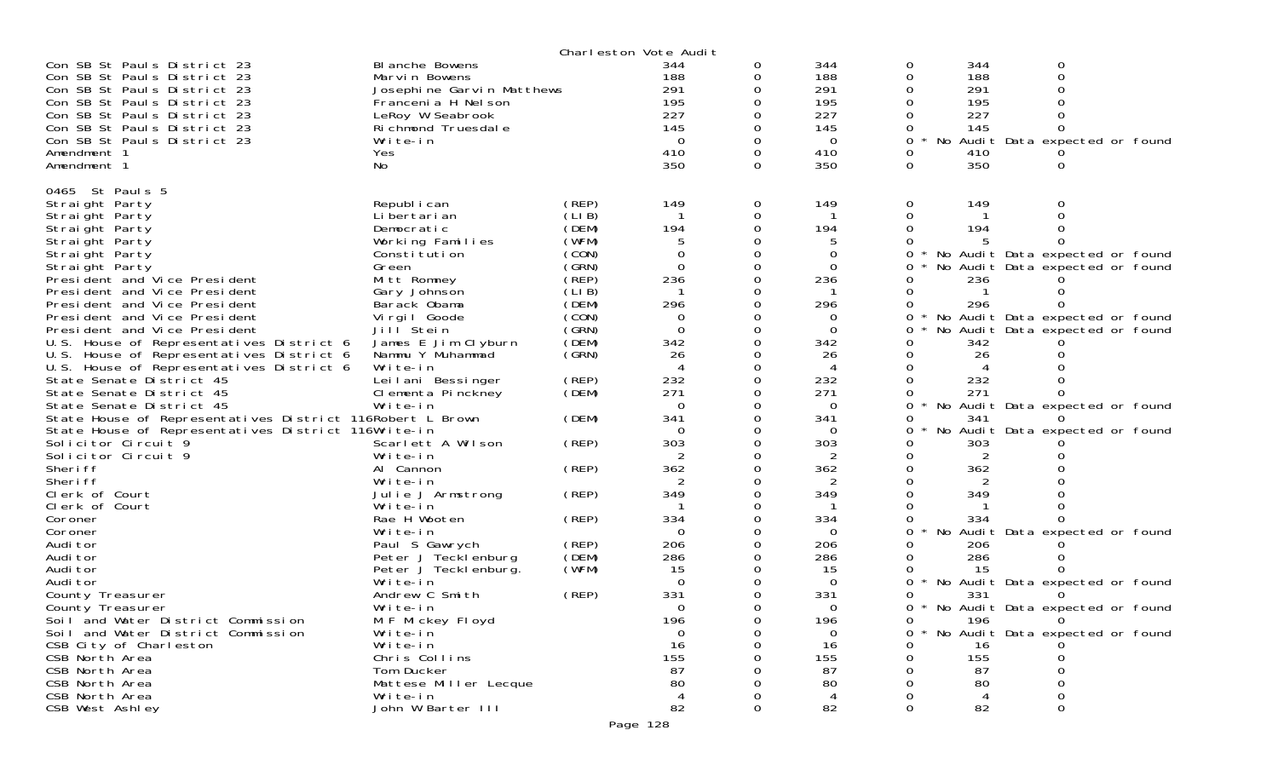|                                                                                                                                                                                                                                                                  |                                                                                                                                                        |                                                             | Charleston Vote Audit                                            |                    |                                                                        |                              |                                                      |                                                                                                              |
|------------------------------------------------------------------------------------------------------------------------------------------------------------------------------------------------------------------------------------------------------------------|--------------------------------------------------------------------------------------------------------------------------------------------------------|-------------------------------------------------------------|------------------------------------------------------------------|--------------------|------------------------------------------------------------------------|------------------------------|------------------------------------------------------|--------------------------------------------------------------------------------------------------------------|
| Con SB St Pauls District 23<br>Con SB St Pauls District 23<br>Con SB St Pauls District 23<br>Con SB St Pauls District 23<br>Con SB St Pauls District 23<br>Con SB St Pauls District 23<br>Con SB St Pauls District 23<br>Amendment 1<br>Amendment 1              | BI anche Bowens<br>Marvin Bowens<br>Josephine Garvin Matthews<br>Francenia H Nelson<br>LeRoy W Seabrook<br>Richmond Truesdale<br>Write-in<br>Yes<br>No |                                                             | 344<br>188<br>291<br>195<br>227<br>145<br>$\Omega$<br>410<br>350 | 0<br>0<br>$\Omega$ | 344<br>188<br>291<br>195<br>227<br>145<br>$\overline{0}$<br>410<br>350 | 0<br>0<br>$\Omega$<br>0<br>0 | 344<br>188<br>291<br>195<br>227<br>145<br>410<br>350 | $\mathbf 0$<br>$\Omega$<br>No Audit Data expected or found                                                   |
| 0465 St Paul s 5<br>Straight Party<br>Straight Party<br>Straight Party<br>Straight Party<br>Straight Party<br>Straight Party<br>Presi dent and Vice Presi dent                                                                                                   | Republ i can<br>Li bertari an<br>Democratic<br>Working Families<br>Constitution<br>Green<br>Mitt Romney                                                | (REP)<br>(LIB)<br>(DEM)<br>(WFM)<br>(CON)<br>(GRN)<br>(REP) | 149<br>194<br>0<br>$\Omega$<br>236                               | 0<br>0             | 149<br>194<br>$\Omega$<br>0<br>236                                     | 0<br>0                       | 149<br>194<br>236                                    | No Audit Data expected or found<br>No Audit Data expected or found                                           |
| President and Vice President<br>President and Vice President<br>President and Vice President<br>President and Vice President<br>U.S. House of Representatives District 6<br>U.S. House of Representatives District 6<br>U.S. House of Representatives District 6 | Gary Johnson<br>Barack Obama<br>Virgil Goode<br>Jill <sup>Stein</sup><br>James E Jim Clyburn<br>Nammu Y Muhammad<br>Write-in                           | (LIB)<br>(DEM)<br>(CON)<br>(SRN)<br>(DEM)<br>(GRN)          | 296<br>0<br>$\Omega$<br>342<br>26                                |                    | 296<br>0<br>$\mathbf 0$<br>342<br>26<br>4                              | 0<br>0<br>0                  | 296<br>342<br>26                                     | No Audit Data expected or found<br>No Audit Data expected or found                                           |
| State Senate District 45<br>State Senate District 45<br>State Senate District 45<br>State House of Representatives District 116Robert L Brown<br>State House of Representatives District 116Write-in<br>Solicitor Circuit 9<br>Solicitor Circuit 9<br>Sheri ff   | Leilani Bessinger<br>Clementa Pinckney<br>Write-in<br>Scarlett A Wilson<br>Write-in<br>Al Cannon                                                       | (REP)<br>(DEM)<br>(DEM)<br>(REP)<br>(REP)                   | 232<br>271<br>$\Omega$<br>341<br>$\Omega$<br>303<br>362          |                    | 232<br>271<br>$\mathbf 0$<br>341<br>$\Omega$<br>303<br>2<br>362        | 0<br>0                       | 232<br>271<br>341<br>303<br>2<br>362                 | No Audit Data expected or found<br>No Audit Data expected or found                                           |
| Sheri ff<br>Clerk of Court<br>Clerk of Court<br>Coroner<br>Coroner<br>Audi tor<br>Audi tor                                                                                                                                                                       | Write-in<br>Julie J Armstrong<br>Write-in<br>Rae H Wooten<br>Write-in<br>Paul S Gawrych<br>Peter J Tecklenburg                                         | (REP)<br>(REP)<br>(REP)<br>(DEM)                            | 349<br>334<br>$\Omega$<br>206<br>286                             |                    | 2<br>349<br>-1<br>334<br>$\Omega$<br>206<br>286                        | O                            | 349<br>334<br>206<br>286                             | No Audit Data expected or found                                                                              |
| Audi tor<br>Audi tor<br>County Treasurer<br>County Treasurer<br>Soil and Water District Commission<br>Soil and Water District Commission<br>CSB City of Charleston                                                                                               | Peter J Teckl enburg.<br>Write-in<br>Andrew C Smith<br>Write-in<br>M F Mickey Floyd<br>Write-in<br>Write-in                                            | (WFM)<br>(REP)                                              | 15<br>$\Omega$<br>331<br><sup>n</sup><br>196<br>$\Omega$<br>16   | 0                  | 15<br>$\Omega$<br>331<br>$\Omega$<br>196<br>$\Omega$<br>16             | 0<br>0                       | 15<br>331<br>196<br>16                               | No Audit Data expected or found<br>* No Audit Data expected or found<br>0<br>No Audit Data expected or found |
| CSB North Area<br>CSB North Area<br>CSB North Area<br>CSB North Area<br>CSB West Ashley                                                                                                                                                                          | Chris Collins<br>Tom Ducker<br>Mattese Miller Lecque<br>Write-in<br>John W Barter III                                                                  |                                                             | 155<br>87<br>80<br>$\overline{4}$<br>82                          | $\Omega$           | 155<br>87<br>80<br>4<br>82                                             |                              | 155<br>87<br>80<br>82                                |                                                                                                              |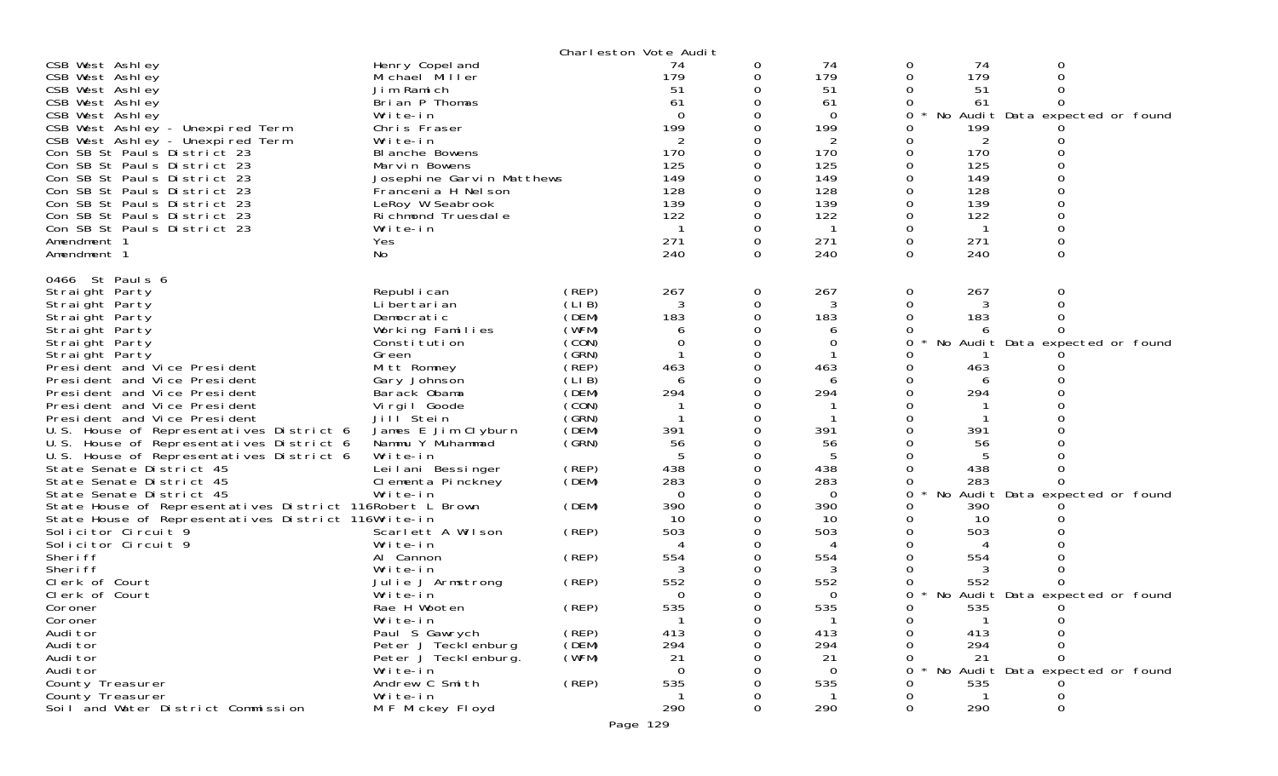|                                                                                                                                                                                                                                                                                                                                                                                                                                                                                                                                                                                  |                                                                                                                                                                                                                                                                                    |                                                                                                                                              | Charleston Vote Audit                                                                                                   |                                                                                    |                                                                                                             |                             |                                                                                                 |                                                                                     |  |
|----------------------------------------------------------------------------------------------------------------------------------------------------------------------------------------------------------------------------------------------------------------------------------------------------------------------------------------------------------------------------------------------------------------------------------------------------------------------------------------------------------------------------------------------------------------------------------|------------------------------------------------------------------------------------------------------------------------------------------------------------------------------------------------------------------------------------------------------------------------------------|----------------------------------------------------------------------------------------------------------------------------------------------|-------------------------------------------------------------------------------------------------------------------------|------------------------------------------------------------------------------------|-------------------------------------------------------------------------------------------------------------|-----------------------------|-------------------------------------------------------------------------------------------------|-------------------------------------------------------------------------------------|--|
| CSB West Ashley<br>CSB West Ashley<br>CSB West Ashley<br>CSB West Ashley<br>CSB West Ashley<br>CSB West Ashley - Unexpired Term<br>CSB West Ashley - Unexpired Term<br>Con SB St Pauls District 23<br>Con SB St Pauls District 23<br>Con SB St Pauls District 23<br>Con SB St Pauls District 23<br>Con SB St Pauls District 23<br>Con SB St Pauls District 23<br>Con SB St Pauls District 23<br>Amendment 1<br>Amendment 1                                                                                                                                                       | Henry Copel and<br>Michael Miller<br>Jim Ramich<br>Brian P Thomas<br>Write-in<br>Chris Fraser<br>Write-in<br>BI anche Bowens<br>Marvin Bowens<br>Josephine Garvin Matthews<br>Francenia H Nelson<br>LeRoy W Seabrook<br>Richmond Truesdale<br>Write-in<br>Yes<br>No                |                                                                                                                                              | 74<br>179<br>51<br>61<br>$\Omega$<br>199<br>2<br>170<br>125<br>149<br>128<br>139<br>122<br>$\overline{1}$<br>271<br>240 | 0<br>0<br>0<br>0<br>0<br>$\Omega$<br>0                                             | 74<br>179<br>51<br>61<br>$\Omega$<br>199<br>2<br>170<br>125<br>149<br>128<br>139<br>122<br>-1<br>271<br>240 | 0<br>0<br>0<br>0<br>0       | 74<br>179<br>51<br>61<br>199<br>2<br>170<br>125<br>149<br>128<br>139<br>122<br>-1<br>271<br>240 | 0<br>$\Omega$<br>0<br>$\Omega$<br>No Audit Data expected or found<br>0              |  |
| 0466 St Pauls 6<br>Straight Party<br>Straight Party<br>Straight Party<br>Straight Party<br>Straight Party<br>Straight Party<br>President and Vice President<br>President and Vice President<br>President and Vice President<br>President and Vice President<br>President and Vice President<br>U.S. House of Representatives District 6<br>U.S. House of Representatives District 6<br>U.S. House of Representatives District 6<br>State Senate District 45<br>State Senate District 45<br>State Senate District 45<br>State House of Representatives District 116Robert L Brown | Republ i can<br>Li bertari an<br>Democratic<br>Working Families<br>Constitution<br>Green<br>Mitt Romney<br>Gary Johnson<br>Barack Obama<br>Virgil Goode<br>Jill Stein<br>James E Jim Clyburn<br>Nammu Y Muhammad<br>Write-in<br>Leilani Bessinger<br>Clementa Pinckney<br>Write-in | (REP)<br>(LIB)<br>(DEM)<br>(WFM)<br>(CON)<br>(GRN)<br>(REP)<br>(LIB)<br>(DEM)<br>(CON)<br>(GRN)<br>(DEM)<br>(GRN)<br>(REP)<br>(DEM)<br>(DEM) | 267<br>183<br>6<br>0<br>463<br>6<br>294<br>391<br>56<br>438<br>283<br>$\Omega$<br>390                                   | 0<br>0<br>0<br>0<br>$\Omega$<br>0<br>$\Omega$<br>0<br>0<br>0<br>$\Omega$<br>0<br>0 | 267<br>3<br>183<br>6<br>0<br>463<br>6<br>294<br>391<br>56<br>438<br>283<br>$\Omega$<br>390                  | 0<br>0<br>0<br>0<br>0<br>0  | 267<br>3<br>183<br>6<br>463<br>6<br>294<br>391<br>56<br>438<br>283<br>390                       | 0<br>$\Omega$<br>No Audit Data expected or found<br>No Audit Data expected or found |  |
| State House of Representatives District 116Write-in<br>Solicitor Circuit <sup>9</sup><br>Solicitor Circuit 9<br>Sheri ff<br>Sheri ff<br>Clerk of Court<br>Clerk of Court<br>Coroner<br>Coroner<br>Audi tor<br>Audi tor<br>Audi tor<br>Audi tor<br>County Treasurer<br>County Treasurer<br>Soil and Water District Commission                                                                                                                                                                                                                                                     | Scarlett A Wilson<br>Write-in<br>Al Cannon<br>Write-in<br>Julie J Armstrong<br>Write-in<br>Rae H Wooten<br>Write-in<br>Paul S Gawrych<br>Peter J Tecklenburg<br>Peter J Teckl enburg.<br>Write-in<br>Andrew C Smith<br>Write-in<br>M F Mickey Floyd                                | (REP)<br>(REP)<br>(REP)<br>(REP)<br>(REP)<br>(DEM)<br>(WFM)<br>(REP)                                                                         | 10<br>503<br>4<br>554<br>3<br>552<br>0<br>535<br>-1<br>413<br>294<br>21<br>$\Omega$<br>535<br>290<br>Page 129           | 0<br>0<br>0<br>0<br>∩<br>0<br>0                                                    | 10<br>503<br>4<br>554<br>3<br>552<br>0<br>535<br>$\mathbf 1$<br>413<br>294<br>21<br>$\Omega$<br>535<br>290  | 0<br>0<br><sup>n</sup><br>0 | 10<br>503<br>4<br>554<br>3<br>552<br>535<br>413<br>294<br>21<br>535<br>290                      | No Audit Data expected or found<br>No Audit Data expected or found<br>0             |  |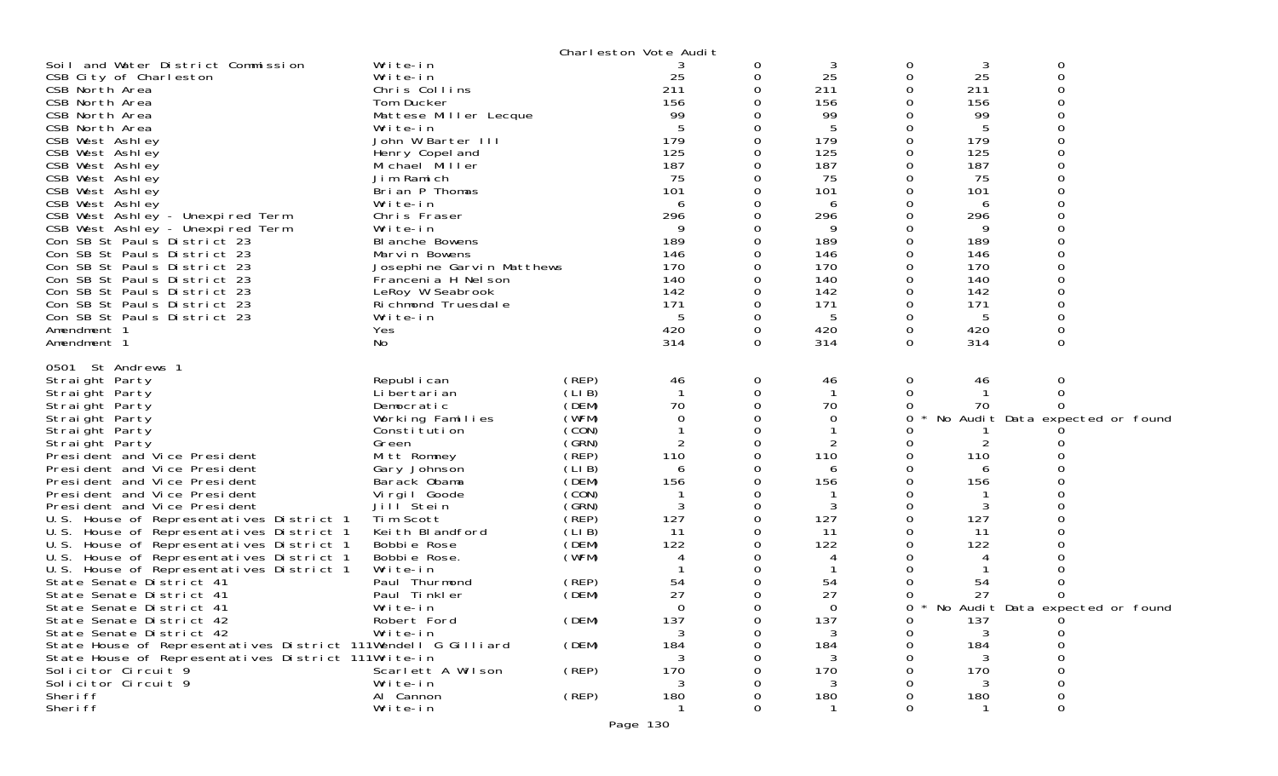|                                                               |                           |        | Charleston Vote Audit |   |          |          |     |                                 |  |
|---------------------------------------------------------------|---------------------------|--------|-----------------------|---|----------|----------|-----|---------------------------------|--|
| Soil and Water District Commission                            | Write-in                  |        |                       | 0 | 3        | 0        | 3   | 0                               |  |
| CSB City of Charleston                                        | Write-in                  |        | 25                    |   | 25       | 0        | 25  | 0                               |  |
| CSB North Area                                                | Chris Collins             |        | 211                   |   | 211      | 0        | 211 | 0                               |  |
| CSB North Area                                                | Tom Ducker                |        | 156                   |   | 156      | 0        | 156 | 0                               |  |
| CSB North Area                                                | Mattese Miller Lecque     |        | 99                    |   | 99       |          | 99  |                                 |  |
| CSB North Area                                                | Write-in                  |        |                       |   | 5        | 0        | 5   | ∩                               |  |
| CSB West Ashley                                               | John W Barter III         |        | 179                   |   | 179      | 0        | 179 |                                 |  |
| CSB West Ashley                                               | Henry Copel and           |        | 125                   |   | 125      | $\Omega$ | 125 |                                 |  |
| CSB West Ashley                                               | Michael Miller            |        | 187                   |   | 187      | $\Omega$ | 187 | ∩                               |  |
| CSB West Ashley                                               | Jim Ramich                |        | 75                    |   | 75       | 0        | 75  | 0                               |  |
| CSB West Ashley                                               | Brian P Thomas            |        | 101                   |   | 101      | 0        | 101 |                                 |  |
| CSB West Ashley                                               | Write-in                  |        | 6                     |   | 6        |          | 6   |                                 |  |
| CSB West Ashley - Unexpired Term                              | Chris Fraser              |        | 296                   |   | 296      | 0        | 296 |                                 |  |
| CSB West Ashley - Unexpired Term                              | Write-in                  |        | 9                     |   | 9        |          | 9   |                                 |  |
| Con SB St Pauls District 23                                   | BI anche Bowens           |        | 189                   |   | 189      | $\Omega$ | 189 |                                 |  |
| Con SB St Pauls District 23                                   | Marvin Bowens             |        | 146                   |   | 146      |          | 146 |                                 |  |
| Con SB St Pauls District 23                                   | Josephine Garvin Matthews |        | 170                   |   | 170      | 0        | 170 |                                 |  |
| Con SB St Pauls District 23                                   | Francenia H Nel son       |        | 140                   |   | 140      | $\Omega$ | 140 | ∩                               |  |
| Con SB St Pauls District 23                                   | LeRoy W Seabrook          |        | 142                   |   | 142      | 0        | 142 |                                 |  |
| Con SB St Pauls District 23                                   | Richmond Truesdale        |        | 171                   |   | 171      |          | 171 |                                 |  |
| Con SB St Pauls District 23                                   | Write-in                  |        | 5                     |   | 5        | 0        | 5   | O                               |  |
| Amendment 1                                                   | Yes                       |        | 420                   | 0 | 420      | 0        | 420 | 0                               |  |
| Amendment 1                                                   | No                        |        | 314                   | 0 | 314      | $\Omega$ | 314 | 0                               |  |
|                                                               |                           |        |                       |   |          |          |     |                                 |  |
| 0501 St Andrews 1                                             |                           |        |                       |   |          |          |     |                                 |  |
| Straight Party                                                | Republ i can              | (REP)  | 46                    | 0 | 46       | 0        | 46  | 0                               |  |
| Straight Party                                                | Li bertari an             | (LI B) |                       | 0 |          | $\Omega$ |     | $\Omega$                        |  |
| Straight Party                                                | Democratic                | (DEM)  | 70                    |   | 70       | 0        | 70  | O                               |  |
| Straight Party                                                | Working Families          | (WFM)  | 0                     |   | 0        | 0        |     | No Audit Data expected or found |  |
| Straight Party                                                | Constitution              | (CON)  |                       |   |          |          |     |                                 |  |
| Straight Party                                                | Green                     | (GRN)  | 2                     |   | 2        | 0        | 2   |                                 |  |
| President and Vice President                                  | Mitt Romney               | (REP)  | 110                   |   | 110      | 0        | 110 |                                 |  |
| President and Vice President                                  | Gary Johnson              | (LI B) | 6                     |   | 6        | 0        | 6   |                                 |  |
| President and Vice President                                  | Barack Obama              | (DEM)  | 156                   |   | 156      | 0        | 156 |                                 |  |
| President and Vice President                                  | Virgil Goode              | (CON)  |                       |   |          |          |     |                                 |  |
| President and Vice President                                  | Jill Stein                | (GRN)  | 3                     | 0 | 3        | $\Omega$ | 3   |                                 |  |
| U.S. House of Representatives District 1                      | Tim Scott                 | (REP)  | 127                   |   | 127      | 0        | 127 |                                 |  |
| U.S. House of Representatives District 1                      | Keith Blandford           | (LI B) | -11                   |   | 11       |          | 11  |                                 |  |
| U.S. House of Representatives District 1                      | Bobbie Rose               | (DEM)  | 122                   |   | 122      | 0        | 122 |                                 |  |
| U.S. House of Representatives District 1                      | Bobbie Rose.              | (WFM)  | 4                     |   | 4        |          | 4   |                                 |  |
| U.S. House of Representatives District 1                      | Write-in                  |        |                       |   |          |          |     |                                 |  |
| State Senate District 41                                      | Paul Thurmond             | (REP)  | 54                    |   | 54       | 0        | 54  |                                 |  |
| State Senate District 41                                      | Paul Tinkler              | (DEM)  | 27                    |   | 27       |          | 27  |                                 |  |
| State Senate District 41                                      | Write-in                  |        | $\Omega$              | 0 | $\Omega$ | 0        |     | No Audit Data expected or found |  |
| State Senate District 42                                      | Robert Ford               | (DEM)  | 137                   |   | 137      | O        | 137 | U                               |  |
| State Senate District 42                                      | Write-in                  |        | 3                     |   | 3        | 0        | 3   | 0                               |  |
| State House of Representatives District 111Wendell G Gilliard |                           | (DEM)  | 184                   |   | 184      |          | 184 | Ω                               |  |
| State House of Representatives District 111Write-in           |                           |        | 3                     |   | 3        |          | 3   |                                 |  |
| Solicitor Circuit 9                                           | Scarlett A Wilson         | (REP)  | 170                   |   | 170      |          | 170 |                                 |  |
| Solicitor Circuit 9                                           | Write-in                  |        | 3                     |   | 3        |          | 3   |                                 |  |
| Sheri ff                                                      | Al Cannon                 | (REP)  | 180                   |   | 180      |          | 180 | O                               |  |
| Sheri ff                                                      | Write-in                  |        |                       |   |          | 0        |     | 0                               |  |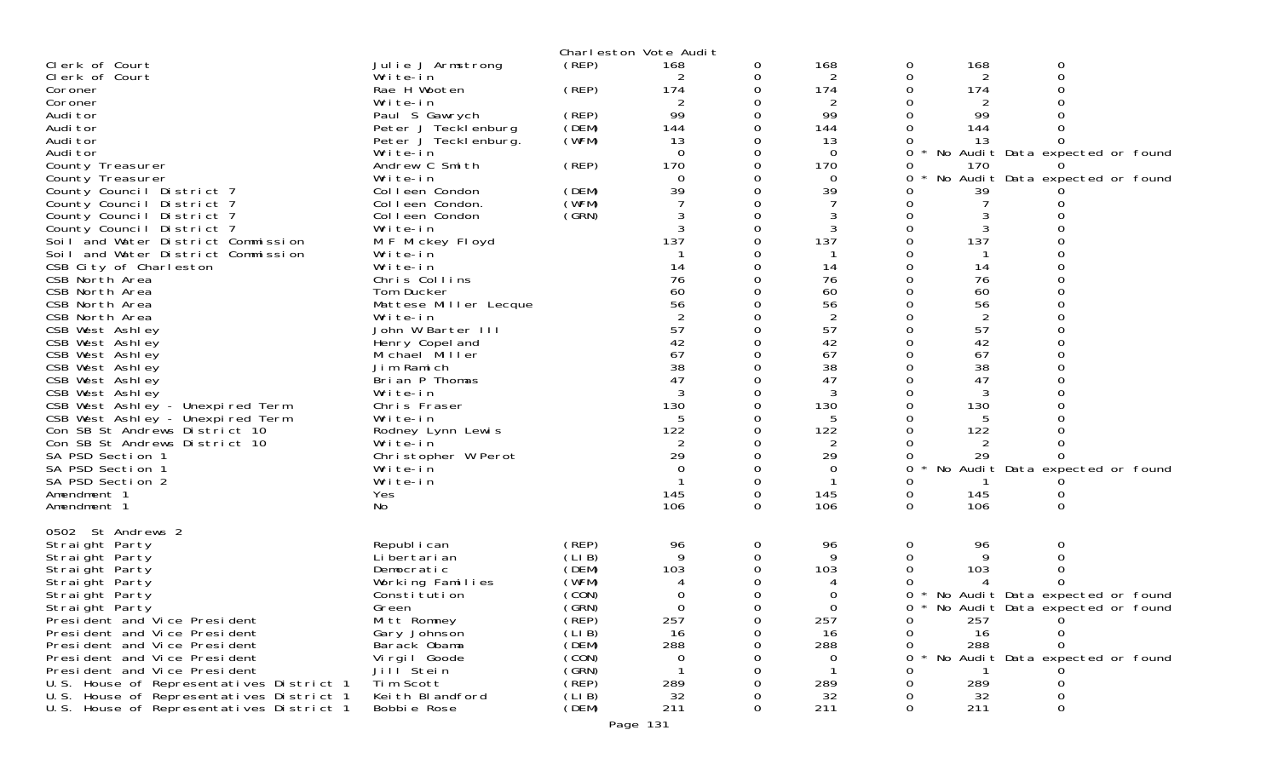|                                          |                                   |                | Charleston Vote Audit |          |                |          |                      |                                   |  |
|------------------------------------------|-----------------------------------|----------------|-----------------------|----------|----------------|----------|----------------------|-----------------------------------|--|
| Clerk of Court                           | Julie J Armstrong                 | (REP)          | 168                   | 0        | 168            | 0        | 168                  | 0                                 |  |
| Clerk of Court                           | Write-in                          |                |                       | 0        | 2              | 0        | 2                    |                                   |  |
| Coroner                                  | Rae H Wooten                      | (REP)          | 174                   | 0        | 174            | 0        | 174                  |                                   |  |
| Coroner                                  | Write-in                          |                | 2                     | 0        | $\overline{2}$ | 0        | 2                    |                                   |  |
| Audi tor                                 | Paul S Gawrych                    | (REP)          | 99                    |          | 99             |          | 99                   |                                   |  |
| Audi tor                                 | Peter J Tecklenburg               | (DEM)          | 144                   |          | 144            |          | 144                  |                                   |  |
| Audi tor<br>Audi tor                     | Peter J Teckl enburg.<br>Write-in | (WFM)          | 13<br>$\Omega$        |          | 13<br>$\Omega$ | $\Omega$ | 13                   | No Audit Data expected or found   |  |
| County Treasurer                         | Andrew C Smith                    | (REP)          | 170                   |          | 170            |          | 170                  |                                   |  |
| County Treasurer                         | Write-in                          |                | $\Omega$              |          | $\Omega$       | 0        |                      | No Audit Data expected or found   |  |
| County Council District 7                | Colleen Condon                    | (DEM)          | 39                    |          | 39             |          | 39                   |                                   |  |
| County Council District 7                | Colleen Condon.                   | (WFM)          |                       |          |                |          |                      |                                   |  |
| County Council District 7                | Colleen Condon                    | (SRN)          |                       |          | 3              |          |                      |                                   |  |
| County Council District 7                | Write-in                          |                |                       |          |                |          |                      |                                   |  |
| Soil and Water District Commission       | M F Mickey Floyd                  |                | 137                   |          | 137            | 0        | 137                  |                                   |  |
| Soil and Water District Commission       | Write-in                          |                |                       |          |                |          |                      |                                   |  |
| CSB City of Charleston                   | Write-in                          |                | 14                    |          | 14             |          | 14                   |                                   |  |
| CSB North Area                           | Chris Collins                     |                | 76                    |          | 76             |          | 76                   |                                   |  |
| CSB North Area                           | Tom Ducker                        |                | 60                    |          | 60             |          | 60                   |                                   |  |
| CSB North Area<br>CSB North Area         | Mattese Miller Lecque             |                | 56                    |          | 56<br>2        |          | 56<br>$\overline{2}$ |                                   |  |
| CSB West Ashley                          | Write-in<br>John W Barter III     |                | 57                    |          | 57             |          | 57                   |                                   |  |
| CSB West Ashley                          | Henry Copel and                   |                | 42                    |          | 42             |          | 42                   |                                   |  |
| CSB West Ashley                          | Michael Miller                    |                | 67                    |          | 67             |          | 67                   |                                   |  |
| CSB West Ashley                          | Jim Ramich                        |                | 38                    |          | 38             |          | 38                   |                                   |  |
| CSB West Ashley                          | Brian P Thomas                    |                | 47                    |          | 47             |          | 47                   |                                   |  |
| CSB West Ashley                          | Write-in                          |                | 3                     | 0        | 3              | $\Omega$ | 3                    |                                   |  |
| CSB West Ashley - Unexpired Term         | Chris Fraser                      |                | 130                   |          | 130            |          | 130                  |                                   |  |
| CSB West Ashley - Unexpired Term         | Write-in                          |                |                       |          | 5              |          |                      |                                   |  |
| Con SB St Andrews District 10            | Rodney Lynn Lewis                 |                | 122                   |          | 122            |          | 122                  |                                   |  |
| Con SB St Andrews District 10            | Write-in                          |                | 2                     |          | 2              |          |                      |                                   |  |
| SA PSD Section 1                         | Christopher W Perot<br>Write-in   |                | 29<br>$\Omega$        |          | 29             |          | 29                   | No Audit Data expected or found   |  |
| SA PSD Section 1<br>SA PSD Section 2     | Write-in                          |                |                       |          | $\Omega$       | 0        |                      |                                   |  |
| Amendment 1                              | Yes                               |                | 145                   |          | 145            | 0        | 145                  |                                   |  |
| Amendment 1                              | No                                |                | 106                   | $\Omega$ | 106            | $\Omega$ | 106                  | 0                                 |  |
|                                          |                                   |                |                       |          |                |          |                      |                                   |  |
| 0502 St Andrews 2                        |                                   |                |                       |          |                |          |                      |                                   |  |
| Straight Party                           | Republ i can                      | (REP)<br>(LIB) | 96<br>9               | 0<br>0   | 96<br>9        | 0        | 96<br>9              | 0                                 |  |
| Straight Party<br>Straight Party         | Li bertari an<br>Democratic       | (DEM)          | 103                   | ∩        | 103            |          | 103                  |                                   |  |
| Straight Party                           | Working Families                  | (WFM)          |                       | 0        |                |          |                      |                                   |  |
| Straight Party                           | Constitution                      | (CON)          |                       |          |                | $\Omega$ |                      | * No Audit Data expected or found |  |
| Straight Party                           | Green                             | (GRN)          | 0                     | $\Omega$ | $\Omega$       | $\Omega$ |                      | * No Audit Data expected or found |  |
| President and Vice President             | Mitt Romney                       | (REP)          | 257                   | 0        | 257            | 0        | 257                  | 0                                 |  |
| President and Vice President             | Gary Johnson                      | (LIB)          | 16                    |          | 16             |          | 16                   |                                   |  |
| President and Vice President             | Barack Obama                      | (DEM)          | 288                   |          | 288            |          | 288                  |                                   |  |
| President and Vice President             | Virgil Goode                      | (CON)          | 0                     |          | 0              | 0        |                      | No Audit Data expected or found   |  |
| President and Vice President             | Jill <sup>Stein</sup>             | (GRN)          |                       |          |                |          |                      |                                   |  |
| U.S. House of Representatives District 1 | Tim Scott                         | (REP)          | 289                   |          | 289            |          | 289                  |                                   |  |
| U.S. House of Representatives District 1 | Keith Blandford                   | (LIB)          | 32                    |          | 32             |          | 32                   | 0                                 |  |
| U.S. House of Representatives District 1 | Bobbie Rose                       | (DEM)          | 211                   | $\Omega$ | 211            | $\Omega$ | 211                  | $\Omega$                          |  |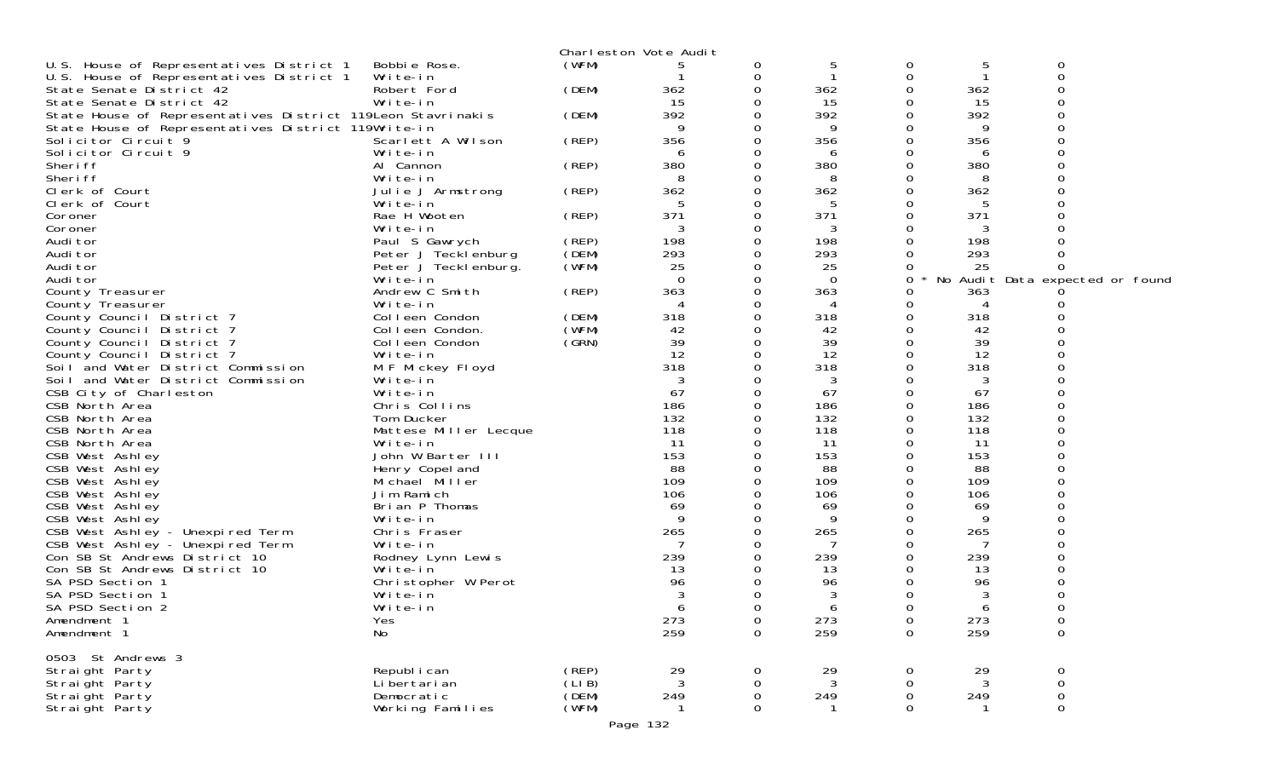|                                                             |                                   |        | Charleston Vote Audit |             |            |             |            |                                 |  |
|-------------------------------------------------------------|-----------------------------------|--------|-----------------------|-------------|------------|-------------|------------|---------------------------------|--|
| U.S. House of Representatives District 1                    | Bobbie Rose.                      | (WFM)  |                       | 0           | 5          | 0           | 5          | 0                               |  |
| U.S. House of Representatives District 1                    | Write-in                          |        |                       | 0           |            | 0           |            | 0                               |  |
| State Senate District 42                                    | Robert Ford                       | (DEM)  | 362                   |             | 362        | 0           | 362        |                                 |  |
| State Senate District 42                                    | Write-in                          |        | 15                    |             | 15         | 0           | 15         | ი                               |  |
| State House of Representatives District 119Leon Stavrinakis |                                   | (DEM)  | 392                   |             | 392        | 0           | 392        |                                 |  |
| State House of Representatives District 119Write-in         |                                   |        |                       |             | 9          | 0           | 9          |                                 |  |
| Solicitor Circuit 9                                         | Scarlett A Wilson                 | (REP)  | 356                   |             | 356        | 0           | 356        |                                 |  |
| Solicitor Circuit 9                                         | Write-in                          |        | 6                     |             | 6          | 0           | 6          |                                 |  |
| Sheri ff                                                    | Al Cannon                         | (REP)  | 380                   |             | 380        | 0           | 380        |                                 |  |
| Sheri ff                                                    | Write-in                          |        |                       |             | 8          | 0           | 8          |                                 |  |
| Clerk of Court                                              | Julie J Armstrong                 | (REP)  | 362                   |             | 362        | 0           | 362        |                                 |  |
| Clerk of Court                                              | Write-in                          |        |                       |             | 5          | 0           | 5          |                                 |  |
| Coroner                                                     | Rae H Wooten                      | (REP)  | 371                   |             | 371        | 0           | 371        |                                 |  |
| Coroner                                                     | Write-in                          |        |                       |             | 3          | 0           | 3          |                                 |  |
| Audi tor                                                    | Paul S Gawrych                    | (REP)  | 198                   | 0           | 198        | 0           | 198        |                                 |  |
| Audi tor                                                    | Peter J Tecklenburg               | (DEM)  | 293                   |             | 293        | 0           | 293        |                                 |  |
| Audi tor                                                    | Peter J Tecklenburg.              | (WFM)  | 25                    |             | 25         | 0           | 25         | 0                               |  |
| Audi tor                                                    | Write-in                          |        | $\Omega$              |             | $\Omega$   | 0           |            | No Audit Data expected or found |  |
| County Treasurer                                            | Andrew C Smith                    | (REP)  | 363                   |             | 363        | 0           | 363        |                                 |  |
| County Treasurer                                            | Write-in                          |        |                       |             | 4          | 0           | 4          |                                 |  |
| County Council District 7                                   | Colleen Condon                    | (DEM)  | 318                   |             | 318        | 0           | 318        |                                 |  |
| County Council District 7                                   | Colleen Condon.                   | (WFM)  | 42                    |             | 42         | 0           | 42         |                                 |  |
| County Council District 7                                   | Colleen Condon                    | (GRN)  | 39                    |             | 39         | 0           | 39         |                                 |  |
| County Council District 7                                   | Write-in                          |        | 12                    |             | 12         | 0           | 12         |                                 |  |
| Soil and Water District Commission                          | M F Mickey Floyd                  |        | 318                   |             | 318        | 0           | 318        |                                 |  |
| Soil and Water District Commission                          | Write-in                          |        |                       |             | 3          | 0           | 3          |                                 |  |
| CSB City of Charleston                                      | Write-in                          |        | 67                    |             | 67         | 0           | 67         |                                 |  |
| CSB North Area                                              | Chris Collins                     |        | 186<br>132            |             | 186        | 0           | 186        |                                 |  |
| CSB North Area                                              | Tom Ducker                        |        | 118                   |             | 132<br>118 | 0<br>0      | 132<br>118 |                                 |  |
| CSB North Area<br>CSB North Area                            | Mattese Miller Lecque<br>Write-in |        | 11                    |             | 11         | 0           | 11         |                                 |  |
| CSB West Ashley                                             | John W Barter III                 |        | 153                   |             | 153        | 0           | 153        |                                 |  |
| CSB West Ashley                                             | Henry Copel and                   |        | 88                    |             | 88         | 0           | 88         |                                 |  |
| CSB West Ashley                                             | Michael Miller                    |        | 109                   |             | 109        | 0           | 109        |                                 |  |
| CSB West Ashley                                             | Jim Ramich                        |        | 106                   |             | 106        | 0           | 106        |                                 |  |
| CSB West Ashley                                             | Brian P Thomas                    |        | 69                    |             | 69         | 0           | 69         |                                 |  |
| CSB West Ashley                                             | Write-in                          |        | 9                     |             | 9          | 0           | 9          |                                 |  |
| CSB West Ashley - Unexpired Term                            | Chris Fraser                      |        | 265                   |             | 265        | 0           | 265        |                                 |  |
| CSB West Ashley - Unexpired Term                            | Write-in                          |        |                       |             |            | 0           |            |                                 |  |
| Con SB St Andrews District 10                               | Rodney Lynn Lewis                 |        | 239                   |             | 239        | 0           | 239        |                                 |  |
| Con SB St Andrews District 10                               | Write-in                          |        | 13                    |             | 13         | 0           | 13         |                                 |  |
| SA PSD Section 1                                            | Christopher W Perot               |        | 96                    |             | 96         | 0           | 96         | ი                               |  |
| SA PSD Section 1                                            | Write-in                          |        |                       |             | 3          | 0           | 3          |                                 |  |
| SA PSD Section 2                                            | Write-in                          |        | 6                     | 0           | 6          | 0           | 6          | 0                               |  |
| Amendment 1                                                 | Yes                               |        | 273                   | 0           | 273        | 0           | 273        | 0                               |  |
| Amendment 1                                                 | No                                |        | 259                   | $\mathbf 0$ | 259        | $\mathbf 0$ | 259        | $\mathsf 0$                     |  |
|                                                             |                                   |        |                       |             |            |             |            |                                 |  |
| 0503 St Andrews 3                                           |                                   |        |                       |             |            |             |            |                                 |  |
| Straight Party                                              | Republ i can                      | (REP)  | 29                    | 0           | 29         | 0           | 29         | 0                               |  |
| Straight Party                                              | Li bertari an                     | (LI B) | 3                     | 0           | 3          | 0           | 3          | 0                               |  |
| Straight Party                                              | Democratic                        | (DEM)  | 249                   | 0           | 249        | 0           | 249        | $\mathsf{O}\xspace$             |  |
| Straight Party                                              | Working Families                  | (WFM)  |                       | 0           |            | 0           |            | 0                               |  |
|                                                             |                                   |        |                       |             |            |             |            |                                 |  |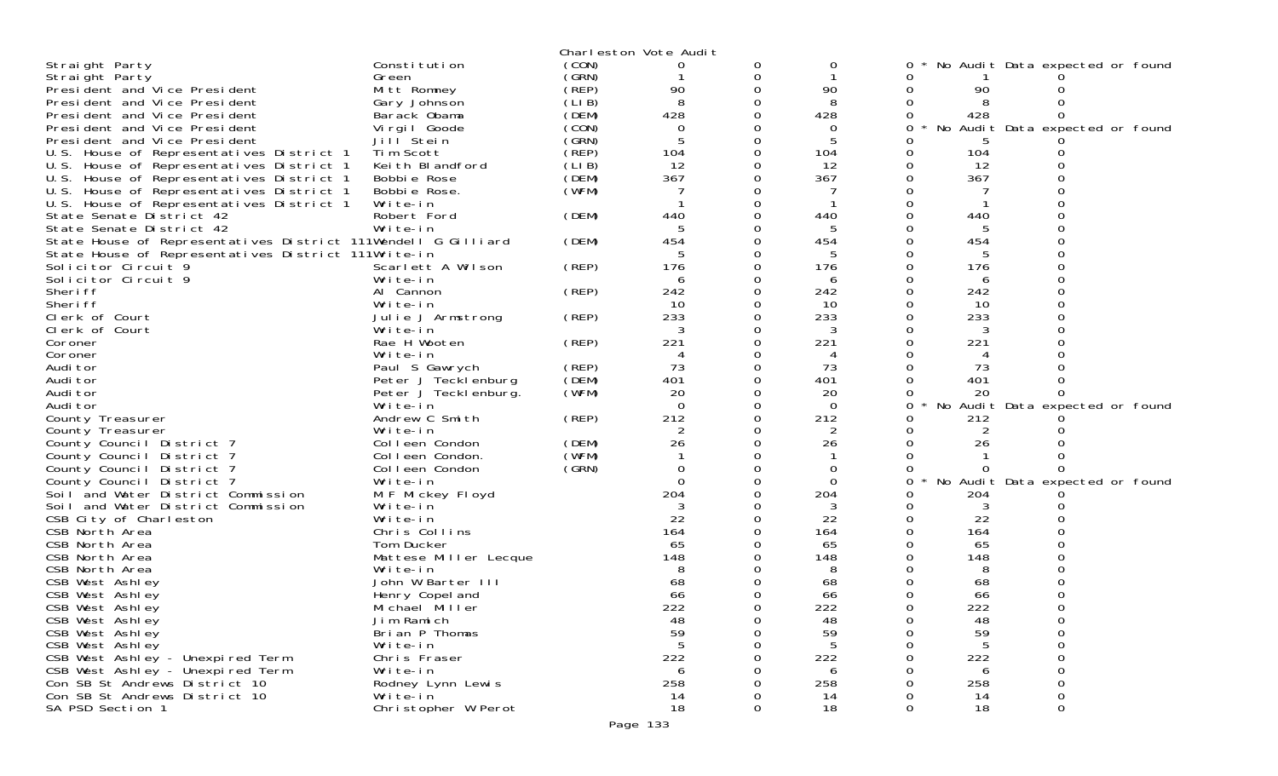|                                                               |                          |       | Charleston Vote Audit |   |                |   |     |                                 |  |
|---------------------------------------------------------------|--------------------------|-------|-----------------------|---|----------------|---|-----|---------------------------------|--|
| Straight Party                                                | Constitution             | (CON) | 0                     | 0 | 0              |   |     | No Audit Data expected or found |  |
| Straight Party                                                | Green                    | (GRN) |                       | 0 |                |   |     |                                 |  |
| President and Vice President                                  | Mitt Romney              | (REP) | 90                    | 0 | 90             |   | 90  |                                 |  |
| President and Vice President                                  | Gary Johnson             | (LIB) | 8                     |   | 8              |   |     |                                 |  |
| President and Vice President                                  | Barack Obama             | (DEM) | 428                   |   | 428            | 0 | 428 |                                 |  |
| President and Vice President                                  | Virgil Goode             | (CON) | $\Omega$              |   | 0              | O |     | No Audit Data expected or found |  |
| President and Vice President                                  | Jill Stein               | (GRN) | 5                     |   | 5              |   |     |                                 |  |
| U.S. House of Representatives District 1                      | Tim Scott                | (REP) | 104                   | 0 | 104            |   | 104 |                                 |  |
| U.S. House of Representatives District 1                      | Keith Blandford          | (LIB) | 12                    | 0 | 12             |   | 12  |                                 |  |
| U.S. House of Representatives District 1                      | Bobbie Rose              | (DEM) | 367                   |   | 367            |   | 367 |                                 |  |
| U.S. House of Representatives District 1                      | Bobbie Rose.             | (WFM) |                       |   |                |   |     |                                 |  |
| U.S. House of Representatives District 1                      | Write-in                 |       |                       | 0 |                |   |     |                                 |  |
| State Senate District 42                                      | Robert Ford              | (DEM) | 440                   |   | 440            |   | 440 |                                 |  |
| State Senate District 42                                      | Write-in                 |       | 5                     |   | 5              |   |     |                                 |  |
| State House of Representatives District 111Wendell G Gilliard |                          | (DEM) | 454                   | 0 | 454            |   | 454 |                                 |  |
| State House of Representatives District 111Write-in           |                          |       | 5                     |   | 5              |   |     |                                 |  |
| Solicitor Circuit 9                                           | Scarlett A Wilson        | (REP) | 176                   | 0 | 176            |   | 176 |                                 |  |
| Solicitor Circuit 9                                           | Write-in                 |       | 6                     | 0 | 6              |   | 6   |                                 |  |
| Sheri ff                                                      | Al Cannon                | (REP) | 242                   |   | 242            |   | 242 |                                 |  |
| Sheri ff                                                      | Write-in                 |       | 10                    | 0 | 10             |   | 10  |                                 |  |
| Clerk of Court                                                | Julie J Armstrong        | (REP) | 233                   | 0 | 233            |   | 233 |                                 |  |
| Clerk of Court                                                | Write-in<br>Rae H Wooten |       | 3<br>221              | 0 | 3              |   |     |                                 |  |
| Coroner<br>Coroner                                            | Write-in                 | (REP) | 4                     | 0 | 221<br>4       |   | 221 |                                 |  |
| Audi tor                                                      | Paul S Gawrych           | (REP) | 73                    |   | 73             |   | 73  |                                 |  |
| Audi tor                                                      | Peter J Tecklenburg      | (DEM) | 401                   | 0 | 401            |   | 401 |                                 |  |
| Audi tor                                                      | Peter J Tecklenburg.     | (WFM) | 20                    | 0 | 20             |   | 20  |                                 |  |
| Audi tor                                                      | Write-in                 |       | $\Omega$              |   | $\Omega$       |   |     | No Audit Data expected or found |  |
| County Treasurer                                              | Andrew C Smith           | (REP) | 212                   | 0 | 212            |   | 212 |                                 |  |
| County Treasurer                                              | Write-in                 |       | $\overline{2}$        | 0 | 2              |   | 2   |                                 |  |
| County Council District 7                                     | Colleen Condon           | (DEM) | 26                    |   | 26             |   | 26  |                                 |  |
| County Council District 7                                     | Colleen Condon.          | (WFM) |                       | ი |                |   |     |                                 |  |
| County Council District 7                                     | Colleen Condon           | (SRN) | $\Omega$              | 0 | $\overline{0}$ |   |     |                                 |  |
| County Council District 7                                     | Write-in                 |       | $\Omega$              |   | $\Omega$       | 0 |     | No Audit Data expected or found |  |
| Soil and Water District Commission                            | M F Mickey Floyd         |       | 204                   |   | 204            |   | 204 |                                 |  |
| Soil and Water District Commission                            | Write-in                 |       | 3                     |   | 3              |   | 3   |                                 |  |
| CSB City of Charleston                                        | Write-in                 |       | 22                    |   | 22             |   | 22  |                                 |  |
| CSB North Area                                                | Chris Collins            |       | 164                   |   | 164            |   | 164 |                                 |  |
| CSB North Area                                                | Tom Ducker               |       | 65                    |   | 65             |   | 65  |                                 |  |
| CSB North Area                                                | Mattese Miller Lecque    |       | 148                   |   | 148            |   | 148 |                                 |  |
| CSB North Area                                                | Write-in                 |       |                       |   |                |   |     |                                 |  |
| CSB West Ashley                                               | John W Barter III        |       | 68                    |   | 68             |   | 68  |                                 |  |
| CSB West Ashley                                               | Henry Copel and          |       | 66                    |   | 66             |   | 66  |                                 |  |
| CSB West Ashley                                               | Michael Miller           |       | 222                   |   | 222            |   | 222 |                                 |  |
| CSB West Ashley                                               | Jim Ramich               |       | 48                    | 0 | 48             |   | 48  |                                 |  |
| CSB West Ashley                                               | Brian P Thomas           |       | 59                    | O | 59             |   | 59  | 0                               |  |
| CSB West Ashley                                               | Write-in                 |       | 5                     | O |                |   | 5   |                                 |  |
| CSB West Ashley - Unexpired Term                              | Chris Fraser             |       | 222                   |   | 222            |   | 222 |                                 |  |
| CSB West Ashley - Unexpired Term                              | Write-in                 |       | 6                     |   | 6              |   | 6   |                                 |  |
| Con SB St Andrews District 10                                 | Rodney Lynn Lewis        |       | 258                   |   | 258            |   | 258 |                                 |  |
| Con SB St Andrews District 10                                 | Write-in                 |       | 14                    |   | 14             |   | 14  |                                 |  |
| SA PSD Section 1                                              | Christopher W Perot      |       | 18                    | 0 | 18             | 0 | 18  | 0                               |  |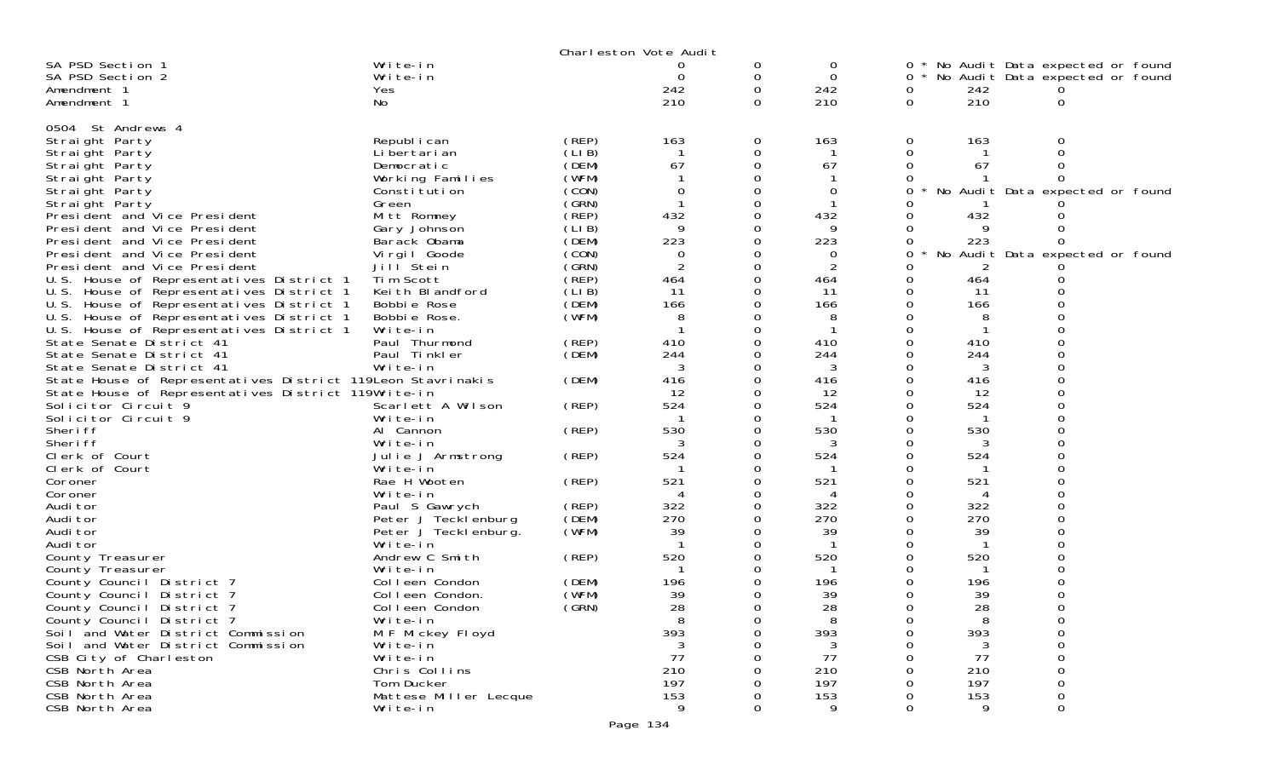|                                                                      |                                       |        | Charleston Vote Audit |   |            |              |            |                                 |  |
|----------------------------------------------------------------------|---------------------------------------|--------|-----------------------|---|------------|--------------|------------|---------------------------------|--|
| SA PSD Section 1                                                     | Write-in                              |        |                       | 0 | 0          | $0 *$        |            | No Audit Data expected or found |  |
| SA PSD Section 2                                                     | Write-in                              |        | 0                     | 0 | 0          | 0            |            | No Audit Data expected or found |  |
| Amendment 1                                                          | Yes                                   |        | 242                   | 0 | 242        | 0            | 242        |                                 |  |
| Amendment 1                                                          | No                                    |        | 210                   | 0 | 210        | 0            | 210        | 0                               |  |
| 0504 St Andrews 4                                                    |                                       |        |                       |   |            |              |            |                                 |  |
| Straight Party                                                       | Republ i can                          | (REP)  | 163                   | 0 | 163        | 0            | 163        | Ω                               |  |
| Straight Party                                                       | Li bertari an                         | (LIB)  |                       |   |            | 0            |            |                                 |  |
| Straight Party                                                       | Democratic                            | (DEM)  | 67                    |   | 67         | 0            | 67         |                                 |  |
| Straight Party                                                       | Working Families                      | (WFM)  |                       |   |            |              |            |                                 |  |
| Straight Party                                                       | Constitution                          | (CON)  | 0                     |   | 0          | 0            |            | No Audit Data expected or found |  |
| Straight Party                                                       | Green                                 | (GRN)  |                       |   |            |              |            |                                 |  |
| President and Vice President                                         | Mitt Romney                           | (`REP) | 432                   |   | 432        | 0            | 432        |                                 |  |
| President and Vice President                                         | Gary Johnson                          | (LIB)  | 9                     |   | 9          |              | 9          |                                 |  |
| President and Vice President                                         | Barack Obama                          | (DEM)  | 223                   |   | 223        | 0            | 223        | O                               |  |
| President and Vice President                                         | Vi rgi I Goode                        | (CON)  | 0                     |   | 0          | 0            |            | No Audit Data expected or found |  |
| President and Vice President                                         | Jill Stein                            | (GRN)  |                       |   | 2          | Ω            |            |                                 |  |
| U.S. House of Representatives District 1                             | Tim Scott                             | (REP)  | 464                   |   | 464        | 0            | 464        |                                 |  |
| U.S. House of Representatives District 1                             | Keith Blandford                       | (LI B) | 11                    |   | 11         | 0            | -11        |                                 |  |
| U.S. House of Representatives District 1                             | Bobbie Rose                           | (DEM)  | 166                   |   | 166        | 0            | 166        |                                 |  |
| U.S. House of Representatives District 1                             | Bobbie Rose.<br>Write-in              | (WFM)  |                       |   | 8          | 0            | 8          |                                 |  |
| U.S. House of Representatives District 1<br>State Senate District 41 | Paul Thurmond                         | (REP)  | 410                   |   | 410        |              | 410        |                                 |  |
| State Senate District 41                                             | Paul Tinkler                          | (DEM)  | 244                   |   | 244        | 0            | 244        |                                 |  |
| State Senate District 41                                             | Write-in                              |        | 3                     |   | 3          | 0            | 3          |                                 |  |
| State House of Representatives District 119Leon Stavrinakis          |                                       | (DEM)  | 416                   |   | 416        |              | 416        |                                 |  |
| State House of Representatives District 119Write-in                  |                                       |        | 12                    |   | 12         | 0            | 12         |                                 |  |
| Solicitor Circuit 9                                                  | Scarlett A Wilson                     | (REP)  | 524                   |   | 524        |              | 524        |                                 |  |
| Solicitor Circuit 9                                                  | Write-in                              |        |                       |   |            |              |            |                                 |  |
| Sheri ff                                                             | Al Cannon                             | (REP)  | 530                   |   | 530        | 0            | 530        |                                 |  |
| Sheri ff                                                             | Write-in                              |        |                       |   | 3          | 0            | 3          |                                 |  |
| Clerk of Court                                                       | Julie J Armstrong                     | (REP)  | 524                   |   | 524        |              | 524        |                                 |  |
| Clerk of Court                                                       | Write-in                              |        |                       |   |            | 0            |            |                                 |  |
| Coroner                                                              | Rae H Wooten                          | (REP)  | 521                   |   | 521        | 0            | 521        |                                 |  |
| Coroner                                                              | Write-in                              | (REP)  | 322                   |   | 4<br>322   | 0<br>0       | 4<br>322   |                                 |  |
| Audi tor<br>Audi tor                                                 | Paul S Gawrych<br>Peter J Tecklenburg | (DEM)  | 270                   |   | 270        |              | 270        |                                 |  |
| Audi tor                                                             | Peter J Tecklenburg.                  | (WFM)  | 39                    |   | 39         |              | 39         |                                 |  |
| Audi tor                                                             | Write-in                              |        |                       |   |            | 0            |            |                                 |  |
| County Treasurer                                                     | Andrew C Smith                        | (REP)  | 520                   |   | 520        |              | 520        |                                 |  |
| County Treasurer                                                     | Write-in                              |        |                       |   |            |              |            |                                 |  |
| County Council District 7                                            | Colleen Condon                        | (DEM)  | 196                   |   | 196        |              | 196        |                                 |  |
| County Council District 7                                            | Colleen Condon.                       | (WFM)  | 39                    |   | 39         | Ω            | 39         |                                 |  |
| County Council District 7                                            | Colleen Condon                        | (GRN)  | 28                    |   | 28         | 0            | 28         | ∩                               |  |
| County Council District 7                                            | Write-in                              |        | 8                     |   | 8          | 0            | 8          | 0                               |  |
| Soil and Water District Commission                                   | M F Mickey Floyd                      |        | 393                   |   | 393        | 0            | 393        | 0                               |  |
| Soil and Water District Commission                                   | Write-in                              |        | 3                     |   | 3          |              | 3          | ი                               |  |
| CSB City of Charleston                                               | Write-in                              |        | 77                    |   | 77         |              | 77         |                                 |  |
| CSB North Area                                                       | Chris Collins                         |        | 210                   |   | 210        |              | 210        |                                 |  |
| CSB North Area<br>CSB North Area                                     | Tom Ducker<br>Mattese Miller Lecque   |        | 197<br>153            |   | 197<br>153 |              | 197<br>153 | O                               |  |
| CSB North Area                                                       | Write-in                              |        | 9                     |   | 9          | <sup>n</sup> | 9          | 0                               |  |
|                                                                      |                                       |        |                       |   |            |              |            |                                 |  |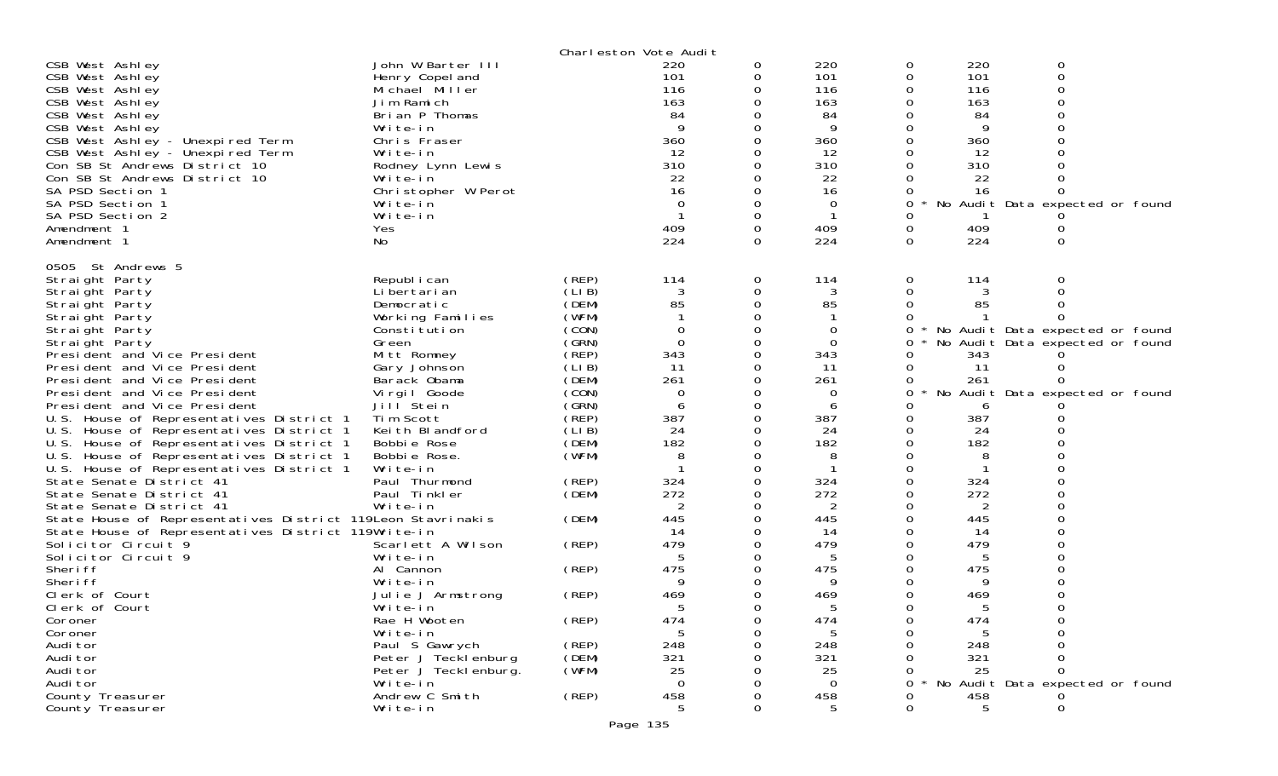|                                                                                                                    |                                   |                | Charleston Vote Audit |          |                |          |           |                                 |  |
|--------------------------------------------------------------------------------------------------------------------|-----------------------------------|----------------|-----------------------|----------|----------------|----------|-----------|---------------------------------|--|
| CSB West Ashley                                                                                                    | John W Barter III                 |                | 220                   | 0        | 220            | 0        | 220       | 0                               |  |
| CSB West Ashley                                                                                                    | Henry Copel and                   |                | 101                   | 0        | 101            | 0        | 101       | 0                               |  |
| CSB West Ashley                                                                                                    | Michael Miller                    |                | 116                   | 0        | 116            | 0        | 116       |                                 |  |
| CSB West Ashley                                                                                                    | Jim Ramich                        |                | 163                   | 0        | 163            |          | 163       |                                 |  |
| CSB West Ashley                                                                                                    | Brian P Thomas                    |                | 84<br>9               |          | 84<br>9        |          | 84<br>9   |                                 |  |
| CSB West Ashley                                                                                                    | Write-in<br>Chris Fraser          |                | 360                   | 0        | 360            |          | 360       |                                 |  |
| CSB West Ashley - Unexpired Term<br>CSB West Ashley - Unexpired Term                                               | Write-in                          |                | 12                    | 0        | 12             |          | 12        |                                 |  |
| Con SB St Andrews District 10                                                                                      | Rodney Lynn Lewis                 |                | 310                   | 0        | 310            |          | 310       |                                 |  |
| Con SB St Andrews District 10                                                                                      | Write-in                          |                | 22                    |          | 22             |          | 22        |                                 |  |
| SA PSD Section 1                                                                                                   | Christopher W Perot               |                | 16                    | 0        | 16             |          | 16        |                                 |  |
| SA PSD Section 1                                                                                                   | Write-in                          |                | 0                     |          | $\Omega$       | $\Omega$ |           | No Audit Data expected or found |  |
| SA PSD Section 2                                                                                                   | Write-in                          |                | -1                    | $\Omega$ | $\mathbf 1$    | O        |           |                                 |  |
| Amendment 1                                                                                                        | Yes                               |                | 409                   | 0        | 409            | 0        | 409       |                                 |  |
| Amendment 1                                                                                                        | No.                               |                | 224                   | 0        | 224            | $\Omega$ | 224       | 0                               |  |
| 0505 St Andrews 5                                                                                                  |                                   |                |                       |          |                |          |           |                                 |  |
| Straight Party                                                                                                     | Republ i can                      | (REP)          | 114                   | 0        | 114            | 0        | 114       | 0                               |  |
| Straight Party                                                                                                     | Li bertari an                     | (LIB)          | 3                     | 0        |                | 0        |           |                                 |  |
| Straight Party                                                                                                     | Democratic                        | (DEM)          | 85                    | 0        | 85             | 0        | 85        |                                 |  |
| Straight Party                                                                                                     | Working Families                  | (WFM)          |                       | 0        |                |          |           |                                 |  |
| Straight Party                                                                                                     | Constitution                      | (CON)          | $\Omega$              | 0        | $\overline{0}$ | 0        |           | No Audit Data expected or found |  |
| Straight Party<br>President and Vice President                                                                     | Green                             | (GRN)<br>(REP) | $\mathbf 0$<br>343    | 0<br>0   | 0<br>343       | 0        | 343       | No Audit Data expected or found |  |
| President and Vice President                                                                                       | Mitt Romney<br>Gary Johnson       | (LIB)          | 11                    | 0        | 11             | 0        | 11        |                                 |  |
| President and Vice President                                                                                       | Barack Obama                      | (DEM)          | 261                   | 0        | 261            | 0        | 261       |                                 |  |
| President and Vice President                                                                                       | Vi rgi I Goode                    | (CON)          | $\Omega$              | 0        | 0              | 0        |           | No Audit Data expected or found |  |
| President and Vice President                                                                                       | Jill Stein                        | (GRN)          | 6                     | 0        | 6              | 0        | 6         |                                 |  |
| U.S. House of Representatives District 1                                                                           | Tim Scott                         | (REP)          | 387                   | 0        | 387            |          | 387       |                                 |  |
| U.S. House of Representatives District 1                                                                           | Keith Blandford                   | (LIB)          | 24                    | 0        | 24             |          | 24        |                                 |  |
| U.S. House of Representatives District 1                                                                           | Bobbie Rose                       | (DEM)          | 182                   | 0        | 182            |          | 182       |                                 |  |
| U.S. House of Representatives District 1                                                                           | Bobbie Rose.                      | (WFM)          | 8                     | 0        | 8              |          | 8         |                                 |  |
| U.S. House of Representatives District 1                                                                           | Write-in                          |                |                       | 0        |                |          |           |                                 |  |
| State Senate District 41                                                                                           | Paul Thurmond                     | (REP)          | 324                   | 0        | 324            |          | 324       |                                 |  |
| State Senate District 41                                                                                           | Paul Tinkler                      | (DEM)          | 272                   | 0        | 272            |          | 272       |                                 |  |
| State Senate District 41                                                                                           | Write-in                          |                | 2                     | 0        | 2              |          | 2         |                                 |  |
| State House of Representatives District 119Leon Stavrinakis<br>State House of Representatives District 119Write-in |                                   | (DEM)          | 445<br>-14            | 0        | 445<br>-14     |          | 445<br>14 |                                 |  |
| Solicitor Circuit 9                                                                                                | Scarlett A Wilson                 | (REP)          | 479                   | 0        | 479            |          | 479       |                                 |  |
| Solicitor Circuit 9                                                                                                | Write-in                          |                | 5                     | 0        | 5              |          | 5         |                                 |  |
| Sheri ff                                                                                                           | Al Cannon                         | (REP)          | 475                   | 0        | 475            |          | 475       |                                 |  |
| Sheri ff                                                                                                           | Write-in                          |                | Q                     | 0        | 9              |          | q         |                                 |  |
| Clerk of Court                                                                                                     | Julie J Armstrong                 | (REP)          | 469                   | 0        | 469            |          | 469       |                                 |  |
| Clerk of Court                                                                                                     | Write-in                          |                | 5                     | 0        | 5              | 0        |           | 0                               |  |
| Coroner                                                                                                            | Rae H Wooten                      | (REP)          | 474                   | 0        | 474            | O        | 474       |                                 |  |
| Coroner                                                                                                            | Write-in                          |                | 5                     | 0        |                |          |           |                                 |  |
| Audi tor                                                                                                           | Paul S Gawrych                    | (REP)          | 248                   | O        | 248            |          | 248       |                                 |  |
| Audi tor                                                                                                           | Peter J Tecklenburg               | (DEM)          | 321                   |          | 321            |          | 321       |                                 |  |
| Audi tor<br>Audi tor                                                                                               | Peter J Teckl enburg.<br>Write-in | (WFM)          | 25<br>$\Omega$        |          | 25<br>$\Omega$ | ∩        | 25        |                                 |  |
| County Treasurer                                                                                                   | Andrew C Smith                    | (REP)          | 458                   |          | 458            |          | 458       | No Audit Data expected or found |  |
| County Treasurer                                                                                                   | Write-in                          |                | 5                     | 0        | 5              | 0        | 5         |                                 |  |
|                                                                                                                    |                                   |                | Page 135              |          |                |          |           |                                 |  |
|                                                                                                                    |                                   |                |                       |          |                |          |           |                                 |  |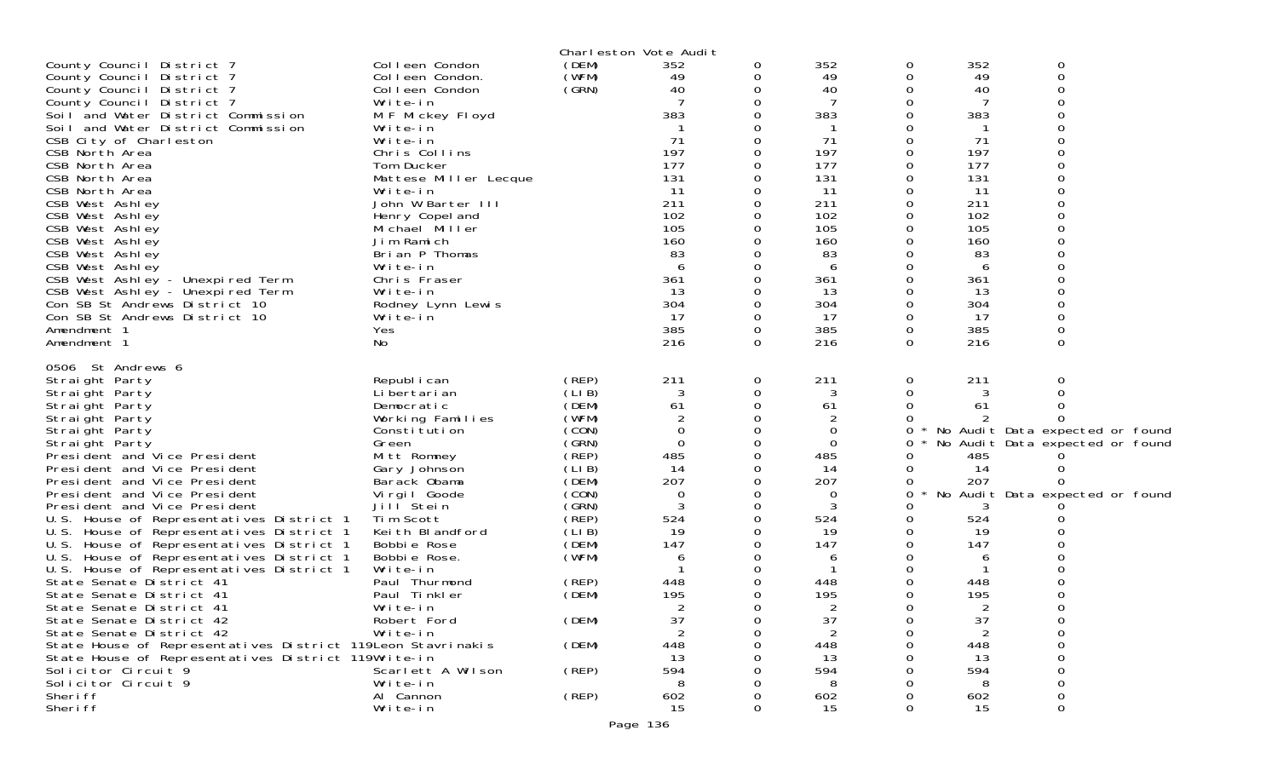|                                                                                      |                                   |                | Charleston Vote Audit |             |             |          |               |                                 |  |
|--------------------------------------------------------------------------------------|-----------------------------------|----------------|-----------------------|-------------|-------------|----------|---------------|---------------------------------|--|
| County Council District 7                                                            | Colleen Condon                    | (DEM)          | 352                   | 0           | 352         | 0        | 352           | 0                               |  |
| County Council District 7                                                            | Colleen Condon.                   | (WFM)          | 49                    | 0           | 49          | 0        | 49            | 0                               |  |
| County Council District 7                                                            | Colleen Condon                    | (GRN)          | 40                    | 0           | 40          | $\Omega$ | 40            | 0                               |  |
| County Council District 7                                                            | Write-in                          |                |                       | $\Omega$    | 7           | 0        | 7             | 0                               |  |
| Soil and Water District Commission                                                   | M F Mickey Floyd                  |                | 383                   |             | 383         | 0        | 383           |                                 |  |
| Soil and Water District Commission                                                   | Write-in                          |                |                       |             |             | 0        |               |                                 |  |
| CSB City of Charleston                                                               | Write-in                          |                | 71                    |             | 71          | 0        | 71            |                                 |  |
| CSB North Area                                                                       | Chris Collins                     |                | 197                   |             | 197         | 0        | 197           |                                 |  |
| CSB North Area                                                                       | Tom Ducker                        |                | 177<br>131            |             | 177         | $\Omega$ | 177           | $\Omega$                        |  |
| CSB North Area<br>CSB North Area                                                     | Mattese Miller Lecque<br>Write-in |                | 11                    |             | 131<br>11   | 0<br>0   | 131<br>11     |                                 |  |
| CSB West Ashley                                                                      | John W Barter III                 |                | 211                   |             | 211         | $\Omega$ | 211           |                                 |  |
| CSB West Ashley                                                                      | Henry Copel and                   |                | 102                   |             | 102         | 0        | 102           | ი                               |  |
| CSB West Ashley                                                                      | Michael Miller                    |                | 105                   |             | 105         | 0        | 105           |                                 |  |
| CSB West Ashley                                                                      | Jim Ramich                        |                | 160                   |             | 160         | $\Omega$ | 160           | ი                               |  |
| CSB West Ashley                                                                      | Brian P Thomas                    |                | 83                    |             | 83          | 0        | 83            |                                 |  |
| CSB West Ashley                                                                      | Write-in                          |                | 6                     |             | 6           | 0        | 6             |                                 |  |
| CSB West Ashley - Unexpired Term                                                     | Chris Fraser                      |                | 361                   | 0           | 361         | $\Omega$ | 361           |                                 |  |
| CSB West Ashley - Unexpired Term                                                     | Write-in                          |                | -13                   | 0           | 13          | 0        | 13            | 0                               |  |
| Con SB St Andrews District 10                                                        | Rodney Lynn Lewis                 |                | 304                   |             | 304         | 0        | 304           | 0                               |  |
| Con SB St Andrews District 10                                                        | Write-in                          |                | 17                    | $\Omega$    | 17          | $\Omega$ | 17            | 0                               |  |
| Amendment 1                                                                          | Yes                               |                | 385                   | 0           | 385         | 0        | 385           | 0                               |  |
| Amendment 1                                                                          | No                                |                | 216                   | 0           | 216         | $\Omega$ | 216           | 0                               |  |
| 0506 St Andrews 6                                                                    |                                   |                |                       |             |             |          |               |                                 |  |
| Straight Party                                                                       | Republ i can                      | (REP)          | 211                   | 0           | 211         | 0        | 211           | 0                               |  |
| Straight Party                                                                       | Li bertari an                     | (LIB)          | 3                     | 0           | 3           | 0        | 3             | O                               |  |
| Straight Party                                                                       | Democratic                        | (DEM)          | 61                    | 0           | 61          | 0        | 61            |                                 |  |
| Straight Party                                                                       | Working Families                  | (WFM)          | 2                     |             | 2           | 0        |               |                                 |  |
| Straight Party                                                                       | Constitution                      | (CON)          | $\Omega$              | 0           | $\mathbf 0$ | 0        |               | No Audit Data expected or found |  |
| Straight Party                                                                       | Green                             | (SRN)          | $\Omega$              | $\mathbf 0$ | 0           | 0        |               | No Audit Data expected or found |  |
| President and Vice President                                                         | Mitt Romney                       | (REP)          | 485                   |             | 485         | 0        | 485           |                                 |  |
| President and Vice President                                                         | Gary Johnson                      | (LIB)          | 14                    | 0           | 14          | 0        | 14            |                                 |  |
| President and Vice President                                                         | Barack Obama                      | (DEM)          | 207                   |             | 207         | 0        | 207           |                                 |  |
| President and Vice President                                                         | Virgil Goode                      | (CON)          | 0                     | 0           | 0           | 0        |               | No Audit Data expected or found |  |
| President and Vice President                                                         | Jill Stein                        | (GRN)          | 3                     | 0           | 3           | 0        | 3             |                                 |  |
| U.S. House of Representatives District 1<br>U.S. House of Representatives District 1 | Tim Scott<br>Keith Blandford      | (REP)<br>(LIB) | 524<br>19             | 0           | 524<br>19   | 0<br>0   | 524<br>-19    |                                 |  |
| U.S. House of Representatives District 1                                             | Bobbie Rose                       | (DEM)          | 147                   |             | 147         | 0        | 147           |                                 |  |
| U.S. House of Representatives District 1                                             | Bobbie Rose.                      | (WFM)          | 6                     |             | 6           | 0        | 6             |                                 |  |
| U.S. House of Representatives District 1                                             | Write-in                          |                |                       |             |             | 0        |               |                                 |  |
| State Senate District 41                                                             | Paul Thurmond                     | (REP)          | 448                   |             | 448         | 0        | 448           |                                 |  |
| State Senate District 41                                                             | Paul Tinkler                      | (DEM)          | 195                   |             | 195         | 0        | 195           |                                 |  |
| State Senate District 41                                                             | Write-in                          |                |                       |             |             | $\Omega$ | $\mathcal{P}$ | ∩                               |  |
| State Senate District 42                                                             | Robert Ford                       | (DEM)          | 37                    |             | 37          | 0        | 37            | 0                               |  |
| State Senate District 42                                                             | Write-in                          |                |                       |             |             | O        | 2             | ი                               |  |
| State House of Representatives District 119Leon Stavrinakis                          |                                   | (DEM)          | 448                   |             | 448         |          | 448           |                                 |  |
| State House of Representatives District 119Write-in                                  |                                   |                | 13                    |             | 13          |          | 13            |                                 |  |
| Solicitor Circuit 9                                                                  | Scarlett A Wilson                 | (REP)          | 594                   |             | 594         |          | 594           |                                 |  |
| Solicitor Circuit 9                                                                  | Write-in                          |                |                       |             | 8           |          |               |                                 |  |
| Sheri ff                                                                             | Al Cannon                         | (REP)          | 602                   |             | 602         |          | 602           | 0                               |  |
| Sheri ff                                                                             | Write-in                          |                | 15                    |             | 15          | 0        | 15            | 0                               |  |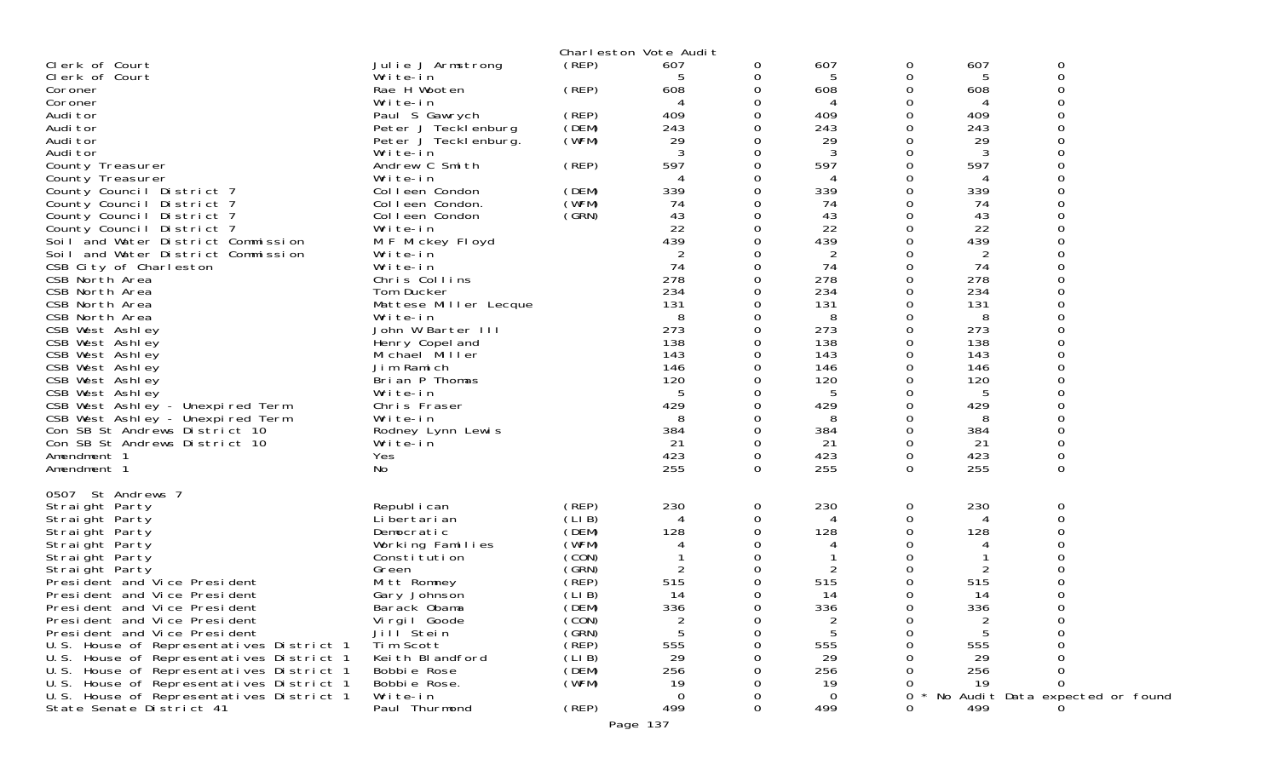|                                                                      |                             |                | Charleston Vote Audit |               |           |                  |           |                                 |  |
|----------------------------------------------------------------------|-----------------------------|----------------|-----------------------|---------------|-----------|------------------|-----------|---------------------------------|--|
| Clerk of Court                                                       | Julie J Armstrong           | (REP)          | 607                   | 0             | 607       | 0                | 607       | 0                               |  |
| Clerk of Court                                                       | Write-in                    |                | 5                     | 0             | 5         | 0                | 5         | 0                               |  |
| Coroner                                                              | Rae H Wooten                | (REP)          | 608                   | 0             | 608       | 0                | 608       | 0                               |  |
| Coroner                                                              | Write-in                    |                |                       | 0             |           | 0                | 4         | 0                               |  |
| Audi tor                                                             | Paul S Gawrych              | (REP)          | 409                   | 0             | 409       | 0                | 409       | 0                               |  |
| Audi tor                                                             | Peter J Tecklenburg         | (DEM)          | 243                   |               | 243       | 0                | 243       | 0                               |  |
| Audi tor                                                             | Peter J Tecklenburg.        | (WFM)          | 29                    | 0             | 29        | $\Omega$         | 29        | $\Omega$<br>ი                   |  |
| Audi tor                                                             | Write-in                    |                | -3                    | 0<br>$\Omega$ | 3         | 0                | 3         | ი                               |  |
| County Treasurer                                                     | Andrew C Smith              | (REP)          | 597                   | 0             | 597       | 0<br>0           | 597       | O                               |  |
| County Treasurer<br>County Council District 7                        | Write-in<br>Colleen Condon  | (DEM)          | 339                   | 0             | 339       | 0                | 339       | 0                               |  |
| County Council District 7                                            | Colleen Condon.             | (WFM)          | 74                    |               | 74        | 0                | 74        | 0                               |  |
| County Council District 7                                            | Colleen Condon              | (SRN)          | 43                    | 0             | 43        | $\Omega$         | 43        | $\Omega$                        |  |
| County Council District 7                                            | Write-in                    |                | 22                    | 0             | 22        | 0                | 22        |                                 |  |
| Soil and Water District Commission                                   | M F Mickey Floyd            |                | 439                   | 0             | 439       | 0                | 439       | O                               |  |
| Soil and Water District Commission                                   | Write-in                    |                |                       | 0             | 2         | 0                | 2         | 0                               |  |
| CSB City of Charleston                                               | Write-in                    |                | 74                    | 0             | 74        | 0                | 74        | 0                               |  |
| CSB North Area                                                       | Chris Collins               |                | 278                   |               | 278       | 0                | 278       | $\Omega$                        |  |
| CSB North Area                                                       | Tom Ducker                  |                | 234                   | 0             | 234       | $\mathbf 0$      | 234       | 0                               |  |
| CSB North Area                                                       | Mattese Miller Lecque       |                | 131                   |               | 131       | 0                | 131       | 0                               |  |
| CSB North Area                                                       | Write-in                    |                | 8                     |               | 8         | 0                | 8         | O                               |  |
| CSB West Ashley                                                      | John W Barter III           |                | 273                   | 0             | 273       | 0                | 273       | 0                               |  |
| CSB West Ashley                                                      | Henry Copel and             |                | 138                   |               | 138       | 0                | 138       | 0                               |  |
| CSB West Ashley                                                      | Michael Miller              |                | 143                   | 0             | 143       | $\Omega$         | 143       | 0                               |  |
| CSB West Ashley                                                      | Jim Ramich                  |                | 146                   | 0             | 146       | 0                | 146       | 0                               |  |
| CSB West Ashley                                                      | Brian P Thomas              |                | 120                   |               | 120       | 0                | 120       |                                 |  |
| CSB West Ashley                                                      | Write-in                    |                | 429                   | 0             | 5<br>429  | 0<br>$\mathbf 0$ | 5<br>429  | 0<br>0                          |  |
| CSB West Ashley - Unexpired Term<br>CSB West Ashley - Unexpired Term | Chris Fraser<br>Write-in    |                | 8                     | 0             | 8         | 0                | 8         | 0                               |  |
| Con SB St Andrews District 10                                        | Rodney Lynn Lewis           |                | 384                   | $\Omega$      | 384       | $\Omega$         | 384       | 0                               |  |
| Con SB St Andrews District 10                                        | Write-in                    |                | 21                    | 0             | 21        | 0                | 21        | 0                               |  |
| Amendment 1                                                          | Yes                         |                | 423                   | 0             | 423       | $\mathbf 0$      | 423       | 0                               |  |
| Amendment 1                                                          | No                          |                | 255                   | $\Omega$      | 255       | $\Omega$         | 255       | 0                               |  |
|                                                                      |                             |                |                       |               |           |                  |           |                                 |  |
| 0507 St Andrews 7                                                    |                             |                |                       |               |           |                  |           |                                 |  |
| Straight Party                                                       | Republ i can                | (REP)          | 230                   | 0             | 230       | 0                | 230       | 0                               |  |
| Straight Party                                                       | Li bertari an               | (LIB)          | 4                     | 0             | 4         | 0                | 4         | 0                               |  |
| Straight Party                                                       | Democratic                  | (DEM)          | 128                   | 0             | 128       | 0                | 128       | ი                               |  |
| Straight Party                                                       | Working Families            | (WFM)          |                       | 0             |           | 0                |           | 0                               |  |
| Straight Party                                                       | Constitution                | (CON)          |                       | 0             |           | 0                |           | 0                               |  |
| Straight Party                                                       | Green                       | (GRN)          | 2                     | 0             | 2         | 0                | 2         | 0                               |  |
| President and Vice President<br>President and Vice President         | Mitt Romney<br>Gary Johnson | (REP)<br>(LIB) | 515<br>14             | 0<br>0        | 515<br>14 | $\Omega$<br>0    | 515<br>14 | 0                               |  |
| President and Vice President                                         | Barack Obama                | (DEM)          | 336                   | $\Omega$      | 336       | 0                | 336       | 0                               |  |
| President and Vice President                                         | Virgil Goode                | (CON)          | 2                     |               | 2         | 0                | 2         | 0                               |  |
| President and Vice President                                         | Jill Stein                  | (GRN)          | 5                     | 0             | 5         | 0                | 5         | Ω                               |  |
| U.S. House of Representatives District 1                             | Tim Scott                   | (REP)          | 555                   |               | 555       | Ω                | 555       | ი                               |  |
| U.S. House of Representatives District 1                             | Keith Blandford             | (LIB)          | 29                    |               | 29        |                  | 29        |                                 |  |
| U.S. House of Representatives District 1                             | Bobbie Rose                 | (DEM)          | 256                   |               | 256       |                  | 256       |                                 |  |
| U.S. House of Representatives District 1                             | Bobbie Rose.                | (WFM)          | 19                    |               | 19        | O                | 19        | 0                               |  |
| U.S. House of Representatives District 1                             | Write-in                    |                | $\Omega$              |               | 0         | 0                |           | No Audit Data expected or found |  |
| State Senate District 41                                             | Paul Thurmond               | (REP)          | 499                   | $\Omega$      | 499       | 0                | 499       |                                 |  |
|                                                                      |                             |                | Page 137              |               |           |                  |           |                                 |  |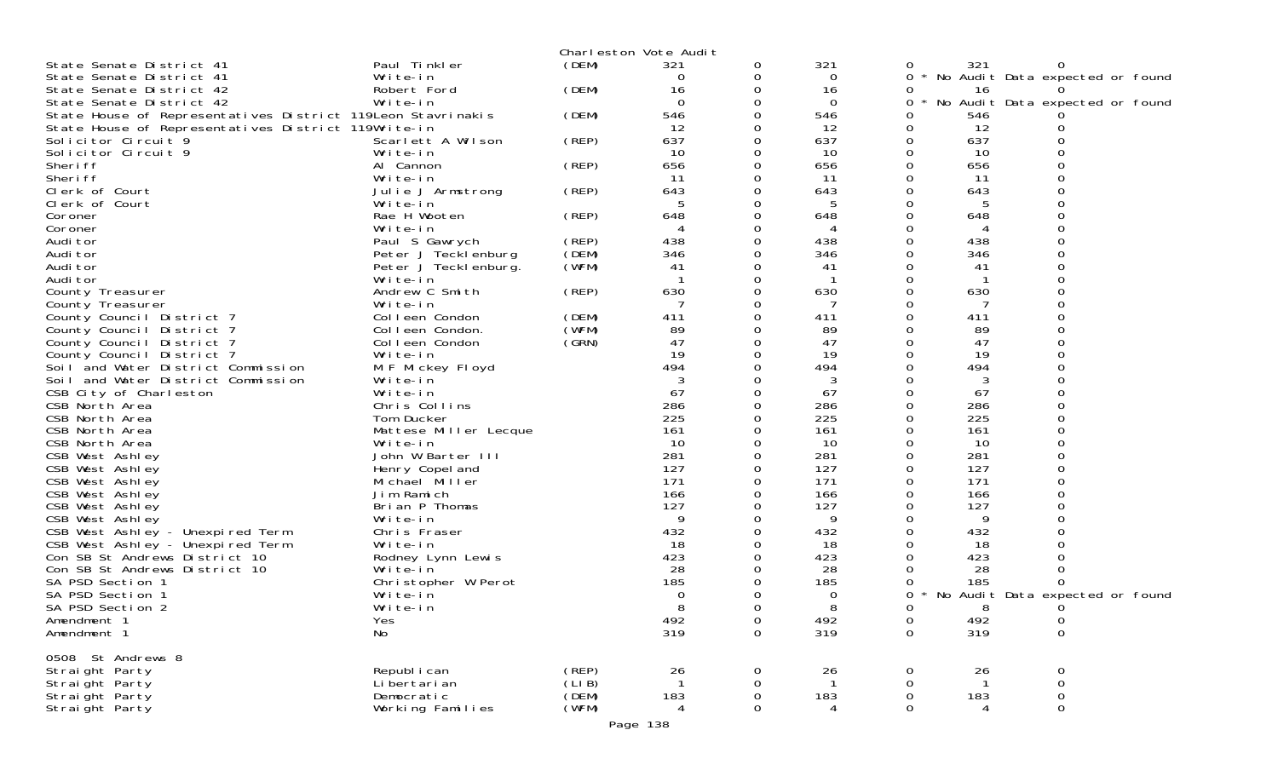|                                                             |                                   |                | Charleston Vote Audit |               |              |              |            |                                 |
|-------------------------------------------------------------|-----------------------------------|----------------|-----------------------|---------------|--------------|--------------|------------|---------------------------------|
| State Senate District 41                                    | Paul Tinkler                      | (DEM)          | 321                   | 0             | 321          | 0            | 321        |                                 |
| State Senate District 41                                    | Write-in                          |                | 0                     | 0             | 0            | $\Omega$     |            | No Audit Data expected or found |
| State Senate District 42                                    | Robert Ford                       | (DEM)          | 16                    | 0             | 16           | 0            | 16         |                                 |
| State Senate District 42                                    | Write-in                          |                | $\mathbf 0$           | 0             | 0            | 0            |            | No Audit Data expected or found |
| State House of Representatives District 119Leon Stavrinakis |                                   | (DEM)          | 546                   |               | 546          |              | 546        |                                 |
| State House of Representatives District 119Write-in         |                                   |                | 12                    | 0             | 12           | 0            | 12         |                                 |
| Solicitor Circuit 9<br>Solicitor Circuit 9                  | Scarlett A Wilson<br>Write-in     | (REP)          | 637<br>10             | 0             | 637<br>10    | 0<br>0       | 637<br>10  |                                 |
| Sheri ff                                                    | Al Cannon                         | (REP)          | 656                   |               | 656          | $\Omega$     | 656        |                                 |
| Sheri ff                                                    | Write-in                          |                | -11                   | 0             | 11           | 0            | 11         |                                 |
| Clerk of Court                                              | Julie J Armstrong                 | (REP)          | 643                   |               | 643          |              | 643        |                                 |
| Clerk of Court                                              | Write-in                          |                |                       |               |              |              |            |                                 |
| Coroner                                                     | Rae H Wooten                      | (REP)          | 648                   | 0             | 648          | 0            | 648        |                                 |
| Coroner                                                     | Write-in                          |                | 4                     |               | 4            |              | 4          |                                 |
| Audi tor                                                    | Paul S Gawrych                    | (REP)          | 438                   | $\Omega$      | 438          | $\Omega$     | 438        |                                 |
| Audi tor                                                    | Peter J Tecklenburg               | (DEM)          | 346                   | 0             | 346          |              | 346        |                                 |
| Audi tor                                                    | Peter J Teckl enburg.             | (WFM)          | 41                    | 0             | 41           |              | 41         |                                 |
| Audi tor                                                    | Write-in                          |                |                       | 0             |              |              |            |                                 |
| County Treasurer                                            | Andrew C Smith                    | (REP)          | 630                   | 0             | 630          | 0            | 630        |                                 |
| County Treasurer                                            | Write-in                          |                |                       |               | 7            |              |            |                                 |
| County Council District 7<br>County Council District 7      | Colleen Condon<br>Colleen Condon. | (DEM)<br>(WFM) | 411<br>89             | $\Omega$<br>0 | 411<br>89    |              | 411<br>89  |                                 |
| County Council District 7                                   | Colleen Condon                    | (GRN)          | 47                    |               | 47           |              | 47         |                                 |
| County Council District 7                                   | Write-in                          |                | 19                    | 0             | 19           | 0            | 19         |                                 |
| Soil and Water District Commission                          | M F Mickey Floyd                  |                | 494                   | 0             | 494          | 0            | 494        |                                 |
| Soil and Water District Commission                          | Write-in                          |                | 3                     |               | 3            |              | 3          |                                 |
| CSB City of Charleston                                      | Write-in                          |                | 67                    | $\Omega$      | 67           | $\Omega$     | 67         |                                 |
| CSB North Area                                              | Chris Collins                     |                | 286                   |               | 286          | 0            | 286        |                                 |
| CSB North Area                                              | Tom Ducker                        |                | 225                   |               | 225          |              | 225        |                                 |
| CSB North Area                                              | Mattese Miller Lecque             |                | 161                   |               | 161          |              | 161        |                                 |
| CSB North Area                                              | Write-in                          |                | 10                    |               | 10           |              | 10         |                                 |
| CSB West Ashley                                             | John W Barter III                 |                | 281                   |               | 281          |              | 281        |                                 |
| CSB West Ashley                                             | Henry Copel and                   |                | 127                   | 0             | 127          | 0            | 127        |                                 |
| CSB West Ashley                                             | Michael Miller<br>Jim Ramich      |                | 171<br>166            |               | 171<br>166   |              | 171<br>166 |                                 |
| CSB West Ashley<br>CSB West Ashley                          | Brian P Thomas                    |                | 127                   |               | 127          |              | 127        |                                 |
| CSB West Ashley                                             | Write-in                          |                | 9                     |               | 9            |              | 9          |                                 |
| CSB West Ashley - Unexpired Term                            | Chris Fraser                      |                | 432                   |               | 432          |              | 432        |                                 |
| CSB West Ashley - Unexpired Term                            | Write-in                          |                | 18                    |               | 18           |              | 18         |                                 |
| Con SB St Andrews District 10                               | Rodney Lynn Lewis                 |                | 423                   |               | 423          |              | 423        |                                 |
| Con SB St Andrews District 10                               | Write-in                          |                | 28                    |               | 28           |              | 28         |                                 |
| SA PSD Section 1                                            | Christopher W Perot               |                | 185                   |               | 185          |              | 185        |                                 |
| SA PSD Section 1                                            | Write-in                          |                | 0                     |               | 0            | 0            |            | No Audit Data expected or found |
| SA PSD Section 2                                            | Write-in                          |                | Q                     | $\Omega$      | $\mathsf{R}$ | <sup>n</sup> | 8          | $\theta$                        |
| Amendment 1                                                 | Yes                               |                | 492                   | 0             | 492          | 0            | 492        | 0                               |
| Amendment 1                                                 | No                                |                | 319                   | 0             | 319          | $\mathbf 0$  | 319        | $\mathsf 0$                     |
| 0508 St Andrews 8                                           |                                   |                |                       |               |              |              |            |                                 |
| Straight Party                                              | Republ i can                      | (REP)          | 26                    | 0             | 26           | 0            | 26         | 0                               |
| Straight Party                                              | Li bertari an                     | (LIB)          |                       | 0             |              | 0            |            | 0                               |
| Straight Party                                              | Democratic                        | (DEM)          | 183                   | 0             | 183          | 0            | 183        | 0                               |
| Straight Party                                              | Working Families                  | (WFM)          | 4                     | $\Omega$      | 4            | $\Omega$     | 4          | $\Omega$                        |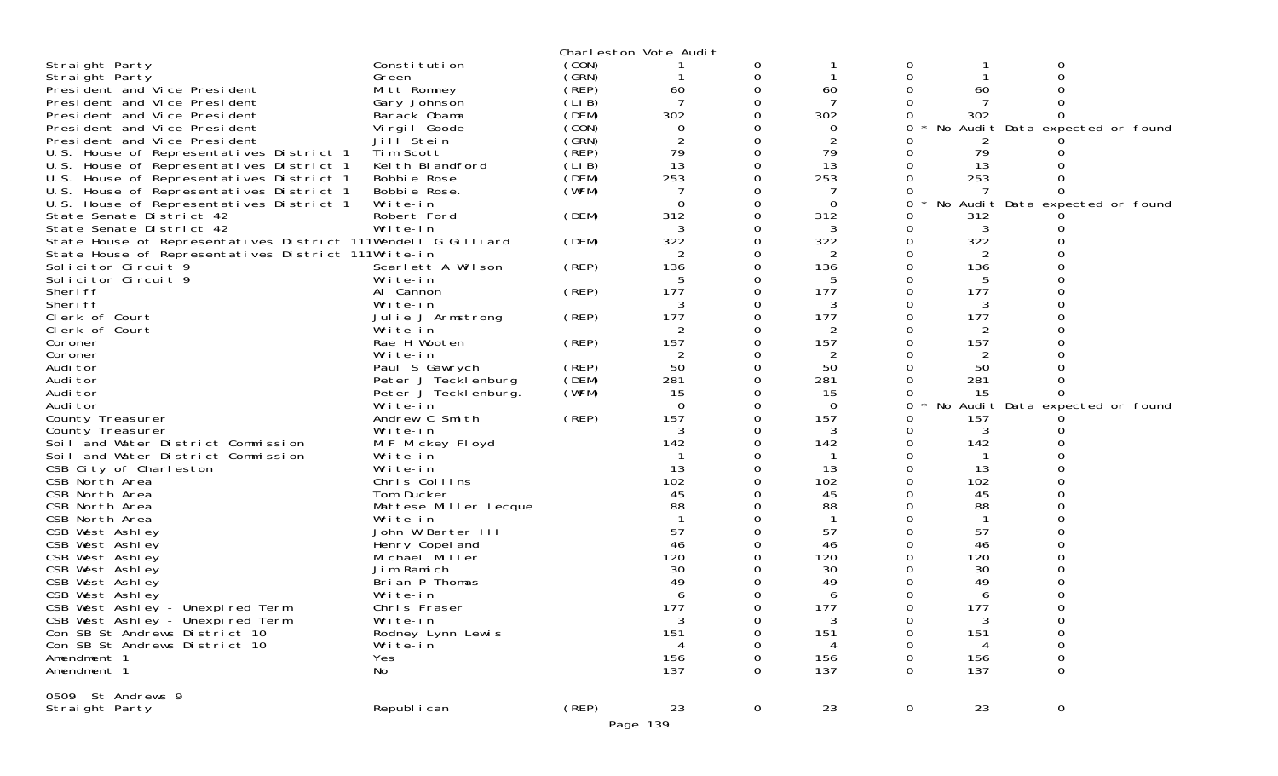|                                                               |                       |             | Charleston Vote Audit |             |                |              |     |                                 |  |
|---------------------------------------------------------------|-----------------------|-------------|-----------------------|-------------|----------------|--------------|-----|---------------------------------|--|
| Straight Party                                                | Constitution          | (CON)       |                       | 0           |                | 0            |     | 0                               |  |
| Straight Party                                                | Green                 | (GRN)       |                       | 0           | -1             | 0            |     | $\Omega$                        |  |
| President and Vice President                                  | Mitt Romney           | (REP)       | 60                    | 0           | 60             |              | 60  |                                 |  |
| President and Vice President                                  | Gary Johnson          | (LIB)       | 7                     | 0           | 7              |              |     |                                 |  |
| President and Vice President                                  | Barack Obama          | (DEM)       | 302                   | 0           | 302            | 0            | 302 | 0                               |  |
| President and Vice President                                  | Virgil Goode          | (CON)       | $\Omega$              | 0           | 0              | 0            |     | No Audit Data expected or found |  |
| President and Vice President                                  | Jill Stein            | (GRN)       | $\overline{2}$        | $\Omega$    | 2              |              |     |                                 |  |
| U.S. House of Representatives District 1                      | Tim Scott             | (REP)       | 79                    | 0           | 79             | 0            | 79  |                                 |  |
| U.S. House of Representatives District 1                      | Keith Blandford       | (LIB)       | 13                    | 0           | 13             |              | 13  |                                 |  |
| U.S. House of Representatives District 1                      | Bobbie Rose           | (DEM)       | 253                   | $\Omega$    | 253            | 0            | 253 |                                 |  |
| U.S. House of Representatives District 1                      | Bobbie Rose.          | (WFM)       |                       | 0           |                | 0            |     | <sup>o</sup>                    |  |
| U.S. House of Representatives District 1                      | Write-in              |             | $\Omega$              | 0           | $\Omega$       | 0            | No  | Audit Data expected or found    |  |
| State Senate District 42                                      | Robert Ford           | (DEM)       | 312                   | 0           | 312            | 0            |     |                                 |  |
|                                                               |                       |             |                       |             |                |              | 312 |                                 |  |
| State Senate District 42                                      | Write-in              |             | 3                     | 0           | 3              | 0            | 3   |                                 |  |
| State House of Representatives District 111Wendell G Gilliard |                       | (DEM)       | 322                   | $\Omega$    | 322            | 0            | 322 |                                 |  |
| State House of Representatives District 111Write-in           |                       |             | 2                     | 0           | 2              | 0            | 2   |                                 |  |
| Solicitor Circuit 9                                           | Scarlett A Wilson     | (REP)       | 136                   | $\mathbf 0$ | 136            | 0            | 136 |                                 |  |
| Solicitor Circuit 9                                           | Write-in              |             | 5                     | 0           | 5              | 0            | 5   |                                 |  |
| Sheri ff                                                      | Al Cannon             | (REP)       | 177                   | 0           | 177            | 0            | 177 |                                 |  |
| Sheri ff                                                      | Write-in              |             | 3                     | 0           | 3              | 0            | 3   |                                 |  |
| Clerk of Court                                                | Julie J Armstrong     | (REP)       | 177                   | 0           | 177            | 0            | 177 |                                 |  |
| Clerk of Court                                                | Write-in              |             |                       | $\Omega$    | 2              | 0            | 2   |                                 |  |
| Coroner                                                       | Rae H Wooten          | (REP)       | 157                   | 0           | 157            |              | 157 |                                 |  |
| Coroner                                                       | Write-in              |             | 2                     | 0           | 2              | 0            | 2   |                                 |  |
| Audi tor                                                      | Paul S Gawrych        | (REP)       | 50                    | 0           | 50             | 0            | 50  |                                 |  |
| Audi tor                                                      | Peter J Tecklenburg   | (DEM)       | 281                   | $\mathbf 0$ | 281            | 0            | 281 |                                 |  |
| Audi tor                                                      | Peter J Teckl enburg. | (WFM)       | 15                    | $\Omega$    | 15             | 0            | 15  |                                 |  |
| Audi tor                                                      | Write-in              |             | $\Omega$              | 0           | $\overline{0}$ | 0            | No  | Audit Data expected or found    |  |
| County Treasurer                                              | Andrew C Smith        | (REP)       | 157                   | 0           | 157            | 0            | 157 |                                 |  |
| County Treasurer                                              | Write-in              |             |                       | $\Omega$    | 3              | 0            | 3   |                                 |  |
| Soil and Water District Commission                            | M F Mickey Floyd      |             | 142                   | 0           | 142            | 0            | 142 |                                 |  |
| Soil and Water District Commission                            | Write-in              |             |                       |             | -1             |              |     |                                 |  |
| CSB City of Charleston                                        | Write-in              |             | 13                    | $\Omega$    | 13             | 0            | 13  |                                 |  |
| CSB North Area                                                | Chris Collins         |             | 102                   | 0           | 102            | 0            | 102 |                                 |  |
| CSB North Area                                                |                       |             | 45                    |             | 45             |              | 45  |                                 |  |
|                                                               | Tom Ducker            |             | 88                    | $\Omega$    |                | 0            | 88  |                                 |  |
| CSB North Area                                                | Mattese Miller Lecque |             |                       |             | 88             |              |     |                                 |  |
| CSB North Area                                                | Write-in              |             |                       | 0           | -1             | 0            | -1  |                                 |  |
| CSB West Ashley                                               | John W Barter III     |             | 57                    |             | 57             |              | 57  |                                 |  |
| CSB West Ashley                                               | Henry Copel and       |             | 46                    | 0           | 46             | 0            | 46  |                                 |  |
| CSB West Ashley                                               | Michael Miller        |             | 120                   | 0           | 120            | 0            | 120 |                                 |  |
| CSB West Ashley                                               | Jim Ramich            |             | 30                    |             | 30             |              | 30  |                                 |  |
| CSB West Ashley                                               | Brian P Thomas        |             | 49                    | 0           | 49             |              | 49  |                                 |  |
| CSB West Ashley                                               | Write-in              |             | 6                     | 0           | 6              | 0            | 6   |                                 |  |
| CSB West Ashley - Unexpired Term                              | Chris Fraser          |             | 177                   | $\Omega$    | 177            | 0            | 177 | $\Omega$                        |  |
| CSB West Ashley - Unexpired Term                              | Write-in              |             | 3                     | 0           | 3              | 0            | 3   | 0                               |  |
| Con SB St Andrews District 10                                 | Rodney Lynn Lewis     |             | 151                   | 0           | 151            | 0            | 151 | 0                               |  |
| Con SB St Andrews District 10                                 | Write-in              |             |                       | 0           |                | 0            | 4   | 0                               |  |
| Amendment 1                                                   | Yes                   |             | 156                   | 0           | 156            | 0            | 156 | 0                               |  |
| Amendment 1                                                   | No                    |             | 137                   | 0           | 137            | 0            | 137 | 0                               |  |
|                                                               |                       |             |                       |             |                |              |     |                                 |  |
| 0509 St Andrews 9                                             |                       |             |                       |             |                |              |     |                                 |  |
| Straight Party                                                | Republ i can          | $($ REP $)$ | 23                    | 0           | 23             | $\mathsf{O}$ | 23  | $\mathsf{O}$                    |  |
|                                                               |                       |             | Page 139              |             |                |              |     |                                 |  |
|                                                               |                       |             |                       |             |                |              |     |                                 |  |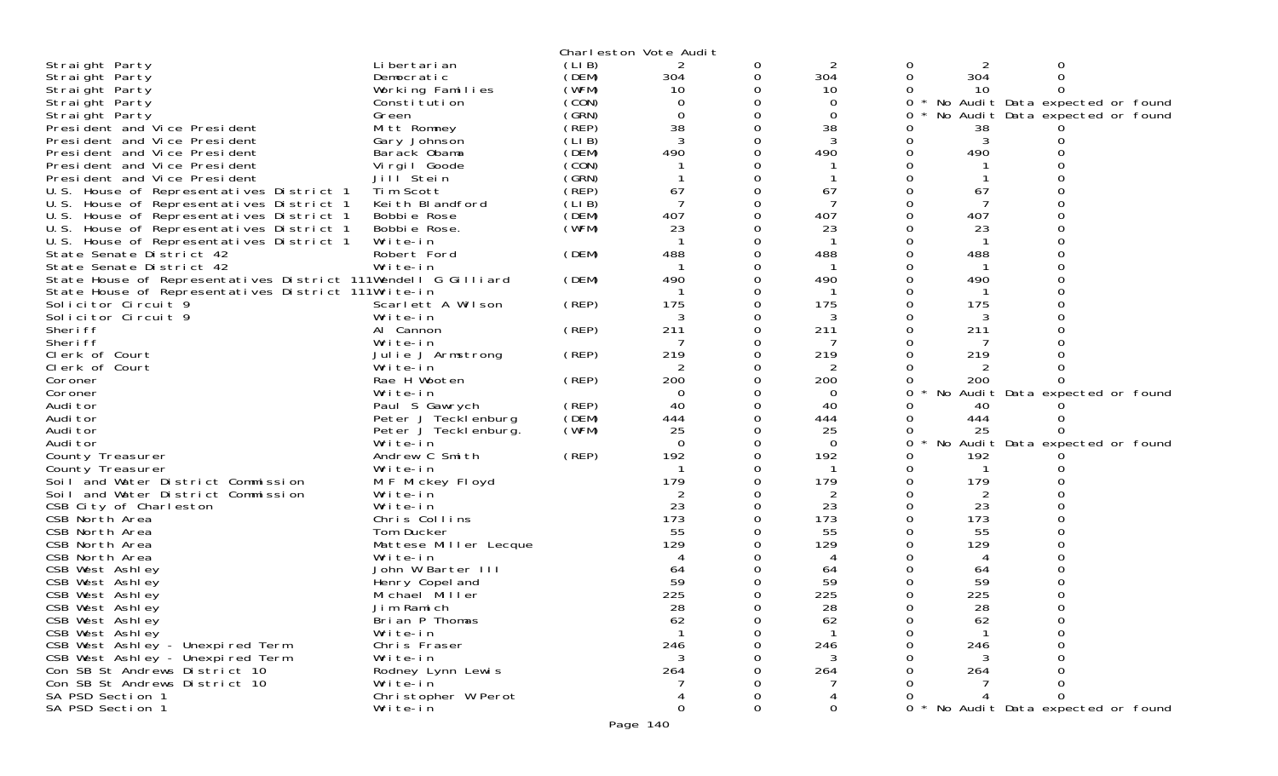|                                                               |                       |       | Charleston Vote Audit |          |             |          |     |                                 |  |
|---------------------------------------------------------------|-----------------------|-------|-----------------------|----------|-------------|----------|-----|---------------------------------|--|
| Straight Party                                                | Li bertari an         | (LIB) | 2                     | 0        |             | 0        |     | 0                               |  |
| Straight Party                                                | Democratic            | (DEM) | 304                   | 0        | 304         | 0        | 304 | 0                               |  |
| Straight Party                                                | Working Families      | (WFM) | 10                    | 0        | 10          | 0        | 10  | $\Omega$                        |  |
| Straight Party                                                | Constitution          | (CON) | $\Omega$              | 0        | $\Omega$    | 0        |     | No Audit Data expected or found |  |
| Straight Party                                                | Green                 | (GRN) | $\mathbf 0$           | 0        | 0           | 0        |     | No Audit Data expected or found |  |
| President and Vice President                                  | Mitt Romney           | (REP) | 38                    | 0        | 38          | 0        | 38  |                                 |  |
| President and Vice President                                  | Gary Johnson          | (LIB) | 3                     | 0        | 3           | $\Omega$ | 3   |                                 |  |
| President and Vice President                                  | Barack Obama          | (DEM) | 490                   | 0        | 490         |          | 490 |                                 |  |
| President and Vice President                                  | Virgil Goode          | (CON) |                       |          |             |          |     |                                 |  |
| President and Vice President                                  | Jill Stein            | (GRN) |                       | 0        |             |          |     |                                 |  |
| U.S. House of Representatives District 1                      | Tim Scott             | (REP) | 67                    | 0        | 67          |          | 67  |                                 |  |
|                                                               |                       |       |                       |          |             |          |     |                                 |  |
| U.S. House of Representatives District 1                      | Keith Blandford       | (LIB) | -7                    |          |             |          |     |                                 |  |
| U.S. House of Representatives District 1                      | Bobbie Rose           | (DEM) | 407                   | 0        | 407         |          | 407 |                                 |  |
| U.S. House of Representatives District 1                      | Bobbie Rose.          | (WFM) | 23                    |          | 23          |          | 23  |                                 |  |
| U.S. House of Representatives District 1                      | Write-in              |       |                       | 0        |             |          |     |                                 |  |
| State Senate District 42                                      | Robert Ford           | (DEM) | 488                   | 0        | 488         | 0        | 488 |                                 |  |
| State Senate District 42                                      | Write-in              |       |                       |          |             |          |     |                                 |  |
| State House of Representatives District 111Wendell G Gilliard |                       | (DEM) | 490                   | $\Omega$ | 490         |          | 490 |                                 |  |
| State House of Representatives District 111Write-in           |                       |       |                       | 0        |             | 0        |     |                                 |  |
| Solicitor Circuit 9                                           | Scarlett A Wilson     | (REP) | 175                   | 0        | 175         |          | 175 |                                 |  |
| Solicitor Circuit 9                                           | Write-in              |       |                       |          | 3           |          | 3   |                                 |  |
| Sheri ff                                                      | Al Cannon             | (REP) | 211                   | 0        | 211         | 0        | 211 |                                 |  |
| Sheri ff                                                      | Write-in              |       |                       |          | 7           |          |     |                                 |  |
| Clerk of Court                                                | Julie J Armstrong     | (REP) | 219                   | 0        | 219         |          | 219 |                                 |  |
| Clerk of Court                                                | Write-in              |       | 2                     | 0        | 2           | 0        | 2   |                                 |  |
| Coroner                                                       | Rae H Wooten          | (REP) | 200                   |          | 200         |          | 200 |                                 |  |
| Coroner                                                       | Write-in              |       | $\Omega$              | 0        | 0           | 0        |     | No Audit Data expected or found |  |
| Audi tor                                                      | Paul S Gawrych        | (REP) | 40                    | 0        | 40          |          | 40  |                                 |  |
| Audi tor                                                      | Peter J Tecklenburg   | (DEM) | 444                   | 0        | 444         | $\Omega$ | 444 |                                 |  |
| Audi tor                                                      |                       |       | 25                    | 0        |             |          |     |                                 |  |
|                                                               | Peter J Teckl enburg. | (WFM) | $\Omega$              |          | 25          |          | 25  |                                 |  |
| Audi tor                                                      | Write-in              |       |                       | 0        | $\Omega$    | 0        |     | No Audit Data expected or found |  |
| County Treasurer                                              | Andrew C Smith        | (REP) | 192                   |          | 192         |          | 192 |                                 |  |
| County Treasurer                                              | Write-in              |       |                       | 0        |             |          |     |                                 |  |
| Soil and Water District Commission                            | M F Mickey Floyd      |       | 179                   | 0        | 179         | 0        | 179 |                                 |  |
| Soil and Water District Commission                            | Write-in              |       |                       |          | 2           |          | 2   |                                 |  |
| CSB City of Charleston                                        | Write-in              |       | 23                    | $\Omega$ | 23          | 0        | 23  |                                 |  |
| CSB North Area                                                | Chris Collins         |       | 173                   |          | 173         | 0        | 173 |                                 |  |
| CSB North Area                                                | Tom Ducker            |       | 55                    |          | 55          |          | 55  |                                 |  |
| CSB North Area                                                | Mattese Miller Lecque |       | 129                   |          | 129         |          | 129 |                                 |  |
| CSB North Area                                                | Write-in              |       | 4                     |          | 4           |          | 4   |                                 |  |
| CSB West Ashley                                               | John W Barter III     |       | 64                    |          | 64          |          | 64  |                                 |  |
| CSB West Ashley                                               | Henry Copel and       |       | 59                    |          | 59          |          | 59  |                                 |  |
| CSB West Ashley                                               | Michael Miller        |       | 225                   | 0        | 225         | 0        | 225 |                                 |  |
| CSB West Ashley                                               | Jim Ramich            |       | 28                    | $\Omega$ | 28          | 0        | 28  | $\Omega$                        |  |
| CSB West Ashley                                               | Brian P Thomas        |       | 62                    | 0        | 62          | 0        | 62  |                                 |  |
| CSB West Ashley                                               | Write-in              |       | $\mathbf{1}$          | 0        |             | 0        |     |                                 |  |
| CSB West Ashley - Unexpired Term                              | Chris Fraser          |       | 246                   | O        | 246         |          | 246 |                                 |  |
| CSB West Ashley - Unexpired Term                              | Write-in              |       | 3                     |          | 3           |          | 3   |                                 |  |
| Con SB St Andrews District 10                                 | Rodney Lynn Lewis     |       | 264                   |          | 264         |          | 264 |                                 |  |
| Con SB St Andrews District 10                                 | Write-in              |       |                       |          |             |          |     |                                 |  |
| SA PSD Section 1                                              | Christopher W Perot   |       | 4                     |          |             |          |     |                                 |  |
| SA PSD Section 1                                              | Write-in              |       | 0                     | 0        | $\mathbf 0$ | 0        |     | No Audit Data expected or found |  |
|                                                               |                       |       |                       |          |             |          |     |                                 |  |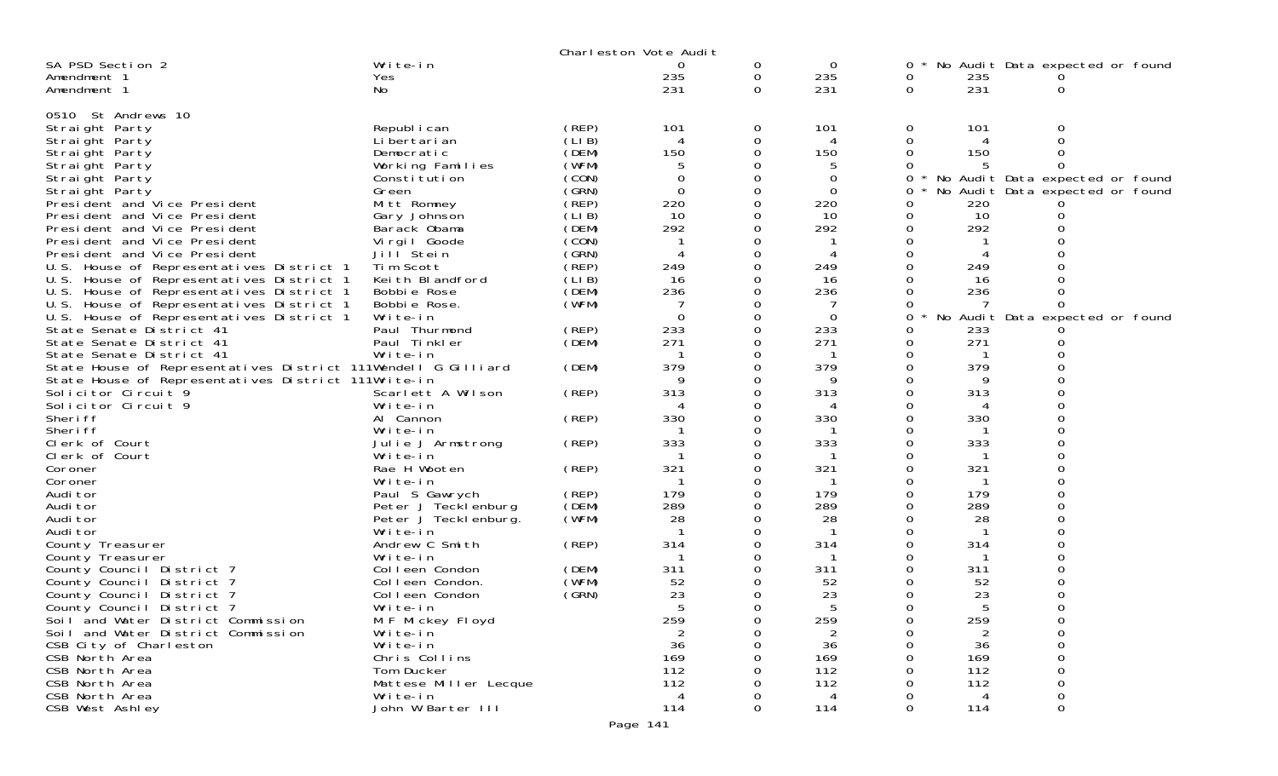|                                                               |                                     |                | Charleston Vote Audit |             |                                    |               |                                 |                                 |  |
|---------------------------------------------------------------|-------------------------------------|----------------|-----------------------|-------------|------------------------------------|---------------|---------------------------------|---------------------------------|--|
| SA PSD Section 2                                              | Write-in                            |                | 0                     | 0           | $\mathbf 0$                        | 0             |                                 | No Audit Data expected or found |  |
| Amendment 1                                                   | Yes                                 |                | 235                   | 0           | 235                                | 0             | 235                             |                                 |  |
| Amendment 1                                                   | No                                  |                | 231                   | $\Omega$    | 231                                | 0             | 231                             | 0                               |  |
|                                                               |                                     |                |                       |             |                                    |               |                                 |                                 |  |
| 0510 St Andrews 10                                            |                                     |                |                       |             |                                    |               |                                 |                                 |  |
| Straight Party                                                | Republ i can                        | (REP)          | 101                   | 0           | 101<br>$\boldsymbol{\vartriangle}$ | 0             | 101<br>$\boldsymbol{\varDelta}$ | O                               |  |
| Straight Party                                                | Li bertari an                       | (LIB)<br>(DEM) | 4<br>150              | 0<br>0      | 150                                | 0<br>$\Omega$ | 150                             | $\Omega$                        |  |
| Straight Party                                                | Democratic                          | (WFM)          | 5                     | 0           | 5                                  | $\Omega$      | 5                               |                                 |  |
| Straight Party<br>Straight Party                              | Working Families<br>Constitution    | (CON)          | 0                     | 0           | 0                                  | 0             |                                 | No Audit Data expected or found |  |
| Straight Party                                                | Green                               | (GRN)          | $\Omega$              | 0           | $\Omega$                           | 0             |                                 | No Audit Data expected or found |  |
| President and Vice President                                  | Mitt Romney                         | (REP)          | 220                   | 0           | 220                                | 0             | 220                             |                                 |  |
| President and Vice President                                  | Gary Johnson                        | (LIB)          | 10                    | 0           | 10                                 | 0             | 10                              | $\Omega$                        |  |
| President and Vice President                                  | Barack Obama                        | (DEM)          | 292                   | $\Omega$    | 292                                | 0             | 292                             |                                 |  |
| President and Vice President                                  | Vi rgi I Goode                      | (CON)          |                       | 0           |                                    | $\Omega$      |                                 |                                 |  |
| President and Vice President                                  | Jill Stein                          | (GRN)          |                       | 0           |                                    | 0             |                                 |                                 |  |
| U.S. House of Representatives District 1                      | Tim Scott                           | (REP)          | 249                   | $\Omega$    | 249                                | $\Omega$      | 249                             | ∩                               |  |
| U.S. House of Representatives District 1                      | Keith Blandford                     | (LIB)          | 16                    | 0           | 16                                 | $\Omega$      | 16                              |                                 |  |
| U.S. House of Representatives District 1                      | Bobbie Rose                         | (DEM)          | 236                   | 0           | 236                                | $\Omega$      | 236                             |                                 |  |
| U.S. House of Representatives District 1                      | Bobbie Rose.                        | (WFM)          |                       | 0           |                                    | $\Omega$      |                                 | $\Omega$                        |  |
| U.S. House of Representatives District 1                      | Write-in                            |                | $\Omega$              | $\mathbf 0$ | $\overline{0}$                     | 0             | No                              | Audit Data expected or found    |  |
| State Senate District 41                                      | Paul Thurmond                       | (REP)          | 233                   | $\Omega$    | 233                                | 0             | 233                             |                                 |  |
| State Senate District 41                                      | Paul Tinkler                        | (DEM)          | 271                   | $\Omega$    | 271                                | $\Omega$      | 271                             |                                 |  |
| State Senate District 41                                      | Write-in                            |                |                       | 0           |                                    | 0             |                                 |                                 |  |
| State House of Representatives District 111Wendell G Gilliard |                                     | (DEM)          | 379                   | $\Omega$    | 379                                | 0             | 379                             |                                 |  |
| State House of Representatives District 111Write-in           |                                     |                | 9                     | 0           | 9                                  | $\Omega$      | 9                               | $\Omega$                        |  |
| Solicitor Circuit 9                                           | Scarlett A Wilson                   | (REP)          | 313                   | 0           | 313                                | 0             | 313                             | $\Omega$                        |  |
| Solicitor Circuit 9                                           | Write-in                            |                |                       | 0           |                                    | 0             |                                 | $\Omega$                        |  |
| Sheri ff<br>Sheri ff                                          | Al Cannon                           | (REP)          | 330                   | 0<br>0      | 330                                | $\Omega$      | 330                             | $\Omega$                        |  |
| Clerk of Court                                                | Write-in<br>Julie J Armstrong       | (REP)          | 333                   | 0           | 333                                | 0<br>0        | 333                             |                                 |  |
| Clerk of Court                                                | Write-in                            |                |                       | 0           |                                    | $\Omega$      |                                 | $\Omega$                        |  |
| Coroner                                                       | Rae H Wooten                        | (REP)          | 321                   | 0           | 321                                | 0             | 321                             | $\Omega$                        |  |
| Coroner                                                       | Write-in                            |                |                       | 0           | -1                                 | 0             |                                 |                                 |  |
| Audi tor                                                      | Paul S Gawrych                      | (REP)          | 179                   | $\Omega$    | 179                                | $\Omega$      | 179                             | $\Omega$                        |  |
| Audi tor                                                      | Peter J Tecklenburg                 | (DEM)          | 289                   | 0           | 289                                | 0             | 289                             | 0                               |  |
| Audi tor                                                      | Peter J Tecklenburg.                | (WFM)          | 28                    | 0           | 28                                 | 0             | 28                              |                                 |  |
| Audi tor                                                      | Write-in                            |                |                       | 0           |                                    | $\Omega$      |                                 | $\Omega$                        |  |
| County Treasurer                                              | Andrew C Smith                      | (REP)          | 314                   | 0           | 314                                | 0             | 314                             |                                 |  |
| County Treasurer                                              | Write-in                            |                |                       | 0           |                                    | 0             |                                 |                                 |  |
| County Council District 7                                     | Colleen Condon                      | (DEM)          | 311                   | $\Omega$    | 311                                | 0             | 311                             | $\Omega$                        |  |
| County Council District 7                                     | Colleen Condon.                     | (WFM)          | 52                    | 0           | 52                                 | 0             | 52                              |                                 |  |
| County Council District 7                                     | Colleen Condon                      | (GRN)          | 23                    | 0           | 23                                 | 0             | 23                              |                                 |  |
| County Council District 7                                     | Write-in                            |                |                       | $\Omega$    |                                    | $\Omega$      |                                 | $\Omega$                        |  |
| Soil and Water District Commission                            | M F Mickey Floyd                    |                | 259                   | 0           | 259                                | 0             | 259                             | 0                               |  |
| Soil and Water District Commission                            | Write-in                            |                | 2                     | 0           | $\overline{2}$                     | 0             | 2                               | 0                               |  |
| CSB City of Charleston                                        | Write-in                            |                | 36                    | 0           | 36                                 | $\Omega$      | 36                              | $\Omega$                        |  |
| CSB North Area<br>CSB North Area                              | Chris Collins                       |                | 169<br>112            | 0<br>∩      | 169                                | $\Omega$      | 169<br>112                      | $\Omega$                        |  |
| CSB North Area                                                | Tom Ducker<br>Mattese Miller Lecque |                | 112                   | 0           | 112<br>112                         | $\Omega$      | 112                             | $\Omega$                        |  |
| CSB North Area                                                | Write-in                            |                | $\overline{4}$        | 0           | $\overline{4}$                     |               | 4                               | 0                               |  |
| CSB West Ashley                                               | John W Barter III                   |                | 114                   | $\Omega$    | 114                                | $\Omega$      | 114                             | 0                               |  |
|                                                               |                                     |                |                       |             |                                    |               |                                 |                                 |  |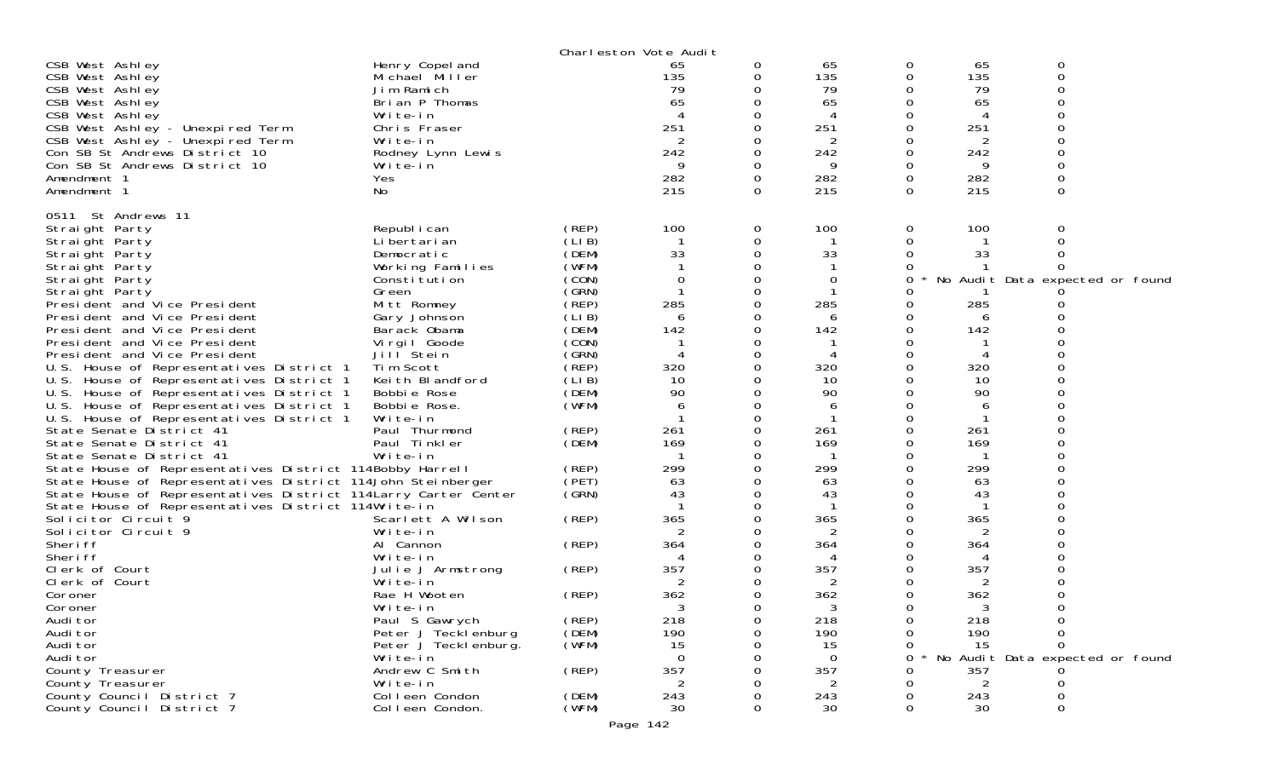|                                                                 |                            |                | Charleston Vote Audit     |          |           |          |                |                                 |  |
|-----------------------------------------------------------------|----------------------------|----------------|---------------------------|----------|-----------|----------|----------------|---------------------------------|--|
| CSB West Ashley                                                 | Henry Copel and            |                | 65                        | 0        | 65        | 0        | 65             | 0                               |  |
| CSB West Ashley                                                 | Michael Miller             |                | 135                       | 0        | 135       | 0        | 135            | 0                               |  |
| CSB West Ashley                                                 | Jim Ramich                 |                | 79                        | 0        | 79        |          | 79             |                                 |  |
| CSB West Ashley                                                 | Brian P Thomas             |                | 65                        |          | 65        | 0        | 65             |                                 |  |
| CSB West Ashley                                                 | Write-in                   |                | $\boldsymbol{\varLambda}$ |          | 4         |          | 4              |                                 |  |
| CSB West Ashley - Unexpired Term                                | Chris Fraser               |                | 251                       |          | 251       |          | 251            |                                 |  |
| CSB West Ashley - Unexpired Term                                | Write-in                   |                | 2                         |          | 2         |          | $\overline{2}$ |                                 |  |
| Con SB St Andrews District 10                                   | Rodney Lynn Lewis          |                | 242                       |          | 242       | 0        | 242            |                                 |  |
| Con SB St Andrews District 10                                   | Write-in                   |                | 9                         |          | 9         |          | 9              |                                 |  |
| Amendment 1                                                     | Yes                        |                | 282                       | 0        | 282       | 0        | 282            |                                 |  |
| Amendment 1                                                     | No                         |                | 215                       | 0        | 215       | $\Omega$ | 215            | $\Omega$                        |  |
| 0511 St Andrews 11                                              |                            |                |                           |          |           |          |                |                                 |  |
| Straight Party                                                  | Republ i can               | (REP)          | 100                       | 0        | 100       | 0        | 100            |                                 |  |
| Straight Party                                                  | Li bertari an              | (LIB)          |                           | 0        |           | 0        |                |                                 |  |
| Straight Party                                                  | Democratic                 | (DEM)          | 33                        | $\Omega$ | 33        |          | 33             |                                 |  |
| Straight Party                                                  | Working Families           | (WFM)          |                           |          |           |          |                |                                 |  |
| Straight Party                                                  | Constitution               | (CON)          | 0                         | $\Omega$ | 0         | 0        |                | No Audit Data expected or found |  |
| Straight Party                                                  | Green                      | (GRN)          |                           | 0        |           |          |                |                                 |  |
| President and Vice President                                    | Mitt Romney                | (REP)          | 285                       |          | 285       |          | 285            |                                 |  |
| President and Vice President                                    | Gary Johnson               | (LIB)          | 6                         |          | 6         |          | 6              |                                 |  |
| President and Vice President                                    | Barack Obama               | (DEM)          | 142                       |          | 142       | 0        | 142            |                                 |  |
| President and Vice President                                    | Virgil Goode               | (CON)          |                           |          |           |          |                |                                 |  |
| President and Vice President                                    | Jill Stein                 | (GRN)          | $\overline{4}$            | 0        | 4         | 0        | 4              |                                 |  |
| U.S. House of Representatives District 1                        | Tim Scott                  | (REP)          | 320                       |          | 320       |          | 320            |                                 |  |
| U.S. House of Representatives District 1                        | Keith Blandford            | (LIB)          | 10                        |          | 10        |          | 10             |                                 |  |
| U.S. House of Representatives District 1                        | Bobbie Rose                | (DEM)          | 90                        | $\Omega$ | 90        |          | 90             |                                 |  |
| U.S. House of Representatives District 1                        | Bobbie Rose.               | (WFM)          | 6                         | 0        | 6         |          | 6              |                                 |  |
| U.S. House of Representatives District 1                        | Write-in                   |                |                           |          |           |          |                |                                 |  |
| State Senate District 41                                        | Paul Thurmond              | (REP)          | 261                       | $\Omega$ | 261       | ∩        | 261            |                                 |  |
| State Senate District 41                                        | Paul Tinkler               | (DEM)          | 169                       | 0        | 169       |          | 169            |                                 |  |
| State Senate District 41                                        | Write-in                   |                |                           |          |           |          |                |                                 |  |
| State House of Representatives District 114Bobby Harrell        |                            | (REP)          | 299                       | $\Omega$ | 299       |          | 299            |                                 |  |
| State House of Representatives District 114John Steinberger     |                            | (PET)          | 63                        |          | 63        |          | 63             |                                 |  |
| State House of Representatives District 114 Larry Carter Center |                            | (GRN)          | 43                        |          | 43        |          | 43             |                                 |  |
| State House of Representatives District 114Write-in             |                            |                |                           | 0        |           |          |                |                                 |  |
| Solicitor Circuit 9                                             | Scarlett A Wilson          | (REP)          | 365                       |          | 365       |          | 365            |                                 |  |
| Solicitor Circuit 9                                             | Write-in                   |                |                           |          | 2         |          | 2              |                                 |  |
| Sheri ff                                                        | Al Cannon                  | (REP)          | 364                       |          | 364       |          | 364            |                                 |  |
| Sheri ff                                                        | Write-in                   |                | 4                         |          | 4         |          | 4              |                                 |  |
| Clerk of Court                                                  | Julie J Armstrong          | (REP)          | 357                       |          | 357       |          | 357            |                                 |  |
| Clerk of Court                                                  | Write-in                   |                | 2                         | 0        | 2         |          | 2              |                                 |  |
| Coroner                                                         | Rae H Wooten               | (REP)          | 362                       |          | 362       |          | 362            |                                 |  |
| Coroner                                                         | Write-in                   |                | 3                         | 0        | 3         | 0        | 3              |                                 |  |
| Audi tor                                                        | Paul S Gawrych             | (REP)          | 218                       | 0        | 218       | 0        | 218            |                                 |  |
| Audi tor<br>Audi tor                                            | Peter J Tecklenburg        | (DEM)<br>(WFM) | 190                       | 0<br>Ω   | 190<br>15 | 0        | 190<br>15      | 0                               |  |
|                                                                 | Peter J Teckl enburg.      |                | 15<br>$\Omega$            |          | $\Omega$  | 0<br>0   |                | Audit Data expected or found    |  |
| Audi tor<br>County Treasurer                                    | Write-in<br>Andrew C Smith | (REP)          | 357                       |          | 357       | 0        | No<br>357      |                                 |  |
| County Treasurer                                                | Write-in                   |                | 2                         |          | 2         | 0        | 2              |                                 |  |
| County Council District 7                                       | Colleen Condon             | (DEM)          | 243                       |          | 243       |          | 243            |                                 |  |
| County Council District 7                                       | Colleen Condon.            | (WFM)          | 30                        | 0        | 30        | 0        | 30             | 0                               |  |
|                                                                 |                            |                |                           |          |           |          |                |                                 |  |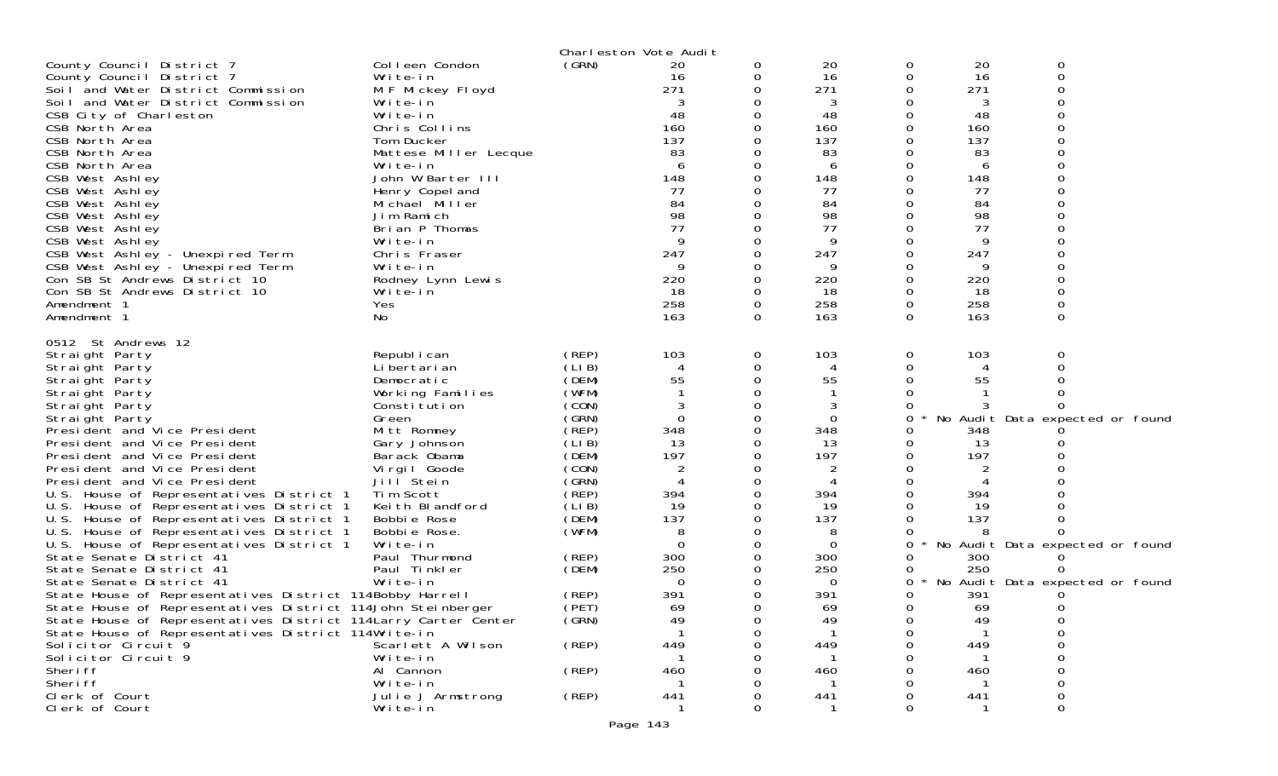|                                                                                      |                             |                | Charleston Vote Audit |          |                  |          |           |                                 |
|--------------------------------------------------------------------------------------|-----------------------------|----------------|-----------------------|----------|------------------|----------|-----------|---------------------------------|
| County Council District 7                                                            | Colleen Condon              | (GRN)          | 20                    | 0        | 20               | 0        | 20        | 0                               |
| County Council District 7                                                            | Write-in                    |                | 16                    | 0        | 16               | 0        | 16        | 0                               |
| Soil and Water District Commission                                                   | M F Mickey Floyd            |                | 271                   |          | 271              | 0        | 271       |                                 |
| Soil and Water District Commission                                                   | Write-in                    |                | 3                     |          | 3                |          | 3         |                                 |
| CSB City of Charleston                                                               | Write-in                    |                | 48                    |          | 48               |          | 48        |                                 |
| CSB North Area                                                                       | Chris Collins               |                | 160                   |          | 160              | 0        | 160       |                                 |
| CSB North Area                                                                       | Tom Ducker                  |                | 137                   |          | 137              |          | 137       |                                 |
| CSB North Area                                                                       | Mattese Miller Lecque       |                | 83                    |          | 83               |          | 83        |                                 |
| CSB North Area                                                                       | Write-in                    |                | 6                     |          | 6                | O        | 6         |                                 |
| CSB West Ashley                                                                      | John W Barter III           |                | 148                   |          | 148              | 0        | 148       |                                 |
| CSB West Ashley                                                                      | Henry Copel and             |                | 77                    |          | 77               |          | 77        |                                 |
| CSB West Ashley                                                                      | Michael Miller              |                | 84                    |          | 84               |          | 84        |                                 |
| CSB West Ashley                                                                      | Jim Ramich                  |                | 98                    |          | 98               |          | 98        |                                 |
| CSB West Ashley                                                                      | Brian P Thomas              |                | 77                    |          | 77               |          | 77        |                                 |
| CSB West Ashley                                                                      | Write-in                    |                | 9                     |          | 9                |          | 9         |                                 |
| CSB West Ashley - Unexpired Term                                                     | Chris Fraser                |                | 247                   |          | 247              |          | 247       |                                 |
| CSB West Ashley - Unexpired Term                                                     | Write-in                    |                |                       |          | 9                |          | 9         |                                 |
| Con SB St Andrews District 10                                                        | Rodney Lynn Lewis           |                | 220                   |          | 220              | 0        | 220       |                                 |
| Con SB St Andrews District 10<br>Amendment 1                                         | Write-in<br>Yes             |                | 18<br>258             |          | 18<br>258        | 0<br>0   | 18<br>258 |                                 |
| Amendment 1                                                                          | No.                         |                | 163                   | $\Omega$ | 163              | $\Omega$ | 163       | $\Omega$                        |
|                                                                                      |                             |                |                       |          |                  |          |           |                                 |
| 0512 St Andrews 12                                                                   |                             |                |                       |          |                  |          |           |                                 |
| Straight Party                                                                       | Republ i can                | (REP)          | 103                   | 0        | 103              | 0        | 103       | 0                               |
| Straight Party                                                                       | Li bertari an               | (LIB)          | 4                     |          | 4                | 0        | 4         |                                 |
| Straight Party                                                                       | Democratic                  | (DEM)          | 55                    |          | 55               |          | 55        |                                 |
| Straight Party                                                                       | Working Families            | (WFM)          |                       |          |                  | 0        |           |                                 |
| Straight Party                                                                       | Constitution                | (CON)          |                       |          | 3                |          |           |                                 |
| Straight Party                                                                       | Green                       | (GRN)          | $\Omega$              |          | $\Omega$         | 0        |           | No Audit Data expected or found |
| President and Vice President                                                         | Mitt Romney                 | $($ REP)       | 348                   |          | 348              | 0        | 348       |                                 |
| President and Vice President                                                         | Gary Johnson                | (LIB)          | 13                    |          | 13               | 0        | 13        |                                 |
| President and Vice President                                                         | Barack Obama                | (DEM)          | 197                   |          | 197              |          | 197       |                                 |
| President and Vice President                                                         | Virgil Goode                | (CON)          | 2                     |          | 2                | Ω        |           |                                 |
| President and Vice President                                                         | Jill Stein                  | (GRN)          |                       |          | 4                |          |           |                                 |
| U.S. House of Representatives District 1                                             | Tim Scott                   | $($ REP)       | 394                   |          | 394              |          | 394       |                                 |
| U.S. House of Representatives District 1                                             | Keith Blandford             | (LIB)          | 19                    |          | 19               | 0        | 19        |                                 |
| U.S. House of Representatives District 1                                             | Bobbie Rose<br>Bobbie Rose. | (DEM)<br>(WFM) | 137                   |          | 137              |          | 137       |                                 |
| U.S. House of Representatives District 1<br>U.S. House of Representatives District 1 | Write-in                    |                | 8<br>$\Omega$         |          | 8<br>$\mathbf 0$ | 0        |           | No Audit Data expected or found |
| State Senate District 41                                                             | Paul Thurmond               | (REP)          | 300                   |          | 300              | O        | 300       |                                 |
| State Senate District 41                                                             | Paul Tinkler                | (DEM)          | 250                   |          | 250              |          | 250       |                                 |
| State Senate District 41                                                             | Write-in                    |                | 0                     |          | $\Omega$         | 0        |           | No Audit Data expected or found |
| State House of Representatives District 114Bobby Harrell                             |                             | (REP)          | 391                   |          | 391              | 0        | 391       |                                 |
| State House of Representatives District 114John Steinberger                          |                             | (PET)          | 69                    |          | 69               | 0        | 69        | 0                               |
| State House of Representatives District 114 Larry Carter Center                      |                             | (GRN)          | 49                    | 0        | 49               | 0        | 49        | 0                               |
| State House of Representatives District 114Write-in                                  |                             |                |                       |          |                  |          |           |                                 |
| Solicitor Circuit 9                                                                  | Scarlett A Wilson           | (REP)          | 449                   |          | 449              |          | 449       |                                 |
| Solicitor Circuit 9                                                                  | Write-in                    |                |                       |          |                  |          |           |                                 |
| Sheri ff                                                                             | Al Cannon                   | (REP)          | 460                   |          | 460              |          | 460       |                                 |
| Sheri ff                                                                             | Write-in                    |                |                       |          |                  |          |           |                                 |
| Clerk of Court                                                                       | Julie J Armstrong           | (REP)          | 441                   |          | 441              |          | 441       | 0                               |
| Clerk of Court                                                                       | Write-in                    |                |                       |          |                  | O        |           | 0                               |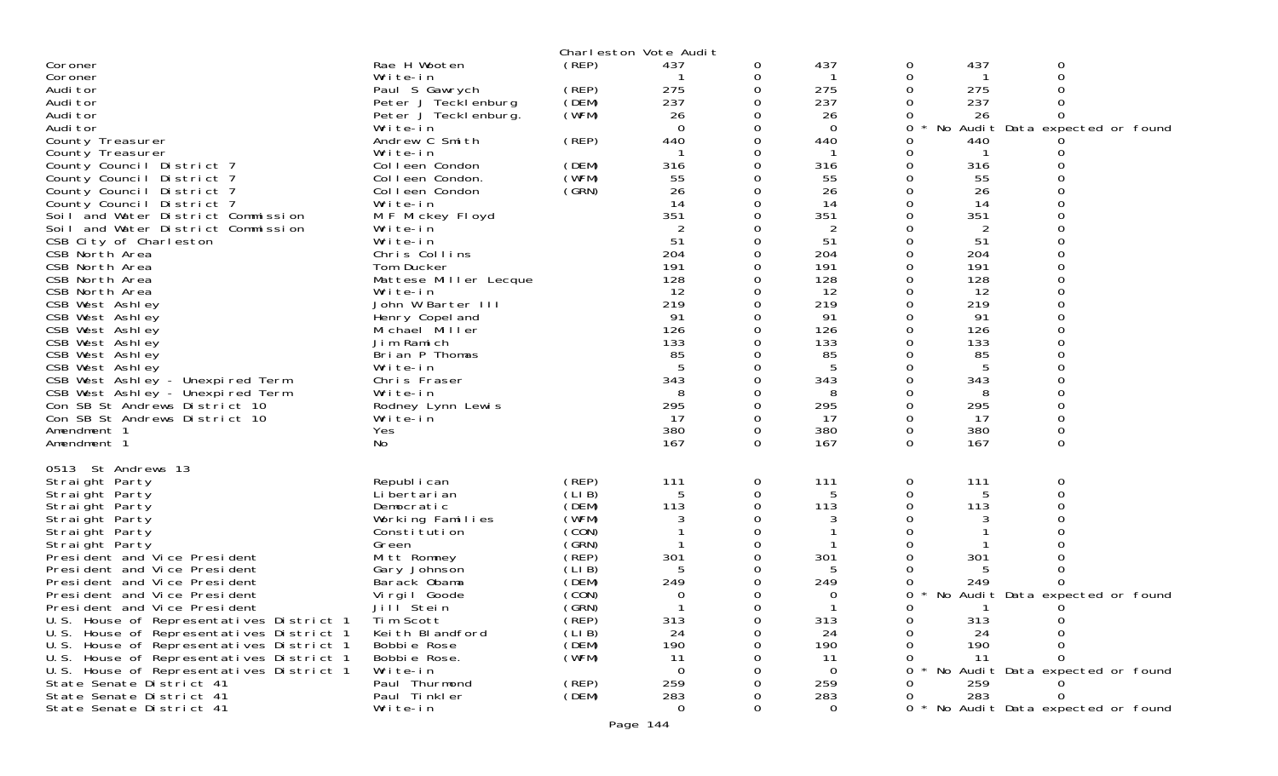|                                          |                                   |       | Charleston Vote Audit |             |                 |          |                |                                 |
|------------------------------------------|-----------------------------------|-------|-----------------------|-------------|-----------------|----------|----------------|---------------------------------|
| Coroner                                  | Rae H Wooten                      | (REP) | 437                   | 0           | 437             | 0        | 437            | 0                               |
| Coroner                                  | Write-in                          |       |                       | 0           | -1              | 0        | -1             | 0                               |
| Audi tor                                 | Paul S Gawrych                    | (REP) | 275                   | 0           | 275             | 0        | 275            |                                 |
| Audi tor                                 | Peter J Tecklenburg               | (DEM) | 237                   | $\Omega$    | 237             | $\Omega$ | 237            | $\Omega$                        |
| Audi tor                                 | Peter J Tecklenburg.              | (WFM) | 26                    | 0           | 26              | 0        | 26             | $\Omega$                        |
| Audi tor                                 | Write-in                          |       | $\Omega$              | 0           | $\Omega$        | 0        |                | No Audit Data expected or found |
| County Treasurer                         | Andrew C Smith                    | (REP) | 440                   | $\Omega$    | 440             | 0        | 440            |                                 |
| County Treasurer                         | Write-in                          |       |                       | 0           | -1              | 0        | -1             |                                 |
| County Council District 7                | Colleen Condon                    | (DEM) | 316                   | $\Omega$    | 316             | 0        | 316            |                                 |
| County Council District 7                | Colleen Condon.                   | (WFM) | 55                    | $\Omega$    | 55              | 0        | 55             |                                 |
| County Council District 7                | Colleen Condon                    | (GRN) | 26                    | 0           | 26              | 0        | 26             |                                 |
| County Council District 7                | Write-in                          |       | 14                    | $\Omega$    | -14             | 0        | 14             |                                 |
| Soil and Water District Commission       | M F Mickey Floyd                  |       | 351                   | 0           | 351             | 0        | 351            | $\Omega$                        |
| Soil and Water District Commission       | Write-in                          |       |                       | 0           | 2               | 0        | $\overline{2}$ |                                 |
| CSB City of Charleston                   | Write-in                          |       | 51                    | $\Omega$    | 51              | 0        | 51             | $\Omega$                        |
| CSB North Area                           | Chris Collins                     |       | 204                   | 0           | 204             | 0        | 204            | 0                               |
| CSB North Area                           | Tom Ducker                        |       | 191                   | $\mathbf 0$ | 191             | 0        | 191            | 0                               |
| CSB North Area                           | Mattese Miller Lecque             |       | 128                   | 0           | 128             | 0        | 128            | $\Omega$                        |
| CSB North Area                           | Write-in                          |       | 12                    | 0           | 12              | 0        | 12             | 0                               |
| CSB West Ashley                          | John W Barter III                 |       | 219                   | 0           | 219             | 0        | 219            |                                 |
| CSB West Ashley                          |                                   |       | 91                    | 0           | 91              | 0        | 91             | $\Omega$                        |
|                                          | Henry Copel and<br>Michael Miller |       | 126                   | 0           | 126             | 0        | 126            | 0                               |
| CSB West Ashley<br>CSB West Ashley       | Jim Ramich                        |       | 133                   | 0           | 133             |          | 133            |                                 |
|                                          | Brian P Thomas                    |       | 85                    | 0           | 85              | 0        | 85             | $\Omega$                        |
| CSB West Ashley                          |                                   |       | 5                     |             | $5\phantom{.0}$ |          |                |                                 |
| CSB West Ashley                          | Write-in                          |       |                       | 0           |                 | 0        | 5              | 0                               |
| CSB West Ashley - Unexpired Term         | Chris Fraser                      |       | 343                   | 0           | 343             | 0        | 343            |                                 |
| CSB West Ashley - Unexpired Term         | Write-in                          |       | 8                     | 0           | 8               | 0        | 8              | $\Omega$                        |
| Con SB St Andrews District 10            | Rodney Lynn Lewis                 |       | 295                   | 0           | 295             | 0        | 295            | 0                               |
| Con SB St Andrews District 10            | Write-in                          |       | -17                   | $\mathbf 0$ | -17             | 0        | 17             | 0                               |
| Amendment 1                              | Yes                               |       | 380                   | 0           | 380             | 0        | 380            | 0                               |
| Amendment 1                              | No                                |       | 167                   | 0           | 167             | $\Omega$ | 167            | 0                               |
|                                          |                                   |       |                       |             |                 |          |                |                                 |
| 0513 St Andrews 13                       |                                   |       |                       |             |                 |          |                |                                 |
| Straight Party                           | Republ i can                      | (REP) | 111                   | 0           | 111             | 0        | 111            | 0                               |
| Straight Party                           | Li bertari an                     | (LIB) | 5                     | 0           | 5               | 0        | 5              | $\Omega$                        |
| Straight Party                           | Democratic                        | (DEM) | 113                   | $\Omega$    | 113             | 0        | 113            | $\Omega$                        |
| Straight Party                           | Working Families                  | (WFM) | 3                     | 0           | 3               | 0        | 3              |                                 |
| Straight Party                           | Constitution                      | (CON) |                       | 0           |                 | 0        |                |                                 |
| Straight Party                           | Green                             | (GRN) |                       | $\Omega$    |                 | 0        |                |                                 |
| President and Vice President             | Mitt Romney                       | (REP) | 301                   | 0           | 301             | 0        | 301            |                                 |
| President and Vice President             | Gary Johnson                      | (LIB) | 5                     | 0           | 5               |          | 5              |                                 |
| President and Vice President             | Barack Obama                      | (DEM) | 249                   | 0           | 249             | 0        | 249            | 0                               |
| President and Vice President             | Virgil Goode                      | (CON) | 0                     | 0           | 0               | 0        |                | No Audit Data expected or found |
| President and Vice President             | Jill Stein                        | (GRN) | -1                    | 0           | -1              | 0        | -1             | 0                               |
| U.S. House of Representatives District 1 | Tim Scott                         | (REP) | 313                   | 0           | 313             |          | 313            |                                 |
| U.S. House of Representatives District 1 | Keith Blandford                   | (LIB) | 24                    | ∩           | 24              | 0        | 24             |                                 |
| U.S. House of Representatives District 1 | Bobbie Rose                       | (DEM) | 190                   | O           | 190             |          | 190            |                                 |
| U.S. House of Representatives District 1 | Bobbie Rose.                      | (WFM) | 11                    |             | 11              |          | 11             | $\Omega$                        |
| U.S. House of Representatives District 1 | Write-in                          |       | $\overline{0}$        |             | $\overline{0}$  | 0        |                | No Audit Data expected or found |
| State Senate District 41                 | Paul Thurmond                     | (REP) | 259                   |             | 259             | 0        | 259            |                                 |
| State Senate District 41                 | Paul Tinkler                      | (DEM) | 283                   | ∩           | 283             | 0        | 283            |                                 |
| State Senate District 41                 | Write-in                          |       | $\overline{0}$        | 0           | $\Omega$        | $0 *$    |                | No Audit Data expected or found |
|                                          |                                   |       | Page 144              |             |                 |          |                |                                 |
|                                          |                                   |       |                       |             |                 |          |                |                                 |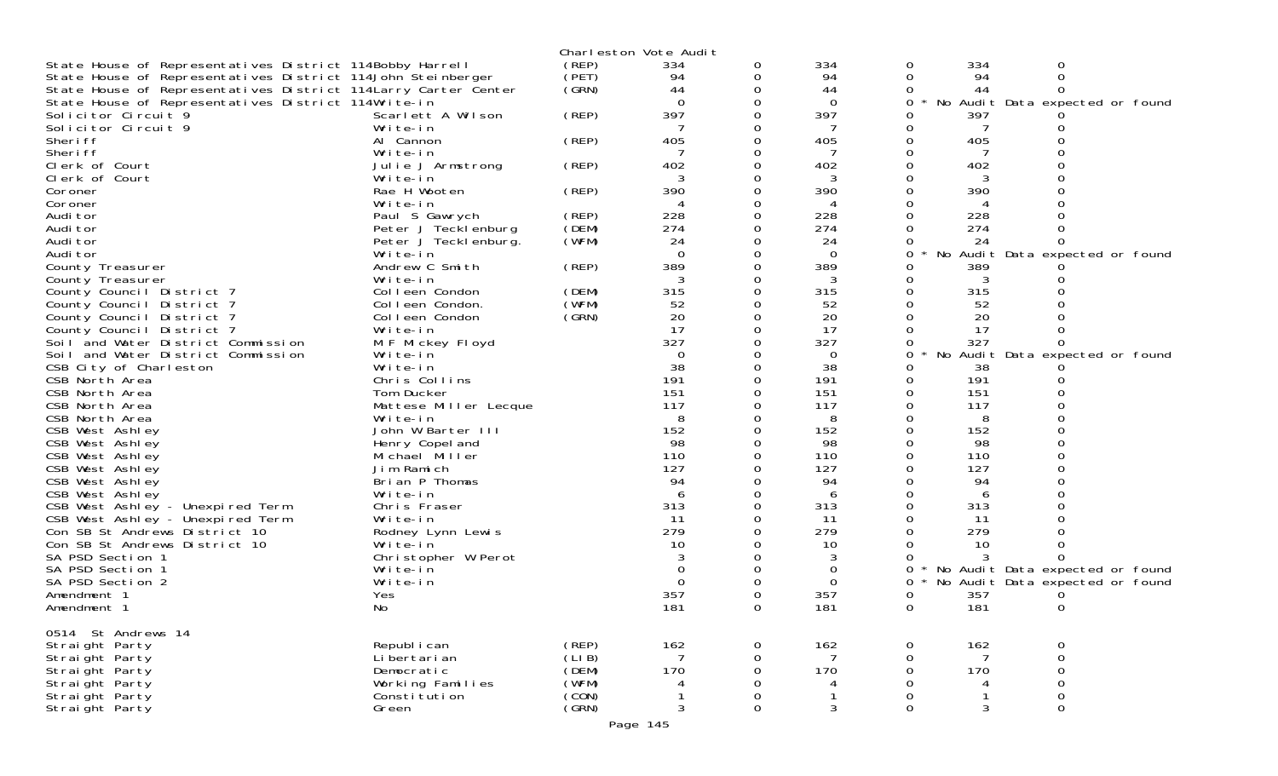|                                                                 |                       |       | Charleston Vote Audit |              |                |                   |     |                                 |
|-----------------------------------------------------------------|-----------------------|-------|-----------------------|--------------|----------------|-------------------|-----|---------------------------------|
| State House of Representatives District 114Bobby Harrell        |                       | (REP) | 334                   | 0            | 334            | 0                 | 334 | 0                               |
| State House of Representatives District 114John Steinberger     |                       | (PET) | 94                    | 0            | 94             | 0                 | 94  | 0                               |
| State House of Representatives District 114 Larry Carter Center |                       | (GRN) | 44                    |              | 44             | 0                 | 44  | O                               |
| State House of Representatives District 114Write-in             |                       |       | $\Omega$              | 0            | 0              | 0                 |     | No Audit Data expected or found |
| Solicitor Circuit 9                                             | Scarlett A Wilson     | (REP) | 397                   |              | 397            | Ω                 | 397 |                                 |
| Solicitor Circuit 9                                             | Write-in              |       |                       |              |                | Ω                 |     |                                 |
| Sheri ff                                                        | Al Cannon             | (REP) | 405                   |              | 405            | 0                 | 405 |                                 |
| Sheri ff                                                        | Write-in              |       |                       |              |                | Ω                 | -7  |                                 |
| Clerk of Court                                                  | Julie J Armstrong     | (REP) | 402                   | ∩            | 402            | 0                 | 402 |                                 |
| Clerk of Court                                                  | Write-in              |       | 3                     | 0            | 3              | 0                 | 3   |                                 |
| Coroner                                                         | Rae H Wooten          | (REP) | 390                   |              | 390            | O                 | 390 |                                 |
| Coroner                                                         | Write-in              |       |                       |              |                | 0                 |     |                                 |
| Audi tor                                                        | Paul S Gawrych        | (REP) | 228                   | 0            | 228            | 0                 | 228 |                                 |
| Audi tor                                                        | Peter J Tecklenburg   | (DEM) | 274                   |              | 274            | $\Omega$          | 274 |                                 |
| Audi tor                                                        | Peter J Tecklenburg.  | (WFM) | 24                    |              | 24             | 0                 | 24  |                                 |
| Audi tor                                                        | Write-in              |       | $\Omega$              |              | $\overline{0}$ | 0                 |     | No Audit Data expected or found |
| County Treasurer                                                | Andrew C Smith        | (REP) | 389                   |              | 389            | Ω                 | 389 |                                 |
| County Treasurer                                                | Write-in              |       |                       |              |                | 0                 | 3   |                                 |
| County Council District 7                                       | Colleen Condon        | (DEM) | 315                   | 0            | 315            | 0                 | 315 |                                 |
| County Council District 7                                       | Colleen Condon.       | (WFM) | 52                    |              | 52             | 0                 | 52  |                                 |
| County Council District 7                                       | Colleen Condon        | (GRN) | 20                    |              | 20             |                   | 20  |                                 |
| County Council District 7                                       | Write-in              |       | 17                    |              | 17             | 0                 | 17  |                                 |
| Soil and Water District Commission                              | M F Mickey Floyd      |       | 327                   |              | 327            | 0                 | 327 |                                 |
| Soil and Water District Commission                              | Write-in              |       | $\Omega$              |              | 0              | 0                 |     | No Audit Data expected or found |
| CSB City of Charleston                                          | Write-in              |       | 38                    |              | 38             | 0                 | 38  |                                 |
| CSB North Area                                                  | Chris Collins         |       | 191                   |              | 191            | 0                 | 191 |                                 |
| CSB North Area                                                  | Tom Ducker            |       | 151                   |              | 151            | $\Omega$          | 151 |                                 |
| CSB North Area                                                  | Mattese Miller Lecque |       | 117                   |              | 117            | 0                 | 117 |                                 |
| CSB North Area                                                  | Write-in              |       | 8                     |              | 8              | Ω                 | 8   |                                 |
| CSB West Ashley                                                 | John W Barter III     |       | 152                   |              | 152            | $\Omega$          | 152 |                                 |
| CSB West Ashley                                                 | Henry Copel and       |       | 98                    |              | 98             | 0                 | 98  |                                 |
| CSB West Ashley                                                 | Michael Miller        |       | 110                   |              | 110            | 0                 | 110 |                                 |
| CSB West Ashley                                                 | Jim Ramich            |       | 127                   |              | 127            | 0                 | 127 |                                 |
| CSB West Ashley                                                 | Brian P Thomas        |       | 94                    |              | 94             |                   | 94  |                                 |
| CSB West Ashley                                                 | Write-in              |       | 6                     |              | 6              | 0                 | 6   |                                 |
| CSB West Ashley - Unexpired Term                                | Chris Fraser          |       | 313                   | 0            | 313            | 0                 | 313 |                                 |
| CSB West Ashley - Unexpired Term                                | Write-in              |       | 11                    |              | 11             | 0                 | 11  |                                 |
| Con SB St Andrews District 10                                   | Rodney Lynn Lewis     |       | 279                   |              | 279            |                   | 279 |                                 |
| Con SB St Andrews District 10                                   | Write-in              |       | 10                    |              | 10             | 0                 | 10  |                                 |
| SA PSD Section 1                                                | Christopher W Perot   |       |                       |              |                |                   |     |                                 |
| SA PSD Section 1                                                | Write-in              |       |                       |              | 0              | 0                 |     | No Audit Data expected or found |
| SA PSD Section 2                                                | Write-in              |       | $\Omega$              |              | 0              | 0                 |     | No Audit Data expected or found |
| Amendment 1                                                     | Yes                   |       | 357                   |              | 357            | 0                 | 357 | 0                               |
| Amendment 1                                                     | No                    |       | 181                   |              | 181            | 0                 | 181 | 0                               |
|                                                                 |                       |       |                       |              |                |                   |     |                                 |
| 0514 St Andrews 14                                              |                       |       |                       |              |                |                   |     |                                 |
| Straight Party                                                  | Republ i can          | (REP) | 162                   | $\mathbf{O}$ | 162            | $\overline{O}$    | 162 | 0                               |
| Straight Party                                                  | Li bertari an         | (LIB) | 7                     | $\Omega$     | 7              | $\Omega$          | 7   | 0                               |
| Straight Party                                                  | Democratic            | (DEM) | 170                   | 0            | 170            | 0                 | 170 | 0                               |
| Straight Party                                                  | Working Families      | (WFM) |                       |              |                | 0                 | 4   | 0                               |
| Straight Party                                                  | Constitution          | (CON) |                       | 0            | 3              | 0<br>$\mathbf{0}$ | 3   | 0<br>0                          |
| Straight Party                                                  | Green                 | (GRN) | 3                     | 0            |                |                   |     |                                 |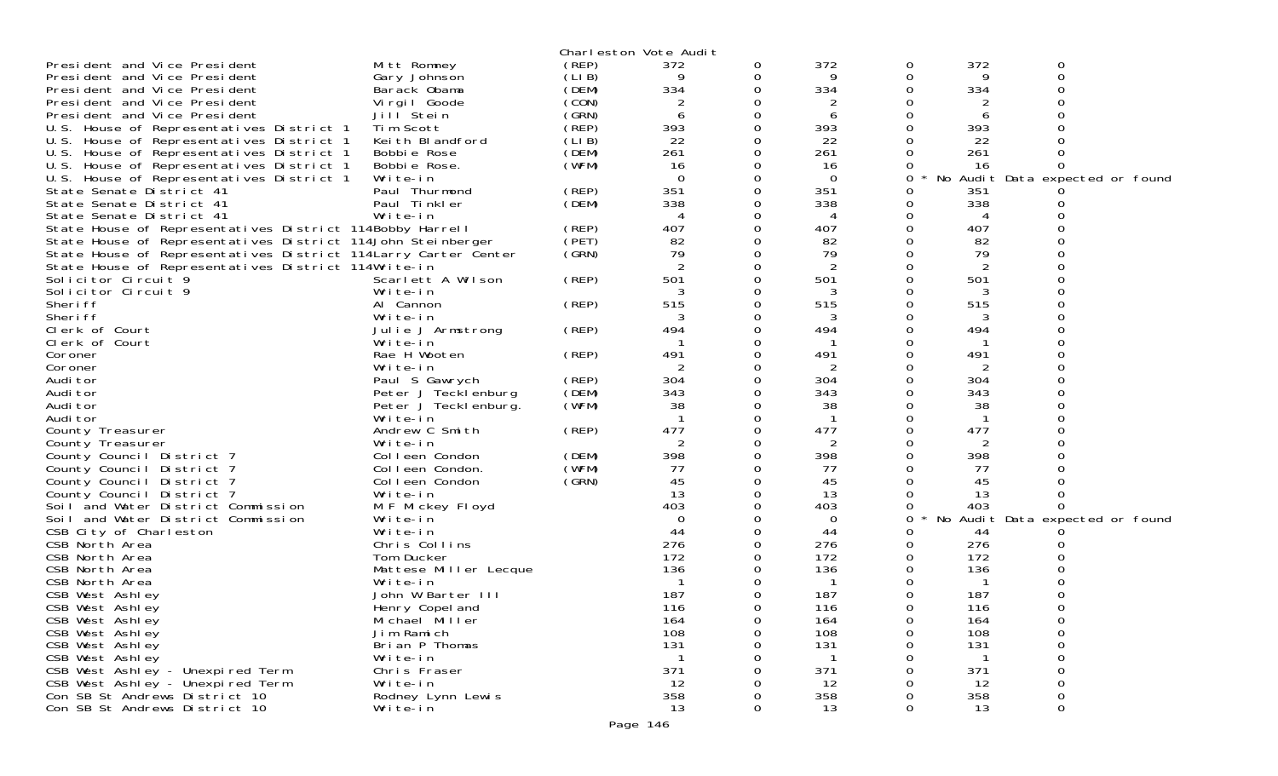|                                                                |                       |        | Charleston Vote Audit |   |          |          |     |                                 |  |
|----------------------------------------------------------------|-----------------------|--------|-----------------------|---|----------|----------|-----|---------------------------------|--|
| President and Vice President                                   | Mitt Romney           | (REP)  | 372                   | 0 | 372      | 0        | 372 | 0                               |  |
| President and Vice President                                   | Gary Johnson          | (LI B) | 9                     | 0 | 9        | 0        | 9   | 0                               |  |
| President and Vice President                                   | Barack Obama          | (DEM)  | 334                   |   | 334      |          | 334 |                                 |  |
| President and Vice President                                   | Virgil Goode          | (CON)  |                       |   |          |          |     |                                 |  |
| President and Vice President                                   | Jill Stein            | (GRN)  | 6                     | 0 | 6        | 0        | 6   |                                 |  |
| U.S. House of Representatives District 1                       | Tim Scott             | (REP)  | 393                   |   | 393      |          | 393 |                                 |  |
| U.S. House of Representatives District 1                       | Keith Blandford       | (LIB)  | 22                    | 0 | 22       |          | 22  |                                 |  |
| U.S. House of Representatives District 1                       | Bobbie Rose           | (DEM)  | 261                   | 0 | 261      | 0        | 261 |                                 |  |
| U.S. House of Representatives District 1                       | Bobbie Rose.          | (WFM)  | 16                    |   | 16       |          | 16  |                                 |  |
| U.S. House of Representatives District 1                       | Write-in              |        | $\Omega$              | 0 | $\Omega$ | 0        |     | No Audit Data expected or found |  |
| State Senate District 41                                       | Paul Thurmond         | (REP)  | 351                   | 0 | 351      | 0        | 351 |                                 |  |
| State Senate District 41                                       | Paul Tinkler          | (DEM)  | 338                   |   | 338      | 0        | 338 |                                 |  |
| State Senate District 41                                       | Write-in              |        | 4                     | 0 | 4        | 0        | 4   |                                 |  |
| State House of Representatives District 114Bobby Harrell       |                       | (REP)  | 407                   |   | 407      | 0        | 407 |                                 |  |
| State House of Representatives District 114John Steinberger    |                       | (PET)  | 82                    |   | 82       |          | 82  |                                 |  |
| State House of Representatives District 114Larry Carter Center |                       | (GRN)  | 79                    | 0 | 79       |          | 79  |                                 |  |
| State House of Representatives District 114Write-in            |                       |        | 2                     | 0 | 2        |          | 2   |                                 |  |
| Solicitor Circuit 9                                            | Scarlett A Wilson     | (REP)  | 501                   | 0 | 501      |          | 501 |                                 |  |
| Solicitor Circuit 9                                            | Write-in              |        | 3                     | 0 | 3        |          | 3   |                                 |  |
| Sheri ff                                                       | Al Cannon             | (REP)  | 515                   |   | 515      |          | 515 |                                 |  |
| Sheri ff                                                       | Write-in              |        | 3                     |   | 3        |          | 3   |                                 |  |
| Clerk of Court                                                 | Julie J Armstrong     | (REP)  | 494                   | 0 | 494      | 0        | 494 |                                 |  |
| Clerk of Court                                                 | Write-in              |        |                       |   |          |          |     |                                 |  |
| Coroner                                                        | Rae H Wooten          | (REP)  | 491                   | 0 | 491      | 0        | 491 |                                 |  |
| Coroner                                                        | Write-in              |        | $\overline{2}$        | 0 | 2        | 0        | 2   |                                 |  |
| Audi tor                                                       | Paul S Gawrych        | (REP)  | 304                   | 0 | 304      | 0        | 304 |                                 |  |
| Audi tor                                                       | Peter J Tecklenburg   | (DEM)  | 343                   | 0 | 343      |          | 343 |                                 |  |
| Audi tor                                                       | Peter J Teckl enburg. | (WFM)  | 38                    | 0 | 38       |          | 38  |                                 |  |
| Audi tor                                                       | Write-in              |        |                       | 0 |          |          |     |                                 |  |
| County Treasurer                                               | Andrew C Smith        | (REP)  | 477                   | 0 | 477      |          | 477 |                                 |  |
| County Treasurer                                               | Write-in              |        | 2                     | 0 | 2        | 0        | 2   |                                 |  |
| County Council District 7                                      | Colleen Condon        | (DEM)  | 398                   |   | 398      |          | 398 |                                 |  |
| County Council District 7                                      | Colleen Condon.       | (WFM)  | 77                    | 0 | 77       |          | 77  |                                 |  |
| County Council District 7                                      | Colleen Condon        | (GRN)  | 45                    | 0 | 45       |          | 45  |                                 |  |
| County Council District 7                                      | Write-in              |        | 13                    |   | 13       |          | 13  |                                 |  |
| Soil and Water District Commission                             | M F Mickey Floyd      |        | 403                   | 0 | 403      | 0        | 403 |                                 |  |
| Soil and Water District Commission                             | Write-in              |        | $\mathbf 0$           | 0 | 0        | 0        |     | No Audit Data expected or found |  |
| CSB City of Charleston                                         | Write-in              |        | 44                    |   | 44       | 0        | 44  |                                 |  |
| CSB North Area                                                 | Chris Collins         |        | 276                   |   | 276      |          | 276 |                                 |  |
| CSB North Area                                                 | Tom Ducker            |        | 172                   |   | 172      | 0        | 172 |                                 |  |
| CSB North Area                                                 | Mattese Miller Lecque |        | 136                   |   | 136      |          | 136 |                                 |  |
| CSB North Area                                                 | Write-in              |        |                       |   |          |          |     |                                 |  |
| CSB West Ashley                                                | John W Barter III     |        | 187                   | 0 | 187      |          | 187 |                                 |  |
| CSB West Ashley                                                | Henry Copel and       |        | 116                   | 0 | 116      | $\Omega$ | 116 |                                 |  |
| CSB West Ashley                                                | Michael Miller        |        | 164                   | 0 | 164      | 0        | 164 |                                 |  |
| CSB West Ashley                                                | Jim Ramich            |        | 108                   | 0 | 108      | 0        | 108 |                                 |  |
| CSB West Ashley                                                | Brian P Thomas        |        | 131                   | 0 | 131      |          | 131 |                                 |  |
| CSB West Ashley                                                | Write-in              |        |                       |   |          |          |     |                                 |  |
| CSB West Ashley - Unexpired Term                               | Chris Fraser          |        | 371                   |   | 371      |          | 371 |                                 |  |
| CSB West Ashley - Unexpired Term                               | Write-in              |        | 12                    |   | 12       |          | 12  |                                 |  |
| Con SB St Andrews District 10                                  | Rodney Lynn Lewis     |        | 358                   |   | 358      |          | 358 |                                 |  |
| Con SB St Andrews District 10                                  | Write-in              |        | 13                    | 0 | 13       | 0        | 13  | 0                               |  |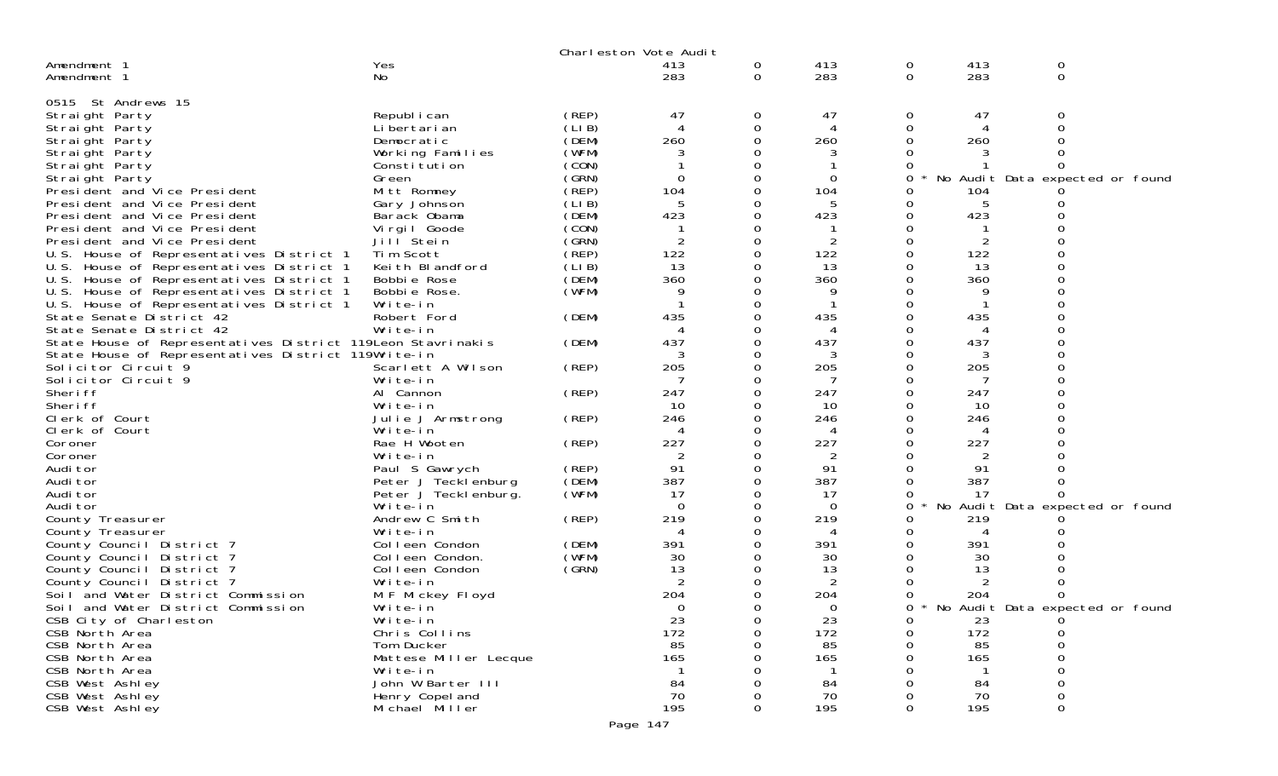|                                                                            |                       |        | Charleston Vote Audit |               |                |          |             |                                 |  |
|----------------------------------------------------------------------------|-----------------------|--------|-----------------------|---------------|----------------|----------|-------------|---------------------------------|--|
| Amendment 1                                                                | Yes                   |        | 413                   | 0             | 413            | 0        | 413         | 0                               |  |
| Amendment 1                                                                | No                    |        | 283                   | $\mathbf{O}$  | 283            | 0        | 283         | 0                               |  |
|                                                                            |                       |        |                       |               |                |          |             |                                 |  |
| 0515 St Andrews 15                                                         |                       |        |                       |               |                |          |             |                                 |  |
| Straight Party                                                             | Republ i can          | (REP)  | 47                    | 0             | 47             | 0        | 47          | 0                               |  |
| Straight Party                                                             | Li bertari an         | (LI B) | $\boldsymbol{\Delta}$ | 0             | 4              | 0        | 4           | 0                               |  |
| Straight Party                                                             | Democratic            | (DEM)  | 260                   | $\Omega$      | 260            | O        | 260         |                                 |  |
| Straight Party                                                             | Working Families      | (WFM)  | 3                     | 0             | 3              | 0        |             |                                 |  |
| Straight Party                                                             | Constitution          | (CON)  |                       |               |                |          |             | 0                               |  |
| Straight Party                                                             | Green                 | (GRN)  | $\Omega$              | $\Omega$      | 0              | 0        | No          | Audit Data expected or found    |  |
| President and Vice President                                               | Mitt Romney           | (REP)  | 104                   | 0             | 104            | 0        | 104         |                                 |  |
| President and Vice President                                               | Gary Johnson          | (LIB)  | 5                     | 0             | 5              | Ω        | 5           |                                 |  |
| President and Vice President                                               | Barack Obama          | (DEM)  | 423                   | $\Omega$      | 423            | 0        | 423         |                                 |  |
| President and Vice President                                               | Virgil Goode          | (CON)  |                       | 0             |                | 0        |             |                                 |  |
| President and Vice President                                               | Jill Stein            | (GRN)  | 2                     | $\Omega$      | 2              |          |             |                                 |  |
| U.S. House of Representatives District 1                                   | Tim Scott             | (REP)  | 122                   | $\Omega$      | 122            | O        | 122         |                                 |  |
| U.S.<br>House of Representatives District 1                                | Keith Blandford       | (LI B) | 13                    | 0             | 13             | 0        | 13          |                                 |  |
| U.S. House of Representatives District 1                                   | Bobbie Rose           | (DEM)  | 360                   | O             | 360            |          | 360         |                                 |  |
| U.S.<br>House of Representatives District 1                                | Bobbie Rose.          | (WFM)  | q                     | O             | q              |          | 9           |                                 |  |
| U.S. House of Representatives District 1                                   | Write-in              |        |                       | 0             |                | 0        |             |                                 |  |
| State Senate District 42                                                   | Robert Ford           | (DEM)  | 435                   | O             | 435            |          | 435         | $\Omega$                        |  |
| State Senate District 42                                                   | Write-in              |        |                       | 0             | $\Delta$       | O        | 4           |                                 |  |
| State House of Representatives District 119Leon Stavrinakis                |                       | (DEM)  | 437                   | 0             | 437            | 0<br>Ω   | 437         | $\Omega$                        |  |
| State House of Representatives District 119Write-in<br>Solicitor Circuit 9 | Scarlett A Wilson     |        | 3<br>205              | 0<br>$\Omega$ | 3<br>205       | Ω        | 3<br>205    | $\Omega$                        |  |
| Solicitor Circuit 9                                                        | Write-in              | (REP)  | -7                    | 0             | 7              |          | 7           |                                 |  |
| Sheri ff                                                                   | Al Cannon             | (REP)  | 247                   | $\Omega$      | 247            | $\Omega$ | 247         |                                 |  |
| Sheri ff                                                                   | Write-in              |        | 10                    | 0             | 10             | Ω        | 10          |                                 |  |
| Clerk of Court                                                             | Julie J Armstrong     | (REP)  | 246                   | 0             | 246            |          | 246         |                                 |  |
| Clerk of Court                                                             | Write-in              |        | 4                     | 0             | 4              |          | 4           |                                 |  |
| Coroner                                                                    | Rae H Wooten          | (REP)  | 227                   | 0             | 227            | Ω        | 227         |                                 |  |
| Coroner                                                                    | Write-in              |        | $\overline{2}$        | 0             | $\overline{2}$ |          |             |                                 |  |
| Audi tor                                                                   | Paul S Gawrych        | (REP)  | 91                    | $\Omega$      | 91             | 0        | 91          |                                 |  |
| Audi tor                                                                   | Peter J Tecklenburg   | (DEM)  | 387                   | $\Omega$      | 387            | 0        | 387         |                                 |  |
| Audi tor                                                                   | Peter J Tecklenburg.  | (WFM)  | 17                    | 0             | 17             | 0        | 17          |                                 |  |
| Audi tor                                                                   | Write-in              |        | 0                     | 0             | $\Omega$       | 0        |             | No Audit Data expected or found |  |
| County Treasurer                                                           | Andrew C Smith        | (REP)  | 219                   | $\Omega$      | 219            | 0        | 219         |                                 |  |
| County Treasurer                                                           | Write-in              |        | 4                     | 0             | 4              | 0        | 4           |                                 |  |
| County Council District 7                                                  | Colleen Condon        | (DEM)  | 391                   | O             | 391            |          | 391         |                                 |  |
| County Council District 7                                                  | Colleen Condon.       | (WFM)  | 30                    | 0             | 30             |          | 30          |                                 |  |
| County Council District 7                                                  | Colleen Condon        | (GRN)  | 13                    | 0             | 13             |          | 13          |                                 |  |
| County Council District 7                                                  | Write-in              |        | 2                     | 0             | 2              | O        |             |                                 |  |
| Soil and Water District Commission                                         | M F Mickey Floyd      |        | 204                   | 0             | 204            | 0        | 204         |                                 |  |
| Soil and Water District Commission                                         | Write-in              |        | $\Omega$              | $\Omega$      | $\Omega$       | 0        |             | No Audit Data expected or found |  |
| CSB City of Charleston                                                     | Write-in              |        | 23                    | 0             | 23             | 0        | 23          | 0                               |  |
| CSB North Area                                                             | Chris Collins         |        | 172                   | $\Omega$      | 172            | 0        | 172         | 0                               |  |
| CSB North Area                                                             | Tom Ducker            |        | 85                    | 0             | 85             |          | 85          | 0                               |  |
| CSB North Area                                                             | Mattese Miller Lecque |        | 165                   | 0             | 165            |          | 165         | 0                               |  |
| CSB North Area                                                             | Write-in              |        | -1                    | 0             | $\mathbf{1}$   |          | $\mathbf 1$ | 0                               |  |
| CSB West Ashley                                                            | John W Barter III     |        | 84                    |               | 84             |          | 84          | 0                               |  |
| CSB West Ashley                                                            | Henry Copel and       |        | 70                    | 0             | 70             |          | 70          | 0                               |  |
| CSB West Ashley                                                            | Michael Miller        |        | 195                   | $\mathbf{O}$  | 195            | 0        | 195         | 0                               |  |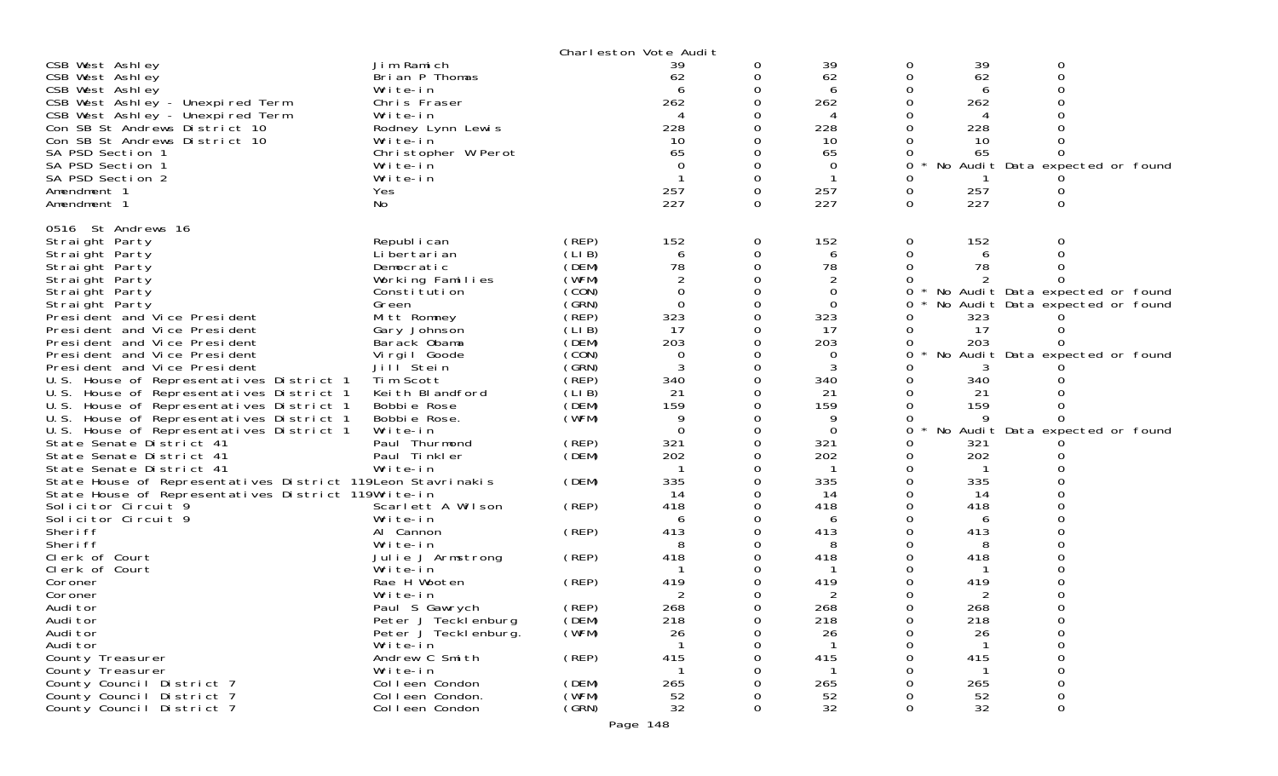|                                                                                                                                                                                                                                                                                           |                                                                                                                                                                   |                                              | Charleston Vote Audit                                                                         |                       |                                                                        |                       |                                                       |                                                                    |  |
|-------------------------------------------------------------------------------------------------------------------------------------------------------------------------------------------------------------------------------------------------------------------------------------------|-------------------------------------------------------------------------------------------------------------------------------------------------------------------|----------------------------------------------|-----------------------------------------------------------------------------------------------|-----------------------|------------------------------------------------------------------------|-----------------------|-------------------------------------------------------|--------------------------------------------------------------------|--|
| CSB West Ashley<br>CSB West Ashley<br>CSB West Ashley<br>CSB West Ashley - Unexpired Term<br>CSB West Ashley - Unexpired Term<br>Con SB St Andrews District 10<br>Con SB St Andrews District 10<br>SA PSD Section 1<br>SA PSD Section 1<br>SA PSD Section 2<br>Amendment 1<br>Amendment 1 | Jim Ramich<br>Brian P Thomas<br>Write-in<br>Chris Fraser<br>Write-in<br>Rodney Lynn Lewis<br>Write-in<br>Christopher W Perot<br>Write-in<br>Write-in<br>Yes<br>No |                                              | 39<br>62<br>6<br>262<br>$\boldsymbol{\varDelta}$<br>228<br>10<br>65<br>$\Omega$<br>257<br>227 | 0<br>0<br>0<br>0<br>0 | 39<br>62<br>6<br>262<br>4<br>228<br>10<br>65<br>$\Omega$<br>257<br>227 | 0<br>0<br>0<br>0<br>0 | 39<br>62<br>6<br>262<br>228<br>10<br>65<br>257<br>227 | 0<br>No Audit Data expected or found<br>$\Omega$                   |  |
| 0516 St Andrews 16<br>Straight Party<br>Straight Party<br>Straight Party<br>Straight Party                                                                                                                                                                                                | Republ i can<br>Li bertari an<br>Democratic<br>Working Families                                                                                                   | (REP)<br>(LIB)<br>(DEM)<br>(WFM)             | 152<br>6<br>78                                                                                | 0<br>0                | 152<br>6<br>78<br>2                                                    | 0                     | 152<br>6<br>78                                        | 0                                                                  |  |
| Straight Party<br>Straight Party<br>President and Vice President<br>President and Vice President<br>President and Vice President                                                                                                                                                          | Constitution<br>Green<br>Mitt Romney<br>Gary Johnson<br>Barack Obama                                                                                              | (CON)<br>(GRN)<br>(REP)<br>(LIB)<br>(DEM)    | $\overline{0}$<br>$\Omega$<br>323<br>17<br>203                                                |                       | $\mathbf 0$<br>$\mathbf 0$<br>323<br>17<br>203                         | 0<br>0<br>0<br>0      | 323<br>17<br>203                                      | No Audit Data expected or found<br>No Audit Data expected or found |  |
| President and Vice President<br>President and Vice President<br>U.S. House of Representatives District 1<br>U.S. House of Representatives District 1<br>U.S. House of Representatives District 1                                                                                          | Virgil Goode<br>Jill Stein<br>Tim Scott<br>Keith Blandford<br>Bobbie Rose                                                                                         | (CON)<br>(GRN)<br>$($ REP)<br>(LIB)<br>(DEM) | $\Omega$<br>3<br>340<br>21<br>159                                                             |                       | 0<br>3<br>340<br>21<br>159                                             | 0                     | 3<br>340<br>21<br>159                                 | No Audit Data expected or found                                    |  |
| U.S. House of Representatives District 1<br>U.S. House of Representatives District 1<br>State Senate District 41<br>State Senate District 41<br>State Senate District 41<br>State House of Representatives District 119Leon Stavrinakis                                                   | Bobbie Rose.<br>Write-in<br>Paul Thurmond<br>Paul Tinkler<br>Write-in                                                                                             | (WFM)<br>(REP)<br>(DEM)<br>(DEM)             | 9<br>$\Omega$<br>321<br>202<br>335                                                            | 0                     | $\Omega$<br>321<br>202<br>335                                          | 0<br>0<br>0<br>0      | 321<br>202<br>335                                     | No Audit Data expected or found                                    |  |
| State House of Representatives District 119Write-in<br>Solicitor Circuit 9<br>Solicitor Circuit 9<br>Sheri ff<br>Sheri ff                                                                                                                                                                 | Scarlett A Wilson<br>Write-in<br>Al Cannon<br>Write-in                                                                                                            | (REP)<br>(REP)                               | 14<br>418<br>6<br>413<br>8                                                                    |                       | 14<br>418<br>6<br>413<br>8                                             |                       | 14<br>418<br>6<br>413<br>8                            |                                                                    |  |
| Clerk of Court<br>Clerk of Court<br>Coroner<br>Coroner<br>Audi tor                                                                                                                                                                                                                        | Julie J Armstrong<br>Write-in<br>Rae H Wooten<br>Write-in<br>Paul S Gawrych                                                                                       | (REP)<br>(REP)<br>(REP)                      | 418<br>419<br>268                                                                             |                       | 418<br>419<br>2<br>268                                                 |                       | 418<br>419<br>2<br>268                                |                                                                    |  |
| Audi tor<br>Audi tor<br>Audi tor<br>County Treasurer<br>County Treasurer                                                                                                                                                                                                                  | Peter J Tecklenburg<br>Peter J Teckl enburg.<br>Write-in<br>Andrew C Smith<br>Write-in                                                                            | (DEM)<br>(WFM)<br>(REP)                      | 218<br>26<br>415                                                                              | 0                     | 218<br>26<br>415                                                       | 0                     | 218<br>26<br>415                                      | 0                                                                  |  |
| County Council District 7<br>County Council District 7<br>County Council District 7                                                                                                                                                                                                       | Colleen Condon<br>Colleen Condon.<br>Colleen Condon                                                                                                               | (DEM)<br>(WFM)<br>(GRN)                      | 265<br>52<br>32                                                                               |                       | 265<br>52<br>32                                                        |                       | 265<br>52<br>32                                       | $\Omega$                                                           |  |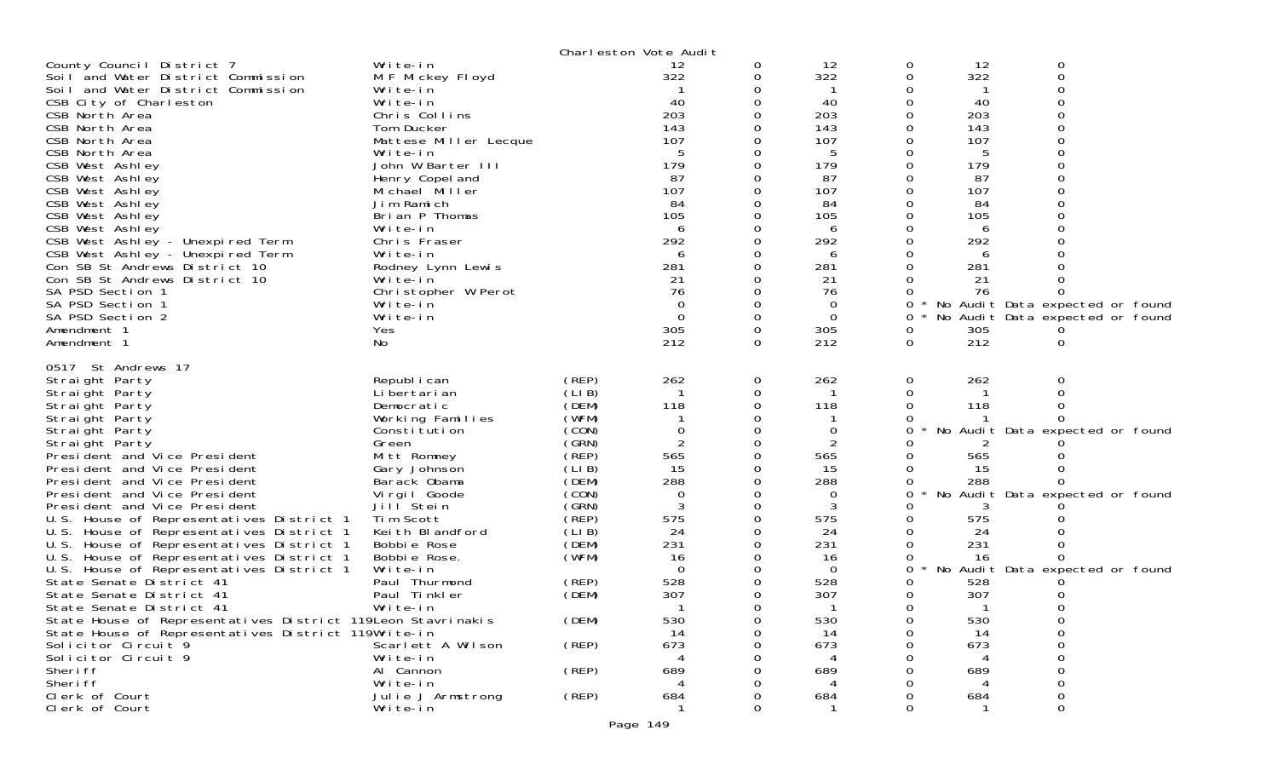|                                                                                                                                                                                                                                                                                                                                                                                                                                                                                                                                                                                                                                                                                                                                                                                                                                                |                                                                                                                                                                                                                                                                                                                                                                                          |                                                                                                                                                                                              | Charleston Vote Audit                                                                                                                                   |                                                                 |                                                                                                                                          |                                                                             |                                                                                                                              |                                                                                                                 |  |
|------------------------------------------------------------------------------------------------------------------------------------------------------------------------------------------------------------------------------------------------------------------------------------------------------------------------------------------------------------------------------------------------------------------------------------------------------------------------------------------------------------------------------------------------------------------------------------------------------------------------------------------------------------------------------------------------------------------------------------------------------------------------------------------------------------------------------------------------|------------------------------------------------------------------------------------------------------------------------------------------------------------------------------------------------------------------------------------------------------------------------------------------------------------------------------------------------------------------------------------------|----------------------------------------------------------------------------------------------------------------------------------------------------------------------------------------------|---------------------------------------------------------------------------------------------------------------------------------------------------------|-----------------------------------------------------------------|------------------------------------------------------------------------------------------------------------------------------------------|-----------------------------------------------------------------------------|------------------------------------------------------------------------------------------------------------------------------|-----------------------------------------------------------------------------------------------------------------|--|
| County Council District 7<br>Soil and Water District Commission<br>Soil and Water District Commission<br>CSB City of Charleston<br>CSB North Area<br>CSB North Area<br>CSB North Area<br>CSB North Area<br>CSB West Ashley<br>CSB West Ashley<br>CSB West Ashley<br>CSB West Ashley<br>CSB West Ashley<br>CSB West Ashley<br>CSB West Ashley - Unexpired Term<br>CSB West Ashley - Unexpired Term<br>Con SB St Andrews District 10<br>Con SB St Andrews District 10<br>SA PSD Section 1<br>SA PSD Section 1<br>SA PSD Section 2<br>Amendment 1<br>Amendment 1                                                                                                                                                                                                                                                                                  | Write-in<br>M F Mickey Floyd<br>Write-in<br>Write-in<br>Chris Collins<br>Tom Ducker<br>Mattese Miller Lecque<br>Write-in<br>John W Barter III<br>Henry Copel and<br>Michael Miller<br>Jim Ramich<br>Brian P Thomas<br>Write-in<br>Chris Fraser<br>Write-in<br>Rodney Lynn Lewis<br>Write-in<br>Christopher W Perot<br>Write-in<br>Write-in<br>Yes<br>No                                  |                                                                                                                                                                                              | 12<br>322<br>40<br>203<br>143<br>107<br>5<br>179<br>87<br>107<br>84<br>105<br>6<br>292<br>6<br>281<br>21<br>76<br>$\Omega$<br>$\mathbf 0$<br>305<br>212 | 0<br>0<br>0<br>0<br>0<br>0<br>0<br>0<br>$\mathbf 0$<br>$\Omega$ | 12<br>322<br>40<br>203<br>143<br>107<br>5<br>179<br>87<br>107<br>84<br>105<br>6<br>292<br>6<br>281<br>21<br>76<br>0<br>0<br>305<br>212   | 0<br>0<br>0<br>$\Omega$<br>0<br>0<br>0                                      | 12<br>322<br>40<br>203<br>143<br>107<br>5<br>179<br>87<br>107<br>84<br>105<br>6<br>292<br>6<br>281<br>21<br>76<br>305<br>212 | 0<br>No Audit Data expected or found<br>No Audit Data expected or found<br>0                                    |  |
| 0517 St Andrews 17<br>Straight Party<br>Straight Party<br>Straight Party<br>Straight Party<br>Straight Party<br>Straight Party<br>President and Vice President<br>President and Vice President<br>President and Vice President<br>President and Vice President<br>President and Vice President<br>U.S. House of Representatives District 1<br>U.S. House of Representatives District 1<br>U.S. House of Representatives District 1<br>U.S. House of Representatives District 1<br>U.S. House of Representatives District 1<br>State Senate District 41<br>State Senate District 41<br>State Senate District 41<br>State House of Representatives District 119Leon Stavrinakis<br>State House of Representatives District 119Write-in<br>Solicitor Circuit 9<br>Solicitor Circuit 9<br>Sheri ff<br>Sheri ff<br>Clerk of Court<br>Clerk of Court | Republ i can<br>Li bertari an<br>Democratic<br>Working Families<br>Constitution<br>Green<br>Mitt Romney<br>Gary Johnson<br>Barack Obama<br>Virgil Goode<br>Jill Stein<br>Tim Scott<br>Keith Blandford<br>Bobbie Rose<br>Bobbie Rose.<br>Write-in<br>Paul Thurmond<br>Paul Tinkler<br>Write-in<br>Scarlett A Wilson<br>Write-in<br>Al Cannon<br>Write-in<br>Julie J Armstrong<br>Write-in | (REP)<br>(LI B)<br>(DEM)<br>(WFM)<br>(CON)<br>(GRN)<br>(REP)<br>(LI B)<br>(DEM)<br>(CON)<br>(GRN)<br>(REP)<br>(LI B)<br>(DEM)<br>(WFM)<br>(REP)<br>(DEM)<br>(DEM)<br>(REP)<br>(REP)<br>(REP) | 262<br>118<br>0<br>2<br>565<br>15<br>288<br>0<br>3<br>575<br>24<br>231<br>16<br>$\Omega$<br>528<br>307<br>530<br>14<br>673<br>689<br>684                | 0<br>0<br>0<br>0<br>0<br>$\Omega$<br>0<br>0<br>$\Omega$         | 262<br>118<br>0<br>2<br>565<br>15<br>288<br>0<br>3<br>575<br>24<br>231<br>16<br>$\Omega$<br>528<br>307<br>530<br>14<br>673<br>689<br>684 | 0<br>$\Omega$<br>0<br>$\Omega$<br>$\Omega$<br>0<br>$\Omega$<br><sup>n</sup> | 262<br>118<br>565<br>15<br>288<br>575<br>24<br>231<br>16<br>528<br>307<br>530<br>14<br>673<br>689<br>684                     | 0<br>No Audit Data expected or found<br>No Audit Data expected or found<br>No Audit Data expected or found<br>∩ |  |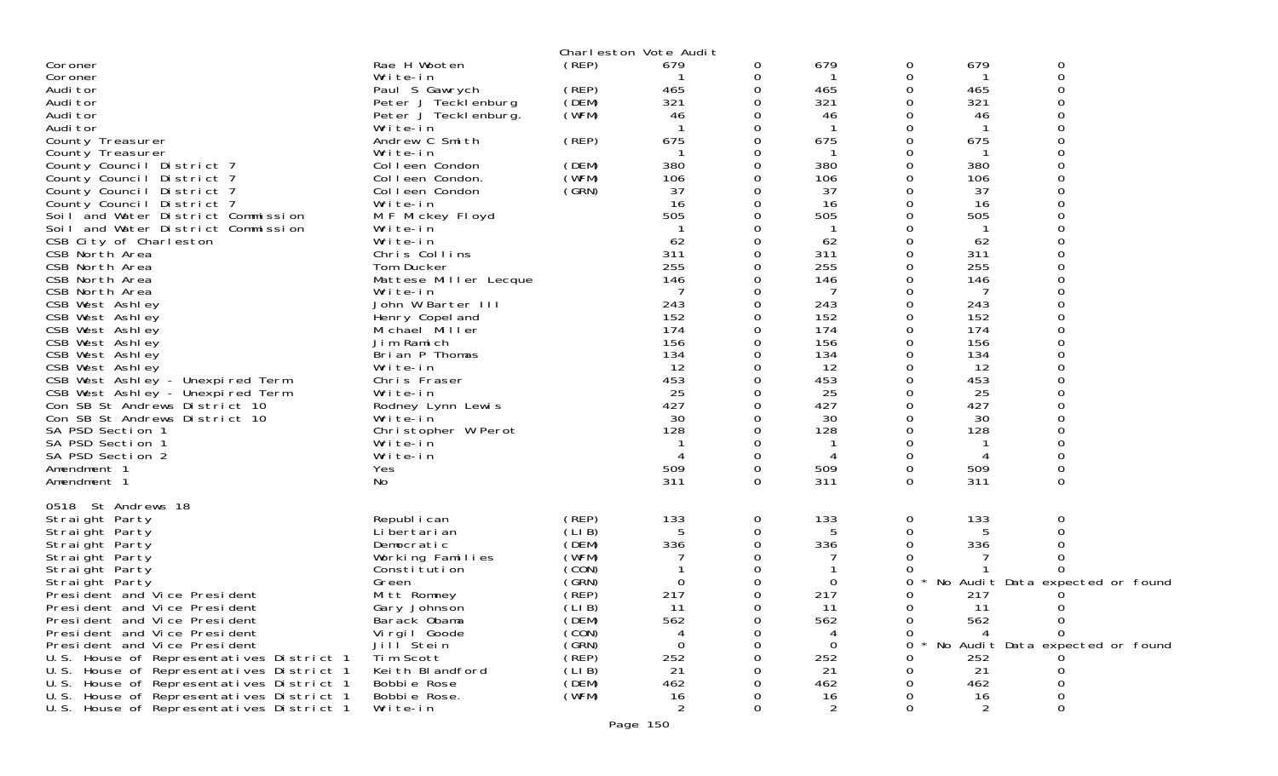|                                                                                      |                                |                | Charleston Vote Audit |          |            |          |                |                                 |  |
|--------------------------------------------------------------------------------------|--------------------------------|----------------|-----------------------|----------|------------|----------|----------------|---------------------------------|--|
| Coroner                                                                              | Rae H Wooten                   | (REP)          | 679                   | 0        | 679        | 0        | 679            | 0                               |  |
| Coroner                                                                              | Write-in                       |                |                       | 0        |            | 0        |                | $\mathbf 0$                     |  |
| Audi tor                                                                             | Paul S Gawrych                 | (REP)          | 465                   | 0        | 465        | 0        | 465            | 0                               |  |
| Audi tor                                                                             | Peter J Tecklenburg            | (DEM)          | 321                   |          | 321        | 0        | 321            |                                 |  |
| Audi tor                                                                             | Peter J Teckl enburg.          | (WFM)          | 46                    |          | 46         | 0        | 46             | O                               |  |
| Audi tor                                                                             | Write-in<br>Andrew C Smith     | (REP)          | 675                   |          | 675        | Ω<br>O   | 675            |                                 |  |
| County Treasurer<br>County Treasurer                                                 | Write-in                       |                |                       |          |            | 0        |                |                                 |  |
| County Council District 7                                                            | Colleen Condon                 | (DEM)          | 380                   |          | 380        | O        | 380            |                                 |  |
| County Council District 7                                                            | Colleen Condon.                | (WFM)          | 106                   |          | 106        | O        | 106            |                                 |  |
| County Council District 7                                                            | Colleen Condon                 | (GRN)          | 37                    |          | 37         | 0        | 37             |                                 |  |
| County Council District 7                                                            | Write-in                       |                | 16                    |          | 16         |          | 16             |                                 |  |
| Soil and Water District Commission                                                   | M F Mickey Floyd               |                | 505                   |          | 505        | O        | 505            |                                 |  |
| Soil and Water District Commission                                                   | Write-in                       |                |                       |          |            |          |                |                                 |  |
| CSB City of Charleston                                                               | Write-in                       |                | 62                    |          | 62         | 0        | 62             |                                 |  |
| CSB North Area                                                                       | Chris Collins                  |                | 311                   |          | 311        | 0        | 311            |                                 |  |
| CSB North Area                                                                       | Tom Ducker                     |                | 255                   |          | 255        | 0        | 255            |                                 |  |
| CSB North Area                                                                       | Mattese Miller Lecque          |                | 146                   |          | 146        | O        | 146            |                                 |  |
| CSB North Area                                                                       | Write-in                       |                |                       |          | 7          | 0        | 7              |                                 |  |
| CSB West Ashley                                                                      | John W Barter III              |                | 243                   |          | 243        | 0        | 243            |                                 |  |
| CSB West Ashley                                                                      | Henry Copel and                |                | 152                   |          | 152        | $\Omega$ | 152            |                                 |  |
| CSB West Ashley                                                                      | Michael Miller<br>Jim Ramich   |                | 174<br>156            |          | 174<br>156 | 0<br>0   | 174<br>156     |                                 |  |
| CSB West Ashley<br>CSB West Ashley                                                   | Brian P Thomas                 |                | 134                   |          | 134        | $\Omega$ | 134            | $\Omega$                        |  |
| CSB West Ashley                                                                      | Write-in                       |                | 12                    |          | 12         | 0        | 12             |                                 |  |
| CSB West Ashley - Unexpired Term                                                     | Chris Fraser                   |                | 453                   |          | 453        |          | 453            |                                 |  |
| CSB West Ashley - Unexpired Term                                                     | Write-in                       |                | 25                    |          | 25         | 0        | 25             |                                 |  |
| Con SB St Andrews District 10                                                        | Rodney Lynn Lewis              |                | 427                   |          | 427        | 0        | 427            | 0                               |  |
| Con SB St Andrews District 10                                                        | Write-in                       |                | 30                    |          | 30         | 0        | 30             |                                 |  |
| SA PSD Section 1                                                                     | Christopher W Perot            |                | 128                   |          | 128        | O        | 128            |                                 |  |
| SA PSD Section 1                                                                     | Write-in                       |                |                       |          | -1         | 0        |                |                                 |  |
| SA PSD Section 2                                                                     | Write-in                       |                |                       |          |            | 0        |                |                                 |  |
| Amendment 1                                                                          | Yes                            |                | 509                   | 0        | 509        | 0        | 509            | 0                               |  |
| Amendment 1                                                                          | No                             |                | 311                   | $\Omega$ | 311        | $\Omega$ | 311            | $\Omega$                        |  |
|                                                                                      |                                |                |                       |          |            |          |                |                                 |  |
| 0518 St Andrews 18<br>Straight Party                                                 | Republ i can                   | (REP)          | 133                   | 0        | 133        | 0        | 133            | 0                               |  |
| Straight Party                                                                       | Li bertari an                  | (LIB)          |                       | 0        | 5          | Ω        |                |                                 |  |
| Straight Party                                                                       | Democratic                     | (DEM)          | 336                   |          | 336        | 0        | 336            |                                 |  |
| Straight Party                                                                       | Working Families               | (WFM)          |                       |          |            |          |                |                                 |  |
| Straight Party                                                                       | Constitution                   | (CON)          |                       |          |            |          |                |                                 |  |
| Straight Party                                                                       | Green                          | (GRN)          | $\Omega$              |          | 0          | 0        |                | No Audit Data expected or found |  |
| President and Vice President                                                         | Mitt Romney                    | $($ REP)       | 217                   | 0        | 217        | 0        | 217            |                                 |  |
| President and Vice President                                                         | Gary Johnson                   | (LIB)          | 11                    | 0        | 11         | 0        | 11             | 0                               |  |
| President and Vice President                                                         | Barack Obama                   | (DEM)          | 562                   | 0        | 562        | 0        | 562            | 0                               |  |
| President and Vice President                                                         | Vi rgi I Goode                 | (CON)          | 4                     | 0        | 4          | 0        | $\overline{A}$ | <sup>n</sup>                    |  |
| President and Vice President                                                         | Jill Stein                     | (GRN)          | 0                     |          | 0          | 0        |                | No Audit Data expected or found |  |
| U.S. House of Representatives District 1                                             | Tim Scott                      | (REP)          | 252                   |          | 252        |          | 252            |                                 |  |
| U.S. House of Representatives District 1<br>U.S. House of Representatives District 1 | Keith Blandford<br>Bobbie Rose | (LIB)<br>(DEM) | 21<br>462             |          | 21<br>462  |          | 21<br>462      | 0<br>0                          |  |
| U.S. House of Representatives District 1                                             | Bobbie Rose.                   | (WFM)          | 16                    |          | 16         |          | 16             | $\Omega$                        |  |
| U.S. House of Representatives District 1                                             | Write-in                       |                | 2                     |          | 2          | O        | 2              | 0                               |  |
|                                                                                      |                                |                | Page 150              |          |            |          |                |                                 |  |
|                                                                                      |                                |                |                       |          |            |          |                |                                 |  |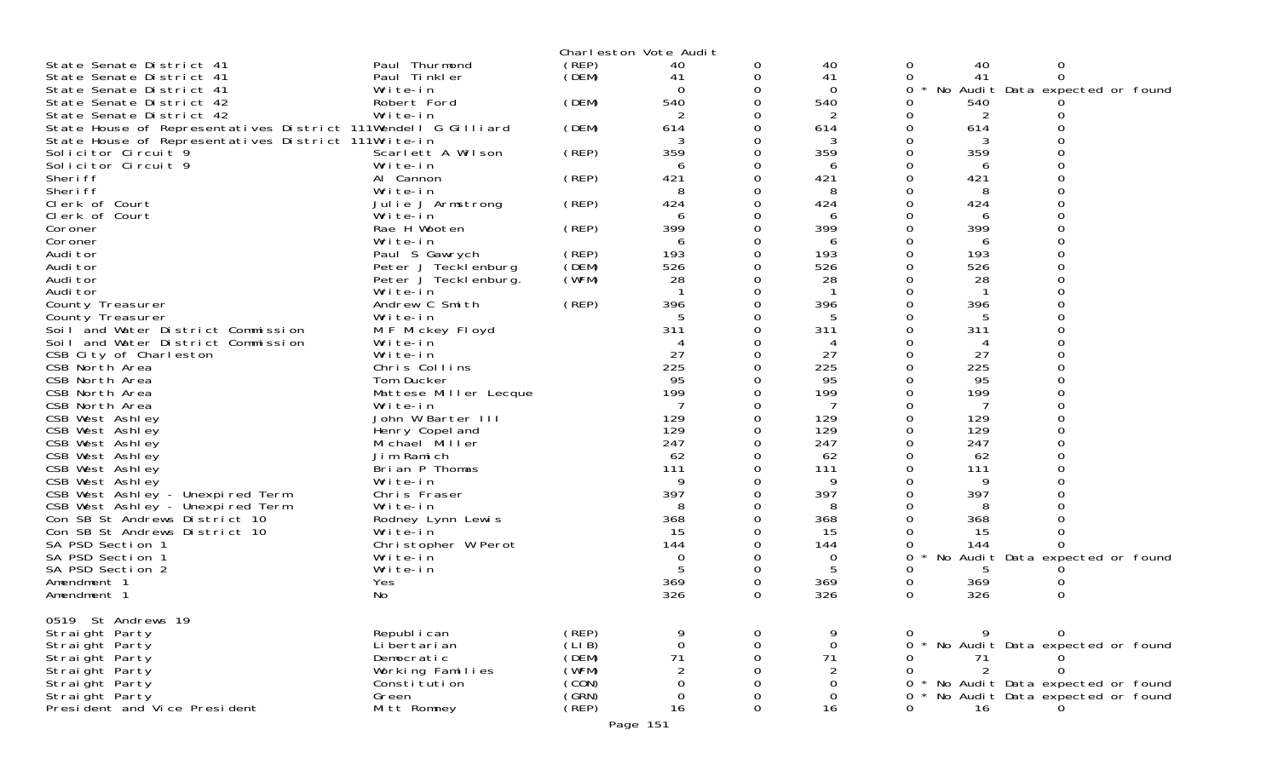|                                                               |                                  |                | Charleston Vote Audit |          |                     |                                           |
|---------------------------------------------------------------|----------------------------------|----------------|-----------------------|----------|---------------------|-------------------------------------------|
| State Senate District 41                                      | Paul Thurmond                    | (REP)          | 40                    | 0        | 40                  | 40<br>0<br>0                              |
| State Senate District 41                                      | Paul Tinkler                     | (DEM)          | 41                    |          | 41                  | 41<br>0<br>$\Omega$                       |
| State Senate District 41                                      | Write-in                         |                |                       |          | $\Omega$            | No Audit Data expected or found<br>0<br>∗ |
| State Senate District 42                                      | Robert Ford                      | (DEM)          | 540                   |          | 540                 | 540                                       |
| State Senate District 42                                      | Write-in                         |                |                       |          | 2                   | 2                                         |
| State House of Representatives District 111Wendell G Gilliard |                                  | (DEM)          | 614                   | 0        | 614                 | 614<br>0                                  |
| State House of Representatives District 111Write-in           |                                  |                | 3                     |          | 3                   | 3                                         |
| Solicitor Circuit 9                                           | Scarlett A Wilson                | (REP)          | 359                   |          | 359                 | 359                                       |
| Solicitor Circuit 9                                           | Write-in                         |                | 6                     |          | 6                   | 6                                         |
| Sheri ff                                                      | Al Cannon                        | (REP)          | 421                   |          | 421                 | 421                                       |
| Sheri ff                                                      | Write-in                         |                | 8                     |          | 8                   | 8                                         |
| Clerk of Court                                                | Julie J Armstrong                | (REP)          | 424                   |          | 424                 | 424                                       |
| Clerk of Court                                                | Write-in                         |                | 6                     |          | 6                   | 6                                         |
| Coroner                                                       | Rae H Wooten                     | (REP)          | 399                   |          | 399                 | 399                                       |
| Coroner                                                       | Write-in                         |                | 6                     |          | 6                   | 6                                         |
| Audi tor                                                      | Paul S Gawrych                   | (REP)          | 193                   |          | 193                 | 193                                       |
| Audi tor                                                      | Peter J Tecklenburg              | (DEM)          | 526                   |          | 526                 | 526<br>$\Omega$                           |
| Audi tor                                                      | Peter J Teckl enburg.            | (WFM)          | 28                    |          | 28                  | 28                                        |
| Audi tor                                                      | Write-in                         |                | $\mathbf{1}$<br>396   |          | $\mathbf{1}$<br>396 | $\mathbf{1}$<br>396                       |
| County Treasurer                                              | Andrew C Smith                   | (REP)          |                       |          |                     |                                           |
| County Treasurer<br>Soil and Water District Commission        | Write-in                         |                | 311                   |          | 311                 | 311                                       |
| Soil and Water District Commission                            | M F Mickey Floyd<br>Write-in     |                |                       |          | 4                   | 4                                         |
| CSB City of Charleston                                        | Write-in                         |                | 27                    |          | 27                  | $\Omega$<br>27<br>$\Omega$                |
| CSB North Area                                                | Chris Collins                    |                | 225                   |          | 225                 | 225                                       |
| CSB North Area                                                | Tom Ducker                       |                | 95                    |          | 95                  | 95                                        |
| CSB North Area                                                | Mattese Miller Lecque            |                | 199                   |          | 199                 | $\Omega$<br>199<br>0                      |
| CSB North Area                                                | Write-in                         |                | 7                     |          | 7                   | 7                                         |
| CSB West Ashley                                               | John W Barter III                |                | 129                   |          | 129                 | 129                                       |
| CSB West Ashley                                               | Henry Copel and                  |                | 129                   |          | 129                 | $\Omega$<br>129                           |
| CSB West Ashley                                               | Michael Miller                   |                | 247                   |          | 247                 | 247                                       |
| CSB West Ashley                                               | Jim Ramich                       |                | 62                    |          | 62                  | 62                                        |
| CSB West Ashley                                               | Brian P Thomas                   |                | 111                   |          | 111                 | 111                                       |
| CSB West Ashley                                               | Write-in                         |                | 9                     |          | 9                   | 9                                         |
| CSB West Ashley - Unexpired Term                              | Chris Fraser                     |                | 397                   |          | 397                 | 397                                       |
| CSB West Ashley - Unexpired Term                              | Write-in                         |                | 8                     |          | 8                   | 8                                         |
| Con SB St Andrews District 10                                 | Rodney Lynn Lewis                |                | 368                   |          | 368                 | 368                                       |
| Con SB St Andrews District 10                                 | Write-in                         |                | 15                    |          | 15                  | 15                                        |
| SA PSD Section 1                                              | Christopher W Perot              |                | 144                   |          | 144                 | 144                                       |
| SA PSD Section 1                                              | Write-in                         |                | 0                     |          | $\mathbf 0$         | No Audit Data expected or found<br>0      |
| SA PSD Section 2                                              | Write-in                         |                | 5                     |          | 5                   | 5                                         |
| Amendment 1                                                   | Yes                              |                | 369                   | 0        | 369                 | 369<br>0                                  |
| Amendment 1                                                   | No                               |                | 326                   | 0        | 326                 | 326<br>$\Omega$<br>0                      |
|                                                               |                                  |                |                       |          |                     |                                           |
| 0519 St Andrews 19                                            |                                  |                |                       |          |                     |                                           |
| Straight Party                                                | Republ i can                     | (REP)          |                       |          |                     | 9<br>$\Omega$                             |
| Straight Party                                                | Li bertari an                    | (LI B)         | $\Omega$              | $\Omega$ | 0                   | * No Audit Data expected or found         |
| Straight Party                                                | Democratic                       | (DEM)<br>(WFM) | 71<br>$\overline{2}$  |          | 71                  | 71<br>2                                   |
| Straight Party<br>Straight Party                              | Working Families<br>Constitution | (CON)          | 0                     |          | $\overline{2}$<br>0 | * No Audit Data expected or found<br>0    |
| Straight Party                                                | Green                            | (GRN)          | 0                     |          | $\mathbf 0$         | No Audit Data expected or found           |
| President and Vice President                                  | Mitt Romney                      | (REP)          | 16                    | 0        | 16                  | 16<br>0                                   |
|                                                               |                                  |                |                       |          |                     |                                           |

Page 151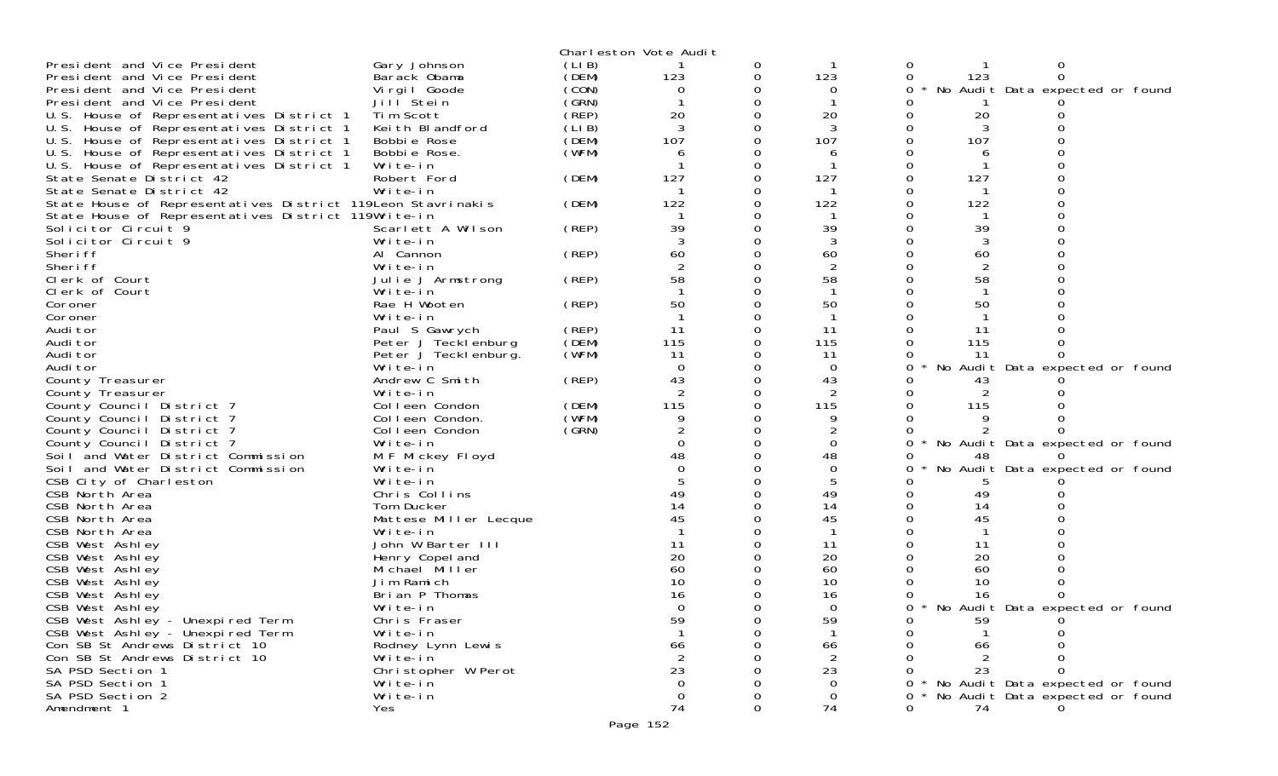|                                                             |        | Charleston Vote Audit |   |                |                                      |
|-------------------------------------------------------------|--------|-----------------------|---|----------------|--------------------------------------|
| Gary Johnson<br>President and Vice President                | (LIB)  |                       | 0 |                | 0                                    |
| President and Vice President<br>Barack Obama                | (DEM)  | 123                   | 0 | 123            | 0<br>123<br>0                        |
| Virgil Goode<br>President and Vice President                | (CON)  | 0                     |   | 0              | No Audit Data expected or found      |
| President and Vice President<br>Jill Stein                  | (GRN)  |                       |   |                |                                      |
| U.S. House of Representatives District 1<br>Tim Scott       | (REP)  | 20                    |   | 20             | 20                                   |
| U.S. House of Representatives District 1<br>Keith Blandford | (LI B) | 3                     |   |                |                                      |
| U.S. House of Representatives District 1<br>Bobbie Rose     | (DEM)  | 107                   |   | 107            | 107                                  |
| U.S. House of Representatives District 1<br>Bobbie Rose.    | (WFM)  | 6                     |   | 6              |                                      |
| U.S. House of Representatives District 1<br>Write-in        |        |                       |   |                |                                      |
| State Senate District 42<br>Robert Ford                     | (DEM)  | 127                   | 0 | 127            | 127                                  |
| Write-in<br>State Senate District 42                        |        |                       |   |                |                                      |
| State House of Representatives District 119Leon Stavrinakis | (DEM)  | 122                   |   | 122            | 122                                  |
| State House of Representatives District 119Write-in         |        |                       |   |                |                                      |
| Solicitor Circuit 9<br>Scarlett A Wilson                    | (REP)  | 39                    |   | 39             | 39                                   |
| Solicitor Circuit 9<br>Write-in                             |        |                       | O |                |                                      |
| Sheri ff<br>Al Cannon                                       | (REP)  | 60                    | 0 | 60             | 60                                   |
| Sheri ff<br>Write-in                                        |        | 2                     |   | $\overline{2}$ | $\overline{2}$                       |
| Clerk of Court<br>Julie J Armstrong                         | (REP)  | 58                    |   | 58             | 58                                   |
|                                                             |        |                       | 0 |                |                                      |
| Clerk of Court<br>Write-in<br>Rae H Wooten                  |        | 50                    |   | 50             | 50                                   |
| Coroner                                                     | (REP)  |                       |   |                |                                      |
| Coroner<br>Write-in                                         |        |                       |   |                |                                      |
| Audi tor<br>Paul S Gawrych                                  | (REP)  | 11                    | 0 | 11             | 11                                   |
| Peter J Tecklenburg<br>Audi tor                             | (DEM)  | 115                   |   | 115            | 115                                  |
| Audi tor<br>Peter J Teckl enburg.                           | (WFM)  | 11                    |   | 11             | -11                                  |
| Audi tor<br>Write-in                                        |        | $\Omega$              | 0 | $\overline{0}$ | No Audit Data expected or found<br>0 |
| Andrew C Smith<br>County Treasurer                          | (REP)  | 43                    |   | 43             | 43                                   |
| Write-in<br>County Treasurer                                |        |                       |   |                |                                      |
| County Council District 7<br>Colleen Condon                 | (DEM)  | 115                   | 0 | 115            | 115                                  |
| County Council District 7<br>Colleen Condon.                | (WFM)  | 9                     |   | 9              |                                      |
| Colleen Condon<br>County Council District 7                 | (GRN)  |                       |   |                |                                      |
| County Council District 7<br>Write-in                       |        |                       | 0 | $\Omega$       | No Audit Data expected or found      |
| Soil and Water District Commission<br>M F Mickey Floyd      |        |                       |   | 48             | 48                                   |
| Soil and Water District Commission<br>Write-in              |        |                       |   | $\Omega$       | No Audit Data expected or found      |
| CSB City of Charleston<br>Write-in                          |        |                       | 0 | 5              |                                      |
| CSB North Area<br>Chris Collins                             |        |                       |   | 49             | 49                                   |
| CSB North Area<br>Tom Ducker                                |        | 14                    |   | 14             | 14                                   |
| CSB North Area<br>Mattese Miller Lecque                     |        | 45                    |   | 45             | 45                                   |
| CSB North Area<br>Write-in                                  |        |                       |   |                |                                      |
| CSB West Ashley<br>John W Barter III                        |        | 11                    |   | 11             | 11                                   |
| CSB West Ashley<br>Henry Copel and                          |        | 20                    |   | 20             | 20                                   |
| CSB West Ashley<br>Michael Miller                           |        | 60                    |   | 60             | 60                                   |
| CSB West Ashley<br>Jim Ramich                               |        | 10                    |   | 10             | 10                                   |
| CSB West Ashley<br>Brian P Thomas                           |        | 16                    |   | 16             | 16                                   |
| CSB West Ashley<br>Write-in                                 |        | $\Omega$              |   | $\Omega$       | 0<br>No Audit Data expected or found |
| CSB West Ashley - Unexpired Term<br>Chris Fraser            |        | 59                    |   | 59             | 59                                   |
| CSB West Ashley - Unexpired Term<br>Write-in                |        |                       |   |                |                                      |
| Con SB St Andrews District 10<br>Rodney Lynn Lewis          |        | 66                    |   | 66             | 66                                   |
| Con SB St Andrews District 10<br>Write-in                   |        | $\overline{2}$        |   | $\overline{2}$ |                                      |
| SA PSD Section 1<br>Christopher W Perot                     |        | 23                    |   | 23             | 23                                   |
| SA PSD Section 1<br>Write-in                                |        | 0                     |   | $\Omega$       | No Audit Data expected or found      |
| SA PSD Section 2<br>Write-in                                |        | $\mathbf 0$           |   | $\overline{0}$ | No Audit Data expected or found      |
| Amendment 1<br>Yes                                          |        | 74                    | 0 | 74             | 74<br>0                              |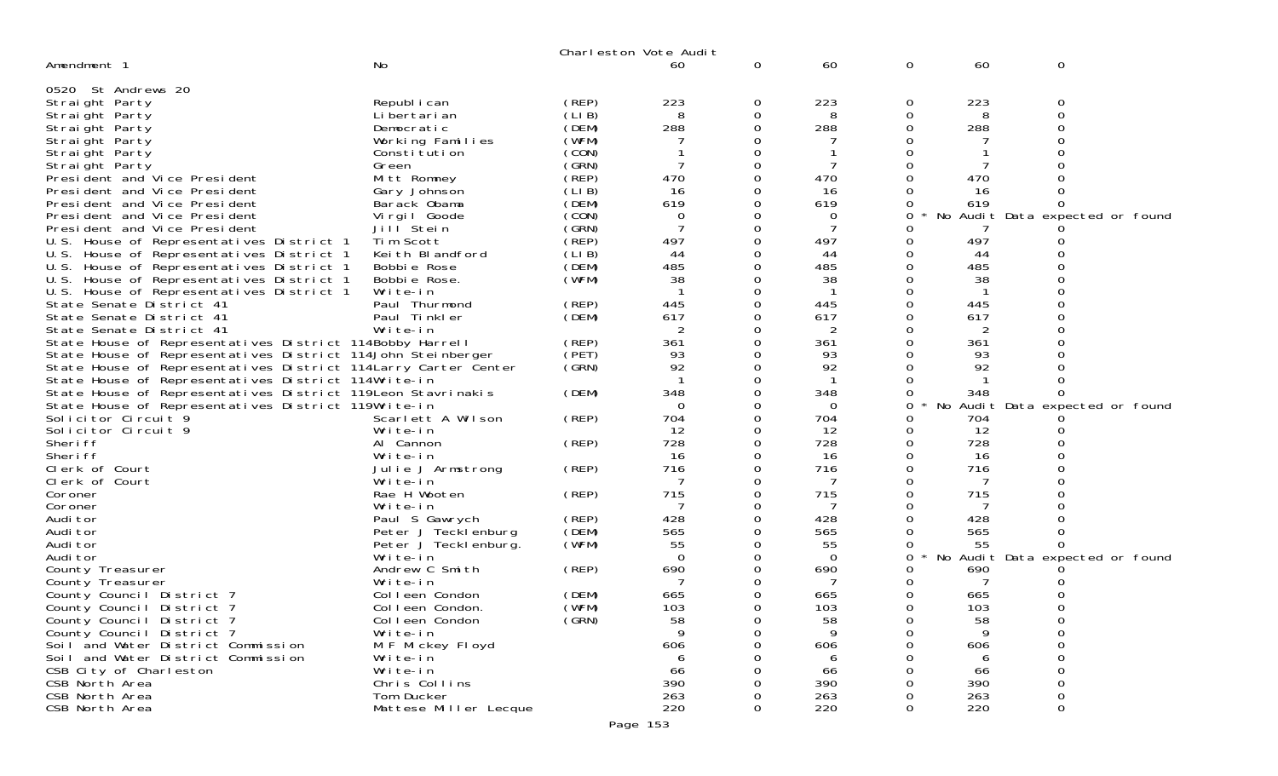|                                                                                                                        |                                       |                | Charleston Vote Audit |              |                |               |            |          |                                 |
|------------------------------------------------------------------------------------------------------------------------|---------------------------------------|----------------|-----------------------|--------------|----------------|---------------|------------|----------|---------------------------------|
| Amendment 1                                                                                                            | No                                    |                | 60                    | 0            | 60             | 0             | 60         | 0        |                                 |
| 0520 St Andrews 20                                                                                                     |                                       |                |                       |              |                |               |            |          |                                 |
| Straight Party                                                                                                         | Republ i can                          | (REP)          | 223                   | 0            | 223            | 0             | 223        | 0        |                                 |
| Straight Party                                                                                                         | Li bertari an                         | (LIB)          | 8                     | 0            | 8              | 0             | 8          | $\Omega$ |                                 |
| Straight Party                                                                                                         | Democratic                            | (DEM)          | 288                   | 0            | 288            | 0             | 288        | $\Omega$ |                                 |
| Straight Party                                                                                                         | Working Families                      | (WFM)          |                       | 0            |                |               |            |          |                                 |
| Straight Party                                                                                                         | Constitution                          | (CON)          |                       | O            |                |               |            |          |                                 |
| Straight Party                                                                                                         | Green                                 | (GRN)          | 7                     | 0            |                | O             |            |          |                                 |
| President and Vice President                                                                                           | Mitt Romney                           | (REP)          | 470                   | 0            | 470            | 0             | 470        |          |                                 |
| President and Vice President                                                                                           | Gary Johnson                          | (LI B)         | 16                    | 0<br>O       | 16             |               | 16         | 0        |                                 |
| President and Vice President<br>President and Vice President                                                           | Barack Obama<br>Virgil Goode          | (DEM)<br>(CON) | 619<br>0              | 0            | 619<br>0       | 0<br>0        | 619<br>No  |          | Audit Data expected or found    |
| President and Vice President                                                                                           | Jill Stein                            | (GRN)          | 7                     | 0            | 7              |               |            |          |                                 |
| U.S. House of Representatives District 1                                                                               | Tim Scott                             | (REP)          | 497                   | 0            | 497            | 0             | 497        |          |                                 |
| U.S. House of Representatives District 1                                                                               | Keith Blandford                       | (LIB)          | 44                    | 0            | 44             | 0             | 44         |          |                                 |
| U.S. House of Representatives District 1                                                                               | Bobbie Rose                           | (DEM)          | 485                   |              | 485            |               | 485        |          |                                 |
| U.S. House of Representatives District 1                                                                               | Bobbie Rose.                          | (WFM)          | 38                    | O            | 38             |               | 38         |          |                                 |
| U.S. House of Representatives District 1                                                                               | Write-in                              |                |                       | 0            |                | 0             |            |          |                                 |
| State Senate District 41                                                                                               | Paul Thurmond                         | (REP)          | 445                   |              | 445            |               | 445        |          |                                 |
| State Senate District 41                                                                                               | Paul Tinkler                          | (DEM)          | 617                   | O            | 617            |               | 617        |          |                                 |
| State Senate District 41                                                                                               | Write-in                              |                | $\overline{2}$        | 0            | $\overline{2}$ | 0             | 2          |          |                                 |
| State House of Representatives District 114Bobby Harrell                                                               |                                       | (REP)          | 361                   |              | 361            |               | 361        |          |                                 |
| State House of Representatives District 114John Steinberger                                                            |                                       | (PET)<br>(SRN) | 93<br>92              | O<br>0       | 93<br>92       |               | 93<br>92   |          |                                 |
| State House of Representatives District 114 Larry Carter Center<br>State House of Representatives District 114Write-in |                                       |                |                       | 0            | -1             | 0<br>0        |            |          |                                 |
| State House of Representatives District 119 Leon Stavrinakis                                                           |                                       | (DEM)          | 348                   | O            | 348            | 0             | 348        |          |                                 |
| State House of Representatives District 119Write-in                                                                    |                                       |                | $\Omega$              | 0            | $\Omega$       | 0             |            |          | No Audit Data expected or found |
| Solicitor Circuit 9                                                                                                    | Scarlett A Wilson                     | (REP)          | 704                   | O            | 704            | 0             | 704        |          |                                 |
| Solicitor Circuit 9                                                                                                    | Write-in                              |                | 12                    | O            | 12             | 0             | -12        |          |                                 |
| Sheri ff                                                                                                               | Al Cannon                             | (REP)          | 728                   | 0            | 728            | 0             | 728        |          |                                 |
| Sheri ff                                                                                                               | Write-in                              |                | 16                    |              | 16             |               | 16         |          |                                 |
| Clerk of Court                                                                                                         | Julie J Armstrong                     | (REP)          | 716                   | O            | 716            |               | 716        |          |                                 |
| Clerk of Court                                                                                                         | Write-in                              |                | 7                     | 0            | 7              | 0             |            |          |                                 |
| Coroner                                                                                                                | Rae H Wooten                          | (REP)          | 715                   |              | 715            |               | 715        |          |                                 |
| Coroner                                                                                                                | Write-in                              |                |                       | O            |                | Ω             |            |          |                                 |
| Audi tor<br>Audi tor                                                                                                   | Paul S Gawrych<br>Peter J Tecklenburg | (REP)<br>(DEM) | 428<br>565            | 0            | 428<br>565     | 0<br>$\Omega$ | 428<br>565 |          |                                 |
| Audi tor                                                                                                               | Peter J Tecklenburg.                  | (WFM)          | 55                    |              | 55             | 0             | 55         |          |                                 |
| Audi tor                                                                                                               | Write-in                              |                | $\Omega$              |              | $\overline{0}$ | 0             |            |          | No Audit Data expected or found |
| County Treasurer                                                                                                       | Andrew C Smith                        | (REP)          | 690                   |              | 690            |               | 690        |          |                                 |
| County Treasurer                                                                                                       | Write-in                              |                |                       |              |                |               |            |          |                                 |
| County Council District 7                                                                                              | Colleen Condon                        | (DEM)          | 665                   |              | 665            |               | 665        |          |                                 |
| County Council District 7                                                                                              | Colleen Condon.                       | (WFM)          | 103                   | <sup>n</sup> | 103            | 0             | 103        | 0        |                                 |
| County Council District 7                                                                                              | Colleen Condon                        | (GRN)          | 58                    | 0            | 58             | 0             | 58         |          |                                 |
| County Council District 7                                                                                              | Write-in                              |                |                       | 0            |                |               | Q          |          |                                 |
| Soil and Water District Commission                                                                                     | M F Mickey Floyd                      |                | 606                   |              | 606            |               | 606        | 0        |                                 |
| Soil and Water District Commission                                                                                     | Write-in<br>Write-in                  |                | 6                     |              | 6              |               | 6          |          |                                 |
| CSB City of Charleston<br>CSB North Area                                                                               | Chris Collins                         |                | 66<br>390             |              | 66<br>390      |               | 66<br>390  |          |                                 |
| CSB North Area                                                                                                         | Tom Ducker                            |                | 263                   |              | 263            |               | 263        | 0        |                                 |
| CSB North Area                                                                                                         | Mattese Miller Lecque                 |                | 220                   |              | 220            |               | 220        | 0        |                                 |
|                                                                                                                        |                                       |                |                       |              |                |               |            |          |                                 |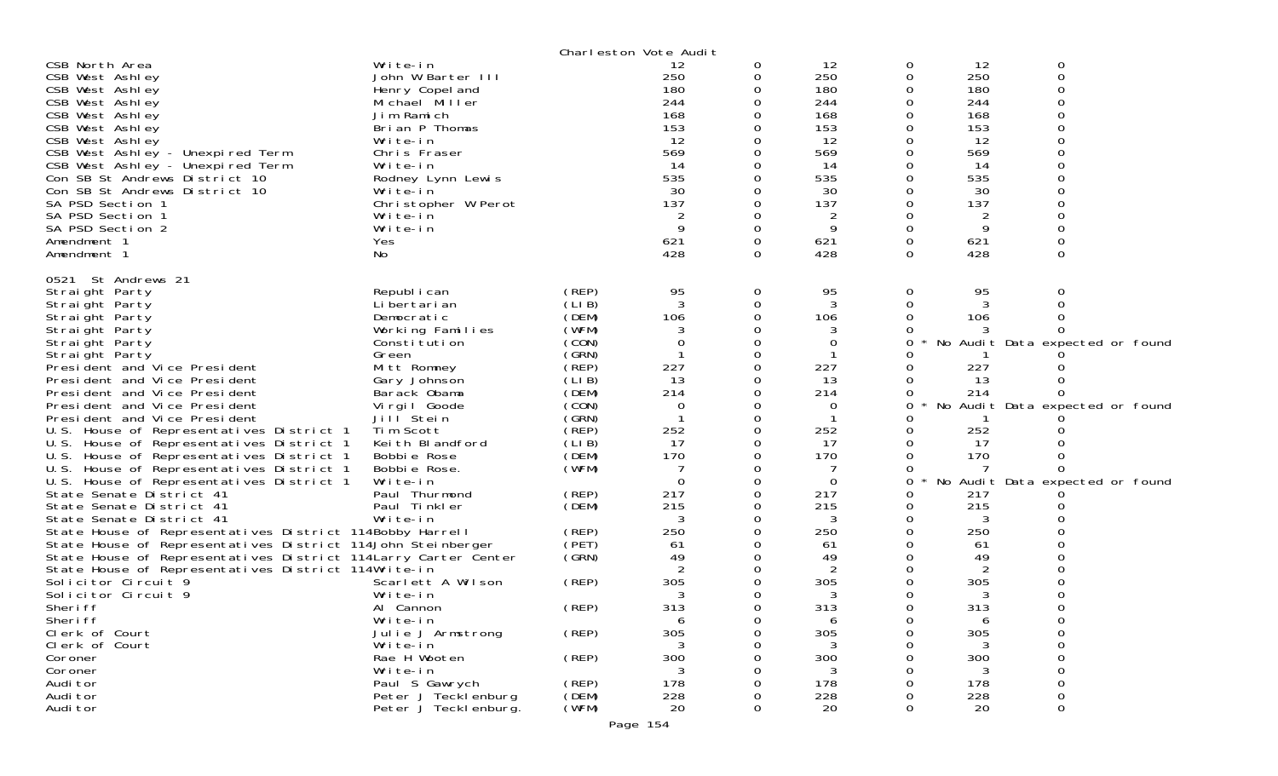|                                                                                                                                                                                                                                                                                                                                                                                                                                                                                                                                                                                                                                                                                                                                                                                                                                                                                                                   |                                                                                                                                                                                                                                                                                                                                           |                                                                                                                                                                                            | Charleston Vote Audit                                                                                                        |                                                                                                                                         |                                                                                                                                                            |                                                |                                                                                                          |                                                                                                            |
|-------------------------------------------------------------------------------------------------------------------------------------------------------------------------------------------------------------------------------------------------------------------------------------------------------------------------------------------------------------------------------------------------------------------------------------------------------------------------------------------------------------------------------------------------------------------------------------------------------------------------------------------------------------------------------------------------------------------------------------------------------------------------------------------------------------------------------------------------------------------------------------------------------------------|-------------------------------------------------------------------------------------------------------------------------------------------------------------------------------------------------------------------------------------------------------------------------------------------------------------------------------------------|--------------------------------------------------------------------------------------------------------------------------------------------------------------------------------------------|------------------------------------------------------------------------------------------------------------------------------|-----------------------------------------------------------------------------------------------------------------------------------------|------------------------------------------------------------------------------------------------------------------------------------------------------------|------------------------------------------------|----------------------------------------------------------------------------------------------------------|------------------------------------------------------------------------------------------------------------|
| CSB North Area<br>CSB West Ashley<br>CSB West Ashley<br>CSB West Ashley<br>CSB West Ashley<br>CSB West Ashley<br>CSB West Ashley<br>CSB West Ashley - Unexpired Term<br>CSB West Ashley - Unexpired Term<br>Con SB St Andrews District 10<br>Con SB St Andrews District 10                                                                                                                                                                                                                                                                                                                                                                                                                                                                                                                                                                                                                                        | Write-in<br>John W Barter III<br>Henry Copel and<br>Michael Miller<br>Jim Ramich<br>Brian P Thomas<br>Write-in<br>Chris Fraser<br>Write-in<br>Rodney Lynn Lewis<br>Write-in                                                                                                                                                               |                                                                                                                                                                                            | 12<br>250<br>180<br>244<br>168<br>153<br>12<br>569<br>-14<br>535<br>30                                                       | 0<br>0<br>0<br>$\Omega$<br>0<br>0<br>0<br>0                                                                                             | 12<br>250<br>180<br>244<br>168<br>153<br>12<br>569<br>14<br>535<br>30                                                                                      | 0<br>0<br>0<br>0<br>0<br>0                     | 12<br>250<br>180<br>244<br>168<br>153<br>12<br>569<br>14<br>535<br>30                                    | 0<br>$\mathbf 0$                                                                                           |
| SA PSD Section 1<br>SA PSD Section 1<br>SA PSD Section 2<br>Amendment 1<br>Amendment 1                                                                                                                                                                                                                                                                                                                                                                                                                                                                                                                                                                                                                                                                                                                                                                                                                            | Christopher W Perot<br>Write-in<br>Write-in<br>Yes<br>No                                                                                                                                                                                                                                                                                  |                                                                                                                                                                                            | 137<br>2<br>9<br>621<br>428                                                                                                  | $\Omega$<br>0<br>0<br>0<br>$\Omega$                                                                                                     | 137<br>2<br>9<br>621<br>428                                                                                                                                | $\Omega$<br>0<br>0<br>0                        | 137<br>2<br>9<br>621<br>428                                                                              | $\Omega$                                                                                                   |
| 0521 St Andrews 21<br>Straight Party<br>Straight Party<br>Straight Party<br>Straight Party<br>Straight Party<br>Straight Party<br>President and Vice President<br>President and Vice President<br>President and Vice President<br>President and Vice President<br>President and Vice President<br>U.S. House of Representatives District 1<br>U.S. House of Representatives District 1<br>U.S. House of Representatives District 1<br>U.S. House of Representatives District 1<br>U.S. House of Representatives District 1<br>State Senate District 41<br>State Senate District 41<br>State Senate District 41<br>State House of Representatives District 114Bobby Harrell<br>State House of Representatives District 114John Steinberger<br>State House of Representatives District 114 Larry Carter Center<br>State House of Representatives District 114Write-in<br>Solicitor Circuit 9<br>Solicitor Circuit 9 | Republ i can<br>Li bertari an<br>Democratic<br>Working Families<br>Constitution<br>Green<br>Mitt Romney<br>Gary Johnson<br>Barack Obama<br>Virgil Goode<br>Jill <sup>Stein</sup><br>Tim Scott<br>Keith Blandford<br>Bobbie Rose<br>Bobbie Rose.<br>Write-in<br>Paul Thurmond<br>Paul Tinkler<br>Write-in<br>Scarlett A Wilson<br>Write-in | (REP)<br>(LIB)<br>(DEM)<br>(WFM)<br>(CON)<br>(SRN)<br>(REP)<br>(LIB)<br>(DEM)<br>(CON)<br>(GRN)<br>(REF)<br>(LI B)<br>(DEM)<br>(WFM)<br>(REP)<br>(DEM)<br>(REP)<br>(PET)<br>(SRN)<br>(REP) | 95<br>3<br>106<br>3<br>0<br>227<br>13<br>214<br>0<br>252<br>17<br>170<br>0<br>217<br>215<br>3<br>250<br>61<br>49<br>305<br>3 | 0<br>0<br>0<br>0<br>0<br>$\Omega$<br>0<br>0<br>0<br>0<br>0<br>0<br>0<br>0<br>0<br>0<br>0<br>$\Omega$<br>0<br>0<br>0<br>0<br>0<br>0<br>0 | 95<br>3<br>106<br>3<br>0<br>227<br>13<br>214<br>0<br>$\mathbf 1$<br>252<br>17<br>170<br>$\mathbf 0$<br>217<br>215<br>3<br>250<br>61<br>49<br>2<br>305<br>3 | 0<br>0<br>Ω<br>0<br>Ω<br>Ω<br>0<br>Ω<br>Ω<br>0 | 95<br>3<br>106<br>227<br>13<br>214<br>252<br>17<br>170<br>217<br>215<br>3<br>250<br>61<br>49<br>305<br>3 | 0<br>No Audit Data expected or found<br>No Audit Data expected or found<br>No Audit Data expected or found |
| Sheri ff<br>Sheri ff<br>Clerk of Court<br>Clerk of Court<br>Coroner                                                                                                                                                                                                                                                                                                                                                                                                                                                                                                                                                                                                                                                                                                                                                                                                                                               | Al Cannon<br>Write-in<br>Julie J Armstrong<br>Write-in<br>Rae H Wooten                                                                                                                                                                                                                                                                    | (REP)<br>(REP)<br>(REP)                                                                                                                                                                    | 313<br>6<br>305<br>300                                                                                                       | 0<br>$\sigma$<br>0<br>O<br>O                                                                                                            | 313<br>6<br>305<br>300                                                                                                                                     | 0<br>0<br>0                                    | 313<br>305<br>3<br>300                                                                                   | 0<br>0<br>0<br>$\Omega$                                                                                    |
| Coroner<br>Audi tor<br>Audi tor<br>Audi tor                                                                                                                                                                                                                                                                                                                                                                                                                                                                                                                                                                                                                                                                                                                                                                                                                                                                       | Write-in<br>Paul S Gawrych<br>Peter J Teckl enburg<br>Peter J Teckl enburg.                                                                                                                                                                                                                                                               | (REP)<br>(DEM)<br>(WFM)                                                                                                                                                                    | 178<br>228<br>20                                                                                                             | O<br>0<br>Ω<br>0                                                                                                                        | 178<br>228<br>20                                                                                                                                           | 0                                              | 3<br>178<br>228<br>20                                                                                    | 0<br>0<br>$\Omega$<br>0                                                                                    |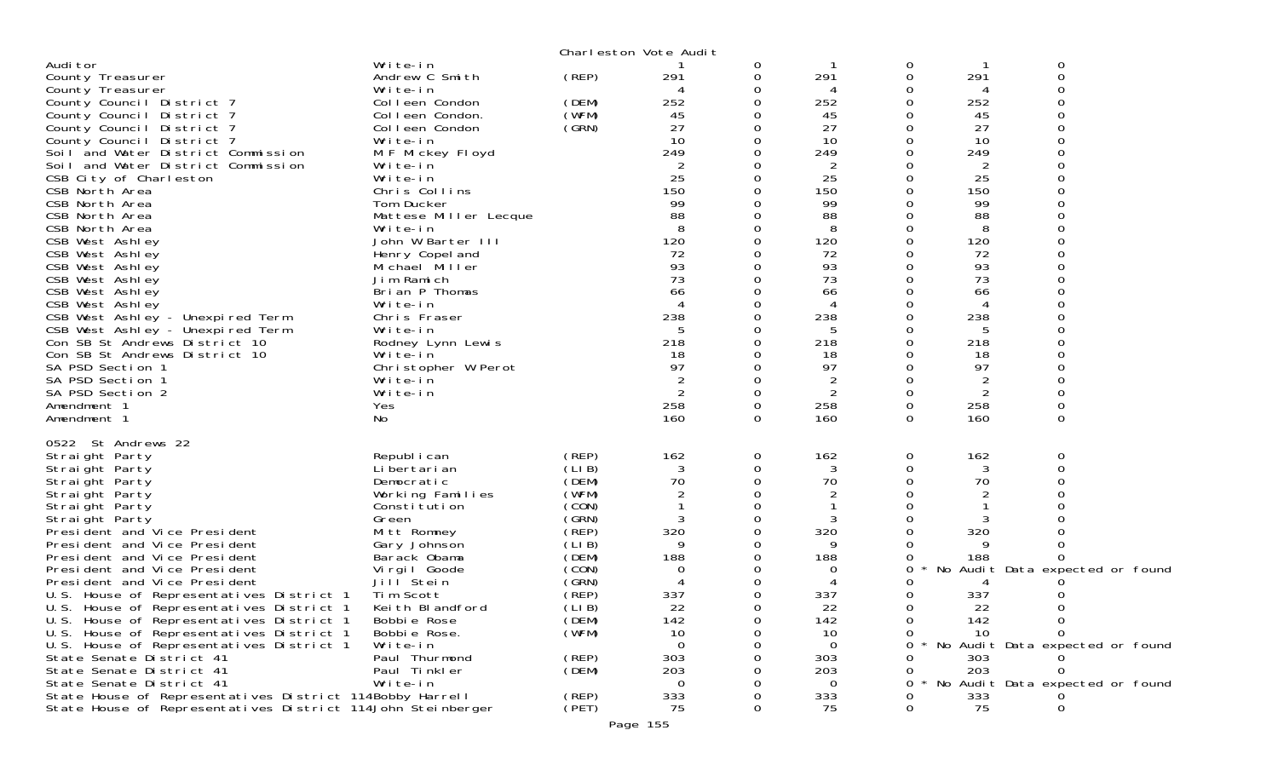|                                                                                      |                                   |                | Charleston Vote Audit |               |                |          |                 |                                 |
|--------------------------------------------------------------------------------------|-----------------------------------|----------------|-----------------------|---------------|----------------|----------|-----------------|---------------------------------|
| Audi tor<br>County Treasurer                                                         | Write-in<br>Andrew C Smith        | (REP)          | 291                   | 0<br>0        | 291            | 0<br>0   | 291             | 0<br>$\mathbf 0$                |
| County Treasurer                                                                     | Write-in                          |                |                       | 0             | 4              | 0        | 4               |                                 |
| County Council District 7                                                            | Colleen Condon                    | (DEM)          | 252                   | 0             | 252            | Ω        | 252             |                                 |
| County Council District 7                                                            | Colleen Condon.                   | (WFM)          | 45                    | 0             | 45             |          | 45              |                                 |
| County Council District 7                                                            | Colleen Condon                    | (SRN)          | 27                    | 0             | 27             | O        | 27              |                                 |
| County Council District 7<br>Soil and Water District Commission                      | Write-in<br>M F Mickey Floyd      |                | 10<br>249             | 0<br>0        | 10<br>249      | 0        | 10<br>249       |                                 |
| Soil and Water District Commission                                                   | Write-in                          |                | 2                     |               | 2              |          | 2               |                                 |
| CSB City of Charleston                                                               | Write-in                          |                | 25                    | 0             | 25             | Ω        | 25              |                                 |
| CSB North Area                                                                       | Chris Collins                     |                | 150                   |               | 150            |          | 150             |                                 |
| CSB North Area<br>CSB North Area                                                     | Tom Ducker                        |                | 99<br>88              |               | 99<br>88       |          | 99<br>88        |                                 |
| CSB North Area                                                                       | Mattese Miller Lecque<br>Write-in |                | 8                     |               | 8              |          | 8               |                                 |
| CSB West Ashley                                                                      | John W Barter III                 |                | 120                   | $\Omega$      | 120            | $\Omega$ | 120             |                                 |
| CSB West Ashley                                                                      | Henry Copel and                   |                | 72                    | 0             | 72             |          | 72              |                                 |
| CSB West Ashley                                                                      | Michael Miller                    |                | 93                    |               | 93             |          | 93              |                                 |
| CSB West Ashley<br>CSB West Ashley                                                   | Jim Ramich<br>Brian P Thomas      |                | 73<br>66              | 0<br>0        | 73<br>66       | O        | 73<br>66        |                                 |
| CSB West Ashley                                                                      | Write-in                          |                |                       |               | 4              |          | 4               |                                 |
| CSB West Ashley - Unexpired Term                                                     | Chris Fraser                      |                | 238                   | 0             | 238            | O        | 238             |                                 |
| CSB West Ashley - Unexpired Term                                                     | Write-in                          |                | 5                     | 0             | 5              |          | 5               |                                 |
| Con SB St Andrews District 10                                                        | Rodney Lynn Lewis                 |                | 218                   | 0<br>0        | 218            | O        | 218             |                                 |
| Con SB St Andrews District 10<br>SA PSD Section 1                                    | Write-in<br>Christopher W Perot   |                | 18<br>97              | 0             | 18<br>97       | 0        | 18<br>97        |                                 |
| SA PSD Section 1                                                                     | Write-in                          |                |                       | 0             | $\overline{2}$ |          | $\overline{2}$  |                                 |
| SA PSD Section 2                                                                     | Write-in                          |                | $\overline{2}$        | $\Omega$      | $\overline{2}$ | 0        | 2               | ∩                               |
| Amendment 1                                                                          | Yes                               |                | 258                   | 0             | 258            | 0        | 258             | $\mathbf 0$                     |
| Amendment 1                                                                          | No                                |                | 160                   | $\Omega$      | 160            | $\Omega$ | 160             | $\Omega$                        |
| 0522 St Andrews 22                                                                   |                                   |                |                       |               |                |          |                 |                                 |
| Straight Party                                                                       | Republ i can                      | (REP)          | 162                   | 0             | 162            | 0        | 162             | 0                               |
| Straight Party<br>Straight Party                                                     | Li bertari an<br>Democratic       | (LIB)<br>(DEM) | 3<br>70               | $\Omega$<br>0 | 3<br>70        | 0<br>0   | 3<br>70         | $\Omega$                        |
| Straight Party                                                                       | Working Families                  | (WFM)          | $\overline{2}$        | 0             | $\overline{2}$ |          |                 |                                 |
| Straight Party                                                                       | Constitution                      | (CON)          |                       | $\Omega$      |                | ∩        |                 |                                 |
| Straight Party                                                                       | Green                             | (GRN)          | 3                     | 0             | 3              | 0        | 3               |                                 |
| President and Vice President<br>President and Vice President                         | Mitt Romney<br>Gary Johnson       | (REP)<br>(LIB) | 320<br>9              | 0<br>0        | 320<br>9       |          | 320<br><b>Q</b> |                                 |
| President and Vice President                                                         | Barack Obama                      | (DEM)          | 188                   | 0             | 188            | 0        | 188             | ∩                               |
| President and Vice President                                                         | Virgil Goode                      | (CON)          | 0                     |               | 0              | 0        |                 | No Audit Data expected or found |
| President and Vice President                                                         | Jill Stein                        | (GRN)          | 4                     | 0             | 4              |          |                 |                                 |
| U.S. House of Representatives District 1                                             | Tim Scott<br>Keith Blandford      | (REP)          | 337<br>22             | 0             | 337            | 0        | 337             |                                 |
| U.S. House of Representatives District 1<br>U.S. House of Representatives District 1 | Bobbie Rose                       | (LIB)<br>(DEM) | 142                   | 0<br>0        | 22<br>142      | 0<br>0   | 22<br>142       | 0<br>0                          |
| U.S. House of Representatives District 1                                             | Bobbie Rose.                      | (WFM)          | 10                    | Ω             | 10             | O        | 10              |                                 |
| U.S. House of Representatives District 1                                             | Write-in                          |                |                       |               | $\Omega$       | $\star$  |                 | No Audit Data expected or found |
| State Senate District 41                                                             | Paul Thurmond                     | (REP)          | 303                   |               | 303            |          | 303.            |                                 |
| State Senate District 41<br>State Senate District 41                                 | Paul Tinkler<br>Write-in          | (DEM)          | 203<br>$\Omega$       |               | 203<br>0       | 0        | 203             | No Audit Data expected or found |
| State House of Representatives District 114Bobby Harrell                             |                                   | (REP)          | 333                   |               | 333            |          | 333             |                                 |
| State House of Representatives District 114John Steinberger                          |                                   | (PET)          | 75                    |               | 75             | O        | 75              |                                 |
|                                                                                      |                                   |                | Page 155              |               |                |          |                 |                                 |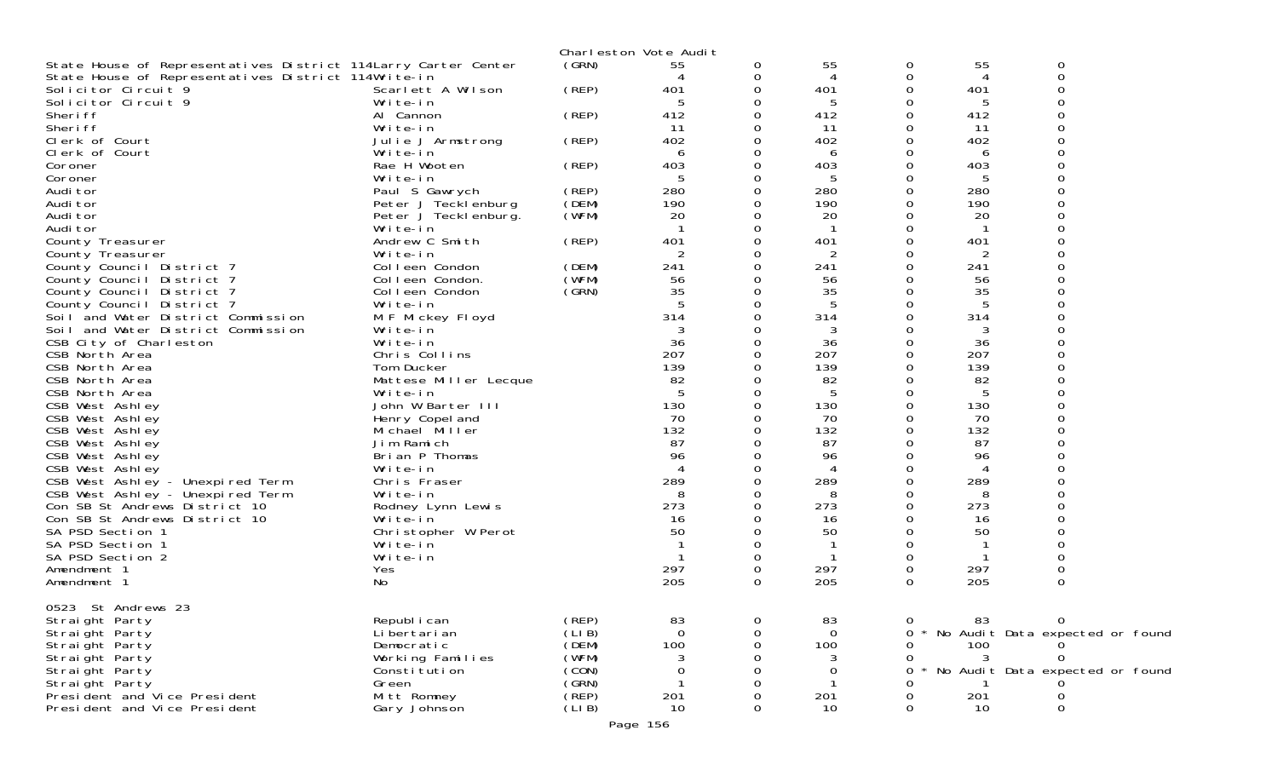|                                                                   |                                  |                | Charleston Vote Audit |   |           |          |              |                                 |  |
|-------------------------------------------------------------------|----------------------------------|----------------|-----------------------|---|-----------|----------|--------------|---------------------------------|--|
| State House of Representatives District 114Larry Carter Center    |                                  | (GRN)          | 55                    | 0 | 55        | 0        | 55           | 0                               |  |
| State House of Representatives District 114Write-in               |                                  |                |                       | 0 | 4         | 0        | 4            | 0                               |  |
| Solicitor Circuit 9                                               | Scarlett A Wilson                | (REP)          | 401                   |   | 401       | 0        | 401          |                                 |  |
| Solicitor Circuit 9                                               | Write-in                         |                | 5                     |   | 5         | Ω        | 5            | ∩                               |  |
| Sheri ff                                                          | Al Cannon                        | (REP)          | 412                   |   | 412       | 0        | 412          |                                 |  |
| Sheri ff                                                          | Write-in                         |                | 11                    |   | 11        | 0        | 11           |                                 |  |
| Clerk of Court                                                    | Julie J Armstrong                | (REP)          | 402                   |   | 402       | 0        | 402          |                                 |  |
| Clerk of Court                                                    | Write-in                         |                | 6                     |   | 6         | 0        | 6            |                                 |  |
| Coroner                                                           | Rae H Wooten                     | (REP)          | 403                   |   | 403       | 0        | 403          |                                 |  |
| Coroner                                                           | Write-in                         |                |                       |   | 5         | Ω        | 5            |                                 |  |
| Audi tor                                                          | Paul S Gawrych                   | (REP)<br>(DEM) | 280                   |   | 280       | 0<br>0   | 280          |                                 |  |
| Audi tor<br>Audi tor                                              | Peter J Tecklenburg              | (WFM)          | 190<br>20             |   | 190<br>20 | ∩        | 190<br>20    |                                 |  |
| Audi tor                                                          | Peter J Tecklenburg.<br>Write-in |                | - 1                   |   | -1        | 0        | $\mathbf{1}$ |                                 |  |
| County Treasurer                                                  | Andrew C Smith                   | (REP)          | 401                   |   | 401       | 0        | 401          |                                 |  |
| County Treasurer                                                  | Write-in                         |                |                       |   | 2         | O        | 2            |                                 |  |
| County Council District 7                                         | Colleen Condon                   | (DEM)          | 241                   |   | 241       | 0        | 241          |                                 |  |
| County Council District 7                                         | Colleen Condon.                  | (WFM)          | 56                    |   | 56        | Ω        | 56           |                                 |  |
| County Council District 7                                         | Colleen Condon                   | (GRN)          | 35                    |   | 35        | ∩        | 35           |                                 |  |
| County Council District 7                                         | Write-in                         |                | -5                    |   | 5         | 0        | 5            |                                 |  |
| Soil and Water District Commission                                | M F Mickey Floyd                 |                | 314                   |   | 314       | O        | 314          |                                 |  |
| Soil and Water District Commission                                | Write-in                         |                |                       |   |           | O        |              |                                 |  |
| CSB City of Charleston                                            | Write-in                         |                | 36                    |   | 36        | 0        | 36           |                                 |  |
| CSB North Area                                                    | Chris Collins                    |                | 207                   |   | 207       | 0        | 207          |                                 |  |
| CSB North Area                                                    | Tom Ducker                       |                | 139                   |   | 139       | 0        | 139          |                                 |  |
| CSB North Area                                                    | Mattese Miller Lecque            |                | 82                    |   | 82        | 0        | 82           |                                 |  |
| CSB North Area                                                    | Write-in                         |                |                       |   | 5         | 0        | 5            |                                 |  |
| CSB West Ashley                                                   | John W Barter III                |                | 130                   |   | 130       | 0        | 130          |                                 |  |
| CSB West Ashley                                                   | Henry Copel and                  |                | 70                    |   | 70        | 0        | 70           |                                 |  |
| CSB West Ashley                                                   | Michael Miller                   |                | 132                   |   | 132       | 0        | 132          |                                 |  |
| CSB West Ashley                                                   | Jim Ramich                       |                | 87                    |   | 87        | 0        | 87           |                                 |  |
| CSB West Ashley                                                   | Brian P Thomas                   |                | 96                    |   | 96        | 0        | 96           |                                 |  |
| CSB West Ashley                                                   | Write-in                         |                |                       |   | 4         | 0        | 4            |                                 |  |
| CSB West Ashley - Unexpired Term                                  | Chris Fraser                     |                | 289                   |   | 289       | 0        | 289          |                                 |  |
| CSB West Ashley - Unexpired Term<br>Con SB St Andrews District 10 | Write-in                         |                | 8<br>273              |   | 8<br>273  | 0<br>0   | 8<br>273     |                                 |  |
| Con SB St Andrews District 10                                     | Rodney Lynn Lewis<br>Write-in    |                | 16                    |   | 16        | 0        | 16           |                                 |  |
| SA PSD Section 1                                                  | Christopher W Perot              |                | 50                    |   | 50        | Ω        | 50           |                                 |  |
| SA PSD Section 1                                                  | Write-in                         |                |                       |   |           | 0        | -1           |                                 |  |
| SA PSD Section 2                                                  | Write-in                         |                |                       | 0 |           | 0        | 1            | 0                               |  |
| Amendment 1                                                       | Yes                              |                | 297                   | 0 | 297       | 0        | 297          | 0                               |  |
| Amendment 1                                                       | No                               |                | 205                   | 0 | 205       | $\Omega$ | 205          | 0                               |  |
| 0523 St Andrews 23                                                |                                  |                |                       |   |           |          |              |                                 |  |
| Straight Party                                                    | Republ i can                     | (REP)          | 83                    |   | 83        | 0        | 83           | 0                               |  |
| Straight Party                                                    | Li bertari an                    | (LI B)         | $\Omega$              |   | $\Omega$  | 0        |              | No Audit Data expected or found |  |
| Straight Party                                                    | Democratic                       | (DEM)          | 100                   |   | 100       |          | 100          |                                 |  |
| Straight Party                                                    | Working Families                 | (WFM)          |                       |   | 3         | 0        | 3            |                                 |  |
| Straight Party                                                    | Constitution                     | (CON)          |                       |   | Ω         | 0        |              | No Audit Data expected or found |  |
| Straight Party                                                    | Green                            | (GRN)          |                       |   |           |          |              |                                 |  |
| Presi dent and Vice Presi dent                                    | Mitt Romney                      | (REP)          | 201                   |   | 201       |          | 201          |                                 |  |
| President and Vice President                                      | Gary Johnson                     | (LI B)         | 10                    |   | 10        | 0        | 10           | Ω                               |  |
|                                                                   |                                  |                | Page 156              |   |           |          |              |                                 |  |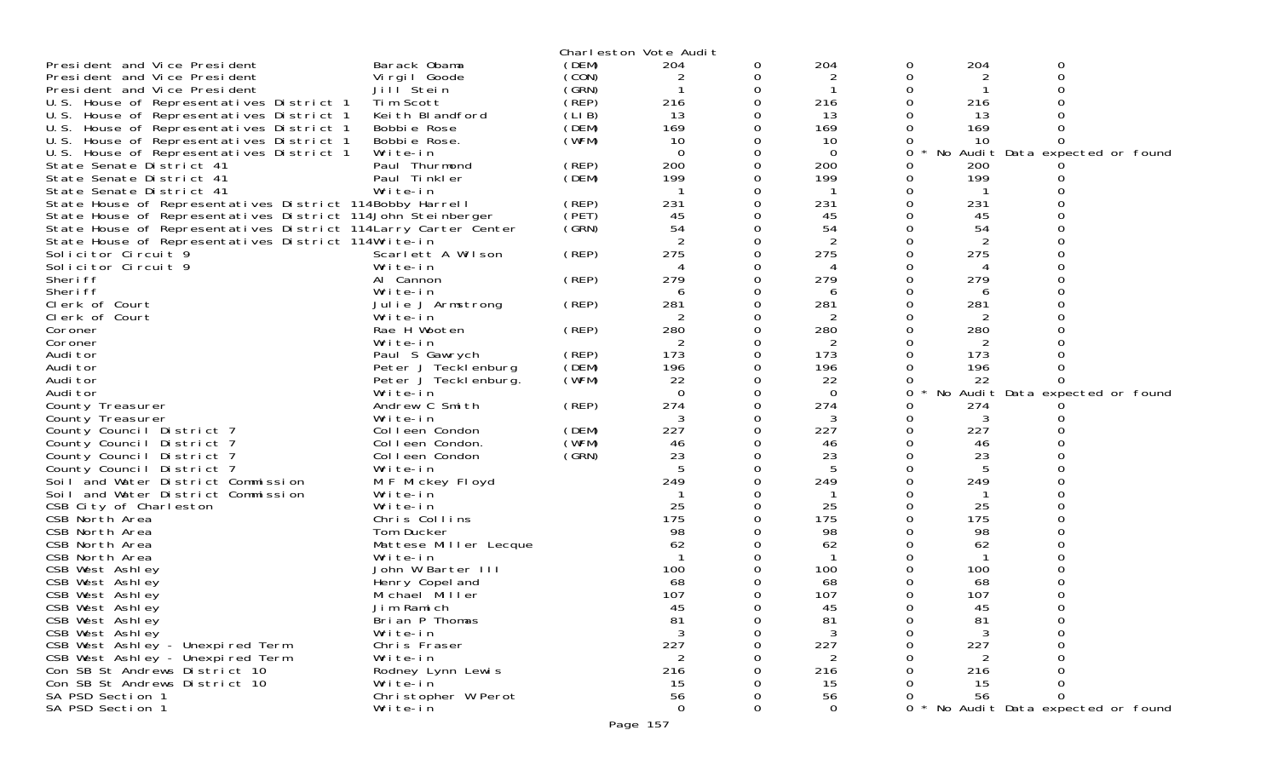|                                                                 |                       |                | Charleston Vote Audit |          |                |          |              |                                 |  |
|-----------------------------------------------------------------|-----------------------|----------------|-----------------------|----------|----------------|----------|--------------|---------------------------------|--|
| President and Vice President                                    | Barack Obama          | (DEM)          | 204                   | 0        | 204            | 0        | 204          | 0                               |  |
| President and Vice President                                    | Vi rgi I Goode        | (CON)          | 2                     | 0        | $\overline{2}$ | 0        | 2            | 0                               |  |
| President and Vice President                                    | Jill Stein            | (GRN)          |                       | 0        |                | 0        |              |                                 |  |
| U.S. House of Representatives District 1                        | Tim Scott             | (REP)          | 216                   | $\Omega$ | 216            | 0        | 216          |                                 |  |
| U.S. House of Representatives District 1                        | Keith Blandford       | (LIB)          | 13                    | 0        | 13             |          | 13           |                                 |  |
| U.S. House of Representatives District 1                        | Bobbie Rose           | (DEM)          | 169                   | 0        | 169            |          | 169          |                                 |  |
| U.S. House of Representatives District 1                        | Bobbie Rose.          | (WFM)          | 10                    | 0        | 10             |          | 10           |                                 |  |
| U.S. House of Representatives District 1                        | Write-in              |                | $\Omega$              | 0        | 0              | 0        |              | No Audit Data expected or found |  |
| State Senate District 41                                        | Paul Thurmond         | (REP)          | 200                   | 0        | 200            | 0        | 200          |                                 |  |
| State Senate District 41                                        | Paul Tinkler          | (DEM)          | 199                   | 0        | 199            | 0        | 199          |                                 |  |
| State Senate District 41                                        | Write-in              |                |                       | 0        | -1             | 0        |              |                                 |  |
|                                                                 |                       |                | 231                   | 0        | 231            | 0        |              |                                 |  |
| State House of Representatives District 114Bobby Harrell        |                       | (REP)<br>(PET) | 45                    | 0        |                |          | 231          |                                 |  |
| State House of Representatives District 114John Steinberger     |                       |                |                       |          | 45             | 0        | 45           |                                 |  |
| State House of Representatives District 114 Larry Carter Center |                       | (GRN)          | 54                    | 0        | 54             |          | 54           |                                 |  |
| State House of Representatives District 114Write-in             |                       |                |                       | 0        |                | 0        | 2            |                                 |  |
| Solicitor Circuit 9                                             | Scarlett A Wilson     | (REP)          | 275                   | $\Omega$ | 275            | 0        | 275          |                                 |  |
| Solicitor Circuit 9                                             | Write-in              |                | 4                     | 0        | 4              | 0        | 4            |                                 |  |
| Sheri ff                                                        | Al Cannon             | (REP)          | 279                   | 0        | 279            | $\Omega$ | 279          |                                 |  |
| Sheri ff                                                        | Write-in              |                | 6                     | $\Omega$ | 6              | 0        | 6            |                                 |  |
| Clerk of Court                                                  | Julie J Armstrong     | (REP)          | 281                   | 0        | 281            | 0        | 281          |                                 |  |
| Clerk of Court                                                  | Write-in              |                | 2                     | 0        | 2              |          | 2            |                                 |  |
| Coroner                                                         | Rae H Wooten          | (REP)          | 280                   | 0        | 280            | 0        | 280          |                                 |  |
| Coroner                                                         | Write-in              |                | 2                     | 0        | 2              |          | 2            |                                 |  |
| Audi tor                                                        | Paul S Gawrych        | (REP)          | 173                   | 0        | 173            | $\Omega$ | 173          |                                 |  |
| Audi tor                                                        | Peter J Tecklenburg   | (DEM)          | 196                   | 0        | 196            | 0        | 196          |                                 |  |
| Audi tor                                                        | Peter J Tecklenburg.  | (WFM)          | 22                    | 0        | 22             | 0        | 22           |                                 |  |
| Audi tor                                                        | Write-in              |                | $\Omega$              | 0        | $\Omega$       | 0        |              | No Audit Data expected or found |  |
| County Treasurer                                                | Andrew C Smith        | (REP)          | 274                   | 0        | 274            | 0        | 274          |                                 |  |
| County Treasurer                                                | Write-in              |                | 3                     | 0        | 3              | 0        | 3            |                                 |  |
| County Council District 7                                       | Colleen Condon        | (DEM)          | 227                   | 0        | 227            | 0        | 227          |                                 |  |
| County Council District 7                                       | Colleen Condon.       | (WFM)          | 46                    | 0        | 46             | 0        | 46           |                                 |  |
| County Council District 7                                       | Colleen Condon        | (GRN)          | 23                    | 0        | 23             |          | 23           |                                 |  |
| County Council District 7                                       | Write-in              |                |                       | 0        |                | 0        |              |                                 |  |
| Soil and Water District Commission                              | M F Mickey Floyd      |                | 249                   | 0        | 249            | 0        | 249          |                                 |  |
|                                                                 |                       |                |                       | 0        | -1             |          |              |                                 |  |
| Soil and Water District Commission                              | Write-in              |                |                       |          |                |          |              |                                 |  |
| CSB City of Charleston                                          | Write-in              |                | 25                    | 0        | 25             | 0        | 25           |                                 |  |
| CSB North Area                                                  | Chris Collins         |                | 175                   | 0        | 175            | 0        | 175          |                                 |  |
| CSB North Area                                                  | Tom Ducker            |                | 98                    |          | 98             |          | 98           |                                 |  |
| CSB North Area                                                  | Mattese Miller Lecque |                | 62                    | 0        | 62             |          | 62           |                                 |  |
| CSB North Area                                                  | Write-in              |                | -1                    | 0        | -1             | 0        | $\mathbf{1}$ |                                 |  |
| CSB West Ashley                                                 | John W Barter III     |                | 100                   |          | 100            |          | 100          |                                 |  |
| CSB West Ashley                                                 | Henry Copel and       |                | 68                    | 0        | 68             |          | 68           | 0                               |  |
| CSB West Ashley                                                 | Michael Miller        |                | 107                   | 0        | 107            | 0        | 107          |                                 |  |
| CSB West Ashley                                                 | Jim Ramich            |                | 45                    | 0        | 45             | $\Omega$ | 45           | 0                               |  |
| CSB West Ashley                                                 | Brian P Thomas        |                | -81                   | 0        | -81            | 0        | 81           |                                 |  |
| CSB West Ashley                                                 | Write-in              |                | 3                     | $\Omega$ | 3              | 0        | 3            |                                 |  |
| CSB West Ashley - Unexpired Term                                | Chris Fraser          |                | 227                   | 0        | 227            | 0        | 227          |                                 |  |
| CSB West Ashley - Unexpired Term                                | Write-in              |                | $\overline{2}$        |          | 2              |          | 2            |                                 |  |
| Con SB St Andrews District 10                                   | Rodney Lynn Lewis     |                | 216                   |          | 216            |          | 216          |                                 |  |
| Con SB St Andrews District 10                                   | Write-in              |                | 15                    |          | 15             |          | 15           |                                 |  |
| SA PSD Section 1                                                | Christopher W Perot   |                | 56                    |          | 56             |          | 56           |                                 |  |
| SA PSD Section 1                                                | Write-in              |                | $\overline{O}$        | 0        | $\mathbf 0$    | 0        |              | No Audit Data expected or found |  |
|                                                                 |                       |                |                       |          |                |          |              |                                 |  |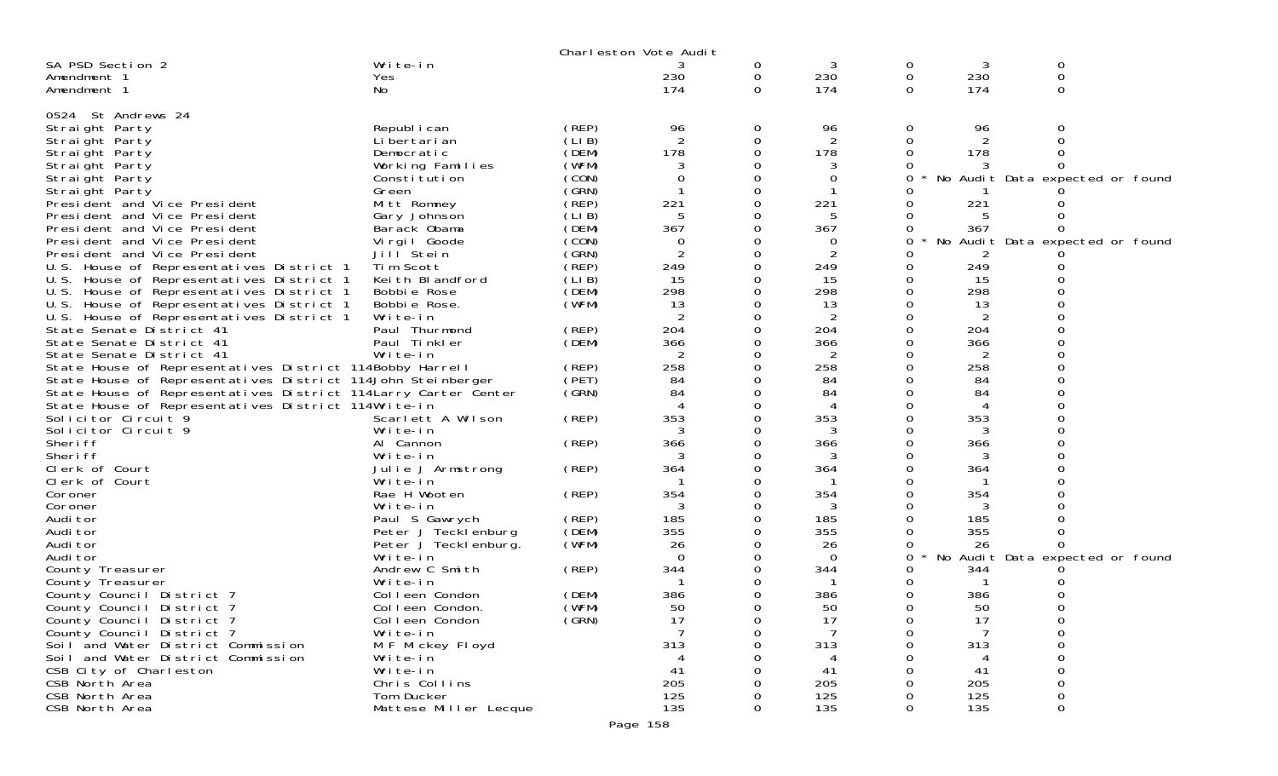|                                                                 |                       |       | Charleston Vote Audit |          |                |                |     |                                 |  |
|-----------------------------------------------------------------|-----------------------|-------|-----------------------|----------|----------------|----------------|-----|---------------------------------|--|
| SA PSD Section 2                                                | Write-in              |       |                       | 0        | 3              | 0              | 3   | 0                               |  |
| Amendment 1                                                     | <b>Yes</b>            |       | 230                   | 0        | 230            | 0              | 230 | 0                               |  |
| Amendment 1                                                     | No                    |       | 174                   | $\Omega$ | 174            | $\Omega$       | 174 | 0                               |  |
|                                                                 |                       |       |                       |          |                |                |     |                                 |  |
| 0524 St Andrews 24                                              |                       |       |                       |          |                |                |     |                                 |  |
| Straight Party                                                  | Republ i can          | (REP) | 96                    | 0        | 96             | 0              | 96  | 0                               |  |
| Straight Party                                                  | Li bertari an         | (LIB) | 2                     | 0        | $\overline{2}$ | $\Omega$       | 2   |                                 |  |
| Straight Party                                                  | Democratic            | (DEM) | 178                   | 0        | 178            | 0              | 178 |                                 |  |
| Straight Party                                                  | Working Families      | (WFM) |                       |          | 3              | 0              |     |                                 |  |
| Straight Party                                                  | Constitution          | (CON) |                       |          | 0              | 0              |     | No Audit Data expected or found |  |
| Straight Party                                                  | Green                 | (GRN) |                       |          |                |                |     |                                 |  |
| President and Vice President                                    | Mitt Romney           | (REP) | 221                   |          | 221            | Ω              | 221 |                                 |  |
| President and Vice President                                    | Gary Johnson          | (LIB) | 5                     |          | 5              | 0              | 5   |                                 |  |
| President and Vice President                                    | Barack Obama          | (DEM) | 367                   |          | 367            | Ω              | 367 |                                 |  |
| President and Vice President                                    | Virgil Goode          | (CON) | 0                     |          | 0              | 0              |     | No Audit Data expected or found |  |
| President and Vice President                                    | Jill Stein            | (GRN) | 2                     | 0        | 2              | Ω              |     |                                 |  |
| U.S. House of Representatives District 1                        | Tim Scott             | (REP) | 249                   |          | 249            | 0              | 249 |                                 |  |
| U.S. House of Representatives District 1                        | Keith Blandford       | (LIB) | 15                    |          | 15             | 0              | 15  |                                 |  |
| U.S. House of Representatives District 1                        | Bobbie Rose           | (DEM) | 298                   |          | 298            | 0              | 298 |                                 |  |
| U.S. House of Representatives District 1                        | Bobbie Rose.          | (WFM) | 13                    |          | 13             | 0              | 13  |                                 |  |
| U.S. House of Representatives District 1                        | Write-in              |       |                       |          | 2              |                |     |                                 |  |
| State Senate District 41                                        | Paul Thurmond         | (REP) | 204                   |          | 204            | 0              | 204 |                                 |  |
| State Senate District 41                                        | Paul Tinkler          | (DEM) | 366                   |          | 366            | 0              | 366 |                                 |  |
| State Senate District 41                                        | Write-in              |       | 2                     | Ω        | 2              | 0              | 2   |                                 |  |
| State House of Representatives District 114Bobby Harrell        |                       | (REP) | 258                   | 0        | 258            | 0              | 258 |                                 |  |
| State House of Representatives District 114John Steinberger     |                       | (PET) | 84                    |          | 84             |                | 84  |                                 |  |
| State House of Representatives District 114 Larry Carter Center |                       | (SRN) | 84                    |          | 84             | <sup>o</sup>   | 84  |                                 |  |
| State House of Representatives District 114Write-in             |                       |       |                       |          | 4              | 0              | 4   |                                 |  |
| Solicitor Circuit <sup>9</sup>                                  | Scarlett A Wilson     | (REP) | 353                   |          | 353            | 0              | 353 |                                 |  |
| Solicitor Circuit 9                                             | Write-in              |       |                       | Ω        | 3              | 0              |     |                                 |  |
| Sheri ff                                                        | Al Cannon             | (REP) | 366                   |          | 366            | 0              | 366 |                                 |  |
| Sheri ff                                                        | Write-in              |       |                       |          |                | Ω              | 3   |                                 |  |
| Clerk of Court                                                  | Julie J Armstrong     | (REP) | 364                   | 0        | 364            | 0              | 364 |                                 |  |
| Clerk of Court                                                  | Write-in              |       |                       |          |                | 0              |     |                                 |  |
| Coroner                                                         | Rae H Wooten          | (REP) | 354                   |          | 354            | 0              | 354 |                                 |  |
| Coroner                                                         | Write-in              |       |                       | 0        |                | 0              |     |                                 |  |
| Audi tor                                                        | Paul S Gawrych        | (REP) | 185                   | 0        | 185            | 0              | 185 |                                 |  |
| Audi tor                                                        | Peter J Tecklenburg   | (DEM) | 355                   |          | 355            | 0              | 355 |                                 |  |
| Audi tor                                                        | Peter J Teckl enburg. | (WFM) | 26                    |          | 26             | 0              | 26  |                                 |  |
| Audi tor                                                        | Write-in              |       | $\Omega$              |          | 0              | 0              |     | No Audit Data expected or found |  |
| County Treasurer                                                | Andrew C Smith        | (REP) | 344                   |          | 344            | Ω              | 344 |                                 |  |
| County Treasurer                                                | Write-in              |       |                       |          |                | 0              |     |                                 |  |
| County Council District 7                                       | Colleen Condon        | (DEM) | 386                   |          | 386            | 0              | 386 |                                 |  |
| County Council District 7                                       | Colleen Condon.       | (WFM) | 50                    | 0        | 50             | 0              | 50  | 0                               |  |
| County Council District 7                                       | Colleen Condon        | (GRN) | 17                    | 0        | 17             | $\overline{O}$ | 17  | 0                               |  |
| County Council District 7                                       | Write-in              |       |                       | $\Omega$ | $\overline{7}$ | 0              | 7   | 0                               |  |
| Soil and Water District Commission                              | M F Mickey Floyd      |       | 313                   |          | 313            | 0              | 313 | 0                               |  |
| Soil and Water District Commission                              | Write-in              |       |                       |          |                | O              |     | 0                               |  |
| CSB City of Charleston                                          | Write-in              |       | 41                    |          | 41             |                | 41  | 0                               |  |
| CSB North Area                                                  | Chris Collins         |       | 205                   |          | 205            | Ω              | 205 | 0                               |  |
| CSB North Area                                                  | Tom Ducker            |       | 125                   |          | 125            | 0              | 125 | 0                               |  |
| CSB North Area                                                  | Mattese Miller Lecque |       | 135                   | $\Omega$ | 135            | $\Omega$       | 135 | 0                               |  |
|                                                                 |                       |       |                       |          |                |                |     |                                 |  |
|                                                                 |                       |       | Page 158              |          |                |                |     |                                 |  |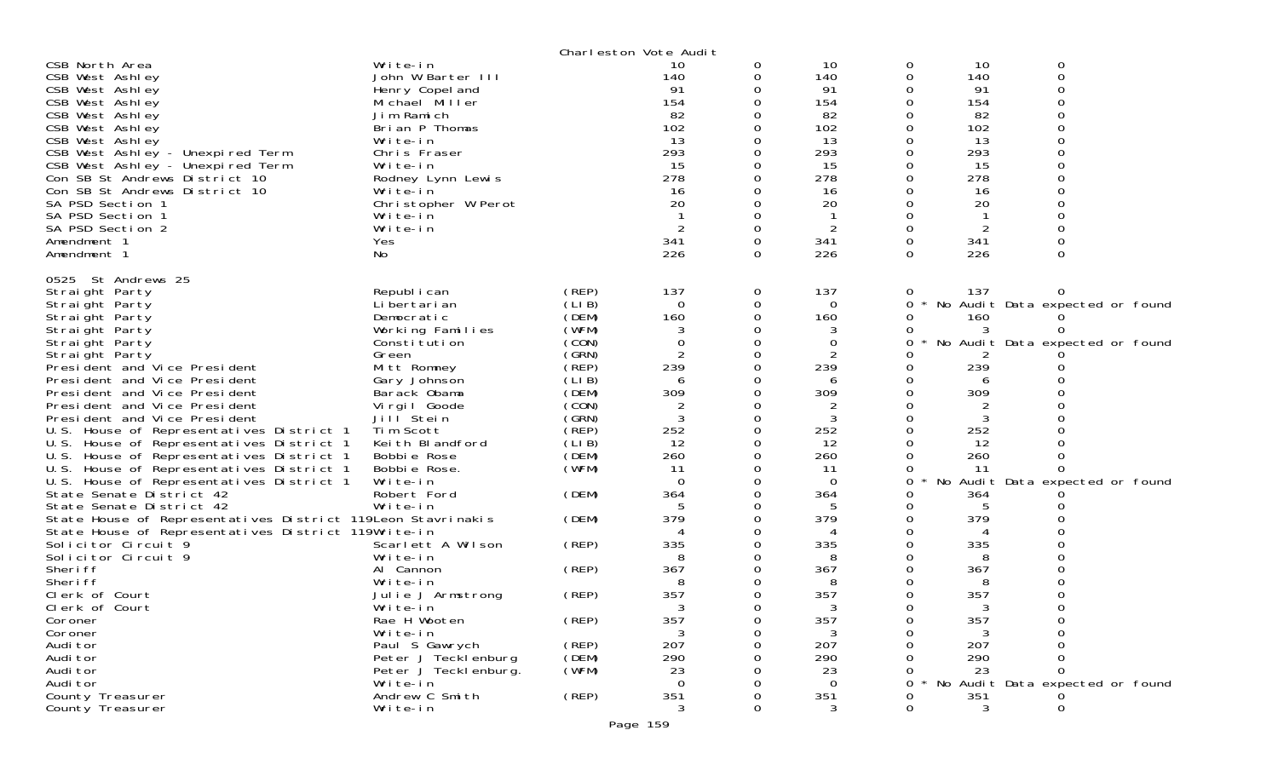|                                                                                                                    |                            |                | Charleston Vote Audit |          |                |               |           |                                 |  |
|--------------------------------------------------------------------------------------------------------------------|----------------------------|----------------|-----------------------|----------|----------------|---------------|-----------|---------------------------------|--|
| CSB North Area                                                                                                     | Write-in                   |                | 10                    | 0        | 10             | 0             | 10        | 0                               |  |
| CSB West Ashley                                                                                                    | John W Barter III          |                | 140                   | 0        | 140            | 0             | 140       | $\mathbf 0$                     |  |
| CSB West Ashley                                                                                                    | Henry Copel and            |                | 91                    |          | 91             | 0             | 91        | 0                               |  |
| CSB West Ashley                                                                                                    | Michael Miller             |                | 154                   |          | 154            | 0             | 154       | $\Omega$                        |  |
| CSB West Ashley                                                                                                    | Jim Ramich                 |                | 82                    |          | 82             |               | 82        | ∩                               |  |
| CSB West Ashley                                                                                                    | Brian P Thomas<br>Write-in |                | 102<br>13             |          | 102<br>13      | 0             | 102<br>13 | 0                               |  |
| CSB West Ashley<br>CSB West Ashley - Unexpired Term                                                                | Chris Fraser               |                | 293                   |          | 293            | 0<br>$\Omega$ | 293       |                                 |  |
| CSB West Ashley - Unexpired Term                                                                                   | Write-in                   |                | 15                    |          | 15             | 0             | 15        | ∩                               |  |
| Con SB St Andrews District 10                                                                                      | Rodney Lynn Lewis          |                | 278                   |          | 278            | 0             | 278       |                                 |  |
| Con SB St Andrews District 10                                                                                      | Write-in                   |                | 16                    |          | 16             | 0             | 16        |                                 |  |
| SA PSD Section 1                                                                                                   | Christopher W Perot        |                | 20                    |          | 20             |               | 20        |                                 |  |
| SA PSD Section 1                                                                                                   | Write-in                   |                |                       | $\Omega$ |                | 0             |           | 0                               |  |
| SA PSD Section 2                                                                                                   | Write-in                   |                | 2                     | $\Omega$ | $\overline{2}$ | 0             | 2         |                                 |  |
| Amendment 1                                                                                                        | Yes                        |                | 341                   | $\Omega$ | 341            | $\Omega$      | 341       | 0                               |  |
| Amendment 1                                                                                                        | No                         |                | 226                   | 0        | 226            | 0             | 226       | $\Omega$                        |  |
|                                                                                                                    |                            |                |                       |          |                |               |           |                                 |  |
| 0525 St Andrews 25                                                                                                 |                            |                |                       |          |                |               |           |                                 |  |
| Straight Party                                                                                                     | Republ i can               | (REP)          | 137                   | 0        | 137            | $\sigma$      | 137       |                                 |  |
| Straight Party                                                                                                     | Li bertari an              | (LIB)          | $\Omega$              | 0        | $\Omega$       | 0             |           | No Audit Data expected or found |  |
| Straight Party                                                                                                     | Democratic                 | (DEM)          | 160                   | 0        | 160            | 0             | 160<br>3  | <sup>n</sup>                    |  |
| Straight Party                                                                                                     | Working Families           | (WFM)<br>(CON) | 3<br>$\Omega$         |          | 3<br>0         | 0<br>0        |           | No Audit Data expected or found |  |
| Straight Party<br>Straight Party                                                                                   | Constitution<br>Green      | (GRN)          |                       | $\Omega$ | 2              |               |           |                                 |  |
| President and Vice President                                                                                       | Mitt Romney                | (REF)          | 239                   | 0        | 239            | 0             | 239       |                                 |  |
| President and Vice President                                                                                       | Gary Johnson               | (LIB)          |                       |          | 6              | 0             | 6         |                                 |  |
| President and Vice President                                                                                       | Barack Obama               | (DEM)          | 309                   |          | 309            | $\Omega$      | 309       |                                 |  |
| President and Vice President                                                                                       | Virgil Goode               | (CON)          | 2                     |          | $\overline{2}$ | 0             | 2         |                                 |  |
| President and Vice President                                                                                       | Jill Stein                 | (GRN)          | 3                     | 0        | 3              | 0             | 3         |                                 |  |
| U.S. House of Representatives District 1                                                                           | Tim Scott                  | (REP)          | 252                   | $\Omega$ | 252            | $\Omega$      | 252       |                                 |  |
| U.S. House of Representatives District 1                                                                           | Keith Blandford            | (LIB)          | 12                    | 0        | 12             | 0             | 12        |                                 |  |
| U.S. House of Representatives District 1                                                                           | Bobbie Rose                | (DEM)          | 260                   |          | 260            | 0             | 260       | 0                               |  |
| U.S. House of Representatives District 1                                                                           | Bobbie Rose.               | (WFM)          | 11                    | 0        | 11             | 0             | 11        |                                 |  |
| U.S. House of Representatives District 1                                                                           | Write-in                   |                | $\Omega$              |          | $\overline{0}$ | 0             |           | No Audit Data expected or found |  |
| State Senate District 42                                                                                           | Robert Ford                | (DEM)          | 364                   |          | 364            | 0             | 364       |                                 |  |
| State Senate District 42                                                                                           | Write-in                   |                | 5<br>379              | 0        | 5<br>379       | 0             | -5<br>379 |                                 |  |
| State House of Representatives District 119Leon Stavrinakis<br>State House of Representatives District 119Write-in |                            | (DEM)          |                       |          |                | 0             |           |                                 |  |
| Solicitor Circuit 9                                                                                                | Scarlett A Wilson          | (REP)          | 335                   |          | 335            | $\Omega$      | 335       |                                 |  |
| Solicitor Circuit 9                                                                                                | Write-in                   |                | 8                     |          | 8              |               | 8         |                                 |  |
| Sheri ff                                                                                                           | Al Cannon                  | (REP)          | 367                   |          | 367            |               | 367       |                                 |  |
| Sheri ff                                                                                                           | Write-in                   |                | 8                     |          | 8              | 0             | 8         |                                 |  |
| Clerk of Court                                                                                                     | Julie J Armstrong          | (REP)          | 357                   |          | 357            |               | 357       |                                 |  |
| Clerk of Court                                                                                                     | Write-in                   |                | 3                     |          | 3              | 0             | 3         | 0                               |  |
| Coroner                                                                                                            | Rae H Wooten               | (REP)          | 357                   |          | 357            | 0             | 357       | 0                               |  |
| Coroner                                                                                                            | Write-in                   |                | 3                     | 0        | 3              | 0             | 3         | O                               |  |
| Audi tor                                                                                                           | Paul S Gawrych             | (REP)          | 207                   | 0        | 207            | 0             | 207       |                                 |  |
| Audi tor                                                                                                           | Peter J Tecklenburg        | (DEM)          | 290                   |          | 290            |               | 290       |                                 |  |
| Audi tor                                                                                                           | Peter J Teckl enburg.      | (WFM)          | 23                    |          | 23             |               | 23        | 0                               |  |
| Audi tor                                                                                                           | Write-in                   |                | 0                     |          | $\Omega$       | 0             |           | No Audit Data expected or found |  |
| County Treasurer                                                                                                   | Andrew C Smith<br>Write-in | (REP)          | 351                   |          | 351<br>3       | 0             | 351<br>3  | 0                               |  |
| County Treasurer                                                                                                   |                            |                | 3                     |          |                |               |           |                                 |  |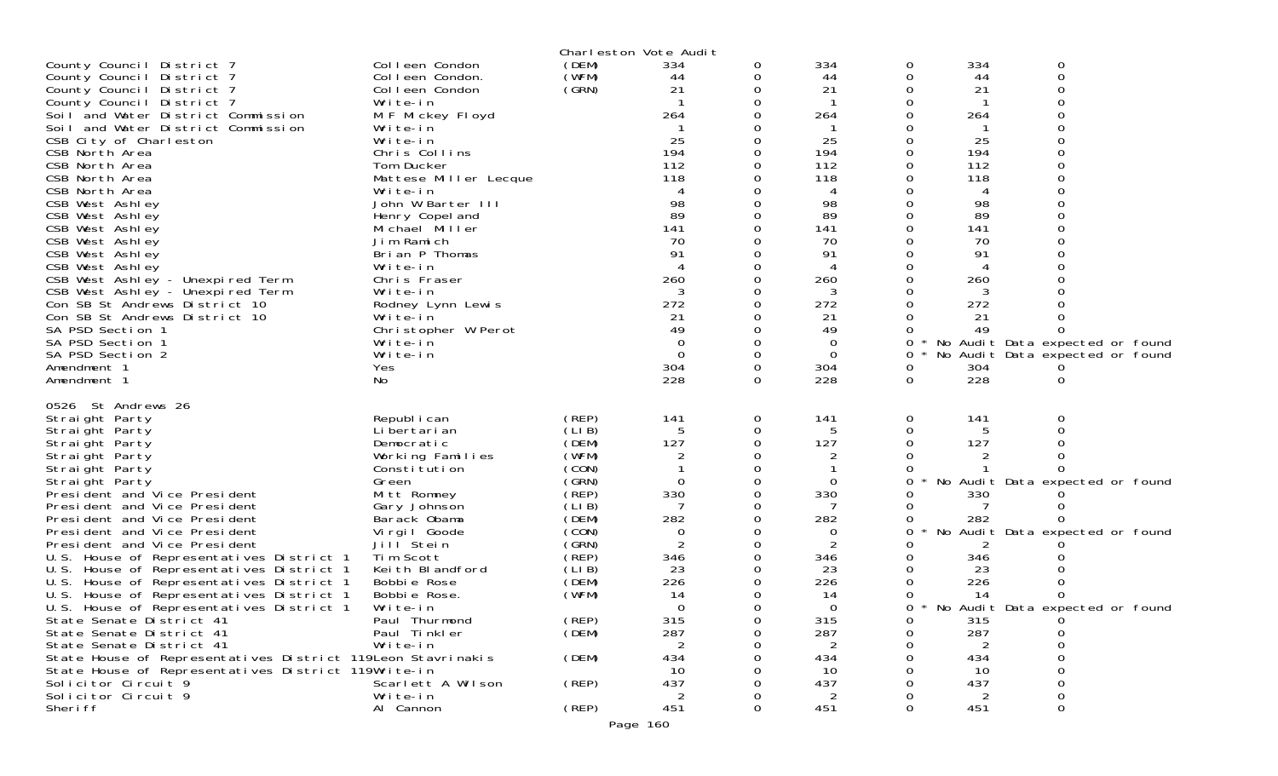|                                                                                      |                                      |                | Charleston Vote Audit |          |                 |          |           |                                   |  |
|--------------------------------------------------------------------------------------|--------------------------------------|----------------|-----------------------|----------|-----------------|----------|-----------|-----------------------------------|--|
| County Council District 7                                                            | Colleen Condon                       | (DEM)          | 334                   | 0        | 334             | 0        | 334       | 0                                 |  |
| County Council District 7                                                            | Colleen Condon.                      | (WFM)          | 44                    | 0        | 44              | 0        | 44        | 0                                 |  |
| County Council District 7                                                            | Colleen Condon                       | (GRN)          | 21                    | 0        | 21              | 0        | 21        | $\Omega$                          |  |
| County Council District 7<br>Soil and Water District Commission                      | Write-in<br>M F Mickey Floyd         |                | 264                   |          | 264             |          | 264       |                                   |  |
| Soil and Water District Commission                                                   | Write-in                             |                |                       |          |                 |          |           |                                   |  |
| CSB City of Charleston                                                               | Write-in                             |                | 25                    |          | 25              |          | 25        |                                   |  |
| CSB North Area                                                                       | Chris Collins                        |                | 194                   |          | 194             |          | 194       |                                   |  |
| CSB North Area                                                                       | Tom Ducker                           |                | 112                   |          | 112             |          | 112       |                                   |  |
| CSB North Area                                                                       | Mattese Miller Lecque                |                | 118                   |          | 118             |          | 118       |                                   |  |
| CSB North Area                                                                       | Write-in                             |                |                       |          | 4               |          | 4         |                                   |  |
| CSB West Ashley<br>CSB West Ashley                                                   | John W Barter III<br>Henry Copel and |                | 98<br>89              |          | 98<br>89        |          | 98<br>89  |                                   |  |
| CSB West Ashley                                                                      | Michael Miller                       |                | 141                   |          | 141             |          | 141       |                                   |  |
| CSB West Ashley                                                                      | Jim Ramich                           |                | 70                    |          | 70              |          | 70        |                                   |  |
| CSB West Ashley                                                                      | Brian P Thomas                       |                | 91                    |          | 91              |          | 91        |                                   |  |
| CSB West Ashley                                                                      | Write-in                             |                |                       |          |                 |          |           |                                   |  |
| CSB West Ashley - Unexpired Term                                                     | Chris Fraser                         |                | 260                   |          | 260             |          | 260       |                                   |  |
| CSB West Ashley - Unexpired Term                                                     | Write-in                             |                | 3                     |          | 3               |          | 3         |                                   |  |
| Con SB St Andrews District 10                                                        | Rodney Lynn Lewis                    |                | 272                   |          | 272             |          | 272       |                                   |  |
| Con SB St Andrews District 10<br>SA PSD Section 1                                    | Write-in<br>Christopher W Perot      |                | 21<br>49              |          | 21<br>49        |          | 21<br>49  |                                   |  |
| SA PSD Section 1                                                                     | Write-in                             |                | $\Omega$              |          | $\Omega$        | 0        |           | No Audit Data expected or found   |  |
| SA PSD Section 2                                                                     | Write-in                             |                | $\Omega$              | $\Omega$ | $\overline{0}$  | 0        |           | No Audit Data expected or found   |  |
| Amendment 1                                                                          | Yes                                  |                | 304                   | 0        | 304             | 0        | 304       |                                   |  |
| Amendment 1                                                                          | No.                                  |                | 228                   | $\Omega$ | 228             | $\Omega$ | 228       | $\Omega$                          |  |
| 0526 St Andrews 26                                                                   |                                      |                |                       |          |                 |          |           |                                   |  |
| Straight Party                                                                       | Republ i can                         | (REP)          | 141                   | 0        | 141             | 0        | 141       | 0                                 |  |
| Straight Party                                                                       | Li bertari an                        | (LIB)          | 5                     | 0        | 5               |          | 5         | 0                                 |  |
| Straight Party                                                                       | Democratic                           | (DEM)          | 127                   |          | 127             |          | 127       |                                   |  |
| Straight Party                                                                       | Working Families                     | (WFM)          |                       |          |                 |          |           |                                   |  |
| Straight Party                                                                       | Constitution                         | (CON)          | $\Omega$              |          |                 |          |           |                                   |  |
| Straight Party<br>President and Vice President                                       | Green<br>Mitt Romney                 | (SRN)<br>(REP) | 330                   | 0        | $\Omega$<br>330 | 0        | 330       | No Audit Data expected or found   |  |
| President and Vice President                                                         | Gary Johnson                         | (LIB)          | 7                     |          | 7               |          |           |                                   |  |
| President and Vice President                                                         | Barack Obama                         | (DEM)          | 282                   |          | 282             |          | 282       |                                   |  |
| President and Vice President                                                         | Virgil Goode                         | (CON)          | 0                     |          | 0               | 0        | No        | Audit Data expected or found      |  |
| President and Vice President                                                         | Jill <sup>Stein</sup>                | (GRN)          | 2                     |          | $\overline{2}$  |          | 2         |                                   |  |
| U.S. House of Representatives District 1                                             | Tim Scott                            | (REP)          | 346                   |          | 346             |          | 346       |                                   |  |
| U.S. House of Representatives District 1                                             | Keith Blandford                      | (LIB)<br>(DEM) | 23                    |          | 23<br>226       |          | 23<br>226 |                                   |  |
| U.S. House of Representatives District 1<br>U.S. House of Representatives District 1 | Bobbie Rose<br>Bobbie Rose.          | (WFM)          | 226<br>14             |          | 14              |          | 14        | 0                                 |  |
| U.S. House of Representatives District 1                                             | Write-in                             |                | $\Omega$              |          | $\Omega$        | $\Omega$ |           | * No Audit Data expected or found |  |
| State Senate District 41                                                             | Paul Thurmond                        | (REP)          | 315                   |          | 315             |          | 315       |                                   |  |
| State Senate District 41                                                             | Paul Tinkler                         | (DEM)          | 287                   |          | 287             |          | 287       |                                   |  |
| State Senate District 41                                                             | Write-in                             |                | 2                     |          | 2               |          | 2         |                                   |  |
| State House of Representatives District 119Leon Stavrinakis                          |                                      | (DEM)          | 434                   |          | 434             |          | 434       |                                   |  |
| State House of Representatives District 119Write-in<br>Solicitor Circuit 9           | Scarlett A Wilson                    | (REP)          | 10<br>437             |          | 10<br>437       |          | 10<br>437 | 0                                 |  |
| Solicitor Circuit 9                                                                  | Write-in                             |                | 2                     |          | $\overline{2}$  |          | 2         | 0                                 |  |
| Sheri ff                                                                             | Al Cannon                            | (REP)          | 451                   | 0        | 451             | $\Omega$ | 451       | 0                                 |  |
|                                                                                      |                                      |                | Page 160              |          |                 |          |           |                                   |  |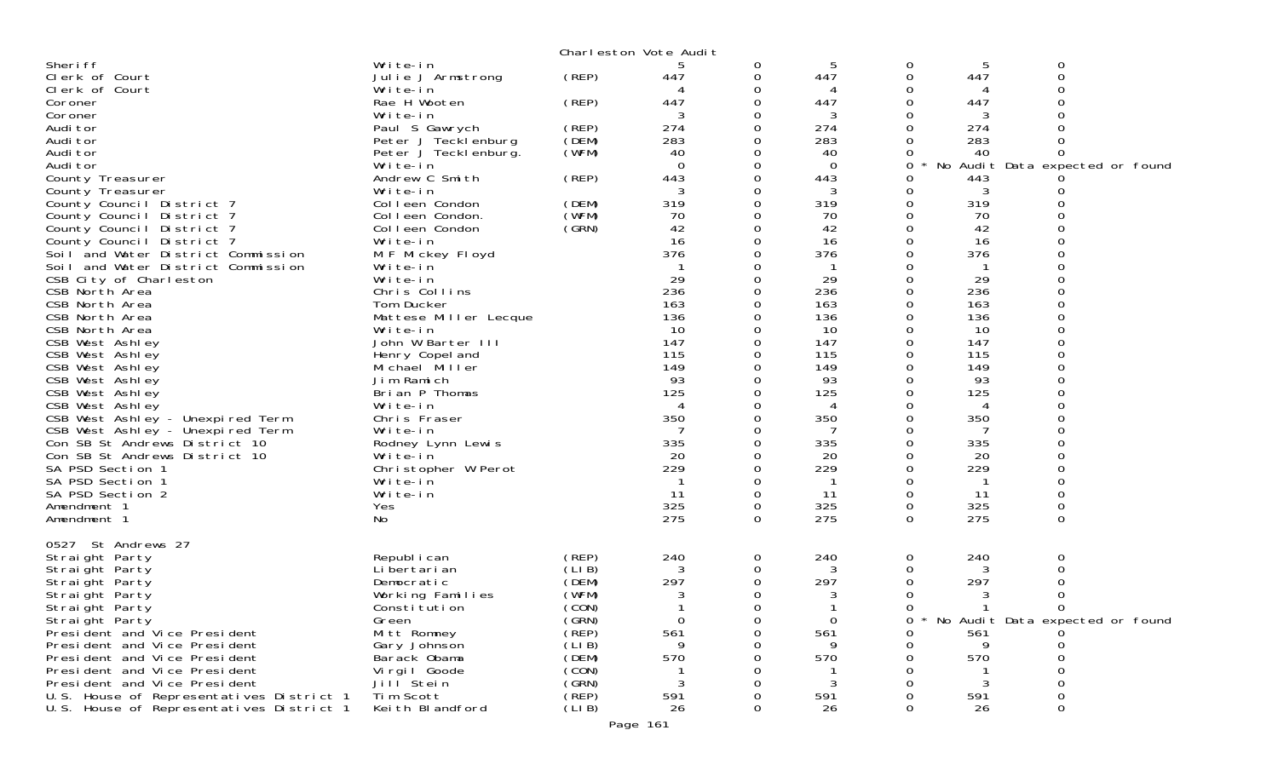|                                          |                             |        | Charleston Vote Audit |          |             |               |             |                                 |  |
|------------------------------------------|-----------------------------|--------|-----------------------|----------|-------------|---------------|-------------|---------------------------------|--|
| Sheri ff                                 | Write-in                    |        | 5                     | 0        | 5           | 0             | 5           | 0                               |  |
| Clerk of Court                           | Julie J Armstrong           | (REP)  | 447                   | 0        | 447         | 0             | 447         | 0                               |  |
| Clerk of Court                           | Write-in                    |        |                       | 0        | 4           | 0             |             | 0                               |  |
| Coroner                                  | Rae H Wooten                | (REP)  | 447                   | 0        | 447         | $\Omega$      | 447         | 0                               |  |
| Coroner                                  | Write-in                    |        |                       | 0        | 3           | 0             | 3           |                                 |  |
| Audi tor                                 | Paul S Gawrych              | (REP)  | 274                   | 0        | 274         | 0             | 274         |                                 |  |
| Audi tor                                 | Peter J Tecklenburg         | (DEM)  | 283                   | 0        | 283         | 0             | 283         |                                 |  |
| Audi tor                                 | Peter J Teckl enburg.       | (WFM)  | 40                    | 0        | 40          | 0             | 40          | 0                               |  |
| Audi tor                                 | Write-in                    |        | 0                     | 0        | $\Omega$    | 0             |             | No Audit Data expected or found |  |
| County Treasurer                         | Andrew C Smith              | (REP)  | 443                   | 0        | 443         | 0             | 443         |                                 |  |
| County Treasurer                         | Write-in                    |        | 3                     | 0        | 3           | 0             | 3           |                                 |  |
| County Council District 7                | Colleen Condon              | (DEM)  | 319                   | 0        | 319         | 0             | 319         |                                 |  |
| County Council District 7                | Colleen Condon.             | (WFM)  | 70                    | $\Omega$ | 70          | 0             | 70          |                                 |  |
| County Council District 7                | Colleen Condon              | (GRN)  | 42                    | 0        | 42          | 0             | 42          |                                 |  |
| County Council District 7                | Write-in                    |        | 16                    | 0        | 16          | $\Omega$      | 16          |                                 |  |
| Soil and Water District Commission       | M F Mickey Floyd            |        | 376                   | 0        | 376         | $\Omega$      | 376         | 0                               |  |
| Soil and Water District Commission       | Write-in                    |        |                       |          | $\mathbf 1$ | 0             | $\mathbf 1$ | 0                               |  |
| CSB City of Charleston                   | Write-in                    |        | 29<br>236             |          | 29<br>236   | 0<br>$\Omega$ | 29<br>236   | 0                               |  |
| CSB North Area                           | Chris Collins<br>Tom Ducker |        | 163                   |          | 163         |               | 163         | 0                               |  |
| CSB North Area<br>CSB North Area         | Mattese Miller Lecque       |        | 136                   |          | 136         | 0<br>0        | 136         | $\Omega$                        |  |
| CSB North Area                           | Write-in                    |        | 10                    |          | 10          | 0             | 10          | 0                               |  |
| CSB West Ashley                          | John W Barter III           |        | 147                   |          | 147         | 0             | 147         |                                 |  |
| CSB West Ashley                          | Henry Copel and             |        | 115                   |          | 115         | $\Omega$      | 115         | 0                               |  |
| CSB West Ashley                          | Michael Miller              |        | 149                   |          | 149         | 0             | 149         | 0                               |  |
| CSB West Ashley                          | Jim Ramich                  |        | 93                    | 0        | 93          | 0             | 93          |                                 |  |
| CSB West Ashley                          | Brian P Thomas              |        | 125                   | 0        | 125         | $\Omega$      | 125         | 0                               |  |
| CSB West Ashley                          | Write-in                    |        | $\overline{4}$        | 0        | 4           | 0             | 4           | 0                               |  |
| CSB West Ashley - Unexpired Term         | Chris Fraser                |        | 350                   | 0        | 350         | 0             | 350         |                                 |  |
| CSB West Ashley - Unexpired Term         | Write-in                    |        |                       | Ω        |             | 0             |             | 0                               |  |
| Con SB St Andrews District 10            | Rodney Lynn Lewis           |        | 335                   | 0        | 335         | 0             | 335         | 0                               |  |
| Con SB St Andrews District 10            | Write-in                    |        | 20                    | 0        | 20          | 0             | 20          |                                 |  |
| SA PSD Section 1                         | Christopher W Perot         |        | 229                   | $\Omega$ | 229         | $\Omega$      | 229         | 0                               |  |
| SA PSD Section 1                         | Write-in                    |        |                       | 0        | -1          | 0             |             | 0                               |  |
| SA PSD Section 2                         | Write-in                    |        | 11                    | 0        | 11          | 0             | 11          | 0                               |  |
| Amendment 1                              | Yes                         |        | 325                   | 0        | 325         | 0             | 325         | 0                               |  |
| Amendment 1                              | No                          |        | 275                   | 0        | 275         | 0             | 275         | $\mathbf 0$                     |  |
|                                          |                             |        |                       |          |             |               |             |                                 |  |
| 0527 St Andrews 27                       |                             |        |                       |          |             |               |             |                                 |  |
| Straight Party                           | Republ i can                | (REP)  | 240                   | 0        | 240         | 0             | 240         | 0                               |  |
| Straight Party                           | Li bertari an               | (LIB)  |                       | 0        | 3           | 0             | 3           | 0                               |  |
| Straight Party                           | Democratic                  | (DEM)  | 297                   | 0        | 297         | 0             | 297         | 0                               |  |
| Straight Party                           | Working Families            | (WFM)  | 3                     | 0        | 3           | 0             | 3           | 0                               |  |
| Straight Party                           | Constitution                | (CON)  |                       | 0        |             | 0             | 1           | 0                               |  |
| Straight Party                           | Green                       | (GRN)  | 0                     | O        | 0           | 0             |             | No Audit Data expected or found |  |
| President and Vice President             | Mitt Romney                 | (REP)  | 561                   | Ω        | 561         | 0             | 561         |                                 |  |
| President and Vice President             | Gary Johnson                | (LIB)  |                       |          |             | 0             | 9           |                                 |  |
| President and Vice President             | Barack Obama                | (DEM)  | 570                   |          | 570         | 0             | 570         |                                 |  |
| President and Vice President             | Virgil Goode                | (CON)  |                       |          |             |               |             |                                 |  |
| President and Vice President             | Jill <sup>Stein</sup>       | (GRN)  | 3                     |          | 3           |               | 3           |                                 |  |
| U.S. House of Representatives District 1 | Tim Scott                   | (REP)  | 591                   |          | 591         |               | 591         | 0                               |  |
| U.S. House of Representatives District 1 | Keith Blandford             | (LI B) | 26                    | 0        | 26          | 0             | 26          | 0                               |  |

Page 161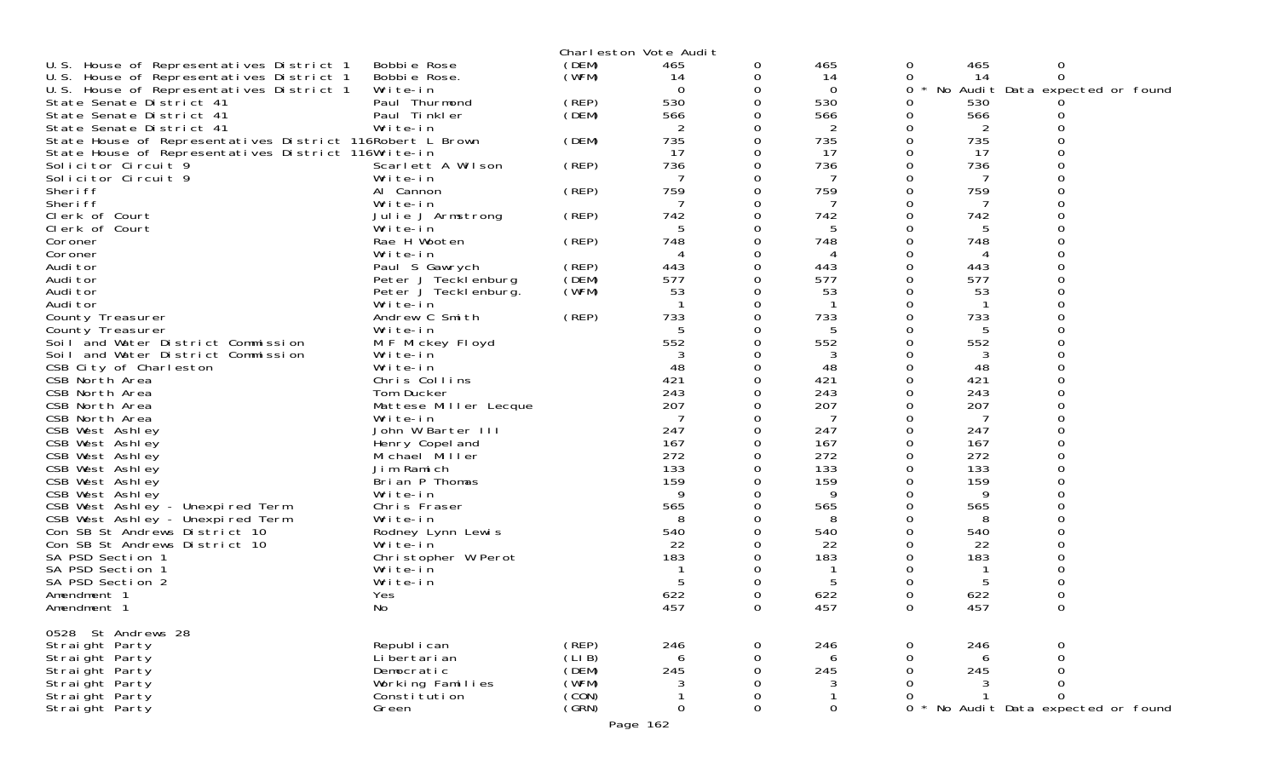|                                                           |                            |       | Charleston Vote Audit |             |          |              |          |                                 |  |
|-----------------------------------------------------------|----------------------------|-------|-----------------------|-------------|----------|--------------|----------|---------------------------------|--|
| U.S. House of Representatives District 1                  | Bobbie Rose                | (DEM) | 465                   | 0           | 465      | 0            | 465      | 0                               |  |
| U.S. House of Representatives District 1                  | Bobbie Rose.               | (WFM) | 14                    | 0           | 14       | 0            | 14       | 0                               |  |
| U.S. House of Representatives District 1                  | Write-in                   |       | $\Omega$              | 0           | $\Omega$ | 0            |          | No Audit Data expected or found |  |
| State Senate District 41                                  | Paul Thurmond              | (REP) | 530                   | 0           | 530      | 0            | 530      |                                 |  |
| State Senate District 41                                  | Paul Tinkler               | (DEM) | 566                   |             | 566      | 0            | 566      | 0                               |  |
| State Senate District 41                                  | Write-in                   |       | 2                     | 0           | 2        | 0            | 2        |                                 |  |
| State House of Representatives District 116Robert L Brown |                            | (DEM) | 735                   |             | 735      |              | 735      |                                 |  |
| State House of Representatives District 116Write-in       |                            |       | 17                    | 0           | 17       | $\Omega$     | 17       |                                 |  |
| Solicitor Circuit 9                                       | Scarlett A Wilson          | (REP) | 736                   | 0           | 736      | 0            | 736      |                                 |  |
| Solicitor Circuit 9                                       | Write-in                   |       | 7                     |             | 7        |              |          |                                 |  |
| Sheri ff<br>Sheri ff                                      | Al Cannon                  | (REP) | 759<br>7              | 0           | 759<br>7 |              | 759      |                                 |  |
| Clerk of Court                                            | Write-in                   |       | 742                   | 0           | 742      |              | 742      |                                 |  |
| Clerk of Court                                            | Julie J Armstrong          | (REP) | 5                     | 0<br>0      | 5        |              | 5        |                                 |  |
| Coroner                                                   | Write-in<br>Rae H Wooten   | (REP) | 748                   | 0           | 748      |              | 748      |                                 |  |
| Coroner                                                   | Write-in                   |       | 4                     |             | 4        |              | 4        |                                 |  |
| Audi tor                                                  | Paul S Gawrych             | (REP) | 443                   | 0           | 443      | 0            | 443      |                                 |  |
| Audi tor                                                  | Peter J Tecklenburg        | (DEM) | 577                   | 0           | 577      |              | 577      |                                 |  |
| Audi tor                                                  | Peter J Tecklenburg.       | (WFM) | 53                    |             | 53       |              | 53       |                                 |  |
| Audi tor                                                  | Write-in                   |       |                       | 0           |          | $\Omega$     |          |                                 |  |
| County Treasurer                                          | Andrew C Smith             | (REP) | 733                   | 0           | 733      |              | 733      |                                 |  |
| County Treasurer                                          | Write-in                   |       | -5                    |             | 5        |              | 5        |                                 |  |
| Soil and Water District Commission                        | M F Mickey Floyd           |       | 552                   | 0           | 552      |              | 552      |                                 |  |
| Soil and Water District Commission                        | Write-in                   |       | 3                     | 0           | 3        |              | 3        |                                 |  |
| CSB City of Charleston                                    | Write-in                   |       | 48                    |             | 48       |              | 48       |                                 |  |
| CSB North Area                                            | Chris Collins              |       | 421                   | 0           | 421      | 0            | 421      |                                 |  |
| CSB North Area                                            | Tom Ducker                 |       | 243                   | 0           | 243      |              | 243      |                                 |  |
| CSB North Area                                            | Mattese Miller Lecque      |       | 207                   |             | 207      |              | 207      |                                 |  |
| CSB North Area                                            | Write-in                   |       |                       | 0           |          |              |          |                                 |  |
| CSB West Ashley                                           | John W Barter III          |       | 247                   | 0           | 247      |              | 247      |                                 |  |
| CSB West Ashley                                           | Henry Copel and            |       | 167                   |             | 167      |              | 167      |                                 |  |
| CSB West Ashley                                           | Michael Miller             |       | 272                   | 0           | 272      |              | 272      |                                 |  |
| CSB West Ashley                                           | Jim Ramich                 |       | 133                   | 0           | 133      | 0            | 133      |                                 |  |
| CSB West Ashley                                           | Brian P Thomas<br>Write-in |       | 159<br>$\mathbf Q$    |             | 159<br>Q |              | 159<br>9 |                                 |  |
| CSB West Ashley<br>CSB West Ashley - Unexpired Term       | Chris Fraser               |       | 565                   | 0           | 565      |              | 565      |                                 |  |
| CSB West Ashley - Unexpired Term                          | Write-in                   |       | 8                     |             | 8        |              | 8        |                                 |  |
| Con SB St Andrews District 10                             | Rodney Lynn Lewis          |       | 540                   |             | 540      |              | 540      |                                 |  |
| Con SB St Andrews District 10                             | Write-in                   |       | 22                    |             | 22       |              | 22       |                                 |  |
| SA PSD Section 1                                          | Christopher W Perot        |       | 183                   |             | 183      |              | 183      |                                 |  |
| SA PSD Section 1                                          | Write-in                   |       |                       |             |          |              |          |                                 |  |
| SA PSD Section 2                                          | Write-in                   |       | 5                     |             | 5        |              | 5        |                                 |  |
| Amendment 1                                               | Yes                        |       | 622                   |             | 622      |              | 622      |                                 |  |
| Amendment 1                                               | No                         |       | 457                   | ∩           | 457      |              | 457      |                                 |  |
| 0528 St Andrews 28                                        |                            |       |                       |             |          |              |          |                                 |  |
| Straight Party                                            | Republ i can               | (REP) | 246                   | 0           | 246      |              | 246      |                                 |  |
| Straight Party                                            | Li bertari an              | (LIB) | 6                     | 0           | 6        |              | 6        |                                 |  |
| Straight Party                                            | Democratic                 | (DEM) | 245                   | 0           | 245      |              | 245      |                                 |  |
| Straight Party                                            | Working Families           | (WFM) | 3                     | 0           | 3        |              |          | $\Omega$                        |  |
| Straight Party                                            | Consti tuti on             | (CON) |                       | $\mathbf 0$ |          |              |          | $\Omega$                        |  |
| Straight Party                                            | Green                      | (GRN) | $\Omega$              | 0           | 0        | $\mathsf{O}$ |          | No Audit Data expected or found |  |
|                                                           |                            |       | Page 162              |             |          |              |          |                                 |  |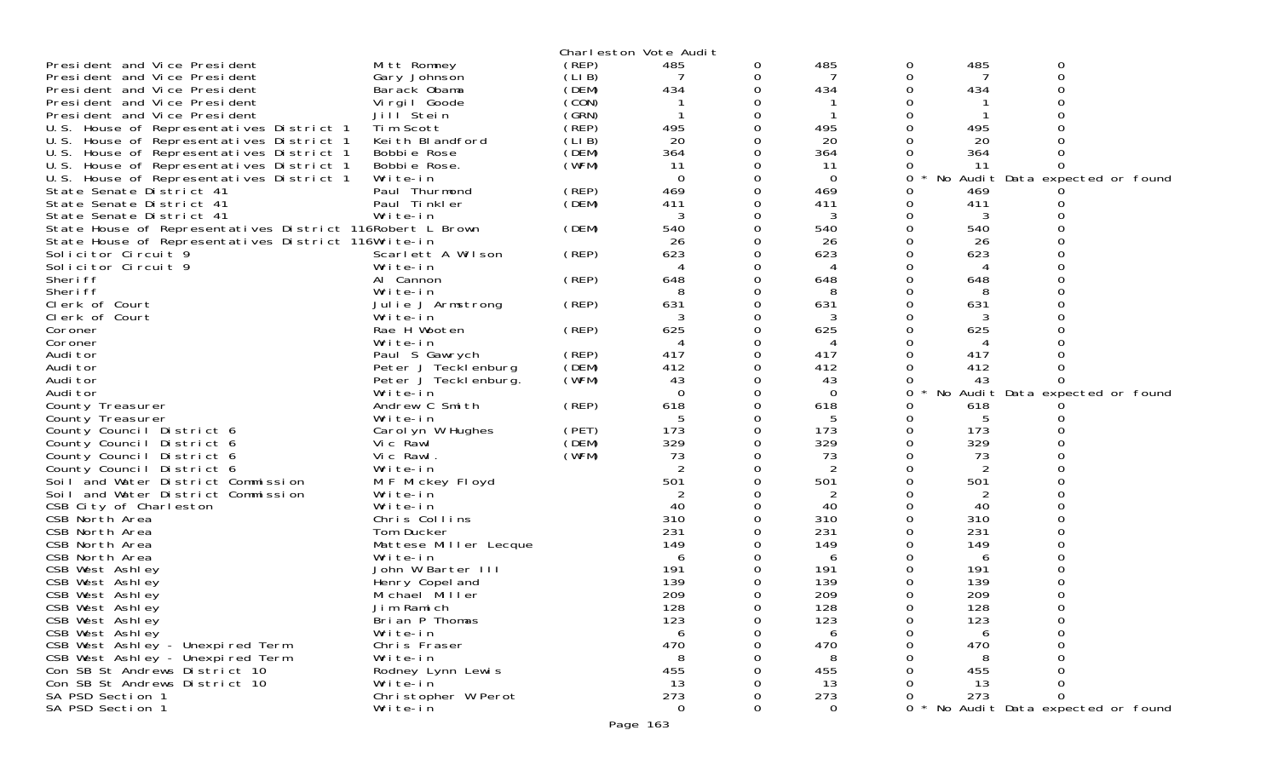|                                                           |                       |        | Charleston Vote Audit |   |                |   |     |                                 |  |
|-----------------------------------------------------------|-----------------------|--------|-----------------------|---|----------------|---|-----|---------------------------------|--|
| President and Vice President                              | Mitt Romney           | (REP)  | 485                   | 0 | 485            | 0 | 485 | 0                               |  |
| President and Vice President                              | Gary Johnson          | (LI B) | 7                     | 0 | 7              | 0 |     | 0                               |  |
| President and Vice President                              | Barack Obama          | (DEM)  | 434                   | 0 | 434            | O | 434 |                                 |  |
| President and Vice President                              | Virgil Goode          | (CON)  |                       | 0 |                |   |     |                                 |  |
| President and Vice President                              | Jill Stein            | (GRN)  | -1                    | 0 |                |   |     |                                 |  |
| U.S. House of Representatives District 1                  | Tim Scott             | (REP)  | 495                   | 0 | 495            |   | 495 |                                 |  |
| U.S. House of Representatives District 1                  | Keith Blandford       | (LIB)  | 20                    | 0 | 20             |   | 20  |                                 |  |
| U.S. House of Representatives District 1                  | Bobbie Rose           | (DEM)  | 364                   | 0 | 364            |   | 364 |                                 |  |
| U.S. House of Representatives District 1                  | Bobbie Rose.          | (WFM)  | 11                    |   | -11            |   | 11  |                                 |  |
| U.S. House of Representatives District 1                  | Write-in              |        | $\Omega$              | 0 | $\Omega$       | 0 | No  | Audit Data expected or found    |  |
| State Senate District 41                                  | Paul Thurmond         | (REP)  | 469                   | 0 | 469            | 0 | 469 |                                 |  |
| State Senate District 41                                  | Paul Tinkler          | (DEM)  | 411                   |   | 411            | 0 | 411 |                                 |  |
| State Senate District 41                                  | Write-in              |        | 3                     | 0 | 3              | 0 | 3   |                                 |  |
|                                                           |                       |        |                       |   |                |   |     |                                 |  |
| State House of Representatives District 116Robert L Brown |                       | (DEM)  | 540                   | 0 | 540            |   | 540 |                                 |  |
| State House of Representatives District 116Write-in       |                       |        | 26                    | 0 | 26             |   | 26  |                                 |  |
| Solicitor Circuit 9                                       | Scarlett A Wilson     | (REP)  | 623                   | 0 | 623            |   | 623 |                                 |  |
| Solicitor Circuit 9                                       | Write-in              |        | 4                     | 0 | 4              |   | 4   |                                 |  |
| Sheri ff                                                  | Al Cannon             | (REP)  | 648                   | 0 | 648            |   | 648 |                                 |  |
| Sheri ff                                                  | Write-in              |        | 8                     | 0 | 8              |   | 8   |                                 |  |
| Clerk of Court                                            | Julie J Armstrong     | (REP)  | 631                   | 0 | 631            |   | 631 |                                 |  |
| Clerk of Court                                            | Write-in              |        |                       | 0 |                |   |     |                                 |  |
| Coroner                                                   | Rae H Wooten          | (REP)  | 625                   | 0 | 625            |   | 625 |                                 |  |
| Coroner                                                   | Write-in              |        | 4                     |   | 4              |   |     |                                 |  |
| Audi tor                                                  | Paul S Gawrych        | (REP)  | 417                   | 0 | 417            |   | 417 |                                 |  |
| Audi tor                                                  | Peter J Tecklenburg   | (DEM)  | 412                   | 0 | 412            |   | 412 |                                 |  |
| Audi tor                                                  | Peter J Tecklenburg.  | (WFM)  | 43                    | 0 | 43             |   | 43  |                                 |  |
| Audi tor                                                  | Write-in              |        | $\Omega$              | 0 | 0              | 0 |     | No Audit Data expected or found |  |
| County Treasurer                                          | Andrew C Smith        | (REP)  | 618                   | 0 | 618            | 0 | 618 |                                 |  |
| County Treasurer                                          | Write-in              |        | 5                     |   | 5              |   | 5   |                                 |  |
| County Council District 6                                 | Carolyn W Hughes      | (PET)  | 173                   | 0 | 173            | 0 | 173 |                                 |  |
| County Council District 6                                 | Vic Rawl              | (DEM)  | 329                   | 0 | 329            | 0 | 329 |                                 |  |
| County Council District 6                                 | Vic Rawl.             | (WFM)  | 73                    |   | 73             |   | 73  |                                 |  |
| County Council District 6                                 | Write-in              |        | 2                     | 0 | 2              |   |     |                                 |  |
| Soil and Water District Commission                        | M F Mickey Floyd      |        | 501                   | 0 | 501            |   | 501 |                                 |  |
| Soil and Water District Commission                        | Write-in              |        | 2                     |   | 2              |   | 2   |                                 |  |
| CSB City of Charleston                                    | Write-in              |        | 40                    | 0 | 40             |   | 40  |                                 |  |
| CSB North Area                                            | Chris Collins         |        | 310                   |   | 310            |   | 310 |                                 |  |
| CSB North Area                                            |                       |        | 231                   |   | 231            |   | 231 |                                 |  |
|                                                           | Tom Ducker            |        |                       |   |                |   |     |                                 |  |
| CSB North Area                                            | Mattese Miller Lecque |        | 149                   |   | 149            |   | 149 |                                 |  |
| CSB North Area                                            | Write-in              |        | 6                     |   | 6              |   | 6   |                                 |  |
| CSB West Ashley                                           | John W Barter III     |        | 191                   |   | 191            |   | 191 |                                 |  |
| CSB West Ashley                                           | Henry Copel and       |        | 139                   |   | 139            |   | 139 |                                 |  |
| CSB West Ashley                                           | Michael Miller        |        | 209                   | 0 | 209            | 0 | 209 |                                 |  |
| CSB West Ashley                                           | Jim Ramich            |        | 128                   | 0 | 128            | 0 | 128 | 0                               |  |
| CSB West Ashley                                           | Brian P Thomas        |        | 123                   | 0 | 123            | 0 | 123 |                                 |  |
| CSB West Ashley                                           | Write-in              |        | 6                     | 0 | 6              | 0 | 6   |                                 |  |
| CSB West Ashley - Unexpired Term                          | Chris Fraser          |        | 470                   | 0 | 470            |   | 470 |                                 |  |
| CSB West Ashley - Unexpired Term                          | Write-in              |        | 8                     |   | 8              |   |     |                                 |  |
| Con SB St Andrews District 10                             | Rodney Lynn Lewis     |        | 455                   |   | 455            |   | 455 |                                 |  |
| Con SB St Andrews District 10                             | Write-in              |        | 13                    |   | 13             |   | 13  |                                 |  |
| SA PSD Section 1                                          | Christopher W Perot   |        | 273                   | 0 | 273            |   | 273 |                                 |  |
| SA PSD Section 1                                          | Write-in              |        | $\overline{0}$        | 0 | $\overline{0}$ | 0 |     | No Audit Data expected or found |  |
|                                                           |                       |        |                       |   |                |   |     |                                 |  |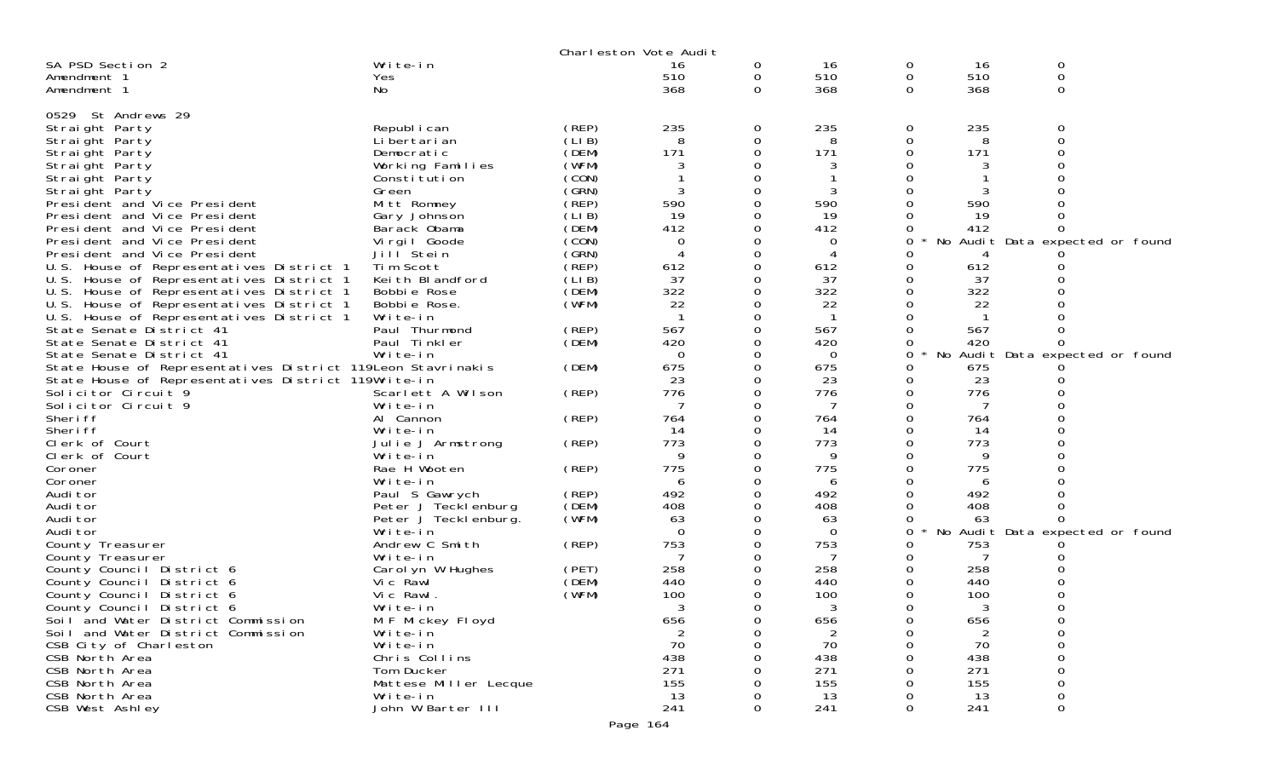|                                                             |                       |        | Charleston Vote Audit |              |          |          |     |                                 |
|-------------------------------------------------------------|-----------------------|--------|-----------------------|--------------|----------|----------|-----|---------------------------------|
| SA PSD Section 2                                            | Write-in              |        | 16                    | 0            | 16       | 0        | 16  | 0                               |
| Amendment 1                                                 | <b>Yes</b>            |        | 510                   | $\mathbf{O}$ | 510      | 0        | 510 | $\mathbf 0$                     |
| Amendment 1                                                 | No                    |        | 368                   | $\Omega$     | 368      | $\Omega$ | 368 | 0                               |
|                                                             |                       |        |                       |              |          |          |     |                                 |
| 0529 St Andrews 29                                          |                       |        |                       |              |          |          |     |                                 |
| Straight Party                                              | Republ i can          | (REP)  | 235                   | 0            | 235      | 0        | 235 | 0                               |
| Straight Party                                              | Li bertari an         | (LIB)  | 8                     | $\Omega$     | 8        | 0        | 8   | $\Omega$                        |
| Straight Party                                              | Democratic            | (DEM)  | 171                   | 0            | 171      | 0        | 171 |                                 |
| Straight Party                                              | Working Families      | (WFM)  | 3                     | 0            | 3        |          | 3   |                                 |
| Straight Party                                              | Constitution          | (CON)  |                       | $\Omega$     |          |          |     |                                 |
| Straight Party                                              | Green                 | (GRN)  | 3                     | 0            |          |          |     |                                 |
| President and Vice President                                | Mitt Romney           | (REP)  | 590                   | 0            | 590      |          | 590 |                                 |
| President and Vice President                                | Gary Johnson          | (LI B) | 19                    | 0            | 19       | 0        | 19  |                                 |
| President and Vice President                                | Barack Obama          | (DEM)  | 412                   | 0            | 412      | 0        | 412 |                                 |
| President and Vice President                                | Virgil Goode          | (CON)  | $\Omega$              | 0            | 0        | 0        |     | No Audit Data expected or found |
| President and Vice President                                | Jill Stein            | (GRN)  | $\overline{4}$        | $\Omega$     | 4        | 0        |     |                                 |
| U.S. House of Representatives District 1                    | Tim Scott             | (REP)  | 612                   | 0            | 612      | 0        | 612 |                                 |
| U.S. House of Representatives District 1                    | Keith Blandford       | (LI B) | 37                    | 0            | 37       | 0        | 37  |                                 |
| U.S. House of Representatives District 1                    | Bobbie Rose           | (DEM)  | 322                   | $\Omega$     | 322      | 0        | 322 |                                 |
| U.S. House of Representatives District 1                    | Bobbie Rose.          | (WFM)  | 22                    | 0            | 22       |          | 22  |                                 |
| U.S. House of Representatives District 1                    | Write-in              |        |                       | 0            |          |          |     |                                 |
| State Senate District 41                                    | Paul Thurmond         | (REP)  | 567                   | 0            | 567      | 0        | 567 |                                 |
| State Senate District 41                                    | Paul Tinkler          | (DEM)  | 420                   | 0            | 420      |          | 420 |                                 |
| State Senate District 41                                    | Write-in              |        | $\Omega$              | 0            | $\Omega$ | 0        | No  | Audit Data expected or found    |
| State House of Representatives District 119Leon Stavrinakis |                       | (DEM)  | 675                   | 0            | 675      | 0        | 675 |                                 |
| State House of Representatives District 119Write-in         |                       |        | 23                    | 0            | 23       | 0        | 23  |                                 |
| Solicitor Circuit 9                                         | Scarlett A Wilson     | (REP)  | 776                   | 0            | 776      | 0        | 776 |                                 |
| Solicitor Circuit 9                                         | Write-in              |        | 7                     | 0            | 7        | 0        |     |                                 |
| Sheri ff                                                    | Al Cannon             | (REP)  | 764                   | 0            | 764      | 0        | 764 |                                 |
| Sheri ff                                                    | Write-in              |        | 14                    | 0            | 14       | 0        | 14  |                                 |
| Clerk of Court                                              | Julie J Armstrong     | (REP)  | 773                   | 0            | 773      | 0        | 773 |                                 |
| Clerk of Court                                              | Write-in              |        | 9                     | 0            | 9        |          | 9   |                                 |
| Coroner                                                     | Rae H Wooten          | (REP)  | 775                   | 0            | 775      | $\Omega$ | 775 |                                 |
| Coroner                                                     | Write-in              |        | 6                     | 0            | 6        | 0        | 6   |                                 |
| Audi tor                                                    | Paul S Gawrych        | (REP)  | 492                   | $\Omega$     | 492      |          | 492 |                                 |
| Audi tor                                                    | Peter J Tecklenburg   | (DEM)  | 408                   | 0            | 408      | $\Omega$ | 408 |                                 |
| Audi tor                                                    | Peter J Tecklenburg.  | (WFM)  | 63                    | 0            | 63       | 0        | 63  |                                 |
| Audi tor                                                    | Write-in              |        | $\Omega$              | 0            | $\Omega$ | 0        |     | No Audit Data expected or found |
| County Treasurer                                            | Andrew C Smith        | (REP)  | 753                   | 0            | 753      |          | 753 |                                 |
| County Treasurer                                            | Write-in              |        | 7                     | 0            | 7        | 0        |     |                                 |
| County Council District 6                                   | Carol yn W Hughes     | (PET)  | 258                   | 0            | 258      | 0        | 258 |                                 |
| County Council District 6                                   | Vic Rawl              | (DEM)  | 440                   | 0            | 440      | $\Omega$ | 440 |                                 |
| County Council District 6                                   | Vic Rawl.             | (WFM)  | 100                   | 0            | 100      | 0        | 100 |                                 |
| County Council District 6                                   | Write-in              |        | 3                     | 0            | 3        | 0        | 3   | 0                               |
| Soil and Water District Commission                          | M F Mickey Floyd      |        | 656                   | 0            | 656      | 0        | 656 |                                 |
| Soil and Water District Commission                          | Write-in              |        | 2                     | 0            | 2        | 0        | 2   | 0                               |
| CSB City of Charleston                                      | Write-in              |        | 70                    | 0            | 70       | 0        | 70  | 0                               |
| CSB North Area                                              | Chris Collins         |        | 438                   | 0            | 438      |          | 438 | 0                               |
| CSB North Area                                              | Tom Ducker            |        | 271                   | 0            | 271      |          | 271 |                                 |
| CSB North Area                                              | Mattese Miller Lecque |        | 155                   | 0            | 155      |          | 155 | 0                               |
| CSB North Area                                              | Write-in              |        | 13                    | 0            | 13       |          | 13  | 0                               |
| CSB West Ashley                                             | John W Barter III     |        | 241                   | $\Omega$     | 241      | 0        | 241 | 0                               |
|                                                             |                       |        |                       |              |          |          |     |                                 |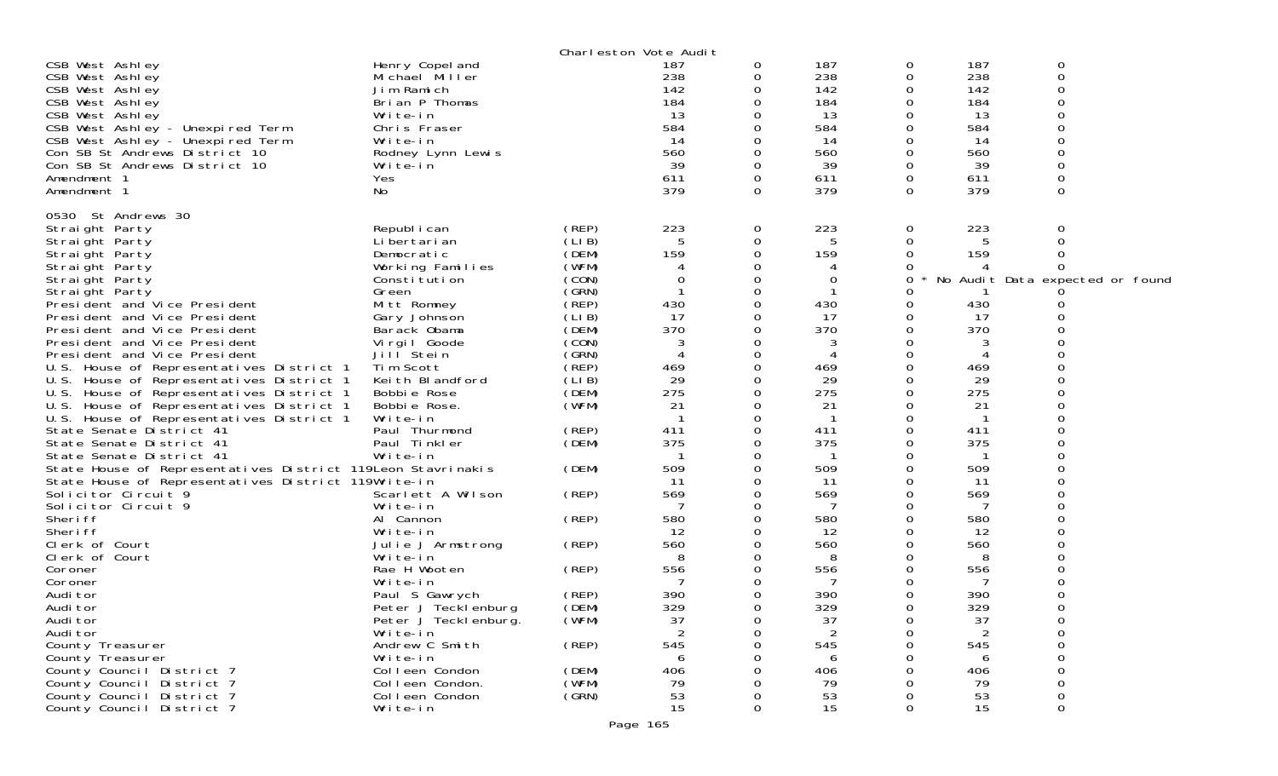| Henry Copel and<br>Michael Miller<br>Jim Ramich<br>Brian P Thomas<br>Write-in<br>Chris Fraser<br>Write-in<br>Rodney Lynn Lewis<br>Write-in<br>Yes<br>No                                                                                                                                                                                                                                                                                                                                                                                                                                                                                                                                                                 |                                                                                                                                                                                                                                                                   | 187<br>238<br>142<br>184<br>13<br>584<br>14<br>560<br>39<br>611<br>379                                                                                                                                         | 0<br>0<br>$\Omega$<br>0<br>0<br>0<br>0<br>0<br>$\Omega$<br>0<br>0                                                                                                           | 187<br>238<br>142<br>184<br>13<br>584<br>14<br>560<br>39<br>611<br>379                                                                                                                                           | 0<br>0<br>0<br>0<br>0<br>Ω<br>0<br>0<br>0<br>0                                                                                        | 187<br>238<br>142<br>184<br>13<br>584<br>14<br>560<br>39<br>611<br>379                                                                                                                            | 0<br>$\mathbf 0$<br>$\Omega$<br>$\Omega$<br>$\Omega$<br>$\Omega$ |
|-------------------------------------------------------------------------------------------------------------------------------------------------------------------------------------------------------------------------------------------------------------------------------------------------------------------------------------------------------------------------------------------------------------------------------------------------------------------------------------------------------------------------------------------------------------------------------------------------------------------------------------------------------------------------------------------------------------------------|-------------------------------------------------------------------------------------------------------------------------------------------------------------------------------------------------------------------------------------------------------------------|----------------------------------------------------------------------------------------------------------------------------------------------------------------------------------------------------------------|-----------------------------------------------------------------------------------------------------------------------------------------------------------------------------|------------------------------------------------------------------------------------------------------------------------------------------------------------------------------------------------------------------|---------------------------------------------------------------------------------------------------------------------------------------|---------------------------------------------------------------------------------------------------------------------------------------------------------------------------------------------------|------------------------------------------------------------------|
| Republ i can<br>Li bertari an<br>Democratic<br>Working Families<br>Constitution<br>Green<br>Mitt Romney<br>Gary Johnson<br>Barack Obama<br>Virgil Goode<br>Jill <sup>Stein</sup><br>Tim Scott<br>Keith Blandford<br>Bobbie Rose<br>Bobbie Rose.<br>Write-in<br>Paul Thurmond<br>Paul Tinkler<br>Write-in<br>State House of Representatives District 119Leon Stavrinakis<br>State House of Representatives District 119Write-in<br>Scarlett A Wilson<br>Write-in<br>Al Cannon<br>Write-in<br>Julie J Armstrong<br>Write-in<br>Rae H Wooten<br>Write-in<br>Paul S Gawrych<br>Peter J Tecklenburg<br>Peter J Tecklenburg.<br>Write-in<br>Andrew C Smith<br>Write-in<br>Colleen Condon<br>Colleen Condon.<br>Colleen Condon | (REP)<br>(LIB)<br>(DEM)<br>(WFM)<br>(CON)<br>(GRN)<br>(REP)<br>(LIB)<br>(DEM)<br>(CON)<br>(GRN)<br>(REP)<br>(LIB)<br>(DEM)<br>(WFM)<br>(REP)<br>(DEM)<br>(DEM)<br>(REP)<br>(REP)<br>(REP)<br>(REP)<br>(REP)<br>(DEM)<br>(WFM)<br>(REP)<br>(DEM)<br>(WFM)<br>(GRN) | 223<br>5<br>159<br>0<br>430<br>17<br>370<br>3<br>$\overline{4}$<br>469<br>29<br>275<br>21<br>411<br>375<br>509<br>11<br>569<br>580<br>12<br>560<br>8<br>556<br>390<br>329<br>37<br>545<br>6<br>406<br>79<br>53 | 0<br>0<br>0<br>0<br>0<br>0<br>0<br>0<br>0<br>0<br>0<br>0<br>0<br>0<br>0<br>0<br>0<br>0<br>0<br>0<br>0<br>0<br>0<br>0<br>0<br>0<br>0<br>0<br>0<br>0<br>∩<br>0<br>0<br>0<br>0 | 223<br>5<br>159<br>0<br>430<br>17<br>370<br>3<br>4<br>469<br>29<br>275<br>21<br>411<br>375<br>509<br>11<br>569<br>7<br>580<br>12<br>560<br>8<br>556<br>7<br>390<br>329<br>37<br>2<br>545<br>6<br>406<br>79<br>53 | 0<br>0<br>0<br>Ω<br>O<br>Ω<br>Ω<br>O<br>0<br>Ω<br>0<br>Ω<br>Ω<br>O<br>0<br>0<br>O<br>0<br>$\Omega$<br>0<br>Ω<br>O<br>∩<br>0<br>Ω<br>Ω | 223<br>5<br>159<br>430<br>17<br>370<br>3<br>469<br>29<br>275<br>21<br>411<br>375<br>509<br>11<br>569<br>7<br>580<br>12<br>560<br>8<br>556<br>7<br>390<br>329<br>37<br>545<br>6<br>406<br>79<br>53 | 0<br>No Audit Data expected or found<br>0<br>∩<br>0<br>Ω<br>0    |
|                                                                                                                                                                                                                                                                                                                                                                                                                                                                                                                                                                                                                                                                                                                         |                                                                                                                                                                                                                                                                   |                                                                                                                                                                                                                | 0                                                                                                                                                                           |                                                                                                                                                                                                                  | 0                                                                                                                                     |                                                                                                                                                                                                   | $\Omega$                                                         |
|                                                                                                                                                                                                                                                                                                                                                                                                                                                                                                                                                                                                                                                                                                                         | Write-in                                                                                                                                                                                                                                                          |                                                                                                                                                                                                                | Charleston Vote Audit<br>15                                                                                                                                                 |                                                                                                                                                                                                                  | 15                                                                                                                                    |                                                                                                                                                                                                   | 15                                                               |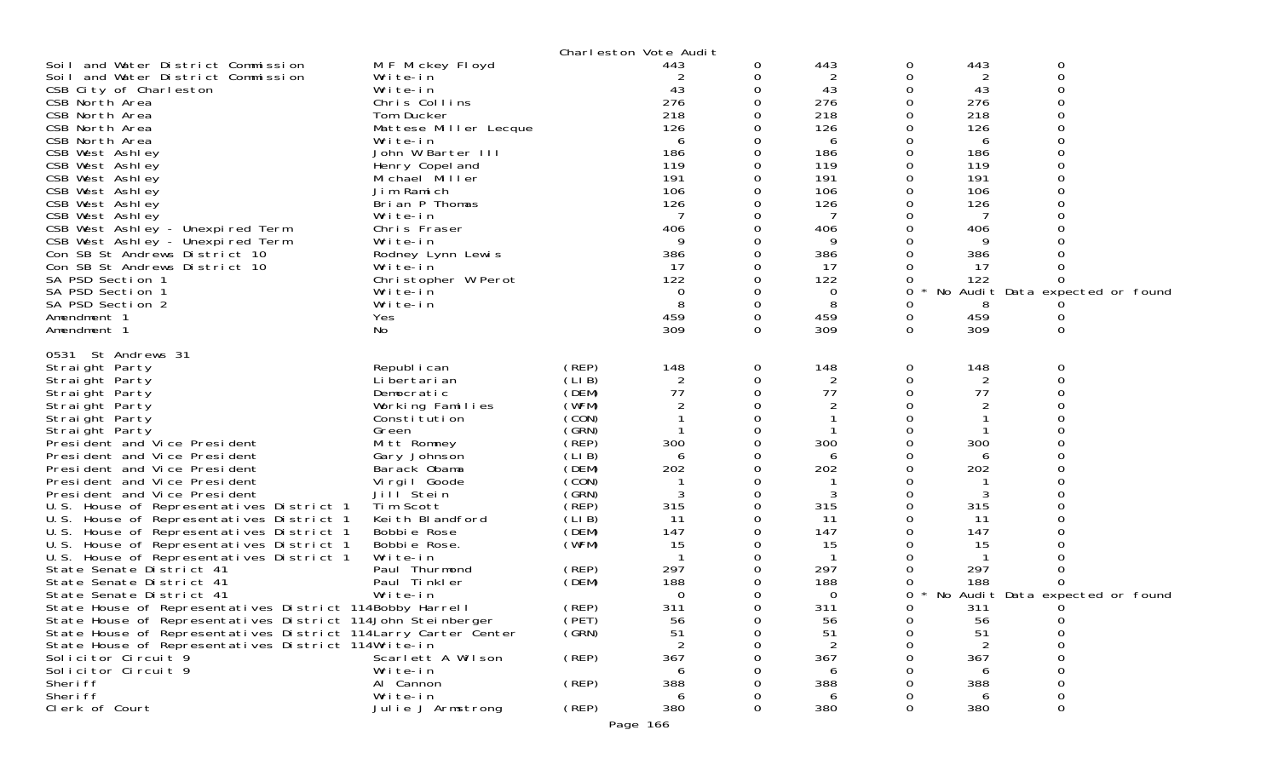|                                                                                      |                                   |                | Charleston Vote Audit |          |            |          |            |                                 |  |
|--------------------------------------------------------------------------------------|-----------------------------------|----------------|-----------------------|----------|------------|----------|------------|---------------------------------|--|
| Soil and Water District Commission                                                   | M F Mickey Floyd                  |                | 443                   | 0        | 443        | 0        | 443        | 0                               |  |
| Soil and Water District Commission                                                   | Write-in                          |                |                       | 0        | 2          | 0        | 2          | $\Omega$                        |  |
| CSB City of Charleston                                                               | Write-in                          |                | 43                    |          | 43         |          | 43         | ∩                               |  |
| CSB North Area                                                                       | Chris Collins                     |                | 276                   |          | 276        |          | 276        |                                 |  |
| CSB North Area                                                                       | Tom Ducker                        |                | 218                   |          | 218        |          | 218        |                                 |  |
| CSB North Area                                                                       | Mattese Miller Lecque             |                | 126                   |          | 126        |          | 126        |                                 |  |
| CSB North Area                                                                       | Write-in                          |                | 6                     |          | 6          |          | 6          |                                 |  |
| CSB West Ashley                                                                      | John W Barter III                 |                | 186<br>119            |          | 186<br>119 |          | 186<br>119 |                                 |  |
| CSB West Ashley<br>CSB West Ashley                                                   | Henry Copel and<br>Michael Miller |                | 191                   |          | 191        |          | 191        |                                 |  |
| CSB West Ashley                                                                      | Jim Ramich                        |                | 106                   |          | 106        |          | 106        |                                 |  |
| CSB West Ashley                                                                      | Brian P Thomas                    |                | 126                   |          | 126        |          | 126        |                                 |  |
| CSB West Ashley                                                                      | Write-in                          |                | 7                     |          | 7          |          | 7          |                                 |  |
| CSB West Ashley - Unexpired Term                                                     | Chris Fraser                      |                | 406                   |          | 406        |          | 406        |                                 |  |
| CSB West Ashley - Unexpired Term                                                     | Write-in                          |                | 9                     |          | 9          |          | 9          |                                 |  |
| Con SB St Andrews District 10                                                        | Rodney Lynn Lewis                 |                | 386                   |          | 386        |          | 386        |                                 |  |
| Con SB St Andrews District 10                                                        | Write-in                          |                | -17                   |          | -17        |          | -17        |                                 |  |
| SA PSD Section 1                                                                     | Christopher W Perot               |                | 122                   |          | 122        |          | 122        |                                 |  |
| SA PSD Section 1                                                                     | Write-in                          |                | $\Omega$              |          | 0          | 0        |            | No Audit Data expected or found |  |
| SA PSD Section 2                                                                     | Write-in                          |                |                       |          | 8          |          | 8          |                                 |  |
| Amendment 1                                                                          | Yes                               |                | 459                   |          | 459        | 0        | 459        |                                 |  |
| Amendment 1                                                                          | No.                               |                | 309                   | $\Omega$ | 309        | $\Omega$ | 309        | 0                               |  |
| 0531 St Andrews 31                                                                   |                                   |                |                       |          |            |          |            |                                 |  |
| Straight Party                                                                       | Republ i can                      | (REP)          | 148                   | 0        | 148        | 0        | 148        | 0                               |  |
| Straight Party                                                                       | Li bertari an                     | (LIB)          |                       | 0        | 2          |          | 2          |                                 |  |
| Straight Party                                                                       | Democratic                        | (DEM)          | 77                    | 0        | 77         |          | 77         |                                 |  |
| Straight Party                                                                       | Working Families                  | (WFM)          |                       |          | 2          |          | 2          |                                 |  |
| Straight Party                                                                       | Constitution                      | (CON)          |                       |          |            |          |            |                                 |  |
| Straight Party                                                                       | Green                             | (GRN)          |                       |          |            |          |            |                                 |  |
| President and Vice President                                                         | Mitt Romney                       | (REP)          | 300                   |          | 300        |          | 300        |                                 |  |
| President and Vice President                                                         | Gary Johnson                      | (LIB)          | 6                     |          | 6          |          | 6          |                                 |  |
| President and Vice President                                                         | Barack Obama                      | (DEM)          | 202                   |          | 202        |          | 202        |                                 |  |
| President and Vice President                                                         | Vi rgi I Goode                    | (CON)          |                       |          |            |          |            |                                 |  |
| President and Vice President                                                         | Jill Stein                        | (GRN)          |                       |          | 3          |          |            |                                 |  |
| U.S. House of Representatives District 1                                             | Tim Scott                         | (REP)          | 315                   | 0        | 315        |          | 315        |                                 |  |
| U.S. House of Representatives District 1                                             | Keith Blandford<br>Bobbie Rose    | (LIB)<br>(DEM) | 11<br>147             |          | 11<br>147  |          | 11<br>147  |                                 |  |
| U.S. House of Representatives District 1<br>U.S. House of Representatives District 1 | Bobbie Rose.                      | (WFM)          | 15                    |          | 15         |          | 15         |                                 |  |
| U.S. House of Representatives District 1                                             | Write-in                          |                |                       |          | -1         |          |            |                                 |  |
| State Senate District 41                                                             | Paul Thurmond                     | (REP)          | 297                   |          | 297        |          | 297        |                                 |  |
| State Senate District 41                                                             | Paul Tinkler                      | (DEM)          | 188                   |          | 188        |          | 188        |                                 |  |
| State Senate District 41                                                             | Write-in                          |                | 0                     |          | 0          | 0        |            | No Audit Data expected or found |  |
| State House of Representatives District 114Bobby Harrell                             |                                   | (REP)          | 311                   | $\Omega$ | 311        | $\cap$   | 311        |                                 |  |
| State House of Representatives District 114John Steinberger                          |                                   | (PET)          | 56                    |          | 56         |          | 56         |                                 |  |
| State House of Representatives District 114 Larry Carter Center                      |                                   | (GRN)          | 51                    |          | 51         |          | 51         |                                 |  |
| State House of Representatives District 114Write-in                                  |                                   |                |                       |          | 2          |          |            |                                 |  |
| Solicitor Circuit 9                                                                  | Scarlett A Wilson                 | (REP)          | 367                   |          | 367        |          | 367        |                                 |  |
| Solicitor Circuit 9                                                                  | Write-in                          |                |                       |          | 6          |          | 6          |                                 |  |
| Sheri ff                                                                             | Al Cannon                         | (REP)          | 388                   |          | 388        |          | 388        |                                 |  |
| Sheri ff                                                                             | Write-in                          |                | 6                     |          | 6          |          | 6          |                                 |  |
| Clerk of Court                                                                       | Julie J Armstrong                 | $($ REP $)$    | 380                   |          | 380        |          | 380        |                                 |  |

Page 166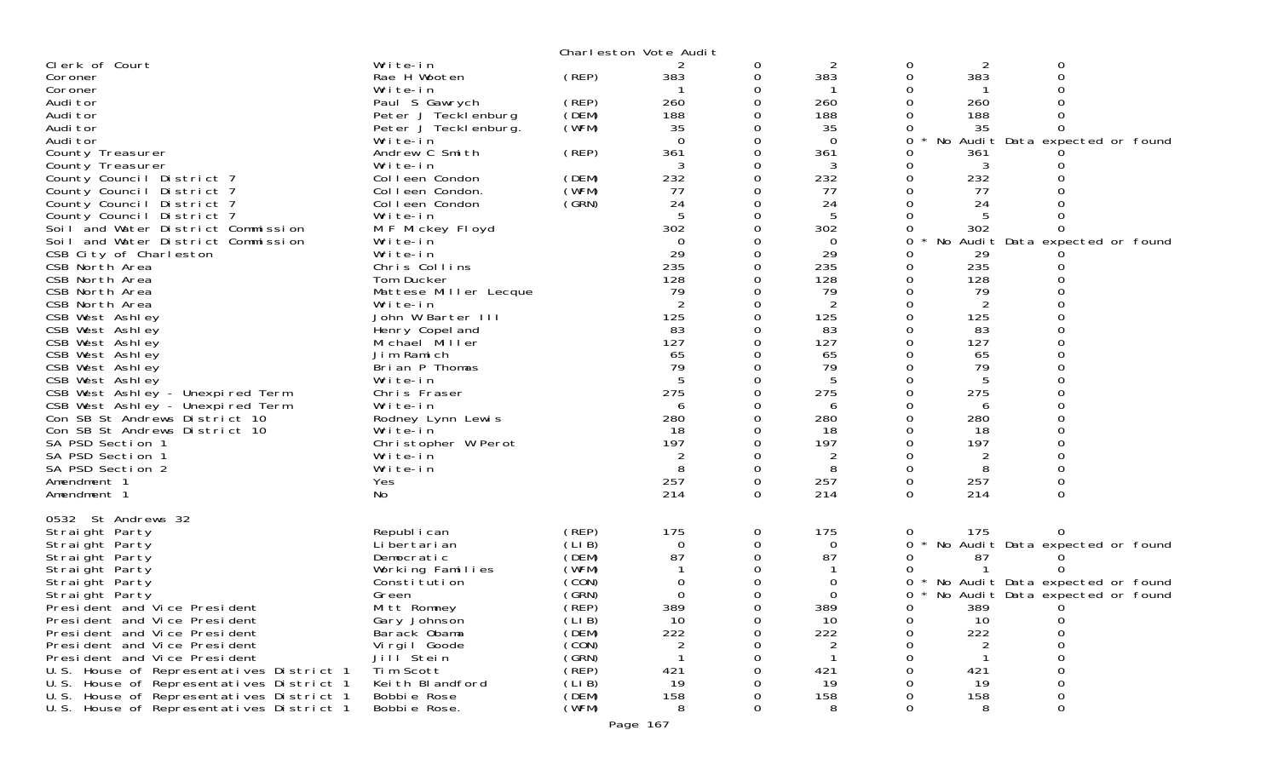|                                                                   |                               |                | Charleston Vote Audit |          |                    |             |          |                                      |  |
|-------------------------------------------------------------------|-------------------------------|----------------|-----------------------|----------|--------------------|-------------|----------|--------------------------------------|--|
| Clerk of Court                                                    | Write-in                      |                |                       | 0        | 2                  | 0           | 2        | 0                                    |  |
| Coroner                                                           | Rae H Wooten                  | (REP)          | 383                   | 0        | 383                | 0           | 383      | 0                                    |  |
| Coroner                                                           | Write-in                      |                |                       | 0        |                    | 0           |          |                                      |  |
| Audi tor                                                          | Paul S Gawrych                | (REP)          | 260                   | 0        | 260                | 0           | 260      |                                      |  |
| Audi tor                                                          | Peter J Tecklenburg           | (DEM)          | 188                   |          | 188                |             | 188      |                                      |  |
| Audi tor                                                          | Peter J Teckl enburg.         | (WFM)          | 35<br>$\Omega$        |          | 35                 | 0           | 35       |                                      |  |
| Audi tor                                                          | Write-in<br>Andrew C Smith    | (REP)          | 361                   | 0<br>0   | $\mathbf 0$<br>361 | 0<br>0      | 361      | No Audit Data expected or found      |  |
| County Treasurer<br>County Treasurer                              | Write-in                      |                | 3                     |          | 3                  | 0           | 3        |                                      |  |
| County Council District 7                                         | Colleen Condon                | (DEM)          | 232                   | 0        | 232                | 0           | 232      |                                      |  |
| County Council District 7                                         | Colleen Condon.               | (WFM)          | 77                    | 0        | 77                 | $\mathbf 0$ | 77       |                                      |  |
| County Council District 7                                         | Colleen Condon                | (GRN)          | 24                    |          | 24                 |             | 24       |                                      |  |
| County Council District 7                                         | Write-in                      |                | 5                     | 0        | 5                  | 0           | 5        |                                      |  |
| Soil and Water District Commission                                | M F Mickey Floyd              |                | 302                   |          | 302                | 0           | 302      |                                      |  |
| Soil and Water District Commission                                | Write-in                      |                | $\Omega$              |          | $\Omega$           | 0           |          | No Audit Data expected or found      |  |
| CSB City of Charleston                                            | Write-in                      |                | 29                    | 0        | 29                 | 0           | 29       |                                      |  |
| CSB North Area                                                    | Chris Collins                 |                | 235                   |          | 235                | 0           | 235      | Ω                                    |  |
| CSB North Area                                                    | Tom Ducker                    |                | 128                   |          | 128                | 0           | 128      |                                      |  |
| CSB North Area                                                    | Mattese Miller Lecque         |                | 79                    | Ω        | 79                 | 0           | 79       |                                      |  |
| CSB North Area                                                    | Write-in                      |                | 2                     |          | $\overline{2}$     | 0           | 2        |                                      |  |
| CSB West Ashley                                                   | John W Barter III             |                | 125                   |          | 125                | $\Omega$    | 125      |                                      |  |
| CSB West Ashley                                                   | Henry Copel and               |                | 83                    |          | 83                 | 0           | 83       |                                      |  |
| CSB West Ashley                                                   | Michael Miller                |                | 127                   |          | 127                | 0           | 127      |                                      |  |
| CSB West Ashley                                                   | Jim Ramich                    |                | 65                    |          | 65                 | 0           | 65       |                                      |  |
| CSB West Ashley                                                   | Brian P Thomas                |                | 79                    |          | 79                 | 0           | 79       |                                      |  |
| CSB West Ashley                                                   | Write-in                      |                |                       |          | 5                  | 0           |          |                                      |  |
| CSB West Ashley - Unexpired Term                                  | Chris Fraser                  |                | 275                   |          | 275                | $\Omega$    | 275      |                                      |  |
| CSB West Ashley - Unexpired Term<br>Con SB St Andrews District 10 | Write-in                      |                | 6<br>280              |          | 6<br>280           | 0<br>0      | 6<br>280 |                                      |  |
| Con SB St Andrews District 10                                     | Rodney Lynn Lewis<br>Write-in |                | 18                    | O        | 18                 | 0           | 18       |                                      |  |
| SA PSD Section 1                                                  | Christopher W Perot           |                | 197                   |          | 197                | 0           | 197      |                                      |  |
| SA PSD Section 1                                                  | Write-in                      |                | 2                     |          | 2                  | 0           | 2        |                                      |  |
| SA PSD Section 2                                                  | Write-in                      |                | 8                     | $\Omega$ | 8                  | $\Omega$    | 8        | $\Omega$                             |  |
| Amendment 1                                                       | Yes                           |                | 257                   | 0        | 257                | 0           | 257      | 0                                    |  |
| Amendment 1                                                       | No                            |                | 214                   | $\Omega$ | 214                | $\Omega$    | 214      | 0                                    |  |
|                                                                   |                               |                |                       |          |                    |             |          |                                      |  |
| 0532 St Andrews 32                                                |                               |                |                       |          |                    |             |          |                                      |  |
| Straight Party                                                    | Republ i can                  | (REP)          | 175                   | 0        | 175                | 0           | 175      | 0                                    |  |
| Straight Party                                                    | Li bertari an                 | (LIB)          | $\Omega$              | 0        | $\mathbf 0$        | 0           |          | No Audit Data expected or found      |  |
| Straight Party                                                    | Democratic                    | (DEM)          | 87                    | 0        | 87                 | 0           | 87       |                                      |  |
| Straight Party                                                    | Working Families              | (WFM)          |                       |          |                    | 0           |          |                                      |  |
| Straight Party                                                    | Constitution<br>Green         | (CON)<br>(SRN) |                       |          | 0<br>$\mathbf 0$   | 0<br>0      |          | * No Audit Data expected or found    |  |
| Straight Party<br>President and Vice President                    | Mitt Romney                   | (REF)          | 389                   | 0        | 389                | 0           | 389      | No Audit Data expected or found<br>O |  |
| President and Vice President                                      | Gary Johnson                  | (LIB)          | 10                    |          | 10                 | 0           | 10       |                                      |  |
| President and Vice President                                      | Barack Obama                  | (DEM)          | 222                   |          | 222                | 0           | 222      | 0                                    |  |
| President and Vice President                                      | Vi rgi I Goode                | (CON)          | 2                     |          | 2                  |             |          | 0                                    |  |
| President and Vice President                                      | Jill Stein                    | (GRN)          |                       |          |                    |             |          | 0                                    |  |
| U.S. House of Representatives District 1                          | Tim Scott                     | (REP)          | 421                   |          | 421                |             | 421      | 0                                    |  |
| U.S. House of Representatives District 1                          | Keith Blandford               | (LIB)          | 19                    |          | 19                 |             | 19       | 0                                    |  |
| U.S. House of Representatives District 1                          | Bobbie Rose                   | (DEM)          | 158                   |          | 158                | Ω           | 158      | 0                                    |  |
| U.S. House of Representatives District 1                          | Bobbie Rose.                  | (WFM)          | 8                     |          | 8                  | 0           | 8        | $\Omega$                             |  |
|                                                                   |                               |                | Page 167              |          |                    |             |          |                                      |  |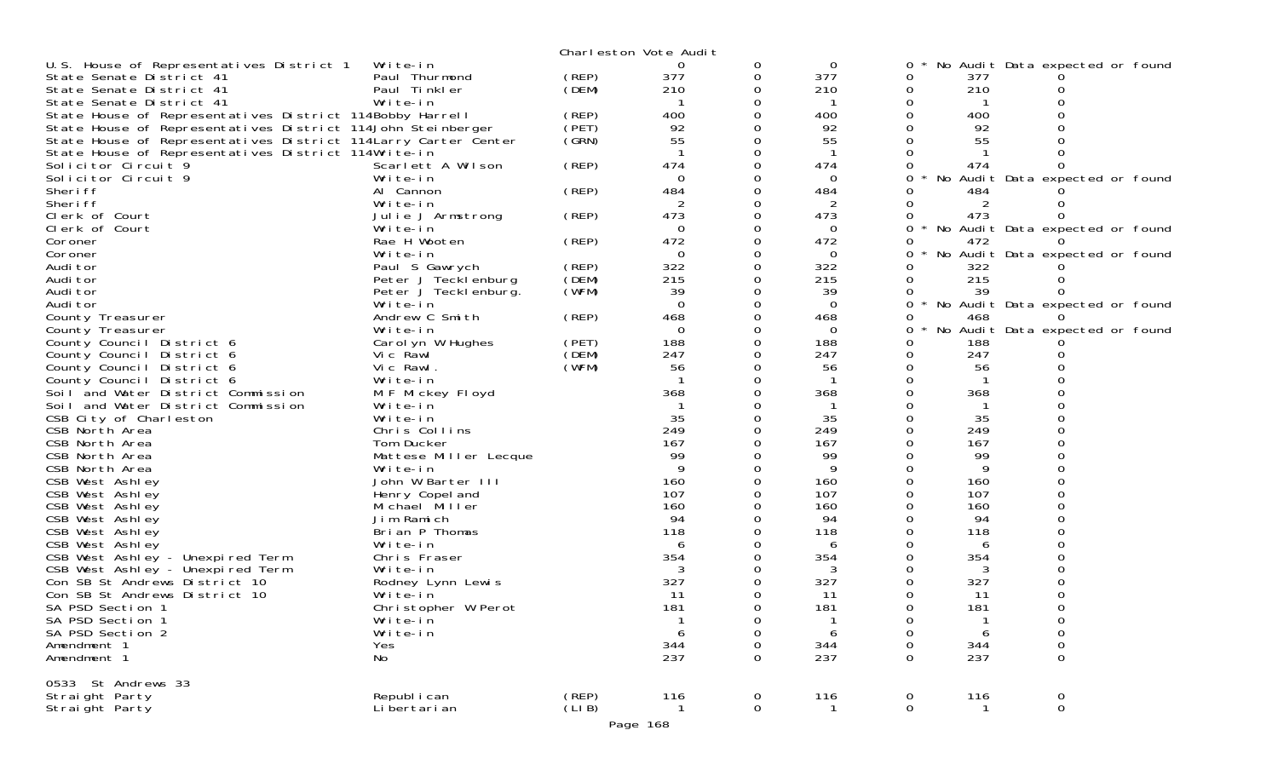|                                                                                                                        |                               |                | Charleston Vote Audit |                  |                 |              |           |                                 |  |
|------------------------------------------------------------------------------------------------------------------------|-------------------------------|----------------|-----------------------|------------------|-----------------|--------------|-----------|---------------------------------|--|
| U.S. House of Representatives District 1                                                                               | Write-in                      |                | 0                     | 0                | 0               | 0            |           | No Audit Data expected or found |  |
| State Senate District 41                                                                                               | Paul Thurmond                 | (REP)          | 377                   | 0                | 377             | 0            | 377       |                                 |  |
| State Senate District 41                                                                                               | Paul Tinkler                  | (DEM)          | 210                   | 0                | 210             | 0            | 210       |                                 |  |
| State Senate District 41                                                                                               | Write-in                      |                |                       | 0                |                 | 0            |           |                                 |  |
| State House of Representatives District 114Bobby Harrell                                                               |                               | (REP)          | 400                   |                  | 400             |              | 400       |                                 |  |
| State House of Representatives District 114John Steinberger                                                            |                               | (PET)<br>(GRN) | 92<br>55              |                  | 92<br>55        |              | 92<br>55  |                                 |  |
| State House of Representatives District 114 Larry Carter Center<br>State House of Representatives District 114Write-in |                               |                |                       |                  |                 |              |           |                                 |  |
| Solicitor Circuit 9                                                                                                    | Scarlett A Wilson             | (REP)          | 474                   |                  | 474             |              | 474       |                                 |  |
| Solicitor Circuit 9                                                                                                    | Write-in                      |                | $\Omega$              |                  | $\Omega$        | $\star$<br>0 |           | No Audit Data expected or found |  |
| Sheri ff                                                                                                               | Al Cannon                     | (REP)          | 484                   |                  | 484             |              | 484       |                                 |  |
| Sheri ff                                                                                                               | Write-in                      |                | 2                     |                  |                 |              |           |                                 |  |
| Clerk of Court                                                                                                         | Julie J Armstrong             | (REP)          | 473                   |                  | 473             | 0            | 473       |                                 |  |
| Clerk of Court                                                                                                         | Write-in                      |                | $\Omega$              |                  | 0               | 0            |           | No Audit Data expected or found |  |
| Coroner                                                                                                                | Rae H Wooten                  | (REP)          | 472                   | 0                | 472             |              | 472       |                                 |  |
| Coroner                                                                                                                | Write-in                      |                | 0                     |                  | $\Omega$        | 0            |           | No Audit Data expected or found |  |
| Audi tor                                                                                                               | Paul S Gawrych                | (REP)          | 322                   |                  | 322             |              | 322       |                                 |  |
| Audi tor                                                                                                               | Peter J Tecklenburg           | (DEM)          | 215                   | $\Omega$         | 215             | 0            | 215       |                                 |  |
| Audi tor                                                                                                               | Peter J Teckl enburg.         | (WFM)          | 39                    |                  | 39              |              | 39        |                                 |  |
| Audi tor                                                                                                               | Write-in<br>Andrew C Smith    | (REP)          | $\Omega$<br>468       |                  | $\Omega$<br>468 |              |           | No Audit Data expected or found |  |
| County Treasurer<br>County Treasurer                                                                                   | Write-in                      |                | 0                     |                  | $\Omega$        | 0            | 468       | No Audit Data expected or found |  |
| County Council District 6                                                                                              | Carol yn W Hughes             | (PET)          | 188                   |                  | 188             |              | 188       |                                 |  |
| County Council District 6                                                                                              | Vic Rawl                      | (DEM)          | 247                   |                  | 247             | 0            | 247       |                                 |  |
| County Council District 6                                                                                              | Vic Rawl.                     | (WFM)          | 56                    |                  | 56              |              | 56        |                                 |  |
| County Council District 6                                                                                              | Write-in                      |                |                       |                  |                 |              |           |                                 |  |
| Soil and Water District Commission                                                                                     | M F Mickey Floyd              |                | 368                   |                  | 368             |              | 368       |                                 |  |
| Soil and Water District Commission                                                                                     | Write-in                      |                |                       |                  |                 |              |           |                                 |  |
| CSB City of Charleston                                                                                                 | Write-in                      |                | 35                    |                  | 35              |              | 35        |                                 |  |
| CSB North Area                                                                                                         | Chris Collins                 |                | 249                   |                  | 249             |              | 249       |                                 |  |
| CSB North Area                                                                                                         | Tom Ducker                    |                | 167                   |                  | 167             |              | 167       |                                 |  |
| CSB North Area                                                                                                         | Mattese Miller Lecque         |                | 99<br>9               |                  | 99<br>9         |              | 99<br>9   |                                 |  |
| CSB North Area<br>CSB West Ashley                                                                                      | Write-in<br>John W Barter III |                | 160                   |                  | 160             |              | 160       |                                 |  |
| CSB West Ashley                                                                                                        | Henry Copel and               |                | 107                   |                  | 107             |              | 107       |                                 |  |
| CSB West Ashley                                                                                                        | Michael Miller                |                | 160                   |                  | 160             |              | 160       |                                 |  |
| CSB West Ashley                                                                                                        | Jim Ramich                    |                | 94                    |                  | 94              |              | 94        |                                 |  |
| CSB West Ashley                                                                                                        | Brian P Thomas                |                | 118                   |                  | 118             |              | 118       |                                 |  |
| CSB West Ashley                                                                                                        | Write-in                      |                | 6                     |                  | 6               |              | 6         |                                 |  |
| CSB West Ashley - Unexpired Term                                                                                       | Chris Fraser                  |                | 354                   |                  | 354             |              | 354       |                                 |  |
| CSB West Ashley - Unexpired Term                                                                                       | Write-in                      |                |                       |                  |                 |              |           |                                 |  |
| Con SB St Andrews District 10                                                                                          | Rodney Lynn Lewis             |                | 327                   |                  | 327             |              | 327       |                                 |  |
| Con SB St Andrews District 10                                                                                          | Write-in                      |                | 11                    |                  | 11              |              | 11        |                                 |  |
| SA PSD Section 1                                                                                                       | Christopher W Perot           |                | 181                   |                  | 181             |              | 181       |                                 |  |
| SA PSD Section 1<br>SA PSD Section 2                                                                                   | Write-in<br>Write-in          |                |                       | 0<br>$\Omega$    |                 | 0<br>0       | h         | 0<br>0                          |  |
| Amendment 1                                                                                                            | Yes                           |                | 344                   | 0                | 344             | 0            | 344       | 0                               |  |
| Amendment 1                                                                                                            | No                            |                | 237                   | 0                | 237             | 0            | 237       | $\mathbf 0$                     |  |
|                                                                                                                        |                               |                |                       |                  |                 |              |           |                                 |  |
| 0533 St Andrews 33                                                                                                     |                               |                |                       |                  |                 |              |           |                                 |  |
| Straight Party<br>Straight Party                                                                                       | Republ i can<br>Li bertari an | (REP)<br>(LIB) | 116                   | 0<br>$\mathbf 0$ | 116             | 0<br>0       | 116<br>-1 | 0<br>$\mathbf 0$                |  |
|                                                                                                                        |                               |                |                       |                  |                 |              |           |                                 |  |
|                                                                                                                        |                               |                | Page 168              |                  |                 |              |           |                                 |  |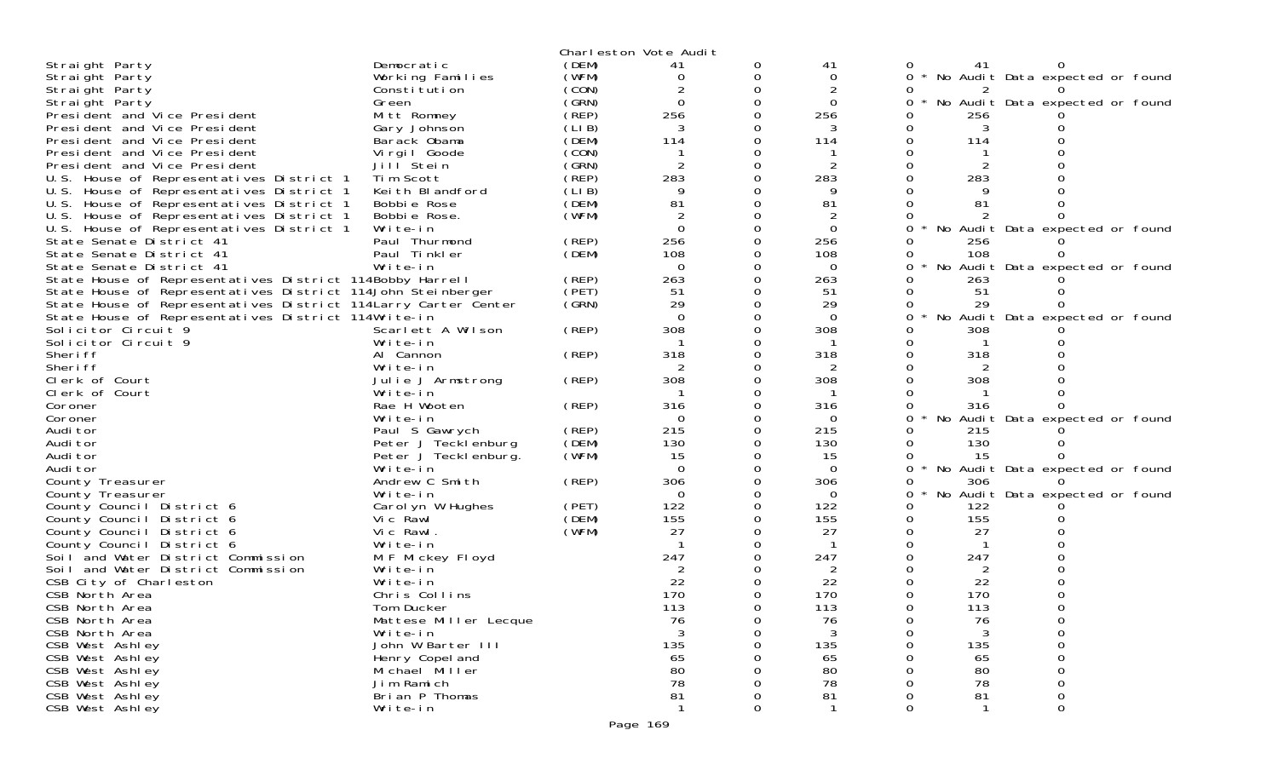|                                                                |                               |       | Charleston Vote Audit |   |                |          |                |                                   |  |
|----------------------------------------------------------------|-------------------------------|-------|-----------------------|---|----------------|----------|----------------|-----------------------------------|--|
| Straight Party                                                 | Democratic                    | (DEM) | 41                    |   | 41             |          | 41             |                                   |  |
| Straight Party                                                 | Working Families              | (WFM) | 0                     | 0 | 0              | $\Omega$ |                | * No Audit Data expected or found |  |
| Straight Party                                                 | Constitution                  | (CON) |                       |   | $\overline{c}$ |          |                |                                   |  |
| Straight Party                                                 | Green                         | (GRN) | $\Omega$              |   | $\mathbf 0$    | 0        |                | No Audit Data expected or found   |  |
| President and Vice President                                   | Mitt Romney                   | (REP) | 256                   |   | 256            |          | 256            |                                   |  |
| President and Vice President                                   | Gary Johnson                  | (LIB) |                       |   |                |          |                |                                   |  |
| President and Vice President                                   | Barack Obama                  | (DEM) | 114                   |   | 114            |          | 114            |                                   |  |
| President and Vice President                                   | Virgil Goode                  | (CON) |                       |   |                |          |                |                                   |  |
| President and Vice President                                   | Jill Stein                    | (GRN) |                       |   | 2              |          |                |                                   |  |
| U.S. House of Representatives District 1                       | Tim Scott                     | (REP) | 283                   |   | 283            |          | 283            |                                   |  |
| U.S. House of Representatives District 1                       | Keith Blandford               | (LIB) | 9                     |   | 9              |          |                |                                   |  |
| U.S. House of Representatives District 1                       | Bobbie Rose                   | (DEM) | 81                    |   | 81             |          | 81             |                                   |  |
| U.S. House of Representatives District 1                       | Bobbie Rose.                  | (WFM) |                       |   | 2              |          |                |                                   |  |
| U.S. House of Representatives District 1                       | Write-in                      |       | $\Omega$              |   | $\Omega$       |          |                | No Audit Data expected or found   |  |
| State Senate District 41                                       | Paul Thurmond                 | (REP) | 256                   |   | 256            |          | 256            |                                   |  |
| State Senate District 41                                       | Paul Tinkler                  | (DEM) | 108                   |   | 108            |          | 108            |                                   |  |
| State Senate District 41                                       | Write-in                      |       | $\Omega$              |   | $\Omega$       |          |                | No Audit Data expected or found   |  |
| State House of Representatives District 114Bobby Harrell       |                               | (REP) | 263                   |   | 263            |          | 263            |                                   |  |
| State House of Representatives District 114John Steinberger    |                               | (PET) | 51                    |   | 51             |          | 51             |                                   |  |
| State House of Representatives District 114Larry Carter Center |                               | (SRN) | 29                    |   | 29             |          | 29             |                                   |  |
| State House of Representatives District 114Write-in            |                               |       | $\Omega$              |   | $\Omega$       | 0        |                | No Audit Data expected or found   |  |
| Solicitor Circuit 9                                            | Scarlett A Wilson             | (REP) | 308                   |   | 308            |          | 308            |                                   |  |
| Solicitor Circuit 9                                            | Write-in                      |       |                       |   |                |          |                |                                   |  |
| Sheri ff<br>Sheri ff                                           | Al Cannon                     | (REP) | 318                   |   | 318            |          | 318            |                                   |  |
| Clerk of Court                                                 | Write-in                      | (REP) | 308                   |   | 2<br>308       |          | 308            |                                   |  |
| Clerk of Court                                                 | Julie J Armstrong<br>Write-in |       |                       |   |                |          |                |                                   |  |
| Coroner                                                        | Rae H Wooten                  | (REP) | 316                   |   | 316            |          | 316            |                                   |  |
| Coroner                                                        | Write-in                      |       | $\Omega$              |   | $\Omega$       | 0        |                | No Audit Data expected or found   |  |
| Audi tor                                                       | Paul S Gawrych                | (REP) | 215                   |   | 215            |          | 215            |                                   |  |
| Audi tor                                                       | Peter J Tecklenburg           | (DEM) | 130                   |   | 130            |          | 130            |                                   |  |
| Audi tor                                                       | Peter J Tecklenburg.          | (WFM) | 15                    |   | 15             |          | 15             |                                   |  |
| Audi tor                                                       | Write-in                      |       | $\Omega$              |   | $\Omega$       | 0        |                | No Audit Data expected or found   |  |
| County Treasurer                                               | Andrew C Smith                | (REP) | 306                   |   | 306            |          | 306            |                                   |  |
| County Treasurer                                               | Write-in                      |       | $\Omega$              |   | $\Omega$       | 0        |                | No Audit Data expected or found   |  |
| County Council District 6                                      | Carol yn W Hughes             | (PET) | 122                   |   | 122            | Ω        | 122            |                                   |  |
| County Council District 6                                      | Vic Rawl                      | (DEM) | 155                   |   | 155            |          | 155            |                                   |  |
| County Council District 6                                      | Vic Rawl.                     | (WFM) | 27                    |   | 27             |          | 27             |                                   |  |
| County Council District 6                                      | Write-in                      |       |                       |   |                |          |                |                                   |  |
| Soil and Water District Commission                             | M F Mickey Floyd              |       | 247                   |   | 247            |          | 247            |                                   |  |
| Soil and Water District Commission                             | Write-in                      |       |                       |   | 2              |          | $\overline{2}$ |                                   |  |
| CSB City of Charleston                                         | Write-in                      |       | 22                    |   | 22             |          | 22             |                                   |  |
| CSB North Area                                                 | Chris Collins                 |       | 170                   |   | 170            |          | 170            |                                   |  |
| CSB North Area                                                 | Tom Ducker                    |       | 113                   |   | 113            |          | 113            |                                   |  |
| CSB North Area                                                 | Mattese Miller Lecque         |       | 76                    | 0 | 76             | 0        | 76             |                                   |  |
| CSB North Area                                                 | Write-in                      |       | 3                     |   | 3              |          | 3              | 0                                 |  |
| CSB West Ashley                                                | John W Barter III             |       | 135                   |   | 135            |          | 135            | 0                                 |  |
| CSB West Ashley                                                | Henry Copel and               |       | 65                    |   | 65             |          | 65             |                                   |  |
| CSB West Ashley                                                | Michael Miller                |       | 80                    |   | 80             |          | 80             |                                   |  |
| CSB West Ashley                                                | Jim Ramich                    |       | 78                    |   | 78             |          | 78             |                                   |  |
| CSB West Ashley                                                | Brian P Thomas                |       | 81                    |   | 81             |          | 81             | 0                                 |  |
| CSB West Ashley                                                | Write-in                      |       |                       | 0 |                | 0        |                | 0                                 |  |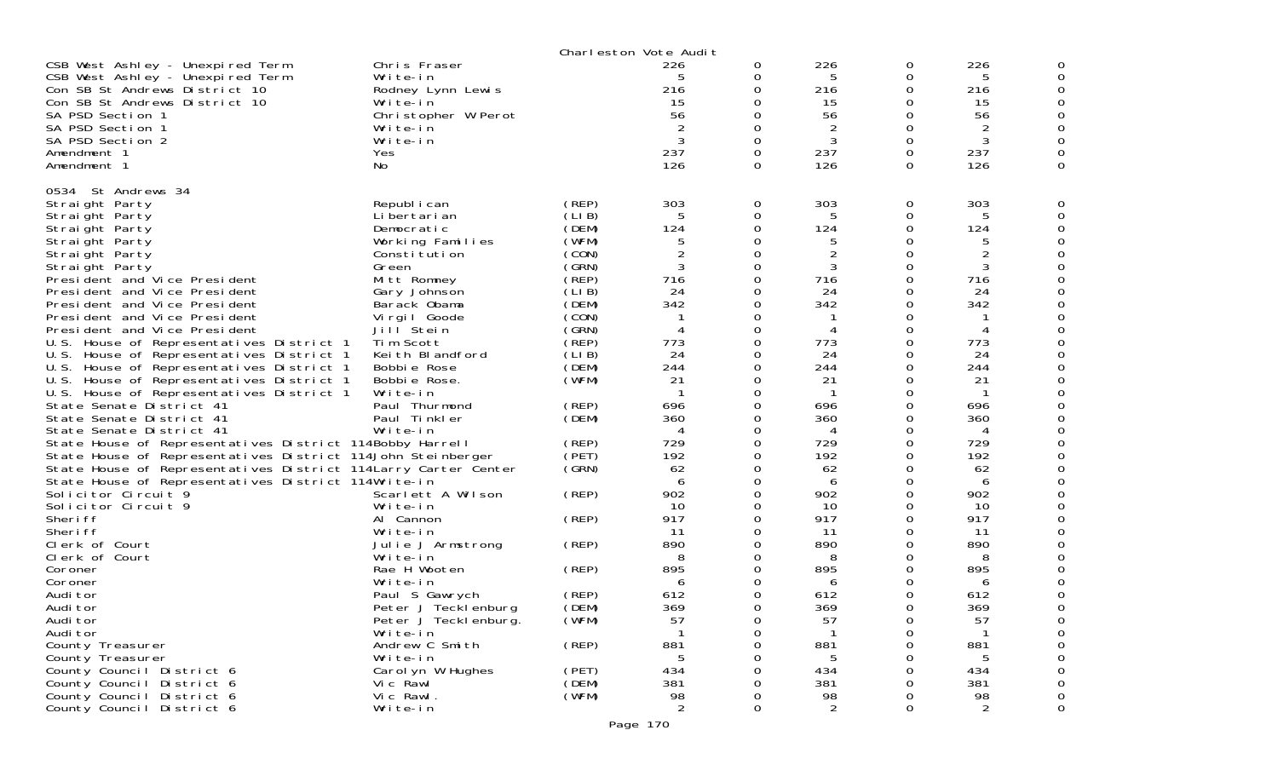|                                                                                                                                                                                                                                                                                                                                                                                                                                                                                                                                                                                                                                                                                                                                                                                                                                                                                                                                                                                                                                                                                                                                                                                                                 |                                                                                                                                                                                                                                                                                                                                                                                                                                                                                                                                                                                                      |                                                                                                                                                                                                                                                                                      | Charleston Vote Audit                                                                                                                                                                                                                                                    |                                                                                                                                                                                                                                                                                            |                                                                                                                                                                                                                                                   |                                                                                                                                                                                                           |                                                                                                                                                                                                                                                  |                                                                                                                                               |
|-----------------------------------------------------------------------------------------------------------------------------------------------------------------------------------------------------------------------------------------------------------------------------------------------------------------------------------------------------------------------------------------------------------------------------------------------------------------------------------------------------------------------------------------------------------------------------------------------------------------------------------------------------------------------------------------------------------------------------------------------------------------------------------------------------------------------------------------------------------------------------------------------------------------------------------------------------------------------------------------------------------------------------------------------------------------------------------------------------------------------------------------------------------------------------------------------------------------|------------------------------------------------------------------------------------------------------------------------------------------------------------------------------------------------------------------------------------------------------------------------------------------------------------------------------------------------------------------------------------------------------------------------------------------------------------------------------------------------------------------------------------------------------------------------------------------------------|--------------------------------------------------------------------------------------------------------------------------------------------------------------------------------------------------------------------------------------------------------------------------------------|--------------------------------------------------------------------------------------------------------------------------------------------------------------------------------------------------------------------------------------------------------------------------|--------------------------------------------------------------------------------------------------------------------------------------------------------------------------------------------------------------------------------------------------------------------------------------------|---------------------------------------------------------------------------------------------------------------------------------------------------------------------------------------------------------------------------------------------------|-----------------------------------------------------------------------------------------------------------------------------------------------------------------------------------------------------------|--------------------------------------------------------------------------------------------------------------------------------------------------------------------------------------------------------------------------------------------------|-----------------------------------------------------------------------------------------------------------------------------------------------|
| CSB West Ashley - Unexpired Term<br>CSB West Ashley - Unexpired Term<br>Con SB St Andrews District 10<br>Con SB St Andrews District 10<br>SA PSD Section 1<br>SA PSD Section 1<br>SA PSD Section 2<br>Amendment 1<br>Amendment 1                                                                                                                                                                                                                                                                                                                                                                                                                                                                                                                                                                                                                                                                                                                                                                                                                                                                                                                                                                                | Chris Fraser<br>Write-in<br>Rodney Lynn Lewis<br>Write-in<br>Christopher W Perot<br>Write-in<br>Write-in<br>Yes<br>No                                                                                                                                                                                                                                                                                                                                                                                                                                                                                |                                                                                                                                                                                                                                                                                      | 226<br>5<br>216<br>15<br>56<br>3<br>237<br>126                                                                                                                                                                                                                           | 0<br>0<br>$\Omega$<br>0<br>$\Omega$<br>$\Omega$<br>0<br>$\Omega$<br>0                                                                                                                                                                                                                      | 226<br>5<br>216<br>15<br>56<br>2<br>3<br>237<br>126                                                                                                                                                                                               | 0<br>0<br>0<br>0<br>0<br>0<br>0<br>0<br>0                                                                                                                                                                 | 226<br>5<br>216<br>15<br>56<br>2<br>3<br>237<br>126                                                                                                                                                                                              | O<br>O<br>0<br>O<br>0<br>0<br>0<br>0                                                                                                          |
| 0534 St Andrews 34<br>Straight Party<br>Straight Party<br>Straight Party<br>Straight Party<br>Straight Party<br>Straight Party<br>President and Vice President<br>President and Vice President<br>President and Vice President<br>President and Vice President<br>President and Vice President<br>U.S. House of Representatives District 1<br>U.S. House of Representatives District 1<br>U.S. House of Representatives District 1<br>U.S. House of Representatives District 1<br>U.S. House of Representatives District 1<br>State Senate District 41<br>State Senate District 41<br>State Senate District 41<br>State House of Representatives District 114Bobby Harrell<br>State House of Representatives District 114John Steinberger<br>State House of Representatives District 114 Larry Carter Center<br>State House of Representatives District 114Write-in<br>Solicitor Circuit 9<br>Solicitor Circuit 9<br>Sheri ff<br>Sheri ff<br>Clerk of Court<br>Clerk of Court<br>Coroner<br>Coroner<br>Audi tor<br>Audi tor<br>Audi tor<br>Audi tor<br>County Treasurer<br>County Treasurer<br>County Council District 6<br>County Council District 6<br>County Council District 6<br>County Council District 6 | Republ i can<br>Li bertari an<br>Democratic<br>Working Families<br>Constitution<br>Green<br>Mitt Romney<br>Gary Johnson<br>Barack Obama<br>Virgil Goode<br>Jill <sup>Stein</sup><br>Tim Scott<br>Keith Blandford<br>Bobbie Rose<br>Bobbie Rose.<br>Write-in<br>Paul Thurmond<br>Paul Tinkler<br>Write-in<br>Scarlett A Wilson<br>Write-in<br>Al Cannon<br>Write-in<br>Julie J Armstrong<br>Write-in<br>Rae H Wooten<br>Write-in<br>Paul S Gawrych<br>Peter J Tecklenburg<br>Peter J lecklenburg.<br>Write-in<br>Andrew C Smith<br>Write-in<br>Carol yn W Hughes<br>Vic Rawl<br>Vic Rawl.<br>Write-in | (REP)<br>(LI B)<br>(DEM)<br>(WFM)<br>(CON)<br>(GRN)<br>(REP)<br>(LIB)<br>(DEM)<br>(CON)<br>(GRN)<br>(REP)<br>(LIB)<br>(DEM)<br>(WFM)<br>(REP)<br>(DEM)<br>(REP)<br>(PET)<br>(GRN)<br>(REP)<br>(REP)<br>(REP)<br>(REP)<br>(REP)<br>(DEM)<br>(WFM)<br>(REP)<br>(PET)<br>(DEM)<br>(WFM) | 303<br>5<br>124<br>5<br>$\overline{c}$<br>3<br>716<br>24<br>342<br>4<br>773<br>24<br>244<br>21<br>696<br>360<br>4<br>729<br>192<br>62<br>6<br>902<br>10<br>917<br>11<br>890<br>8<br>895<br>6<br>612<br>369<br>57<br>-1<br>881<br>5<br>434<br>381<br>98<br>$\overline{2}$ | 0<br>0<br>0<br>O<br>0<br>0<br>0<br>0<br>0<br>$\Omega$<br>0<br>0<br>$\Omega$<br>0<br>$\Omega$<br>$\Omega$<br>0<br>0<br>$\Omega$<br>0<br>0<br>$\Omega$<br>0<br>0<br>$\Omega$<br>0<br>$\Omega$<br>0<br>0<br>0<br>$\Omega$<br>0<br>0<br>0<br>0<br>0<br>0<br>0<br>0<br>0<br>$\mathsf{O}\xspace$ | 303<br>5<br>124<br>$\overline{2}$<br>3<br>716<br>24<br>342<br>4<br>773<br>24<br>244<br>21<br>696<br>360<br>4<br>729<br>192<br>62<br>6<br>902<br>10<br>917<br>-11<br>890<br>8<br>895<br>6<br>612<br>369<br>5/<br>881<br>5<br>434<br>381<br>98<br>2 | 0<br>0<br>0<br>0<br>0<br>0<br>0<br>0<br>0<br>0<br>0<br>0<br>0<br>0<br>0<br>0<br>0<br>0<br>0<br>0<br>0<br>0<br>0<br>0<br>0<br>0<br>0<br>0<br>0<br>0<br>0<br>0<br>0<br>U<br>0<br>0<br>0<br>0<br>0<br>0<br>0 | 303<br>5<br>124<br>$\overline{2}$<br>3<br>716<br>24<br>342<br>4<br>773<br>24<br>244<br>21<br>696<br>360<br>4<br>729<br>192<br>62<br>6<br>902<br>10<br>917<br>11<br>890<br>8<br>895<br>6<br>612<br>369<br>5/<br>881<br>5<br>434<br>381<br>98<br>2 | 0<br>0<br>0<br>0<br>0<br>0<br>0<br>O<br>O<br>0<br>0<br>0<br>0<br>0<br>O<br>0<br>0<br>0<br>0<br>0<br>0<br>O<br>0<br>0<br>0<br>0<br>0<br>0<br>0 |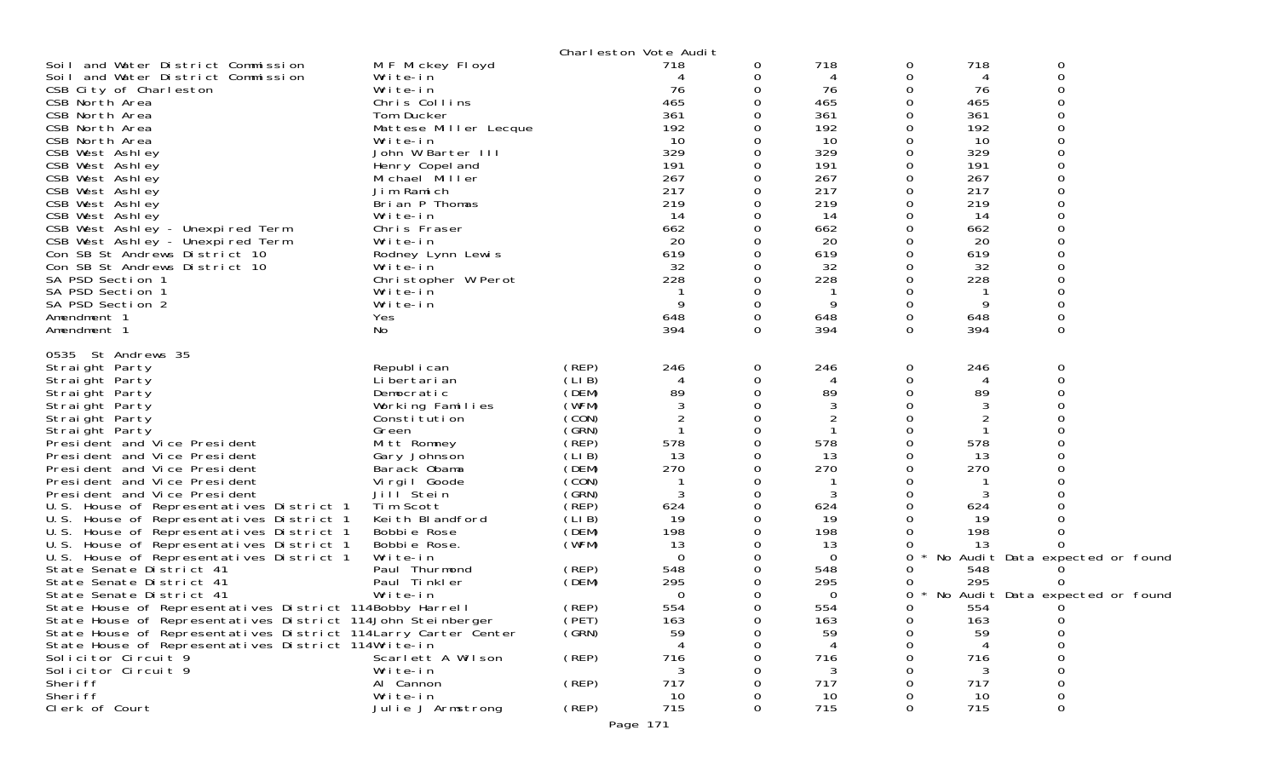|                                                                 |                       |       | Charleston Vote Audit |          |          |          |     |                                 |  |
|-----------------------------------------------------------------|-----------------------|-------|-----------------------|----------|----------|----------|-----|---------------------------------|--|
| Soil and Water District Commission                              | M F Mickey Floyd      |       | 718                   | 0        | 718      | 0        | 718 | 0                               |  |
| Soil and Water District Commission                              | Write-in              |       |                       |          | 4        | 0        | 4   | $\mathbf 0$                     |  |
| CSB City of Charleston                                          | Write-in              |       | 76                    |          | 76       | 0        | 76  |                                 |  |
| CSB North Area                                                  | Chris Collins         |       | 465                   |          | 465      | 0        | 465 |                                 |  |
| CSB North Area                                                  | Tom Ducker            |       | 361                   |          | 361      |          | 361 |                                 |  |
| CSB North Area                                                  | Mattese Miller Lecque |       | 192                   |          | 192      | 0        | 192 |                                 |  |
| CSB North Area                                                  | Write-in              |       | 10                    |          | 10       | 0        | 10  |                                 |  |
| CSB West Ashley                                                 | John W Barter III     |       | 329                   |          | 329      | 0        | 329 |                                 |  |
| CSB West Ashley                                                 | Henry Copel and       |       | 191                   |          | 191      | 0        | 191 |                                 |  |
| CSB West Ashley                                                 | Michael Miller        |       | 267                   |          | 267      | 0        | 267 |                                 |  |
| CSB West Ashley                                                 | Jim Ramich            |       | 217                   |          | 217      | 0        | 217 |                                 |  |
| CSB West Ashley                                                 | Brian P Thomas        |       | 219                   |          | 219      | $\Omega$ | 219 |                                 |  |
| CSB West Ashley                                                 | Write-in              |       | -14                   |          | 14       | 0        | 14  |                                 |  |
| CSB West Ashley - Unexpired Term                                | Chris Fraser          |       | 662                   |          | 662      |          | 662 |                                 |  |
| CSB West Ashley - Unexpired Term                                | Write-in              |       | 20                    |          | 20       | 0        | 20  |                                 |  |
| Con SB St Andrews District 10                                   | Rodney Lynn Lewis     |       | 619                   |          | 619      | 0        | 619 |                                 |  |
| Con SB St Andrews District 10                                   | Write-in              |       | 32                    |          | 32       | Ω        | 32  |                                 |  |
| SA PSD Section 1                                                | Christopher W Perot   |       | 228                   |          | 228      | $\Omega$ | 228 |                                 |  |
| SA PSD Section 1                                                | Write-in              |       |                       |          | -1       | 0        |     | 0                               |  |
| SA PSD Section 2                                                | Write-in              |       | 9                     |          | 9        | 0        | 9   |                                 |  |
| Amendment 1                                                     | Yes                   |       | 648                   |          | 648      | 0        | 648 | 0                               |  |
| Amendment 1                                                     | No.                   |       | 394                   | $\Omega$ | 394      | 0        | 394 | $\Omega$                        |  |
| 0535 St Andrews 35                                              |                       |       |                       |          |          |          |     |                                 |  |
| Straight Party                                                  | Republ i can          | (REP) | 246                   | 0        | 246      | 0        | 246 | 0                               |  |
| Straight Party                                                  | Li bertari an         | (LIB) |                       |          | 4        | Ω        |     | 0                               |  |
| Straight Party                                                  | Democratic            | (DEM) | 89                    |          | 89       | 0        | 89  | O                               |  |
| Straight Party                                                  | Working Families      | (WFM) | 3                     |          | 3        |          | 3   |                                 |  |
| Straight Party                                                  | Constitution          | (CON) |                       |          | 2        |          |     |                                 |  |
| Straight Party                                                  | Green                 | (GRN) |                       |          |          | 0        |     |                                 |  |
| President and Vice President                                    | Mitt Romney           | (REP) | 578                   |          | 578      | 0        | 578 |                                 |  |
| President and Vice President                                    | Gary Johnson          | (LIB) | 13                    |          | 13       | 0        | 13  |                                 |  |
| President and Vice President                                    | Barack Obama          | (DEM) | 270                   | 0        | 270      | 0        | 270 |                                 |  |
| President and Vice President                                    | Virgil Goode          | (CON) |                       |          |          | 0        |     |                                 |  |
| President and Vice President                                    | Jill Stein            | (SRN) | 3                     |          | 3        | Ω        |     |                                 |  |
| U.S. House of Representatives District 1                        | Tim Scott             | (REP) | 624                   | 0        | 624      | 0        | 624 |                                 |  |
| U.S. House of Representatives District 1                        | Keith Blandford       | (LIB) | 19                    | 0        | 19       | Ω        | 19  |                                 |  |
| U.S. House of Representatives District 1                        | Bobbie Rose           | (DEM) | 198                   |          | 198      | Ω        | 198 | 0                               |  |
| U.S. House of Representatives District 1                        | Bobbie Rose.          | (WFM) | 13                    |          | 13       | O        | 13  |                                 |  |
| U.S. House of Representatives District 1                        | Write-in              |       | $\overline{0}$        |          | $\Omega$ | 0        |     | No Audit Data expected or found |  |
| State Senate District 41                                        | Paul Thurmond         | (REP) | 548                   |          | 548      | Ω        | 548 |                                 |  |
| State Senate District 41                                        | Paul Tinkler          | (DEM) | 295                   |          | 295      | 0        | 295 |                                 |  |
| State Senate District 41                                        | Write-in              |       | $\Omega$              |          | 0        | 0        |     | No Audit Data expected or found |  |
| State House of Representatives District 114Bobby Harrell        |                       | (REP) | 554                   |          | 554      | 0        | 554 | 0                               |  |
| State House of Representatives District 114John Steinberger     |                       | (PET) | 163                   | 0        | 163      | 0        | 163 |                                 |  |
| State House of Representatives District 114 Larry Carter Center |                       | (GRN) | 59                    |          | 59       | 0        | 59  | 0                               |  |
| State House of Representatives District 114Write-in             |                       |       |                       |          |          |          |     | 0                               |  |
| Solicitor Circuit 9                                             | Scarlett A Wilson     | (REP) | 716                   |          | 716      |          | 716 | O                               |  |
| Solicitor Circuit 9                                             | Write-in              |       |                       |          | 3        |          | 3   | 0                               |  |
| Sheri ff                                                        | Al Cannon             | (REP) | 717                   |          | 717      |          | 717 | 0                               |  |
| Sheri ff                                                        | Write-in              |       | 10                    |          | 10       |          | 10  | $\Omega$                        |  |
| Clerk of Court                                                  | Julie J Armstrong     | (REP) | 715                   | 0        | 715      | 0        | 715 | 0                               |  |
|                                                                 |                       |       | Page 171              |          |          |          |     |                                 |  |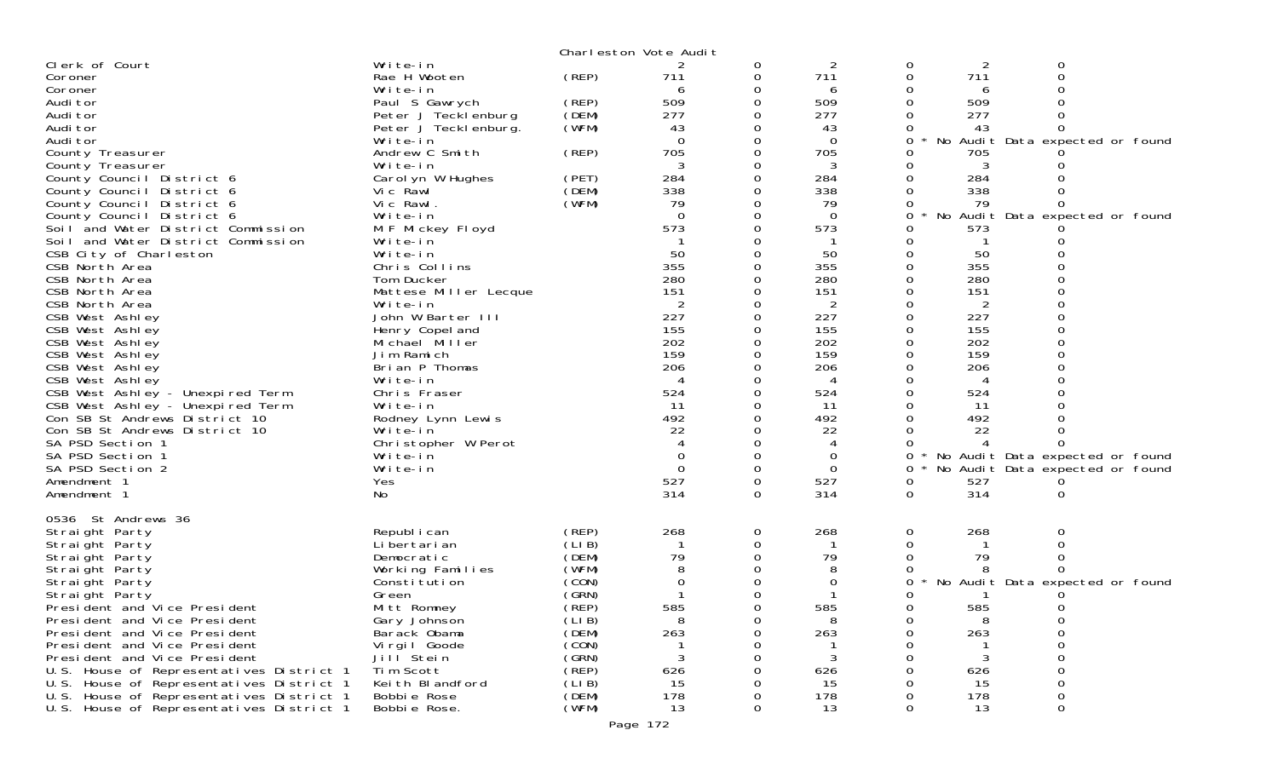|                                                        |                               |                | Charleston Vote Audit |          |                |   |                |                                 |  |
|--------------------------------------------------------|-------------------------------|----------------|-----------------------|----------|----------------|---|----------------|---------------------------------|--|
| Clerk of Court                                         | Write-in                      |                |                       | 0        | 2              | 0 | 2              | 0                               |  |
| Coroner                                                | Rae H Wooten                  | (REP)          | 711                   | 0        | 711            | 0 | 711            | $\Omega$                        |  |
| Coroner                                                | Write-in                      |                | 6                     |          | 6              |   | 6              |                                 |  |
| Audi tor                                               | Paul S Gawrych                | (REP)          | 509                   | 0        | 509            |   | 509            |                                 |  |
| Audi tor                                               | Peter J Tecklenburg           | (DEM)          | 277                   |          | 277            |   | 277            |                                 |  |
| Audi tor                                               | Peter J Teckl enburg.         | (WFM)          | 43                    |          | 43             |   | 43             |                                 |  |
| Audi tor                                               | Write-in                      |                | $\Omega$              | $\Omega$ | $\Omega$       | 0 |                | No Audit Data expected or found |  |
| County Treasurer                                       | Andrew C Smith                | (REP)          | 705                   |          | 705            |   | 705            |                                 |  |
| County Treasurer                                       | Write-in                      |                | 3                     |          | 3              |   | 3              |                                 |  |
| County Council District 6                              | Carol yn W Hughes<br>Vic Rawl | (PET)<br>(DEM) | 284<br>338            | 0        | 284<br>338     |   | 284<br>338     |                                 |  |
| County Council District 6<br>County Council District 6 | Vic Rawl.                     | (WFM)          | 79                    |          | 79             |   | 79             |                                 |  |
| County Council District 6                              | Write-in                      |                | $\Omega$              |          | $\mathbf 0$    | 0 |                | No Audit Data expected or found |  |
| Soil and Water District Commission                     | M F Mickey Floyd              |                | 573                   |          | 573            |   | 573            |                                 |  |
| Soil and Water District Commission                     | Write-in                      |                |                       |          |                |   |                |                                 |  |
| CSB City of Charleston                                 | Write-in                      |                | 50                    |          | 50             |   | 50             |                                 |  |
| CSB North Area                                         | Chris Collins                 |                | 355                   |          | 355            |   | 355            |                                 |  |
| CSB North Area                                         | Tom Ducker                    |                | 280                   |          | 280            |   | 280            |                                 |  |
| CSB North Area                                         | Mattese Miller Lecque         |                | 151                   |          | 151            |   | 151            |                                 |  |
| CSB North Area                                         | Write-in                      |                | 2                     |          | $\overline{2}$ |   | $\overline{2}$ |                                 |  |
| CSB West Ashley                                        | John W Barter III             |                | 227                   |          | 227            |   | 227            |                                 |  |
| CSB West Ashley                                        | Henry Copel and               |                | 155                   |          | 155            |   | 155            |                                 |  |
| CSB West Ashley                                        | Michael Miller                |                | 202                   |          | 202            |   | 202            |                                 |  |
| CSB West Ashley                                        | Jim Ramich                    |                | 159                   |          | 159            |   | 159            |                                 |  |
| CSB West Ashley                                        | Brian P Thomas                |                | 206                   |          | 206            |   | 206            |                                 |  |
| CSB West Ashley                                        | Write-in                      |                |                       |          | 4              |   |                |                                 |  |
| CSB West Ashley - Unexpired Term                       | Chris Fraser                  |                | 524                   |          | 524            |   | 524            |                                 |  |
| CSB West Ashley - Unexpired Term                       | Write-in                      |                | 11                    |          | 11             |   | 11             |                                 |  |
| Con SB St Andrews District 10                          | Rodney Lynn Lewis             |                | 492                   |          | 492            |   | 492            |                                 |  |
| Con SB St Andrews District 10                          | Write-in                      |                | 22                    |          | 22             |   | 22             |                                 |  |
| SA PSD Section 1                                       | Christopher W Perot           |                |                       |          | 4              |   |                |                                 |  |
| SA PSD Section 1                                       | Write-in                      |                | $\Omega$              |          | 0              | 0 |                | No Audit Data expected or found |  |
| SA PSD Section 2                                       | Write-in                      |                | $\Omega$              | $\Omega$ | $\mathbf 0$    | 0 |                | No Audit Data expected or found |  |
| Amendment 1                                            | Yes                           |                | 527                   | 0        | 527            | 0 | 527            |                                 |  |
| Amendment 1                                            | No                            |                | 314                   | $\Omega$ | 314            | 0 | 314            | $\Omega$                        |  |
| 0536 St Andrews 36                                     |                               |                |                       |          |                |   |                |                                 |  |
| Straight Party                                         | Republ i can                  | (REP)          | 268                   | 0        | 268            | 0 | 268            | 0                               |  |
| Straight Party                                         | Li bertari an                 | (LIB)          |                       | 0        |                | 0 |                |                                 |  |
| Straight Party                                         | Democratic                    | (DEM)          | 79                    | 0        | 79             |   | 79             |                                 |  |
| Straight Party                                         | Working Families              | (WFM)          |                       |          | 8              |   |                |                                 |  |
| Straight Party                                         | Constitution                  | (CON)          | 0                     |          | $\Omega$       | 0 |                | No Audit Data expected or found |  |
| Straight Party                                         | Green                         | (SRN)          |                       |          |                |   |                |                                 |  |
| President and Vice President                           | Mitt Romney                   | (REP)          | 585                   | $\Omega$ | 585            | 0 | 585            | 0                               |  |
| President and Vice President                           | Gary Johnson                  | (LI B)         |                       |          | 8              |   | 8              |                                 |  |
| President and Vice President                           | Barack Obama                  | (DEM)          | 263                   |          | 263            |   | 263            |                                 |  |
| President and Vice President                           | Vi rgi I Goode                | (CON)          |                       |          |                |   |                |                                 |  |
| President and Vice President                           | Jill Stein                    | (GRN)          |                       |          | 3              |   | 3              |                                 |  |
| U.S. House of Representatives District 1               | Tim Scott                     | (REP)          | 626                   |          | 626            |   | 626            |                                 |  |
| U.S. House of Representatives District 1               | Keith Blandford               | (LIB)          | 15                    |          | 15             |   | 15             |                                 |  |
| U.S. House of Representatives District 1               | Bobbie Rose                   | (DEM)          | 178                   |          | 178            |   | 178            | 0                               |  |
| U.S. House of Representatives District 1               | Bobbie Rose.                  | (WFM)          | 13                    |          | 13             |   | 13             | 0                               |  |
|                                                        |                               |                | Page 172              |          |                |   |                |                                 |  |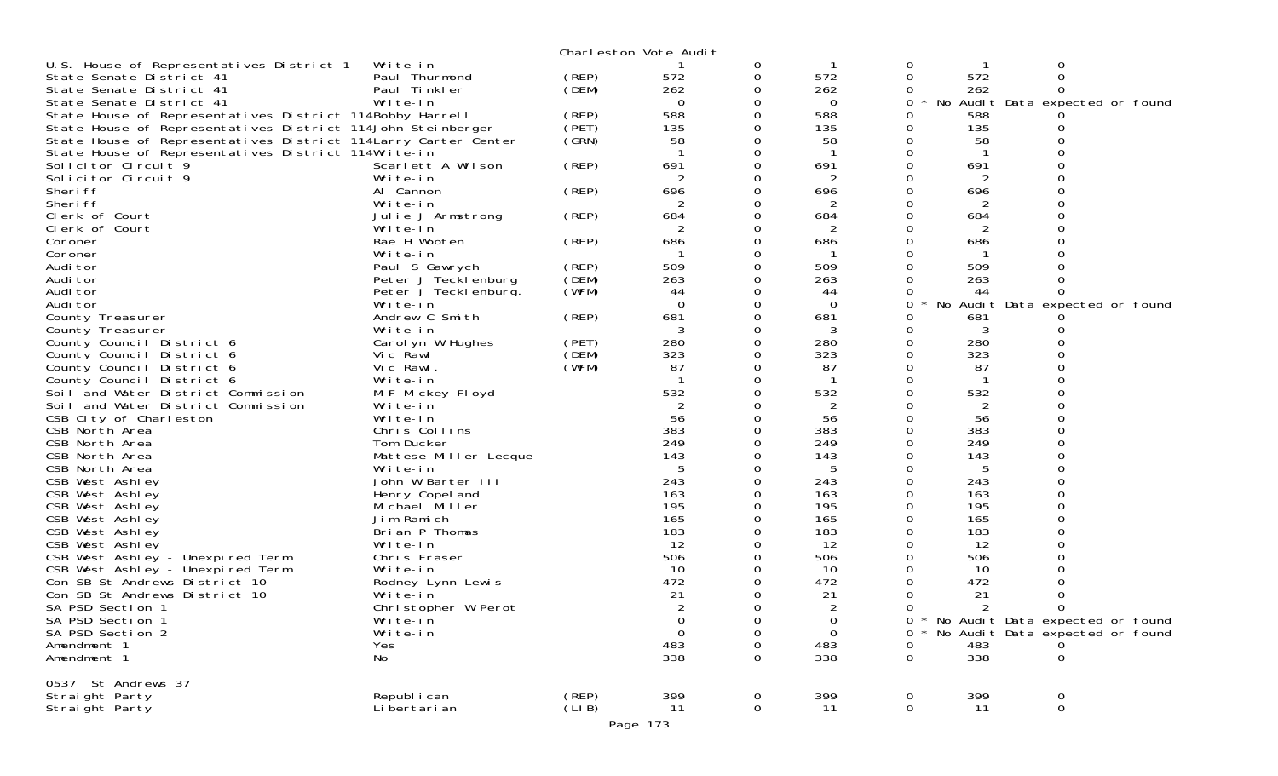|                                                                |                       |       | Charleston Vote Audit |          |                |             |     |                                   |  |
|----------------------------------------------------------------|-----------------------|-------|-----------------------|----------|----------------|-------------|-----|-----------------------------------|--|
| U.S. House of Representatives District 1                       | Write-in              |       |                       | 0        |                | 0           |     | 0                                 |  |
| State Senate District 41                                       | Paul Thurmond         | (REP) | 572                   | 0        | 572            | 0           | 572 | 0                                 |  |
| State Senate District 41                                       | Paul Tinkler          | (DEM) | 262                   | 0        | 262            | 0           | 262 |                                   |  |
| State Senate District 41                                       | Write-in              |       | $\Omega$              | 0        | $\Omega$       | 0           |     | No Audit Data expected or found   |  |
| State House of Representatives District 114Bobby Harrell       |                       | (REP) | 588                   |          | 588            | 0           | 588 |                                   |  |
| State House of Representatives District 114John Steinberger    |                       | (PET) | 135                   |          | 135            | 0           | 135 |                                   |  |
| State House of Representatives District 114Larry Carter Center |                       | (GRN) | 58                    |          | 58             |             | 58  |                                   |  |
| State House of Representatives District 114Write-in            |                       |       |                       |          |                |             |     |                                   |  |
| Solicitor Circuit 9                                            | Scarlett A Wilson     | (REP) | 691                   | $\Omega$ | 691            |             | 691 |                                   |  |
| Solicitor Circuit 9                                            | Write-in              |       | 2                     |          |                |             |     |                                   |  |
| Sheri ff                                                       | Al Cannon             | (REP) | 696                   |          | 696            |             | 696 |                                   |  |
| Sheri ff                                                       | Write-in              |       |                       |          | 2              |             | 2   |                                   |  |
| Clerk of Court                                                 | Julie J Armstrong     | (REP) | 684                   | 0        | 684            |             | 684 |                                   |  |
| Clerk of Court                                                 | Write-in              |       |                       |          | 2              |             | 2   |                                   |  |
| Coroner                                                        | Rae H Wooten          | (REP) | 686                   | 0        | 686            | 0           | 686 |                                   |  |
| Coroner                                                        | Write-in              |       |                       | Ω        |                |             |     |                                   |  |
| Audi tor                                                       | Paul S Gawrych        | (REP) | 509                   |          | 509            |             | 509 |                                   |  |
| Audi tor                                                       | Peter J Tecklenburg   | (DEM) | 263                   | 0        | 263            |             | 263 |                                   |  |
|                                                                |                       | (WFM) | 44                    | 0        |                |             | 44  |                                   |  |
| Audi tor                                                       | Peter J Tecklenburg.  |       | $\Omega$              |          | 44<br>$\Omega$ | 0           |     | No Audit Data expected or found   |  |
| Audi tor                                                       | Write-in              |       |                       |          |                |             |     |                                   |  |
| County Treasurer                                               | Andrew C Smith        | (REP) | 681                   |          | 681            |             | 681 |                                   |  |
| County Treasurer                                               | Write-in              |       | 3                     | 0        | 3              |             | 3   |                                   |  |
| County Council District 6                                      | Carol yn W Hughes     | (PET) | 280                   |          | 280            |             | 280 |                                   |  |
| County Council District 6                                      | Vic Rawl              | (DEM) | 323                   | 0        | 323            | $\Omega$    | 323 |                                   |  |
| County Council District 6                                      | Vic Rawl.             | (WFM) | 87                    | 0        | 87             |             | 87  |                                   |  |
| County Council District 6                                      | Write-in              |       |                       |          |                |             |     |                                   |  |
| Soil and Water District Commission                             | M F Mickey Floyd      |       | 532                   |          | 532            |             | 532 |                                   |  |
| Soil and Water District Commission                             | Write-in              |       |                       |          | 2              |             | 2   |                                   |  |
| CSB City of Charleston                                         | Write-in              |       | 56                    |          | 56             |             | 56  |                                   |  |
| CSB North Area                                                 | Chris Collins         |       | 383                   |          | 383            |             | 383 |                                   |  |
| CSB North Area                                                 | Tom Ducker            |       | 249                   |          | 249            | 0           | 249 |                                   |  |
| CSB North Area                                                 | Mattese Miller Lecque |       | 143                   |          | 143            |             | 143 |                                   |  |
| CSB North Area                                                 | Write-in              |       | -5                    |          | 5              |             | 5   |                                   |  |
| CSB West Ashley                                                | John W Barter III     |       | 243                   | 0        | 243            | 0           | 243 |                                   |  |
| CSB West Ashley                                                | Henry Copel and       |       | 163                   |          | 163            |             | 163 |                                   |  |
| CSB West Ashley                                                | Michael Miller        |       | 195                   |          | 195            | 0           | 195 |                                   |  |
| CSB West Ashley                                                | Jim Ramich            |       | 165                   |          | 165            |             | 165 |                                   |  |
| CSB West Ashley                                                | Brian P Thomas        |       | 183                   |          | 183            |             | 183 |                                   |  |
| CSB West Ashley                                                | Write-in              |       | 12                    |          | 12             |             | 12  |                                   |  |
| CSB West Ashley - Unexpired Term                               | Chris Fraser          |       | 506                   |          | 506            |             | 506 |                                   |  |
| CSB West Ashley - Unexpired Term                               | Write-in              |       | -10                   |          | 10             |             | 10  |                                   |  |
| Con SB St Andrews District 10                                  | Rodney Lynn Lewis     |       | 472                   |          | 472            |             | 472 |                                   |  |
| Con SB St Andrews District 10                                  | Write-in              |       | 21                    | 0        | 21             | 0           | 21  |                                   |  |
| SA PSD Section 1                                               | Christopher W Perot   |       | 2                     | 0        | 2              | 0           | 2   | 0                                 |  |
| SA PSD Section 1                                               | Write-in              |       | 0                     | 0        | 0              |             |     | * No Audit Data expected or found |  |
| SA PSD Section 2                                               | Write-in              |       | $\mathbf 0$           | 0        | $\Omega$       | 0           |     | No Audit Data expected or found   |  |
| Amendment 1                                                    | Yes                   |       | 483                   | 0        | 483            | 0           | 483 |                                   |  |
| Amendment 1                                                    | No                    |       | 338                   | 0        | 338            | 0           | 338 | 0                                 |  |
|                                                                |                       |       |                       |          |                |             |     |                                   |  |
| 0537 St Andrews 37                                             |                       |       |                       |          |                |             |     |                                   |  |
| Straight Party                                                 | Republ i can          | (REP) | 399                   | 0        | 399            | 0           | 399 | 0                                 |  |
| Straight Party                                                 | Li bertari an         | (LIB) | 11                    | 0        | 11             | $\mathbf 0$ | 11  | $\mathbf 0$                       |  |
|                                                                |                       |       | Page 173              |          |                |             |     |                                   |  |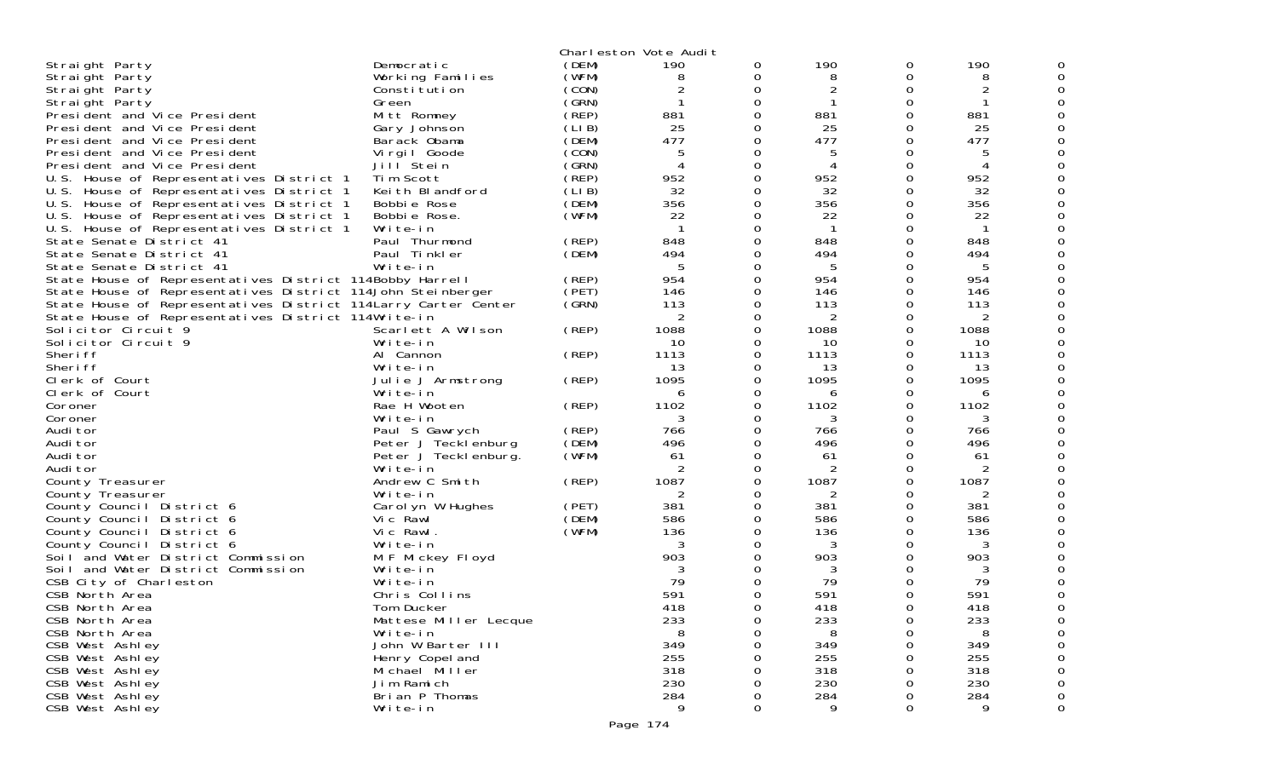| Democratic<br>190<br>190<br>(DEM)<br>190<br>0<br>0<br>Straight Party<br>(WFM)<br>Straight Party<br>Working Families<br>8<br>0<br>8<br>0<br>8<br>(CON)<br>2<br>0<br>2<br>Constitution<br>0<br>Straight Party<br>(GRN)<br>-1<br>0<br>0<br>Straight Party<br>Green<br>$($ REP)<br>881<br>881<br>0<br>0<br>881<br>President and Vice President<br>Mitt Romney<br>(LI B)<br>25<br>25<br>25<br>President and Vice President<br>0<br>0<br>Gary Johnson<br>477<br>477<br>(DEM)<br>477<br>President and Vice President<br>Barack Obama<br>0<br>0<br>(CON)<br>0<br>President and Vice President<br>Virgil Goode<br>5<br>0<br>5<br>Jill Stein<br>(GRN)<br>0<br>President and Vice President<br>0<br>4<br>$\overline{A}$<br>(REP)<br>952<br>952<br>952<br>Tim Scott<br>0<br>0<br>U.S. House of Representatives District 1<br>32<br>32<br>Keith Blandford<br>(LIB)<br>32<br>U.S. House of Representatives District 1<br>0<br>0<br>U.S. House of Representatives District 1<br>(DEM)<br>356<br>356<br>356<br>Bobbie Rose<br>0<br>0<br>(WFM)<br>22<br>22<br>U.S. House of Representatives District 1<br>Bobbie Rose.<br>0<br>0<br>22<br>Write-in<br>-1<br>O<br>U.S. House of Representatives District 1<br>0<br>-1<br>Paul Thurmond<br>(REP)<br>848<br>848<br>State Senate District 41<br>0<br>0<br>848<br>(DEM)<br>494<br>State Senate District 41<br>Paul Tinkler<br>494<br>494<br>0<br>0<br>Write-in<br>State Senate District 41<br>5<br>O<br>5<br>0<br>5<br>(REP)<br>954<br>954<br>State House of Representatives District 114Bobby Harrell<br>0<br>0<br>954<br>(PET)<br>State House of Representatives District 114John Steinberger<br>146<br>146<br>0<br>0<br>146<br>(SRN)<br>State House of Representatives District 114 Larry Carter Center<br>113<br>0<br>113<br>113<br>0<br>2<br>State House of Representatives District 114Write-in<br>0<br>0<br>2<br>Solicitor Circuit <sup>9</sup><br>Scarlett A Wilson<br>(REP)<br>1088<br>1088<br>1088<br>0<br>0<br>Solicitor Circuit 9<br>Write-in<br>10<br>10<br>0<br>0<br>10<br>(REP)<br>1113<br>1113<br>Sheri ff<br>Al Cannon<br>0<br>0<br>1113<br>Sheri ff<br>13<br>13<br>13<br>Write-in<br>0<br>0<br>1095<br>1095<br>Clerk of Court<br>(REP)<br>1095<br>0<br>0<br>Julie J Armstrong<br>Clerk of Court<br>Write-in<br>0<br>0<br>6<br>6<br>6<br>1102<br>1102<br>1102<br>Rae H Wooten<br>(REP)<br>0<br>0<br>Coroner<br>Write-in<br>0<br>3<br>Coroner<br>3<br>3<br>0<br>(REP)<br>Audi tor<br>Paul S Gawrych<br>766<br>0<br>766<br>0<br>766<br>(DEM)<br>496<br>496<br>496<br>Audi tor<br>Peter J Tecklenburg<br>0<br>0<br>(WFM)<br>61<br>61<br>61<br>Audi tor<br>Peter J Teckl enburg.<br>0<br>0<br>2<br>2<br>Audi tor<br>Write-in<br>0<br>0<br>2<br>1087<br>Andrew C Smith<br>(REP)<br>1087<br>1087<br>County Treasurer<br>0<br>0<br>County Treasurer<br>Write-in<br>2<br>0<br>2<br>0<br>2<br>381<br>381<br>Carol yn W Hughes<br>(PET)<br>381<br>0<br>0<br>County Council District 6<br>(DEM)<br>586<br>586<br>Vic Rawl<br>586<br>County Council District 6<br>0<br>0<br>Vic Rawl.<br>(WFM)<br>136<br>136<br>County Council District 6<br>0<br>0<br>136<br>3<br>County Council District 6<br>Write-in<br>O<br>3<br>0<br>3<br>903<br>903<br>903<br>Soil and Water District Commission<br>M F Mickey Floyd<br>0<br>Soil and Water District Commission<br>Write-in<br>3<br>3<br>0<br>3<br>79<br>79<br>79<br>CSB City of Charleston<br>Write-in<br>0<br>591<br>591<br>591<br>CSB North Area<br>Chris Collins<br>0<br>CSB North Area<br>418<br>418<br>418<br>Tom Ducker<br><sup>o</sup><br>0<br>233<br>233<br>233<br>CSB North Area<br>Mattese Miller Lecque<br>0<br>0<br>CSB North Area<br>Write-in<br>8<br>8<br>8<br>0<br>349<br>John W Barter III<br>349<br>349<br>CSB West Ashley<br>0<br>0<br>255<br>255<br>255<br>CSB West Ashley<br>Henry Copel and<br>0<br>0<br>318<br>318<br>318<br>CSB West Ashley<br>Michael Miller<br>0<br>Jim Ramich<br>230<br>230<br>230<br>CSB West Ashley<br>0<br>Brian P Thomas<br>284<br>284<br>284<br>CSB West Ashley<br>0<br>O<br>9<br>0<br>CSB West Ashley<br>Write-in<br>Q<br><sup>o</sup><br>9<br>0 |  | Charleston Vote Audit |  |  |  |
|-------------------------------------------------------------------------------------------------------------------------------------------------------------------------------------------------------------------------------------------------------------------------------------------------------------------------------------------------------------------------------------------------------------------------------------------------------------------------------------------------------------------------------------------------------------------------------------------------------------------------------------------------------------------------------------------------------------------------------------------------------------------------------------------------------------------------------------------------------------------------------------------------------------------------------------------------------------------------------------------------------------------------------------------------------------------------------------------------------------------------------------------------------------------------------------------------------------------------------------------------------------------------------------------------------------------------------------------------------------------------------------------------------------------------------------------------------------------------------------------------------------------------------------------------------------------------------------------------------------------------------------------------------------------------------------------------------------------------------------------------------------------------------------------------------------------------------------------------------------------------------------------------------------------------------------------------------------------------------------------------------------------------------------------------------------------------------------------------------------------------------------------------------------------------------------------------------------------------------------------------------------------------------------------------------------------------------------------------------------------------------------------------------------------------------------------------------------------------------------------------------------------------------------------------------------------------------------------------------------------------------------------------------------------------------------------------------------------------------------------------------------------------------------------------------------------------------------------------------------------------------------------------------------------------------------------------------------------------------------------------------------------------------------------------------------------------------------------------------------------------------------------------------------------------------------------------------------------------------------------------------------------------------------------------------------------------------------------------------------------------------------------------------------------------------------------------------------------------------------------------------------------------------------------------------------------------------------------------------------------------------------------------------------------------------------------------------------------------------------------------------------------------------------------------------------------------------------------------------------------------------------------------------------------------------------------------------------------------------------------------------------------------------------------------------------------------|--|-----------------------|--|--|--|
|                                                                                                                                                                                                                                                                                                                                                                                                                                                                                                                                                                                                                                                                                                                                                                                                                                                                                                                                                                                                                                                                                                                                                                                                                                                                                                                                                                                                                                                                                                                                                                                                                                                                                                                                                                                                                                                                                                                                                                                                                                                                                                                                                                                                                                                                                                                                                                                                                                                                                                                                                                                                                                                                                                                                                                                                                                                                                                                                                                                                                                                                                                                                                                                                                                                                                                                                                                                                                                                                                                                                                                                                                                                                                                                                                                                                                                                                                                                                                                                                                                                                         |  |                       |  |  |  |
|                                                                                                                                                                                                                                                                                                                                                                                                                                                                                                                                                                                                                                                                                                                                                                                                                                                                                                                                                                                                                                                                                                                                                                                                                                                                                                                                                                                                                                                                                                                                                                                                                                                                                                                                                                                                                                                                                                                                                                                                                                                                                                                                                                                                                                                                                                                                                                                                                                                                                                                                                                                                                                                                                                                                                                                                                                                                                                                                                                                                                                                                                                                                                                                                                                                                                                                                                                                                                                                                                                                                                                                                                                                                                                                                                                                                                                                                                                                                                                                                                                                                         |  |                       |  |  |  |
|                                                                                                                                                                                                                                                                                                                                                                                                                                                                                                                                                                                                                                                                                                                                                                                                                                                                                                                                                                                                                                                                                                                                                                                                                                                                                                                                                                                                                                                                                                                                                                                                                                                                                                                                                                                                                                                                                                                                                                                                                                                                                                                                                                                                                                                                                                                                                                                                                                                                                                                                                                                                                                                                                                                                                                                                                                                                                                                                                                                                                                                                                                                                                                                                                                                                                                                                                                                                                                                                                                                                                                                                                                                                                                                                                                                                                                                                                                                                                                                                                                                                         |  |                       |  |  |  |
|                                                                                                                                                                                                                                                                                                                                                                                                                                                                                                                                                                                                                                                                                                                                                                                                                                                                                                                                                                                                                                                                                                                                                                                                                                                                                                                                                                                                                                                                                                                                                                                                                                                                                                                                                                                                                                                                                                                                                                                                                                                                                                                                                                                                                                                                                                                                                                                                                                                                                                                                                                                                                                                                                                                                                                                                                                                                                                                                                                                                                                                                                                                                                                                                                                                                                                                                                                                                                                                                                                                                                                                                                                                                                                                                                                                                                                                                                                                                                                                                                                                                         |  |                       |  |  |  |
|                                                                                                                                                                                                                                                                                                                                                                                                                                                                                                                                                                                                                                                                                                                                                                                                                                                                                                                                                                                                                                                                                                                                                                                                                                                                                                                                                                                                                                                                                                                                                                                                                                                                                                                                                                                                                                                                                                                                                                                                                                                                                                                                                                                                                                                                                                                                                                                                                                                                                                                                                                                                                                                                                                                                                                                                                                                                                                                                                                                                                                                                                                                                                                                                                                                                                                                                                                                                                                                                                                                                                                                                                                                                                                                                                                                                                                                                                                                                                                                                                                                                         |  |                       |  |  |  |
|                                                                                                                                                                                                                                                                                                                                                                                                                                                                                                                                                                                                                                                                                                                                                                                                                                                                                                                                                                                                                                                                                                                                                                                                                                                                                                                                                                                                                                                                                                                                                                                                                                                                                                                                                                                                                                                                                                                                                                                                                                                                                                                                                                                                                                                                                                                                                                                                                                                                                                                                                                                                                                                                                                                                                                                                                                                                                                                                                                                                                                                                                                                                                                                                                                                                                                                                                                                                                                                                                                                                                                                                                                                                                                                                                                                                                                                                                                                                                                                                                                                                         |  |                       |  |  |  |
|                                                                                                                                                                                                                                                                                                                                                                                                                                                                                                                                                                                                                                                                                                                                                                                                                                                                                                                                                                                                                                                                                                                                                                                                                                                                                                                                                                                                                                                                                                                                                                                                                                                                                                                                                                                                                                                                                                                                                                                                                                                                                                                                                                                                                                                                                                                                                                                                                                                                                                                                                                                                                                                                                                                                                                                                                                                                                                                                                                                                                                                                                                                                                                                                                                                                                                                                                                                                                                                                                                                                                                                                                                                                                                                                                                                                                                                                                                                                                                                                                                                                         |  |                       |  |  |  |
|                                                                                                                                                                                                                                                                                                                                                                                                                                                                                                                                                                                                                                                                                                                                                                                                                                                                                                                                                                                                                                                                                                                                                                                                                                                                                                                                                                                                                                                                                                                                                                                                                                                                                                                                                                                                                                                                                                                                                                                                                                                                                                                                                                                                                                                                                                                                                                                                                                                                                                                                                                                                                                                                                                                                                                                                                                                                                                                                                                                                                                                                                                                                                                                                                                                                                                                                                                                                                                                                                                                                                                                                                                                                                                                                                                                                                                                                                                                                                                                                                                                                         |  |                       |  |  |  |
|                                                                                                                                                                                                                                                                                                                                                                                                                                                                                                                                                                                                                                                                                                                                                                                                                                                                                                                                                                                                                                                                                                                                                                                                                                                                                                                                                                                                                                                                                                                                                                                                                                                                                                                                                                                                                                                                                                                                                                                                                                                                                                                                                                                                                                                                                                                                                                                                                                                                                                                                                                                                                                                                                                                                                                                                                                                                                                                                                                                                                                                                                                                                                                                                                                                                                                                                                                                                                                                                                                                                                                                                                                                                                                                                                                                                                                                                                                                                                                                                                                                                         |  |                       |  |  |  |
|                                                                                                                                                                                                                                                                                                                                                                                                                                                                                                                                                                                                                                                                                                                                                                                                                                                                                                                                                                                                                                                                                                                                                                                                                                                                                                                                                                                                                                                                                                                                                                                                                                                                                                                                                                                                                                                                                                                                                                                                                                                                                                                                                                                                                                                                                                                                                                                                                                                                                                                                                                                                                                                                                                                                                                                                                                                                                                                                                                                                                                                                                                                                                                                                                                                                                                                                                                                                                                                                                                                                                                                                                                                                                                                                                                                                                                                                                                                                                                                                                                                                         |  |                       |  |  |  |
|                                                                                                                                                                                                                                                                                                                                                                                                                                                                                                                                                                                                                                                                                                                                                                                                                                                                                                                                                                                                                                                                                                                                                                                                                                                                                                                                                                                                                                                                                                                                                                                                                                                                                                                                                                                                                                                                                                                                                                                                                                                                                                                                                                                                                                                                                                                                                                                                                                                                                                                                                                                                                                                                                                                                                                                                                                                                                                                                                                                                                                                                                                                                                                                                                                                                                                                                                                                                                                                                                                                                                                                                                                                                                                                                                                                                                                                                                                                                                                                                                                                                         |  |                       |  |  |  |
|                                                                                                                                                                                                                                                                                                                                                                                                                                                                                                                                                                                                                                                                                                                                                                                                                                                                                                                                                                                                                                                                                                                                                                                                                                                                                                                                                                                                                                                                                                                                                                                                                                                                                                                                                                                                                                                                                                                                                                                                                                                                                                                                                                                                                                                                                                                                                                                                                                                                                                                                                                                                                                                                                                                                                                                                                                                                                                                                                                                                                                                                                                                                                                                                                                                                                                                                                                                                                                                                                                                                                                                                                                                                                                                                                                                                                                                                                                                                                                                                                                                                         |  |                       |  |  |  |
|                                                                                                                                                                                                                                                                                                                                                                                                                                                                                                                                                                                                                                                                                                                                                                                                                                                                                                                                                                                                                                                                                                                                                                                                                                                                                                                                                                                                                                                                                                                                                                                                                                                                                                                                                                                                                                                                                                                                                                                                                                                                                                                                                                                                                                                                                                                                                                                                                                                                                                                                                                                                                                                                                                                                                                                                                                                                                                                                                                                                                                                                                                                                                                                                                                                                                                                                                                                                                                                                                                                                                                                                                                                                                                                                                                                                                                                                                                                                                                                                                                                                         |  |                       |  |  |  |
|                                                                                                                                                                                                                                                                                                                                                                                                                                                                                                                                                                                                                                                                                                                                                                                                                                                                                                                                                                                                                                                                                                                                                                                                                                                                                                                                                                                                                                                                                                                                                                                                                                                                                                                                                                                                                                                                                                                                                                                                                                                                                                                                                                                                                                                                                                                                                                                                                                                                                                                                                                                                                                                                                                                                                                                                                                                                                                                                                                                                                                                                                                                                                                                                                                                                                                                                                                                                                                                                                                                                                                                                                                                                                                                                                                                                                                                                                                                                                                                                                                                                         |  |                       |  |  |  |
|                                                                                                                                                                                                                                                                                                                                                                                                                                                                                                                                                                                                                                                                                                                                                                                                                                                                                                                                                                                                                                                                                                                                                                                                                                                                                                                                                                                                                                                                                                                                                                                                                                                                                                                                                                                                                                                                                                                                                                                                                                                                                                                                                                                                                                                                                                                                                                                                                                                                                                                                                                                                                                                                                                                                                                                                                                                                                                                                                                                                                                                                                                                                                                                                                                                                                                                                                                                                                                                                                                                                                                                                                                                                                                                                                                                                                                                                                                                                                                                                                                                                         |  |                       |  |  |  |
|                                                                                                                                                                                                                                                                                                                                                                                                                                                                                                                                                                                                                                                                                                                                                                                                                                                                                                                                                                                                                                                                                                                                                                                                                                                                                                                                                                                                                                                                                                                                                                                                                                                                                                                                                                                                                                                                                                                                                                                                                                                                                                                                                                                                                                                                                                                                                                                                                                                                                                                                                                                                                                                                                                                                                                                                                                                                                                                                                                                                                                                                                                                                                                                                                                                                                                                                                                                                                                                                                                                                                                                                                                                                                                                                                                                                                                                                                                                                                                                                                                                                         |  |                       |  |  |  |
|                                                                                                                                                                                                                                                                                                                                                                                                                                                                                                                                                                                                                                                                                                                                                                                                                                                                                                                                                                                                                                                                                                                                                                                                                                                                                                                                                                                                                                                                                                                                                                                                                                                                                                                                                                                                                                                                                                                                                                                                                                                                                                                                                                                                                                                                                                                                                                                                                                                                                                                                                                                                                                                                                                                                                                                                                                                                                                                                                                                                                                                                                                                                                                                                                                                                                                                                                                                                                                                                                                                                                                                                                                                                                                                                                                                                                                                                                                                                                                                                                                                                         |  |                       |  |  |  |
|                                                                                                                                                                                                                                                                                                                                                                                                                                                                                                                                                                                                                                                                                                                                                                                                                                                                                                                                                                                                                                                                                                                                                                                                                                                                                                                                                                                                                                                                                                                                                                                                                                                                                                                                                                                                                                                                                                                                                                                                                                                                                                                                                                                                                                                                                                                                                                                                                                                                                                                                                                                                                                                                                                                                                                                                                                                                                                                                                                                                                                                                                                                                                                                                                                                                                                                                                                                                                                                                                                                                                                                                                                                                                                                                                                                                                                                                                                                                                                                                                                                                         |  |                       |  |  |  |
|                                                                                                                                                                                                                                                                                                                                                                                                                                                                                                                                                                                                                                                                                                                                                                                                                                                                                                                                                                                                                                                                                                                                                                                                                                                                                                                                                                                                                                                                                                                                                                                                                                                                                                                                                                                                                                                                                                                                                                                                                                                                                                                                                                                                                                                                                                                                                                                                                                                                                                                                                                                                                                                                                                                                                                                                                                                                                                                                                                                                                                                                                                                                                                                                                                                                                                                                                                                                                                                                                                                                                                                                                                                                                                                                                                                                                                                                                                                                                                                                                                                                         |  |                       |  |  |  |
|                                                                                                                                                                                                                                                                                                                                                                                                                                                                                                                                                                                                                                                                                                                                                                                                                                                                                                                                                                                                                                                                                                                                                                                                                                                                                                                                                                                                                                                                                                                                                                                                                                                                                                                                                                                                                                                                                                                                                                                                                                                                                                                                                                                                                                                                                                                                                                                                                                                                                                                                                                                                                                                                                                                                                                                                                                                                                                                                                                                                                                                                                                                                                                                                                                                                                                                                                                                                                                                                                                                                                                                                                                                                                                                                                                                                                                                                                                                                                                                                                                                                         |  |                       |  |  |  |
|                                                                                                                                                                                                                                                                                                                                                                                                                                                                                                                                                                                                                                                                                                                                                                                                                                                                                                                                                                                                                                                                                                                                                                                                                                                                                                                                                                                                                                                                                                                                                                                                                                                                                                                                                                                                                                                                                                                                                                                                                                                                                                                                                                                                                                                                                                                                                                                                                                                                                                                                                                                                                                                                                                                                                                                                                                                                                                                                                                                                                                                                                                                                                                                                                                                                                                                                                                                                                                                                                                                                                                                                                                                                                                                                                                                                                                                                                                                                                                                                                                                                         |  |                       |  |  |  |
|                                                                                                                                                                                                                                                                                                                                                                                                                                                                                                                                                                                                                                                                                                                                                                                                                                                                                                                                                                                                                                                                                                                                                                                                                                                                                                                                                                                                                                                                                                                                                                                                                                                                                                                                                                                                                                                                                                                                                                                                                                                                                                                                                                                                                                                                                                                                                                                                                                                                                                                                                                                                                                                                                                                                                                                                                                                                                                                                                                                                                                                                                                                                                                                                                                                                                                                                                                                                                                                                                                                                                                                                                                                                                                                                                                                                                                                                                                                                                                                                                                                                         |  |                       |  |  |  |
|                                                                                                                                                                                                                                                                                                                                                                                                                                                                                                                                                                                                                                                                                                                                                                                                                                                                                                                                                                                                                                                                                                                                                                                                                                                                                                                                                                                                                                                                                                                                                                                                                                                                                                                                                                                                                                                                                                                                                                                                                                                                                                                                                                                                                                                                                                                                                                                                                                                                                                                                                                                                                                                                                                                                                                                                                                                                                                                                                                                                                                                                                                                                                                                                                                                                                                                                                                                                                                                                                                                                                                                                                                                                                                                                                                                                                                                                                                                                                                                                                                                                         |  |                       |  |  |  |
|                                                                                                                                                                                                                                                                                                                                                                                                                                                                                                                                                                                                                                                                                                                                                                                                                                                                                                                                                                                                                                                                                                                                                                                                                                                                                                                                                                                                                                                                                                                                                                                                                                                                                                                                                                                                                                                                                                                                                                                                                                                                                                                                                                                                                                                                                                                                                                                                                                                                                                                                                                                                                                                                                                                                                                                                                                                                                                                                                                                                                                                                                                                                                                                                                                                                                                                                                                                                                                                                                                                                                                                                                                                                                                                                                                                                                                                                                                                                                                                                                                                                         |  |                       |  |  |  |
|                                                                                                                                                                                                                                                                                                                                                                                                                                                                                                                                                                                                                                                                                                                                                                                                                                                                                                                                                                                                                                                                                                                                                                                                                                                                                                                                                                                                                                                                                                                                                                                                                                                                                                                                                                                                                                                                                                                                                                                                                                                                                                                                                                                                                                                                                                                                                                                                                                                                                                                                                                                                                                                                                                                                                                                                                                                                                                                                                                                                                                                                                                                                                                                                                                                                                                                                                                                                                                                                                                                                                                                                                                                                                                                                                                                                                                                                                                                                                                                                                                                                         |  |                       |  |  |  |
|                                                                                                                                                                                                                                                                                                                                                                                                                                                                                                                                                                                                                                                                                                                                                                                                                                                                                                                                                                                                                                                                                                                                                                                                                                                                                                                                                                                                                                                                                                                                                                                                                                                                                                                                                                                                                                                                                                                                                                                                                                                                                                                                                                                                                                                                                                                                                                                                                                                                                                                                                                                                                                                                                                                                                                                                                                                                                                                                                                                                                                                                                                                                                                                                                                                                                                                                                                                                                                                                                                                                                                                                                                                                                                                                                                                                                                                                                                                                                                                                                                                                         |  |                       |  |  |  |
|                                                                                                                                                                                                                                                                                                                                                                                                                                                                                                                                                                                                                                                                                                                                                                                                                                                                                                                                                                                                                                                                                                                                                                                                                                                                                                                                                                                                                                                                                                                                                                                                                                                                                                                                                                                                                                                                                                                                                                                                                                                                                                                                                                                                                                                                                                                                                                                                                                                                                                                                                                                                                                                                                                                                                                                                                                                                                                                                                                                                                                                                                                                                                                                                                                                                                                                                                                                                                                                                                                                                                                                                                                                                                                                                                                                                                                                                                                                                                                                                                                                                         |  |                       |  |  |  |
|                                                                                                                                                                                                                                                                                                                                                                                                                                                                                                                                                                                                                                                                                                                                                                                                                                                                                                                                                                                                                                                                                                                                                                                                                                                                                                                                                                                                                                                                                                                                                                                                                                                                                                                                                                                                                                                                                                                                                                                                                                                                                                                                                                                                                                                                                                                                                                                                                                                                                                                                                                                                                                                                                                                                                                                                                                                                                                                                                                                                                                                                                                                                                                                                                                                                                                                                                                                                                                                                                                                                                                                                                                                                                                                                                                                                                                                                                                                                                                                                                                                                         |  |                       |  |  |  |
|                                                                                                                                                                                                                                                                                                                                                                                                                                                                                                                                                                                                                                                                                                                                                                                                                                                                                                                                                                                                                                                                                                                                                                                                                                                                                                                                                                                                                                                                                                                                                                                                                                                                                                                                                                                                                                                                                                                                                                                                                                                                                                                                                                                                                                                                                                                                                                                                                                                                                                                                                                                                                                                                                                                                                                                                                                                                                                                                                                                                                                                                                                                                                                                                                                                                                                                                                                                                                                                                                                                                                                                                                                                                                                                                                                                                                                                                                                                                                                                                                                                                         |  |                       |  |  |  |
|                                                                                                                                                                                                                                                                                                                                                                                                                                                                                                                                                                                                                                                                                                                                                                                                                                                                                                                                                                                                                                                                                                                                                                                                                                                                                                                                                                                                                                                                                                                                                                                                                                                                                                                                                                                                                                                                                                                                                                                                                                                                                                                                                                                                                                                                                                                                                                                                                                                                                                                                                                                                                                                                                                                                                                                                                                                                                                                                                                                                                                                                                                                                                                                                                                                                                                                                                                                                                                                                                                                                                                                                                                                                                                                                                                                                                                                                                                                                                                                                                                                                         |  |                       |  |  |  |
|                                                                                                                                                                                                                                                                                                                                                                                                                                                                                                                                                                                                                                                                                                                                                                                                                                                                                                                                                                                                                                                                                                                                                                                                                                                                                                                                                                                                                                                                                                                                                                                                                                                                                                                                                                                                                                                                                                                                                                                                                                                                                                                                                                                                                                                                                                                                                                                                                                                                                                                                                                                                                                                                                                                                                                                                                                                                                                                                                                                                                                                                                                                                                                                                                                                                                                                                                                                                                                                                                                                                                                                                                                                                                                                                                                                                                                                                                                                                                                                                                                                                         |  |                       |  |  |  |
|                                                                                                                                                                                                                                                                                                                                                                                                                                                                                                                                                                                                                                                                                                                                                                                                                                                                                                                                                                                                                                                                                                                                                                                                                                                                                                                                                                                                                                                                                                                                                                                                                                                                                                                                                                                                                                                                                                                                                                                                                                                                                                                                                                                                                                                                                                                                                                                                                                                                                                                                                                                                                                                                                                                                                                                                                                                                                                                                                                                                                                                                                                                                                                                                                                                                                                                                                                                                                                                                                                                                                                                                                                                                                                                                                                                                                                                                                                                                                                                                                                                                         |  |                       |  |  |  |
|                                                                                                                                                                                                                                                                                                                                                                                                                                                                                                                                                                                                                                                                                                                                                                                                                                                                                                                                                                                                                                                                                                                                                                                                                                                                                                                                                                                                                                                                                                                                                                                                                                                                                                                                                                                                                                                                                                                                                                                                                                                                                                                                                                                                                                                                                                                                                                                                                                                                                                                                                                                                                                                                                                                                                                                                                                                                                                                                                                                                                                                                                                                                                                                                                                                                                                                                                                                                                                                                                                                                                                                                                                                                                                                                                                                                                                                                                                                                                                                                                                                                         |  |                       |  |  |  |
|                                                                                                                                                                                                                                                                                                                                                                                                                                                                                                                                                                                                                                                                                                                                                                                                                                                                                                                                                                                                                                                                                                                                                                                                                                                                                                                                                                                                                                                                                                                                                                                                                                                                                                                                                                                                                                                                                                                                                                                                                                                                                                                                                                                                                                                                                                                                                                                                                                                                                                                                                                                                                                                                                                                                                                                                                                                                                                                                                                                                                                                                                                                                                                                                                                                                                                                                                                                                                                                                                                                                                                                                                                                                                                                                                                                                                                                                                                                                                                                                                                                                         |  |                       |  |  |  |
|                                                                                                                                                                                                                                                                                                                                                                                                                                                                                                                                                                                                                                                                                                                                                                                                                                                                                                                                                                                                                                                                                                                                                                                                                                                                                                                                                                                                                                                                                                                                                                                                                                                                                                                                                                                                                                                                                                                                                                                                                                                                                                                                                                                                                                                                                                                                                                                                                                                                                                                                                                                                                                                                                                                                                                                                                                                                                                                                                                                                                                                                                                                                                                                                                                                                                                                                                                                                                                                                                                                                                                                                                                                                                                                                                                                                                                                                                                                                                                                                                                                                         |  |                       |  |  |  |
|                                                                                                                                                                                                                                                                                                                                                                                                                                                                                                                                                                                                                                                                                                                                                                                                                                                                                                                                                                                                                                                                                                                                                                                                                                                                                                                                                                                                                                                                                                                                                                                                                                                                                                                                                                                                                                                                                                                                                                                                                                                                                                                                                                                                                                                                                                                                                                                                                                                                                                                                                                                                                                                                                                                                                                                                                                                                                                                                                                                                                                                                                                                                                                                                                                                                                                                                                                                                                                                                                                                                                                                                                                                                                                                                                                                                                                                                                                                                                                                                                                                                         |  |                       |  |  |  |
|                                                                                                                                                                                                                                                                                                                                                                                                                                                                                                                                                                                                                                                                                                                                                                                                                                                                                                                                                                                                                                                                                                                                                                                                                                                                                                                                                                                                                                                                                                                                                                                                                                                                                                                                                                                                                                                                                                                                                                                                                                                                                                                                                                                                                                                                                                                                                                                                                                                                                                                                                                                                                                                                                                                                                                                                                                                                                                                                                                                                                                                                                                                                                                                                                                                                                                                                                                                                                                                                                                                                                                                                                                                                                                                                                                                                                                                                                                                                                                                                                                                                         |  |                       |  |  |  |
|                                                                                                                                                                                                                                                                                                                                                                                                                                                                                                                                                                                                                                                                                                                                                                                                                                                                                                                                                                                                                                                                                                                                                                                                                                                                                                                                                                                                                                                                                                                                                                                                                                                                                                                                                                                                                                                                                                                                                                                                                                                                                                                                                                                                                                                                                                                                                                                                                                                                                                                                                                                                                                                                                                                                                                                                                                                                                                                                                                                                                                                                                                                                                                                                                                                                                                                                                                                                                                                                                                                                                                                                                                                                                                                                                                                                                                                                                                                                                                                                                                                                         |  |                       |  |  |  |
|                                                                                                                                                                                                                                                                                                                                                                                                                                                                                                                                                                                                                                                                                                                                                                                                                                                                                                                                                                                                                                                                                                                                                                                                                                                                                                                                                                                                                                                                                                                                                                                                                                                                                                                                                                                                                                                                                                                                                                                                                                                                                                                                                                                                                                                                                                                                                                                                                                                                                                                                                                                                                                                                                                                                                                                                                                                                                                                                                                                                                                                                                                                                                                                                                                                                                                                                                                                                                                                                                                                                                                                                                                                                                                                                                                                                                                                                                                                                                                                                                                                                         |  |                       |  |  |  |
|                                                                                                                                                                                                                                                                                                                                                                                                                                                                                                                                                                                                                                                                                                                                                                                                                                                                                                                                                                                                                                                                                                                                                                                                                                                                                                                                                                                                                                                                                                                                                                                                                                                                                                                                                                                                                                                                                                                                                                                                                                                                                                                                                                                                                                                                                                                                                                                                                                                                                                                                                                                                                                                                                                                                                                                                                                                                                                                                                                                                                                                                                                                                                                                                                                                                                                                                                                                                                                                                                                                                                                                                                                                                                                                                                                                                                                                                                                                                                                                                                                                                         |  |                       |  |  |  |
|                                                                                                                                                                                                                                                                                                                                                                                                                                                                                                                                                                                                                                                                                                                                                                                                                                                                                                                                                                                                                                                                                                                                                                                                                                                                                                                                                                                                                                                                                                                                                                                                                                                                                                                                                                                                                                                                                                                                                                                                                                                                                                                                                                                                                                                                                                                                                                                                                                                                                                                                                                                                                                                                                                                                                                                                                                                                                                                                                                                                                                                                                                                                                                                                                                                                                                                                                                                                                                                                                                                                                                                                                                                                                                                                                                                                                                                                                                                                                                                                                                                                         |  |                       |  |  |  |
|                                                                                                                                                                                                                                                                                                                                                                                                                                                                                                                                                                                                                                                                                                                                                                                                                                                                                                                                                                                                                                                                                                                                                                                                                                                                                                                                                                                                                                                                                                                                                                                                                                                                                                                                                                                                                                                                                                                                                                                                                                                                                                                                                                                                                                                                                                                                                                                                                                                                                                                                                                                                                                                                                                                                                                                                                                                                                                                                                                                                                                                                                                                                                                                                                                                                                                                                                                                                                                                                                                                                                                                                                                                                                                                                                                                                                                                                                                                                                                                                                                                                         |  |                       |  |  |  |
|                                                                                                                                                                                                                                                                                                                                                                                                                                                                                                                                                                                                                                                                                                                                                                                                                                                                                                                                                                                                                                                                                                                                                                                                                                                                                                                                                                                                                                                                                                                                                                                                                                                                                                                                                                                                                                                                                                                                                                                                                                                                                                                                                                                                                                                                                                                                                                                                                                                                                                                                                                                                                                                                                                                                                                                                                                                                                                                                                                                                                                                                                                                                                                                                                                                                                                                                                                                                                                                                                                                                                                                                                                                                                                                                                                                                                                                                                                                                                                                                                                                                         |  |                       |  |  |  |
|                                                                                                                                                                                                                                                                                                                                                                                                                                                                                                                                                                                                                                                                                                                                                                                                                                                                                                                                                                                                                                                                                                                                                                                                                                                                                                                                                                                                                                                                                                                                                                                                                                                                                                                                                                                                                                                                                                                                                                                                                                                                                                                                                                                                                                                                                                                                                                                                                                                                                                                                                                                                                                                                                                                                                                                                                                                                                                                                                                                                                                                                                                                                                                                                                                                                                                                                                                                                                                                                                                                                                                                                                                                                                                                                                                                                                                                                                                                                                                                                                                                                         |  |                       |  |  |  |
|                                                                                                                                                                                                                                                                                                                                                                                                                                                                                                                                                                                                                                                                                                                                                                                                                                                                                                                                                                                                                                                                                                                                                                                                                                                                                                                                                                                                                                                                                                                                                                                                                                                                                                                                                                                                                                                                                                                                                                                                                                                                                                                                                                                                                                                                                                                                                                                                                                                                                                                                                                                                                                                                                                                                                                                                                                                                                                                                                                                                                                                                                                                                                                                                                                                                                                                                                                                                                                                                                                                                                                                                                                                                                                                                                                                                                                                                                                                                                                                                                                                                         |  |                       |  |  |  |
|                                                                                                                                                                                                                                                                                                                                                                                                                                                                                                                                                                                                                                                                                                                                                                                                                                                                                                                                                                                                                                                                                                                                                                                                                                                                                                                                                                                                                                                                                                                                                                                                                                                                                                                                                                                                                                                                                                                                                                                                                                                                                                                                                                                                                                                                                                                                                                                                                                                                                                                                                                                                                                                                                                                                                                                                                                                                                                                                                                                                                                                                                                                                                                                                                                                                                                                                                                                                                                                                                                                                                                                                                                                                                                                                                                                                                                                                                                                                                                                                                                                                         |  |                       |  |  |  |
|                                                                                                                                                                                                                                                                                                                                                                                                                                                                                                                                                                                                                                                                                                                                                                                                                                                                                                                                                                                                                                                                                                                                                                                                                                                                                                                                                                                                                                                                                                                                                                                                                                                                                                                                                                                                                                                                                                                                                                                                                                                                                                                                                                                                                                                                                                                                                                                                                                                                                                                                                                                                                                                                                                                                                                                                                                                                                                                                                                                                                                                                                                                                                                                                                                                                                                                                                                                                                                                                                                                                                                                                                                                                                                                                                                                                                                                                                                                                                                                                                                                                         |  |                       |  |  |  |
|                                                                                                                                                                                                                                                                                                                                                                                                                                                                                                                                                                                                                                                                                                                                                                                                                                                                                                                                                                                                                                                                                                                                                                                                                                                                                                                                                                                                                                                                                                                                                                                                                                                                                                                                                                                                                                                                                                                                                                                                                                                                                                                                                                                                                                                                                                                                                                                                                                                                                                                                                                                                                                                                                                                                                                                                                                                                                                                                                                                                                                                                                                                                                                                                                                                                                                                                                                                                                                                                                                                                                                                                                                                                                                                                                                                                                                                                                                                                                                                                                                                                         |  |                       |  |  |  |
|                                                                                                                                                                                                                                                                                                                                                                                                                                                                                                                                                                                                                                                                                                                                                                                                                                                                                                                                                                                                                                                                                                                                                                                                                                                                                                                                                                                                                                                                                                                                                                                                                                                                                                                                                                                                                                                                                                                                                                                                                                                                                                                                                                                                                                                                                                                                                                                                                                                                                                                                                                                                                                                                                                                                                                                                                                                                                                                                                                                                                                                                                                                                                                                                                                                                                                                                                                                                                                                                                                                                                                                                                                                                                                                                                                                                                                                                                                                                                                                                                                                                         |  |                       |  |  |  |
|                                                                                                                                                                                                                                                                                                                                                                                                                                                                                                                                                                                                                                                                                                                                                                                                                                                                                                                                                                                                                                                                                                                                                                                                                                                                                                                                                                                                                                                                                                                                                                                                                                                                                                                                                                                                                                                                                                                                                                                                                                                                                                                                                                                                                                                                                                                                                                                                                                                                                                                                                                                                                                                                                                                                                                                                                                                                                                                                                                                                                                                                                                                                                                                                                                                                                                                                                                                                                                                                                                                                                                                                                                                                                                                                                                                                                                                                                                                                                                                                                                                                         |  |                       |  |  |  |
|                                                                                                                                                                                                                                                                                                                                                                                                                                                                                                                                                                                                                                                                                                                                                                                                                                                                                                                                                                                                                                                                                                                                                                                                                                                                                                                                                                                                                                                                                                                                                                                                                                                                                                                                                                                                                                                                                                                                                                                                                                                                                                                                                                                                                                                                                                                                                                                                                                                                                                                                                                                                                                                                                                                                                                                                                                                                                                                                                                                                                                                                                                                                                                                                                                                                                                                                                                                                                                                                                                                                                                                                                                                                                                                                                                                                                                                                                                                                                                                                                                                                         |  |                       |  |  |  |
|                                                                                                                                                                                                                                                                                                                                                                                                                                                                                                                                                                                                                                                                                                                                                                                                                                                                                                                                                                                                                                                                                                                                                                                                                                                                                                                                                                                                                                                                                                                                                                                                                                                                                                                                                                                                                                                                                                                                                                                                                                                                                                                                                                                                                                                                                                                                                                                                                                                                                                                                                                                                                                                                                                                                                                                                                                                                                                                                                                                                                                                                                                                                                                                                                                                                                                                                                                                                                                                                                                                                                                                                                                                                                                                                                                                                                                                                                                                                                                                                                                                                         |  |                       |  |  |  |
|                                                                                                                                                                                                                                                                                                                                                                                                                                                                                                                                                                                                                                                                                                                                                                                                                                                                                                                                                                                                                                                                                                                                                                                                                                                                                                                                                                                                                                                                                                                                                                                                                                                                                                                                                                                                                                                                                                                                                                                                                                                                                                                                                                                                                                                                                                                                                                                                                                                                                                                                                                                                                                                                                                                                                                                                                                                                                                                                                                                                                                                                                                                                                                                                                                                                                                                                                                                                                                                                                                                                                                                                                                                                                                                                                                                                                                                                                                                                                                                                                                                                         |  |                       |  |  |  |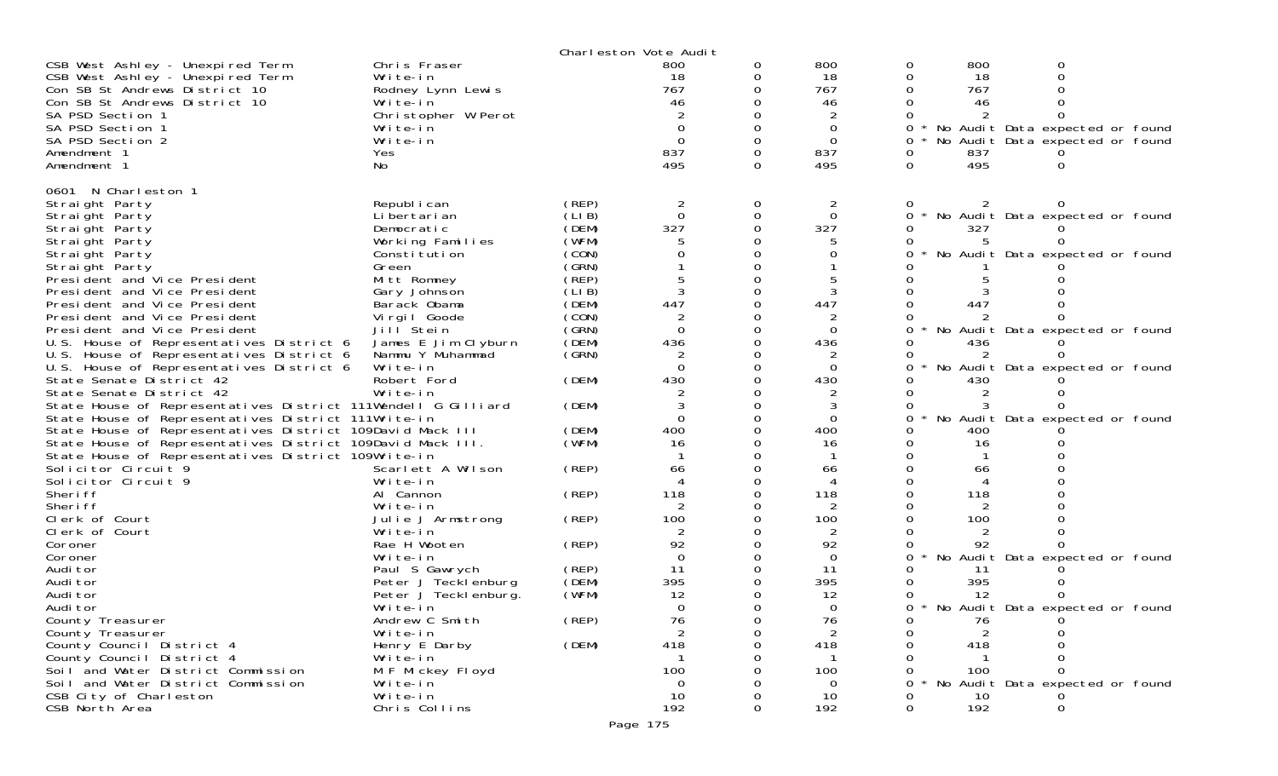|                                                               |                       |        | Charleston Vote Audit    |          |                |   |     |                                 |  |
|---------------------------------------------------------------|-----------------------|--------|--------------------------|----------|----------------|---|-----|---------------------------------|--|
| CSB West Ashley - Unexpired Term                              | Chris Fraser          |        | 800                      | 0        | 800            | 0 | 800 |                                 |  |
| CSB West Ashley - Unexpired Term                              | Write-in              |        | 18                       | 0        | 18             | 0 | 18  |                                 |  |
| Con SB St Andrews District 10                                 | Rodney Lynn Lewis     |        | 767                      |          | 767            |   | 767 |                                 |  |
| Con SB St Andrews District 10                                 | Write-in              |        | 46                       |          | 46             |   | 46  |                                 |  |
| SA PSD Section 1                                              | Christopher W Perot   |        |                          |          |                |   |     |                                 |  |
| SA PSD Section 1                                              | Write-in              |        | $\Omega$                 |          | $\Omega$       | 0 |     | No Audit Data expected or found |  |
| SA PSD Section 2                                              | Write-in              |        | $\overline{0}$           | 0        | $\Omega$       | 0 |     | No Audit Data expected or found |  |
| Amendment 1                                                   | Yes                   |        | 837                      | $\Omega$ | 837            | 0 | 837 |                                 |  |
| Amendment 1                                                   | No.                   |        | 495                      | 0        | 495            | 0 | 495 | O                               |  |
|                                                               |                       |        |                          |          |                |   |     |                                 |  |
| 0601 N Charleston 1                                           |                       |        |                          |          |                |   |     |                                 |  |
| Straight Party                                                | Republ i can          | (REP)  | 2                        | 0        | 2              | Ü | 2   |                                 |  |
| Straight Party                                                | Li bertari an         | (LI B) | $\Omega$                 | 0        | $\Omega$       | 0 |     | No Audit Data expected or found |  |
| Straight Party                                                | Democratic            | (DEM)  | 327                      |          | 327            |   | 327 |                                 |  |
| Straight Party                                                | Working Families      | (WFM)  |                          |          |                |   |     |                                 |  |
|                                                               | Constitution          | (CON)  |                          |          | 0              |   |     | No Audit Data expected or found |  |
| Straight Party                                                |                       | (GRN)  |                          |          |                |   |     |                                 |  |
| Straight Party                                                | Green                 |        |                          |          |                |   |     |                                 |  |
| President and Vice President                                  | Mitt Romney           | (REP)  |                          |          |                |   |     |                                 |  |
| President and Vice President                                  | Gary Johnson          | (LI B) | 3                        | 0        | 3              |   |     |                                 |  |
| President and Vice President                                  | Barack Obama          | (DEM)  | 447                      |          | 447            |   | 447 |                                 |  |
| President and Vice President                                  | Vi rgi I Goode        | (CON)  |                          |          |                |   |     |                                 |  |
| President and Vice President                                  | Jill <sup>Stein</sup> | (GRN)  | $\Omega$                 | 0        | $\Omega$       |   |     | No Audit Data expected or found |  |
| U.S. House of Representatives District 6                      | James E Jim Clyburn   | (DEM)  | 436                      |          | 436            |   | 436 |                                 |  |
| U.S. House of Representatives District 6                      | Nammu Y Muhammad      | (GRN)  |                          |          |                |   |     |                                 |  |
| U.S. House of Representatives District 6                      | Write-in              |        | $\Omega$                 | 0        | $\Omega$       |   |     | No Audit Data expected or found |  |
| State Senate District 42                                      | Robert Ford           | (DEM)  | 430                      |          | 430            |   | 430 |                                 |  |
| State Senate District 42                                      | Write-in              |        |                          |          |                |   |     |                                 |  |
| State House of Representatives District 111Wendell G Gilliard |                       | (DEM)  |                          | 0        | 3              |   |     |                                 |  |
| State House of Representatives District 111Write-in           |                       |        | $\Omega$                 |          | $\Omega$       |   |     | No Audit Data expected or found |  |
| State House of Representatives District 109David Mack III     |                       | (DEM)  | 400                      |          | 400            |   | 400 |                                 |  |
| State House of Representatives District 109David Mack III.    |                       | (WFM)  | 16                       |          | 16             |   | 16  |                                 |  |
| State House of Representatives District 109Write-in           |                       |        |                          |          |                |   |     |                                 |  |
| Solicitor Circuit 9                                           | Scarlett A Wilson     | (REP)  | 66                       |          | 66             |   | 66  |                                 |  |
| Solicitor Circuit 9                                           | Write-in              |        | $\boldsymbol{\varDelta}$ | 0        | 4              |   |     |                                 |  |
|                                                               |                       |        |                          |          |                |   |     |                                 |  |
| Sheri ff                                                      | Al Cannon             | (REP)  | 118                      |          | 118            |   | 118 |                                 |  |
| Sheri ff                                                      | Write-in              |        | 2                        | O        |                |   |     |                                 |  |
| Clerk of Court                                                | Julie J Armstrong     | (REP)  | 100                      |          | 100            |   | 100 |                                 |  |
| Clerk of Court                                                | Write-in              |        |                          |          |                |   |     |                                 |  |
| Coroner                                                       | Rae H Wooten          | (REP)  | 92                       |          | 92             |   | 92  |                                 |  |
| Coroner                                                       | Write-in              |        | $\overline{0}$           |          | $\overline{0}$ |   |     | No Audit Data expected or found |  |
| Audi tor                                                      | Paul S Gawrych        | (REP)  | 11                       |          | 11             |   | -11 |                                 |  |
| Audi tor                                                      | Peter J Tecklenburg   | (DEM)  | 395                      |          | 395            |   | 395 |                                 |  |
| Audi tor                                                      | Peter J Teckl enburg. | (WFM)  | 12                       |          | 12             |   | 12  |                                 |  |
| Audi tor                                                      | Write-in              |        | $\Omega$                 |          | $\Omega$       | 0 |     | No Audit Data expected or found |  |
| County Treasurer                                              | Andrew C Smith        | (REP)  | 76                       | 0        | 76             |   | 76  |                                 |  |
| County Treasurer                                              | Write-in              |        | 2                        | 0        | 2              |   | 2   |                                 |  |
| County Council District 4                                     | Henry E Darby         | (DEM)  | 418                      | 0        | 418            |   | 418 |                                 |  |
| County Council District 4                                     | Write-in              |        |                          |          |                |   |     |                                 |  |
| Soil and Water District Commission                            | M F Mickey Floyd      |        | 100                      |          | 100            |   | 100 |                                 |  |
| Soil and Water District Commission                            | Write-in              |        | $\Omega$                 |          | $\Omega$       |   |     | No Audit Data expected or found |  |
| CSB City of Charleston                                        | Write-in              |        | 10                       |          | 10             |   | 10  |                                 |  |
| CSB North Area                                                | Chris Collins         |        | 192                      | 0        | 192            | 0 | 192 | 0                               |  |
|                                                               |                       |        |                          |          |                |   |     |                                 |  |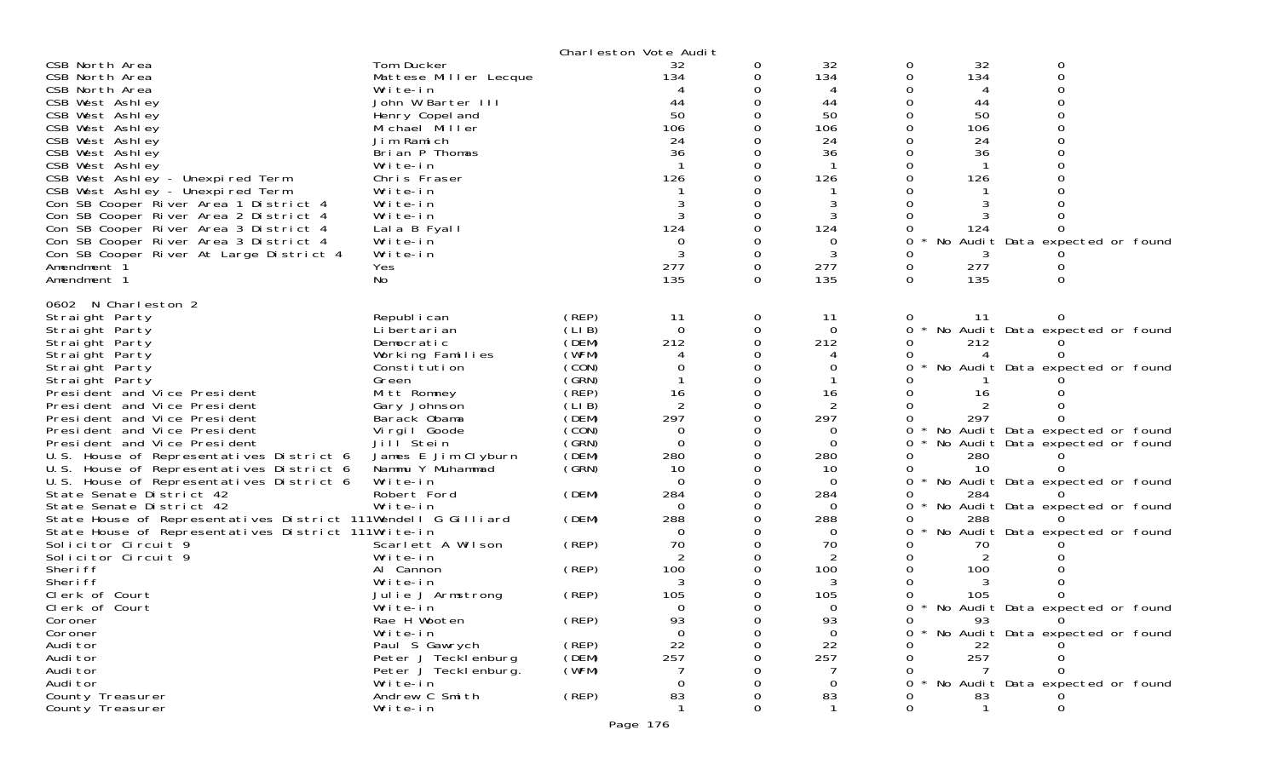|                                                                                |                          |        | Charleston Vote Audit |          |                |   |     |                                 |  |
|--------------------------------------------------------------------------------|--------------------------|--------|-----------------------|----------|----------------|---|-----|---------------------------------|--|
| CSB North Area                                                                 | Tom Ducker               |        | 32                    | 0        | 32             | 0 | 32  |                                 |  |
| CSB North Area                                                                 | Mattese Miller Lecque    |        | 134                   | 0        | 134            | 0 | 134 |                                 |  |
| CSB North Area                                                                 | Write-in                 |        |                       |          |                |   |     |                                 |  |
| CSB West Ashley                                                                | John W Barter III        |        | 44                    |          | 44             |   | 44  |                                 |  |
| CSB West Ashley                                                                | Henry Copel and          |        | 50                    |          | 50             |   | 50  |                                 |  |
| CSB West Ashley                                                                | Michael Miller           |        | 106                   |          | 106            |   | 106 |                                 |  |
| CSB West Ashley                                                                | Jim Ramich               |        | 24                    |          | 24             |   | 24  |                                 |  |
| CSB West Ashley                                                                | Brian P Thomas           |        | 36                    |          | 36             |   | 36  |                                 |  |
| CSB West Ashley                                                                | Write-in                 |        |                       |          |                |   |     |                                 |  |
| CSB West Ashley - Unexpired Term                                               | Chris Fraser             |        | 126                   |          | 126            |   | 126 |                                 |  |
| CSB West Ashley - Unexpired Term                                               | Write-in                 |        |                       |          |                |   |     |                                 |  |
| Con SB Cooper River Area 1 District 4<br>Con SB Cooper River Area 2 District 4 | Write-in<br>Write-in     |        |                       |          | 3              |   |     |                                 |  |
| Con SB Cooper River Area 3 District 4                                          |                          |        | 124                   |          | 124            |   | 124 |                                 |  |
| Con SB Cooper River Area 3 District 4                                          | Lala B Fyall<br>Write-in |        |                       |          | 0              |   | No  | Audit Data expected or found    |  |
| Con SB Cooper River At Large District 4                                        | Write-in                 |        |                       | $\Omega$ | 3              |   |     |                                 |  |
| Amendment 1                                                                    | Yes                      |        | 277                   | 0        | 277            | 0 | 277 |                                 |  |
| Amendment 1                                                                    | No                       |        | 135                   | $\Omega$ | 135            | 0 | 135 | 0                               |  |
|                                                                                |                          |        |                       |          |                |   |     |                                 |  |
| 0602 N Charleston 2                                                            |                          |        |                       |          |                |   |     |                                 |  |
| Straight Party                                                                 | Republ i can             | (REP)  | 11                    | 0        | -11            | 0 | 11  | 0                               |  |
| Straight Party                                                                 | Li bertari an            | (LI B) | $\overline{0}$        | 0        | $\overline{0}$ | 0 |     | No Audit Data expected or found |  |
| Straight Party                                                                 | Democratic               | (DEM)  | 212                   |          | 212            |   | 212 |                                 |  |
| Straight Party                                                                 | Working Families         | (WFM)  |                       |          |                |   |     |                                 |  |
| Straight Party                                                                 | Constitution             | (CON)  |                       |          | 0              |   |     | No Audit Data expected or found |  |
| Straight Party                                                                 | Green                    | (GRN)  |                       |          |                |   |     |                                 |  |
| President and Vice President                                                   | Mitt Romney              | (REP)  | 16                    | 0        | 16             |   | 16  |                                 |  |
| President and Vice President                                                   | Gary Johnson             | (LIB)  | $\overline{2}$        |          |                |   |     |                                 |  |
| President and Vice President                                                   | Barack Obama             | (DEM)  | 297                   |          | 297            |   | 297 |                                 |  |
| President and Vice President                                                   | Virgil Goode             | (CON)  | 0                     |          | 0              | 0 |     | No Audit Data expected or found |  |
| President and Vice President                                                   | Jill <sup>Stein</sup>    | (GRN)  | $\Omega$              | 0        | $\Omega$       |   |     | No Audit Data expected or found |  |
| U.S. House of Representatives District 6                                       | James E Jim Clyburn      | (DEM)  | 280                   |          | 280            |   | 280 |                                 |  |
| U.S. House of Representatives District 6                                       | Nammu Y Muhammad         | (GRN)  | 10                    |          | 10             |   | 10  |                                 |  |
| U.S. House of Representatives District 6                                       | Write-in                 |        | $\Omega$              | 0        | $\Omega$       | 0 |     | No Audit Data expected or found |  |
| State Senate District 42<br>State Senate District 42                           | Robert Ford<br>Write-in  | (DEM)  | 284<br>$\Omega$       |          | 284<br>0       | 0 | 284 |                                 |  |
| State House of Representatives District 111Wendell G Gilliard                  |                          | (DEM)  | 288                   |          | 288            | 0 | 288 | No Audit Data expected or found |  |
| State House of Representatives District 111Write-in                            |                          |        | 0                     |          | 0              |   |     | No Audit Data expected or found |  |
| Solicitor Circuit 9                                                            | Scarlett A Wilson        | (REP)  | 70                    |          | 70             |   | 70  |                                 |  |
| Solicitor Circuit 9                                                            | Write-in                 |        | 2                     | 0        | 2              |   | 2   |                                 |  |
| Sheri ff                                                                       | Al Cannon                | (REP)  | 100                   |          | 100            |   | 100 |                                 |  |
| Sheri ff                                                                       | Write-in                 |        | 3                     |          |                |   |     |                                 |  |
| Clerk of Court                                                                 | Julie J Armstrong        | (REP)  | 105                   |          | 105            |   | 105 |                                 |  |
| Clerk of Court                                                                 | Write-in                 |        | $\Omega$              |          | 0              | 0 |     | No Audit Data expected or found |  |
| Coroner                                                                        | Rae H Wooten             | (REP)  | 93                    |          | 93             |   | 93  | 0                               |  |
| Coroner                                                                        | Write-in                 |        | $\Omega$              | Ω        | $\Omega$       |   |     | No Audit Data expected or found |  |
| Audi tor                                                                       | Paul S Gawrych           | (REP)  | 22                    |          | 22             |   | 22  |                                 |  |
| Audi tor                                                                       | Peter J Tecklenburg      | (DEM)  | 257                   |          | 257            |   | 257 |                                 |  |
| Audi tor                                                                       | Peter J Teckl enburg.    | (WFM)  |                       |          |                |   |     |                                 |  |
| Audi tor                                                                       | Write-in                 |        | $\Omega$              |          | 0              |   |     | No Audit Data expected or found |  |
| County Treasurer                                                               | Andrew C Smith           | (REP)  | 83                    |          | 83             |   | 83  |                                 |  |
| County Treasurer                                                               | Write-in                 |        |                       |          |                |   |     |                                 |  |
|                                                                                |                          |        | Page 176              |          |                |   |     |                                 |  |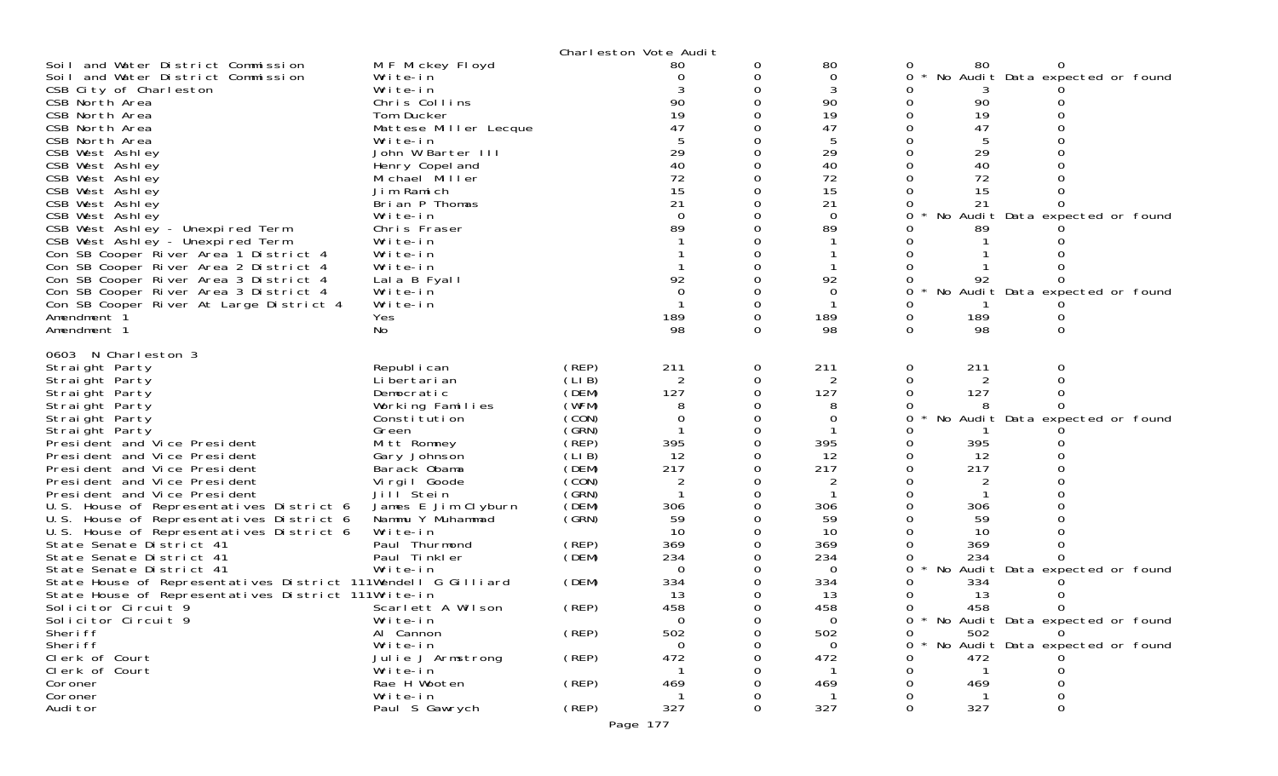| Soil and Water District Commission<br>Soil and Water District Commission<br>CSB City of Charleston<br>CSB North Area<br>CSB North Area<br>CSB North Area<br>CSB North Area<br>CSB West Ashley<br>CSB West Ashley<br>CSB West Ashley<br>CSB West Ashley<br>CSB West Ashley<br>CSB West Ashley<br>CSB West Ashley - Unexpired Term<br>CSB West Ashley - Unexpired Term<br>Con SB Cooper River Area 1 District 4<br>Con SB Cooper River Area 2 District 4<br>Con SB Cooper River Area 3 District 4<br>Con SB Cooper River Area 3 District 4<br>Con SB Cooper River At Large District 4<br>Amendment 1<br>Amendment 1<br>0603 N Charleston 3                                                                                                                             | M F Mickey Floyd<br>Write-in<br>Write-in<br>Chris Collins<br>Tom Ducker<br>Mattese Miller Lecque<br>Write-in<br>John W Barter III<br>Henry Copel and<br>Michael Miller<br>Jim Ramich<br>Brian P Thomas<br>Write-in<br>Chris Fraser<br>Write-in<br>Write-in<br>Write-in<br>Lala B Fyall<br>Write-in<br>Write-in<br>Yes<br>No                                                                                        |                                                                                                                                                                                           | Charleston Vote Audit<br>80<br>90<br>19<br>47<br>29<br>40<br>72<br>15<br>21<br>$\Omega$<br>89<br>92<br>$\Omega$<br>189<br>98                                          | O<br>0<br>0                            | 80<br>0<br>90<br>19<br>47<br>29<br>40<br>72<br>15<br>21<br>$\Omega$<br>89<br>92<br>0<br>189<br>98                                                           | 80<br>0<br>90<br>19<br>47<br>29<br>40<br>72<br>15<br>21<br>89<br>92<br>189<br>0<br>98<br>0                                                          | No Audit Data expected or found<br>No Audit Data expected or found<br>No Audit Data expected or found                                           |
|----------------------------------------------------------------------------------------------------------------------------------------------------------------------------------------------------------------------------------------------------------------------------------------------------------------------------------------------------------------------------------------------------------------------------------------------------------------------------------------------------------------------------------------------------------------------------------------------------------------------------------------------------------------------------------------------------------------------------------------------------------------------|--------------------------------------------------------------------------------------------------------------------------------------------------------------------------------------------------------------------------------------------------------------------------------------------------------------------------------------------------------------------------------------------------------------------|-------------------------------------------------------------------------------------------------------------------------------------------------------------------------------------------|-----------------------------------------------------------------------------------------------------------------------------------------------------------------------|----------------------------------------|-------------------------------------------------------------------------------------------------------------------------------------------------------------|-----------------------------------------------------------------------------------------------------------------------------------------------------|-------------------------------------------------------------------------------------------------------------------------------------------------|
| Straight Party<br>Straight Party<br>Straight Party<br>Straight Party<br>Straight Party<br>Straight Party<br>President and Vice President<br>President and Vice President<br>President and Vice President<br>President and Vice President<br>President and Vice President<br>U.S. House of Representatives District 6<br>U.S. House of Representatives District 6<br>U.S. House of Representatives District 6<br>State Senate District 41<br>State Senate District 41<br>State Senate District 41<br>State House of Representatives District 111Wendell G Gilliard<br>State House of Representatives District 111Write-in<br>Solicitor Circuit 9<br>Solicitor Circuit 9<br>Sheri ff<br>Sheri ff<br>Clerk of Court<br>Clerk of Court<br>Coroner<br>Coroner<br>Audi tor | Republ i can<br>Li bertari an<br>Democratic<br>Working Families<br>Constitution<br>Green<br>Mitt Romney<br>Gary Johnson<br>Barack Obama<br>Virgil Goode<br>Jill Stein<br>James E Jim Clyburn<br>Nammu Y Muhammad<br>Write-in<br>Paul Thurmond<br>Paul Tinkler<br>Write-in<br>Scarlett A Wilson<br>Write-in<br>Al Cannon<br>Write-in<br>Julie J Armstrong<br>Write-in<br>Rae H Wooten<br>Write-in<br>Paul S Gawrych | (REP)<br>(LIB)<br>(DEM)<br>(WFM)<br>(CON)<br>(GRN)<br>(REP)<br>(LIB)<br>(DEM)<br>(CON)<br>(GRN)<br>(DEM)<br>(GRN)<br>(REP)<br>(DEM)<br>(DEM)<br>(REP)<br>(REP)<br>(REP)<br>(REP)<br>(REP) | 211<br>2<br>127<br>0<br>395<br>12<br>217<br>306<br>59<br>10<br>369<br>234<br>$\Omega$<br>334<br>13<br>458<br>$\mathbf 0$<br>502<br>0<br>472<br>469<br>327<br>Page 177 | 0<br>0<br>0<br>0<br>0<br>0<br>$\Omega$ | 211<br>2<br>127<br>0<br>395<br>12<br>217<br>2<br>306<br>59<br>10<br>369<br>234<br>$\Omega$<br>334<br>13<br>458<br>$\Omega$<br>502<br>0<br>472<br>469<br>327 | 211<br>0<br>2<br>127<br>0<br>395<br>12<br>217<br>306<br>59<br>10<br>369<br>234<br>0.<br>334<br>13<br>458<br>502<br>0<br>0<br>472<br>469<br>327<br>0 | No Audit Data expected or found<br>No Audit Data expected or found<br>* No Audit Data expected or found<br>No Audit Data expected or found<br>0 |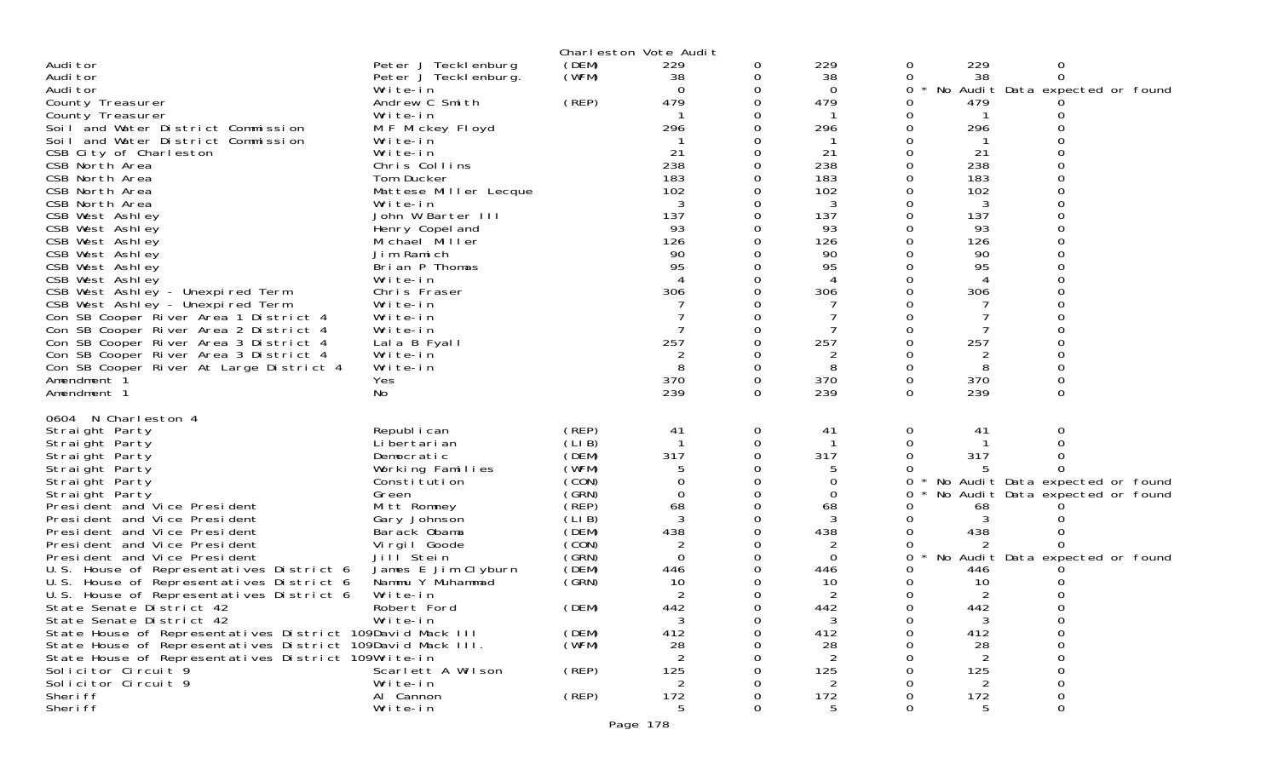|                                                                                                                         |                            |                | Charleston Vote Audit |          |                                |        |                      |                                 |  |
|-------------------------------------------------------------------------------------------------------------------------|----------------------------|----------------|-----------------------|----------|--------------------------------|--------|----------------------|---------------------------------|--|
| Audi tor                                                                                                                | Peter J Tecklenburg        | (DEM)          | 229                   | 0        | 229                            | 0      | 229                  | 0                               |  |
| Audi tor                                                                                                                | Peter J Tecklenburg.       | (WFM)          | 38                    | 0        | 38                             | 0      | 38                   | 0                               |  |
| Audi tor                                                                                                                | Write-in<br>Andrew C Smith | (REP)          | $\Omega$<br>479       | 0        | $\Omega$<br>479                | 0      | 479                  | No Audit Data expected or found |  |
| County Treasurer<br>County Treasurer                                                                                    | Write-in                   |                |                       |          |                                |        |                      |                                 |  |
| Soil and Water District Commission                                                                                      | M F Mickey Floyd           |                | 296                   |          | 296                            |        | 296                  |                                 |  |
| Soil and Water District Commission                                                                                      | Write-in                   |                |                       |          |                                |        |                      |                                 |  |
| CSB City of Charleston                                                                                                  | Write-in                   |                | -21                   |          | 21                             |        | 21                   |                                 |  |
| CSB North Area                                                                                                          | Chris Collins              |                | 238                   |          | 238                            |        | 238                  |                                 |  |
| CSB North Area                                                                                                          | Tom Ducker                 |                | 183                   |          | 183                            |        | 183                  |                                 |  |
| CSB North Area                                                                                                          | Mattese Miller Lecque      |                | 102                   |          | 102                            |        | 102                  |                                 |  |
| CSB North Area                                                                                                          | Write-in                   |                | 3                     |          | 3                              |        | 3                    |                                 |  |
| CSB West Ashley                                                                                                         | John W Barter III          |                | 137                   |          | 137                            |        | 137                  |                                 |  |
| CSB West Ashley                                                                                                         | Henry Copel and            |                | 93                    |          | 93                             |        | 93                   |                                 |  |
| CSB West Ashley                                                                                                         | Michael Miller             |                | 126                   |          | 126                            |        | 126                  |                                 |  |
| CSB West Ashley                                                                                                         | Jim Ramich                 |                | 90                    |          | 90                             |        | 90                   |                                 |  |
| CSB West Ashley                                                                                                         | Brian P Thomas             |                | 95                    |          | 95<br>$\boldsymbol{\varDelta}$ |        | 95<br>$\overline{4}$ |                                 |  |
| CSB West Ashley<br>CSB West Ashley - Unexpired Term                                                                     | Write-in<br>Chris Fraser   |                | 306                   |          | 306                            |        | 306                  |                                 |  |
| CSB West Ashley - Unexpired Term                                                                                        | Write-in                   |                |                       |          |                                |        |                      |                                 |  |
| Con SB Cooper River Area 1 District 4                                                                                   | Write-in                   |                |                       |          |                                |        |                      |                                 |  |
| Con SB Cooper River Area 2 District 4                                                                                   | Write-in                   |                |                       |          |                                |        |                      |                                 |  |
| Con SB Cooper River Area 3 District 4                                                                                   | Lala B Fyall               |                | 257                   |          | 257                            |        | 257                  |                                 |  |
| Con SB Cooper River Area 3 District 4                                                                                   | Write-in                   |                | 2                     |          | 2                              |        | 2                    |                                 |  |
| Con SB Cooper River At Large District 4                                                                                 | Write-in                   |                |                       |          | 8                              |        | 8                    |                                 |  |
| Amendment 1                                                                                                             | Yes                        |                | 370                   | 0        | 370                            | 0      | 370                  |                                 |  |
| Amendment 1                                                                                                             | No                         |                | 239                   | 0        | 239                            | 0      | 239                  | 0                               |  |
| 0604 N Charleston 4                                                                                                     |                            |                |                       |          |                                |        |                      |                                 |  |
| Straight Party                                                                                                          | Republ i can               | (REP)          | 41                    | 0        | 41                             | 0      | 41                   | 0                               |  |
| Straight Party                                                                                                          | Li bertari an              | (LIB)          |                       | 0        |                                |        |                      |                                 |  |
| Straight Party                                                                                                          | Democratic                 | (DEM)          | 317                   | $\Omega$ | 317                            |        | 317                  |                                 |  |
| Straight Party                                                                                                          | Working Families           | (WFM)          | 5                     |          |                                |        |                      |                                 |  |
| Straight Party                                                                                                          | Constitution               | (CON)<br>(GRN) | $\Omega$              |          | 0<br>0                         | 0<br>0 |                      | No Audit Data expected or found |  |
| Straight Party<br>President and Vice President                                                                          | Green<br>Mitt Romney       | (REP)          | 68                    |          | 68                             |        | 68                   | No Audit Data expected or found |  |
| President and Vice President                                                                                            | Gary Johnson               | (LIB)          |                       |          | 3                              |        |                      |                                 |  |
| President and Vice President                                                                                            | Barack Obama               | (DEM)          | 438                   |          | 438                            |        | 438                  |                                 |  |
| President and Vice President                                                                                            | Virgil Goode               | (CON)          | 2                     |          | 2                              |        |                      |                                 |  |
| President and Vice President                                                                                            | Jill Stein                 | (GRN)          | $\Omega$              |          | $\Omega$                       | 0      |                      | No Audit Data expected or found |  |
| U.S. House of Representatives District 6                                                                                | James E Jim Clyburn        | (DEM)          | 446                   |          | 446                            |        | 446                  |                                 |  |
| U.S. House of Representatives District 6                                                                                | Nammu Y Muhammad           | (SRN)          | 10                    |          | 10                             |        | 10                   |                                 |  |
| U.S. House of Representatives District 6                                                                                | Write-in                   |                |                       |          |                                |        |                      |                                 |  |
| State Senate District 42                                                                                                | Robert Ford                | (DEM)          | 442                   |          | 442                            |        | 442                  |                                 |  |
| State Senate District 42                                                                                                | Write-in                   |                | 3                     |          | 3                              |        | 3                    |                                 |  |
| State House of Representatives District 109David Mack III<br>State House of Representatives District 109David Mack III. |                            | (DEM)<br>(WFM) | 412<br>28             |          | 412<br>28                      |        | 412<br>28            |                                 |  |
| State House of Representatives District 109Write-in                                                                     |                            |                | 2                     |          | 2                              |        | 2                    |                                 |  |
| Solicitor Circuit 9                                                                                                     | Scarlett A Wilson          | (REP)          | 125                   |          | 125                            |        | 125                  |                                 |  |
| Solicitor Circuit 9                                                                                                     | Write-in                   |                | 2                     |          | 2                              |        | 2                    |                                 |  |
| Sheri ff                                                                                                                | Al Cannon                  | (REP)          | 172                   |          | 172                            |        | 172                  |                                 |  |
| Sheri ff                                                                                                                | Write-in                   |                | 5                     |          | 5                              |        | 5                    | 0                               |  |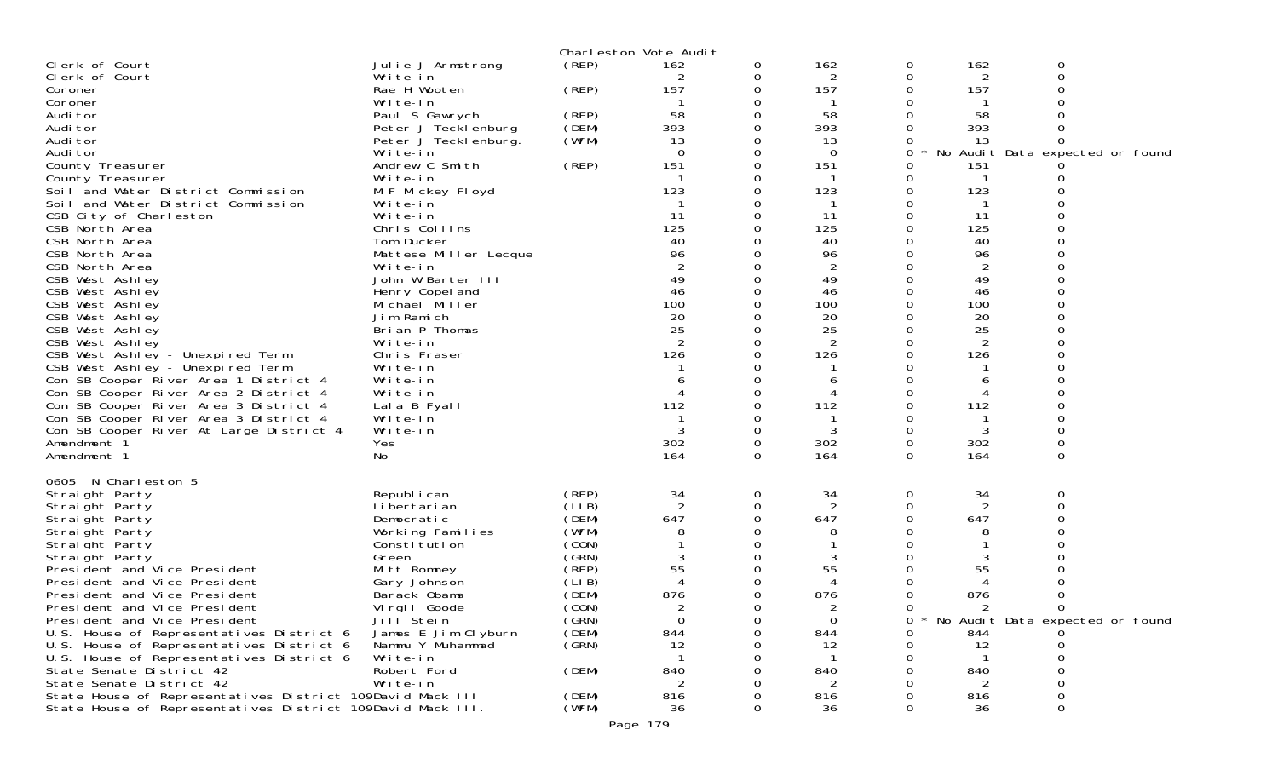| Clerk of Court<br>Clerk of Court<br>Coroner<br>Coroner<br>Audi tor<br>Audi tor<br>Audi tor<br>Audi tor<br>County Treasurer<br>County Treasurer<br>Soil and Water District Commission<br>Soil and Water District Commission<br>CSB City of Charleston<br>CSB North Area<br>CSB North Area<br>CSB North Area<br>CSB North Area<br>CSB West Ashley<br>CSB West Ashley<br>CSB West Ashley<br>CSB West Ashley<br>CSB West Ashley<br>CSB West Ashley<br>CSB West Ashley - Unexpired Term<br>CSB West Ashley - Unexpired Term<br>Con SB Cooper River Area 1 District 4<br>Con SB Cooper River Area 2 District 4<br>Con SB Cooper River Area 3 District 4                                               | Julie J Armstrong<br>Write-in<br>Rae H Wooten<br>Write-in<br>Paul S Gawrych<br>Peter J Tecklenburg<br>Peter J Tecklenburg.<br>Write-in<br>Andrew C Smith<br>Write-in<br>M F Mickey Floyd<br>Write-in<br>Write-in<br>Chris Collins<br>Tom Ducker<br>Mattese Miller Lecque<br>Write-in<br>John W Barter III<br>Henry Copel and<br>Michael Miller<br>Jim Ramich<br>Brian P Thomas<br>Write-in<br>Chris Fraser<br>Write-in<br>Write-in<br>Write-in<br>Lala B Fyall | (REP)<br>(REP)<br>(REP)<br>(DEM)<br>(WFM)<br>(REP)                                                                                              | Charleston Vote Audit<br>162<br>157<br>58<br>393<br>13<br>$\Omega$<br>151<br>123<br>-11<br>125<br>40<br>96<br>49<br>46<br>100<br>20<br>25<br>126<br>112 | 0<br>0<br>0<br>0 | 162<br>2<br>157<br>58<br>393<br>13<br>$\Omega$<br>151<br>123<br>11<br>125<br>40<br>96<br>2<br>49<br>46<br>100<br>20<br>25<br>2<br>126<br>6<br>112 | 0<br>0<br>0<br>0      | 162<br>2<br>157<br>58<br>393<br>13<br>151<br>123<br>11<br>125<br>40<br>96<br>2<br>49<br>46<br>100<br>20<br>25<br>2<br>126<br>6<br>112 | 0<br>$\Omega$<br>No Audit Data expected or found |  |
|-------------------------------------------------------------------------------------------------------------------------------------------------------------------------------------------------------------------------------------------------------------------------------------------------------------------------------------------------------------------------------------------------------------------------------------------------------------------------------------------------------------------------------------------------------------------------------------------------------------------------------------------------------------------------------------------------|----------------------------------------------------------------------------------------------------------------------------------------------------------------------------------------------------------------------------------------------------------------------------------------------------------------------------------------------------------------------------------------------------------------------------------------------------------------|-------------------------------------------------------------------------------------------------------------------------------------------------|---------------------------------------------------------------------------------------------------------------------------------------------------------|------------------|---------------------------------------------------------------------------------------------------------------------------------------------------|-----------------------|---------------------------------------------------------------------------------------------------------------------------------------|--------------------------------------------------|--|
| Con SB Cooper River At Large District 4<br>Amendment 1<br>Amendment 1<br>0605 N Charleston 5<br>Straight Party<br>Straight Party<br>Straight Party<br>Straight Party<br>Straight Party<br>Straight Party<br>President and Vice President<br>President and Vice President<br>President and Vice President<br>President and Vice President<br>President and Vice President<br>U.S. House of Representatives District 6<br>U.S. House of Representatives District 6<br>U.S. House of Representatives District 6<br>State Senate District 42<br>State Senate District 42<br>State House of Representatives District 109David Mack III<br>State House of Representatives District 109David Mack III. | Write-in<br>Yes<br>No<br>Republ i can<br>Li bertari an<br>Democratic<br>Working Families<br>Constitution<br>Green<br>Mitt Romney<br>Gary Johnson<br>Barack Obama<br>Vi rgi I Goode<br>Jill Stein<br>James E Jim Clyburn<br>Nammu Y Muhammad<br>Write-in<br>Robert Ford<br>Write-in                                                                                                                                                                             | (REP)<br>(LIB)<br>(DEM)<br>(WFM)<br>(CON)<br>(GRN)<br>$($ REP)<br>(LIB)<br>(DEM)<br>(CON)<br>(GRN)<br>(DEM)<br>(GRN)<br>(DEM)<br>(DEM)<br>(WFM) | 302<br>164<br>34<br>2<br>647<br>8<br>55<br>876<br>$\Omega$<br>844<br>12<br>840<br>816<br>36                                                             | 0<br>0<br>0<br>0 | 302<br>164<br>34<br>2<br>647<br>8<br>55<br>876<br>$\Omega$<br>844<br>12<br>840<br>816<br>36                                                       | 0<br>0<br>0<br>0<br>0 | 302<br>164<br>34<br>$\overline{2}$<br>647<br>8<br>3<br>55<br>876<br>844<br>12<br>840<br>816<br>36                                     | 0<br>0<br>0<br>* No Audit Data expected or found |  |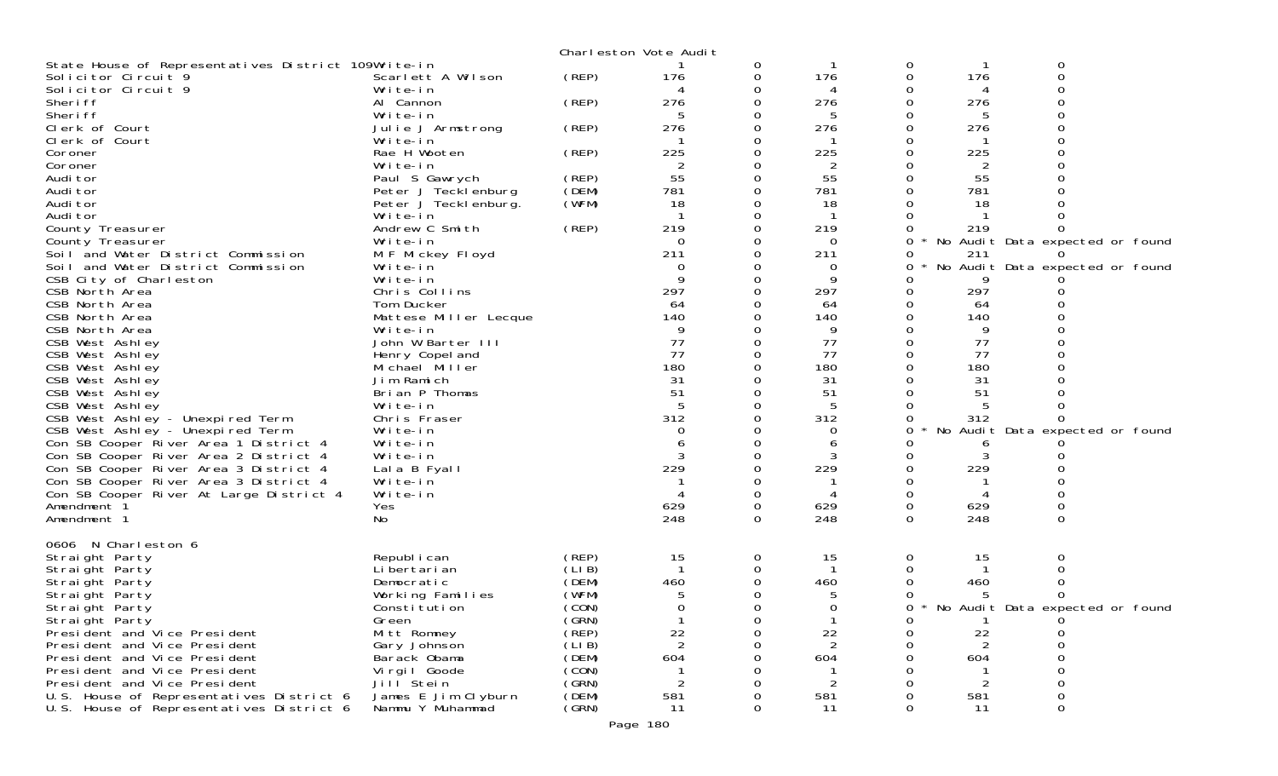|                                                                   |                              |       | Charleston Vote Audit |               |                |        |            |                                 |
|-------------------------------------------------------------------|------------------------------|-------|-----------------------|---------------|----------------|--------|------------|---------------------------------|
| State House of Representatives District 109Write-in               |                              |       |                       | 0             |                | 0      |            | 0                               |
| Solicitor Circuit 9                                               | Scarlett A Wilson            | (REP) | 176                   | 0             | 176            | 0      | 176        | 0                               |
| Solicitor Circuit 9                                               | Write-in                     |       |                       | 0             | 4              |        |            |                                 |
| Sheri ff                                                          | Al Cannon                    | (REP) | 276                   | 0             | 276            | 0      | 276        |                                 |
| Sheri ff                                                          | Write-in                     |       | 5                     | 0             | 5              |        | 5          |                                 |
| Clerk of Court                                                    | Julie J Armstrong            | (REP) | 276                   | 0             | 276            |        | 276        |                                 |
| Clerk of Court                                                    | Write-in                     |       |                       | 0             |                |        |            |                                 |
| Coroner                                                           | Rae H Wooten                 | (REP) | 225                   | 0             | 225            |        | 225        |                                 |
| Coroner                                                           | Write-in                     |       | $\overline{2}$        |               |                |        |            |                                 |
| Audi tor                                                          | Paul S Gawrych               | (REP) | 55                    | 0             | 55             |        | 55         |                                 |
| Audi tor                                                          | Peter J Tecklenburg          | (DEM) | 781                   | 0             | 781            |        | 781        |                                 |
| Audi tor                                                          | Peter J Teckl enburg.        | (WFM) | 18                    |               | 18             |        | 18         |                                 |
| Audi tor                                                          | Write-in                     |       |                       | 0             |                | 0      |            |                                 |
| County Treasurer                                                  | Andrew C Smith               | (REP) | 219                   | 0             | 219            | 0      | 219        |                                 |
| County Treasurer                                                  | Write-in                     |       | $\Omega$              | 0             | 0              | 0      |            | No Audit Data expected or found |
| Soil and Water District Commission                                | M F Mickey Floyd             |       | 211                   | 0             | 211            |        | 211        |                                 |
| Soil and Water District Commission                                | Write-in                     |       | 0                     | 0             | 0              | 0      |            | No Audit Data expected or found |
| CSB City of Charleston                                            | Write-in                     |       | 9                     | 0             | 9              |        |            |                                 |
| CSB North Area                                                    | Chris Collins                |       | 297                   | $\Omega$      | 297            |        | 297        |                                 |
| CSB North Area                                                    | Tom Ducker                   |       | 64                    | 0             | 64             |        | 64         |                                 |
| CSB North Area                                                    | Mattese Miller Lecque        |       | 140                   |               | 140            |        | 140        |                                 |
| CSB North Area                                                    | Write-in                     |       | 9                     | 0             | 9              |        | 9          |                                 |
| CSB West Ashley                                                   | John W Barter III            |       | 77                    | 0             | 77             |        | 77         |                                 |
| CSB West Ashley                                                   | Henry Copel and              |       | 77                    | $\Omega$      | 77             |        | 77         |                                 |
| CSB West Ashley                                                   | Michael Miller               |       | 180                   | 0             | 180            |        | 180        |                                 |
| CSB West Ashley                                                   | Jim Ramich                   |       | 31                    | 0             | 31             |        | 31         |                                 |
| CSB West Ashley                                                   | Brian P Thomas               |       | 51                    |               | 51             |        | 51         |                                 |
| CSB West Ashley                                                   | Write-in                     |       | 5                     | 0             |                |        |            |                                 |
| CSB West Ashley - Unexpired Term                                  | Chris Fraser                 |       | 312                   | 0             | 312            | 0      | 312        |                                 |
| CSB West Ashley - Unexpired Term                                  | Write-in                     |       | 0                     |               | $\Omega$       | 0      |            | No Audit Data expected or found |
| Con SB Cooper River Area 1 District 4                             | Write-in                     |       | 6                     | 0             | 6              |        |            |                                 |
| Con SB Cooper River Area 2 District 4                             | Write-in                     |       |                       | 0             |                |        |            |                                 |
| Con SB Cooper River Area 3 District 4                             |                              |       | 229                   | $\Omega$      | 229            | 0      | 229        |                                 |
|                                                                   | Lala B Fyall                 |       |                       | 0             |                | 0      |            |                                 |
| Con SB Cooper River Area 3 District 4                             | Write-in                     |       |                       |               | 4              |        |            |                                 |
| Con SB Cooper River At Large District 4<br>Amendment <sup>3</sup> | Write-in                     |       | 629                   | 0             | 629            | 0<br>0 |            |                                 |
|                                                                   | Yes                          |       | 248                   | 0<br>$\Omega$ | 248            | 0      | 629<br>248 | $\Omega$                        |
| Amendment 1                                                       | No                           |       |                       |               |                |        |            |                                 |
| 0606 N Charleston 6                                               |                              |       |                       |               |                |        |            |                                 |
|                                                                   | Republ i can                 | (REP) | 15                    | 0             | 15             | 0      | 15         | O                               |
| Straight Party<br>Straight Party                                  | Li bertari an                | (LIB) |                       | 0             |                |        |            |                                 |
| Straight Party                                                    | Democratic                   | (DEM) | 460                   | 0             | 460            |        | 460        |                                 |
|                                                                   |                              | (WFM) | 5                     | 0             |                |        |            |                                 |
| Straight Party                                                    | Working Families             | (CON) | $\Omega$              | 0             | $\Omega$       | 0      |            | No Audit Data expected or found |
| Straight Party<br>Straight Party                                  | Constitution                 | (GRN) |                       | O             |                |        |            |                                 |
|                                                                   | Green                        | (REP) |                       |               |                | 0      |            |                                 |
| President and Vice President<br>President and Vice President      | Mitt Romney                  | (LIB) | 22<br>2               | 0<br>0        | 22<br>2        | 0      | 22<br>2    |                                 |
| President and Vice President                                      | Gary Johnson                 | (DEM) |                       |               |                |        |            |                                 |
| President and Vice President                                      | Barack Obama<br>Virgil Goode | (CON) | 604                   | 0<br>0        | 604            |        | 604        |                                 |
| President and Vice President                                      | Jill <sup>Stein</sup>        | (GRN) | $\overline{2}$        | 0             | $\overline{2}$ |        | 2          |                                 |
|                                                                   |                              | (DEM) |                       |               |                |        |            |                                 |
| U.S. House of Representatives District 6                          | James E Jim Clyburn          | (GRN) | 581                   | 0             | 581            |        | 581        |                                 |
| U.S. House of Representatives District 6                          | Nammu Y Muhammad             |       | 11                    | 0             | 11             | 0      | 11         | 0                               |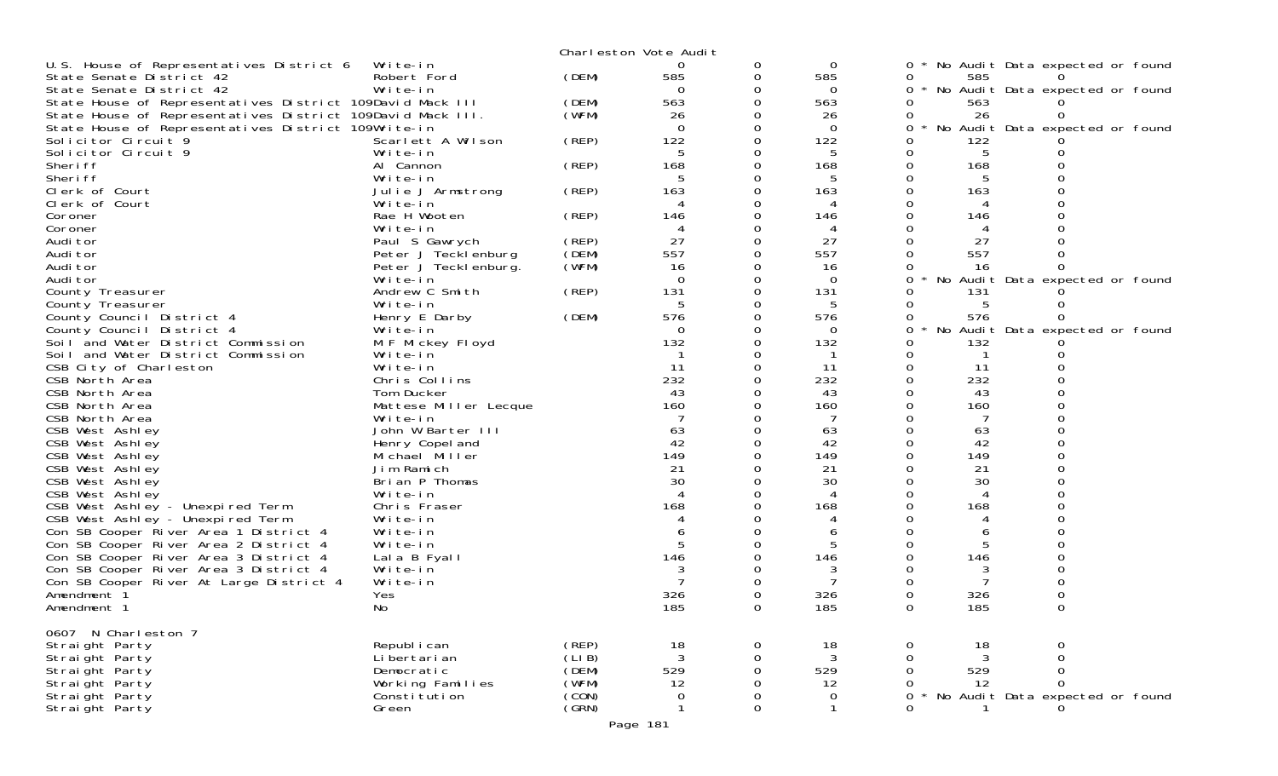|                                                            |                               |                 | Charleston Vote Audit |               |                |          |     |                                 |  |
|------------------------------------------------------------|-------------------------------|-----------------|-----------------------|---------------|----------------|----------|-----|---------------------------------|--|
| U.S. House of Representatives District 6                   | Write-in                      |                 | 0                     | 0             | 0              | 0        |     | No Audit Data expected or found |  |
| State Senate District 42                                   | Robert Ford                   | (DEM)           | 585                   | 0             | 585            | 0        | 585 |                                 |  |
| State Senate District 42                                   | Write-in                      |                 | $\Omega$              | 0             | $\Omega$       | 0        |     | No Audit Data expected or found |  |
| State House of Representatives District 109David Mack III  |                               | (DEM)           | 563                   | 0             | 563            | 0        | 563 |                                 |  |
| State House of Representatives District 109David Mack III. |                               | (WFM)           | 26                    |               | 26             | 0        | 26  |                                 |  |
| State House of Representatives District 109Write-in        |                               |                 | $\Omega$              | 0             | $\Omega$       | 0        |     | No Audit Data expected or found |  |
| Solicitor Circuit 9                                        | Scarlett A Wilson             | (REP)           | 122                   |               | 122            |          | 122 |                                 |  |
| Solicitor Circuit 9                                        | Write-in                      |                 | 5                     | 0             | 5              |          | 5   |                                 |  |
| Sheri ff                                                   | Al Cannon                     | (REP)           | 168                   | 0             | 168            | 0        | 168 |                                 |  |
| Sheri ff                                                   | Write-in                      |                 | 5                     |               | 5              |          |     |                                 |  |
| Clerk of Court                                             | Julie J Armstrong             | (REP)           | 163                   | $\Omega$      | 163            |          | 163 |                                 |  |
| Clerk of Court                                             | Write-in                      |                 |                       | 0             |                |          |     |                                 |  |
| Coroner                                                    | Rae H Wooten                  | (REP)           | 146                   |               | 146            |          | 146 |                                 |  |
| Coroner                                                    | Write-in                      |                 | 4                     |               | 4              |          |     |                                 |  |
| Audi tor                                                   | Paul S Gawrych                | (REP)           | 27                    | 0             | 27             |          | 27  |                                 |  |
| Audi tor                                                   | Peter J Tecklenburg           | (DEM)           | 557                   |               | 557            |          | 557 |                                 |  |
| Audi tor                                                   | Peter J Teckl enburg.         | (WFM)           | 16                    | 0             | 16             |          | 16  |                                 |  |
| Audi tor                                                   | Write-in                      |                 | $\Omega$              | 0             | $\overline{0}$ | 0        |     | No Audit Data expected or found |  |
| County Treasurer                                           | Andrew C Smith                | (REP)           | 131                   | 0             | 131            |          | 131 |                                 |  |
| County Treasurer                                           | Write-in                      |                 | 5                     | 0             | 5              |          | 5   |                                 |  |
| County Council District 4                                  | Henry E Darby                 | (DEM)           | 576                   | 0             | 576            |          | 576 |                                 |  |
| County Council District 4                                  | Write-in                      |                 | 0                     |               | 0              |          |     | No Audit Data expected or found |  |
| Soil and Water District Commission                         | M F Mickey Floyd              |                 | 132                   | 0             | 132            |          | 132 |                                 |  |
| Soil and Water District Commission                         | Write-in                      |                 |                       | 0             |                |          |     |                                 |  |
| CSB City of Charleston                                     | Write-in                      |                 | 11                    |               | 11             |          | 11  |                                 |  |
| CSB North Area                                             | Chris Collins                 |                 | 232                   | 0             | 232            | 0        | 232 |                                 |  |
| CSB North Area                                             | Tom Ducker                    |                 | 43                    | 0             | 43             |          | 43  |                                 |  |
| CSB North Area                                             | Mattese Miller Lecque         |                 | 160                   |               | 160            |          | 160 |                                 |  |
| CSB North Area                                             | Write-in                      |                 |                       |               |                |          |     |                                 |  |
| CSB West Ashley                                            | John W Barter III             |                 | 63                    | 0             | 63             |          | 63  |                                 |  |
| CSB West Ashley                                            | Henry Copel and               |                 | 42                    |               | 42             |          | 42  |                                 |  |
| CSB West Ashley                                            | Michael Miller                |                 | 149                   |               | 149            |          | 149 |                                 |  |
| CSB West Ashley                                            | Jim Ramich                    |                 | 21                    | 0             | 21             |          | 21  |                                 |  |
| CSB West Ashley                                            | Brian P Thomas                |                 | 30                    |               | 30             |          | 30  |                                 |  |
| CSB West Ashley                                            | Write-in                      |                 |                       |               |                |          |     |                                 |  |
| CSB West Ashley - Unexpired Term                           | Chris Fraser                  |                 | 168                   | 0             | 168            |          | 168 |                                 |  |
| CSB West Ashley - Unexpired Term                           | Write-in                      |                 |                       |               |                |          |     |                                 |  |
| Con SB Cooper River Area 1 District 4                      | Write-in                      |                 |                       | ი             | b              |          |     |                                 |  |
| Con SB Cooper River Area 2 District 4                      | Write-in                      |                 | 5                     |               | 5              |          |     |                                 |  |
| Con SB Cooper River Area 3 District 4                      | Lala B Fyall                  |                 | 146                   |               | 146            |          | 146 |                                 |  |
| Con SB Cooper River Area 3 District 4                      | Write-in                      |                 |                       |               |                |          |     |                                 |  |
| Con SB Cooper River At Large District 4                    | Write-in                      |                 |                       |               |                |          |     |                                 |  |
| Amendment 1                                                | Yes                           |                 | 326                   |               | 326            |          | 326 |                                 |  |
| Amendment 1                                                | No                            |                 | 185                   |               | 185            |          | 185 |                                 |  |
|                                                            |                               |                 |                       |               |                |          |     |                                 |  |
| 0607 N Charleston 7                                        |                               |                 |                       |               |                |          |     |                                 |  |
| Straight Party                                             | Republ i can<br>Li bertari an | (REP)<br>(LI B) | 18<br>3               | 0             | 18<br>3        | 0<br>0   | 18  | 0<br>0                          |  |
| Straight Party<br>Straight Party                           | Democratic                    | (DEM)           | 529                   | 0<br>$\Omega$ | 529            |          | 529 | 0                               |  |
| Straight Party                                             | Working Families              | (WFM)           | 12                    | 0             | 12             |          | 12  | $\Omega$                        |  |
| Straight Party                                             | Consti tuti on                | (CON)           | 0                     | 0             | 0              | 0        |     | No Audit Data expected or found |  |
| Straight Party                                             | Green                         | (GRN)           |                       | $\Omega$      |                | $\Omega$ |     |                                 |  |
|                                                            |                               |                 |                       |               |                |          |     |                                 |  |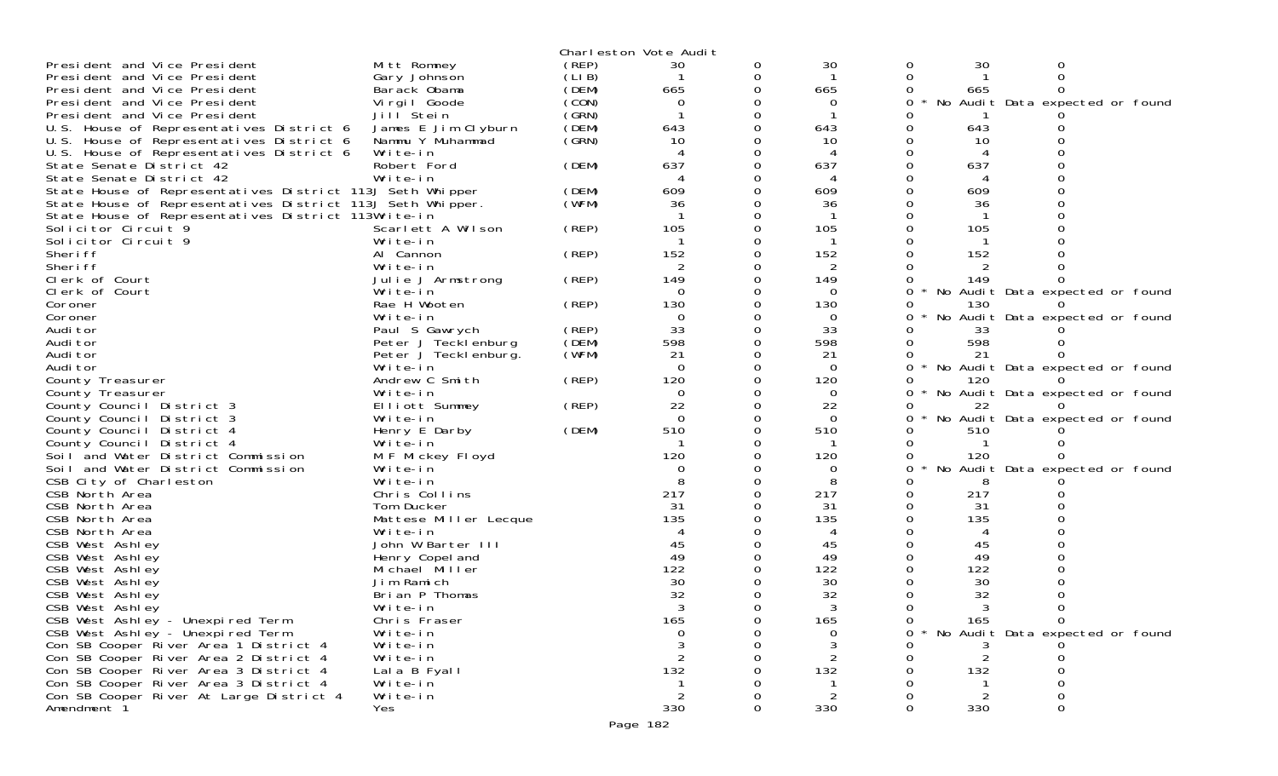|                                                            |                       |       | Charleston Vote Audit |          |          |          |     |                                 |  |
|------------------------------------------------------------|-----------------------|-------|-----------------------|----------|----------|----------|-----|---------------------------------|--|
| President and Vice President                               | Mitt Romney           | (REP) | 30                    | 0        | 30       | 0        | 30  | 0                               |  |
| President and Vice President                               | Gary Johnson          | (LIB) |                       | 0        | -1       | 0        |     | $\Omega$                        |  |
| President and Vice President                               | Barack Obama          | (DEM) | 665                   |          | 665      | 0        | 665 |                                 |  |
| President and Vice President                               | Virgil Goode          | (CON) | $\Omega$              |          | 0        | 0        |     | No Audit Data expected or found |  |
| President and Vice President                               | Jill Stein            | (GRN) |                       |          |          |          |     |                                 |  |
| U.S. House of Representatives District 6                   | James E Jim Clyburn   | (DEM) | 643                   | $\Omega$ | 643      | 0        | 643 |                                 |  |
| U.S. House of Representatives District 6                   | Nammu Y Muhammad      | (SRN) | 10                    |          | 10       | 0        | 10  |                                 |  |
| U.S. House of Representatives District 6                   | Write-in              |       |                       |          |          | 0        |     |                                 |  |
| State Senate District 42                                   | Robert Ford           | (DEM) | 637                   |          | 637      | $\Omega$ | 637 |                                 |  |
| State Senate District 42                                   | Write-in              |       |                       |          | 4        | 0        | 4   |                                 |  |
| State House of Representatives District 113J Seth Whipper  |                       | (DEM) | 609                   |          | 609      |          | 609 |                                 |  |
| State House of Representatives District 113J Seth Whipper. |                       | (WFM) | 36                    |          | 36       |          | 36  |                                 |  |
| State House of Representatives District 113Write-in        |                       |       |                       |          |          | Ω        |     |                                 |  |
| Solicitor Circuit 9                                        | Scarlett A Wilson     | (REP) | 105                   |          | 105      |          | 105 |                                 |  |
| Solicitor Circuit 9                                        | Write-in              |       |                       |          |          |          |     |                                 |  |
| Sheri ff                                                   | Al Cannon             | (REP) | 152                   |          | 152      |          | 152 |                                 |  |
| Sheri ff                                                   | Write-in              |       |                       |          | 2        |          | 2   |                                 |  |
| Clerk of Court                                             | Julie J Armstrong     | (REP) | 149                   |          | 149      |          | 149 |                                 |  |
| Clerk of Court                                             | Write-in              |       | $\Omega$              |          | $\Omega$ | 0        |     | No Audit Data expected or found |  |
| Coroner                                                    | Rae H Wooten          | (REP) | 130                   |          | 130      | 0        | 130 |                                 |  |
| Coroner                                                    | Write-in              |       | 0                     |          | 0        | 0        |     | No Audit Data expected or found |  |
| Audi tor                                                   | Paul S Gawrych        | (REP) | 33                    |          | 33       | 0        | 33  |                                 |  |
| Audi tor                                                   | Peter J Tecklenburg   | (DEM) | 598                   |          | 598      | 0        | 598 |                                 |  |
| Audi tor                                                   | Peter J Teckl enburg. | (WFM) | 21                    |          | 21       | 0        | 21  |                                 |  |
| Audi tor                                                   | Write-in              |       | $\Omega$              |          | $\Omega$ | 0        |     | No Audit Data expected or found |  |
| County Treasurer                                           | Andrew C Smith        | (REP) | 120                   |          | 120      | 0        | 120 |                                 |  |
| County Treasurer                                           | Write-in              |       | $\Omega$              |          | $\Omega$ | 0        |     | No Audit Data expected or found |  |
| County Council District 3                                  | Elliott Summey        | (REP) | 22                    |          | 22       | 0        | 22  |                                 |  |
| County Council District 3                                  | Write-in              |       | $\Omega$              |          | $\Omega$ | 0        |     | No Audit Data expected or found |  |
| County Council District 4                                  | Henry E Darby         | (DEM) | 510                   |          | 510      |          | 510 |                                 |  |
| County Council District 4                                  | Write-in              |       |                       |          |          | 0        |     |                                 |  |
| Soil and Water District Commission                         | M F Mickey Floyd      |       | 120                   |          | 120      | 0        | 120 |                                 |  |
| Soil and Water District Commission                         | Write-in              |       | $\Omega$              |          | 0        | 0        |     | No Audit Data expected or found |  |
| CSB City of Charleston                                     | Write-in              |       |                       |          | 8        |          | 8   |                                 |  |
| CSB North Area                                             | Chris Collins         |       | 217                   |          | 217      | 0        | 217 |                                 |  |
| CSB North Area                                             | Tom Ducker            |       | 31                    |          | 31       | 0        | -31 |                                 |  |
| CSB North Area                                             | Mattese Miller Lecque |       | 135                   |          | 135      |          | 135 |                                 |  |
| CSB North Area                                             | Write-in              |       |                       |          | 4        |          |     |                                 |  |
| CSB West Ashley                                            | John W Barter III     |       | 45                    |          | 45       | 0        | 45  |                                 |  |
| CSB West Ashley                                            | Henry Copel and       |       | 49                    |          | 49       |          | 49  |                                 |  |
| CSB West Ashley                                            | Michael Miller        |       | 122                   |          | 122      |          | 122 |                                 |  |
| CSB West Ashley                                            | Jim Ramich            |       | 30                    |          | 30       | 0        | 30  |                                 |  |
| CSB West Ashley                                            | Brian P Thomas        |       | 32                    |          | 32       |          | 32  |                                 |  |
| CSB West Ashley                                            | Write-in              |       |                       |          |          | 0        |     |                                 |  |
| CSB West Ashley - Unexpired Term                           | Chris Fraser          |       | 165                   |          | 165      | 0        | 165 | $\mathbf 0$                     |  |
| CSB West Ashley - Unexpired Term                           | Write-in              |       | 0                     |          | 0        | 0        |     | No Audit Data expected or found |  |
| Con SB Cooper River Area 1 District 4                      | Write-in              |       |                       |          |          |          | 3   |                                 |  |
| Con SB Cooper River Area 2 District 4                      | Write-in              |       |                       |          |          |          |     |                                 |  |
| Con SB Cooper River Area 3 District 4                      | Lala B Fyall          |       | 132                   |          | 132      |          | 132 |                                 |  |
| Con SB Cooper River Area 3 District 4                      | Write-in              |       |                       |          |          |          |     |                                 |  |
| Con SB Cooper River At Large District 4                    | Write-in              |       |                       |          |          |          |     |                                 |  |
| Amendment 1                                                | Yes                   |       | 330                   |          | 330      |          | 330 | $\Omega$                        |  |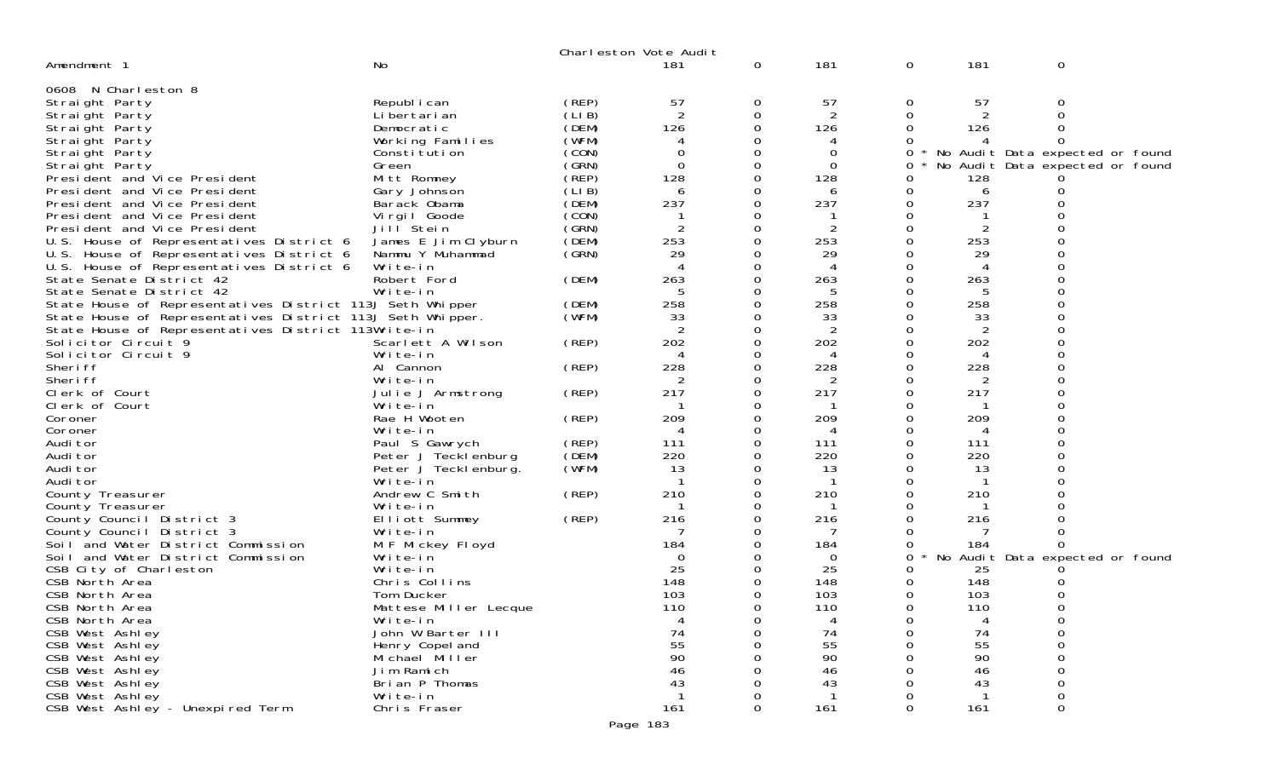|                                                            |                            |       | Charleston Vote Audit |          |                |        |                    |                                 |
|------------------------------------------------------------|----------------------------|-------|-----------------------|----------|----------------|--------|--------------------|---------------------------------|
| Amendment 1                                                | No                         |       | 181                   | 0        | 181            | 0      | 181                | 0                               |
| 0608 N Charleston 8                                        |                            |       |                       |          |                |        |                    |                                 |
| Straight Party                                             | Republ i can               | (REP) | 57                    | 0        | 57             | 0      | 57                 | 0                               |
| Straight Party                                             | Li bertari an              | (LIB) | 2                     | 0        | $\overline{2}$ | 0      | 2                  | 0                               |
| Straight Party                                             | Democratic                 | (DEM) | 126                   | $\Omega$ | 126            | 0      | 126                |                                 |
| Straight Party                                             | Working Families           | (WFM) | 4                     | 0        | 4              |        |                    |                                 |
| Straight Party                                             | Constitution               | (CON) | 0                     | 0        | 0              | 0      |                    | No Audit Data expected or found |
| Straight Party                                             | Green                      | (GRN) | $\Omega$              | 0        | $\Omega$       | 0      |                    | No Audit Data expected or found |
| President and Vice President                               | Mitt Romney                | (REP) | 128                   | 0        | 128            | Ω      | 128                |                                 |
| President and Vice President                               | Gary Johnson               | (LIB) | 6                     | 0        | 6              | 0      | 6                  |                                 |
| President and Vice President                               | Barack Obama               | (DEM) | 237                   | 0        | 237            | 0      | 237                |                                 |
| President and Vice President                               | Virgil Goode               | (CON) |                       | 0        |                | 0      |                    |                                 |
| President and Vice President                               | Jill Stein                 | (GRN) |                       | 0        |                | 0      |                    |                                 |
| U.S. House of Representatives District 6                   | James E Jim Clyburn        | (DEM) | 253                   | $\Omega$ | 253            | 0      | 253                |                                 |
| U.S. House of Representatives District 6                   | Nammu Y Muhammad           | (GRN) | 29                    | 0        | 29             | 0      | 29                 |                                 |
| U.S. House of Representatives District 6                   | Write-in                   |       |                       | 0        | 4              | ი      | 4                  |                                 |
| State Senate District 42                                   | Robert Ford                | (DEM) | 263                   | 0        | 263            | 0      | 263                |                                 |
| State Senate District 42                                   | Write-in                   |       | 5                     | 0        | 5              | 0      | 5                  |                                 |
| State House of Representatives District 113J Seth Whipper  |                            | (DEM) | 258                   | 0        | 258            | 0      | 258                |                                 |
| State House of Representatives District 113J Seth Whipper. |                            | (WFM) | 33                    | 0        | 33             | 0      | 33                 |                                 |
| State House of Representatives District 113Write-in        |                            |       | $\overline{2}$        | 0        | 2              | 0      | $\overline{2}$     |                                 |
| Solicitor Circuit 9                                        | Scarlett A Wilson          | (REP) | 202                   | 0        | 202            |        | 202                |                                 |
| Solicitor Circuit 9                                        | Write-in                   |       | 4                     | $\Omega$ | 4              | 0      | 4                  |                                 |
| Sheri ff                                                   | Al Cannon                  | (REP) | 228                   | 0        | 228            | 0      | 228                |                                 |
| Sheri ff                                                   | Write-in                   |       |                       | 0        | 2              | ი      | 2                  |                                 |
| Clerk of Court                                             | Julie J Armstrong          | (REP) | 217                   | $\Omega$ | 217            | 0      | 217                |                                 |
| Clerk of Court                                             | Write-in                   |       |                       | 0        |                | 0      |                    |                                 |
| Coroner                                                    | Rae H Wooten               | (REP) | 209                   | 0        | 209            | 0      | 209                |                                 |
| Coroner                                                    | Write-in                   |       | 4                     | $\Omega$ | 4              | 0      | 4                  |                                 |
| Audi tor                                                   | Paul S Gawrych             | (REP) | 111                   | 0        | 111            | 0      | 111                |                                 |
| Audi tor                                                   | Peter J Tecklenburg        | (DEM) | 220                   | 0        | 220            |        | 220                |                                 |
| Audi tor                                                   | Peter J Tecklenburg.       | (WFM) | 13                    | $\Omega$ | 13<br>-1       | 0      | 13<br>$\mathbf{1}$ |                                 |
| Audi tor                                                   | Write-in<br>Andrew C Smith |       | 210                   | 0<br>0   | 210            | 0<br>0 | 210                |                                 |
| County Treasurer                                           | Write-in                   | (REP) |                       | 0        |                | 0      |                    |                                 |
| County Treasurer<br>County Council District 3              | Elliott Summey             | (REP) | 216                   | 0        | 216            |        | 216                |                                 |
| County Council District 3                                  | Write-in                   |       |                       |          | 7              | ი      |                    |                                 |
| Soil and Water District Commission                         | M F Mickey Floyd           |       | 184                   | 0        | 184            | 0      | 184                |                                 |
| Soil and Water District Commission                         | Write-in                   |       | 0                     | 0        | 0              | 0      |                    | No Audit Data expected or found |
| CSB City of Charleston                                     | Write-in                   |       | 25                    |          | 25             |        | 25                 |                                 |
| CSB North Area                                             | Chris Collins              |       | 148                   | 0        | 148            | 0      | 148                |                                 |
| CSB North Area                                             | Tom Ducker                 |       | 103                   | 0        | 103            | 0      | 103                |                                 |
| CSB North Area                                             | Mattese Miller Lecque      |       | 110                   | 0        | 110            | 0      | 110                | 0                               |
| CSB North Area                                             | Write-in                   |       | 4                     | 0        | 4              | 0      |                    |                                 |
| CSB West Ashley                                            | John W Barter III          |       | 74                    | 0        | 74             | 0      | 74                 | 0                               |
| CSB West Ashley                                            | Henry Copel and            |       | 55                    |          | 55             |        | 55                 |                                 |
| CSB West Ashley                                            | Michael Miller             |       | 90                    |          | 90             |        | 90                 |                                 |
| CSB West Ashley                                            | Jim Ramich                 |       | 46                    |          | 46             |        | 46                 |                                 |
| CSB West Ashley                                            | Brian P Thomas             |       | 43                    |          | 43             |        | 43                 |                                 |
| CSB West Ashley                                            | Write-in                   |       |                       | O        |                |        |                    | O                               |
| CSB West Ashley - Unexpired Term                           | Chris Fraser               |       | 161                   | 0        | 161            | 0      | 161                | 0                               |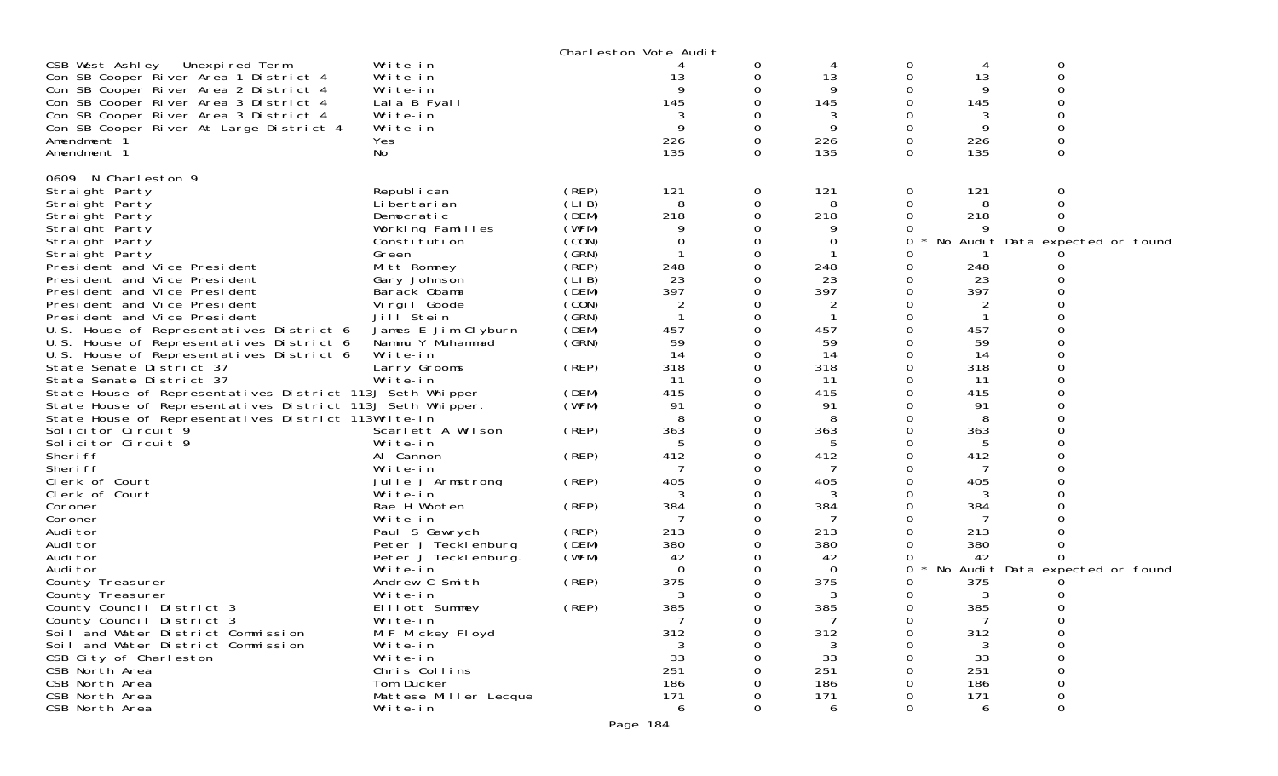|                                                            |                       |       | Charleston Vote Audit |          |          |   |     |                                 |  |
|------------------------------------------------------------|-----------------------|-------|-----------------------|----------|----------|---|-----|---------------------------------|--|
| CSB West Ashley - Unexpired Term                           | Write-in              |       |                       | 0        |          | 0 | 4   | 0                               |  |
| Con SB Cooper River Area 1 District 4                      | Write-in              |       | 13                    |          | 13       | 0 | 13  | 0                               |  |
| Con SB Cooper River Area 2 District 4                      | Write-in              |       |                       |          | 9        | Ω | 9   |                                 |  |
| Con SB Cooper River Area 3 District 4                      | Lala B Fyall          |       | 145                   |          | 145      | 0 | 145 |                                 |  |
| Con SB Cooper River Area 3 District 4                      | Write-in              |       |                       |          | 3        | 0 | 3   |                                 |  |
| Con SB Cooper River At Large District 4                    | Write-in              |       |                       |          | 9        | 0 | 9   |                                 |  |
| Amendment 1                                                | Yes                   |       | 226                   |          | 226      | 0 | 226 |                                 |  |
| Amendment 1                                                | No                    |       | 135                   | 0        | 135      | 0 | 135 | 0                               |  |
|                                                            |                       |       |                       |          |          |   |     |                                 |  |
| 0609 N Charleston 9                                        |                       |       |                       |          |          |   |     |                                 |  |
| Straight Party                                             | Republ i can          | (REP) | 121                   | 0        | 121      | 0 | 121 | 0                               |  |
| Straight Party                                             | Li bertari an         | (LIB) | 8                     | 0        | 8        | 0 | 8   |                                 |  |
| Straight Party                                             | Democratic            | (DEM) | 218                   |          | 218      | 0 | 218 |                                 |  |
| Straight Party                                             | Working Families      | (WFM) |                       |          | 9        |   |     |                                 |  |
| Straight Party                                             | Constitution          | (CON) |                       |          | 0        | 0 |     | No Audit Data expected or found |  |
| Straight Party                                             | Green                 | (GRN) |                       |          |          | ი |     |                                 |  |
| President and Vice President                               | Mitt Romney           | (REP) | 248                   |          | 248      | 0 | 248 |                                 |  |
|                                                            |                       |       | 23                    |          | 23       |   | 23  |                                 |  |
| President and Vice President                               | Gary Johnson          | (LIB) | 397                   |          | 397      | 0 | 397 |                                 |  |
| President and Vice President                               | Barack Obama          | (DEM) |                       |          |          | 0 |     |                                 |  |
| President and Vice President                               | Vi rgi I Goode        | (CON) | 2                     |          | 2        | 0 | 2   |                                 |  |
| President and Vice President                               | Jill <sup>Stein</sup> | (SRN) |                       |          |          |   |     |                                 |  |
| U.S. House of Representatives District 6                   | James E Jim Clyburn   | (DEM) | 457                   |          | 457      | Ω | 457 |                                 |  |
| U.S. House of Representatives District 6                   | Nammu Y Muhammad      | (GRN) | 59                    |          | 59       | 0 | 59  |                                 |  |
| U.S. House of Representatives District 6                   | Write-in              |       | 14                    |          | 14       | 0 | 14  |                                 |  |
| State Senate District 37                                   | Larry Grooms          | (REP) | 318                   |          | 318      | 0 | 318 |                                 |  |
| State Senate District 37                                   | Write-in              |       | 11                    |          | 11       | 0 | 11  |                                 |  |
| State House of Representatives District 113J Seth Whipper  |                       | (DEM) | 415                   |          | 415      | ∩ | 415 |                                 |  |
| State House of Representatives District 113J Seth Whipper. |                       | (WFM) | 91                    |          | 91       | Ω | 91  |                                 |  |
| State House of Representatives District 113Write-in        |                       |       |                       |          | 8        | Ω | 8   |                                 |  |
| Solicitor Circuit 9                                        | Scarlett A Wilson     | (REP) | 363                   |          | 363      | 0 | 363 |                                 |  |
| Solicitor Circuit 9                                        | Write-in              |       | 5                     |          | 5        | 0 | 5   |                                 |  |
| Sheri ff                                                   | Al Cannon             | (REP) | 412                   |          | 412      | ი | 412 |                                 |  |
| Sheri ff                                                   | Write-in              |       |                       |          |          | O |     |                                 |  |
| Clerk of Court                                             | Julie J Armstrong     | (REP) | 405                   |          | 405      | 0 | 405 |                                 |  |
| Clerk of Court                                             | Write-in              |       |                       |          | 3        | 0 | 3   |                                 |  |
| Coroner                                                    | Rae H Wooten          | (REP) | 384                   | 0        | 384      | 0 | 384 |                                 |  |
| Coroner                                                    | Write-in              |       |                       |          |          | 0 |     |                                 |  |
| Audi tor                                                   | Paul S Gawrych        | (REP) | 213                   |          | 213      |   | 213 |                                 |  |
| Audi tor                                                   | Peter J Tecklenburg   | (DEM) | 380                   |          | 380      | 0 | 380 |                                 |  |
| Audi tor                                                   | Peter J Teckl enburg. | (WFM) | 42                    |          | 42       | 0 | 42  |                                 |  |
| Audi tor                                                   | Write-in              |       | $\Omega$              |          | $\Omega$ | 0 |     | No Audit Data expected or found |  |
| County Treasurer                                           | Andrew C Smith        | (REP) | 375                   |          | 375      | 0 | 375 |                                 |  |
| County Treasurer                                           | Write-in              |       | 3                     |          | 3        | 0 | 3   |                                 |  |
| County Council District 3                                  | Elliott Summey        | (REP) | 385                   | $\Omega$ | 385      | 0 | 385 | 0                               |  |
| County Council District 3                                  | Write-in              |       |                       |          |          | 0 |     | 0                               |  |
| Soil and Water District Commission                         | M F Mickey Floyd      |       | 312                   |          | 312      | 0 | 312 | 0                               |  |
| Soil and Water District Commission                         | Write-in              |       |                       |          | 3        | ი | 3   | 0                               |  |
| CSB City of Charleston                                     | Write-in              |       | 33                    |          | 33       |   | 33  | O                               |  |
| CSB North Area                                             | Chris Collins         |       | 251                   |          | 251      |   | 251 | 0                               |  |
| CSB North Area                                             | Tom Ducker            |       | 186                   |          | 186      |   | 186 | 0                               |  |
| CSB North Area                                             | Mattese Miller Lecque |       | 171                   |          | 171      | Ω | 171 | 0                               |  |
| CSB North Area                                             | Write-in              |       | 6                     |          | 6        | 0 | 6   | 0                               |  |
|                                                            |                       |       |                       |          |          |   |     |                                 |  |
|                                                            |                       |       | Page 184              |          |          |   |     |                                 |  |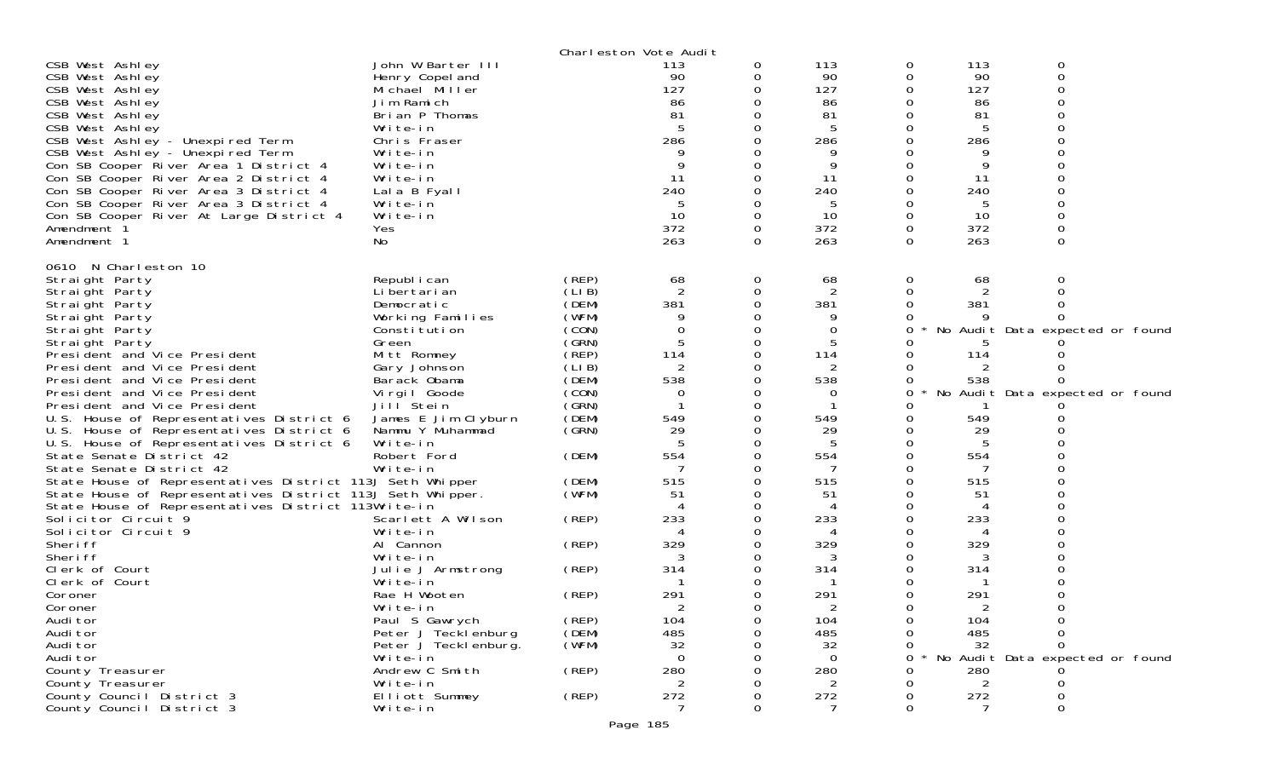|                                                                                                                   |                                                        |                | Charleston Vote Audit |          |                       |                        |                  |                                      |  |
|-------------------------------------------------------------------------------------------------------------------|--------------------------------------------------------|----------------|-----------------------|----------|-----------------------|------------------------|------------------|--------------------------------------|--|
| CSB West Ashley<br>CSB West Ashley<br>CSB West Ashley                                                             | John W Barter III<br>Henry Copel and<br>Michael Miller |                | 113<br>90<br>127      | 0        | 113<br>90<br>127      | $\mathbf{0}$<br>0<br>0 | 113<br>90<br>127 | 0<br>0<br>0                          |  |
| CSB West Ashley                                                                                                   | Jim Ramich                                             |                | 86                    |          | 86                    |                        | 86               | ∩                                    |  |
| CSB West Ashley<br>CSB West Ashley                                                                                | Brian P Thomas<br>Write-in                             |                | 81                    |          | 81<br>5               | 0<br>0                 | 81<br>5          |                                      |  |
| CSB West Ashley - Unexpired Term                                                                                  | Chris Fraser                                           |                | 286                   |          | 286                   | 0                      | 286              |                                      |  |
| CSB West Ashley - Unexpired Term<br>Con SB Cooper River Area 1 District 4                                         | Write-in<br>Write-in                                   |                |                       |          | 9<br>9                | 0                      | 9<br>9           |                                      |  |
| Con SB Cooper River Area 2 District 4                                                                             | Write-in                                               |                | 11                    |          | 11                    | $\Omega$               | 11               |                                      |  |
| Con SB Cooper River Area 3 District 4                                                                             | Lala B Fyall                                           |                | 240                   |          | 240                   | 0                      | 240              |                                      |  |
| Con SB Cooper River Area 3 District 4<br>Con SB Cooper River At Large District 4                                  | Write-in<br>Write-in                                   |                | 10                    |          | 5<br>10               | 0                      | 5<br>10          | $\Omega$                             |  |
| Amendment 1                                                                                                       | Yes                                                    |                | 372                   | 0        | 372                   | 0                      | 372              | 0                                    |  |
| Amendment 1                                                                                                       | No                                                     |                | 263                   | $\Omega$ | 263                   | 0                      | 263              | 0                                    |  |
| 0610 N Charleston 10                                                                                              |                                                        |                |                       |          |                       |                        |                  |                                      |  |
| Straight Party                                                                                                    | Republ i can                                           | (REP)          | 68                    | 0        | 68                    | 0                      | 68               | 0                                    |  |
| Straight Party<br>Straight Party                                                                                  | Li bertari an<br>Democratic                            | (LIB)<br>(DEM) | 381                   | 0        | $\overline{2}$<br>381 | 0<br>0                 | 381              |                                      |  |
| Straight Party                                                                                                    | Working Families                                       | (WFM)          |                       |          |                       |                        |                  |                                      |  |
| Straight Party                                                                                                    | Constitution                                           | (CON)          | $\Omega$              |          | 0                     | 0                      |                  | No Audit Data expected or found      |  |
| Straight Party<br>President and Vice President                                                                    | Green<br>Mitt Romney                                   | (GRN)<br>(REP) | 5<br>114              |          | 5<br>114              | O<br>0                 | 114              |                                      |  |
| President and Vice President                                                                                      | Gary Johnson                                           | (LIB)          | 2                     |          | 2                     | 0                      |                  |                                      |  |
| President and Vice President                                                                                      | Barack Obama                                           | (DEM)          | 538                   |          | 538                   | 0                      | 538              |                                      |  |
| President and Vice President<br>President and Vice President                                                      | Virgil Goode<br>Jill Stein                             | (CON)<br>(GRN) | 0                     |          | 0                     | 0<br>O                 |                  | No Audit Data expected or found      |  |
| U.S. House of Representatives District 6                                                                          | James E Jim Clyburn                                    | (DEM)          | 549                   |          | 549                   | 0                      | 549              |                                      |  |
| U.S. House of Representatives District 6                                                                          | Nammu Y Muhammad                                       | (GRN)          | 29                    |          | 29                    |                        | 29               |                                      |  |
| U.S. House of Representatives District 6<br>State Senate District 42                                              | Write-in<br>Robert Ford                                | (DEM)          | 5<br>554              |          | -5<br>554             | 0                      | -5<br>554        |                                      |  |
| State Senate District 42                                                                                          | Write-in                                               |                |                       |          |                       |                        |                  |                                      |  |
| State House of Representatives District 113J Seth Whipper                                                         |                                                        | (DEM)          | 515                   |          | 515                   | 0                      | 515              |                                      |  |
| State House of Representatives District 113J Seth Whipper.<br>State House of Representatives District 113Write-in |                                                        | (WFM)          | 51                    |          | 51<br>4               | 0<br>0                 | 51               |                                      |  |
| Solicitor Circuit 9                                                                                               | Scarlett A Wilson                                      | (REP)          | 233                   |          | 233                   | 0                      | 233              |                                      |  |
| Solicitor Circuit 9                                                                                               | Write-in                                               |                |                       |          | 4                     | 0                      | 4                |                                      |  |
| Sheri ff<br>Sheri ff                                                                                              | Al Cannon<br>Write-in                                  | (REP)          | 329<br>3              |          | 329<br>3              | 0                      | 329<br>3         |                                      |  |
| Clerk of Court                                                                                                    | Julie J Armstrong                                      | (REP)          | 314                   |          | 314                   | 0                      | 314              |                                      |  |
| Clerk of Court                                                                                                    | Write-in                                               |                |                       |          |                       | 0                      |                  | Ω                                    |  |
| Coroner<br>Coroner                                                                                                | Rae H Wooten<br>Write-in                               | (REP)          | 291<br>2              |          | 291<br>$\overline{2}$ | 0<br>$\Omega$          | 291<br>2         | 0                                    |  |
| Audi tor                                                                                                          | Paul S Gawrych                                         | (REP)          | 104                   | O        | 104                   | 0                      | 104              | 0                                    |  |
| Audi tor                                                                                                          | Peter J Tecklenburg                                    | (DEM)          | 485                   |          | 485                   | 0                      | 485              | 0                                    |  |
| Audi tor<br>Audi tor                                                                                              | Peter J Teckl enburg.                                  | (WFM)          | 32<br>$\Omega$        |          | 32<br>$\Omega$        | 0                      | 32               | 0<br>No Audit Data expected or found |  |
| County Treasurer                                                                                                  | Write-in<br>Andrew C Smith                             | (REP)          | 280                   |          | 280                   | 0<br>0                 | 280              |                                      |  |
| County Treasurer                                                                                                  | Write-in                                               |                | 2                     |          | 2                     |                        | 2                | 0                                    |  |
| County Council District 3                                                                                         | Elliott Summey                                         | (REP)          | 272                   |          | 272                   | O                      | 272              | Ω                                    |  |
| County Council District 3                                                                                         | Write-in                                               |                | 7                     | 0        | 7                     | 0                      | 7                | 0                                    |  |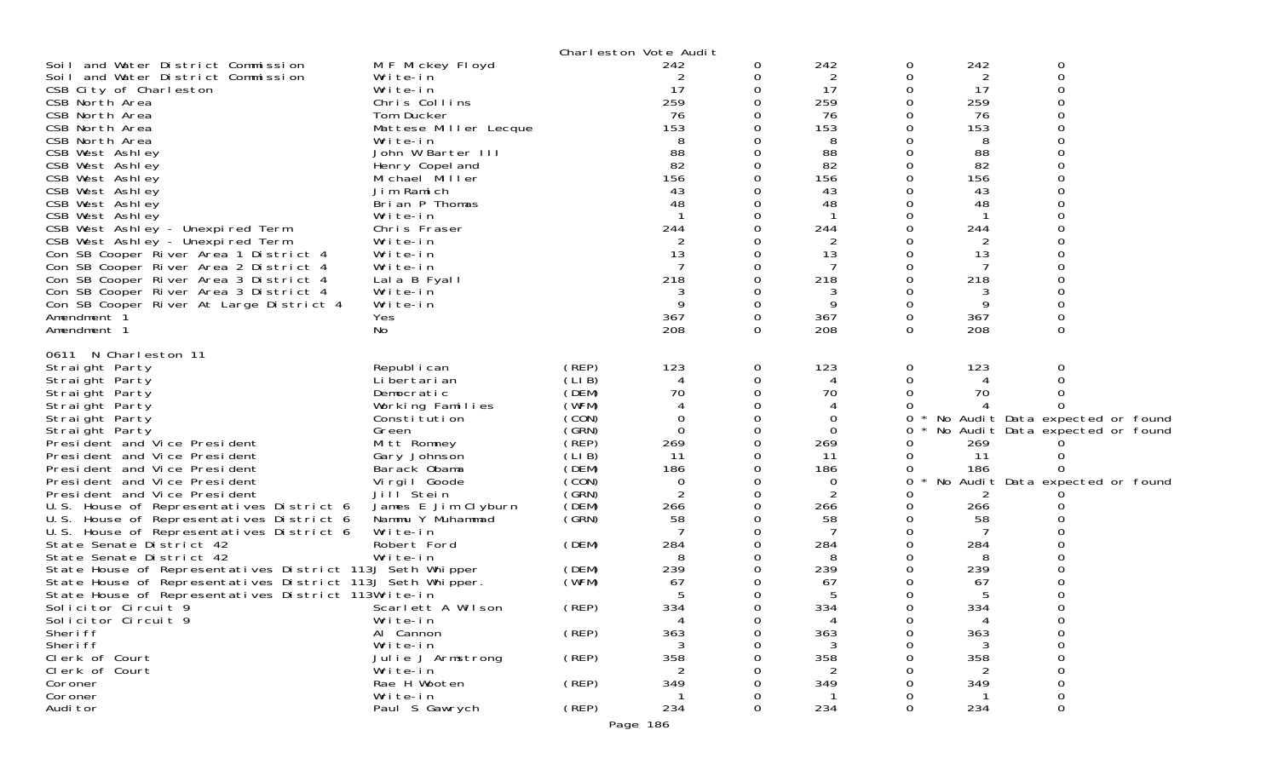|                                                            |                          |                | Charleston Vote Audit |          |                       |          |                |                                 |
|------------------------------------------------------------|--------------------------|----------------|-----------------------|----------|-----------------------|----------|----------------|---------------------------------|
| Soil and Water District Commission                         | M F Mickey Floyd         |                | 242                   | 0        | 242                   | 0        | 242            | 0                               |
| Soil and Water District Commission                         | Write-in                 |                |                       | 0        | $\overline{2}$        | 0        | $\overline{2}$ | 0                               |
| CSB City of Charleston                                     | Write-in                 |                | 17                    | 0        | 17                    | 0        | 17             |                                 |
| CSB North Area                                             | Chris Collins            |                | 259                   | 0        | 259                   | 0        | 259            |                                 |
| CSB North Area                                             | Tom Ducker               |                | 76                    |          | 76                    |          | 76             |                                 |
| CSB North Area                                             | Mattese Miller Lecque    |                | 153                   |          | 153                   | 0        | 153            |                                 |
| CSB North Area                                             | Write-in                 |                | 8                     |          | 8                     |          | 8              |                                 |
| CSB West Ashley                                            | John W Barter III        |                | 88                    |          | 88                    |          | 88             |                                 |
| CSB West Ashley                                            | Henry Copel and          |                | 82                    |          | 82                    |          | 82             |                                 |
| CSB West Ashley                                            | Michael Miller           |                | 156                   | 0        | 156                   | $\Omega$ | 156            |                                 |
| CSB West Ashley                                            | Jim Ramich               |                | 43                    |          | 43                    |          | 43             |                                 |
| CSB West Ashley                                            | Brian P Thomas           |                | 48                    |          | 48                    |          | 48             |                                 |
| CSB West Ashley                                            | Write-in                 |                |                       | 0        | $\mathbf 1$           | 0        | -1             |                                 |
| CSB West Ashley - Unexpired Term                           | Chris Fraser             |                | 244                   | 0        | 244                   |          | 244            |                                 |
| CSB West Ashley - Unexpired Term                           | Write-in                 |                |                       |          | 2                     |          | 2              |                                 |
| Con SB Cooper River Area 1 District 4                      | Write-in                 |                | 13                    | 0        | 13                    | 0        | 13             |                                 |
| Con SB Cooper River Area 2 District 4                      | Write-in                 |                | 7                     | 0        | 7                     | 0        | -7             |                                 |
| Con SB Cooper River Area 3 District 4                      | Lala B Fyall             |                | 218                   | $\Omega$ | 218                   | 0        | 218            |                                 |
| Con SB Cooper River Area 3 District 4                      | Write-in                 |                | 3                     | 0        | 3                     | 0        | 3              |                                 |
| Con SB Cooper River At Large District 4                    | Write-in                 |                | 9                     | 0        | 9                     | 0        | 9              |                                 |
| Amendment 1                                                | Yes                      |                | 367                   | 0        | 367                   | 0        | 367            |                                 |
| Amendment 1                                                | No                       |                | 208                   | 0        | 208                   | $\Omega$ | 208            | $\Omega$                        |
|                                                            |                          |                |                       |          |                       |          |                |                                 |
| 0611 N Charleston 11                                       |                          |                |                       |          |                       |          |                |                                 |
| Straight Party                                             | Republ i can             | (REP)          | 123                   | 0        | 123                   | 0        | 123            | 0                               |
| Straight Party                                             | Li bertari an            | (LIB)          | 4                     | 0        | 4                     |          | 4              |                                 |
| Straight Party                                             | Democratic               | (DEM)          | 70                    | 0        | 70                    |          | 70             |                                 |
| Straight Party                                             | Working Families         | (WFM)          | 4                     | 0        | 4                     |          |                |                                 |
| Straight Party                                             | Constitution             | (CON)          | 0                     | 0        | 0                     | 0        |                | No Audit Data expected or found |
| Straight Party                                             | Green                    | (GRN)          | $\Omega$              | 0        | $\Omega$              | 0        |                | No Audit Data expected or found |
| President and Vice President                               | Mitt Romney              | (REP)          | 269                   | 0        | 269                   |          | 269            |                                 |
| President and Vice President                               | Gary Johnson             | (LIB)          | 11                    | 0        | 11                    | 0        | 11             |                                 |
| President and Vice President                               | Barack Obama             | (DEM)          | 186                   | 0        | 186                   |          | 186            |                                 |
| President and Vice President                               | Virgil Goode             | (CON)          | $\mathbf 0$           | 0        | 0                     | 0        |                | No Audit Data expected or found |
| President and Vice President                               | Jill Stein               | (GRN)          | $\overline{2}$        | 0        | 2                     | $\Omega$ |                |                                 |
| U.S. House of Representatives District 6                   | James E Jim Clyburn      | (DEM)          | 266                   | 0        | 266                   | $\Omega$ | 266            |                                 |
| U.S. House of Representatives District 6                   | Nammu Y Muhammad         | (GRN)          | 58                    | 0        | 58<br>7               | 0        | 58<br>-7       |                                 |
| U.S. House of Representatives District 6                   | Write-in                 |                |                       | 0        |                       | 0<br>0   |                |                                 |
| State Senate District 42                                   | Robert Ford<br>Write-in  | (DEM)          | 284<br>8              | 0        | 284                   |          | 284<br>8       |                                 |
| State Senate District 42                                   |                          |                | 239                   | 0<br>0   | 8<br>239              | 0<br>0   | 239            |                                 |
| State House of Representatives District 113J Seth Whipper  |                          | (DEM)<br>(WFM) |                       | 0        |                       |          |                |                                 |
| State House of Representatives District 113J Seth Whipper. |                          |                | 67                    |          | 67                    |          | 67             |                                 |
| State House of Representatives District 113Write-in        |                          |                | 5<br>334              | 0<br>0   | 5<br>334              |          | 5<br>334       | 0                               |
| Solicitor Circuit 9                                        | Scarlett A Wilson        | (REP)          |                       |          |                       | 0        |                |                                 |
| Solicitor Circuit 9<br>Sheri ff                            | Write-in                 |                |                       | 0        |                       | 0        |                | 0                               |
| Sheri ff                                                   | Al Cannon<br>Write-in    | (REP)          | 363                   | 0        | 363                   | 0        | 363            | $\Omega$                        |
| Clerk of Court                                             |                          |                |                       |          |                       |          |                |                                 |
| Clerk of Court                                             | Julie J Armstrong        | (REP)          | 358                   |          | 358<br>$\overline{2}$ |          | 358<br>2       | 0                               |
|                                                            | Write-in<br>Rae H Wooten |                | 349                   |          | 349                   |          | 349            | 0                               |
| Coroner<br>Coroner                                         | Write-in                 | (REP)          |                       |          |                       |          |                | $\mathbf 0$                     |
| Audi tor                                                   |                          | (REP)          | 234                   | 0        | 234                   | 0        | 234            |                                 |
|                                                            | Paul S Gawrych           |                |                       |          |                       |          |                | 0                               |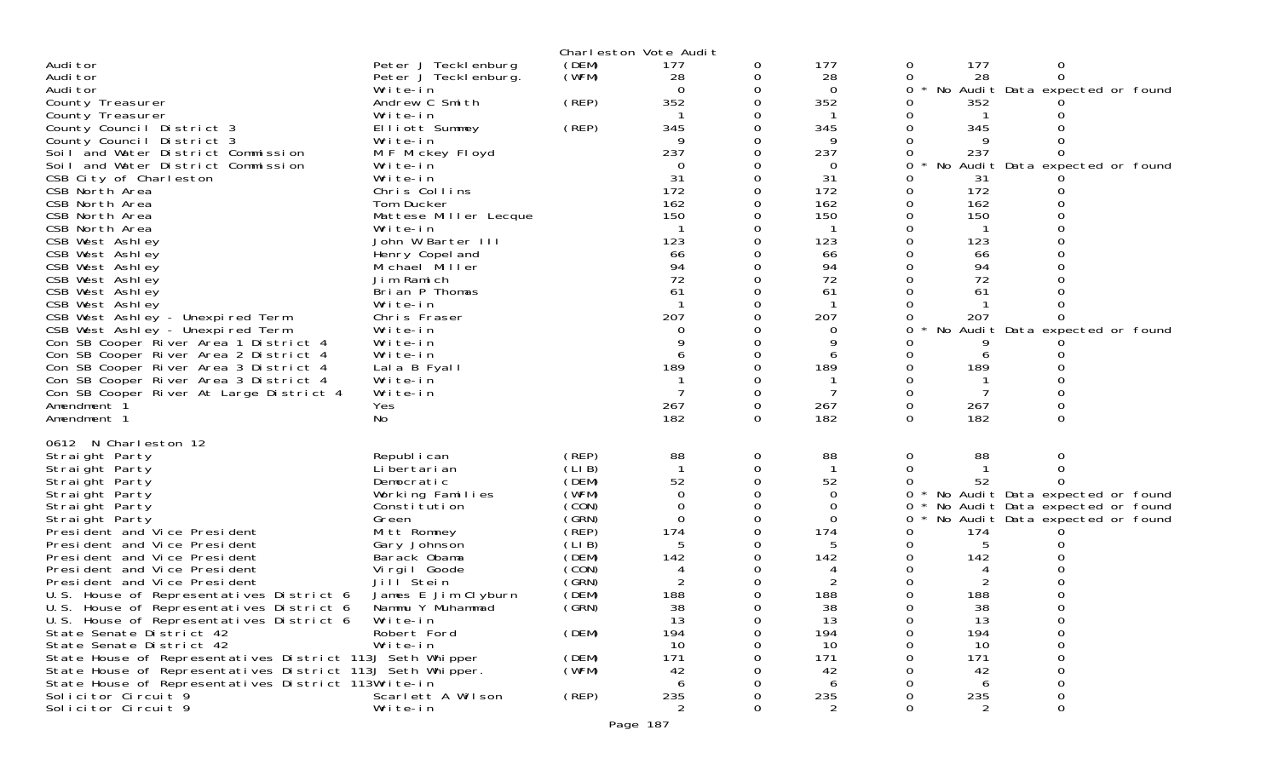|                                                            |                                  |                | Charleston Vote Audit |          |                |          |            |                                                                    |  |
|------------------------------------------------------------|----------------------------------|----------------|-----------------------|----------|----------------|----------|------------|--------------------------------------------------------------------|--|
| Audi tor                                                   | Peter J Tecklenburg              | (DEM)          | 177                   | 0        | 177            | 0        | 177        | 0                                                                  |  |
| Audi tor                                                   | Peter J Teckl enburg.            | (WFM)          | 28                    | 0        | 28             | 0        | 28         | 0                                                                  |  |
| Audi tor                                                   | Write-in                         |                | $\Omega$              | 0        | 0              | 0        |            | No Audit Data expected or found                                    |  |
| County Treasurer                                           | Andrew C Smith                   | (REP)          | 352                   | 0        | 352            |          | 352        |                                                                    |  |
| County Treasurer<br>County Council District 3              | Write-in<br>Elliott Summey       | (REP)          | 345                   | O        | 345            |          | 345        |                                                                    |  |
| County Council District 3                                  | Write-in                         |                | 9                     |          | 9              |          |            |                                                                    |  |
| Soil and Water District Commission                         | M F Mickey Floyd                 |                | 237                   |          | 237            |          | 237        |                                                                    |  |
| Soil and Water District Commission                         | Write-in                         |                | $\Omega$              |          | $\Omega$       | 0        |            | No Audit Data expected or found                                    |  |
| CSB City of Charleston                                     | Write-in                         |                | 31                    |          | 31             |          | 31         |                                                                    |  |
| CSB North Area                                             | Chris Collins                    |                | 172                   |          | 172            |          | 172        |                                                                    |  |
| CSB North Area                                             | Tom Ducker                       |                | 162                   |          | 162            |          | 162        |                                                                    |  |
| CSB North Area                                             | Mattese Miller Lecque            |                | 150                   |          | 150            |          | 150        |                                                                    |  |
| CSB North Area                                             | Write-in                         |                |                       |          |                |          |            |                                                                    |  |
| CSB West Ashley                                            | John W Barter III                |                | 123                   |          | 123            |          | 123        |                                                                    |  |
| CSB West Ashley                                            | Henry Copel and                  |                | 66<br>94              |          | 66<br>94       |          | 66<br>94   |                                                                    |  |
| CSB West Ashley<br>CSB West Ashley                         | Michael Miller<br>Jim Ramich     |                | 72                    |          | 72             |          | 72         |                                                                    |  |
| CSB West Ashley                                            | Brian P Thomas                   |                | 61                    |          | 61             |          | 61         |                                                                    |  |
| CSB West Ashley                                            | Write-in                         |                |                       |          |                |          |            |                                                                    |  |
| CSB West Ashley - Unexpired Term                           | Chris Fraser                     |                | 207                   |          | 207            |          | 207        |                                                                    |  |
| CSB West Ashley - Unexpired Term                           | Write-in                         |                | 0                     |          | 0              |          |            | No Audit Data expected or found                                    |  |
| Con SB Cooper River Area 1 District 4                      | Write-in                         |                |                       |          | Q              |          |            |                                                                    |  |
| Con SB Cooper River Area 2 District 4                      | Write-in                         |                | 6                     |          |                |          |            |                                                                    |  |
| Con SB Cooper River Area 3 District 4                      | Lala B Fyall                     |                | 189                   |          | 189            |          | 189        |                                                                    |  |
| Con SB Cooper River Area 3 District 4                      | Write-in                         |                |                       |          |                |          |            |                                                                    |  |
| Con SB Cooper River At Large District 4                    | Write-in                         |                |                       | 0        |                | 0        |            |                                                                    |  |
| Amendment 1                                                | Yes                              |                | 267<br>182            | 0<br>0   | 267<br>182     | 0<br>0   | 267<br>182 | 0                                                                  |  |
| Amendment 1                                                | No                               |                |                       |          |                |          |            |                                                                    |  |
| 0612 N Charleston 12                                       |                                  |                |                       |          |                |          |            |                                                                    |  |
| Straight Party                                             | Republ i can                     | (REP)          | 88                    | 0        | 88             | 0        | 88         | Ω                                                                  |  |
| Straight Party                                             | Li bertari an                    | (LI B)         | $\mathbf{1}$          | 0        |                | $\Omega$ |            |                                                                    |  |
| Straight Party                                             | Democratic                       | (DEM)<br>(WFM) | 52<br>$\Omega$        | $\Omega$ | 52<br>$\Omega$ | 0        | 52         |                                                                    |  |
| Straight Party<br>Straight Party                           | Working Families<br>Constitution | (CON)          | $\Omega$              | 0        | $\Omega$       | 0        |            | No Audit Data expected or found<br>No Audit Data expected or found |  |
| Straight Party                                             | Green                            | (GRN)          | $\Omega$              |          | $\Omega$       | 0        |            | No Audit Data expected or found                                    |  |
| President and Vice President                               | Mitt Romney                      | (REP)          | 174                   | 0        | 174            |          | 174        |                                                                    |  |
| President and Vice President                               | Gary Johnson                     | (LIB)          | 5                     |          | 5              | 0        | 5          |                                                                    |  |
| President and Vice President                               | Barack Obama                     | (DEM)          | 142                   |          | 142            |          | 142        |                                                                    |  |
| President and Vice President                               | Virgil Goode                     | (CON)          |                       |          |                |          |            |                                                                    |  |
| President and Vice President                               | Jill <sup>Stein</sup>            | (GRN)          | 2                     |          | 2              |          | 2          |                                                                    |  |
| U.S. House of Representatives District 6                   | James E Jim Clyburn              | (DEM)          | 188                   |          | 188            |          | 188        |                                                                    |  |
| U.S. House of Representatives District 6                   | Nammu Y Muhammad                 | (GRN)          | 38                    |          | 38             |          | 38         |                                                                    |  |
| U.S. House of Representatives District 6                   | Write-in                         |                | 13                    | 0        | 13             | 0        | 13         |                                                                    |  |
| State Senate District 42<br>State Senate District 42       | Robert Ford<br>Write-in          | (DEM)          | 194<br>10             |          | 194<br>10      |          | 194<br>10  |                                                                    |  |
| State House of Representatives District 113J Seth Whipper  |                                  | (DEM)          | 171                   |          | 171            |          | 171        |                                                                    |  |
| State House of Representatives District 113J Seth Whipper. |                                  | (WFM)          | 42                    |          | 42             |          | 42         |                                                                    |  |
| State House of Representatives District 113Write-in        |                                  |                | 6                     |          | 6              |          | 6          |                                                                    |  |
| Solicitor Circuit 9                                        | Scarlett A Wilson                | (REP)          | 235                   |          | 235            |          | 235        |                                                                    |  |
| Solicitor Circuit 9                                        | Write-in                         |                | $\overline{2}$        |          | 2              |          | 2          | 0                                                                  |  |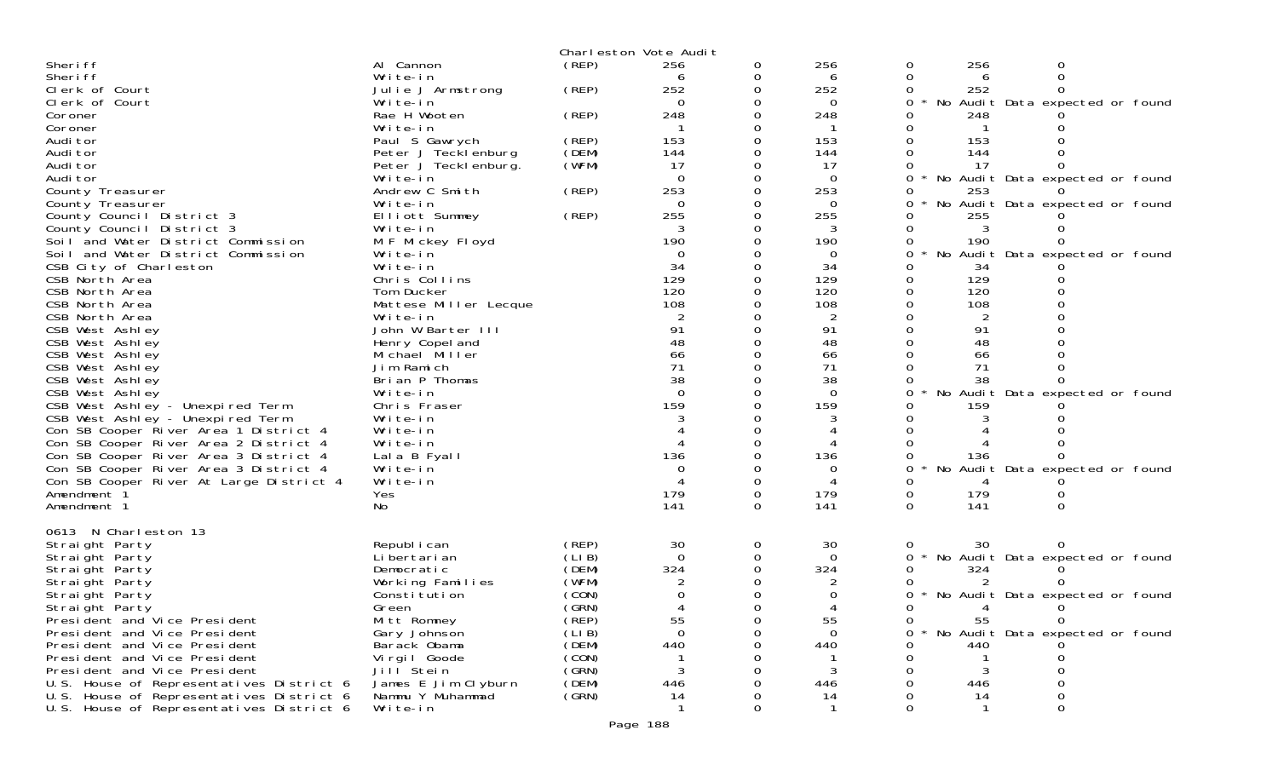|                                                                      |                       |       | Charleston Vote Audit |          |                |          |      |                                 |  |
|----------------------------------------------------------------------|-----------------------|-------|-----------------------|----------|----------------|----------|------|---------------------------------|--|
| Sheri ff                                                             | Al Cannon             | (REP) | 256                   | 0        | 256            | 0        | 256  | 0                               |  |
| Sheri ff                                                             | Write-in              |       |                       |          | 6              | 0        | 6    | $\Omega$                        |  |
| Clerk of Court                                                       | Julie J Armstrong     | (REP) | 252                   | 0        | 252            | 0        | 252  |                                 |  |
| Clerk of Court                                                       | Write-in              |       | $\Omega$              | 0        | $\overline{0}$ | 0        |      | No Audit Data expected or found |  |
| Coroner                                                              | Rae H Wooten          | (REP) | 248                   |          | 248            | 0        | 248  |                                 |  |
| Coroner                                                              | Write-in              |       |                       | 0        |                | 0        |      |                                 |  |
| Audi tor                                                             | Paul S Gawrych        | (REP) | 153                   | 0        | 153            | 0        | 153  |                                 |  |
| Audi tor                                                             | Peter J Tecklenburg   | (DEM) | 144                   |          | 144            | 0        | 144  |                                 |  |
| Audi tor                                                             | Peter J Teckl enburg. | (WFM) | 17                    |          | 17             |          | 17   |                                 |  |
| Audi tor                                                             | Write-in              |       | $\Omega$              |          | $\overline{0}$ | 0        |      | No Audit Data expected or found |  |
| County Treasurer                                                     | Andrew C Smith        | (REP) | 253                   |          | 253            | 0        | 253  |                                 |  |
| County Treasurer                                                     | Write-in              |       | $\Omega$              | 0        | $\Omega$       | 0        |      | No Audit Data expected or found |  |
| County Council District 3                                            | Elliott Summey        | (REP) | 255                   | 0        | 255            | 0        | 255  |                                 |  |
| County Council District 3                                            | Write-in              |       |                       |          |                | 0        | 3    |                                 |  |
| Soil and Water District Commission                                   | M F Mickey Floyd      |       | 190                   | 0        | 190            | 0        | 190  | $\Omega$                        |  |
| Soil and Water District Commission                                   | Write-in              |       | 0                     |          | 0              | 0        |      | No Audit Data expected or found |  |
| CSB City of Charleston                                               | Write-in              |       | 34                    |          | 34             | 0        | 34   |                                 |  |
| CSB North Area                                                       | Chris Collins         |       | 129                   |          | 129            | $\Omega$ | 129  |                                 |  |
| CSB North Area                                                       | Tom Ducker            |       | 120                   |          | 120            | 0        | 120  |                                 |  |
| CSB North Area                                                       | Mattese Miller Lecque |       | 108                   |          | 108            |          | 108  |                                 |  |
| CSB North Area                                                       | Write-in              |       |                       |          | $\overline{2}$ |          |      |                                 |  |
| CSB West Ashley                                                      | John W Barter III     |       | 91                    |          | 91             | 0        | 91   |                                 |  |
| CSB West Ashley                                                      | Henry Copel and       |       | 48                    |          | 48             |          | 48   |                                 |  |
| CSB West Ashley                                                      | Michael Miller        |       | 66                    |          | 66             | $\Omega$ | 66   |                                 |  |
| CSB West Ashley                                                      | Jim Ramich            |       | 71                    |          | 71             | 0        | 71   |                                 |  |
| CSB West Ashley                                                      | Brian P Thomas        |       | 38                    |          | 38             |          | 38   |                                 |  |
| CSB West Ashley                                                      | Write-in              |       | $\Omega$              |          | $\Omega$       | $\Omega$ |      | No Audit Data expected or found |  |
| CSB West Ashley - Unexpired Term<br>CSB West Ashley - Unexpired Term | Chris Fraser          |       | 159                   |          | 159            | 0        | 159  |                                 |  |
|                                                                      | Write-in              |       |                       |          |                |          |      |                                 |  |
| Con SB Cooper River Area 1 District 4                                | Write-in              |       |                       |          |                |          |      |                                 |  |
| Con SB Cooper River Area 2 District 4                                | Write-in              |       |                       |          |                |          |      |                                 |  |
| Con SB Cooper River Area 3 District 4                                | Lala B Fyall          |       | 136                   |          | 136            | 0        | 136  |                                 |  |
| Con SB Cooper River Area 3 District 4                                | Write-in              |       | $\Omega$              | 0        | $\Omega$       | $\Omega$ |      | No Audit Data expected or found |  |
| Con SB Cooper River At Large District 4                              | Write-in              |       |                       | 0        | 4              | 0        |      |                                 |  |
| Amendment 1                                                          | Yes                   |       | 179                   |          | 179            | 0        | 179  |                                 |  |
| Amendment 1                                                          | No                    |       | 141                   | $\Omega$ | 141            | $\Omega$ | 141  | $\Omega$                        |  |
| 0613 N Charleston 13                                                 | Republ i can          | (REP) | 30                    | 0        | 30             |          | 30   |                                 |  |
| Straight Party<br>Straight Party                                     | Li bertari an         | (LIB) | $\Omega$              |          | $\overline{0}$ | 0<br>0   |      | No Audit Data expected or found |  |
| Straight Party                                                       | Democratic            | (DEM) | 324                   |          | 324            | 0        | 324  |                                 |  |
| Straight Party                                                       | Working Families      | (WFM) | 2                     |          | 2              | O        | 2    | 0                               |  |
| Straight Party                                                       | Constitution          | (CON) |                       |          |                |          |      | No Audit Data expected or found |  |
|                                                                      | Green                 | (SRN) |                       |          |                | 0        | 4    |                                 |  |
| Straight Party<br>President and Vice President                       | Mitt Romney           | (REP) | 55                    |          | 55             | 0        | 55   | 0                               |  |
| President and Vice President                                         | Gary Johnson          | (LIB) | $\Omega$              |          | 0              | 0        |      | No Audit Data expected or found |  |
| President and Vice President                                         | Barack Obama          | (DEM) | 440                   |          | 440            |          | 440. |                                 |  |
| President and Vice President                                         | Virgil Goode          | (CON) |                       |          |                | O        |      | O                               |  |
| President and Vice President                                         | Jill <sup>Stein</sup> | (GRN) | 3                     |          | 3              |          | 3    | 0                               |  |
| U.S. House of Representatives District 6                             | James E Jim Clyburn   | (DEM) | 446                   |          | 446            |          | 446  |                                 |  |
| U.S. House of Representatives District 6                             | Nammu Y Muhammad      | (GRN) | 14                    |          | 14             | 0        | 14   | Ω                               |  |
| U.S. House of Representatives District 6                             | Write-in              |       |                       | 0        |                | 0        |      | 0                               |  |
|                                                                      |                       |       |                       |          |                |          |      |                                 |  |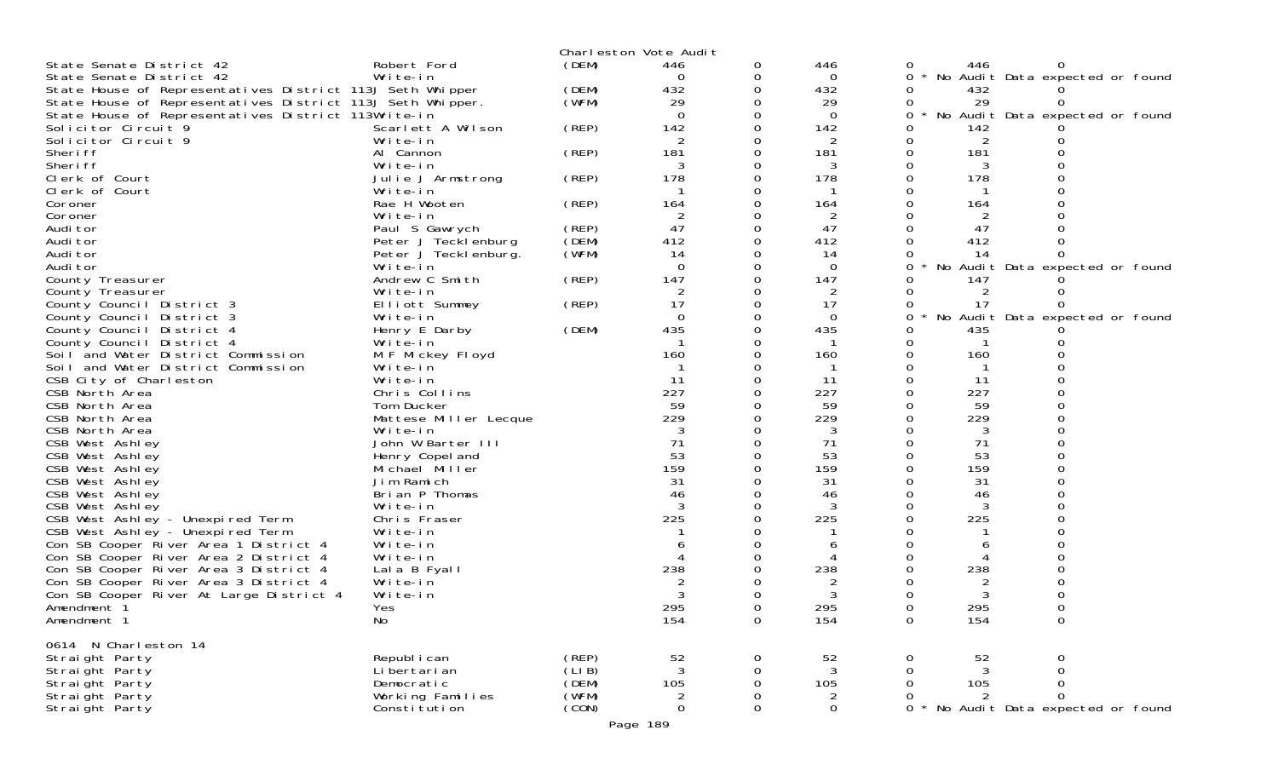|                                                                                |                              |                | Charleston Vote Audit |          |          |          |                |                                 |  |
|--------------------------------------------------------------------------------|------------------------------|----------------|-----------------------|----------|----------|----------|----------------|---------------------------------|--|
| State Senate District 42                                                       | Robert Ford                  | (DEM)          | 446                   | 0        | 446      | 0        | 446            |                                 |  |
| State Senate District 42                                                       | Write-in                     |                | $\Omega$              | 0        | 0        | 0        |                | No Audit Data expected or found |  |
| State House of Representatives District 113J Seth Whipper                      |                              | (DEM)          | 432                   | 0        | 432      | 0        | 432            |                                 |  |
| State House of Representatives District 113J Seth Whipper.                     |                              | (WFM)          | 29                    | 0        | 29       |          | 29             |                                 |  |
| State House of Representatives District 113Write-in                            |                              |                | $\Omega$              |          | $\Omega$ | 0        |                | No Audit Data expected or found |  |
| Solicitor Circuit 9                                                            | Scarlett A Wilson            | (REP)          | 142                   | 0        | 142      |          | 142            |                                 |  |
| Solicitor Circuit 9<br>Sheri ff                                                | Write-in<br>Al Cannon        | (REP)          | 2<br>181              | 0        | 2<br>181 | 0        | 2<br>181       |                                 |  |
| Sheri ff                                                                       | Write-in                     |                | 3                     | 0        | 3        |          |                |                                 |  |
| Clerk of Court                                                                 | Julie J Armstrong            | (REP)          | 178                   | 0        | 178      | 0        | 178            |                                 |  |
| Clerk of Court                                                                 | Write-in                     |                |                       |          |          |          |                |                                 |  |
| Coroner                                                                        | Rae H Wooten                 | (REP)          | 164                   | 0        | 164      |          | 164            |                                 |  |
| Coroner                                                                        | Write-in                     |                | 2                     | 0        | 2        |          | 2              |                                 |  |
| Audi tor                                                                       | Paul S Gawrych               | (REP)          | 47                    |          | 47       |          | 47             |                                 |  |
| Audi tor                                                                       | Peter J Tecklenburg          | (DEM)          | 412                   | $\Omega$ | 412      |          | 412            |                                 |  |
| Audi tor                                                                       | Peter J Tecklenburg.         | (WFM)          | 14                    | 0        | 14       |          | 14             |                                 |  |
| Audi tor                                                                       | Write-in                     |                | $\Omega$              | $\Omega$ | $\Omega$ | 0        |                | No Audit Data expected or found |  |
| County Treasurer                                                               | Andrew C Smith               | (REP)          | 147                   | $\Omega$ | 147      |          | 147            |                                 |  |
| County Treasurer                                                               | Write-in                     |                | 2                     | 0        | 2        |          | $\overline{2}$ |                                 |  |
| County Council District 3                                                      | Elliott Summey               | (REP)          | 17                    | 0        | 17       | 0        | 17             |                                 |  |
| County Council District 3                                                      | Write-in                     |                | 0                     | 0        | 0        | 0        |                | No Audit Data expected or found |  |
| County Council District 4                                                      | Henry E Darby                | (DEM)          | 435                   | 0        | 435      |          | 435            |                                 |  |
| County Council District 4<br>Soil and Water District Commission                | Write-in<br>M F Mickey Floyd |                | 160                   | 0        | 160      | 0        | 160            |                                 |  |
| Soil and Water District Commission                                             | Write-in                     |                |                       | 0        |          |          |                |                                 |  |
| CSB City of Charleston                                                         | Write-in                     |                | 11                    |          | 11       |          | 11             |                                 |  |
| CSB North Area                                                                 | Chris Collins                |                | 227                   |          | 227      | O        | 227            |                                 |  |
| CSB North Area                                                                 | Tom Ducker                   |                | 59                    | 0        | 59       |          | 59             |                                 |  |
| CSB North Area                                                                 | Mattese Miller Lecque        |                | 229                   |          | 229      |          | 229            |                                 |  |
| CSB North Area                                                                 | Write-in                     |                |                       |          | 3        |          | 3              |                                 |  |
| CSB West Ashley                                                                | John W Barter III            |                | 71                    |          | 71       |          | 71             |                                 |  |
| CSB West Ashley                                                                | Henry Copel and              |                | 53                    |          | 53       |          | 53             |                                 |  |
| CSB West Ashley                                                                | Michael Miller               |                | 159                   |          | 159      |          | 159            |                                 |  |
| CSB West Ashley                                                                | Jim Ramich                   |                | 31                    |          | 31       |          | 31             |                                 |  |
| CSB West Ashley                                                                | Brian P Thomas               |                | 46                    |          | 46       |          | 46             |                                 |  |
| CSB West Ashley                                                                | Write-in                     |                | 3                     |          | 3        |          | 3              |                                 |  |
| CSB West Ashley - Unexpired Term<br>CSB West Ashley - Unexpired Term           | Chris Fraser<br>Write-in     |                | 225                   |          | 225      |          | 225            |                                 |  |
|                                                                                | Write-in                     |                |                       |          |          |          |                |                                 |  |
| Con SB Cooper River Area 1 District 4<br>Con SB Cooper River Area 2 District 4 | Write-in                     |                |                       |          |          |          |                |                                 |  |
| Con SB Cooper River Area 3 District 4                                          | Lala B Fyall                 |                | 238                   |          | 238      |          | 238            |                                 |  |
| Con SB Cooper River Area 3 District 4                                          | Write-in                     |                |                       |          | 2        |          | 2              |                                 |  |
| Con SB Cooper River At Large District 4                                        | Write-in                     |                |                       |          |          |          |                |                                 |  |
| Amendment 1                                                                    | Yes                          |                | 295                   |          | 295      |          | 295            |                                 |  |
| Amendment 1                                                                    | No                           |                | 154                   | 0        | 154      | 0        | 154            | 0                               |  |
|                                                                                |                              |                |                       |          |          |          |                |                                 |  |
| 0614 N Charleston 14                                                           |                              |                |                       |          |          |          |                |                                 |  |
| Straight Party                                                                 | Republ i can                 | (REP)          | 52                    | 0        | 52       |          | 52             | 0                               |  |
| Straight Party                                                                 | Li bertari an                | (LI B)         | 3                     | 0        | 3        |          | 3              |                                 |  |
| Straight Party                                                                 | Democratic                   | (DEM)          | 105                   | 0        | 105      |          | 105            | 0                               |  |
| Straight Party                                                                 | Working Families             | (WFM)<br>(CON) | 2<br>$\mathbf 0$      | 0        | 2        | $\Omega$ | 2              | $\Omega$                        |  |
| Straight Party                                                                 | Constitution                 |                |                       | 0        | 0        |          |                | No Audit Data expected or found |  |
|                                                                                |                              |                | Page 189              |          |          |          |                |                                 |  |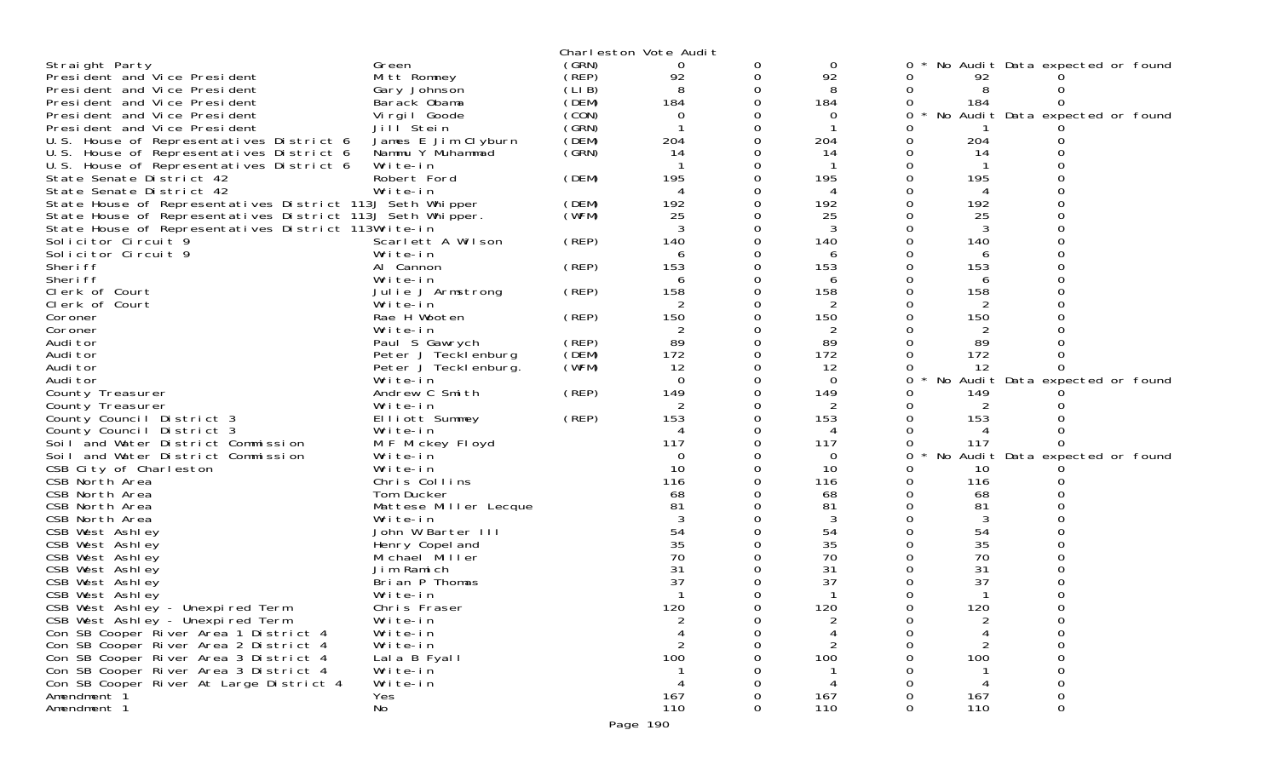|                                                                                       |                              |       | Charleston Vote Audit |   |                 |   |          |                                 |  |
|---------------------------------------------------------------------------------------|------------------------------|-------|-----------------------|---|-----------------|---|----------|---------------------------------|--|
| Straight Party                                                                        | Green                        | (GRN) | 0                     |   | 0               |   |          | No Audit Data expected or found |  |
| President and Vice President                                                          | Mitt Romney                  | (REP) | 92                    | 0 | 92              |   | 92       |                                 |  |
| President and Vice President                                                          | Gary Johnson                 | (LIB) | 8                     | 0 | 8               |   | 8        |                                 |  |
| President and Vice President                                                          | Barack Obama                 | (DEM) | 184                   |   | 184             |   | 184      |                                 |  |
| President and Vice President                                                          | Virgil Goode                 | (CON) | 0                     |   | 0               |   |          | No Audit Data expected or found |  |
| President and Vice President                                                          | Jill <sup>Stein</sup>        | (GRN) |                       |   |                 |   |          |                                 |  |
| U.S. House of Representatives District 6                                              | James E Jim Clyburn          | (DEM) | 204                   |   | 204             |   | 204      |                                 |  |
| U.S. House of Representatives District 6                                              | Nammu Y Muhammad             | (SRN) | 14                    |   | 14              |   | 14       |                                 |  |
| U.S. House of Representatives District 6                                              | Write-in                     |       |                       |   |                 |   |          |                                 |  |
| State Senate District 42                                                              | Robert Ford<br>Write-in      | (DEM) | 195                   |   | 195             |   | 195      |                                 |  |
| State Senate District 42<br>State House of Representatives District 113J Seth Whipper |                              | (DEM) | 192                   |   | 192             |   | 192      |                                 |  |
| State House of Representatives District 113J Seth Whipper.                            |                              | (WFM) | 25                    |   | 25              |   | 25       |                                 |  |
| State House of Representatives District 113Write-in                                   |                              |       |                       |   | 3               |   | 3        |                                 |  |
| Solicitor Circuit 9                                                                   | Scarlett A Wilson            | (REP) | 140                   |   | 140             |   | 140      |                                 |  |
| Solicitor Circuit 9                                                                   | Write-in                     |       | 6                     |   | 6               |   | 6        |                                 |  |
| Sheri ff                                                                              | Al Cannon                    | (REP) | 153                   |   | 153             |   | 153      |                                 |  |
| Sheri ff                                                                              | Write-in                     |       | 6                     |   | 6               |   | 6        |                                 |  |
| Clerk of Court                                                                        | Julie J Armstrong            | (REP) | 158                   |   | 158             |   | 158      |                                 |  |
| Clerk of Court                                                                        | Write-in                     |       |                       |   | 2               |   | 2        |                                 |  |
| Coroner                                                                               | Rae H Wooten                 | (REP) | 150                   |   | 150             |   | 150      |                                 |  |
| Coroner                                                                               | Write-in                     |       |                       |   | 2               |   | 2        |                                 |  |
| Audi tor                                                                              | Paul S Gawrych               | (REP) | 89                    |   | 89              |   | 89       |                                 |  |
| Audi tor                                                                              | Peter J Tecklenburg          | (DEM) | 172                   |   | 172             |   | 172      |                                 |  |
| Audi tor                                                                              | Peter J Tecklenburg.         | (WFM) | 12                    |   | 12              |   | 12       |                                 |  |
| Audi tor<br>County Treasurer                                                          | Write-in<br>Andrew C Smith   | (REP) | $\Omega$<br>149       |   | $\Omega$<br>149 | 0 | 149      | No Audit Data expected or found |  |
| County Treasurer                                                                      | Write-in                     |       |                       |   | 2               |   |          |                                 |  |
| County Council District 3                                                             | Elliott Summey               | (REP) | 153                   |   | 153             |   | 153      |                                 |  |
| County Council District 3                                                             | Write-in                     |       |                       |   | 4               |   | 4        |                                 |  |
| Soil and Water District Commission                                                    | M F Mickey Floyd             |       | 117                   |   | 117             |   | 117      |                                 |  |
| Soil and Water District Commission                                                    | Write-in                     |       | 0                     |   | 0               | 0 | No       | Audit Data expected or found    |  |
| CSB City of Charleston                                                                | Write-in                     |       | 10                    |   | 10              |   | 10       |                                 |  |
| CSB North Area                                                                        | Chris Collins                |       | 116                   |   | 116             |   | 116      |                                 |  |
| CSB North Area                                                                        | Tom Ducker                   |       | 68                    |   | 68              |   | 68       |                                 |  |
| CSB North Area                                                                        | Mattese Miller Lecque        |       | 81                    |   | 81              |   | 81       |                                 |  |
| CSB North Area                                                                        | Write-in                     |       |                       |   | 3               |   |          |                                 |  |
| CSB West Ashley                                                                       | John W Barter III            |       | 54                    |   | 54              |   | 54       |                                 |  |
| CSB West Ashley                                                                       | Henry Copel and              |       | 35                    |   | 35              |   | 35       |                                 |  |
| CSB West Ashley                                                                       | Michael Miller               |       | 70                    |   | 70              |   | 70       |                                 |  |
| CSB West Ashley<br>CSB West Ashley                                                    | Jim Ramich<br>Brian P Thomas |       | 31<br>37              |   | 31<br>37        |   | 31<br>37 |                                 |  |
| CSB West Ashley                                                                       | Write-in                     |       |                       |   |                 |   |          |                                 |  |
| CSB West Ashley - Unexpired Term                                                      | Chris Fraser                 |       | 120                   |   | 120             |   | 120      |                                 |  |
| CSB West Ashley - Unexpired Term                                                      | Write-in                     |       | $\overline{c}$        |   | 2               |   | 2        |                                 |  |
| Con SB Cooper River Area 1 District 4                                                 | Write-in                     |       |                       |   |                 |   |          |                                 |  |
| Con SB Cooper River Area 2 District 4                                                 | Write-in                     |       |                       |   | 2               |   | 2        |                                 |  |
| Con SB Cooper River Area 3 District 4                                                 | Lala B Fyall                 |       | 100                   |   | 100             |   | 100      |                                 |  |
| Con SB Cooper River Area 3 District 4                                                 | Write-in                     |       |                       |   |                 |   |          |                                 |  |
| Con SB Cooper River At Large District 4                                               | Write-in                     |       |                       |   |                 |   |          |                                 |  |
| Amendment 1                                                                           | Yes                          |       | 167                   |   | 167             |   | 167      |                                 |  |
| Amendment 1                                                                           | No                           |       | 110                   | 0 | 110             | 0 | 110      | 0                               |  |
|                                                                                       |                              |       | Page 190              |   |                 |   |          |                                 |  |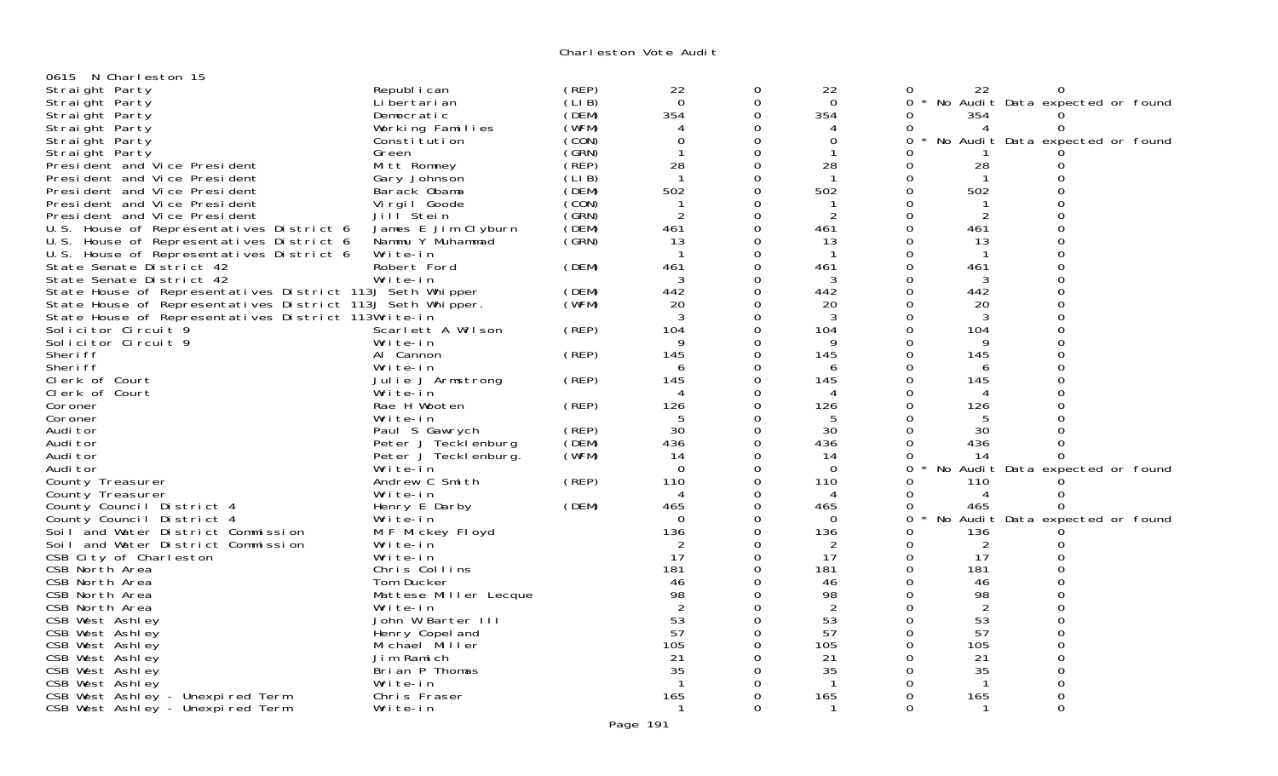| 0615 N Charleston 15                                       |                       |        |                |                  |                |             |                |                                 |  |
|------------------------------------------------------------|-----------------------|--------|----------------|------------------|----------------|-------------|----------------|---------------------------------|--|
| Straight Party                                             | Republ i can          | (REP)  | 22             | 0                | 22             | 0           | 22             | O                               |  |
| Straight Party                                             | Li bertari an         | (LIB)  | $\Omega$       | 0                | $\Omega$       | $0 *$       |                | No Audit Data expected or found |  |
| Straight Party                                             | Democratic            | (DEM)  | 354            | $\Omega$         | 354            | $\Omega$    | 354            |                                 |  |
| Straight Party                                             | Working Families      | (WFM)  | 4              | $\mathbf 0$      | 4              | $\Omega$    | 4              | 0                               |  |
| Straight Party                                             | Constitution          | (CON)  | $\overline{0}$ | $\mathbf 0$      | $\overline{0}$ | 0           |                | No Audit Data expected or found |  |
| Straight Party                                             | Green                 | (GRN)  | $\mathbf{1}$   | $\mathbf 0$      | -1             | Ω           |                |                                 |  |
| President and Vice President                               | Mitt Romney           | (REP)  | 28             | 0                | 28             | 0           | 28             | O                               |  |
| President and Vice President                               | Gary Johnson          | (LI B) | $\mathbf{1}$   | $\mathbf 0$      | $\mathbf 1$    | $\Omega$    | $\mathbf 1$    | ∩                               |  |
| President and Vice President                               | Barack Obama          | (DEM)  | 502            | $\mathbf 0$      | 502            | 0           | 502            | $\Omega$                        |  |
| President and Vice President                               | Vi rgi I Goode        | (CON)  | -1             | 0                | -1             | $\Omega$    |                |                                 |  |
| President and Vice President                               | Jill <sup>Stein</sup> | (GRN)  | $\overline{2}$ | $\boldsymbol{0}$ | 2              | $\mathbf 0$ | $\overline{2}$ | $\Omega$                        |  |
| U.S. House of Representatives District 6                   | James E Jim Clyburn   | (DEM)  | 461            | $\Omega$         | 461            | $\Omega$    | 461            | 0                               |  |
| U.S. House of Representatives District 6                   | Nammu Y Muhammad      | (GRN)  | 13             | $\mathbf 0$      | 13             | $\Omega$    | 13             | $\Omega$                        |  |
| U.S. House of Representatives District 6                   | Write-in              |        |                | $\mathbf 0$      |                | $\Omega$    |                | $\Omega$                        |  |
| State Senate District 42                                   | Robert Ford           | (DEM)  | 461            | $\overline{0}$   | 461            | 0           | 461            | $\Omega$                        |  |
| State Senate District 42                                   | Write-in              |        | 3              | $\Omega$         | 3              | $\Omega$    | 3              | $\Omega$                        |  |
| State House of Representatives District 113J Seth Whipper  |                       | (DEM)  | 442            | $\overline{0}$   | 442            | $\Omega$    | 442            |                                 |  |
| State House of Representatives District 113J Seth Whipper. |                       | (WFM)  | 20             | $\Omega$         | 20             | $\Omega$    | 20             | $\Omega$                        |  |
| State House of Representatives District 113Write-in        |                       |        | 3              | $\overline{0}$   | 3              | $\Omega$    | 3              |                                 |  |
| Solicitor Circuit 9                                        | Scarlett A Wilson     | (REP)  | 104            | $\mathbf 0$      | 104            | 0           | 104            | $\Omega$                        |  |
| Solicitor Circuit 9                                        | Write-in              |        |                | 0                | 9              | $\Omega$    | 9              |                                 |  |
| Sheri ff                                                   | Al Cannon             | (REP)  | 145            | 0                | 145            | $\Omega$    | 145            | $\Omega$                        |  |
| Sheri ff                                                   | Write-in              |        | 6              | $\Omega$         | 6              | $\Omega$    | 6              | $\Omega$                        |  |
| Clerk of Court                                             | Julie J Armstrong     | (REP)  | 145            | $\mathbf 0$      | 145            | 0           | 145            | $\Omega$                        |  |
| Clerk of Court                                             | Write-in              |        |                | $\mathbf 0$      | 4              | $\Omega$    | 4              | $\Omega$                        |  |
| Coroner                                                    | Rae H Wooten          | (REP)  | 126            | $\mathbf 0$      | 126            | 0           | 126            |                                 |  |
| Coroner                                                    | Write-in              |        | -5             | $\Omega$         | 5              | $\Omega$    | 5              |                                 |  |
| Audi tor                                                   | Paul S Gawrych        | (REP)  | 30             | $\mathbf 0$      | 30             | $\Omega$    | 30             |                                 |  |
| Audi tor                                                   | Peter J Tecklenburg   | (DEM)  | 436            | $\mathbf 0$      | 436            | $\Omega$    | 436            | ∩                               |  |
| Audi tor                                                   | Peter J Teckl enburg. | (WFM)  | 14             | $\overline{0}$   | 14             | $\Omega$    | 14             | 0                               |  |
| Audi tor                                                   | Write-in              |        | $\overline{0}$ | $\mathbf 0$      | $\mathbf 0$    | 0           | No             | Audit Data expected or found    |  |
| County Treasurer                                           | Andrew C Smith        | (REP)  | 110            | 0                | 110            | $\Omega$    | 110            |                                 |  |
| County Treasurer                                           | Write-in              |        | $\overline{A}$ | $\Omega$         | 4              | $\Omega$    | 4              |                                 |  |
| County Council District 4                                  | Henry E Darby         | (DEM)  | 465            | $\Omega$         | 465            | $\Omega$    | 465            | 0                               |  |
| County Council District 4                                  | Write-in              |        | $\Omega$       | $\mathbf 0$      | $\Omega$       | $\Omega$    |                | No Audit Data expected or found |  |
| Soil and Water District Commission                         | M F Mickey Floyd      |        | 136            | $\overline{0}$   | 136            | $\Omega$    | 136            |                                 |  |
| Soil and Water District Commission                         | Write-in              |        | 2              | $\mathbf 0$      | 2              | $\Omega$    | 2              | Ω                               |  |
| CSB City of Charleston                                     | Write-in              |        | 17             | $\mathbf 0$      | 17             | $\Omega$    | 17             | $\Omega$                        |  |
| CSB North Area                                             | Chris Collins         |        | 181            | $\Omega$         | 181            | $\Omega$    | 181            | $\Omega$                        |  |
| CSB North Area                                             | Tom Ducker            |        | 46             | $\Omega$         | 46             | $\Omega$    | 46             | ∩                               |  |
| CSB North Area                                             | Mattese Miller Lecque |        | 98             | 0                | 98             | $\Omega$    | 98             |                                 |  |
| CSB North Area                                             | Write-in              |        | $\overline{2}$ | $\Omega$         | $\overline{2}$ | $\Omega$    | $\overline{2}$ | $\Omega$                        |  |
| CSB West Ashley                                            | John W Barter III     |        | 53             | $\Omega$         | 53             | $\Omega$    | 53             |                                 |  |
| CSB West Ashley                                            | Henry Copel and       |        | 57             | $\Omega$         | 57             | $\Omega$    | 57             | $\Omega$                        |  |
| CSB West Ashley                                            | Michael Miller        |        | 105            | 0                | 105            | $\Omega$    | 105            |                                 |  |
| CSB West Ashley                                            | Jim Ramich            |        | 21             | 0                | 21             | 0           | 21             | 0                               |  |
| CSB West Ashley                                            | Brian P Thomas        |        | 35             | 0                | 35             | $\Omega$    | 35             | 0                               |  |
| CSB West Ashley                                            | Write-in              |        | -1             | 0                | -1             | $\Omega$    | $\mathbf{1}$   | 0                               |  |
| CSB West Ashley - Unexpired Term                           | Chris Fraser          |        | 165            | 0                | 165            | $\Omega$    | 165            | 0                               |  |
| CSB West Ashley - Unexpired Term                           | Write-in              |        | -1             | $\Omega$         | $\mathbf 1$    | $\Omega$    | $\mathbf{1}$   | $\Omega$                        |  |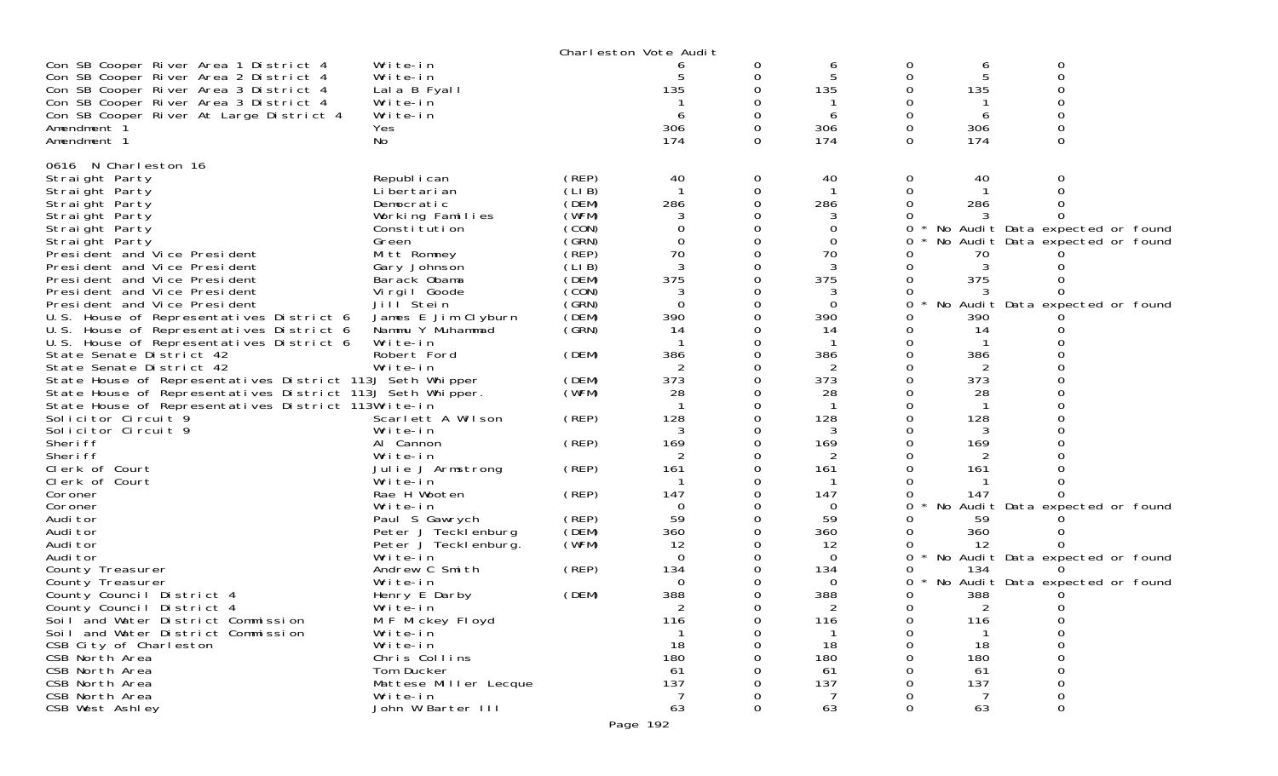|                                                            |                       |        | Charleston Vote Audit |          |          |          |     |                                 |  |
|------------------------------------------------------------|-----------------------|--------|-----------------------|----------|----------|----------|-----|---------------------------------|--|
| Con SB Cooper River Area 1 District 4                      | Write-in              |        |                       |          | 6        | 0        | 6   | 0                               |  |
| Con SB Cooper River Area 2 District 4                      | Write-in              |        |                       |          |          | Ω        | 5   | 0                               |  |
| Con SB Cooper River Area 3 District 4                      | Lala B Fyall          |        | 135                   |          | 135      |          | 135 |                                 |  |
| Con SB Cooper River Area 3 District 4                      | Write-in              |        |                       |          |          |          |     |                                 |  |
| Con SB Cooper River At Large District 4                    | Write-in              |        | 6                     |          | 6        |          | 6   |                                 |  |
| Amendment <sup>3</sup>                                     | Yes                   |        | 306                   |          | 306      |          | 306 |                                 |  |
| Amendment 1                                                | No                    |        | 174                   | $\Omega$ | 174      | $\Omega$ | 174 | 0                               |  |
|                                                            |                       |        |                       |          |          |          |     |                                 |  |
| 0616 N Charleston 16                                       |                       |        |                       |          |          |          |     |                                 |  |
| Straight Party                                             | Republ i can          | (REP)  | 40                    | 0        | 40       | 0        | 40  | Ω                               |  |
| Straight Party                                             | Li bertari an         | (LIB)  |                       | 0        |          | 0        |     |                                 |  |
| Straight Party                                             | Democratic            | (DEM)  | 286                   |          | 286      |          | 286 |                                 |  |
| Straight Party                                             | Working Families      | (WFM)  |                       |          | 3        |          |     |                                 |  |
| Straight Party                                             | Constitution          | (CON)  |                       |          | 0        |          |     | No Audit Data expected or found |  |
| Straight Party                                             | Green                 | (GRN)  | $\Omega$              |          | 0        | 0        |     | No Audit Data expected or found |  |
| President and Vice President                               | Mitt Romney           | (REP)  | 70                    |          | 70       |          | 70  |                                 |  |
| President and Vice President                               | Gary Johnson          | (LI B) |                       |          |          |          |     |                                 |  |
| President and Vice President                               | Barack Obama          | (DEM)  | 375                   |          | 375      |          | 375 |                                 |  |
| President and Vice President                               | Virgil Goode          | (CON)  | 3                     |          | 3        |          |     |                                 |  |
| President and Vice President                               | Jill <sup>Stein</sup> | (GRN)  | $\Omega$              |          | 0        | 0        |     | No Audit Data expected or found |  |
| U.S. House of Representatives District 6                   | James E Jim Clyburn   | (DEM)  | 390                   |          | 390      |          | 390 |                                 |  |
| U.S. House of Representatives District 6                   | Nammu Y Muhammad      | (GRN)  | 14                    |          | 14       |          | 14  |                                 |  |
| U.S. House of Representatives District 6                   | Write-in              |        |                       |          |          |          |     |                                 |  |
| State Senate District 42                                   | Robert Ford           | (DEM)  | 386                   |          | 386      |          | 386 |                                 |  |
| State Senate District 42                                   | Write-in              |        |                       |          | 2        |          | 2   |                                 |  |
| State House of Representatives District 113J Seth Whipper  |                       | (DEM)  | 373                   |          | 373      |          | 373 |                                 |  |
| State House of Representatives District 113J Seth Whipper. |                       | (WFM)  | 28                    |          | 28       |          | 28  |                                 |  |
| State House of Representatives District 113Write-in        |                       |        |                       |          |          |          |     |                                 |  |
| Solicitor Circuit 9                                        | Scarlett A Wilson     | (REP)  | 128                   |          | 128      |          | 128 |                                 |  |
| Solicitor Circuit 9                                        | Write-in              |        |                       |          | 3        |          | 3   |                                 |  |
| Sheri ff                                                   | Al Cannon             | (REP)  | 169                   |          | 169      |          | 169 |                                 |  |
| Sheri ff                                                   | Write-in              |        |                       |          |          |          |     |                                 |  |
| Clerk of Court                                             | Julie J Armstrong     | (REP)  | 161                   |          | 161      |          | 161 |                                 |  |
| Clerk of Court                                             | Write-in              |        |                       |          |          |          |     |                                 |  |
| Coroner                                                    | Rae H Wooten          | (REP)  | 147                   |          | 147      |          | 147 |                                 |  |
| Coroner                                                    | Write-in              |        | $\Omega$              |          | $\Omega$ | 0        |     | No Audit Data expected or found |  |
| Audi tor                                                   | Paul S Gawrych        | (REP)  | 59                    |          | 59       |          | 59  |                                 |  |
| Audi tor                                                   | Peter J Tecklenburg   | (DEM)  | 360                   |          | 360      |          | 360 |                                 |  |
| Audi tor                                                   | Peter J Teckl enburg. | (WFM)  | 12                    |          | 12       |          | 12  |                                 |  |
| Audi tor                                                   | Write-in              |        | $\Omega$              |          | $\Omega$ | 0        |     | No Audit Data expected or found |  |
| County Treasurer                                           | Andrew C Smith        | (REP)  | 134                   |          | 134      |          | 134 |                                 |  |
| County Treasurer                                           | Write-in              |        | $\Omega$              |          | 0        | 0        |     | No Audit Data expected or found |  |
| County Council District 4                                  | Henry E Darby         | (DEM)  | 388                   |          | 388      |          | 388 |                                 |  |
| County Council District 4                                  | Write-in              |        |                       |          | 2        | 0        | 2   | 0                               |  |
| Soil and Water District Commission                         | M F Mickey Floyd      |        | 116                   | O        | 116      | O        | 116 | O                               |  |
| Soil and Water District Commission                         | Write-in              |        |                       | 0        |          | 0        |     | 0                               |  |
| CSB City of Charleston                                     | Write-in              |        | 18                    |          | 18       | Ω        | 18  | 0                               |  |
| CSB North Area                                             | Chris Collins         |        | 180                   |          | 180      |          | 180 | 0                               |  |
| CSB North Area                                             | Tom Ducker            |        | 61                    |          | 61       |          | 61  | 0                               |  |
| CSB North Area                                             | Mattese Miller Lecque |        | 137                   |          | 137      |          | 137 | 0                               |  |
| CSB North Area                                             | Write-in              |        | 7                     |          | 7        |          | 7   | 0                               |  |
| CSB West Ashley                                            | John W Barter III     |        | 63                    | 0        | 63       | 0        | 63  | 0                               |  |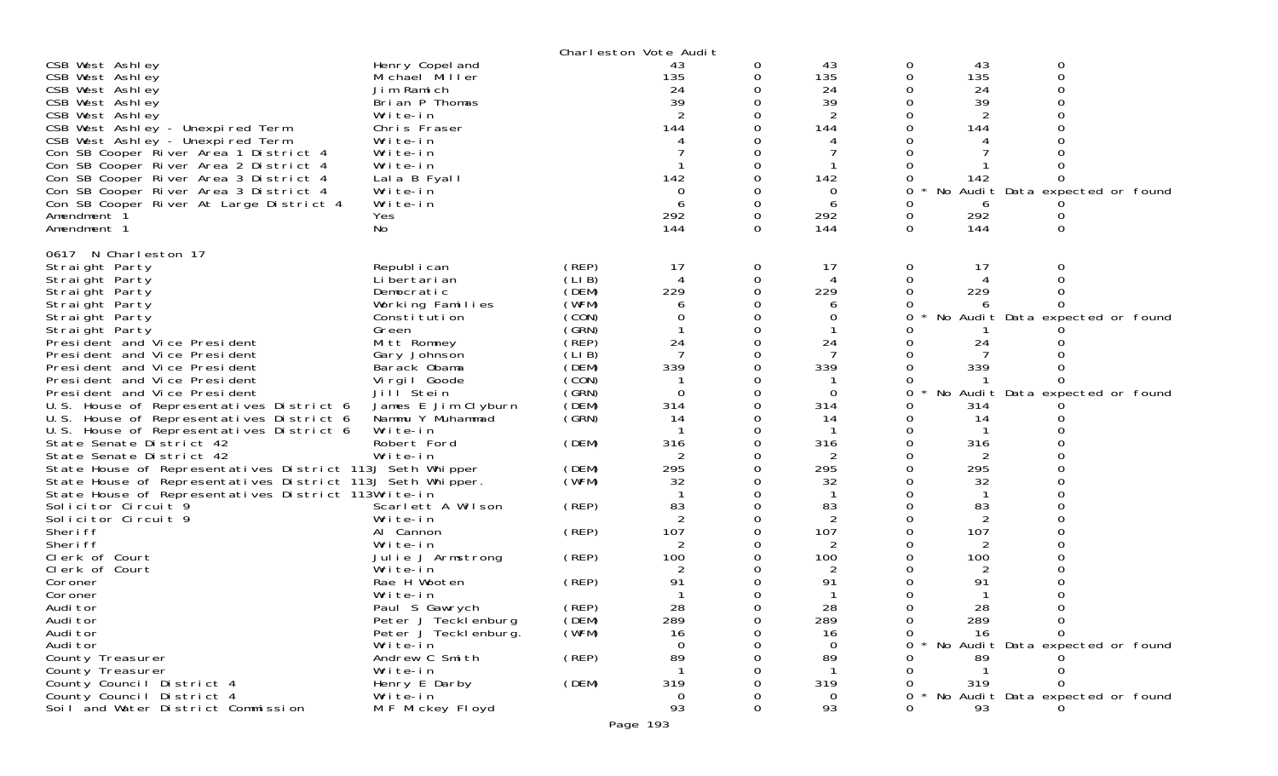|                                                            |                       |       | Charleston Vote Audit |             |                |                                      |
|------------------------------------------------------------|-----------------------|-------|-----------------------|-------------|----------------|--------------------------------------|
| CSB West Ashley                                            | Henry Copel and       |       | 43                    | 0           | 43             | 43<br>0<br>0                         |
| CSB West Ashley                                            | Michael Miller        |       | 135                   | 0           | 135            | 135<br>0<br>0                        |
| CSB West Ashley                                            | Jim Ramich            |       | 24                    | 0           | 24             | 24<br>0                              |
| CSB West Ashley                                            | Brian P Thomas        |       | 39                    | $\Omega$    | 39             | 39<br>$\Omega$<br>0                  |
| CSB West Ashley                                            | Write-in              |       | $\overline{2}$        | 0           | 2              | 2<br>0                               |
| CSB West Ashley - Unexpired Term                           | Chris Fraser          |       | 144                   | $\Omega$    | 144            | 144                                  |
| CSB West Ashley - Unexpired Term                           | Write-in              |       |                       | 0           |                | 0                                    |
| Con SB Cooper River Area 1 District 4                      | Write-in              |       |                       |             |                |                                      |
| Con SB Cooper River Area 2 District 4                      | Write-in              |       |                       |             |                |                                      |
| Con SB Cooper River Area 3 District 4                      | Lala B Fyall          |       | 142                   | 0           | 142            | 142<br>0                             |
| Con SB Cooper River Area 3 District 4                      | Write-in              |       | $\mathbf 0$           | 0           | 0              | No Audit Data expected or found<br>0 |
| Con SB Cooper River At Large District 4                    | Write-in              |       | 6                     | 0           | 6              | 0<br>6                               |
| Amendment 1                                                | Yes                   |       | 292                   | 0           | 292            | 292<br>0                             |
| Amendment 1                                                | No                    |       | 144                   | 0           | 144            | 0<br>144<br>0                        |
|                                                            |                       |       |                       |             |                |                                      |
| 0617 N Charleston 17<br>Straight Party                     | Republ i can          | (REP) | 17                    | $\mathbf 0$ | 17             | 0<br>17<br>0                         |
| Straight Party                                             | Li bertari an         | (LIB) |                       | 0           | 4              | 0<br>0                               |
| Straight Party                                             | Democratic            | (DEM) | 229                   | 0           | 229            | 229<br>0<br>$\Omega$                 |
| Straight Party                                             | Working Families      | (WFM) | 6                     | 0           | 6              |                                      |
| Straight Party                                             | Constitution          | (CON) | 0                     | $\Omega$    | 0              | 0<br>No Audit Data expected or found |
| Straight Party                                             | Green                 | (GRN) |                       | 0           |                | O                                    |
| President and Vice President                               | Mitt Romney           | (REP) | 24                    | $\mathbf 0$ | 24             | 24                                   |
| President and Vice President                               | Gary Johnson          | (LIB) |                       | $\Omega$    | -7             | 0                                    |
| President and Vice President                               | Barack Obama          | (DEM) | 339                   | 0           | 339            | 339<br>0                             |
| President and Vice President                               | Virgil Goode          | (CON) |                       | $\mathbf 0$ |                | 0                                    |
| President and Vice President                               | Jill Stein            | (GRN) | $\Omega$              | $\Omega$    | 0              | 0<br>No Audit Data expected or found |
| U.S. House of Representatives District 6                   | James E Jim Clyburn   | (DEM) | 314                   | 0           | 314            | 314<br>0                             |
| U.S. House of Representatives District 6                   | Nammu Y Muhammad      | (GRN) | 14                    | 0           | 14             | 0<br>14                              |
| U.S. House of Representatives District 6                   | Write-in              |       |                       | $\Omega$    |                | 0                                    |
| State Senate District 42                                   | Robert Ford           | (DEM) | 316                   | 0           | 316            | 316<br>0                             |
| State Senate District 42                                   | Write-in              |       |                       | 0           | 2              | 2                                    |
| State House of Representatives District 113J Seth Whipper  |                       | (DEM) | 295                   | $\Omega$    | 295            | 295<br>0                             |
| State House of Representatives District 113J Seth Whipper. |                       | (WFM) | 32                    | 0           | 32             | 32<br>0                              |
| State House of Representatives District 113Write-in        |                       |       |                       | 0           | -1             | $\mathbf{1}$                         |
| Solicitor Circuit 9                                        | Scarlett A Wilson     | (REP) | 83                    | $\Omega$    | 83             | 83<br>$\Omega$<br>0                  |
| Solicitor Circuit 9                                        | Write-in              |       | $\overline{2}$        | 0           | $\overline{2}$ | 2<br>0                               |
| Sheri ff                                                   | Al Cannon             | (REP) | 107                   | $\mathbf 0$ | 107            | 107<br>0                             |
| Sheri ff                                                   | Write-in              |       |                       | $\Omega$    |                | 0                                    |
| Clerk of Court                                             | Julie J Armstrong     | (REP) | 100                   | 0           | 100            | 100<br>0                             |
| Clerk of Court                                             | Write-in              |       |                       | 0           | 2              | 2                                    |
| Coroner                                                    | Rae H Wooten          | (REP) | 91                    | 0           | 91             | 91<br>$\Omega$<br>0                  |
| Coroner                                                    | Write-in              |       |                       | 0           |                | 0                                    |
| Audi tor                                                   | Paul S Gawrych        | (REP) | 28                    | $\Omega$    | 28             | 28<br>0<br>$\Omega$                  |
| Audi tor                                                   | Peter J Tecklenburg   | (DEM) | 289                   | 0           | 289            | 0<br>289<br>0                        |
| Audi tor                                                   | Peter J Teckl enburg. | (WFM) | 16                    | 0           | 16             | 16<br>0                              |
| Audi tor                                                   | Write-in              |       | 0                     | ∩           | $\Omega$       | No Audit Data expected or found<br>0 |
| County Treasurer                                           | Andrew C Smith        | (REP) | 89                    | $\Omega$    | 89             | 89                                   |
| County Treasurer                                           | Write-in              |       |                       |             | -1             | $\mathbf{1}$                         |
| County Council District 4                                  | Henry E Darby         | (DEM) | 319                   | ∩           | 319            | 319<br>$\Omega$                      |
| County Council District 4                                  | Write-in              |       | 0                     |             | 0              | 0<br>No Audit Data expected or found |
| Soil and Water District Commission                         | M F Mickey Floyd      |       | 93                    | $\Omega$    | 93             | 0<br>93                              |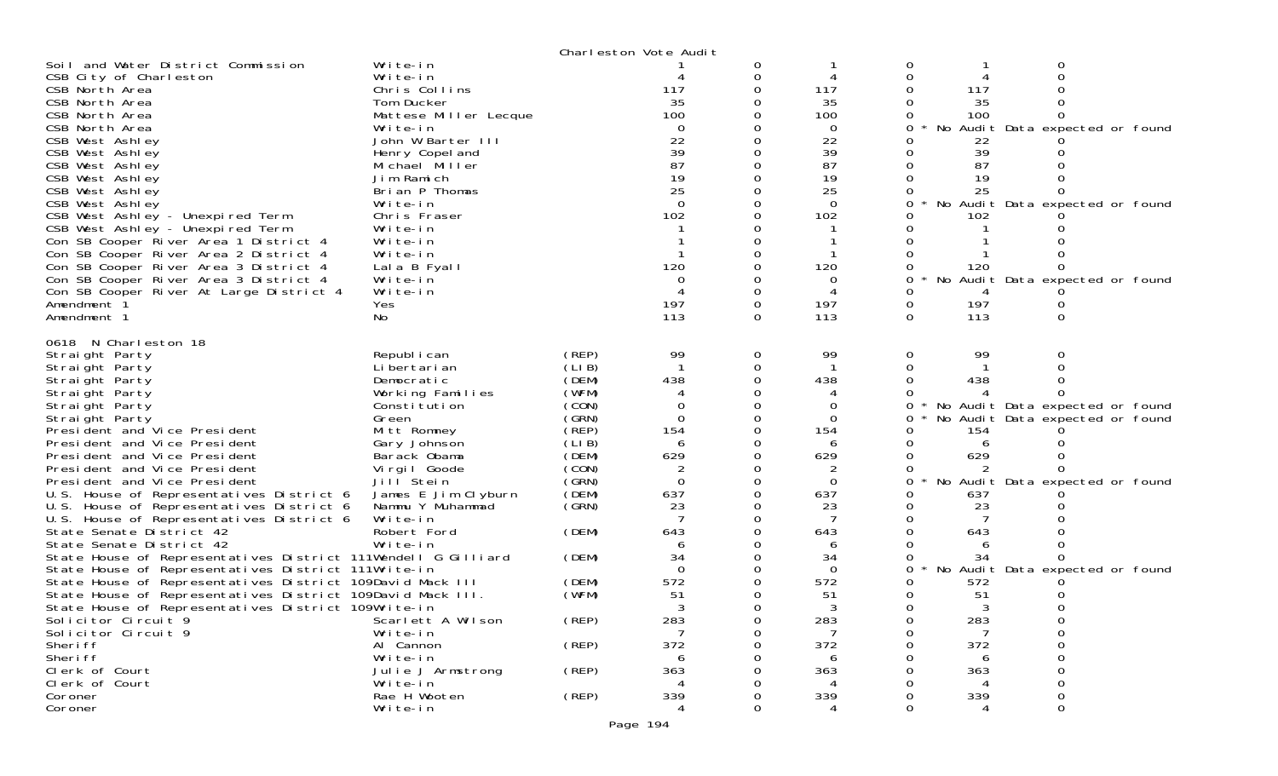|                                                               |                       |             | Charleston Vote Audit |        |                |          |                |                                   |  |
|---------------------------------------------------------------|-----------------------|-------------|-----------------------|--------|----------------|----------|----------------|-----------------------------------|--|
| Soil and Water District Commission                            | Write-in              |             |                       | 0      |                |          |                |                                   |  |
| CSB City of Charleston                                        | Write-in              |             |                       | 0      |                |          |                |                                   |  |
| CSB North Area                                                | Chris Collins         |             | 117                   |        | 117            |          | 117            |                                   |  |
| CSB North Area                                                | Tom Ducker            |             | 35                    |        | 35             |          | 35             |                                   |  |
| CSB North Area                                                | Mattese Miller Lecque |             | 100                   |        | 100            |          | 100            |                                   |  |
| CSB North Area                                                | Write-in              |             | $\Omega$              |        | 0              |          |                | No Audit Data expected or found   |  |
| CSB West Ashley                                               | John W Barter III     |             | 22                    |        | 22             |          | 22             |                                   |  |
| CSB West Ashley                                               | Henry Copel and       |             | 39                    |        | 39             |          | 39             |                                   |  |
| CSB West Ashley                                               | Michael Miller        |             | 87                    |        | 87             |          | 87             |                                   |  |
| CSB West Ashley                                               | Jim Ramich            |             | 19                    |        | 19             |          | 19             |                                   |  |
| CSB West Ashley                                               | Brian P Thomas        |             | 25                    |        | 25             |          | 25             |                                   |  |
| CSB West Ashley                                               | Write-in              |             | $\Omega$              |        | $\Omega$       |          |                | No Audit Data expected or found   |  |
| CSB West Ashley - Unexpired Term                              | Chris Fraser          |             | 102                   |        | 102            |          | 102            |                                   |  |
| CSB West Ashley - Unexpired Term                              | Write-in              |             |                       |        |                |          |                |                                   |  |
| Con SB Cooper River Area 1 District 4                         | Write-in              |             |                       |        |                |          |                |                                   |  |
| Con SB Cooper River Area 2 District 4                         | Write-in              |             | 120                   |        |                |          |                |                                   |  |
| Con SB Cooper River Area 3 District 4                         | Lala B Fyall          |             |                       |        | 120            |          | 120            |                                   |  |
| Con SB Cooper River Area 3 District 4                         | Write-in              |             |                       |        |                |          |                | No Audit Data expected or found   |  |
| Con SB Cooper River At Large District 4                       | Write-in              |             | 197                   | 0<br>0 | 197            | 0        | 197            |                                   |  |
| Amendment 1<br>Amendment 1                                    | Yes<br>No             |             | 113                   | 0      | 113            | $\Omega$ | 113            |                                   |  |
|                                                               |                       |             |                       |        |                |          |                |                                   |  |
| 0618 N Charleston 18                                          |                       |             |                       |        |                |          |                |                                   |  |
| Straight Party                                                | Republ i can          | (REP)       | 99                    | 0      | 99             | 0        | 99             |                                   |  |
| Straight Party                                                | Li bertari an         | (LIB)       |                       | 0      |                |          |                |                                   |  |
| Straight Party                                                | Democratic            | (DEM)       | 438                   |        | 438            |          | 438            |                                   |  |
| Straight Party                                                | Working Families      | (WFM)       |                       |        |                |          |                |                                   |  |
| Straight Party                                                | Constitution          | (CON)       | 0                     |        | O              | 0        |                | * No Audit Data expected or found |  |
| Straight Party                                                | Green                 | (GRN)       | $\Omega$              |        | $\Omega$       | 0        |                | No Audit Data expected or found   |  |
| President and Vice President                                  | Mitt Romney           | (REP)       | 154                   | 0      | 154            |          | 154            |                                   |  |
| President and Vice President                                  | Gary Johnson          | (LI B)      | 6                     | 0      | 6              |          | 6              |                                   |  |
| President and Vice President                                  | Barack Obama          | (DEM)       | 629                   |        | 629            |          | 629            |                                   |  |
| President and Vice President                                  | Virgil Goode          | (CON)       |                       |        |                |          |                |                                   |  |
| President and Vice President                                  | Jill Stein            | (GRN)       | $\Omega$              | 0      | $\Omega$       | 0        |                | No Audit Data expected or found   |  |
| U.S. House of Representatives District 6                      | James E Jim Clyburn   | (DEM)       | 637                   |        | 637            |          | 637            |                                   |  |
| U.S. House of Representatives District 6                      | Nammu Y Muhammad      | (SRN)       | 23                    |        | 23             |          | 23             |                                   |  |
| U.S. House of Representatives District 6                      | Write-in              |             |                       | 0      | 7              |          |                |                                   |  |
| State Senate District 42                                      | Robert Ford           | (DEM)       | 643                   |        | 643            |          | 643            |                                   |  |
| State Senate District 42                                      | Write-in              |             | 6                     |        | 6              |          |                |                                   |  |
| State House of Representatives District 111Wendell G Gilliard |                       | (DEM)       | 34                    | 0      | 34             |          | 34             |                                   |  |
| State House of Representatives District 111Write-in           |                       |             | $\Omega$              |        | $\Omega$       | 0        |                | No Audit Data expected or found   |  |
| State House of Representatives District 109David Mack III     |                       | (DEM)       | 572                   | 0      | 572            |          | 572            |                                   |  |
| State House of Representatives District 109David Mack III.    |                       | (WFM)       | 51                    |        | 51             |          | 51             |                                   |  |
| State House of Representatives District 109Write-in           |                       |             |                       |        | 3              | 0        | 3              |                                   |  |
| Solicitor Circuit 9                                           | Scarlett A Wilson     | $($ REP $)$ | 283                   | 0      | 283            |          | 283            |                                   |  |
| Solicitor Circuit 9                                           | Write-in              |             | $\overline{7}$        | 0      | $\overline{7}$ | 0        | $\overline{7}$ |                                   |  |
| Sheri ff                                                      | Al Cannon             | (REP)       | 372                   | 0      | 372            |          | 372            |                                   |  |
| Sheri ff                                                      | Write-in              |             | 6                     |        | 6              |          | 6              |                                   |  |
| Clerk of Court                                                | Julie J Armstrong     | (REP)       | 363                   |        | 363            |          | 363            |                                   |  |
| Clerk of Court                                                | Write-in              |             | 4                     |        | 4              |          |                |                                   |  |
| Coroner                                                       | Rae H Wooten          | (REP)       | 339                   |        | 339            |          | 339            |                                   |  |
| Coroner                                                       | Write-in              |             | 4                     | 0      | 4              | 0        | 4              | 0                                 |  |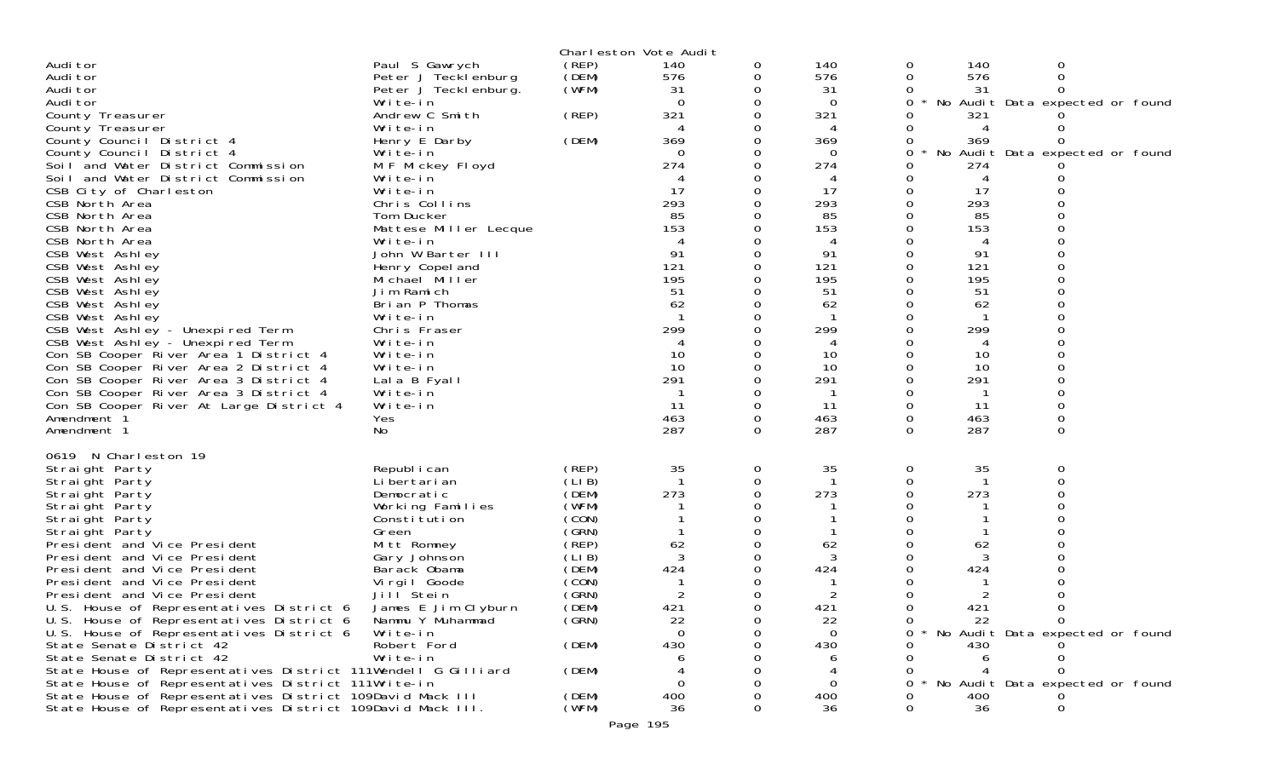|                                                                                                                         |                              |                | Charleston Vote Audit |          |           |              |           |                                 |  |
|-------------------------------------------------------------------------------------------------------------------------|------------------------------|----------------|-----------------------|----------|-----------|--------------|-----------|---------------------------------|--|
| Audi tor                                                                                                                | Paul S Gawrych               | (REP)          | 140                   | 0        | 140       | 0            | 140       | 0                               |  |
| Audi tor                                                                                                                | Peter J Tecklenburg          | (DEM)          | 576                   | 0        | 576       | 0            | 576       | 0                               |  |
| Audi tor                                                                                                                | Peter J Tecklenburg.         | (WFM)          | 31                    | 0        | -31       | 0            | 31        | 0                               |  |
| Audi tor                                                                                                                | Write-in                     |                | $\Omega$              | 0        | $\Omega$  | $\mathbf{O}$ |           | No Audit Data expected or found |  |
| County Treasurer                                                                                                        | Andrew C Smith               | (REP)          | 321                   | 0        | 321       | 0            | 321       |                                 |  |
| County Treasurer                                                                                                        | Write-in                     |                |                       | 0        |           | 0            | 4         |                                 |  |
| County Council District 4<br>County Council District 4                                                                  | Henry E Darby<br>Write-in    | (DEM)          | 369<br>0              | 0<br>0   | 369<br>0  | 0<br>0       | 369       | No Audit Data expected or found |  |
| Soil and Water District Commission                                                                                      | M F Mickey Floyd             |                | 274                   | 0        | 274       | 0            | 274       |                                 |  |
| Soil and Water District Commission                                                                                      | Write-in                     |                | 4                     | 0        | 4         | 0            | 4         |                                 |  |
| CSB City of Charleston                                                                                                  | Write-in                     |                | -17                   | 0        | -17       | 0            | 17        |                                 |  |
| CSB North Area                                                                                                          | Chris Collins                |                | 293                   | 0        | 293       | 0            | 293       |                                 |  |
| CSB North Area                                                                                                          | Tom Ducker                   |                | 85                    | 0        | 85        | 0            | 85        |                                 |  |
| CSB North Area                                                                                                          | Mattese Miller Lecque        |                | 153                   | 0        | 153       |              | 153       |                                 |  |
| CSB North Area                                                                                                          | Write-in                     |                |                       | 0        | 4         | 0            | 4         | $\Omega$                        |  |
| CSB West Ashley                                                                                                         | John W Barter III            |                | 91                    | 0        | 91        | 0            | 91        |                                 |  |
| CSB West Ashley                                                                                                         | Henry Copel and              |                | 121                   | 0        | 121       | 0            | 121       |                                 |  |
| CSB West Ashley                                                                                                         | Michael Miller               |                | 195                   | 0        | 195       | 0            | 195       | $\Omega$                        |  |
| CSB West Ashley<br>CSB West Ashley                                                                                      | Jim Ramich<br>Brian P Thomas |                | 51<br>62              | 0<br>0   | 51<br>62  | 0<br>0       | 51<br>62  | 0                               |  |
| CSB West Ashley                                                                                                         | Write-in                     |                |                       | 0        |           | 0            |           |                                 |  |
| CSB West Ashley - Unexpired Term                                                                                        | Chris Fraser                 |                | 299                   | 0        | 299       | 0            | 299       | 0                               |  |
| CSB West Ashley - Unexpired Term                                                                                        | Write-in                     |                |                       | 0        |           |              | 4         |                                 |  |
| Con SB Cooper River Area 1 District 4                                                                                   | Write-in                     |                | 10                    | $\Omega$ | 10        | 0            | 10        | $\Omega$                        |  |
| Con SB Cooper River Area 2 District 4                                                                                   | Write-in                     |                | 10                    | 0        | 10        | 0            | 10        |                                 |  |
| Con SB Cooper River Area 3 District 4                                                                                   | Lala B Fyall                 |                | 291                   | 0        | 291       | 0            | 291       |                                 |  |
| Con SB Cooper River Area 3 District 4                                                                                   | Write-in                     |                |                       | 0        |           | 0            |           | $\Omega$                        |  |
| Con SB Cooper River At Large District 4                                                                                 | Write-in                     |                | -11                   | 0        | -11       | $\mathbf 0$  | 11        | 0                               |  |
| Amendment 1                                                                                                             | Yes                          |                | 463                   | 0        | 463       | 0            | 463       | 0                               |  |
| Amendment 1                                                                                                             | No                           |                | 287                   | $\Omega$ | 287       | $\Omega$     | 287       | $\Omega$                        |  |
| 0619 N Charleston 19                                                                                                    |                              |                |                       |          |           |              |           |                                 |  |
| Straight Party                                                                                                          | Republ i can                 | (REP)          | 35                    | 0        | 35        | 0            | 35        | 0                               |  |
| Straight Party                                                                                                          | Li bertari an                | (LIB)          |                       | 0        |           | 0            |           | 0                               |  |
| Straight Party                                                                                                          | Democratic                   | (DEM)          | 273                   | $\Omega$ | 273       | 0            | 273       |                                 |  |
| Straight Party                                                                                                          | Working Families             | (WFM)          |                       | 0        |           | 0            |           | 0                               |  |
| Straight Party                                                                                                          | Constitution                 | (CON)          |                       | 0        |           | 0            |           |                                 |  |
| Straight Party                                                                                                          | Green                        | (GRN)          |                       | 0        |           | 0            |           |                                 |  |
| President and Vice President                                                                                            | Mitt Romney<br>Gary Johnson  | (REP)<br>(LIB) | 62<br>3               | 0<br>0   | 62<br>3   | 0            | 62<br>3   |                                 |  |
| President and Vice President<br>President and Vice President                                                            | Barack Obama                 | (DEM)          | 424                   | 0        | 424       |              | 424       |                                 |  |
| President and Vice President                                                                                            | Virgil Goode                 | (CON)          |                       | 0        |           | 0            |           |                                 |  |
| President and Vice President                                                                                            | Jill Stein                   | (GRN)          | 2                     | 0        | 2         | 0            |           |                                 |  |
| U.S. House of Representatives District 6 James E Jim Clyburn                                                            |                              | (DEM)          | 421                   | $\Omega$ | 421       | 0            | 421       | 0                               |  |
| U.S. House of Representatives District 6                                                                                | Nammu Y Muhammad             | (GRN)          | 22                    | 0        | 22        | $\Omega$     | 22        | $\Omega$                        |  |
| U.S. House of Representatives District 6                                                                                | Write-in                     |                | 0                     |          | $\Omega$  |              |           | No Audit Data expected or found |  |
| State Senate District 42                                                                                                | Robert Ford                  | (DEM)          | 430                   |          | 430       |              | 430       |                                 |  |
| State Senate District 42                                                                                                | Write-in                     |                |                       |          |           |              |           |                                 |  |
| State House of Representatives District 111Wendell G Gilliard                                                           |                              | (DEM)          |                       |          |           |              |           |                                 |  |
| State House of Representatives District 111Write-in                                                                     |                              |                | 0                     |          | 0         | 0            |           | No Audit Data expected or found |  |
| State House of Representatives District 109David Mack III<br>State House of Representatives District 109David Mack III. |                              | (DEM)<br>(WFM) | 400<br>36             |          | 400<br>36 | 0            | 400<br>36 | 0                               |  |
|                                                                                                                         |                              |                |                       |          |           |              |           |                                 |  |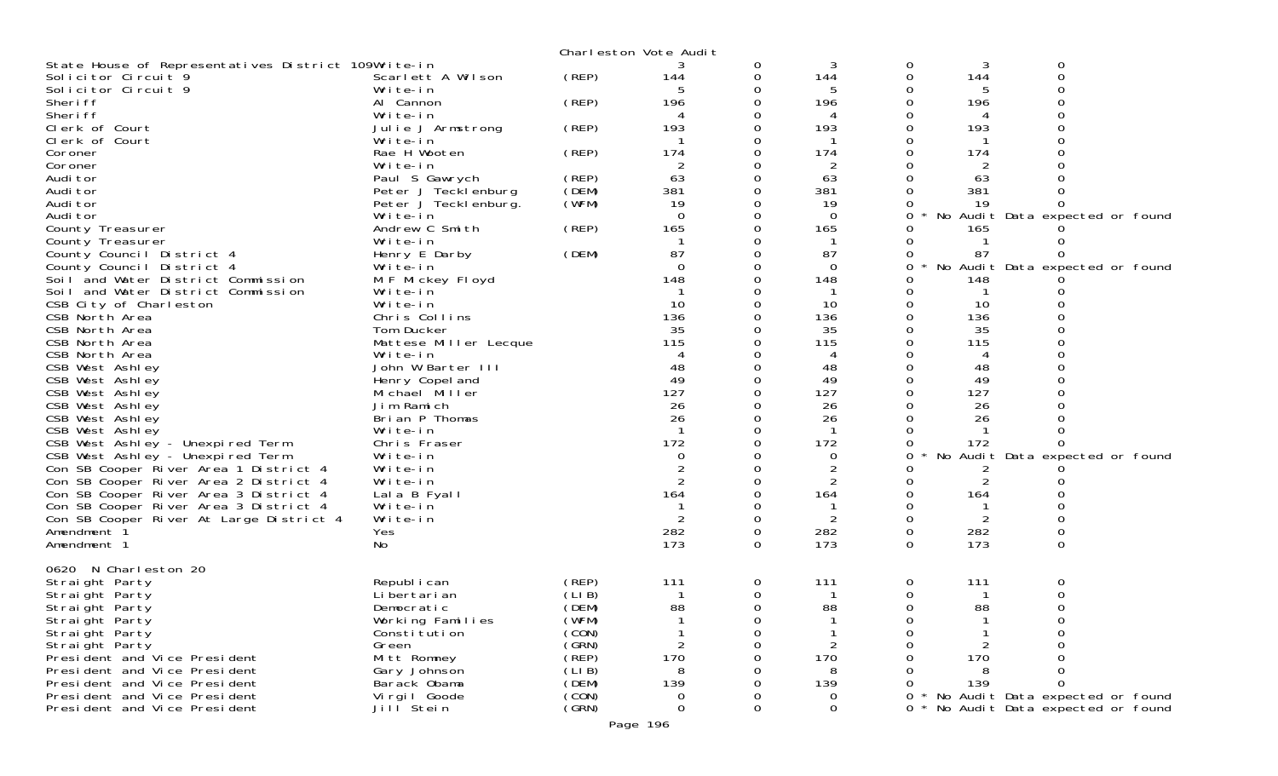|                                                                 |                              |                | Charleston Vote Audit |          |                |          |     |                                 |  |
|-----------------------------------------------------------------|------------------------------|----------------|-----------------------|----------|----------------|----------|-----|---------------------------------|--|
| State House of Representatives District 109Write-in             |                              |                |                       | 0        | 3              | 0        | 3   | 0                               |  |
| Solicitor Circuit 9                                             | Scarlett A Wilson            | (REP)          | 144                   | 0        | 144            | 0        | 144 | $\Omega$                        |  |
| Solicitor Circuit 9                                             | Write-in                     |                | 5                     | 0        | 5              |          |     |                                 |  |
| Sheri ff                                                        | Al Cannon                    | (REP)          | 196                   | 0        | 196            |          | 196 |                                 |  |
| Sheri ff                                                        | Write-in                     |                |                       | 0        | 4              |          |     |                                 |  |
| Clerk of Court                                                  | Julie J Armstrong            | (REP)          | 193                   | 0        | 193            |          | 193 |                                 |  |
| Clerk of Court                                                  | Write-in                     |                |                       | 0        |                |          |     |                                 |  |
| Coroner                                                         | Rae H Wooten                 | (REP)          | 174                   | 0        | 174            |          | 174 |                                 |  |
| Coroner                                                         | Write-in                     |                | 2                     |          | $\overline{2}$ |          | 2   |                                 |  |
| Audi tor                                                        | Paul S Gawrych               | (REP)          | 63                    | 0        | 63             |          | 63  |                                 |  |
| Audi tor                                                        | Peter J Tecklenburg          | (DEM)          | 381                   | 0        | 381            |          | 381 |                                 |  |
| Audi tor                                                        | Peter J Teckl enburg.        | (WFM)          | 19                    |          | 19             |          | 19  |                                 |  |
| Audi tor                                                        | Write-in                     |                | $\Omega$              | 0        | $\Omega$       | 0        |     | No Audit Data expected or found |  |
| County Treasurer                                                | Andrew C Smith               | (REP)          | 165                   | 0        | 165            |          | 165 |                                 |  |
| County Treasurer                                                | Write-in                     |                | 87                    | $\Omega$ | 87             |          |     |                                 |  |
| County Council District 4                                       | Henry E Darby                | (DEM)          | $\Omega$              | 0        | $\overline{0}$ |          | 87  |                                 |  |
| County Council District 4<br>Soil and Water District Commission | Write-in                     |                | 148                   |          | 148            | 0        | 148 | No Audit Data expected or found |  |
| Soil and Water District Commission                              | M F Mickey Floyd<br>Write-in |                |                       | 0        |                |          |     |                                 |  |
| CSB City of Charleston                                          | Write-in                     |                | 10                    | 0        | 10             | 0        | 10  |                                 |  |
| CSB North Area                                                  | Chris Collins                |                | 136                   |          | 136            |          | 136 |                                 |  |
| CSB North Area                                                  | Tom Ducker                   |                | 35                    |          | 35             |          | 35  |                                 |  |
| CSB North Area                                                  | Mattese Miller Lecque        |                | 115                   |          | 115            |          | 115 |                                 |  |
| CSB North Area                                                  | Write-in                     |                |                       |          | 4              |          |     |                                 |  |
| CSB West Ashley                                                 | John W Barter III            |                | 48                    | $\Omega$ | 48             |          | 48  |                                 |  |
| CSB West Ashley                                                 | Henry Copel and              |                | 49                    | 0        | 49             |          | 49  |                                 |  |
| CSB West Ashley                                                 | Michael Miller               |                | 127                   |          | 127            |          | 127 |                                 |  |
| CSB West Ashley                                                 | Jim Ramich                   |                | 26                    |          | 26             |          | 26  |                                 |  |
| CSB West Ashley                                                 | Brian P Thomas               |                | 26                    | 0        | 26             |          | 26  |                                 |  |
| CSB West Ashley                                                 | Write-in                     |                |                       |          |                |          |     |                                 |  |
| CSB West Ashley - Unexpired Term                                | Chris Fraser                 |                | 172                   | $\Omega$ | 172            |          | 172 |                                 |  |
| CSB West Ashley - Unexpired Term                                | Write-in                     |                | 0                     | 0        | 0              |          |     | No Audit Data expected or found |  |
| Con SB Cooper River Area 1 District 4                           | Write-in                     |                |                       |          |                |          | 2   |                                 |  |
| Con SB Cooper River Area 2 District 4                           | Write-in                     |                | 2                     | 0        |                |          |     |                                 |  |
| Con SB Cooper River Area 3 District 4                           | Lala B Fyall                 |                | 164                   | 0        | 164            |          | 164 |                                 |  |
| Con SB Cooper River Area 3 District 4                           | Write-in                     |                |                       |          |                |          |     |                                 |  |
| Con SB Cooper River At Large District 4                         | Write-in                     |                | 2                     | $\Omega$ |                | 0        |     |                                 |  |
| Amendment 1                                                     | Yes                          |                | 282                   | 0        | 282            | 0        | 282 | 0                               |  |
| Amendment 1                                                     | No                           |                | 173                   | 0        | 173            | 0        | 173 | 0                               |  |
|                                                                 |                              |                |                       |          |                |          |     |                                 |  |
| 0620 N Charleston 20                                            |                              |                |                       |          |                |          |     |                                 |  |
| Straight Party                                                  | Republ i can                 | (REP)          | 111                   | 0        | 111            | 0        | 111 | 0                               |  |
| Straight Party                                                  | Li bertari an                | (LIB)          |                       | 0        |                |          |     |                                 |  |
| Straight Party                                                  | Democratic                   | (DEM)          | 88                    | $\Omega$ | 88             | $\Omega$ | 88  | 0                               |  |
| Straight Party                                                  | Working Families             | (WFM)          |                       | O        |                |          |     |                                 |  |
| Straight Party                                                  | Constitution                 | (CON)          |                       | ∩        |                |          |     |                                 |  |
| Straight Party                                                  | Green                        | (GRN)<br>(REP) | 2<br>170              |          | $\overline{2}$ |          |     |                                 |  |
| President and Vice President                                    | Mitt Romney                  | (LI B)         | 8                     |          | 170<br>8       |          | 170 |                                 |  |
| President and Vice President<br>President and Vice President    | Gary Johnson<br>Barack Obama | (DEM)          | 139                   |          | 139            |          | 139 |                                 |  |
| President and Vice President                                    | Vi rgi I Goode               | (CON)          | 0                     |          | 0              |          |     | No Audit Data expected or found |  |
| President and Vice President                                    | Jilľ Stein                   | (GRN)          | $\Omega$              | $\Omega$ | $\mathbf 0$    | 0        |     | No Audit Data expected or found |  |
|                                                                 |                              |                |                       |          |                |          |     |                                 |  |
|                                                                 |                              |                | Page 196              |          |                |          |     |                                 |  |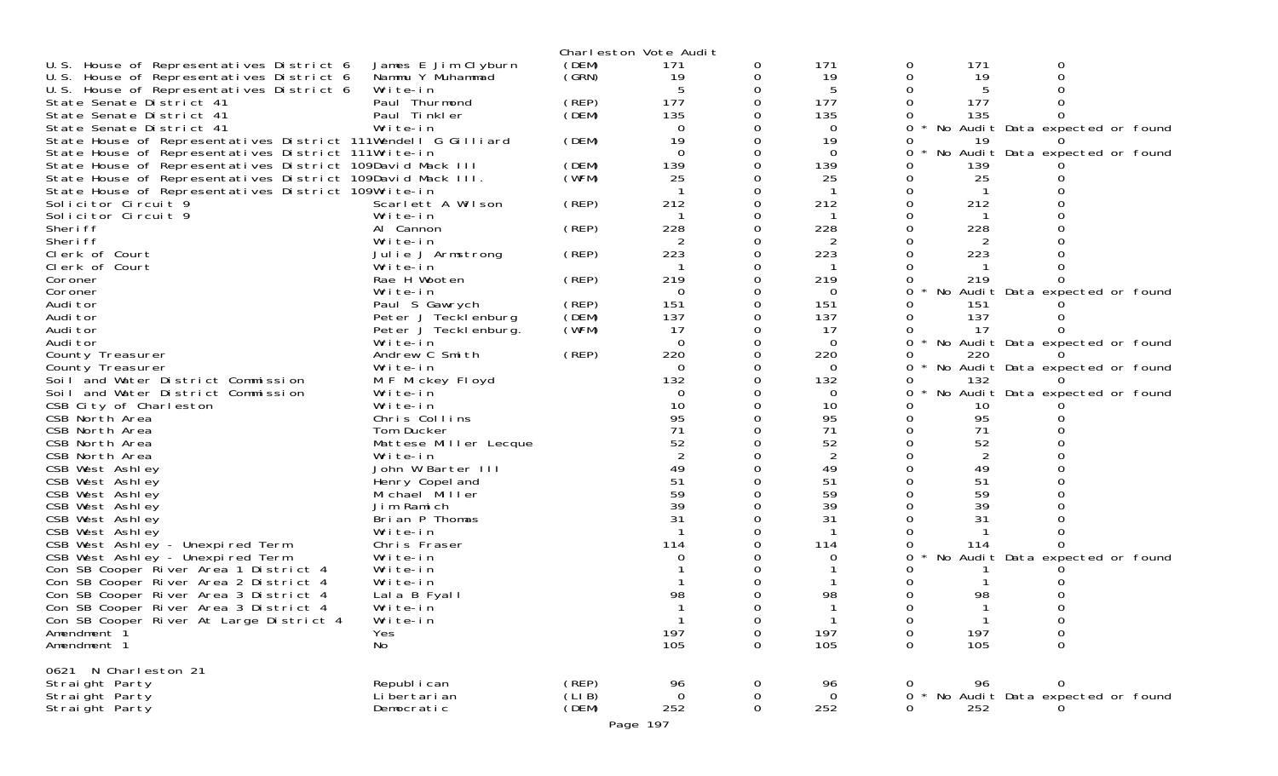|                                                               |                                   |        | Charleston Vote Audit |          |          |               |     |                                 |  |
|---------------------------------------------------------------|-----------------------------------|--------|-----------------------|----------|----------|---------------|-----|---------------------------------|--|
| U.S. House of Representatives District 6                      | James E Jim Clyburn               | (DEM)  | 171                   | 0        | 171      | 0             | 171 | O                               |  |
| U.S. House of Representatives District 6                      | Nammu Y Muhammad                  | (GRN)  | 19                    | 0        | 19       | 0             | 19  |                                 |  |
| U.S. House of Representatives District 6                      | Write-in                          |        |                       |          | 5        |               |     |                                 |  |
| State Senate District 41                                      | Paul Thurmond                     | (REP)  | 177                   |          | 177      |               | 177 |                                 |  |
| State Senate District 41                                      | Paul Tinkler                      | (DEM)  | 135                   |          | 135      |               | 135 |                                 |  |
| State Senate District 41                                      | Write-in                          |        | $\Omega$              |          | 0        |               |     | No Audit Data expected or found |  |
| State House of Representatives District 111Wendell G Gilliard |                                   | (DEM)  | 19                    |          | 19       |               | 19  |                                 |  |
| State House of Representatives District 111Write-in           |                                   |        | $\Omega$              |          | $\Omega$ | 0             |     | No Audit Data expected or found |  |
| State House of Representatives District 109David Mack III     |                                   | (DEM)  | 139                   |          | 139      |               | 139 |                                 |  |
| State House of Representatives District 109David Mack III.    |                                   | (WFM)  | 25                    |          | 25       |               | 25  |                                 |  |
| State House of Representatives District 109Write-in           |                                   |        |                       |          |          |               |     |                                 |  |
| Solicitor Circuit 9                                           | Scarlett A Wilson                 | (REP)  | 212                   |          | 212      |               | 212 |                                 |  |
| Solicitor Circuit 9                                           | Write-in                          |        |                       |          |          |               |     |                                 |  |
| Sheri ff                                                      | Al Cannon                         | (REP)  | 228                   |          | 228      |               | 228 |                                 |  |
| Sheri ff                                                      | Write-in                          |        |                       |          | 2        |               |     |                                 |  |
| Clerk of Court                                                | Julie J Armstrong                 | (REP)  | 223                   | 0        | 223      |               | 223 |                                 |  |
| Clerk of Court                                                | Write-in                          |        |                       |          |          |               |     |                                 |  |
| Coroner                                                       | Rae H Wooten                      | (REP)  | 219                   |          | 219      |               | 219 |                                 |  |
| Coroner                                                       | Write-in                          |        | $\overline{0}$        | 0        | 0        | 0             |     | No Audit Data expected or found |  |
| Audi tor                                                      | Paul S Gawrych                    | (REP)  | 151                   |          | 151      |               | 151 |                                 |  |
| Audi tor                                                      | Peter J Tecklenburg               | (DEM)  | 137                   |          | 137      |               | 137 |                                 |  |
| Audi tor                                                      | Peter J Teckl enburg.             | (WFM)  | 17                    |          | 17       |               | 17  |                                 |  |
| Audi tor                                                      | Write-in                          |        | $\Omega$              |          | $\Omega$ |               |     | No Audit Data expected or found |  |
| County Treasurer                                              | Andrew C Smith                    | (REP)  | 220                   |          | 220      |               | 220 |                                 |  |
| County Treasurer                                              | Write-in                          |        | $\Omega$              |          | $\Omega$ | 0             |     | No Audit Data expected or found |  |
| Soil and Water District Commission                            | M F Mickey Floyd                  |        | 132                   |          | 132      |               | 132 |                                 |  |
| Soil and Water District Commission                            | Write-in                          |        | 0                     |          | 0        | 0             |     | No Audit Data expected or found |  |
| CSB City of Charleston                                        | Write-in                          |        | 10                    |          | 10       |               | 10  |                                 |  |
| CSB North Area                                                | Chris Collins                     |        | 95                    |          | 95       |               | 95  |                                 |  |
| CSB North Area                                                | Tom Ducker                        |        | 71                    |          | 71       |               | 71  |                                 |  |
| CSB North Area                                                | Mattese Miller Lecque             |        | 52                    |          | 52       |               | 52  |                                 |  |
| CSB North Area                                                | Write-in                          |        |                       |          | 2        |               | 2   |                                 |  |
| CSB West Ashley                                               | John W Barter III                 |        | 49                    |          | 49       |               | 49  |                                 |  |
| CSB West Ashley                                               |                                   |        | 51                    |          | 51       |               | 51  |                                 |  |
| CSB West Ashley                                               | Henry Copel and<br>Michael Miller |        | 59                    |          | 59       |               | 59  |                                 |  |
| CSB West Ashley                                               | Jim Ramich                        |        | 39                    |          | 39       |               | 39  |                                 |  |
| CSB West Ashley                                               | Brian P Thomas                    |        | 31                    |          | 31       |               | 31  |                                 |  |
| CSB West Ashley                                               | Write-in                          |        |                       |          |          |               |     |                                 |  |
| CSB West Ashley - Unexpired Term                              | Chris Fraser                      |        | 114                   |          | 114      |               | 114 |                                 |  |
| CSB West Ashley - Unexpired Term                              | Write-in                          |        |                       |          | $\Omega$ |               |     | No Audit Data expected or found |  |
| Con SB Cooper River Area 1 District 4                         | Write-in                          |        |                       |          |          |               |     |                                 |  |
|                                                               | Write-in                          |        |                       |          |          |               |     |                                 |  |
| Con SB Cooper River Area 2 District 4                         |                                   |        | 98                    |          | 98       |               |     |                                 |  |
| Con SB Cooper River Area 3 District 4                         | Lala B Fyall                      |        |                       |          |          |               | 98  |                                 |  |
| Con SB Cooper River Area 3 District 4                         | Write-in                          |        |                       |          |          |               |     |                                 |  |
| Con SB Cooper River At Large District 4                       | Write-in                          |        |                       | $\Omega$ | 197      | 0             | 197 | 0                               |  |
| Amendment 1                                                   | Yes                               |        | 197<br>105            | 0        |          | 0<br>$\Omega$ |     | 0<br>$\Omega$                   |  |
| Amendment 1                                                   | No                                |        |                       | 0        | 105      |               | 105 |                                 |  |
| 0621 N Charleston 21                                          |                                   |        |                       |          |          |               |     |                                 |  |
| Straight Party                                                | Republ i can                      | (REP)  | 96                    | 0        | 96       | 0             | 96  | 0                               |  |
| Straight Party                                                | Li bertari an                     | (LI B) | $\Omega$              | 0        | $\Omega$ | 0             |     | No Audit Data expected or found |  |
| Straight Party                                                | Democratic                        | (DEM)  | 252                   | 0        | 252      | $\Omega$      | 252 |                                 |  |
|                                                               |                                   |        |                       |          |          |               |     |                                 |  |
|                                                               |                                   |        | Page 197              |          |          |               |     |                                 |  |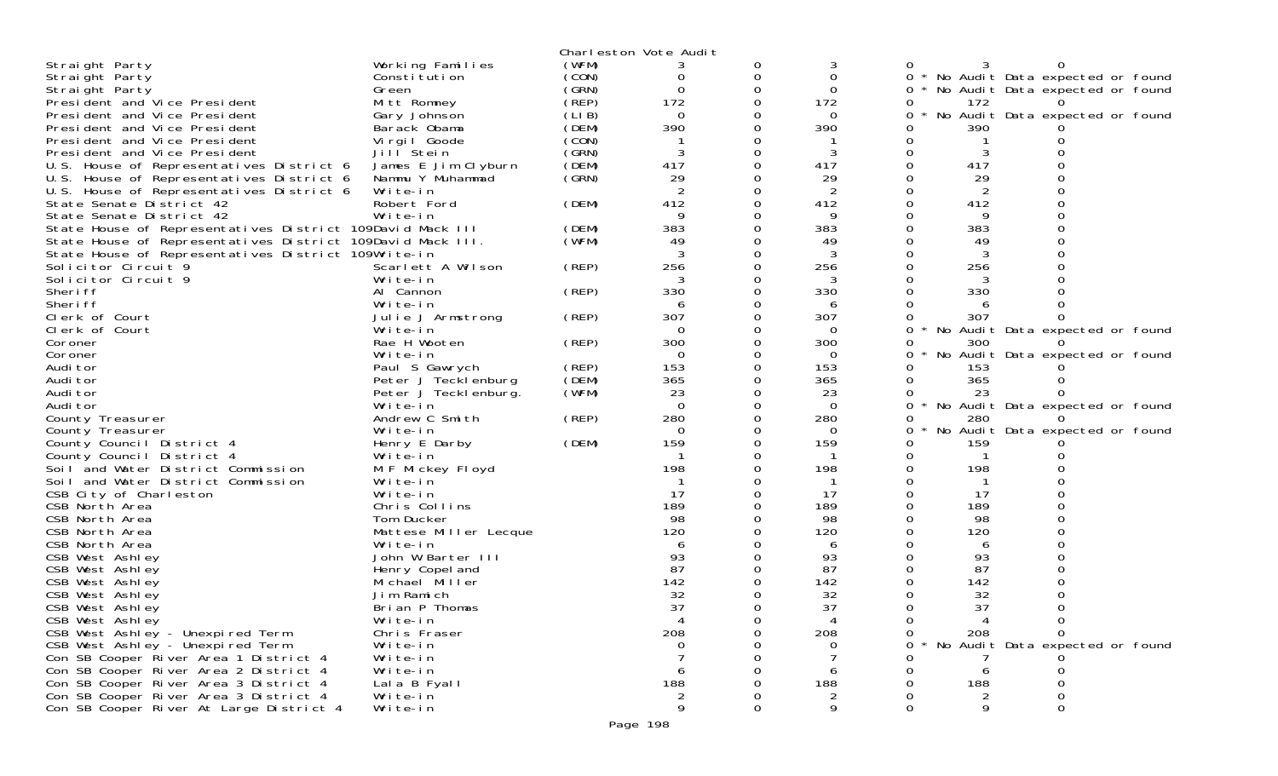|                                                            |                            |       | Charleston Vote Audit |          |          |          |     |                                 |  |
|------------------------------------------------------------|----------------------------|-------|-----------------------|----------|----------|----------|-----|---------------------------------|--|
| Straight Party                                             | Working Families           | (WFM) |                       | 0        | 3        |          |     |                                 |  |
| Straight Party                                             | Constitution               | (CON) | 0                     | 0        | 0        | $\Omega$ |     | No Audit Data expected or found |  |
| Straight Party                                             | Green                      | (GRN) | $\Omega$              | 0        | $\Omega$ | 0        |     | No Audit Data expected or found |  |
| President and Vice President                               | Mitt Romney                | (REP) | 172                   | 0        | 172      |          | 172 |                                 |  |
| President and Vice President                               | Gary Johnson               | (LIB) | $\overline{0}$        |          | 0        | 0        |     | No Audit Data expected or found |  |
| President and Vice President                               | Barack Obama               | (DEM) | 390                   | 0        | 390      |          | 390 |                                 |  |
| President and Vice President                               |                            | (CON) |                       | 0        |          |          |     |                                 |  |
| President and Vice President                               | Virgil Goode<br>Jill Stein | (GRN) | 3                     | 0        | 3        |          | 3   |                                 |  |
|                                                            |                            | (DEM) | 417                   | 0        | 417      | O        | 417 |                                 |  |
| U.S. House of Representatives District 6                   | James E Jim Clyburn        |       | 29                    |          |          |          |     |                                 |  |
| U.S. House of Representatives District 6                   | Nammu Y Muhammad           | (GRN) | 2                     | 0        | 29       |          | 29  |                                 |  |
| U.S. House of Representatives District 6                   | Write-in                   |       |                       |          | 2        |          | 2   |                                 |  |
| State Senate District 42                                   | Robert Ford                | (DEM) | 412<br>9              | 0        | 412      |          | 412 |                                 |  |
| State Senate District 42                                   | Write-in                   |       |                       | 0        | 9        |          | 9   |                                 |  |
| State House of Representatives District 109David Mack III  |                            | (DEM) | 383                   |          | 383      |          | 383 |                                 |  |
| State House of Representatives District 109David Mack III. |                            | (WFM) | 49                    | O        | 49       |          | 49  |                                 |  |
| State House of Representatives District 109Write-in        |                            |       | 3                     | 0        | 3        |          | 3   |                                 |  |
| Solicitor Circuit 9                                        | Scarlett A Wilson          | (REP) | 256                   | 0        | 256      |          | 256 |                                 |  |
| Solicitor Circuit 9                                        | Write-in                   |       |                       | Ω        |          |          |     |                                 |  |
| Sheri ff                                                   | Al Cannon                  | (REP) | 330                   | 0        | 330      |          | 330 |                                 |  |
| Sheri ff                                                   | Write-in                   |       | 6                     |          | 6        |          |     |                                 |  |
| Clerk of Court                                             | Julie J Armstrong          | (REP) | 307                   |          | 307      |          | 307 |                                 |  |
| Clerk of Court                                             | Write-in                   |       | $\Omega$              | 0        | $\Omega$ | 0        |     | No Audit Data expected or found |  |
| Coroner                                                    | Rae H Wooten               | (REP) | 300                   |          | 300      | 0        | 300 |                                 |  |
| Coroner                                                    | Write-in                   |       | $\Omega$              | 0        | $\Omega$ | 0        |     | No Audit Data expected or found |  |
| Audi tor                                                   | Paul S Gawrych             | (REP) | 153                   | 0        | 153      |          | 153 |                                 |  |
| Audi tor                                                   | Peter J Tecklenburg        | (DEM) | 365                   |          | 365      |          | 365 |                                 |  |
| Audi tor                                                   | Peter J Tecklenburg.       | (WFM) | 23                    | 0        | 23       | 0        | 23  |                                 |  |
| Audi tor                                                   | Write-in                   |       | $\Omega$              | 0        | $\Omega$ | 0        |     | No Audit Data expected or found |  |
| County Treasurer                                           | Andrew C Smith             | (REP) | 280                   | $\Omega$ | 280      | 0        | 280 |                                 |  |
| County Treasurer                                           | Write-in                   |       | $\Omega$              | 0        | 0        | 0        |     | No Audit Data expected or found |  |
| County Council District 4                                  | Henry E Darby              | (DEM) | 159                   | 0        | 159      |          | 159 |                                 |  |
| County Council District 4                                  | Write-in                   |       |                       |          |          |          |     |                                 |  |
| Soil and Water District Commission                         | M F Mickey Floyd           |       | 198                   |          | 198      |          | 198 |                                 |  |
| Soil and Water District Commission                         | Write-in                   |       |                       |          |          |          |     |                                 |  |
| CSB City of Charleston                                     | Write-in                   |       | 17                    |          | 17       |          | 17  |                                 |  |
| CSB North Area                                             | Chris Collins              |       | 189                   |          | 189      |          | 189 |                                 |  |
| CSB North Area                                             | Tom Ducker                 |       | 98                    |          | 98       |          | 98  |                                 |  |
| CSB North Area                                             | Mattese Miller Lecque      |       | 120                   |          | 120      |          | 120 |                                 |  |
| CSB North Area                                             | Write-in                   |       | 6                     |          | 6        |          | 6   |                                 |  |
| CSB West Ashley                                            | John W Barter III          |       | 93                    |          | 93       |          | 93  |                                 |  |
| CSB West Ashley                                            | Henry Copel and            |       | 87                    |          | 87       |          | 87  |                                 |  |
| CSB West Ashley                                            | Michael Miller             |       | 142                   |          | 142      |          | 142 |                                 |  |
| CSB West Ashley                                            | Jim Ramich                 |       | 32                    |          | 32       |          | 32  |                                 |  |
| CSB West Ashley                                            | Brian P Thomas             |       | 37                    | 0        | 37       |          | 37  |                                 |  |
| CSB West Ashley                                            | Write-in                   |       | 4                     | Ω        |          |          |     |                                 |  |
| CSB West Ashley - Unexpired Term                           | Chris Fraser               |       | 208                   |          | 208      |          | 208 |                                 |  |
| CSB West Ashley - Unexpired Term                           | Write-in                   |       |                       |          | $\Omega$ |          |     | No Audit Data expected or found |  |
| Con SB Cooper River Area 1 District 4                      | Write-in                   |       |                       |          |          |          |     |                                 |  |
| Con SB Cooper River Area 2 District 4                      | Write-in                   |       |                       |          |          |          |     |                                 |  |
| Con SB Cooper River Area 3 District 4                      | Lala B Fyall               |       | 188                   |          | 188      |          | 188 |                                 |  |
| Con SB Cooper River Area 3 District 4                      | Write-in                   |       |                       |          |          |          |     |                                 |  |
| Con SB Cooper River At Large District 4                    | Write-in                   |       | 9                     | 0        | 9        |          | 9   |                                 |  |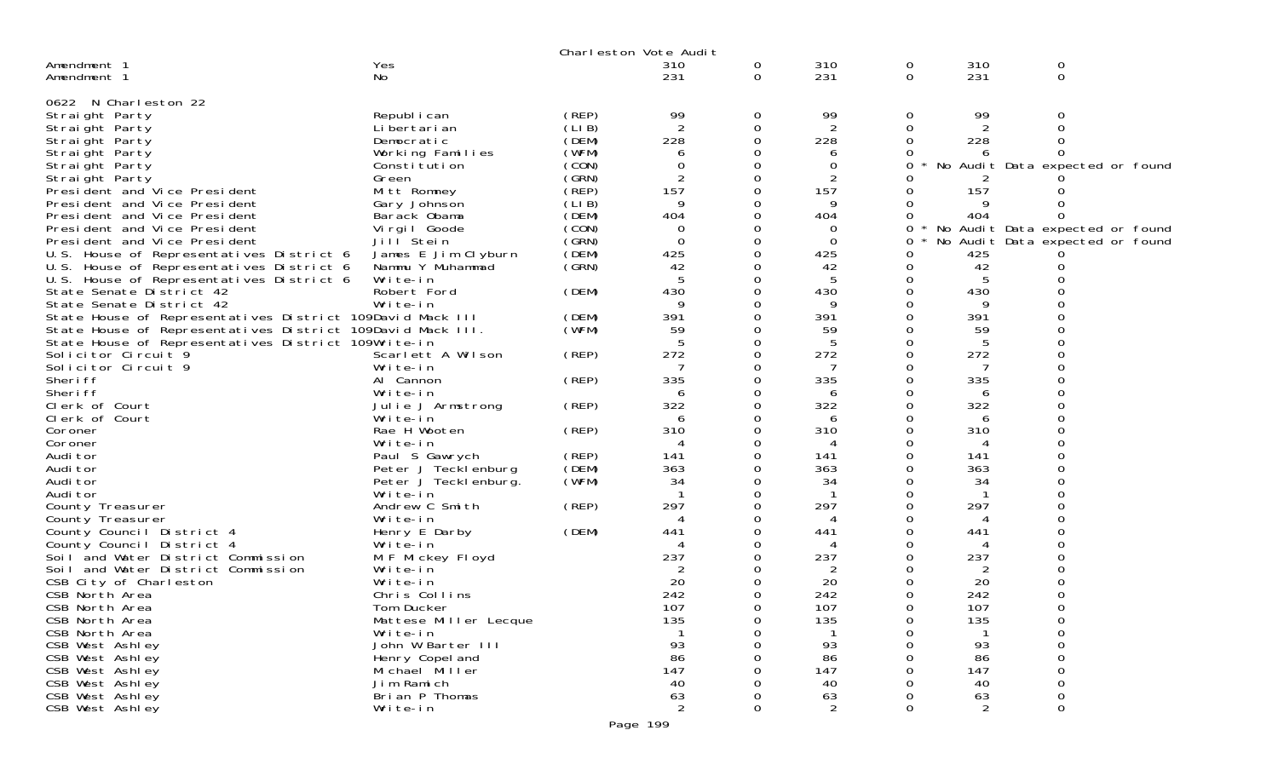|                                                              |                                   |                | Charleston Vote Audit |          |            |               |            |                                 |  |
|--------------------------------------------------------------|-----------------------------------|----------------|-----------------------|----------|------------|---------------|------------|---------------------------------|--|
| Amendment 1<br>Amendment 1                                   | Yes<br>No                         |                | 310<br>231            | 0<br>0   | 310<br>231 | 0<br>0        | 310<br>231 | 0<br>0                          |  |
|                                                              |                                   |                |                       |          |            |               |            |                                 |  |
| 0622 N Charleston 22                                         |                                   |                |                       |          |            |               |            |                                 |  |
| Straight Party                                               | Republ i can                      | (REP)          | 99                    | 0        | 99         | 0             | 99         | $\Omega$                        |  |
| Straight Party                                               | Li bertari an                     | (LI B)         | 2                     | 0        | 2          | 0             |            |                                 |  |
| Straight Party                                               | Democratic                        | (DEM)          | 228                   | $\Omega$ | 228        | 0             | 228        |                                 |  |
| Straight Party                                               | Working Families                  | (WFM)          | 6                     | 0        | 6          |               |            |                                 |  |
| Straight Party                                               | Constitution                      | (CON)          | 0                     | 0        | 0          | 0             |            | No Audit Data expected or found |  |
| Straight Party                                               | Green                             | (GRN)<br>(REP) | $\overline{c}$<br>157 | 0<br>0   | 2<br>157   |               | 157        |                                 |  |
| President and Vice President                                 | Mitt Romney<br>Gary Johnson       | (LIB)          | 9                     | 0        | 9          |               |            |                                 |  |
| President and Vice President<br>President and Vice President | Barack Obama                      | (DEM)          | 404                   | 0        | 404        | $\Omega$      | 404        |                                 |  |
| President and Vice President                                 | Virgil Goode                      | (CON)          | 0                     | 0        | 0          | 0             |            | No Audit Data expected or found |  |
| President and Vice President                                 | Jill Stein                        | (GRN)          | 0                     | 0        | 0          | 0             |            | No Audit Data expected or found |  |
| U.S. House of Representatives District 6                     | James E Jim Clyburn               | (DEM)          | 425                   | 0        | 425        | Ω             | 425        |                                 |  |
| U.S. House of Representatives District 6                     | Nammu Y Muhammad                  | (GRN)          | 42                    | 0        | 42         | 0             | 42         |                                 |  |
| U.S. House of Representatives District 6                     | Write-in                          |                |                       | 0        | 5          | 0             |            |                                 |  |
| State Senate District 42                                     | Robert Ford                       | (DEM)          | 430                   | 0        | 430        | 0             | 430        |                                 |  |
| State Senate District 42                                     | Write-in                          |                | 9                     | 0        | 9          | 0             | -9         |                                 |  |
| State House of Representatives District 109David Mack III    |                                   | (DEM)          | 391                   | 0        | 391        |               | 391        |                                 |  |
| State House of Representatives District 109David Mack III.   |                                   | (WFM)          | 59                    | 0        | 59         | Ω             | 59         |                                 |  |
| State House of Representatives District 109Write-in          |                                   |                |                       | 0        | 5          | 0             | 5          |                                 |  |
| Solicitor Circuit 9                                          | Scarlett A Wilson                 | (REP)          | 272                   | 0        | 272        | 0             | 272        |                                 |  |
| Solicitor Circuit 9                                          | Write-in                          |                | 7                     | 0        | 7          | 0             | 7          |                                 |  |
| Sheri ff                                                     | Al Cannon                         | (REP)          | 335                   | 0        | 335        | 0             | 335        |                                 |  |
| Sheri ff                                                     | Write-in                          |                | 6                     | 0        | 6          | O             | 6          |                                 |  |
| Clerk of Court                                               | Julie J Armstrong                 | (REP)          | 322                   | 0        | 322        | 0             | 322        |                                 |  |
| Clerk of Court                                               | Write-in                          |                | 6                     | 0        | 6          | Ω<br>$\Omega$ | 6          |                                 |  |
| Coroner                                                      | Rae H Wooten                      | (REP)          | 310<br>4              | 0<br>0   | 310<br>4   | 0             | 310<br>4   |                                 |  |
| Coroner<br>Audi tor                                          | Write-in<br>Paul S Gawrych        | (REP)          | 141                   | 0        | 141        | 0             | 141        |                                 |  |
| Audi tor                                                     | Peter J Tecklenburg               | (DEM)          | 363                   | 0        | 363        | $\Omega$      | 363        |                                 |  |
| Audi tor                                                     | Peter J Teckl enburg.             | (WFM)          | 34                    | 0        | 34         | 0             | 34         |                                 |  |
| Audi tor                                                     | Write-in                          |                |                       | 0        | -1         | 0             |            |                                 |  |
| County Treasurer                                             | Andrew C Smith                    | (REP)          | 297                   | 0        | 297        | $\Omega$      | 297        |                                 |  |
| County Treasurer                                             | Write-in                          |                | 4                     | 0        | 4          | 0             | 4          |                                 |  |
| County Council District 4                                    | Henry E Darby                     | (DEM)          | 441                   | 0        | 441        | $\Omega$      | 441        |                                 |  |
| County Council District 4                                    | Write-in                          |                |                       | O        | 4          | O             |            |                                 |  |
| Soil and Water District Commission                           | M F Mickey Floyd                  |                | 237                   | 0        | 237        | 0             | 237        |                                 |  |
| Soil and Water District Commission                           | Write-in                          |                |                       | 0        | 2          |               | 2          |                                 |  |
| CSB City of Charleston                                       | Write-in                          |                | 20                    | 0        | 20         | 0             | 20         |                                 |  |
| CSB North Area                                               | Chris Collins                     |                | 242                   | 0        | 242        | 0             | 242        |                                 |  |
| CSB North Area                                               | Tom Ducker                        |                | 107                   | 0        | 107        | 0             | 107        | $\Omega$                        |  |
| CSB North Area                                               | Mattese Miller Lecque             |                | 135                   | 0        | 135        | 0             | 135        | 0                               |  |
| CSB North Area                                               | Write-in                          |                |                       | 0        |            | 0             |            | 0                               |  |
| CSB West Ashley                                              | John W Barter III                 |                | 93                    |          | 93         |               | 93         | ∩                               |  |
| CSB West Ashley<br>CSB West Ashley                           | Henry Copel and<br>Michael Miller |                | 86<br>147             |          | 86<br>147  |               | 86<br>147  |                                 |  |
| CSB West Ashley                                              | Jim Ramich                        |                | 40                    |          | 40         |               | 40         | 0                               |  |
| CSB West Ashley                                              | Brian P Thomas                    |                | 63                    |          | 63         |               | 63         | 0                               |  |
| CSB West Ashley                                              | Write-in                          |                | $\overline{2}$        | 0        | 2          | $\Omega$      | 2          | 0                               |  |
|                                                              |                                   |                |                       |          |            |               |            |                                 |  |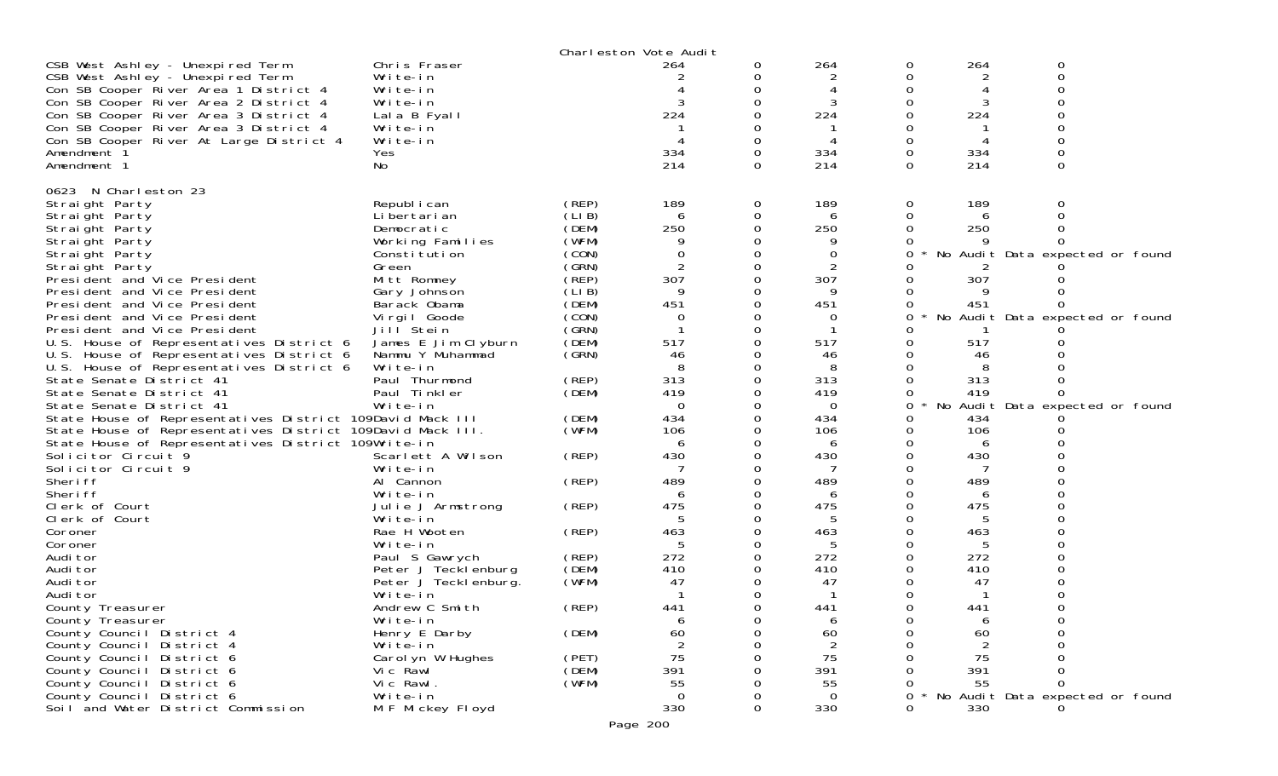| CSB West Ashley - Unexpired Term<br>264<br>0<br>O<br>O<br>CSB West Ashley - Unexpired Term<br>2<br>Write-in<br>2<br>Ω<br>0<br>0<br>Con SB Cooper River Area 1 District 4<br>Write-in<br>0<br>3<br>0<br>Con SB Cooper River Area 2 District 4<br>Write-in<br>224<br>224<br>224<br>Con SB Cooper River Area 3 District 4<br>Lala B Fyall<br>Con SB Cooper River Area 3 District 4<br>Write-in<br>Con SB Cooper River At Large District 4<br>Write-in<br>0<br>334<br>334<br>0<br>334<br>Amendment 1<br>Yes<br>0<br>214<br>214<br>$\Omega$<br>Amendment 1<br>0<br>214<br>No<br>0<br>N Charleston 23<br>0623<br>189<br>189<br>189<br>Straight Party<br>Republ i can<br>(REP)<br>0<br>0<br>O<br>(LI B)<br>0<br>Straight Party<br>Li bertari an<br>0<br>6<br>6<br>(DEM)<br>250<br>0<br>250<br>250<br>Straight Party<br>Democratic<br>(WFM)<br>Straight Party<br>Working Families<br>0<br>(CON)<br>$\Omega$<br>0<br>Straight Party<br>0<br>No Audit Data expected or found<br>Constitution<br>0<br>(GRN)<br>$\overline{2}$<br>Straight Party<br>0<br>2<br>Green<br>307<br>(REP)<br>307<br>307<br>Mitt Romney<br>0<br>President and Vice President<br>(LIB)<br>9<br>9<br>President and Vice President<br>0<br>Gary Johnson<br>9<br>451<br>(DEM)<br>451<br>451<br>President and Vice President<br>Barack Obama<br>Vi rgi I Goode<br>(CON)<br>No<br>President and Vice President<br>0<br>Audit Data expected or found<br>0<br>0<br>(GRN)<br>-1<br>President and Vice President<br>Jill Stein<br>0<br>517<br>517<br>James E Jim Clyburn<br>(DEM)<br>517<br>U.S. House of Representatives District 6<br>U.S. House of Representatives District 6<br>Nammu Y Muhammad<br>(GRN)<br>46<br>0<br>46<br>46<br>Write-in<br>8<br>8<br>U.S. House of Representatives District 6<br>0<br>313<br>313<br>State Senate District 41<br>Paul Thurmond<br>(REP)<br>0<br>313<br>(DEM)<br>419<br>State Senate District 41<br>Paul Tinkler<br>0<br>419<br>419<br>0<br>Write-in<br>$\Omega$<br>$\overline{0}$<br>No Audit Data expected or found<br>State Senate District 41<br>0<br>0<br>434<br>State House of Representatives District 109David Mack III<br>(DEM)<br>0<br>434<br>434<br>0<br>State House of Representatives District 109David Mack III.<br>(WFM)<br>106<br>106<br>106<br>0<br>State House of Representatives District 109Write-in<br>0<br>6<br>6<br>6<br>430<br>430<br>430<br>Solicitor Circuit 9<br>Scarlett A Wilson<br>(REP)<br>0<br>Solicitor Circuit 9<br>Write-in<br>0<br>489<br>489<br>Sheri ff<br>Al Cannon<br>489<br>(REP)<br>0<br>Sheri ff<br>Write-in<br>0<br>6<br>6<br>6<br>Clerk of Court<br>(REP)<br>475<br>475<br>475<br>0<br>Julie J Armstrong<br>5<br>5<br>Clerk of Court<br>Write-in<br>0<br>5<br>463<br>Rae H Wooten<br>(REP)<br>463<br>463<br>Coroner<br>Write-in<br>0<br>Coroner<br>272<br>272<br>272<br>(REP)<br>Audi tor<br>Paul S Gawrych<br>0<br>(DEM)<br>410<br>Audi tor<br>Peter J Tecklenburg<br>410<br>410<br>(WFM)<br>47<br>Audi tor<br>Peter J Tecklenburg.<br>47<br>47<br>Audi tor<br>Write-in<br>0<br>Andrew C Smith<br>(REP)<br>441<br>0<br>441<br>$\Omega$<br>441<br>∩<br>County Treasurer<br>County Treasurer<br>Write-in<br>0<br>6<br>6<br>ь<br>(DEM)<br>60<br>60<br>60<br>County Council District 4<br>Henry E Darby<br>0<br>0<br>County Council District 4<br>Write-in<br>Ω<br>75<br>75<br>75<br>Carol yn W Hughes<br>County Council District 6<br>(PET)<br>0<br>(DEM)<br>391<br>391<br>391<br>County Council District 6<br>Vic Rawl<br>(WFM)<br>County Council District 6<br>Vic Rawl.<br>55<br>55<br>55<br>$\Omega$<br>County Council District 6<br>Write-in<br>Audit Data expected or found<br>0<br>0<br>0<br>No<br>Soil and Water District Commission<br>330<br>330<br>M F Mickey Floyd<br>330<br>0<br>0<br>Page 200 |              | Charleston Vote Audit |     |     |  |
|--------------------------------------------------------------------------------------------------------------------------------------------------------------------------------------------------------------------------------------------------------------------------------------------------------------------------------------------------------------------------------------------------------------------------------------------------------------------------------------------------------------------------------------------------------------------------------------------------------------------------------------------------------------------------------------------------------------------------------------------------------------------------------------------------------------------------------------------------------------------------------------------------------------------------------------------------------------------------------------------------------------------------------------------------------------------------------------------------------------------------------------------------------------------------------------------------------------------------------------------------------------------------------------------------------------------------------------------------------------------------------------------------------------------------------------------------------------------------------------------------------------------------------------------------------------------------------------------------------------------------------------------------------------------------------------------------------------------------------------------------------------------------------------------------------------------------------------------------------------------------------------------------------------------------------------------------------------------------------------------------------------------------------------------------------------------------------------------------------------------------------------------------------------------------------------------------------------------------------------------------------------------------------------------------------------------------------------------------------------------------------------------------------------------------------------------------------------------------------------------------------------------------------------------------------------------------------------------------------------------------------------------------------------------------------------------------------------------------------------------------------------------------------------------------------------------------------------------------------------------------------------------------------------------------------------------------------------------------------------------------------------------------------------------------------------------------------------------------------------------------------------------------------------------------------------------------------------------------------------------------------------------------------------------------------------------------------------------------------------------------------------------------------------------------------------------------------------------------------------------------------------------------------------------------------------------------------------------------------------------------------------------------------------------------------------------------------------------------------------------------|--------------|-----------------------|-----|-----|--|
|                                                                                                                                                                                                                                                                                                                                                                                                                                                                                                                                                                                                                                                                                                                                                                                                                                                                                                                                                                                                                                                                                                                                                                                                                                                                                                                                                                                                                                                                                                                                                                                                                                                                                                                                                                                                                                                                                                                                                                                                                                                                                                                                                                                                                                                                                                                                                                                                                                                                                                                                                                                                                                                                                                                                                                                                                                                                                                                                                                                                                                                                                                                                                                                                                                                                                                                                                                                                                                                                                                                                                                                                                                                                                                                                                  | Chris Fraser |                       | 264 | 264 |  |
|                                                                                                                                                                                                                                                                                                                                                                                                                                                                                                                                                                                                                                                                                                                                                                                                                                                                                                                                                                                                                                                                                                                                                                                                                                                                                                                                                                                                                                                                                                                                                                                                                                                                                                                                                                                                                                                                                                                                                                                                                                                                                                                                                                                                                                                                                                                                                                                                                                                                                                                                                                                                                                                                                                                                                                                                                                                                                                                                                                                                                                                                                                                                                                                                                                                                                                                                                                                                                                                                                                                                                                                                                                                                                                                                                  |              |                       |     |     |  |
|                                                                                                                                                                                                                                                                                                                                                                                                                                                                                                                                                                                                                                                                                                                                                                                                                                                                                                                                                                                                                                                                                                                                                                                                                                                                                                                                                                                                                                                                                                                                                                                                                                                                                                                                                                                                                                                                                                                                                                                                                                                                                                                                                                                                                                                                                                                                                                                                                                                                                                                                                                                                                                                                                                                                                                                                                                                                                                                                                                                                                                                                                                                                                                                                                                                                                                                                                                                                                                                                                                                                                                                                                                                                                                                                                  |              |                       |     |     |  |
|                                                                                                                                                                                                                                                                                                                                                                                                                                                                                                                                                                                                                                                                                                                                                                                                                                                                                                                                                                                                                                                                                                                                                                                                                                                                                                                                                                                                                                                                                                                                                                                                                                                                                                                                                                                                                                                                                                                                                                                                                                                                                                                                                                                                                                                                                                                                                                                                                                                                                                                                                                                                                                                                                                                                                                                                                                                                                                                                                                                                                                                                                                                                                                                                                                                                                                                                                                                                                                                                                                                                                                                                                                                                                                                                                  |              |                       |     |     |  |
|                                                                                                                                                                                                                                                                                                                                                                                                                                                                                                                                                                                                                                                                                                                                                                                                                                                                                                                                                                                                                                                                                                                                                                                                                                                                                                                                                                                                                                                                                                                                                                                                                                                                                                                                                                                                                                                                                                                                                                                                                                                                                                                                                                                                                                                                                                                                                                                                                                                                                                                                                                                                                                                                                                                                                                                                                                                                                                                                                                                                                                                                                                                                                                                                                                                                                                                                                                                                                                                                                                                                                                                                                                                                                                                                                  |              |                       |     |     |  |
|                                                                                                                                                                                                                                                                                                                                                                                                                                                                                                                                                                                                                                                                                                                                                                                                                                                                                                                                                                                                                                                                                                                                                                                                                                                                                                                                                                                                                                                                                                                                                                                                                                                                                                                                                                                                                                                                                                                                                                                                                                                                                                                                                                                                                                                                                                                                                                                                                                                                                                                                                                                                                                                                                                                                                                                                                                                                                                                                                                                                                                                                                                                                                                                                                                                                                                                                                                                                                                                                                                                                                                                                                                                                                                                                                  |              |                       |     |     |  |
|                                                                                                                                                                                                                                                                                                                                                                                                                                                                                                                                                                                                                                                                                                                                                                                                                                                                                                                                                                                                                                                                                                                                                                                                                                                                                                                                                                                                                                                                                                                                                                                                                                                                                                                                                                                                                                                                                                                                                                                                                                                                                                                                                                                                                                                                                                                                                                                                                                                                                                                                                                                                                                                                                                                                                                                                                                                                                                                                                                                                                                                                                                                                                                                                                                                                                                                                                                                                                                                                                                                                                                                                                                                                                                                                                  |              |                       |     |     |  |
|                                                                                                                                                                                                                                                                                                                                                                                                                                                                                                                                                                                                                                                                                                                                                                                                                                                                                                                                                                                                                                                                                                                                                                                                                                                                                                                                                                                                                                                                                                                                                                                                                                                                                                                                                                                                                                                                                                                                                                                                                                                                                                                                                                                                                                                                                                                                                                                                                                                                                                                                                                                                                                                                                                                                                                                                                                                                                                                                                                                                                                                                                                                                                                                                                                                                                                                                                                                                                                                                                                                                                                                                                                                                                                                                                  |              |                       |     |     |  |
|                                                                                                                                                                                                                                                                                                                                                                                                                                                                                                                                                                                                                                                                                                                                                                                                                                                                                                                                                                                                                                                                                                                                                                                                                                                                                                                                                                                                                                                                                                                                                                                                                                                                                                                                                                                                                                                                                                                                                                                                                                                                                                                                                                                                                                                                                                                                                                                                                                                                                                                                                                                                                                                                                                                                                                                                                                                                                                                                                                                                                                                                                                                                                                                                                                                                                                                                                                                                                                                                                                                                                                                                                                                                                                                                                  |              |                       |     |     |  |
|                                                                                                                                                                                                                                                                                                                                                                                                                                                                                                                                                                                                                                                                                                                                                                                                                                                                                                                                                                                                                                                                                                                                                                                                                                                                                                                                                                                                                                                                                                                                                                                                                                                                                                                                                                                                                                                                                                                                                                                                                                                                                                                                                                                                                                                                                                                                                                                                                                                                                                                                                                                                                                                                                                                                                                                                                                                                                                                                                                                                                                                                                                                                                                                                                                                                                                                                                                                                                                                                                                                                                                                                                                                                                                                                                  |              |                       |     |     |  |
|                                                                                                                                                                                                                                                                                                                                                                                                                                                                                                                                                                                                                                                                                                                                                                                                                                                                                                                                                                                                                                                                                                                                                                                                                                                                                                                                                                                                                                                                                                                                                                                                                                                                                                                                                                                                                                                                                                                                                                                                                                                                                                                                                                                                                                                                                                                                                                                                                                                                                                                                                                                                                                                                                                                                                                                                                                                                                                                                                                                                                                                                                                                                                                                                                                                                                                                                                                                                                                                                                                                                                                                                                                                                                                                                                  |              |                       |     |     |  |
|                                                                                                                                                                                                                                                                                                                                                                                                                                                                                                                                                                                                                                                                                                                                                                                                                                                                                                                                                                                                                                                                                                                                                                                                                                                                                                                                                                                                                                                                                                                                                                                                                                                                                                                                                                                                                                                                                                                                                                                                                                                                                                                                                                                                                                                                                                                                                                                                                                                                                                                                                                                                                                                                                                                                                                                                                                                                                                                                                                                                                                                                                                                                                                                                                                                                                                                                                                                                                                                                                                                                                                                                                                                                                                                                                  |              |                       |     |     |  |
|                                                                                                                                                                                                                                                                                                                                                                                                                                                                                                                                                                                                                                                                                                                                                                                                                                                                                                                                                                                                                                                                                                                                                                                                                                                                                                                                                                                                                                                                                                                                                                                                                                                                                                                                                                                                                                                                                                                                                                                                                                                                                                                                                                                                                                                                                                                                                                                                                                                                                                                                                                                                                                                                                                                                                                                                                                                                                                                                                                                                                                                                                                                                                                                                                                                                                                                                                                                                                                                                                                                                                                                                                                                                                                                                                  |              |                       |     |     |  |
|                                                                                                                                                                                                                                                                                                                                                                                                                                                                                                                                                                                                                                                                                                                                                                                                                                                                                                                                                                                                                                                                                                                                                                                                                                                                                                                                                                                                                                                                                                                                                                                                                                                                                                                                                                                                                                                                                                                                                                                                                                                                                                                                                                                                                                                                                                                                                                                                                                                                                                                                                                                                                                                                                                                                                                                                                                                                                                                                                                                                                                                                                                                                                                                                                                                                                                                                                                                                                                                                                                                                                                                                                                                                                                                                                  |              |                       |     |     |  |
|                                                                                                                                                                                                                                                                                                                                                                                                                                                                                                                                                                                                                                                                                                                                                                                                                                                                                                                                                                                                                                                                                                                                                                                                                                                                                                                                                                                                                                                                                                                                                                                                                                                                                                                                                                                                                                                                                                                                                                                                                                                                                                                                                                                                                                                                                                                                                                                                                                                                                                                                                                                                                                                                                                                                                                                                                                                                                                                                                                                                                                                                                                                                                                                                                                                                                                                                                                                                                                                                                                                                                                                                                                                                                                                                                  |              |                       |     |     |  |
|                                                                                                                                                                                                                                                                                                                                                                                                                                                                                                                                                                                                                                                                                                                                                                                                                                                                                                                                                                                                                                                                                                                                                                                                                                                                                                                                                                                                                                                                                                                                                                                                                                                                                                                                                                                                                                                                                                                                                                                                                                                                                                                                                                                                                                                                                                                                                                                                                                                                                                                                                                                                                                                                                                                                                                                                                                                                                                                                                                                                                                                                                                                                                                                                                                                                                                                                                                                                                                                                                                                                                                                                                                                                                                                                                  |              |                       |     |     |  |
|                                                                                                                                                                                                                                                                                                                                                                                                                                                                                                                                                                                                                                                                                                                                                                                                                                                                                                                                                                                                                                                                                                                                                                                                                                                                                                                                                                                                                                                                                                                                                                                                                                                                                                                                                                                                                                                                                                                                                                                                                                                                                                                                                                                                                                                                                                                                                                                                                                                                                                                                                                                                                                                                                                                                                                                                                                                                                                                                                                                                                                                                                                                                                                                                                                                                                                                                                                                                                                                                                                                                                                                                                                                                                                                                                  |              |                       |     |     |  |
|                                                                                                                                                                                                                                                                                                                                                                                                                                                                                                                                                                                                                                                                                                                                                                                                                                                                                                                                                                                                                                                                                                                                                                                                                                                                                                                                                                                                                                                                                                                                                                                                                                                                                                                                                                                                                                                                                                                                                                                                                                                                                                                                                                                                                                                                                                                                                                                                                                                                                                                                                                                                                                                                                                                                                                                                                                                                                                                                                                                                                                                                                                                                                                                                                                                                                                                                                                                                                                                                                                                                                                                                                                                                                                                                                  |              |                       |     |     |  |
|                                                                                                                                                                                                                                                                                                                                                                                                                                                                                                                                                                                                                                                                                                                                                                                                                                                                                                                                                                                                                                                                                                                                                                                                                                                                                                                                                                                                                                                                                                                                                                                                                                                                                                                                                                                                                                                                                                                                                                                                                                                                                                                                                                                                                                                                                                                                                                                                                                                                                                                                                                                                                                                                                                                                                                                                                                                                                                                                                                                                                                                                                                                                                                                                                                                                                                                                                                                                                                                                                                                                                                                                                                                                                                                                                  |              |                       |     |     |  |
|                                                                                                                                                                                                                                                                                                                                                                                                                                                                                                                                                                                                                                                                                                                                                                                                                                                                                                                                                                                                                                                                                                                                                                                                                                                                                                                                                                                                                                                                                                                                                                                                                                                                                                                                                                                                                                                                                                                                                                                                                                                                                                                                                                                                                                                                                                                                                                                                                                                                                                                                                                                                                                                                                                                                                                                                                                                                                                                                                                                                                                                                                                                                                                                                                                                                                                                                                                                                                                                                                                                                                                                                                                                                                                                                                  |              |                       |     |     |  |
|                                                                                                                                                                                                                                                                                                                                                                                                                                                                                                                                                                                                                                                                                                                                                                                                                                                                                                                                                                                                                                                                                                                                                                                                                                                                                                                                                                                                                                                                                                                                                                                                                                                                                                                                                                                                                                                                                                                                                                                                                                                                                                                                                                                                                                                                                                                                                                                                                                                                                                                                                                                                                                                                                                                                                                                                                                                                                                                                                                                                                                                                                                                                                                                                                                                                                                                                                                                                                                                                                                                                                                                                                                                                                                                                                  |              |                       |     |     |  |
|                                                                                                                                                                                                                                                                                                                                                                                                                                                                                                                                                                                                                                                                                                                                                                                                                                                                                                                                                                                                                                                                                                                                                                                                                                                                                                                                                                                                                                                                                                                                                                                                                                                                                                                                                                                                                                                                                                                                                                                                                                                                                                                                                                                                                                                                                                                                                                                                                                                                                                                                                                                                                                                                                                                                                                                                                                                                                                                                                                                                                                                                                                                                                                                                                                                                                                                                                                                                                                                                                                                                                                                                                                                                                                                                                  |              |                       |     |     |  |
|                                                                                                                                                                                                                                                                                                                                                                                                                                                                                                                                                                                                                                                                                                                                                                                                                                                                                                                                                                                                                                                                                                                                                                                                                                                                                                                                                                                                                                                                                                                                                                                                                                                                                                                                                                                                                                                                                                                                                                                                                                                                                                                                                                                                                                                                                                                                                                                                                                                                                                                                                                                                                                                                                                                                                                                                                                                                                                                                                                                                                                                                                                                                                                                                                                                                                                                                                                                                                                                                                                                                                                                                                                                                                                                                                  |              |                       |     |     |  |
|                                                                                                                                                                                                                                                                                                                                                                                                                                                                                                                                                                                                                                                                                                                                                                                                                                                                                                                                                                                                                                                                                                                                                                                                                                                                                                                                                                                                                                                                                                                                                                                                                                                                                                                                                                                                                                                                                                                                                                                                                                                                                                                                                                                                                                                                                                                                                                                                                                                                                                                                                                                                                                                                                                                                                                                                                                                                                                                                                                                                                                                                                                                                                                                                                                                                                                                                                                                                                                                                                                                                                                                                                                                                                                                                                  |              |                       |     |     |  |
|                                                                                                                                                                                                                                                                                                                                                                                                                                                                                                                                                                                                                                                                                                                                                                                                                                                                                                                                                                                                                                                                                                                                                                                                                                                                                                                                                                                                                                                                                                                                                                                                                                                                                                                                                                                                                                                                                                                                                                                                                                                                                                                                                                                                                                                                                                                                                                                                                                                                                                                                                                                                                                                                                                                                                                                                                                                                                                                                                                                                                                                                                                                                                                                                                                                                                                                                                                                                                                                                                                                                                                                                                                                                                                                                                  |              |                       |     |     |  |
|                                                                                                                                                                                                                                                                                                                                                                                                                                                                                                                                                                                                                                                                                                                                                                                                                                                                                                                                                                                                                                                                                                                                                                                                                                                                                                                                                                                                                                                                                                                                                                                                                                                                                                                                                                                                                                                                                                                                                                                                                                                                                                                                                                                                                                                                                                                                                                                                                                                                                                                                                                                                                                                                                                                                                                                                                                                                                                                                                                                                                                                                                                                                                                                                                                                                                                                                                                                                                                                                                                                                                                                                                                                                                                                                                  |              |                       |     |     |  |
|                                                                                                                                                                                                                                                                                                                                                                                                                                                                                                                                                                                                                                                                                                                                                                                                                                                                                                                                                                                                                                                                                                                                                                                                                                                                                                                                                                                                                                                                                                                                                                                                                                                                                                                                                                                                                                                                                                                                                                                                                                                                                                                                                                                                                                                                                                                                                                                                                                                                                                                                                                                                                                                                                                                                                                                                                                                                                                                                                                                                                                                                                                                                                                                                                                                                                                                                                                                                                                                                                                                                                                                                                                                                                                                                                  |              |                       |     |     |  |
|                                                                                                                                                                                                                                                                                                                                                                                                                                                                                                                                                                                                                                                                                                                                                                                                                                                                                                                                                                                                                                                                                                                                                                                                                                                                                                                                                                                                                                                                                                                                                                                                                                                                                                                                                                                                                                                                                                                                                                                                                                                                                                                                                                                                                                                                                                                                                                                                                                                                                                                                                                                                                                                                                                                                                                                                                                                                                                                                                                                                                                                                                                                                                                                                                                                                                                                                                                                                                                                                                                                                                                                                                                                                                                                                                  |              |                       |     |     |  |
|                                                                                                                                                                                                                                                                                                                                                                                                                                                                                                                                                                                                                                                                                                                                                                                                                                                                                                                                                                                                                                                                                                                                                                                                                                                                                                                                                                                                                                                                                                                                                                                                                                                                                                                                                                                                                                                                                                                                                                                                                                                                                                                                                                                                                                                                                                                                                                                                                                                                                                                                                                                                                                                                                                                                                                                                                                                                                                                                                                                                                                                                                                                                                                                                                                                                                                                                                                                                                                                                                                                                                                                                                                                                                                                                                  |              |                       |     |     |  |
|                                                                                                                                                                                                                                                                                                                                                                                                                                                                                                                                                                                                                                                                                                                                                                                                                                                                                                                                                                                                                                                                                                                                                                                                                                                                                                                                                                                                                                                                                                                                                                                                                                                                                                                                                                                                                                                                                                                                                                                                                                                                                                                                                                                                                                                                                                                                                                                                                                                                                                                                                                                                                                                                                                                                                                                                                                                                                                                                                                                                                                                                                                                                                                                                                                                                                                                                                                                                                                                                                                                                                                                                                                                                                                                                                  |              |                       |     |     |  |
|                                                                                                                                                                                                                                                                                                                                                                                                                                                                                                                                                                                                                                                                                                                                                                                                                                                                                                                                                                                                                                                                                                                                                                                                                                                                                                                                                                                                                                                                                                                                                                                                                                                                                                                                                                                                                                                                                                                                                                                                                                                                                                                                                                                                                                                                                                                                                                                                                                                                                                                                                                                                                                                                                                                                                                                                                                                                                                                                                                                                                                                                                                                                                                                                                                                                                                                                                                                                                                                                                                                                                                                                                                                                                                                                                  |              |                       |     |     |  |
|                                                                                                                                                                                                                                                                                                                                                                                                                                                                                                                                                                                                                                                                                                                                                                                                                                                                                                                                                                                                                                                                                                                                                                                                                                                                                                                                                                                                                                                                                                                                                                                                                                                                                                                                                                                                                                                                                                                                                                                                                                                                                                                                                                                                                                                                                                                                                                                                                                                                                                                                                                                                                                                                                                                                                                                                                                                                                                                                                                                                                                                                                                                                                                                                                                                                                                                                                                                                                                                                                                                                                                                                                                                                                                                                                  |              |                       |     |     |  |
|                                                                                                                                                                                                                                                                                                                                                                                                                                                                                                                                                                                                                                                                                                                                                                                                                                                                                                                                                                                                                                                                                                                                                                                                                                                                                                                                                                                                                                                                                                                                                                                                                                                                                                                                                                                                                                                                                                                                                                                                                                                                                                                                                                                                                                                                                                                                                                                                                                                                                                                                                                                                                                                                                                                                                                                                                                                                                                                                                                                                                                                                                                                                                                                                                                                                                                                                                                                                                                                                                                                                                                                                                                                                                                                                                  |              |                       |     |     |  |
|                                                                                                                                                                                                                                                                                                                                                                                                                                                                                                                                                                                                                                                                                                                                                                                                                                                                                                                                                                                                                                                                                                                                                                                                                                                                                                                                                                                                                                                                                                                                                                                                                                                                                                                                                                                                                                                                                                                                                                                                                                                                                                                                                                                                                                                                                                                                                                                                                                                                                                                                                                                                                                                                                                                                                                                                                                                                                                                                                                                                                                                                                                                                                                                                                                                                                                                                                                                                                                                                                                                                                                                                                                                                                                                                                  |              |                       |     |     |  |
|                                                                                                                                                                                                                                                                                                                                                                                                                                                                                                                                                                                                                                                                                                                                                                                                                                                                                                                                                                                                                                                                                                                                                                                                                                                                                                                                                                                                                                                                                                                                                                                                                                                                                                                                                                                                                                                                                                                                                                                                                                                                                                                                                                                                                                                                                                                                                                                                                                                                                                                                                                                                                                                                                                                                                                                                                                                                                                                                                                                                                                                                                                                                                                                                                                                                                                                                                                                                                                                                                                                                                                                                                                                                                                                                                  |              |                       |     |     |  |
|                                                                                                                                                                                                                                                                                                                                                                                                                                                                                                                                                                                                                                                                                                                                                                                                                                                                                                                                                                                                                                                                                                                                                                                                                                                                                                                                                                                                                                                                                                                                                                                                                                                                                                                                                                                                                                                                                                                                                                                                                                                                                                                                                                                                                                                                                                                                                                                                                                                                                                                                                                                                                                                                                                                                                                                                                                                                                                                                                                                                                                                                                                                                                                                                                                                                                                                                                                                                                                                                                                                                                                                                                                                                                                                                                  |              |                       |     |     |  |
|                                                                                                                                                                                                                                                                                                                                                                                                                                                                                                                                                                                                                                                                                                                                                                                                                                                                                                                                                                                                                                                                                                                                                                                                                                                                                                                                                                                                                                                                                                                                                                                                                                                                                                                                                                                                                                                                                                                                                                                                                                                                                                                                                                                                                                                                                                                                                                                                                                                                                                                                                                                                                                                                                                                                                                                                                                                                                                                                                                                                                                                                                                                                                                                                                                                                                                                                                                                                                                                                                                                                                                                                                                                                                                                                                  |              |                       |     |     |  |
|                                                                                                                                                                                                                                                                                                                                                                                                                                                                                                                                                                                                                                                                                                                                                                                                                                                                                                                                                                                                                                                                                                                                                                                                                                                                                                                                                                                                                                                                                                                                                                                                                                                                                                                                                                                                                                                                                                                                                                                                                                                                                                                                                                                                                                                                                                                                                                                                                                                                                                                                                                                                                                                                                                                                                                                                                                                                                                                                                                                                                                                                                                                                                                                                                                                                                                                                                                                                                                                                                                                                                                                                                                                                                                                                                  |              |                       |     |     |  |
|                                                                                                                                                                                                                                                                                                                                                                                                                                                                                                                                                                                                                                                                                                                                                                                                                                                                                                                                                                                                                                                                                                                                                                                                                                                                                                                                                                                                                                                                                                                                                                                                                                                                                                                                                                                                                                                                                                                                                                                                                                                                                                                                                                                                                                                                                                                                                                                                                                                                                                                                                                                                                                                                                                                                                                                                                                                                                                                                                                                                                                                                                                                                                                                                                                                                                                                                                                                                                                                                                                                                                                                                                                                                                                                                                  |              |                       |     |     |  |
|                                                                                                                                                                                                                                                                                                                                                                                                                                                                                                                                                                                                                                                                                                                                                                                                                                                                                                                                                                                                                                                                                                                                                                                                                                                                                                                                                                                                                                                                                                                                                                                                                                                                                                                                                                                                                                                                                                                                                                                                                                                                                                                                                                                                                                                                                                                                                                                                                                                                                                                                                                                                                                                                                                                                                                                                                                                                                                                                                                                                                                                                                                                                                                                                                                                                                                                                                                                                                                                                                                                                                                                                                                                                                                                                                  |              |                       |     |     |  |
|                                                                                                                                                                                                                                                                                                                                                                                                                                                                                                                                                                                                                                                                                                                                                                                                                                                                                                                                                                                                                                                                                                                                                                                                                                                                                                                                                                                                                                                                                                                                                                                                                                                                                                                                                                                                                                                                                                                                                                                                                                                                                                                                                                                                                                                                                                                                                                                                                                                                                                                                                                                                                                                                                                                                                                                                                                                                                                                                                                                                                                                                                                                                                                                                                                                                                                                                                                                                                                                                                                                                                                                                                                                                                                                                                  |              |                       |     |     |  |
|                                                                                                                                                                                                                                                                                                                                                                                                                                                                                                                                                                                                                                                                                                                                                                                                                                                                                                                                                                                                                                                                                                                                                                                                                                                                                                                                                                                                                                                                                                                                                                                                                                                                                                                                                                                                                                                                                                                                                                                                                                                                                                                                                                                                                                                                                                                                                                                                                                                                                                                                                                                                                                                                                                                                                                                                                                                                                                                                                                                                                                                                                                                                                                                                                                                                                                                                                                                                                                                                                                                                                                                                                                                                                                                                                  |              |                       |     |     |  |
|                                                                                                                                                                                                                                                                                                                                                                                                                                                                                                                                                                                                                                                                                                                                                                                                                                                                                                                                                                                                                                                                                                                                                                                                                                                                                                                                                                                                                                                                                                                                                                                                                                                                                                                                                                                                                                                                                                                                                                                                                                                                                                                                                                                                                                                                                                                                                                                                                                                                                                                                                                                                                                                                                                                                                                                                                                                                                                                                                                                                                                                                                                                                                                                                                                                                                                                                                                                                                                                                                                                                                                                                                                                                                                                                                  |              |                       |     |     |  |
|                                                                                                                                                                                                                                                                                                                                                                                                                                                                                                                                                                                                                                                                                                                                                                                                                                                                                                                                                                                                                                                                                                                                                                                                                                                                                                                                                                                                                                                                                                                                                                                                                                                                                                                                                                                                                                                                                                                                                                                                                                                                                                                                                                                                                                                                                                                                                                                                                                                                                                                                                                                                                                                                                                                                                                                                                                                                                                                                                                                                                                                                                                                                                                                                                                                                                                                                                                                                                                                                                                                                                                                                                                                                                                                                                  |              |                       |     |     |  |
|                                                                                                                                                                                                                                                                                                                                                                                                                                                                                                                                                                                                                                                                                                                                                                                                                                                                                                                                                                                                                                                                                                                                                                                                                                                                                                                                                                                                                                                                                                                                                                                                                                                                                                                                                                                                                                                                                                                                                                                                                                                                                                                                                                                                                                                                                                                                                                                                                                                                                                                                                                                                                                                                                                                                                                                                                                                                                                                                                                                                                                                                                                                                                                                                                                                                                                                                                                                                                                                                                                                                                                                                                                                                                                                                                  |              |                       |     |     |  |
|                                                                                                                                                                                                                                                                                                                                                                                                                                                                                                                                                                                                                                                                                                                                                                                                                                                                                                                                                                                                                                                                                                                                                                                                                                                                                                                                                                                                                                                                                                                                                                                                                                                                                                                                                                                                                                                                                                                                                                                                                                                                                                                                                                                                                                                                                                                                                                                                                                                                                                                                                                                                                                                                                                                                                                                                                                                                                                                                                                                                                                                                                                                                                                                                                                                                                                                                                                                                                                                                                                                                                                                                                                                                                                                                                  |              |                       |     |     |  |
|                                                                                                                                                                                                                                                                                                                                                                                                                                                                                                                                                                                                                                                                                                                                                                                                                                                                                                                                                                                                                                                                                                                                                                                                                                                                                                                                                                                                                                                                                                                                                                                                                                                                                                                                                                                                                                                                                                                                                                                                                                                                                                                                                                                                                                                                                                                                                                                                                                                                                                                                                                                                                                                                                                                                                                                                                                                                                                                                                                                                                                                                                                                                                                                                                                                                                                                                                                                                                                                                                                                                                                                                                                                                                                                                                  |              |                       |     |     |  |
|                                                                                                                                                                                                                                                                                                                                                                                                                                                                                                                                                                                                                                                                                                                                                                                                                                                                                                                                                                                                                                                                                                                                                                                                                                                                                                                                                                                                                                                                                                                                                                                                                                                                                                                                                                                                                                                                                                                                                                                                                                                                                                                                                                                                                                                                                                                                                                                                                                                                                                                                                                                                                                                                                                                                                                                                                                                                                                                                                                                                                                                                                                                                                                                                                                                                                                                                                                                                                                                                                                                                                                                                                                                                                                                                                  |              |                       |     |     |  |
|                                                                                                                                                                                                                                                                                                                                                                                                                                                                                                                                                                                                                                                                                                                                                                                                                                                                                                                                                                                                                                                                                                                                                                                                                                                                                                                                                                                                                                                                                                                                                                                                                                                                                                                                                                                                                                                                                                                                                                                                                                                                                                                                                                                                                                                                                                                                                                                                                                                                                                                                                                                                                                                                                                                                                                                                                                                                                                                                                                                                                                                                                                                                                                                                                                                                                                                                                                                                                                                                                                                                                                                                                                                                                                                                                  |              |                       |     |     |  |
|                                                                                                                                                                                                                                                                                                                                                                                                                                                                                                                                                                                                                                                                                                                                                                                                                                                                                                                                                                                                                                                                                                                                                                                                                                                                                                                                                                                                                                                                                                                                                                                                                                                                                                                                                                                                                                                                                                                                                                                                                                                                                                                                                                                                                                                                                                                                                                                                                                                                                                                                                                                                                                                                                                                                                                                                                                                                                                                                                                                                                                                                                                                                                                                                                                                                                                                                                                                                                                                                                                                                                                                                                                                                                                                                                  |              |                       |     |     |  |
|                                                                                                                                                                                                                                                                                                                                                                                                                                                                                                                                                                                                                                                                                                                                                                                                                                                                                                                                                                                                                                                                                                                                                                                                                                                                                                                                                                                                                                                                                                                                                                                                                                                                                                                                                                                                                                                                                                                                                                                                                                                                                                                                                                                                                                                                                                                                                                                                                                                                                                                                                                                                                                                                                                                                                                                                                                                                                                                                                                                                                                                                                                                                                                                                                                                                                                                                                                                                                                                                                                                                                                                                                                                                                                                                                  |              |                       |     |     |  |
|                                                                                                                                                                                                                                                                                                                                                                                                                                                                                                                                                                                                                                                                                                                                                                                                                                                                                                                                                                                                                                                                                                                                                                                                                                                                                                                                                                                                                                                                                                                                                                                                                                                                                                                                                                                                                                                                                                                                                                                                                                                                                                                                                                                                                                                                                                                                                                                                                                                                                                                                                                                                                                                                                                                                                                                                                                                                                                                                                                                                                                                                                                                                                                                                                                                                                                                                                                                                                                                                                                                                                                                                                                                                                                                                                  |              |                       |     |     |  |
|                                                                                                                                                                                                                                                                                                                                                                                                                                                                                                                                                                                                                                                                                                                                                                                                                                                                                                                                                                                                                                                                                                                                                                                                                                                                                                                                                                                                                                                                                                                                                                                                                                                                                                                                                                                                                                                                                                                                                                                                                                                                                                                                                                                                                                                                                                                                                                                                                                                                                                                                                                                                                                                                                                                                                                                                                                                                                                                                                                                                                                                                                                                                                                                                                                                                                                                                                                                                                                                                                                                                                                                                                                                                                                                                                  |              |                       |     |     |  |
|                                                                                                                                                                                                                                                                                                                                                                                                                                                                                                                                                                                                                                                                                                                                                                                                                                                                                                                                                                                                                                                                                                                                                                                                                                                                                                                                                                                                                                                                                                                                                                                                                                                                                                                                                                                                                                                                                                                                                                                                                                                                                                                                                                                                                                                                                                                                                                                                                                                                                                                                                                                                                                                                                                                                                                                                                                                                                                                                                                                                                                                                                                                                                                                                                                                                                                                                                                                                                                                                                                                                                                                                                                                                                                                                                  |              |                       |     |     |  |
|                                                                                                                                                                                                                                                                                                                                                                                                                                                                                                                                                                                                                                                                                                                                                                                                                                                                                                                                                                                                                                                                                                                                                                                                                                                                                                                                                                                                                                                                                                                                                                                                                                                                                                                                                                                                                                                                                                                                                                                                                                                                                                                                                                                                                                                                                                                                                                                                                                                                                                                                                                                                                                                                                                                                                                                                                                                                                                                                                                                                                                                                                                                                                                                                                                                                                                                                                                                                                                                                                                                                                                                                                                                                                                                                                  |              |                       |     |     |  |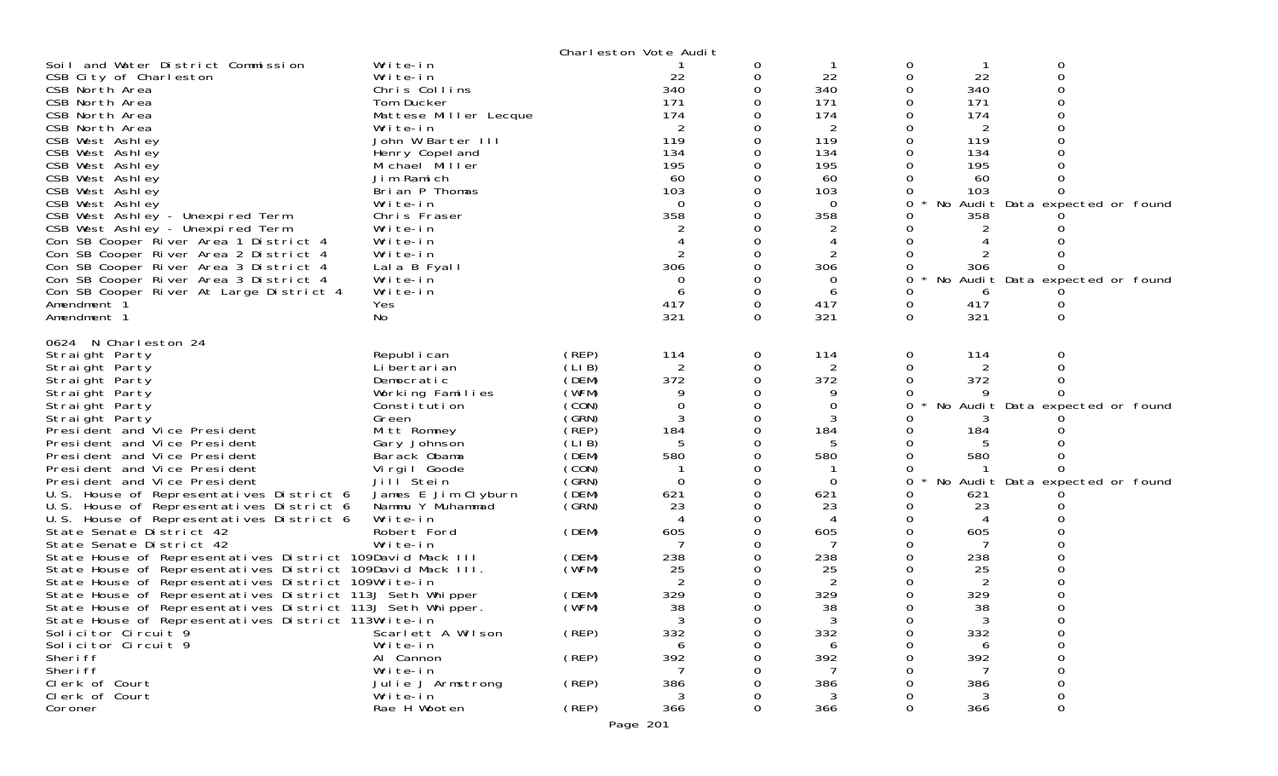|                                                            |                       |       | Charleston Vote Audit    |             |                |          |                |                                 |  |
|------------------------------------------------------------|-----------------------|-------|--------------------------|-------------|----------------|----------|----------------|---------------------------------|--|
| Soil and Water District Commission                         | Write-in              |       |                          | 0           |                | 0        |                | O                               |  |
| CSB City of Charleston                                     | Write-in              |       | 22                       | 0           | 22             | 0        | 22             | $\Omega$                        |  |
| CSB North Area                                             | Chris Collins         |       | 340                      |             | 340            |          | 340            |                                 |  |
| CSB North Area                                             | Tom Ducker            |       | 171                      |             | 171            |          | 171            |                                 |  |
| CSB North Area                                             | Mattese Miller Lecque |       | 174                      |             | 174            |          | 174            |                                 |  |
| CSB North Area                                             | Write-in              |       | 2                        |             | 2              |          | 2              |                                 |  |
| CSB West Ashley                                            | John W Barter III     |       | 119                      |             | 119            |          | 119            |                                 |  |
| CSB West Ashley                                            | Henry Copel and       |       | 134                      |             | 134            |          | 134            |                                 |  |
| CSB West Ashley                                            | Michael Miller        |       | 195                      |             | 195            |          | 195            |                                 |  |
| CSB West Ashley                                            | Jim Ramich            |       | 60                       |             | 60             |          | 60             |                                 |  |
| CSB West Ashley                                            | Brian P Thomas        |       | 103                      |             | 103            |          | 103            |                                 |  |
| CSB West Ashley                                            | Write-in              |       | $\Omega$                 |             | 0              | 0        |                | No Audit Data expected or found |  |
| CSB West Ashley - Unexpired Term                           | Chris Fraser          |       | 358                      |             | 358            |          | 358            |                                 |  |
| CSB West Ashley - Unexpired Term                           | Write-in              |       |                          |             |                |          |                |                                 |  |
| Con SB Cooper River Area 1 District 4                      | Write-in              |       |                          |             |                |          |                |                                 |  |
| Con SB Cooper River Area 2 District 4                      | Write-in              |       | 2                        |             |                |          |                |                                 |  |
| Con SB Cooper River Area 3 District 4                      | Lala B Fyall          |       | 306                      |             | 306            |          | 306            |                                 |  |
| Con SB Cooper River Area 3 District 4                      | Write-in              |       | 0                        |             | 0              | 0        |                | No Audit Data expected or found |  |
| Con SB Cooper River At Large District 4                    | Write-in              |       | 6                        | $\mathbf 0$ | 6              |          | 6              |                                 |  |
| Amendment 1                                                | Yes                   |       | 417                      | $\Omega$    | 417            | 0        | 417            |                                 |  |
| Amendment 1                                                | No                    |       | 321                      | $\Omega$    | 321            | $\Omega$ | 321            | 0                               |  |
|                                                            |                       |       |                          |             |                |          |                |                                 |  |
| 0624 N Charleston 24<br>Straight Party                     | Republ i can          | (REP) | 114                      | 0           | 114            | 0        | 114            | 0                               |  |
| Straight Party                                             | Li bertari an         | (LIB) | 2                        | 0           | $\overline{2}$ |          | 2              |                                 |  |
| Straight Party                                             | Democratic            | (DEM) | 372                      |             | 372            |          | 372            |                                 |  |
| Straight Party                                             | Working Families      | (WFM) |                          |             |                |          |                |                                 |  |
| Straight Party                                             | Constitution          | (CON) | 0                        | 0           | 0              |          |                | No Audit Data expected or found |  |
| Straight Party                                             | Green                 | (GRN) |                          |             |                |          |                |                                 |  |
| President and Vice President                               | Mitt Romney           | (REP) | 184                      | 0           | 184            |          | 184            |                                 |  |
| President and Vice President                               | Gary Johnson          | (LIB) | 5                        | 0           | 5              |          |                |                                 |  |
| President and Vice President                               | Barack Obama          | (DEM) | 580                      |             | 580            |          | 580            |                                 |  |
| President and Vice President                               | Virgil Goode          | (CON) |                          |             |                |          |                |                                 |  |
| President and Vice President                               | Jill Stein            | (GRN) | $\Omega$                 | 0           | $\Omega$       | 0        |                | No Audit Data expected or found |  |
| U.S. House of Representatives District 6                   | James E Jim Clyburn   | (DEM) | 621                      |             | 621            |          | 621            |                                 |  |
| U.S. House of Representatives District 6                   | Nammu Y Muhammad      | (SRN) | 23                       |             | 23             |          | 23             |                                 |  |
| U.S. House of Representatives District 6                   | Write-in              |       | $\boldsymbol{\varDelta}$ |             | 4              |          | $\overline{A}$ |                                 |  |
| State Senate District 42                                   | Robert Ford           | (DEM) | 605                      |             | 605            |          | 605            |                                 |  |
| State Senate District 42                                   | Write-in              |       |                          |             |                |          |                |                                 |  |
| State House of Representatives District 109David Mack III  |                       | (DEM) | 238                      |             | 238            |          | 238            |                                 |  |
| State House of Representatives District 109David Mack III. |                       | (WFM) | 25                       |             | 25             |          | 25             |                                 |  |
| State House of Representatives District 109Write-in        |                       |       | 2                        |             | 2              |          | 2              |                                 |  |
| State House of Representatives District 113J Seth Whipper  |                       | (DEM) | 329                      | 0           | 329            |          | 329            |                                 |  |
| State House of Representatives District 113J Seth Whipper. |                       | (WFM) | 38                       | 0           | 38             |          | 38             |                                 |  |
| State House of Representatives District 113Write-in        |                       |       | 3                        |             | 3              |          | 3              |                                 |  |
| Solicitor Circuit 9                                        | Scarlett A Wilson     | (REP) | 332                      |             | 332            |          | 332            |                                 |  |
| Solicitor Circuit 9                                        | Write-in              |       |                          |             | 6              |          | 6              |                                 |  |
| Sheri ff                                                   | Al Cannon             | (REP) | 392                      |             | 392            |          | 392            |                                 |  |
| Sheri ff                                                   | Write-in              |       |                          |             | 7              |          |                |                                 |  |
| Clerk of Court                                             | Julie J Armstrong     | (REP) | 386                      |             | 386            |          | 386            |                                 |  |
| Clerk of Court                                             | Write-in              |       | 3                        |             | 3              |          | 3              |                                 |  |
| Coroner                                                    | Rae H Wooten          | (REP) | 366                      |             | 366            | 0        | 366            | 0                               |  |
|                                                            |                       |       | Page 201                 |             |                |          |                |                                 |  |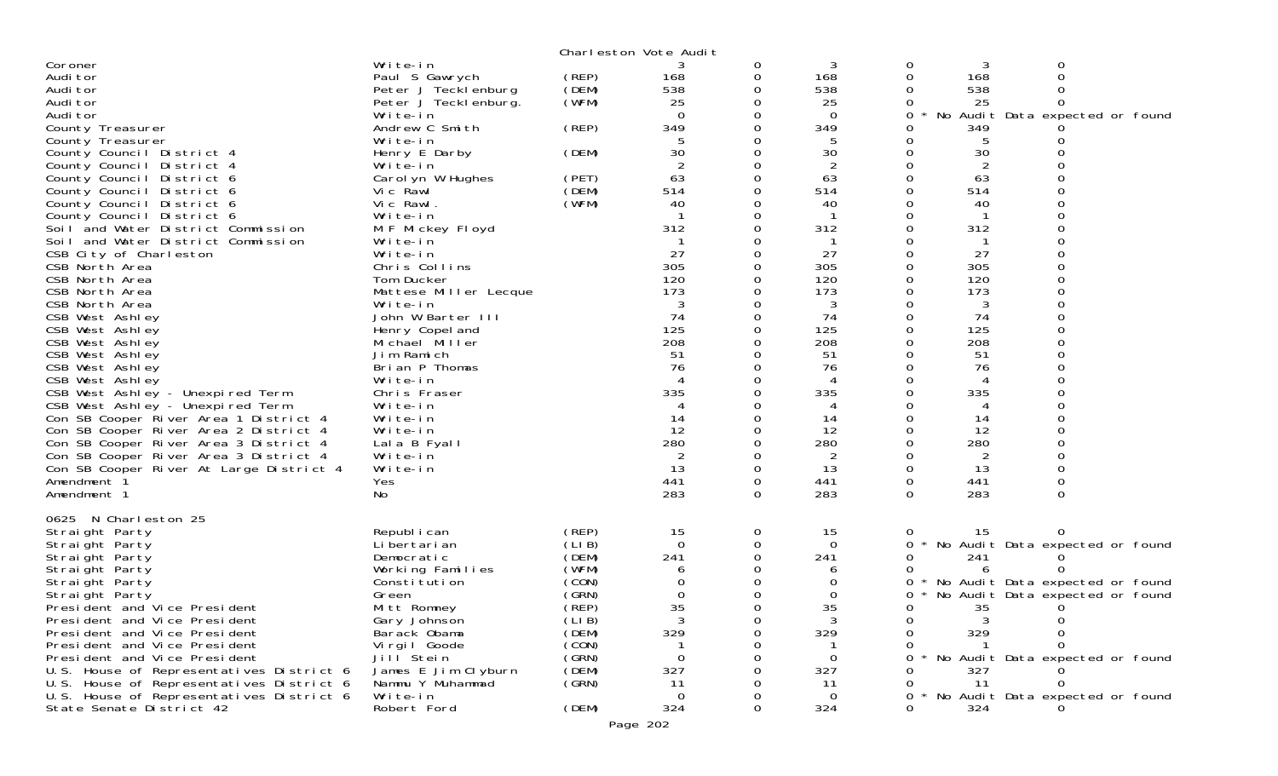|                                                                                      |                                         |                | Charleston Vote Audit |             |          |               |                      |                                 |  |
|--------------------------------------------------------------------------------------|-----------------------------------------|----------------|-----------------------|-------------|----------|---------------|----------------------|---------------------------------|--|
| Coroner                                                                              | Write-in                                |                |                       | 0           | 3        | 0             | 3                    | 0                               |  |
| Audi tor                                                                             | Paul S Gawrych                          | (REP)          | 168                   | 0           | 168      | 0             | 168                  |                                 |  |
| Audi tor                                                                             | Peter J Tecklenburg                     | (DEM)          | 538                   | 0           | 538      |               | 538                  |                                 |  |
| Audi tor                                                                             | Peter J Tecklenburg.                    | (WFM)          | 25                    | 0           | 25       |               | 25                   |                                 |  |
| Audi tor                                                                             | Write-in                                |                | $\Omega$              |             | $\Omega$ | 0             |                      | No Audit Data expected or found |  |
| County Treasurer                                                                     | Andrew C Smith                          | (REP)          | 349                   |             | 349      |               | 349                  |                                 |  |
| County Treasurer                                                                     | Write-in                                |                | 5                     |             |          |               | 5                    |                                 |  |
| County Council District 4                                                            | Henry E Darby                           | (DEM)          | 30                    |             | 30       |               | 30                   |                                 |  |
| County Council District 4                                                            | Write-in                                |                | 63                    | $\Omega$    | 2<br>63  | 0             | 2<br>63              |                                 |  |
| County Council District 6<br>County Council District 6                               | Carol yn W Hughes<br>Vic Rawl           | (PET)<br>(DEM) | 514                   |             | 514      |               | 514                  |                                 |  |
| County Council District 6                                                            | Vic Rawl.                               | (WFM)          | 40                    |             | 40       |               | 40                   |                                 |  |
| County Council District 6                                                            | Write-in                                |                | -1                    | 0           |          | 0             | -1                   |                                 |  |
| Soil and Water District Commission                                                   | M F Mickey Floyd                        |                | 312                   |             | 312      |               | 312                  |                                 |  |
| Soil and Water District Commission                                                   | Write-in                                |                |                       |             |          |               |                      |                                 |  |
| CSB City of Charleston                                                               | Write-in                                |                | 27                    | $\Omega$    | 27       | 0             | 27                   |                                 |  |
| CSB North Area                                                                       | Chris Collins                           |                | 305                   |             | 305      |               | 305                  |                                 |  |
| CSB North Area                                                                       | Tom Ducker                              |                | 120                   |             | 120      | 0             | 120                  |                                 |  |
| CSB North Area                                                                       | Mattese Miller Lecque                   |                | 173                   |             | 173      |               | 173                  |                                 |  |
| CSB North Area                                                                       | Write-in                                |                | 3                     |             | 3        |               | 3                    |                                 |  |
| CSB West Ashley                                                                      | John W Barter III                       |                | 74                    |             | 74       |               | 74                   |                                 |  |
| CSB West Ashley                                                                      | Henry Copel and                         |                | 125                   |             | 125      | 0             | 125                  |                                 |  |
| CSB West Ashley                                                                      | Michael Miller                          |                | 208                   |             | 208      |               | 208                  |                                 |  |
| CSB West Ashley                                                                      | Jim Ramich                              |                | 51                    |             | 51       |               | 51                   |                                 |  |
| CSB West Ashley                                                                      | Brian P Thomas                          |                | 76                    |             | 76       |               | 76                   |                                 |  |
| CSB West Ashley                                                                      | Write-in                                |                | 4                     |             |          |               | 4                    |                                 |  |
| CSB West Ashley - Unexpired Term                                                     | Chris Fraser                            |                | 335                   | $\Omega$    | 335      | 0             | 335                  |                                 |  |
| CSB West Ashley - Unexpired Term                                                     | Write-in                                |                | 4                     | 0           | 4        |               | 4                    |                                 |  |
| Con SB Cooper River Area 1 District 4                                                | Write-in                                |                | 14                    |             | 14       | 0             | 14                   |                                 |  |
| Con SB Cooper River Area 2 District 4                                                | Write-in                                |                | 12                    | $\Omega$    | 12       | 0             | 12                   |                                 |  |
| Con SB Cooper River Area 3 District 4                                                | Lala B Fyall                            |                | 280                   | 0           | 280      |               | 280                  |                                 |  |
| Con SB Cooper River Area 3 District 4<br>Con SB Cooper River At Large District 4     | Write-in<br>Write-in                    |                | $\overline{2}$<br>13  | $\mathbf 0$ | 2<br>13  | 0<br>$\Omega$ | $\overline{2}$<br>13 |                                 |  |
| Amendment 1                                                                          | Yes                                     |                | 441                   | $\mathbf 0$ | 441      | 0             | 441                  | 0                               |  |
| Amendment 1                                                                          | No                                      |                | 283                   | $\Omega$    | 283      | $\Omega$      | 283                  | $\Omega$                        |  |
|                                                                                      |                                         |                |                       |             |          |               |                      |                                 |  |
| 0625 N Charleston 25                                                                 |                                         |                |                       |             |          |               |                      |                                 |  |
| Straight Party                                                                       | Republ i can                            | (REP)          | 15                    | 0           | 15       | O             | 15                   |                                 |  |
| Straight Party                                                                       | Li bertari an                           | (LIB)          | 0                     | 0           | 0        | 0             |                      | No Audit Data expected or found |  |
| Straight Party                                                                       | Democratic                              | (DEM)          | 241                   | 0           | 241      | 0             | 241                  |                                 |  |
| Straight Party                                                                       | Working Families                        | (WFM)          | 6                     |             |          |               | 6                    |                                 |  |
| Straight Party                                                                       | Consti tuti on                          | (CON)          |                       | 0           |          | 0             |                      | No Audit Data expected or found |  |
| Straight Party                                                                       | Green                                   | (GRN)          | 0                     | 0           | 0        | 0             |                      | No Audit Data expected or found |  |
| President and Vice President                                                         | Mitt Romney                             | (REP)          | 35                    | $\Omega$    | 35       | 0             | 35                   |                                 |  |
| President and Vice President                                                         | Gary Johnson                            | (LI B)         | 3                     |             |          |               |                      |                                 |  |
| President and Vice President                                                         | Barack Obama                            | (DEM)          | 329                   |             | 329      | 0             | 329                  |                                 |  |
| President and Vice President                                                         | Virgil Goode                            | (CON)          |                       |             |          |               |                      |                                 |  |
| President and Vice President                                                         | Jill Stein                              | (GRN)          | 0                     |             | $\Omega$ | 0             |                      | No Audit Data expected or found |  |
| U.S. House of Representatives District 6                                             | James E Jim Clyburn<br>Nammu Y Muhammad | (DEM)          | 327                   |             | 327      | 0             | 327<br>11            |                                 |  |
| U.S. House of Representatives District 6<br>U.S. House of Representatives District 6 | Write-in                                | (GRN)          | 11<br>0               |             | 11<br>0  | 0<br>0        |                      | No Audit Data expected or found |  |
| State Senate District 42                                                             | Robert Ford                             | (DEM)          | 324                   |             | 324      | 0             | 324                  |                                 |  |
|                                                                                      |                                         |                |                       |             |          |               |                      |                                 |  |
|                                                                                      |                                         |                | Page 202              |             |          |               |                      |                                 |  |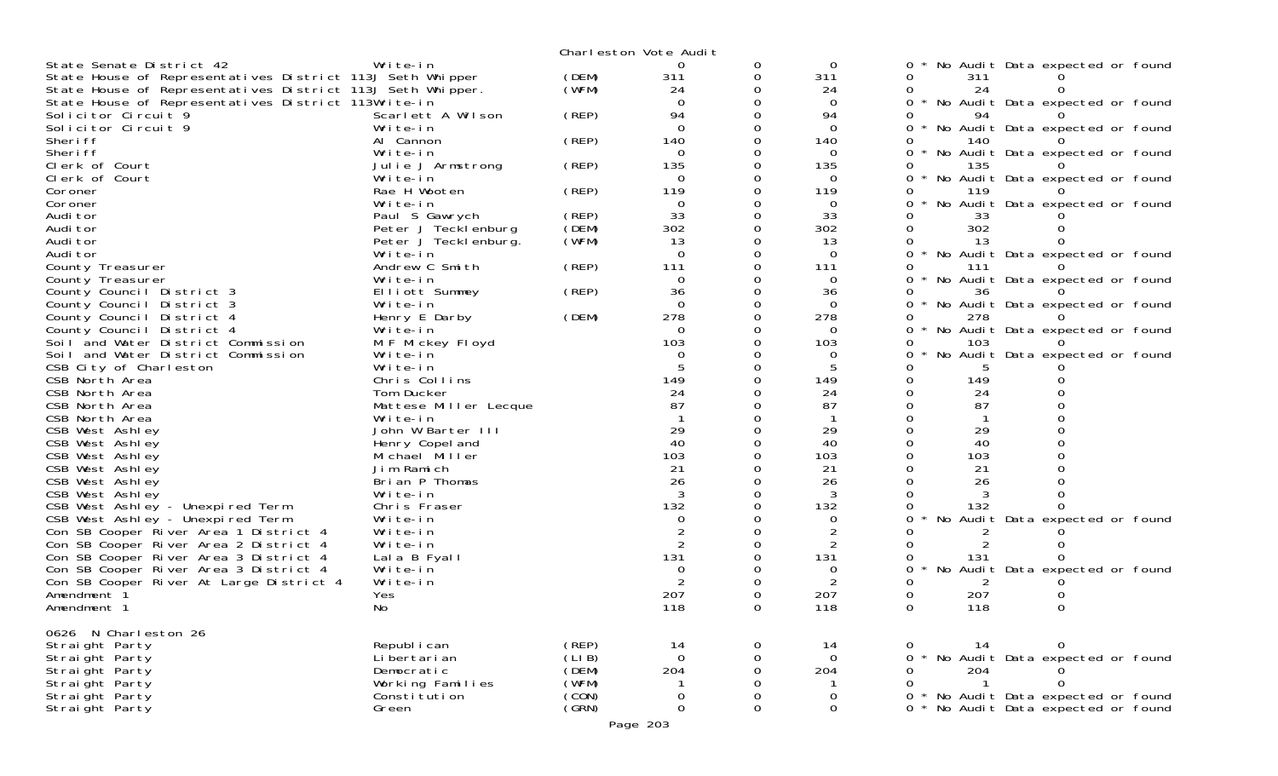|                                                                 |                              |       | Charleston Vote Audit |             |             |                                               |
|-----------------------------------------------------------------|------------------------------|-------|-----------------------|-------------|-------------|-----------------------------------------------|
| State Senate District 42                                        | Write-in                     |       | 0                     | 0           | 0           | No Audit Data expected or found               |
| State House of Representatives District 113J Seth Whipper       |                              | (DEM) | 311                   | 0           | 311         | 311<br>0                                      |
| State House of Representatives District 113J Seth Whipper.      |                              | (WFM) | 24                    |             | 24          | 24                                            |
| State House of Representatives District 113Write-in             |                              |       | $\Omega$              |             | 0           | * No Audit Data expected or found<br>0        |
| Solicitor Circuit 9                                             | Scarlett A Wilson            | (REP) | 94                    |             | 94          | 94                                            |
| Solicitor Circuit 9                                             | Write-in                     |       | $\Omega$              |             | 0           | * No Audit Data expected or found<br>0        |
| Sheri ff                                                        | Al Cannon                    | (REP) | 140                   |             | 140         | 140                                           |
| Sheri ff                                                        | Write-in                     |       | $\Omega$              |             | $\Omega$    | No Audit Data expected or found               |
| Clerk of Court                                                  | Julie J Armstrong            | (REP) | 135                   |             | 135         | 135                                           |
| Clerk of Court                                                  | Write-in                     |       | 0                     |             | 0           | $\Omega$<br>* No Audit Data expected or found |
| Coroner                                                         | Rae H Wooten                 | (REP) | 119                   |             | 119         | 119                                           |
| Coroner                                                         | Write-in                     |       | $\Omega$              |             | 0           | No Audit Data expected or found<br>0          |
| Audi tor                                                        | Paul S Gawrych               | (REP) | 33                    |             | 33          | 33                                            |
| Audi tor                                                        | Peter J Tecklenburg          | (DEM) | 302                   |             | 302         | 302                                           |
| Audi tor                                                        | Peter J Teckl enburg.        | (WFM) | 13                    |             | 13          | 13                                            |
| Audi tor                                                        | Write-in                     |       | $\Omega$              |             | 0           | * No Audit Data expected or found<br>$\Omega$ |
| County Treasurer                                                | Andrew C Smith               | (REP) | 111                   |             | 111         | 111                                           |
| County Treasurer                                                | Write-in                     |       | 0                     |             | 0           | 0<br>No Audit Data expected or found          |
| County Council District 3                                       | Elliott Summey               | (REP) | 36                    |             | 36          | 36                                            |
| County Council District 3                                       | Write-in                     |       | $\Omega$<br>278       |             | 0<br>278    | No Audit Data expected or found               |
| County Council District 4                                       | Henry E Darby<br>Write-in    | (DEM) | $\Omega$              |             | 0           | 278<br>0<br>$\star$                           |
| County Council District 4<br>Soil and Water District Commission |                              |       | 103                   |             | 103         | No Audit Data expected or found<br>103        |
| Soil and Water District Commission                              | M F Mickey Floyd<br>Write-in |       | $\Omega$              |             | 0           | No Audit Data expected or found<br>0          |
| CSB City of Charleston                                          | Write-in                     |       |                       |             |             |                                               |
| CSB North Area                                                  | Chris Collins                |       | 149                   |             | 149         | 149<br>0                                      |
| CSB North Area                                                  | Tom Ducker                   |       | 24                    |             | 24          | 24<br>0                                       |
| CSB North Area                                                  | Mattese Miller Lecque        |       | 87                    |             | 87          | 87                                            |
| CSB North Area                                                  | Write-in                     |       |                       |             |             |                                               |
| CSB West Ashley                                                 | John W Barter III            |       | 29                    |             | 29          | 29                                            |
| CSB West Ashley                                                 | Henry Copel and              |       | 40                    |             | 40          | 40                                            |
| CSB West Ashley                                                 | Michael Miller               |       | 103                   |             | 103         | 103                                           |
| CSB West Ashley                                                 | Jim Ramich                   |       | 21                    |             | 21          | 21                                            |
| CSB West Ashley                                                 | Brian P Thomas               |       | 26                    |             | 26          | 26                                            |
| CSB West Ashley                                                 | Write-in                     |       | 3                     |             |             |                                               |
| CSB West Ashley - Unexpired Term                                | Chris Fraser                 |       | 132                   |             | 132         | 132                                           |
| CSB West Ashley - Unexpired Term                                | Write-in                     |       | $\Omega$              |             | 0           | No Audit Data expected or found               |
| Con SB Cooper River Area 1 District 4                           | Write-in                     |       |                       |             |             |                                               |
| Con SB Cooper River Area 2 District 4                           | Write-in                     |       | 2                     |             | 2           |                                               |
| Con SB Cooper River Area 3 District 4                           | Lala B Fyall                 |       | 131                   |             | 131         | 131                                           |
| Con SB Cooper River Area 3 District 4                           | Write-in                     |       | $\Omega$              |             | 0           | No Audit Data expected or found               |
| Con SB Cooper River At Large District 4                         | Write-in                     |       |                       |             | 2           |                                               |
| Amendment 1                                                     | Yes                          |       | 207                   |             | 207         | 207                                           |
| Amendment 1                                                     | No                           |       | 118                   |             | 118         | 118                                           |
| 0626 N Charleston 26                                            |                              |       |                       |             |             |                                               |
| Straight Party                                                  | Republ i can                 | (REP) | 14                    | $\Omega$    | 14          | 14<br>0<br>0                                  |
| Straight Party                                                  | Li bertari an                | (LIB) | $\mathbf 0$           | 0           | $\mathbf 0$ | * No Audit Data expected or found<br>0        |
| Straight Party                                                  | Democratic                   | (DEM) | 204                   | 0           | 204         | 204<br>0                                      |
| Straight Party                                                  | Working Families             | (WFM) |                       | 0           |             | $\Omega$<br>$\overline{1}$                    |
| Straight Party                                                  | Consti tuti on               | (CON) | 0                     | $\mathbf 0$ | 0           | * No Audit Data expected or found<br>0        |
| Straight Party                                                  | Green                        | (GRN) | $\Omega$              | 0           | $\Omega$    | * No Audit Data expected or found<br>$\Omega$ |
|                                                                 |                              |       | Page 203              |             |             |                                               |
|                                                                 |                              |       |                       |             |             |                                               |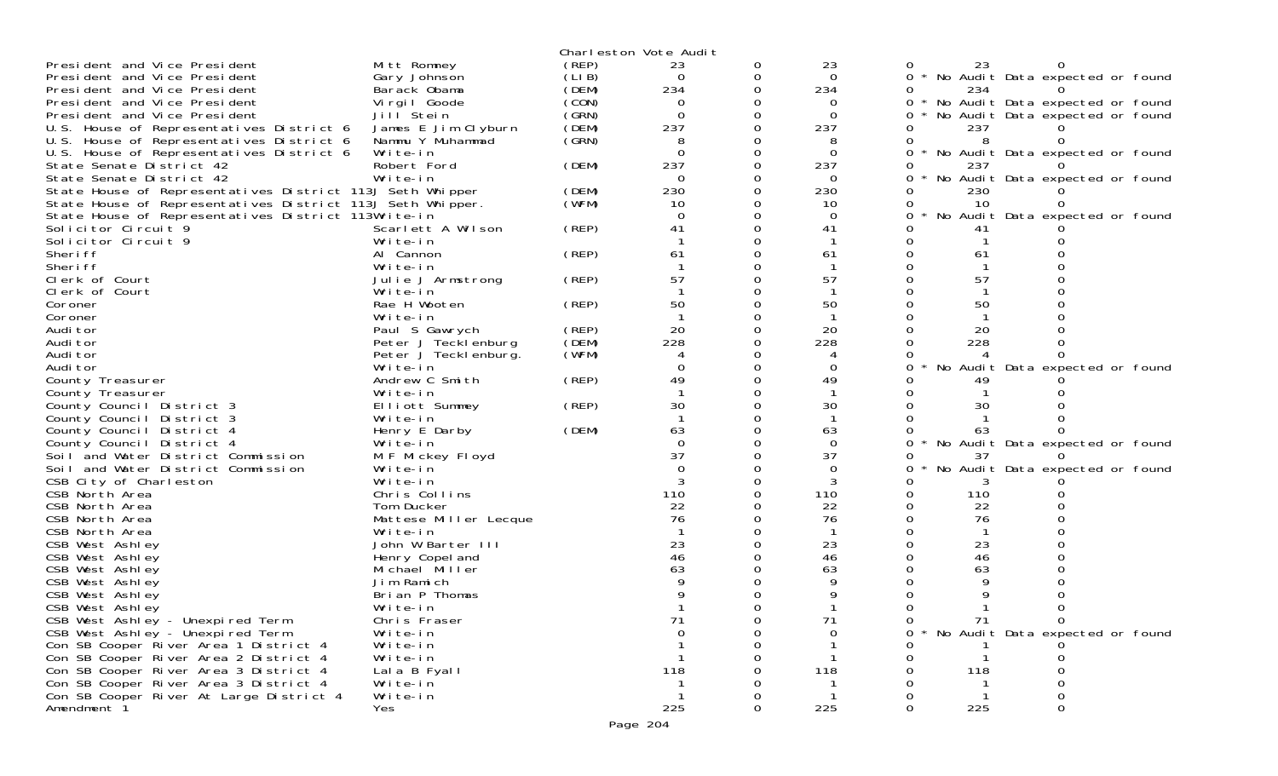|                                                            |                       |       | Charleston Vote Audit |   |          |          |                                   |
|------------------------------------------------------------|-----------------------|-------|-----------------------|---|----------|----------|-----------------------------------|
| President and Vice President                               | Mitt Romney           | (REP) | 23                    | 0 | 23       | 23       |                                   |
| President and Vice President                               | Gary Johnson          | (LIB) | 0                     | 0 | $\Omega$ | $\Omega$ | * No Audit Data expected or found |
| President and Vice President                               | Barack Obama          | (DEM) | 234                   | 0 | 234      | 234<br>0 |                                   |
| President and Vice President                               | Virgil Goode          | (CON) | 0                     | 0 | 0        | 0        | * No Audit Data expected or found |
| President and Vice President                               | Jill Stein            | (GRN) | $\Omega$              |   | 0        | 0        | No Audit Data expected or found   |
| U.S. House of Representatives District 6                   | James E Jim Clyburn   | (DEM) | 237                   | 0 | 237      | 237      |                                   |
| U.S. House of Representatives District 6                   | Nammu Y Muhammad      | (GRN) | 8                     | 0 | 8        | 8        |                                   |
| U.S. House of Representatives District 6                   | Write-in              |       | $\Omega$              | 0 | 0        |          | No Audit Data expected or found   |
| State Senate District 42                                   | Robert Ford           | (DEM) | 237                   | 0 | 237      | 237      |                                   |
| State Senate District 42                                   | Write-in              |       | $\Omega$              | 0 | 0        | 0        | No Audit Data expected or found   |
| State House of Representatives District 113J Seth Whipper  |                       | (DEM) | 230                   | 0 | 230      | 230      |                                   |
| State House of Representatives District 113J Seth Whipper. |                       | (WFM) | 10                    |   | 10       | 10       |                                   |
| State House of Representatives District 113Write-in        |                       |       | $\Omega$              | 0 | $\Omega$ | 0        | No Audit Data expected or found   |
| Solicitor Circuit 9                                        | Scarlett A Wilson     | (REP) | 41                    |   | 41       | 41       |                                   |
| Solicitor Circuit 9                                        | Write-in              |       |                       |   |          |          |                                   |
| Sheri ff                                                   | Al Cannon             | (REP) | 61                    |   | 61       | 61       |                                   |
| Sheri ff                                                   | Write-in              |       |                       |   |          |          |                                   |
| Clerk of Court                                             | Julie J Armstrong     | (REP) | 57                    |   | 57       | 57       |                                   |
| Clerk of Court                                             | Write-in              |       |                       | 0 |          |          |                                   |
| Coroner                                                    | Rae H Wooten          | (REP) | 50                    |   | 50       | 50       |                                   |
| Coroner                                                    | Write-in              |       |                       |   |          |          |                                   |
| Audi tor                                                   | Paul S Gawrych        | (REP) | 20                    | 0 | 20       | 20       |                                   |
| Audi tor                                                   | Peter J Tecklenburg   | (DEM) | 228                   |   | 228      | 228      |                                   |
| Audi tor                                                   | Peter J Tecklenburg.  | (WFM) |                       |   |          |          |                                   |
| Audi tor                                                   | Write-in              |       |                       | 0 | 0        |          | No Audit Data expected or found   |
| County Treasurer                                           | Andrew C Smith        | (REP) | 49                    |   | 49       | 49       |                                   |
| County Treasurer                                           | Write-in              |       |                       |   |          |          |                                   |
| County Council District 3                                  | Elliott Summey        | (REP) | 30                    |   | 30       | 30       |                                   |
| County Council District 3                                  | Write-in              |       |                       |   |          |          |                                   |
| County Council District 4                                  | Henry E Darby         | (DEM) | 63                    |   | 63       | 63       |                                   |
| County Council District 4                                  | Write-in              |       | $\Omega$              |   | $\Omega$ |          | No Audit Data expected or found   |
| Soil and Water District Commission                         | M F Mickey Floyd      |       | 37                    |   | 37       | 37       |                                   |
| Soil and Water District Commission                         | Write-in              |       | $\Omega$              |   | $\Omega$ |          | No Audit Data expected or found   |
| CSB City of Charleston                                     | Write-in              |       |                       |   | 3        |          |                                   |
| CSB North Area                                             | Chris Collins         |       | 110                   |   | 110      | 110<br>0 |                                   |
| CSB North Area                                             | Tom Ducker            |       | 22                    |   | 22       | 22<br>0  |                                   |
| CSB North Area                                             | Mattese Miller Lecque |       | 76                    |   | 76       | 76       |                                   |
| CSB North Area                                             | Write-in              |       |                       |   |          |          |                                   |
| CSB West Ashley                                            | John W Barter III     |       | 23                    |   | 23       | 23       |                                   |
| CSB West Ashley                                            | Henry Copel and       |       | 46                    |   | 46       | 46       |                                   |
| CSB West Ashley                                            | Michael Miller        |       | 63                    |   | 63       | 63       |                                   |
| CSB West Ashley                                            | Jim Ramich            |       |                       |   |          |          |                                   |
| CSB West Ashley                                            | Brian P Thomas        |       |                       |   |          |          |                                   |
| CSB West Ashley                                            | Write-in              |       |                       |   |          |          |                                   |
| CSB West Ashley - Unexpired Term                           | Chris Fraser          |       | 71                    |   | 71       | 71       | $\Omega$                          |
| CSB West Ashley - Unexpired Term                           | Write-in              |       |                       |   |          |          | * No Audit Data expected or found |
| Con SB Cooper River Area 1 District 4                      | Write-in              |       |                       |   |          |          |                                   |
| Con SB Cooper River Area 2 District 4                      | Write-in              |       |                       |   |          |          |                                   |
| Con SB Cooper River Area 3 District 4                      | Lala B Fyall          |       | 118                   |   | 118      | 118      |                                   |
| Con SB Cooper River Area 3 District 4                      | Write-in              |       |                       |   |          |          |                                   |
| Con SB Cooper River At Large District 4                    | Write-in              |       |                       |   |          |          |                                   |
| Amendment 1                                                | Yes                   |       | 225                   |   | 225      | 225      |                                   |
|                                                            |                       |       |                       |   |          |          |                                   |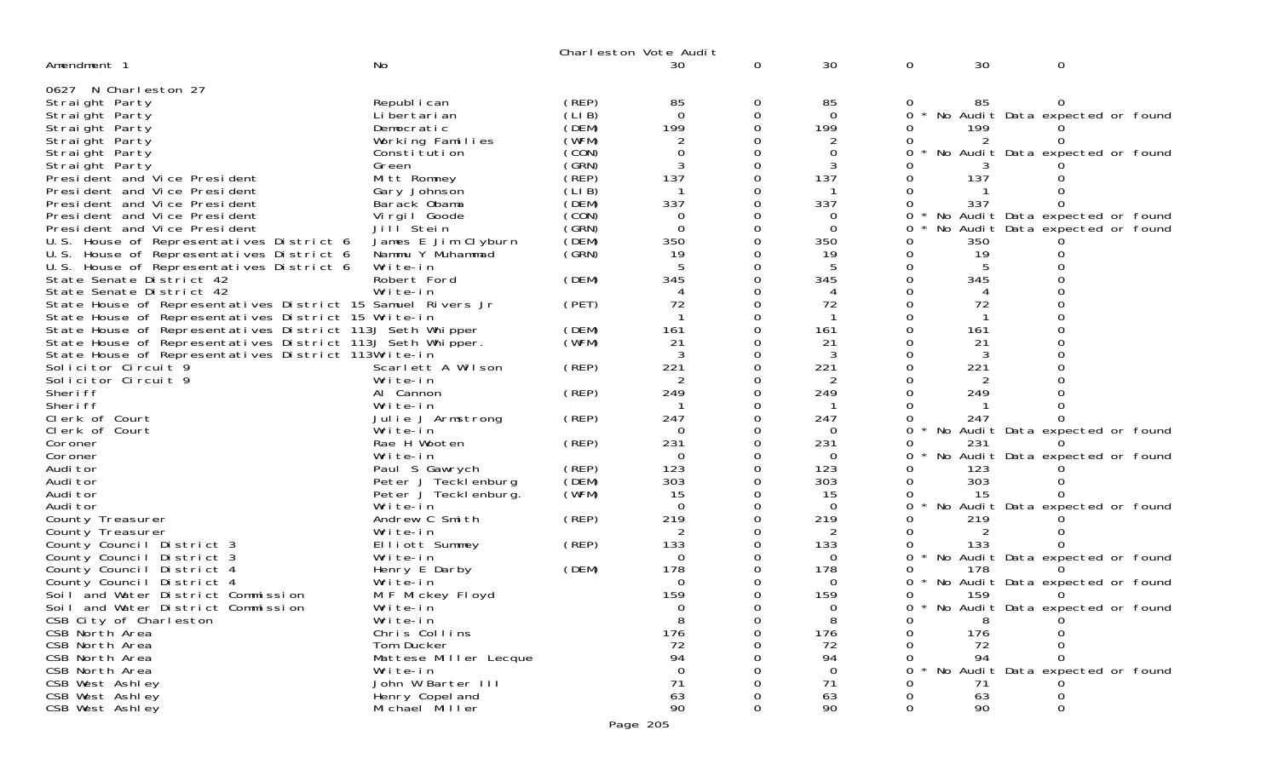|                                                                            |                               |       | Charleston Vote Audit |          |          |              |     |                                   |
|----------------------------------------------------------------------------|-------------------------------|-------|-----------------------|----------|----------|--------------|-----|-----------------------------------|
| Amendment 1                                                                | No                            |       | 30                    | 0        | 30       | $\mathbf 0$  | 30  | 0                                 |
| 0627 N Charleston 27                                                       |                               |       |                       |          |          |              |     |                                   |
| Straight Party                                                             | Republ i can                  | (REP) | 85                    | 0        | 85       |              | 85  |                                   |
| Straight Party                                                             | Li bertari an                 | (LIB) | $\Omega$              | 0        | $\Omega$ | 0            |     | No Audit Data expected or found   |
| Straight Party                                                             | Democratic                    | (DEM) | 199                   | $\Omega$ | 199      |              | 199 |                                   |
| Straight Party                                                             | Working Families              | (WFM) |                       |          | 2        |              |     |                                   |
| Straight Party                                                             | Constitution                  | (CON) | $\Omega$              |          | 0        |              |     | No Audit Data expected or found   |
| Straight Party                                                             | Green                         | (SRN) |                       | Ω        |          |              |     |                                   |
| President and Vice President                                               | Mitt Romney                   | (REP) | 137                   | 0        | 137      |              | 137 |                                   |
| President and Vice President                                               | Gary Johnson                  | (LIB) |                       |          |          |              |     |                                   |
| President and Vice President                                               | Barack Obama                  | (DEM) | 337                   |          | 337      |              | 337 |                                   |
| President and Vice President                                               | Virgil Goode                  | (CON) | 0                     |          | 0        | 0            |     | No Audit Data expected or found   |
| President and Vice President                                               | Jill Stein                    | (GRN) | $\Omega$              |          | $\Omega$ |              |     | No Audit Data expected or found   |
| U.S. House of Representatives District 6                                   | James E Jim Clyburn           | (DEM) | 350                   |          | 350      |              | 350 |                                   |
| U.S. House of Representatives District 6                                   | Nammu Y Muhammad              | (GRN) | 19                    | 0        | 19       | 0            | 19  |                                   |
| U.S. House of Representatives District 6                                   | Write-in                      |       |                       |          |          | 0            |     |                                   |
| State Senate District 42                                                   | Robert Ford                   | (DEM) | 345                   |          | 345      |              | 345 |                                   |
| State Senate District 42                                                   | Write-in                      |       |                       |          | 4        |              |     |                                   |
| State House of Representatives District 15 Samuel Rivers Jr                |                               | (PET) | 72                    |          | 72       |              | 72  |                                   |
| State House of Representatives District 15 Write-in                        |                               |       |                       |          |          |              |     |                                   |
| State House of Representatives District 113J Seth Whipper                  |                               | (DEM) | 161                   |          | 161      |              | 161 |                                   |
| State House of Representatives District 113J Seth Whipper.                 |                               | (WFM) | 21                    |          | 21<br>3  |              | 21  |                                   |
| State House of Representatives District 113Write-in<br>Solicitor Circuit 9 |                               | (REP) | 221                   | 0        | 221      |              | 221 |                                   |
| Solicitor Circuit 9                                                        | Scarlett A Wilson<br>Write-in |       |                       |          | 2        |              |     |                                   |
| Sheri ff                                                                   | Al Cannon                     | (REP) | 249                   |          | 249      |              | 249 |                                   |
| Sheri ff                                                                   | Write-in                      |       |                       |          |          | 0            |     |                                   |
| Clerk of Court                                                             | Julie J Armstrong             | (REP) | 247                   |          | 247      |              | 247 |                                   |
| Clerk of Court                                                             | Write-in                      |       | 0                     |          | 0        | $\Omega$     |     | No Audit Data expected or found   |
| Coroner                                                                    | Rae H Wooten                  | (REP) | 231                   |          | 231      |              | 231 |                                   |
| Coroner                                                                    | Write-in                      |       | $\Omega$              |          | $\Omega$ |              |     | No Audit Data expected or found   |
| Audi tor                                                                   | Paul S Gawrych                | (REP) | 123                   |          | 123      |              | 123 |                                   |
| Audi tor                                                                   | Peter J Tecklenburg           | (DEM) | 303                   |          | 303      |              | 303 |                                   |
| Audi tor                                                                   | Peter J Tecklenburg.          | (WFM) | 15                    |          | 15       |              | 15  |                                   |
| Audi tor                                                                   | Write-in                      |       | $\Omega$              |          | 0        | $\star$<br>0 |     | No Audit Data expected or found   |
| County Treasurer                                                           | Andrew C Smith                | (REP) | 219                   |          | 219      |              | 219 |                                   |
| County Treasurer                                                           | Write-in                      |       |                       |          | 2        |              | 2   |                                   |
| County Council District 3                                                  | Elliott Summey                | (REP) | 133                   |          | 133      |              | 133 |                                   |
| County Council District 3                                                  | Write-in                      |       | 0                     |          | 0        | 0            |     | * No Audit Data expected or found |
| County Council District 4                                                  | Henry E Darby                 | (DEM) | 178                   |          | 178      |              | 178 |                                   |
| County Council District 4                                                  | Write-in                      |       | $\Omega$              |          | $\Omega$ | 0            |     | * No Audit Data expected or found |
| Soil and Water District Commission                                         | M F Mickey Floyd              |       | 159                   |          | 159      |              | 159 |                                   |
| Soil and Water District Commission                                         | Write-in                      |       | 0                     | $\Omega$ | $\Omega$ | <sup>n</sup> |     | * No Audit Data expected or found |
| CSB City of Charleston                                                     | Write-in                      |       | 8                     |          | 8        |              | 8   |                                   |
| CSB North Area                                                             | Chris Collins                 |       | 176                   |          | 176      |              | 176 |                                   |
| CSB North Area                                                             | Tom Ducker                    |       | 72                    |          | 72       |              | 72  |                                   |
| CSB North Area                                                             | Mattese Miller Lecque         |       | 94                    |          | 94       |              | 94  |                                   |
| CSB North Area                                                             | Write-in                      |       | $\Omega$              |          | $\Omega$ |              |     | No Audit Data expected or found   |
| CSB West Ashley                                                            | John W Barter III             |       | 71                    |          | 71       |              | 71  |                                   |
| CSB West Ashley                                                            | Henry Copel and               |       | 63                    |          | 63       |              | 63  |                                   |
| CSB West Ashley                                                            | Michael Miller                |       | 90                    |          | 90       |              | 90  | $\Omega$                          |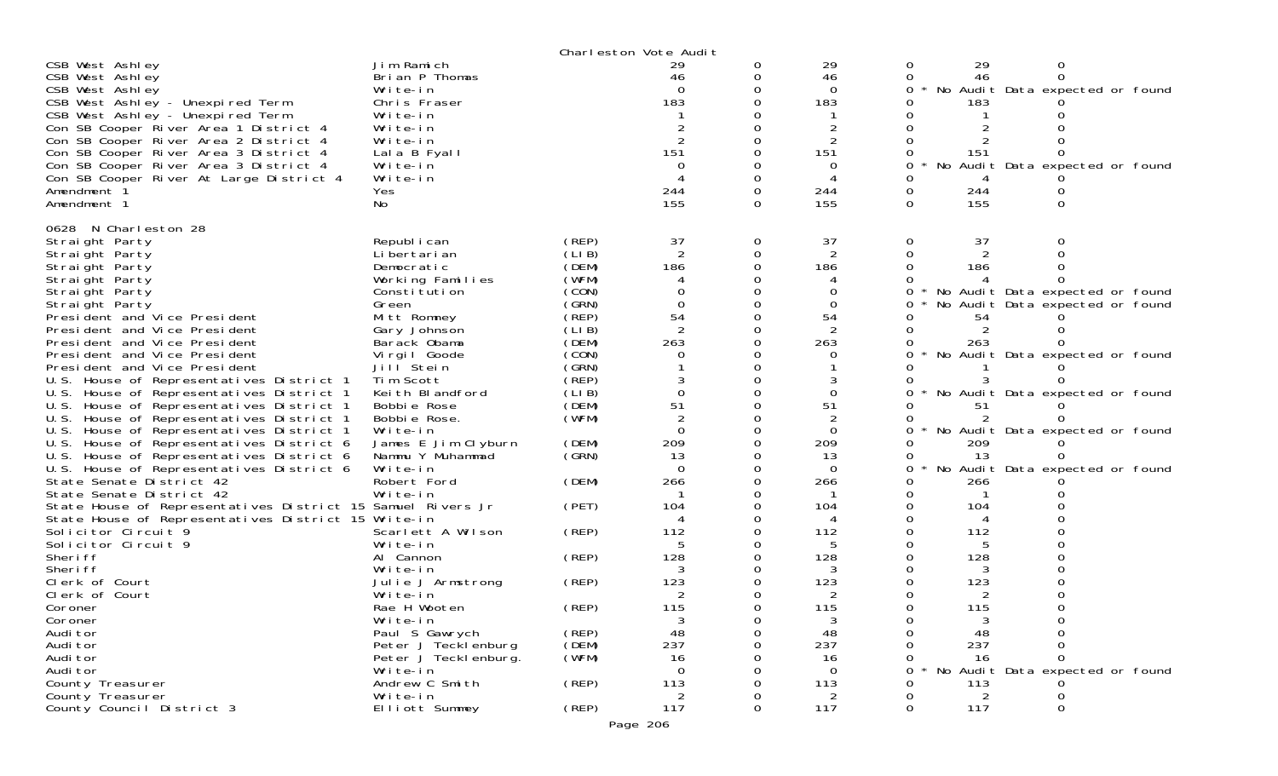|                                                                                       |                       |        | Charleston Vote Audit |   |          |         |     |                                 |  |
|---------------------------------------------------------------------------------------|-----------------------|--------|-----------------------|---|----------|---------|-----|---------------------------------|--|
| CSB West Ashley                                                                       | Jim Ramich            |        | 29                    | 0 | 29       | 0       | 29  | 0                               |  |
| CSB West Ashley                                                                       | Brian P Thomas        |        | 46                    | 0 | 46       |         | 46  | 0                               |  |
| CSB West Ashley                                                                       | Write-in              |        | $\Omega$              | 0 | $\Omega$ | 0       |     | No Audit Data expected or found |  |
| CSB West Ashley - Unexpired Term                                                      | Chris Fraser          |        | 183                   |   | 183      |         | 183 |                                 |  |
| CSB West Ashley - Unexpired Term                                                      | Write-in              |        |                       |   |          |         |     |                                 |  |
| Con SB Cooper River Area 1 District 4                                                 | Write-in              |        |                       |   |          |         |     |                                 |  |
| Con SB Cooper River Area 2 District 4                                                 | Write-in              |        | 2                     |   | 2        |         |     |                                 |  |
| Con SB Cooper River Area 3 District 4                                                 | Lala B Fyall          |        | 151                   |   | 151      |         | 151 |                                 |  |
| Con SB Cooper River Area 3 District 4                                                 | Write-in              |        | 0                     |   | 0        | No<br>0 |     | Audit Data expected or found    |  |
| Con SB Cooper River At Large District 4                                               | Write-in              |        |                       | 0 |          |         |     |                                 |  |
| Amendment 1                                                                           | Yes                   |        | 244                   | 0 | 244      | 0       | 244 |                                 |  |
| Amendment 1                                                                           | No                    |        | 155                   | 0 | 155      | 0       | 155 | 0                               |  |
| 0628 N Charleston 28                                                                  |                       |        |                       |   |          |         |     |                                 |  |
| Straight Party                                                                        | Republ i can          | (REP)  | 37                    | 0 | 37       | 0       | 37  |                                 |  |
| Straight Party                                                                        | Li bertari an         | (LIB)  | $\overline{2}$        | 0 | 2        |         | 2   |                                 |  |
| Straight Party                                                                        | Democratic            | (DEM)  | 186                   | ∩ | 186      |         | 186 |                                 |  |
| Straight Party                                                                        | Working Families      | (WFM)  |                       |   |          |         |     |                                 |  |
| Straight Party                                                                        | Constitution          | (CON)  |                       |   | 0        | 0       |     | No Audit Data expected or found |  |
| Straight Party                                                                        | Green                 | (GRN)  | $\Omega$              |   | $\Omega$ |         |     | No Audit Data expected or found |  |
| President and Vice President                                                          | Mitt Romney           | (REP)  | 54                    |   | 54       |         | 54  |                                 |  |
| President and Vice President                                                          | Gary Johnson          | (LI B) | $\overline{2}$        | 0 | 2        |         | 2   |                                 |  |
| President and Vice President                                                          | Barack Obama          | (DEM)  | 263                   |   | 263      |         | 263 |                                 |  |
| President and Vice President                                                          | Virgil Goode          | (CON)  |                       |   |          |         |     | No Audit Data expected or found |  |
| President and Vice President                                                          | Jill Stein            | (GRN)  |                       |   |          |         |     |                                 |  |
| U.S. House of Representatives District 1                                              | Tim Scott             | (REP)  |                       |   |          |         |     |                                 |  |
| U.S. House of Representatives District 1                                              | Keith Blandford       | (LI B) | $\Omega$              | O | $\Omega$ |         |     | No Audit Data expected or found |  |
| U.S. House of Representatives District 1                                              | Bobbie Rose           | (DEM)  | 51                    |   | 51       |         | 51  |                                 |  |
| U.S. House of Representatives District 1                                              | Bobbie Rose.          | (WFM)  |                       |   |          |         |     |                                 |  |
| U.S. House of Representatives District 1                                              | Write-in              |        | $\Omega$              |   | $\Omega$ |         |     | No Audit Data expected or found |  |
| U.S. House of Representatives District 6                                              | James E Jim Clyburn   | (DEM)  | 209                   |   | 209      |         | 209 |                                 |  |
| U.S. House of Representatives District 6                                              | Nammu Y Muhammad      | (GRN)  | 13                    |   | 13       | O       | -13 |                                 |  |
| U.S. House of Representatives District 6                                              | Write-in              |        | $\Omega$              | 0 | $\Omega$ | 0       |     | No Audit Data expected or found |  |
| State Senate District 42                                                              | Robert Ford           | (DEM)  | 266                   |   | 266      |         | 266 |                                 |  |
| State Senate District 42                                                              | Write-in              |        |                       |   |          |         |     |                                 |  |
| State House of Representatives District 15 Samuel Rivers Jr                           |                       | (PET)  | 104                   |   | 104<br>4 |         | 104 |                                 |  |
| State House of Representatives District 15 Write-in<br>Solicitor Circuit <sup>9</sup> | Scarlett A Wilson     | (REP)  | 112                   |   | 112      |         | 112 |                                 |  |
| Solicitor Circuit 9                                                                   | Write-in              |        | 5                     |   | 5        |         |     |                                 |  |
| Sheri ff                                                                              | Al Cannon             | (REP)  | 128                   |   | 128      |         | 128 |                                 |  |
| Sheri ff                                                                              | Write-in              |        |                       |   | 3        |         |     |                                 |  |
| Clerk of Court                                                                        | Julie J Armstrong     | (REP)  | 123                   |   | 123      |         | 123 |                                 |  |
| Clerk of Court                                                                        | Write-in              |        |                       |   |          |         |     |                                 |  |
| Coroner                                                                               | Rae H Wooten          | (REP)  | 115                   |   | 115      |         | 115 |                                 |  |
| Coroner                                                                               | Write-in              |        | 3                     | 0 | 3        |         | 3   |                                 |  |
| Audi tor                                                                              | Paul S Gawrych        | (REP)  | 48                    |   | 48       |         | 48  |                                 |  |
| Audi tor                                                                              | Peter J Tecklenburg   | (DEM)  | 237                   |   | 237      |         | 237 |                                 |  |
| Audi tor                                                                              | Peter J Teckl enburg. | (WFM)  | 16                    |   | 16       |         | 16  |                                 |  |
| Audi tor                                                                              | Write-in              |        | $\Omega$              |   | $\Omega$ |         |     | No Audit Data expected or found |  |
| County Treasurer                                                                      | Andrew C Smith        | (REP)  | 113                   |   | 113      |         | 113 |                                 |  |
| County Treasurer                                                                      | Write-in              |        | 2                     |   | 2        |         | 2   |                                 |  |
| County Council District 3                                                             | Elliott Summey        | (REP)  | 117                   | 0 | 117      | 0       | 117 | ∩                               |  |
|                                                                                       |                       |        | Page 206              |   |          |         |     |                                 |  |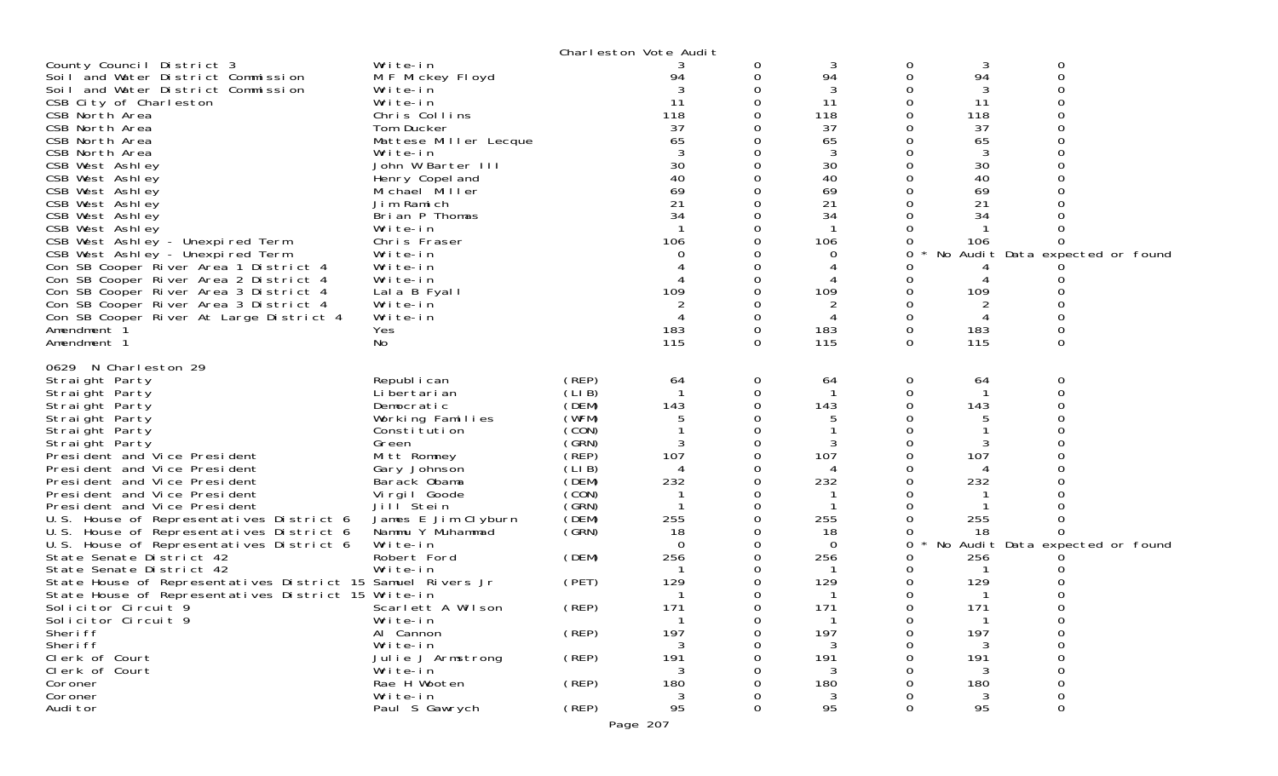| County Council District 3<br>Soil and Water District Commission<br>Soil and Water District Commission<br>CSB City of Charleston<br>CSB North Area<br>CSB North Area<br>CSB North Area<br>CSB North Area<br>CSB West Ashley<br>CSB West Ashley<br>CSB West Ashley<br>CSB West Ashley<br>CSB West Ashley<br>CSB West Ashley<br>CSB West Ashley - Unexpired Term<br>CSB West Ashley - Unexpired Term<br>Con SB Cooper River Area 1 District 4<br>Con SB Cooper River Area 2 District 4<br>Con SB Cooper River Area 3 District 4<br>Con SB Cooper River Area 3 District 4<br>Con SB Cooper River At Large District 4                                                                                                                                               | Write-in<br>M F Mickey Floyd<br>Write-in<br>Write-in<br>Chris Collins<br>Tom Ducker<br>Mattese Miller Lecque<br>Write-in<br>John W Barter III<br>Henry Copel and<br>Michael Miller<br>Jim Ramich<br>Brian P Thomas<br>Write-in<br>Chris Fraser<br>Write-in<br>Write-in<br>Write-in<br>Lala B Fyall<br>Write-in<br>Write-in                                                                       |                                                                                                                                                                                  | Charleston Vote Audit<br>94<br>11<br>118<br>37<br>65<br>30<br>40<br>69<br>21<br>34<br>106<br>$\Omega$<br>109           |                       | 3<br>94<br>3<br>11<br>118<br>37<br>65<br>3<br>30<br>40<br>69<br>21<br>34<br>106<br>0<br>109<br>2         | 0<br>0<br>0           | 3<br>94<br>3<br>11<br>118<br>37<br>65<br>3<br>30<br>40<br>69<br>21<br>34<br>106<br>109               | 0<br>$\Omega$<br>No Audit Data expected or found                |  |
|----------------------------------------------------------------------------------------------------------------------------------------------------------------------------------------------------------------------------------------------------------------------------------------------------------------------------------------------------------------------------------------------------------------------------------------------------------------------------------------------------------------------------------------------------------------------------------------------------------------------------------------------------------------------------------------------------------------------------------------------------------------|--------------------------------------------------------------------------------------------------------------------------------------------------------------------------------------------------------------------------------------------------------------------------------------------------------------------------------------------------------------------------------------------------|----------------------------------------------------------------------------------------------------------------------------------------------------------------------------------|------------------------------------------------------------------------------------------------------------------------|-----------------------|----------------------------------------------------------------------------------------------------------|-----------------------|------------------------------------------------------------------------------------------------------|-----------------------------------------------------------------|--|
| Amendment 1<br>Amendment 1                                                                                                                                                                                                                                                                                                                                                                                                                                                                                                                                                                                                                                                                                                                                     | Yes<br>No                                                                                                                                                                                                                                                                                                                                                                                        |                                                                                                                                                                                  | 183<br>115                                                                                                             | 0<br>$\Omega$         | 183<br>115                                                                                               | 0<br>$\Omega$         | 183<br>115                                                                                           | 0<br>$\Omega$                                                   |  |
| 0629 N Charleston 29<br>Straight Party<br>Straight Party<br>Straight Party<br>Straight Party<br>Straight Party<br>Straight Party<br>President and Vice President<br>President and Vice President<br>President and Vice President<br>President and Vice President<br>President and Vice President<br>U.S. House of Representatives District 6<br>U.S. House of Representatives District 6<br>U.S. House of Representatives District 6<br>State Senate District 42<br>State Senate District 42<br>State House of Representatives District 15 Samuel Rivers Jr<br>State House of Representatives District 15 Write-in<br>Solicitor Circuit 9<br>Solicitor Circuit 9<br>Sheri ff<br>Sheri ff<br>Clerk of Court<br>Clerk of Court<br>Coroner<br>Coroner<br>Audi tor | Republ i can<br>Li bertari an<br>Democratic<br>Working Families<br>Constitution<br>Green<br>Mitt Romney<br>Gary Johnson<br>Barack Obama<br>Virgil Goode<br>Jill Stein<br>James E Jim Clyburn<br>Nammu Y Muhammad<br>Write-in<br>Robert Ford<br>Write-in<br>Scarlett A Wilson<br>Write-in<br>Al Cannon<br>Write-in<br>Julie J Armstrong<br>Write-in<br>Rae H Wooten<br>Write-in<br>Paul S Gawrych | (REP)<br>(LIB)<br>(DEM)<br>(WFM)<br>(CON)<br>(GRN)<br>(REP)<br>(LIB)<br>(DEM)<br>(CON)<br>(GRN)<br>(DEM)<br>(GRN)<br>(DEM)<br>(PET)<br>(REP)<br>(REP)<br>(REP)<br>(REP)<br>(REP) | 64<br>143<br>3<br>107<br>232<br>255<br>18<br>$\Omega$<br>256<br>129<br>171<br>197<br>191<br>3<br>180<br>95<br>Page 207 | 0<br>0<br>0<br>0<br>O | 64<br>143<br>3<br>107<br>232<br>255<br>18<br>0<br>256<br>129<br>171<br>197<br>191<br>3<br>180<br>3<br>95 | 0<br>0<br>0<br>0<br>Ü | -64<br>143<br>3<br>107<br>232<br>255<br>18<br>256<br>129<br>171<br>197<br>191<br>3<br>180<br>3<br>95 | 0<br>$\Omega$<br>No Audit Data expected or found<br>Ü<br>0<br>0 |  |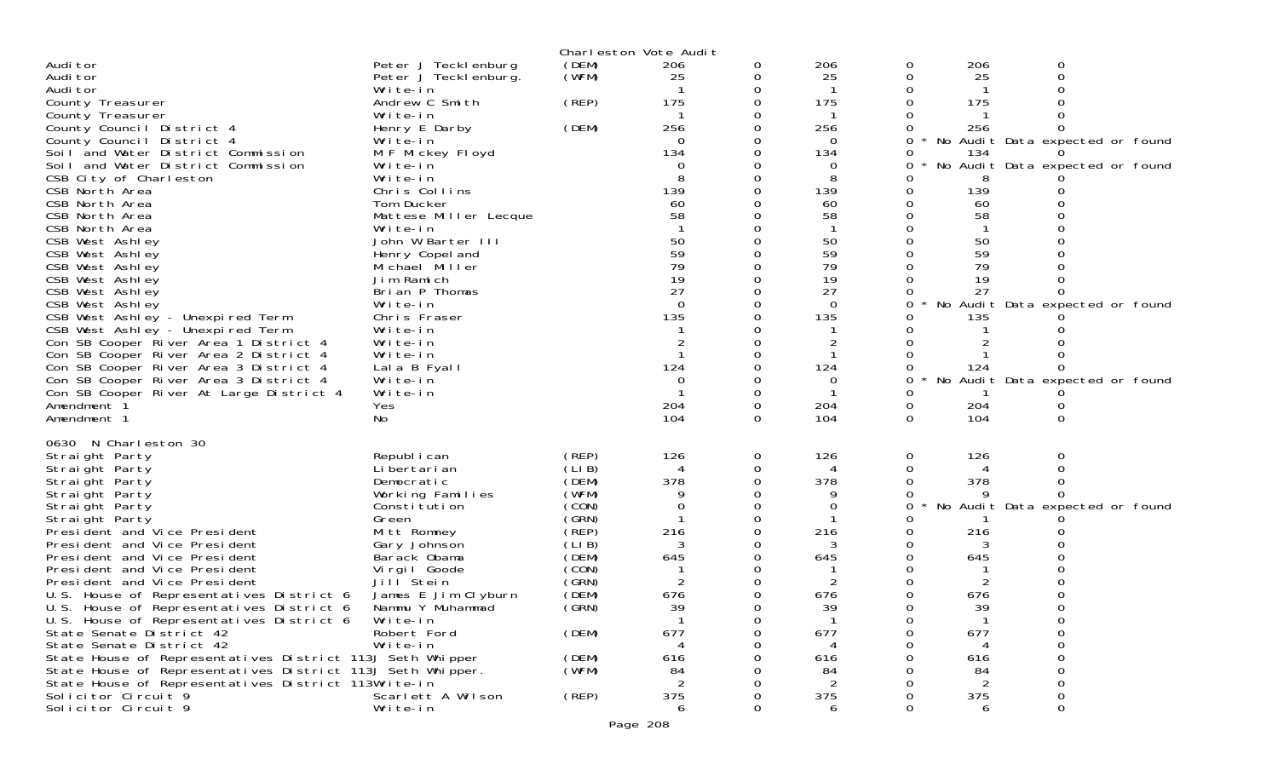|                                                                                  |                             |                | Charleston Vote Audit |   |                |   |           |                                 |  |
|----------------------------------------------------------------------------------|-----------------------------|----------------|-----------------------|---|----------------|---|-----------|---------------------------------|--|
| Audi tor                                                                         | Peter J Teckl enburg        | (DEM)          | 206                   | 0 | 206            | 0 | 206       | 0                               |  |
| Audi tor                                                                         | Peter J Tecklenburg.        | (WFM)          | 25                    | 0 | 25             |   | 25        |                                 |  |
| Audi tor                                                                         | Write-in<br>Andrew C Smith  | (REP)          | 175                   |   | 175            |   | 175       |                                 |  |
| County Treasurer<br>County Treasurer                                             | Write-in                    |                |                       |   |                |   |           |                                 |  |
| County Council District 4                                                        | Henry E Darby               | (DEM)          | 256                   |   | 256            |   | 256       |                                 |  |
| County Council District 4                                                        | Write-in                    |                | $\Omega$              |   | $\Omega$       | 0 |           | No Audit Data expected or found |  |
| Soil and Water District Commission                                               | M F Mickey Floyd            |                | 134                   |   | 134            | 0 | 134       |                                 |  |
| Soil and Water District Commission                                               | Write-in                    |                |                       |   | 0              |   |           | No Audit Data expected or found |  |
| CSB City of Charleston                                                           | Write-in                    |                | 8                     |   | 8              |   | 8         |                                 |  |
| CSB North Area<br>CSB North Area                                                 | Chris Collins<br>Tom Ducker |                | 139<br>60             |   | 139<br>60      |   | 139<br>60 |                                 |  |
| CSB North Area                                                                   | Mattese Miller Lecque       |                | 58                    |   | 58             |   | 58        |                                 |  |
| CSB North Area                                                                   | Write-in                    |                |                       |   |                |   |           |                                 |  |
| CSB West Ashley                                                                  | John W Barter III           |                | 50                    |   | 50             |   | 50        |                                 |  |
| CSB West Ashley                                                                  | Henry Copel and             |                | 59                    |   | 59             |   | 59        |                                 |  |
| CSB West Ashley                                                                  | Michael Miller              |                | 79                    |   | 79             |   | 79        |                                 |  |
| CSB West Ashley                                                                  | Jim Ramich                  |                | 19                    |   | 19             |   | 19        |                                 |  |
| CSB West Ashley<br>CSB West Ashley                                               | Brian P Thomas<br>Write-in  |                | 27<br>$\Omega$        |   | 27<br>$\Omega$ |   | 27        | No Audit Data expected or found |  |
| CSB West Ashley - Unexpired Term                                                 | Chris Fraser                |                | 135                   |   | 135            |   | 135       |                                 |  |
| CSB West Ashley - Unexpired Term                                                 | Write-in                    |                |                       |   |                |   |           |                                 |  |
| Con SB Cooper River Area 1 District 4                                            | Write-in                    |                |                       |   |                |   |           |                                 |  |
| Con SB Cooper River Area 2 District 4                                            | Write-in                    |                |                       |   |                |   |           |                                 |  |
| Con SB Cooper River Area 3 District 4                                            | Lala B Fyall                |                | 124                   |   | 124            |   | 124       |                                 |  |
| Con SB Cooper River Area 3 District 4<br>Con SB Cooper River At Large District 4 | Write-in<br>Write-in        |                | $\Omega$              |   | 0              |   |           | No Audit Data expected or found |  |
| Amendment 1                                                                      | Yes                         |                | 204                   | 0 | 204            | 0 | 204       |                                 |  |
| Amendment 1                                                                      | No                          |                | 104                   | 0 | 104            | 0 | 104       |                                 |  |
|                                                                                  |                             |                |                       |   |                |   |           |                                 |  |
| 0630 N Charleston 30<br>Straight Party                                           | Republ i can                | (REP)          | 126                   | 0 | 126            | 0 | 126       | 0                               |  |
| Straight Party                                                                   | Li bertari an               | (LI B)         |                       | 0 |                |   |           |                                 |  |
| Straight Party                                                                   | Democratic                  | (DEM)          | 378                   |   | 378            |   | 378       |                                 |  |
| Straight Party                                                                   | Working Families            | (WFM)          |                       |   |                |   |           |                                 |  |
| Straight Party                                                                   | Constitution                | (CON)          | $\Omega$              |   |                | 0 |           | No Audit Data expected or found |  |
| Straight Party                                                                   | Green                       | (GRN)<br>(REP) |                       |   | 216            |   |           |                                 |  |
| President and Vice President<br>President and Vice President                     | Mitt Romney<br>Gary Johnson | (LIB)          | 216<br>3              |   |                |   | 216       |                                 |  |
| President and Vice President                                                     | Barack Obama                | (DEM)          | 645                   |   | 645            |   | 645       |                                 |  |
| President and Vice President                                                     | Virgil Goode                | (CON)          |                       |   |                |   |           |                                 |  |
| President and Vice President                                                     | Jill Stein                  | (GRN)          |                       |   |                |   |           |                                 |  |
| U.S. House of Representatives District 6                                         | James E Jim Clyburn         | (DEM)          | 676                   |   | 676            |   | 676       |                                 |  |
| U.S. House of Representatives District 6                                         | Nammu Y Muhammad            | (GRN)          | 39<br>-1              |   | 30             |   | 30<br>-1  |                                 |  |
| U.S. House of Representatives District 6<br>State Senate District 42             | Write-in<br>Robert Ford     | (DEM)          | 677                   |   | 677            |   | 677       |                                 |  |
| State Senate District 42                                                         | Write-in                    |                |                       |   |                |   |           |                                 |  |
| State House of Representatives District 113J Seth Whipper                        |                             | (DEM)          | 616                   |   | 616            |   | 616       |                                 |  |
| State House of Representatives District 113J Seth Whipper.                       |                             | (WFM)          | 84                    |   | 84             |   | 84        |                                 |  |
| State House of Representatives District 113Write-in                              |                             |                |                       |   | $\mathcal{P}$  |   | 2         |                                 |  |
| Solicitor Circuit 9                                                              | Scarlett A Wilson           | (REP)          | 375                   |   | 375            |   | 375       |                                 |  |
| Solicitor Circuit 9                                                              | Write-in                    |                | 6                     |   | 6              |   | 6         |                                 |  |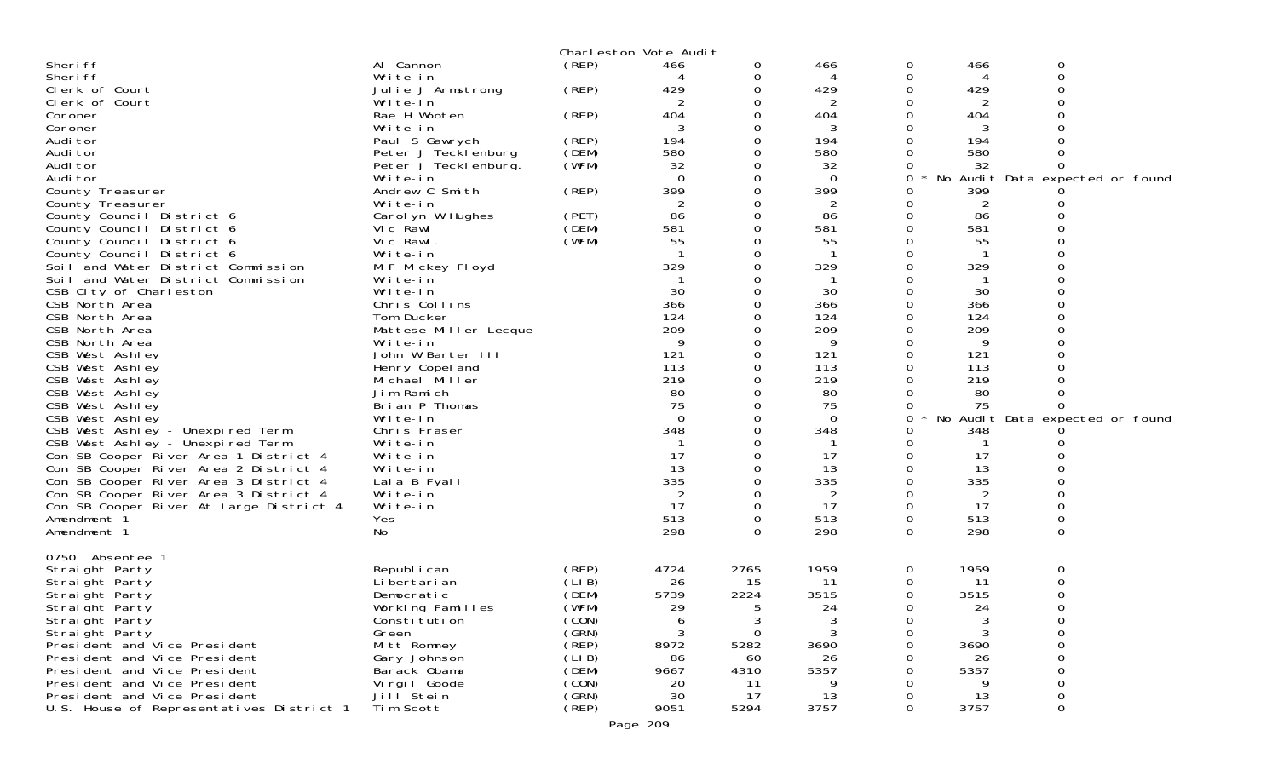|                                                                 |                              |                | Charleston Vote Audit |               |                |             |          |        |                                 |
|-----------------------------------------------------------------|------------------------------|----------------|-----------------------|---------------|----------------|-------------|----------|--------|---------------------------------|
| Sheri ff                                                        | Al Cannon                    | (REP)          | 466                   | 0             | 466            | 0           | 466      | 0      |                                 |
| Sheri ff                                                        | Write-in                     |                |                       | 0             | 4              | 0           | 4        | 0      |                                 |
| Clerk of Court                                                  | Julie J Armstrong            | (REP)          | 429                   | 0             | 429            | 0           | 429      | 0<br>O |                                 |
| Clerk of Court                                                  | Write-in<br>Rae H Wooten     |                | 2<br>404              | Ω<br>0        | 2<br>404       | 0<br>0      | 2<br>404 |        |                                 |
| Coroner<br>Coroner                                              | Write-in                     | (REP)          | 3                     | 0             | 3              | 0           | 3        |        |                                 |
| Audi tor                                                        | Paul S Gawrych               | (REP)          | 194                   | Ω             | 194            | 0           | 194      |        |                                 |
| Audi tor                                                        | Peter J Tecklenburg          | (DEM)          | 580                   |               | 580            | 0           | 580      |        |                                 |
| Audi tor                                                        | Peter J Teckl enburg.        | (WFM)          | 32                    |               | 32             | 0           | 32       | 0      |                                 |
| Audi tor                                                        | Write-in                     |                | $\Omega$              | 0             | $\Omega$       | 0           |          |        | No Audit Data expected or found |
| County Treasurer                                                | Andrew C Smith               | (REP)          | 399                   | 0             | 399            | 0           | 399      |        |                                 |
| County Treasurer                                                | Write-in                     |                | 2                     |               | 2              | 0           | 2        |        |                                 |
| County Council District 6                                       | Carol yn W Hughes            | (PET)          | 86                    | $\Omega$      | 86             | 0           | 86       |        |                                 |
| County Council District 6                                       | Vic Rawl                     | (DEM)          | 581                   |               | 581            | 0           | 581      |        |                                 |
| County Council District 6                                       | Vic Rawl.                    | (WFM)          | 55                    | Ω             | 55<br>-1       | 0           | 55       |        |                                 |
| County Council District 6<br>Soil and Water District Commission | Write-in<br>M F Mickey Floyd |                | 329                   |               | 329            | 0<br>0      | 329      |        |                                 |
| Soil and Water District Commission                              | Write-in                     |                |                       |               |                | 0           |          | O      |                                 |
| CSB City of Charleston                                          | Write-in                     |                | 30                    | Ω             | 30             | $\Omega$    | 30       |        |                                 |
| CSB North Area                                                  | Chris Collins                |                | 366                   |               | 366            | 0           | 366      |        |                                 |
| CSB North Area                                                  | Tom Ducker                   |                | 124                   |               | 124            | 0           | 124      |        |                                 |
| CSB North Area                                                  | Mattese Miller Lecque        |                | 209                   | 0             | 209            | 0           | 209      |        |                                 |
| CSB North Area                                                  | Write-in                     |                | 9                     |               | 9              | 0           | 9        |        |                                 |
| CSB West Ashley                                                 | John W Barter III            |                | 121                   | 0             | 121            | $\Omega$    | 121      | 0      |                                 |
| CSB West Ashley                                                 | Henry Copel and              |                | 113                   | 0             | 113            | 0           | 113      |        |                                 |
| CSB West Ashley                                                 | Michael Miller               |                | 219                   |               | 219            | 0           | 219      |        |                                 |
| CSB West Ashley                                                 | Jim Ramich<br>Brian P Thomas |                | 80<br>75              | 0             | 80<br>75       | 0           | 80<br>75 | 0<br>0 |                                 |
| CSB West Ashley<br>CSB West Ashley                              | Write-in                     |                | $\Omega$              |               | $\Omega$       | 0<br>0      |          |        | No Audit Data expected or found |
| CSB West Ashley - Unexpired Term                                | Chris Fraser                 |                | 348                   |               | 348            | 0           | 348      |        |                                 |
| CSB West Ashley - Unexpired Term                                | Write-in                     |                |                       | 0             | -1             | 0           |          |        |                                 |
| Con SB Cooper River Area 1 District 4                           | Write-in                     |                | 17                    |               | 17             | 0           | 17       |        |                                 |
| Con SB Cooper River Area 2 District 4                           | Write-in                     |                | 13                    | O             | 13             | $\Omega$    | 13       |        |                                 |
| Con SB Cooper River Area 3 District 4                           | Lala B Fyall                 |                | 335                   | 0             | 335            | 0           | 335      |        |                                 |
| Con SB Cooper River Area 3 District 4                           | Write-in                     |                | $\overline{2}$        |               | $\overline{2}$ | 0           | 2        |        |                                 |
| Con SB Cooper River At Large District 4                         | Write-in                     |                | 17                    | $\Omega$      | 17             | $\Omega$    | 17       | 0      |                                 |
| Amendment 1                                                     | Yes                          |                | 513                   | 0             | 513            | $\mathbf 0$ | 513      | 0      |                                 |
| Amendment 1                                                     | No                           |                | 298                   | $\Omega$      | 298            | $\Omega$    | 298      | 0      |                                 |
| 0750 Absentee 1                                                 |                              |                |                       |               |                |             |          |        |                                 |
| Straight Party                                                  | Republ i can                 | (REP)          | 4724                  | 2765          | 1959           | 0           | 1959     | 0      |                                 |
| Straight Party                                                  | Li bertari an                | (LIB)          | 26                    | 15            | 11             | 0           | 11       | 0      |                                 |
| Straight Party                                                  | Democratic                   | (DEM)          | 5739                  | 2224          | 3515           | 0           | 3515     | 0      |                                 |
| Straight Party                                                  | Working Families             | (WFM)          | 29                    | 5             | 24             | 0           | 24       | 0      |                                 |
| Straight Party<br>Straight Party                                | Constitution<br>Green        | (CON)<br>(GRN) | 6<br>3                | 3<br>$\Omega$ | 3<br>3         | 0<br>0      | 3<br>3   | 0<br>0 |                                 |
| President and Vice President                                    | Mitt Romney                  | (REP)          | 8972                  | 5282          | 3690           | 0           | 3690     | 0      |                                 |
| President and Vice President                                    | Gary Johnson                 | (LIB)          | 86                    | 60            | 26             |             | 26       | 0      |                                 |
| President and Vice President                                    | Barack Obama                 | (DEM)          | 9667                  | 4310          | 5357           | Ω           | 5357     | 0      |                                 |
| President and Vice President                                    | Vi rgi I Goode               | (CON)          | 20                    | 11            | 9              | 0           | 9        | 0      |                                 |
| President and Vice President                                    | Jill Stein                   | (GRN)          | 30                    | 17            | 13             | 0           | 13       | 0      |                                 |
| U.S. House of Representatives District 1                        | Tim Scott                    | (REP)          | 9051                  | 5294          | 3757           | 0           | 3757     | 0      |                                 |
|                                                                 |                              |                | Page 209              |               |                |             |          |        |                                 |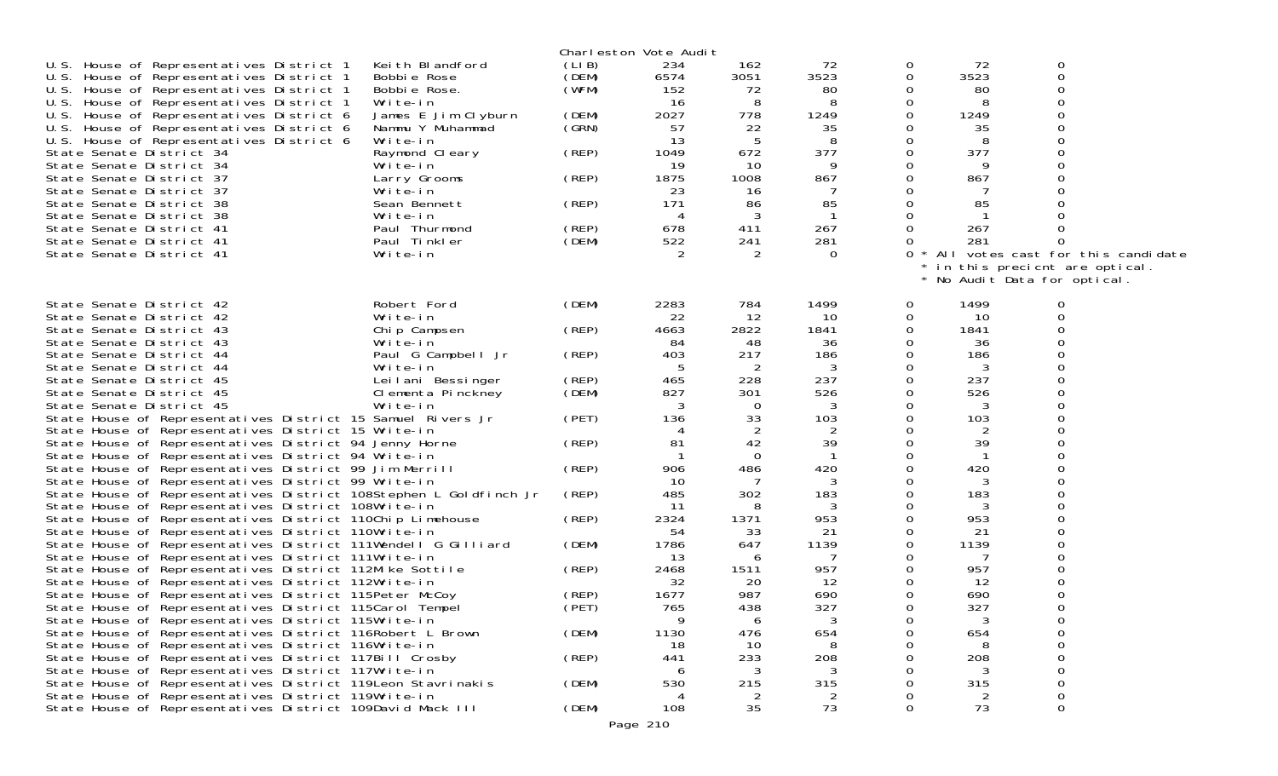|                                                                                                                                                                                   |                                                     |                         | Charleston Vote Audit |                       |                   |                    |                   |                                                               |  |
|-----------------------------------------------------------------------------------------------------------------------------------------------------------------------------------|-----------------------------------------------------|-------------------------|-----------------------|-----------------------|-------------------|--------------------|-------------------|---------------------------------------------------------------|--|
| U.S. House of Representatives District 1<br>U.S. House of Representatives District 1<br>U.S. House of Representatives District 1                                                  | Keith Blandford<br>Bobbie Rose<br>Bobbie Rose.      | (LIB)<br>(DEM)<br>(WFM) | 234<br>6574<br>152    | 162<br>3051<br>72     | 72<br>3523<br>80  | 0<br>0<br>0        | 72<br>3523<br>80  | 0<br>0<br>O<br>U                                              |  |
| U.S. House of Representatives District 1<br>U.S. House of Representatives District 6<br>U.S. House of Representatives District 6                                                  | Write-in<br>James E Jim Clyburn<br>Nammu Y Muhammad | (DEM)<br>(GRN)          | 16<br>2027<br>57      | 8<br>778<br>22        | 8<br>1249<br>35   | Ω<br>0<br>Ω        | 1249<br>35        |                                                               |  |
| U.S. House of Representatives District 6<br>State Senate District 34<br>State Senate District 34                                                                                  | Write-in<br>Raymond Cleary<br>Write-in              | (REP)                   | 13<br>1049<br>19      | 5<br>672<br>10        | 8<br>377          | 0                  | 8<br>377          | ∩                                                             |  |
| State Senate District 37<br>State Senate District 37                                                                                                                              | Larry Grooms<br>Write-in                            | (REP)                   | 1875<br>23            | 1008<br>16            | 867               |                    | 867               |                                                               |  |
| State Senate District 38<br>State Senate District 38<br>State Senate District 41                                                                                                  | Sean Bennett<br>Write-in<br>Paul Thurmond           | (REP)<br>(REP)          | 171<br>4<br>678       | 86<br>3<br>411        | 85<br>267         | $\Omega$<br>0      | 85<br>267         |                                                               |  |
| State Senate District 41<br>State Senate District 41                                                                                                                              | Paul Tinkler<br>Write-in                            | (DEM)                   | 522                   | 241<br>2              | 281<br>$\Omega$   | 0<br>$\Omega$      | 281               | All votes cast for this candidate                             |  |
|                                                                                                                                                                                   |                                                     |                         |                       |                       |                   |                    |                   | * in this precient are optical.<br>No Audit Data for optical. |  |
| State Senate District 42<br>State Senate District 42                                                                                                                              | Robert Ford<br>Write-in                             | (DEM)                   | 2283<br>22            | 784<br>12             | 1499<br>10        | 0<br>0             | 1499<br>10        |                                                               |  |
| State Senate District 43<br>State Senate District 43<br>State Senate District 44                                                                                                  | Chip Campsen<br>Write-in<br>Paul G Campbell Jr      | (REP)<br>(REP)          | 4663<br>84<br>403     | 2822<br>48<br>217     | 1841<br>36<br>186 | 0                  | 1841<br>36<br>186 |                                                               |  |
| State Senate District 44<br>State Senate District 45                                                                                                                              | Write-in<br>Leilani Bessinger                       | (REP)                   | 5<br>465              | $\overline{2}$<br>228 | 3<br>237          | $\Omega$           | 3<br>237          |                                                               |  |
| State Senate District 45<br>State Senate District 45<br>State House of Representatives District 15 Samuel Rivers Jr                                                               | Clementa Pinckney<br>Write-in                       | (DEM)<br>(PET)          | 827<br>3<br>136       | 301<br>0<br>33        | 526<br>103        | 0                  | 526<br>103        |                                                               |  |
| State House of Representatives District 15 Write-in<br>State House of Representatives District 94 Jenny Horne                                                                     |                                                     | (REP)                   | 81                    | 2<br>42               | 2<br>39           |                    | 2<br>39           | ∩                                                             |  |
| State House of Representatives District 94 Write-in<br>State House of Representatives District 99 Jim Merrill<br>State House of Representatives District 99 Write-in              |                                                     | (REP)                   | 906<br>10             | $\Omega$<br>486<br>7  | 420               |                    | 420               |                                                               |  |
| State House of Representatives District 108Stephen L Goldfinch Jr<br>State House of Representatives District 108Write-in                                                          |                                                     | (REP)                   | 485<br>11             | 302<br>8              | 183               | 0                  | 183               | 0<br>∩                                                        |  |
| State House of Representatives District 110Chip Limehouse<br>State House of Representatives District 110Write-in<br>State House of Representatives District 111Wendell G Gilliard |                                                     | (REP)<br>(DEM)          | 2324<br>54<br>1786    | 1371<br>33<br>647     | 953<br>21<br>1139 | 0                  | 953<br>21<br>1139 |                                                               |  |
| State House of Representatives District 111Write-in<br>State House of Representatives District 112Mike Sottile                                                                    |                                                     | (REP)                   | 13<br>2468            | 6<br>1511             | 957               |                    | 957               |                                                               |  |
| State House of Representatives District 112Write-in<br>State House of Representatives District 115Peter McCoy<br>State House of Representatives District 115 Carol Tempel         |                                                     | (REP)<br>(PET)          | 32<br>1677<br>765     | 20<br>987<br>438      | 12<br>690<br>327  | 0<br>0<br>$\Omega$ | 12<br>690<br>327  | U<br>0                                                        |  |
| State House of Representatives District 115Write-in<br>State House of Representatives District 116Robert L Brown                                                                  |                                                     | (DEM)                   | 9<br>1130             | 6<br>476              | 654               | O                  | 654               | O                                                             |  |
| State House of Representatives District 116Write-in<br>State House of Representatives District 117Bill Crosby<br>State House of Representatives District 117Write-in              |                                                     | (REP)                   | 18<br>441             | 10<br>233<br>3        | 208               | O<br>0             | 208<br>3          | ∩<br>0                                                        |  |
| State House of Representatives District 119 Leon Stavrinakis<br>State House of Representatives District 119Write-in                                                               |                                                     | (DEM)                   | 530                   | 215<br>2              | 315               | 0<br>0             | 315               | 0<br>$\mathbf 0$                                              |  |
| State House of Representatives District 109David Mack III                                                                                                                         |                                                     | (DEM)                   | 108<br>Page 210       | 35                    | 73                | $\mathbf 0$        | 73                | 0                                                             |  |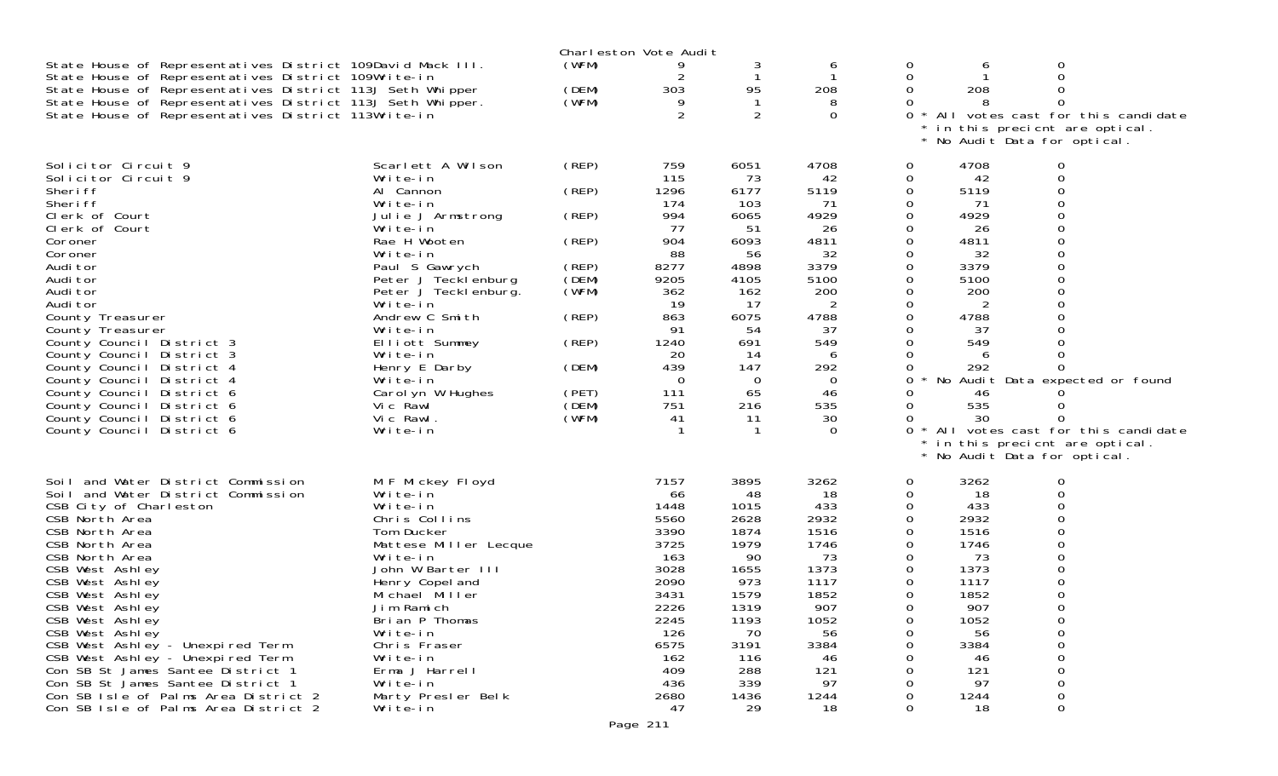|                                                                                                                                                                                                                                                                                                                                                                                                                                                                                                                                |                                                                                                                                                                                                                                                                                                                                                      |                                                                                                                   | Charleston Vote Audit                                                                                                                            |                                                                                                                                                     |                                                                                                                                                                    |                                                                                                      |                                                                                                                                       |                                                                                                                                                                                                  |
|--------------------------------------------------------------------------------------------------------------------------------------------------------------------------------------------------------------------------------------------------------------------------------------------------------------------------------------------------------------------------------------------------------------------------------------------------------------------------------------------------------------------------------|------------------------------------------------------------------------------------------------------------------------------------------------------------------------------------------------------------------------------------------------------------------------------------------------------------------------------------------------------|-------------------------------------------------------------------------------------------------------------------|--------------------------------------------------------------------------------------------------------------------------------------------------|-----------------------------------------------------------------------------------------------------------------------------------------------------|--------------------------------------------------------------------------------------------------------------------------------------------------------------------|------------------------------------------------------------------------------------------------------|---------------------------------------------------------------------------------------------------------------------------------------|--------------------------------------------------------------------------------------------------------------------------------------------------------------------------------------------------|
| State House of Representatives District 109David Mack III.<br>State House of Representatives District 109Write-in<br>State House of Representatives District 113J Seth Whipper<br>State House of Representatives District 113J Seth Whipper.<br>State House of Representatives District 113Write-in                                                                                                                                                                                                                            |                                                                                                                                                                                                                                                                                                                                                      | (WFM)<br>(DEM)<br>(WFM)                                                                                           | 303<br>$\overline{2}$                                                                                                                            | 3<br>-1<br>95<br>$\overline{2}$                                                                                                                     | 6<br>208<br>8<br>$\Omega$                                                                                                                                          | 0<br>0<br>0<br>0<br>$\Omega$                                                                         | b<br>208                                                                                                                              | 0<br>$\Omega$<br>∩<br>* All votes cast for this candidate<br>in this precient are optical.<br>No Audit Data for optical.                                                                         |
| Solicitor Circuit 9<br>Solicitor Circuit 9<br>Sheri ff<br>Sheri ff<br>Clerk of Court<br>Clerk of Court<br>Coroner<br>Coroner<br>Audi tor<br>Audi tor<br>Audi tor<br>Audi tor<br>County Treasurer<br>County Treasurer<br>County Council District 3<br>County Council District 3<br>County Council District 4<br>County Council District 4<br>County Council District 6<br>County Council District 6<br>County Council District 6<br>County Council District 6                                                                   | Scarlett A Wilson<br>Write-in<br>Al Cannon<br>Write-in<br>Julie J Armstrong<br>Write-in<br>Rae H Wooten<br>Write-in<br>Paul S Gawrych<br>Peter J Tecklenburg<br>Peter J Teckl enburg.<br>Write-in<br>Andrew C Smith<br>Write-in<br>Elliott Summey<br>Write-in<br>Henry E Darby<br>Write-in<br>Carol yn W Hughes<br>Vic Rawl<br>Vic Rawl.<br>Write-in | (REP)<br>(REP)<br>(REP)<br>(REP)<br>(REP)<br>(DEM)<br>(WFM)<br>(REP)<br>(REP)<br>(DEM)<br>(PET)<br>(DEM)<br>(WFM) | 759<br>115<br>1296<br>174<br>994<br>77<br>904<br>88<br>8277<br>9205<br>362<br>19<br>863<br>91<br>1240<br>20<br>439<br>0<br>111<br>751<br>41<br>1 | 6051<br>73<br>6177<br>103<br>6065<br>51<br>6093<br>56<br>4898<br>4105<br>162<br>17<br>6075<br>54<br>691<br>14<br>147<br>$\Omega$<br>65<br>216<br>11 | 4708<br>42<br>5119<br>71<br>4929<br>26<br>4811<br>32<br>3379<br>5100<br>200<br>2<br>4788<br>37<br>549<br>6<br>292<br>$\overline{0}$<br>46<br>535<br>30<br>$\Omega$ | 0<br>0<br>0<br>0<br>$\Omega$<br>0<br>0<br>$\Omega$<br>0<br>0<br>0<br>0<br>0<br>0<br>0<br>0<br>0<br>0 | 4708<br>42<br>5119<br>71<br>4929<br>26<br>4811<br>32<br>3379<br>5100<br>200<br>2<br>4788<br>37<br>549<br>292<br>46<br>535<br>30       | 0<br>$\Omega$<br>$\Omega$<br>∩<br>O<br>0<br>∩<br>O<br>0<br>No Audit Data expected or found<br>All votes cast for this candidate<br>in this precient are optical.<br>* No Audit Data for optical. |
| Soil and Water District Commission<br>Soil and Water District Commission<br>CSB City of Charleston<br>CSB North Area<br>CSB North Area<br>CSB North Area<br>CSB North Area<br>CSB West Ashley<br>CSB West Ashley<br>CSB West Ashley<br>CSB West Ashley<br>CSB West Ashley<br>CSB West Ashley<br>CSB West Ashley - Unexpired Term<br>CSB West Ashley - Unexpired Term<br>Con SB St James Santee District 1<br>Con SB St James Santee District 1<br>Con SB Isle of Palms Area District 2<br>Con SB Isle of Palms Area District 2 | M F Mickey Floyd<br>Write-in<br>Write-in<br>Chris Collins<br>Tom Ducker<br>Mattese Miller Lecque<br>Write-in<br>John W Barter III<br>Henry Copel and<br>Michael Miller<br>Jim Ramich<br>Brian P Thomas<br>Write-in<br>Chris Fraser<br>Write-in<br>Erma J Harrell<br>Write-in<br>Marty Presler Belk<br>Write-in                                       |                                                                                                                   | 7157<br>66<br>1448<br>5560<br>3390<br>3725<br>163<br>3028<br>2090<br>3431<br>2226<br>2245<br>126<br>6575<br>162<br>409<br>436<br>2680<br>47      | 3895<br>48<br>1015<br>2628<br>1874<br>1979<br>90<br>1655<br>973<br>1579<br>1319<br>1193<br>70<br>3191<br>116<br>288<br>339<br>1436<br>29            | 3262<br>18<br>433<br>2932<br>1516<br>1746<br>73<br>1373<br>1117<br>1852<br>907<br>1052<br>56<br>3384<br>46<br>121<br>97<br>1244<br>18                              | 0<br>0<br>0<br>0<br>0<br>0<br>0<br>0<br>0<br>0<br>0<br>0<br>0<br>0<br>0                              | 3262<br>18<br>433<br>2932<br>1516<br>1746<br>73<br>1373<br>1117<br>1852<br>907<br>1052<br>56<br>3384<br>46<br>121<br>97<br>1244<br>18 | 0<br>0<br>$\Omega$<br>O<br>O<br>O<br>$\Omega$<br>0<br>0<br>0<br>0<br>$\Omega$<br>0<br>$\mathbf 0$<br>$\mathbf 0$                                                                                 |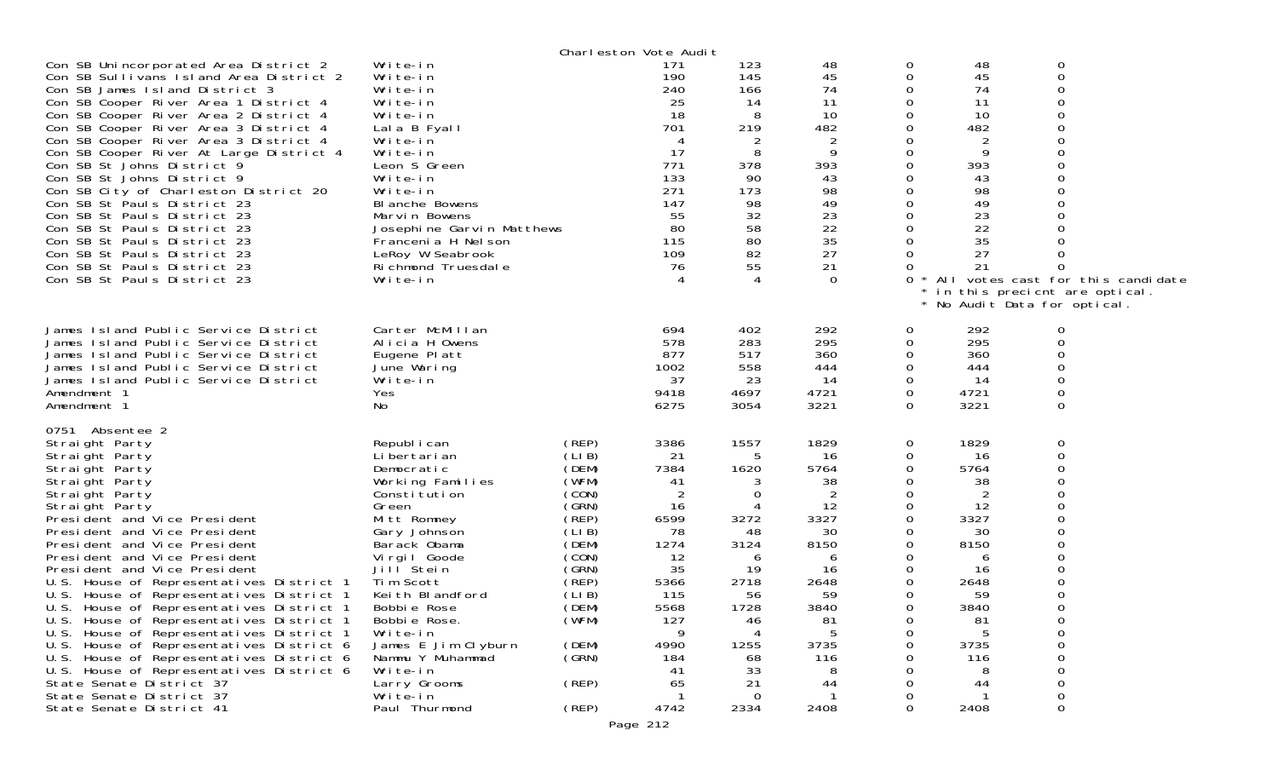|                                                                                                                                                                                                                                                                                                                                                                                                                                                                                                                                                                                                                                                                                                                                                       |                                                                                                                                                                                                                                                                                                                                                      |                                                                                                                                                                         | Charleston Vote Audit                                                                                                                                   |                                                                                                                                             |                                                                                                                                       |                                                                                                                                       |                                                                                                                                         |                                                                                                                        |  |
|-------------------------------------------------------------------------------------------------------------------------------------------------------------------------------------------------------------------------------------------------------------------------------------------------------------------------------------------------------------------------------------------------------------------------------------------------------------------------------------------------------------------------------------------------------------------------------------------------------------------------------------------------------------------------------------------------------------------------------------------------------|------------------------------------------------------------------------------------------------------------------------------------------------------------------------------------------------------------------------------------------------------------------------------------------------------------------------------------------------------|-------------------------------------------------------------------------------------------------------------------------------------------------------------------------|---------------------------------------------------------------------------------------------------------------------------------------------------------|---------------------------------------------------------------------------------------------------------------------------------------------|---------------------------------------------------------------------------------------------------------------------------------------|---------------------------------------------------------------------------------------------------------------------------------------|-----------------------------------------------------------------------------------------------------------------------------------------|------------------------------------------------------------------------------------------------------------------------|--|
| Con SB Unincorporated Area District 2<br>Con SB Sullivans Island Area District 2<br>Con SB James Island District 3<br>Con SB Cooper River Area 1 District 4<br>Con SB Cooper River Area 2 District 4<br>Con SB Cooper River Area 3 District 4<br>Con SB Cooper River Area 3 District 4<br>Con SB Cooper River At Large District 4<br>Con SB St Johns District 9<br>Con SB St Johns District 9<br>Con SB City of Charleston District 20<br>Con SB St Pauls District 23<br>Con SB St Pauls District 23<br>Con SB St Pauls District 23<br>Con SB St Pauls District 23<br>Con SB St Pauls District 23<br>Con SB St Pauls District 23<br>Con SB St Pauls District 23                                                                                       | Write-in<br>Write-in<br>Write-in<br>Write-in<br>Write-in<br>Lala B Fyall<br>Write-in<br>Write-in<br>Leon S Green<br>Write-in<br>Write-in<br>BI anche Bowens<br>Marvin Bowens<br>Josephine Garvin Matthews<br>Francenia H Nelson<br>LeRoy W Seabrook<br>Richmond Truesdale<br>Write-in                                                                |                                                                                                                                                                         | 171<br>190<br>240<br>25<br>18<br>701<br>4<br>17<br>771<br>133<br>271<br>147<br>55<br>80<br>115<br>109<br>76                                             | 123<br>145<br>166<br>14<br>-8<br>219<br>2<br>8<br>378<br>90<br>173<br>98<br>32<br>58<br>80<br>82<br>55<br>$\boldsymbol{\vartriangle}$       | 48<br>45<br>74<br>11<br>10<br>482<br>9<br>393<br>43<br>98<br>49<br>23<br>22<br>35<br>27<br>21<br>$\Omega$                             | 0<br>0<br>0<br>$\Omega$<br>0<br>0<br>0<br>0<br>0<br>0<br>0<br>0<br>0<br>0<br>$\Omega$<br>0<br>0<br>0                                  | 48<br>45<br>74<br>11<br>10<br>482<br>2<br>9<br>393<br>43<br>98<br>49<br>23<br>22<br>35<br>27<br>21                                      | 0<br>$\Omega$<br>O<br>All votes cast for this candidate<br>in this precient are optical.<br>No Audit Data for optical. |  |
| James Island Public Service District<br>James Island Public Service District<br>James Island Public Service District<br>James Island Public Service District<br>James Island Public Service District<br>Amendment 1<br>Amendment 1                                                                                                                                                                                                                                                                                                                                                                                                                                                                                                                    | Carter McMillan<br>Alicia H Owens<br>Eugene Platt<br>June Waring<br>Write-in<br>Yes<br>No                                                                                                                                                                                                                                                            |                                                                                                                                                                         | 694<br>578<br>877<br>1002<br>37<br>9418<br>6275                                                                                                         | 402<br>283<br>517<br>558<br>23<br>4697<br>3054                                                                                              | 292<br>295<br>360<br>444<br>14<br>4721<br>3221                                                                                        | 0<br>0<br>0<br>0<br>0<br>0<br>$\Omega$                                                                                                | 292<br>295<br>360<br>444<br>14<br>4721<br>3221                                                                                          | 0<br>$\Omega$<br>0<br>0<br>0                                                                                           |  |
| 0751<br>Absentee 2<br>Straight Party<br>Straight Party<br>Straight Party<br>Straight Party<br>Straight Party<br>Straight Party<br>President and Vice President<br>President and Vice President<br>President and Vice President<br>President and Vice President<br>President and Vice President<br>U.S. House of Representatives District 1<br>House of Representatives District 1<br>U.S.<br>U.S. House of Representatives District 1<br>U.S. House of Representatives District 1<br>U.S. House of Representatives District 1<br>U.S. House of Representatives District 6<br>U.S. House of Representatives District 6<br>U.S. House of Representatives District 6<br>State Senate District 37<br>State Senate District 37<br>State Senate District 41 | Republ i can<br>Li bertari an<br>Democratic<br>Working Families<br>Constitution<br>Green<br>Mitt Romney<br>Gary Johnson<br>Barack Obama<br>Virgil Goode<br>Jill Stein<br>Tim Scott<br>Keith Blandford<br>Bobbie Rose<br>Bobbie Rose.<br>Write-in<br>James E Jim Clyburn<br>Nammu Y Muhammad<br>Write-in<br>Larry Grooms<br>Write-in<br>Paul Thurmond | (REP)<br>(LIB)<br>(DEM)<br>(WFM)<br>(CON)<br>(GRN)<br>(REP)<br>(LIB)<br>(DEM)<br>(CON)<br>(GRN)<br>(REP)<br>(LIB)<br>(DEM)<br>(WFM)<br>(DEM)<br>(GRN)<br>(REP)<br>(REP) | 3386<br>21<br>7384<br>41<br>2<br>16<br>6599<br>78<br>1274<br>12<br>35<br>5366<br>115<br>5568<br>127<br>9<br>4990<br>184<br>41<br>65<br>4742<br>Page 212 | 1557<br>5<br>1620<br>3<br>0<br>3272<br>48<br>3124<br>6<br>19<br>2718<br>56<br>1728<br>46<br>4<br>1255<br>68<br>33<br>21<br>$\Omega$<br>2334 | 1829<br>16<br>5764<br>38<br>$\overline{2}$<br>12<br>3327<br>30<br>8150<br>16<br>2648<br>59<br>3840<br>81<br>3735<br>116<br>44<br>2408 | 0<br>0<br>0<br>0<br>0<br>0<br>0<br>0<br>0<br>0<br>0<br>0<br>0<br>$\Omega$<br>0<br>$\mathbf 0$<br>0<br>0<br>0<br>$\mathbf 0$<br>0<br>0 | 1829<br>16<br>5764<br>38<br>2<br>12<br>3327<br>30<br>8150<br>6<br>16<br>2648<br>59<br>3840<br>81<br>5<br>3735<br>116<br>8<br>44<br>2408 | 0<br>$\Omega$<br>0<br>0<br>0<br>0<br>0<br>$\mathsf{O}\xspace$<br>0                                                     |  |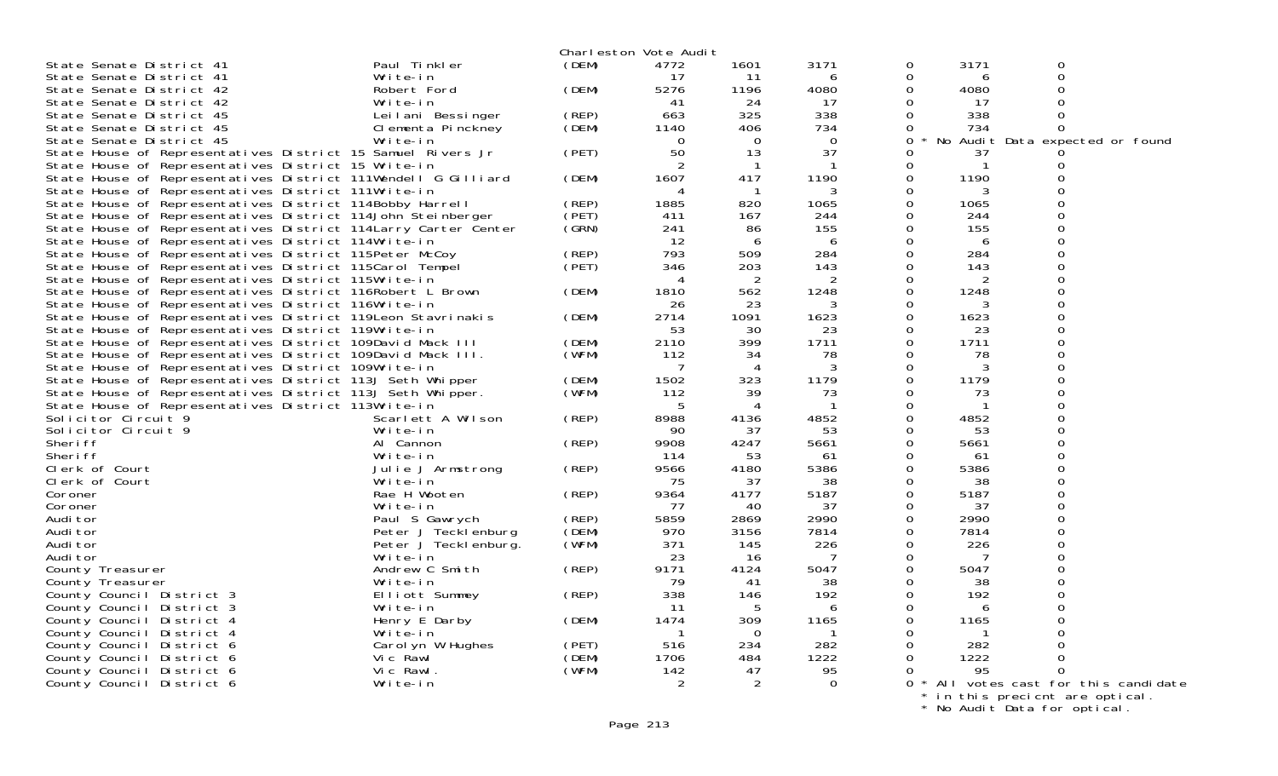|                                                                 |                               |       | Charleston Vote Audit |                |          |          |      |                     |                                       |
|-----------------------------------------------------------------|-------------------------------|-------|-----------------------|----------------|----------|----------|------|---------------------|---------------------------------------|
| State Senate District 41                                        | Paul Tinkler                  | (DEM) | 4772                  | 1601           | 3171     | 0        | 3171 | $\mathbf 0$         |                                       |
| State Senate District 41                                        | Write-in                      |       | -17                   | 11             | h        | 0        | 6    | $\mathsf{O}\xspace$ |                                       |
| State Senate District 42                                        | Robert Ford                   | (DEM) | 5276                  | 1196           | 4080     | 0        | 4080 | 0                   |                                       |
| State Senate District 42                                        | Write-in                      |       | 41                    | 24             | -17      | 0        | -17  | 0                   |                                       |
| State Senate District 45                                        | Leilani Bessinger             | (REP) | 663                   | 325            | 338      | $\Omega$ | 338  | $\mathbf 0$         |                                       |
| State Senate District 45                                        | Clementa Pinckney             | (DEM) | 1140                  | 406            | 734      | 0        | 734  | 0                   |                                       |
| State Senate District 45                                        | Write-in                      |       | $\Omega$              | $\Omega$       | $\Omega$ | 0        |      |                     | No Audit Data expected or found       |
| State House of Representatives District 15 Samuel Rivers Jr     |                               | (PET) | 50                    | 13             | 37       | 0        | 37   |                     |                                       |
| State House of Representatives District 15 Write-in             |                               |       |                       | $\mathbf 1$    |          | 0        |      | 0                   |                                       |
| State House of Representatives District 111Wendell G Gilliard   |                               | (DEM) | 1607                  | 417            | 1190     | $\Omega$ | 1190 | $\Omega$            |                                       |
| State House of Representatives District 111Write-in             |                               |       | 4                     |                |          | $\Omega$ | 3    | $\Omega$            |                                       |
| State House of Representatives District 114Bobby Harrell        |                               | (REP) | 1885                  | 820            | 1065     | 0        | 1065 | $\Omega$            |                                       |
| State House of Representatives District 114John Steinberger     |                               | (PET) | 411                   | 167            | 244      | 0        | 244  | $\Omega$            |                                       |
| State House of Representatives District 114 Larry Carter Center |                               | (GRN) | 241                   | 86             | 155      | 0        | 155  | $\Omega$            |                                       |
| State House of Representatives District 114Write-in             |                               |       | 12                    | 6              | 6        | 0        | 6    | $\Omega$            |                                       |
| State House of Representatives District 115Peter McCoy          |                               | (REP) | 793                   | 509            | 284      | 0        | 284  | $\Omega$            |                                       |
| State House of Representatives District 115Carol Tempel         |                               | (PET) | 346                   | 203            | 143      | $\Omega$ | 143  | $\Omega$            |                                       |
| State House of Representatives District 115Write-in             |                               |       | 4                     | 2              | 2        | $\Omega$ | 2    | $\Omega$            |                                       |
| State House of Representatives District 116Robert L Brown       |                               | (DEM) | 1810                  | 562            | 1248     | $\Omega$ | 1248 | $\Omega$            |                                       |
| State House of Representatives District 116Write-in             |                               |       | 26                    | 23             | 3        | $\Omega$ | 3    | $\Omega$            |                                       |
| State House of Representatives District 119 Leon Stavrinakis    |                               | (DEM) | 2714                  | 1091           | 1623     | 0        | 1623 | 0                   |                                       |
| State House of Representatives District 119Write-in             |                               |       | 53                    | 30             | 23       | 0        | 23   | 0                   |                                       |
| State House of Representatives District 109David Mack III       |                               | (DEM) | 2110                  | 399            | 1711     | 0        | 1711 | $\Omega$            |                                       |
| State House of Representatives District 109David Mack III.      |                               | (WFM) | 112                   | 34             | 78       | 0        | 78   | 0                   |                                       |
| State House of Representatives District 109Write-in             |                               |       |                       | 4              |          | $\Omega$ |      | $\Omega$            |                                       |
| State House of Representatives District 113J Seth Whipper       |                               | (DEM) | 1502                  | 323            | 1179     | $\Omega$ | 1179 | $\Omega$            |                                       |
| State House of Representatives District 113J Seth Whipper.      |                               | (WFM) | 112                   | 39             | 73       | $\Omega$ | 73   | $\Omega$            |                                       |
| State House of Representatives District 113Write-in             |                               |       | -5                    | $\overline{4}$ |          | $\Omega$ |      | $\Omega$            |                                       |
| Solicitor Circuit 9                                             | Scarlett A Wilson             | (REP) | 8988                  | 4136           | 4852     | $\Omega$ | 4852 | $\Omega$            |                                       |
| Solicitor Circuit 9                                             | Write-in                      |       | 90                    | 37             | 53       | 0        | 53   | $\Omega$            |                                       |
| Sheri ff                                                        | Al Cannon                     | (REP) | 9908                  | 4247           | 5661     | 0        | 5661 | 0                   |                                       |
| Sheri ff                                                        | Write-in                      |       | 114                   | 53             | 61       | 0        | 61   | 0                   |                                       |
| Clerk of Court                                                  | Julie J Armstrong             | (REP) | 9566                  | 4180           | 5386     | 0        | 5386 | 0                   |                                       |
| Clerk of Court                                                  | Write-in                      |       | 75                    | 37             | 38       | 0        | 38   | $\Omega$            |                                       |
| Coroner                                                         | Rae H Wooten                  | (REP) | 9364                  | 4177           | 5187     | 0        | 5187 | 0                   |                                       |
| Coroner                                                         | Write-in                      |       | 77                    | 40             | 37       | 0        | 37   | $\Omega$            |                                       |
| Audi tor                                                        | Paul S Gawrych                | (REP) | 5859                  | 2869           | 2990     | 0        | 2990 | 0                   |                                       |
| Audi tor                                                        | Peter J Tecklenburg           | (DEM) | 970                   | 3156           | 7814     | $\Omega$ | 7814 | $\Omega$            |                                       |
| Audi tor                                                        | Peter J Teckl enburg.         | (WFM) | 371                   | 145            | 226      | 0        | 226  | $\Omega$            |                                       |
| Audi tor                                                        | Write-in                      |       | 23                    | 16             |          | $\Omega$ |      | $\Omega$            |                                       |
| County Treasurer                                                | Andrew C Smith                | (REP) | 9171                  | 4124           | 5047     | $\Omega$ | 5047 | $\Omega$            |                                       |
| County Treasurer                                                | Write-in                      |       | 79                    | 41             | 38       | 0        | 38   | $\Omega$            |                                       |
| County Council District 3                                       | Elliott Summey                | (REP) | 338                   | 146            | 192      | 0        | 192  | $\Omega$            |                                       |
|                                                                 |                               |       | -11                   | 5              |          | $\Omega$ | 6    | $\Omega$            |                                       |
| County Council District 3                                       | Write-in                      | (DEM) | 1474                  | 309            | 1165     | 0        | 1165 |                     |                                       |
| County Council District 4                                       | Henry E Darby                 |       |                       | $\Omega$       |          | $\Omega$ |      | $\Omega$            |                                       |
| County Council District 4                                       | Write-in<br>Carol yn W Hughes | (PET) | 516                   | 234            | 282      | $\Omega$ | 282  | 0                   |                                       |
| County Council District 6                                       |                               | (DEM) | 1706                  | 484            | 1222     | $\Omega$ | 1222 | $\Omega$            |                                       |
| County Council District 6                                       | Vic Rawl<br>Vic Rawl.         | (WFM) | 142                   | 47             | 95       | 0        | 95   | $\Omega$            |                                       |
| County Council District 6                                       |                               |       |                       |                | 0        |          |      |                     |                                       |
| County Council District 6                                       | Write-in                      |       | 2                     | 2              |          |          |      |                     | 0 * All votes cast for this candidate |

\* in this precicnt are optical.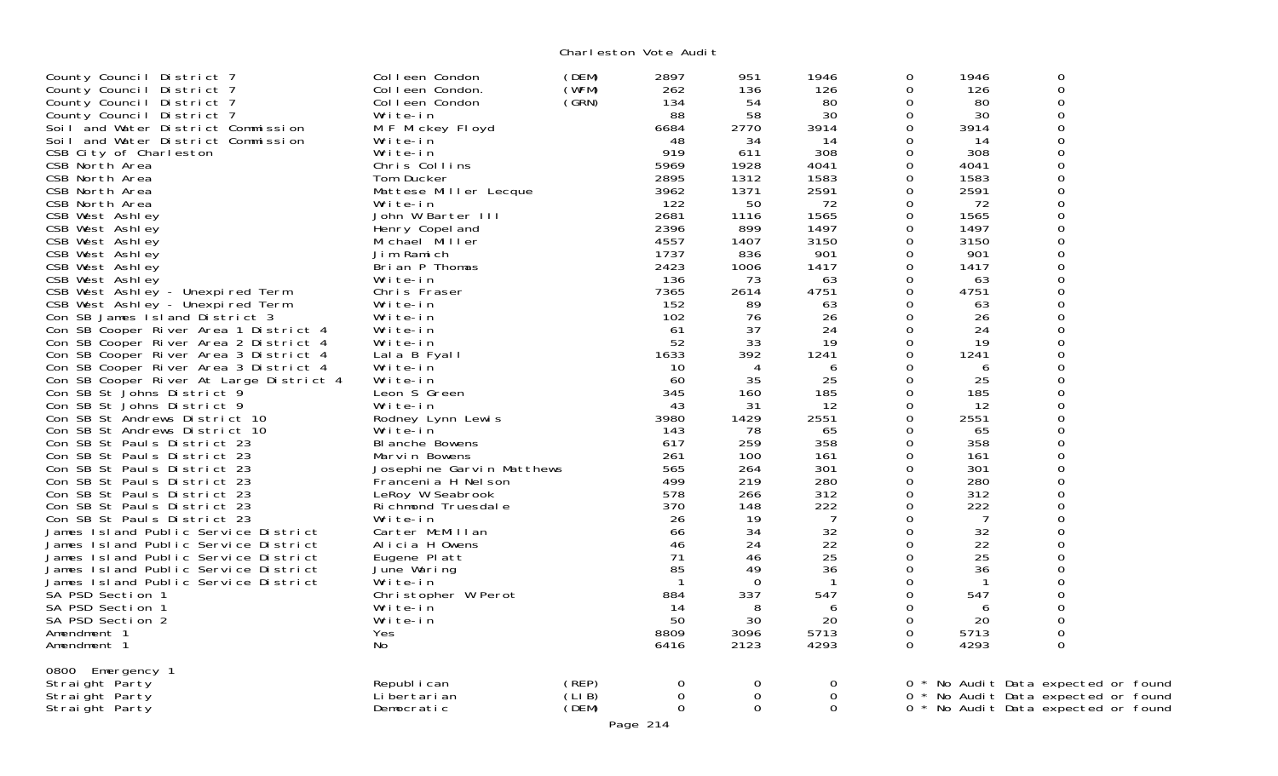| County Council District 7<br>County Council District 7<br>County Council District 7<br>County Council District 7<br>Soil and Water District Commission<br>Soil and Water District Commission<br>CSB City of Charleston<br>CSB North Area<br>CSB North Area<br>CSB North Area<br>CSB North Area<br>CSB West Ashley<br>CSB West Ashley<br>CSB West Ashley<br>CSB West Ashley<br>CSB West Ashley<br>CSB West Ashley<br>CSB West Ashley - Unexpired Term<br>CSB West Ashley - Unexpired Term<br>Con SB James I sland District 3<br>Con SB Cooper River Area 1 District 4<br>Con SB Cooper River Area 2 District 4<br>Con SB Cooper River Area 3 District 4<br>Con SB Cooper River Area 3 District 4<br>Con SB Cooper River At Large District 4<br>Con SB St Johns District 9<br>Con SB St Johns District 9<br>Con SB St Andrews District 10<br>Con SB St Andrews District 10<br>Con SB St Pauls District 23<br>Con SB St Pauls District 23<br>Con SB St Pauls District 23<br>Con SB St Pauls District 23<br>Con SB St Pauls District 23<br>Con SB St Pauls District 23<br>Con SB St Pauls District 23<br>James Island Public Service District<br>James Island Public Service District<br>James Island Public Service District<br>James Island Public Service District<br>James Island Public Service District<br>SA PSD Section 1<br>SA PSD Section 1<br>SA PSD Section 2<br>Amendment 1<br>Amendment 1 | Colleen Condon<br>Colleen Condon.<br>Colleen Condon<br>Write-in<br>M F Mickey Floyd<br>Write-in<br>Write-in<br>Chris Collins<br>Tom Ducker<br>Mattese Miller Lecque<br>Write-in<br>John W Barter III<br>Henry Copel and<br>Michael Miller<br>Jim Ramich<br>Brian P Thomas<br>Write-in<br>Chris Fraser<br>Write-in<br>Write-in<br>Write-in<br>Write-in<br>Lala B Fyall<br>Write-in<br>Write-in<br>Leon S Green<br>Write-in<br>Rodney Lynn Lewis<br>Write-in<br><b>BI anche Bowens</b><br>Marvin Bowens<br>Josephine Garvin Matthews<br>Francenia H Nel son<br>LeRoy W Seabrook<br>Richmond Truesdale<br>Write-in<br>Carter McMillan<br>Alicia H Owens<br>Eugene Platt<br>June Waring<br>Write-in<br>Christopher W Perot<br>Write-in<br>Write-in<br>Yes.<br>No | (DEM)<br>(WFM)<br>(GRN) | 2897<br>262<br>134<br>88<br>6684<br>48<br>919<br>5969<br>2895<br>3962<br>122<br>2681<br>2396<br>4557<br>1737<br>2423<br>136<br>7365<br>152<br>102<br>61<br>52<br>1633<br>10<br>60<br>345<br>43<br>3980<br>143<br>617<br>261<br>565<br>499<br>578<br>370<br>26<br>66<br>46<br>71<br>85<br>$\mathbf{1}$<br>884<br>14<br>50<br>8809<br>6416 | 951<br>136<br>54<br>58<br>2770<br>34<br>611<br>1928<br>1312<br>1371<br>50<br>1116<br>899<br>1407<br>836<br>1006<br>73<br>2614<br>89<br>76<br>37<br>33<br>392<br>4<br>35<br>160<br>31<br>1429<br>78<br>259<br>100<br>264<br>219<br>266<br>148<br>19<br>34<br>24<br>46<br>49<br>$\mathbf 0$<br>337<br>8<br>30<br>3096<br>2123 | 1946<br>126<br>80<br>30<br>3914<br>14<br>308<br>4041<br>1583<br>2591<br>72<br>1565<br>1497<br>3150<br>901<br>1417<br>63<br>4751<br>63<br>26<br>24<br>19<br>1241<br>6<br>25<br>185<br>12<br>2551<br>65<br>358<br>161<br>301<br>280<br>312<br>222<br>$\overline{7}$<br>32<br>22<br>25<br>36<br>$\overline{1}$<br>547<br>6<br>20<br>5713<br>4293 | 0<br>0<br>0<br>$\Omega$<br>0<br>0<br>$\Omega$<br>0<br>0<br>0<br>0<br>0<br>0<br>0<br>0<br>$\Omega$<br>0<br>0<br>$\Omega$<br>0<br>0<br>0<br>$\Omega$<br>0<br>0<br>0<br>0<br>$\overline{O}$<br>0<br>$\Omega$<br>0<br>0<br>0<br>0<br>0<br>$\Omega$<br>$\Omega$<br>$\mathbf 0$<br>0<br>$\Omega$<br>0<br>$\Omega$<br>0<br>$\Omega$<br>0<br>$\Omega$ | 1946<br>126<br>80<br>30<br>3914<br>14<br>308<br>4041<br>1583<br>2591<br>72<br>1565<br>1497<br>3150<br>901<br>1417<br>63<br>4751<br>63<br>26<br>24<br>19<br>1241<br>6<br>25<br>185<br>12<br>2551<br>65<br>358<br>161<br>301<br>280<br>312<br>222<br>7<br>32<br>22<br>25<br>36<br>$\mathbf{1}$<br>547<br>6<br>20<br>5713<br>4293 | $\mathbf 0$<br>$\mathbf 0$<br>$\mathbf 0$<br>$\overline{0}$<br>$\mathbf 0$<br>$\mathbf 0$<br>$\overline{0}$<br>$\mathbf 0$<br>$\mathbf 0$<br>$\mathbf 0$<br>$\mathbf 0$<br>$\mathbf 0$<br>$\mathbf 0$<br>$\mathbf 0$<br>$\mathbf 0$<br>$\mathbf 0$<br>$\mathbf 0$<br>$\mathbf 0$<br>$\mathbf 0$<br>$\mathbf 0$<br>$\mathbf 0$<br>$\mathbf 0$<br>$\overline{0}$<br>$\overline{0}$<br>$\mathbf 0$<br>$\mathbf 0$<br>$\mathbf 0$<br>$\overline{0}$<br>$\mathbf 0$<br>$\mathbf 0$<br>$\mathbf 0$<br>$\mathbf 0$<br>$\mathbf 0$<br>$\mathbf 0$<br>$\mathbf 0$<br>$\mathbf 0$<br>$\overline{0}$<br>$\mathbf 0$<br>$\mathbf 0$<br>$\Omega$<br>$\mathbf 0$<br>$\mathbf 0$<br>$\mathbf 0$<br>$\mathbf 0$<br>$\overline{0}$<br>$\Omega$ |  |
|-----------------------------------------------------------------------------------------------------------------------------------------------------------------------------------------------------------------------------------------------------------------------------------------------------------------------------------------------------------------------------------------------------------------------------------------------------------------------------------------------------------------------------------------------------------------------------------------------------------------------------------------------------------------------------------------------------------------------------------------------------------------------------------------------------------------------------------------------------------------------------------------------------------------------------------------------------------------------------------------------------------------------------------------------------------------------------------------------------------------------------------------------------------------------------------------------------------------------------------------------------------------------------------------------------------------------------------------------------------------------------------------------------|--------------------------------------------------------------------------------------------------------------------------------------------------------------------------------------------------------------------------------------------------------------------------------------------------------------------------------------------------------------------------------------------------------------------------------------------------------------------------------------------------------------------------------------------------------------------------------------------------------------------------------------------------------------------------------------------------------------------------------------------------------------|-------------------------|------------------------------------------------------------------------------------------------------------------------------------------------------------------------------------------------------------------------------------------------------------------------------------------------------------------------------------------|-----------------------------------------------------------------------------------------------------------------------------------------------------------------------------------------------------------------------------------------------------------------------------------------------------------------------------|-----------------------------------------------------------------------------------------------------------------------------------------------------------------------------------------------------------------------------------------------------------------------------------------------------------------------------------------------|-----------------------------------------------------------------------------------------------------------------------------------------------------------------------------------------------------------------------------------------------------------------------------------------------------------------------------------------------|--------------------------------------------------------------------------------------------------------------------------------------------------------------------------------------------------------------------------------------------------------------------------------------------------------------------------------|-------------------------------------------------------------------------------------------------------------------------------------------------------------------------------------------------------------------------------------------------------------------------------------------------------------------------------------------------------------------------------------------------------------------------------------------------------------------------------------------------------------------------------------------------------------------------------------------------------------------------------------------------------------------------------------------------------------------------------|--|
| 0800<br>Emergency 1<br>Straight Party<br>Straight Party<br>Straight Party                                                                                                                                                                                                                                                                                                                                                                                                                                                                                                                                                                                                                                                                                                                                                                                                                                                                                                                                                                                                                                                                                                                                                                                                                                                                                                                           | Republ i can<br>Li bertari an<br>Democratic                                                                                                                                                                                                                                                                                                                                                                                                                                                                                                                                                                                                                                                                                                                  | (REP)<br>(LIB)<br>(DEM) | 0<br>$\mathbf 0$<br>$\mathbf 0$<br>Page 214                                                                                                                                                                                                                                                                                              | 0<br>$\mathbf 0$<br>$\mathbf 0$                                                                                                                                                                                                                                                                                             | $\mathbf 0$<br>$\mathbf 0$<br>$\overline{0}$                                                                                                                                                                                                                                                                                                  |                                                                                                                                                                                                                                                                                                                                               |                                                                                                                                                                                                                                                                                                                                | 0 * No Audit Data expected or found<br>0 * No Audit Data expected or found<br>0 * No Audit Data expected or found                                                                                                                                                                                                                                                                                                                                                                                                                                                                                                                                                                                                             |  |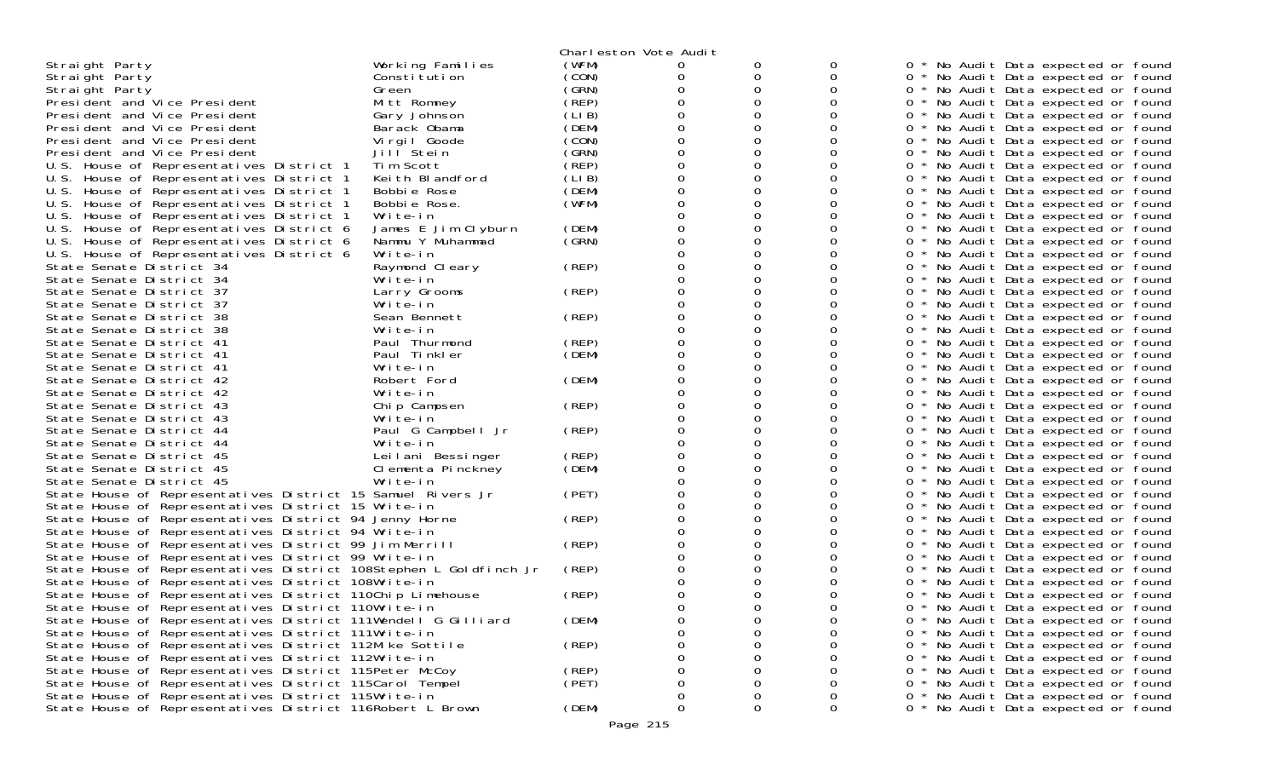|                                                                   |                     |       | Charleston Vote Audit |             |             |   |                                     |
|-------------------------------------------------------------------|---------------------|-------|-----------------------|-------------|-------------|---|-------------------------------------|
| Straight Party                                                    | Working Families    | (WFM) | 0                     |             |             |   | * No Audit Data expected or found   |
| Straight Party                                                    | Constitution        | (CON) | 0                     | 0           | 0           |   | 0 * No Audit Data expected or found |
| Straight Party                                                    | Green               | (GRN) |                       | 0           |             |   | 0 * No Audit Data expected or found |
| President and Vice President                                      | Mitt Romney         | (REP) |                       |             |             |   | * No Audit Data expected or found   |
| President and Vice President                                      | Gary Johnson        | (LIB) |                       | 0           |             |   | 0 * No Audit Data expected or found |
| President and Vice President                                      | Barack Obama        | (DEM) |                       | 0           |             | 0 | * No Audit Data expected or found   |
| President and Vice President                                      | Virgil Goode        | (CON) |                       |             |             |   | * No Audit Data expected or found   |
| President and Vice President                                      | Jill Stein          | (GRN) | Ω                     | 0           |             |   | 0 * No Audit Data expected or found |
| U.S. House of Representatives District 1                          | Tim Scott           | (REP) |                       | 0           |             | 0 | * No Audit Data expected or found   |
| U.S. House of Representatives District 1                          | Keith Blandford     | (LIB) |                       |             |             |   | * No Audit Data expected or found   |
| U.S. House of Representatives District 1                          | Bobbie Rose         | (DEM) |                       |             |             |   | 0 * No Audit Data expected or found |
| U.S. House of Representatives District 1                          | Bobbie Rose.        | (WFM) |                       | 0           |             |   | 0 * No Audit Data expected or found |
| U.S.<br>House of Representatives District 1                       | Write-in            |       |                       | $\mathbf 0$ |             | 0 | * No Audit Data expected or found   |
| U.S. House of Representatives District 6                          | James E Jim Clyburn | (DEM) |                       |             |             |   | 0 * No Audit Data expected or found |
| U.S. House of Representatives District 6                          | Nammu Y Muhammad    | (SRN) |                       | 0           |             |   | 0 * No Audit Data expected or found |
| U.S. House of Representatives District 6                          | Write-in            |       |                       |             |             |   | 0 * No Audit Data expected or found |
| State Senate District 34                                          | Raymond Cleary      | (REP) |                       | 0           |             |   | 0 * No Audit Data expected or found |
| State Senate District 34                                          | Write-in            |       |                       | 0           |             |   | 0 * No Audit Data expected or found |
| State Senate District 37                                          | Larry Grooms        | (REP) |                       |             |             | 0 | * No Audit Data expected or found   |
| State Senate District 37                                          | Write-in            |       |                       | 0           |             |   | 0 * No Audit Data expected or found |
| State Senate District 38                                          | Sean Bennett        | (REP) |                       | 0           |             |   | 0 * No Audit Data expected or found |
| State Senate District 38                                          | Write-in            |       |                       |             |             | 0 | * No Audit Data expected or found   |
| State Senate District 41                                          | Paul Thurmond       | (REP) |                       | 0           |             |   | 0 * No Audit Data expected or found |
| State Senate District 41                                          | Paul Tinkler        | (DEM) |                       | 0           |             |   | 0 * No Audit Data expected or found |
| State Senate District 41                                          | Write-in            |       |                       |             |             | 0 | * No Audit Data expected or found   |
| State Senate District 42                                          | Robert Ford         | (DEM) |                       |             |             |   | 0 * No Audit Data expected or found |
| State Senate District 42                                          | Write-in            |       |                       | 0           |             |   | 0 * No Audit Data expected or found |
| State Senate District 43                                          | Chip Campsen        | (REP) |                       |             |             |   | 0 * No Audit Data expected or found |
| State Senate District 43                                          | Write-in            |       |                       | 0           |             |   | 0 * No Audit Data expected or found |
| State Senate District 44                                          | Paul G Campbell Jr  | (REP) |                       | 0           |             |   | 0 * No Audit Data expected or found |
| State Senate District 44                                          | Write-in            |       |                       |             |             | 0 | * No Audit Data expected or found   |
| State Senate District 45                                          | Leilani Bessinger   | (REP) |                       | 0           |             | 0 | * No Audit Data expected or found   |
| State Senate District 45                                          | Clementa Pinckney   | (DEM) |                       | 0           |             |   | 0 * No Audit Data expected or found |
| State Senate District 45                                          | Write-in            |       |                       |             |             |   | 0 * No Audit Data expected or found |
| State House of Representatives District 15 Samuel Rivers Jr       |                     | (PET) |                       |             |             | 0 | * No Audit Data expected or found   |
| State House of Representatives District 15 Write-in               |                     |       |                       | 0           |             |   | 0 * No Audit Data expected or found |
| State House of Representatives District 94 Jenny Horne            |                     | (REP) |                       |             |             |   | 0 * No Audit Data expected or found |
| State House of Representatives District 94 Write-in               |                     |       |                       | 0           |             |   | 0 * No Audit Data expected or found |
| State House of Representatives District 99 Jim Merrill            |                     | (REP) |                       | 0           |             |   | 0 * No Audit Data expected or found |
| State House of Representatives District 99 Write-in               |                     |       |                       |             |             |   | 0 * No Audit Data expected or found |
| State House of Representatives District 108Stephen L Goldfinch Jr |                     | (REP) |                       |             |             | 0 | * No Audit Data expected or found   |
| State House of Representatives District 108Write-in               |                     |       |                       |             |             |   | * No Audit Data expected or found   |
| State House of Representatives District 110Chip Limehouse         |                     | (REP) |                       |             |             | 0 | * No Audit Data expected or found   |
| State House of Representatives District 110Write-in               |                     |       |                       |             |             | 0 | * No Audit Data expected or found   |
| State House of Representatives District 111Wendell G Gilliard     |                     | (DEM) | 0                     | 0           | 0           |   | * No Audit Data expected or found   |
| State House of Representatives District 111Write-in               |                     |       | Ω                     | 0           | 0           | 0 | * No Audit Data expected or found   |
| State House of Representatives District 112Mike Sottile           |                     | (REP) | O                     |             | 0           | 0 | * No Audit Data expected or found   |
| State House of Representatives District 112Write-in               |                     |       |                       |             |             |   | * No Audit Data expected or found   |
| State House of Representatives District 115Peter McCoy            |                     | (REP) |                       |             | 0           | 0 | * No Audit Data expected or found   |
| State House of Representatives District 115Carol Tempel           |                     | (PET) | Ω                     | 0           | 0           | 0 | * No Audit Data expected or found   |
| State House of Representatives District 115Write-in               |                     |       | 0                     | 0           | 0           |   | * No Audit Data expected or found   |
| State House of Representatives District 116Robert L Brown         |                     | (DEM) | 0                     | 0           | $\mathbf 0$ |   | 0 * No Audit Data expected or found |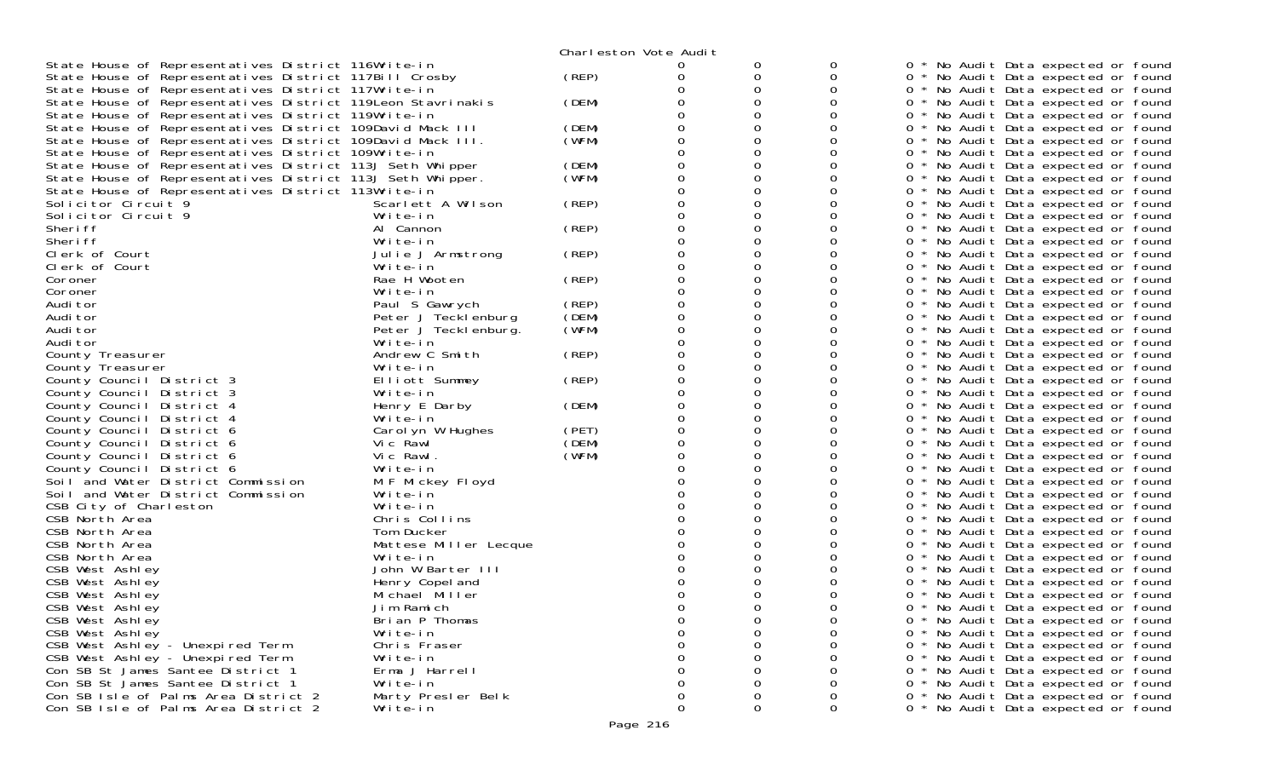|                                                              |                       |       | Charleston Vote Audit |   |        |       |                                     |
|--------------------------------------------------------------|-----------------------|-------|-----------------------|---|--------|-------|-------------------------------------|
| State House of Representatives District 116Write-in          |                       |       | $\Omega$              | O | 0      |       | No Audit Data expected or found     |
| State House of Representatives District 117Bill Crosby       |                       | (REP) | 0                     | 0 | 0      |       | 0 * No Audit Data expected or found |
| State House of Representatives District 117Write-in          |                       |       |                       | 0 | 0      |       | 0 * No Audit Data expected or found |
| State House of Representatives District 119 Leon Stavrinakis |                       | (DEM) |                       |   |        |       | 0 * No Audit Data expected or found |
| State House of Representatives District 119Write-in          |                       |       |                       |   |        |       | 0 * No Audit Data expected or found |
| State House of Representatives District 109David Mack III    |                       | (DEM) |                       | 0 | O      | 0     | No Audit Data expected or found     |
| State House of Representatives District 109David Mack III.   |                       | (WFM) |                       |   |        | 0     | No Audit Data expected or found     |
| State House of Representatives District 109Write-in          |                       |       |                       | Ω | 0      |       | 0 * No Audit Data expected or found |
|                                                              |                       | (DEM) |                       | 0 | 0      |       |                                     |
| State House of Representatives District 113J Seth Whipper    |                       |       |                       |   |        | 0     | No Audit Data expected or found     |
| State House of Representatives District 113J Seth Whipper.   |                       | (WFM) |                       |   |        | $0 *$ | No Audit Data expected or found     |
| State House of Representatives District 113Write-in          |                       |       |                       | 0 | O      |       | 0 * No Audit Data expected or found |
| Solicitor Circuit 9                                          | Scarlett A Wilson     | (REP) |                       | 0 | 0      |       | 0 * No Audit Data expected or found |
| Solicitor Circuit 9                                          | Write-in              |       |                       |   |        |       | 0 * No Audit Data expected or found |
| Sheri ff                                                     | Al Cannon             | (REP) |                       | Ω | O      |       | 0 * No Audit Data expected or found |
| Sheri ff                                                     | Write-in              |       |                       | 0 | O      |       | 0 * No Audit Data expected or found |
| Clerk of Court                                               | Julie J Armstrong     | (REP) |                       |   |        |       | 0 * No Audit Data expected or found |
| Clerk of Court                                               | Write-in              |       |                       | 0 | Ω      |       | 0 * No Audit Data expected or found |
| Coroner                                                      | Rae H Wooten          | (REP) |                       | 0 | 0      |       | 0 * No Audit Data expected or found |
| Coroner                                                      | Write-in              |       |                       |   |        |       | 0 * No Audit Data expected or found |
| Audi tor                                                     | Paul S Gawrych        | (REP) | $\Omega$              | 0 | Ω      |       | 0 * No Audit Data expected or found |
| Audi tor                                                     | Peter J Teckl enburg  | (DEM) | $\Omega$              | 0 | 0      |       | 0 * No Audit Data expected or found |
| Audi tor                                                     | Peter J Tecklenburg.  | (WFM) |                       | 0 |        |       | 0 * No Audit Data expected or found |
| Audi tor                                                     | Write-in              |       |                       | Ω | Ω      |       | 0 * No Audit Data expected or found |
| County Treasurer                                             | Andrew C Smith        | (REP) |                       | 0 | 0      |       | 0 * No Audit Data expected or found |
| County Treasurer                                             | Write-in              |       |                       |   | O      | $0 *$ | No Audit Data expected or found     |
| County Council District 3                                    | Elliott Summey        | (REP) | O                     | Ω | Ω      |       | 0 * No Audit Data expected or found |
| County Council District 3                                    | Write-in              |       |                       | 0 | 0      |       | 0 * No Audit Data expected or found |
|                                                              | Henry E Darby         | (DEM) |                       |   |        |       | 0 * No Audit Data expected or found |
| County Council District 4                                    | Write-in              |       |                       | Ω | Ω      | 0     | * No Audit Data expected or found   |
| County Council District 4                                    |                       |       |                       |   |        |       |                                     |
| County Council District 6                                    | Carol yn W Hughes     | (PET) | 0                     | 0 | 0<br>O |       | 0 * No Audit Data expected or found |
| County Council District 6                                    | Vic Rawl              | (DEM) | $\Omega$              |   |        | $0 *$ | No Audit Data expected or found     |
| County Council District 6                                    | Vic Rawl.             | (WFM) |                       | O | Ω      |       | 0 * No Audit Data expected or found |
| County Council District 6                                    | Write-in              |       |                       | 0 | 0      |       | 0 * No Audit Data expected or found |
| Soil and Water District Commission                           | M F Mickey Floyd      |       |                       |   |        |       | 0 * No Audit Data expected or found |
| Soil and Water District Commission                           | Write-in              |       |                       | O | Ω      |       | 0 * No Audit Data expected or found |
| CSB City of Charleston                                       | Write-in              |       |                       | 0 | 0      | $0 *$ | No Audit Data expected or found     |
| CSB North Area                                               | Chris Collins         |       |                       |   | O      | $0 *$ | No Audit Data expected or found     |
| CSB North Area                                               | Tom Ducker            |       |                       | O | O      |       | 0 * No Audit Data expected or found |
| CSB North Area                                               | Mattese Miller Lecque |       |                       | 0 | Ω      |       | 0 * No Audit Data expected or found |
| CSB North Area                                               | Write-in              |       |                       |   |        |       | 0 * No Audit Data expected or found |
| CSB West Ashley                                              | John W Barter III     |       |                       |   |        |       | 0 * No Audit Data expected or found |
| CSB West Ashley                                              | Henry Copel and       |       |                       |   |        | 0     | No Audit Data expected or found     |
| CSB West Ashley                                              | Michael Miller        |       |                       |   |        | $0 *$ | No Audit Data expected or found     |
| CSB West Ashlev                                              | Jim Ramich            |       |                       |   |        |       | 0 * No Audit Data expected or found |
| CSB West Ashley                                              | Brian P Thomas        |       | 0                     | Ω | 0      |       | 0 * No Audit Data expected or found |
| CSB West Ashley                                              | Write-in              |       | $\mathbf 0$           | Ω | 0      |       | 0 * No Audit Data expected or found |
| CSB West Ashley - Unexpired Term                             | Chris Fraser          |       | $\Omega$              | O | 0      |       | 0 * No Audit Data expected or found |
| CSB West Ashley - Unexpired Term                             | Write-in              |       |                       |   | 0      |       | 0 * No Audit Data expected or found |
| Con SB St James Santee District 1                            | Erma J Harrell        |       |                       |   | 0      |       | 0 * No Audit Data expected or found |
| Con SB St James Santee District 1                            | Write-in              |       | $\Omega$              | O | 0      |       | 0 * No Audit Data expected or found |
| Con SB Isle of Palms Area District 2                         | Marty Presler Belk    |       | $\mathbf 0$           | 0 | 0      |       | 0 * No Audit Data expected or found |
| Con SB Isle of Palms Area District 2                         | Write-in              |       | $\mathbf 0$           | 0 | 0      |       | 0 * No Audit Data expected or found |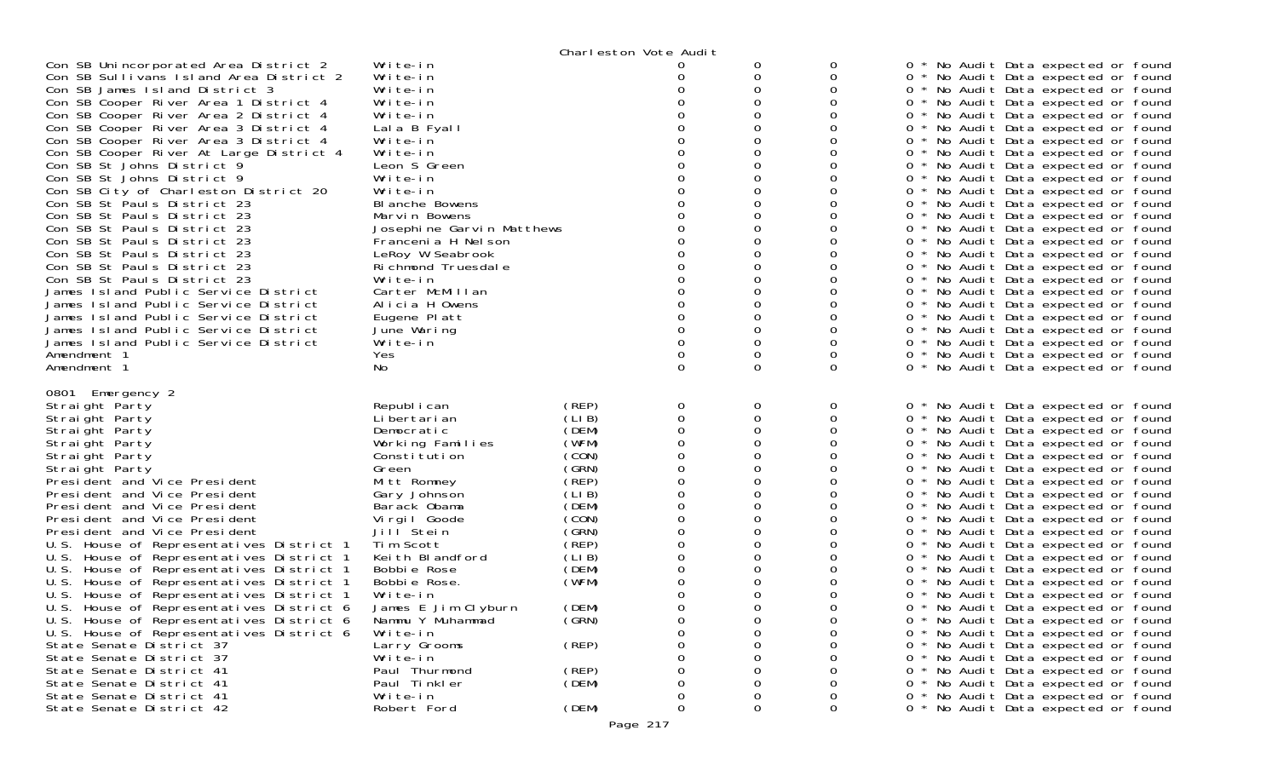|                                                                                                                                                                                                                                                                                                                                                                                                                                                                                                                                                                                                                                                                                                                                                                                                                                                                                                       |                                                                                                                                                                                                                                                                                                                                                                                                 | Charleston Vote Audit                                                                                                                                                                     |                                                          |                       |                                                     |                                                                                                                                                                                                                                                                                                                                                                                                                                                                                                                                                                                                                                                                                                                                                                                                                                                                                                                                                                                                               |
|-------------------------------------------------------------------------------------------------------------------------------------------------------------------------------------------------------------------------------------------------------------------------------------------------------------------------------------------------------------------------------------------------------------------------------------------------------------------------------------------------------------------------------------------------------------------------------------------------------------------------------------------------------------------------------------------------------------------------------------------------------------------------------------------------------------------------------------------------------------------------------------------------------|-------------------------------------------------------------------------------------------------------------------------------------------------------------------------------------------------------------------------------------------------------------------------------------------------------------------------------------------------------------------------------------------------|-------------------------------------------------------------------------------------------------------------------------------------------------------------------------------------------|----------------------------------------------------------|-----------------------|-----------------------------------------------------|---------------------------------------------------------------------------------------------------------------------------------------------------------------------------------------------------------------------------------------------------------------------------------------------------------------------------------------------------------------------------------------------------------------------------------------------------------------------------------------------------------------------------------------------------------------------------------------------------------------------------------------------------------------------------------------------------------------------------------------------------------------------------------------------------------------------------------------------------------------------------------------------------------------------------------------------------------------------------------------------------------------|
| Con SB Unincorporated Area District 2<br>Con SB Sullivans Island Area District 2<br>Con SB James Island District 3<br>Con SB Cooper River Area 1 District 4<br>Con SB Cooper River Area 2 District 4<br>Con SB Cooper River Area 3 District 4<br>Con SB Cooper River Area 3 District 4<br>Con SB Cooper River At Large District 4<br>Con SB St Johns District 9<br>Con SB St Johns District 9<br>Con SB City of Charleston District 20<br>Con SB St Pauls District 23<br>Con SB St Pauls District 23<br>Con SB St Pauls District 23<br>Con SB St Pauls District 23<br>Con SB St Pauls District 23<br>Con SB St Pauls District 23<br>Con SB St Pauls District 23<br>James Island Public Service District<br>James Island Public Service District<br>James Island Public Service District<br>James Island Public Service District<br>James Island Public Service District<br>Amendment 1<br>Amendment 1 | Write-in<br>Write-in<br>Write-in<br>Write-in<br>Write-in<br>Lala B Fyall<br>Write-in<br>Write-in<br>Leon S Green<br>Write-in<br>Write-in<br>BI anche Bowens<br>Marvin Bowens<br>Josephine Garvin Matthews<br>Francenia H Nelson<br>LeRoy W Seabrook<br>Richmond Truesdale<br>Write-in<br>Carter McMillan<br>Alicia H Owens<br>Eugene Platt<br>June Waring<br>Write-in<br>Yes<br>No.             |                                                                                                                                                                                           | O<br>0                                                   | O<br>0<br>0<br>0      | 0<br>0<br>0<br>$\Omega$                             | * No Audit Data expected or found<br>0 * No Audit Data expected or found<br>0 * No Audit Data expected or found<br>0 * No Audit Data expected or found<br>0 * No Audit Data expected or found<br>0 * No Audit Data expected or found<br>0 * No Audit Data expected or found<br>0 * No Audit Data expected or found<br>0 * No Audit Data expected or found<br>0 * No Audit Data expected or found<br>0 * No Audit Data expected or found<br>0 * No Audit Data expected or found<br>0 * No Audit Data expected or found<br>0 * No Audit Data expected or found<br>0 * No Audit Data expected or found<br>0 * No Audit Data expected or found<br>0 * No Audit Data expected or found<br>0 * No Audit Data expected or found<br>0 * No Audit Data expected or found<br>0 * No Audit Data expected or found<br>0 * No Audit Data expected or found<br>0 * No Audit Data expected or found<br>0 * No Audit Data expected or found<br>0 * No Audit Data expected or found<br>0 * No Audit Data expected or found     |
| 0801 Emergency 2<br>Straight Party<br>Straight Party<br>Straight Party<br>Straight Party<br>Straight Party<br>Straight Party<br>President and Vice President<br>President and Vice President<br>President and Vice President<br>President and Vice President<br>President and Vice President<br>U.S. House of Representatives District 1<br>U.S. House of Representatives District 1<br>U.S.<br>- House of Representatives District 1<br>U.S. House of Representatives District 1<br>U.S. House of Representatives District 1<br>U.S.<br>House of Representatives District 6<br>U.S. House of Representatives District 6<br>U.S. House of Representatives District 6<br>State Senate District 37<br>State Senate District 37<br>State Senate District 41<br>State Senate District 41<br>State Senate District 41<br>State Senate District 42                                                          | Republ i can<br>Li bertari an<br>Democratic<br>Working Families<br>Constitution<br>Green<br>Mitt Romney<br>Gary Johnson<br>Barack Obama<br>Virgil Goode<br>Jill Stein<br>Tim Scott<br>Keith Blandford<br>Bobbie Rose<br>Bobbie Rose.<br>Write-in<br>James E Jim Clyburn<br>Nammu Y Muhammad<br>Write-in<br>Larry Grooms<br>Write-in<br>Paul Thurmond<br>Paul Tinkler<br>Write-in<br>Robert Ford | (REP)<br>(LIB)<br>(DEM)<br>(WFM)<br>(CON)<br>(GRN)<br>(REP)<br>(LIB)<br>(DEM)<br>(CON)<br>(GRN)<br>(REP)<br>(LIB)<br>(DEM)<br>(WFM)<br>(DEM)<br>(GRN)<br>(REP)<br>(REP)<br>(DEM)<br>(DEM) | 0<br>0<br>0<br>O<br>0<br>0<br>O<br>0<br>Ω<br>Ω<br>0<br>0 | 0<br>0<br>Ω<br>0<br>0 | 0<br>0<br>0<br>0<br>0<br>0<br>0<br>0<br>$\mathbf 0$ | 0 * No Audit Data expected or found<br>0 * No Audit Data expected or found<br>0 * No Audit Data expected or found<br>0 * No Audit Data expected or found<br>0 * No Audit Data expected or found<br>0 * No Audit Data expected or found<br>0 * No Audit Data expected or found<br>0 * No Audit Data expected or found<br>0 * No Audit Data expected or found<br>0 * No Audit Data expected or found<br>0 * No Audit Data expected or found<br>0 * No Audit Data expected or found<br>0 * No Audit Data expected or found<br>0 * No Audit Data expected or found<br>* No Audit Data expected or found<br>0 * No Audit Data expected or found<br>* No Audit Data expected or found<br>0.<br>0 * No Audit Data expected or found<br>0 * No Audit Data expected or found<br>0 * No Audit Data expected or found<br>0 * No Audit Data expected or found<br>0 * No Audit Data expected or found<br>0 * No Audit Data expected or found<br>0 * No Audit Data expected or found<br>0 * No Audit Data expected or found |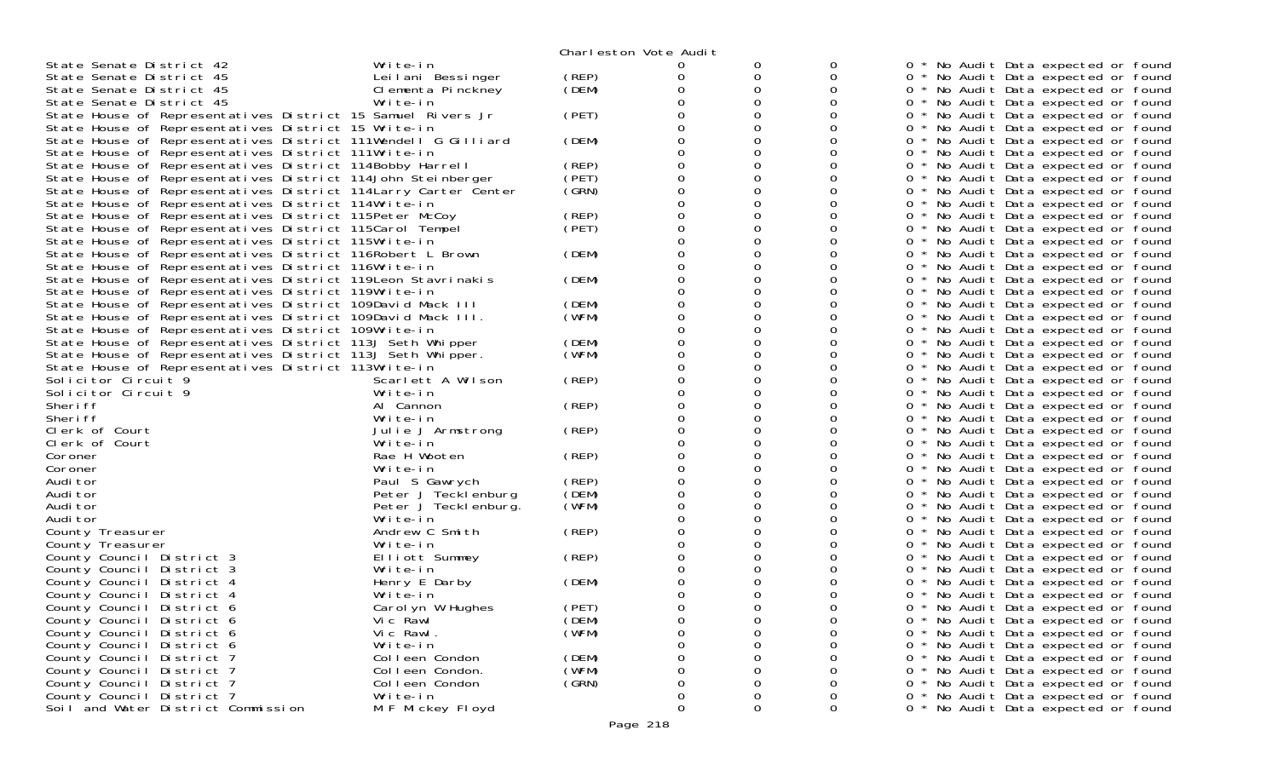|                                                                 |                      |       | Charleston Vote Audit |   |             |                                                 |
|-----------------------------------------------------------------|----------------------|-------|-----------------------|---|-------------|-------------------------------------------------|
| State Senate District 42                                        | Write-in             |       | $\mathbf{O}$          | 0 | 0           | No Audit Data expected or found                 |
| State Senate District 45                                        | Leilani Bessinger    | (REP) | Ω                     | 0 | 0           | 0 * No Audit Data expected or found             |
| State Senate District 45                                        | Clementa Pinckney    | (DEM) |                       | 0 | 0           | * No Audit Data expected or found<br>0          |
| State Senate District 45                                        | Write-in             |       |                       |   |             | 0<br>No Audit Data expected or found            |
| State House of Representatives District 15 Samuel Rivers Jr     |                      | (PET) |                       |   | Ω           | 0 * No Audit Data expected or found             |
| State House of Representatives District 15 Write-in             |                      |       |                       | 0 | Ω           | No Audit Data expected or found<br>0            |
| State House of Representatives District 111Wendell G Gilliard   |                      | (DEM) |                       |   |             | No Audit Data expected or found<br>0            |
| State House of Representatives District 111Write-in             |                      |       |                       | 0 | Ω           | 0 * No Audit Data expected or found             |
| State House of Representatives District 114Bobby Harrell        |                      | (REP) |                       | 0 | Ω           | No Audit Data expected or found<br>0            |
| State House of Representatives District 114John Steinberger     |                      | (PET) |                       |   |             | No Audit Data expected or found<br>0            |
| State House of Representatives District 114 Larry Carter Center |                      | (GRN) |                       | 0 | Ω           | 0 * No Audit Data expected or found             |
| State House of Representatives District 114Write-in             |                      |       |                       | 0 | Ω           | No Audit Data expected or found<br>0            |
| State House of Representatives District 115Peter McCoy          |                      | (REP) |                       |   | 0           | 0<br>No Audit Data expected or found            |
|                                                                 |                      | (PET) |                       | 0 | Ω           | $0 *$                                           |
| State House of Representatives District 115Carol Tempel         |                      |       |                       | 0 | Ω           | No Audit Data expected or found                 |
| State House of Representatives District 115Write-in             |                      | (DEM) |                       |   |             | No Audit Data expected or found<br>0 *          |
| State House of Representatives District 116Robert L Brown       |                      |       |                       |   |             | 0 * No Audit Data expected or found             |
| State House of Representatives District 116Write-in             |                      |       |                       | 0 | Ω           | 0 * No Audit Data expected or found             |
| State House of Representatives District 119Leon Stavrinakis     |                      | (DEM) |                       | 0 | 0           | 0 * No Audit Data expected or found             |
| State House of Representatives District 119Write-in             |                      |       |                       |   | 0           | No Audit Data expected or found<br>0            |
| State House of Representatives District 109David Mack III       |                      | (DEM) |                       | 0 | Ω           | 0 *<br>No Audit Data expected or found          |
| State House of Representatives District 109David Mack III.      |                      | (WFM) |                       | 0 | Ω           | 0 * No Audit Data expected or found             |
| State House of Representatives District 109Write-in             |                      |       |                       |   |             | 0<br>* No Audit Data expected or found          |
| State House of Representatives District 113J Seth Whipper       |                      | (DEM) |                       | 0 | Ω           | 0 * No Audit Data expected or found             |
| State House of Representatives District 113J Seth Whipper.      |                      | (WFM) |                       | 0 | 0           | 0 * No Audit Data expected or found             |
| State House of Representatives District 113Write-in             |                      |       |                       |   | Ω           | 0<br>No Audit Data expected or found            |
| Solicitor Circuit 9                                             | Scarlett A Wilson    | (REP) |                       | 0 | 0           | No Audit Data expected or found<br>0 *          |
| Solicitor Circuit 9                                             | Write-in             |       |                       | 0 | 0           | 0 * No Audit Data expected or found             |
| Sheri ff                                                        | Al Cannon            | (REP) |                       |   |             | 0 * No Audit Data expected or found             |
| Sheri ff                                                        | Write-in             |       |                       | 0 | Ω           | 0 *<br>No Audit Data expected or found          |
| Clerk of Court                                                  | Julie J Armstrong    | (REP) |                       | 0 | 0           | 0 * No Audit Data expected or found             |
| Clerk of Court                                                  | Write-in             |       |                       |   | 0           | 0<br>No Audit Data expected or found            |
| Coroner                                                         | Rae H Wooten         | (REP) |                       | 0 | Ω           | No Audit Data expected or found<br>0            |
| Coroner                                                         | Write-in             |       |                       | 0 | 0           | No Audit Data expected or found<br>$0 *$        |
| Audi tor                                                        | Paul S Gawrych       | (REP) |                       |   |             | 0 * No Audit Data expected or found             |
| Audi tor                                                        | Peter J Tecklenburg  | (DEM) |                       | 0 | Ω           | No Audit Data expected or found<br>0            |
| Audi tor                                                        | Peter J Tecklenburg. | (WFM) |                       | 0 | 0           | No Audit Data expected or found<br>0 *          |
| Audi tor                                                        | Write-in             |       |                       |   | Ω           | No Audit Data expected or found<br>0            |
| County Treasurer                                                | Andrew C Smith       | (REP) |                       | 0 | Ω           | 0 * No Audit Data expected or found             |
| County Treasurer                                                | Write-in             |       |                       | 0 | 0           | No Audit Data expected or found<br>$0^*$        |
| County Council District 3                                       | Elliott Summey       | (REP) |                       |   |             | 0 * No Audit Data expected or found             |
| County Council District 3                                       | Write-in             |       |                       | 0 |             | No Audit Data expected or found<br>0            |
| County Council District 4                                       | Henry E Darby        | (DEM) |                       |   |             | No Audit Data expected or found                 |
| County Council District 4                                       | Write-in             |       |                       |   |             | 0<br>No Audit Data expected or found            |
| County Council District 6                                       | Carol yn W Hughes    | (PET) |                       |   |             | No Audit Data expected or found<br>0<br>$\star$ |
| County Council District 6                                       | Vic Rawl             | (DEM) | 0                     | 0 | 0           | * No Audit Data expected or found<br>0          |
| County Council District 6                                       | Vic Rawl.            | (WFM) | 0                     | 0 | 0           | * No Audit Data expected or found<br>0.         |
| County Council District 6                                       | Write-in             |       | 0                     |   | 0           | No Audit Data expected or found<br>0            |
| County Council District 7                                       | Colleen Condon       | (DEM) | Ω                     |   | 0           | No Audit Data expected or found<br>0            |
| County Council District 7                                       | Colleen Condon.      | (WFM) | O                     |   | 0           | No Audit Data expected or found<br>0            |
| County Council District 7                                       | Colleen Condon       | (GRN) | 0                     | 0 | 0           | No Audit Data expected or found<br>0            |
| County Council District 7                                       | Write-in             |       | 0                     | 0 | 0           | No Audit Data expected or found                 |
| Soil and Water District Commission                              | M F Mickey Floyd     |       | 0                     | 0 | $\mathbf 0$ | 0 * No Audit Data expected or found             |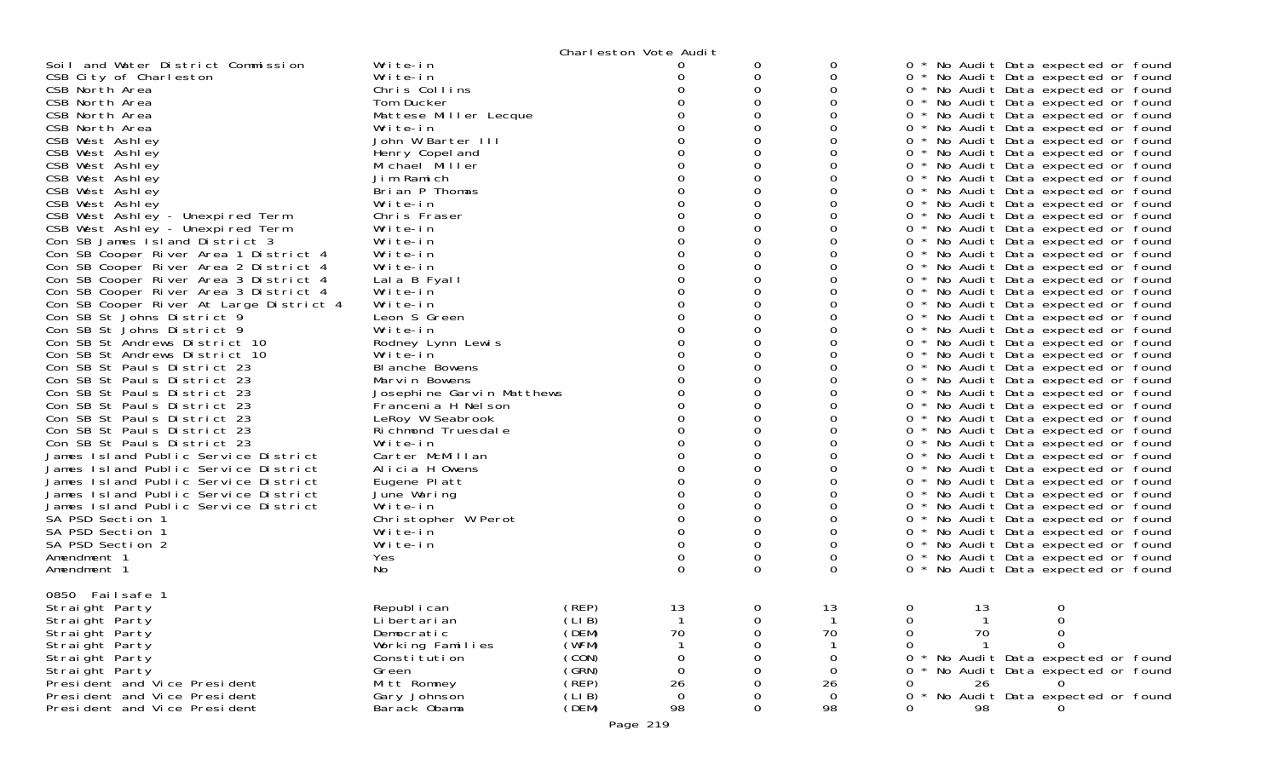| Write-in<br>0<br>Soil and Water District Commission<br>0<br>* No Audit Data expected or found<br>0<br>0<br>0<br>CSB City of Charleston<br>0<br>0 * No Audit Data expected or found<br>Write-in<br>0<br>$\Omega$<br>0<br>Chris Collins<br>0<br>0 * No Audit Data expected or found<br>CSB North Area<br>0<br>CSB North Area<br>0<br>0 * No Audit Data expected or found<br>Tom Ducker<br>CSB North Area<br>Mattese Miller Lecque<br>Ω<br>0 * No Audit Data expected or found<br>CSB North Area<br>0<br>0<br>0<br>Write-in<br>0 * No Audit Data expected or found<br>0<br>0<br>CSB West Ashley<br>John W Barter III<br>0 * No Audit Data expected or found<br>0<br>0<br>0<br>0 * No Audit Data expected or found<br>CSB West Ashley<br>Henry Copel and<br>CSB West Ashley<br>Michael Miller<br>0<br>0<br>0<br>0 * No Audit Data expected or found<br>0<br>0<br>CSB West Ashley<br>Jim Ramich<br>0 * No Audit Data expected or found<br>0<br>0<br>0 * No Audit Data expected or found<br>CSB West Ashley<br>Brian P Thomas<br>0<br>CSB West Ashley<br>0<br>0<br>0<br>0 * No Audit Data expected or found<br>Write-in<br>CSB West Ashley - Unexpired Term<br>0<br>0 * No Audit Data expected or found<br>Chris Fraser<br>CSB West Ashley - Unexpired Term<br>$\Omega$<br>0<br>0<br>0 * No Audit Data expected or found<br>Write-in<br>Con SB James Island District 3<br>0<br>0<br>0<br>0 * No Audit Data expected or found<br>Write-in<br>Con SB Cooper River Area 1 District 4<br>Write-in<br>0 * No Audit Data expected or found<br>0<br>0<br>0<br>0 * No Audit Data expected or found<br>Con SB Cooper River Area 2 District 4<br>Write-in<br>0<br>Con SB Cooper River Area 3 District 4<br>Lala B Fyall<br>0<br>0<br>0 * No Audit Data expected or found<br>0<br>Con SB Cooper River Area 3 District 4<br>Write-in<br>0 * No Audit Data expected or found<br>$\Omega$<br>Con SB Cooper River At Large District 4<br>Write-in<br>0<br>0<br>0 * No Audit Data expected or found<br>0<br>Con SB St Johns District 9<br>Leon S Green<br>0<br>0<br>0 * No Audit Data expected or found<br>Write-in<br>Ω<br>Con SB St Johns District 9<br>0 * No Audit Data expected or found<br>$\Omega$<br>0<br>Con SB St Andrews District 10<br>0<br>0 * No Audit Data expected or found<br>Rodney Lynn Lewis<br>0<br>0<br>0<br>0 * No Audit Data expected or found<br>Con SB St Andrews District 10<br>Write-in<br>0<br>Con SB St Pauls District 23<br>BI anche Bowens<br>0 * No Audit Data expected or found<br>$\Omega$<br>0<br>0<br>Con SB St Pauls District 23<br>0 * No Audit Data expected or found<br>Marvin Bowens<br>0<br>0<br>0<br>0 * No Audit Data expected or found<br>Con SB St Pauls District 23<br>Josephine Garvin Matthews<br>Con SB St Pauls District 23<br>O<br>0 * No Audit Data expected or found<br>Francenia H Nel son<br>$\Omega$<br>Con SB St Pauls District 23<br>LeRoy W Seabrook<br>0<br>0<br>0 * No Audit Data expected or found<br>0<br>Con SB St Pauls District 23<br>Richmond Truesdale<br>0<br>0<br>0 * No Audit Data expected or found<br>0<br>Con SB St Pauls District 23<br>Write-in<br>0 * No Audit Data expected or found<br>$\Omega$<br>James Island Public Service District<br>Carter McMillan<br>0<br>0<br>0 * No Audit Data expected or found<br>0<br>0<br>0 * No Audit Data expected or found<br>James Island Public Service District<br>Alicia H Owens<br>0<br>0<br>James Island Public Service District<br>Eugene Platt<br>0 * No Audit Data expected or found<br>James Island Public Service District<br>June Waring<br>0<br>0<br>0 * No Audit Data expected or found<br>0<br>0<br>0<br>0 * No Audit Data expected or found<br>James Island Public Service District<br>Write-in<br>SA PSD Section 1<br>0<br>Christopher W Perot<br>0 * No Audit Data expected or found<br>$\Omega$<br>0<br>SA PSD Section 1<br>Write-in<br>0<br>0 * No Audit Data expected or found<br>$\Omega$<br>0<br>SA PSD Section 2<br>Write-in<br>0<br>0 * No Audit Data expected or found<br>0<br>0<br>0<br>0 * No Audit Data expected or found<br>Amendment 1<br><b>Yes</b><br>$\Omega$<br>$\Omega$<br>0<br>No<br>0 * No Audit Data expected or found<br>Amendment 1<br>0850 Failsafe 1<br>(REP)<br>13<br>0<br>13<br>0<br>Republ i can<br>0<br>13<br>Straight Party<br>(LI B)<br>Straight Party<br>Li bertari an<br>0<br>0<br>(DEM)<br>70<br>70<br>70<br>Straight Party<br>Democratic<br>0<br>0<br>(WFM)<br>Working Families<br>Straight Party<br>0<br>0<br>(CON)<br>Straight Party<br>Constitution<br>0<br>0<br>0<br>No Audit Data expected or found<br>(GRN)<br>Green<br>$\Omega$<br>No Audit Data expected or found<br>Straight Party<br>$\Omega$<br>0<br>(REP)<br>26<br>26<br>President and Vice President<br>Mitt Romney<br>26<br>0<br>0<br>(LI B)<br>$\mathbf 0$<br>$\mathbf 0$<br>No Audit Data expected or found<br>President and Vice President<br>Gary Johnson<br>0<br>0<br>98<br>(DEM)<br>98<br>President and Vice President<br>Barack Obama<br>0<br>98<br>0 |  | Charleston Vote Audit |  |  |
|------------------------------------------------------------------------------------------------------------------------------------------------------------------------------------------------------------------------------------------------------------------------------------------------------------------------------------------------------------------------------------------------------------------------------------------------------------------------------------------------------------------------------------------------------------------------------------------------------------------------------------------------------------------------------------------------------------------------------------------------------------------------------------------------------------------------------------------------------------------------------------------------------------------------------------------------------------------------------------------------------------------------------------------------------------------------------------------------------------------------------------------------------------------------------------------------------------------------------------------------------------------------------------------------------------------------------------------------------------------------------------------------------------------------------------------------------------------------------------------------------------------------------------------------------------------------------------------------------------------------------------------------------------------------------------------------------------------------------------------------------------------------------------------------------------------------------------------------------------------------------------------------------------------------------------------------------------------------------------------------------------------------------------------------------------------------------------------------------------------------------------------------------------------------------------------------------------------------------------------------------------------------------------------------------------------------------------------------------------------------------------------------------------------------------------------------------------------------------------------------------------------------------------------------------------------------------------------------------------------------------------------------------------------------------------------------------------------------------------------------------------------------------------------------------------------------------------------------------------------------------------------------------------------------------------------------------------------------------------------------------------------------------------------------------------------------------------------------------------------------------------------------------------------------------------------------------------------------------------------------------------------------------------------------------------------------------------------------------------------------------------------------------------------------------------------------------------------------------------------------------------------------------------------------------------------------------------------------------------------------------------------------------------------------------------------------------------------------------------------------------------------------------------------------------------------------------------------------------------------------------------------------------------------------------------------------------------------------------------------------------------------------------------------------------------------------------------------------------------------------------------------------------------------------------------------------------------------------------------------------------------------------------------------------------------------------------------------------------------------------------------------------------------------------------------------------------------------------------------------------------------------------------------------------------------------------------------------------------------------------------------------------------------------------------------------------------------------------------------------------------------------------------------------------------------------------------------------------------------------------------------------------------------------------------------------------------------------------------|--|-----------------------|--|--|
|                                                                                                                                                                                                                                                                                                                                                                                                                                                                                                                                                                                                                                                                                                                                                                                                                                                                                                                                                                                                                                                                                                                                                                                                                                                                                                                                                                                                                                                                                                                                                                                                                                                                                                                                                                                                                                                                                                                                                                                                                                                                                                                                                                                                                                                                                                                                                                                                                                                                                                                                                                                                                                                                                                                                                                                                                                                                                                                                                                                                                                                                                                                                                                                                                                                                                                                                                                                                                                                                                                                                                                                                                                                                                                                                                                                                                                                                                                                                                                                                                                                                                                                                                                                                                                                                                                                                                                                                                                                                                                                                                                                                                                                                                                                                                                                                                                                                                                                                                                              |  |                       |  |  |
|                                                                                                                                                                                                                                                                                                                                                                                                                                                                                                                                                                                                                                                                                                                                                                                                                                                                                                                                                                                                                                                                                                                                                                                                                                                                                                                                                                                                                                                                                                                                                                                                                                                                                                                                                                                                                                                                                                                                                                                                                                                                                                                                                                                                                                                                                                                                                                                                                                                                                                                                                                                                                                                                                                                                                                                                                                                                                                                                                                                                                                                                                                                                                                                                                                                                                                                                                                                                                                                                                                                                                                                                                                                                                                                                                                                                                                                                                                                                                                                                                                                                                                                                                                                                                                                                                                                                                                                                                                                                                                                                                                                                                                                                                                                                                                                                                                                                                                                                                                              |  |                       |  |  |
|                                                                                                                                                                                                                                                                                                                                                                                                                                                                                                                                                                                                                                                                                                                                                                                                                                                                                                                                                                                                                                                                                                                                                                                                                                                                                                                                                                                                                                                                                                                                                                                                                                                                                                                                                                                                                                                                                                                                                                                                                                                                                                                                                                                                                                                                                                                                                                                                                                                                                                                                                                                                                                                                                                                                                                                                                                                                                                                                                                                                                                                                                                                                                                                                                                                                                                                                                                                                                                                                                                                                                                                                                                                                                                                                                                                                                                                                                                                                                                                                                                                                                                                                                                                                                                                                                                                                                                                                                                                                                                                                                                                                                                                                                                                                                                                                                                                                                                                                                                              |  |                       |  |  |
|                                                                                                                                                                                                                                                                                                                                                                                                                                                                                                                                                                                                                                                                                                                                                                                                                                                                                                                                                                                                                                                                                                                                                                                                                                                                                                                                                                                                                                                                                                                                                                                                                                                                                                                                                                                                                                                                                                                                                                                                                                                                                                                                                                                                                                                                                                                                                                                                                                                                                                                                                                                                                                                                                                                                                                                                                                                                                                                                                                                                                                                                                                                                                                                                                                                                                                                                                                                                                                                                                                                                                                                                                                                                                                                                                                                                                                                                                                                                                                                                                                                                                                                                                                                                                                                                                                                                                                                                                                                                                                                                                                                                                                                                                                                                                                                                                                                                                                                                                                              |  |                       |  |  |
|                                                                                                                                                                                                                                                                                                                                                                                                                                                                                                                                                                                                                                                                                                                                                                                                                                                                                                                                                                                                                                                                                                                                                                                                                                                                                                                                                                                                                                                                                                                                                                                                                                                                                                                                                                                                                                                                                                                                                                                                                                                                                                                                                                                                                                                                                                                                                                                                                                                                                                                                                                                                                                                                                                                                                                                                                                                                                                                                                                                                                                                                                                                                                                                                                                                                                                                                                                                                                                                                                                                                                                                                                                                                                                                                                                                                                                                                                                                                                                                                                                                                                                                                                                                                                                                                                                                                                                                                                                                                                                                                                                                                                                                                                                                                                                                                                                                                                                                                                                              |  |                       |  |  |
|                                                                                                                                                                                                                                                                                                                                                                                                                                                                                                                                                                                                                                                                                                                                                                                                                                                                                                                                                                                                                                                                                                                                                                                                                                                                                                                                                                                                                                                                                                                                                                                                                                                                                                                                                                                                                                                                                                                                                                                                                                                                                                                                                                                                                                                                                                                                                                                                                                                                                                                                                                                                                                                                                                                                                                                                                                                                                                                                                                                                                                                                                                                                                                                                                                                                                                                                                                                                                                                                                                                                                                                                                                                                                                                                                                                                                                                                                                                                                                                                                                                                                                                                                                                                                                                                                                                                                                                                                                                                                                                                                                                                                                                                                                                                                                                                                                                                                                                                                                              |  |                       |  |  |
|                                                                                                                                                                                                                                                                                                                                                                                                                                                                                                                                                                                                                                                                                                                                                                                                                                                                                                                                                                                                                                                                                                                                                                                                                                                                                                                                                                                                                                                                                                                                                                                                                                                                                                                                                                                                                                                                                                                                                                                                                                                                                                                                                                                                                                                                                                                                                                                                                                                                                                                                                                                                                                                                                                                                                                                                                                                                                                                                                                                                                                                                                                                                                                                                                                                                                                                                                                                                                                                                                                                                                                                                                                                                                                                                                                                                                                                                                                                                                                                                                                                                                                                                                                                                                                                                                                                                                                                                                                                                                                                                                                                                                                                                                                                                                                                                                                                                                                                                                                              |  |                       |  |  |
|                                                                                                                                                                                                                                                                                                                                                                                                                                                                                                                                                                                                                                                                                                                                                                                                                                                                                                                                                                                                                                                                                                                                                                                                                                                                                                                                                                                                                                                                                                                                                                                                                                                                                                                                                                                                                                                                                                                                                                                                                                                                                                                                                                                                                                                                                                                                                                                                                                                                                                                                                                                                                                                                                                                                                                                                                                                                                                                                                                                                                                                                                                                                                                                                                                                                                                                                                                                                                                                                                                                                                                                                                                                                                                                                                                                                                                                                                                                                                                                                                                                                                                                                                                                                                                                                                                                                                                                                                                                                                                                                                                                                                                                                                                                                                                                                                                                                                                                                                                              |  |                       |  |  |
|                                                                                                                                                                                                                                                                                                                                                                                                                                                                                                                                                                                                                                                                                                                                                                                                                                                                                                                                                                                                                                                                                                                                                                                                                                                                                                                                                                                                                                                                                                                                                                                                                                                                                                                                                                                                                                                                                                                                                                                                                                                                                                                                                                                                                                                                                                                                                                                                                                                                                                                                                                                                                                                                                                                                                                                                                                                                                                                                                                                                                                                                                                                                                                                                                                                                                                                                                                                                                                                                                                                                                                                                                                                                                                                                                                                                                                                                                                                                                                                                                                                                                                                                                                                                                                                                                                                                                                                                                                                                                                                                                                                                                                                                                                                                                                                                                                                                                                                                                                              |  |                       |  |  |
|                                                                                                                                                                                                                                                                                                                                                                                                                                                                                                                                                                                                                                                                                                                                                                                                                                                                                                                                                                                                                                                                                                                                                                                                                                                                                                                                                                                                                                                                                                                                                                                                                                                                                                                                                                                                                                                                                                                                                                                                                                                                                                                                                                                                                                                                                                                                                                                                                                                                                                                                                                                                                                                                                                                                                                                                                                                                                                                                                                                                                                                                                                                                                                                                                                                                                                                                                                                                                                                                                                                                                                                                                                                                                                                                                                                                                                                                                                                                                                                                                                                                                                                                                                                                                                                                                                                                                                                                                                                                                                                                                                                                                                                                                                                                                                                                                                                                                                                                                                              |  |                       |  |  |
|                                                                                                                                                                                                                                                                                                                                                                                                                                                                                                                                                                                                                                                                                                                                                                                                                                                                                                                                                                                                                                                                                                                                                                                                                                                                                                                                                                                                                                                                                                                                                                                                                                                                                                                                                                                                                                                                                                                                                                                                                                                                                                                                                                                                                                                                                                                                                                                                                                                                                                                                                                                                                                                                                                                                                                                                                                                                                                                                                                                                                                                                                                                                                                                                                                                                                                                                                                                                                                                                                                                                                                                                                                                                                                                                                                                                                                                                                                                                                                                                                                                                                                                                                                                                                                                                                                                                                                                                                                                                                                                                                                                                                                                                                                                                                                                                                                                                                                                                                                              |  |                       |  |  |
|                                                                                                                                                                                                                                                                                                                                                                                                                                                                                                                                                                                                                                                                                                                                                                                                                                                                                                                                                                                                                                                                                                                                                                                                                                                                                                                                                                                                                                                                                                                                                                                                                                                                                                                                                                                                                                                                                                                                                                                                                                                                                                                                                                                                                                                                                                                                                                                                                                                                                                                                                                                                                                                                                                                                                                                                                                                                                                                                                                                                                                                                                                                                                                                                                                                                                                                                                                                                                                                                                                                                                                                                                                                                                                                                                                                                                                                                                                                                                                                                                                                                                                                                                                                                                                                                                                                                                                                                                                                                                                                                                                                                                                                                                                                                                                                                                                                                                                                                                                              |  |                       |  |  |
|                                                                                                                                                                                                                                                                                                                                                                                                                                                                                                                                                                                                                                                                                                                                                                                                                                                                                                                                                                                                                                                                                                                                                                                                                                                                                                                                                                                                                                                                                                                                                                                                                                                                                                                                                                                                                                                                                                                                                                                                                                                                                                                                                                                                                                                                                                                                                                                                                                                                                                                                                                                                                                                                                                                                                                                                                                                                                                                                                                                                                                                                                                                                                                                                                                                                                                                                                                                                                                                                                                                                                                                                                                                                                                                                                                                                                                                                                                                                                                                                                                                                                                                                                                                                                                                                                                                                                                                                                                                                                                                                                                                                                                                                                                                                                                                                                                                                                                                                                                              |  |                       |  |  |
|                                                                                                                                                                                                                                                                                                                                                                                                                                                                                                                                                                                                                                                                                                                                                                                                                                                                                                                                                                                                                                                                                                                                                                                                                                                                                                                                                                                                                                                                                                                                                                                                                                                                                                                                                                                                                                                                                                                                                                                                                                                                                                                                                                                                                                                                                                                                                                                                                                                                                                                                                                                                                                                                                                                                                                                                                                                                                                                                                                                                                                                                                                                                                                                                                                                                                                                                                                                                                                                                                                                                                                                                                                                                                                                                                                                                                                                                                                                                                                                                                                                                                                                                                                                                                                                                                                                                                                                                                                                                                                                                                                                                                                                                                                                                                                                                                                                                                                                                                                              |  |                       |  |  |
|                                                                                                                                                                                                                                                                                                                                                                                                                                                                                                                                                                                                                                                                                                                                                                                                                                                                                                                                                                                                                                                                                                                                                                                                                                                                                                                                                                                                                                                                                                                                                                                                                                                                                                                                                                                                                                                                                                                                                                                                                                                                                                                                                                                                                                                                                                                                                                                                                                                                                                                                                                                                                                                                                                                                                                                                                                                                                                                                                                                                                                                                                                                                                                                                                                                                                                                                                                                                                                                                                                                                                                                                                                                                                                                                                                                                                                                                                                                                                                                                                                                                                                                                                                                                                                                                                                                                                                                                                                                                                                                                                                                                                                                                                                                                                                                                                                                                                                                                                                              |  |                       |  |  |
|                                                                                                                                                                                                                                                                                                                                                                                                                                                                                                                                                                                                                                                                                                                                                                                                                                                                                                                                                                                                                                                                                                                                                                                                                                                                                                                                                                                                                                                                                                                                                                                                                                                                                                                                                                                                                                                                                                                                                                                                                                                                                                                                                                                                                                                                                                                                                                                                                                                                                                                                                                                                                                                                                                                                                                                                                                                                                                                                                                                                                                                                                                                                                                                                                                                                                                                                                                                                                                                                                                                                                                                                                                                                                                                                                                                                                                                                                                                                                                                                                                                                                                                                                                                                                                                                                                                                                                                                                                                                                                                                                                                                                                                                                                                                                                                                                                                                                                                                                                              |  |                       |  |  |
|                                                                                                                                                                                                                                                                                                                                                                                                                                                                                                                                                                                                                                                                                                                                                                                                                                                                                                                                                                                                                                                                                                                                                                                                                                                                                                                                                                                                                                                                                                                                                                                                                                                                                                                                                                                                                                                                                                                                                                                                                                                                                                                                                                                                                                                                                                                                                                                                                                                                                                                                                                                                                                                                                                                                                                                                                                                                                                                                                                                                                                                                                                                                                                                                                                                                                                                                                                                                                                                                                                                                                                                                                                                                                                                                                                                                                                                                                                                                                                                                                                                                                                                                                                                                                                                                                                                                                                                                                                                                                                                                                                                                                                                                                                                                                                                                                                                                                                                                                                              |  |                       |  |  |
|                                                                                                                                                                                                                                                                                                                                                                                                                                                                                                                                                                                                                                                                                                                                                                                                                                                                                                                                                                                                                                                                                                                                                                                                                                                                                                                                                                                                                                                                                                                                                                                                                                                                                                                                                                                                                                                                                                                                                                                                                                                                                                                                                                                                                                                                                                                                                                                                                                                                                                                                                                                                                                                                                                                                                                                                                                                                                                                                                                                                                                                                                                                                                                                                                                                                                                                                                                                                                                                                                                                                                                                                                                                                                                                                                                                                                                                                                                                                                                                                                                                                                                                                                                                                                                                                                                                                                                                                                                                                                                                                                                                                                                                                                                                                                                                                                                                                                                                                                                              |  |                       |  |  |
|                                                                                                                                                                                                                                                                                                                                                                                                                                                                                                                                                                                                                                                                                                                                                                                                                                                                                                                                                                                                                                                                                                                                                                                                                                                                                                                                                                                                                                                                                                                                                                                                                                                                                                                                                                                                                                                                                                                                                                                                                                                                                                                                                                                                                                                                                                                                                                                                                                                                                                                                                                                                                                                                                                                                                                                                                                                                                                                                                                                                                                                                                                                                                                                                                                                                                                                                                                                                                                                                                                                                                                                                                                                                                                                                                                                                                                                                                                                                                                                                                                                                                                                                                                                                                                                                                                                                                                                                                                                                                                                                                                                                                                                                                                                                                                                                                                                                                                                                                                              |  |                       |  |  |
|                                                                                                                                                                                                                                                                                                                                                                                                                                                                                                                                                                                                                                                                                                                                                                                                                                                                                                                                                                                                                                                                                                                                                                                                                                                                                                                                                                                                                                                                                                                                                                                                                                                                                                                                                                                                                                                                                                                                                                                                                                                                                                                                                                                                                                                                                                                                                                                                                                                                                                                                                                                                                                                                                                                                                                                                                                                                                                                                                                                                                                                                                                                                                                                                                                                                                                                                                                                                                                                                                                                                                                                                                                                                                                                                                                                                                                                                                                                                                                                                                                                                                                                                                                                                                                                                                                                                                                                                                                                                                                                                                                                                                                                                                                                                                                                                                                                                                                                                                                              |  |                       |  |  |
|                                                                                                                                                                                                                                                                                                                                                                                                                                                                                                                                                                                                                                                                                                                                                                                                                                                                                                                                                                                                                                                                                                                                                                                                                                                                                                                                                                                                                                                                                                                                                                                                                                                                                                                                                                                                                                                                                                                                                                                                                                                                                                                                                                                                                                                                                                                                                                                                                                                                                                                                                                                                                                                                                                                                                                                                                                                                                                                                                                                                                                                                                                                                                                                                                                                                                                                                                                                                                                                                                                                                                                                                                                                                                                                                                                                                                                                                                                                                                                                                                                                                                                                                                                                                                                                                                                                                                                                                                                                                                                                                                                                                                                                                                                                                                                                                                                                                                                                                                                              |  |                       |  |  |
|                                                                                                                                                                                                                                                                                                                                                                                                                                                                                                                                                                                                                                                                                                                                                                                                                                                                                                                                                                                                                                                                                                                                                                                                                                                                                                                                                                                                                                                                                                                                                                                                                                                                                                                                                                                                                                                                                                                                                                                                                                                                                                                                                                                                                                                                                                                                                                                                                                                                                                                                                                                                                                                                                                                                                                                                                                                                                                                                                                                                                                                                                                                                                                                                                                                                                                                                                                                                                                                                                                                                                                                                                                                                                                                                                                                                                                                                                                                                                                                                                                                                                                                                                                                                                                                                                                                                                                                                                                                                                                                                                                                                                                                                                                                                                                                                                                                                                                                                                                              |  |                       |  |  |
|                                                                                                                                                                                                                                                                                                                                                                                                                                                                                                                                                                                                                                                                                                                                                                                                                                                                                                                                                                                                                                                                                                                                                                                                                                                                                                                                                                                                                                                                                                                                                                                                                                                                                                                                                                                                                                                                                                                                                                                                                                                                                                                                                                                                                                                                                                                                                                                                                                                                                                                                                                                                                                                                                                                                                                                                                                                                                                                                                                                                                                                                                                                                                                                                                                                                                                                                                                                                                                                                                                                                                                                                                                                                                                                                                                                                                                                                                                                                                                                                                                                                                                                                                                                                                                                                                                                                                                                                                                                                                                                                                                                                                                                                                                                                                                                                                                                                                                                                                                              |  |                       |  |  |
|                                                                                                                                                                                                                                                                                                                                                                                                                                                                                                                                                                                                                                                                                                                                                                                                                                                                                                                                                                                                                                                                                                                                                                                                                                                                                                                                                                                                                                                                                                                                                                                                                                                                                                                                                                                                                                                                                                                                                                                                                                                                                                                                                                                                                                                                                                                                                                                                                                                                                                                                                                                                                                                                                                                                                                                                                                                                                                                                                                                                                                                                                                                                                                                                                                                                                                                                                                                                                                                                                                                                                                                                                                                                                                                                                                                                                                                                                                                                                                                                                                                                                                                                                                                                                                                                                                                                                                                                                                                                                                                                                                                                                                                                                                                                                                                                                                                                                                                                                                              |  |                       |  |  |
|                                                                                                                                                                                                                                                                                                                                                                                                                                                                                                                                                                                                                                                                                                                                                                                                                                                                                                                                                                                                                                                                                                                                                                                                                                                                                                                                                                                                                                                                                                                                                                                                                                                                                                                                                                                                                                                                                                                                                                                                                                                                                                                                                                                                                                                                                                                                                                                                                                                                                                                                                                                                                                                                                                                                                                                                                                                                                                                                                                                                                                                                                                                                                                                                                                                                                                                                                                                                                                                                                                                                                                                                                                                                                                                                                                                                                                                                                                                                                                                                                                                                                                                                                                                                                                                                                                                                                                                                                                                                                                                                                                                                                                                                                                                                                                                                                                                                                                                                                                              |  |                       |  |  |
|                                                                                                                                                                                                                                                                                                                                                                                                                                                                                                                                                                                                                                                                                                                                                                                                                                                                                                                                                                                                                                                                                                                                                                                                                                                                                                                                                                                                                                                                                                                                                                                                                                                                                                                                                                                                                                                                                                                                                                                                                                                                                                                                                                                                                                                                                                                                                                                                                                                                                                                                                                                                                                                                                                                                                                                                                                                                                                                                                                                                                                                                                                                                                                                                                                                                                                                                                                                                                                                                                                                                                                                                                                                                                                                                                                                                                                                                                                                                                                                                                                                                                                                                                                                                                                                                                                                                                                                                                                                                                                                                                                                                                                                                                                                                                                                                                                                                                                                                                                              |  |                       |  |  |
|                                                                                                                                                                                                                                                                                                                                                                                                                                                                                                                                                                                                                                                                                                                                                                                                                                                                                                                                                                                                                                                                                                                                                                                                                                                                                                                                                                                                                                                                                                                                                                                                                                                                                                                                                                                                                                                                                                                                                                                                                                                                                                                                                                                                                                                                                                                                                                                                                                                                                                                                                                                                                                                                                                                                                                                                                                                                                                                                                                                                                                                                                                                                                                                                                                                                                                                                                                                                                                                                                                                                                                                                                                                                                                                                                                                                                                                                                                                                                                                                                                                                                                                                                                                                                                                                                                                                                                                                                                                                                                                                                                                                                                                                                                                                                                                                                                                                                                                                                                              |  |                       |  |  |
|                                                                                                                                                                                                                                                                                                                                                                                                                                                                                                                                                                                                                                                                                                                                                                                                                                                                                                                                                                                                                                                                                                                                                                                                                                                                                                                                                                                                                                                                                                                                                                                                                                                                                                                                                                                                                                                                                                                                                                                                                                                                                                                                                                                                                                                                                                                                                                                                                                                                                                                                                                                                                                                                                                                                                                                                                                                                                                                                                                                                                                                                                                                                                                                                                                                                                                                                                                                                                                                                                                                                                                                                                                                                                                                                                                                                                                                                                                                                                                                                                                                                                                                                                                                                                                                                                                                                                                                                                                                                                                                                                                                                                                                                                                                                                                                                                                                                                                                                                                              |  |                       |  |  |
|                                                                                                                                                                                                                                                                                                                                                                                                                                                                                                                                                                                                                                                                                                                                                                                                                                                                                                                                                                                                                                                                                                                                                                                                                                                                                                                                                                                                                                                                                                                                                                                                                                                                                                                                                                                                                                                                                                                                                                                                                                                                                                                                                                                                                                                                                                                                                                                                                                                                                                                                                                                                                                                                                                                                                                                                                                                                                                                                                                                                                                                                                                                                                                                                                                                                                                                                                                                                                                                                                                                                                                                                                                                                                                                                                                                                                                                                                                                                                                                                                                                                                                                                                                                                                                                                                                                                                                                                                                                                                                                                                                                                                                                                                                                                                                                                                                                                                                                                                                              |  |                       |  |  |
|                                                                                                                                                                                                                                                                                                                                                                                                                                                                                                                                                                                                                                                                                                                                                                                                                                                                                                                                                                                                                                                                                                                                                                                                                                                                                                                                                                                                                                                                                                                                                                                                                                                                                                                                                                                                                                                                                                                                                                                                                                                                                                                                                                                                                                                                                                                                                                                                                                                                                                                                                                                                                                                                                                                                                                                                                                                                                                                                                                                                                                                                                                                                                                                                                                                                                                                                                                                                                                                                                                                                                                                                                                                                                                                                                                                                                                                                                                                                                                                                                                                                                                                                                                                                                                                                                                                                                                                                                                                                                                                                                                                                                                                                                                                                                                                                                                                                                                                                                                              |  |                       |  |  |
|                                                                                                                                                                                                                                                                                                                                                                                                                                                                                                                                                                                                                                                                                                                                                                                                                                                                                                                                                                                                                                                                                                                                                                                                                                                                                                                                                                                                                                                                                                                                                                                                                                                                                                                                                                                                                                                                                                                                                                                                                                                                                                                                                                                                                                                                                                                                                                                                                                                                                                                                                                                                                                                                                                                                                                                                                                                                                                                                                                                                                                                                                                                                                                                                                                                                                                                                                                                                                                                                                                                                                                                                                                                                                                                                                                                                                                                                                                                                                                                                                                                                                                                                                                                                                                                                                                                                                                                                                                                                                                                                                                                                                                                                                                                                                                                                                                                                                                                                                                              |  |                       |  |  |
|                                                                                                                                                                                                                                                                                                                                                                                                                                                                                                                                                                                                                                                                                                                                                                                                                                                                                                                                                                                                                                                                                                                                                                                                                                                                                                                                                                                                                                                                                                                                                                                                                                                                                                                                                                                                                                                                                                                                                                                                                                                                                                                                                                                                                                                                                                                                                                                                                                                                                                                                                                                                                                                                                                                                                                                                                                                                                                                                                                                                                                                                                                                                                                                                                                                                                                                                                                                                                                                                                                                                                                                                                                                                                                                                                                                                                                                                                                                                                                                                                                                                                                                                                                                                                                                                                                                                                                                                                                                                                                                                                                                                                                                                                                                                                                                                                                                                                                                                                                              |  |                       |  |  |
|                                                                                                                                                                                                                                                                                                                                                                                                                                                                                                                                                                                                                                                                                                                                                                                                                                                                                                                                                                                                                                                                                                                                                                                                                                                                                                                                                                                                                                                                                                                                                                                                                                                                                                                                                                                                                                                                                                                                                                                                                                                                                                                                                                                                                                                                                                                                                                                                                                                                                                                                                                                                                                                                                                                                                                                                                                                                                                                                                                                                                                                                                                                                                                                                                                                                                                                                                                                                                                                                                                                                                                                                                                                                                                                                                                                                                                                                                                                                                                                                                                                                                                                                                                                                                                                                                                                                                                                                                                                                                                                                                                                                                                                                                                                                                                                                                                                                                                                                                                              |  |                       |  |  |
|                                                                                                                                                                                                                                                                                                                                                                                                                                                                                                                                                                                                                                                                                                                                                                                                                                                                                                                                                                                                                                                                                                                                                                                                                                                                                                                                                                                                                                                                                                                                                                                                                                                                                                                                                                                                                                                                                                                                                                                                                                                                                                                                                                                                                                                                                                                                                                                                                                                                                                                                                                                                                                                                                                                                                                                                                                                                                                                                                                                                                                                                                                                                                                                                                                                                                                                                                                                                                                                                                                                                                                                                                                                                                                                                                                                                                                                                                                                                                                                                                                                                                                                                                                                                                                                                                                                                                                                                                                                                                                                                                                                                                                                                                                                                                                                                                                                                                                                                                                              |  |                       |  |  |
|                                                                                                                                                                                                                                                                                                                                                                                                                                                                                                                                                                                                                                                                                                                                                                                                                                                                                                                                                                                                                                                                                                                                                                                                                                                                                                                                                                                                                                                                                                                                                                                                                                                                                                                                                                                                                                                                                                                                                                                                                                                                                                                                                                                                                                                                                                                                                                                                                                                                                                                                                                                                                                                                                                                                                                                                                                                                                                                                                                                                                                                                                                                                                                                                                                                                                                                                                                                                                                                                                                                                                                                                                                                                                                                                                                                                                                                                                                                                                                                                                                                                                                                                                                                                                                                                                                                                                                                                                                                                                                                                                                                                                                                                                                                                                                                                                                                                                                                                                                              |  |                       |  |  |
|                                                                                                                                                                                                                                                                                                                                                                                                                                                                                                                                                                                                                                                                                                                                                                                                                                                                                                                                                                                                                                                                                                                                                                                                                                                                                                                                                                                                                                                                                                                                                                                                                                                                                                                                                                                                                                                                                                                                                                                                                                                                                                                                                                                                                                                                                                                                                                                                                                                                                                                                                                                                                                                                                                                                                                                                                                                                                                                                                                                                                                                                                                                                                                                                                                                                                                                                                                                                                                                                                                                                                                                                                                                                                                                                                                                                                                                                                                                                                                                                                                                                                                                                                                                                                                                                                                                                                                                                                                                                                                                                                                                                                                                                                                                                                                                                                                                                                                                                                                              |  |                       |  |  |
|                                                                                                                                                                                                                                                                                                                                                                                                                                                                                                                                                                                                                                                                                                                                                                                                                                                                                                                                                                                                                                                                                                                                                                                                                                                                                                                                                                                                                                                                                                                                                                                                                                                                                                                                                                                                                                                                                                                                                                                                                                                                                                                                                                                                                                                                                                                                                                                                                                                                                                                                                                                                                                                                                                                                                                                                                                                                                                                                                                                                                                                                                                                                                                                                                                                                                                                                                                                                                                                                                                                                                                                                                                                                                                                                                                                                                                                                                                                                                                                                                                                                                                                                                                                                                                                                                                                                                                                                                                                                                                                                                                                                                                                                                                                                                                                                                                                                                                                                                                              |  |                       |  |  |
|                                                                                                                                                                                                                                                                                                                                                                                                                                                                                                                                                                                                                                                                                                                                                                                                                                                                                                                                                                                                                                                                                                                                                                                                                                                                                                                                                                                                                                                                                                                                                                                                                                                                                                                                                                                                                                                                                                                                                                                                                                                                                                                                                                                                                                                                                                                                                                                                                                                                                                                                                                                                                                                                                                                                                                                                                                                                                                                                                                                                                                                                                                                                                                                                                                                                                                                                                                                                                                                                                                                                                                                                                                                                                                                                                                                                                                                                                                                                                                                                                                                                                                                                                                                                                                                                                                                                                                                                                                                                                                                                                                                                                                                                                                                                                                                                                                                                                                                                                                              |  |                       |  |  |
|                                                                                                                                                                                                                                                                                                                                                                                                                                                                                                                                                                                                                                                                                                                                                                                                                                                                                                                                                                                                                                                                                                                                                                                                                                                                                                                                                                                                                                                                                                                                                                                                                                                                                                                                                                                                                                                                                                                                                                                                                                                                                                                                                                                                                                                                                                                                                                                                                                                                                                                                                                                                                                                                                                                                                                                                                                                                                                                                                                                                                                                                                                                                                                                                                                                                                                                                                                                                                                                                                                                                                                                                                                                                                                                                                                                                                                                                                                                                                                                                                                                                                                                                                                                                                                                                                                                                                                                                                                                                                                                                                                                                                                                                                                                                                                                                                                                                                                                                                                              |  |                       |  |  |
|                                                                                                                                                                                                                                                                                                                                                                                                                                                                                                                                                                                                                                                                                                                                                                                                                                                                                                                                                                                                                                                                                                                                                                                                                                                                                                                                                                                                                                                                                                                                                                                                                                                                                                                                                                                                                                                                                                                                                                                                                                                                                                                                                                                                                                                                                                                                                                                                                                                                                                                                                                                                                                                                                                                                                                                                                                                                                                                                                                                                                                                                                                                                                                                                                                                                                                                                                                                                                                                                                                                                                                                                                                                                                                                                                                                                                                                                                                                                                                                                                                                                                                                                                                                                                                                                                                                                                                                                                                                                                                                                                                                                                                                                                                                                                                                                                                                                                                                                                                              |  |                       |  |  |
|                                                                                                                                                                                                                                                                                                                                                                                                                                                                                                                                                                                                                                                                                                                                                                                                                                                                                                                                                                                                                                                                                                                                                                                                                                                                                                                                                                                                                                                                                                                                                                                                                                                                                                                                                                                                                                                                                                                                                                                                                                                                                                                                                                                                                                                                                                                                                                                                                                                                                                                                                                                                                                                                                                                                                                                                                                                                                                                                                                                                                                                                                                                                                                                                                                                                                                                                                                                                                                                                                                                                                                                                                                                                                                                                                                                                                                                                                                                                                                                                                                                                                                                                                                                                                                                                                                                                                                                                                                                                                                                                                                                                                                                                                                                                                                                                                                                                                                                                                                              |  |                       |  |  |
|                                                                                                                                                                                                                                                                                                                                                                                                                                                                                                                                                                                                                                                                                                                                                                                                                                                                                                                                                                                                                                                                                                                                                                                                                                                                                                                                                                                                                                                                                                                                                                                                                                                                                                                                                                                                                                                                                                                                                                                                                                                                                                                                                                                                                                                                                                                                                                                                                                                                                                                                                                                                                                                                                                                                                                                                                                                                                                                                                                                                                                                                                                                                                                                                                                                                                                                                                                                                                                                                                                                                                                                                                                                                                                                                                                                                                                                                                                                                                                                                                                                                                                                                                                                                                                                                                                                                                                                                                                                                                                                                                                                                                                                                                                                                                                                                                                                                                                                                                                              |  |                       |  |  |
|                                                                                                                                                                                                                                                                                                                                                                                                                                                                                                                                                                                                                                                                                                                                                                                                                                                                                                                                                                                                                                                                                                                                                                                                                                                                                                                                                                                                                                                                                                                                                                                                                                                                                                                                                                                                                                                                                                                                                                                                                                                                                                                                                                                                                                                                                                                                                                                                                                                                                                                                                                                                                                                                                                                                                                                                                                                                                                                                                                                                                                                                                                                                                                                                                                                                                                                                                                                                                                                                                                                                                                                                                                                                                                                                                                                                                                                                                                                                                                                                                                                                                                                                                                                                                                                                                                                                                                                                                                                                                                                                                                                                                                                                                                                                                                                                                                                                                                                                                                              |  |                       |  |  |
|                                                                                                                                                                                                                                                                                                                                                                                                                                                                                                                                                                                                                                                                                                                                                                                                                                                                                                                                                                                                                                                                                                                                                                                                                                                                                                                                                                                                                                                                                                                                                                                                                                                                                                                                                                                                                                                                                                                                                                                                                                                                                                                                                                                                                                                                                                                                                                                                                                                                                                                                                                                                                                                                                                                                                                                                                                                                                                                                                                                                                                                                                                                                                                                                                                                                                                                                                                                                                                                                                                                                                                                                                                                                                                                                                                                                                                                                                                                                                                                                                                                                                                                                                                                                                                                                                                                                                                                                                                                                                                                                                                                                                                                                                                                                                                                                                                                                                                                                                                              |  |                       |  |  |
|                                                                                                                                                                                                                                                                                                                                                                                                                                                                                                                                                                                                                                                                                                                                                                                                                                                                                                                                                                                                                                                                                                                                                                                                                                                                                                                                                                                                                                                                                                                                                                                                                                                                                                                                                                                                                                                                                                                                                                                                                                                                                                                                                                                                                                                                                                                                                                                                                                                                                                                                                                                                                                                                                                                                                                                                                                                                                                                                                                                                                                                                                                                                                                                                                                                                                                                                                                                                                                                                                                                                                                                                                                                                                                                                                                                                                                                                                                                                                                                                                                                                                                                                                                                                                                                                                                                                                                                                                                                                                                                                                                                                                                                                                                                                                                                                                                                                                                                                                                              |  |                       |  |  |
|                                                                                                                                                                                                                                                                                                                                                                                                                                                                                                                                                                                                                                                                                                                                                                                                                                                                                                                                                                                                                                                                                                                                                                                                                                                                                                                                                                                                                                                                                                                                                                                                                                                                                                                                                                                                                                                                                                                                                                                                                                                                                                                                                                                                                                                                                                                                                                                                                                                                                                                                                                                                                                                                                                                                                                                                                                                                                                                                                                                                                                                                                                                                                                                                                                                                                                                                                                                                                                                                                                                                                                                                                                                                                                                                                                                                                                                                                                                                                                                                                                                                                                                                                                                                                                                                                                                                                                                                                                                                                                                                                                                                                                                                                                                                                                                                                                                                                                                                                                              |  |                       |  |  |
|                                                                                                                                                                                                                                                                                                                                                                                                                                                                                                                                                                                                                                                                                                                                                                                                                                                                                                                                                                                                                                                                                                                                                                                                                                                                                                                                                                                                                                                                                                                                                                                                                                                                                                                                                                                                                                                                                                                                                                                                                                                                                                                                                                                                                                                                                                                                                                                                                                                                                                                                                                                                                                                                                                                                                                                                                                                                                                                                                                                                                                                                                                                                                                                                                                                                                                                                                                                                                                                                                                                                                                                                                                                                                                                                                                                                                                                                                                                                                                                                                                                                                                                                                                                                                                                                                                                                                                                                                                                                                                                                                                                                                                                                                                                                                                                                                                                                                                                                                                              |  |                       |  |  |
|                                                                                                                                                                                                                                                                                                                                                                                                                                                                                                                                                                                                                                                                                                                                                                                                                                                                                                                                                                                                                                                                                                                                                                                                                                                                                                                                                                                                                                                                                                                                                                                                                                                                                                                                                                                                                                                                                                                                                                                                                                                                                                                                                                                                                                                                                                                                                                                                                                                                                                                                                                                                                                                                                                                                                                                                                                                                                                                                                                                                                                                                                                                                                                                                                                                                                                                                                                                                                                                                                                                                                                                                                                                                                                                                                                                                                                                                                                                                                                                                                                                                                                                                                                                                                                                                                                                                                                                                                                                                                                                                                                                                                                                                                                                                                                                                                                                                                                                                                                              |  |                       |  |  |
|                                                                                                                                                                                                                                                                                                                                                                                                                                                                                                                                                                                                                                                                                                                                                                                                                                                                                                                                                                                                                                                                                                                                                                                                                                                                                                                                                                                                                                                                                                                                                                                                                                                                                                                                                                                                                                                                                                                                                                                                                                                                                                                                                                                                                                                                                                                                                                                                                                                                                                                                                                                                                                                                                                                                                                                                                                                                                                                                                                                                                                                                                                                                                                                                                                                                                                                                                                                                                                                                                                                                                                                                                                                                                                                                                                                                                                                                                                                                                                                                                                                                                                                                                                                                                                                                                                                                                                                                                                                                                                                                                                                                                                                                                                                                                                                                                                                                                                                                                                              |  |                       |  |  |
|                                                                                                                                                                                                                                                                                                                                                                                                                                                                                                                                                                                                                                                                                                                                                                                                                                                                                                                                                                                                                                                                                                                                                                                                                                                                                                                                                                                                                                                                                                                                                                                                                                                                                                                                                                                                                                                                                                                                                                                                                                                                                                                                                                                                                                                                                                                                                                                                                                                                                                                                                                                                                                                                                                                                                                                                                                                                                                                                                                                                                                                                                                                                                                                                                                                                                                                                                                                                                                                                                                                                                                                                                                                                                                                                                                                                                                                                                                                                                                                                                                                                                                                                                                                                                                                                                                                                                                                                                                                                                                                                                                                                                                                                                                                                                                                                                                                                                                                                                                              |  |                       |  |  |
|                                                                                                                                                                                                                                                                                                                                                                                                                                                                                                                                                                                                                                                                                                                                                                                                                                                                                                                                                                                                                                                                                                                                                                                                                                                                                                                                                                                                                                                                                                                                                                                                                                                                                                                                                                                                                                                                                                                                                                                                                                                                                                                                                                                                                                                                                                                                                                                                                                                                                                                                                                                                                                                                                                                                                                                                                                                                                                                                                                                                                                                                                                                                                                                                                                                                                                                                                                                                                                                                                                                                                                                                                                                                                                                                                                                                                                                                                                                                                                                                                                                                                                                                                                                                                                                                                                                                                                                                                                                                                                                                                                                                                                                                                                                                                                                                                                                                                                                                                                              |  |                       |  |  |

Page 219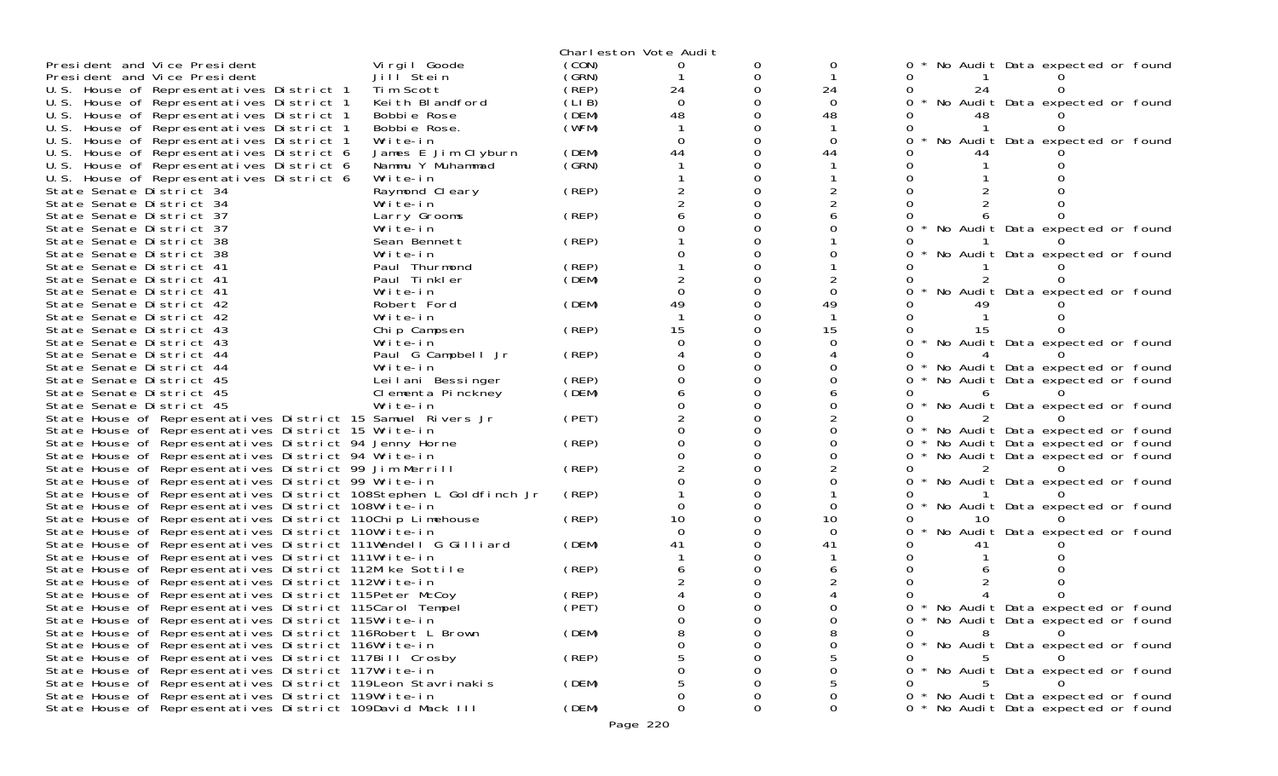|                                                                                                                      |                       |       | Charleston Vote Audit |          |                |        |                                     |
|----------------------------------------------------------------------------------------------------------------------|-----------------------|-------|-----------------------|----------|----------------|--------|-------------------------------------|
| President and Vice President                                                                                         | Virgil Goode          | (CON) |                       | O        | 0              |        | No Audit Data expected or found     |
| President and Vice President                                                                                         | Jill <sup>Stein</sup> | (GRN) |                       | Ω        |                |        |                                     |
| U.S. House of Representatives District 1                                                                             | Tim Scott             | (REP) | 24                    | $\Omega$ | 24             | 24     |                                     |
| U.S. House of Representatives District 1                                                                             | Keith Blandford       | (LIB) | $\Omega$              |          | $\Omega$       | 0      | No Audit Data expected or found     |
| U.S. House of Representatives District 1                                                                             | Bobbie Rose           | (DEM) | 48                    |          | 48             |        |                                     |
| U.S. House of Representatives District 1                                                                             | Bobbie Rose.          | (WFM) |                       | ∩        |                |        |                                     |
| U.S. House of Representatives District 1                                                                             | Write-in              |       | $\Omega$              |          | $\Omega$       |        | No Audit Data expected or found     |
| U.S. House of Representatives District 6                                                                             | James E Jim Clyburn   | (DEM) | 44                    | O        | 44             |        |                                     |
| U.S. House of Representatives District 6                                                                             | Nammu Y Muhammad      | (SRN) |                       | ∩        |                |        |                                     |
| U.S. House of Representatives District 6                                                                             | Write-in              |       |                       |          |                |        |                                     |
| State Senate District 34                                                                                             | Raymond Cleary        | (REP) |                       | O        |                |        |                                     |
| State Senate District 34                                                                                             | Write-in              |       |                       | $\Omega$ |                |        |                                     |
| State Senate District 37                                                                                             | Larry Grooms          | (REP) |                       |          |                |        |                                     |
| State Senate District 37                                                                                             | Write-in              |       |                       | O        |                | 0      | No Audit Data expected or found     |
| State Senate District 38                                                                                             | Sean Bennett          | (REP) |                       | O        |                |        |                                     |
| State Senate District 38                                                                                             | Write-in              |       |                       |          |                |        | No Audit Data expected or found     |
| State Senate District 41                                                                                             | Paul Thurmond         | (REP) |                       | ∩        |                |        |                                     |
| State Senate District 41                                                                                             | Paul Tinkler          | (DEM) |                       | $\Omega$ |                |        |                                     |
| State Senate District 41                                                                                             | Write-in              |       |                       |          |                |        | No Audit Data expected or found     |
| State Senate District 42                                                                                             | Robert Ford           | (DEM) | 49                    | $\Omega$ | 49             |        |                                     |
| State Senate District 42                                                                                             | Write-in              |       |                       | 0        |                |        |                                     |
| State Senate District 43                                                                                             | Chip Campsen          | (REP) | 15                    | O        | 15             |        |                                     |
| State Senate District 43                                                                                             | Write-in              |       |                       | ∩        |                | 0      | No Audit Data expected or found     |
| State Senate District 44                                                                                             | Paul G Campbell Jr    | (REP) |                       | 0        |                |        |                                     |
| State Senate District 44                                                                                             | Write-in              |       |                       | O        |                |        | No Audit Data expected or found     |
| State Senate District 45                                                                                             | Leilani Bessinger     | (REP) |                       | O        |                | 0      | No Audit Data expected or found     |
| State Senate District 45                                                                                             | Clementa Pinckney     | (DEM) |                       | 0        |                |        |                                     |
| State Senate District 45                                                                                             | Write-in              |       |                       |          |                | 0      | No Audit Data expected or found     |
| State House of Representatives District 15 Samuel Rivers Jr                                                          |                       | (PET) |                       | $\Omega$ |                | 0      |                                     |
| State House of Representatives District 15 Write-in                                                                  |                       |       |                       | 0        |                | $0 *$  | No Audit Data expected or found     |
| State House of Representatives District 94 Jenny Horne                                                               |                       | (REP) |                       | O        |                | 0      | No Audit Data expected or found     |
| State House of Representatives District 94 Write-in                                                                  |                       |       |                       | $\Omega$ |                | 0      | No Audit Data expected or found     |
| State House of Representatives District 99 Jim Merrill                                                               |                       | (REP) |                       | 0        |                | O      |                                     |
| State House of Representatives District 99 Write-in                                                                  |                       |       |                       | ∩        |                | 0      | No Audit Data expected or found     |
| State House of Representatives District 108Stephen L Goldfinch Jr                                                    |                       | (REP) |                       | 0        | 0              |        |                                     |
| State House of Representatives District 108Write-in                                                                  |                       |       | 10                    |          |                | 0      | No Audit Data expected or found     |
| State House of Representatives District 110Chip Limehouse                                                            |                       | (REP) | $\Omega$              | O        | 10<br>$\Omega$ |        |                                     |
| State House of Representatives District 110Write-in<br>State House of Representatives District 111Wendell G Gilliard |                       | (DEM) | 41                    |          | 41             |        | No Audit Data expected or found     |
| State House of Representatives District 111Write-in                                                                  |                       |       |                       |          |                |        |                                     |
| State House of Representatives District 112Mike Sottile                                                              |                       | (REP) |                       |          |                |        |                                     |
| State House of Representatives District 112Write-in                                                                  |                       |       |                       |          |                |        |                                     |
| State House of Representatives District 115Peter McCoy                                                               |                       | (REP) |                       |          |                |        |                                     |
| State House of Representatives District 115Carol Tempel                                                              |                       | (PET) |                       |          |                |        | No Audit Data expected or found     |
| State House of Representatives District 115Write-in                                                                  |                       |       |                       |          | 0              |        | 0 * No Audit Data expected or found |
| State House of Representatives District 116Robert L Brown                                                            |                       | (DEM) |                       | 0        |                | 0<br>8 |                                     |
| State House of Representatives District 116Write-in                                                                  |                       |       |                       |          | 0              | 0      | No Audit Data expected or found     |
| State House of Representatives District 117Bill Crosby                                                               |                       | (REP) |                       |          |                |        |                                     |
| State House of Representatives District 117Write-in                                                                  |                       |       |                       |          |                |        | * No Audit Data expected or found   |
| State House of Representatives District 119 Leon Stavrinakis                                                         |                       | (DEM) |                       |          |                |        |                                     |
| State House of Representatives District 119Write-in                                                                  |                       |       |                       |          | 0              |        | 0 * No Audit Data expected or found |
| State House of Representatives District 109David Mack III                                                            |                       | (DEM) |                       | 0        | 0              |        | 0 * No Audit Data expected or found |
|                                                                                                                      |                       |       | Page 220              |          |                |        |                                     |
|                                                                                                                      |                       |       |                       |          |                |        |                                     |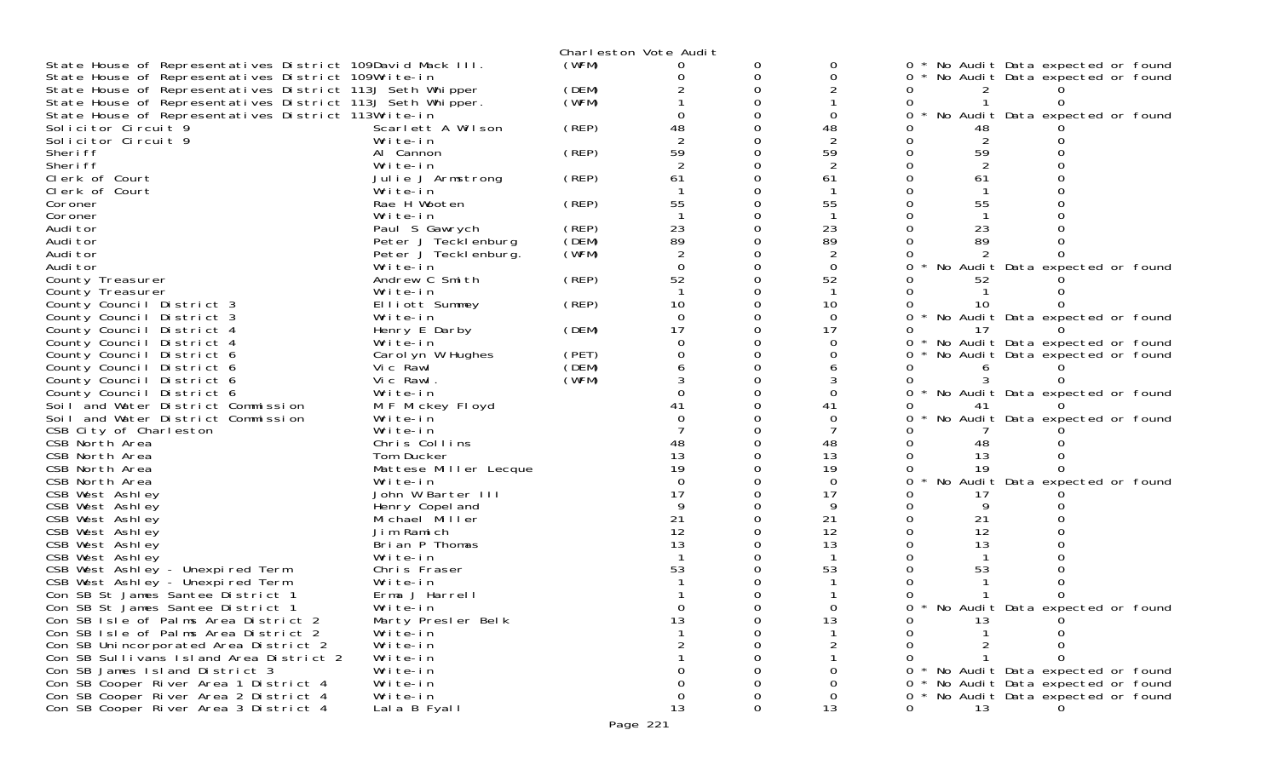|                                                                           |                               |       | Charleston Vote Audit |               |                      |                                             |
|---------------------------------------------------------------------------|-------------------------------|-------|-----------------------|---------------|----------------------|---------------------------------------------|
| State House of Representatives District 109David Mack III.                |                               | (WFM) | O                     | 0             | 0                    | No Audit Data expected or found             |
| State House of Representatives District 109Write-in                       |                               |       |                       | 0             | $\Omega$             | No Audit Data expected or found<br>0        |
| State House of Representatives District 113J Seth Whipper                 |                               | (DEM) |                       | $\Omega$      |                      |                                             |
| State House of Representatives District 113J Seth Whipper.                |                               | (WFM) |                       |               |                      |                                             |
| State House of Representatives District 113Write-in                       |                               |       |                       |               | $\Omega$             | No Audit Data expected or found<br>Ω        |
| Solicitor Circuit 9                                                       | Scarlett A Wilson             | (REP) | 48                    |               | 48                   |                                             |
| Solicitor Circuit 9<br>Sheri ff                                           | Write-in                      |       |                       |               | $\overline{2}$       | $\overline{2}$                              |
| Sheri ff                                                                  | Al Cannon                     | (REP) | 59<br>2               | $\Omega$<br>0 | 59                   | 59                                          |
| Clerk of Court                                                            | Write-in                      |       | 61                    |               | $\overline{2}$<br>61 | 2<br>61                                     |
| Clerk of Court                                                            | Julie J Armstrong<br>Write-in | (REP) |                       |               |                      |                                             |
| Coroner                                                                   | Rae H Wooten                  | (REP) | 55                    |               | 55                   | 55                                          |
| Coroner                                                                   | Write-in                      |       |                       |               | - 1                  |                                             |
| Audi tor                                                                  | Paul S Gawrych                | (REP) | 23                    |               | 23                   | 23                                          |
| Audi tor                                                                  | Peter J Tecklenburg           | (DEM) | 89                    | 0             | 89                   | 89                                          |
| Audi tor                                                                  | Peter J Teckl enburg.         | (WFM) | 2                     |               | $\overline{2}$       |                                             |
| Audi tor                                                                  | Write-in                      |       | $\Omega$              | 0             | $\Omega$             | No Audit Data expected or found<br>$\Omega$ |
| County Treasurer                                                          | Andrew C Smith                | (REP) | 52                    | 0             | 52                   | 52                                          |
| County Treasurer                                                          | Write-in                      |       |                       |               | -1                   |                                             |
| County Council District 3                                                 | Elliott Summey                | (REP) | 10                    | $\Omega$      | 10                   | 10                                          |
| County Council District 3                                                 | Write-in                      |       | $\Omega$              |               | $\Omega$             | No Audit Data expected or found<br>0        |
| County Council District 4                                                 | Henry E Darby                 | (DEM) | 17                    |               | 17                   | 17                                          |
| County Council District 4                                                 | Write-in                      |       | ∩                     | O             | $\Omega$             | No Audit Data expected or found<br>0        |
| County Council District 6                                                 | Carol yn W Hughes             | (PET) |                       | 0             | 0                    | No Audit Data expected or found<br>0        |
| County Council District 6                                                 | Vic Rawl                      | (DEM) |                       |               |                      |                                             |
| County Council District 6                                                 | Vic Rawl.                     | (WFM) |                       |               |                      |                                             |
| County Council District 6                                                 | Write-in                      |       |                       |               | $\Omega$             | No Audit Data expected or found<br>0        |
| Soil and Water District Commission                                        | M F Mickey Floyd              |       | 41                    |               | 41<br>$\Omega$       | 41                                          |
| Soil and Water District Commission                                        | Write-in<br>Write-in          |       |                       |               |                      | No Audit Data expected or found             |
| CSB City of Charleston<br>CSB North Area                                  | Chris Collins                 |       | 48                    |               | 48                   | 48                                          |
| CSB North Area                                                            | Tom Ducker                    |       | 13                    |               | 13                   | 13                                          |
| CSB North Area                                                            | Mattese Miller Lecque         |       | 19                    |               | 19                   | 19                                          |
| CSB North Area                                                            | Write-in                      |       | $\Omega$              |               | $\Omega$             | No Audit Data expected or found             |
| CSB West Ashley                                                           | John W Barter III             |       | 17                    |               | 17                   | 17                                          |
| CSB West Ashley                                                           | Henry Copel and               |       | 9                     |               | 9                    | 9                                           |
| CSB West Ashley                                                           | Michael Miller                |       | 21                    |               | 21                   | 21                                          |
| CSB West Ashley                                                           | Jim Ramich                    |       | 12                    |               | 12                   | 12                                          |
| CSB West Ashley                                                           | Brian P Thomas                |       | 13                    |               | 13                   | 13                                          |
| CSB West Ashley                                                           | Write-in                      |       |                       |               |                      |                                             |
| CSB West Ashley - Unexpired Term                                          | Chris Fraser                  |       | 53                    |               | 53                   | 53                                          |
| CSB West Ashley - Unexpired Term                                          | Write-in                      |       |                       |               |                      |                                             |
| Con SB St James Santee District 1                                         | Erma J Harrell                |       |                       |               |                      |                                             |
| Con SB St James Santee District 1                                         | Write-in                      |       |                       |               |                      | No Audit Data expected or found<br>0        |
| Con SB Isle of Palms Area District 2                                      | Marty Presler Belk            |       | 13                    | 0             | 13                   | 13<br>0                                     |
| Con SB Isle of Palms Area District 2                                      | Write-in                      |       |                       |               |                      |                                             |
| Con SB Unincorporated Area District 2                                     | Write-in                      |       |                       |               | $\overline{2}$       |                                             |
| Con SB Sullivans Island Area District 2<br>Con SB James Island District 3 | Write-in<br>Write-in          |       |                       |               | 0                    | No Audit Data expected or found             |
| Con SB Cooper River Area 1 District 4                                     | Write-in                      |       | $\Omega$              |               | $\Omega$             | No Audit Data expected or found<br>O        |
| Con SB Cooper River Area 2 District 4                                     | Write-in                      |       | $\mathbf 0$           |               | 0                    | No Audit Data expected or found             |
| Con SB Cooper River Area 3 District 4                                     | Lala B Fyall                  |       | 13                    | 0             | 13                   | 13<br>$\Omega$                              |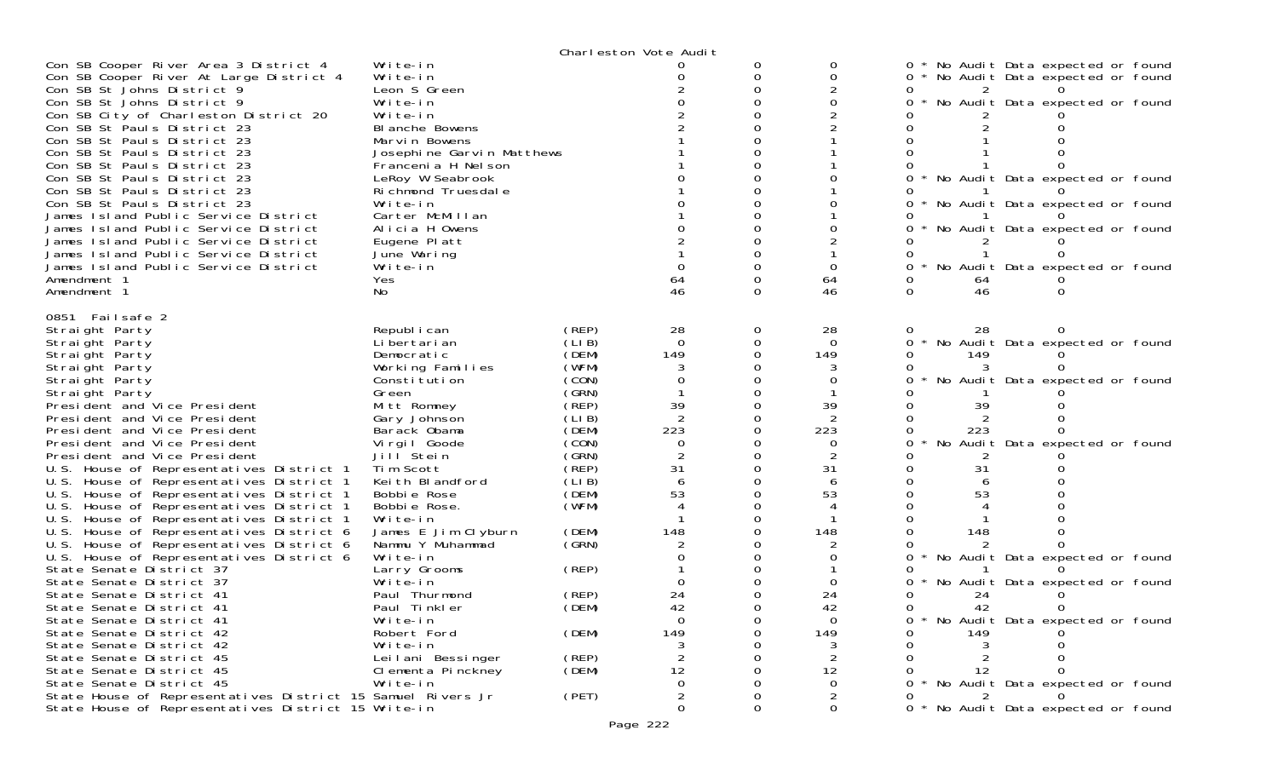|                                                                                                                                                                                                                                                                                                                                                                                                                                                        |                                                                                                                                                                                                                               |                                   | Charleston Vote Audit |               |                                  |                                                                                                                                                                                  |
|--------------------------------------------------------------------------------------------------------------------------------------------------------------------------------------------------------------------------------------------------------------------------------------------------------------------------------------------------------------------------------------------------------------------------------------------------------|-------------------------------------------------------------------------------------------------------------------------------------------------------------------------------------------------------------------------------|-----------------------------------|-----------------------|---------------|----------------------------------|----------------------------------------------------------------------------------------------------------------------------------------------------------------------------------|
| Con SB Cooper River Area 3 District 4<br>Con SB Cooper River At Large District 4<br>Con SB St Johns District 9<br>Con SB St Johns District 9<br>Con SB City of Charleston District 20<br>Con SB St Pauls District 23<br>Con SB St Pauls District 23<br>Con SB St Pauls District 23<br>Con SB St Pauls District 23<br>Con SB St Pauls District 23<br>Con SB St Pauls District 23<br>Con SB St Pauls District 23<br>James Island Public Service District | Write-in<br>Write-in<br>Leon S Green<br>Write-in<br>Write-in<br>BI anche Bowens<br>Marvin Bowens<br>Josephine Garvin Matthews<br>Francenia H Nel son<br>LeRoy W Seabrook<br>Richmond Truesdale<br>Write-in<br>Carter McMillan |                                   |                       | 0<br>0<br>ი   | 0<br>0                           | No Audit Data expected or found<br>0<br>No Audit Data expected or found<br>No Audit Data expected or found<br>No Audit Data expected or found<br>No Audit Data expected or found |
| James Island Public Service District<br>James Island Public Service District<br>James Island Public Service District<br>James Island Public Service District<br>Amendment 1<br>Amendment 1                                                                                                                                                                                                                                                             | Alicia H Owens<br>Eugene Platt<br>June Waring<br>Write-in<br>Yes<br>No                                                                                                                                                        |                                   | 64<br>46              | 0<br>ი        | 64<br>46                         | No Audit Data expected or found<br>No Audit Data expected or found<br>64<br>46                                                                                                   |
| 0851 Failsafe 2<br>Straight Party<br>Straight Party                                                                                                                                                                                                                                                                                                                                                                                                    | Republ i can<br>Li bertari an                                                                                                                                                                                                 | (REP)<br>(LIB)                    | 28<br>$\Omega$        | 0<br>$\Omega$ | 28<br>$\Omega$                   | 28<br>No Audit Data expected or found<br>0                                                                                                                                       |
| Straight Party<br>Straight Party<br>Straight Party<br>Straight Party                                                                                                                                                                                                                                                                                                                                                                                   | Democratic<br>Working Families<br>Constitution<br>Green                                                                                                                                                                       | (DEM)<br>(WFM)<br>(CON)<br>(GRN)  | 149<br>0              | 0             | 149<br>0                         | 149<br>No Audit Data expected or found                                                                                                                                           |
| President and Vice President<br>President and Vice President<br>President and Vice President<br>President and Vice President                                                                                                                                                                                                                                                                                                                           | Mitt Romney<br>Gary Johnson<br>Barack Obama<br>Virgil Goode                                                                                                                                                                   | (REP)<br>(LI B)<br>(DEM)<br>(CON) | 39<br>223<br>0        |               | 39<br>223<br>0                   | 39<br>223<br>No Audit Data expected or found                                                                                                                                     |
| President and Vice President<br>U.S. House of Representatives District 1<br>U.S. House of Representatives District 1<br>U.S. House of Representatives District 1                                                                                                                                                                                                                                                                                       | Jill Stein<br>Tim Scott<br>Keith Blandford<br>Bobbie Rose                                                                                                                                                                     | (GRN)<br>(REP)<br>(LIB)<br>(DEM)  | 31<br>53              | 0             | 31<br>53                         | 31<br>53                                                                                                                                                                         |
| U.S. House of Representatives District 1<br>U.S. House of Representatives District 1<br>U.S. House of Representatives District 6<br>U.S. House of Representatives District 6<br>U.S. House of Representatives District 6                                                                                                                                                                                                                               | Bobbie Rose.<br>Write-in<br>James E Jim Clyburn<br>Nammu Y Muhammad<br>Write-in                                                                                                                                               | (WFM)<br>(DEM)<br>(GRN)           | 148                   |               | 148                              | 148<br>No Audit Data expected or found                                                                                                                                           |
| State Senate District 37<br>State Senate District 37<br>State Senate District 41<br>State Senate District 41                                                                                                                                                                                                                                                                                                                                           | Larry Grooms<br>Write-in<br>Paul Thurmond<br>Paul Tinkler                                                                                                                                                                     | (REP)<br>(REP)<br>(DEM)           | 24<br>42              |               | 24<br>42                         | No Audit Data expected or found<br>24<br>42                                                                                                                                      |
| State Senate District 41<br>State Senate District 42<br>State Senate District 42<br>State Senate District 45                                                                                                                                                                                                                                                                                                                                           | Write-in<br>Robert Ford<br>Write-in<br>Leilani Bessinger                                                                                                                                                                      | (DEM)<br>(REP)                    | $\mathbf 0$<br>149    | 0             | $\mathbf 0$<br>149<br>2          | No Audit Data expected or found<br>149                                                                                                                                           |
| State Senate District 45<br>State Senate District 45<br>State House of Representatives District 15 Samuel Rivers Jr                                                                                                                                                                                                                                                                                                                                    | Clementa Pinckney<br>Write-in                                                                                                                                                                                                 | (DEM)<br>(PET)                    | 12<br>$\Omega$<br>2   |               | 12<br>$\Omega$<br>$\overline{2}$ | 12<br>No Audit Data expected or found                                                                                                                                            |
| State House of Representatives District 15 Write-in                                                                                                                                                                                                                                                                                                                                                                                                    |                                                                                                                                                                                                                               |                                   | 0                     | 0             | 0                                | * No Audit Data expected or found                                                                                                                                                |

Page 222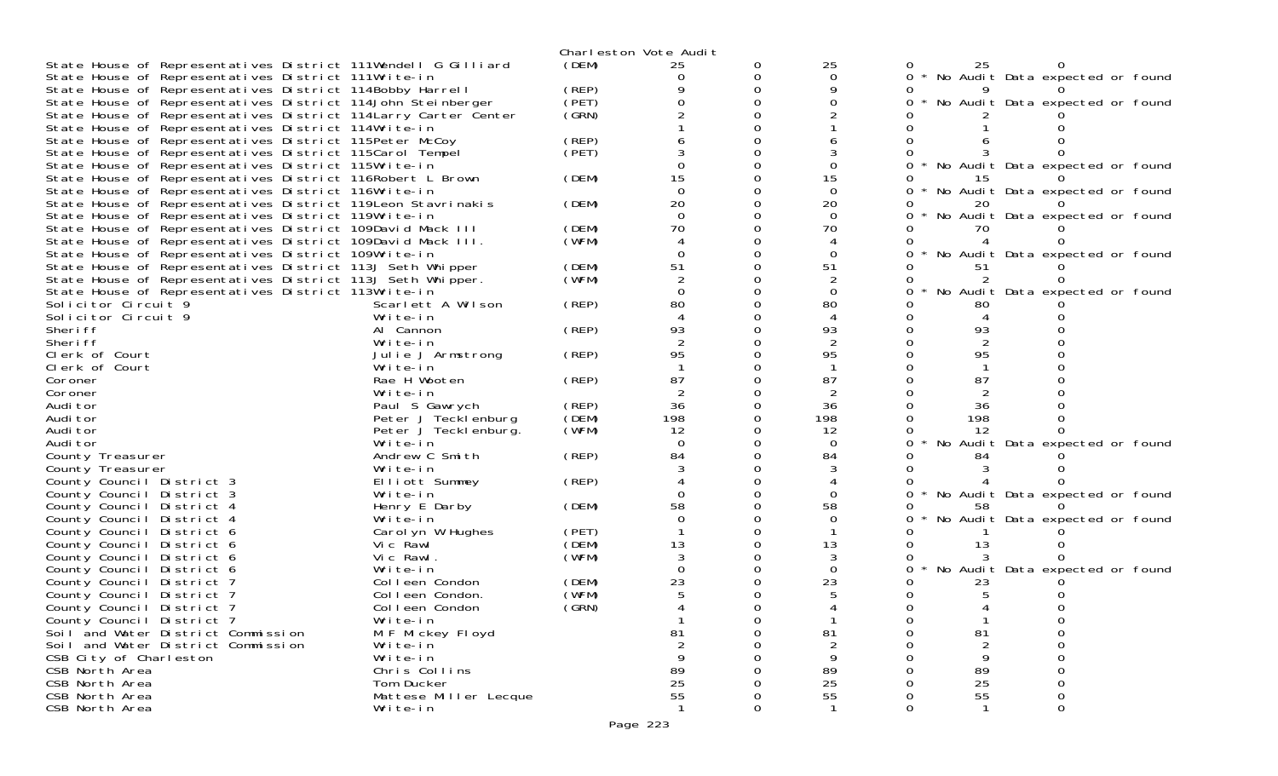|                                                                 |                              |                | Charleston Vote Audit |   |                |          |                                   |          |  |
|-----------------------------------------------------------------|------------------------------|----------------|-----------------------|---|----------------|----------|-----------------------------------|----------|--|
| State House of Representatives District 111Wendell G Gilliard   |                              | (DEM)          | 25                    |   | 25             |          | 25                                |          |  |
| State House of Representatives District 111Write-in             |                              |                |                       | Ω | $\Omega$       |          | * No Audit Data expected or found |          |  |
| State House of Representatives District 114Bobby Harrell        |                              | (REP)          |                       |   |                |          |                                   |          |  |
| State House of Representatives District 114John Steinberger     |                              | (PET)          |                       |   |                |          | No Audit Data expected or found   |          |  |
| State House of Representatives District 114 Larry Carter Center |                              | (GRN)          |                       |   |                |          |                                   |          |  |
| State House of Representatives District 114Write-in             |                              |                |                       |   |                |          |                                   |          |  |
| State House of Representatives District 115Peter McCoy          |                              | (REP)          |                       |   |                |          |                                   |          |  |
| State House of Representatives District 115Carol Tempel         |                              | (PET)          |                       |   |                |          |                                   |          |  |
| State House of Representatives District 115Write-in             |                              |                |                       |   |                |          | No Audit Data expected or found   |          |  |
| State House of Representatives District 116Robert L Brown       |                              | (DEM)          | 15                    |   | 15             |          |                                   |          |  |
| State House of Representatives District 116Write-in             |                              |                | $\Omega$              |   | $\Omega$       |          | No Audit Data expected or found   |          |  |
| State House of Representatives District 119Leon Stavrinakis     |                              | (DEM)          | 20                    |   | 20             |          |                                   |          |  |
| State House of Representatives District 119Write-in             |                              |                | $\Omega$              |   | $\Omega$       |          | No Audit Data expected or found   |          |  |
| State House of Representatives District 109David Mack III       |                              | (DEM)          | 70                    |   | 70             |          |                                   |          |  |
| State House of Representatives District 109David Mack III.      |                              | (WFM)          |                       |   |                |          |                                   |          |  |
| State House of Representatives District 109Write-in             |                              |                |                       |   |                |          | No Audit Data expected or found   |          |  |
| State House of Representatives District 113J Seth Whipper       |                              | (DEM)          | 51                    |   | 51             |          |                                   |          |  |
| State House of Representatives District 113J Seth Whipper.      |                              | (WFM)          |                       |   |                |          |                                   |          |  |
| State House of Representatives District 113Write-in             |                              |                |                       |   | $\Omega$       |          | No Audit Data expected or found   |          |  |
| Solicitor Circuit 9                                             | Scarlett A Wilson            | (REP)          | 80                    |   | 80             |          | 80                                |          |  |
| Solicitor Circuit 9                                             | Write-in                     |                |                       |   |                |          |                                   |          |  |
| Sheri ff                                                        | Al Cannon                    | (REP)          | 93                    |   | 93             |          | 93                                |          |  |
| Sheri ff                                                        | Write-in                     |                |                       |   |                |          |                                   |          |  |
| Clerk of Court                                                  | Julie J Armstrong            | (REP)          | 95                    |   | 95             |          | 95                                |          |  |
| Clerk of Court                                                  | Write-in                     |                |                       |   |                |          |                                   |          |  |
| Coroner                                                         | Rae H Wooten                 | (REP)          | 87                    |   | 87             |          | 87                                |          |  |
| Coroner                                                         | Write-in                     |                |                       |   | $\overline{2}$ |          |                                   |          |  |
| Audi tor                                                        | Paul S Gawrych               | (REP)          | 36                    |   | 36             |          | 36                                |          |  |
| Audi tor                                                        | Peter J Tecklenburg          | (DEM)          | 198                   |   | 198            |          | 198                               |          |  |
| Audi tor                                                        | Peter J Tecklenburg.         | (WFM)          | 12                    |   | 12             |          | 12                                |          |  |
| Audi tor                                                        | Write-in                     |                | $\Omega$              |   | $\Omega$       |          | No Audit Data expected or found   |          |  |
| County Treasurer                                                | Andrew C Smith               | (REP)          | 84                    |   | 84             |          | 84                                |          |  |
| County Treasurer                                                | Write-in                     |                |                       |   |                |          |                                   |          |  |
| County Council District 3                                       | Elliott Summey               | (REP)          |                       |   |                |          |                                   |          |  |
| County Council District 3                                       | Write-in                     |                |                       |   | 0              |          | No Audit Data expected or found   |          |  |
| County Council District 4                                       | Henry E Darby                | (DEM)          | 58                    |   | 58             |          |                                   |          |  |
| County Council District 4                                       | Write-in                     |                |                       |   | $\Omega$       |          | No Audit Data expected or found   |          |  |
| County Council<br>District 6                                    | Carol yn W Hughes            | (PET)          |                       |   |                |          |                                   |          |  |
| County Council<br>District 6                                    | Vic Rawl                     | (DEM)<br>(WFM) | 13                    |   | 13             |          |                                   |          |  |
| County Council<br>District 6                                    | Vic Rawl.                    |                |                       |   | 0              |          | No Audit Data expected or found   |          |  |
| County Council<br>District 6                                    | Write-in                     |                |                       |   |                |          |                                   |          |  |
| County Council<br>District 7                                    | Colleen Condon               | (DEM)          | 23                    |   | 23             |          |                                   |          |  |
| County Council District 7                                       | Colleen Condon.              | (WFM)          |                       |   |                |          |                                   |          |  |
| County Council District 7                                       | Colleen Condon<br>Write-in   | (GRN)          |                       |   |                |          |                                   |          |  |
| County Council District 7<br>Soil and Water District Commission |                              |                | 81                    | 0 | 81             |          | 81                                |          |  |
| Soil and Water District Commission                              | M F Mickey Floyd<br>Write-in |                | $\mathfrak{D}$        |   |                |          | 2                                 |          |  |
|                                                                 | Write-in                     |                |                       |   | 9              |          |                                   |          |  |
| CSB City of Charleston<br>CSB North Area                        | Chris Collins                |                | 89                    |   | 89             |          | 9<br>89                           |          |  |
| CSB North Area                                                  | Tom Ducker                   |                | 25                    |   | 25             |          | 25                                |          |  |
| CSB North Area                                                  | Mattese Miller Lecque        |                | 55                    |   | 55             |          | 55                                |          |  |
| CSB North Area                                                  | Write-in                     |                |                       | 0 |                | $\Omega$ |                                   | $\Omega$ |  |
|                                                                 |                              |                |                       |   |                |          |                                   |          |  |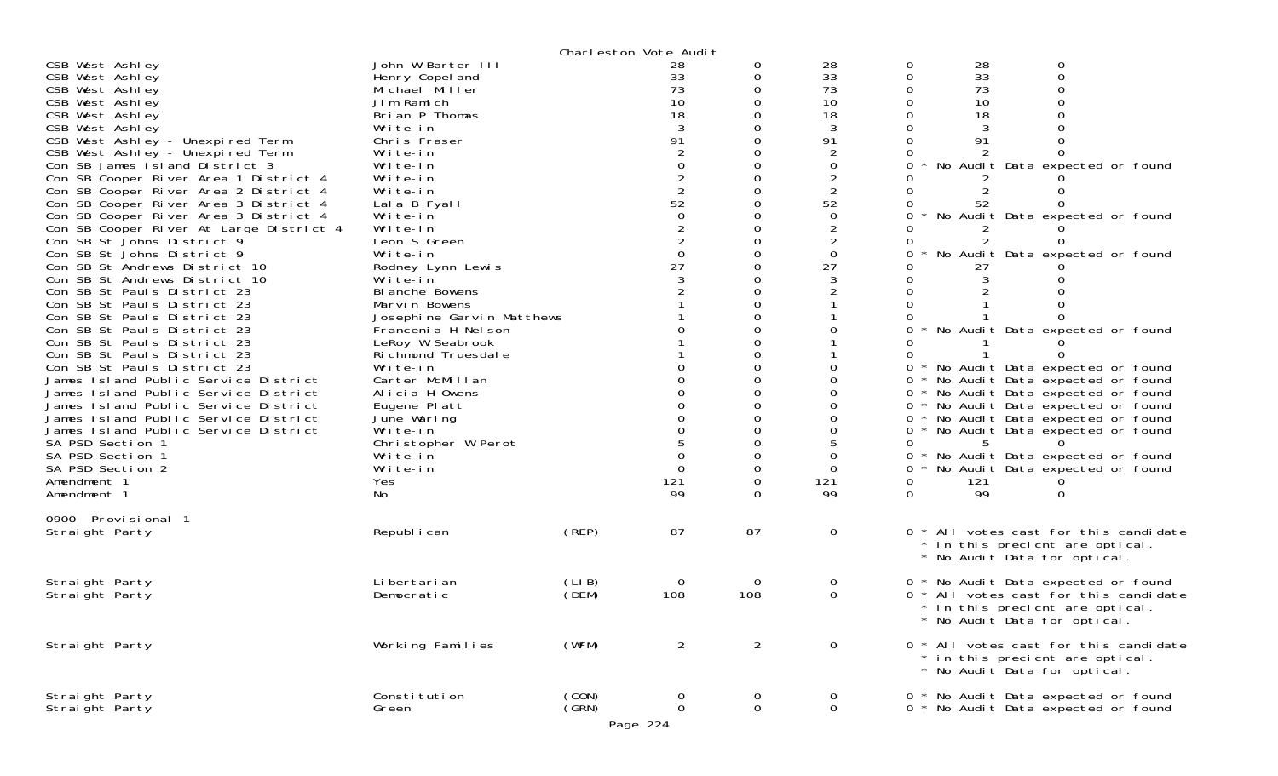| CSB West Ashley<br>CSB West Ashley<br>CSB West Ashley<br>CSB West Ashley<br>CSB West Ashley<br>CSB West Ashley<br>CSB West Ashley - Unexpired Term<br>CSB West Ashley - Unexpired Term<br>Con SB James Island District 3<br>Con SB Cooper River Area 1 District 4<br>Con SB Cooper River Area 2 District 4<br>Con SB Cooper River Area 3 District 4<br>Con SB Cooper River Area 3 District 4<br>Con SB Cooper River At Large District 4<br>Con SB St Johns District 9<br>Con SB St Johns District 9<br>Con SB St Andrews District 10<br>Con SB St Andrews District 10<br>Con SB St Pauls District 23<br>Con SB St Pauls District 23<br>Con SB St Pauls District 23<br>Con SB St Pauls District 23<br>Con SB St Pauls District 23<br>Con SB St Pauls District 23<br>Con SB St Pauls District 23<br>James Island Public Service District<br>James Island Public Service District<br>James Island Public Service District<br>James Island Public Service District<br>James Island Public Service District<br>SA PSD Section 1 | John W Barter III<br>Henry Copel and<br>Michael Miller<br>Jim Ramich<br>Brian P Thomas<br>Write-in<br>Chris Fraser<br>Write-in<br>Write-in<br>Write-in<br>Write-in<br>Lala B Fyall<br>Write-in<br>Write-in<br>Leon S Green<br>Write-in<br>Rodney Lynn Lewis<br>Write-in<br>BI anche Bowens<br>Marvin Bowens<br>Josephine Garvin Matthews<br>Francenia H Nelson<br>LeRoy W Seabrook<br>Richmond Truesdale<br>Write-in<br>Carter McMillan<br>Alicia H Owens<br>Eugene Platt<br>June Waring<br>Write-in<br>Christopher W Perot |                | Charleston Vote Audit<br>28<br>33<br>73<br>10<br>18<br>3<br>91<br>$\Omega$<br>$\begin{array}{c} 2 \\ 2 \\ 52 \end{array}$<br>$\overline{0}$<br>$\frac{2}{2}$<br>$\overline{0}$<br>27<br>3 | 0<br>0         | 28<br>33<br>73<br>10<br>18<br>3<br>91<br>$\overline{2}$<br>$\Omega$<br>$\overline{2}$<br>52<br>$\mathbf 0$<br>$\overline{2}$<br>$\mathbf 0$<br>27<br>3 | $\mathbf 0$<br>28<br>33<br>0<br>0<br>73<br>10<br>0<br>18<br>0<br>91<br>0<br>0<br>0<br>0<br>0<br>52<br>0<br>0<br>0<br>27<br>0<br>$\Omega$<br>0<br>0<br>$0 *$<br>0<br>$\Omega$ | $\mathbf 0$<br>0<br>0<br>No Audit Data expected or found<br>No Audit Data expected or found<br>No Audit Data expected or found<br>No Audit Data expected or found<br>No Audit Data expected or found<br>0 * No Audit Data expected or found<br>0 * No Audit Data expected or found<br>0 * No Audit Data expected or found<br>No Audit Data expected or found<br>No Audit Data expected or found<br>5 |
|----------------------------------------------------------------------------------------------------------------------------------------------------------------------------------------------------------------------------------------------------------------------------------------------------------------------------------------------------------------------------------------------------------------------------------------------------------------------------------------------------------------------------------------------------------------------------------------------------------------------------------------------------------------------------------------------------------------------------------------------------------------------------------------------------------------------------------------------------------------------------------------------------------------------------------------------------------------------------------------------------------------------------|-----------------------------------------------------------------------------------------------------------------------------------------------------------------------------------------------------------------------------------------------------------------------------------------------------------------------------------------------------------------------------------------------------------------------------------------------------------------------------------------------------------------------------|----------------|-------------------------------------------------------------------------------------------------------------------------------------------------------------------------------------------|----------------|--------------------------------------------------------------------------------------------------------------------------------------------------------|------------------------------------------------------------------------------------------------------------------------------------------------------------------------------|------------------------------------------------------------------------------------------------------------------------------------------------------------------------------------------------------------------------------------------------------------------------------------------------------------------------------------------------------------------------------------------------------|
| SA PSD Section 1<br>SA PSD Section 2<br>Amendment 1                                                                                                                                                                                                                                                                                                                                                                                                                                                                                                                                                                                                                                                                                                                                                                                                                                                                                                                                                                        | Write-in<br>Write-in<br>Yes                                                                                                                                                                                                                                                                                                                                                                                                                                                                                                 |                | $\Omega$<br>121                                                                                                                                                                           | 0              | $\Omega$<br>121                                                                                                                                        | 0<br>$\mathbf{O}$<br>0<br>121                                                                                                                                                | No Audit Data expected or found<br>No Audit Data expected or found                                                                                                                                                                                                                                                                                                                                   |
| Amendment 1                                                                                                                                                                                                                                                                                                                                                                                                                                                                                                                                                                                                                                                                                                                                                                                                                                                                                                                                                                                                                | No                                                                                                                                                                                                                                                                                                                                                                                                                                                                                                                          |                | 99                                                                                                                                                                                        |                | 99                                                                                                                                                     | 99<br>0                                                                                                                                                                      | 0                                                                                                                                                                                                                                                                                                                                                                                                    |
| 0900 Provisional 1<br>Straight Party                                                                                                                                                                                                                                                                                                                                                                                                                                                                                                                                                                                                                                                                                                                                                                                                                                                                                                                                                                                       | Republ i can                                                                                                                                                                                                                                                                                                                                                                                                                                                                                                                | $($ REP $)$    | 87                                                                                                                                                                                        | 87             | 0                                                                                                                                                      | 0 *                                                                                                                                                                          | All votes cast for this candidate<br>* in this precient are optical.<br>* No Audit Data for optical.                                                                                                                                                                                                                                                                                                 |
| Straight Party<br>Straight Party                                                                                                                                                                                                                                                                                                                                                                                                                                                                                                                                                                                                                                                                                                                                                                                                                                                                                                                                                                                           | Li bertari an<br>Democratic                                                                                                                                                                                                                                                                                                                                                                                                                                                                                                 | (LIB)<br>(DEM) | 0<br>108                                                                                                                                                                                  | 0<br>108       | 0<br>$\Omega$                                                                                                                                          |                                                                                                                                                                              | 0 * No Audit Data expected or found<br>0 * All votes cast for this candidate<br>* in this precient are optical<br>* No Audit Data for optical.                                                                                                                                                                                                                                                       |
| Straight Party                                                                                                                                                                                                                                                                                                                                                                                                                                                                                                                                                                                                                                                                                                                                                                                                                                                                                                                                                                                                             | Working Families                                                                                                                                                                                                                                                                                                                                                                                                                                                                                                            | (WFM)          | $\overline{2}$                                                                                                                                                                            | $\overline{2}$ | $\mathbf{O}$                                                                                                                                           |                                                                                                                                                                              | 0 * All votes cast for this candidate<br>* in this precient are optical.<br>* No Audit Data for optical.                                                                                                                                                                                                                                                                                             |
| Straight Party<br>Straight Party                                                                                                                                                                                                                                                                                                                                                                                                                                                                                                                                                                                                                                                                                                                                                                                                                                                                                                                                                                                           | Constitution<br>Green                                                                                                                                                                                                                                                                                                                                                                                                                                                                                                       | (CON)<br>(GRN) | 0<br>$\mathbf 0$<br>Page 224                                                                                                                                                              | 0<br>0         | 0<br>0                                                                                                                                                 |                                                                                                                                                                              | 0 * No Audit Data expected or found<br>0 * No Audit Data expected or found                                                                                                                                                                                                                                                                                                                           |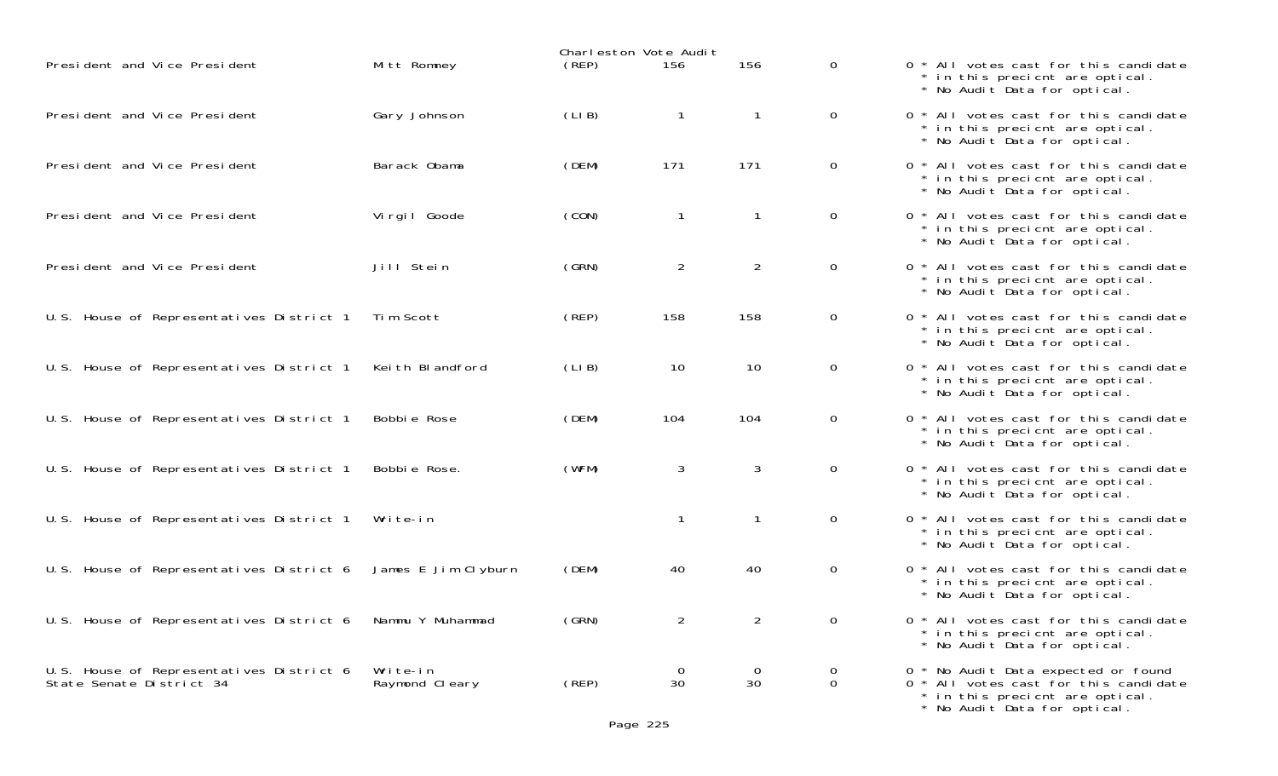|                                                                      |                            |       | Charleston Vote Audit |                      |                               |                                                                                                                                                 |
|----------------------------------------------------------------------|----------------------------|-------|-----------------------|----------------------|-------------------------------|-------------------------------------------------------------------------------------------------------------------------------------------------|
| President and Vice President                                         | Mitt Romney                | (REP) | 156                   | 156                  | $\mathbf{0}$                  | 0 * All votes cast for this candidate<br>* in this precient are optical.<br>* No Audit Data for optical.                                        |
| President and Vice President                                         | Gary Johnson               | (LIB) |                       | $\mathbf{1}$         | $\mathbf{O}$                  | 0 * All votes cast for this candidate<br>* in this precient are optical.<br>* No Audit Data for optical.                                        |
| President and Vice President                                         | Barack Obama               | (DEM) | 171                   | 171                  | $\mathbf 0$                   | 0 * All votes cast for this candidate<br>* in this precient are optical.<br>* No Audit Data for optical.                                        |
| President and Vice President                                         | Virgil Goode               | (CON) |                       | $\mathbf{1}$         | $\mathsf{O}$                  | 0 * All votes cast for this candidate<br>* in this precient are optical.<br>* No Audit Data for optical.                                        |
| President and Vice President                                         | Jill Stein                 | (GRN) | $\overline{2}$        | $\overline{2}$       | $\mathbf{0}$                  | 0 * All votes cast for this candidate<br>* in this precient are optical.<br>* No Audit Data for optical.                                        |
| U.S. House of Representatives District 1                             | Tim Scott                  | (REP) | 158                   | 158                  | $\mathbf 0$                   | 0 * All votes cast for this candidate<br>* in this precient are optical.<br>* No Audit Data for optical.                                        |
| U.S. House of Representatives District 1                             | Keith Blandford            | (LIB) | 10                    | 10                   | $\mathbf{0}$                  | 0 * All votes cast for this candidate<br>* in this precient are optical.<br>* No Audit Data for optical.                                        |
| U.S. House of Representatives District 1                             | Bobbie Rose                | (DEM) | 104                   | 104                  | $\mathbf 0$                   | 0 * All votes cast for this candidate<br>* in this precient are optical.<br>* No Audit Data for optical.                                        |
| U.S. House of Representatives District 1                             | Bobbie Rose.               | (WFM) | 3                     | 3                    | $\overline{0}$                | 0 * All votes cast for this candidate<br>* in this precient are optical.<br>* No Audit Data for optical.                                        |
| U.S. House of Representatives District 1                             | Write-in                   |       |                       | $\mathbf{1}$         | $\mathsf{O}$                  | 0 * All votes cast for this candidate<br>* in this precient are optical.<br>* No Audit Data for optical.                                        |
| U.S. House of Representatives District 6                             | James E Jim Clyburn        | (DEM) | 40                    | 40                   | $\mathbf 0$                   | 0 * All votes cast for this candidate<br>* in this precient are optical.<br>* No Audit Data for optical.                                        |
| U.S. House of Representatives District 6                             | Nammu Y Muhammad           | (GRN) | $\overline{2}$        | $\overline{2}$       | $\Omega$                      | 0 * All votes cast for this candidate<br>* in this precient are optical.<br>* No Audit Data for optical.                                        |
| U.S. House of Representatives District 6<br>State Senate District 34 | Write-in<br>Raymond Cleary | (REP) | <b>O</b><br>30        | $\overline{0}$<br>30 | $\mathbf 0$<br>$\overline{0}$ | 0 * No Audit Data expected or found<br>0 * All votes cast for this candidate<br>* in this precient are optical.<br>* No Audit Data for optical. |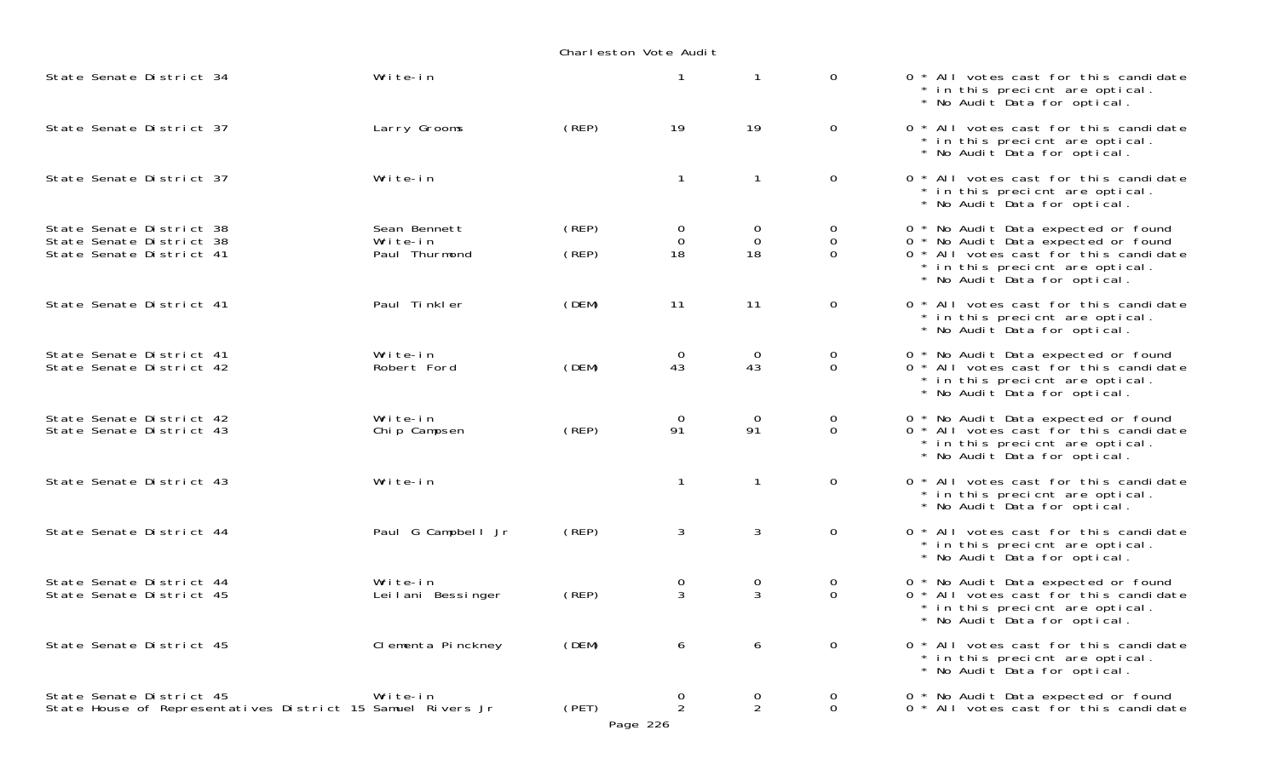| State Senate District 34                                                                | Write-in                                  |                | $\mathbf{1}$                    |                                        | $\mathbf 0$                        | 0 * All votes cast for this candidate<br>* in this precient are optical.<br>* No Audit Data for optical.                                                                               |
|-----------------------------------------------------------------------------------------|-------------------------------------------|----------------|---------------------------------|----------------------------------------|------------------------------------|----------------------------------------------------------------------------------------------------------------------------------------------------------------------------------------|
| State Senate District 37                                                                | Larry Grooms                              | (REP)          | 19                              | 19                                     | $\mathbf 0$                        | 0 * All votes cast for this candidate<br>* in this precient are optical.<br>* No Audit Data for optical.                                                                               |
| State Senate District 37                                                                | Write-in                                  |                | $\mathbf{1}$                    | -1                                     | $\mathbf 0$                        | 0 * All votes cast for this candidate<br>* in this precient are optical.<br>* No Audit Data for optical.                                                                               |
| State Senate District 38<br>State Senate District 38<br>State Senate District 41        | Sean Bennett<br>Write-in<br>Paul Thurmond | (REP)<br>(REP) | 0<br>0<br>18                    | $\overline{0}$<br>$\overline{0}$<br>18 | 0<br>$\mathbf 0$<br>$\overline{0}$ | 0 * No Audit Data expected or found<br>0 * No Audit Data expected or found<br>0 * All votes cast for this candidate<br>* in this precient are optical.<br>* No Audit Data for optical. |
| State Senate District 41                                                                | Paul Tinkler                              | (DEM)          | 11                              | 11                                     | 0                                  | 0 * All votes cast for this candidate<br>* in this precient are optical.<br>* No Audit Data for optical.                                                                               |
| State Senate District 41<br>State Senate District 42                                    | Write-in<br>Robert Ford                   | (DEM)          | 0<br>43                         | $\overline{O}$<br>43                   | 0<br>$\mathbf 0$                   | 0 * No Audit Data expected or found<br>0 <sup>*</sup> All votes cast for this candidate<br>* in this precient are optical.<br>* No Audit Data for optical.                             |
| State Senate District 42<br>State Senate District 43                                    | Write-in<br>Chip Campsen                  | (REP)          | 0<br>91                         | $\overline{0}$<br>91                   | 0<br>$\mathbf 0$                   | 0 * No Audit Data expected or found<br>0 <sup>*</sup> All votes cast for this candidate<br>* in this precient are optical.<br>* No Audit Data for optical.                             |
| State Senate District 43                                                                | Write-in                                  |                | $\mathbf{1}$                    | $\mathbf{1}$                           | $\mathbf 0$                        | 0 * All votes cast for this candidate<br>* in this precient are optical.<br>* No Audit Data for optical.                                                                               |
| State Senate District 44                                                                | Paul G Campbell Jr                        | (REP)          | 3                               | 3                                      | $\mathbf 0$                        | 0 * All votes cast for this candidate<br>* in this precient are optical.<br>* No Audit Data for optical.                                                                               |
| State Senate District 44<br>State Senate District 45                                    | Write-in<br>Leilani Bessinger             | (REP)          | 0<br>3                          | $\mathbf 0$<br>$\mathbf{3}$            | $\overline{0}$<br>$\mathbf 0$      | 0 * No Audit Data expected or found<br>0 <sup>*</sup> All votes cast for this candidate<br>* in this precient are optical.<br>* No Audit Data for optical.                             |
| State Senate District 45                                                                | Clementa Pinckney                         | (DEM)          | 6                               | 6                                      | 0                                  | 0 * All votes cast for this candidate<br>* in this precient are optical.<br>* No Audit Data for optical.                                                                               |
| State Senate District 45<br>State House of Representatives District 15 Samuel Rivers Jr | Write-in                                  | (PET)          | 0<br>$\overline{2}$<br>Page 226 | 0<br>$\overline{2}$                    | 0<br>0                             | 0 * No Audit Data expected or found<br>0 * All votes cast for this candidate                                                                                                           |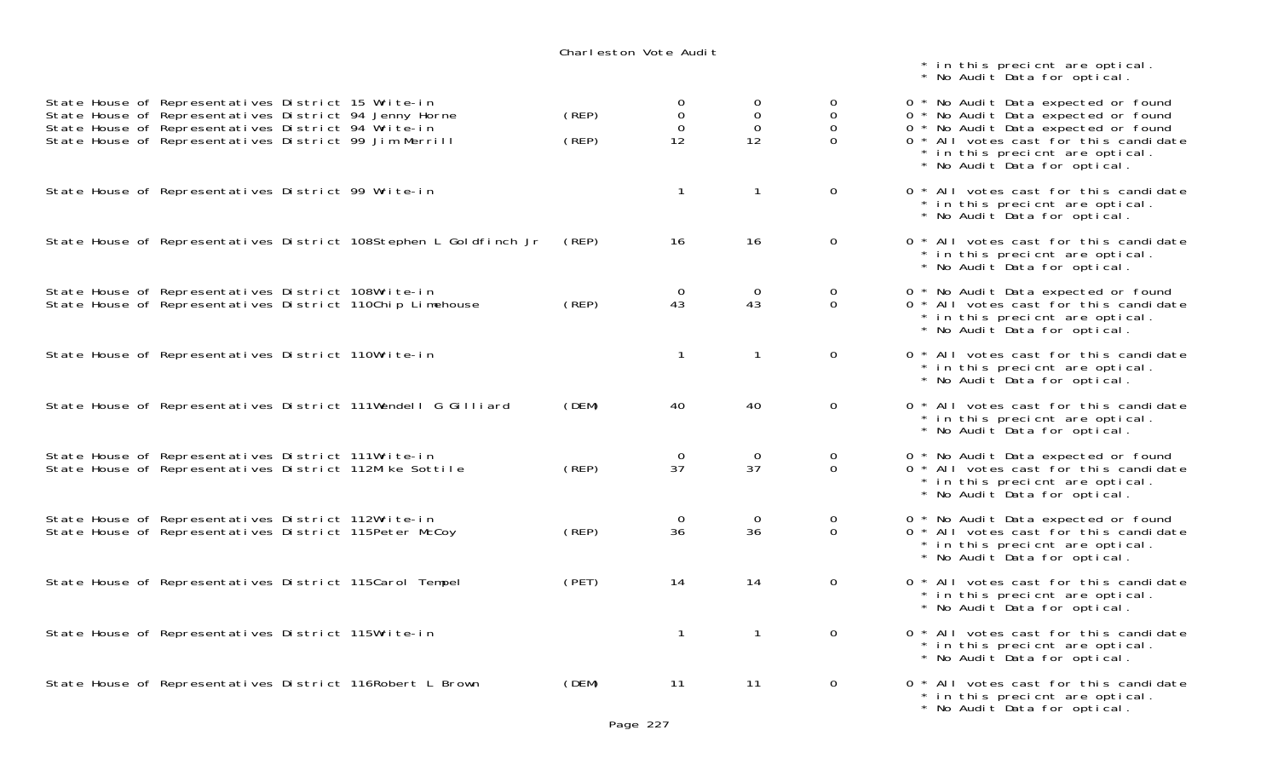|                                                                                                                                                                                                                                | Charleston Vote Audit                                      |                                       |                                              | * in this precient are optical.<br>* No Audit Data for optical.                                                                                                                                                               |
|--------------------------------------------------------------------------------------------------------------------------------------------------------------------------------------------------------------------------------|------------------------------------------------------------|---------------------------------------|----------------------------------------------|-------------------------------------------------------------------------------------------------------------------------------------------------------------------------------------------------------------------------------|
| State House of Representatives District 15 Write-in<br>State House of Representatives District 94 Jenny Horne<br>State House of Representatives District 94 Write-in<br>State House of Representatives District 99 Jim Merrill | 0<br>$\mathbf 0$<br>(REP)<br>$\overline{0}$<br>(REP)<br>12 | 0<br>$\mathbf 0$<br>$\mathbf 0$<br>12 | 0<br>$\mathbf 0$<br>$\mathbf{O}$<br>$\Omega$ | 0 * No Audit Data expected or found<br>0 * No Audit Data expected or found<br>0 * No Audit Data expected or found<br>0 * All votes cast for this candidate<br>* in this precient are optical.<br>* No Audit Data for optical. |
| State House of Representatives District 99 Write-in                                                                                                                                                                            |                                                            | $\mathbf{1}$                          | $\mathbf{0}$                                 | 0 * All votes cast for this candidate<br>* in this precient are optical.<br>* No Audit Data for optical.                                                                                                                      |
| State House of Representatives District 108Stephen L Goldfinch Jr                                                                                                                                                              | (REP)<br>16                                                | 16                                    | $\mathbf 0$                                  | 0 * All votes cast for this candidate<br>* in this precient are optical.<br>* No Audit Data for optical.                                                                                                                      |
| State House of Representatives District 108Write-in<br>State House of Representatives District 110Chip Limehouse                                                                                                               | $\overline{0}$<br>43<br>(REP)                              | $\overline{0}$<br>43                  | $\overline{0}$<br>$\Omega$                   | 0 * No Audit Data expected or found<br>0 * All votes cast for this candidate<br>* in this precient are optical.<br>* No Audit Data for optical.                                                                               |
| State House of Representatives District 110Write-in                                                                                                                                                                            |                                                            | -1                                    | $\mathbf{O}$                                 | 0 * All votes cast for this candidate<br>* in this precient are optical.<br>* No Audit Data for optical.                                                                                                                      |
| State House of Representatives District 111Wendell G Gilliard                                                                                                                                                                  | (DEM)<br>40                                                | 40                                    | $\mathbf{0}$                                 | 0 * All votes cast for this candidate<br>* in this precient are optical.<br>* No Audit Data for optical.                                                                                                                      |
| State House of Representatives District 111Write-in<br>State House of Representatives District 112Mike Sottile                                                                                                                 | $\overline{O}$<br>37<br>(REP)                              | $\mathbf 0$<br>37                     | $\mathbf{O}$<br>$\Omega$                     | 0 * No Audit Data expected or found<br>0 * All votes cast for this candidate<br>* in this precient are optical.<br>* No Audit Data for optical.                                                                               |
| State House of Representatives District 112Write-in<br>State House of Representatives District 115Peter McCoy                                                                                                                  | $\overline{0}$<br>36<br>(REP)                              | $\overline{O}$<br>36                  | $\overline{0}$<br>$\Omega$                   | 0 * No Audit Data expected or found<br>0 * All votes cast for this candidate<br>* in this precient are optical.<br>* No Audit Data for optical.                                                                               |
| State House of Representatives District 115Carol Tempel                                                                                                                                                                        | (PET)<br>14                                                | 14                                    | $\mathbf{0}$                                 | 0 * All votes cast for this candidate<br>* in this precient are optical.<br>* No Audit Data for optical.                                                                                                                      |
| State House of Representatives District 115Write-in                                                                                                                                                                            | $\mathbf{1}$                                               | $\mathbf{1}$                          | $\mathbf{0}$                                 | 0 * All votes cast for this candidate<br>* in this precient are optical.<br>* No Audit Data for optical.                                                                                                                      |
| State House of Representatives District 116Robert L Brown                                                                                                                                                                      | (DEM)<br>11                                                | 11                                    | $\overline{O}$                               | 0 * All votes cast for this candidate<br>* in this precient are optical.                                                                                                                                                      |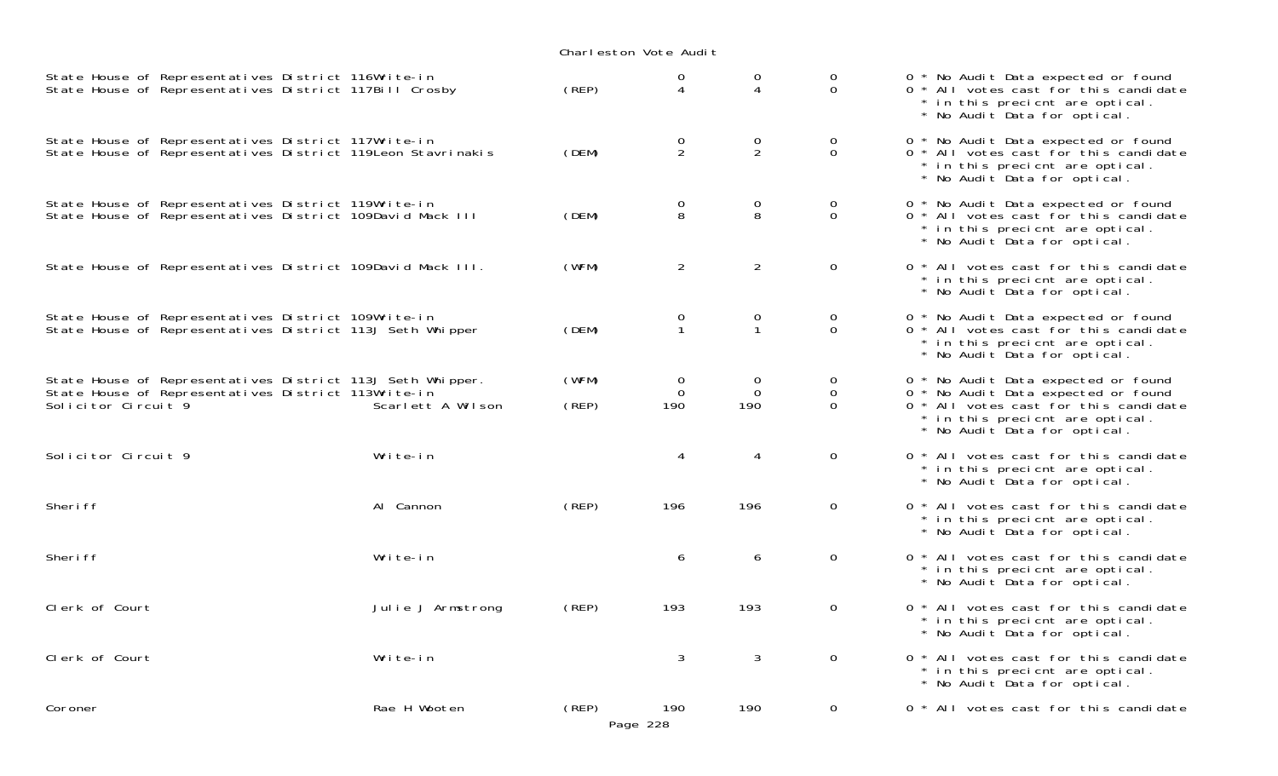| State House of Representatives District 116Write-in<br>State House of Representatives District 117Bill Crosby                            |                   | (REP)          | $\mathsf{O}\xspace$<br>$\overline{4}$ | $\Omega$<br>4                     | 0<br>$\overline{0}$             | 0 * No Audit Data expected or found<br>0 * All votes cast for this candidate<br>* in this precient are optical.<br>* No Audit Data for optical.                                        |
|------------------------------------------------------------------------------------------------------------------------------------------|-------------------|----------------|---------------------------------------|-----------------------------------|---------------------------------|----------------------------------------------------------------------------------------------------------------------------------------------------------------------------------------|
| State House of Representatives District 117Write-in<br>State House of Representatives District 119 Leon Stavrinakis                      |                   | (DEM)          | $\frac{0}{2}$                         | $\frac{0}{2}$                     | $\mathsf O$<br>$\overline{0}$   | 0 * No Audit Data expected or found<br>0 * All votes cast for this candidate<br>* in this precient are optical.<br>* No Audit Data for optical.                                        |
| State House of Representatives District 119Write-in<br>State House of Representatives District 109David Mack III                         |                   | (DEM)          | $\mathsf{O}\xspace$<br>8              | $_{8}^{\rm o}$                    | $\mathsf{O}$<br>$\overline{O}$  | 0 * No Audit Data expected or found<br>0 * All votes cast for this candidate<br>* in this precient are optical.<br>* No Audit Data for optical.                                        |
| State House of Representatives District 109David Mack III.                                                                               |                   | (WFM)          | $\overline{2}$                        | $\overline{2}$                    | $\overline{O}$                  | 0 * All votes cast for this candidate<br>* in this precient are optical.<br>* No Audit Data for optical.                                                                               |
| State House of Representatives District 109Write-in<br>State House of Representatives District 113J Seth Whipper                         |                   | (DEM)          | $\mathsf{O}\xspace$<br>$\mathbf 1$    | $\mathbf 0$<br>$\mathbf{1}$       | $\mathbf 0$<br>$\overline{0}$   | 0 * No Audit Data expected or found<br>0 * All votes cast for this candidate<br>* in this precient are optical.<br>* No Audit Data for optical.                                        |
| State House of Representatives District 113J Seth Whipper.<br>State House of Representatives District 113Write-in<br>Solicitor Circuit 9 | Scarlett A Wilson | (WFM)<br>(REP) | $\mathbf 0$<br>$\mathbf 0$<br>190     | $\mathbf 0$<br>$\mathbf 0$<br>190 | $\mathbf 0$<br>$\mathbf 0$<br>0 | 0 * No Audit Data expected or found<br>0 * No Audit Data expected or found<br>0 * All votes cast for this candidate<br>* in this precient are optical.<br>* No Audit Data for optical. |
| Solicitor Circuit 9                                                                                                                      | Write-in          |                | $\overline{4}$                        | 4                                 | $\overline{O}$                  | 0 * All votes cast for this candidate<br>* in this precient are optical.<br>* No Audit Data for optical.                                                                               |
| Sheri ff                                                                                                                                 | Al Cannon         | (REP)          | 196                                   | 196                               | $\mathsf{O}$                    | 0 * All votes cast for this candidate<br>* in this precient are optical.<br>* No Audit Data for optical.                                                                               |
| Sheri ff                                                                                                                                 | Write-in          |                | $\boldsymbol{6}$                      | 6                                 | $\overline{O}$                  | 0 * All votes cast for this candidate<br>* in this precient are optical.<br>* No Audit Data for optical.                                                                               |
| Clerk of Court                                                                                                                           | Julie J Armstrong | (REP)          | 193                                   | 193                               | $\overline{0}$                  | 0 * All votes cast for this candidate<br>* in this precient are optical.<br>* No Audit Data for optical.                                                                               |
| Clerk of Court                                                                                                                           | Write-in          |                | 3                                     | 3                                 | $\overline{0}$                  | 0 * All votes cast for this candidate<br>* in this precient are optical.<br>* No Audit Data for optical.                                                                               |
| Coroner                                                                                                                                  | Rae H Wooten      | (REP)          | 190<br>Page 228                       | 190                               | 0                               | 0 * All votes cast for this candidate                                                                                                                                                  |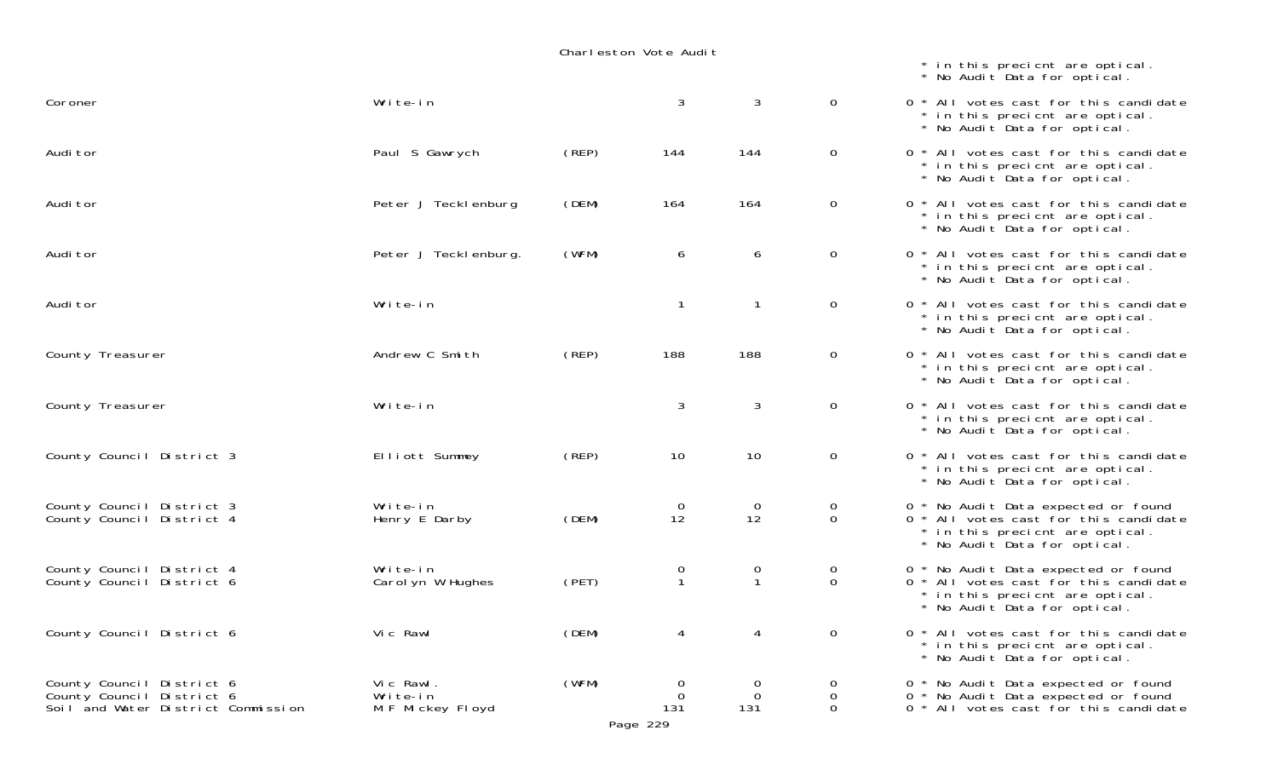| Coroner                                                                                      | Write-in                                  |       | $\mathbf{3}$            | $\mathbf{3}$                | $\mathbf 0$      |
|----------------------------------------------------------------------------------------------|-------------------------------------------|-------|-------------------------|-----------------------------|------------------|
| Audi tor                                                                                     | Paul S Gawrych                            | (REP) | 144                     | 144                         | $\mathbf 0$      |
| Audi tor                                                                                     | Peter J Teckl enburg                      | (DEM) | 164                     | 164                         | $\mathbf 0$      |
| Audi tor                                                                                     | Peter J Teckl enburg.                     | (WFM) | 6                       | 6                           | $\mathbf 0$      |
| Audi tor                                                                                     | Write-in                                  |       | $\mathbf{1}$            | $\mathbf{1}$                | $\mathbf 0$      |
| County Treasurer                                                                             | Andrew C Smith                            | (REP) | 188                     | 188                         | $\mathbf 0$      |
| County Treasurer                                                                             | Write-in                                  |       | 3                       | $\sqrt{3}$                  | $\mathbf 0$      |
| County Council District 3                                                                    | Elliott Summey                            | (REP) | 10                      | 10                          | $\mathbf 0$      |
| County Council District 3<br>County Council District 4                                       | Write-in<br>Henry E Darby                 | (DEM) | $\mathbf 0$<br>12       | $\mathbf 0$<br>12           | 0<br>$\Omega$    |
| County Council District 4<br>County Council District 6                                       | Write-in<br>Carol yn W Hughes             | (PET) | 0<br>$\mathbf{1}$       | $\mathbf 0$<br>$\mathbf{1}$ | $\mathbf 0$<br>0 |
| County Council District 6                                                                    | Vi c Rawl                                 | (DEM) | 4                       | 4                           | $\boldsymbol{0}$ |
| County Council District 6<br>County Council District 6<br>Soil and Water District Commission | Vic Rawl.<br>Write-in<br>M F Mickey Floyd | (WFM) | 0<br>$\mathbf 0$<br>131 | 0<br>$\mathbf 0$<br>131     | 0<br>0<br>0      |

 $0 * All votes cast for this candidate$  \* in this precicnt are optical. \* No Audit Data for optical.  $0 * All votes cast for this candidate$  \* in this precicnt are optical. \* No Audit Data for optical.  $0 * All votes cast for this candidate$  \* in this precicnt are optical. \* No Audit Data for optical.  $0 * All votes cast for this candidate$  \* in this precicnt are optical. \* No Audit Data for optical.  $0 * All votes cast for this candidate$  \* in this precicnt are optical. \* No Audit Data for optical.  $0 * All votes cast for this candidate$  \* in this precicnt are optical. \* No Audit Data for optical.  $0 * All votes cast for this candidate$  \* in this precicnt are optical. \* No Audit Data for optical.  $0 * All votes cast for this candidate$  \* in this precicnt are optical. \* No Audit Data for optical.  $0 *$  No Audit Data expected or found  $0 * All votes cast for this candidate$  \* in this precicnt are optical. \* No Audit Data for optical.  $0 *$  No Audit Data expected or found  $0 * All votes cast for this candidate$  \* in this precicnt are optical. \* No Audit Data for optical.  $0 * All votes cast for this candidate$  \* in this precicnt are optical. \* No Audit Data for optical.  $0 *$  No Audit Data expected or found

 \* in this precicnt are optical. \* No Audit Data for optical.

- $0 *$  No Audit Data expected or found
- $\sigma$  \* All votes cast for this candidate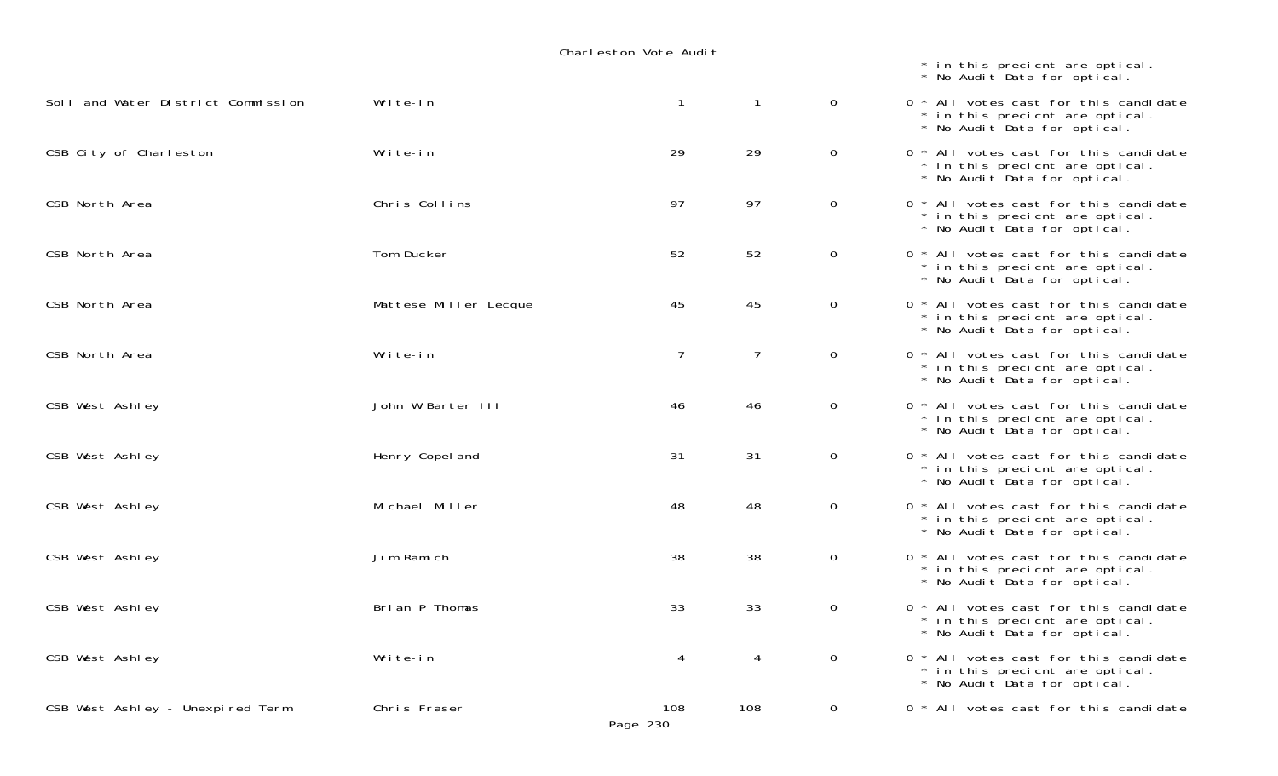|                                    |                       |                 |                |                | * in this precient are optical.<br>* No Audit Data for optical.                                          |
|------------------------------------|-----------------------|-----------------|----------------|----------------|----------------------------------------------------------------------------------------------------------|
| Soil and Water District Commission | Write-in              | $\mathbf{1}$    | $\mathbf{1}$   | $\overline{0}$ | 0 * All votes cast for this candidate<br>* in this precient are optical.<br>* No Audit Data for optical. |
| CSB City of Charleston             | Write-in              | 29              | 29             | $\mathsf{O}$   | 0 * All votes cast for this candidate<br>* in this precient are optical.<br>* No Audit Data for optical. |
| CSB North Area                     | Chris Collins         | 97              | 97             | $\mathsf{O}$   | 0 * All votes cast for this candidate<br>* in this precient are optical.<br>* No Audit Data for optical. |
| CSB North Area                     | Tom Ducker            | 52              | 52             | 0              | 0 * All votes cast for this candidate<br>* in this precient are optical.<br>* No Audit Data for optical. |
| CSB North Area                     | Mattese Miller Lecque | 45              | 45             | $\mathsf{O}$   | 0 * All votes cast for this candidate<br>* in this precient are optical.<br>* No Audit Data for optical. |
| CSB North Area                     | Write-in              | $\overline{7}$  | $\overline{7}$ | $\mathsf{O}$   | 0 * All votes cast for this candidate<br>* in this precient are optical.<br>* No Audit Data for optical. |
| CSB West Ashley                    | John W Barter III     | 46              | 46             | 0              | 0 * All votes cast for this candidate<br>* in this precient are optical.<br>* No Audit Data for optical. |
| CSB West Ashley                    | Henry Copel and       | 31              | 31             | 0              | 0 * All votes cast for this candidate<br>* in this precient are optical.<br>* No Audit Data for optical. |
| CSB West Ashley                    | Michael Miller        | 48              | 48             | $\mathsf{O}$   | 0 * All votes cast for this candidate<br>* in this precient are optical.<br>* No Audit Data for optical. |
| CSB West Ashley                    | Jim Ramich            | 38              | 38             | $\mathsf{O}$   | 0 * All votes cast for this candidate<br>* in this precient are optical.<br>* No Audit Data for optical. |
| CSB West Ashley                    | Brian P Thomas        | 33              | 33             | $\mathsf{O}$   | 0 * All votes cast for this candidate<br>* in this precient are optical.<br>* No Audit Data for optical. |
| CSB West Ashley                    | Write-in              | 4               | 4              | $\mathsf{O}$   | 0 * All votes cast for this candidate<br>* in this precient are optical.<br>* No Audit Data for optical. |
| CSB West Ashley - Unexpired Term   | Chris Fraser          | 108<br>Page 230 | 108            | 0              | 0 * All votes cast for this candidate                                                                    |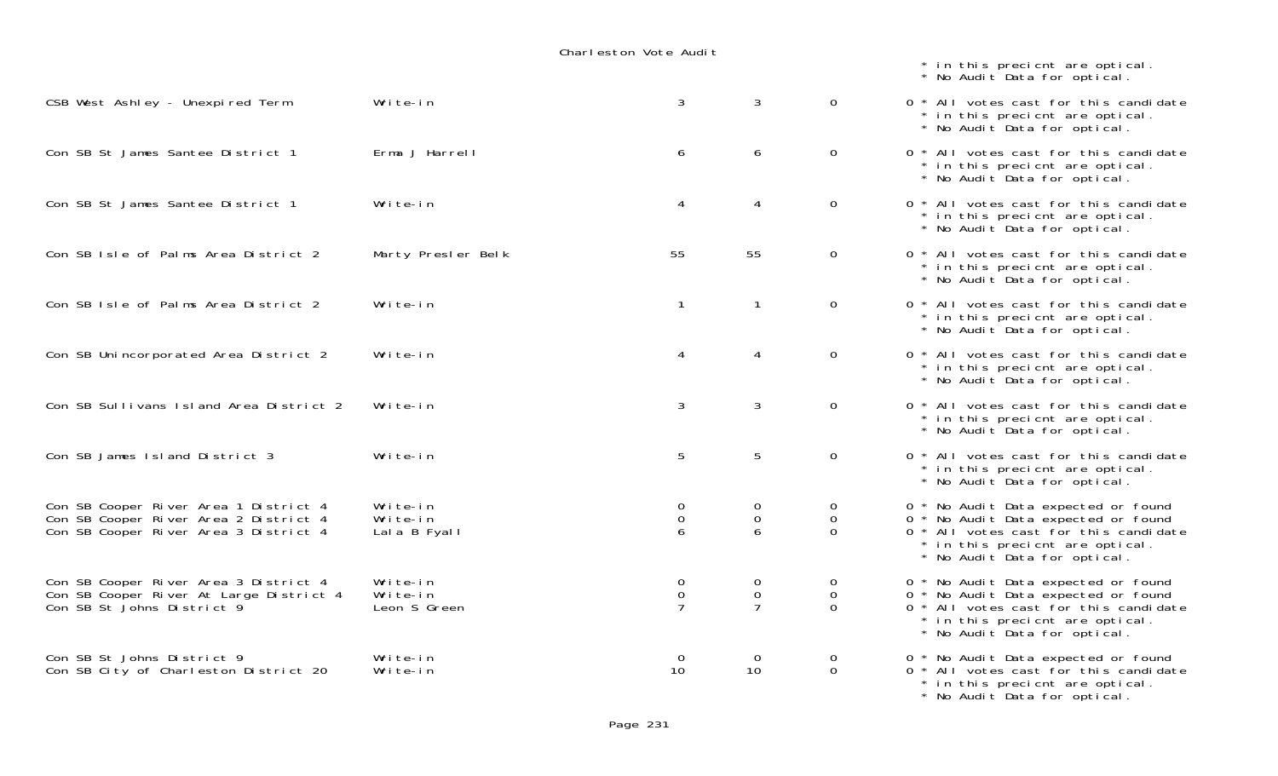|                                                                                                                         |                                      |                                               |                                               |                           | * in this precient are optical.<br>* No Audit Data for optical.                                                                                                                        |
|-------------------------------------------------------------------------------------------------------------------------|--------------------------------------|-----------------------------------------------|-----------------------------------------------|---------------------------|----------------------------------------------------------------------------------------------------------------------------------------------------------------------------------------|
| CSB West Ashley - Unexpired Term                                                                                        | Write-in                             | 3                                             | 3                                             | $\overline{0}$            | 0 * All votes cast for this candidate<br>* in this precient are optical.<br>* No Audit Data for optical.                                                                               |
| Con SB St James Santee District 1                                                                                       | Erma J Harrell                       | 6                                             | 6                                             | 0                         | 0 * All votes cast for this candidate<br>* in this precient are optical.<br>* No Audit Data for optical.                                                                               |
| Con SB St James Santee District 1                                                                                       | Write-in                             | 4                                             | $\overline{4}$                                | 0                         | 0 * All votes cast for this candidate<br>* in this precicnt are optical.<br>* No Audit Data for optical.                                                                               |
| Con SB Isle of Palms Area District 2                                                                                    | Marty Presler Belk                   | 55                                            | 55                                            | $\mathbf 0$               | 0 * All votes cast for this candidate<br>* in this precient are optical.<br>* No Audit Data for optical.                                                                               |
| Con SB Isle of Palms Area District 2                                                                                    | Write-in                             | $\mathbf{1}$                                  | $\mathbf{1}$                                  | $\Omega$                  | 0 * All votes cast for this candidate<br>* in this precient are optical.<br>* No Audit Data for optical.                                                                               |
| Con SB Unincorporated Area District 2                                                                                   | Write-in                             | 4                                             | 4                                             | 0                         | 0 * All votes cast for this candidate<br>* in this precient are optical.<br>* No Audit Data for optical.                                                                               |
| Con SB Sullivans Island Area District 2                                                                                 | Write-in                             | 3                                             | 3                                             | $\overline{0}$            | 0 * All votes cast for this candidate<br>* in this precient are optical.<br>* No Audit Data for optical.                                                                               |
| Con SB James Island District 3                                                                                          | Write-in                             | 5                                             | 5                                             | 0                         | 0 * All votes cast for this candidate<br>* in this precient are optical.<br>* No Audit Data for optical.                                                                               |
| Con SB Cooper River Area 1 District 4<br>Con SB Cooper River Area 2 District 4<br>Con SB Cooper River Area 3 District 4 | Write-in<br>Write-in<br>Lala B Fyall | 0<br>0<br>6                                   | 0<br>$\mathbf 0$<br>6                         | 0<br>$\Omega$<br>$\Omega$ | 0 * No Audit Data expected or found<br>0 * No Audit Data expected or found<br>0 * All votes cast for this candidate<br>* in this precient are optical.<br>* No Audit Data for optical. |
| Con SB Cooper River Area 3 District 4<br>Con SB Cooper River At Large District 4<br>Con SB St Johns District 9          | Write-in<br>Write-in<br>Leon S Green | $\mathbf 0$<br>$\mathsf{O}$<br>$\overline{7}$ | $\mathbf 0$<br>$\mathbf{0}$<br>$\overline{7}$ | 0<br>$\Omega$<br>$\Omega$ | 0 * No Audit Data expected or found<br>0 * No Audit Data expected or found<br>0 * All votes cast for this candidate<br>* in this precient are optical.<br>* No Audit Data for optical. |
| Con SB St Johns District 9<br>Con SB City of Charleston District 20                                                     | Write-in<br>Write-in                 | $\overline{0}$<br>10 <sup>2</sup>             | $\Omega$<br>10                                | $\mathbf 0$<br>$\Omega$   | 0 * No Audit Data expected or found<br>0 * All votes cast for this candidate<br>* in this precient are optical.<br>* No Audit Data for optical.                                        |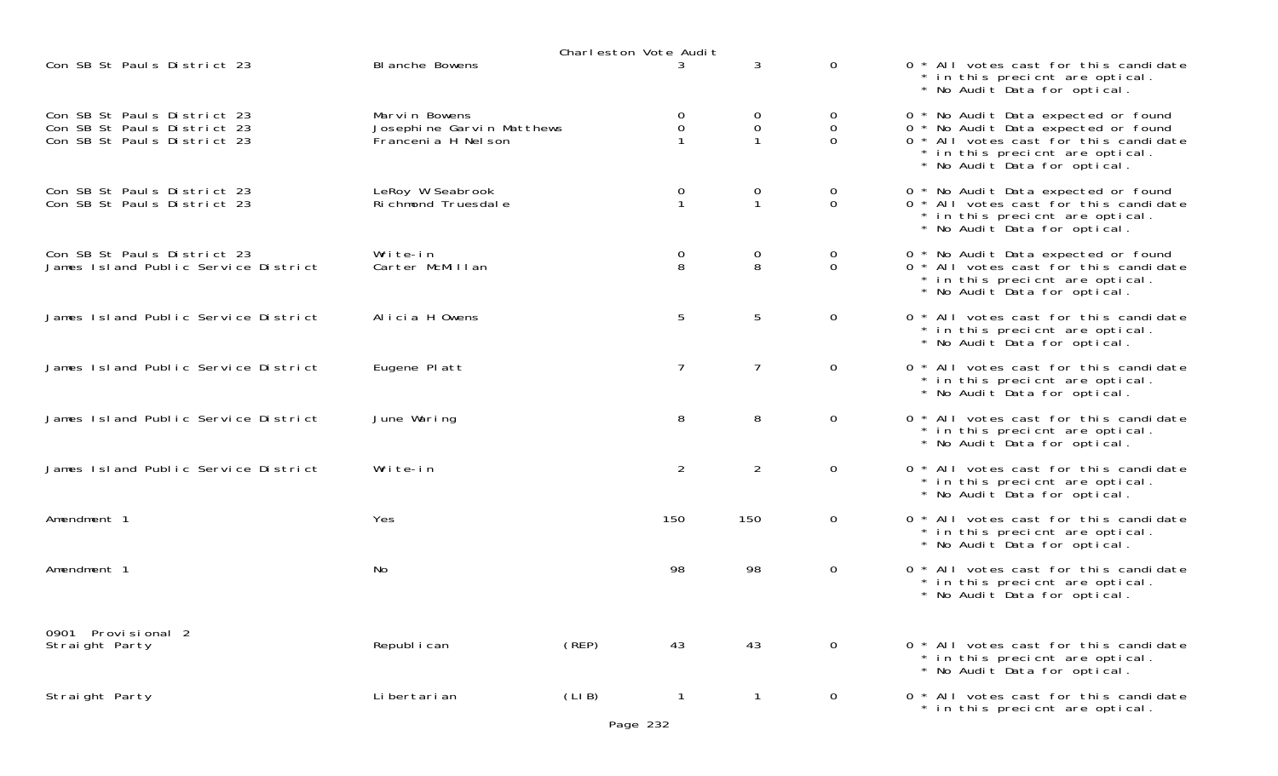|                                                                                           |                                                                   | Charleston Vote Audit |                                      |                   |                              |                                                                                                                                                                                        |
|-------------------------------------------------------------------------------------------|-------------------------------------------------------------------|-----------------------|--------------------------------------|-------------------|------------------------------|----------------------------------------------------------------------------------------------------------------------------------------------------------------------------------------|
| Con SB St Pauls District 23                                                               | <b>BI anche Bowens</b>                                            |                       | 3                                    | 3                 | $\mathbf 0$                  | 0 * All votes cast for this candidate<br>* in this precient are optical.<br>* No Audit Data for optical.                                                                               |
| Con SB St Pauls District 23<br>Con SB St Pauls District 23<br>Con SB St Pauls District 23 | Marvin Bowens<br>Josephine Garvin Matthews<br>Francenia H Nel son |                       | 0<br>$\mathbf 0$                     | 0<br>0            | 0<br>$\mathbf 0$<br>$\Omega$ | 0 * No Audit Data expected or found<br>0 * No Audit Data expected or found<br>0 * All votes cast for this candidate<br>* in this precient are optical.<br>* No Audit Data for optical. |
| Con SB St Pauls District 23<br>Con SB St Pauls District 23                                | LeRoy W Seabrook<br>Ri chmond Truesdal e                          |                       | $\mathbf 0$<br>$\mathbf{1}$          | 0<br>$\mathbf{1}$ | 0<br>$\mathbf 0$             | 0 * No Audit Data expected or found<br>0 * All votes cast for this candidate<br>* in this precient are optical.<br>* No Audit Data for optical.                                        |
| Con SB St Pauls District 23<br>James Island Public Service District                       | Write-in<br>Carter McMillan                                       |                       | $\begin{matrix} 0 \\ 8 \end{matrix}$ | 0<br>8            | 0<br>$\mathbf 0$             | 0 * No Audit Data expected or found<br>0 * All votes cast for this candidate<br>* in this precient are optical.<br>* No Audit Data for optical.                                        |
| James Island Public Service District                                                      | Alicia H Owens                                                    |                       | 5                                    | 5                 | $\mathbf 0$                  | 0 * All votes cast for this candidate<br>* in this precient are optical.<br>* No Audit Data for optical.                                                                               |
| James Island Public Service District                                                      | Eugene Platt                                                      |                       | $\overline{7}$                       | $\overline{7}$    | $\overline{0}$               | 0 * All votes cast for this candidate<br>* in this precient are optical.<br>* No Audit Data for optical.                                                                               |
| James Island Public Service District                                                      | June Waring                                                       |                       | 8                                    | 8                 | $\mathbf 0$                  | 0 * All votes cast for this candidate<br>* in this precient are optical.<br>* No Audit Data for optical.                                                                               |
| James Island Public Service District                                                      | Write-in                                                          |                       | $\overline{2}$                       | $\overline{2}$    | $\mathbf 0$                  | 0 * All votes cast for this candidate<br>* in this precient are optical.<br>* No Audit Data for optical.                                                                               |
| Amendment 1                                                                               | Yes                                                               | 150                   |                                      | 150               | $\overline{0}$               | 0 * All votes cast for this candidate<br>* in this precient are optical.<br>* No Audit Data for optical.                                                                               |
| Amendment 1                                                                               | No                                                                |                       | 98                                   | 98                | 0                            | 0 * All votes cast for this candidate<br>* in this precient are optical.<br>* No Audit Data for optical.                                                                               |
| 0901 Provisional 2<br>Straight Party                                                      | Republ i can                                                      | (REP)                 | 43                                   | 43                | 0                            | 0 * All votes cast for this candidate<br>* in this precient are optical.<br>* No Audit Data for optical.                                                                               |
| Straight Party                                                                            | Li bertari an                                                     | (LIB)<br>Page 232     | $\mathbf 1$                          | -1                | $\overline{0}$               | 0 * All votes cast for this candidate<br>* in this precient are optical.                                                                                                               |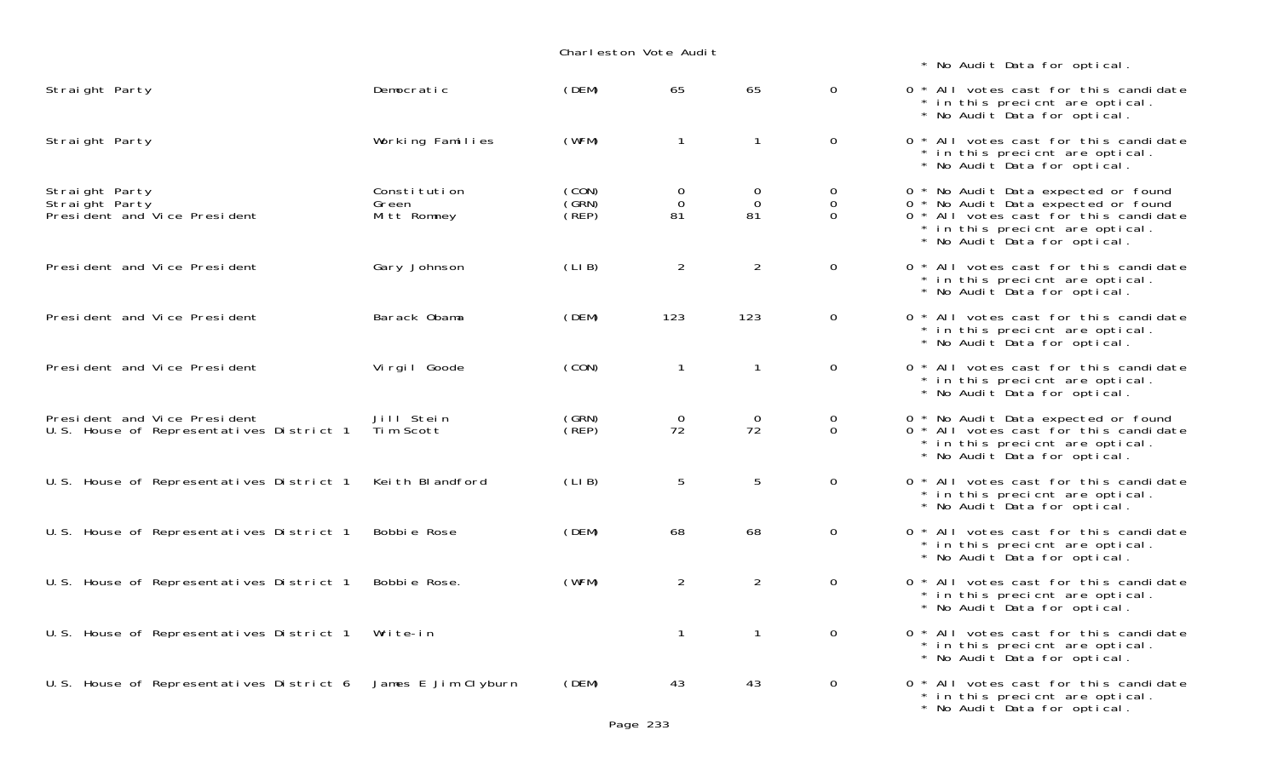|                                                                          | Charleston Vote Audit                |                         |                               |                        |                                        |                                         |
|--------------------------------------------------------------------------|--------------------------------------|-------------------------|-------------------------------|------------------------|----------------------------------------|-----------------------------------------|
| Straight Party                                                           | Democratic                           | (DEM)                   | 65                            | 65                     | $\mathbf 0$                            | 0 <sup>1</sup>                          |
| Straight Party                                                           | Working Families                     | (WFM)                   | $\mathbf{1}$                  | $\mathbf{1}$           | $\mathbf 0$                            | 0 <sup>1</sup>                          |
| Straight Party<br>Straight Party<br>Presi dent and Vice Presi dent       | Constitution<br>Green<br>Mitt Romney | (CON)<br>(GRN)<br>(REP) | $\mathbf 0$<br>$\Omega$<br>81 | 0<br>$\mathbf 0$<br>81 | $\mathbf 0$<br>$\mathbf 0$<br>$\Omega$ | $0 *$<br>$\mathbf{O}$<br>0 <sup>4</sup> |
| President and Vice President                                             | Gary Johnson                         | (LIB)                   | $\overline{2}$                | 2                      | 0                                      | 0 <sup>1</sup>                          |
| President and Vice President                                             | Barack Obama                         | (DEM)                   | 123                           | 123                    | $\mathbf 0$                            | 0 <sup>1</sup>                          |
| President and Vice President                                             | Vi rgi I Goode                       | (CON)                   | $\mathbf{1}$                  | $\mathbf{1}$           | $\mathsf{O}$                           | 0 <sup>1</sup>                          |
| President and Vice President<br>U.S. House of Representatives District 1 | Jill Stein<br>Tim Scott              | (GRN)<br>(REP)          | $\mathbf 0$<br>72             | 0<br>72                | 0<br>$\mathbf 0$                       | $0$ ,<br>0 <sup>4</sup>                 |
| U.S. House of Representatives District 1                                 | Keith Blandford                      | (LIB)                   | 5                             | 5                      | $\mathbf 0$                            | 0 <sup>4</sup>                          |
| U.S. House of Representatives District 1                                 | Bobbie Rose                          | (DEM)                   | 68                            | 68                     | 0                                      | $0$ $*$                                 |
| U.S. House of Representatives District 1                                 | Bobbie Rose.                         | (WFM)                   | 2                             | $\overline{2}$         | $\mathbf 0$                            | 0 <sup>1</sup>                          |
| U.S. House of Representatives District 1                                 | Write-in                             |                         | $\mathbf{1}$                  | $\mathbf{1}$           | $\mathbf 0$                            | 0 <sup>4</sup>                          |
| U.S. House of Representatives District 6                                 | James E Jim Clyburn                  | (DEM)                   | 43                            | 43                     | $\mathbf 0$                            | 0 <sup>1</sup>                          |

\* No Audit Data for optical.

 $*$  ALL votes cast for this candidate \* in this precicnt are optical. \* No Audit Data for optical.  $*$  All votes cast for this candidate \* in this precicnt are optical. \* No Audit Data for optical. \* No Audit Data expected or found \* No Audit Data expected or found  $*$  All votes cast for this candidate \* in this precicnt are optical. \* No Audit Data for optical.  $*$  All votes cast for this candidate \* in this precicnt are optical. \* No Audit Data for optical.  $*$  ALL votes cast for this candidate \* in this precicnt are optical. \* No Audit Data for optical.  $*$  All votes cast for this candidate \* in this precicnt are optical. \* No Audit Data for optical.  $*$  No Audit Data expected or found \* All votes cast for this candidate \* in this precicnt are optical. \* No Audit Data for optical.  $*$  ALL votes cast for this candidate \* in this precicnt are optical. \* No Audit Data for optical. \* All votes cast for this candidate \* in this precicnt are optical. \* No Audit Data for optical. \* All votes cast for this candidate \* in this precicnt are optical. \* No Audit Data for optical. \* All votes cast for this candidate \* in this precicnt are optical. \* No Audit Data for optical. \* ALL votes cast for this candidate \* in this precicnt are optical.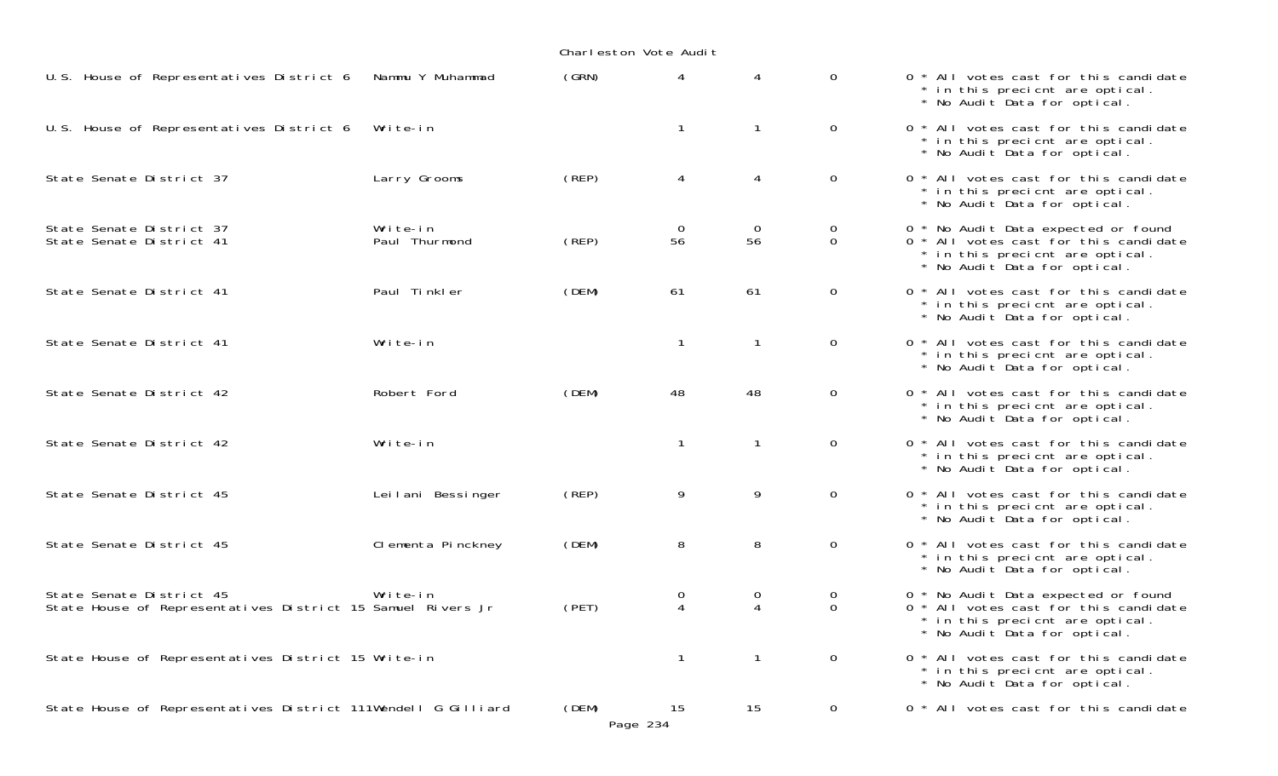| U.S. House of Representatives District 6                                                | Nammu Y Muhammad          | (GRN) | 4              |                      | $\overline{0}$ | 0 * All votes cast for this candidate<br>* in this precient are optical.<br>* No Audit Data for optical.                                        |
|-----------------------------------------------------------------------------------------|---------------------------|-------|----------------|----------------------|----------------|-------------------------------------------------------------------------------------------------------------------------------------------------|
| U.S. House of Representatives District 6                                                | Write-in                  |       | $\mathbf{1}$   | 1                    | $\overline{0}$ | 0 * All votes cast for this candidate<br>* in this precient are optical.<br>* No Audit Data for optical.                                        |
| State Senate District 37                                                                | Larry Grooms              | (REP) | $\overline{4}$ | 4                    | $\mathbf 0$    | 0 * All votes cast for this candidate<br>* in this precient are optical.<br>* No Audit Data for optical.                                        |
| State Senate District 37<br>State Senate District 41                                    | Write-in<br>Paul Thurmond | (REP) | 0<br>56        | $\overline{0}$<br>56 | 0<br>$\Omega$  | 0 * No Audit Data expected or found<br>0 * All votes cast for this candidate<br>* in this precient are optical.<br>* No Audit Data for optical. |
| State Senate District 41                                                                | Paul Tinkler              | (DEM) | 61             | 61                   | $\mathbf 0$    | 0 * All votes cast for this candidate<br>* in this precient are optical.<br>* No Audit Data for optical.                                        |
| State Senate District 41                                                                | Write-in                  |       | $\mathbf{1}$   | $\mathbf{1}$         | $\overline{0}$ | 0 * All votes cast for this candidate<br>* in this precient are optical.<br>* No Audit Data for optical.                                        |
| State Senate District 42                                                                | Robert Ford               | (DEM) | 48             | 48                   | $\mathbf{O}$   | 0 * All votes cast for this candidate<br>* in this precient are optical.<br>* No Audit Data for optical.                                        |
| State Senate District 42                                                                | Write-in                  |       | $\mathbf{1}$   | $\mathbf{1}$         | $\mathbf 0$    | 0 * All votes cast for this candidate<br>* in this precient are optical.<br>* No Audit Data for optical.                                        |
| State Senate District 45                                                                | Leilani Bessinger         | (REP) | 9              | 9                    | $\mathbf 0$    | 0 * All votes cast for this candidate<br>* in this precient are optical.<br>* No Audit Data for optical.                                        |
| State Senate District 45                                                                | Clementa Pinckney         | (DEM) | 8              | 8                    | $\mathbf{O}$   | 0 * All votes cast for this candidate<br>* in this precient are optical.<br>* No Audit Data for optical.                                        |
| State Senate District 45<br>State House of Representatives District 15 Samuel Rivers Jr | Write-in                  | (PET) | 0<br>4         | 0<br>4               | 0<br>$\Omega$  | 0 * No Audit Data expected or found<br>0 * All votes cast for this candidate<br>* in this precient are optical.<br>* No Audit Data for optical. |
| State House of Representatives District 15 Write-in                                     |                           |       | 1              |                      | $\overline{0}$ | 0 * All votes cast for this candidate<br>* in this precient are optical.<br>* No Audit Data for optical.                                        |
| State House of Representatives District 111Wendell G Gilliard                           |                           | (DEM) | 15<br>Page 234 | 15                   | 0              | 0 * All votes cast for this candidate                                                                                                           |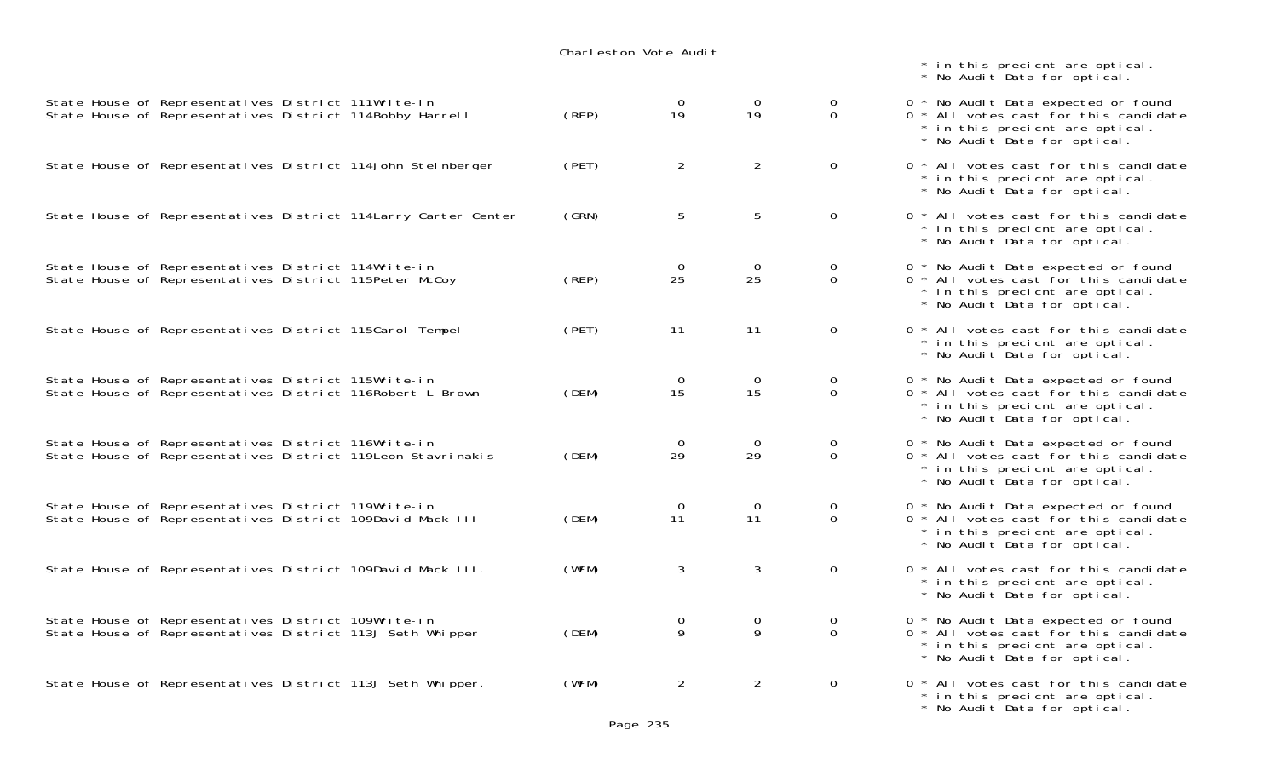|                                                                                                                    |       |                      |                      |                                | * in this precient are optical.<br>* No Audit Data for optical.                                                                                 |
|--------------------------------------------------------------------------------------------------------------------|-------|----------------------|----------------------|--------------------------------|-------------------------------------------------------------------------------------------------------------------------------------------------|
| State House of Representatives District 111Write-in<br>State House of Representatives District 114Bobby Harrell    | (REP) | 0<br>19              | $\overline{0}$<br>19 | $\mathbf{O}$<br>$\Omega$       | 0 * No Audit Data expected or found<br>0 * All votes cast for this candidate<br>* in this precient are optical.<br>* No Audit Data for optical. |
| State House of Representatives District 114John Steinberger                                                        | (PET) | $\overline{2}$       | $\overline{2}$       | $\overline{0}$                 | 0 * All votes cast for this candidate<br>* in this precient are optical.<br>* No Audit Data for optical.                                        |
| State House of Representatives District 114 Larry Carter Center                                                    | (GRN) | 5                    | 5                    | $\mathbf{0}$                   | 0 * All votes cast for this candidate<br>* in this precient are optical.<br>* No Audit Data for optical.                                        |
| State House of Representatives District 114Write-in<br>State House of Representatives District 115Peter McCoy      | (REP) | $\overline{0}$<br>25 | $\mathbf{O}$<br>25   | $\mathbf{0}$<br>$\overline{0}$ | 0 * No Audit Data expected or found<br>0 * All votes cast for this candidate<br>* in this precient are optical.<br>* No Audit Data for optical. |
| State House of Representatives District 115Carol Tempel                                                            | (PET) | 11                   | 11                   | $\mathsf{O}$                   | 0 * All votes cast for this candidate<br>* in this precient are optical.<br>* No Audit Data for optical.                                        |
| State House of Representatives District 115Write-in<br>State House of Representatives District 116Robert L Brown   | (DEM) | 0<br>15              | $\mathbf{O}$<br>15   | $\mathbf{0}$<br>$\Omega$       | 0 * No Audit Data expected or found<br>0 * All votes cast for this candidate<br>* in this precient are optical.<br>* No Audit Data for optical. |
| State House of Representatives District 116Write-in<br>State House of Representatives District 119Leon Stavrinakis | (DEM) | 0<br>29              | 0<br>29              | 0<br>$\overline{0}$            | 0 * No Audit Data expected or found<br>0 * All votes cast for this candidate<br>* in this precient are optical.<br>* No Audit Data for optical. |
| State House of Representatives District 119Write-in<br>State House of Representatives District 109David Mack III   | (DEM) | $\mathbf{O}$<br>11   | $\overline{0}$<br>11 | $\mathbf{O}$<br>$\Omega$       | 0 * No Audit Data expected or found<br>0 * All votes cast for this candidate<br>* in this precient are optical.<br>* No Audit Data for optical. |
| State House of Representatives District 109David Mack III.                                                         | (WFM) | 3                    | 3                    | $\mathsf{O}$                   | 0 * All votes cast for this candidate<br>in this precient are optical.<br>* No Audit Data for optical.                                          |
| State House of Representatives District 109Write-in<br>State House of Representatives District 113J Seth Whipper   | (DEM) | 0<br>9               | 0<br>9               | 0<br>$\Omega$                  | 0 * No Audit Data expected or found<br>0 * All votes cast for this candidate<br>* in this precient are optical.<br>* No Audit Data for optical. |
| State House of Representatives District 113J Seth Whipper.                                                         | (WFM) | $\overline{2}$       | $\overline{2}$       | $\mathsf{O}$                   | 0 * All votes cast for this candidate<br>in this precient are optical.<br>No Audit Data for optical.                                            |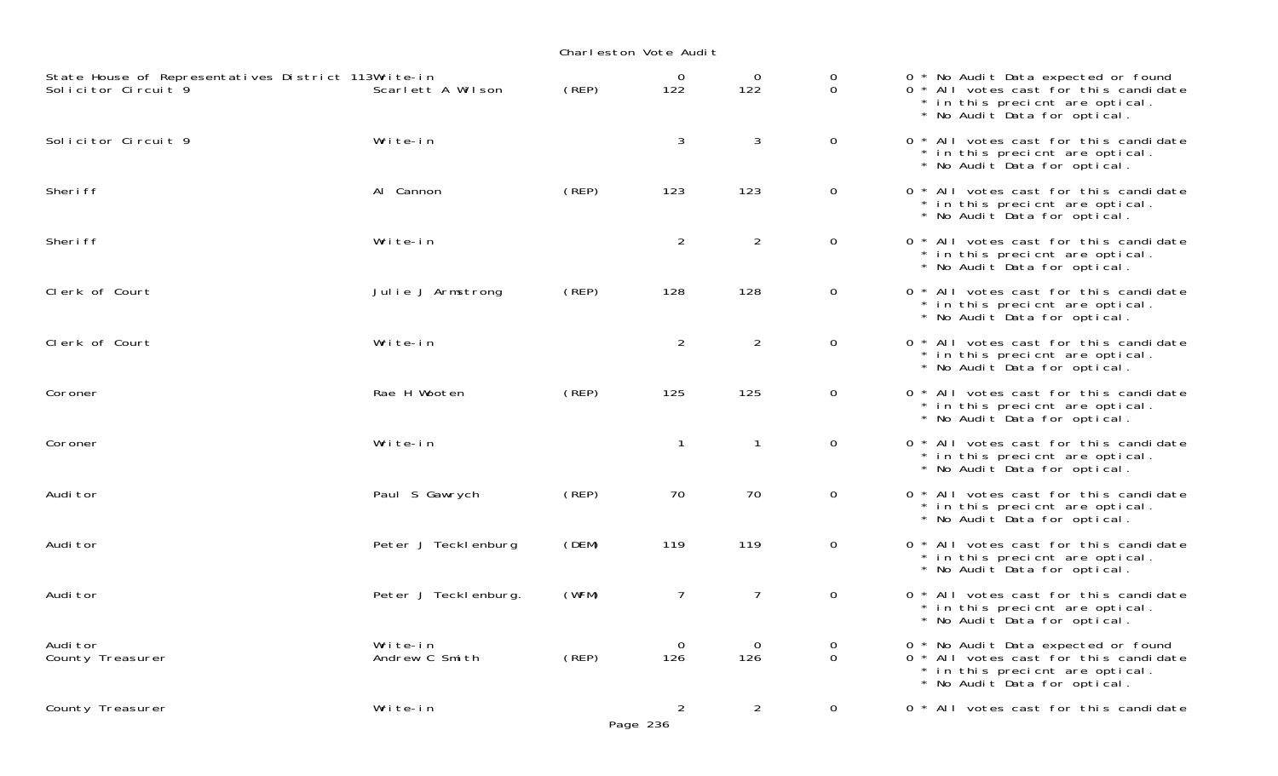| State House of Representatives District 113Write-in<br>Solicitor Circuit 9 | Scarlett A Wilson          | (REP)       | 0<br>122                   | 0<br>122       | 0<br>$\mathbf 0$ | 0 * No Audit Data expected or found<br>0 * All votes cast for this candidate<br>* in this precient are optical.<br>* No Audit Data for optical. |
|----------------------------------------------------------------------------|----------------------------|-------------|----------------------------|----------------|------------------|-------------------------------------------------------------------------------------------------------------------------------------------------|
| Solicitor Circuit 9                                                        | Write-in                   |             | 3                          | $\mathbf{3}$   | $\mathbf 0$      | 0 * All votes cast for this candidate<br>* in this precient are optical.<br>* No Audit Data for optical.                                        |
| Sheri ff                                                                   | Al Cannon                  | (REP)       | 123                        | 123            | $\overline{0}$   | 0 * All votes cast for this candidate<br>* in this precient are optical.<br>* No Audit Data for optical.                                        |
| Sheri ff                                                                   | Write-in                   |             | $\overline{2}$             | $\overline{2}$ | $\overline{0}$   | 0 * All votes cast for this candidate<br>* in this precient are optical.<br>* No Audit Data for optical.                                        |
| Clerk of Court                                                             | Julie J Armstrong          | $($ REP $)$ | 128                        | 128            | $\overline{0}$   | 0 * All votes cast for this candidate<br>* in this precient are optical.<br>* No Audit Data for optical.                                        |
| Clerk of Court                                                             | Write-in                   |             | $\overline{2}$             | $\overline{2}$ | $\mathbf 0$      | 0 * All votes cast for this candidate<br>* in this precient are optical.<br>* No Audit Data for optical.                                        |
| Coroner                                                                    | Rae H Wooten               | (REP)       | 125                        | 125            | $\overline{0}$   | 0 * All votes cast for this candidate<br>* in this precient are optical.<br>* No Audit Data for optical.                                        |
| Coroner                                                                    | Write-in                   |             | $\mathbf{1}$               | $\mathbf{1}$   | $\mathbf 0$      | 0 * All votes cast for this candidate<br>* in this precient are optical.<br>* No Audit Data for optical.                                        |
| Audi tor                                                                   | Paul S Gawrych             | (REP)       | 70                         | 70             | $\mathbf 0$      | 0 * All votes cast for this candidate<br>* in this precient are optical.<br>* No Audit Data for optical.                                        |
| Audi tor                                                                   | Peter J Teckl enburg       | (DEM)       | 119                        | 119            | $\mathbf 0$      | 0 * All votes cast for this candidate<br>* in this precient are optical.<br>* No Audit Data for optical.                                        |
| Audi tor                                                                   | Peter J Teckl enburg.      | (WFM)       | $\overline{7}$             | $\overline{7}$ | $\overline{0}$   | 0 * All votes cast for this candidate<br>* in this precient are optical.<br>* No Audit Data for optical.                                        |
| Audi tor<br>County Treasurer                                               | Write-in<br>Andrew C Smith | (REP)       | $\mathbf 0$<br>126         | 0<br>126       | 0<br>$\mathbf 0$ | 0 * No Audit Data expected or found<br>0 * All votes cast for this candidate<br>* in this precient are optical.<br>* No Audit Data for optical. |
| County Treasurer                                                           | Write-in                   |             | $\overline{2}$<br>Page 236 | $\overline{2}$ | $\mathbf 0$      | 0 * All votes cast for this candidate                                                                                                           |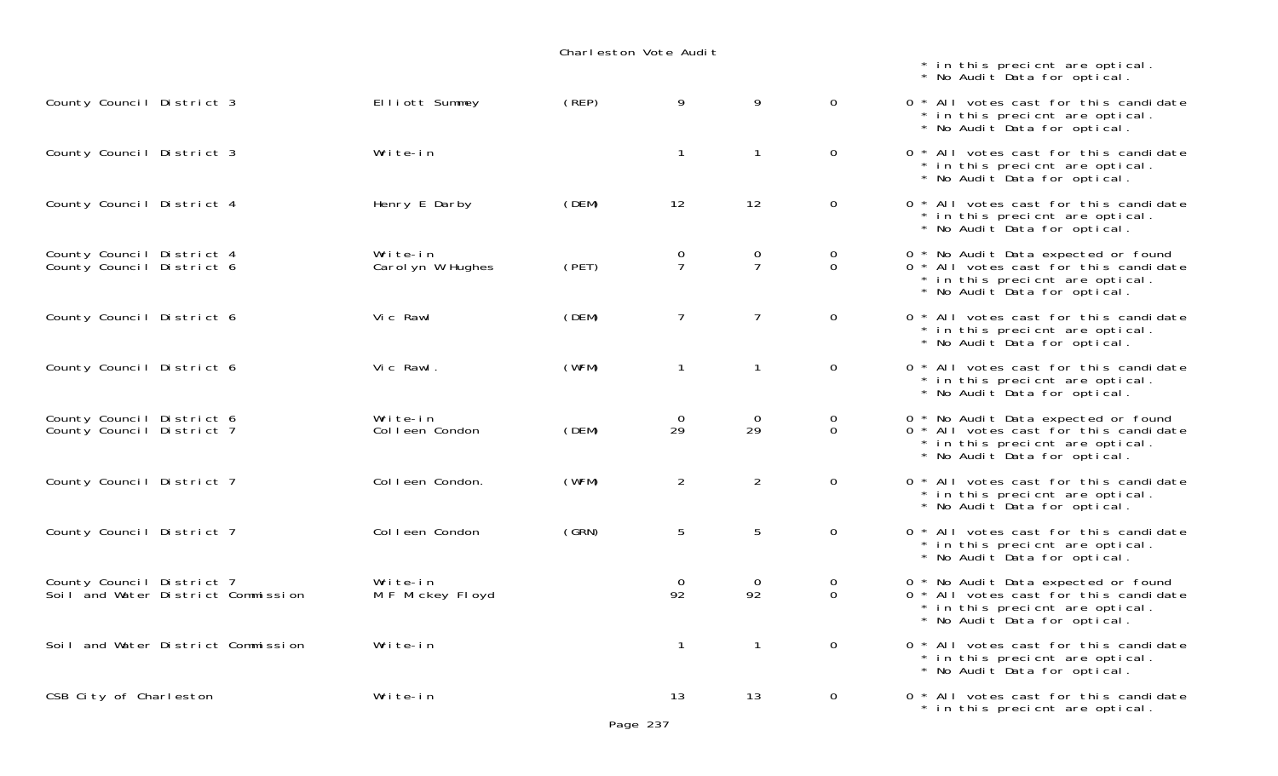|                                                                 | Charleston Vote Audit         |       |                      |                     |                         |                                                                                                                                                            |  |  |
|-----------------------------------------------------------------|-------------------------------|-------|----------------------|---------------------|-------------------------|------------------------------------------------------------------------------------------------------------------------------------------------------------|--|--|
|                                                                 |                               |       |                      |                     |                         | * in this precient are optical.<br>* No Audit Data for optical.                                                                                            |  |  |
| County Council District 3                                       | Elliott Summey                | (REP) | 9                    | 9                   | $\overline{0}$          | 0 * All votes cast for this candidate<br>* in this precient are optical.<br>* No Audit Data for optical.                                                   |  |  |
| County Council District 3                                       | Write-in                      |       | $\mathbf{1}$         | $\mathbf{1}$        | $\overline{0}$          | 0 * All votes cast for this candidate<br>* in this precient are optical.<br>* No Audit Data for optical.                                                   |  |  |
| County Council District 4                                       | Henry E Darby                 | (DEM) | 12                   | 12                  | $\mathbf 0$             | 0 * All votes cast for this candidate<br>* in this precient are optical.<br>* No Audit Data for optical.                                                   |  |  |
| County Council District 4<br>County Council District 6          | Write-in<br>Carol yn W Hughes | (PET) | $\frac{0}{7}$        | 0<br>$\overline{7}$ | 0<br>0                  | 0 * No Audit Data expected or found<br>0 <sup>*</sup> All votes cast for this candidate<br>* in this precient are optical.<br>* No Audit Data for optical. |  |  |
| County Council District 6                                       | Vic Rawl                      | (DEM) | $\overline{7}$       | $\overline{7}$      | $\overline{0}$          | 0 * All votes cast for this candidate<br>* in this precient are optical.<br>* No Audit Data for optical.                                                   |  |  |
| County Council District 6                                       | Vic Rawl.                     | (WFM) | $\mathbf{1}$         | $\mathbf{1}$        | $\mathbf 0$             | 0 * All votes cast for this candidate<br>* in this precient are optical.<br>* No Audit Data for optical.                                                   |  |  |
| County Council District 6<br>County Council District 7          | Write-in<br>Colleen Condon    | (DEM) | $\mathbf 0$<br>29    | 0<br>29             | $\mathbf 0$<br>$\Omega$ | 0 * No Audit Data expected or found<br>0 * All votes cast for this candidate<br>* in this precient are optical.<br>* No Audit Data for optical.            |  |  |
| County Council District 7                                       | Colleen Condon.               | (WFM) | $\overline{c}$       | $\overline{2}$      | $\mathbf 0$             | 0 * All votes cast for this candidate<br>* in this precient are optical.<br>* No Audit Data for optical.                                                   |  |  |
| County Council District 7                                       | Colleen Condon                | (GRN) | 5                    | 5                   | $\mathbf 0$             | 0 * All votes cast for this candidate<br>* in this precient are optical.<br>* No Audit Data for optical.                                                   |  |  |
| County Council District 7<br>Soil and Water District Commission | Write-in<br>M F Mickey Floyd  |       | $\overline{O}$<br>92 | 0<br>92             | 0<br>$\Omega$           | 0 * No Audit Data expected or found<br>0 * All votes cast for this candidate<br>* in this precient are optical.<br>* No Audit Data for optical.            |  |  |
| Soil and Water District Commission                              | Write-in                      |       | $\mathbf{1}$         | $\mathbf{1}$        | $\overline{0}$          | 0 * All votes cast for this candidate<br>* in this precicnt are optical.<br>* No Audit Data for optical.                                                   |  |  |
| CSB City of Charleston                                          | Write-in                      |       | 13                   | 13                  | $\overline{0}$          | 0 * All votes cast for this candidate<br>* in this precient are optical.                                                                                   |  |  |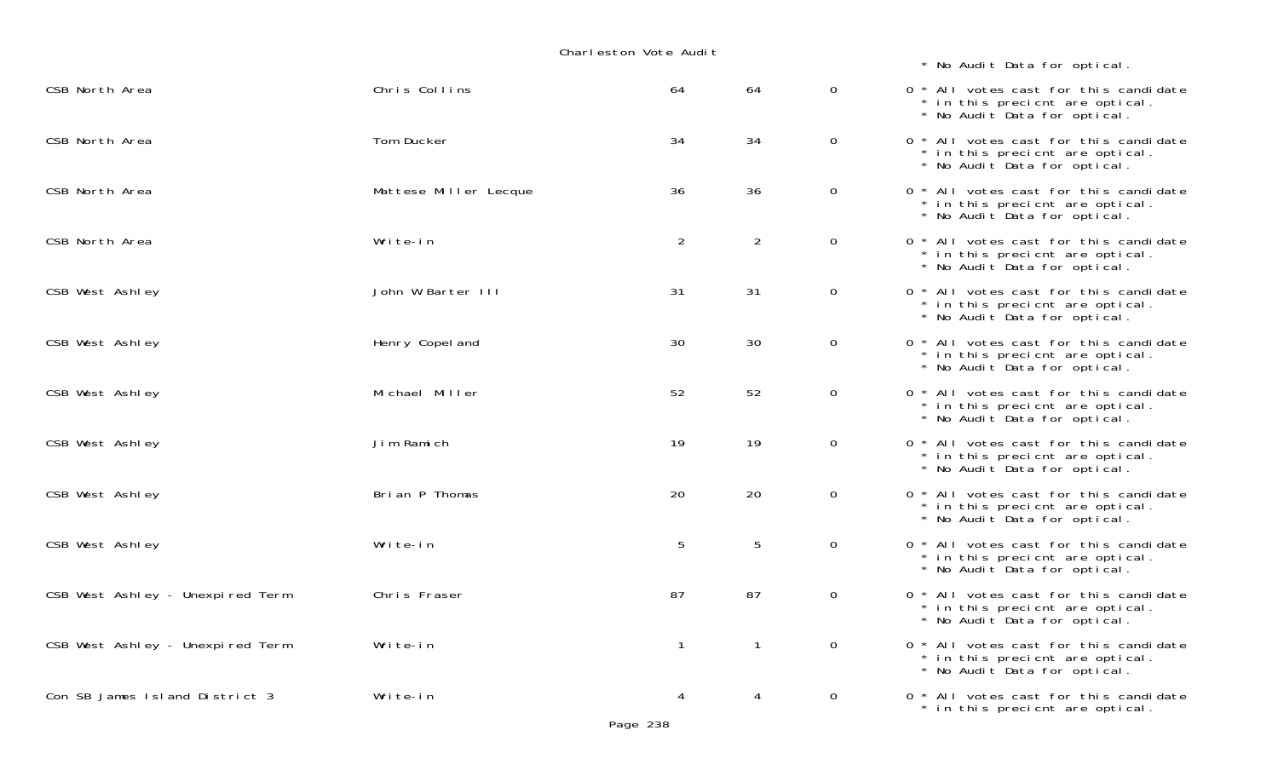| CSB North Area                   | Chris Collins         | 64             | 64             | $\overline{0}$ | 0 * All votes cast for this candidate<br>* in this precient are optical.<br>* No Audit Data for optical. |
|----------------------------------|-----------------------|----------------|----------------|----------------|----------------------------------------------------------------------------------------------------------|
| CSB North Area                   | Tom Ducker            | 34             | 34             | $\overline{0}$ | 0 * All votes cast for this candidate<br>* in this precient are optical.<br>* No Audit Data for optical. |
| CSB North Area                   | Mattese Miller Lecque | 36             | 36             | $\overline{0}$ | 0 * All votes cast for this candidate<br>* in this precient are optical.<br>* No Audit Data for optical. |
| CSB North Area                   | Write-in              | 2              | $\overline{2}$ | $\overline{O}$ | 0 * All votes cast for this candidate<br>* in this precient are optical.<br>* No Audit Data for optical. |
| CSB West Ashley                  | John W Barter III     | 31             | 31             | $\mathbf 0$    | 0 * All votes cast for this candidate<br>* in this precient are optical.<br>* No Audit Data for optical. |
| CSB West Ashley                  | Henry Copel and       | 30             | 30             | $\mathbf 0$    | 0 * All votes cast for this candidate<br>* in this precient are optical.<br>* No Audit Data for optical. |
| CSB West Ashley                  | Michael Miller        | 52             | 52             | $\overline{0}$ | 0 * All votes cast for this candidate<br>* in this precient are optical.<br>* No Audit Data for optical. |
| CSB West Ashley                  | Jim Ramich            | 19             | 19             | $\mathbf 0$    | 0 * All votes cast for this candidate<br>* in this precient are optical.<br>* No Audit Data for optical. |
| CSB West Ashley                  | Brian P Thomas        | 20             | 20             | $\mathbf 0$    | 0 * All votes cast for this candidate<br>* in this precient are optical.<br>* No Audit Data for optical. |
| CSB West Ashley                  | Write-in              | 5              | 5              | $\overline{0}$ | 0 * All votes cast for this candidate<br>* in this precient are optical.<br>* No Audit Data for optical. |
| CSB West Ashley - Unexpired Term | Chris Fraser          | 87             | 87             | $\overline{0}$ | 0 * All votes cast for this candidate<br>* in this precient are optical.<br>* No Audit Data for optical. |
| CSB West Ashley - Unexpired Term | Write-in              | $\overline{1}$ | $\mathbf{1}$   | $\overline{0}$ | 0 * All votes cast for this candidate<br>* in this precient are optical.<br>* No Audit Data for optical. |
| Con SB James Island District 3   | Write-in              | 4              | 4              | $\overline{0}$ | 0 * All votes cast for this candidate<br>* in this precient are optical.                                 |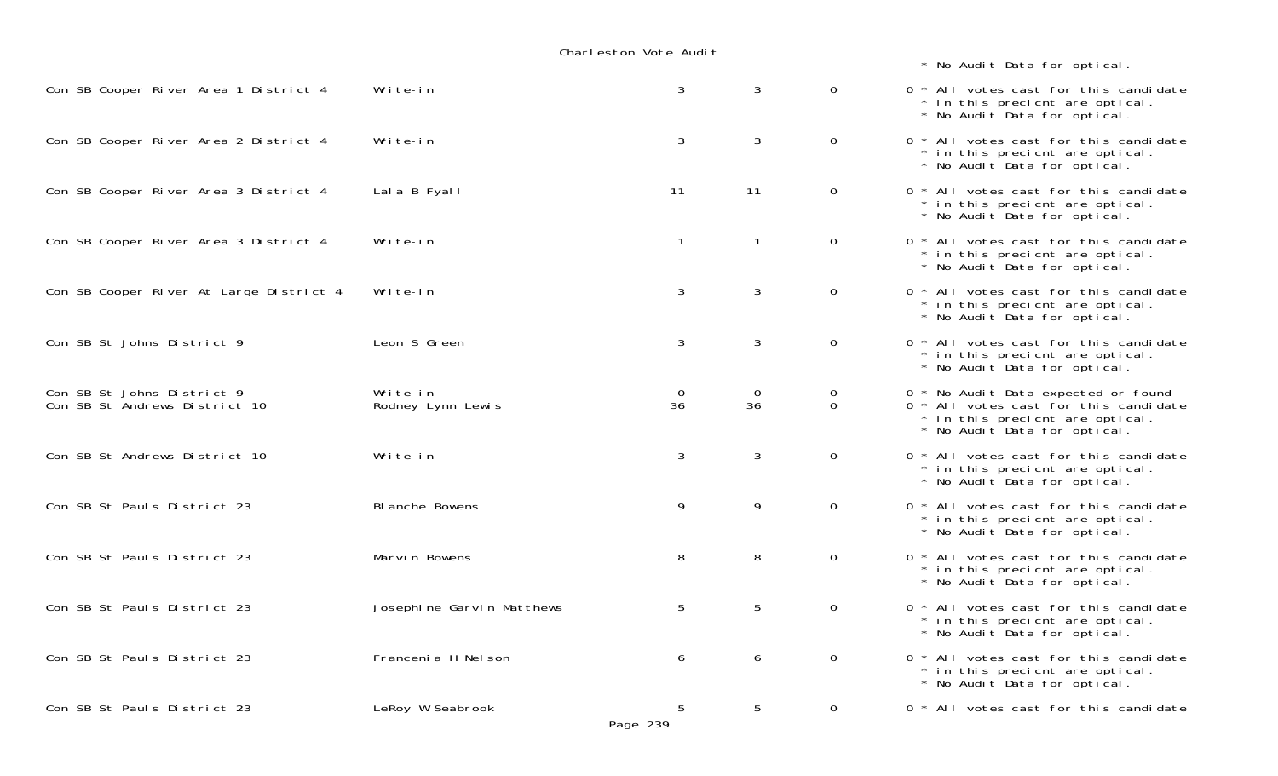| Con SB Cooper River Area 1 District 4                       | Write-in                      | 3                  | 3                    | $\Omega$                      | 0 * All votes cast for this candidate<br>* in this precient are optical.<br>* No Audit Data for optical.                                        |
|-------------------------------------------------------------|-------------------------------|--------------------|----------------------|-------------------------------|-------------------------------------------------------------------------------------------------------------------------------------------------|
| Con SB Cooper River Area 2 District 4                       | Write-in                      | 3                  | 3                    | $\overline{0}$                | 0 * All votes cast for this candidate<br>* in this precient are optical.<br>* No Audit Data for optical.                                        |
| Con SB Cooper River Area 3 District 4                       | Lala B Fyall                  | 11                 | 11                   | $\overline{0}$                | 0 * All votes cast for this candidate<br>* in this precient are optical.<br>* No Audit Data for optical.                                        |
| Con SB Cooper River Area 3 District 4                       | Write-in                      | $\mathbf{1}$       | $\mathbf{1}$         | $\overline{0}$                | 0 * All votes cast for this candidate<br>* in this precicnt are optical.<br>* No Audit Data for optical.                                        |
| Con SB Cooper River At Large District 4                     | Write-in                      | 3                  | 3                    | $\overline{0}$                | 0 * All votes cast for this candidate<br>* in this precient are optical.<br>* No Audit Data for optical.                                        |
| Con SB St Johns District 9                                  | Leon S Green                  | 3                  | 3                    | $\overline{0}$                | 0 * All votes cast for this candidate<br>* in this precient are optical.<br>* No Audit Data for optical.                                        |
| Con SB St Johns District 9<br>Con SB St Andrews District 10 | Write-in<br>Rodney Lynn Lewis | $\mathbf{0}$<br>36 | $\overline{0}$<br>36 | $\mathbf 0$<br>$\overline{0}$ | 0 * No Audit Data expected or found<br>0 * All votes cast for this candidate<br>* in this precient are optical.<br>* No Audit Data for optical. |
| Con SB St Andrews District 10                               | Write-in                      | 3                  | 3                    | $\mathbf 0$                   | 0 * All votes cast for this candidate<br>* in this precient are optical.<br>* No Audit Data for optical.                                        |
| Con SB St Pauls District 23                                 | BI anche Bowens               | 9                  | 9                    | $\overline{0}$                | 0 * All votes cast for this candidate<br>* in this precient are optical.<br>* No Audit Data for optical.                                        |
| Con SB St Pauls District 23                                 | Marvin Bowens                 | 8                  | 8                    | $\overline{0}$                | 0 * All votes cast for this candidate<br>* in this precicnt are optical.<br>* No Audit Data for optical.                                        |
| Con SB St Pauls District 23                                 | Josephine Garvin Matthews     | 5                  | 5                    | $\overline{0}$                | 0 * All votes cast for this candidate<br>* in this precient are optical.<br>* No Audit Data for optical.                                        |
| Con SB St Pauls District 23                                 | Francenia H Nel son           | 6                  | 6                    | $\overline{0}$                | 0 * All votes cast for this candidate<br>* in this precient are optical.<br>* No Audit Data for optical.                                        |
| Con SB St Pauls District 23                                 | LeRoy W Seabrook              | 5<br>Page 239      | 5                    | $\Omega$                      | 0 * All votes cast for this candidate                                                                                                           |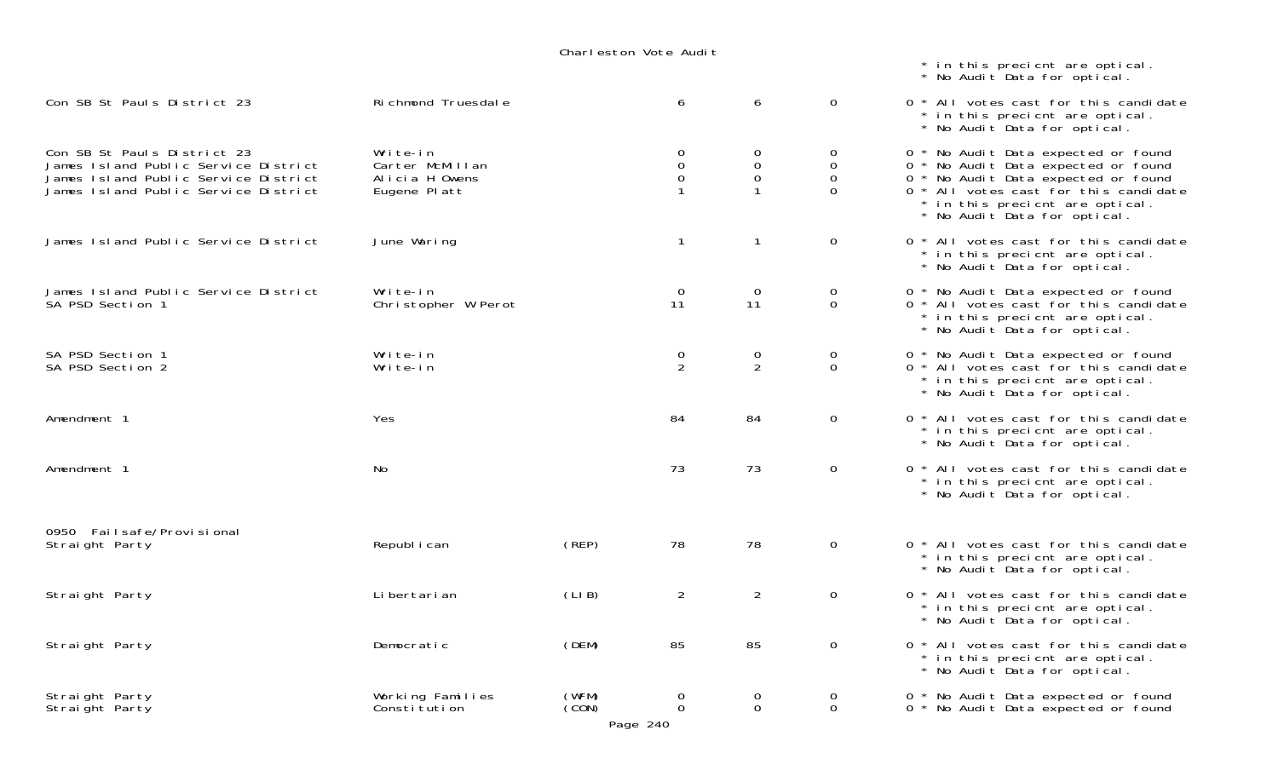|                                                                                                                                                     |                                                               |                            |                                  |                                                      |                                       | * in this precient are optical.<br>* No Audit Data for optical.                                                                                                                                                               |
|-----------------------------------------------------------------------------------------------------------------------------------------------------|---------------------------------------------------------------|----------------------------|----------------------------------|------------------------------------------------------|---------------------------------------|-------------------------------------------------------------------------------------------------------------------------------------------------------------------------------------------------------------------------------|
| Con SB St Pauls District 23                                                                                                                         | Richmond Truesdale                                            |                            | 6                                | 6                                                    | $\overline{0}$                        | 0 * All votes cast for this candidate<br>* in this precient are optical.<br>* No Audit Data for optical.                                                                                                                      |
| Con SB St Pauls District 23<br>James Island Public Service District<br>James Island Public Service District<br>James Island Public Service District | Write-in<br>Carter McMillan<br>Alicia H Owens<br>Eugene Platt |                            | 0<br>$\mathsf{O}\xspace$<br>0    | $\overline{O}$<br>$\mathbf 0$<br>$\mathsf{O}\xspace$ | $\sigma$<br>0<br>$\Omega$<br>$\Omega$ | 0 * No Audit Data expected or found<br>0 * No Audit Data expected or found<br>0 * No Audit Data expected or found<br>0 * All votes cast for this candidate<br>* in this precient are optical.<br>* No Audit Data for optical. |
| James Island Public Service District                                                                                                                | June Waring                                                   |                            | $\mathbf{1}$                     | 1                                                    | $\mathbf 0$                           | 0 * All votes cast for this candidate<br>* in this precient are optical.<br>* No Audit Data for optical.                                                                                                                      |
| James Island Public Service District<br>SA PSD Section 1                                                                                            | Write-in<br>Christopher W Perot                               |                            | 0<br>11                          | 0<br>11                                              | $\overline{0}$<br>$\overline{0}$      | 0 * No Audit Data expected or found<br>0 * All votes cast for this candidate<br>* in this precient are optical.<br>* No Audit Data for optical.                                                                               |
| SA PSD Section 1<br>SA PSD Section 2                                                                                                                | Write-in<br>Write-in                                          |                            | $\overline{0}$<br>$\overline{2}$ | $\overline{0}$<br>$\overline{2}$                     | $\overline{0}$<br>$\overline{0}$      | 0 * No Audit Data expected or found<br>0 <sup>*</sup> All votes cast for this candidate<br>* in this precient are optical.<br>* No Audit Data for optical.                                                                    |
| Amendment 1                                                                                                                                         | <b>Yes</b>                                                    |                            | 84                               | 84                                                   | $\overline{0}$                        | 0 * All votes cast for this candidate<br>* in this precient are optical.<br>* No Audit Data for optical.                                                                                                                      |
| Amendment 1                                                                                                                                         | No                                                            |                            | 73                               | 73                                                   | $\mathbf 0$                           | 0 * All votes cast for this candidate<br>* in this precient are optical.<br>* No Audit Data for optical.                                                                                                                      |
| 0950 Failsafe/Provisional<br>Straight Party                                                                                                         | Republ i can                                                  | (REP)                      | 78                               | 78                                                   | $\mathbf 0$                           | 0 * All votes cast for this candidate<br>* in this precient are optical.<br>* No Audit Data for optical.                                                                                                                      |
| Straight Party                                                                                                                                      | Li bertari an                                                 | (LIB)                      | $\overline{2}$                   | $\overline{2}$                                       | $\mathsf{O}$                          | 0 * All votes cast for this candidate<br>* in this precient are optical.<br>* No Audit Data for optical.                                                                                                                      |
| Straight Party                                                                                                                                      | Democratic                                                    | (DEM)                      | 85                               | 85                                                   | $\mathsf{O}$                          | 0 * All votes cast for this candidate<br>* in this precient are optical.<br>* No Audit Data for optical.                                                                                                                      |
| Straight Party<br>Straight Party                                                                                                                    | Working Families<br>Consti tuti on                            | (WFM)<br>(CON)<br>Page 240 | 0<br>0                           | $\mathbf 0$<br>$\overline{0}$                        | 0<br>$\mathsf{O}$                     | 0 * No Audit Data expected or found<br>0 * No Audit Data expected or found                                                                                                                                                    |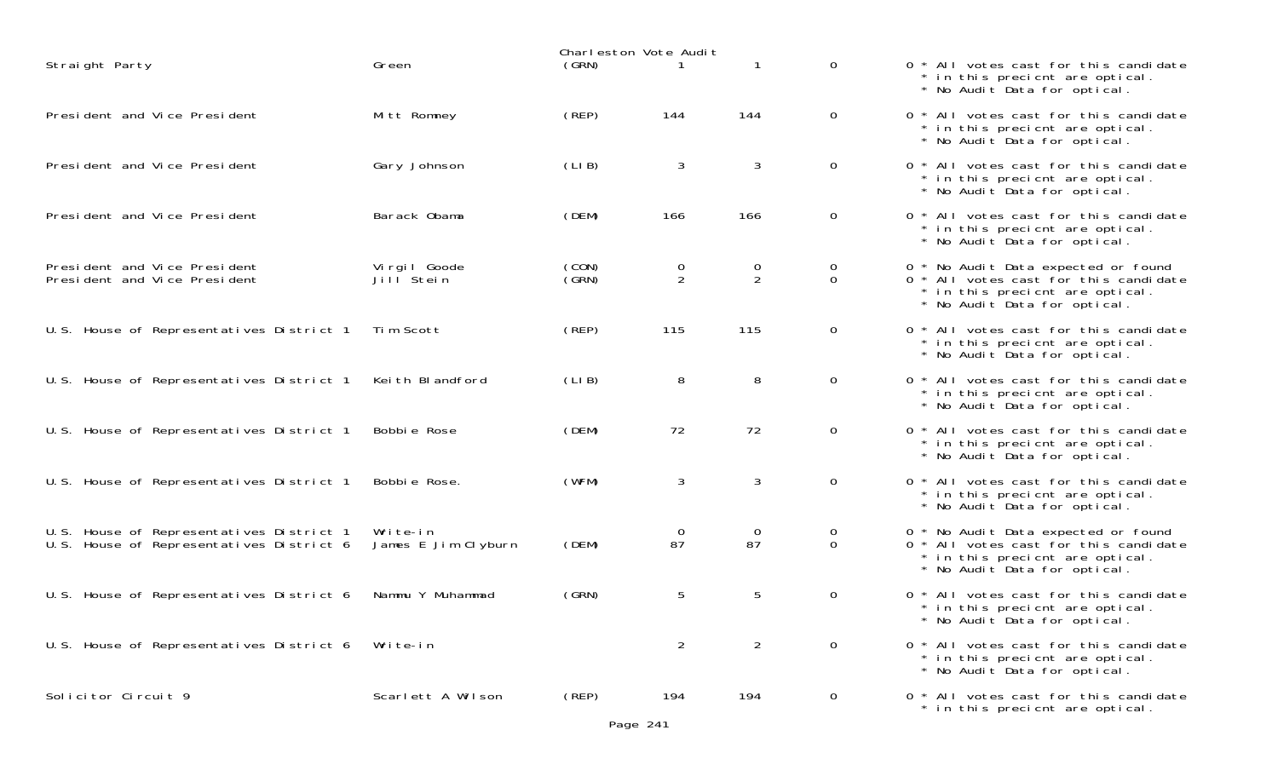|                                                                                      |                                       |                | Charleston Vote Audit |                                  |                            |                                                                                                                                                 |
|--------------------------------------------------------------------------------------|---------------------------------------|----------------|-----------------------|----------------------------------|----------------------------|-------------------------------------------------------------------------------------------------------------------------------------------------|
| Straight Party                                                                       | Green                                 | (GRN)          |                       |                                  | $\mathbf{O}$               | 0 * All votes cast for this candidate<br>* in this precient are optical.<br>* No Audit Data for optical.                                        |
| President and Vice President                                                         | Mitt Romney                           | (REP)          | 144                   | 144                              | $\overline{0}$             | 0 * All votes cast for this candidate<br>* in this precient are optical.<br>* No Audit Data for optical.                                        |
| President and Vice President                                                         | Gary Johnson                          | (LIB)          | 3                     | 3                                | $\overline{0}$             | 0 * All votes cast for this candidate<br>* in this precient are optical.<br>* No Audit Data for optical.                                        |
| President and Vice President                                                         | Barack Obama                          | (DEM)          | 166                   | 166                              | $\overline{0}$             | 0 * All votes cast for this candidate<br>* in this precient are optical.<br>* No Audit Data for optical.                                        |
| President and Vice President<br>President and Vice President                         | Virgil Goode<br>Jill <sup>Stein</sup> | (CON)<br>(GRN) | $\overline{0}$<br>2   | $\overline{0}$<br>$\overline{2}$ | $\overline{0}$<br>$\Omega$ | 0 * No Audit Data expected or found<br>0 * All votes cast for this candidate<br>* in this precient are optical.<br>* No Audit Data for optical. |
| U.S. House of Representatives District 1                                             | Tim Scott                             | (REP)          | 115                   | 115                              | $\overline{0}$             | 0 * All votes cast for this candidate<br>* in this precient are optical.<br>* No Audit Data for optical.                                        |
| U.S. House of Representatives District 1                                             | Keith Blandford                       | (LIB)          | 8                     | 8                                | $\mathsf{O}$               | 0 * All votes cast for this candidate<br>* in this precient are optical.<br>* No Audit Data for optical.                                        |
| U.S. House of Representatives District 1                                             | Bobbie Rose                           | (DEM)          | 72                    | 72                               | $\mathbf{O}$               | 0 * All votes cast for this candidate<br>* in this precient are optical.<br>* No Audit Data for optical.                                        |
| U.S. House of Representatives District 1                                             | Bobbie Rose.                          | (WFM)          | 3                     | 3                                | $\mathbf{O}$               | 0 * All votes cast for this candidate<br>* in this precient are optical.<br>* No Audit Data for optical.                                        |
| U.S. House of Representatives District 1<br>U.S. House of Representatives District 6 | Write-in<br>James E Jim Clyburn       | (DEM)          | $\overline{0}$<br>87  | $\Omega$<br>87                   | $\overline{O}$<br>$\Omega$ | 0 * No Audit Data expected or found<br>0 * All votes cast for this candidate<br>* in this precient are optical.<br>* No Audit Data for optical. |
| U.S. House of Representatives District 6                                             | Nammu Y Muhammad                      | (GRN)          | 5                     | 5                                | $\overline{0}$             | 0 * All votes cast for this candidate<br>* in this precient are optical.<br>* No Audit Data for optical.                                        |
| U.S. House of Representatives District 6                                             | Write-in                              |                | $\overline{2}$        | $\overline{2}$                   | $\overline{0}$             | 0 * All votes cast for this candidate<br>* in this precicnt are optical.<br>* No Audit Data for optical.                                        |
| Solicitor Circuit 9                                                                  | Scarlett A Wilson                     | (REP)          | 194                   | 194                              | $\mathbf{O}$               | 0 * All votes cast for this candidate<br>* in this precient are optical.                                                                        |

| 0             | $\star$                                  | * All votes cast for this candidate<br>* in this precient are optical.<br>No Audit Data for optical.                                |
|---------------|------------------------------------------|-------------------------------------------------------------------------------------------------------------------------------------|
| 0             | $\star$<br>$\star$                       | * All votes cast for this candidate<br>in this precient are optical.<br>No Audit Data for optical.                                  |
| 0             | $\star$<br>$\star$                       | All votes cast for this candidate<br>* in this precient are optical.<br>No Audit Data for optical.                                  |
| 0             | $\star$<br>$\star$<br>$\star$            | All votes cast for this candidate<br>in this precient are optical.<br>No Audit Data for optical.                                    |
| 0<br>$\Omega$ | $\star$<br>$\star$<br>$\star$<br>$\star$ | No Audit Data expected or found<br>All votes cast for this candidate<br>in this precient are optical.<br>No Audit Data for optical. |
| 0             | $\star$<br>$\star$                       | * All votes cast for this candidate<br>in this precient are optical.<br>No Audit Data for optical.                                  |
| 0             | $\star$                                  | * All votes cast for this candidate<br>* in this precicnt are optical.<br>No Audit Data for optical.                                |
| 0             | $\star$<br>$\star$<br>$\star$            | All votes cast for this candidate<br>in this precient are optical.<br>No Audit Data for optical.                                    |
| 0             | $\star$<br>$\star$                       | * All votes cast for this candidate<br>in this precient are optical.<br>No Audit Data for optical.                                  |
| 0<br>0        | $\star$<br>$\star$<br>$\star$<br>$\star$ | No Audit Data expected or found<br>All votes cast for this candidate<br>in this precient are optical.<br>No Audit Data for optical. |
| 0             | $\star$<br>$\star$                       | * All votes cast for this candidate<br>in this precient are optical.<br>No Audit Data for optical.                                  |
| 0             | $\star$<br>$\star$                       | All votes cast for this candidate<br>* in this precient are optical.<br>No Audit Data for optical.                                  |
| 0             | $\star$                                  | * All votes cast for this candidate<br>in this precient are optical.                                                                |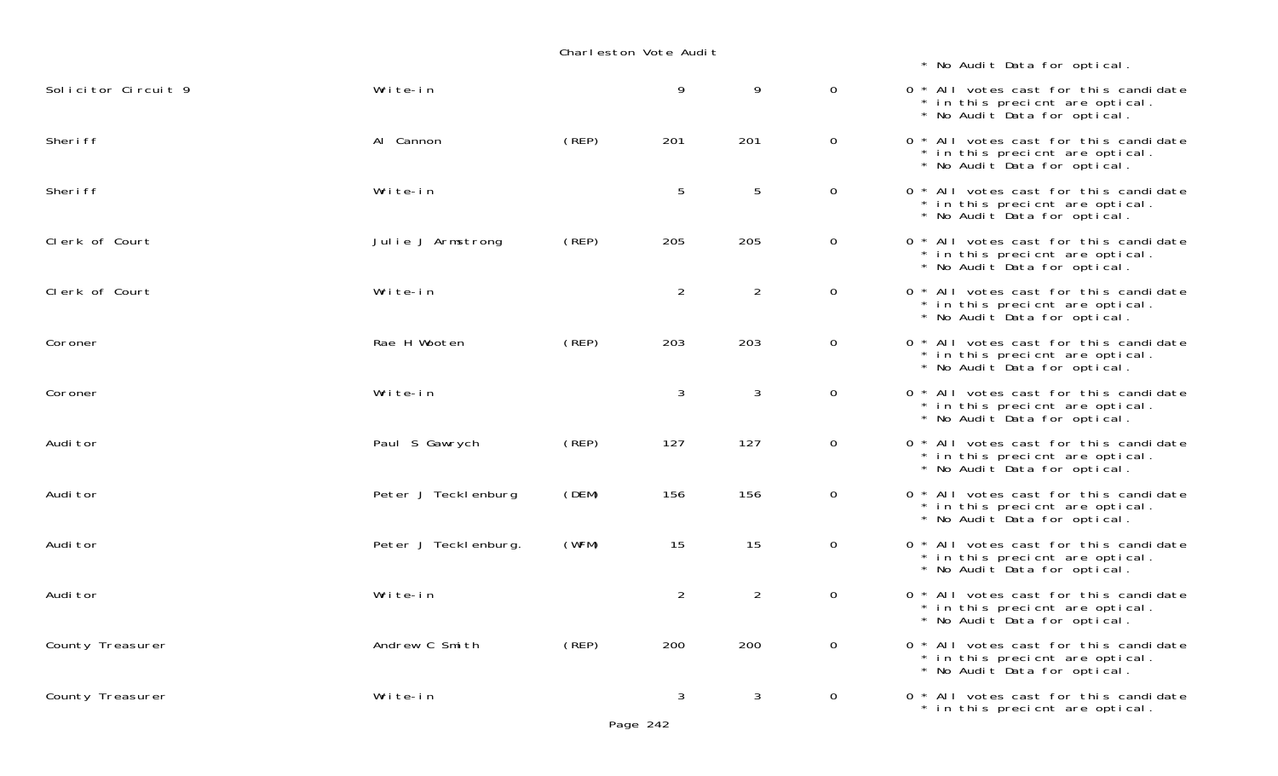| * No Audit Data for optical |  |
|-----------------------------|--|
|-----------------------------|--|

| Solicitor Circuit 9 | Write-in             |       | 9              | 9              | 0              | 0 * All votes cast for this candidate<br>* in this precient are optical.<br>* No Audit Data for optical. |
|---------------------|----------------------|-------|----------------|----------------|----------------|----------------------------------------------------------------------------------------------------------|
| Sheri ff            | Al Cannon            | (REP) | 201            | 201            | $\mathbf{O}$   | 0 * All votes cast for this candidate<br>* in this precient are optical.<br>* No Audit Data for optical. |
| Sheri ff            | Write-in             |       | 5              | 5              | $\overline{0}$ | 0 * All votes cast for this candidate<br>* in this precient are optical.<br>* No Audit Data for optical. |
| Clerk of Court      | Julie J Armstrong    | (REP) | 205            | 205            | $\overline{0}$ | 0 * All votes cast for this candidate<br>* in this precient are optical.<br>* No Audit Data for optical. |
| Clerk of Court      | Write-in             |       | $\overline{2}$ | $\overline{2}$ | $\overline{0}$ | 0 * All votes cast for this candidate<br>* in this precient are optical.<br>* No Audit Data for optical. |
| Coroner             | Rae H Wooten         | (REP) | 203            | 203            | $\mathbf{0}$   | 0 * All votes cast for this candidate<br>* in this precient are optical.<br>* No Audit Data for optical. |
| Coroner             | Write-in             |       | 3              | 3              | $\overline{0}$ | 0 * All votes cast for this candidate<br>* in this precient are optical.<br>* No Audit Data for optical. |
| Audi tor            | Paul S Gawrych       | (REP) | 127            | 127            | $\overline{0}$ | 0 * All votes cast for this candidate<br>* in this precient are optical.<br>* No Audit Data for optical. |
| Audi tor            | Peter J Teckl enburg | (DEM) | 156            | 156            | $\mathbf 0$    | 0 * All votes cast for this candidate<br>* in this precient are optical.<br>* No Audit Data for optical. |
| Audi tor            | Peter J Tecklenburg. | (WFM) | 15             | 15             | $\overline{0}$ | 0 * All votes cast for this candidate<br>* in this precient are optical.<br>* No Audit Data for optical. |
| Audi tor            | Write-in             |       | $\overline{2}$ | $\overline{2}$ | $\overline{0}$ | 0 * All votes cast for this candidate<br>* in this precient are optical.<br>* No Audit Data for optical. |
| County Treasurer    | Andrew C Smith       | (REP) | 200            | 200            | $\overline{0}$ | 0 * All votes cast for this candidate<br>* in this precient are optical.<br>* No Audit Data for optical. |
| County Treasurer    | Write-in             |       | 3              | 3              | $\overline{0}$ | 0 * All votes cast for this candidate<br>* in this precient are optical.                                 |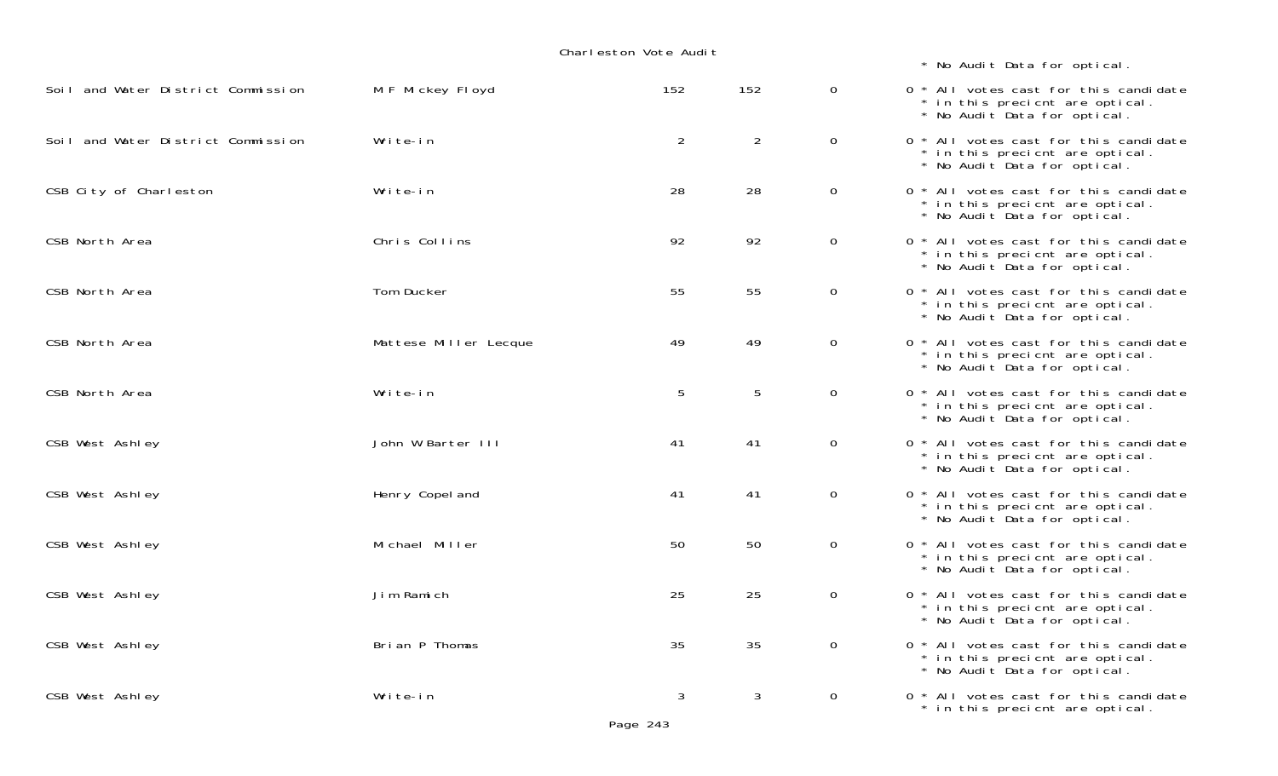| Charleston Vote Audit              |                       |     |     |                |                                                                                                          |  |  |  |
|------------------------------------|-----------------------|-----|-----|----------------|----------------------------------------------------------------------------------------------------------|--|--|--|
|                                    |                       |     |     |                | * No Audit Data for optical.                                                                             |  |  |  |
| Soil and Water District Commission | M F Mickey Floyd      | 152 | 152 | $\overline{0}$ | 0 * All votes cast for this candidate<br>* in this precient are optical.<br>* No Audit Data for optical. |  |  |  |
| Soil and Water District Commission | Write-in              | 2   | 2   | $\mathsf{O}$   | 0 * All votes cast for this candidate<br>* in this precient are optical.<br>* No Audit Data for optical. |  |  |  |
| CSB City of Charleston             | Write-in              | 28  | 28  | $\mathbf 0$    | 0 * All votes cast for this candidate<br>* in this precient are optical.<br>* No Audit Data for optical. |  |  |  |
| CSB North Area                     | Chris Collins         | 92  | 92  | $\mathbf 0$    | 0 * All votes cast for this candidate<br>* in this precient are optical.<br>* No Audit Data for optical. |  |  |  |
| CSB North Area                     | Tom Ducker            | 55  | 55  | $\mathbf 0$    | 0 * All votes cast for this candidate<br>* in this precient are optical.<br>* No Audit Data for optical. |  |  |  |
| CSB North Area                     | Mattese Miller Lecque | 49  | 49  | $\mathbf 0$    | 0 * All votes cast for this candidate<br>* in this precient are optical.<br>* No Audit Data for optical. |  |  |  |
| CSB North Area                     | Write-in              | 5   | 5   | $\overline{0}$ | 0 * All votes cast for this candidate<br>* in this precient are optical.<br>* No Audit Data for optical. |  |  |  |
| CSB West Ashley                    | John W Barter III     | 41  | 41  | $\overline{0}$ | 0 * All votes cast for this candidate<br>* in this precient are optical.<br>* No Audit Data for optical. |  |  |  |
| CSB West Ashley                    | Henry Copel and       | 41  | 41  | $\mathbf 0$    | 0 * All votes cast for this candidate<br>* in this precicnt are optical.<br>* No Audit Data for optical. |  |  |  |
| CSB West Ashley                    | Michael Miller        | 50  | 50  | $\mathbf 0$    | 0 * All votes cast for this candidate<br>* in this precient are optical.<br>* No Audit Data for optical. |  |  |  |
| CSB West Ashley                    | Jim Ramich            | 25  | 25  | $\overline{0}$ | 0 * All votes cast for this candidate<br>* in this precient are optical.<br>* No Audit Data for optical. |  |  |  |
| CSB West Ashley                    | Brian P Thomas        | 35  | 35  | $\overline{0}$ | 0 * All votes cast for this candidate<br>* in this precient are optical.<br>* No Audit Data for optical. |  |  |  |
| CSB West Ashley                    | Write-in              | 3   | 3   | $\mathbf 0$    | 0 * All votes cast for this candidate<br>* in this precient are optical.                                 |  |  |  |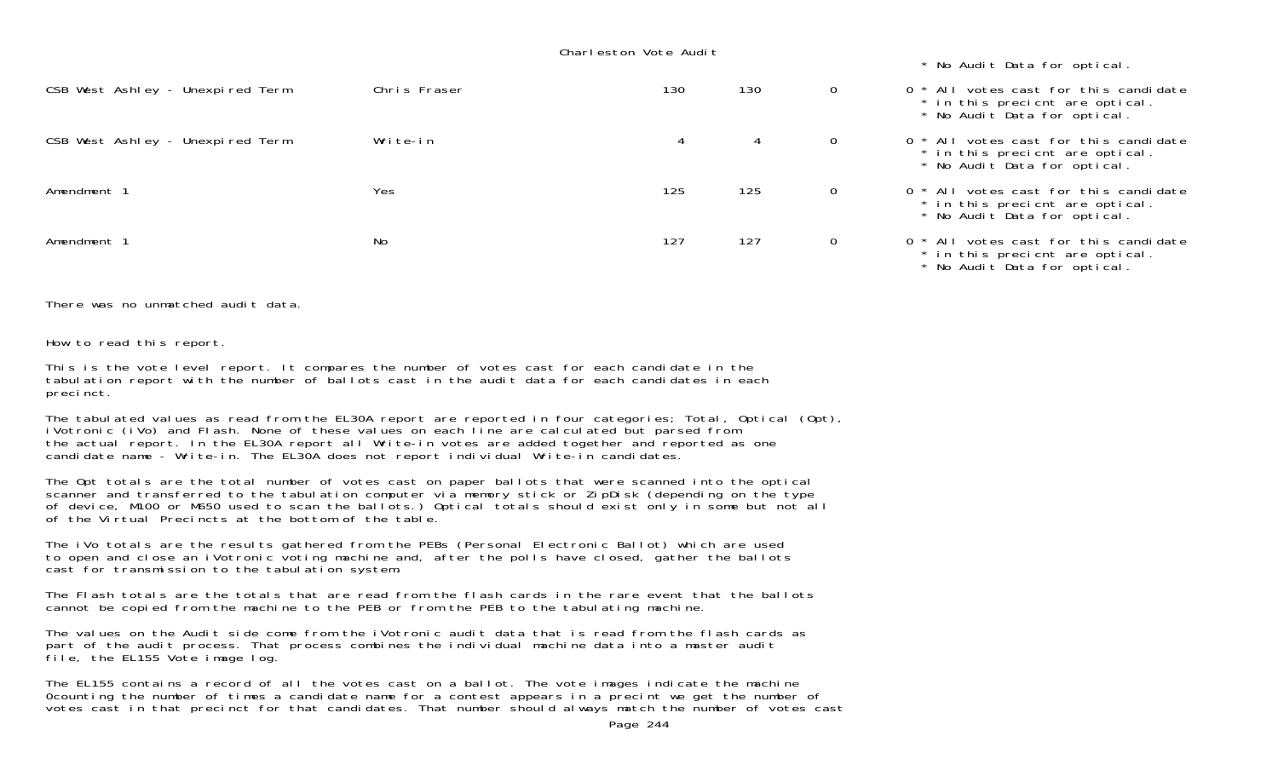|                                  |              |     |     |              | * No Audit Data for optical.                                                                                        |
|----------------------------------|--------------|-----|-----|--------------|---------------------------------------------------------------------------------------------------------------------|
| CSB West Ashley - Unexpired Term | Chris Fraser | 130 | 130 | 0            | 0 * All votes cast for this candidate<br>* in this precient are optical.<br>* No Audit Data for optical.            |
| CSB West Ashley - Unexpired Term | Write-in     | 4   | 4   | $\Omega$     | 0 <sup>*</sup> All votes cast for this candidate<br>* in this precient are optical.<br>* No Audit Data for optical. |
| Amendment 1                      | <b>Yes</b>   | 125 | 125 | $\mathbf{0}$ | 0 * All votes cast for this candidate<br>* in this precient are optical.<br>* No Audit Data for optical.            |
| Amendment 1                      | No           | 127 | 127 | 0            | 0 <sup>*</sup> All votes cast for this candidate<br>* in this precient are optical.<br>* No Audit Data for optical. |

There was no unmatched audit data.

How to read this report.

This is the vote level report. It compares the number of votes cast for each candidate in the tabulation report with the number of ballots cast in the audit data for each candidates in each precinct.

The tabulated values as read from the EL30A report are reported in four categories; Total, Optical (Opt), iVotronic (iVo) and Flash. None of these values on each line are calculated but parsed from the actual report. In the EL30A report all Write-in votes are added together and reported as one candidate name - Write-in. The EL30A does not report individual Write-in candidates.

The Opt totals are the total number of votes cast on paper ballots that were scanned into the optical scanner and transferred to the tabulation computer via memory stick or ZipDisk (depending on the type of device, M100 or M650 used to scan the ballots.) Optical totals should exist only in some but not all of the Virtual Precincts at the bottom of the table.

The iVo totals are the results gathered from the PEBs (Personal Electronic Ballot) which are used to open and close an iVotronic voting machine and, after the polls have closed, gather the ballots cast for transmission to the tabulation system.

The Flash totals are the totals that are read from the flash cards in the rare event that the ballots cannot be copied from the machine to the PEB or from the PEB to the tabulating machine.

The values on the Audit side come from the iVotronic audit data that is read from the flash cards as part of the audit process. That process combines the individual machine data into a master audit file, the EL155 Vote image log.

The EL155 contains a record of all the votes cast on a ballot. The vote images indicate the machine 0counting the number of times a candidate name for a contest appears in a precint we get the number of votes cast in that precinct for that candidates. That number should always match the number of votes cast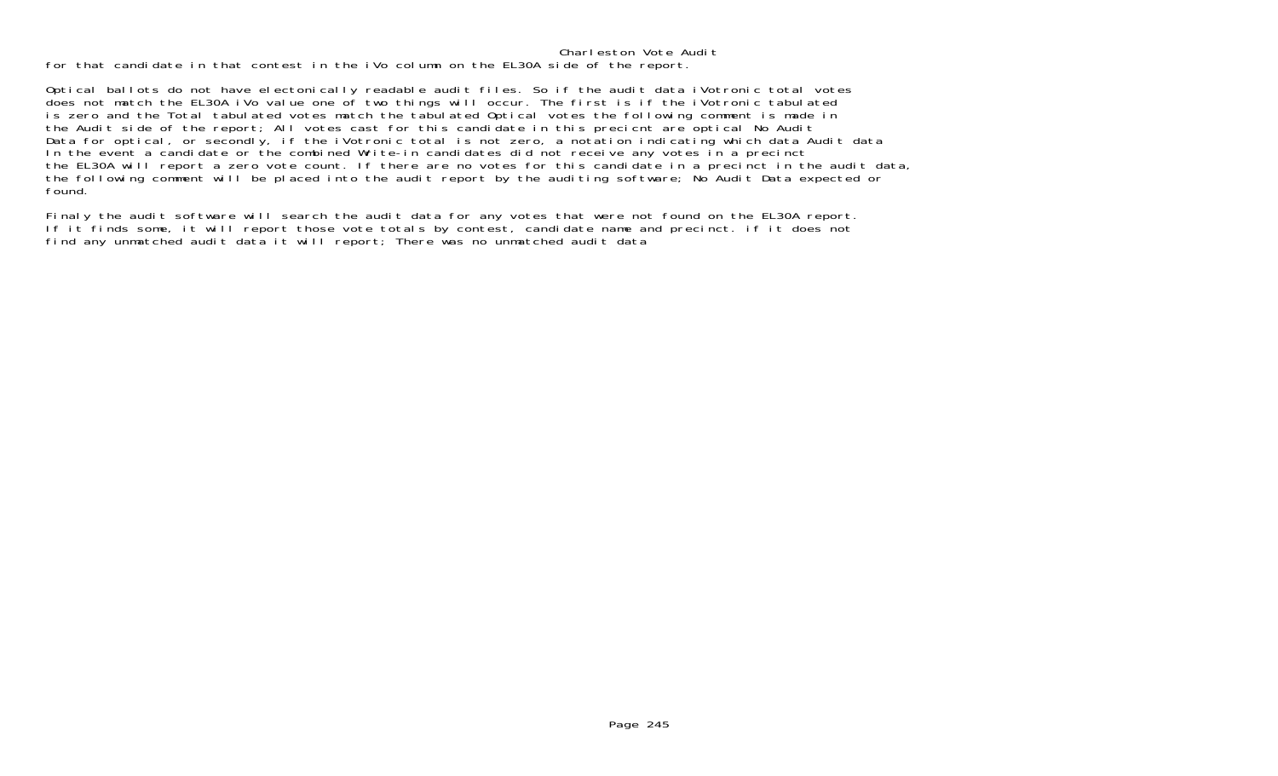for that candidate in that contest in the iVo column on the EL30A side of the report.

Optical ballots do not have electonically readable audit files. So if the audit data iVotronic total votes does not match the EL30A iVo value one of two things will occur. The first is if the iVotronic tabulated is zero and the Total tabulated votes match the tabulated Optical votes the following comment is made in the Audit side of the report; All votes cast for this candidate in this precicnt are optical No Audit Data for optical, or secondly, if the iVotronic total is not zero, a notation indicating which data Audit data In the event a candidate or the combined Write-in candidates did not receive any votes in a precinct the EL30A will report a zero vote count. If there are no votes for this candidate in a precinct in the audit data, the following comment will be placed into the audit report by the auditing software; No Audit Data expected or found.

Finaly the audit software will search the audit data for any votes that were not found on the EL30A report. If it finds some, it will report those vote totals by contest, candidate name and precinct. if it does not find any unmatched audit data it will report; There was no unmatched audit data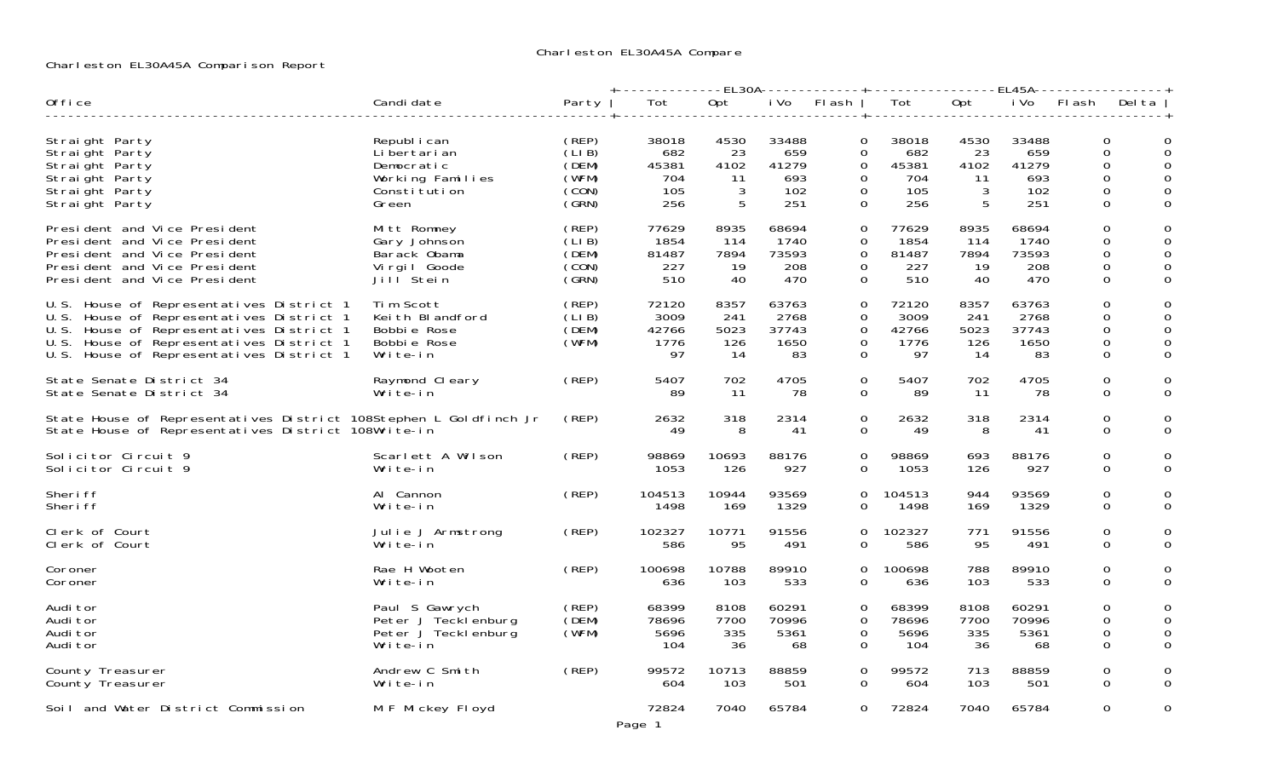# Charleston EL30A45A Comparison Report

|                                                                                                                                                                                                                          |                                                                                          |                                                    | -------------EL30A-------------+----------------EL45A---------------+ |                                       |                                            |                                                     |                                            |                                    |                                            |                                                    |                           |
|--------------------------------------------------------------------------------------------------------------------------------------------------------------------------------------------------------------------------|------------------------------------------------------------------------------------------|----------------------------------------------------|-----------------------------------------------------------------------|---------------------------------------|--------------------------------------------|-----------------------------------------------------|--------------------------------------------|------------------------------------|--------------------------------------------|----------------------------------------------------|---------------------------|
| Office                                                                                                                                                                                                                   | Candi date                                                                               | Party                                              | Tot                                                                   | Opt                                   | i Vo                                       | Fl ash                                              | Tot                                        | Opt                                | i Vo                                       | FI ash                                             | Del ta                    |
| Straight Party<br>Straight Party<br>Straight Party<br>Straight Party<br>Straight Party<br>Straight Party                                                                                                                 | Republ i can<br>Li bertari an<br>Democratic<br>Working Families<br>Constitution<br>Green | (REP)<br>(LIB)<br>(DEM)<br>(WFM)<br>(CON)<br>(GRN) | 38018<br>682<br>45381<br>704<br>105<br>256                            | 4530<br>- 23<br>4102<br>-11<br>3<br>5 | 33488<br>659<br>41279<br>693<br>102<br>251 | 0<br>0<br>$\Omega$<br>0<br>$\Omega$<br>$\mathbf{O}$ | 38018<br>682<br>45381<br>704<br>105<br>256 | 4530<br>23<br>4102<br>11<br>3<br>5 | 33488<br>659<br>41279<br>693<br>102<br>251 | 0<br>$\mathbf 0$<br>$\Omega$<br>0<br>$\Omega$<br>0 | 0<br>$\Omega$             |
| President and Vice President<br>President and Vice President<br>President and Vice President<br>President and Vice President<br>President and Vice President                                                             | Mitt Romney<br>Gary Johnson<br>Barack Obama<br>Virgil Goode<br>Jill <sup>Stein</sup>     | (REP)<br>(LIB)<br>(DEM)<br>(CON)<br>(GRN)          | 77629<br>1854<br>81487<br>227<br>510                                  | 8935<br>114<br>7894<br>- 19<br>40     | 68694<br>1740<br>73593<br>208<br>470       | $\mathbf{O}$<br>0<br>0<br>$\Omega$<br>0             | 77629<br>1854<br>81487<br>227<br>510       | 8935<br>114<br>7894<br>- 19<br>40  | 68694<br>1740<br>73593<br>208<br>470       | 0<br>0<br>$\mathbf 0$<br>0<br>$\mathbf 0$          | 0<br>0                    |
| U.S. House of Representatives District 1<br>U.S. House of Representatives District 1<br>U.S. House of Representatives District 1<br>U.S. House of Representatives District 1<br>U.S. House of Representatives District 1 | Tim Scott<br>Keith Blandford<br>Bobbie Rose<br>Bobbie Rose<br>Write-in                   | (REP)<br>(LIB)<br>(DEM)<br>(WFM)                   | 72120<br>3009<br>42766<br>1776<br>97                                  | 8357<br>241<br>5023<br>126<br>-14     | 63763<br>2768<br>37743<br>1650<br>83       | 0<br>$\Omega$<br>$\Omega$<br>0<br>0                 | 72120<br>3009<br>42766<br>1776<br>97       | 8357<br>241<br>5023<br>126<br>-14  | 63763<br>2768<br>37743<br>1650<br>83       | 0<br>$\Omega$<br>0<br>0<br>$\mathbf{O}$            | $\Omega$<br>0<br>$\Omega$ |
| State Senate District 34<br>State Senate District 34                                                                                                                                                                     | Raymond Cleary<br>Write-in                                                               | (REP)                                              | 5407<br>89                                                            | 702<br>-11                            | 4705<br>-78                                | $\overline{0}$<br>$\Omega$                          | 5407<br>89                                 | 702<br>-11                         | 4705<br>78                                 | 0<br>$\Omega$                                      | 0<br>$\Omega$             |
| State House of Representatives District 108Stephen L Goldfinch Jr<br>State House of Representatives District 108Write-in                                                                                                 |                                                                                          | (REP)                                              | 2632<br>49                                                            | 318<br>8                              | 2314<br>41                                 | 0<br>0                                              | 2632<br>49                                 | 318<br>8                           | 2314<br>41                                 | $\mathbf 0$<br>0                                   | 0                         |
| Solicitor Circuit 9<br>Solicitor Circuit 9                                                                                                                                                                               | Scarlett A Wilson<br>Write-in                                                            | (REP)                                              | 98869<br>1053                                                         | 10693<br>126                          | 88176<br>927                               | $\Omega$<br>$\Omega$                                | 98869<br>1053                              | 693<br>126                         | 88176<br>927                               | 0<br>$\Omega$                                      | 0<br>$\Omega$             |
| Sheri ff<br>Sheri ff                                                                                                                                                                                                     | Al Cannon<br>Write-in                                                                    | (REP)                                              | 104513<br>1498                                                        | 10944<br>169                          | 93569<br>1329                              | $\Omega$<br>$\Omega$                                | 104513<br>1498                             | 944<br>169                         | 93569<br>1329                              | 0<br>$\overline{0}$                                | $\mathbf 0$               |
| Clerk of Court<br>Clerk of Court                                                                                                                                                                                         | Julie J Armstrong<br>Write-in                                                            | (REP)                                              | 102327<br>586                                                         | 10771<br>95                           | 91556<br>491                               | $\Omega$<br>$\mathbf{0}$                            | 102327<br>586                              | 771<br>95                          | 91556<br>491                               | 0<br>0                                             | 0<br>$\Omega$             |
| Coroner<br>Coroner                                                                                                                                                                                                       | Rae H Wooten<br>Write-in                                                                 | (REP)                                              | 100698<br>636                                                         | 10788<br>103                          | 89910<br>533                               | $\mathbf{0}$<br>$\Omega$                            | 100698<br>636                              | 788<br>103                         | 89910<br>533                               | $\mathbf 0$<br>$\Omega$                            | $\Omega$                  |
| Audi tor<br>Audi tor<br>Audi tor<br>Audi tor                                                                                                                                                                             | Paul S Gawrych<br>Peter J Tecklenburg<br>Peter J Teckl enburg<br>Write-in                | (REP)<br>(DEM)<br>(WFM)                            | 68399<br>78696<br>5696<br>-104                                        | 8108<br>7700<br>335<br>36             | 60291<br>70996<br>5361<br>68               | $\Omega$<br>$\Omega$<br>$\Omega$<br>$\Omega$        | 68399<br>78696<br>5696<br>104              | 8108<br>7700<br>335<br>36          | 60291<br>70996<br>5361<br>68               | $\Omega$<br>0<br>$\Omega$<br>0                     | 0<br>$\Omega$<br>0        |
| County Treasurer<br>County Treasurer                                                                                                                                                                                     | Andrew C Smith<br>Write-in                                                               | (REP)                                              | 99572<br>604                                                          | 10713<br>103                          | 88859<br>501                               | $\mathbf 0$<br>$\Omega$                             | 99572<br>604                               | 713<br>103                         | 88859<br>501                               | 0<br>$\Omega$                                      | 0<br>0                    |
| Soil and Water District Commission                                                                                                                                                                                       | M F Mickey Floyd                                                                         |                                                    | 72824<br>$D = 0.2$                                                    | 7040                                  | 65784                                      | $\Omega$                                            | 72824                                      | 7040                               | 65784                                      | $\Omega$                                           | 0                         |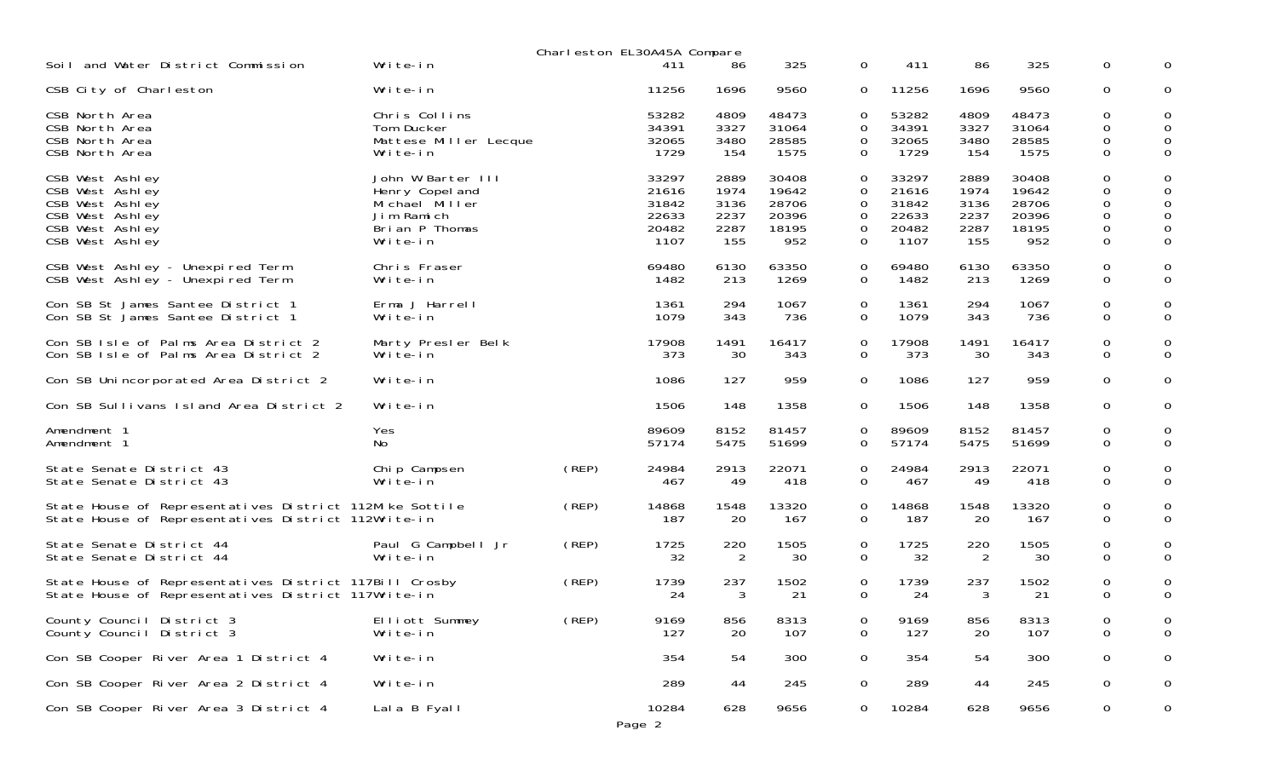|                                                                                                                |                                                                                                    |       | Charleston EL30A45A Compare                       |                                             |                                                  |                                       |                                                   |                                             |                                                  |                            |                              |
|----------------------------------------------------------------------------------------------------------------|----------------------------------------------------------------------------------------------------|-------|---------------------------------------------------|---------------------------------------------|--------------------------------------------------|---------------------------------------|---------------------------------------------------|---------------------------------------------|--------------------------------------------------|----------------------------|------------------------------|
| Soil and Water District Commission                                                                             | Write-in                                                                                           |       | 411                                               | 86                                          | 325                                              | 0                                     | 411                                               | 86                                          | 325                                              | 0                          | 0                            |
| CSB City of Charleston                                                                                         | Write-in                                                                                           |       | 11256                                             | 1696                                        | 9560                                             | 0                                     | 11256                                             | 1696                                        | 9560                                             | 0                          | 0                            |
| CSB North Area<br>CSB North Area<br>CSB North Area<br>CSB North Area                                           | Chris Collins<br>Tom Ducker<br>Mattese Miller Lecque<br>Write-in                                   |       | 53282<br>34391<br>32065<br>1729                   | 4809<br>3327<br>3480<br>154                 | 48473<br>31064<br>28585<br>1575                  | 0<br>$\mathbf 0$<br>0<br>0            | 53282<br>34391<br>32065<br>1729                   | 4809<br>3327<br>3480<br>154                 | 48473<br>31064<br>28585<br>1575                  | 0<br>0<br>0<br>0           | 0<br>0<br>0<br>$\mathbf 0$   |
| CSB West Ashley<br>CSB West Ashley<br>CSB West Ashley<br>CSB West Ashley<br>CSB West Ashley<br>CSB West Ashley | John W Barter III<br>Henry Copel and<br>Michael Miller<br>Jim Ramich<br>Brian P Thomas<br>Write-in |       | 33297<br>21616<br>31842<br>22633<br>20482<br>1107 | 2889<br>1974<br>3136<br>2237<br>2287<br>155 | 30408<br>19642<br>28706<br>20396<br>18195<br>952 | 0<br>0<br>0<br>0<br>0<br>$\mathbf{O}$ | 33297<br>21616<br>31842<br>22633<br>20482<br>1107 | 2889<br>1974<br>3136<br>2237<br>2287<br>155 | 30408<br>19642<br>28706<br>20396<br>18195<br>952 | 0<br>0<br>0<br>0<br>0<br>0 | 0<br>0<br>$\Omega$<br>0<br>0 |
| CSB West Ashley - Unexpired Term<br>CSB West Ashley - Unexpired Term                                           | Chris Fraser<br>Write-in                                                                           |       | 69480<br>1482                                     | 6130<br>213                                 | 63350<br>1269                                    | 0<br>$\mathbf{O}$                     | 69480<br>1482                                     | 6130<br>213                                 | 63350<br>1269                                    | 0<br>0                     | 0<br>0                       |
| Con SB St James Santee District 1<br>Con SB St James Santee District 1                                         | Erma J Harrell<br>Write-in                                                                         |       | 1361<br>1079                                      | 294<br>343                                  | 1067<br>736                                      | 0<br>$\Omega$                         | 1361<br>1079                                      | 294<br>343                                  | 1067<br>736                                      | 0<br>0                     | 0<br>0                       |
| Con SB Isle of Palms Area District 2<br>Con SB Isle of Palms Area District 2                                   | Marty Presler Belk<br>Write-in                                                                     |       | 17908<br>373                                      | 1491<br>30                                  | 16417<br>343                                     | 0<br>$\mathbf{O}$                     | 17908<br>373                                      | 1491<br>30                                  | 16417<br>343                                     | 0<br>0                     | 0<br>0                       |
| Con SB Unincorporated Area District 2                                                                          | Write-in                                                                                           |       | 1086                                              | 127                                         | 959                                              | 0                                     | 1086                                              | 127                                         | 959                                              | 0                          | 0                            |
| Con SB Sullivans Island Area District 2                                                                        | Write-in                                                                                           |       | 1506                                              | 148                                         | 1358                                             | $\mathbf{0}$                          | 1506                                              | 148                                         | 1358                                             | 0                          | 0                            |
| Amendment 1<br>Amendment 1                                                                                     | Yes<br>No                                                                                          |       | 89609<br>57174                                    | 8152<br>5475                                | 81457<br>51699                                   | 0<br>0                                | 89609<br>57174                                    | 8152<br>5475                                | 81457<br>51699                                   | 0<br>0                     | 0<br>$\mathbf 0$             |
| State Senate District 43<br>State Senate District 43                                                           | Chip Campsen<br>Write-in                                                                           | (REP) | 24984<br>467                                      | 2913<br>49                                  | 22071<br>418                                     | 0<br>$\mathbf{0}$                     | 24984<br>467                                      | 2913<br>49                                  | 22071<br>418                                     | 0<br>0                     | 0<br>0                       |
| State House of Representatives District 112Mike Sottile<br>State House of Representatives District 112Write-in |                                                                                                    | (REP) | 14868<br>187                                      | 1548<br>20                                  | 13320<br>167                                     | 0<br>$\mathbf{0}$                     | 14868<br>187                                      | 1548<br>20                                  | 13320<br>167                                     | 0<br>0                     | 0<br>0                       |
| State Senate District 44<br>State Senate District 44                                                           | Paul G Campbell Jr<br>Write-in                                                                     | (REP) | 1725<br>32                                        | 220<br>2                                    | 1505<br>30                                       | 0<br>$\mathbf{O}$                     | 1725<br>32                                        | 220<br>2                                    | 1505<br>30                                       | 0<br>0                     | 0<br>$\Omega$                |
| State House of Representatives District 117Bill Crosby<br>State House of Representatives District 117Write-in  |                                                                                                    | (REP) | 1739<br>24                                        | 237<br>3                                    | 1502<br>21                                       | 0<br>0                                | 1739<br>24                                        | 237<br>3                                    | 1502<br>21                                       | 0<br>0                     | 0<br>$\Omega$                |
| County Council District 3<br>County Council District 3                                                         | Elliott Summey<br>Write-in                                                                         | (REP) | 9169<br>127                                       | 856<br>20                                   | 8313<br>107                                      | 0<br>$\mathbf 0$                      | 9169<br>127                                       | 856<br>20                                   | 8313<br>107                                      | 0<br>$\mathbf{O}$          | $\Omega$                     |
| Con SB Cooper River Area 1 District 4                                                                          | Write-in                                                                                           |       | 354                                               | 54                                          | 300                                              | $\mathsf{O}$                          | 354                                               | 54                                          | 300                                              | $\mathsf{O}\xspace$        | 0                            |
| Con SB Cooper River Area 2 District 4                                                                          | Write-in                                                                                           |       | 289                                               | 44                                          | 245                                              | 0                                     | 289                                               | 44                                          | 245                                              | 0                          | 0                            |
| Con SB Cooper River Area 3 District 4                                                                          | Lala B Fyall                                                                                       |       | 10284<br>Page 2                                   | 628                                         | 9656                                             | $\overline{0}$                        | 10284                                             | 628                                         | 9656                                             | $\mathbf 0$                | 0                            |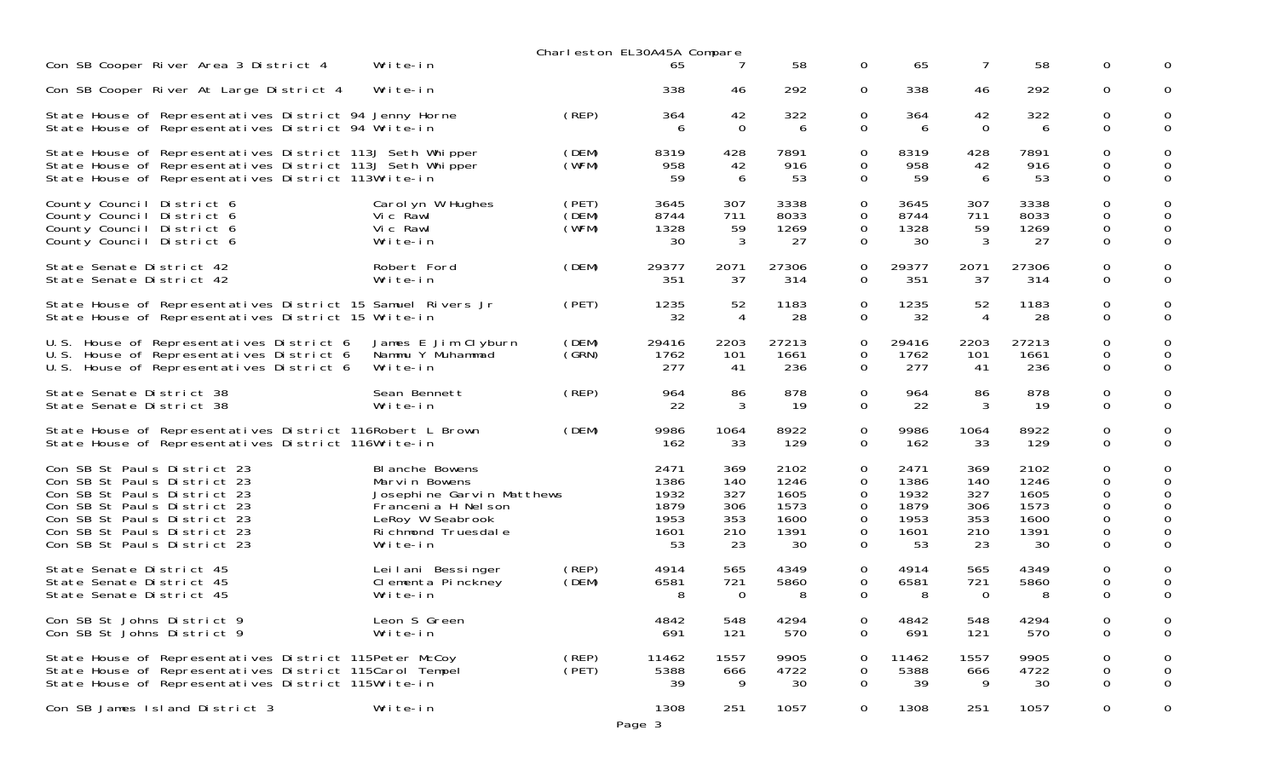|                                                                                                                                                                                                                       |                                                                                                                                              | Charleston EL30A45A Compare |                                                    |                                              |                                                    |                                 |                                                    |                                              |                                                    |                                                         |               |
|-----------------------------------------------------------------------------------------------------------------------------------------------------------------------------------------------------------------------|----------------------------------------------------------------------------------------------------------------------------------------------|-----------------------------|----------------------------------------------------|----------------------------------------------|----------------------------------------------------|---------------------------------|----------------------------------------------------|----------------------------------------------|----------------------------------------------------|---------------------------------------------------------|---------------|
| Con SB Cooper River Area 3 District 4                                                                                                                                                                                 | Write-in                                                                                                                                     |                             | 65                                                 |                                              | 58                                                 | 0                               | 65                                                 | 7                                            | 58                                                 | 0                                                       | 0             |
| Con SB Cooper River At Large District 4                                                                                                                                                                               | Write-in                                                                                                                                     |                             | 338                                                | 46                                           | 292                                                | 0                               | 338                                                | 46                                           | 292                                                | 0                                                       | 0             |
| State House of Representatives District 94 Jenny Horne<br>State House of Representatives District 94 Write-in                                                                                                         |                                                                                                                                              | (REP)                       | 364<br>6                                           | 42<br>$\Omega$                               | 322<br>6                                           | 0<br>0                          | 364<br>6                                           | 42<br>$\Omega$                               | 322<br>6                                           | 0<br>$\Omega$                                           | 0<br>$\Omega$ |
| State House of Representatives District 113J Seth Whipper<br>State House of Representatives District 113J Seth Whipper<br>State House of Representatives District 113Write-in                                         |                                                                                                                                              | (DEM)<br>(WFM)              | 8319<br>958<br>59                                  | 428<br>42<br>6                               | 7891<br>916<br>53                                  | 0<br>0<br>$\Omega$              | 8319<br>958<br>59                                  | 428<br>42<br>6                               | 7891<br>916<br>53                                  | 0<br>0<br>$\Omega$                                      | 0<br>$\Omega$ |
| County Council District 6<br>County Council District 6<br>County Council District 6<br>County Council District 6                                                                                                      | Carol yn W Hughes<br>Vic Rawl<br>Vic Rawl<br>Write-in                                                                                        | (PET)<br>(DEM)<br>(WFM)     | 3645<br>8744<br>1328<br>30                         | 307<br>711<br>59<br>3                        | 3338<br>8033<br>1269<br>27                         | 0<br>0<br>0<br>0                | 3645<br>8744<br>1328<br>30                         | 307<br>711<br>59<br>3                        | 3338<br>8033<br>1269<br>27                         | 0<br>$\Omega$<br>$\mathbf 0$<br>$\mathbf 0$             | 0<br>0        |
| State Senate District 42<br>State Senate District 42                                                                                                                                                                  | Robert Ford<br>Write-in                                                                                                                      | (DEM)                       | 29377<br>351                                       | 2071<br>37                                   | 27306<br>314                                       | 0<br>0                          | 29377<br>351                                       | 2071<br>37                                   | 27306<br>314                                       | 0<br>$\mathbf 0$                                        | $\Omega$      |
| State House of Representatives District 15 Samuel Rivers Jr<br>State House of Representatives District 15 Write-in                                                                                                    |                                                                                                                                              | (PET)                       | 1235<br>32                                         | 52<br>4                                      | 1183<br>28                                         | 0<br>0                          | 1235<br>32                                         | 52<br>4                                      | 1183<br>28                                         | 0<br>$\mathbf 0$                                        | $\Omega$      |
| U.S. House of Representatives District 6<br>U.S. House of Representatives District 6<br>U.S. House of Representatives District 6                                                                                      | James E Jim Clyburn<br>Nammu Y Muhammad<br>Write-in                                                                                          | (DEM)<br>(GRN)              | 29416<br>1762<br>277                               | 2203<br>101<br>-41                           | 27213<br>1661<br>236                               | 0<br>0<br>0                     | 29416<br>1762<br>277                               | 2203<br>101<br>41                            | 27213<br>1661<br>236                               | 0<br>0<br>$\mathbf 0$                                   | 0<br>0        |
| State Senate District 38<br>State Senate District 38                                                                                                                                                                  | Sean Bennett<br>Write-in                                                                                                                     | (REP)                       | 964<br>22                                          | 86<br>3                                      | 878<br>-19                                         | 0<br>0                          | 964<br>22                                          | 86<br>3                                      | 878<br>19                                          | 0<br>$\Omega$                                           | 0<br>$\Omega$ |
| State House of Representatives District 116Robert L Brown<br>State House of Representatives District 116Write-in                                                                                                      |                                                                                                                                              | (DEM)                       | 9986<br>162                                        | 1064<br>33                                   | 8922<br>129                                        | 0<br>0                          | 9986<br>162                                        | 1064<br>33                                   | 8922<br>129                                        | 0<br>$\Omega$                                           | 0<br>$\Omega$ |
| Con SB St Pauls District 23<br>Con SB St Pauls District 23<br>Con SB St Pauls District 23<br>Con SB St Pauls District 23<br>Con SB St Pauls District 23<br>Con SB St Pauls District 23<br>Con SB St Pauls District 23 | BI anche Bowens<br>Marvin Bowens<br>Josephine Garvin Matthews<br>Francenia H Nel son<br>LeRoy W Seabrook<br>Ri chmond Truesdal e<br>Write-in |                             | 2471<br>1386<br>1932<br>1879<br>1953<br>1601<br>53 | 369<br>140<br>327<br>306<br>353<br>210<br>23 | 2102<br>1246<br>1605<br>1573<br>1600<br>1391<br>30 | 0<br>0<br>0<br>0<br>0<br>0<br>0 | 2471<br>1386<br>1932<br>1879<br>1953<br>1601<br>53 | 369<br>140<br>327<br>306<br>353<br>210<br>23 | 2102<br>1246<br>1605<br>1573<br>1600<br>1391<br>30 | 0<br>$\Omega$<br>0<br>0<br>$\Omega$<br>0<br>$\mathbf 0$ | 0<br>0        |
| State Senate District 45<br>State Senate District 45<br>State Senate District 45                                                                                                                                      | Leilani Bessinger<br>Clementa Pinckney<br>Write-in                                                                                           | (REP)<br>(DEM)              | 4914<br>6581<br>8                                  | 565<br>721<br>$\Omega$                       | 4349<br>5860<br>8                                  | 0<br>0<br>0                     | 4914<br>6581<br>8                                  | 565<br>721<br>$\Omega$                       | 4349<br>5860<br>8                                  | 0<br>0<br>$\Omega$                                      | 0<br>0        |
| Con SB St Johns District 9<br>Con SB St Johns District 9                                                                                                                                                              | Leon S Green<br>Write-in                                                                                                                     |                             | 4842<br>691                                        | 548<br>121                                   | 4294<br>570                                        | 0<br>0                          | 4842<br>691                                        | 548<br>121                                   | 4294<br>570                                        | 0<br>0                                                  | 0<br>0        |
| State House of Representatives District 115Peter McCoy<br>State House of Representatives District 115Carol Tempel<br>State House of Representatives District 115Write-in                                              |                                                                                                                                              | (REP)<br>(PET)              | 11462<br>5388<br>39                                | 1557<br>666<br>9                             | 9905<br>4722<br>30                                 | 0<br>0<br>0                     | 11462<br>5388<br>39                                | 1557<br>666<br>9                             | 9905<br>4722<br>30                                 | 0<br>0<br>$\mathbf 0$                                   | 0<br>0<br>0   |
| Con SB James Island District 3                                                                                                                                                                                        | Write-in                                                                                                                                     |                             | 1308<br>Page 3                                     | 251                                          | 1057                                               | 0                               | 1308                                               | 251                                          | 1057                                               | $\mathbf 0$                                             | 0             |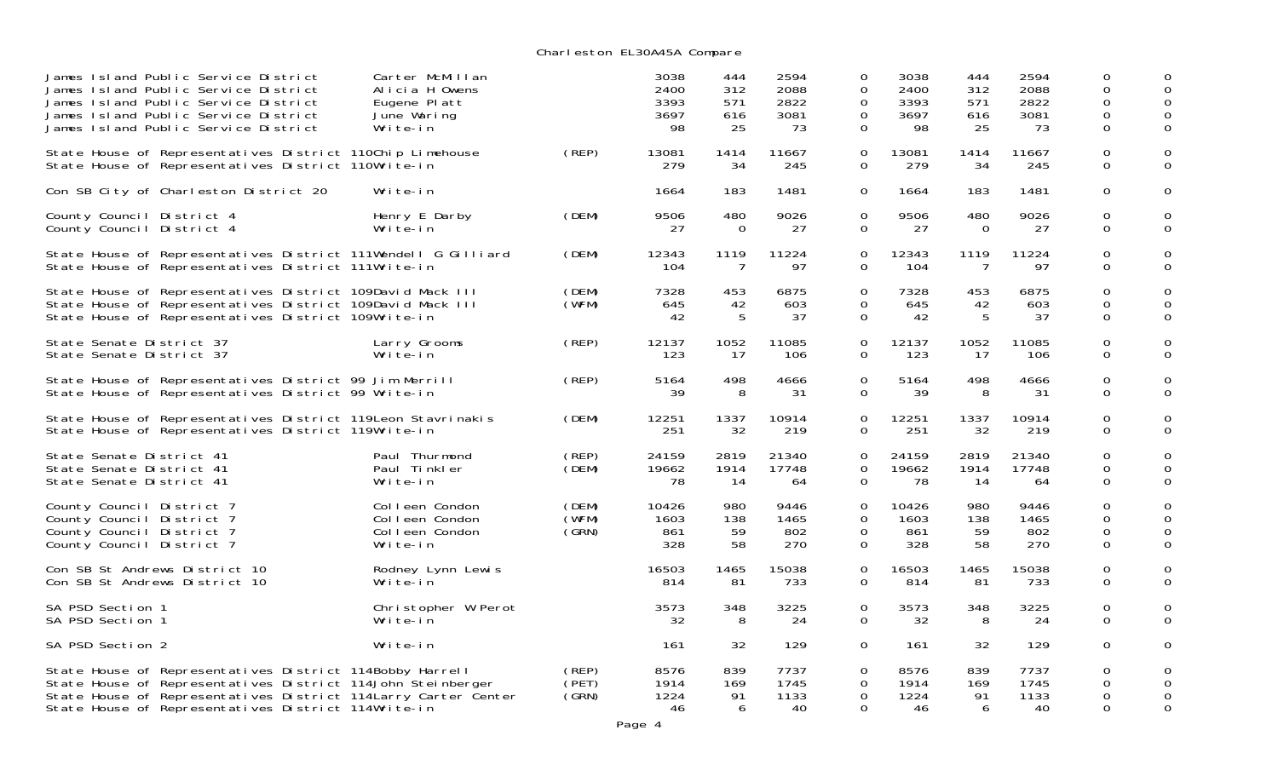Charleston EL30A45A Compare

| James Island Public Service District<br>James Island Public Service District<br>James Island Public Service District<br>James Island Public Service District<br>James Island Public Service District                                              | Carter McMillan<br>Alicia H Owens<br>Eugene Platt<br>June Waring<br>Write-in |                         | 3038<br>2400<br>3393<br>3697<br>98 | 444<br>312<br>571<br>616<br>25 | 2594<br>2088<br>2822<br>3081<br>73 | 0<br>$\Omega$<br>0<br>0<br>0   | 3038<br>2400<br>3393<br>3697<br>98 | 444<br>312<br>571<br>616<br>25 | 2594<br>2088<br>2822<br>3081<br>73 | $\Omega$<br>$\Omega$<br>0<br>$\Omega$<br>0 | 0<br>0                  |
|---------------------------------------------------------------------------------------------------------------------------------------------------------------------------------------------------------------------------------------------------|------------------------------------------------------------------------------|-------------------------|------------------------------------|--------------------------------|------------------------------------|--------------------------------|------------------------------------|--------------------------------|------------------------------------|--------------------------------------------|-------------------------|
| State House of Representatives District 110Chip Limehouse<br>State House of Representatives District 110Write-in                                                                                                                                  |                                                                              | (REP)                   | 13081<br>279                       | 1414<br>34                     | 11667<br>245                       | 0<br>0                         | 13081<br>279                       | 1414<br>34                     | 11667<br>245                       | $\mathbf 0$<br>$\Omega$                    | 0<br>$\Omega$           |
| Con SB City of Charleston District 20                                                                                                                                                                                                             | Write-in                                                                     |                         | 1664                               | 183                            | 1481                               | 0                              | 1664                               | 183                            | 1481                               | $\mathbf 0$                                | 0                       |
| County Council District 4<br>County Council District 4                                                                                                                                                                                            | Henry E Darby<br>Write-in                                                    | (DEM)                   | 9506<br>27                         | 480<br>$\Omega$                | 9026<br>27                         | 0<br>0                         | 9506<br>27                         | 480<br>$\Omega$                | 9026<br>27                         | 0<br>$\Omega$                              | 0<br>$\Omega$           |
| State House of Representatives District 111Wendell G Gilliard<br>State House of Representatives District 111Write-in                                                                                                                              |                                                                              | (DEM)                   | 12343<br>104                       | 1119<br>7                      | 11224<br>97                        | $\Omega$<br>0                  | 12343<br>104                       | 1119<br>7                      | 11224<br>97                        | $\Omega$<br>$\mathbf 0$                    | 0<br>$\Omega$           |
| State House of Representatives District 109David Mack III<br>State House of Representatives District 109David Mack III<br>State House of Representatives District 109Write-in                                                                     |                                                                              | (DEM)<br>(WFM)          | 7328<br>645<br>42                  | 453<br>42<br>-5                | 6875<br>603<br>37                  | $\Omega$<br>0<br>0             | 7328<br>645<br>42                  | 453<br>42<br>-5                | 6875<br>603<br>37                  | $\Omega$<br>$\Omega$<br>$\Omega$           | 0<br>0<br>$\Omega$      |
| State Senate District 37<br>State Senate District 37                                                                                                                                                                                              | Larry Grooms<br>Write-in                                                     | (REP)                   | 12137<br>123                       | 1052<br>-17                    | 11085<br>106                       | 0<br>0                         | 12137<br>123                       | 1052<br>-17                    | 11085<br>106                       | 0<br>$\mathbf 0$                           | 0<br>0                  |
| State House of Representatives District 99 Jim Merrill<br>State House of Representatives District 99 Write-in                                                                                                                                     |                                                                              | (REP)                   | 5164<br>39                         | 498<br>8                       | 4666<br>31                         | 0<br>0                         | 5164<br>39                         | 498<br>8                       | 4666<br>31                         | 0<br>$\Omega$                              | 0<br>$\Omega$           |
| State House of Representatives District 119Leon Stavrinakis<br>State House of Representatives District 119Write-in                                                                                                                                |                                                                              | (DEM)                   | 12251<br>251                       | 1337<br>32                     | 10914<br>219                       | 0<br>0                         | 12251<br>251                       | 1337<br>32                     | 10914<br>219                       | 0<br>$\mathbf 0$                           | 0<br>$\Omega$           |
| State Senate District 41<br>State Senate District 41<br>State Senate District 41                                                                                                                                                                  | Paul Thurmond<br>Paul Tinkler<br>Write-in                                    | (REP)<br>(DEM)          | 24159<br>19662<br>78               | 2819<br>1914<br>-14            | 21340<br>17748<br>64               | $\Omega$<br>0<br>0             | 24159<br>19662<br>78               | 2819<br>1914<br>14             | 21340<br>17748<br>64               | $\Omega$<br>$\Omega$<br>$\mathbf 0$        | 0<br>$\Omega$           |
| County Council District 7<br>County Council District 7<br>County Council District 7<br>County Council District 7                                                                                                                                  | Colleen Condon<br>Colleen Condon<br>Colleen Condon<br>Write-in               | (DEM)<br>(WFM)<br>(GRN) | 10426<br>1603<br>861<br>328        | 980<br>138<br>59<br>58         | 9446<br>1465<br>802<br>270         | 0<br>0<br>$\Omega$<br>0        | 10426<br>1603<br>861<br>328        | 980<br>138<br>59<br>58         | 9446<br>1465<br>802<br>270         | 0<br>0<br>$\Omega$<br>$\mathbf 0$          | 0<br>0<br>$\Omega$      |
| Con SB St Andrews District 10<br>Con SB St Andrews District 10                                                                                                                                                                                    | Rodney Lynn Lewis<br>Write-in                                                |                         | 16503<br>814                       | 1465<br>81                     | 15038<br>733                       | 0<br>0                         | 16503<br>814                       | 1465<br>81                     | 15038<br>733                       | $\mathbf 0$<br>$\Omega$                    | 0<br>0                  |
| SA PSD Section 1<br>SA PSD Section 1                                                                                                                                                                                                              | Christopher W Perot<br>Write-in                                              |                         | 3573<br>32                         | 348<br>8                       | 3225<br>24                         | $\Omega$<br>0                  | 3573<br>32                         | 348<br>8                       | 3225<br>24                         | $\mathbf 0$<br>$\mathbf 0$                 | 0<br>$\Omega$           |
| SA PSD Section 2                                                                                                                                                                                                                                  | Write-in                                                                     |                         | 161                                | 32                             | 129                                | $\overline{O}$                 | 161                                | 32                             | 129                                | $\mathbf 0$                                | 0                       |
| State House of Representatives District 114Bobby Harrell<br>State House of Representatives District 114John Steinberger<br>State House of Representatives District 114 Larry Carter Center<br>State House of Representatives District 114Write-in |                                                                              | (REP)<br>(PET)<br>(SRN) | 8576<br>1914<br>1224<br>46         | 839<br>169<br>91<br>6          | 7737<br>1745<br>1133<br>40         | $\Omega$<br>0<br>$\Omega$<br>0 | 8576<br>1914<br>1224<br>46         | 839<br>169<br>91<br>6          | 7737<br>1745<br>1133<br>40         | $\Omega$<br>0<br>0<br>$\Omega$             | 0<br>$\Omega$<br>0<br>0 |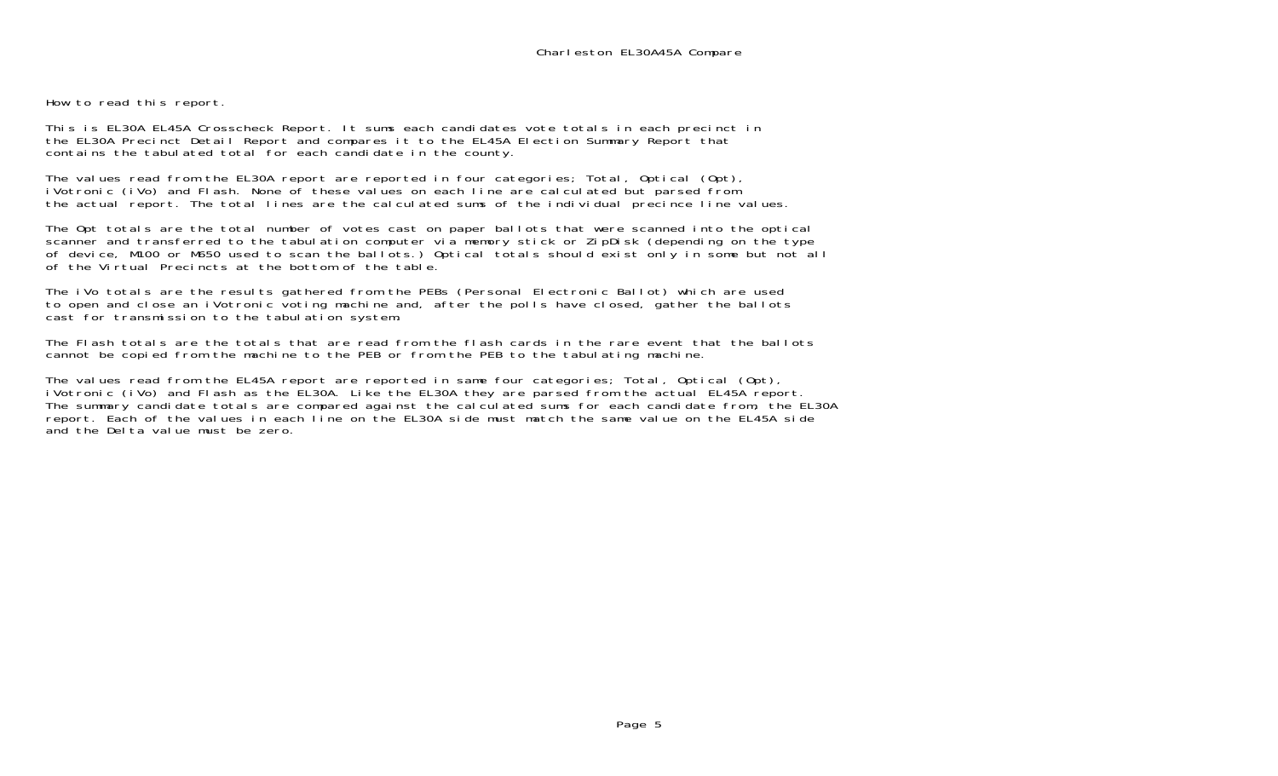How to read this report.

This is EL30A EL45A Crosscheck Report. It sums each candidates vote totals in each precinct in the EL30A Precinct Detail Report and compares it to the EL45A Election Summary Report that contains the tabulated total for each candidate in the county.

The values read from the EL30A report are reported in four categories; Total, Optical (Opt), iVotronic (iVo) and Flash. None of these values on each line are calculated but parsed from the actual report. The total lines are the calculated sums of the individual precince line values.

The Opt totals are the total number of votes cast on paper ballots that were scanned into the optical scanner and transferred to the tabulation computer via memory stick or ZipDisk (depending on the type of device, M100 or M650 used to scan the ballots.) Optical totals should exist only in some but not all of the Virtual Precincts at the bottom of the table.

The iVo totals are the results gathered from the PEBs (Personal Electronic Ballot) which are used to open and close an iVotronic voting machine and, after the polls have closed, gather the ballots cast for transmission to the tabulation system.

The Flash totals are the totals that are read from the flash cards in the rare event that the ballots cannot be copied from the machine to the PEB or from the PEB to the tabulating machine.

The values read from the EL45A report are reported in same four categories; Total, Optical (Opt), iVotronic (iVo) and Flash as the EL30A. Like the EL30A they are parsed from the actual EL45A report. The summary candidate totals are compared against the calculated sums for each candidate from, the EL30A report. Each of the values in each line on the EL30A side must match the same value on the EL45A side and the Delta value must be zero.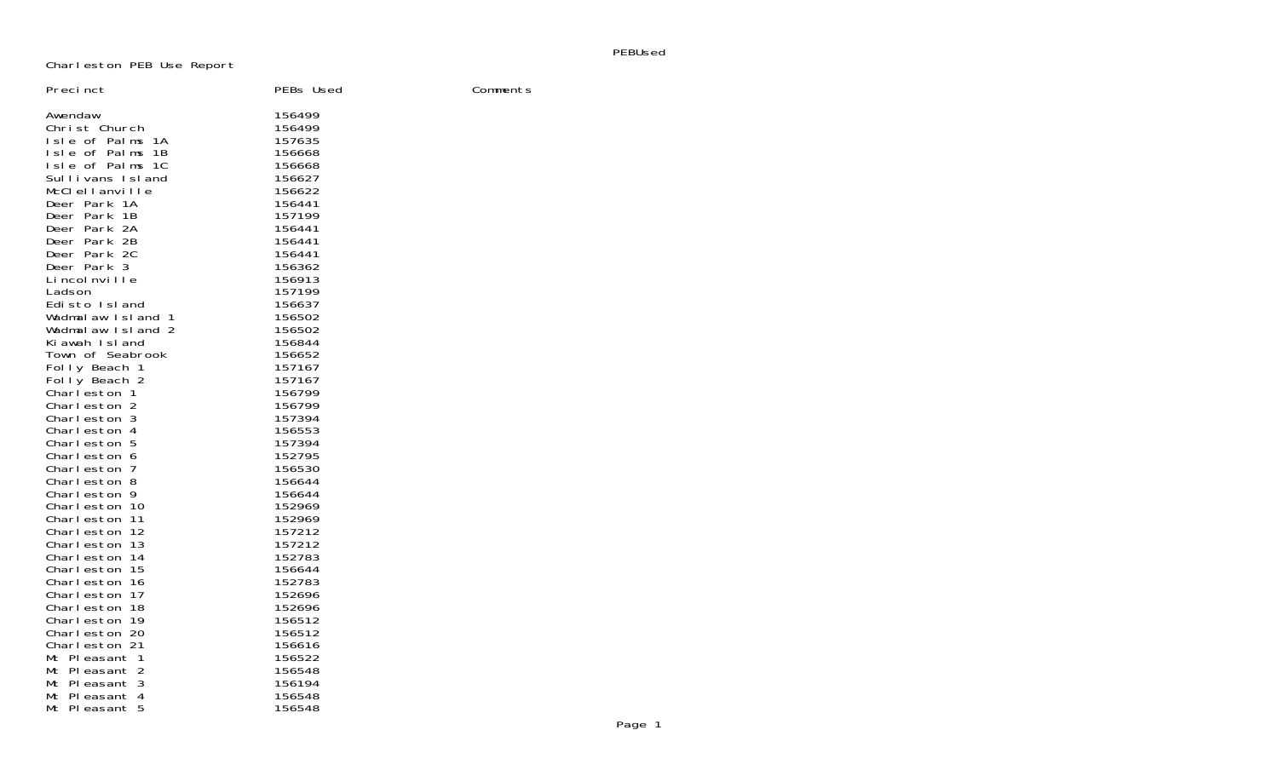PEBUsed

Charleston PEB Use Report

| Precinct                       | PEBs Used        | Comments |
|--------------------------------|------------------|----------|
| Awendaw                        | 156499           |          |
| Christ Church                  | 156499           |          |
| Isle of Palms 1A               | 157635           |          |
| Isle of Palms 1B               | 156668           |          |
| Isle of Palms 1C               | 156668           |          |
| Sullivans Island               | 156627           |          |
| McClellanville                 | 156622           |          |
| Deer Park 1A                   | 156441           |          |
| Deer Park 1B                   | 157199           |          |
| Deer Park 2A                   | 156441           |          |
| Deer Park 2B                   | 156441           |          |
| Deer Park 2C                   | 156441           |          |
| Deer Park 3                    | 156362           |          |
| Lincolnville                   | 156913           |          |
| Ladson<br>Edisto Island        | 157199<br>156637 |          |
| Wadmalaw Island 1              | 156502           |          |
| Wadmalaw Island 2              | 156502           |          |
| Ki awah Island                 | 156844           |          |
| Town of Seabrook               | 156652           |          |
| Folly Beach 1                  | 157167           |          |
| Folly Beach 2                  | 157167           |          |
| Charleston 1                   | 156799           |          |
| Charleston 2                   | 156799           |          |
| Charleston 3                   | 157394           |          |
| Charleston 4                   | 156553           |          |
| Charleston 5                   | 157394           |          |
| Charleston 6                   | 152795           |          |
| Charleston 7                   | 156530           |          |
| Charleston 8                   | 156644           |          |
| Charleston 9                   | 156644           |          |
| Charleston 10                  | 152969           |          |
| Charleston 11                  | 152969           |          |
| Charleston 12                  | 157212           |          |
| Charleston 13<br>Charleston 14 | 157212<br>152783 |          |
| Charleston 15                  | 156644           |          |
| Charleston 16                  | 152783           |          |
| Charleston 17                  | 152696           |          |
| Charleston 18                  | 152696           |          |
| Charleston 19                  | 156512           |          |
| Charleston 20                  | 156512           |          |
| Charleston 21                  | 156616           |          |
| Mt Pleasant 1                  | 156522           |          |
| Mt Pleasant 2                  | 156548           |          |
| Mt Pleasant 3                  | 156194           |          |
| Mt Pleasant 4                  | 156548           |          |
| Mt Pleasant 5                  | 156548           |          |
|                                |                  |          |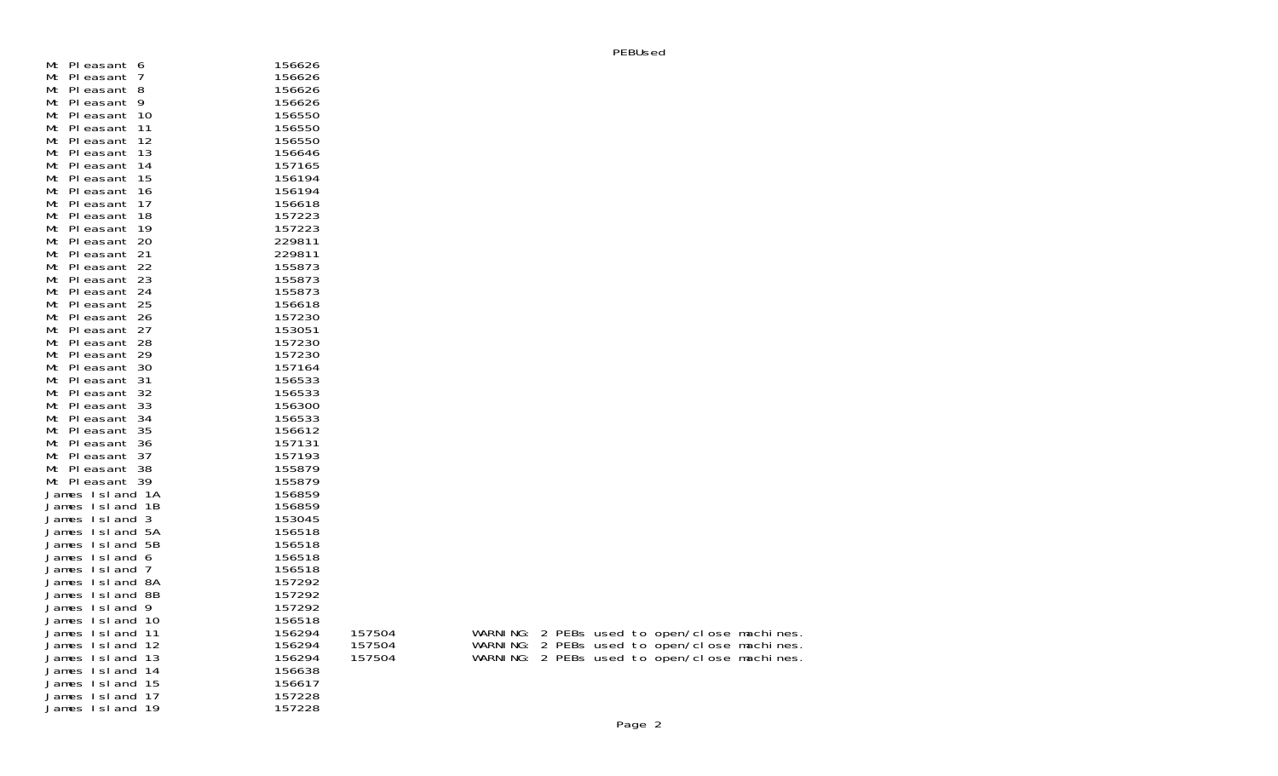| Mt Pleasant 6                    | 156626           |        |  |  |  |                                             |
|----------------------------------|------------------|--------|--|--|--|---------------------------------------------|
| Mt Pleasant 7                    | 156626           |        |  |  |  |                                             |
| Mt Pleasant 8                    | 156626           |        |  |  |  |                                             |
| Mt Pleasant 9                    | 156626           |        |  |  |  |                                             |
| Mt Pleasant 10                   | 156550           |        |  |  |  |                                             |
| Mt Pleasant 11                   | 156550           |        |  |  |  |                                             |
| Mt Pleasant 12                   | 156550           |        |  |  |  |                                             |
| Mt Pleasant 13                   | 156646           |        |  |  |  |                                             |
| Mt Pleasant 14                   | 157165           |        |  |  |  |                                             |
| Mt Pleasant 15                   | 156194           |        |  |  |  |                                             |
| Mt Pleasant 16                   | 156194           |        |  |  |  |                                             |
| Mt Pleasant 17                   | 156618           |        |  |  |  |                                             |
| Mt Pleasant 18                   | 157223           |        |  |  |  |                                             |
| Mt Pleasant 19                   | 157223           |        |  |  |  |                                             |
| Mt Pleasant 20                   | 229811           |        |  |  |  |                                             |
| Mt Pleasant 21                   | 229811           |        |  |  |  |                                             |
| Mt Pleasant 22                   | 155873           |        |  |  |  |                                             |
| Mt Pleasant 23                   | 155873           |        |  |  |  |                                             |
| Mt Pleasant 24                   | 155873           |        |  |  |  |                                             |
| Mt Pleasant 25                   | 156618           |        |  |  |  |                                             |
|                                  | 157230           |        |  |  |  |                                             |
| Mt Pleasant 26                   |                  |        |  |  |  |                                             |
| Mt Pleasant 27                   | 153051<br>157230 |        |  |  |  |                                             |
| Mt Pleasant 28<br>Mt Pleasant 29 | 157230           |        |  |  |  |                                             |
|                                  |                  |        |  |  |  |                                             |
| Mt Pleasant 30                   | 157164           |        |  |  |  |                                             |
| Mt Pleasant 31                   | 156533           |        |  |  |  |                                             |
| Mt Pleasant 32                   | 156533           |        |  |  |  |                                             |
| Mt Pleasant 33                   | 156300           |        |  |  |  |                                             |
| Mt Pleasant 34                   | 156533           |        |  |  |  |                                             |
| Mt Pleasant 35                   | 156612           |        |  |  |  |                                             |
| Mt Pleasant 36                   | 157131           |        |  |  |  |                                             |
| Mt Pleasant 37                   | 157193           |        |  |  |  |                                             |
| Mt Pleasant 38                   | 155879           |        |  |  |  |                                             |
| Mt Pleasant 39                   | 155879           |        |  |  |  |                                             |
| James Island 1A                  | 156859           |        |  |  |  |                                             |
| James Island 1B                  | 156859           |        |  |  |  |                                             |
| James Island 3                   | 153045           |        |  |  |  |                                             |
| James Island 5A                  | 156518           |        |  |  |  |                                             |
| James Island 5B                  | 156518           |        |  |  |  |                                             |
| James Island 6                   | 156518           |        |  |  |  |                                             |
| James Island 7                   | 156518           |        |  |  |  |                                             |
| James Island 8A                  | 157292           |        |  |  |  |                                             |
| James Island 8B                  | 157292           |        |  |  |  |                                             |
| James Island 9                   | 157292           |        |  |  |  |                                             |
| James Island 10                  | 156518           |        |  |  |  |                                             |
| James Island 11                  | 156294           | 157504 |  |  |  | WARNING: 2 PEBs used to open/close machines |
| James Island 12                  | 156294           | 157504 |  |  |  | WARNING: 2 PEBs used to open/close machines |
| James Island 13                  | 156294           | 157504 |  |  |  | WARNING: 2 PEBs used to open/close machines |
| James Island 14                  | 156638           |        |  |  |  |                                             |
| James Island 15                  | 156617           |        |  |  |  |                                             |
| James Island 17                  | 157228           |        |  |  |  |                                             |
| James Island 19                  | 157228           |        |  |  |  |                                             |
|                                  |                  |        |  |  |  |                                             |

|  | Page |
|--|------|
|--|------|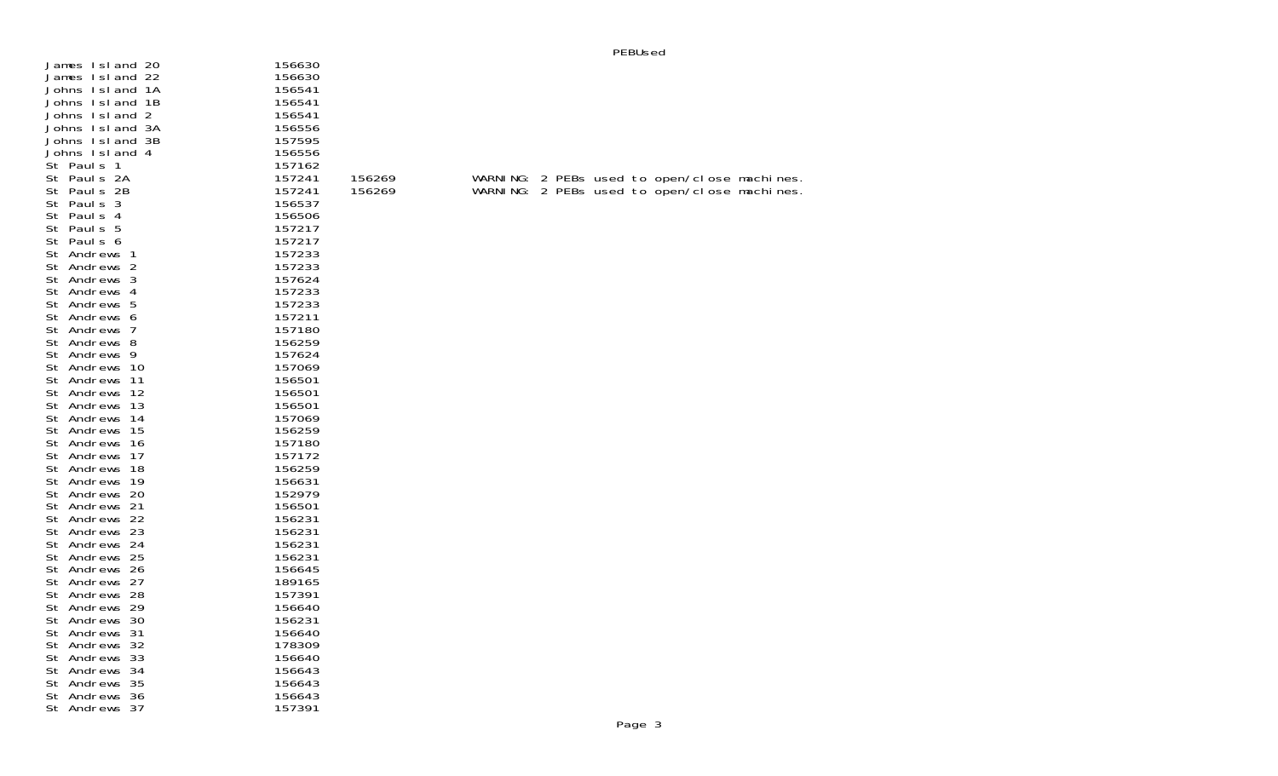| James Island 20<br>James Island 22<br>Johns Island 1A<br>Johns Island 1B<br>Johns Island 2<br>Johns Island 3A | 156630<br>156630<br>156541<br>156541<br>156541<br>156556 |        |  |                                             |  |
|---------------------------------------------------------------------------------------------------------------|----------------------------------------------------------|--------|--|---------------------------------------------|--|
| Johns Island 3B                                                                                               | 157595                                                   |        |  |                                             |  |
| Johns Island 4<br>St Pauls 1                                                                                  | 156556<br>157162                                         |        |  |                                             |  |
| St Pauls 2A                                                                                                   | 157241                                                   | 156269 |  | WARNING: 2 PEBs used to open/close machines |  |
| St Pauls 2B                                                                                                   | 157241                                                   | 156269 |  | WARNING: 2 PEBs used to open/close machines |  |
| St Pauls 3                                                                                                    | 156537                                                   |        |  |                                             |  |
| St Pauls 4                                                                                                    | 156506                                                   |        |  |                                             |  |
| St Pauls 5                                                                                                    | 157217                                                   |        |  |                                             |  |
| St Pauls 6                                                                                                    | 157217                                                   |        |  |                                             |  |
| St Andrews 1                                                                                                  | 157233                                                   |        |  |                                             |  |
| St Andrews 2                                                                                                  | 157233                                                   |        |  |                                             |  |
| St Andrews 3                                                                                                  | 157624                                                   |        |  |                                             |  |
| St Andrews 4                                                                                                  | 157233                                                   |        |  |                                             |  |
| St Andrews 5                                                                                                  | 157233                                                   |        |  |                                             |  |
| St Andrews 6                                                                                                  | 157211                                                   |        |  |                                             |  |
| St Andrews 7                                                                                                  | 157180                                                   |        |  |                                             |  |
| St Andrews 8<br>St Andrews 9                                                                                  | 156259<br>157624                                         |        |  |                                             |  |
| St Andrews 10                                                                                                 | 157069                                                   |        |  |                                             |  |
| St Andrews 11                                                                                                 | 156501                                                   |        |  |                                             |  |
| St Andrews 12                                                                                                 | 156501                                                   |        |  |                                             |  |
| St Andrews 13                                                                                                 | 156501                                                   |        |  |                                             |  |
| St Andrews 14                                                                                                 | 157069                                                   |        |  |                                             |  |
| St Andrews 15                                                                                                 | 156259                                                   |        |  |                                             |  |
| St Andrews 16                                                                                                 | 157180                                                   |        |  |                                             |  |
| St Andrews 17                                                                                                 | 157172                                                   |        |  |                                             |  |
| St Andrews 18                                                                                                 | 156259                                                   |        |  |                                             |  |
| St Andrews 19                                                                                                 | 156631                                                   |        |  |                                             |  |
| St Andrews 20                                                                                                 | 152979                                                   |        |  |                                             |  |
| St Andrews 21                                                                                                 | 156501                                                   |        |  |                                             |  |
| St Andrews 22                                                                                                 | 156231                                                   |        |  |                                             |  |
| St Andrews 23                                                                                                 | 156231<br>156231                                         |        |  |                                             |  |
| St Andrews 24<br>St Andrews 25                                                                                | 156231                                                   |        |  |                                             |  |
| St Andrews 26                                                                                                 | 156645                                                   |        |  |                                             |  |
| St Andrews 27                                                                                                 | 189165                                                   |        |  |                                             |  |
| St Andrews 28                                                                                                 | 157391                                                   |        |  |                                             |  |
| St Andrews 29                                                                                                 | 156640                                                   |        |  |                                             |  |
| St Andrews 30                                                                                                 | 156231                                                   |        |  |                                             |  |
| St Andrews 31                                                                                                 | 156640                                                   |        |  |                                             |  |
| St Andrews 32                                                                                                 | 178309                                                   |        |  |                                             |  |
| St Andrews 33                                                                                                 | 156640                                                   |        |  |                                             |  |
| St Andrews 34                                                                                                 | 156643                                                   |        |  |                                             |  |
| St Andrews 35                                                                                                 | 156643                                                   |        |  |                                             |  |
| St Andrews 36                                                                                                 | 156643                                                   |        |  |                                             |  |
| St Andrews 37                                                                                                 | 157391                                                   |        |  |                                             |  |

PEBUsed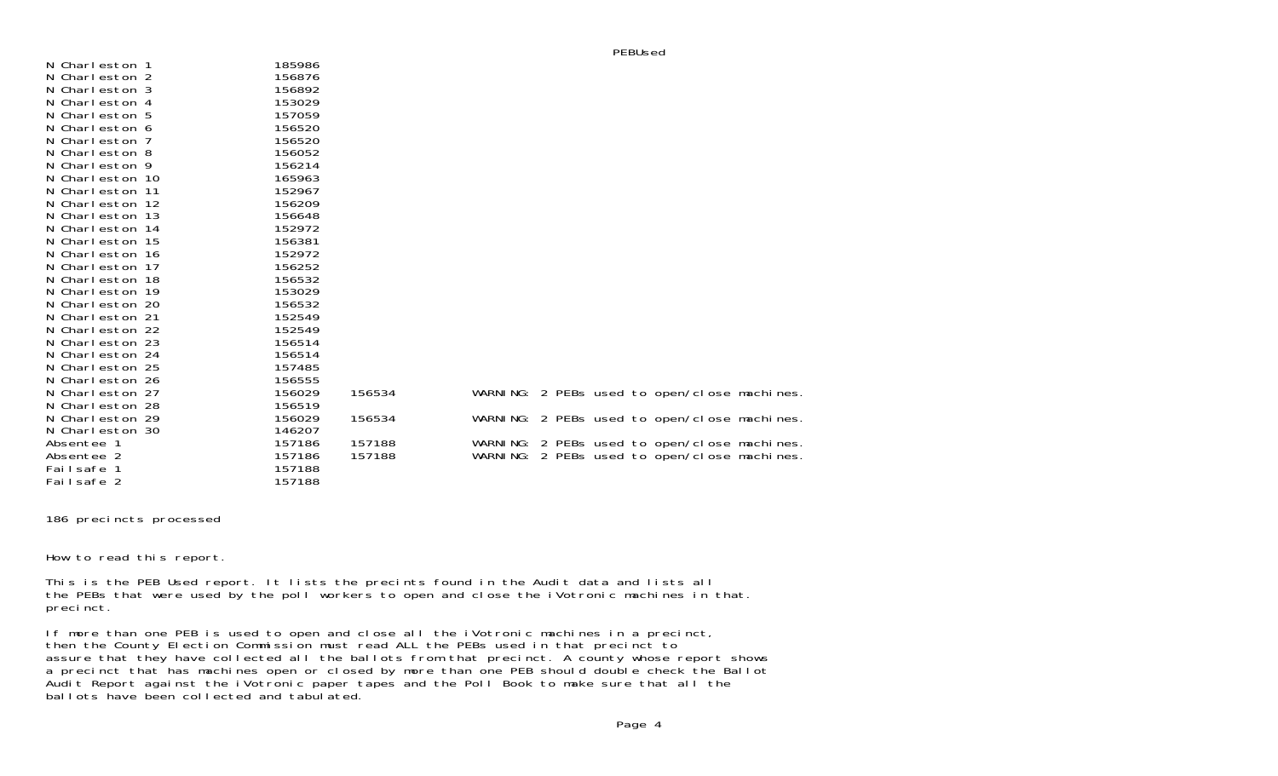| N Charleston 1  | 185986 |        |           |  |                                              |  |
|-----------------|--------|--------|-----------|--|----------------------------------------------|--|
| N Charleston 2  | 156876 |        |           |  |                                              |  |
| N Charleston 3  | 156892 |        |           |  |                                              |  |
| N Charleston 4  | 153029 |        |           |  |                                              |  |
| N Charleston 5  | 157059 |        |           |  |                                              |  |
| N Charleston 6  | 156520 |        |           |  |                                              |  |
| N Charleston 7  | 156520 |        |           |  |                                              |  |
| N Charleston 8  | 156052 |        |           |  |                                              |  |
| N Charleston 9  | 156214 |        |           |  |                                              |  |
| N Charleston 10 | 165963 |        |           |  |                                              |  |
| N Charleston 11 | 152967 |        |           |  |                                              |  |
| N Charleston 12 | 156209 |        |           |  |                                              |  |
| N Charleston 13 | 156648 |        |           |  |                                              |  |
| N Charleston 14 | 152972 |        |           |  |                                              |  |
| N Charleston 15 | 156381 |        |           |  |                                              |  |
| N Charleston 16 | 152972 |        |           |  |                                              |  |
| N Charleston 17 | 156252 |        |           |  |                                              |  |
| N Charleston 18 | 156532 |        |           |  |                                              |  |
| N Charleston 19 | 153029 |        |           |  |                                              |  |
| N Charleston 20 | 156532 |        |           |  |                                              |  |
| N Charleston 21 | 152549 |        |           |  |                                              |  |
| N Charleston 22 | 152549 |        |           |  |                                              |  |
| N Charleston 23 | 156514 |        |           |  |                                              |  |
| N Charleston 24 | 156514 |        |           |  |                                              |  |
| N Charleston 25 | 157485 |        |           |  |                                              |  |
| N Charleston 26 | 156555 |        |           |  |                                              |  |
| N Charleston 27 | 156029 | 156534 |           |  | WARNING: 2 PEBs used to open/close machines. |  |
| N Charleston 28 | 156519 |        |           |  |                                              |  |
| N Charleston 29 | 156029 | 156534 |           |  | WARNING: 2 PEBs used to open/close machines. |  |
| N Charleston 30 | 146207 |        |           |  |                                              |  |
| Absentee 1      | 157186 | 157188 | WARNI NG: |  | 2 PEBs used to open/close machines.          |  |
| Absentee 2      | 157186 | 157188 | WARNI NG: |  | 2 PEBs used to open/close machines.          |  |
| Failsafe 1      | 157188 |        |           |  |                                              |  |
| Failsafe 2      | 157188 |        |           |  |                                              |  |

186 precincts processed

How to read this report.

This is the PEB Used report. It lists the precints found in the Audit data and lists all the PEBs that were used by the poll workers to open and close the iVotronic machines in that. precinct.

If more than one PEB is used to open and close all the iVotronic machines in a precinct, then the County Election Commission must read ALL the PEBs used in that precinct to assure that they have collected all the ballots from that precinct. A county whose report shows a precinct that has machines open or closed by more than one PEB should double check the Ballot Audit Report against the iVotronic paper tapes and the Poll Book to make sure that all the ballots have been collected and tabulated.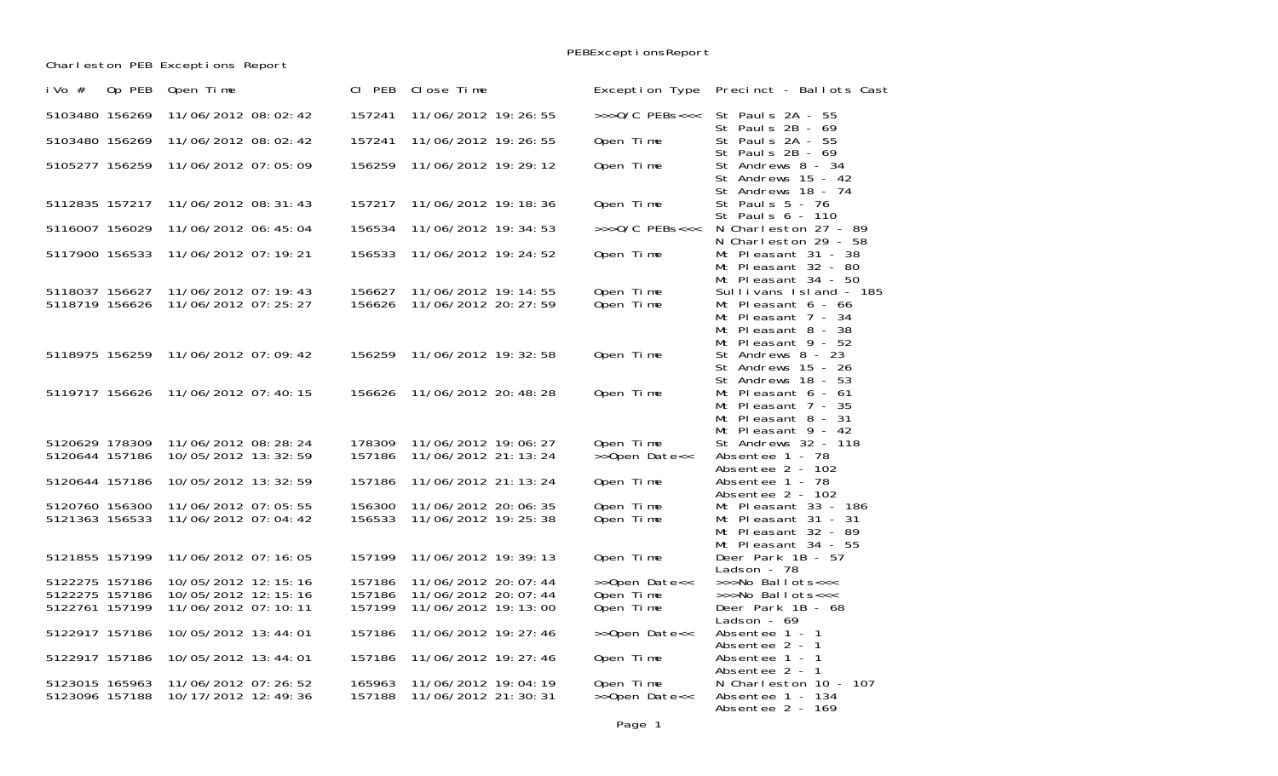PEBExceptionsReport

Charleston PEB Exceptions Report

| Op PEB<br>i Vo $#$ | Open Time             | CI PEB | Close Time            | Exception Type     | Precinct - Ballots Cast                                                                |
|--------------------|-----------------------|--------|-----------------------|--------------------|----------------------------------------------------------------------------------------|
| 5103480 156269     | 11/06/2012 08:02:42   | 157241 | 11/06/2012 19: 26: 55 | $\gg$ >0/C PEBs<<< | St Pauls 2A - 55<br>St Pauls 2B - 69                                                   |
| 5103480 156269     | 11/06/2012 08:02:42   | 157241 | 11/06/2012 19: 26: 55 | Open Time          | St Pauls 2A - 55<br>St Pauls 2B - 69                                                   |
| 5105277 156259     | 11/06/2012 07:05:09   | 156259 | 11/06/2012 19:29:12   | Open Time          | St Andrews 8 - 34<br>St Andrews 15 - 42<br>St Andrews 18 - 74                          |
| 5112835 157217     | 11/06/2012 08: 31: 43 | 157217 | 11/06/2012 19: 18: 36 | Open Time          | St Pauls 5 - 76<br>St Pauls 6 - 110                                                    |
| 5116007 156029     | 11/06/2012 06: 45: 04 | 156534 | 11/06/2012 19: 34: 53 | $>>$ $0/C$ PEBs<<< | N Charleston 27 - 89<br>N Charleston 29 - 58                                           |
| 5117900 156533     | 11/06/2012 07:19:21   | 156533 | 11/06/2012 19: 24: 52 | Open Time          | Mt Pleasant 31 - 38<br>Mt Pleasant 32 - 80<br>Mt Pleasant 34 - 50                      |
| 5118037 156627     | 11/06/2012 07:19:43   | 156627 | 11/06/2012 19: 14: 55 | Open Time          | Sullivans Island - 185                                                                 |
| 5118719 156626     | 11/06/2012 07: 25: 27 | 156626 | 11/06/2012 20: 27: 59 | Open Time          | Mt Pleasant 6 - 66<br>Mt Pleasant 7 - 34<br>Mt Pleasant 8 - 38<br>Mt Pleasant 9 - 52   |
| 5118975 156259     | 11/06/2012 07:09:42   | 156259 | 11/06/2012 19: 32: 58 | Open Time          | St Andrews 8 - 23<br>St Andrews 15 - 26<br>St Andrews 18 - 53                          |
| 5119717 156626     | 11/06/2012 07:40:15   | 156626 | 11/06/2012 20: 48: 28 | Open Time          | Mt Pleasant $6 - 61$<br>Mt Pleasant 7 - 35<br>Mt Pleasant 8 - 31<br>Mt Pleasant 9 - 42 |
| 5120629 178309     | 11/06/2012 08:28:24   | 178309 | 11/06/2012 19:06:27   | Open Time          | St Andrews 32 - 118                                                                    |
| 5120644 157186     | 10/05/2012 13:32:59   | 157186 | 11/06/2012 21: 13: 24 | >>Open Date<<      | Absentee 1 - 78<br>Absentee 2 - 102                                                    |
| 5120644 157186     | 10/05/2012 13: 32: 59 | 157186 | 11/06/2012 21: 13: 24 | Open Time          | Absentee 1 - 78<br>Absentee 2 - 102                                                    |
| 5120760 156300     | 11/06/2012 07:05:55   | 156300 | 11/06/2012 20:06:35   | Open Time          | Mt Pleasant 33 - 186                                                                   |
| 5121363 156533     | 11/06/2012 07:04:42   | 156533 | 11/06/2012 19: 25: 38 | Open Time          | Mt Pleasant 31 - 31<br>Mt Pleasant 32 - 89<br>Mt Pleasant 34 - 55                      |
| 5121855 157199     | 11/06/2012 07:16:05   | 157199 | 11/06/2012 19:39:13   | Open Time          | Deer Park 1B - 57<br>Ladson - 78                                                       |
| 5122275 157186     | 10/05/2012 12:15:16   | 157186 | 11/06/2012 20: 07: 44 | >>Open Date<<      | >>>No Ballots<<<                                                                       |
| 5122275 157186     | 10/05/2012 12:15:16   | 157186 | 11/06/2012 20: 07: 44 | Open Time          | >>>No Ballots<<<                                                                       |
| 5122761 157199     | 11/06/2012 07:10:11   | 157199 | 11/06/2012 19: 13: 00 | Open Time          | Deer Park 1B - 68<br>Ladson - $69$                                                     |
| 5122917 157186     | 10/05/2012 13:44:01   | 157186 | 11/06/2012 19: 27: 46 | >>Open Date<<      | Absentee 1 - 1<br>Absentee 2 - 1                                                       |
| 5122917 157186     | 10/05/2012 13:44:01   | 157186 | 11/06/2012 19: 27: 46 | Open Time          | Absentee 1 - 1<br>Absentee 2 - 1                                                       |
| 5123015 165963     | 11/06/2012 07:26:52   | 165963 | 11/06/2012 19:04:19   | Open Time          | N Charleston 10 - 107                                                                  |
| 5123096 157188     | 10/17/2012 12:49:36   | 157188 | 11/06/2012 21:30:31   | >>Open Date<<      | Absentee 1 - 134<br>Absentee 2 - 169                                                   |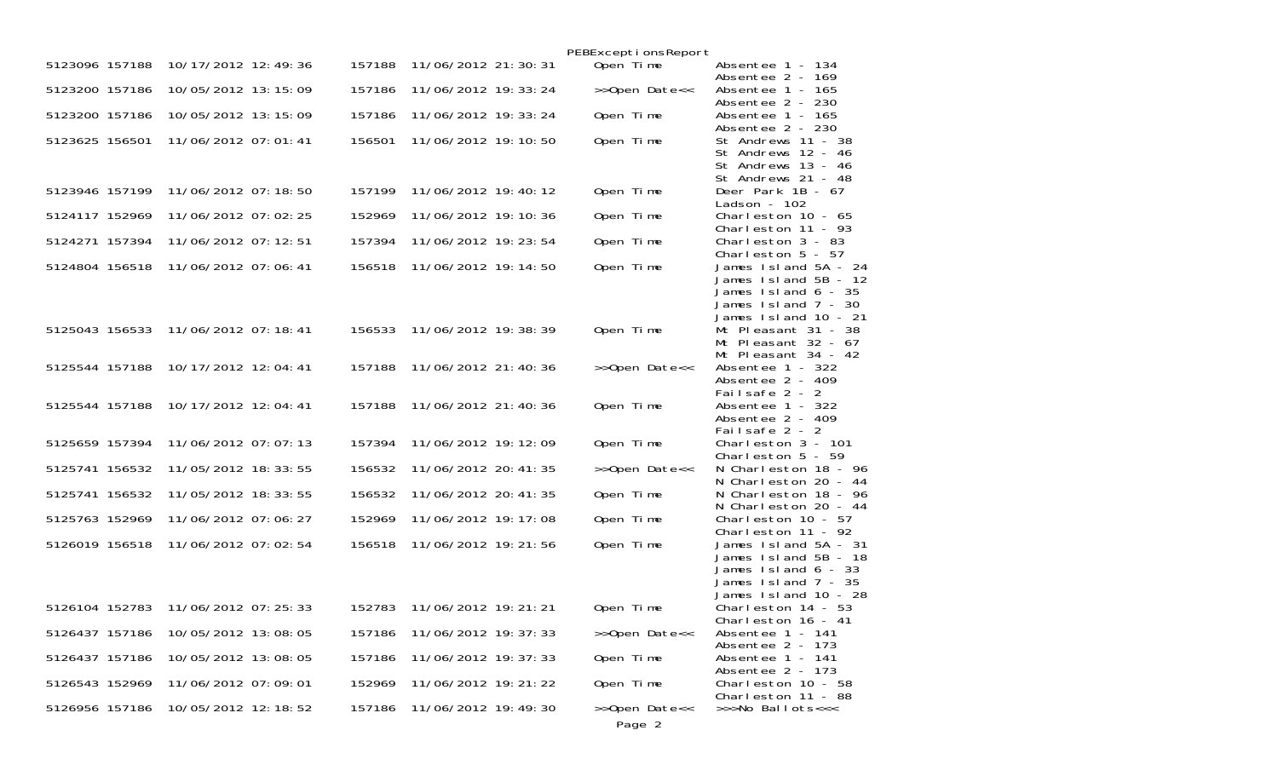|                |                                    |        |                       | PEBExceptionsReport     |                                                                                                                         |
|----------------|------------------------------------|--------|-----------------------|-------------------------|-------------------------------------------------------------------------------------------------------------------------|
| 5123096 157188 | 10/17/2012 12:49:36                | 157188 | 11/06/2012 21: 30: 31 | Open Time               | Absentee 1 - 134<br>Absentee 2 - 169                                                                                    |
| 5123200 157186 | 10/05/2012 13:15:09                | 157186 | 11/06/2012 19: 33: 24 | >>Open Date<<           | Absentee 1 - 165<br>Absentee 2 - 230                                                                                    |
| 5123200 157186 | 10/05/2012 13:15:09                | 157186 | 11/06/2012 19: 33: 24 | Open Time               | Absentee 1 - 165<br>Absentee 2 - 230                                                                                    |
| 5123625 156501 | 11/06/2012 07:01:41                | 156501 | 11/06/2012 19: 10: 50 | Open Time               | St Andrews 11 - 38<br>St Andrews 12 - 46<br>St Andrews 13 - 46<br>St Andrews 21 - 48                                    |
| 5123946 157199 | 11/06/2012 07:18:50                | 157199 | 11/06/2012 19:40:12   | Open Time               | Deer Park $1B - 67$<br>Ladson - $102$                                                                                   |
| 5124117 152969 | 11/06/2012 07:02:25                | 152969 | 11/06/2012 19: 10: 36 | Open Time               | Charleston $10 - 65$<br>Charleston 11 - 93                                                                              |
| 5124271 157394 | 11/06/2012 07: 12: 51              | 157394 | 11/06/2012 19: 23: 54 | Open Time               | Charleston $3 - 83$<br>Charleston $5 - 57$                                                                              |
| 5124804 156518 | 11/06/2012 07:06:41                | 156518 | 11/06/2012 19: 14: 50 | Open Time               | James 1sl and 5A - 24<br>James 1sl and 5B - 12<br>James 1sl and 6 - 35<br>James 1sl and 7 - 30<br>James 1sl and 10 - 21 |
|                | 5125043 156533 11/06/2012 07:18:41 | 156533 | 11/06/2012 19: 38: 39 | Open Time               | Mt Pleasant 31 - 38<br>Mt Pleasant 32 - 67<br>Mt Pleasant 34 - 42                                                       |
| 5125544 157188 | 10/17/2012 12:04:41                | 157188 | 11/06/2012 21:40:36   | >>Open Date<<           | Absentee 1 - 322<br>Absentee 2 - 409<br>Failsafe 2 - 2                                                                  |
| 5125544 157188 | 10/17/2012 12:04:41                | 157188 | 11/06/2012 21:40:36   | Open Time               | Absentee 1 - 322<br>Absentee 2 - 409<br>Failsafe 2 - 2                                                                  |
| 5125659 157394 | 11/06/2012 07:07:13                | 157394 | 11/06/2012 19: 12: 09 | Open Time               | Charleston $3 - 101$<br>Charleston $5 - 59$                                                                             |
| 5125741 156532 | 11/05/2012 18: 33: 55              | 156532 | 11/06/2012 20: 41: 35 | >>Open Date<<           | N Charleston 18 - 96<br>N Charleston 20 -<br>-44                                                                        |
| 5125741 156532 | 11/05/2012 18: 33: 55              | 156532 | 11/06/2012 20: 41: 35 | Open Time               | N Charleston 18 - 96<br>N Charleston 20 - 44                                                                            |
| 5125763 152969 | 11/06/2012 07:06:27                | 152969 | 11/06/2012 19: 17: 08 | Open Time               | Charleston $10 - 57$<br>Charleston $11 - 92$                                                                            |
| 5126019 156518 | 11/06/2012 07:02:54                | 156518 | 11/06/2012 19: 21: 56 | Open Time               | James 1sl and 5A - 31<br>James 1sl and 5B - 18<br>James Island 6 - 33<br>James 1sl and 7 - 35<br>James 1sl and 10 - 28  |
| 5126104 152783 | 11/06/2012 07: 25: 33              | 152783 | 11/06/2012 19: 21: 21 | Open Time               | Charleston 14 - 53<br>Charleston $16 - 41$                                                                              |
| 5126437 157186 | 10/05/2012 13:08:05                | 157186 | 11/06/2012 19: 37: 33 | >>Open Date<<           | Absentee 1 - 141<br>Absentee 2 - 173                                                                                    |
| 5126437 157186 | 10/05/2012 13:08:05                | 157186 | 11/06/2012 19: 37: 33 | Open Time               | Absentee 1 - 141<br>Absentee 2 - 173                                                                                    |
| 5126543 152969 | 11/06/2012 07:09:01                | 152969 | 11/06/2012 19: 21: 22 | Open Time               | Charleston 10 - 58<br>Charleston 11 - 88                                                                                |
| 5126956 157186 | 10/05/2012 12:18:52                | 157186 | 11/06/2012 19:49:30   | >>Open Date<<<br>Page 2 | >>>No Ballots<<<                                                                                                        |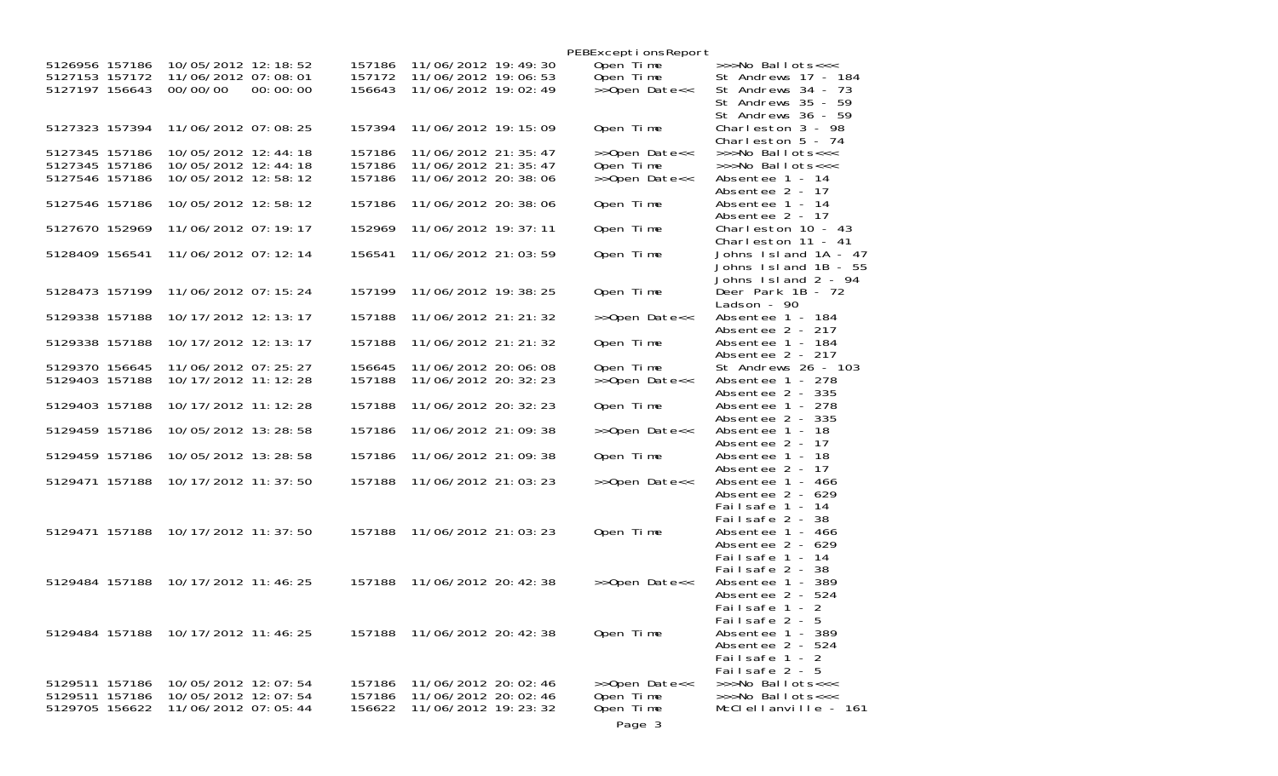|                |                                 |                  |                       | PEBExceptionsReport |                                             |
|----------------|---------------------------------|------------------|-----------------------|---------------------|---------------------------------------------|
| 5126956 157186 | 10/05/2012 12: 18: 52           | 157186           | 11/06/2012 19: 49: 30 | Open Time           | $\gg$ Mo Ballots $<<$                       |
| 5127153 157172 | 11/06/2012 07:08:01<br>00:00:00 | 157172<br>156643 | 11/06/2012 19:06:53   | Open Time           | St Andrews 17 - 184                         |
| 5127197 156643 | 00/00/00                        |                  | 11/06/2012 19:02:49   | >>Open Date<<       | St Andrews 34 - 73<br>St Andrews 35 - 59    |
|                |                                 |                  |                       |                     | St Andrews 36 - 59                          |
| 5127323 157394 | 11/06/2012 07:08:25             | 157394           | 11/06/2012 19: 15: 09 | Open Time           | Charleston 3 - 98                           |
|                |                                 |                  |                       |                     | Charleston $5 - 74$                         |
| 5127345 157186 | 10/05/2012 12:44:18             | 157186           | 11/06/2012 21: 35: 47 | >>Open Date<<       | >>>No Ballots<<<                            |
| 5127345 157186 | 10/05/2012 12:44:18             | 157186           | 11/06/2012 21: 35: 47 | Open Time           | >>>No Ballots<<<                            |
| 5127546 157186 | 10/05/2012 12:58:12             | 157186           | 11/06/2012 20: 38: 06 | >>Open Date<<       | Absentee 1 - 14<br>Absentee 2 - 17          |
| 5127546 157186 | 10/05/2012 12:58:12             | 157186           | 11/06/2012 20: 38: 06 | Open Time           | Absentee 1 - 14                             |
|                |                                 |                  |                       |                     | Absentee 2 - 17                             |
| 5127670 152969 | 11/06/2012 07:19:17             | 152969           | 11/06/2012 19: 37: 11 | Open Time           | Charleston $10 - 43$                        |
|                |                                 |                  |                       |                     | Charleston $11 - 41$                        |
| 5128409 156541 | 11/06/2012 07:12:14             | 156541           | 11/06/2012 21:03:59   | Open Time           | Johns Island 1A - 47                        |
|                |                                 |                  |                       |                     | Johns Island 1B - 55<br>Johns Island 2 - 94 |
| 5128473 157199 | 11/06/2012 07: 15: 24           | 157199           | 11/06/2012 19: 38: 25 | Open Time           | Deer Park 1B - 72                           |
|                |                                 |                  |                       |                     | Ladson - $90$                               |
| 5129338 157188 | 10/17/2012 12:13:17             | 157188           | 11/06/2012 21: 21: 32 | >>Open Date<<       | Absentee 1 - 184                            |
|                | 10/17/2012 12:13:17             |                  |                       |                     | Absentee 2 - 217                            |
| 5129338 157188 |                                 | 157188           | 11/06/2012 21: 21: 32 | Open Time           | Absentee 1 - 184<br>Absentee 2 - 217        |
| 5129370 156645 | 11/06/2012 07: 25: 27           | 156645           | 11/06/2012 20:06:08   | Open Time           | St Andrews 26 - 103                         |
| 5129403 157188 | 10/17/2012 11:12:28             | 157188           | 11/06/2012 20: 32: 23 | >>Open Date<<       | Absentee 1 - 278                            |
|                |                                 |                  |                       |                     | Absentee 2 - 335                            |
| 5129403 157188 | 10/17/2012 11:12:28             | 157188           | 11/06/2012 20: 32: 23 | Open Time           | Absentee 1 - 278<br>Absentee 2 - 335        |
| 5129459 157186 | 10/05/2012 13:28:58             | 157186           | 11/06/2012 21:09:38   | >>Open Date<<       | Absentee 1 - 18                             |
|                |                                 |                  |                       |                     | Absentee 2 - 17                             |
| 5129459 157186 | 10/05/2012 13:28:58             | 157186           | 11/06/2012 21:09:38   | Open Time           | Absentee 1 - 18                             |
|                |                                 |                  |                       |                     | Absentee 2 - 17                             |
| 5129471 157188 | 10/17/2012 11: 37: 50           | 157188           | 11/06/2012 21:03:23   | >>Open Date<<       | Absentee 1 - 466<br>Absentee 2 - 629        |
|                |                                 |                  |                       |                     | Failsafe 1 - 14                             |
|                |                                 |                  |                       |                     | Failsafe 2 - 38                             |
| 5129471 157188 | 10/17/2012 11:37:50             | 157188           | 11/06/2012 21:03:23   | Open Time           | Absentee 1 - 466                            |
|                |                                 |                  |                       |                     | Absentee 2 - 629                            |
|                |                                 |                  |                       |                     | Failsafe 1 - 14<br>Failsafe 2 - 38          |
| 5129484 157188 | 10/17/2012 11:46:25             | 157188           | 11/06/2012 20: 42: 38 | >>Open Date<<       | Absentee 1 - 389                            |
|                |                                 |                  |                       |                     | Absentee 2 - 524                            |
|                |                                 |                  |                       |                     | Failsafe 1 - 2                              |
|                |                                 |                  |                       |                     | Failsafe 2 - 5                              |
| 5129484 157188 | 10/17/2012 11:46:25             | 157188           | 11/06/2012 20: 42: 38 | Open Time           | Absentee 1 - 389<br>Absentee 2 - 524        |
|                |                                 |                  |                       |                     | Failsafe 1 - 2                              |
|                |                                 |                  |                       |                     | Failsafe 2 - 5                              |
| 5129511 157186 | 10/05/2012 12:07:54             | 157186           | 11/06/2012 20:02:46   | >>Open Date<<       | >>>No Ballots<<<                            |
| 5129511 157186 | 10/05/2012 12:07:54             | 157186           | 11/06/2012 20: 02: 46 | Open Time           | >>>No Ballots<<<                            |
| 5129705 156622 | 11/06/2012 07:05:44             | 156622           | 11/06/2012 19: 23: 32 | Open Time           | McClellanville - 161                        |
|                |                                 |                  |                       | Page 3              |                                             |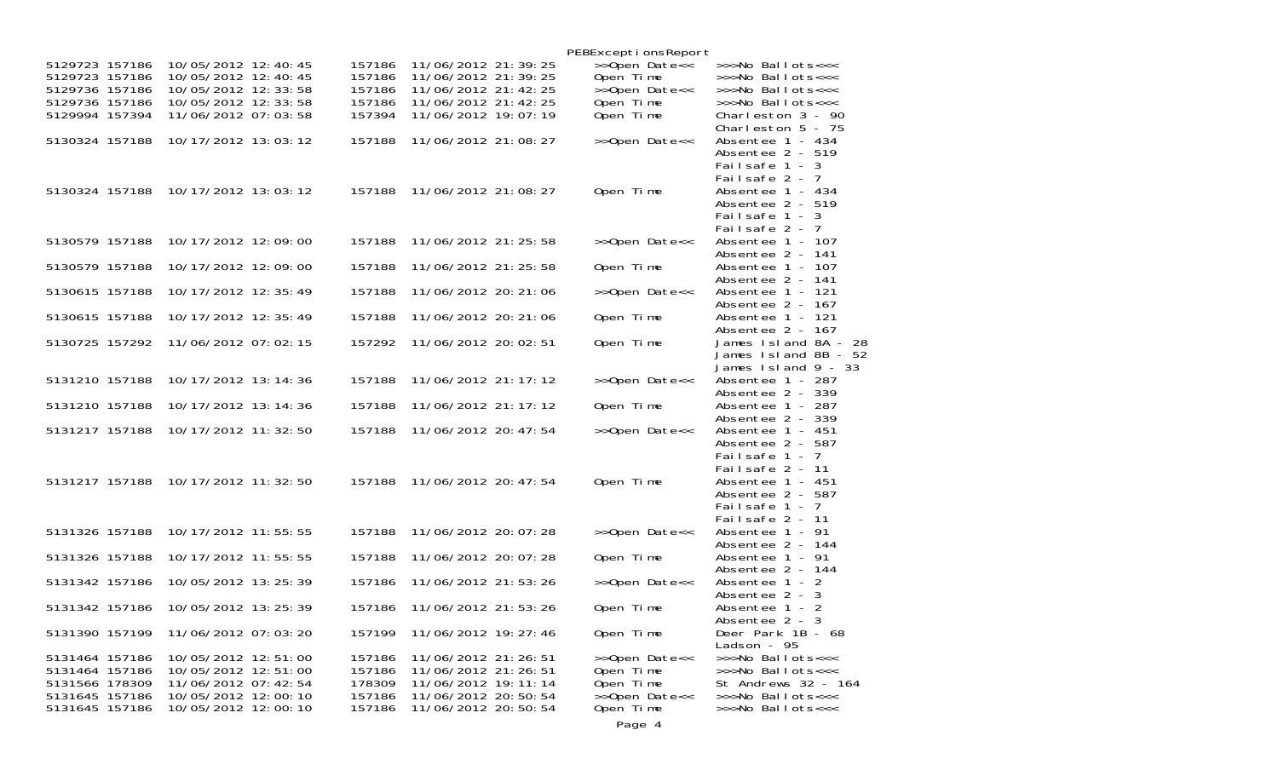|                                  |                                            |                  |                                                | PEBExceptionsReport    |                                                   |
|----------------------------------|--------------------------------------------|------------------|------------------------------------------------|------------------------|---------------------------------------------------|
| 5129723 157186                   | 10/05/2012 12:40:45                        | 157186           | 11/06/2012 21: 39: 25                          | >>Open Date<<          | >>>No Ballots<<<                                  |
| 5129723 157186                   | 10/05/2012 12:40:45                        | 157186           | 11/06/2012 21: 39: 25                          | Open Time              | >>>No Ballots<<<                                  |
| 5129736 157186                   | 10/05/2012 12:33:58                        | 157186           | 11/06/2012 21: 42: 25                          | >>Open Date<<          | >>>No Ballots<<<                                  |
| 5129736 157186                   | 10/05/2012 12: 33: 58                      | 157186           | 11/06/2012 21: 42: 25                          | Open Time              | >>>No Ballots<<<                                  |
| 5129994 157394                   | 11/06/2012 07:03:58                        | 157394           | 11/06/2012 19:07:19                            | Open Time              | Charleston 3 - 90<br>Charleston $5 - 75$          |
| 5130324 157188                   | 10/17/2012 13:03:12                        | 157188           | 11/06/2012 21:08:27                            | >>Open Date<<          | Absentee 1 - 434<br>Absentee $2 - 519$            |
|                                  |                                            |                  |                                                |                        | Failsafe 1 - 3<br>Failsafe 2 - 7                  |
| 5130324 157188                   | 10/17/2012 13:03:12                        | 157188           | 11/06/2012 21:08:27                            | Open Time              | Absentee 1 - 434<br>Absentee 2 - 519              |
|                                  |                                            |                  |                                                |                        | Failsafe 1 - 3                                    |
| 5130579 157188                   | 10/17/2012 12:09:00                        | 157188           | 11/06/2012 21: 25: 58                          | >>Open Date<<          | Failsafe 2 - 7<br>Absentee 1 - 107                |
| 5130579 157188                   | 10/17/2012 12:09:00                        | 157188           | 11/06/2012 21: 25: 58                          | Open Time              | Absentee 2 - 141<br>Absentee 1 - 107              |
| 5130615 157188                   | 10/17/2012 12:35:49                        | 157188           | 11/06/2012 20: 21: 06                          | >>Open Date<<          | Absentee 2 - 141<br>Absentee 1 - 121              |
|                                  |                                            |                  |                                                |                        | Absentee 2 - 167                                  |
| 5130615 157188                   | 10/17/2012 12: 35: 49                      | 157188           | 11/06/2012 20: 21: 06                          | Open Time              | Absentee 1 - 121<br>Absentee 2 - 167              |
| 5130725 157292                   | 11/06/2012 07:02:15                        | 157292           | 11/06/2012 20:02:51                            | Open Time              | James Island 8A -<br>-28<br>James 1sl and 8B - 52 |
|                                  |                                            |                  |                                                |                        | James $Island 9 - 33$                             |
| 5131210 157188                   | 10/17/2012 13:14:36                        | 157188           | 11/06/2012 21: 17: 12                          | >>Open Date<<          | Absentee 1 - 287<br>Absentee 2 - 339              |
| 5131210 157188                   | 10/17/2012 13:14:36                        | 157188           | 11/06/2012 21: 17: 12                          | Open Time              | Absentee 1 - 287<br>Absentee 2 - 339              |
| 5131217 157188                   | 10/17/2012 11: 32: 50                      | 157188           | 11/06/2012 20: 47: 54                          | >>Open Date<<          | Absentee 1 - 451                                  |
|                                  |                                            |                  |                                                |                        | Absentee 2 - 587<br>Failsafe 1 - 7                |
| 5131217 157188                   | 10/17/2012 11: 32: 50                      | 157188           | 11/06/2012 20: 47: 54                          | Open Time              | Failsafe 2 - 11<br>Absentee 1 - 451               |
|                                  |                                            |                  |                                                |                        | Absentee 2 - 587                                  |
|                                  |                                            |                  |                                                |                        | Failsafe $1 - 7$<br>Failsafe 2 - 11               |
| 5131326 157188                   | 10/17/2012 11:55:55                        | 157188           | 11/06/2012 20: 07: 28                          | >>Open Date<<          | Absentee 1 - 91<br>Absentee 2 - 144               |
| 5131326 157188                   | 10/17/2012 11:55:55                        | 157188           | 11/06/2012 20: 07: 28                          | Open Time              | Absentee 1 - 91                                   |
| 5131342 157186                   | 10/05/2012 13: 25: 39                      | 157186           | 11/06/2012 21:53:26                            | >>Open Date<<          | Absentee 2 - 144<br>Absentee 1 - 2                |
| 5131342 157186                   | 10/05/2012 13: 25: 39                      | 157186           | 11/06/2012 21:53:26                            | Open Time              | Absentee 2 - 3<br>Absentee 1 - 2                  |
|                                  |                                            |                  |                                                |                        | Absentee 2 - 3                                    |
| 5131390 157199                   | 11/06/2012 07:03:20                        | 157199           | 11/06/2012 19: 27: 46                          | Open Time              | Deer Park 1B - 68<br>Ladson - 95                  |
| 5131464 157186<br>5131464 157186 | 10/05/2012 12:51:00<br>10/05/2012 12:51:00 | 157186<br>157186 | 11/06/2012 21: 26: 51<br>11/06/2012 21: 26: 51 | >>Open Date<<          | >>>No Ballots<<<<br>>>>No Ballots<<<              |
| 5131566 178309                   | 11/06/2012 07: 42: 54                      | 178309           | 11/06/2012 19: 11: 14                          | Open Time<br>Open Time | St Andrews 32 - 164                               |
| 5131645 157186                   | 10/05/2012 12:00:10                        | 157186           | 11/06/2012 20:50:54                            | >>Open Date<<          | >>>No Ballots<<<                                  |
| 5131645 157186                   | 10/05/2012 12:00:10                        | 157186           | 11/06/2012 20: 50: 54                          | Open Time              | >>>No Ballots<<<                                  |
|                                  |                                            |                  |                                                | Page 4                 |                                                   |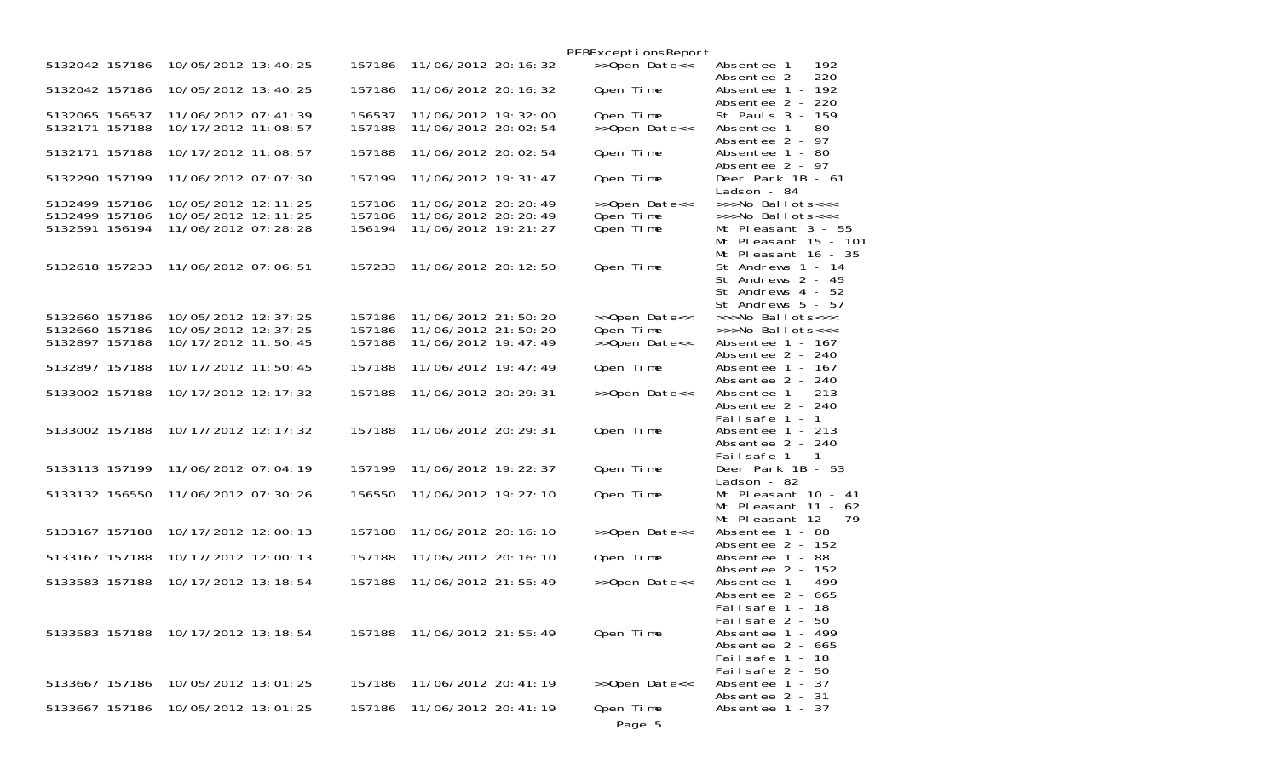|                                  |                       |        |                       | PEBExceptionsReport |                                       |
|----------------------------------|-----------------------|--------|-----------------------|---------------------|---------------------------------------|
| 5132042 157186                   | 10/05/2012 13:40:25   | 157186 | 11/06/2012 20: 16: 32 | >>Open Date<<       | Absentee 1 - 192<br>Absentee 2 - 220  |
| 5132042 157186                   | 10/05/2012 13:40:25   | 157186 | 11/06/2012 20: 16: 32 | Open Time           | Absentee 1 - 192<br>Absentee 2 - 220  |
| 5132065 156537                   | 11/06/2012 07: 41: 39 | 156537 | 11/06/2012 19: 32: 00 | Open Time           | St Pauls 3 - 159                      |
| 5132171 157188                   | 10/17/2012 11:08:57   | 157188 | 11/06/2012 20: 02: 54 | >>Open Date<<       | Absentee 1 - 80                       |
|                                  |                       |        |                       |                     | Absentee 2 - 97                       |
| 5132171 157188                   | 10/17/2012 11:08:57   | 157188 | 11/06/2012 20:02:54   | Open Time           | Absentee 1 - 80                       |
|                                  |                       |        |                       |                     | Absentee 2 - 97                       |
| 5132290 157199                   | 11/06/2012 07:07:30   | 157199 | 11/06/2012 19: 31: 47 | Open Time           | Deer Park 1B - 61                     |
|                                  |                       |        |                       |                     | Ladson - 84                           |
| 5132499 157186                   | 10/05/2012 12:11:25   | 157186 | 11/06/2012 20: 20: 49 | >>Open Date<<       | >>>No Ballots<<<                      |
| 5132499 157186                   | 10/05/2012 12:11:25   | 157186 | 11/06/2012 20: 20: 49 | Open Time           | >>>No Ballots<<<                      |
| 5132591 156194                   | 11/06/2012 07:28:28   | 156194 | 11/06/2012 19: 21: 27 | Open Time           | Mt Pleasant $3 - 55$                  |
|                                  |                       |        |                       |                     | Mt Pleasant 15 - 101                  |
|                                  |                       |        |                       |                     | Mt Pleasant $16 - 35$                 |
| 5132618 157233                   | 11/06/2012 07:06:51   | 157233 | 11/06/2012 20: 12: 50 | Open Time           | St Andrews 1 - 14                     |
|                                  |                       |        |                       |                     | St Andrews 2 - 45                     |
|                                  |                       |        |                       |                     | St Andrews 4 - 52                     |
|                                  |                       |        |                       |                     | St Andrews 5 - 57                     |
| 5132660 157186                   | 10/05/2012 12: 37: 25 | 157186 | 11/06/2012 21:50:20   | >>Open Date<<       | >>>No Ballots<<<                      |
| 5132660 157186<br>5132897 157188 | 10/05/2012 12: 37: 25 | 157186 | 11/06/2012 21:50:20   | Open Time           | >>>No Ballots<<<                      |
|                                  | 10/17/2012 11:50:45   | 157188 | 11/06/2012 19: 47: 49 | >>Open Date<<       | Absentee 1 - 167<br>Absentee 2 - 240  |
| 5132897 157188                   | 10/17/2012 11:50:45   | 157188 | 11/06/2012 19: 47: 49 | Open Time           | Absentee 1 - 167                      |
|                                  |                       |        |                       |                     | Absentee 2 - 240                      |
| 5133002 157188                   | 10/17/2012 12: 17: 32 | 157188 | 11/06/2012 20: 29: 31 | >>Open Date<<       | Absentee 1 - 213                      |
|                                  |                       |        |                       |                     | Absentee 2 - 240                      |
|                                  |                       |        |                       |                     | Failsafe 1 - 1                        |
| 5133002 157188                   | 10/17/2012 12: 17: 32 | 157188 | 11/06/2012 20: 29: 31 | Open Time           | Absentee 1 - 213                      |
|                                  |                       |        |                       |                     | Absentee 2 - 240                      |
|                                  |                       |        |                       |                     | Failsafe 1 - 1                        |
| 5133113 157199                   | 11/06/2012 07:04:19   | 157199 | 11/06/2012 19: 22: 37 | Open Time           | Deer Park 1B - 53                     |
|                                  |                       |        |                       |                     | Ladson - 82                           |
| 5133132 156550                   | 11/06/2012 07:30:26   | 156550 | 11/06/2012 19: 27: 10 | Open Time           | Mt Pleasant 10 - 41                   |
|                                  |                       |        |                       |                     | Mt Pleasant $11 - 62$                 |
|                                  |                       |        |                       |                     | Mt Pleasant $12 - 79$                 |
| 5133167 157188                   | 10/17/2012 12:00:13   | 157188 | 11/06/2012 20: 16: 10 | >>Open Date<<       | Absentee 1 - 88<br>Absentee $2 - 152$ |
| 5133167 157188                   | 10/17/2012 12:00:13   | 157188 | 11/06/2012 20: 16: 10 | Open Time           | Absentee 1 - 88                       |
|                                  |                       |        |                       |                     | Absentee 2 - 152                      |
| 5133583 157188                   | 10/17/2012 13:18:54   | 157188 | 11/06/2012 21:55:49   | >>Open Date<<       | Absentee 1 - 499                      |
|                                  |                       |        |                       |                     | Absentee $2 - 665$                    |
|                                  |                       |        |                       |                     | Failsafe 1 - 18                       |
|                                  |                       |        |                       |                     | Failsafe 2 - 50                       |
| 5133583 157188                   | 10/17/2012 13: 18: 54 | 157188 | 11/06/2012 21:55:49   | Open Time           | Absentee 1 - 499                      |
|                                  |                       |        |                       |                     | Absentee $2 - 665$                    |
|                                  |                       |        |                       |                     | Failsafe 1 - 18                       |
|                                  |                       |        |                       |                     | Failsafe 2 - 50                       |
| 5133667 157186                   | 10/05/2012 13:01:25   | 157186 | 11/06/2012 20: 41: 19 | >>Open Date<<       | Absentee 1 - 37                       |
|                                  |                       |        |                       |                     | Absentee 2 - 31                       |
| 5133667 157186                   | 10/05/2012 13:01:25   | 157186 | 11/06/2012 20: 41: 19 | Open Time           | Absentee 1 - 37                       |
|                                  |                       |        |                       | Page 5              |                                       |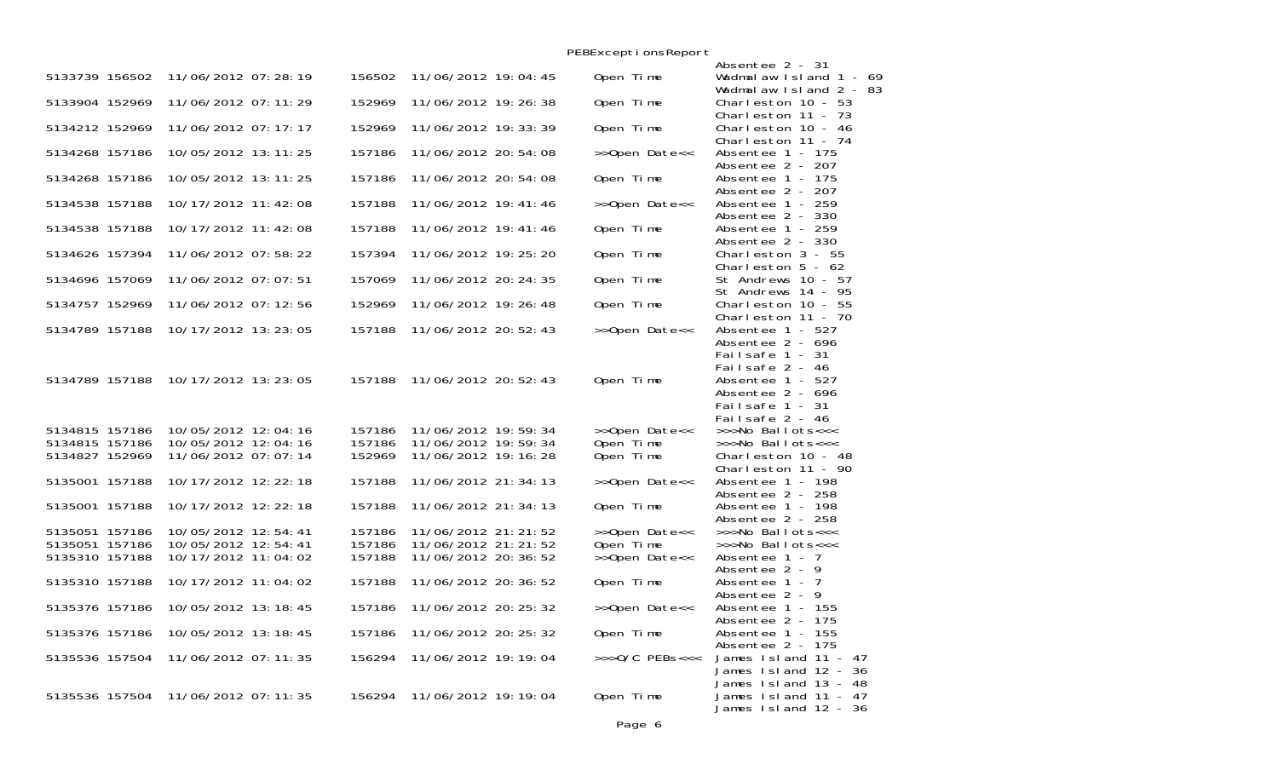|                                  |                                            |                  |                                            |  | PEBExceptionsReport         |                                                                               |
|----------------------------------|--------------------------------------------|------------------|--------------------------------------------|--|-----------------------------|-------------------------------------------------------------------------------|
|                                  |                                            |                  |                                            |  |                             | Absentee 2 - 31                                                               |
| 5133739 156502                   | 11/06/2012 07:28:19                        | 156502           | 11/06/2012 19:04:45                        |  | Open Time                   | Wadmalaw Island $1 - 69$<br>Wadmalaw Island 2 - 83                            |
| 5133904 152969                   | 11/06/2012 07:11:29                        | 152969           | 11/06/2012 19: 26: 38                      |  | Open Time                   | Charleston $10 - 53$<br>Charleston 11 - 73                                    |
| 5134212 152969                   | 11/06/2012 07:17:17                        | 152969           | 11/06/2012 19: 33: 39                      |  | Open Time                   | Charleston 10 - 46<br>Charleston 11 - 74                                      |
| 5134268 157186                   | 10/05/2012 13:11:25                        | 157186           | 11/06/2012 20:54:08                        |  | >>Open Date<<               | Absentee 1 - 175<br>Absentee 2 - 207                                          |
| 5134268 157186                   | 10/05/2012 13: 11: 25                      | 157186           | 11/06/2012 20:54:08                        |  | Open Time                   | Absentee 1 - 175<br>Absentee 2 - 207                                          |
| 5134538 157188                   | 10/17/2012 11:42:08                        | 157188           | 11/06/2012 19: 41: 46                      |  | >>Open Date<<               | Absentee 1 - 259<br>Absentee 2 - 330                                          |
| 5134538 157188                   | 10/17/2012 11:42:08                        | 157188           | 11/06/2012 19: 41: 46                      |  | Open Time                   | Absentee 1 - 259<br>Absentee 2 - 330                                          |
| 5134626 157394                   | 11/06/2012 07:58:22                        | 157394           | 11/06/2012 19: 25: 20                      |  | Open Time                   | Charleston $3 - 55$<br>Charleston $5 - 62$                                    |
| 5134696 157069                   | 11/06/2012 07:07:51                        | 157069           | 11/06/2012 20: 24: 35                      |  | Open Time                   | St Andrews 10 - 57                                                            |
| 5134757 152969                   | 11/06/2012 07:12:56                        | 152969           | 11/06/2012 19: 26: 48                      |  | Open Time                   | St Andrews 14 - 95<br>Charleston $10 - 55$                                    |
| 5134789 157188                   | 10/17/2012 13:23:05                        | 157188           | 11/06/2012 20:52:43                        |  | >>Open Date<<               | Charleston 11 - 70<br>Absentee 1 - 527<br>Absentee 2 - 696<br>Failsafe 1 - 31 |
| 5134789 157188                   | 10/17/2012 13:23:05                        | 157188           | 11/06/2012 20:52:43                        |  | Open Time                   | Failsafe 2 - 46<br>Absentee 1 - 527<br>Absentee 2 - 696<br>Failsafe 1 - 31    |
| 5134815 157186<br>5134815 157186 | 10/05/2012 12:04:16<br>10/05/2012 12:04:16 | 157186<br>157186 | 11/06/2012 19:59:34<br>11/06/2012 19:59:34 |  | >>Open Date<<<br>Open Time  | Failsafe 2 - 46<br>>>>No Ballots<<<<br>>>>No Ballots<<<                       |
| 5134827 152969                   | 11/06/2012 07:07:14                        | 152969           | 11/06/2012 19: 16: 28                      |  | Open Time                   | Charleston 10 - 48<br>Charleston $11 - 90$                                    |
| 5135001 157188                   | 10/17/2012 12: 22: 18                      | 157188           | 11/06/2012 21: 34: 13                      |  | >>Open Date<<               | Absentee 1 - 198                                                              |
| 5135001 157188                   | 10/17/2012 12: 22: 18                      | 157188           | 11/06/2012 21: 34: 13                      |  | Open Time                   | Absentee 2 - 258<br>Absentee 1 - 198<br>Absentee 2 - 258                      |
| 5135051 157186                   | 10/05/2012 12:54:41                        | 157186           | 11/06/2012 21: 21: 52                      |  | >>Open Date<<               | >>>No Ballots<<<                                                              |
| 5135051 157186                   | 10/05/2012 12:54:41                        | 157186           | 11/06/2012 21: 21: 52                      |  | Open Time                   | >>>No Ballots<<<                                                              |
| 5135310 157188                   | 10/17/2012 11:04:02                        | 157188           | 11/06/2012 20: 36: 52                      |  | >>Open Date<<               | Absentee $1 - 7$<br>Absentee $2 - 9$                                          |
| 5135310 157188                   | 10/17/2012 11:04:02                        | 157188           | 11/06/2012 20: 36: 52                      |  | Open Time                   | Absentee 1 - 7<br>Absentee 2 - 9                                              |
| 5135376 157186                   | 10/05/2012 13:18:45                        | 157186           | 11/06/2012 20: 25: 32                      |  | >>Open Date<<               | Absentee 1 - 155<br>Absentee 2 - 175                                          |
| 5135376 157186                   | 10/05/2012 13:18:45                        | 157186           | 11/06/2012 20: 25: 32                      |  | Open Time                   | Absentee 1 - 155<br>Absentee 2 - 175                                          |
| 5135536 157504                   | 11/06/2012 07: 11: 35                      | 156294           | 11/06/2012 19: 19: 04                      |  | $\rightarrow$ >>0/C PEBs<<< | James Island 11 - 47<br>James Island 12 - 36<br>James 1sl and 13 - 48         |
| 5135536 157504                   | 11/06/2012 07:11:35                        | 156294           | 11/06/2012 19: 19: 04                      |  | Open Time                   | James 1sl and 11 - 47<br>James 1sland 12 - 36                                 |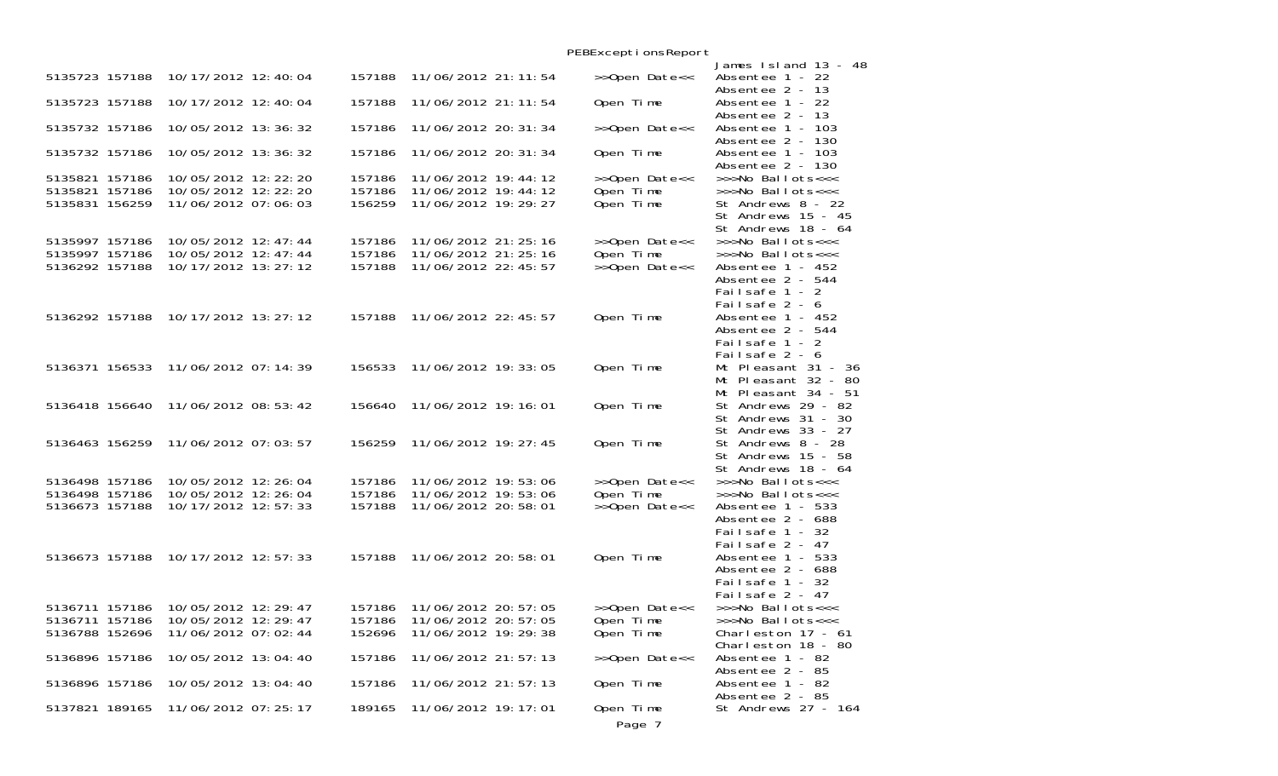|        |                                                | PEBExceptionsReport                                                                                                                                                                                                                                                                                                                                                                                                                                                                                                                                                                                  |                                                                                                                                                                  |
|--------|------------------------------------------------|------------------------------------------------------------------------------------------------------------------------------------------------------------------------------------------------------------------------------------------------------------------------------------------------------------------------------------------------------------------------------------------------------------------------------------------------------------------------------------------------------------------------------------------------------------------------------------------------------|------------------------------------------------------------------------------------------------------------------------------------------------------------------|
| 157188 |                                                |                                                                                                                                                                                                                                                                                                                                                                                                                                                                                                                                                                                                      | James Island 13 - 48<br>Absentee 1 - 22                                                                                                                          |
| 157188 |                                                | Open Time                                                                                                                                                                                                                                                                                                                                                                                                                                                                                                                                                                                            | Absentee 2 - 13<br>Absentee 1 - 22                                                                                                                               |
| 157186 |                                                | >>Open Date<<                                                                                                                                                                                                                                                                                                                                                                                                                                                                                                                                                                                        | Absentee 2 - 13<br>Absentee 1 - 103                                                                                                                              |
| 157186 |                                                | Open Time                                                                                                                                                                                                                                                                                                                                                                                                                                                                                                                                                                                            | Absentee 2 - 130<br>Absentee 1 - 103                                                                                                                             |
| 157186 |                                                | >>Open Date<<                                                                                                                                                                                                                                                                                                                                                                                                                                                                                                                                                                                        | Absentee 2 - 130<br>>>>No Ballots<<<                                                                                                                             |
| 156259 |                                                | Open Time                                                                                                                                                                                                                                                                                                                                                                                                                                                                                                                                                                                            | >>>No Ballots<<<<br>St Andrews 8 - 22<br>St Andrews 15 - 45                                                                                                      |
|        |                                                |                                                                                                                                                                                                                                                                                                                                                                                                                                                                                                                                                                                                      | St Andrews 18 - 64<br>>>>No Ballots<<<                                                                                                                           |
| 157186 |                                                |                                                                                                                                                                                                                                                                                                                                                                                                                                                                                                                                                                                                      | >>>No Ballots<<<                                                                                                                                                 |
| 157188 |                                                |                                                                                                                                                                                                                                                                                                                                                                                                                                                                                                                                                                                                      | Absentee 1 - 452                                                                                                                                                 |
|        |                                                |                                                                                                                                                                                                                                                                                                                                                                                                                                                                                                                                                                                                      | Absentee 2 - 544<br>Failsafe 1 - 2<br>Failsafe 2 - 6                                                                                                             |
| 157188 |                                                | Open Time                                                                                                                                                                                                                                                                                                                                                                                                                                                                                                                                                                                            | Absentee 1 - 452<br>Absentee 2 - 544<br>Failsafe 1 - 2                                                                                                           |
| 156533 |                                                | Open Time                                                                                                                                                                                                                                                                                                                                                                                                                                                                                                                                                                                            | Failsafe 2 - 6<br>Mt Pleasant 31 - 36                                                                                                                            |
|        |                                                |                                                                                                                                                                                                                                                                                                                                                                                                                                                                                                                                                                                                      | Mt Pleasant 32 - 80<br>Mt Pleasant 34 - 51                                                                                                                       |
| 156640 |                                                | Open Time                                                                                                                                                                                                                                                                                                                                                                                                                                                                                                                                                                                            | St Andrews 29 - 82<br>St Andrews 31 - 30                                                                                                                         |
| 156259 |                                                | Open Time                                                                                                                                                                                                                                                                                                                                                                                                                                                                                                                                                                                            | St Andrews 33 - 27<br>St Andrews 8 - 28                                                                                                                          |
|        |                                                |                                                                                                                                                                                                                                                                                                                                                                                                                                                                                                                                                                                                      | St Andrews 15 - 58<br>St Andrews 18 - 64                                                                                                                         |
|        |                                                |                                                                                                                                                                                                                                                                                                                                                                                                                                                                                                                                                                                                      | >>>No Ballots<<<                                                                                                                                                 |
|        |                                                |                                                                                                                                                                                                                                                                                                                                                                                                                                                                                                                                                                                                      | >>>No Ballots<<<<br>Absentee 1 - 533                                                                                                                             |
|        |                                                |                                                                                                                                                                                                                                                                                                                                                                                                                                                                                                                                                                                                      | Absentee 2 - 688<br>Failsafe 1 - 32<br>Failsafe 2 - 47                                                                                                           |
| 157188 |                                                | Open Time                                                                                                                                                                                                                                                                                                                                                                                                                                                                                                                                                                                            | Absentee 1 - 533<br>Absentee 2 - 688                                                                                                                             |
|        |                                                |                                                                                                                                                                                                                                                                                                                                                                                                                                                                                                                                                                                                      | Failsafe 1 - 32<br>Failsafe 2 - 47                                                                                                                               |
| 157186 |                                                |                                                                                                                                                                                                                                                                                                                                                                                                                                                                                                                                                                                                      | >>>No Ballots<<<                                                                                                                                                 |
| 157186 |                                                | Open Time                                                                                                                                                                                                                                                                                                                                                                                                                                                                                                                                                                                            | >>>No Ballots<<<                                                                                                                                                 |
| 152696 |                                                |                                                                                                                                                                                                                                                                                                                                                                                                                                                                                                                                                                                                      | Charleston $17 - 61$<br>Charleston 18 - 80                                                                                                                       |
| 157186 |                                                | >>Open Date<<                                                                                                                                                                                                                                                                                                                                                                                                                                                                                                                                                                                        | Absentee 1 - 82<br>Absentee 2 - 85                                                                                                                               |
| 157186 |                                                | Open Time                                                                                                                                                                                                                                                                                                                                                                                                                                                                                                                                                                                            | Absentee 1 - 82<br>Absentee 2 - 85                                                                                                                               |
| 189165 |                                                | Open Time                                                                                                                                                                                                                                                                                                                                                                                                                                                                                                                                                                                            | St Andrews 27 - 164                                                                                                                                              |
|        | 157186<br>157186<br>157186<br>157186<br>157188 | 11/06/2012 21: 11: 54<br>11/06/2012 21: 11: 54<br>11/06/2012 20: 31: 34<br>11/06/2012 20: 31: 34<br>11/06/2012 19:44:12<br>11/06/2012 19:44:12<br>11/06/2012 19: 29: 27<br>11/06/2012 21: 25: 16<br>11/06/2012 21: 25: 16<br>11/06/2012 22: 45: 57<br>11/06/2012 22: 45: 57<br>11/06/2012 19: 33: 05<br>11/06/2012 19: 16: 01<br>11/06/2012 19: 27: 45<br>11/06/2012 19:53:06<br>11/06/2012 19:53:06<br>11/06/2012 20:58:01<br>11/06/2012 20:58:01<br>11/06/2012 20: 57: 05<br>11/06/2012 20: 57: 05<br>11/06/2012 19: 29: 38<br>11/06/2012 21:57:13<br>11/06/2012 21:57:13<br>11/06/2012 19: 17: 01 | >>Open Date<<<br>Open Time<br>>>Open Date<<<br>Open Time<br>>>Open Date<<<br>>>Open Date<<<br>Open Time<br>>>Open Date<<<br>>>Open Date<<<br>Open Time<br>Page 7 |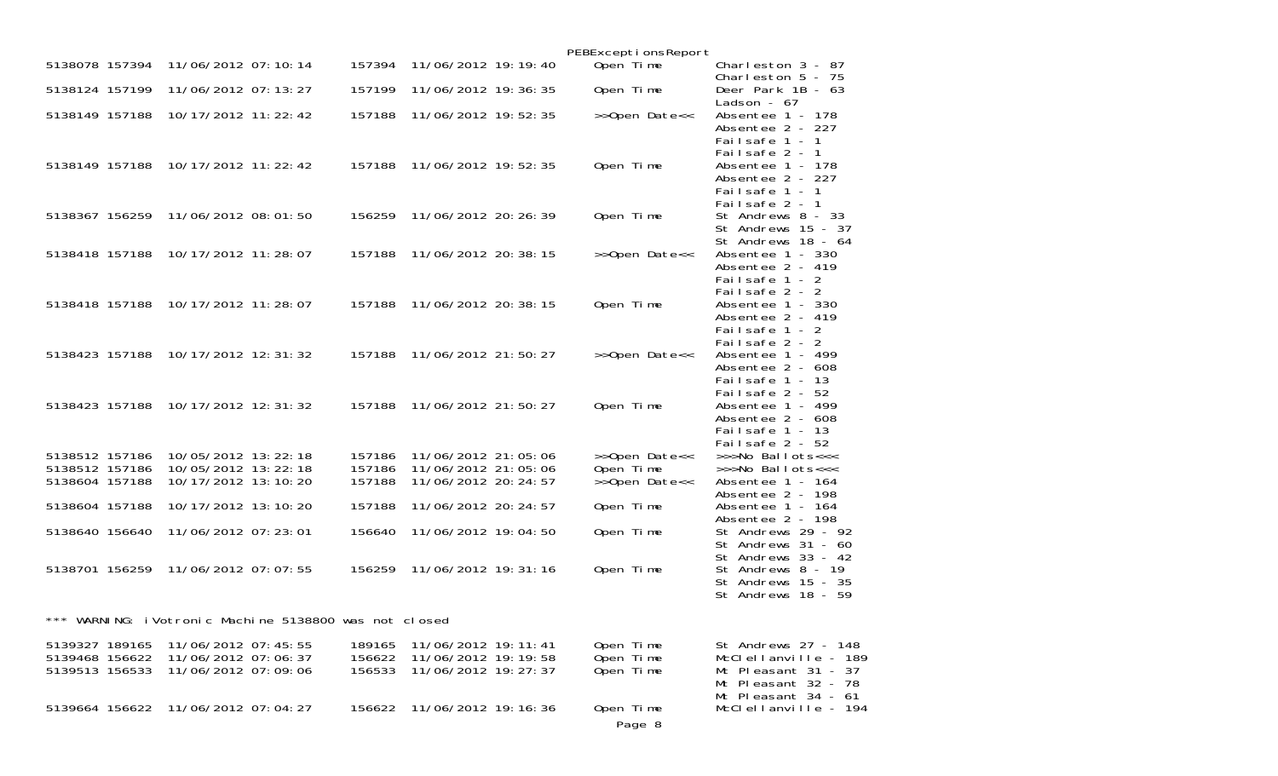|                                                    |                                                                   |                                                    |                            |                                                                         | PEBExceptionsReport                 |                                                                                                                  |
|----------------------------------------------------|-------------------------------------------------------------------|----------------------------------------------------|----------------------------|-------------------------------------------------------------------------|-------------------------------------|------------------------------------------------------------------------------------------------------------------|
| 5138078 157394                                     | 11/06/2012 07:10:14                                               |                                                    | 157394                     | 11/06/2012 19: 19: 40                                                   | Open Time                           | Charleston $3 - 87$<br>Charleston $5 - 75$                                                                       |
| 5138124 157199                                     | 11/06/2012 07: 13: 27                                             |                                                    | 157199                     | 11/06/2012 19: 36: 35                                                   | Open Time                           | Deer Park 1B - 63<br>Ladson - $67$                                                                               |
| 5138149 157188                                     | 10/17/2012 11: 22: 42                                             |                                                    | 157188                     | 11/06/2012 19:52:35                                                     | >>Open Date<<                       | Absentee 1 - 178<br>Absentee 2 - 227<br>Failsafe 1 - 1                                                           |
|                                                    | 5138149 157188 10/17/2012 11:22:42                                |                                                    | 157188                     | 11/06/2012 19:52:35                                                     | Open Time                           | Failsafe 2 - 1<br>Absentee 1 - 178<br>Absentee 2 - 227<br>Failsafe 1 - 1<br>Failsafe 2 - 1                       |
| 5138367 156259                                     | 11/06/2012 08:01:50                                               |                                                    | 156259                     | 11/06/2012 20: 26: 39                                                   | Open Time                           | St Andrews 8 - 33<br>St Andrews 15 - 37<br>St Andrews 18 - 64                                                    |
| 5138418 157188                                     | 10/17/2012 11: 28: 07                                             |                                                    | 157188                     | 11/06/2012 20: 38: 15                                                   | >>Open Date<<                       | Absentee 1 - 330<br>Absentee 2 - 419<br>Failsafe 1 - 2<br>Failsafe 2 - 2                                         |
| 5138418 157188                                     | 10/17/2012 11: 28: 07                                             |                                                    | 157188                     | 11/06/2012 20: 38: 15                                                   | Open Time                           | Absentee 1 - 330<br>Absentee 2 - 419<br>Failsafe 1 - 2<br>Failsafe 2 - 2                                         |
| 5138423 157188                                     | 10/17/2012 12:31:32                                               |                                                    | 157188                     | 11/06/2012 21:50:27                                                     | >>Open Date<<                       | Absentee 1 - 499<br>Absentee 2 - 608<br>Failsafe $1 - 13$<br>Failsafe $2 - 52$                                   |
| 5138423 157188                                     | 10/17/2012 12:31:32                                               |                                                    | 157188                     | 11/06/2012 21:50:27                                                     | Open Time                           | Absentee 1 - 499<br>Absentee 2 - 608<br>Failsafe $1 - 13$<br>Failsafe $2 - 52$                                   |
| 5138512 157186<br>5138512 157186                   | 10/05/2012 13: 22: 18<br>10/05/2012 13:22:18                      |                                                    | 157186<br>157186           | 11/06/2012 21:05:06<br>11/06/2012 21:05:06                              | >>Open Date<<<br>Open Time          | >>>No Ballots<<<<br>>>>No Ballots<<<                                                                             |
| 5138604 157188                                     | 10/17/2012 13:10:20                                               |                                                    | 157188                     | 11/06/2012 20: 24: 57                                                   | >>Open Date<<                       | Absentee 1 - 164                                                                                                 |
| 5138604 157188                                     | 10/17/2012 13:10:20                                               |                                                    | 157188                     | 11/06/2012 20: 24: 57                                                   | Open Time                           | Absentee 2 - 198<br>Absentee 1 - 164<br>Absentee 2 - 198                                                         |
| 5138640 156640                                     | 11/06/2012 07:23:01                                               |                                                    | 156640                     | 11/06/2012 19:04:50                                                     | Open Time                           | St Andrews 29 - 92<br>St Andrews $31 - 60$<br>St Andrews 33 - 42                                                 |
|                                                    | 5138701 156259 11/06/2012 07:07:55                                |                                                    | 156259                     | 11/06/2012 19: 31: 16                                                   | Open Time                           | St Andrews 8 - 19<br>St Andrews 15 - 35<br>St Andrews 18 - 59                                                    |
|                                                    |                                                                   | WARNING: i Votronic Machine 5138800 was not closed |                            |                                                                         |                                     |                                                                                                                  |
| 5139327 189165<br>5139468 156622<br>5139513 156533 | 11/06/2012 07:45:55<br>11/06/2012 07:06:37<br>11/06/2012 07:09:06 |                                                    | 189165<br>156622<br>156533 | 11/06/2012 19: 11: 41<br>11/06/2012 19: 19: 58<br>11/06/2012 19: 27: 37 | Open Time<br>Open Time<br>Open Time | St Andrews 27 - 148<br>McClellanville - 189<br>Mt Pleasant 31 - 37<br>Mt Pleasant 32 - 78<br>Mt Pleasant 34 - 61 |
| 5139664 156622                                     | 11/06/2012 07:04:27                                               |                                                    | 156622                     | 11/06/2012 19: 16: 36                                                   | Open Time<br>Page 8                 | McClellanville - 194                                                                                             |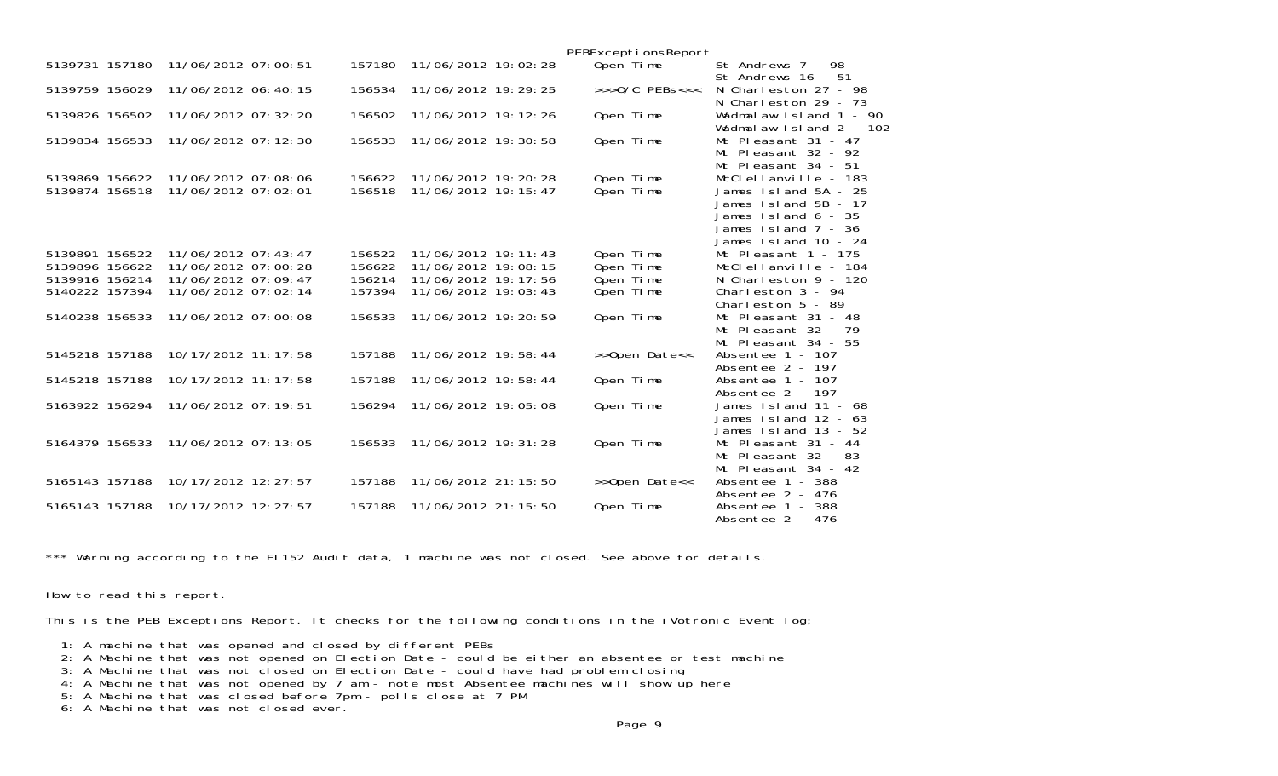|                                  |                                            |                  |                                                | PEBExceptionsReport    |                                                                                                                                                 |
|----------------------------------|--------------------------------------------|------------------|------------------------------------------------|------------------------|-------------------------------------------------------------------------------------------------------------------------------------------------|
| 5139731 157180                   | 11/06/2012 07:00:51                        | 157180           | 11/06/2012 19:02:28                            | Open Time              | St Andrews 7 - 98<br>St Andrews 16 - 51                                                                                                         |
| 5139759 156029                   | 11/06/2012 06:40:15                        | 156534           | 11/06/2012 19: 29: 25                          | $>>$ $0/C$ PEBs<<<     | N Charleston 27 - 98<br>N Charleston $29 - 73$                                                                                                  |
| 5139826 156502                   | 11/06/2012 07: 32: 20                      | 156502           | 11/06/2012 19: 12: 26                          | Open Time              | Wadmalaw Island 1 - 90<br>Wadmal aw Island 2 - 102                                                                                              |
| 5139834 156533                   | 11/06/2012 07: 12: 30                      | 156533           | 11/06/2012 19:30:58                            | Open Time              | Mt Pleasant 31 - 47<br>Mt Pleasant 32 - 92<br>Mt Pleasant 34 - 51                                                                               |
| 5139869 156622<br>5139874 156518 | 11/06/2012 07:08:06<br>11/06/2012 07:02:01 | 156622<br>156518 | 11/06/2012 19: 20: 28<br>11/06/2012 19: 15: 47 | Open Time<br>Open Time | McClellanville - 183<br>James Island 5A - 25<br>James 1sl and 5B - 17<br>James $Island 6 - 35$<br>James $Island 7 - 36$<br>James Island 10 - 24 |
| 5139891 156522<br>5139896 156622 | 11/06/2012 07:43:47<br>11/06/2012 07:00:28 | 156522<br>156622 | 11/06/2012 19: 11: 43<br>11/06/2012 19:08:15   | Open Time<br>Open Time | Mt Pleasant $1 - 175$<br>McClellanville - 184                                                                                                   |
| 5139916 156214<br>5140222 157394 | 11/06/2012 07:09:47<br>11/06/2012 07:02:14 | 156214<br>157394 | 11/06/2012 19: 17: 56<br>11/06/2012 19:03:43   | Open Time<br>Open Time | N Charleston $9 - 120$<br>Charleston $3 - 94$<br>Charleston $5 - 89$                                                                            |
| 5140238 156533                   | 11/06/2012 07:00:08                        | 156533           | 11/06/2012 19: 20: 59                          | Open Time              | Mt Pleasant $31 - 48$<br>Mt Pleasant $32 - 79$<br>Mt Pleasant $34 - 55$                                                                         |
| 5145218 157188                   | 10/17/2012 11: 17: 58                      | 157188           | 11/06/2012 19:58:44                            | >>Open Date<<          | Absentee 1 - 107<br>Absentee $2 - 197$                                                                                                          |
| 5145218 157188                   | 10/17/2012 11: 17: 58                      | 157188           | 11/06/2012 19:58:44                            | Open Time              | Absentee $1 - 107$<br>Absentee $2 - 197$                                                                                                        |
| 5163922 156294                   | 11/06/2012 07: 19: 51                      | 156294           | 11/06/2012 19:05:08                            | Open Time              | James Island 11 - 68<br>James Island 12 - 63<br>James Island 13 - 52                                                                            |
| 5164379 156533                   | 11/06/2012 07: 13: 05                      | 156533           | 11/06/2012 19: 31: 28                          | Open Time              | Mt Pleasant 31 - 44<br>Mt Pleasant 32 - 83<br>Mt Pleasant 34 - 42                                                                               |
| 5165143 157188                   | 10/17/2012 12: 27: 57                      | 157188           | 11/06/2012 21: 15: 50                          | >>Open Date<<          | Absentee 1 - 388<br>Absentee 2 - 476                                                                                                            |
| 5165143 157188                   | 10/17/2012 12: 27: 57                      | 157188           | 11/06/2012 21: 15: 50                          | Open Time              | Absentee $1 - 388$<br>Absentee 2 - 476                                                                                                          |

\*\*\* Warning according to the EL152 Audit data, 1 machine was not closed. See above for details.

How to read this report.

This is the PEB Exceptions Report. It checks for the following conditions in the iVotronic Event log;

1: A machine that was opened and closed by different PEBs

- 2: A Machine that was not opened on Election Date could be either an absentee or test machine
- 3: A Machine that was not closed on Election Date could have had problem closing
- 4: A Machine that was not opened by 7 am note most Absentee machines will show up here
- 5: A Machine that was closed before 7pm polls close at 7 PM 6: A Machine that was not closed ever.